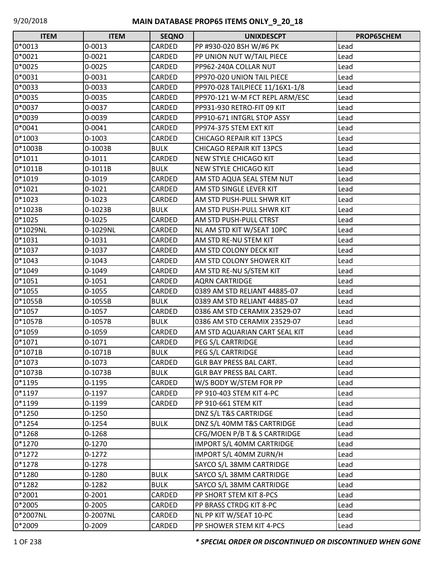| <b>ITEM</b> | <b>ITEM</b> | <b>SEQNO</b>  | <b>UNIXDESCPT</b>               | <b>PROP65CHEM</b> |
|-------------|-------------|---------------|---------------------------------|-------------------|
| 0*0013      | $0 - 0013$  | CARDED        | PP #930-020 BSH W/#6 PK         | Lead              |
| 0*0021      | 0-0021      | CARDED        | PP UNION NUT W/TAIL PIECE       | Lead              |
| 0*0025      | $0 - 0025$  | CARDED        | PP962-240A COLLAR NUT           | Lead              |
| 0*0031      | 0-0031      | CARDED        | PP970-020 UNION TAIL PIECE      | Lead              |
| 0*0033      | 0-0033      | CARDED        | PP970-028 TAILPIECE 11/16X1-1/8 | Lead              |
| 0*0035      | 0-0035      | CARDED        | PP970-121 W-M FCT REPL ARM/ESC  | Lead              |
| 0*0037      | 0-0037      | CARDED        | PP931-930 RETRO-FIT 09 KIT      | Lead              |
| 0*0039      | 0-0039      | CARDED        | PP910-671 INTGRL STOP ASSY      | Lead              |
| 0*0041      | 0-0041      | CARDED        | PP974-375 STEM EXT KIT          | Lead              |
| $0*1003$    | $0 - 1003$  | CARDED        | <b>CHICAGO REPAIR KIT 13PCS</b> | Lead              |
| 0*1003B     | 0-1003B     | <b>BULK</b>   | <b>CHICAGO REPAIR KIT 13PCS</b> | Lead              |
| $0*1011$    | $0 - 1011$  | CARDED        | <b>NEW STYLE CHICAGO KIT</b>    | Lead              |
| 0*1011B     | $0-1011B$   | <b>BULK</b>   | <b>NEW STYLE CHICAGO KIT</b>    | Lead              |
| 0*1019      | 0-1019      | CARDED        | AM STD AQUA SEAL STEM NUT       | Lead              |
| $0*1021$    | $0 - 1021$  | CARDED        | AM STD SINGLE LEVER KIT         | Lead              |
| $0*1023$    | $0 - 1023$  | CARDED        | AM STD PUSH-PULL SHWR KIT       | Lead              |
| 0*1023B     | 0-1023B     | <b>BULK</b>   | AM STD PUSH-PULL SHWR KIT       | Lead              |
| 0*1025      | $0 - 1025$  | CARDED        | AM STD PUSH-PULL CTRST          | Lead              |
| 0*1029NL    | 0-1029NL    | CARDED        | NL AM STD KIT W/SEAT 10PC       | Lead              |
| $0*1031$    | 0-1031      | CARDED        | AM STD RE-NU STEM KIT           | Lead              |
| $0*1037$    | $0 - 1037$  | CARDED        | AM STD COLONY DECK KIT          | Lead              |
| 0*1043      | 0-1043      | CARDED        | AM STD COLONY SHOWER KIT        | Lead              |
| 0*1049      | 0-1049      | CARDED        | AM STD RE-NU S/STEM KIT         | Lead              |
| $0*1051$    | $0 - 1051$  | CARDED        | <b>AQRN CARTRIDGE</b>           | Lead              |
| 0*1055      | 0-1055      | CARDED        | 0389 AM STD RELIANT 44885-07    | Lead              |
| 0*1055B     | 0-1055B     | <b>BULK</b>   | 0389 AM STD RELIANT 44885-07    | Lead              |
| 0*1057      | $0 - 1057$  | CARDED        | 0386 AM STD CERAMIX 23529-07    | Lead              |
| 0*1057B     | 0-1057B     | <b>BULK</b>   | 0386 AM STD CERAMIX 23529-07    | Lead              |
| 0*1059      | 0-1059      | CARDED        | AM STD AQUARIAN CART SEAL KIT   | Lead              |
| $0*1071$    | $0 - 1071$  | <b>CARDED</b> | PEG S/L CARTRIDGE               | Lead              |
| 0*1071B     | 0-1071B     | <b>BULK</b>   | PEG S/L CARTRIDGE               | Lead              |
| $0*1073$    | 0-1073      | CARDED        | <b>GLR BAY PRESS BAL CART.</b>  | Lead              |
| 0*1073B     | 0-1073B     | <b>BULK</b>   | <b>GLR BAY PRESS BAL CART.</b>  | Lead              |
| $0*1195$    | $0 - 1195$  | CARDED        | W/S BODY W/STEM FOR PP          | Lead              |
| $0*1197$    | 0-1197      | CARDED        | PP 910-403 STEM KIT 4-PC        | Lead              |
| 0*1199      | 0-1199      | CARDED        | PP 910-661 STEM KIT             | Lead              |
| $0*1250$    | $0 - 1250$  |               | DNZ S/L T&S CARTRIDGE           | Lead              |
| $0*1254$    | $0 - 1254$  | <b>BULK</b>   | DNZ S/L 40MM T&S CARTRIDGE      | Lead              |
| $0*1268$    | $0 - 1268$  |               | CFG/MOEN P/B T & S CARTRIDGE    | Lead              |
| $0*1270$    | $0 - 1270$  |               | IMPORT S/L 40MM CARTRIDGE       | Lead              |
| $0*1272$    | $0 - 1272$  |               | IMPORT S/L 40MM ZURN/H          | Lead              |
| $0*1278$    | 0-1278      |               | SAYCO S/L 38MM CARTRIDGE        | Lead              |
| 0*1280      | 0-1280      | <b>BULK</b>   | SAYCO S/L 38MM CARTRIDGE        | Lead              |
| $0*1282$    | $0 - 1282$  | <b>BULK</b>   | SAYCO S/L 38MM CARTRIDGE        | Lead              |
| 0*2001      | 0-2001      | CARDED        | PP SHORT STEM KIT 8-PCS         | Lead              |
| 0*2005      | $0 - 2005$  | CARDED        | PP BRASS CTRDG KIT 8-PC         | Lead              |
| 0*2007NL    | 0-2007NL    | CARDED        | NL PP KIT W/SEAT 10-PC          | Lead              |
| 0*2009      | 0-2009      | CARDED        | PP SHOWER STEM KIT 4-PCS        | Lead              |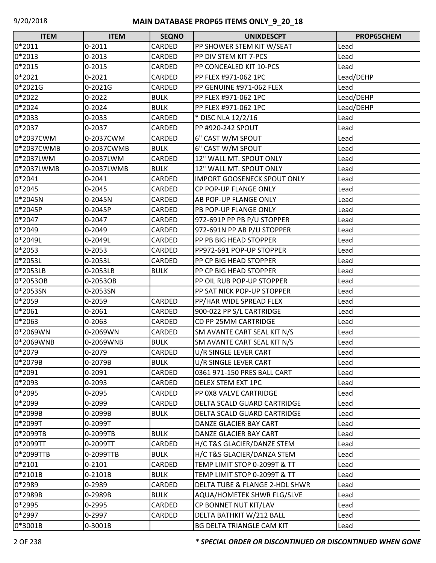| <b>ITEM</b> | <b>ITEM</b> | <b>SEQNO</b>  | <b>UNIXDESCPT</b>                  | PROP65CHEM |
|-------------|-------------|---------------|------------------------------------|------------|
| 0*2011      | $0 - 2011$  | CARDED        | PP SHOWER STEM KIT W/SEAT          | Lead       |
| 0*2013      | $0 - 2013$  | CARDED        | PP DIV STEM KIT 7-PCS              | Lead       |
| 0*2015      | $0 - 2015$  | CARDED        | PP CONCEALED KIT 10-PCS            | Lead       |
| 0*2021      | $0 - 2021$  | CARDED        | PP FLEX #971-062 1PC               | Lead/DEHP  |
| 0*2021G     | 0-2021G     | CARDED        | PP GENUINE #971-062 FLEX           | Lead       |
| $0*2022$    | $0 - 2022$  | <b>BULK</b>   | PP FLEX #971-062 1PC               | Lead/DEHP  |
| 0*2024      | 0-2024      | <b>BULK</b>   | PP FLEX #971-062 1PC               | Lead/DEHP  |
| 0*2033      | 0-2033      | CARDED        | * DISC NLA 12/2/16                 | Lead       |
| 0*2037      | 0-2037      | CARDED        | PP #920-242 SPOUT                  | Lead       |
| 0*2037CWM   | 0-2037CWM   | <b>CARDED</b> | 6" CAST W/M SPOUT                  | Lead       |
| 0*2037CWMB  | 0-2037CWMB  | <b>BULK</b>   | 6" CAST W/M SPOUT                  | Lead       |
| 0*2037LWM   | 0-2037LWM   | CARDED        | 12" WALL MT. SPOUT ONLY            | Lead       |
| 0*2037LWMB  | 0-2037LWMB  | <b>BULK</b>   | 12" WALL MT. SPOUT ONLY            | Lead       |
| $0*2041$    | $0 - 2041$  | CARDED        | <b>IMPORT GOOSENECK SPOUT ONLY</b> | Lead       |
| 0*2045      | $0 - 2045$  | CARDED        | CP POP-UP FLANGE ONLY              | Lead       |
| 0*2045N     | 0-2045N     | CARDED        | AB POP-UP FLANGE ONLY              | Lead       |
| 0*2045P     | 0-2045P     | CARDED        | PB POP-UP FLANGE ONLY              | Lead       |
| 0*2047      | 0-2047      | CARDED        | 972-691P PP PB P/U STOPPER         | Lead       |
| 0*2049      | 0-2049      | CARDED        | 972-691N PP AB P/U STOPPER         | Lead       |
| 0*2049L     | 0-2049L     | CARDED        | PP PB BIG HEAD STOPPER             | Lead       |
| 0*2053      | $0 - 2053$  | CARDED        | PP972-691 POP-UP STOPPER           | Lead       |
| 0*2053L     | 0-2053L     | CARDED        | PP CP BIG HEAD STOPPER             | Lead       |
| 0*2053LB    | 0-2053LB    | <b>BULK</b>   | PP CP BIG HEAD STOPPER             | Lead       |
| 0*2053OB    | 0-2053OB    |               | PP OIL RUB POP-UP STOPPER          | Lead       |
| 0*2053SN    | 0-2053SN    |               | PP SAT NICK POP-UP STOPPER         | Lead       |
| 0*2059      | 0-2059      | CARDED        | PP/HAR WIDE SPREAD FLEX            | Lead       |
| $0*2061$    | 0-2061      | CARDED        | 900-022 PP S/L CARTRIDGE           | Lead       |
| 0*2063      | 0-2063      | CARDED        | CD PP 25MM CARTRIDGE               | Lead       |
| 0*2069WN    | 0-2069WN    | CARDED        | SM AVANTE CART SEAL KIT N/S        | Lead       |
| 0*2069WNB   | 0-2069WNB   | <b>BULK</b>   | SM AVANTE CART SEAL KIT N/S        | Lead       |
| 0*2079      | 0-2079      | CARDED        | U/R SINGLE LEVER CART              | Lead       |
| 0*2079B     | 0-2079B     | <b>BULK</b>   | U/R SINGLE LEVER CART              | Lead       |
| 0*2091      | 0-2091      | CARDED        | 0361 971-150 PRES BALL CART        | Lead       |
| 0*2093      | 0-2093      | CARDED        | DELEX STEM EXT 1PC                 | Lead       |
| 0*2095      | 0-2095      | CARDED        | PP 0X8 VALVE CARTRIDGE             | Lead       |
| 0*2099      | 0-2099      | CARDED        | DELTA SCALD GUARD CARTRIDGE        | Lead       |
| 0*2099B     | 0-2099B     | <b>BULK</b>   | DELTA SCALD GUARD CARTRIDGE        | Lead       |
| 0*2099T     | 0-2099T     |               | DANZE GLACIER BAY CART             | Lead       |
| 0*2099TB    | 0-2099TB    | <b>BULK</b>   | DANZE GLACIER BAY CART             | Lead       |
| 0*2099TT    | 0-2099TT    | CARDED        | H/C T&S GLACIER/DANZE STEM         | Lead       |
| 0*2099TTB   | 0-2099TTB   | <b>BULK</b>   | H/C T&S GLACIER/DANZA STEM         | Lead       |
| $0*2101$    | $0 - 2101$  | CARDED        | TEMP LIMIT STOP 0-2099T & TT       | Lead       |
| 0*2101B     | $0 - 2101B$ | <b>BULK</b>   | TEMP LIMIT STOP 0-2099T & TT       | Lead       |
| 0*2989      | 0-2989      | CARDED        | DELTA TUBE & FLANGE 2-HDL SHWR     | Lead       |
| 0*2989B     | 0-2989B     | <b>BULK</b>   | AQUA/HOMETEK SHWR FLG/SLVE         | Lead       |
| 0*2995      | 0-2995      | CARDED        | CP BONNET NUT KIT/LAV              | Lead       |
| 0*2997      | 0-2997      | CARDED        | DELTA BATHKIT W/212 BALL           | Lead       |
| 0*3001B     | 0-3001B     |               | BG DELTA TRIANGLE CAM KIT          | Lead       |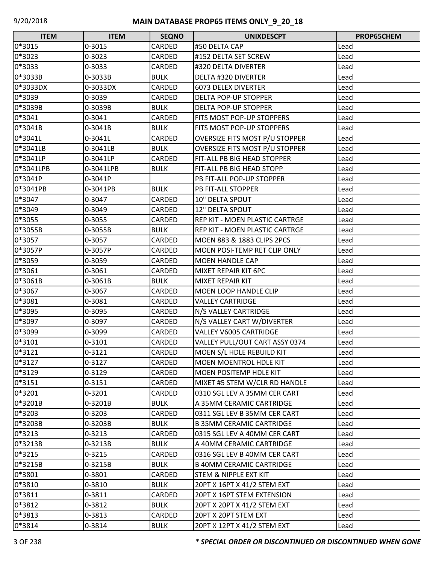| <b>ITEM</b> | <b>ITEM</b> | <b>SEQNO</b> | <b>UNIXDESCPT</b>                     | PROP65CHEM |
|-------------|-------------|--------------|---------------------------------------|------------|
| 0*3015      | 0-3015      | CARDED       | #50 DELTA CAP                         | Lead       |
| 0*3023      | 0-3023      | CARDED       | #152 DELTA SET SCREW                  | Lead       |
| 0*3033      | 0-3033      | CARDED       | #320 DELTA DIVERTER                   | Lead       |
| 0*3033B     | 0-3033B     | <b>BULK</b>  | <b>DELTA #320 DIVERTER</b>            | Lead       |
| 0*3033DX    | 0-3033DX    | CARDED       | <b>6073 DELEX DIVERTER</b>            | Lead       |
| 0*3039      | 0-3039      | CARDED       | DELTA POP-UP STOPPER                  | Lead       |
| 0*3039B     | 0-3039B     | <b>BULK</b>  | DELTA POP-UP STOPPER                  | Lead       |
| 0*3041      | 0-3041      | CARDED       | FITS MOST POP-UP STOPPERS             | Lead       |
| 0*3041B     | 0-3041B     | <b>BULK</b>  | FITS MOST POP-UP STOPPERS             | Lead       |
| 0*3041L     | 0-3041L     | CARDED       | <b>OVERSIZE FITS MOST P/U STOPPER</b> | Lead       |
| 0*3041LB    | 0-3041LB    | <b>BULK</b>  | <b>OVERSIZE FITS MOST P/U STOPPER</b> | Lead       |
| 0*3041LP    | 0-3041LP    | CARDED       | FIT-ALL PB BIG HEAD STOPPER           | Lead       |
| 0*3041LPB   | 0-3041LPB   | <b>BULK</b>  | FIT-ALL PB BIG HEAD STOPP             | Lead       |
| 0*3041P     | 0-3041P     |              | PB FIT-ALL POP-UP STOPPER             | Lead       |
| 0*3041PB    | 0-3041PB    | <b>BULK</b>  | PB FIT-ALL STOPPER                    | Lead       |
| 0*3047      | 0-3047      | CARDED       | 10" DELTA SPOUT                       | Lead       |
| 0*3049      | 0-3049      | CARDED       | 12" DELTA SPOUT                       | Lead       |
| 0*3055      | 0-3055      | CARDED       | REP KIT - MOEN PLASTIC CARTRGE        | Lead       |
| 0*3055B     | 0-3055B     | <b>BULK</b>  | REP KIT - MOEN PLASTIC CARTRGE        | Lead       |
| 0*3057      | 0-3057      | CARDED       | MOEN 883 & 1883 CLIPS 2PCS            | Lead       |
| 0*3057P     | 0-3057P     | CARDED       | MOEN POSI-TEMP RET CLIP ONLY          | Lead       |
| 0*3059      | 0-3059      | CARDED       | <b>MOEN HANDLE CAP</b>                | Lead       |
| 0*3061      | 0-3061      | CARDED       | MIXET REPAIR KIT 6PC                  | Lead       |
| 0*3061B     | 0-3061B     | <b>BULK</b>  | MIXET REPAIR KIT                      | Lead       |
| 0*3067      | 0-3067      | CARDED       | MOEN LOOP HANDLE CLIP                 | Lead       |
| 0*3081      | 0-3081      | CARDED       | <b>VALLEY CARTRIDGE</b>               | Lead       |
| 0*3095      | 0-3095      | CARDED       | N/S VALLEY CARTRIDGE                  | Lead       |
| 0*3097      | 0-3097      | CARDED       | N/S VALLEY CART W/DIVERTER            | Lead       |
| 0*3099      | 0-3099      | CARDED       | VALLEY V6005 CARTRIDGE                | Lead       |
| 0*3101      | 0-3101      | CARDED       | VALLEY PULL/OUT CART ASSY 0374        | Lead       |
| 0*3121      | 0-3121      | CARDED       | MOEN S/L HDLE REBUILD KIT             | Lead       |
| $0*3127$    | 0-3127      | CARDED       | MOEN MOENTROL HDLE KIT                | Lead       |
| 0*3129      | 0-3129      | CARDED       | MOEN POSITEMP HDLE KIT                | Lead       |
| $0*3151$    | 0-3151      | CARDED       | MIXET #5 STEM W/CLR RD HANDLE         | Lead       |
| 0*3201      | 0-3201      | CARDED       | 0310 SGL LEV A 35MM CER CART          | Lead       |
| 0*3201B     | 0-3201B     | <b>BULK</b>  | A 35MM CERAMIC CARTRIDGE              | Lead       |
| 0*3203      | 0-3203      | CARDED       | 0311 SGL LEV B 35MM CER CART          | Lead       |
| 0*3203B     | 0-3203B     | <b>BULK</b>  | <b>B 35MM CERAMIC CARTRIDGE</b>       | Lead       |
| $0*3213$    | 0-3213      | CARDED       | 0315 SGL LEV A 40MM CER CART          | Lead       |
| 0*3213B     | 0-3213B     | <b>BULK</b>  | A 40MM CERAMIC CARTRIDGE              | Lead       |
| 0*3215      | 0-3215      | CARDED       | 0316 SGL LEV B 40MM CER CART          | Lead       |
| 0*3215B     | 0-3215B     | <b>BULK</b>  | <b>B 40MM CERAMIC CARTRIDGE</b>       | Lead       |
| 0*3801      | 0-3801      | CARDED       | STEM & NIPPLE EXT KIT                 | Lead       |
| 0*3810      | 0-3810      | <b>BULK</b>  | 20PT X 16PT X 41/2 STEM EXT           | Lead       |
| 0*3811      | 0-3811      | CARDED       | 20PT X 16PT STEM EXTENSION            | Lead       |
| 0*3812      | 0-3812      | <b>BULK</b>  | 20PT X 20PT X 41/2 STEM EXT           | Lead       |
| 0*3813      | 0-3813      | CARDED       | 20PT X 20PT STEM EXT                  | Lead       |
| 0*3814      | 0-3814      | <b>BULK</b>  | 20PT X 12PT X 41/2 STEM EXT           | Lead       |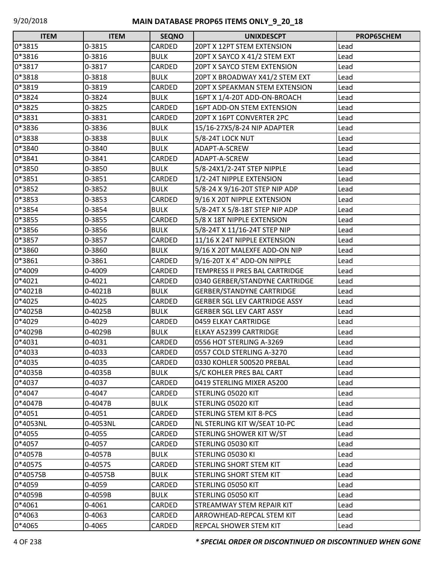| <b>ITEM</b> | <b>ITEM</b> | <b>SEQNO</b> | <b>UNIXDESCPT</b>                    | PROP65CHEM |
|-------------|-------------|--------------|--------------------------------------|------------|
| 0*3815      | 0-3815      | CARDED       | 20PT X 12PT STEM EXTENSION           | Lead       |
| 0*3816      | 0-3816      | <b>BULK</b>  | 20PT X SAYCO X 41/2 STEM EXT         | Lead       |
| 0*3817      | 0-3817      | CARDED       | 20PT X SAYCO STEM EXTENSION          | Lead       |
| 0*3818      | 0-3818      | <b>BULK</b>  | 20PT X BROADWAY X41/2 STEM EXT       | Lead       |
| 0*3819      | 0-3819      | CARDED       | 20PT X SPEAKMAN STEM EXTENSION       | Lead       |
| 0*3824      | 0-3824      | <b>BULK</b>  | 16PT X 1/4-20T ADD-ON-BROACH         | Lead       |
| 0*3825      | 0-3825      | CARDED       | 16PT ADD-ON STEM EXTENSION           | Lead       |
| 0*3831      | 0-3831      | CARDED       | 20PT X 16PT CONVERTER 2PC            | Lead       |
| 0*3836      | 0-3836      | <b>BULK</b>  | 15/16-27X5/8-24 NIP ADAPTER          | Lead       |
| 0*3838      | 0-3838      | <b>BULK</b>  | 5/8-24T LOCK NUT                     | Lead       |
| 0*3840      | 0-3840      | <b>BULK</b>  | ADAPT-A-SCREW                        | Lead       |
| 0*3841      | 0-3841      | CARDED       | ADAPT-A-SCREW                        | Lead       |
| 0*3850      | 0-3850      | <b>BULK</b>  | 5/8-24X1/2-24T STEP NIPPLE           | Lead       |
| 0*3851      | 0-3851      | CARDED       | 1/2-24T NIPPLE EXTENSION             | Lead       |
| 0*3852      | 0-3852      | <b>BULK</b>  | 5/8-24 X 9/16-20T STEP NIP ADP       | Lead       |
| 0*3853      | 0-3853      | CARDED       | 9/16 X 20T NIPPLE EXTENSION          | Lead       |
| 0*3854      | 0-3854      | <b>BULK</b>  | 5/8-24T X 5/8-18T STEP NIP ADP       | Lead       |
| 0*3855      | 0-3855      | CARDED       | 5/8 X 18T NIPPLE EXTENSION           | Lead       |
| 0*3856      | 0-3856      | <b>BULK</b>  | 5/8-24T X 11/16-24T STEP NIP         | Lead       |
| 0*3857      | 0-3857      | CARDED       | 11/16 X 24T NIPPLE EXTENSION         | Lead       |
| 0*3860      | 0-3860      | <b>BULK</b>  | 9/16 X 20T MALEXFE ADD-ON NIP        | Lead       |
| 0*3861      | 0-3861      | CARDED       | 9/16-20T X 4" ADD-ON NIPPLE          | Lead       |
| 0*4009      | 0-4009      | CARDED       | TEMPRESS II PRES BAL CARTRIDGE       | Lead       |
| 0*4021      | $0 - 4021$  | CARDED       | 0340 GERBER/STANDYNE CARTRIDGE       | Lead       |
| 0*4021B     | 0-4021B     | <b>BULK</b>  | <b>GERBER/STANDYNE CARTRIDGE</b>     | Lead       |
| 0*4025      | 0-4025      | CARDED       | <b>GERBER SGL LEV CARTRIDGE ASSY</b> | Lead       |
| 0*4025B     | 0-4025B     | <b>BULK</b>  | <b>GERBER SGL LEV CART ASSY</b>      | Lead       |
| 0*4029      | 0-4029      | CARDED       | 0459 ELKAY CARTRIDGE                 | Lead       |
| 0*4029B     | 0-4029B     | <b>BULK</b>  | ELKAY A52399 CARTRIDGE               | Lead       |
| 0*4031      | 0-4031      | CARDED       | 0556 HOT STERLING A-3269             | Lead       |
| 0*4033      | 0-4033      | CARDED       | 0557 COLD STERLING A-3270            | Lead       |
| 0*4035      | 0-4035      | CARDED       | 0330 KOHLER 500520 PREBAL            | Lead       |
| 0*4035B     | 0-4035B     | <b>BULK</b>  | S/C KOHLER PRES BAL CART             | Lead       |
| 0*4037      | 0-4037      | CARDED       | 0419 STERLING MIXER A5200            | Lead       |
| 0*4047      | 0-4047      | CARDED       | STERLING 05020 KIT                   | Lead       |
| 0*4047B     | 0-4047B     | <b>BULK</b>  | STERLING 05020 KIT                   | Lead       |
| 0*4051      | 0-4051      | CARDED       | STERLING STEM KIT 8-PCS              | Lead       |
| 0*4053NL    | 0-4053NL    | CARDED       | NL STERLING KIT W/SEAT 10-PC         | Lead       |
| 0*4055      | 0-4055      | CARDED       | STERLING SHOWER KIT W/ST             | Lead       |
| 0*4057      | 0-4057      | CARDED       | STERLING 05030 KIT                   | Lead       |
| 0*4057B     | 0-4057B     | <b>BULK</b>  | STERLING 05030 KI                    | Lead       |
| 0*4057S     | 0-4057S     | CARDED       | STERLING SHORT STEM KIT              | Lead       |
| 0*4057SB    | 0-4057SB    | <b>BULK</b>  | <b>STERLING SHORT STEM KIT</b>       | Lead       |
| 0*4059      | 0-4059      | CARDED       | STERLING 05050 KIT                   | Lead       |
| 0*4059B     | 0-4059B     | <b>BULK</b>  | STERLING 05050 KIT                   | Lead       |
| 0*4061      | 0-4061      | CARDED       | STREAMWAY STEM REPAIR KIT            | Lead       |
| 0*4063      | 0-4063      | CARDED       | ARROWHEAD-REPCAL STEM KIT            | Lead       |
| 0*4065      | 0-4065      | CARDED       | REPCAL SHOWER STEM KIT               | Lead       |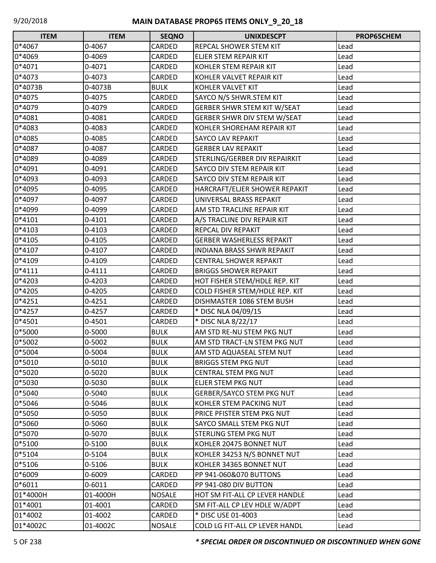| <b>ITEM</b> | <b>ITEM</b> | <b>SEQNO</b>  | <b>UNIXDESCPT</b>                  | <b>PROP65CHEM</b> |
|-------------|-------------|---------------|------------------------------------|-------------------|
| 0*4067      | 0-4067      | CARDED        | REPCAL SHOWER STEM KIT             | Lead              |
| 0*4069      | 0-4069      | CARDED        | ELJER STEM REPAIR KIT              | Lead              |
| 0*4071      | 0-4071      | CARDED        | KOHLER STEM REPAIR KIT             | Lead              |
| 0*4073      | 0-4073      | CARDED        | KOHLER VALVET REPAIR KIT           | Lead              |
| 0*4073B     | 0-4073B     | <b>BULK</b>   | KOHLER VALVET KIT                  | Lead              |
| 0*4075      | 0-4075      | CARDED        | SAYCO N/S SHWR.STEM KIT            | Lead              |
| 0*4079      | 0-4079      | CARDED        | <b>GERBER SHWR STEM KIT W/SEAT</b> | Lead              |
| 0*4081      | 0-4081      | CARDED        | GERBER SHWR DIV STEM W/SEAT        | Lead              |
| 0*4083      | 0-4083      | CARDED        | KOHLER SHOREHAM REPAIR KIT         | Lead              |
| 0*4085      | 0-4085      | CARDED        | SAYCO LAV REPAKIT                  | Lead              |
| 0*4087      | 0-4087      | CARDED        | <b>GERBER LAV REPAKIT</b>          | Lead              |
| 0*4089      | 0-4089      | CARDED        | STERLING/GERBER DIV REPAIRKIT      | Lead              |
| 0*4091      | 0-4091      | CARDED        | SAYCO DIV STEM REPAIR KIT          | Lead              |
| 0*4093      | 0-4093      | CARDED        | SAYCO DIV STEM REPAIR KIT          | Lead              |
| 0*4095      | 0-4095      | CARDED        | HARCRAFT/ELJER SHOWER REPAKIT      | Lead              |
| 0*4097      | 0-4097      | CARDED        | UNIVERSAL BRASS REPAKIT            | Lead              |
| 0*4099      | 0-4099      | CARDED        | AM STD TRACLINE REPAIR KIT         | Lead              |
| $0*4101$    | 0-4101      | CARDED        | A/S TRACLINE DIV REPAIR KIT        | Lead              |
| 0*4103      | 0-4103      | CARDED        | REPCAL DIV REPAKIT                 | Lead              |
| 0*4105      | 0-4105      | CARDED        | <b>GERBER WASHERLESS REPAKIT</b>   | Lead              |
| $0*4107$    | 0-4107      | CARDED        | <b>INDIANA BRASS SHWR REPAKIT</b>  | Lead              |
| 0*4109      | 0-4109      | CARDED        | <b>CENTRAL SHOWER REPAKIT</b>      | Lead              |
| 0*4111      | 0-4111      | CARDED        | <b>BRIGGS SHOWER REPAKIT</b>       | Lead              |
| 0*4203      | 0-4203      | CARDED        | HOT FISHER STEM/HDLE REP. KIT      | Lead              |
| 0*4205      | 0-4205      | CARDED        | COLD FISHER STEM/HDLE REP. KIT     | Lead              |
| $0*4251$    | $0 - 4251$  | CARDED        | DISHMASTER 1086 STEM BUSH          | Lead              |
| 0*4257      | 0-4257      | CARDED        | * DISC NLA 04/09/15                | Lead              |
| 0*4501      | 0-4501      | CARDED        | * DISC NLA 8/22/17                 | Lead              |
| 0*5000      | 0-5000      | <b>BULK</b>   | AM STD RE-NU STEM PKG NUT          | Lead              |
| 0*5002      | 0-5002      | <b>BULK</b>   | AM STD TRACT-LN STEM PKG NUT       | Lead              |
| 0*5004      | 0-5004      | <b>BULK</b>   | AM STD AQUASEAL STEM NUT           | Lead              |
| 0*5010      | 0-5010      | <b>BULK</b>   | <b>BRIGGS STEM PKG NUT</b>         | Lead              |
| 0*5020      | 0-5020      | <b>BULK</b>   | <b>CENTRAL STEM PKG NUT</b>        | Lead              |
| 0*5030      | 0-5030      | <b>BULK</b>   | ELJER STEM PKG NUT                 | Lead              |
| 0*5040      | 0-5040      | <b>BULK</b>   | <b>GERBER/SAYCO STEM PKG NUT</b>   | Lead              |
| 0*5046      | 0-5046      | <b>BULK</b>   | KOHLER STEM PACKING NUT            | Lead              |
| 0*5050      | 0-5050      | <b>BULK</b>   | PRICE PFISTER STEM PKG NUT         | Lead              |
| 0*5060      | 0-5060      | <b>BULK</b>   | SAYCO SMALL STEM PKG NUT           | Lead              |
| 0*5070      | 0-5070      | <b>BULK</b>   | STERLING STEM PKG NUT              | Lead              |
| 0*5100      | 0-5100      | <b>BULK</b>   | KOHLER 20475 BONNET NUT            | Lead              |
| 0*5104      | 0-5104      | <b>BULK</b>   | KOHLER 34253 N/S BONNET NUT        | Lead              |
| 0*5106      | 0-5106      | <b>BULK</b>   | KOHLER 34365 BONNET NUT            | Lead              |
| 0*6009      | 0-6009      | CARDED        | PP 941-060&070 BUTTONS             | Lead              |
| $0*6011$    | 0-6011      | CARDED        | PP 941-080 DIV BUTTON              | Lead              |
| 01*4000H    | 01-4000H    | <b>NOSALE</b> | HOT SM FIT-ALL CP LEVER HANDLE     | Lead              |
| 01*4001     | 01-4001     | CARDED        | SM FIT-ALL CP LEV HDLE W/ADPT      | Lead              |
| 01*4002     | 01-4002     | CARDED        | * DISC USE 01-4003                 | Lead              |
| 01*4002C    | 01-4002C    | <b>NOSALE</b> | COLD LG FIT-ALL CP LEVER HANDL     | Lead              |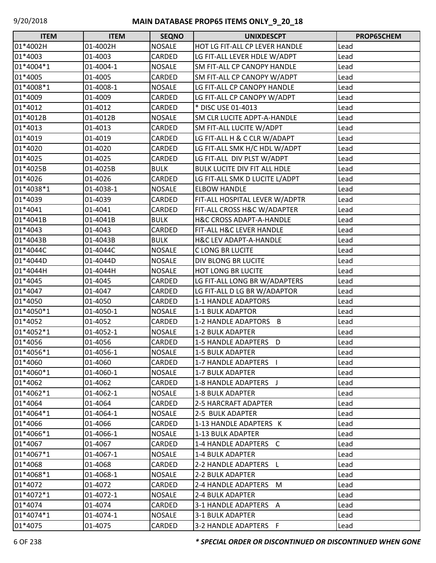| <b>ITEM</b> | <b>ITEM</b> | <b>SEQNO</b>  | <b>UNIXDESCPT</b>                   | PROP65CHEM |
|-------------|-------------|---------------|-------------------------------------|------------|
| 01*4002H    | 01-4002H    | <b>NOSALE</b> | HOT LG FIT-ALL CP LEVER HANDLE      | Lead       |
| 01*4003     | 01-4003     | CARDED        | LG FIT-ALL LEVER HDLE W/ADPT        | Lead       |
| 01*4004*1   | 01-4004-1   | <b>NOSALE</b> | <b>SM FIT-ALL CP CANOPY HANDLE</b>  | Lead       |
| 01*4005     | 01-4005     | CARDED        | SM FIT-ALL CP CANOPY W/ADPT         | Lead       |
| 01*4008*1   | 01-4008-1   | <b>NOSALE</b> | LG FIT-ALL CP CANOPY HANDLE         | Lead       |
| 01*4009     | 01-4009     | CARDED        | LG FIT-ALL CP CANOPY W/ADPT         | Lead       |
| 01*4012     | 01-4012     | CARDED        | * DISC USE 01-4013                  | Lead       |
| 01*4012B    | 01-4012B    | <b>NOSALE</b> | SM CLR LUCITE ADPT-A-HANDLE         | Lead       |
| 01*4013     | 01-4013     | CARDED        | SM FIT-ALL LUCITE W/ADPT            | Lead       |
| 01*4019     | 01-4019     | CARDED        | LG FIT-ALL H & C CLR W/ADAPT        | Lead       |
| 01*4020     | 01-4020     | CARDED        | LG FIT-ALL SMK H/C HDL W/ADPT       | Lead       |
| 01*4025     | 01-4025     | CARDED        | LG FIT-ALL DIV PLST W/ADPT          | Lead       |
| 01*4025B    | 01-4025B    | <b>BULK</b>   | <b>BULK LUCITE DIV FIT ALL HDLE</b> | Lead       |
| 01*4026     | 01-4026     | CARDED        | LG FIT-ALL SMK D LUCITE L/ADPT      | Lead       |
| 01*4038*1   | 01-4038-1   | <b>NOSALE</b> | <b>ELBOW HANDLE</b>                 | Lead       |
| 01*4039     | 01-4039     | CARDED        | FIT-ALL HOSPITAL LEVER W/ADPTR      | Lead       |
| 01*4041     | 01-4041     | CARDED        | FIT-ALL CROSS H&C W/ADAPTER         | Lead       |
| 01*4041B    | 01-4041B    | <b>BULK</b>   | H&C CROSS ADAPT-A-HANDLE            | Lead       |
| 01*4043     | 01-4043     | CARDED        | FIT-ALL H&C LEVER HANDLE            | Lead       |
| 01*4043B    | 01-4043B    | <b>BULK</b>   | <b>H&amp;C LEV ADAPT-A-HANDLE</b>   | Lead       |
| 01*4044C    | 01-4044C    | <b>NOSALE</b> | <b>CLONG BR LUCITE</b>              | Lead       |
| 01*4044D    | 01-4044D    | <b>NOSALE</b> | DIV BLONG BR LUCITE                 | Lead       |
| 01*4044H    | 01-4044H    | <b>NOSALE</b> | <b>HOT LONG BR LUCITE</b>           | Lead       |
| 01*4045     | 01-4045     | CARDED        | LG FIT-ALL LONG BR W/ADAPTERS       | Lead       |
| 01*4047     | 01-4047     | CARDED        | LG FIT-ALL D LG BR W/ADAPTOR        | Lead       |
| 01*4050     | 01-4050     | CARDED        | 1-1 HANDLE ADAPTORS                 | Lead       |
| 01*4050*1   | 01-4050-1   | <b>NOSALE</b> | <b>1-1 BULK ADAPTOR</b>             | Lead       |
| 01*4052     | 01-4052     | CARDED        | 1-2 HANDLE ADAPTORS B               | Lead       |
| 01*4052*1   | 01-4052-1   | <b>NOSALE</b> | <b>1-2 BULK ADAPTER</b>             | Lead       |
| 01*4056     | 01-4056     | CARDED        | 1-5 HANDLE ADAPTERS D               | Lead       |
| 01*4056*1   | 01-4056-1   | <b>NOSALE</b> | 1-5 BULK ADAPTER                    | Lead       |
| 01*4060     | 01-4060     | CARDED        | 1-7 HANDLE ADAPTERS                 | Lead       |
| 01*4060*1   | 01-4060-1   | <b>NOSALE</b> | 1-7 BULK ADAPTER                    | Lead       |
| 01*4062     | 01-4062     | CARDED        | 1-8 HANDLE ADAPTERS J               | Lead       |
| 01*4062*1   | 01-4062-1   | <b>NOSALE</b> | 1-8 BULK ADAPTER                    | Lead       |
| 01*4064     | 01-4064     | CARDED        | 2-5 HARCRAFT ADAPTER                | Lead       |
| 01*4064*1   | 01-4064-1   | <b>NOSALE</b> | 2-5 BULK ADAPTER                    | Lead       |
| 01*4066     | 01-4066     | CARDED        | 1-13 HANDLE ADAPTERS K              | Lead       |
| 01*4066*1   | 01-4066-1   | <b>NOSALE</b> | 1-13 BULK ADAPTER                   | Lead       |
| 01*4067     | 01-4067     | CARDED        | 1-4 HANDLE ADAPTERS C               | Lead       |
| 01*4067*1   | 01-4067-1   | <b>NOSALE</b> | 1-4 BULK ADAPTER                    | Lead       |
| 01*4068     | 01-4068     | CARDED        | 2-2 HANDLE ADAPTERS L               | Lead       |
| 01*4068*1   | 01-4068-1   | <b>NOSALE</b> | 2-2 BULK ADAPTER                    | Lead       |
| 01*4072     | 01-4072     | CARDED        | 2-4 HANDLE ADAPTERS<br>M            | Lead       |
| 01*4072*1   | 01-4072-1   | <b>NOSALE</b> | 2-4 BULK ADAPTER                    | Lead       |
| 01*4074     | 01-4074     | CARDED        | 3-1 HANDLE ADAPTERS A               | Lead       |
| 01*4074*1   | 01-4074-1   | <b>NOSALE</b> | 3-1 BULK ADAPTER                    | Lead       |
| 01*4075     | 01-4075     | CARDED        | 3-2 HANDLE ADAPTERS F               | Lead       |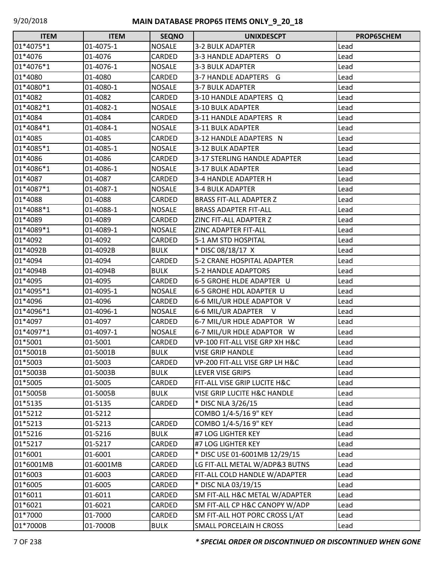| <b>ITEM</b> | <b>ITEM</b> | <b>SEQNO</b>  | <b>UNIXDESCPT</b>                      | PROP65CHEM |
|-------------|-------------|---------------|----------------------------------------|------------|
| 01*4075*1   | 01-4075-1   | <b>NOSALE</b> | <b>3-2 BULK ADAPTER</b>                | Lead       |
| 01*4076     | 01-4076     | CARDED        | 3-3 HANDLE ADAPTERS O                  | Lead       |
| 01*4076*1   | 01-4076-1   | <b>NOSALE</b> | <b>3-3 BULK ADAPTER</b>                | Lead       |
| 01*4080     | 01-4080     | CARDED        | 3-7 HANDLE ADAPTERS G                  | Lead       |
| 01*4080*1   | 01-4080-1   | <b>NOSALE</b> | <b>3-7 BULK ADAPTER</b>                | Lead       |
| 01*4082     | 01-4082     | CARDED        | 3-10 HANDLE ADAPTERS Q                 | Lead       |
| 01*4082*1   | 01-4082-1   | <b>NOSALE</b> | <b>3-10 BULK ADAPTER</b>               | Lead       |
| 01*4084     | 01-4084     | CARDED        | 3-11 HANDLE ADAPTERS R                 | Lead       |
| 01*4084*1   | 01-4084-1   | <b>NOSALE</b> | 3-11 BULK ADAPTER                      | Lead       |
| 01*4085     | 01-4085     | CARDED        | 3-12 HANDLE ADAPTERS N                 | Lead       |
| 01*4085*1   | 01-4085-1   | <b>NOSALE</b> | 3-12 BULK ADAPTER                      | Lead       |
| 01*4086     | 01-4086     | CARDED        | 3-17 STERLING HANDLE ADAPTER           | Lead       |
| 01*4086*1   | 01-4086-1   | <b>NOSALE</b> | 3-17 BULK ADAPTER                      | Lead       |
| 01*4087     | 01-4087     | CARDED        | 3-4 HANDLE ADAPTER H                   | Lead       |
| 01*4087*1   | 01-4087-1   | <b>NOSALE</b> | <b>3-4 BULK ADAPTER</b>                | Lead       |
| 01*4088     | 01-4088     | CARDED        | <b>BRASS FIT-ALL ADAPTER Z</b>         | Lead       |
| 01*4088*1   | 01-4088-1   | <b>NOSALE</b> | <b>BRASS ADAPTER FIT-ALL</b>           | Lead       |
| 01*4089     | 01-4089     | CARDED        | ZINC FIT-ALL ADAPTER Z                 | Lead       |
| 01*4089*1   | 01-4089-1   | <b>NOSALE</b> | ZINC ADAPTER FIT-ALL                   | Lead       |
| 01*4092     | 01-4092     | CARDED        | 5-1 AM STD HOSPITAL                    | Lead       |
| 01*4092B    | 01-4092B    | <b>BULK</b>   | * DISC 08/18/17 X                      | Lead       |
| 01*4094     | 01-4094     | CARDED        | 5-2 CRANE HOSPITAL ADAPTER             | Lead       |
| 01*4094B    | 01-4094B    | <b>BULK</b>   | 5-2 HANDLE ADAPTORS                    | Lead       |
| 01*4095     | 01-4095     | CARDED        | 6-5 GROHE HLDE ADAPTER U               | Lead       |
| 01*4095*1   | 01-4095-1   | <b>NOSALE</b> | 6-5 GROHE HDL ADAPTER U                | Lead       |
| 01*4096     | 01-4096     | CARDED        | 6-6 MIL/UR HDLE ADAPTOR V              | Lead       |
| 01*4096*1   | 01-4096-1   | <b>NOSALE</b> | 6-6 MIL/UR ADAPTER V                   | Lead       |
| 01*4097     | 01-4097     | CARDED        | 6-7 MIL/UR HDLE ADAPTOR W              | Lead       |
| 01*4097*1   | 01-4097-1   | <b>NOSALE</b> | 6-7 MIL/UR HDLE ADAPTOR W              | Lead       |
| 01*5001     | 01-5001     | CARDED        | VP-100 FIT-ALL VISE GRP XH H&C         | Lead       |
| 01*5001B    | 01-5001B    | <b>BULK</b>   | <b>VISE GRIP HANDLE</b>                | Lead       |
| 01*5003     | 01-5003     | CARDED        | VP-200 FIT-ALL VISE GRP LH H&C         | Lead       |
| 01*5003B    | 01-5003B    | <b>BULK</b>   | <b>LEVER VISE GRIPS</b>                | Lead       |
| 01*5005     | 01-5005     | CARDED        | FIT-ALL VISE GRIP LUCITE H&C           | Lead       |
| 01*5005B    | 01-5005B    | <b>BULK</b>   | <b>VISE GRIP LUCITE H&amp;C HANDLE</b> | Lead       |
| 01*5135     | 01-5135     | CARDED        | * DISC NLA 3/26/15                     | Lead       |
| 01*5212     | 01-5212     |               | COMBO 1/4-5/16 9" KEY                  | Lead       |
| 01*5213     | 01-5213     | CARDED        | COMBO 1/4-5/16 9" KEY                  | Lead       |
| 01*5216     | 01-5216     | <b>BULK</b>   | #7 LOG LIGHTER KEY                     | Lead       |
| 01*5217     | 01-5217     | CARDED        | #7 LOG LIGHTER KEY                     | Lead       |
| 01*6001     | 01-6001     | CARDED        | * DISC USE 01-6001MB 12/29/15          | Lead       |
| 01*6001MB   | 01-6001MB   | CARDED        | LG FIT-ALL METAL W/ADP&3 BUTNS         | Lead       |
| 01*6003     | 01-6003     | CARDED        | FIT-ALL COLD HANDLE W/ADAPTER          | Lead       |
| 01*6005     | 01-6005     | CARDED        | * DISC NLA 03/19/15                    | Lead       |
| 01*6011     | 01-6011     | CARDED        | SM FIT-ALL H&C METAL W/ADAPTER         | Lead       |
| 01*6021     | 01-6021     | CARDED        | SM FIT-ALL CP H&C CANOPY W/ADP         | Lead       |
| 01*7000     | 01-7000     | CARDED        | SM FIT-ALL HOT PORC CROSS L/AT         | Lead       |
| 01*7000B    | 01-7000B    | <b>BULK</b>   | SMALL PORCELAIN H CROSS                | Lead       |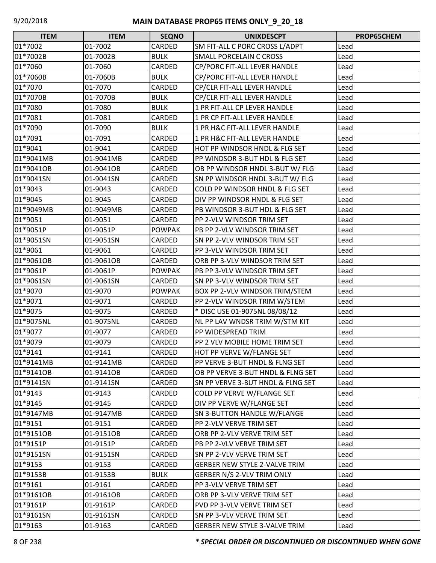| <b>ITEM</b> | <b>ITEM</b> | <b>SEQNO</b>  | <b>UNIXDESCPT</b>                    | PROP65CHEM |
|-------------|-------------|---------------|--------------------------------------|------------|
| 01*7002     | 01-7002     | CARDED        | SM FIT-ALL C PORC CROSS L/ADPT       | Lead       |
| 01*7002B    | 01-7002B    | <b>BULK</b>   | <b>SMALL PORCELAIN C CROSS</b>       | Lead       |
| 01*7060     | 01-7060     | CARDED        | CP/PORC FIT-ALL LEVER HANDLE         | Lead       |
| 01*7060B    | 01-7060B    | <b>BULK</b>   | CP/PORC FIT-ALL LEVER HANDLE         | Lead       |
| 01*7070     | 01-7070     | CARDED        | CP/CLR FIT-ALL LEVER HANDLE          | Lead       |
| 01*7070B    | 01-7070B    | <b>BULK</b>   | CP/CLR FIT-ALL LEVER HANDLE          | Lead       |
| 01*7080     | 01-7080     | <b>BULK</b>   | 1 PR FIT-ALL CP LEVER HANDLE         | Lead       |
| 01*7081     | 01-7081     | CARDED        | 1 PR CP FIT-ALL LEVER HANDLE         | Lead       |
| 01*7090     | 01-7090     | <b>BULK</b>   | 1 PR H&C FIT-ALL LEVER HANDLE        | Lead       |
| 01*7091     | 01-7091     | CARDED        | 1 PR H&C FIT-ALL LEVER HANDLE        | Lead       |
| 01*9041     | 01-9041     | CARDED        | HOT PP WINDSOR HNDL & FLG SET        | Lead       |
| 01*9041MB   | 01-9041MB   | CARDED        | PP WINDSOR 3-BUT HDL & FLG SET       | Lead       |
| 01*9041OB   | 01-9041OB   | CARDED        | OB PP WINDSOR HNDL 3-BUT W/ FLG      | Lead       |
| 01*9041SN   | 01-9041SN   | CARDED        | SN PP WINDSOR HNDL 3-BUT W/ FLG      | Lead       |
| 01*9043     | 01-9043     | CARDED        | COLD PP WINDSOR HNDL & FLG SET       | Lead       |
| 01*9045     | 01-9045     | CARDED        | DIV PP WINDSOR HNDL & FLG SET        | Lead       |
| 01*9049MB   | 01-9049MB   | CARDED        | PB WINDSOR 3-BUT HDL & FLG SET       | Lead       |
| 01*9051     | 01-9051     | CARDED        | PP 2-VLV WINDSOR TRIM SET            | Lead       |
| 01*9051P    | 01-9051P    | <b>POWPAK</b> | PB PP 2-VLV WINDSOR TRIM SET         | Lead       |
| 01*9051SN   | 01-9051SN   | CARDED        | SN PP 2-VLV WINDSOR TRIM SET         | Lead       |
| 01*9061     | 01-9061     | CARDED        | PP 3-VLV WINDSOR TRIM SET            | Lead       |
| 01*9061OB   | 01-9061OB   | CARDED        | ORB PP 3-VLV WINDSOR TRIM SET        | Lead       |
| 01*9061P    | 01-9061P    | <b>POWPAK</b> | PB PP 3-VLV WINDSOR TRIM SET         | Lead       |
| 01*9061SN   | 01-9061SN   | CARDED        | SN PP 3-VLV WINDSOR TRIM SET         | Lead       |
| 01*9070     | 01-9070     | <b>POWPAK</b> | BOX PP 2-VLV WINDSOR TRIM/STEM       | Lead       |
| 01*9071     | 01-9071     | CARDED        | PP 2-VLV WINDSOR TRIM W/STEM         | Lead       |
| 01*9075     | 01-9075     | CARDED        | * DISC USE 01-9075NL 08/08/12        | Lead       |
| 01*9075NL   | 01-9075NL   | CARDED        | NL PP LAV WNDSR TRIM W/STM KIT       | Lead       |
| 01*9077     | 01-9077     | CARDED        | PP WIDESPREAD TRIM                   | Lead       |
| 01*9079     | 01-9079     | CARDED        | PP 2 VLV MOBILE HOME TRIM SET        | Lead       |
| 01*9141     | 01-9141     | <b>CARDED</b> | HOT PP VERVE W/FLANGE SET            | Lead       |
| 01*9141MB   | 01-9141MB   | CARDED        | PP VERVE 3-BUT HNDL & FLNG SET       | Lead       |
| 01*9141OB   | 01-9141OB   | CARDED        | OB PP VERVE 3-BUT HNDL & FLNG SET    | Lead       |
| 01*9141SN   | 01-9141SN   | CARDED        | SN PP VERVE 3-BUT HNDL & FLNG SET    | Lead       |
| 01*9143     | 01-9143     | CARDED        | COLD PP VERVE W/FLANGE SET           | Lead       |
| 01*9145     | 01-9145     | CARDED        | DIV PP VERVE W/FLANGE SET            | Lead       |
| 01*9147MB   | 01-9147MB   | CARDED        | SN 3-BUTTON HANDLE W/FLANGE          | Lead       |
| 01*9151     | 01-9151     | CARDED        | PP 2-VLV VERVE TRIM SET              | Lead       |
| 01*9151OB   | 01-9151OB   | CARDED        | ORB PP 2-VLV VERVE TRIM SET          | Lead       |
| 01*9151P    | 01-9151P    | CARDED        | PB PP 2-VLV VERVE TRIM SET           | Lead       |
| 01*9151SN   | 01-9151SN   | CARDED        | SN PP 2-VLV VERVE TRIM SET           | Lead       |
| 01*9153     | 01-9153     | CARDED        | <b>GERBER NEW STYLE 2-VALVE TRIM</b> | Lead       |
| 01*9153B    | 01-9153B    | <b>BULK</b>   | GERBER N/S 2-VLV TRIM ONLY           | Lead       |
| 01*9161     | 01-9161     | CARDED        | PP 3-VLV VERVE TRIM SET              | Lead       |
| 01*9161OB   | 01-9161OB   | CARDED        | ORB PP 3-VLV VERVE TRIM SET          | Lead       |
| 01*9161P    | 01-9161P    | CARDED        | PVD PP 3-VLV VERVE TRIM SET          | Lead       |
| 01*9161SN   | 01-9161SN   | CARDED        | SN PP 3-VLV VERVE TRIM SET           | Lead       |
| 01*9163     | 01-9163     | CARDED        | <b>GERBER NEW STYLE 3-VALVE TRIM</b> | Lead       |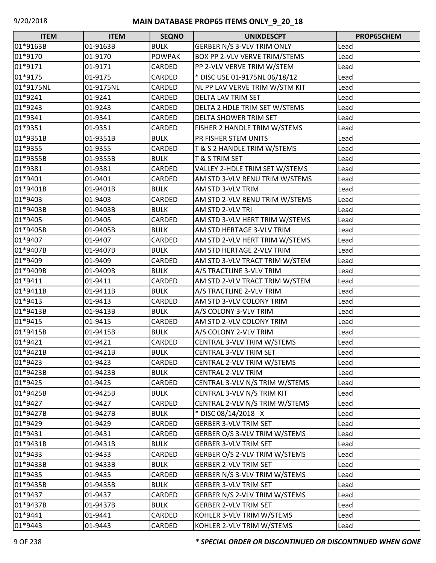| <b>ITEM</b> | <b>ITEM</b> | <b>SEQNO</b>  | <b>UNIXDESCPT</b>              | PROP65CHEM |
|-------------|-------------|---------------|--------------------------------|------------|
| 01*9163B    | 01-9163B    | <b>BULK</b>   | GERBER N/S 3-VLV TRIM ONLY     | Lead       |
| 01*9170     | 01-9170     | <b>POWPAK</b> | BOX PP 2-VLV VERVE TRIM/STEMS  | Lead       |
| 01*9171     | 01-9171     | CARDED        | PP 2-VLV VERVE TRIM W/STEM     | Lead       |
| 01*9175     | 01-9175     | CARDED        | * DISC USE 01-9175NL 06/18/12  | Lead       |
| 01*9175NL   | 01-9175NL   | CARDED        | NL PP LAV VERVE TRIM W/STM KIT | Lead       |
| 01*9241     | 01-9241     | CARDED        | DELTA LAV TRIM SET             | Lead       |
| 01*9243     | 01-9243     | CARDED        | DELTA 2 HDLE TRIM SET W/STEMS  | Lead       |
| 01*9341     | 01-9341     | CARDED        | DELTA SHOWER TRIM SET          | Lead       |
| 01*9351     | 01-9351     | CARDED        | FISHER 2 HANDLE TRIM W/STEMS   | Lead       |
| 01*9351B    | 01-9351B    | <b>BULK</b>   | PR FISHER STEM UNITS           | Lead       |
| 01*9355     | 01-9355     | CARDED        | T & S 2 HANDLE TRIM W/STEMS    | Lead       |
| 01*9355B    | 01-9355B    | <b>BULK</b>   | T & S TRIM SET                 | Lead       |
| 01*9381     | 01-9381     | CARDED        | VALLEY 2-HDLE TRIM SET W/STEMS | Lead       |
| 01*9401     | 01-9401     | CARDED        | AM STD 3-VLV RENU TRIM W/STEMS | Lead       |
| 01*9401B    | 01-9401B    | <b>BULK</b>   | AM STD 3-VLV TRIM              | Lead       |
| 01*9403     | 01-9403     | CARDED        | AM STD 2-VLV RENU TRIM W/STEMS | Lead       |
| 01*9403B    | 01-9403B    | <b>BULK</b>   | AM STD 2-VLV TRI               | Lead       |
| 01*9405     | 01-9405     | CARDED        | AM STD 3-VLV HERT TRIM W/STEMS | Lead       |
| 01*9405B    | 01-9405B    | <b>BULK</b>   | AM STD HERTAGE 3-VLV TRIM      | Lead       |
| 01*9407     | 01-9407     | CARDED        | AM STD 2-VLV HERT TRIM W/STEMS | Lead       |
| 01*9407B    | 01-9407B    | <b>BULK</b>   | AM STD HERTAGE 2-VLV TRIM      | Lead       |
| 01*9409     | 01-9409     | CARDED        | AM STD 3-VLV TRACT TRIM W/STEM | Lead       |
| 01*9409B    | 01-9409B    | <b>BULK</b>   | A/S TRACTLINE 3-VLV TRIM       | Lead       |
| 01*9411     | 01-9411     | CARDED        | AM STD 2-VLV TRACT TRIM W/STEM | Lead       |
| 01*9411B    | 01-9411B    | <b>BULK</b>   | A/S TRACTLINE 2-VLV TRIM       | Lead       |
| 01*9413     | 01-9413     | CARDED        | AM STD 3-VLV COLONY TRIM       | Lead       |
| 01*9413B    | 01-9413B    | <b>BULK</b>   | A/S COLONY 3-VLV TRIM          | Lead       |
| 01*9415     | 01-9415     | CARDED        | AM STD 2-VLV COLONY TRIM       | Lead       |
| 01*9415B    | 01-9415B    | <b>BULK</b>   | A/S COLONY 2-VLV TRIM          | Lead       |
| 01*9421     | 01-9421     | CARDED        | CENTRAL 3-VLV TRIM W/STEMS     | Lead       |
| 01*9421B    | 01-9421B    | <b>BULK</b>   | CENTRAL 3-VLV TRIM SET         | Lead       |
| 01*9423     | 01-9423     | CARDED        | CENTRAL 2-VLV TRIM W/STEMS     | Lead       |
| 01*9423B    | 01-9423B    | <b>BULK</b>   | <b>CENTRAL 2-VLV TRIM</b>      | Lead       |
| 01*9425     | 01-9425     | CARDED        | CENTRAL 3-VLV N/S TRIM W/STEMS | Lead       |
| 01*9425B    | 01-9425B    | <b>BULK</b>   | CENTRAL 3-VLV N/S TRIM KIT     | Lead       |
| 01*9427     | 01-9427     | CARDED        | CENTRAL 2-VLV N/S TRIM W/STEMS | Lead       |
| 01*9427B    | 01-9427B    | <b>BULK</b>   | * DISC 08/14/2018 X            | Lead       |
| 01*9429     | 01-9429     | CARDED        | <b>GERBER 3-VLV TRIM SET</b>   | Lead       |
| 01*9431     | 01-9431     | CARDED        | GERBER O/S 3-VLV TRIM W/STEMS  | Lead       |
| 01*9431B    | 01-9431B    | <b>BULK</b>   | <b>GERBER 3-VLV TRIM SET</b>   | Lead       |
| 01*9433     | 01-9433     | CARDED        | GERBER O/S 2-VLV TRIM W/STEMS  | Lead       |
| 01*9433B    | 01-9433B    | <b>BULK</b>   | <b>GERBER 2-VLV TRIM SET</b>   | Lead       |
| 01*9435     | 01-9435     | CARDED        | GERBER N/S 3-VLV TRIM W/STEMS  | Lead       |
| 01*9435B    | 01-9435B    | <b>BULK</b>   | <b>GERBER 3-VLV TRIM SET</b>   | Lead       |
| 01*9437     | 01-9437     | CARDED        | GERBER N/S 2-VLV TRIM W/STEMS  | Lead       |
| 01*9437B    | 01-9437B    | <b>BULK</b>   | <b>GERBER 2-VLV TRIM SET</b>   | Lead       |
| 01*9441     | 01-9441     | CARDED        | KOHLER 3-VLV TRIM W/STEMS      | Lead       |
| 01*9443     | 01-9443     | <b>CARDED</b> | KOHLER 2-VLV TRIM W/STEMS      | Lead       |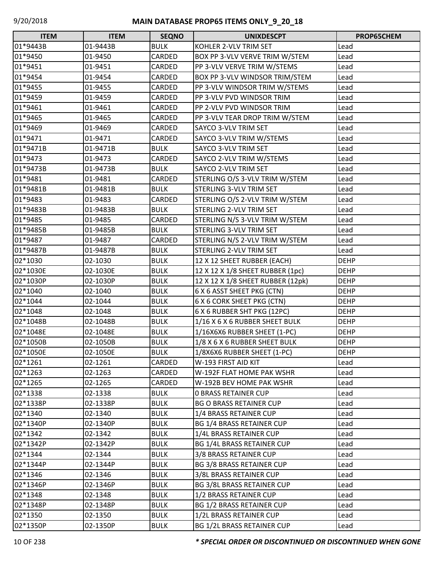| <b>ITEM</b> | <b>ITEM</b> | <b>SEQNO</b>  | <b>UNIXDESCPT</b>                 | PROP65CHEM  |
|-------------|-------------|---------------|-----------------------------------|-------------|
| 01*9443B    | 01-9443B    | <b>BULK</b>   | KOHLER 2-VLV TRIM SET             | Lead        |
| 01*9450     | 01-9450     | CARDED        | BOX PP 3-VLV VERVE TRIM W/STEM    | Lead        |
| 01*9451     | 01-9451     | CARDED        | PP 3-VLV VERVE TRIM W/STEMS       | Lead        |
| 01*9454     | 01-9454     | CARDED        | BOX PP 3-VLV WINDSOR TRIM/STEM    | Lead        |
| 01*9455     | 01-9455     | CARDED        | PP 3-VLV WINDSOR TRIM W/STEMS     | Lead        |
| 01*9459     | 01-9459     | CARDED        | PP 3-VLV PVD WINDSOR TRIM         | Lead        |
| 01*9461     | 01-9461     | CARDED        | PP 2-VLV PVD WINDSOR TRIM         | Lead        |
| 01*9465     | 01-9465     | CARDED        | PP 3-VLV TEAR DROP TRIM W/STEM    | Lead        |
| 01*9469     | 01-9469     | CARDED        | SAYCO 3-VLV TRIM SET              | Lead        |
| 01*9471     | 01-9471     | CARDED        | SAYCO 3-VLV TRIM W/STEMS          | Lead        |
| 01*9471B    | 01-9471B    | <b>BULK</b>   | SAYCO 3-VLV TRIM SET              | Lead        |
| 01*9473     | 01-9473     | <b>CARDED</b> | SAYCO 2-VLV TRIM W/STEMS          | Lead        |
| 01*9473B    | 01-9473B    | <b>BULK</b>   | SAYCO 2-VLV TRIM SET              | Lead        |
| 01*9481     | 01-9481     | CARDED        | STERLING O/S 3-VLV TRIM W/STEM    | Lead        |
| 01*9481B    | 01-9481B    | <b>BULK</b>   | STERLING 3-VLV TRIM SET           | Lead        |
| 01*9483     | 01-9483     | CARDED        | STERLING O/S 2-VLV TRIM W/STEM    | Lead        |
| 01*9483B    | 01-9483B    | <b>BULK</b>   | STERLING 2-VLV TRIM SET           | Lead        |
| 01*9485     | 01-9485     | CARDED        | STERLING N/S 3-VLV TRIM W/STEM    | Lead        |
| 01*9485B    | 01-9485B    | <b>BULK</b>   | STERLING 3-VLV TRIM SET           | Lead        |
| 01*9487     | 01-9487     | CARDED        | STERLING N/S 2-VLV TRIM W/STEM    | Lead        |
| 01*9487B    | 01-9487B    | <b>BULK</b>   | STERLING 2-VLV TRIM SET           | Lead        |
| 02*1030     | 02-1030     | <b>BULK</b>   | 12 X 12 SHEET RUBBER (EACH)       | <b>DEHP</b> |
| 02*1030E    | 02-1030E    | <b>BULK</b>   | 12 X 12 X 1/8 SHEET RUBBER (1pc)  | <b>DEHP</b> |
| 02*1030P    | 02-1030P    | <b>BULK</b>   | 12 X 12 X 1/8 SHEET RUBBER (12pk) | <b>DEHP</b> |
| 02*1040     | 02-1040     | <b>BULK</b>   | 6 X 6 ASST SHEET PKG (CTN)        | <b>DEHP</b> |
| 02*1044     | 02-1044     | <b>BULK</b>   | 6 X 6 CORK SHEET PKG (CTN)        | <b>DEHP</b> |
| 02*1048     | 02-1048     | <b>BULK</b>   | 6 X 6 RUBBER SHT PKG (12PC)       | <b>DEHP</b> |
| 02*1048B    | 02-1048B    | <b>BULK</b>   | 1/16 X 6 X 6 RUBBER SHEET BULK    | <b>DEHP</b> |
| 02*1048E    | 02-1048E    | <b>BULK</b>   | 1/16X6X6 RUBBER SHEET (1-PC)      | <b>DEHP</b> |
| 02*1050B    | 02-1050B    | <b>BULK</b>   | 1/8 X 6 X 6 RUBBER SHEET BULK     | <b>DEHP</b> |
| 02*1050E    | 02-1050E    | <b>BULK</b>   | 1/8X6X6 RUBBER SHEET (1-PC)       | <b>DEHP</b> |
| 02*1261     | 02-1261     | CARDED        | W-193 FIRST AID KIT               | Lead        |
| 02*1263     | 02-1263     | CARDED        | W-192F FLAT HOME PAK WSHR         | Lead        |
| 02*1265     | 02-1265     | CARDED        | W-192B BEV HOME PAK WSHR          | Lead        |
| 02*1338     | 02-1338     | <b>BULK</b>   | <b>0 BRASS RETAINER CUP</b>       | Lead        |
| 02*1338P    | 02-1338P    | <b>BULK</b>   | <b>BG O BRASS RETAINER CUP</b>    | Lead        |
| 02*1340     | 02-1340     | <b>BULK</b>   | 1/4 BRASS RETAINER CUP            | Lead        |
| 02*1340P    | 02-1340P    | <b>BULK</b>   | <b>BG 1/4 BRASS RETAINER CUP</b>  | Lead        |
| 02*1342     | 02-1342     | <b>BULK</b>   | 1/4L BRASS RETAINER CUP           | Lead        |
| 02*1342P    | 02-1342P    | <b>BULK</b>   | BG 1/4L BRASS RETAINER CUP        | Lead        |
| 02*1344     | 02-1344     | <b>BULK</b>   | 3/8 BRASS RETAINER CUP            | Lead        |
| 02*1344P    | 02-1344P    | <b>BULK</b>   | <b>BG 3/8 BRASS RETAINER CUP</b>  | Lead        |
| 02*1346     | 02-1346     | <b>BULK</b>   | 3/8L BRASS RETAINER CUP           | Lead        |
| 02*1346P    | 02-1346P    | <b>BULK</b>   | <b>BG 3/8L BRASS RETAINER CUP</b> | Lead        |
| 02*1348     | 02-1348     | <b>BULK</b>   | 1/2 BRASS RETAINER CUP            | Lead        |
| 02*1348P    | 02-1348P    | <b>BULK</b>   | <b>BG 1/2 BRASS RETAINER CUP</b>  | Lead        |
| 02*1350     | 02-1350     | <b>BULK</b>   | 1/2L BRASS RETAINER CUP           | Lead        |
| 02*1350P    | 02-1350P    | <b>BULK</b>   | <b>BG 1/2L BRASS RETAINER CUP</b> | Lead        |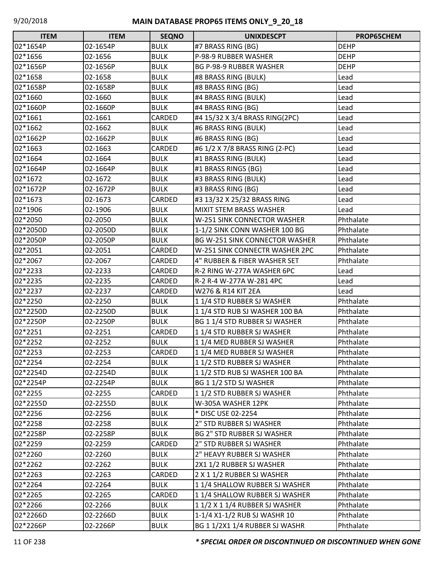| <b>ITEM</b> | <b>ITEM</b> | <b>SEQNO</b> | <b>UNIXDESCPT</b>                     | PROP65CHEM  |
|-------------|-------------|--------------|---------------------------------------|-------------|
| 02*1654P    | 02-1654P    | <b>BULK</b>  | #7 BRASS RING (BG)                    | <b>DEHP</b> |
| 02*1656     | 02-1656     | <b>BULK</b>  | P-98-9 RUBBER WASHER                  | <b>DEHP</b> |
| 02*1656P    | 02-1656P    | <b>BULK</b>  | <b>BG P-98-9 RUBBER WASHER</b>        | <b>DEHP</b> |
| 02*1658     | 02-1658     | <b>BULK</b>  | #8 BRASS RING (BULK)                  | Lead        |
| 02*1658P    | 02-1658P    | <b>BULK</b>  | #8 BRASS RING (BG)                    | Lead        |
| 02*1660     | 02-1660     | <b>BULK</b>  | #4 BRASS RING (BULK)                  | Lead        |
| 02*1660P    | 02-1660P    | <b>BULK</b>  | #4 BRASS RING (BG)                    | Lead        |
| 02*1661     | 02-1661     | CARDED       | #4 15/32 X 3/4 BRASS RING(2PC)        | Lead        |
| 02*1662     | 02-1662     | <b>BULK</b>  | #6 BRASS RING (BULK)                  | Lead        |
| 02*1662P    | 02-1662P    | <b>BULK</b>  | #6 BRASS RING (BG)                    | Lead        |
| 02*1663     | 02-1663     | CARDED       | #6 1/2 X 7/8 BRASS RING (2-PC)        | Lead        |
| 02*1664     | 02-1664     | <b>BULK</b>  | #1 BRASS RING (BULK)                  | Lead        |
| 02*1664P    | 02-1664P    | <b>BULK</b>  | #1 BRASS RINGS (BG)                   | Lead        |
| 02*1672     | 02-1672     | <b>BULK</b>  | #3 BRASS RING (BULK)                  | Lead        |
| 02*1672P    | 02-1672P    | <b>BULK</b>  | #3 BRASS RING (BG)                    | Lead        |
| 02*1673     | 02-1673     | CARDED       | #3 13/32 X 25/32 BRASS RING           | Lead        |
| 02*1906     | 02-1906     | <b>BULK</b>  | MIXIT STEM BRASS WASHER               | Lead        |
| 02*2050     | 02-2050     | <b>BULK</b>  | W-251 SINK CONNECTOR WASHER           | Phthalate   |
| 02*2050D    | 02-2050D    | <b>BULK</b>  | 1-1/2 SINK CONN WASHER 100 BG         | Phthalate   |
| 02*2050P    | 02-2050P    | <b>BULK</b>  | <b>BG W-251 SINK CONNECTOR WASHER</b> | Phthalate   |
| 02*2051     | 02-2051     | CARDED       | W-251 SINK CONNECTR WASHER 2PC        | Phthalate   |
| 02*2067     | 02-2067     | CARDED       | 4" RUBBER & FIBER WASHER SET          | Phthalate   |
| 02*2233     | 02-2233     | CARDED       | R-2 RING W-277A WASHER 6PC            | Lead        |
| 02*2235     | 02-2235     | CARDED       | R-2 R-4 W-277A W-281 4PC              | Lead        |
| 02*2237     | 02-2237     | CARDED       | W276 & R14 KIT 2EA                    | Lead        |
| 02*2250     | 02-2250     | <b>BULK</b>  | 11/4 STD RUBBER SJ WASHER             | Phthalate   |
| 02*2250D    | 02-2250D    | <b>BULK</b>  | 11/4 STD RUB SJ WASHER 100 BA         | Phthalate   |
| 02*2250P    | 02-2250P    | <b>BULK</b>  | BG 1 1/4 STD RUBBER SJ WASHER         | Phthalate   |
| 02*2251     | 02-2251     | CARDED       | 11/4 STD RUBBER SJ WASHER             | Phthalate   |
| 02*2252     | 02-2252     | <b>BULK</b>  | 11/4 MED RUBBER SJ WASHER             | Phthalate   |
| 02*2253     | 02-2253     | CARDED       | 11/4 MED RUBBER SJ WASHER             | Phthalate   |
| 02*2254     | 02-2254     | <b>BULK</b>  | 11/2 STD RUBBER SJ WASHER             | Phthalate   |
| 02*2254D    | 02-2254D    | <b>BULK</b>  | 1 1/2 STD RUB SJ WASHER 100 BA        | Phthalate   |
| 02*2254P    | 02-2254P    | <b>BULK</b>  | BG 1 1/2 STD SJ WASHER                | Phthalate   |
| 02*2255     | 02-2255     | CARDED       | 11/2 STD RUBBER SJ WASHER             | Phthalate   |
| 02*2255D    | 02-2255D    | <b>BULK</b>  | W-305A WASHER 12PK                    | Phthalate   |
| 02*2256     | 02-2256     | <b>BULK</b>  | * DISC USE 02-2254                    | Phthalate   |
| 02*2258     | 02-2258     | <b>BULK</b>  | 2" STD RUBBER SJ WASHER               | Phthalate   |
| 02*2258P    | 02-2258P    | <b>BULK</b>  | <b>BG 2" STD RUBBER SJ WASHER</b>     | Phthalate   |
| 02*2259     | 02-2259     | CARDED       | 2" STD RUBBER SJ WASHER               | Phthalate   |
| 02*2260     | 02-2260     | <b>BULK</b>  | 2" HEAVY RUBBER SJ WASHER             | Phthalate   |
| 02*2262     | 02-2262     | <b>BULK</b>  | 2X1 1/2 RUBBER SJ WASHER              | Phthalate   |
| 02*2263     | 02-2263     | CARDED       | 2 X 1 1/2 RUBBER SJ WASHER            | Phthalate   |
| 02*2264     | 02-2264     | <b>BULK</b>  | 11/4 SHALLOW RUBBER SJ WASHER         | Phthalate   |
| 02*2265     | 02-2265     | CARDED       | 11/4 SHALLOW RUBBER SJ WASHER         | Phthalate   |
| 02*2266     | 02-2266     | <b>BULK</b>  | 1 1/2 X 1 1/4 RUBBER SJ WASHER        | Phthalate   |
| 02*2266D    | 02-2266D    | <b>BULK</b>  | 1-1/4 X1-1/2 RUB SJ WASHR 10          | Phthalate   |
| 02*2266P    | 02-2266P    | BULK         | BG 1 1/2X1 1/4 RUBBER SJ WASHR        | Phthalate   |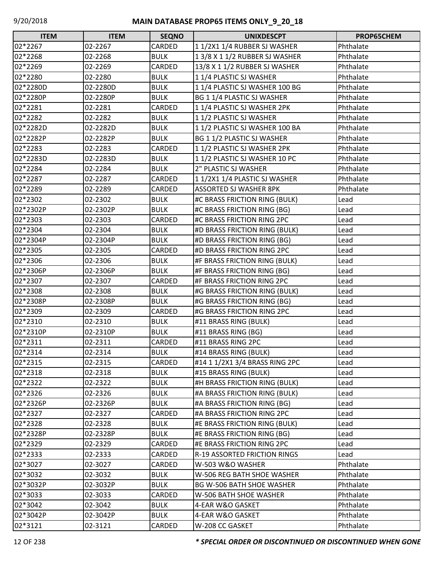| <b>ITEM</b> | <b>ITEM</b> | <b>SEQNO</b> | <b>UNIXDESCPT</b>                | PROP65CHEM |
|-------------|-------------|--------------|----------------------------------|------------|
| 02*2267     | 02-2267     | CARDED       | 11/2X11/4 RUBBER SJ WASHER       | Phthalate  |
| 02*2268     | 02-2268     | <b>BULK</b>  | 1 3/8 X 1 1/2 RUBBER SJ WASHER   | Phthalate  |
| 02*2269     | 02-2269     | CARDED       | 13/8 X 1 1/2 RUBBER SJ WASHER    | Phthalate  |
| 02*2280     | 02-2280     | <b>BULK</b>  | 1 1/4 PLASTIC SJ WASHER          | Phthalate  |
| 02*2280D    | 02-2280D    | <b>BULK</b>  | 11/4 PLASTIC SJ WASHER 100 BG    | Phthalate  |
| 02*2280P    | 02-2280P    | <b>BULK</b>  | BG 1 1/4 PLASTIC SJ WASHER       | Phthalate  |
| 02*2281     | 02-2281     | CARDED       | 11/4 PLASTIC SJ WASHER 2PK       | Phthalate  |
| 02*2282     | 02-2282     | <b>BULK</b>  | 11/2 PLASTIC SJ WASHER           | Phthalate  |
| 02*2282D    | 02-2282D    | <b>BULK</b>  | 11/2 PLASTIC SJ WASHER 100 BA    | Phthalate  |
| 02*2282P    | 02-2282P    | <b>BULK</b>  | BG 1 1/2 PLASTIC SJ WASHER       | Phthalate  |
| 02*2283     | 02-2283     | CARDED       | 11/2 PLASTIC SJ WASHER 2PK       | Phthalate  |
| 02*2283D    | 02-2283D    | <b>BULK</b>  | 11/2 PLASTIC SJ WASHER 10 PC     | Phthalate  |
| 02*2284     | 02-2284     | <b>BULK</b>  | 2" PLASTIC SJ WASHER             | Phthalate  |
| 02*2287     | 02-2287     | CARDED       | 11/2X11/4 PLASTIC SJ WASHER      | Phthalate  |
| 02*2289     | 02-2289     | CARDED       | <b>ASSORTED SJ WASHER 8PK</b>    | Phthalate  |
| 02*2302     | 02-2302     | <b>BULK</b>  | #C BRASS FRICTION RING (BULK)    | Lead       |
| 02*2302P    | 02-2302P    | <b>BULK</b>  | #C BRASS FRICTION RING (BG)      | Lead       |
| 02*2303     | 02-2303     | CARDED       | #C BRASS FRICTION RING 2PC       | Lead       |
| 02*2304     | 02-2304     | <b>BULK</b>  | #D BRASS FRICTION RING (BULK)    | Lead       |
| 02*2304P    | 02-2304P    | <b>BULK</b>  | #D BRASS FRICTION RING (BG)      | Lead       |
| 02*2305     | 02-2305     | CARDED       | #D BRASS FRICTION RING 2PC       | Lead       |
| 02*2306     | 02-2306     | <b>BULK</b>  | #F BRASS FRICTION RING (BULK)    | Lead       |
| 02*2306P    | 02-2306P    | <b>BULK</b>  | #F BRASS FRICTION RING (BG)      | Lead       |
| 02*2307     | 02-2307     | CARDED       | #F BRASS FRICTION RING 2PC       | Lead       |
| 02*2308     | 02-2308     | <b>BULK</b>  | #G BRASS FRICTION RING (BULK)    | Lead       |
| 02*2308P    | 02-2308P    | <b>BULK</b>  | #G BRASS FRICTION RING (BG)      | Lead       |
| 02*2309     | 02-2309     | CARDED       | #G BRASS FRICTION RING 2PC       | Lead       |
| 02*2310     | 02-2310     | <b>BULK</b>  | #11 BRASS RING (BULK)            | Lead       |
| 02*2310P    | 02-2310P    | <b>BULK</b>  | #11 BRASS RING (BG)              | Lead       |
| 02*2311     | 02-2311     | CARDED       | #11 BRASS RING 2PC               | Lead       |
| 02*2314     | 02-2314     | <b>BULK</b>  | #14 BRASS RING (BULK)            | Lead       |
| 02*2315     | 02-2315     | CARDED       | #14 1 1/2X1 3/4 BRASS RING 2PC   | Lead       |
| 02*2318     | 02-2318     | <b>BULK</b>  | #15 BRASS RING (BULK)            | Lead       |
| 02*2322     | 02-2322     | <b>BULK</b>  | #H BRASS FRICTION RING (BULK)    | Lead       |
| 02*2326     | 02-2326     | <b>BULK</b>  | #A BRASS FRICTION RING (BULK)    | Lead       |
| 02*2326P    | 02-2326P    | <b>BULK</b>  | #A BRASS FRICTION RING (BG)      | Lead       |
| 02*2327     | 02-2327     | CARDED       | #A BRASS FRICTION RING 2PC       | Lead       |
| 02*2328     | 02-2328     | <b>BULK</b>  | #E BRASS FRICTION RING (BULK)    | Lead       |
| 02*2328P    | 02-2328P    | <b>BULK</b>  | #E BRASS FRICTION RING (BG)      | Lead       |
| 02*2329     | 02-2329     | CARDED       | #E BRASS FRICTION RING 2PC       | Lead       |
| 02*2333     | 02-2333     | CARDED       | R-19 ASSORTED FRICTION RINGS     | Lead       |
| 02*3027     | 02-3027     | CARDED       | W-503 W&O WASHER                 | Phthalate  |
| 02*3032     | 02-3032     | <b>BULK</b>  | W-506 REG BATH SHOE WASHER       | Phthalate  |
| 02*3032P    | 02-3032P    | <b>BULK</b>  | <b>BG W-506 BATH SHOE WASHER</b> | Phthalate  |
| 02*3033     | 02-3033     | CARDED       | W-506 BATH SHOE WASHER           | Phthalate  |
| 02*3042     | 02-3042     | <b>BULK</b>  | 4-EAR W&O GASKET                 | Phthalate  |
| 02*3042P    | 02-3042P    | <b>BULK</b>  | 4-EAR W&O GASKET                 | Phthalate  |
| 02*3121     | 02-3121     | CARDED       | W-208 CC GASKET                  | Phthalate  |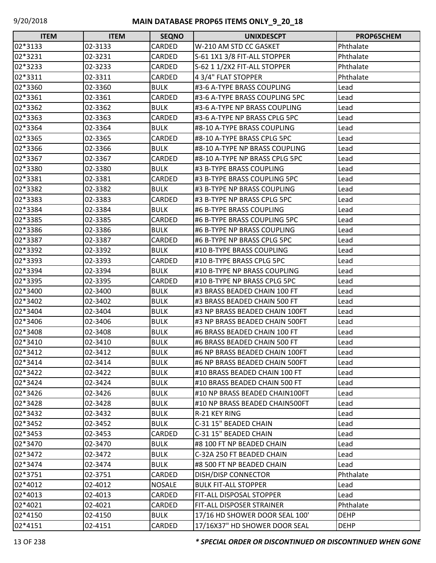| <b>ITEM</b> | <b>ITEM</b> | <b>SEQNO</b>  | <b>UNIXDESCPT</b>              | PROP65CHEM  |
|-------------|-------------|---------------|--------------------------------|-------------|
| 02*3133     | 02-3133     | CARDED        | W-210 AM STD CC GASKET         | Phthalate   |
| 02*3231     | 02-3231     | CARDED        | S-61 1X1 3/8 FIT-ALL STOPPER   | Phthalate   |
| 02*3233     | 02-3233     | CARDED        | S-62 1 1/2X2 FIT-ALL STOPPER   | Phthalate   |
| 02*3311     | 02-3311     | CARDED        | 4 3/4" FLAT STOPPER            | Phthalate   |
| 02*3360     | 02-3360     | <b>BULK</b>   | #3-6 A-TYPE BRASS COUPLING     | Lead        |
| 02*3361     | 02-3361     | CARDED        | #3-6 A-TYPE BRASS COUPLING 5PC | Lead        |
| 02*3362     | 02-3362     | <b>BULK</b>   | #3-6 A-TYPE NP BRASS COUPLING  | Lead        |
| 02*3363     | 02-3363     | <b>CARDED</b> | #3-6 A-TYPE NP BRASS CPLG 5PC  | Lead        |
| 02*3364     | 02-3364     | <b>BULK</b>   | #8-10 A-TYPE BRASS COUPLING    | Lead        |
| 02*3365     | 02-3365     | CARDED        | #8-10 A-TYPE BRASS CPLG 5PC    | Lead        |
| 02*3366     | 02-3366     | <b>BULK</b>   | #8-10 A-TYPE NP BRASS COUPLING | Lead        |
| 02*3367     | 02-3367     | CARDED        | #8-10 A-TYPE NP BRASS CPLG 5PC | Lead        |
| 02*3380     | 02-3380     | <b>BULK</b>   | #3 B-TYPE BRASS COUPLING       | Lead        |
| 02*3381     | 02-3381     | CARDED        | #3 B-TYPE BRASS COUPLING 5PC   | Lead        |
| 02*3382     | 02-3382     | <b>BULK</b>   | #3 B-TYPE NP BRASS COUPLING    | Lead        |
| 02*3383     | 02-3383     | <b>CARDED</b> | #3 B-TYPE NP BRASS CPLG 5PC    | Lead        |
| 02*3384     | 02-3384     | <b>BULK</b>   | #6 B-TYPE BRASS COUPLING       | Lead        |
| 02*3385     | 02-3385     | CARDED        | #6 B-TYPE BRASS COUPLING 5PC   | Lead        |
| 02*3386     | 02-3386     | <b>BULK</b>   | #6 B-TYPE NP BRASS COUPLING    | Lead        |
| 02*3387     | 02-3387     | <b>CARDED</b> | #6 B-TYPE NP BRASS CPLG 5PC    | Lead        |
| 02*3392     | 02-3392     | <b>BULK</b>   | #10 B-TYPE BRASS COUPLING      | Lead        |
| 02*3393     | 02-3393     | CARDED        | #10 B-TYPE BRASS CPLG 5PC      | Lead        |
| 02*3394     | 02-3394     | <b>BULK</b>   | #10 B-TYPE NP BRASS COUPLING   | Lead        |
| 02*3395     | 02-3395     | CARDED        | #10 B-TYPE NP BRASS CPLG 5PC   | Lead        |
| 02*3400     | 02-3400     | <b>BULK</b>   | #3 BRASS BEADED CHAIN 100 FT   | Lead        |
| 02*3402     | 02-3402     | <b>BULK</b>   | #3 BRASS BEADED CHAIN 500 FT   | Lead        |
| 02*3404     | 02-3404     | <b>BULK</b>   | #3 NP BRASS BEADED CHAIN 100FT | Lead        |
| 02*3406     | 02-3406     | <b>BULK</b>   | #3 NP BRASS BEADED CHAIN 500FT | Lead        |
| 02*3408     | 02-3408     | <b>BULK</b>   | #6 BRASS BEADED CHAIN 100 FT   | Lead        |
| 02*3410     | 02-3410     | <b>BULK</b>   | #6 BRASS BEADED CHAIN 500 FT   | Lead        |
| 02*3412     | 02-3412     | <b>BULK</b>   | #6 NP BRASS BEADED CHAIN 100FT | Lead        |
| 02*3414     | 02-3414     | <b>BULK</b>   | #6 NP BRASS BEADED CHAIN 500FT | Lead        |
| 02*3422     | 02-3422     | <b>BULK</b>   | #10 BRASS BEADED CHAIN 100 FT  | Lead        |
| 02*3424     | 02-3424     | <b>BULK</b>   | #10 BRASS BEADED CHAIN 500 FT  | Lead        |
| 02*3426     | 02-3426     | <b>BULK</b>   | #10 NP BRASS BEADED CHAIN100FT | Lead        |
| 02*3428     | 02-3428     | <b>BULK</b>   | #10 NP BRASS BEADED CHAIN500FT | Lead        |
| 02*3432     | 02-3432     | <b>BULK</b>   | R-21 KEY RING                  | Lead        |
| 02*3452     | 02-3452     | <b>BULK</b>   | C-31 15" BEADED CHAIN          | Lead        |
| 02*3453     | 02-3453     | CARDED        | C-31 15" BEADED CHAIN          | Lead        |
| 02*3470     | 02-3470     | <b>BULK</b>   | #8 100 FT NP BEADED CHAIN      | Lead        |
| 02*3472     | 02-3472     | <b>BULK</b>   | C-32A 250 FT BEADED CHAIN      | Lead        |
| 02*3474     | 02-3474     | <b>BULK</b>   | #8 500 FT NP BEADED CHAIN      | Lead        |
| 02*3751     | 02-3751     | CARDED        | <b>DISH/DISP CONNECTOR</b>     | Phthalate   |
| 02*4012     | 02-4012     | <b>NOSALE</b> | <b>BULK FIT-ALL STOPPER</b>    | Lead        |
| 02*4013     | 02-4013     | CARDED        | FIT-ALL DISPOSAL STOPPER       | Lead        |
| 02*4021     | 02-4021     | CARDED        | FIT-ALL DISPOSER STRAINER      | Phthalate   |
| 02*4150     | 02-4150     | <b>BULK</b>   | 17/16 HD SHOWER DOOR SEAL 100' | <b>DEHP</b> |
| 02*4151     | 02-4151     | CARDED        | 17/16X37" HD SHOWER DOOR SEAL  | <b>DEHP</b> |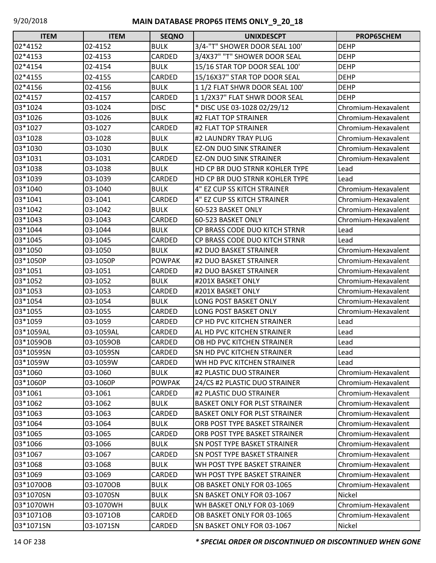| <b>ITEM</b> | <b>ITEM</b> | <b>SEQNO</b>  | <b>UNIXDESCPT</b>                    | <b>PROP65CHEM</b>   |
|-------------|-------------|---------------|--------------------------------------|---------------------|
| 02*4152     | 02-4152     | <b>BULK</b>   | 3/4-"T" SHOWER DOOR SEAL 100'        | <b>DEHP</b>         |
| 02*4153     | 02-4153     | CARDED        | 3/4X37" "T" SHOWER DOOR SEAL         | <b>DEHP</b>         |
| 02*4154     | 02-4154     | <b>BULK</b>   | 15/16 STAR TOP DOOR SEAL 100'        | <b>DEHP</b>         |
| 02*4155     | 02-4155     | CARDED        | 15/16X37" STAR TOP DOOR SEAL         | <b>DEHP</b>         |
| 02*4156     | 02-4156     | <b>BULK</b>   | 11/2 FLAT SHWR DOOR SEAL 100'        | <b>DEHP</b>         |
| 02*4157     | 02-4157     | CARDED        | 11/2X37" FLAT SHWR DOOR SEAL         | <b>DEHP</b>         |
| 03*1024     | 03-1024     | <b>DISC</b>   | * DISC USE 03-1028 02/29/12          | Chromium-Hexavalent |
| 03*1026     | 03-1026     | <b>BULK</b>   | #2 FLAT TOP STRAINER                 | Chromium-Hexavalent |
| 03*1027     | 03-1027     | CARDED        | #2 FLAT TOP STRAINER                 | Chromium-Hexavalent |
| 03*1028     | 03-1028     | <b>BULK</b>   | #2 LAUNDRY TRAY PLUG                 | Chromium-Hexavalent |
| 03*1030     | 03-1030     | <b>BULK</b>   | <b>EZ-ON DUO SINK STRAINER</b>       | Chromium-Hexavalent |
| 03*1031     | 03-1031     | CARDED        | <b>EZ-ON DUO SINK STRAINER</b>       | Chromium-Hexavalent |
| 03*1038     | 03-1038     | <b>BULK</b>   | HD CP BR DUO STRNR KOHLER TYPE       | Lead                |
| 03*1039     | 03-1039     | CARDED        | HD CP BR DUO STRNR KOHLER TYPE       | Lead                |
| 03*1040     | 03-1040     | <b>BULK</b>   | 4" EZ CUP SS KITCH STRAINER          | Chromium-Hexavalent |
| 03*1041     | 03-1041     | CARDED        | 4" EZ CUP SS KITCH STRAINER          | Chromium-Hexavalent |
| 03*1042     | 03-1042     | <b>BULK</b>   | 60-523 BASKET ONLY                   | Chromium-Hexavalent |
| 03*1043     | 03-1043     | CARDED        | 60-523 BASKET ONLY                   | Chromium-Hexavalent |
| 03*1044     | 03-1044     | <b>BULK</b>   | CP BRASS CODE DUO KITCH STRNR        | Lead                |
| 03*1045     | 03-1045     | CARDED        | CP BRASS CODE DUO KITCH STRNR        | Lead                |
| 03*1050     | 03-1050     | <b>BULK</b>   | #2 DUO BASKET STRAINER               | Chromium-Hexavalent |
| 03*1050P    | 03-1050P    | <b>POWPAK</b> | #2 DUO BASKET STRAINER               | Chromium-Hexavalent |
| 03*1051     | 03-1051     | CARDED        | #2 DUO BASKET STRAINER               | Chromium-Hexavalent |
| 03*1052     | 03-1052     | <b>BULK</b>   | #201X BASKET ONLY                    | Chromium-Hexavalent |
| 03*1053     | 03-1053     | CARDED        | #201X BASKET ONLY                    | Chromium-Hexavalent |
| 03*1054     | 03-1054     | <b>BULK</b>   | LONG POST BASKET ONLY                | Chromium-Hexavalent |
| 03*1055     | 03-1055     | CARDED        | LONG POST BASKET ONLY                | Chromium-Hexavalent |
| 03*1059     | 03-1059     | CARDED        | CP HD PVC KITCHEN STRAINER           | Lead                |
| 03*1059AL   | 03-1059AL   | CARDED        | AL HD PVC KITCHEN STRAINER           | Lead                |
| 03*1059OB   | 03-1059OB   | CARDED        | OB HD PVC KITCHEN STRAINER           | Lead                |
| 03*1059SN   | 03-1059SN   | CARDED        | <b>SN HD PVC KITCHEN STRAINER</b>    | Lead                |
| 03*1059W    | 03-1059W    | CARDED        | WH HD PVC KITCHEN STRAINER           | Lead                |
| 03*1060     | 03-1060     | <b>BULK</b>   | #2 PLASTIC DUO STRAINER              | Chromium-Hexavalent |
| 03*1060P    | 03-1060P    | <b>POWPAK</b> | 24/CS #2 PLASTIC DUO STRAINER        | Chromium-Hexavalent |
| 03*1061     | 03-1061     | CARDED        | #2 PLASTIC DUO STRAINER              | Chromium-Hexavalent |
| 03*1062     | 03-1062     | <b>BULK</b>   | <b>BASKET ONLY FOR PLST STRAINER</b> | Chromium-Hexavalent |
| 03*1063     | 03-1063     | <b>CARDED</b> | <b>BASKET ONLY FOR PLST STRAINER</b> | Chromium-Hexavalent |
| 03*1064     | 03-1064     | <b>BULK</b>   | ORB POST TYPE BASKET STRAINER        | Chromium-Hexavalent |
| 03*1065     | 03-1065     | CARDED        | ORB POST TYPE BASKET STRAINER        | Chromium-Hexavalent |
| 03*1066     | 03-1066     | <b>BULK</b>   | SN POST TYPE BASKET STRAINER         | Chromium-Hexavalent |
| 03*1067     | 03-1067     | CARDED        | <b>SN POST TYPE BASKET STRAINER</b>  | Chromium-Hexavalent |
| 03*1068     | 03-1068     | <b>BULK</b>   | WH POST TYPE BASKET STRAINER         | Chromium-Hexavalent |
| 03*1069     | 03-1069     | CARDED        | WH POST TYPE BASKET STRAINER         | Chromium-Hexavalent |
| 03*1070OB   | 03-1070OB   | <b>BULK</b>   | OB BASKET ONLY FOR 03-1065           | Chromium-Hexavalent |
| 03*1070SN   | 03-1070SN   | <b>BULK</b>   | SN BASKET ONLY FOR 03-1067           | Nickel              |
| 03*1070WH   | 03-1070WH   | <b>BULK</b>   | WH BASKET ONLY FOR 03-1069           | Chromium-Hexavalent |
| 03*1071OB   | 03-1071OB   | CARDED        | OB BASKET ONLY FOR 03-1065           | Chromium-Hexavalent |
| 03*1071SN   | 03-1071SN   | CARDED        | SN BASKET ONLY FOR 03-1067           | Nickel              |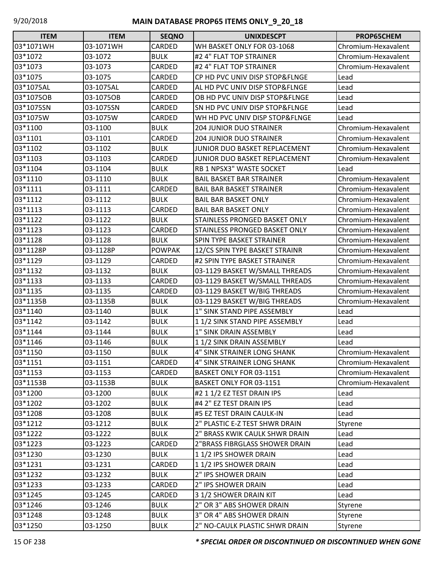| <b>ITEM</b> | <b>ITEM</b> | <b>SEQNO</b>  | <b>UNIXDESCPT</b>               | PROP65CHEM          |
|-------------|-------------|---------------|---------------------------------|---------------------|
| 03*1071WH   | 03-1071WH   | CARDED        | WH BASKET ONLY FOR 03-1068      | Chromium-Hexavalent |
| 03*1072     | 03-1072     | <b>BULK</b>   | #2 4" FLAT TOP STRAINER         | Chromium-Hexavalent |
| 03*1073     | 03-1073     | CARDED        | #2 4" FLAT TOP STRAINER         | Chromium-Hexavalent |
| 03*1075     | 03-1075     | CARDED        | CP HD PVC UNIV DISP STOP&FLNGE  | Lead                |
| 03*1075AL   | 03-1075AL   | CARDED        | AL HD PVC UNIV DISP STOP&FLNGE  | Lead                |
| 03*1075OB   | 03-1075OB   | CARDED        | OB HD PVC UNIV DISP STOP&FLNGE  | Lead                |
| 03*1075SN   | 03-1075SN   | CARDED        | SN HD PVC UNIV DISP STOP&FLNGE  | Lead                |
| 03*1075W    | 03-1075W    | CARDED        | WH HD PVC UNIV DISP STOP&FLNGE  | Lead                |
| 03*1100     | 03-1100     | <b>BULK</b>   | <b>204 JUNIOR DUO STRAINER</b>  | Chromium-Hexavalent |
| 03*1101     | 03-1101     | CARDED        | <b>204 JUNIOR DUO STRAINER</b>  | Chromium-Hexavalent |
| 03*1102     | 03-1102     | <b>BULK</b>   | JUNIOR DUO BASKET REPLACEMENT   | Chromium-Hexavalent |
| 03*1103     | 03-1103     | CARDED        | JUNIOR DUO BASKET REPLACEMENT   | Chromium-Hexavalent |
| 03*1104     | 03-1104     | <b>BULK</b>   | RB 1 NPSX3" WASTE SOCKET        | Lead                |
| 03*1110     | 03-1110     | <b>BULK</b>   | <b>BAIL BASKET BAR STRAINER</b> | Chromium-Hexavalent |
| 03*1111     | 03-1111     | CARDED        | <b>BAIL BAR BASKET STRAINER</b> | Chromium-Hexavalent |
| 03*1112     | 03-1112     | <b>BULK</b>   | <b>BAIL BAR BASKET ONLY</b>     | Chromium-Hexavalent |
| 03*1113     | 03-1113     | CARDED        | <b>BAIL BAR BASKET ONLY</b>     | Chromium-Hexavalent |
| 03*1122     | 03-1122     | <b>BULK</b>   | STAINLESS PRONGED BASKET ONLY   | Chromium-Hexavalent |
| 03*1123     | 03-1123     | CARDED        | STAINLESS PRONGED BASKET ONLY   | Chromium-Hexavalent |
| 03*1128     | 03-1128     | <b>BULK</b>   | SPIN TYPE BASKET STRAINER       | Chromium-Hexavalent |
| 03*1128P    | 03-1128P    | <b>POWPAK</b> | 12/CS SPIN TYPE BASKET STRAINR  | Chromium-Hexavalent |
| 03*1129     | 03-1129     | CARDED        | #2 SPIN TYPE BASKET STRAINER    | Chromium-Hexavalent |
| 03*1132     | 03-1132     | <b>BULK</b>   | 03-1129 BASKET W/SMALL THREADS  | Chromium-Hexavalent |
| 03*1133     | 03-1133     | CARDED        | 03-1129 BASKET W/SMALL THREADS  | Chromium-Hexavalent |
| 03*1135     | 03-1135     | CARDED        | 03-1129 BASKET W/BIG THREADS    | Chromium-Hexavalent |
| 03*1135B    | 03-1135B    | <b>BULK</b>   | 03-1129 BASKET W/BIG THREADS    | Chromium-Hexavalent |
| 03*1140     | 03-1140     | <b>BULK</b>   | 1" SINK STAND PIPE ASSEMBLY     | Lead                |
| 03*1142     | 03-1142     | <b>BULK</b>   | 11/2 SINK STAND PIPE ASSEMBLY   | Lead                |
| 03*1144     | 03-1144     | <b>BULK</b>   | 1" SINK DRAIN ASSEMBLY          | Lead                |
| 03*1146     | 03-1146     | <b>BULK</b>   | 11/2 SINK DRAIN ASSEMBLY        | Lead                |
| 03*1150     | 03-1150     | <b>BULK</b>   | 4" SINK STRAINER LONG SHANK     | Chromium-Hexavalent |
| 03*1151     | 03-1151     | CARDED        | 4" SINK STRAINER LONG SHANK     | Chromium-Hexavalent |
| 03*1153     | 03-1153     | CARDED        | BASKET ONLY FOR 03-1151         | Chromium-Hexavalent |
| 03*1153B    | 03-1153B    | <b>BULK</b>   | BASKET ONLY FOR 03-1151         | Chromium-Hexavalent |
| 03*1200     | 03-1200     | <b>BULK</b>   | #2 1 1/2 EZ TEST DRAIN IPS      | Lead                |
| 03*1202     | 03-1202     | <b>BULK</b>   | #4 2" EZ TEST DRAIN IPS         | Lead                |
| 03*1208     | 03-1208     | <b>BULK</b>   | #5 EZ TEST DRAIN CAULK-IN       | Lead                |
| 03*1212     | 03-1212     | <b>BULK</b>   | 2" PLASTIC E-Z TEST SHWR DRAIN  | Styrene             |
| 03*1222     | 03-1222     | <b>BULK</b>   | 2" BRASS KWIK CAULK SHWR DRAIN  | Lead                |
| 03*1223     | 03-1223     | CARDED        | 2"BRASS FIBRGLASS SHOWER DRAIN  | Lead                |
| 03*1230     | 03-1230     | <b>BULK</b>   | 11/2 IPS SHOWER DRAIN           | Lead                |
| 03*1231     | 03-1231     | CARDED        | 11/2 IPS SHOWER DRAIN           | Lead                |
| 03*1232     | 03-1232     | <b>BULK</b>   | 2" IPS SHOWER DRAIN             | Lead                |
| 03*1233     | 03-1233     | CARDED        | 2" IPS SHOWER DRAIN             | Lead                |
| 03*1245     | 03-1245     | CARDED        | 3 1/2 SHOWER DRAIN KIT          | Lead                |
| 03*1246     | 03-1246     | <b>BULK</b>   | 2" OR 3" ABS SHOWER DRAIN       | Styrene             |
| 03*1248     | 03-1248     | <b>BULK</b>   | 3" OR 4" ABS SHOWER DRAIN       | Styrene             |
| 03*1250     | 03-1250     | <b>BULK</b>   | 2" NO-CAULK PLASTIC SHWR DRAIN  | Styrene             |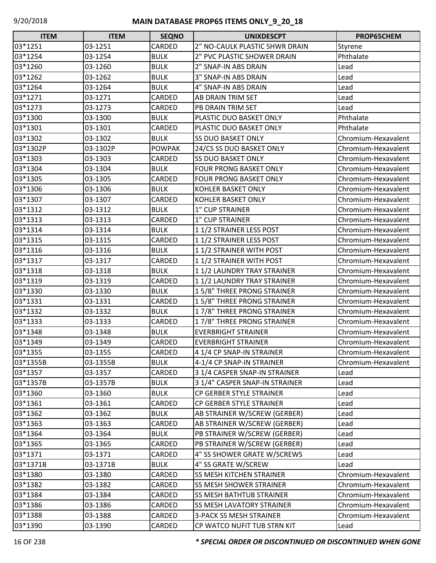| <b>ITEM</b> | <b>ITEM</b> | <b>SEQNO</b>  | <b>UNIXDESCPT</b>               | PROP65CHEM          |
|-------------|-------------|---------------|---------------------------------|---------------------|
| 03*1251     | 03-1251     | CARDED        | 2" NO-CAULK PLASTIC SHWR DRAIN  | Styrene             |
| 03*1254     | 03-1254     | <b>BULK</b>   | 2" PVC PLASTIC SHOWER DRAIN     | Phthalate           |
| 03*1260     | 03-1260     | <b>BULK</b>   | 2" SNAP-IN ABS DRAIN            | Lead                |
| 03*1262     | 03-1262     | <b>BULK</b>   | 3" SNAP-IN ABS DRAIN            | Lead                |
| 03*1264     | 03-1264     | <b>BULK</b>   | 4" SNAP-IN ABS DRAIN            | Lead                |
| 03*1271     | 03-1271     | CARDED        | AB DRAIN TRIM SET               | Lead                |
| 03*1273     | 03-1273     | CARDED        | PB DRAIN TRIM SET               | Lead                |
| 03*1300     | 03-1300     | <b>BULK</b>   | PLASTIC DUO BASKET ONLY         | Phthalate           |
| 03*1301     | 03-1301     | CARDED        | PLASTIC DUO BASKET ONLY         | Phthalate           |
| 03*1302     | 03-1302     | <b>BULK</b>   | <b>SS DUO BASKET ONLY</b>       | Chromium-Hexavalent |
| 03*1302P    | 03-1302P    | <b>POWPAK</b> | 24/CS SS DUO BASKET ONLY        | Chromium-Hexavalent |
| 03*1303     | 03-1303     | CARDED        | <b>SS DUO BASKET ONLY</b>       | Chromium-Hexavalent |
| 03*1304     | 03-1304     | <b>BULK</b>   | <b>FOUR PRONG BASKET ONLY</b>   | Chromium-Hexavalent |
| 03*1305     | 03-1305     | CARDED        | <b>FOUR PRONG BASKET ONLY</b>   | Chromium-Hexavalent |
| 03*1306     | 03-1306     | <b>BULK</b>   | <b>KOHLER BASKET ONLY</b>       | Chromium-Hexavalent |
| 03*1307     | 03-1307     | CARDED        | <b>KOHLER BASKET ONLY</b>       | Chromium-Hexavalent |
| 03*1312     | 03-1312     | <b>BULK</b>   | 1" CUP STRAINER                 | Chromium-Hexavalent |
| 03*1313     | 03-1313     | CARDED        | 1" CUP STRAINER                 | Chromium-Hexavalent |
| 03*1314     | 03-1314     | <b>BULK</b>   | 11/2 STRAINER LESS POST         | Chromium-Hexavalent |
| 03*1315     | 03-1315     | CARDED        | 11/2 STRAINER LESS POST         | Chromium-Hexavalent |
| 03*1316     | 03-1316     | <b>BULK</b>   | 11/2 STRAINER WITH POST         | Chromium-Hexavalent |
| 03*1317     | 03-1317     | CARDED        | 11/2 STRAINER WITH POST         | Chromium-Hexavalent |
| 03*1318     | 03-1318     | <b>BULK</b>   | 11/2 LAUNDRY TRAY STRAINER      | Chromium-Hexavalent |
| 03*1319     | 03-1319     | CARDED        | 11/2 LAUNDRY TRAY STRAINER      | Chromium-Hexavalent |
| 03*1330     | 03-1330     | <b>BULK</b>   | 15/8" THREE PRONG STRAINER      | Chromium-Hexavalent |
| 03*1331     | 03-1331     | CARDED        | 15/8" THREE PRONG STRAINER      | Chromium-Hexavalent |
| 03*1332     | 03-1332     | <b>BULK</b>   | 17/8" THREE PRONG STRAINER      | Chromium-Hexavalent |
| 03*1333     | 03-1333     | CARDED        | 17/8" THREE PRONG STRAINER      | Chromium-Hexavalent |
| 03*1348     | 03-1348     | <b>BULK</b>   | <b>EVERBRIGHT STRAINER</b>      | Chromium-Hexavalent |
| 03*1349     | 03-1349     | CARDED        | <b>EVERBRIGHT STRAINER</b>      | Chromium-Hexavalent |
| 03*1355     | 03-1355     | CARDED        | 4 1/4 CP SNAP-IN STRAINER       | Chromium-Hexavalent |
| 03*1355B    | 03-1355B    | <b>BULK</b>   | 4-1/4 CP SNAP-IN STRAINER       | Chromium-Hexavalent |
| 03*1357     | 03-1357     | CARDED        | 3 1/4 CASPER SNAP-IN STRAINER   | Lead                |
| 03*1357B    | 03-1357B    | <b>BULK</b>   | 3 1/4" CASPER SNAP-IN STRAINER  | Lead                |
| 03*1360     | 03-1360     | <b>BULK</b>   | CP GERBER STYLE STRAINER        | Lead                |
| 03*1361     | 03-1361     | CARDED        | CP GERBER STYLE STRAINER        | Lead                |
| 03*1362     | 03-1362     | <b>BULK</b>   | AB STRAINER W/SCREW (GERBER)    | Lead                |
| 03*1363     | 03-1363     | CARDED        | AB STRAINER W/SCREW (GERBER)    | Lead                |
| 03*1364     | 03-1364     | <b>BULK</b>   | PB STRAINER W/SCREW (GERBER)    | Lead                |
| 03*1365     | 03-1365     | CARDED        | PB STRAINER W/SCREW (GERBER)    | Lead                |
| 03*1371     | 03-1371     | CARDED        | 4" SS SHOWER GRATE W/SCREWS     | Lead                |
| 03*1371B    | 03-1371B    | <b>BULK</b>   | 4" SS GRATE W/SCREW             | Lead                |
| 03*1380     | 03-1380     | CARDED        | SS MESH KITCHEN STRAINER        | Chromium-Hexavalent |
| 03*1382     | 03-1382     | CARDED        | SS MESH SHOWER STRAINER         | Chromium-Hexavalent |
| 03*1384     | 03-1384     | CARDED        | <b>SS MESH BATHTUB STRAINER</b> | Chromium-Hexavalent |
| 03*1386     | 03-1386     | CARDED        | SS MESH LAVATORY STRAINER       | Chromium-Hexavalent |
| 03*1388     | 03-1388     | CARDED        | <b>3-PACK SS MESH STRAINER</b>  | Chromium-Hexavalent |
| 03*1390     | 03-1390     | CARDED        | CP WATCO NUFIT TUB STRN KIT     | Lead                |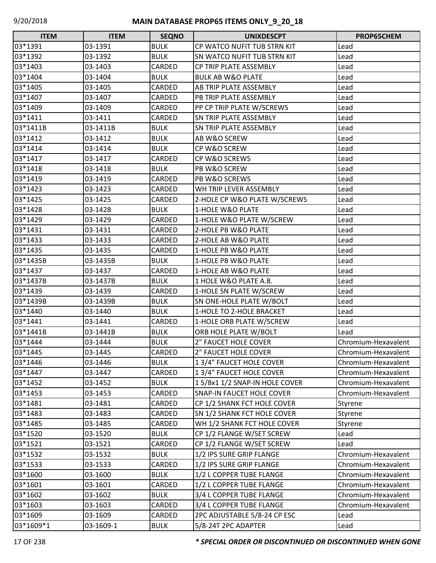| <b>ITEM</b> | <b>ITEM</b> | <b>SEQNO</b> | <b>UNIXDESCPT</b>                  | PROP65CHEM          |
|-------------|-------------|--------------|------------------------------------|---------------------|
| 03*1391     | 03-1391     | <b>BULK</b>  | CP WATCO NUFIT TUB STRN KIT        | Lead                |
| 03*1392     | 03-1392     | <b>BULK</b>  | <b>SN WATCO NUFIT TUB STRN KIT</b> | Lead                |
| 03*1403     | 03-1403     | CARDED       | CP TRIP PLATE ASSEMBLY             | Lead                |
| 03*1404     | 03-1404     | <b>BULK</b>  | <b>BULK AB W&amp;O PLATE</b>       | Lead                |
| 03*1405     | 03-1405     | CARDED       | <b>AB TRIP PLATE ASSEMBLY</b>      | Lead                |
| 03*1407     | 03-1407     | CARDED       | PB TRIP PLATE ASSEMBLY             | Lead                |
| 03*1409     | 03-1409     | CARDED       | PP CP TRIP PLATE W/SCREWS          | Lead                |
| 03*1411     | 03-1411     | CARDED       | <b>SN TRIP PLATE ASSEMBLY</b>      | Lead                |
| 03*1411B    | 03-1411B    | <b>BULK</b>  | <b>SN TRIP PLATE ASSEMBLY</b>      | Lead                |
| 03*1412     | 03-1412     | <b>BULK</b>  | <b>AB W&amp;O SCREW</b>            | Lead                |
| 03*1414     | 03-1414     | <b>BULK</b>  | CP W&O SCREW                       | Lead                |
| 03*1417     | 03-1417     | CARDED       | CP W&O SCREWS                      | Lead                |
| 03*1418     | 03-1418     | <b>BULK</b>  | <b>PB W&amp;O SCREW</b>            | Lead                |
| 03*1419     | 03-1419     | CARDED       | PB W&O SCREWS                      | Lead                |
| 03*1423     | 03-1423     | CARDED       | WH TRIP LEVER ASSEMBLY             | Lead                |
| 03*1425     | 03-1425     | CARDED       | 2-HOLE CP W&O PLATE W/SCREWS       | Lead                |
| 03*1428     | 03-1428     | <b>BULK</b>  | 1-HOLE W&O PLATE                   | Lead                |
| 03*1429     | 03-1429     | CARDED       | 1-HOLE W&O PLATE W/SCREW           | Lead                |
| 03*1431     | 03-1431     | CARDED       | 2-HOLE PB W&O PLATE                | Lead                |
| 03*1433     | 03-1433     | CARDED       | 2-HOLE AB W&O PLATE                | Lead                |
| 03*1435     | 03-1435     | CARDED       | 1-HOLE PB W&O PLATE                | Lead                |
| 03*1435B    | 03-1435B    | <b>BULK</b>  | 1-HOLE PB W&O PLATE                | Lead                |
| 03*1437     | 03-1437     | CARDED       | 1-HOLE AB W&O PLATE                | Lead                |
| 03*1437B    | 03-1437B    | <b>BULK</b>  | 1 HOLE W&O PLATE A.B.              | Lead                |
| 03*1439     | 03-1439     | CARDED       | 1-HOLE SN PLATE W/SCREW            | Lead                |
| 03*1439B    | 03-1439B    | <b>BULK</b>  | <b>SN ONE-HOLE PLATE W/BOLT</b>    | Lead                |
| 03*1440     | 03-1440     | <b>BULK</b>  | 1-HOLE TO 2-HOLE BRACKET           | Lead                |
| 03*1441     | 03-1441     | CARDED       | 1-HOLE ORB PLATE W/SCREW           | Lead                |
| 03*1441B    | 03-1441B    | <b>BULK</b>  | ORB HOLE PLATE W/BOLT              | Lead                |
| 03*1444     | 03-1444     | <b>BULK</b>  | 2" FAUCET HOLE COVER               | Chromium-Hexavalent |
| 03*1445     | 03-1445     | CARDED       | 2" FAUCET HOLE COVER               | Chromium-Hexavalent |
| 03*1446     | 03-1446     | <b>BULK</b>  | 1 3/4" FAUCET HOLE COVER           | Chromium-Hexavalent |
| 03*1447     | 03-1447     | CARDED       | 1 3/4" FAUCET HOLE COVER           | Chromium-Hexavalent |
| 03*1452     | 03-1452     | <b>BULK</b>  | 15/8x1 1/2 SNAP-IN HOLE COVER      | Chromium-Hexavalent |
| 03*1453     | 03-1453     | CARDED       | <b>SNAP-IN FAUCET HOLE COVER</b>   | Chromium-Hexavalent |
| 03*1481     | 03-1481     | CARDED       | CP 1/2 SHANK FCT HOLE COVER        | Styrene             |
| 03*1483     | 03-1483     | CARDED       | <b>SN 1/2 SHANK FCT HOLE COVER</b> | Styrene             |
| 03*1485     | 03-1485     | CARDED       | WH 1/2 SHANK FCT HOLE COVER        | Styrene             |
| 03*1520     | 03-1520     | <b>BULK</b>  | CP 1/2 FLANGE W/SET SCREW          | Lead                |
| 03*1521     | 03-1521     | CARDED       | CP 1/2 FLANGE W/SET SCREW          | Lead                |
| 03*1532     | 03-1532     | <b>BULK</b>  | 1/2 IPS SURE GRIP FLANGE           | Chromium-Hexavalent |
| 03*1533     | 03-1533     | CARDED       | 1/2 IPS SURE GRIP FLANGE           | Chromium-Hexavalent |
| 03*1600     | 03-1600     | <b>BULK</b>  | 1/2 L COPPER TUBE FLANGE           | Chromium-Hexavalent |
| 03*1601     | 03-1601     | CARDED       | 1/2 L COPPER TUBE FLANGE           | Chromium-Hexavalent |
| 03*1602     | 03-1602     | <b>BULK</b>  | 3/4 L COPPER TUBE FLANGE           | Chromium-Hexavalent |
| 03*1603     | 03-1603     | CARDED       | 3/4 L COPPER TUBE FLANGE           | Chromium-Hexavalent |
| 03*1609     | 03-1609     | CARDED       | 2PC ADJUSTABLE 5/8-24 CP ESC       | Lead                |
| 03*1609*1   | 03-1609-1   | <b>BULK</b>  | 5/8-24T 2PC ADAPTER                | Lead                |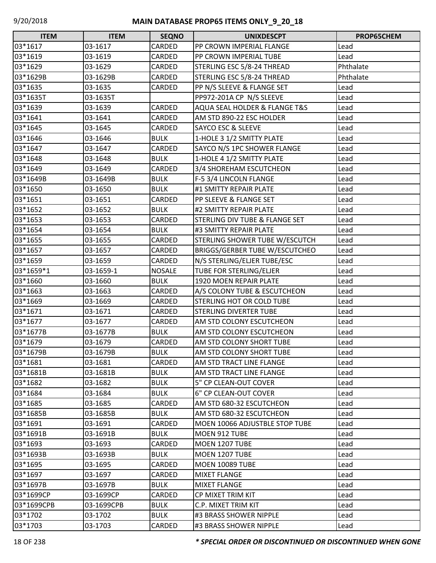| <b>ITEM</b> | <b>ITEM</b> | <b>SEQNO</b>  | <b>UNIXDESCPT</b>                     | PROP65CHEM |
|-------------|-------------|---------------|---------------------------------------|------------|
| 03*1617     | 03-1617     | CARDED        | PP CROWN IMPERIAL FLANGE              | Lead       |
| 03*1619     | 03-1619     | CARDED        | PP CROWN IMPERIAL TUBE                | Lead       |
| 03*1629     | 03-1629     | CARDED        | STERLING ESC 5/8-24 THREAD            | Phthalate  |
| 03*1629B    | 03-1629B    | CARDED        | STERLING ESC 5/8-24 THREAD            | Phthalate  |
| 03*1635     | 03-1635     | CARDED        | PP N/S SLEEVE & FLANGE SET            | Lead       |
| 03*1635T    | 03-1635T    |               | PP972-201A CP N/S SLEEVE              | Lead       |
| 03*1639     | 03-1639     | CARDED        | AQUA SEAL HOLDER & FLANGE T&S         | Lead       |
| 03*1641     | 03-1641     | CARDED        | AM STD 890-22 ESC HOLDER              | Lead       |
| 03*1645     | 03-1645     | CARDED        | <b>SAYCO ESC &amp; SLEEVE</b>         | Lead       |
| 03*1646     | 03-1646     | <b>BULK</b>   | 1-HOLE 3 1/2 SMITTY PLATE             | Lead       |
| 03*1647     | 03-1647     | CARDED        | SAYCO N/S 1PC SHOWER FLANGE           | Lead       |
| 03*1648     | 03-1648     | <b>BULK</b>   | 1-HOLE 4 1/2 SMITTY PLATE             | Lead       |
| 03*1649     | 03-1649     | CARDED        | 3/4 SHOREHAM ESCUTCHEON               | Lead       |
| 03*1649B    | 03-1649B    | <b>BULK</b>   | F-5 3/4 LINCOLN FLANGE                | Lead       |
| 03*1650     | 03-1650     | <b>BULK</b>   | #1 SMITTY REPAIR PLATE                | Lead       |
| 03*1651     | 03-1651     | CARDED        | PP SLEEVE & FLANGE SET                | Lead       |
| 03*1652     | 03-1652     | <b>BULK</b>   | #2 SMITTY REPAIR PLATE                | Lead       |
| 03*1653     | 03-1653     | CARDED        | STERLING DIV TUBE & FLANGE SET        | Lead       |
| 03*1654     | 03-1654     | <b>BULK</b>   | #3 SMITTY REPAIR PLATE                | Lead       |
| 03*1655     | 03-1655     | CARDED        | STERLING SHOWER TUBE W/ESCUTCH        | Lead       |
| 03*1657     | 03-1657     | CARDED        | <b>BRIGGS/GERBER TUBE W/ESCUTCHEO</b> | Lead       |
| 03*1659     | 03-1659     | CARDED        | N/S STERLING/ELJER TUBE/ESC           | Lead       |
| 03*1659*1   | 03-1659-1   | <b>NOSALE</b> | TUBE FOR STERLING/ELJER               | Lead       |
| 03*1660     | 03-1660     | <b>BULK</b>   | 1920 MOEN REPAIR PLATE                | Lead       |
| 03*1663     | 03-1663     | CARDED        | A/S COLONY TUBE & ESCUTCHEON          | Lead       |
| 03*1669     | 03-1669     | CARDED        | <b>STERLING HOT OR COLD TUBE</b>      | Lead       |
| 03*1671     | 03-1671     | CARDED        | STERLING DIVERTER TUBE                | Lead       |
| 03*1677     | 03-1677     | CARDED        | AM STD COLONY ESCUTCHEON              | Lead       |
| 03*1677B    | 03-1677B    | <b>BULK</b>   | AM STD COLONY ESCUTCHEON              | Lead       |
| 03*1679     | 03-1679     | CARDED        | AM STD COLONY SHORT TUBE              | Lead       |
| 03*1679B    | 03-1679B    | <b>BULK</b>   | AM STD COLONY SHORT TUBE              | Lead       |
| 03*1681     | 03-1681     | CARDED        | AM STD TRACT LINE FLANGE              | Lead       |
| 03*1681B    | 03-1681B    | <b>BULK</b>   | AM STD TRACT LINE FLANGE              | Lead       |
| 03*1682     | 03-1682     | <b>BULK</b>   | 5" CP CLEAN-OUT COVER                 | Lead       |
| 03*1684     | 03-1684     | <b>BULK</b>   | 6" CP CLEAN-OUT COVER                 | Lead       |
| 03*1685     | 03-1685     | CARDED        | AM STD 680-32 ESCUTCHEON              | Lead       |
| 03*1685B    | 03-1685B    | <b>BULK</b>   | AM STD 680-32 ESCUTCHEON              | Lead       |
| 03*1691     | 03-1691     | CARDED        | MOEN 10066 ADJUSTBLE STOP TUBE        | Lead       |
| 03*1691B    | 03-1691B    | <b>BULK</b>   | MOEN 912 TUBE                         | Lead       |
| 03*1693     | 03-1693     | CARDED        | MOEN 1207 TUBE                        | Lead       |
| 03*1693B    | 03-1693B    | <b>BULK</b>   | MOEN 1207 TUBE                        | Lead       |
| 03*1695     | 03-1695     | CARDED        | <b>MOEN 10089 TUBE</b>                | Lead       |
| 03*1697     | 03-1697     | CARDED        | <b>MIXET FLANGE</b>                   | Lead       |
| 03*1697B    | 03-1697B    | <b>BULK</b>   | MIXET FLANGE                          | Lead       |
| 03*1699CP   | 03-1699CP   | CARDED        | CP MIXET TRIM KIT                     | Lead       |
| 03*1699CPB  | 03-1699CPB  | <b>BULK</b>   | C.P. MIXET TRIM KIT                   | Lead       |
| 03*1702     | 03-1702     | <b>BULK</b>   | #3 BRASS SHOWER NIPPLE                | Lead       |
| 03*1703     | 03-1703     | CARDED        | #3 BRASS SHOWER NIPPLE                | Lead       |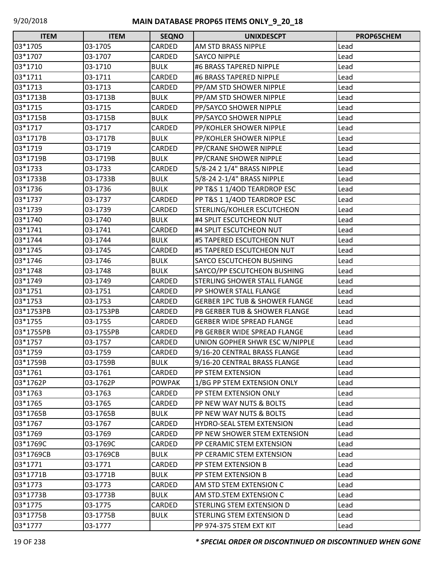| <b>ITEM</b> | <b>ITEM</b> | <b>SEQNO</b>  | <b>UNIXDESCPT</b>                         | PROP65CHEM |
|-------------|-------------|---------------|-------------------------------------------|------------|
| 03*1705     | 03-1705     | CARDED        | AM STD BRASS NIPPLE                       | Lead       |
| 03*1707     | 03-1707     | CARDED        | <b>SAYCO NIPPLE</b>                       | Lead       |
| 03*1710     | 03-1710     | <b>BULK</b>   | #6 BRASS TAPERED NIPPLE                   | Lead       |
| 03*1711     | 03-1711     | CARDED        | #6 BRASS TAPERED NIPPLE                   | Lead       |
| 03*1713     | 03-1713     | CARDED        | PP/AM STD SHOWER NIPPLE                   | Lead       |
| 03*1713B    | 03-1713B    | <b>BULK</b>   | PP/AM STD SHOWER NIPPLE                   | Lead       |
| 03*1715     | 03-1715     | CARDED        | PP/SAYCO SHOWER NIPPLE                    | Lead       |
| 03*1715B    | 03-1715B    | <b>BULK</b>   | PP/SAYCO SHOWER NIPPLE                    | Lead       |
| 03*1717     | 03-1717     | CARDED        | PP/KOHLER SHOWER NIPPLE                   | Lead       |
| 03*1717B    | 03-1717B    | <b>BULK</b>   | PP/KOHLER SHOWER NIPPLE                   | Lead       |
| 03*1719     | 03-1719     | CARDED        | PP/CRANE SHOWER NIPPLE                    | Lead       |
| 03*1719B    | 03-1719B    | <b>BULK</b>   | PP/CRANE SHOWER NIPPLE                    | Lead       |
| 03*1733     | 03-1733     | CARDED        | 5/8-24 2 1/4" BRASS NIPPLE                | Lead       |
| 03*1733B    | 03-1733B    | <b>BULK</b>   | 5/8-24 2-1/4" BRASS NIPPLE                | Lead       |
| 03*1736     | 03-1736     | <b>BULK</b>   | PP T&S 1 1/4OD TEARDROP ESC               | Lead       |
| 03*1737     | 03-1737     | CARDED        | PP T&S 1 1/4OD TEARDROP ESC               | Lead       |
| 03*1739     | 03-1739     | CARDED        | STERLING/KOHLER ESCUTCHEON                | Lead       |
| 03*1740     | 03-1740     | <b>BULK</b>   | #4 SPLIT ESCUTCHEON NUT                   | Lead       |
| 03*1741     | 03-1741     | CARDED        | #4 SPLIT ESCUTCHEON NUT                   | Lead       |
| 03*1744     | 03-1744     | <b>BULK</b>   | #5 TAPERED ESCUTCHEON NUT                 | Lead       |
| 03*1745     | 03-1745     | CARDED        | #5 TAPERED ESCUTCHEON NUT                 | Lead       |
| 03*1746     | 03-1746     | <b>BULK</b>   | SAYCO ESCUTCHEON BUSHING                  | Lead       |
| 03*1748     | 03-1748     | <b>BULK</b>   | SAYCO/PP ESCUTCHEON BUSHING               | Lead       |
| 03*1749     | 03-1749     | CARDED        | STERLING SHOWER STALL FLANGE              | Lead       |
| 03*1751     | 03-1751     | CARDED        | PP SHOWER STALL FLANGE                    | Lead       |
| 03*1753     | 03-1753     | <b>CARDED</b> | <b>GERBER 1PC TUB &amp; SHOWER FLANGE</b> | Lead       |
| 03*1753PB   | 03-1753PB   | CARDED        | PB GERBER TUB & SHOWER FLANGE             | Lead       |
| 03*1755     | 03-1755     | CARDED        | <b>GERBER WIDE SPREAD FLANGE</b>          | Lead       |
| 03*1755PB   | 03-1755PB   | CARDED        | PB GERBER WIDE SPREAD FLANGE              | Lead       |
| 03*1757     | 03-1757     | CARDED        | UNION GOPHER SHWR ESC W/NIPPLE            | Lead       |
| 03*1759     | 03-1759     | <b>CARDED</b> | 9/16-20 CENTRAL BRASS FLANGE              | Lead       |
| 03*1759B    | 03-1759B    | <b>BULK</b>   | 9/16-20 CENTRAL BRASS FLANGE              | Lead       |
| 03*1761     | 03-1761     | CARDED        | PP STEM EXTENSION                         | Lead       |
| 03*1762P    | 03-1762P    | <b>POWPAK</b> | 1/BG PP STEM EXTENSION ONLY               | Lead       |
| 03*1763     | 03-1763     | CARDED        | PP STEM EXTENSION ONLY                    | Lead       |
| 03*1765     | 03-1765     | CARDED        | PP NEW WAY NUTS & BOLTS                   | Lead       |
| 03*1765B    | 03-1765B    | <b>BULK</b>   | PP NEW WAY NUTS & BOLTS                   | Lead       |
| 03*1767     | 03-1767     | CARDED        | HYDRO-SEAL STEM EXTENSION                 | Lead       |
| 03*1769     | 03-1769     | CARDED        | PP NEW SHOWER STEM EXTENSION              | Lead       |
| 03*1769C    | 03-1769C    | <b>CARDED</b> | PP CERAMIC STEM EXTENSION                 | Lead       |
| 03*1769CB   | 03-1769CB   | <b>BULK</b>   | PP CERAMIC STEM EXTENSION                 | Lead       |
| 03*1771     | 03-1771     | CARDED        | PP STEM EXTENSION B                       | Lead       |
| 03*1771B    | 03-1771B    | <b>BULK</b>   | PP STEM EXTENSION B                       | Lead       |
| 03*1773     | 03-1773     | <b>CARDED</b> | AM STD STEM EXTENSION C                   | Lead       |
| 03*1773B    | 03-1773B    | <b>BULK</b>   | AM STD.STEM EXTENSION C                   | Lead       |
| 03*1775     | 03-1775     | CARDED        | STERLING STEM EXTENSION D                 | Lead       |
| 03*1775B    | 03-1775B    | <b>BULK</b>   | STERLING STEM EXTENSION D                 | Lead       |
| 03*1777     | 03-1777     |               | PP 974-375 STEM EXT KIT                   | Lead       |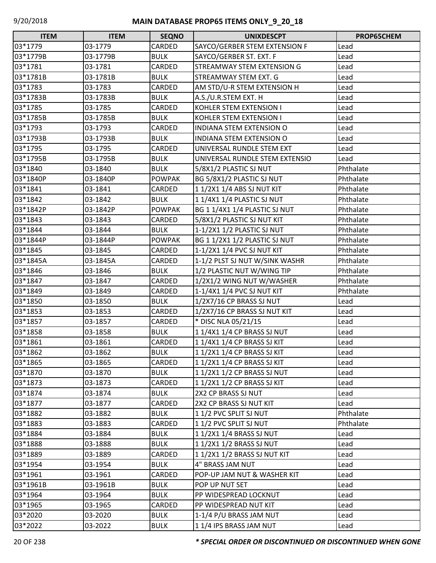| <b>ITEM</b> | <b>ITEM</b> | <b>SEQNO</b>  | <b>UNIXDESCPT</b>               | PROP65CHEM |
|-------------|-------------|---------------|---------------------------------|------------|
| 03*1779     | 03-1779     | CARDED        | SAYCO/GERBER STEM EXTENSION F   | Lead       |
| 03*1779B    | 03-1779B    | <b>BULK</b>   | SAYCO/GERBER ST. EXT. F         | Lead       |
| 03*1781     | 03-1781     | CARDED        | STREAMWAY STEM EXTENSION G      | Lead       |
| 03*1781B    | 03-1781B    | <b>BULK</b>   | STREAMWAY STEM EXT. G           | Lead       |
| 03*1783     | 03-1783     | CARDED        | AM STD/U-R STEM EXTENSION H     | Lead       |
| 03*1783B    | 03-1783B    | <b>BULK</b>   | A.S./U.R.STEM EXT. H            | Lead       |
| 03*1785     | 03-1785     | CARDED        | KOHLER STEM EXTENSION I         | Lead       |
| 03*1785B    | 03-1785B    | <b>BULK</b>   | KOHLER STEM EXTENSION I         | Lead       |
| 03*1793     | 03-1793     | CARDED        | <b>INDIANA STEM EXTENSION O</b> | Lead       |
| 03*1793B    | 03-1793B    | <b>BULK</b>   | INDIANA STEM EXTENSION O        | Lead       |
| 03*1795     | 03-1795     | CARDED        | UNIVERSAL RUNDLE STEM EXT       | Lead       |
| 03*1795B    | 03-1795B    | <b>BULK</b>   | UNIVERSAL RUNDLE STEM EXTENSIO  | Lead       |
| 03*1840     | 03-1840     | <b>BULK</b>   | 5/8X1/2 PLASTIC SJ NUT          | Phthalate  |
| 03*1840P    | 03-1840P    | <b>POWPAK</b> | BG 5/8X1/2 PLASTIC SJ NUT       | Phthalate  |
| 03*1841     | 03-1841     | CARDED        | 11/2X11/4 ABS SJ NUT KIT        | Phthalate  |
| 03*1842     | 03-1842     | <b>BULK</b>   | 1 1/4X1 1/4 PLASTIC SJ NUT      | Phthalate  |
| 03*1842P    | 03-1842P    | <b>POWPAK</b> | BG 1 1/4X1 1/4 PLASTIC SJ NUT   | Phthalate  |
| 03*1843     | 03-1843     | CARDED        | 5/8X1/2 PLASTIC SJ NUT KIT      | Phthalate  |
| 03*1844     | 03-1844     | <b>BULK</b>   | 1-1/2X1 1/2 PLASTIC SJ NUT      | Phthalate  |
| 03*1844P    | 03-1844P    | <b>POWPAK</b> | BG 1 1/2X1 1/2 PLASTIC SJ NUT   | Phthalate  |
| 03*1845     | 03-1845     | CARDED        | 1-1/2X1 1/4 PVC SJ NUT KIT      | Phthalate  |
| 03*1845A    | 03-1845A    | CARDED        | 1-1/2 PLST SJ NUT W/SINK WASHR  | Phthalate  |
| 03*1846     | 03-1846     | <b>BULK</b>   | 1/2 PLASTIC NUT W/WING TIP      | Phthalate  |
| 03*1847     | 03-1847     | CARDED        | 1/2X1/2 WING NUT W/WASHER       | Phthalate  |
| 03*1849     | 03-1849     | CARDED        | 1-1/4X1 1/4 PVC SJ NUT KIT      | Phthalate  |
| 03*1850     | 03-1850     | <b>BULK</b>   | 1/2X7/16 CP BRASS SJ NUT        | Lead       |
| 03*1853     | 03-1853     | CARDED        | 1/2X7/16 CP BRASS SJ NUT KIT    | Lead       |
| 03*1857     | 03-1857     | CARDED        | * DISC NLA 05/21/15             | Lead       |
| 03*1858     | 03-1858     | <b>BULK</b>   | 11/4X11/4 CP BRASS SJ NUT       | Lead       |
| 03*1861     | 03-1861     | CARDED        | 11/4X11/4 CP BRASS SJ KIT       | Lead       |
| 03*1862     | 03-1862     | <b>BULK</b>   | 1 1/2X1 1/4 CP BRASS SJ KIT     | Lead       |
| 03*1865     | 03-1865     | CARDED        | 11/2X11/4 CP BRASS SJ KIT       | Lead       |
| 03*1870     | 03-1870     | <b>BULK</b>   | 1 1/2X1 1/2 CP BRASS SJ NUT     | Lead       |
| 03*1873     | 03-1873     | CARDED        | 1 1/2X1 1/2 CP BRASS SJ KIT     | Lead       |
| 03*1874     | 03-1874     | <b>BULK</b>   | 2X2 CP BRASS SJ NUT             | Lead       |
| 03*1877     | 03-1877     | CARDED        | 2X2 CP BRASS SJ NUT KIT         | Lead       |
| 03*1882     | 03-1882     | <b>BULK</b>   | 11/2 PVC SPLIT SJ NUT           | Phthalate  |
| 03*1883     | 03-1883     | CARDED        | 11/2 PVC SPLIT SJ NUT           | Phthalate  |
| 03*1884     | 03-1884     | <b>BULK</b>   | 1 1/2X1 1/4 BRASS SJ NUT        | Lead       |
| 03*1888     | 03-1888     | <b>BULK</b>   | 11/2X11/2 BRASS SJ NUT          | Lead       |
| 03*1889     | 03-1889     | CARDED        | 1 1/2X1 1/2 BRASS SJ NUT KIT    | Lead       |
| 03*1954     | 03-1954     | <b>BULK</b>   | 4" BRASS JAM NUT                | Lead       |
| 03*1961     | 03-1961     | CARDED        | POP-UP JAM NUT & WASHER KIT     | Lead       |
| 03*1961B    | 03-1961B    | <b>BULK</b>   | POP UP NUT SET                  | Lead       |
| 03*1964     | 03-1964     | <b>BULK</b>   | PP WIDESPREAD LOCKNUT           | Lead       |
| 03*1965     | 03-1965     | CARDED        | PP WIDESPREAD NUT KIT           | Lead       |
| 03*2020     | 03-2020     | <b>BULK</b>   | 1-1/4 P/U BRASS JAM NUT         | Lead       |
| 03*2022     | 03-2022     | <b>BULK</b>   | 11/4 IPS BRASS JAM NUT          | Lead       |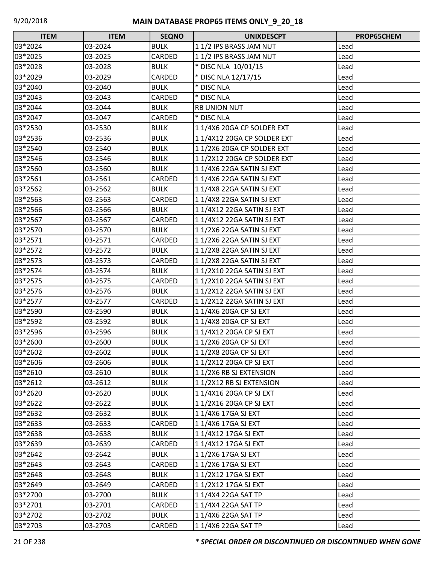| Г<br><b>ITEM</b> | <b>ITEM</b> | <b>SEQNO</b> | <b>UNIXDESCPT</b>           | PROP65CHEM |
|------------------|-------------|--------------|-----------------------------|------------|
| 03*2024          | 03-2024     | <b>BULK</b>  | 11/2 IPS BRASS JAM NUT      | Lead       |
| 03*2025          | 03-2025     | CARDED       | 11/2 IPS BRASS JAM NUT      | Lead       |
| 03*2028          | 03-2028     | <b>BULK</b>  | * DISC NLA 10/01/15         | Lead       |
| 03*2029          | 03-2029     | CARDED       | * DISC NLA 12/17/15         | Lead       |
| 03*2040          | 03-2040     | <b>BULK</b>  | * DISC NLA                  | Lead       |
| 03*2043          | 03-2043     | CARDED       | * DISC NLA                  | Lead       |
| 03*2044          | 03-2044     | <b>BULK</b>  | <b>RB UNION NUT</b>         | Lead       |
| 03*2047          | 03-2047     | CARDED       | * DISC NLA                  | Lead       |
| 03*2530          | 03-2530     | <b>BULK</b>  | 11/4X6 20GA CP SOLDER EXT   | Lead       |
| 03*2536          | 03-2536     | <b>BULK</b>  | 1 1/4X12 20GA CP SOLDER EXT | Lead       |
| 03*2540          | 03-2540     | <b>BULK</b>  | 11/2X6 20GA CP SOLDER EXT   | Lead       |
| 03*2546          | 03-2546     | <b>BULK</b>  | 11/2X12 20GA CP SOLDER EXT  | Lead       |
| 03*2560          | 03-2560     | <b>BULK</b>  | 11/4X6 22GA SATIN SJ EXT    | Lead       |
| 03*2561          | 03-2561     | CARDED       | 11/4X6 22GA SATIN SJ EXT    | Lead       |
| 03*2562          | 03-2562     | <b>BULK</b>  | 11/4X8 22GA SATIN SJ EXT    | Lead       |
| 03*2563          | 03-2563     | CARDED       | 1 1/4X8 22GA SATIN SJ EXT   | Lead       |
| 03*2566          | 03-2566     | <b>BULK</b>  | 11/4X12 22GA SATIN SJ EXT   | Lead       |
| 03*2567          | 03-2567     | CARDED       | 1 1/4X12 22GA SATIN SJ EXT  | Lead       |
| 03*2570          | 03-2570     | <b>BULK</b>  | 11/2X6 22GA SATIN SJ EXT    | Lead       |
| 03*2571          | 03-2571     | CARDED       | 11/2X6 22GA SATIN SJ EXT    | Lead       |
| 03*2572          | 03-2572     | <b>BULK</b>  | 11/2X8 22GA SATIN SJ EXT    | Lead       |
| 03*2573          | 03-2573     | CARDED       | 11/2X8 22GA SATIN SJ EXT    | Lead       |
| 03*2574          | 03-2574     | <b>BULK</b>  | 1 1/2X10 22GA SATIN SJ EXT  | Lead       |
| 03*2575          | 03-2575     | CARDED       | 11/2X10 22GA SATIN SJ EXT   | Lead       |
| 03*2576          | 03-2576     | <b>BULK</b>  | 11/2X12 22GA SATIN SJ EXT   | Lead       |
| 03*2577          | 03-2577     | CARDED       | 11/2X12 22GA SATIN SJ EXT   | Lead       |
| 03*2590          | 03-2590     | <b>BULK</b>  | 11/4X6 20GA CP SJ EXT       | Lead       |
| 03*2592          | 03-2592     | <b>BULK</b>  | 11/4X8 20GA CP SJ EXT       | Lead       |
| 03*2596          | 03-2596     | <b>BULK</b>  | 11/4X12 20GA CP SJ EXT      | Lead       |
| 03*2600          | 03-2600     | <b>BULK</b>  | 11/2X6 20GA CP SJ EXT       | Lead       |
| 03*2602          | 03-2602     | <b>BULK</b>  | 11/2X8 20GA CP SJ EXT       | Lead       |
| 03*2606          | 03-2606     | <b>BULK</b>  | 11/2X12 20GA CP SJ EXT      | Lead       |
| 03*2610          | 03-2610     | <b>BULK</b>  | 11/2X6 RB SJ EXTENSION      | Lead       |
| 03*2612          | 03-2612     | <b>BULK</b>  | 11/2X12 RB SJ EXTENSION     | Lead       |
| 03*2620          | 03-2620     | <b>BULK</b>  | 11/4X16 20GA CP SJ EXT      | Lead       |
| 03*2622          | 03-2622     | <b>BULK</b>  | 11/2X16 20GA CP SJ EXT      | Lead       |
| 03*2632          | 03-2632     | <b>BULK</b>  | 11/4X6 17GA SJ EXT          | Lead       |
| 03*2633          | 03-2633     | CARDED       | 11/4X6 17GA SJ EXT          | Lead       |
| 03*2638          | 03-2638     | <b>BULK</b>  | 11/4X12 17GA SJ EXT         | Lead       |
| 03*2639          | 03-2639     | CARDED       | 11/4X12 17GA SJ EXT         | Lead       |
| 03*2642          | 03-2642     | <b>BULK</b>  | 11/2X6 17GA SJ EXT          | Lead       |
| 03*2643          | 03-2643     | CARDED       | 11/2X6 17GA SJ EXT          | Lead       |
| 03*2648          | 03-2648     | <b>BULK</b>  | 11/2X12 17GA SJ EXT         | Lead       |
| 03*2649          | 03-2649     | CARDED       | 1 1/2X12 17GA SJ EXT        | Lead       |
| 03*2700          | 03-2700     | <b>BULK</b>  | 11/4X4 22GA SAT TP          | Lead       |
| 03*2701          | 03-2701     | CARDED       | 11/4X4 22GA SAT TP          | Lead       |
| 03*2702          | 03-2702     | <b>BULK</b>  | 11/4X6 22GA SAT TP          | Lead       |
| 03*2703          | 03-2703     | CARDED       | 11/4X6 22GA SAT TP          | Lead       |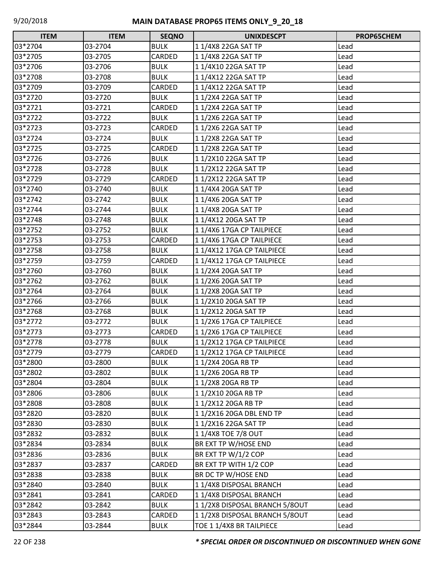| $\Box$<br><b>ITEM</b> | <b>ITEM</b> | <b>SEQNO</b> | <b>UNIXDESCPT</b>             | PROP65CHEM |
|-----------------------|-------------|--------------|-------------------------------|------------|
| 03*2704               | 03-2704     | <b>BULK</b>  | 11/4X8 22GA SAT TP            | Lead       |
| 03*2705               | 03-2705     | CARDED       | 11/4X8 22GA SAT TP            | Lead       |
| 03*2706               | 03-2706     | <b>BULK</b>  | 11/4X10 22GA SAT TP           | Lead       |
| 03*2708               | 03-2708     | <b>BULK</b>  | 11/4X12 22GA SAT TP           | Lead       |
| 03*2709               | 03-2709     | CARDED       | 11/4X12 22GA SAT TP           | Lead       |
| 03*2720               | 03-2720     | <b>BULK</b>  | 11/2X4 22GA SAT TP            | Lead       |
| 03*2721               | 03-2721     | CARDED       | 11/2X4 22GA SAT TP            | Lead       |
| 03*2722               | 03-2722     | <b>BULK</b>  | 11/2X6 22GA SAT TP            | Lead       |
| 03*2723               | 03-2723     | CARDED       | 11/2X6 22GA SAT TP            | Lead       |
| 03*2724               | 03-2724     | <b>BULK</b>  | 11/2X8 22GA SAT TP            | Lead       |
| 03*2725               | 03-2725     | CARDED       | 11/2X8 22GA SAT TP            | Lead       |
| 03*2726               | 03-2726     | <b>BULK</b>  | 11/2X10 22GA SAT TP           | Lead       |
| 03*2728               | 03-2728     | <b>BULK</b>  | 11/2X12 22GA SAT TP           | Lead       |
| 03*2729               | 03-2729     | CARDED       | 11/2X12 22GA SAT TP           | Lead       |
| 03*2740               | 03-2740     | <b>BULK</b>  | 1 1/4X4 20GA SAT TP           | Lead       |
| 03*2742               | 03-2742     | <b>BULK</b>  | 11/4X6 20GA SAT TP            | Lead       |
| 03*2744               | 03-2744     | <b>BULK</b>  | 11/4X8 20GA SAT TP            | Lead       |
| 03*2748               | 03-2748     | <b>BULK</b>  | 11/4X12 20GA SAT TP           | Lead       |
| 03*2752               | 03-2752     | <b>BULK</b>  | 11/4X6 17GA CP TAILPIECE      | Lead       |
| 03*2753               | 03-2753     | CARDED       | 1 1/4X6 17GA CP TAILPIECE     | Lead       |
| 03*2758               | 03-2758     | <b>BULK</b>  | 1 1/4X12 17GA CP TAILPIECE    | Lead       |
| 03*2759               | 03-2759     | CARDED       | 11/4X12 17GA CP TAILPIECE     | Lead       |
| 03*2760               | 03-2760     | <b>BULK</b>  | 11/2X4 20GA SAT TP            | Lead       |
| 03*2762               | 03-2762     | <b>BULK</b>  | 11/2X6 20GA SAT TP            | Lead       |
| 03*2764               | 03-2764     | <b>BULK</b>  | 11/2X8 20GA SAT TP            | Lead       |
| 03*2766               | 03-2766     | <b>BULK</b>  | 11/2X10 20GA SAT TP           | Lead       |
| 03*2768               | 03-2768     | <b>BULK</b>  | 11/2X12 20GA SAT TP           | Lead       |
| 03*2772               | 03-2772     | <b>BULK</b>  | 11/2X6 17GA CP TAILPIECE      | Lead       |
| 03*2773               | 03-2773     | CARDED       | 11/2X6 17GA CP TAILPIECE      | Lead       |
| 03*2778               | 03-2778     | <b>BULK</b>  | 1 1/2X12 17GA CP TAILPIECE    | Lead       |
| 03*2779               | 03-2779     | CARDED       | 11/2X12 17GA CP TAILPIECE     | Lead       |
| 03*2800               | 03-2800     | <b>BULK</b>  | 11/2X4 20GA RB TP             | Lead       |
| 03*2802               | 03-2802     | <b>BULK</b>  | 11/2X6 20GA RB TP             | Lead       |
| 03*2804               | 03-2804     | <b>BULK</b>  | 11/2X8 20GA RB TP             | Lead       |
| 03*2806               | 03-2806     | <b>BULK</b>  | 11/2X10 20GA RB TP            | Lead       |
| 03*2808               | 03-2808     | <b>BULK</b>  | 11/2X12 20GA RB TP            | Lead       |
| 03*2820               | 03-2820     | <b>BULK</b>  | 11/2X16 20GA DBL END TP       | Lead       |
| 03*2830               | 03-2830     | <b>BULK</b>  | 11/2X16 22GA SAT TP           | Lead       |
| 03*2832               | 03-2832     | <b>BULK</b>  | 11/4X8 TOE 7/8 OUT            | Lead       |
| 03*2834               | 03-2834     | <b>BULK</b>  | BR EXT TP W/HOSE END          | Lead       |
| 03*2836               | 03-2836     | <b>BULK</b>  | BR EXT TP W/1/2 COP           | Lead       |
| 03*2837               | 03-2837     | CARDED       | BR EXT TP WITH 1/2 COP        | Lead       |
| 03*2838               | 03-2838     | <b>BULK</b>  | BR DC TP W/HOSE END           | Lead       |
| 03*2840               | 03-2840     | <b>BULK</b>  | 11/4X8 DISPOSAL BRANCH        | Lead       |
| 03*2841               | 03-2841     | CARDED       | 11/4X8 DISPOSAL BRANCH        | Lead       |
| 03*2842               | 03-2842     | <b>BULK</b>  | 11/2X8 DISPOSAL BRANCH 5/8OUT | Lead       |
| 03*2843               | 03-2843     | CARDED       | 11/2X8 DISPOSAL BRANCH 5/8OUT | Lead       |
| 03*2844               | 03-2844     | <b>BULK</b>  | TOE 1 1/4X8 BR TAILPIECE      | Lead       |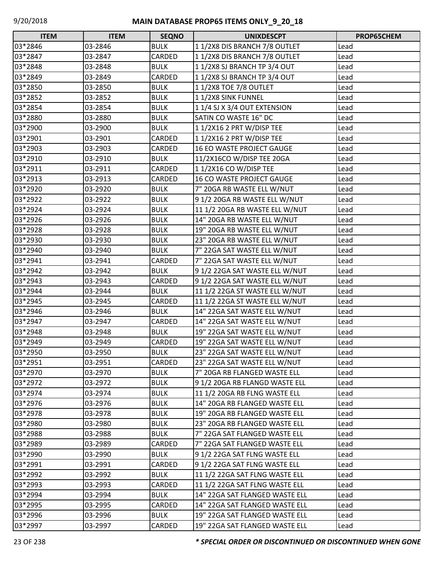| Г<br><b>ITEM</b> | <b>ITEM</b> | <b>SEQNO</b> | <b>UNIXDESCPT</b>              | PROP65CHEM |
|------------------|-------------|--------------|--------------------------------|------------|
| 03*2846          | 03-2846     | <b>BULK</b>  | 11/2X8 DIS BRANCH 7/8 OUTLET   | Lead       |
| 03*2847          | 03-2847     | CARDED       | 11/2X8 DIS BRANCH 7/8 OUTLET   | Lead       |
| 03*2848          | 03-2848     | <b>BULK</b>  | 11/2X8 SJ BRANCH TP 3/4 OUT    | Lead       |
| 03*2849          | 03-2849     | CARDED       | 11/2X8 SJ BRANCH TP 3/4 OUT    | Lead       |
| 03*2850          | 03-2850     | <b>BULK</b>  | 11/2X8 TOE 7/8 OUTLET          | Lead       |
| 03*2852          | 03-2852     | <b>BULK</b>  | 11/2X8 SINK FUNNEL             | Lead       |
| 03*2854          | 03-2854     | <b>BULK</b>  | 1 1/4 SJ X 3/4 OUT EXTENSION   | Lead       |
| 03*2880          | 03-2880     | <b>BULK</b>  | SATIN CO WASTE 16" DC          | Lead       |
| 03*2900          | 03-2900     | <b>BULK</b>  | 1 1/2X16 2 PRT W/DISP TEE      | Lead       |
| 03*2901          | 03-2901     | CARDED       | 11/2X16 2 PRT W/DISP TEE       | Lead       |
| 03*2903          | 03-2903     | CARDED       | 16 EO WASTE PROJECT GAUGE      | Lead       |
| 03*2910          | 03-2910     | <b>BULK</b>  | 11/2X16CO W/DISP TEE 20GA      | Lead       |
| 03*2911          | 03-2911     | CARDED       | 11/2X16 CO W/DISP TEE          | Lead       |
| 03*2913          | 03-2913     | CARDED       | 16 CO WASTE PROJECT GAUGE      | Lead       |
| 03*2920          | 03-2920     | <b>BULK</b>  | 7" 20GA RB WASTE ELL W/NUT     | Lead       |
| 03*2922          | 03-2922     | <b>BULK</b>  | 91/220GA RB WASTE ELL W/NUT    | Lead       |
| 03*2924          | 03-2924     | <b>BULK</b>  | 11 1/2 20GA RB WASTE ELL W/NUT | Lead       |
| 03*2926          | 03-2926     | <b>BULK</b>  | 14" 20GA RB WASTE ELL W/NUT    | Lead       |
| 03*2928          | 03-2928     | <b>BULK</b>  | 19" 20GA RB WASTE ELL W/NUT    | Lead       |
| 03*2930          | 03-2930     | <b>BULK</b>  | 23" 20GA RB WASTE ELL W/NUT    | Lead       |
| 03*2940          | 03-2940     | <b>BULK</b>  | 7" 22GA SAT WASTE ELL W/NUT    | Lead       |
| 03*2941          | 03-2941     | CARDED       | 7" 22GA SAT WASTE ELL W/NUT    | Lead       |
| 03*2942          | 03-2942     | <b>BULK</b>  | 91/222GA SAT WASTE ELL W/NUT   | Lead       |
| 03*2943          | 03-2943     | CARDED       | 91/222GA SAT WASTE ELL W/NUT   | Lead       |
| 03*2944          | 03-2944     | <b>BULK</b>  | 11 1/2 22GA ST WASTE ELL W/NUT | Lead       |
| 03*2945          | 03-2945     | CARDED       | 11 1/2 22GA ST WASTE ELL W/NUT | Lead       |
| 03*2946          | 03-2946     | <b>BULK</b>  | 14" 22GA SAT WASTE ELL W/NUT   | Lead       |
| 03*2947          | 03-2947     | CARDED       | 14" 22GA SAT WASTE ELL W/NUT   | Lead       |
| 03*2948          | 03-2948     | <b>BULK</b>  | 19" 22GA SAT WASTE ELL W/NUT   | Lead       |
| 03*2949          | 03-2949     | CARDED       | 19" 22GA SAT WASTE ELL W/NUT   | Lead       |
| 03*2950          | 03-2950     | <b>BULK</b>  | 23" 22GA SAT WASTE ELL W/NUT   | Lead       |
| 03*2951          | 03-2951     | CARDED       | 23" 22GA SAT WASTE ELL W/NUT   | Lead       |
| 03*2970          | 03-2970     | <b>BULK</b>  | 7" 20GA RB FLANGED WASTE ELL   | Lead       |
| 03*2972          | 03-2972     | <b>BULK</b>  | 91/220GA RB FLANGD WASTE ELL   | Lead       |
| 03*2974          | 03-2974     | <b>BULK</b>  | 11 1/2 20GA RB FLNG WASTE ELL  | Lead       |
| 03*2976          | 03-2976     | <b>BULK</b>  | 14" 20GA RB FLANGED WASTE ELL  | Lead       |
| 03*2978          | 03-2978     | <b>BULK</b>  | 19" 20GA RB FLANGED WASTE ELL  | Lead       |
| 03*2980          | 03-2980     | <b>BULK</b>  | 23" 20GA RB FLANGED WASTE ELL  | Lead       |
| 03*2988          | 03-2988     | <b>BULK</b>  | 7" 22GA SAT FLANGED WASTE ELL  | Lead       |
| 03*2989          | 03-2989     | CARDED       | 7" 22GA SAT FLANGED WASTE ELL  | Lead       |
| 03*2990          | 03-2990     | <b>BULK</b>  | 91/222GA SAT FLNG WASTE ELL    | Lead       |
| 03*2991          | 03-2991     | CARDED       | 91/222GA SAT FLNG WASTE ELL    | Lead       |
| 03*2992          | 03-2992     | <b>BULK</b>  | 11 1/2 22GA SAT FLNG WASTE ELL | Lead       |
| 03*2993          | 03-2993     | CARDED       | 11 1/2 22GA SAT FLNG WASTE ELL | Lead       |
| 03*2994          | 03-2994     | <b>BULK</b>  | 14" 22GA SAT FLANGED WASTE ELL | Lead       |
| 03*2995          | 03-2995     | CARDED       | 14" 22GA SAT FLANGED WASTE ELL | Lead       |
| 03*2996          | 03-2996     | <b>BULK</b>  | 19" 22GA SAT FLANGED WASTE ELL | Lead       |
| 03*2997          | 03-2997     | CARDED       | 19" 22GA SAT FLANGED WASTE ELL | Lead       |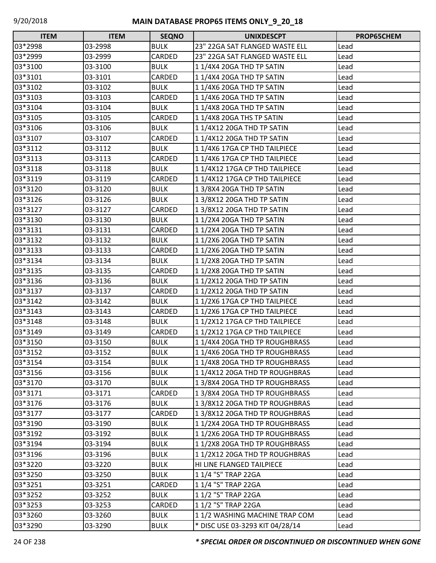| <b>ITEM</b> | <b>ITEM</b> | <b>SEQNO</b> | <b>UNIXDESCPT</b>               | PROP65CHEM |
|-------------|-------------|--------------|---------------------------------|------------|
| 03*2998     | 03-2998     | <b>BULK</b>  | 23" 22GA SAT FLANGED WASTE ELL  | Lead       |
| 03*2999     | 03-2999     | CARDED       | 23" 22GA SAT FLANGED WASTE ELL  | Lead       |
| 03*3100     | 03-3100     | <b>BULK</b>  | 11/4X4 20GA THD TP SATIN        | Lead       |
| 03*3101     | 03-3101     | CARDED       | 11/4X4 20GA THD TP SATIN        | Lead       |
| 03*3102     | 03-3102     | <b>BULK</b>  | 11/4X6 20GA THD TP SATIN        | Lead       |
| 03*3103     | 03-3103     | CARDED       | 11/4X6 20GA THD TP SATIN        | Lead       |
| 03*3104     | 03-3104     | <b>BULK</b>  | 1 1/4X8 20GA THD TP SATIN       | Lead       |
| 03*3105     | 03-3105     | CARDED       | 11/4X8 20GA THS TP SATIN        | Lead       |
| 03*3106     | 03-3106     | <b>BULK</b>  | 11/4X12 20GA THD TP SATIN       | Lead       |
| 03*3107     | 03-3107     | CARDED       | 11/4X12 20GA THD TP SATIN       | Lead       |
| 03*3112     | 03-3112     | <b>BULK</b>  | 11/4X6 17GA CP THD TAILPIECE    | Lead       |
| 03*3113     | 03-3113     | CARDED       | 1 1/4X6 17GA CP THD TAILPIECE   | Lead       |
| 03*3118     | 03-3118     | <b>BULK</b>  | 1 1/4X12 17GA CP THD TAILPIECE  | Lead       |
| 03*3119     | 03-3119     | CARDED       | 11/4X12 17GA CP THD TAILPIECE   | Lead       |
| 03*3120     | 03-3120     | <b>BULK</b>  | 13/8X4 20GA THD TP SATIN        | Lead       |
| 03*3126     | 03-3126     | <b>BULK</b>  | 13/8X12 20GA THD TP SATIN       | Lead       |
| 03*3127     | 03-3127     | CARDED       | 13/8X12 20GA THD TP SATIN       | Lead       |
| 03*3130     | 03-3130     | <b>BULK</b>  | 11/2X4 20GA THD TP SATIN        | Lead       |
| 03*3131     | 03-3131     | CARDED       | 11/2X4 20GA THD TP SATIN        | Lead       |
| 03*3132     | 03-3132     | <b>BULK</b>  | 11/2X6 20GA THD TP SATIN        | Lead       |
| 03*3133     | 03-3133     | CARDED       | 11/2X6 20GA THD TP SATIN        | Lead       |
| 03*3134     | 03-3134     | <b>BULK</b>  | 11/2X8 20GA THD TP SATIN        | Lead       |
| 03*3135     | 03-3135     | CARDED       | 11/2X8 20GA THD TP SATIN        | Lead       |
| 03*3136     | 03-3136     | <b>BULK</b>  | 11/2X12 20GA THD TP SATIN       | Lead       |
| 03*3137     | 03-3137     | CARDED       | 11/2X12 20GA THD TP SATIN       | Lead       |
| 03*3142     | 03-3142     | <b>BULK</b>  | 11/2X6 17GA CP THD TAILPIECE    | Lead       |
| 03*3143     | 03-3143     | CARDED       | 11/2X6 17GA CP THD TAILPIECE    | Lead       |
| 03*3148     | 03-3148     | <b>BULK</b>  | 11/2X12 17GA CP THD TAILPIECE   | Lead       |
| 03*3149     | 03-3149     | CARDED       | 11/2X12 17GA CP THD TAILPIECE   | Lead       |
| 03*3150     | 03-3150     | <b>BULK</b>  | 11/4X4 20GA THD TP ROUGHBRASS   | Lead       |
| 03*3152     | 03-3152     | <b>BULK</b>  | 11/4X6 20GA THD TP ROUGHBRASS   | Lead       |
| 03*3154     | 03-3154     | <b>BULK</b>  | 11/4X8 20GA THD TP ROUGHBRASS   | Lead       |
| 03*3156     | 03-3156     | <b>BULK</b>  | 11/4X12 20GA THD TP ROUGHBRAS   | Lead       |
| 03*3170     | 03-3170     | <b>BULK</b>  | 13/8X4 20GA THD TP ROUGHBRASS   | Lead       |
| 03*3171     | 03-3171     | CARDED       | 13/8X4 20GA THD TP ROUGHBRASS   | Lead       |
| 03*3176     | 03-3176     | <b>BULK</b>  | 13/8X12 20GA THD TP ROUGHBRAS   | Lead       |
| 03*3177     | 03-3177     | CARDED       | 13/8X12 20GA THD TP ROUGHBRAS   | Lead       |
| 03*3190     | 03-3190     | <b>BULK</b>  | 11/2X4 20GA THD TP ROUGHBRASS   | Lead       |
| 03*3192     | 03-3192     | <b>BULK</b>  | 11/2X6 20GA THD TP ROUGHBRASS   | Lead       |
| 03*3194     | 03-3194     | <b>BULK</b>  | 11/2X8 20GA THD TP ROUGHBRASS   | Lead       |
| 03*3196     | 03-3196     | <b>BULK</b>  | 11/2X12 20GA THD TP ROUGHBRAS   | Lead       |
| 03*3220     | 03-3220     | <b>BULK</b>  | HI LINE FLANGED TAILPIECE       | Lead       |
| 03*3250     | 03-3250     | <b>BULK</b>  | 1 1/4 "S" TRAP 22GA             | Lead       |
| 03*3251     | 03-3251     | CARDED       | 1 1/4 "S" TRAP 22GA             | Lead       |
| 03*3252     | 03-3252     | <b>BULK</b>  | 1 1/2 "S" TRAP 22GA             | Lead       |
| 03*3253     | 03-3253     | CARDED       | 1 1/2 "S" TRAP 22GA             | Lead       |
| 03*3260     | 03-3260     | <b>BULK</b>  | 11/2 WASHING MACHINE TRAP COM   | Lead       |
| 03*3290     | 03-3290     | <b>BULK</b>  | * DISC USE 03-3293 KIT 04/28/14 | Lead       |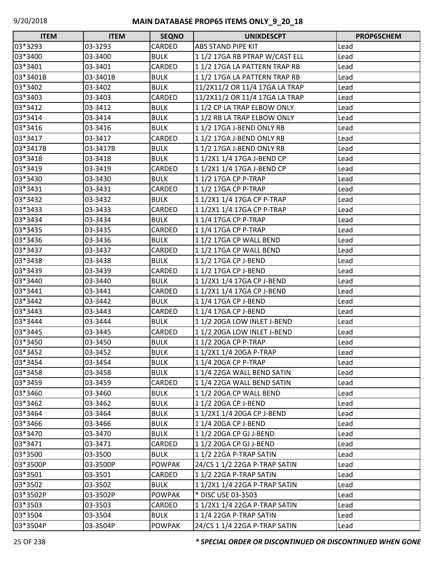| <b>ITEM</b> | <b>ITEM</b> | <b>SEQNO</b>  | <b>UNIXDESCPT</b>              | <b>PROP65CHEM</b> |
|-------------|-------------|---------------|--------------------------------|-------------------|
| 03*3293     | 03-3293     | CARDED        | ABS STAND PIPE KIT             | Lead              |
| 03*3400     | 03-3400     | <b>BULK</b>   | 11/217GA RB PTRAP W/CAST ELL   | Lead              |
| 03*3401     | 03-3401     | CARDED        | 11/217GA LA PATTERN TRAP RB    | Lead              |
| 03*3401B    | 03-3401B    | <b>BULK</b>   | 11/217GA LA PATTERN TRAP RB    | Lead              |
| 03*3402     | 03-3402     | <b>BULK</b>   | 11/2X11/2 OR 11/4 17GA LA TRAP | Lead              |
| 03*3403     | 03-3403     | CARDED        | 11/2X11/2 OR 11/4 17GA LA TRAP | Lead              |
| 03*3412     | 03-3412     | <b>BULK</b>   | 11/2 CP LA TRAP ELBOW ONLY     | Lead              |
| 03*3414     | 03-3414     | <b>BULK</b>   | 11/2 RB LA TRAP ELBOW ONLY     | Lead              |
| 03*3416     | 03-3416     | <b>BULK</b>   | 11/217GA J-BEND ONLY RB        | Lead              |
| 03*3417     | 03-3417     | CARDED        | 11/217GA J-BEND ONLY RB        | Lead              |
| 03*3417B    | 03-3417B    | <b>BULK</b>   | 11/217GA J-BEND ONLY RB        | Lead              |
| 03*3418     | 03-3418     | <b>BULK</b>   | 1 1/2X1 1/4 17GA J-BEND CP     | Lead              |
| 03*3419     | 03-3419     | CARDED        | 1 1/2X1 1/4 17GA J-BEND CP     | Lead              |
| 03*3430     | 03-3430     | <b>BULK</b>   | 11/217GA CP P-TRAP             | Lead              |
| 03*3431     | 03-3431     | CARDED        | 11/217GA CP P-TRAP             | Lead              |
| 03*3432     | 03-3432     | <b>BULK</b>   | 1 1/2X1 1/4 17GA CP P-TRAP     | Lead              |
| 03*3433     | 03-3433     | CARDED        | 1 1/2X1 1/4 17GA CP P-TRAP     | Lead              |
| 03*3434     | 03-3434     | <b>BULK</b>   | 11/417GA CP P-TRAP             | Lead              |
| 03*3435     | 03-3435     | CARDED        | 1 1/4 17GA CP P-TRAP           | Lead              |
| 03*3436     | 03-3436     | <b>BULK</b>   | 11/217GA CP WALL BEND          | Lead              |
| 03*3437     | 03-3437     | CARDED        | 11/217GA CP WALL BEND          | Lead              |
| 03*3438     | 03-3438     | <b>BULK</b>   | 11/217GA CP J-BEND             | Lead              |
| 03*3439     | 03-3439     | CARDED        | 11/217GA CP J-BEND             | Lead              |
| 03*3440     | 03-3440     | <b>BULK</b>   | 1 1/2X1 1/4 17GA CP J-BEND     | Lead              |
| 03*3441     | 03-3441     | CARDED        | 1 1/2X1 1/4 17GA CP J-BEND     | Lead              |
| 03*3442     | 03-3442     | <b>BULK</b>   | 11/417GA CP J-BEND             | Lead              |
| 03*3443     | 03-3443     | CARDED        | 11/417GA CP J-BEND             | Lead              |
| 03*3444     | 03-3444     | <b>BULK</b>   | 11/2 20GA LOW INLET J-BEND     | Lead              |
| 03*3445     | 03-3445     | CARDED        | 11/2 20GA LOW INLET J-BEND     | Lead              |
| 03*3450     | 03-3450     | <b>BULK</b>   | 11/2 20GA CP P-TRAP            | Lead              |
| 03*3452     | 03-3452     | <b>BULK</b>   | 1 1/2X1 1/4 20GA P-TRAP        | Lead              |
| 03*3454     | 03-3454     | <b>BULK</b>   | 1 1/4 20GA CP P-TRAP           | Lead              |
| 03*3458     | 03-3458     | <b>BULK</b>   | 11/4 22GA WALL BEND SATIN      | Lead              |
| 03*3459     | 03-3459     | CARDED        | 11/4 22GA WALL BEND SATIN      | Lead              |
| 03*3460     | 03-3460     | <b>BULK</b>   | 11/2 20GA CP WALL BEND         | Lead              |
| 03*3462     | 03-3462     | <b>BULK</b>   | 11/2 20GA CP J-BEND            | Lead              |
| 03*3464     | 03-3464     | <b>BULK</b>   | 1 1/2X1 1/4 20GA CP J-BEND     | Lead              |
| 03*3466     | 03-3466     | <b>BULK</b>   | 11/4 20GA CP J-BEND            | Lead              |
| 03*3470     | 03-3470     | <b>BULK</b>   | 11/2 20GA CP GJ J-BEND         | Lead              |
| 03*3471     | 03-3471     | CARDED        | 11/220GA CP GJ J-BEND          | Lead              |
| 03*3500     | 03-3500     | <b>BULK</b>   | 11/222GA P-TRAP SATIN          | Lead              |
| 03*3500P    | 03-3500P    | <b>POWPAK</b> | 24/CS 1 1/2 22GA P-TRAP SATIN  | Lead              |
| 03*3501     | 03-3501     | CARDED        | 11/222GA P-TRAP SATIN          | Lead              |
| 03*3502     | 03-3502     | <b>BULK</b>   | 1 1/2X1 1/4 22GA P-TRAP SATIN  | Lead              |
| 03*3502P    | 03-3502P    | <b>POWPAK</b> | * DISC USE 03-3503             | Lead              |
| 03*3503     | 03-3503     | CARDED        | 1 1/2X1 1/4 22GA P-TRAP SATIN  | Lead              |
| 03*3504     | 03-3504     | <b>BULK</b>   | 11/4 22GA P-TRAP SATIN         | Lead              |
| 03*3504P    | 03-3504P    | <b>POWPAK</b> | 24/CS 1 1/4 22GA P-TRAP SATIN  | Lead              |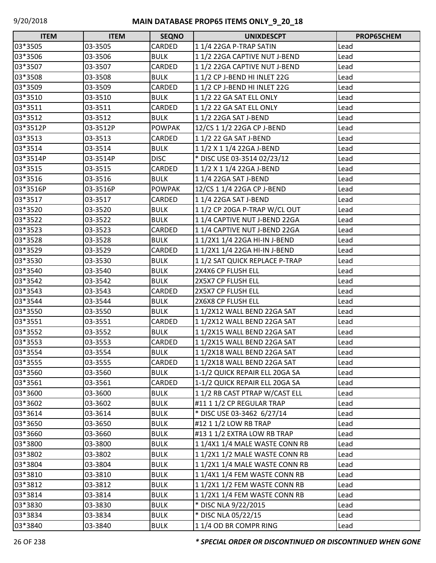| $\Box$<br><b>ITEM</b> | <b>ITEM</b> | <b>SEQNO</b>  | <b>UNIXDESCPT</b>              | PROP65CHEM |
|-----------------------|-------------|---------------|--------------------------------|------------|
| 03*3505               | 03-3505     | CARDED        | 11/4 22GA P-TRAP SATIN         | Lead       |
| 03*3506               | 03-3506     | <b>BULK</b>   | 11/2 22GA CAPTIVE NUT J-BEND   | Lead       |
| 03*3507               | 03-3507     | CARDED        | 11/2 22GA CAPTIVE NUT J-BEND   | Lead       |
| 03*3508               | 03-3508     | <b>BULK</b>   | 11/2 CP J-BEND HI INLET 22G    | Lead       |
| 03*3509               | 03-3509     | CARDED        | 11/2 CP J-BEND HI INLET 22G    | Lead       |
| 03*3510               | 03-3510     | <b>BULK</b>   | 1 1/2 22 GA SAT ELL ONLY       | Lead       |
| 03*3511               | 03-3511     | CARDED        | 11/2 22 GA SAT ELL ONLY        | Lead       |
| 03*3512               | 03-3512     | <b>BULK</b>   | 11/2 22GA SAT J-BEND           | Lead       |
| 03*3512P              | 03-3512P    | <b>POWPAK</b> | 12/CS 1 1/2 22GA CP J-BEND     | Lead       |
| 03*3513               | 03-3513     | CARDED        | 11/2 22 GA SAT J-BEND          | Lead       |
| 03*3514               | 03-3514     | <b>BULK</b>   | 1 1/2 X 1 1/4 22GA J-BEND      | Lead       |
| 03*3514P              | 03-3514P    | <b>DISC</b>   | * DISC USE 03-3514 02/23/12    | Lead       |
| 03*3515               | 03-3515     | CARDED        | 1 1/2 X 1 1/4 22GA J-BEND      | Lead       |
| 03*3516               | 03-3516     | <b>BULK</b>   | 11/4 22GA SAT J-BEND           | Lead       |
| 03*3516P              | 03-3516P    | <b>POWPAK</b> | 12/CS 1 1/4 22GA CP J-BEND     | Lead       |
| 03*3517               | 03-3517     | CARDED        | 11/4 22GA SAT J-BEND           | Lead       |
| 03*3520               | 03-3520     | <b>BULK</b>   | 11/2 CP 20GA P-TRAP W/CL OUT   | Lead       |
| 03*3522               | 03-3522     | <b>BULK</b>   | 11/4 CAPTIVE NUT J-BEND 22GA   | Lead       |
| 03*3523               | 03-3523     | CARDED        | 11/4 CAPTIVE NUT J-BEND 22GA   | Lead       |
| 03*3528               | 03-3528     | <b>BULK</b>   | 1 1/2X1 1/4 22GA HI-IN J-BEND  | Lead       |
| 03*3529               | 03-3529     | CARDED        | 1 1/2X1 1/4 22GA HI-IN J-BEND  | Lead       |
| 03*3530               | 03-3530     | <b>BULK</b>   | 11/2 SAT QUICK REPLACE P-TRAP  | Lead       |
| 03*3540               | 03-3540     | <b>BULK</b>   | 2X4X6 CP FLUSH ELL             | Lead       |
| 03*3542               | 03-3542     | <b>BULK</b>   | 2X5X7 CP FLUSH ELL             | Lead       |
| 03*3543               | 03-3543     | CARDED        | 2X5X7 CP FLUSH ELL             | Lead       |
| 03*3544               | 03-3544     | <b>BULK</b>   | 2X6X8 CP FLUSH ELL             | Lead       |
| 03*3550               | 03-3550     | <b>BULK</b>   | 11/2X12 WALL BEND 22GA SAT     | Lead       |
| 03*3551               | 03-3551     | CARDED        | 11/2X12 WALL BEND 22GA SAT     | Lead       |
| 03*3552               | 03-3552     | <b>BULK</b>   | 11/2X15 WALL BEND 22GA SAT     | Lead       |
| 03*3553               | 03-3553     | CARDED        | 11/2X15 WALL BEND 22GA SAT     | Lead       |
| 03*3554               | 03-3554     | <b>BULK</b>   | 11/2X18 WALL BEND 22GA SAT     | Lead       |
| 03*3555               | 03-3555     | CARDED        | 11/2X18 WALL BEND 22GA SAT     | Lead       |
| 03*3560               | 03-3560     | <b>BULK</b>   | 1-1/2 QUICK REPAIR ELL 20GA SA | Lead       |
| 03*3561               | 03-3561     | CARDED        | 1-1/2 QUICK REPAIR ELL 20GA SA | Lead       |
| 03*3600               | 03-3600     | <b>BULK</b>   | 1 1/2 RB CAST PTRAP W/CAST ELL | Lead       |
| 03*3602               | 03-3602     | <b>BULK</b>   | #11 1 1/2 CP REGULAR TRAP      | Lead       |
| 03*3614               | 03-3614     | <b>BULK</b>   | * DISC USE 03-3462 6/27/14     | Lead       |
| 03*3650               | 03-3650     | <b>BULK</b>   | #12 1 1/2 LOW RB TRAP          | Lead       |
| 03*3660               | 03-3660     | <b>BULK</b>   | #13 1 1/2 EXTRA LOW RB TRAP    | Lead       |
| 03*3800               | 03-3800     | <b>BULK</b>   | 1 1/4X1 1/4 MALE WASTE CONN RB | Lead       |
| 03*3802               | 03-3802     | <b>BULK</b>   | 11/2X11/2 MALE WASTE CONN RB   | Lead       |
| 03*3804               | 03-3804     | <b>BULK</b>   | 11/2X11/4 MALE WASTE CONN RB   | Lead       |
| 03*3810               | 03-3810     | <b>BULK</b>   | 1 1/4X1 1/4 FEM WASTE CONN RB  | Lead       |
| 03*3812               | 03-3812     | <b>BULK</b>   | 1 1/2X1 1/2 FEM WASTE CONN RB  | Lead       |
| 03*3814               | 03-3814     | <b>BULK</b>   | 11/2X11/4 FEM WASTE CONN RB    | Lead       |
| 03*3830               | 03-3830     | <b>BULK</b>   | * DISC NLA 9/22/2015           | Lead       |
| 03*3834               | 03-3834     | <b>BULK</b>   | * DISC NLA 05/22/15            | Lead       |
| 03*3840               | 03-3840     | <b>BULK</b>   | 11/4 OD BR COMPR RING          | Lead       |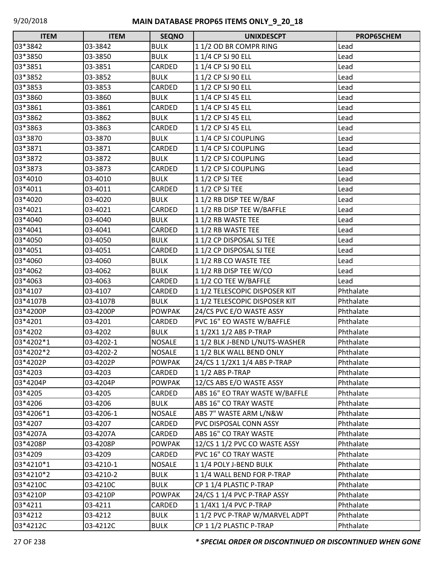| <b>ITEM</b> | <b>ITEM</b> | <b>SEQNO</b>  | <b>UNIXDESCPT</b>              | PROP65CHEM |
|-------------|-------------|---------------|--------------------------------|------------|
| 03*3842     | 03-3842     | <b>BULK</b>   | 11/2 OD BR COMPR RING          | Lead       |
| 03*3850     | 03-3850     | <b>BULK</b>   | 1 1/4 CP SJ 90 ELL             | Lead       |
| 03*3851     | 03-3851     | CARDED        | 11/4 CP SJ 90 ELL              | Lead       |
| 03*3852     | 03-3852     | <b>BULK</b>   | 1 1/2 CP SJ 90 ELL             | Lead       |
| 03*3853     | 03-3853     | CARDED        | 11/2 CP SJ 90 ELL              | Lead       |
| 03*3860     | 03-3860     | <b>BULK</b>   | 1 1/4 CP SJ 45 ELL             | Lead       |
| 03*3861     | 03-3861     | CARDED        | 11/4 CP SJ 45 ELL              | Lead       |
| 03*3862     | 03-3862     | <b>BULK</b>   | 11/2 CP SJ 45 ELL              | Lead       |
| 03*3863     | 03-3863     | CARDED        | 11/2 CP SJ 45 ELL              | Lead       |
| 03*3870     | 03-3870     | <b>BULK</b>   | 11/4 CP SJ COUPLING            | Lead       |
| 03*3871     | 03-3871     | CARDED        | 11/4 CP SJ COUPLING            | Lead       |
| 03*3872     | 03-3872     | <b>BULK</b>   | 11/2 CP SJ COUPLING            | Lead       |
| 03*3873     | 03-3873     | CARDED        | 11/2 CP SJ COUPLING            | Lead       |
| 03*4010     | 03-4010     | <b>BULK</b>   | $11/2$ CP SJ TEE               | Lead       |
| 03*4011     | 03-4011     | CARDED        | $11/2$ CP SJ TEE               | Lead       |
| 03*4020     | 03-4020     | <b>BULK</b>   | 11/2 RB DISP TEE W/BAF         | Lead       |
| 03*4021     | 03-4021     | CARDED        | 11/2 RB DISP TEE W/BAFFLE      | Lead       |
| 03*4040     | 03-4040     | <b>BULK</b>   | 1 1/2 RB WASTE TEE             | Lead       |
| 03*4041     | 03-4041     | CARDED        | 11/2 RB WASTE TEE              | Lead       |
| 03*4050     | 03-4050     | <b>BULK</b>   | 11/2 CP DISPOSAL SJ TEE        | Lead       |
| 03*4051     | 03-4051     | CARDED        | 11/2 CP DISPOSAL SJ TEE        | Lead       |
| 03*4060     | 03-4060     | <b>BULK</b>   | 1 1/2 RB CO WASTE TEE          | Lead       |
| 03*4062     | 03-4062     | <b>BULK</b>   | 1 1/2 RB DISP TEE W/CO         | Lead       |
| 03*4063     | 03-4063     | CARDED        | 11/2 CO TEE W/BAFFLE           | Lead       |
| 03*4107     | 03-4107     | CARDED        | 11/2 TELESCOPIC DISPOSER KIT   | Phthalate  |
| 03*4107B    | 03-4107B    | <b>BULK</b>   | 11/2 TELESCOPIC DISPOSER KIT   | Phthalate  |
| 03*4200P    | 03-4200P    | <b>POWPAK</b> | 24/CS PVC E/O WASTE ASSY       | Phthalate  |
| 03*4201     | 03-4201     | CARDED        | PVC 16" EO WASTE W/BAFFLE      | Phthalate  |
| 03*4202     | 03-4202     | <b>BULK</b>   | 1 1/2X1 1/2 ABS P-TRAP         | Phthalate  |
| 03*4202*1   | 03-4202-1   | <b>NOSALE</b> | 11/2 BLK J-BEND L/NUTS-WASHER  | Phthalate  |
| 03*4202*2   | 03-4202-2   | <b>NOSALE</b> | 1 1/2 BLK WALL BEND ONLY       | Phthalate  |
| 03*4202P    | 03-4202P    | <b>POWPAK</b> | 24/CS 1 1/2X1 1/4 ABS P-TRAP   | Phthalate  |
| 03*4203     | 03-4203     | CARDED        | 1 1/2 ABS P-TRAP               | Phthalate  |
| 03*4204P    | 03-4204P    | <b>POWPAK</b> | 12/CS ABS E/O WASTE ASSY       | Phthalate  |
| 03*4205     | 03-4205     | CARDED        | ABS 16" EO TRAY WASTE W/BAFFLE | Phthalate  |
| 03*4206     | 03-4206     | <b>BULK</b>   | ABS 16" CO TRAY WASTE          | Phthalate  |
| 03*4206*1   | 03-4206-1   | <b>NOSALE</b> | ABS 7" WASTE ARM L/N&W         | Phthalate  |
| 03*4207     | 03-4207     | CARDED        | PVC DISPOSAL CONN ASSY         | Phthalate  |
| 03*4207A    | 03-4207A    | CARDED        | ABS 16" CO TRAY WASTE          | Phthalate  |
| 03*4208P    | 03-4208P    | <b>POWPAK</b> | 12/CS 1 1/2 PVC CO WASTE ASSY  | Phthalate  |
| 03*4209     | 03-4209     | CARDED        | PVC 16" CO TRAY WASTE          | Phthalate  |
| 03*4210*1   | 03-4210-1   | <b>NOSALE</b> | 11/4 POLY J-BEND BULK          | Phthalate  |
| 03*4210*2   | 03-4210-2   | <b>BULK</b>   | 11/4 WALL BEND FOR P-TRAP      | Phthalate  |
| 03*4210C    | 03-4210C    | <b>BULK</b>   | CP 1 1/4 PLASTIC P-TRAP        | Phthalate  |
| 03*4210P    | 03-4210P    | <b>POWPAK</b> | 24/CS 1 1/4 PVC P-TRAP ASSY    | Phthalate  |
| 03*4211     | 03-4211     | CARDED        | 1 1/4X1 1/4 PVC P-TRAP         | Phthalate  |
| 03*4212     | 03-4212     | <b>BULK</b>   | 11/2 PVC P-TRAP W/MARVEL ADPT  | Phthalate  |
| 03*4212C    | 03-4212C    | <b>BULK</b>   | CP 1 1/2 PLASTIC P-TRAP        | Phthalate  |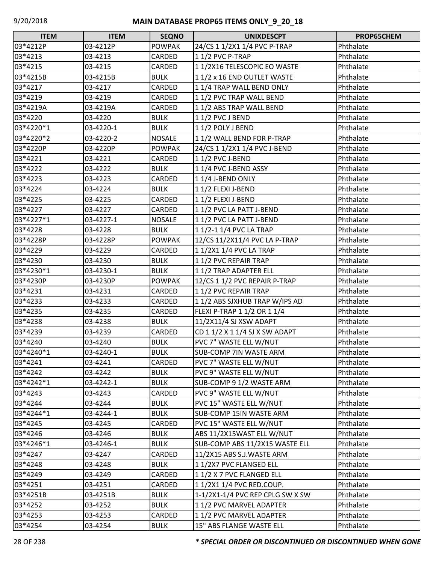| <b>ITEM</b> | <b>ITEM</b> | <b>SEQNO</b>  | <b>UNIXDESCPT</b>                | PROP65CHEM |
|-------------|-------------|---------------|----------------------------------|------------|
| 03*4212P    | 03-4212P    | <b>POWPAK</b> | 24/CS 1 1/2X1 1/4 PVC P-TRAP     | Phthalate  |
| 03*4213     | 03-4213     | CARDED        | 1 1/2 PVC P-TRAP                 | Phthalate  |
| 03*4215     | 03-4215     | CARDED        | 11/2X16 TELESCOPIC EO WASTE      | Phthalate  |
| 03*4215B    | 03-4215B    | <b>BULK</b>   | 1 1/2 x 16 END OUTLET WASTE      | Phthalate  |
| 03*4217     | 03-4217     | CARDED        | 11/4 TRAP WALL BEND ONLY         | Phthalate  |
| 03*4219     | 03-4219     | CARDED        | 11/2 PVC TRAP WALL BEND          | Phthalate  |
| 03*4219A    | 03-4219A    | CARDED        | 11/2 ABS TRAP WALL BEND          | Phthalate  |
| 03*4220     | 03-4220     | <b>BULK</b>   | 11/2 PVC J BEND                  | Phthalate  |
| 03*4220*1   | 03-4220-1   | <b>BULK</b>   | 11/2 POLY J BEND                 | Phthalate  |
| 03*4220*2   | 03-4220-2   | <b>NOSALE</b> | 11/2 WALL BEND FOR P-TRAP        | Phthalate  |
| 03*4220P    | 03-4220P    | <b>POWPAK</b> | 24/CS 1 1/2X1 1/4 PVC J-BEND     | Phthalate  |
| 03*4221     | 03-4221     | CARDED        | 11/2 PVC J-BEND                  | Phthalate  |
| 03*4222     | 03-4222     | <b>BULK</b>   | 11/4 PVC J-BEND ASSY             | Phthalate  |
| 03*4223     | 03-4223     | CARDED        | 11/4 J-BEND ONLY                 | Phthalate  |
| 03*4224     | 03-4224     | <b>BULK</b>   | 11/2 FLEXI J-BEND                | Phthalate  |
| 03*4225     | 03-4225     | CARDED        | 11/2 FLEXI J-BEND                | Phthalate  |
| 03*4227     | 03-4227     | CARDED        | 11/2 PVC LA PATT J-BEND          | Phthalate  |
| 03*4227*1   | 03-4227-1   | <b>NOSALE</b> | 11/2 PVC LA PATT J-BEND          | Phthalate  |
| 03*4228     | 03-4228     | <b>BULK</b>   | 1 1/2-1 1/4 PVC LA TRAP          | Phthalate  |
| 03*4228P    | 03-4228P    | <b>POWPAK</b> | 12/CS 11/2X11/4 PVC LA P-TRAP    | Phthalate  |
| 03*4229     | 03-4229     | CARDED        | 1 1/2X1 1/4 PVC LA TRAP          | Phthalate  |
| 03*4230     | 03-4230     | <b>BULK</b>   | 11/2 PVC REPAIR TRAP             | Phthalate  |
| 03*4230*1   | 03-4230-1   | <b>BULK</b>   | 11/2 TRAP ADAPTER ELL            | Phthalate  |
| 03*4230P    | 03-4230P    | <b>POWPAK</b> | 12/CS 1 1/2 PVC REPAIR P-TRAP    | Phthalate  |
| 03*4231     | 03-4231     | CARDED        | 11/2 PVC REPAIR TRAP             | Phthalate  |
| 03*4233     | 03-4233     | CARDED        | 11/2 ABS SJXHUB TRAP W/IPS AD    | Phthalate  |
| 03*4235     | 03-4235     | CARDED        | FLEXI P-TRAP 1 1/2 OR 1 1/4      | Phthalate  |
| 03*4238     | 03-4238     | <b>BULK</b>   | 11/2X11/4 SJ XSW ADAPT           | Phthalate  |
| 03*4239     | 03-4239     | CARDED        | CD 1 1/2 X 1 1/4 SJ X SW ADAPT   | Phthalate  |
| 03*4240     | 03-4240     | <b>BULK</b>   | PVC 7" WASTE ELL W/NUT           | Phthalate  |
| 03*4240*1   | 03-4240-1   | <b>BULK</b>   | <b>SUB-COMP 7IN WASTE ARM</b>    | Phthalate  |
| 03*4241     | 03-4241     | CARDED        | PVC 7" WASTE ELL W/NUT           | Phthalate  |
| 03*4242     | 03-4242     | <b>BULK</b>   | PVC 9" WASTE ELL W/NUT           | Phthalate  |
| 03*4242*1   | 03-4242-1   | <b>BULK</b>   | SUB-COMP 9 1/2 WASTE ARM         | Phthalate  |
| 03*4243     | 03-4243     | CARDED        | PVC 9" WASTE ELL W/NUT           | Phthalate  |
| 03*4244     | 03-4244     | <b>BULK</b>   | PVC 15" WASTE ELL W/NUT          | Phthalate  |
| 03*4244*1   | 03-4244-1   | <b>BULK</b>   | <b>SUB-COMP 15IN WASTE ARM</b>   | Phthalate  |
| 03*4245     | 03-4245     | CARDED        | PVC 15" WASTE ELL W/NUT          | Phthalate  |
| 03*4246     | 03-4246     | <b>BULK</b>   | ABS 11/2X15WAST ELL W/NUT        | Phthalate  |
| 03*4246*1   | 03-4246-1   | <b>BULK</b>   | SUB-COMP ABS 11/2X15 WASTE ELL   | Phthalate  |
| 03*4247     | 03-4247     | CARDED        | 11/2X15 ABS S.J.WASTE ARM        | Phthalate  |
| 03*4248     | 03-4248     | <b>BULK</b>   | 11/2X7 PVC FLANGED ELL           | Phthalate  |
| 03*4249     | 03-4249     | CARDED        | 11/2 X 7 PVC FLANGED ELL         | Phthalate  |
| 03*4251     | 03-4251     | CARDED        | 1 1/2X1 1/4 PVC RED.COUP.        | Phthalate  |
| 03*4251B    | 03-4251B    | <b>BULK</b>   | 1-1/2X1-1/4 PVC REP CPLG SW X SW | Phthalate  |
| 03*4252     | 03-4252     | <b>BULK</b>   | 1 1/2 PVC MARVEL ADAPTER         | Phthalate  |
| 03*4253     | 03-4253     | CARDED        | 1 1/2 PVC MARVEL ADAPTER         | Phthalate  |
| 03*4254     | 03-4254     | <b>BULK</b>   | 15" ABS FLANGE WASTE ELL         | Phthalate  |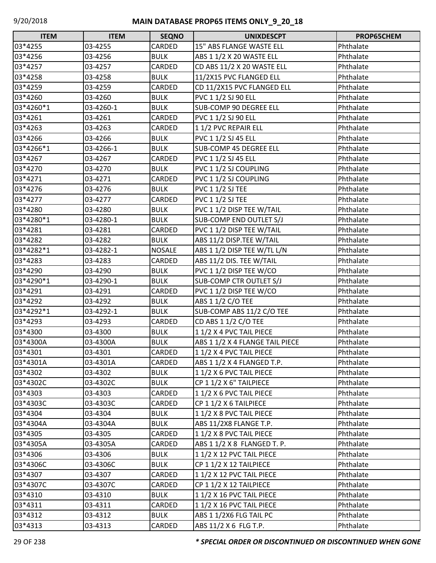| <b>ITEM</b> | <b>ITEM</b> | <b>SEQNO</b>  | <b>UNIXDESCPT</b>               | PROP65CHEM |
|-------------|-------------|---------------|---------------------------------|------------|
| 03*4255     | 03-4255     | CARDED        | 15" ABS FLANGE WASTE ELL        | Phthalate  |
| 03*4256     | 03-4256     | <b>BULK</b>   | ABS 1 1/2 X 20 WASTE ELL        | Phthalate  |
| 03*4257     | 03-4257     | CARDED        | CD ABS 11/2 X 20 WASTE ELL      | Phthalate  |
| 03*4258     | 03-4258     | <b>BULK</b>   | 11/2X15 PVC FLANGED ELL         | Phthalate  |
| 03*4259     | 03-4259     | CARDED        | CD 11/2X15 PVC FLANGED ELL      | Phthalate  |
| 03*4260     | 03-4260     | <b>BULK</b>   | PVC 1 1/2 SJ 90 ELL             | Phthalate  |
| 03*4260*1   | 03-4260-1   | <b>BULK</b>   | <b>SUB-COMP 90 DEGREE ELL</b>   | Phthalate  |
| 03*4261     | 03-4261     | CARDED        | PVC 1 1/2 SJ 90 ELL             | Phthalate  |
| 03*4263     | 03-4263     | CARDED        | 11/2 PVC REPAIR ELL             | Phthalate  |
| 03*4266     | 03-4266     | <b>BULK</b>   | PVC 1 1/2 SJ 45 ELL             | Phthalate  |
| 03*4266*1   | 03-4266-1   | <b>BULK</b>   | <b>SUB-COMP 45 DEGREE ELL</b>   | Phthalate  |
| 03*4267     | 03-4267     | CARDED        | PVC 1 1/2 SJ 45 ELL             | Phthalate  |
| 03*4270     | 03-4270     | <b>BULK</b>   | PVC 1 1/2 SJ COUPLING           | Phthalate  |
| 03*4271     | 03-4271     | CARDED        | PVC 1 1/2 SJ COUPLING           | Phthalate  |
| 03*4276     | 03-4276     | <b>BULK</b>   | <b>PVC 1 1/2 SJ TEE</b>         | Phthalate  |
| 03*4277     | 03-4277     | CARDED        | PVC 1 1/2 SJ TEE                | Phthalate  |
| 03*4280     | 03-4280     | <b>BULK</b>   | PVC 1 1/2 DISP TEE W/TAIL       | Phthalate  |
| 03*4280*1   | 03-4280-1   | <b>BULK</b>   | SUB-COMP END OUTLET S/J         | Phthalate  |
| 03*4281     | 03-4281     | CARDED        | PVC 1 1/2 DISP TEE W/TAIL       | Phthalate  |
| 03*4282     | 03-4282     | <b>BULK</b>   | ABS 11/2 DISP.TEE W/TAIL        | Phthalate  |
| 03*4282*1   | 03-4282-1   | <b>NOSALE</b> | ABS 1 1/2 DISP TEE W/TL L/N     | Phthalate  |
| 03*4283     | 03-4283     | CARDED        | ABS 11/2 DIS. TEE W/TAIL        | Phthalate  |
| 03*4290     | 03-4290     | <b>BULK</b>   | PVC 1 1/2 DISP TEE W/CO         | Phthalate  |
| 03*4290*1   | 03-4290-1   | <b>BULK</b>   | SUB-COMP CTR OUTLET S/J         | Phthalate  |
| 03*4291     | 03-4291     | CARDED        | PVC 1 1/2 DISP TEE W/CO         | Phthalate  |
| 03*4292     | 03-4292     | <b>BULK</b>   | ABS 1 1/2 C/O TEE               | Phthalate  |
| 03*4292*1   | 03-4292-1   | <b>BULK</b>   | SUB-COMP ABS 11/2 C/O TEE       | Phthalate  |
| 03*4293     | 03-4293     | CARDED        | CD ABS 1 1/2 C/O TEE            | Phthalate  |
| 03*4300     | 03-4300     | <b>BULK</b>   | 1 1/2 X 4 PVC TAIL PIECE        | Phthalate  |
| 03*4300A    | 03-4300A    | <b>BULK</b>   | ABS 1 1/2 X 4 FLANGE TAIL PIECE | Phthalate  |
| 03*4301     | 03-4301     | CARDED        | 11/2 X 4 PVC TAIL PIECE         | Phthalate  |
| 03*4301A    | 03-4301A    | CARDED        | ABS 1 1/2 X 4 FLANGED T.P.      | Phthalate  |
| 03*4302     | 03-4302     | <b>BULK</b>   | 1 1/2 X 6 PVC TAIL PIECE        | Phthalate  |
| 03*4302C    | 03-4302C    | <b>BULK</b>   | CP 1 1/2 X 6" TAILPIECE         | Phthalate  |
| 03*4303     | 03-4303     | CARDED        | 1 1/2 X 6 PVC TAIL PIECE        | Phthalate  |
| 03*4303C    | 03-4303C    | CARDED        | CP 1 1/2 X 6 TAILPIECE          | Phthalate  |
| 03*4304     | 03-4304     | <b>BULK</b>   | 1 1/2 X 8 PVC TAIL PIECE        | Phthalate  |
| 03*4304A    | 03-4304A    | <b>BULK</b>   | ABS 11/2X8 FLANGE T.P.          | Phthalate  |
| 03*4305     | 03-4305     | CARDED        | 11/2 X 8 PVC TAIL PIECE         | Phthalate  |
| 03*4305A    | 03-4305A    | CARDED        | ABS 1 1/2 X 8 FLANGED T. P.     | Phthalate  |
| 03*4306     | 03-4306     | <b>BULK</b>   | 1 1/2 X 12 PVC TAIL PIECE       | Phthalate  |
| 03*4306C    | 03-4306C    | <b>BULK</b>   | CP 1 1/2 X 12 TAILPIECE         | Phthalate  |
| 03*4307     | 03-4307     | CARDED        | 1 1/2 X 12 PVC TAIL PIECE       | Phthalate  |
| 03*4307C    | 03-4307C    | CARDED        | CP 1 1/2 X 12 TAILPIECE         | Phthalate  |
| 03*4310     | 03-4310     | <b>BULK</b>   | 1 1/2 X 16 PVC TAIL PIECE       | Phthalate  |
| 03*4311     | 03-4311     | CARDED        | 1 1/2 X 16 PVC TAIL PIECE       | Phthalate  |
| 03*4312     | 03-4312     | <b>BULK</b>   | ABS 1 1/2X6 FLG TAIL PC         | Phthalate  |
| 03*4313     | 03-4313     | CARDED        | ABS 11/2 X 6 FLG T.P.           | Phthalate  |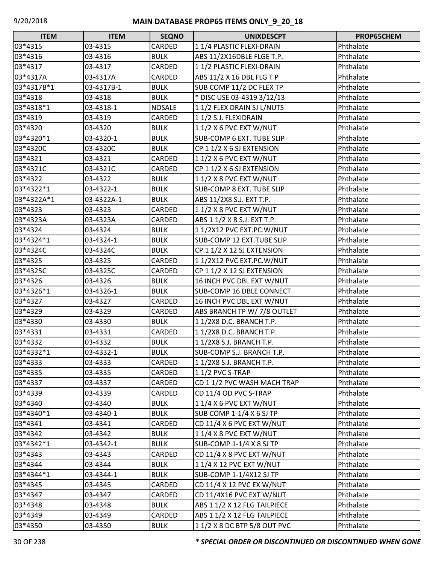| <b>ITEM</b> | <b>ITEM</b> | <b>SEQNO</b>  | <b>UNIXDESCPT</b>            | PROP65CHEM |
|-------------|-------------|---------------|------------------------------|------------|
| 03*4315     | 03-4315     | CARDED        | 11/4 PLASTIC FLEXI-DRAIN     | Phthalate  |
| 03*4316     | 03-4316     | <b>BULK</b>   | ABS 11/2X16DBLE FLGE T.P.    | Phthalate  |
| 03*4317     | 03-4317     | CARDED        | 11/2 PLASTIC FLEXI-DRAIN     | Phthalate  |
| 03*4317A    | 03-4317A    | CARDED        | ABS 11/2 X 16 DBL FLG T P    | Phthalate  |
| 03*4317B*1  | 03-4317B-1  | <b>BULK</b>   | SUB COMP 11/2 DC FLEX TP     | Phthalate  |
| 03*4318     | 03-4318     | <b>BULK</b>   | * DISC USE 03-4319 3/12/13   | Phthalate  |
| 03*4318*1   | 03-4318-1   | <b>NOSALE</b> | 11/2 FLEX DRAIN SJ L/NUTS    | Phthalate  |
| 03*4319     | 03-4319     | CARDED        | 11/2 S.J. FLEXIDRAIN         | Phthalate  |
| 03*4320     | 03-4320     | <b>BULK</b>   | 11/2 X 6 PVC EXT W/NUT       | Phthalate  |
| 03*4320*1   | 03-4320-1   | <b>BULK</b>   | SUB-COMP 6 EXT. TUBE SLIP    | Phthalate  |
| 03*4320C    | 03-4320C    | <b>BULK</b>   | CP 1 1/2 X 6 SJ EXTENSION    | Phthalate  |
| 03*4321     | 03-4321     | CARDED        | 1 1/2 X 6 PVC EXT W/NUT      | Phthalate  |
| 03*4321C    | 03-4321C    | CARDED        | CP 1 1/2 X 6 SJ EXTENSION    | Phthalate  |
| 03*4322     | 03-4322     | <b>BULK</b>   | 11/2 X 8 PVC EXT W/NUT       | Phthalate  |
| 03*4322*1   | 03-4322-1   | <b>BULK</b>   | SUB-COMP 8 EXT. TUBE SLIP    | Phthalate  |
| 03*4322A*1  | 03-4322A-1  | <b>BULK</b>   | ABS 11/2X8 S.J. EXT T.P.     | Phthalate  |
| 03*4323     | 03-4323     | CARDED        | 1 1/2 X 8 PVC EXT W/NUT      | Phthalate  |
| 03*4323A    | 03-4323A    | CARDED        | ABS 1 1/2 X 8 S.J. EXT T.P.  | Phthalate  |
| 03*4324     | 03-4324     | <b>BULK</b>   | 11/2X12 PVC EXT.PC.W/NUT     | Phthalate  |
| 03*4324*1   | 03-4324-1   | <b>BULK</b>   | SUB-COMP 12 EXT.TUBE SLIP    | Phthalate  |
| 03*4324C    | 03-4324C    | <b>BULK</b>   | CP 1 1/2 X 12 SJ EXTENSION   | Phthalate  |
| 03*4325     | 03-4325     | CARDED        | 11/2X12 PVC EXT.PC.W/NUT     | Phthalate  |
| 03*4325C    | 03-4325C    | CARDED        | CP 1 1/2 X 12 SJ EXTENSION   | Phthalate  |
| 03*4326     | 03-4326     | <b>BULK</b>   | 16 INCH PVC DBL EXT W/NUT    | Phthalate  |
| 03*4326*1   | 03-4326-1   | <b>BULK</b>   | SUB-COMP 16 DBLE CONNECT     | Phthalate  |
| 03*4327     | 03-4327     | CARDED        | 16 INCH PVC DBL EXT W/NUT    | Phthalate  |
| 03*4329     | 03-4329     | CARDED        | ABS BRANCH TP W/ 7/8 OUTLET  | Phthalate  |
| 03*4330     | 03-4330     | <b>BULK</b>   | 11/2X8 D.C. BRANCH T.P.      | Phthalate  |
| 03*4331     | 03-4331     | CARDED        | 11/2X8 D.C. BRANCH T.P.      | Phthalate  |
| 03*4332     | 03-4332     | <b>BULK</b>   | 11/2X8 S.J. BRANCH T.P.      | Phthalate  |
| 03*4332*1   | 03-4332-1   | <b>BULK</b>   | SUB-COMP S.J. BRANCH T.P.    | Phthalate  |
| 03*4333     | 03-4333     | CARDED        | 11/2X8 S.J. BRANCH T.P.      | Phthalate  |
| 03*4335     | 03-4335     | CARDED        | 11/2 PVC S-TRAP              | Phthalate  |
| 03*4337     | 03-4337     | CARDED        | CD 1 1/2 PVC WASH MACH TRAP  | Phthalate  |
| 03*4339     | 03-4339     | CARDED        | CD 11/4 OD PVC S-TRAP        | Phthalate  |
| 03*4340     | 03-4340     | <b>BULK</b>   | 1 1/4 X 6 PVC EXT W/NUT      | Phthalate  |
| 03*4340*1   | 03-4340-1   | <b>BULK</b>   | SUB COMP 1-1/4 X 6 SJ TP     | Phthalate  |
| 03*4341     | 03-4341     | CARDED        | CD 11/4 X 6 PVC EXT W/NUT    | Phthalate  |
| 03*4342     | 03-4342     | <b>BULK</b>   | 11/4 X 8 PVC EXT W/NUT       | Phthalate  |
| 03*4342*1   | 03-4342-1   | <b>BULK</b>   | SUB-COMP 1-1/4 X 8 SJ TP     | Phthalate  |
| 03*4343     | 03-4343     | CARDED        | CD 11/4 X 8 PVC EXT W/NUT    | Phthalate  |
| 03*4344     | 03-4344     | <b>BULK</b>   | 1 1/4 X 12 PVC EXT W/NUT     | Phthalate  |
| 03*4344*1   | 03-4344-1   | <b>BULK</b>   | SUB-COMP 1-1/4X12 SJ TP      | Phthalate  |
| 03*4345     | 03-4345     | CARDED        | CD 11/4 X 12 PVC EX W/NUT    | Phthalate  |
| 03*4347     | 03-4347     | CARDED        | CD 11/4X16 PVC EXT W/NUT     | Phthalate  |
| 03*4348     | 03-4348     | <b>BULK</b>   | ABS 1 1/2 X 12 FLG TAILPIECE | Phthalate  |
| 03*4349     | 03-4349     | CARDED        | ABS 1 1/2 X 12 FLG TAILPIECE | Phthalate  |
| 03*4350     | 03-4350     | <b>BULK</b>   | 11/2 X 8 DC BTP 5/8 OUT PVC  | Phthalate  |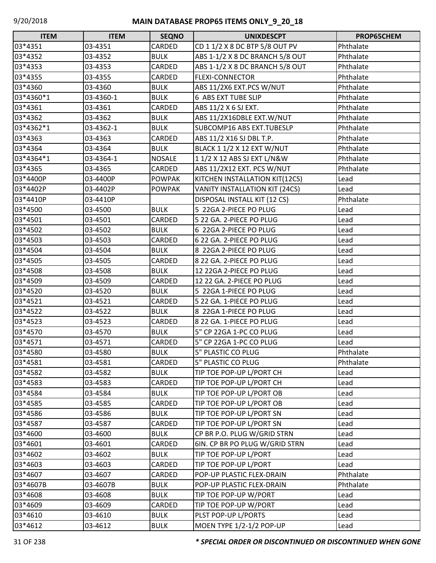| <b>ITEM</b> | <b>ITEM</b> | <b>SEQNO</b>  | <b>UNIXDESCPT</b>               | PROP65CHEM |
|-------------|-------------|---------------|---------------------------------|------------|
| 03*4351     | 03-4351     | CARDED        | CD 1 1/2 X 8 DC BTP 5/8 OUT PV  | Phthalate  |
| 03*4352     | 03-4352     | <b>BULK</b>   | ABS 1-1/2 X 8 DC BRANCH 5/8 OUT | Phthalate  |
| 03*4353     | 03-4353     | CARDED        | ABS 1-1/2 X 8 DC BRANCH 5/8 OUT | Phthalate  |
| 03*4355     | 03-4355     | CARDED        | <b>FLEXI-CONNECTOR</b>          | Phthalate  |
| 03*4360     | 03-4360     | <b>BULK</b>   | ABS 11/2X6 EXT.PCS W/NUT        | Phthalate  |
| 03*4360*1   | 03-4360-1   | <b>BULK</b>   | <b>6 ABS EXT TUBE SLIP</b>      | Phthalate  |
| 03*4361     | 03-4361     | CARDED        | ABS 11/2 X 6 SJ EXT.            | Phthalate  |
| 03*4362     | 03-4362     | <b>BULK</b>   | ABS 11/2X16DBLE EXT.W/NUT       | Phthalate  |
| 03*4362*1   | 03-4362-1   | <b>BULK</b>   | SUBCOMP16 ABS EXT.TUBESLP       | Phthalate  |
| 03*4363     | 03-4363     | CARDED        | ABS 11/2 X16 SJ DBL T.P.        | Phthalate  |
| 03*4364     | 03-4364     | <b>BULK</b>   | BLACK 1 1/2 X 12 EXT W/NUT      | Phthalate  |
| 03*4364*1   | 03-4364-1   | <b>NOSALE</b> | 11/2 X 12 ABS SJ EXT L/N&W      | Phthalate  |
| 03*4365     | 03-4365     | CARDED        | ABS 11/2X12 EXT. PCS W/NUT      | Phthalate  |
| 03*4400P    | 03-4400P    | <b>POWPAK</b> | KITCHEN INSTALLATION KIT(12CS)  | Lead       |
| 03*4402P    | 03-4402P    | <b>POWPAK</b> | VANITY INSTALLATION KIT (24CS)  | Lead       |
| 03*4410P    | 03-4410P    |               | DISPOSAL INSTALL KIT (12 CS)    | Phthalate  |
| 03*4500     | 03-4500     | <b>BULK</b>   | 5 22GA 2-PIECE PO PLUG          | Lead       |
| 03*4501     | 03-4501     | CARDED        | 5 22 GA. 2-PIECE PO PLUG        | Lead       |
| 03*4502     | 03-4502     | <b>BULK</b>   | 6 22GA 2-PIECE PO PLUG          | Lead       |
| 03*4503     | 03-4503     | CARDED        | 6 22 GA. 2-PIECE PO PLUG        | Lead       |
| 03*4504     | 03-4504     | <b>BULK</b>   | 8 22GA 2-PIECE PO PLUG          | Lead       |
| 03*4505     | 03-4505     | CARDED        | 8 22 GA. 2-PIECE PO PLUG        | Lead       |
| 03*4508     | 03-4508     | <b>BULK</b>   | 12 22GA 2-PIECE PO PLUG         | Lead       |
| 03*4509     | 03-4509     | CARDED        | 12 22 GA. 2-PIECE PO PLUG       | Lead       |
| 03*4520     | 03-4520     | <b>BULK</b>   | 5 22GA 1-PIECE PO PLUG          | Lead       |
| 03*4521     | 03-4521     | CARDED        | 5 22 GA. 1-PIECE PO PLUG        | Lead       |
| 03*4522     | 03-4522     | <b>BULK</b>   | 8 22GA 1-PIECE PO PLUG          | Lead       |
| 03*4523     | 03-4523     | CARDED        | 8 22 GA. 1-PIECE PO PLUG        | Lead       |
| 03*4570     | 03-4570     | <b>BULK</b>   | 5" CP 22GA 1-PC CO PLUG         | Lead       |
| 03*4571     | 03-4571     | CARDED        | 5" CP 22GA 1-PC CO PLUG         | Lead       |
| 03*4580     | 03-4580     | <b>BULK</b>   | <b>5" PLASTIC CO PLUG</b>       | Phthalate  |
| 03*4581     | 03-4581     | CARDED        | 5" PLASTIC CO PLUG              | Phthalate  |
| 03*4582     | 03-4582     | <b>BULK</b>   | TIP TOE POP-UP L/PORT CH        | Lead       |
| 03*4583     | 03-4583     | CARDED        | TIP TOE POP-UP L/PORT CH        | Lead       |
| 03*4584     | 03-4584     | <b>BULK</b>   | TIP TOE POP-UP L/PORT OB        | Lead       |
| 03*4585     | 03-4585     | CARDED        | TIP TOE POP-UP L/PORT OB        | Lead       |
| 03*4586     | 03-4586     | <b>BULK</b>   | TIP TOE POP-UP L/PORT SN        | Lead       |
| 03*4587     | 03-4587     | CARDED        | TIP TOE POP-UP L/PORT SN        | Lead       |
| 03*4600     | 03-4600     | <b>BULK</b>   | CP BR P.O. PLUG W/GRID STRN     | Lead       |
| 03*4601     | 03-4601     | CARDED        | 6IN. CP BR PO PLUG W/GRID STRN  | Lead       |
| 03*4602     | 03-4602     | <b>BULK</b>   | TIP TOE POP-UP L/PORT           | Lead       |
| 03*4603     | 03-4603     | CARDED        | TIP TOE POP-UP L/PORT           | Lead       |
| 03*4607     | 03-4607     | CARDED        | POP-UP PLASTIC FLEX-DRAIN       | Phthalate  |
| 03*4607B    | 03-4607B    | <b>BULK</b>   | POP-UP PLASTIC FLEX-DRAIN       | Phthalate  |
| 03*4608     | 03-4608     | <b>BULK</b>   | TIP TOE POP-UP W/PORT           | Lead       |
| 03*4609     | 03-4609     | CARDED        | TIP TOE POP-UP W/PORT           | Lead       |
| 03*4610     | 03-4610     | <b>BULK</b>   | PLST POP-UP L/PORTS             | Lead       |
| 03*4612     | 03-4612     | <b>BULK</b>   | MOEN TYPE 1/2-1/2 POP-UP        | Lead       |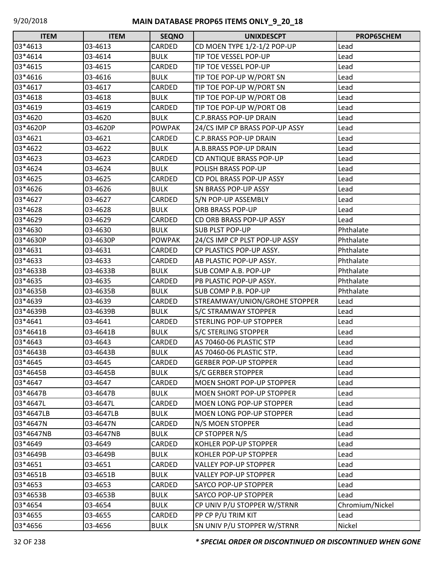| <b>ITEM</b> | <b>ITEM</b> | <b>SEQNO</b>  | <b>UNIXDESCPT</b>                | <b>PROP65CHEM</b> |
|-------------|-------------|---------------|----------------------------------|-------------------|
| 03*4613     | 03-4613     | CARDED        | CD MOEN TYPE 1/2-1/2 POP-UP      | Lead              |
| 03*4614     | 03-4614     | <b>BULK</b>   | TIP TOE VESSEL POP-UP            | Lead              |
| 03*4615     | 03-4615     | CARDED        | TIP TOE VESSEL POP-UP            | Lead              |
| 03*4616     | 03-4616     | <b>BULK</b>   | TIP TOE POP-UP W/PORT SN         | Lead              |
| 03*4617     | 03-4617     | CARDED        | TIP TOE POP-UP W/PORT SN         | Lead              |
| 03*4618     | 03-4618     | <b>BULK</b>   | TIP TOE POP-UP W/PORT OB         | Lead              |
| 03*4619     | 03-4619     | CARDED        | TIP TOE POP-UP W/PORT OB         | Lead              |
| 03*4620     | 03-4620     | <b>BULK</b>   | <b>C.P.BRASS POP-UP DRAIN</b>    | Lead              |
| 03*4620P    | 03-4620P    | <b>POWPAK</b> | 24/CS IMP CP BRASS POP-UP ASSY   | Lead              |
| 03*4621     | 03-4621     | CARDED        | C.P.BRASS POP-UP DRAIN           | Lead              |
| 03*4622     | 03-4622     | <b>BULK</b>   | A.B.BRASS POP-UP DRAIN           | Lead              |
| 03*4623     | 03-4623     | CARDED        | CD ANTIQUE BRASS POP-UP          | Lead              |
| 03*4624     | 03-4624     | <b>BULK</b>   | POLISH BRASS POP-UP              | Lead              |
| 03*4625     | 03-4625     | CARDED        | CD POL BRASS POP-UP ASSY         | Lead              |
| 03*4626     | 03-4626     | <b>BULK</b>   | SN BRASS POP-UP ASSY             | Lead              |
| 03*4627     | 03-4627     | CARDED        | S/N POP-UP ASSEMBLY              | Lead              |
| 03*4628     | 03-4628     | <b>BULK</b>   | ORB BRASS POP-UP                 | Lead              |
| 03*4629     | 03-4629     | CARDED        | CD ORB BRASS POP-UP ASSY         | Lead              |
| 03*4630     | 03-4630     | <b>BULK</b>   | <b>SUB PLST POP-UP</b>           | Phthalate         |
| 03*4630P    | 03-4630P    | <b>POWPAK</b> | 24/CS IMP CP PLST POP-UP ASSY    | Phthalate         |
| 03*4631     | 03-4631     | CARDED        | CP PLASTICS POP-UP ASSY.         | Phthalate         |
| 03*4633     | 03-4633     | CARDED        | AB PLASTIC POP-UP ASSY.          | Phthalate         |
| 03*4633B    | 03-4633B    | <b>BULK</b>   | SUB COMP A.B. POP-UP             | Phthalate         |
| 03*4635     | 03-4635     | CARDED        | PB PLASTIC POP-UP ASSY.          | Phthalate         |
| 03*4635B    | 03-4635B    | <b>BULK</b>   | SUB COMP P.B. POP-UP             | Phthalate         |
| 03*4639     | 03-4639     | CARDED        | STREAMWAY/UNION/GROHE STOPPER    | Lead              |
| 03*4639B    | 03-4639B    | <b>BULK</b>   | S/C STRAMWAY STOPPER             | Lead              |
| 03*4641     | 03-4641     | CARDED        | STERLING POP-UP STOPPER          | Lead              |
| 03*4641B    | 03-4641B    | <b>BULK</b>   | <b>S/C STERLING STOPPER</b>      | Lead              |
| 03*4643     | 03-4643     | CARDED        | AS 70460-06 PLASTIC STP          | Lead              |
| 03*4643B    | 03-4643B    | <b>BULK</b>   | AS 70460-06 PLASTIC STP.         | Lead              |
| 03*4645     | 03-4645     | CARDED        | <b>GERBER POP-UP STOPPER</b>     | Lead              |
| 03*4645B    | 03-4645B    | <b>BULK</b>   | S/C GERBER STOPPER               | Lead              |
| 03*4647     | 03-4647     | CARDED        | <b>MOEN SHORT POP-UP STOPPER</b> | Lead              |
| 03*4647B    | 03-4647B    | <b>BULK</b>   | <b>MOEN SHORT POP-UP STOPPER</b> | Lead              |
| 03*4647L    | 03-4647L    | CARDED        | <b>MOEN LONG POP-UP STOPPER</b>  | Lead              |
| 03*4647LB   | 03-4647LB   | <b>BULK</b>   | <b>MOEN LONG POP-UP STOPPER</b>  | Lead              |
| 03*4647N    | 03-4647N    | CARDED        | N/S MOEN STOPPER                 | Lead              |
| 03*4647NB   | 03-4647NB   | <b>BULK</b>   | CP STOPPER N/S                   | Lead              |
| 03*4649     | 03-4649     | CARDED        | KOHLER POP-UP STOPPER            | Lead              |
| 03*4649B    | 03-4649B    | <b>BULK</b>   | KOHLER POP-UP STOPPER            | Lead              |
| 03*4651     | 03-4651     | CARDED        | <b>VALLEY POP-UP STOPPER</b>     | Lead              |
| 03*4651B    | 03-4651B    | <b>BULK</b>   | <b>VALLEY POP-UP STOPPER</b>     | Lead              |
| 03*4653     | 03-4653     | CARDED        | SAYCO POP-UP STOPPER             | Lead              |
| 03*4653B    | 03-4653B    | <b>BULK</b>   | <b>SAYCO POP-UP STOPPER</b>      | Lead              |
| 03*4654     | 03-4654     | <b>BULK</b>   | CP UNIV P/U STOPPER W/STRNR      | Chromium/Nickel   |
| 03*4655     | 03-4655     | CARDED        | PP CP P/U TRIM KIT               | Lead              |
| 03*4656     | 03-4656     | <b>BULK</b>   | SN UNIV P/U STOPPER W/STRNR      | Nickel            |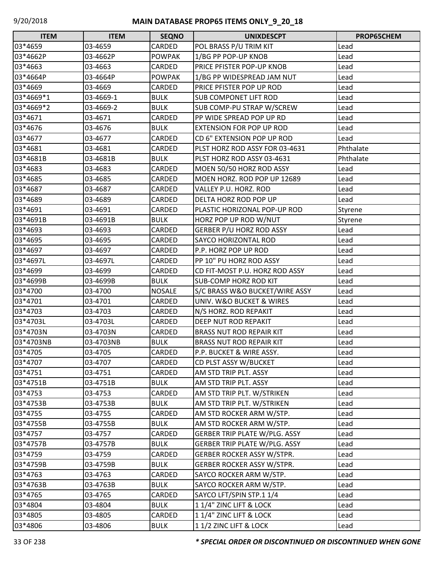| <b>ITEM</b> | <b>ITEM</b> | <b>SEQNO</b>  | <b>UNIXDESCPT</b>                 | PROP65CHEM |
|-------------|-------------|---------------|-----------------------------------|------------|
| 03*4659     | 03-4659     | CARDED        | POL BRASS P/U TRIM KIT            | Lead       |
| 03*4662P    | 03-4662P    | <b>POWPAK</b> | 1/BG PP POP-UP KNOB               | Lead       |
| 03*4663     | 03-4663     | CARDED        | PRICE PFISTER POP-UP KNOB         | Lead       |
| 03*4664P    | 03-4664P    | <b>POWPAK</b> | 1/BG PP WIDESPREAD JAM NUT        | Lead       |
| 03*4669     | 03-4669     | CARDED        | PRICE PFISTER POP UP ROD          | Lead       |
| 03*4669*1   | 03-4669-1   | <b>BULK</b>   | <b>SUB COMPONET LIFT ROD</b>      | Lead       |
| 03*4669*2   | 03-4669-2   | <b>BULK</b>   | SUB COMP-PU STRAP W/SCREW         | Lead       |
| 03*4671     | 03-4671     | CARDED        | PP WIDE SPREAD POP UP RD          | Lead       |
| 03*4676     | 03-4676     | <b>BULK</b>   | <b>EXTENSION FOR POP UP ROD</b>   | Lead       |
| 03*4677     | 03-4677     | CARDED        | CD 6" EXTENSION POP UP ROD        | Lead       |
| 03*4681     | 03-4681     | CARDED        | PLST HORZ ROD ASSY FOR 03-4631    | Phthalate  |
| 03*4681B    | 03-4681B    | <b>BULK</b>   | PLST HORZ ROD ASSY 03-4631        | Phthalate  |
| 03*4683     | 03-4683     | CARDED        | MOEN 50/50 HORZ ROD ASSY          | Lead       |
| 03*4685     | 03-4685     | CARDED        | MOEN HORZ. ROD POP UP 12689       | Lead       |
| 03*4687     | 03-4687     | <b>CARDED</b> | VALLEY P.U. HORZ. ROD             | Lead       |
| 03*4689     | 03-4689     | CARDED        | DELTA HORZ ROD POP UP             | Lead       |
| 03*4691     | 03-4691     | CARDED        | PLASTIC HORIZONAL POP-UP ROD      | Styrene    |
| 03*4691B    | 03-4691B    | <b>BULK</b>   | HORZ POP UP ROD W/NUT             | Styrene    |
| 03*4693     | 03-4693     | CARDED        | <b>GERBER P/U HORZ ROD ASSY</b>   | Lead       |
| 03*4695     | 03-4695     | <b>CARDED</b> | <b>SAYCO HORIZONTAL ROD</b>       | Lead       |
| 03*4697     | 03-4697     | CARDED        | P.P. HORZ POP UP ROD              | Lead       |
| 03*4697L    | 03-4697L    | CARDED        | PP 10" PU HORZ ROD ASSY           | Lead       |
| 03*4699     | 03-4699     | CARDED        | CD FIT-MOST P.U. HORZ ROD ASSY    | Lead       |
| 03*4699B    | 03-4699B    | <b>BULK</b>   | <b>SUB-COMP HORZ ROD KIT</b>      | Lead       |
| 03*4700     | 03-4700     | <b>NOSALE</b> | S/C BRASS W&O BUCKET/WIRE ASSY    | Lead       |
| 03*4701     | 03-4701     | CARDED        | UNIV. W&O BUCKET & WIRES          | Lead       |
| 03*4703     | 03-4703     | CARDED        | N/S HORZ. ROD REPAKIT             | Lead       |
| 03*4703L    | 03-4703L    | CARDED        | <b>DEEP NUT ROD REPAKIT</b>       | Lead       |
| 03*4703N    | 03-4703N    | CARDED        | <b>BRASS NUT ROD REPAIR KIT</b>   | Lead       |
| 03*4703NB   | 03-4703NB   | <b>BULK</b>   | <b>BRASS NUT ROD REPAIR KIT</b>   | Lead       |
| 03*4705     | 03-4705     | CARDED        | P.P. BUCKET & WIRE ASSY.          | Lead       |
| 03*4707     | 03-4707     | CARDED        | CD PLST ASSY W/BUCKET             | Lead       |
| 03*4751     | 03-4751     | CARDED        | AM STD TRIP PLT. ASSY             | Lead       |
| 03*4751B    | 03-4751B    | <b>BULK</b>   | AM STD TRIP PLT. ASSY             | Lead       |
| 03*4753     | 03-4753     | CARDED        | AM STD TRIP PLT. W/STRIKEN        | Lead       |
| 03*4753B    | 03-4753B    | <b>BULK</b>   | AM STD TRIP PLT. W/STRIKEN        | Lead       |
| 03*4755     | 03-4755     | CARDED        | AM STD ROCKER ARM W/STP.          | Lead       |
| 03*4755B    | 03-4755B    | <b>BULK</b>   | AM STD ROCKER ARM W/STP.          | Lead       |
| 03*4757     | 03-4757     | CARDED        | GERBER TRIP PLATE W/PLG. ASSY     | Lead       |
| 03*4757B    | 03-4757B    | <b>BULK</b>   | GERBER TRIP PLATE W/PLG. ASSY     | Lead       |
| 03*4759     | 03-4759     | CARDED        | <b>GERBER ROCKER ASSY W/STPR.</b> | Lead       |
| 03*4759B    | 03-4759B    | <b>BULK</b>   | <b>GERBER ROCKER ASSY W/STPR.</b> | Lead       |
| 03*4763     | 03-4763     | CARDED        | SAYCO ROCKER ARM W/STP.           | Lead       |
| 03*4763B    | 03-4763B    | <b>BULK</b>   | SAYCO ROCKER ARM W/STP.           | Lead       |
| 03*4765     | 03-4765     | CARDED        | SAYCO LFT/SPIN STP.1 1/4          | Lead       |
| 03*4804     | 03-4804     | <b>BULK</b>   | 1 1/4" ZINC LIFT & LOCK           | Lead       |
| 03*4805     | 03-4805     | CARDED        | 1 1/4" ZINC LIFT & LOCK           | Lead       |
| 03*4806     | 03-4806     | <b>BULK</b>   | 11/2 ZINC LIFT & LOCK             | Lead       |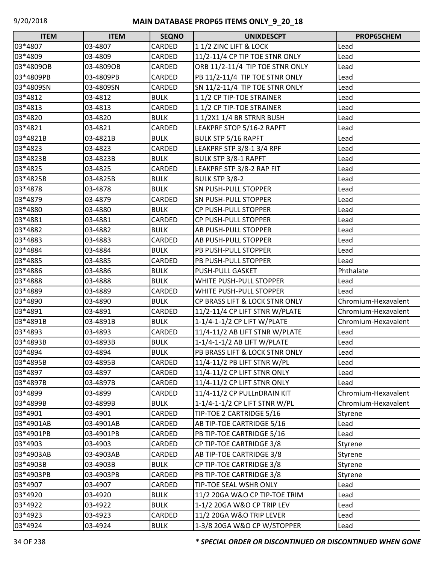| <b>ITEM</b> | <b>ITEM</b> | <b>SEQNO</b> | <b>UNIXDESCPT</b>               | PROP65CHEM          |
|-------------|-------------|--------------|---------------------------------|---------------------|
| 03*4807     | 03-4807     | CARDED       | 11/2 ZINC LIFT & LOCK           | Lead                |
| 03*4809     | 03-4809     | CARDED       | 11/2-11/4 CP TIP TOE STNR ONLY  | Lead                |
| 03*4809OB   | 03-4809OB   | CARDED       | ORB 11/2-11/4 TIP TOE STNR ONLY | Lead                |
| 03*4809PB   | 03-4809PB   | CARDED       | PB 11/2-11/4 TIP TOE STNR ONLY  | Lead                |
| 03*4809SN   | 03-4809SN   | CARDED       | SN 11/2-11/4 TIP TOE STNR ONLY  | Lead                |
| 03*4812     | 03-4812     | <b>BULK</b>  | 11/2 CP TIP-TOE STRAINER        | Lead                |
| 03*4813     | 03-4813     | CARDED       | 11/2 CP TIP-TOE STRAINER        | Lead                |
| 03*4820     | 03-4820     | <b>BULK</b>  | 1 1/2X1 1/4 BR STRNR BUSH       | Lead                |
| 03*4821     | 03-4821     | CARDED       | LEAKPRF STOP 5/16-2 RAPFT       | Lead                |
| 03*4821B    | 03-4821B    | <b>BULK</b>  | <b>BULK STP 5/16 RAPFT</b>      | Lead                |
| 03*4823     | 03-4823     | CARDED       | LEAKPRF STP 3/8-1 3/4 RPF       | Lead                |
| 03*4823B    | 03-4823B    | <b>BULK</b>  | <b>BULK STP 3/8-1 RAPFT</b>     | Lead                |
| 03*4825     | 03-4825     | CARDED       | LEAKPRF STP 3/8-2 RAP FIT       | Lead                |
| 03*4825B    | 03-4825B    | <b>BULK</b>  | <b>BULK STP 3/8-2</b>           | Lead                |
| 03*4878     | 03-4878     | <b>BULK</b>  | <b>SN PUSH-PULL STOPPER</b>     | Lead                |
| 03*4879     | 03-4879     | CARDED       | <b>SN PUSH-PULL STOPPER</b>     | Lead                |
| 03*4880     | 03-4880     | <b>BULK</b>  | <b>CP PUSH-PULL STOPPER</b>     | Lead                |
| 03*4881     | 03-4881     | CARDED       | CP PUSH-PULL STOPPER            | Lead                |
| 03*4882     | 03-4882     | <b>BULK</b>  | AB PUSH-PULL STOPPER            | Lead                |
| 03*4883     | 03-4883     | CARDED       | <b>AB PUSH-PULL STOPPER</b>     | Lead                |
| 03*4884     | 03-4884     | <b>BULK</b>  | <b>PB PUSH-PULL STOPPER</b>     | Lead                |
| 03*4885     | 03-4885     | CARDED       | <b>PB PUSH-PULL STOPPER</b>     | Lead                |
| 03*4886     | 03-4886     | <b>BULK</b>  | <b>PUSH-PULL GASKET</b>         | Phthalate           |
| 03*4888     | 03-4888     | <b>BULK</b>  | WHITE PUSH-PULL STOPPER         | Lead                |
| 03*4889     | 03-4889     | CARDED       | WHITE PUSH-PULL STOPPER         | Lead                |
| 03*4890     | 03-4890     | <b>BULK</b>  | CP BRASS LIFT & LOCK STNR ONLY  | Chromium-Hexavalent |
| 03*4891     | 03-4891     | CARDED       | 11/2-11/4 CP LIFT STNR W/PLATE  | Chromium-Hexavalent |
| 03*4891B    | 03-4891B    | <b>BULK</b>  | 1-1/4-1-1/2 CP LIFT W/PLATE     | Chromium-Hexavalent |
| 03*4893     | 03-4893     | CARDED       | 11/4-11/2 AB LIFT STNR W/PLATE  | Lead                |
| 03*4893B    | 03-4893B    | <b>BULK</b>  | 1-1/4-1-1/2 AB LIFT W/PLATE     | Lead                |
| 03*4894     | 03-4894     | <b>BULK</b>  | PB BRASS LIFT & LOCK STNR ONLY  | Lead                |
| 03*4895B    | 03-4895B    | CARDED       | 11/4-11/2 PB LIFT STNR W/PL     | Lead                |
| 03*4897     | 03-4897     | CARDED       | 11/4-11/2 CP LIFT STNR ONLY     | Lead                |
| 03*4897B    | 03-4897B    | CARDED       | 11/4-11/2 CP LIFT STNR ONLY     | Lead                |
| 03*4899     | 03-4899     | CARDED       | 11/4-11/2 CP PULLnDRAIN KIT     | Chromium-Hexavalent |
| 03*4899B    | 03-4899B    | <b>BULK</b>  | 1-1/4-1-1/2 CP LIFT STNR W/PL   | Chromium-Hexavalent |
| 03*4901     | 03-4901     | CARDED       | TIP-TOE 2 CARTRIDGE 5/16        | Styrene             |
| 03*4901AB   | 03-4901AB   | CARDED       | AB TIP-TOE CARTRIDGE 5/16       | Lead                |
| 03*4901PB   | 03-4901PB   | CARDED       | PB TIP-TOE CARTRIDGE 5/16       | Lead                |
| 03*4903     | 03-4903     | CARDED       | CP TIP-TOE CARTRIDGE 3/8        | Styrene             |
| 03*4903AB   | 03-4903AB   | CARDED       | AB TIP-TOE CARTRIDGE 3/8        | Styrene             |
| 03*4903B    | 03-4903B    | <b>BULK</b>  | CP TIP-TOE CARTRIDGE 3/8        | Styrene             |
| 03*4903PB   | 03-4903PB   | CARDED       | PB TIP-TOE CARTRIDGE 3/8        | Styrene             |
| 03*4907     | 03-4907     | CARDED       | TIP-TOE SEAL WSHR ONLY          | Lead                |
| 03*4920     | 03-4920     | <b>BULK</b>  | 11/2 20GA W&O CP TIP-TOE TRIM   | Lead                |
| 03*4922     | 03-4922     | <b>BULK</b>  | 1-1/2 20GA W&O CP TRIP LEV      | Lead                |
| 03*4923     | 03-4923     | CARDED       | 11/2 20GA W&O TRIP LEVER        | Lead                |
| 03*4924     | 03-4924     | <b>BULK</b>  | 1-3/8 20GA W&O CP W/STOPPER     | Lead                |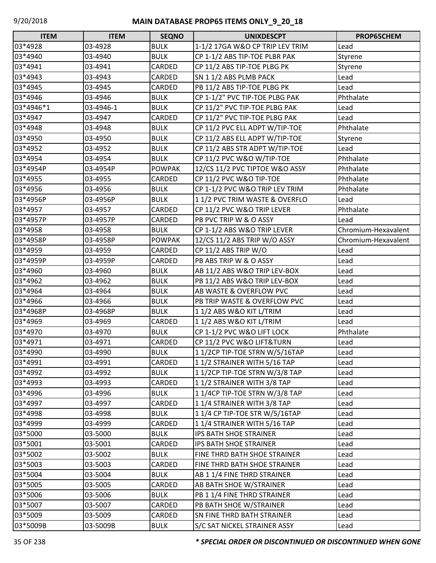| <b>ITEM</b> | <b>ITEM</b> | <b>SEQNO</b>  | <b>UNIXDESCPT</b>               | PROP65CHEM          |
|-------------|-------------|---------------|---------------------------------|---------------------|
| 03*4928     | 03-4928     | <b>BULK</b>   | 1-1/2 17GA W&O CP TRIP LEV TRIM | Lead                |
| 03*4940     | 03-4940     | <b>BULK</b>   | CP 1-1/2 ABS TIP-TOE PLBR PAK   | Styrene             |
| 03*4941     | 03-4941     | CARDED        | CP 11/2 ABS TIP-TOE PLBG PK     | Styrene             |
| 03*4943     | 03-4943     | CARDED        | SN 1 1/2 ABS PLMB PACK          | Lead                |
| 03*4945     | 03-4945     | CARDED        | PB 11/2 ABS TIP-TOE PLBG PK     | Lead                |
| 03*4946     | 03-4946     | <b>BULK</b>   | CP 1-1/2" PVC TIP-TOE PLBG PAK  | Phthalate           |
| 03*4946*1   | 03-4946-1   | <b>BULK</b>   | CP 11/2" PVC TIP-TOE PLBG PAK   | Lead                |
| 03*4947     | 03-4947     | CARDED        | CP 11/2" PVC TIP-TOE PLBG PAK   | Lead                |
| 03*4948     | 03-4948     | <b>BULK</b>   | CP 11/2 PVC ELL ADPT W/TIP-TOE  | Phthalate           |
| 03*4950     | 03-4950     | <b>BULK</b>   | CP 11/2 ABS ELL ADPT W/TIP-TOE  | Styrene             |
| 03*4952     | 03-4952     | <b>BULK</b>   | CP 11/2 ABS STR ADPT W/TIP-TOE  | Lead                |
| 03*4954     | 03-4954     | <b>BULK</b>   | CP 11/2 PVC W&O W/TIP-TOE       | Phthalate           |
| 03*4954P    | 03-4954P    | <b>POWPAK</b> | 12/CS 11/2 PVC TIPTOE W&O ASSY  | Phthalate           |
| 03*4955     | 03-4955     | CARDED        | CP 11/2 PVC W&O TIP-TOE         | Phthalate           |
| 03*4956     | 03-4956     | <b>BULK</b>   | CP 1-1/2 PVC W&O TRIP LEV TRIM  | Phthalate           |
| 03*4956P    | 03-4956P    | <b>BULK</b>   | 11/2 PVC TRIM WASTE & OVERFLO   | Lead                |
| 03*4957     | 03-4957     | CARDED        | CP 11/2 PVC W&O TRIP LEVER      | Phthalate           |
| 03*4957P    | 03-4957P    | CARDED        | PB PVC TRIP W & O ASSY          | Lead                |
| 03*4958     | 03-4958     | <b>BULK</b>   | CP 1-1/2 ABS W&O TRIP LEVER     | Chromium-Hexavalent |
| 03*4958P    | 03-4958P    | <b>POWPAK</b> | 12/CS 11/2 ABS TRIP W/O ASSY    | Chromium-Hexavalent |
| 03*4959     | 03-4959     | CARDED        | CP 11/2 ABS TRIP W/O            | Lead                |
| 03*4959P    | 03-4959P    | CARDED        | PB ABS TRIP W & O ASSY          | Lead                |
| 03*4960     | 03-4960     | <b>BULK</b>   | AB 11/2 ABS W&O TRIP LEV-BOX    | Lead                |
| 03*4962     | 03-4962     | <b>BULK</b>   | PB 11/2 ABS W&O TRIP LEV-BOX    | Lead                |
| 03*4964     | 03-4964     | <b>BULK</b>   | AB WASTE & OVERFLOW PVC         | Lead                |
| 03*4966     | 03-4966     | <b>BULK</b>   | PB TRIP WASTE & OVERFLOW PVC    | Lead                |
| 03*4968P    | 03-4968P    | <b>BULK</b>   | 11/2 ABS W&O KIT L/TRIM         | Lead                |
| 03*4969     | 03-4969     | <b>CARDED</b> | 11/2 ABS W&O KIT L/TRIM         | Lead                |
| 03*4970     | 03-4970     | <b>BULK</b>   | CP 1-1/2 PVC W&O LIFT LOCK      | Phthalate           |
| 03*4971     | 03-4971     | CARDED        | CP 11/2 PVC W&O LIFT&TURN       | Lead                |
| 03*4990     | 03-4990     | <b>BULK</b>   | 11/2CP TIP-TOE STRN W/5/16TAP   | Lead                |
| 03*4991     | 03-4991     | CARDED        | 11/2 STRAINER WITH 5/16 TAP     | Lead                |
| 03*4992     | 03-4992     | <b>BULK</b>   | 11/2CP TIP-TOE STRN W/3/8 TAP   | Lead                |
| 03*4993     | 03-4993     | CARDED        | 11/2 STRAINER WITH 3/8 TAP      | Lead                |
| 03*4996     | 03-4996     | <b>BULK</b>   | 11/4CP TIP-TOE STRN W/3/8 TAP   | Lead                |
| 03*4997     | 03-4997     | CARDED        | 11/4 STRAINER WITH 3/8 TAP      | Lead                |
| 03*4998     | 03-4998     | <b>BULK</b>   | 11/4 CP TIP-TOE STR W/5/16TAP   | Lead                |
| 03*4999     | 03-4999     | CARDED        | 11/4 STRAINER WITH 5/16 TAP     | Lead                |
| 03*5000     | 03-5000     | <b>BULK</b>   | <b>IPS BATH SHOE STRAINER</b>   | Lead                |
| 03*5001     | 03-5001     | CARDED        | IPS BATH SHOE STRAINER          | Lead                |
| 03*5002     | 03-5002     | <b>BULK</b>   | FINE THRD BATH SHOE STRAINER    | Lead                |
| 03*5003     | 03-5003     | CARDED        | FINE THRD BATH SHOE STRAINER    | Lead                |
| 03*5004     | 03-5004     | <b>BULK</b>   | AB 1 1/4 FINE THRD STRAINER     | Lead                |
| 03*5005     | 03-5005     | CARDED        | AB BATH SHOE W/STRAINER         | Lead                |
| 03*5006     | 03-5006     | <b>BULK</b>   | PB 1 1/4 FINE THRD STRAINER     | Lead                |
| 03*5007     | 03-5007     | CARDED        | PB BATH SHOE W/STRAINER         | Lead                |
| 03*5009     | 03-5009     | CARDED        | SN FINE THRD BATH STRAINER      | Lead                |
| 03*5009B    | 03-5009B    | <b>BULK</b>   | S/C SAT NICKEL STRAINER ASSY    | Lead                |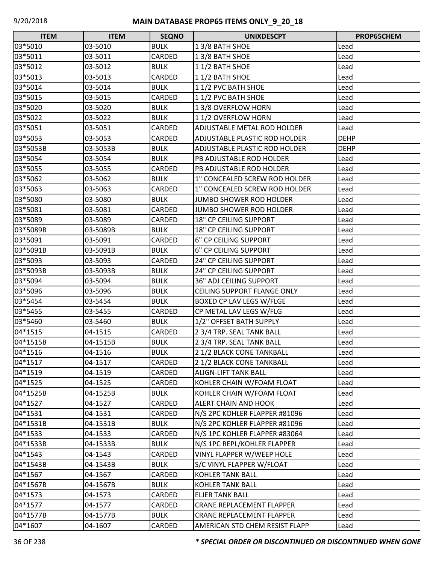| <b>ITEM</b> | <b>ITEM</b> | <b>SEQNO</b> | <b>UNIXDESCPT</b>                    | <b>PROP65CHEM</b> |
|-------------|-------------|--------------|--------------------------------------|-------------------|
| 03*5010     | 03-5010     | <b>BULK</b>  | 13/8 BATH SHOE                       | Lead              |
| 03*5011     | 03-5011     | CARDED       | 13/8 BATH SHOE                       | Lead              |
| 03*5012     | 03-5012     | <b>BULK</b>  | 11/2 BATH SHOE                       | Lead              |
| 03*5013     | 03-5013     | CARDED       | 11/2 BATH SHOE                       | Lead              |
| 03*5014     | 03-5014     | <b>BULK</b>  | 11/2 PVC BATH SHOE                   | Lead              |
| 03*5015     | 03-5015     | CARDED       | 11/2 PVC BATH SHOE                   | Lead              |
| 03*5020     | 03-5020     | <b>BULK</b>  | 13/8 OVERFLOW HORN                   | Lead              |
| 03*5022     | 03-5022     | <b>BULK</b>  | 11/2 OVERFLOW HORN                   | Lead              |
| 03*5051     | 03-5051     | CARDED       | ADJUSTABLE METAL ROD HOLDER          | Lead              |
| 03*5053     | 03-5053     | CARDED       | <b>ADJUSTABLE PLASTIC ROD HOLDER</b> | <b>DEHP</b>       |
| 03*5053B    | 03-5053B    | <b>BULK</b>  | ADJUSTABLE PLASTIC ROD HOLDER        | <b>DEHP</b>       |
| 03*5054     | 03-5054     | <b>BULK</b>  | PB ADJUSTABLE ROD HOLDER             | Lead              |
| 03*5055     | 03-5055     | CARDED       | PB ADJUSTABLE ROD HOLDER             | Lead              |
| 03*5062     | 03-5062     | <b>BULK</b>  | 1" CONCEALED SCREW ROD HOLDER        | Lead              |
| 03*5063     | 03-5063     | CARDED       | 1" CONCEALED SCREW ROD HOLDER        | Lead              |
| 03*5080     | 03-5080     | <b>BULK</b>  | JUMBO SHOWER ROD HOLDER              | Lead              |
| 03*5081     | 03-5081     | CARDED       | <b>JUMBO SHOWER ROD HOLDER</b>       | Lead              |
| 03*5089     | 03-5089     | CARDED       | 18" CP CEILING SUPPORT               | Lead              |
| 03*5089B    | 03-5089B    | <b>BULK</b>  | 18" CP CEILING SUPPORT               | Lead              |
| 03*5091     | 03-5091     | CARDED       | 6" CP CEILING SUPPORT                | Lead              |
| 03*5091B    | 03-5091B    | <b>BULK</b>  | 6" CP CEILING SUPPORT                | Lead              |
| 03*5093     | 03-5093     | CARDED       | 24" CP CEILING SUPPORT               | Lead              |
| 03*5093B    | 03-5093B    | <b>BULK</b>  | <b>24" CP CEILING SUPPORT</b>        | Lead              |
| 03*5094     | 03-5094     | <b>BULK</b>  | <b>36" ADJ CEILING SUPPORT</b>       | Lead              |
| 03*5096     | 03-5096     | <b>BULK</b>  | <b>CEILING SUPPORT FLANGE ONLY</b>   | Lead              |
| 03*5454     | 03-5454     | <b>BULK</b>  | BOXED CP LAV LEGS W/FLGE             | Lead              |
| 03*5455     | 03-5455     | CARDED       | CP METAL LAV LEGS W/FLG              | Lead              |
| 03*5460     | 03-5460     | <b>BULK</b>  | 1/2" OFFSET BATH SUPPLY              | Lead              |
| 04*1515     | 04-1515     | CARDED       | 2 3/4 TRP. SEAL TANK BALL            | Lead              |
| 04*1515B    | 04-1515B    | <b>BULK</b>  | 2 3/4 TRP. SEAL TANK BALL            | Lead              |
| 04*1516     | 04-1516     | <b>BULK</b>  | 2 1/2 BLACK CONE TANKBALL            | Lead              |
| 04*1517     | 04-1517     | CARDED       | 2 1/2 BLACK CONE TANKBALL            | Lead              |
| 04*1519     | 04-1519     | CARDED       | <b>ALIGN-LIFT TANK BALL</b>          | Lead              |
| 04*1525     | 04-1525     | CARDED       | KOHLER CHAIN W/FOAM FLOAT            | Lead              |
| 04*1525B    | 04-1525B    | <b>BULK</b>  | KOHLER CHAIN W/FOAM FLOAT            | Lead              |
| 04*1527     | 04-1527     | CARDED       | ALERT CHAIN AND HOOK                 | Lead              |
| 04*1531     | 04-1531     | CARDED       | N/S 2PC KOHLER FLAPPER #81096        | Lead              |
| 04*1531B    | 04-1531B    | <b>BULK</b>  | N/S 2PC KOHLER FLAPPER #81096        | Lead              |
| 04*1533     | 04-1533     | CARDED       | N/S 1PC KOHLER FLAPPER #83064        | Lead              |
| 04*1533B    | 04-1533B    | <b>BULK</b>  | N/S 1PC REPL/KOHLER FLAPPER          | Lead              |
| 04*1543     | 04-1543     | CARDED       | VINYL FLAPPER W/WEEP HOLE            | Lead              |
| 04*1543B    | 04-1543B    | <b>BULK</b>  | S/C VINYL FLAPPER W/FLOAT            | Lead              |
| 04*1567     | 04-1567     | CARDED       | <b>KOHLER TANK BALL</b>              | Lead              |
| 04*1567B    | 04-1567B    | <b>BULK</b>  | <b>KOHLER TANK BALL</b>              | Lead              |
| 04*1573     | 04-1573     | CARDED       | <b>ELJER TANK BALL</b>               | Lead              |
| 04*1577     | 04-1577     | CARDED       | <b>CRANE REPLACEMENT FLAPPER</b>     | Lead              |
| 04*1577B    | 04-1577B    | <b>BULK</b>  | CRANE REPLACEMENT FLAPPER            | Lead              |
| 04*1607     | 04-1607     | CARDED       | AMERICAN STD CHEM RESIST FLAPP       | Lead              |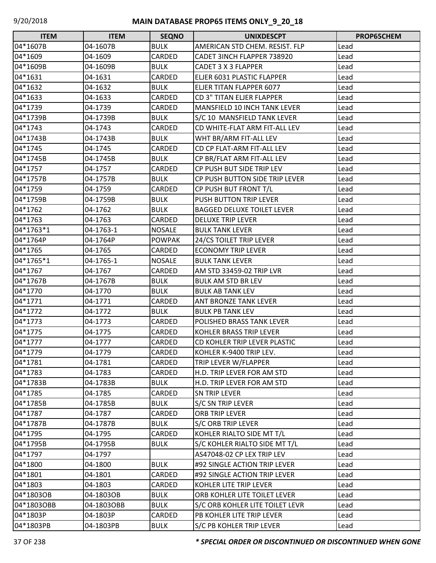| <b>ITEM</b> | <b>ITEM</b> | <b>SEQNO</b>  | <b>UNIXDESCPT</b>                 | PROP65CHEM |
|-------------|-------------|---------------|-----------------------------------|------------|
| 04*1607B    | 04-1607B    | <b>BULK</b>   | AMERICAN STD CHEM. RESIST. FLP    | Lead       |
| 04*1609     | 04-1609     | CARDED        | CADET 3INCH FLAPPER 738920        | Lead       |
| 04*1609B    | 04-1609B    | <b>BULK</b>   | CADET 3 X 3 FLAPPER               | Lead       |
| 04*1631     | 04-1631     | CARDED        | ELJER 6031 PLASTIC FLAPPER        | Lead       |
| 04*1632     | 04-1632     | <b>BULK</b>   | ELJER TITAN FLAPPER 6077          | Lead       |
| 04*1633     | 04-1633     | CARDED        | <b>CD 3" TITAN ELJER FLAPPER</b>  | Lead       |
| 04*1739     | 04-1739     | CARDED        | MANSFIELD 10 INCH TANK LEVER      | Lead       |
| 04*1739B    | 04-1739B    | <b>BULK</b>   | S/C 10 MANSFIELD TANK LEVER       | Lead       |
| 04*1743     | 04-1743     | CARDED        | CD WHITE-FLAT ARM FIT-ALL LEV     | Lead       |
| 04*1743B    | 04-1743B    | <b>BULK</b>   | WHT BR/ARM FIT-ALL LEV            | Lead       |
| 04*1745     | 04-1745     | CARDED        | CD CP FLAT-ARM FIT-ALL LEV        | Lead       |
| 04*1745B    | 04-1745B    | <b>BULK</b>   | CP BR/FLAT ARM FIT-ALL LEV        | Lead       |
| 04*1757     | 04-1757     | CARDED        | CP PUSH BUT SIDE TRIP LEV         | Lead       |
| 04*1757B    | 04-1757B    | <b>BULK</b>   | CP PUSH BUTTON SIDE TRIP LEVER    | Lead       |
| 04*1759     | 04-1759     | CARDED        | CP PUSH BUT FRONT T/L             | Lead       |
| 04*1759B    | 04-1759B    | <b>BULK</b>   | PUSH BUTTON TRIP LEVER            | Lead       |
| 04*1762     | 04-1762     | <b>BULK</b>   | <b>BAGGED DELUXE TOILET LEVER</b> | Lead       |
| 04*1763     | 04-1763     | CARDED        | <b>DELUXE TRIP LEVER</b>          | Lead       |
| 04*1763*1   | 04-1763-1   | <b>NOSALE</b> | <b>BULK TANK LEVER</b>            | Lead       |
| 04*1764P    | 04-1764P    | <b>POWPAK</b> | 24/CS TOILET TRIP LEVER           | Lead       |
| 04*1765     | 04-1765     | CARDED        | <b>ECONOMY TRIP LEVER</b>         | Lead       |
| 04*1765*1   | 04-1765-1   | <b>NOSALE</b> | <b>BULK TANK LEVER</b>            | Lead       |
| 04*1767     | 04-1767     | CARDED        | AM STD 33459-02 TRIP LVR          | Lead       |
| 04*1767B    | 04-1767B    | <b>BULK</b>   | <b>BULK AM STD BR LEV</b>         | Lead       |
| 04*1770     | 04-1770     | <b>BULK</b>   | <b>BULK AB TANK LEV</b>           | Lead       |
| 04*1771     | 04-1771     | CARDED        | ANT BRONZE TANK LEVER             | Lead       |
| 04*1772     | 04-1772     | <b>BULK</b>   | <b>BULK PB TANK LEV</b>           | Lead       |
| 04*1773     | 04-1773     | CARDED        | POLISHED BRASS TANK LEVER         | Lead       |
| 04*1775     | 04-1775     | CARDED        | KOHLER BRASS TRIP LEVER           | Lead       |
| 04*1777     | 04-1777     | CARDED        | CD KOHLER TRIP LEVER PLASTIC      | Lead       |
| 04*1779     | 04-1779     | CARDED        | KOHLER K-9400 TRIP LEV.           | Lead       |
| 04*1781     | 04-1781     | CARDED        | TRIP LEVER W/FLAPPER              | Lead       |
| 04*1783     | 04-1783     | CARDED        | H.D. TRIP LEVER FOR AM STD        | Lead       |
| 04*1783B    | 04-1783B    | <b>BULK</b>   | H.D. TRIP LEVER FOR AM STD        | Lead       |
| 04*1785     | 04-1785     | CARDED        | <b>SN TRIP LEVER</b>              | Lead       |
| 04*1785B    | 04-1785B    | <b>BULK</b>   | <b>S/C SN TRIP LEVER</b>          | Lead       |
| 04*1787     | 04-1787     | CARDED        | ORB TRIP LEVER                    | Lead       |
| 04*1787B    | 04-1787B    | <b>BULK</b>   | S/C ORB TRIP LEVER                | Lead       |
| 04*1795     | 04-1795     | CARDED        | KOHLER RIALTO SIDE MT T/L         | Lead       |
| 04*1795B    | 04-1795B    | <b>BULK</b>   | S/C KOHLER RIALTO SIDE MT T/L     | Lead       |
| 04*1797     | 04-1797     |               | AS47048-02 CP LEX TRIP LEV        | Lead       |
| 04*1800     | 04-1800     | <b>BULK</b>   | #92 SINGLE ACTION TRIP LEVER      | Lead       |
| 04*1801     | 04-1801     | CARDED        | #92 SINGLE ACTION TRIP LEVER      | Lead       |
| 04*1803     | 04-1803     | CARDED        | KOHLER LITE TRIP LEVER            | Lead       |
| 04*1803OB   | 04-1803OB   | <b>BULK</b>   | ORB KOHLER LITE TOILET LEVER      | Lead       |
| 04*1803OBB  | 04-1803OBB  | <b>BULK</b>   | S/C ORB KOHLER LITE TOILET LEVR   | Lead       |
| 04*1803P    | 04-1803P    | CARDED        | PB KOHLER LITE TRIP LEVER         | Lead       |
| 04*1803PB   | 04-1803PB   | <b>BULK</b>   | S/C PB KOHLER TRIP LEVER          | Lead       |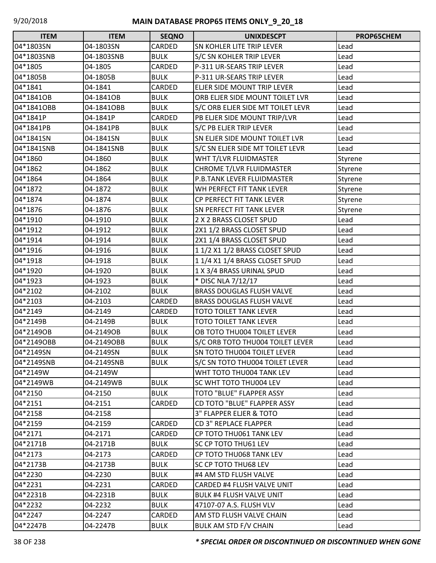| <b>ITEM</b> | <b>ITEM</b> | <b>SEQNO</b> | <b>UNIXDESCPT</b>                  | PROP65CHEM |
|-------------|-------------|--------------|------------------------------------|------------|
| 04*1803SN   | 04-1803SN   | CARDED       | SN KOHLER LITE TRIP LEVER          | Lead       |
| 04*1803SNB  | 04-1803SNB  | <b>BULK</b>  | S/C SN KOHLER TRIP LEVER           | Lead       |
| 04*1805     | 04-1805     | CARDED       | P-311 UR-SEARS TRIP LEVER          | Lead       |
| 04*1805B    | 04-1805B    | <b>BULK</b>  | P-311 UR-SEARS TRIP LEVER          | Lead       |
| 04*1841     | 04-1841     | CARDED       | ELJER SIDE MOUNT TRIP LEVER        | Lead       |
| 04*1841OB   | 04-1841OB   | <b>BULK</b>  | ORB ELJER SIDE MOUNT TOILET LVR    | Lead       |
| 04*1841OBB  | 04-1841OBB  | <b>BULK</b>  | S/C ORB ELJER SIDE MT TOILET LEVR  | Lead       |
| 04*1841P    | 04-1841P    | CARDED       | PB ELJER SIDE MOUNT TRIP/LVR       | Lead       |
| 04*1841PB   | 04-1841PB   | <b>BULK</b>  | S/C PB ELJER TRIP LEVER            | Lead       |
| 04*1841SN   | 04-1841SN   | <b>BULK</b>  | SN ELJER SIDE MOUNT TOILET LVR     | Lead       |
| 04*1841SNB  | 04-1841SNB  | <b>BULK</b>  | S/C SN ELJER SIDE MT TOILET LEVR   | Lead       |
| 04*1860     | 04-1860     | <b>BULK</b>  | WHT T/LVR FLUIDMASTER              | Styrene    |
| 04*1862     | 04-1862     | <b>BULK</b>  | CHROME T/LVR FLUIDMASTER           | Styrene    |
| 04*1864     | 04-1864     | <b>BULK</b>  | P.B.TANK LEVER FLUIDMASTER         | Styrene    |
| 04*1872     | 04-1872     | <b>BULK</b>  | WH PERFECT FIT TANK LEVER          | Styrene    |
| 04*1874     | 04-1874     | <b>BULK</b>  | CP PERFECT FIT TANK LEVER          | Styrene    |
| 04*1876     | 04-1876     | <b>BULK</b>  | <b>SN PERFECT FIT TANK LEVER</b>   | Styrene    |
| 04*1910     | 04-1910     | <b>BULK</b>  | 2 X 2 BRASS CLOSET SPUD            | Lead       |
| 04*1912     | 04-1912     | <b>BULK</b>  | 2X1 1/2 BRASS CLOSET SPUD          | Lead       |
| 04*1914     | 04-1914     | <b>BULK</b>  | 2X1 1/4 BRASS CLOSET SPUD          | Lead       |
| 04*1916     | 04-1916     | <b>BULK</b>  | 1 1/2 X1 1/2 BRASS CLOSET SPUD     | Lead       |
| 04*1918     | 04-1918     | <b>BULK</b>  | 1 1/4 X1 1/4 BRASS CLOSET SPUD     | Lead       |
| 04*1920     | 04-1920     | <b>BULK</b>  | 1 X 3/4 BRASS URINAL SPUD          | Lead       |
| 04*1923     | 04-1923     | <b>BULK</b>  | * DISC NLA 7/12/17                 | Lead       |
| 04*2102     | 04-2102     | <b>BULK</b>  | <b>BRASS DOUGLAS FLUSH VALVE</b>   | Lead       |
| 04*2103     | 04-2103     | CARDED       | <b>BRASS DOUGLAS FLUSH VALVE</b>   | Lead       |
| 04*2149     | 04-2149     | CARDED       | TOTO TOILET TANK LEVER             | Lead       |
| 04*2149B    | 04-2149B    | <b>BULK</b>  | <b>TOTO TOILET TANK LEVER</b>      | Lead       |
| 04*2149OB   | 04-2149OB   | <b>BULK</b>  | OB TOTO THU004 TOILET LEVER        | Lead       |
| 04*2149OBB  | 04-2149OBB  | <b>BULK</b>  | S/C ORB TOTO THU004 TOILET LEVER   | Lead       |
| 04*2149SN   | 04-2149SN   | <b>BULK</b>  | <b>SN TOTO THU004 TOILET LEVER</b> | Lead       |
| 04*2149SNB  | 04-2149SNB  | <b>BULK</b>  | S/C SN TOTO THU004 TOILET LEVER    | Lead       |
| 04*2149W    | 04-2149W    |              | WHT TOTO THU004 TANK LEV           | Lead       |
| 04*2149WB   | 04-2149WB   | <b>BULK</b>  | SC WHT TOTO THU004 LEV             | Lead       |
| 04*2150     | 04-2150     | <b>BULK</b>  | TOTO "BLUE" FLAPPER ASSY           | Lead       |
| 04*2151     | 04-2151     | CARDED       | <b>CD TOTO "BLUE" FLAPPER ASSY</b> | Lead       |
| 04*2158     | 04-2158     |              | 3" FLAPPER ELJER & TOTO            | Lead       |
| 04*2159     | 04-2159     | CARDED       | <b>CD 3" REPLACE FLAPPER</b>       | Lead       |
| 04*2171     | 04-2171     | CARDED       | CP TOTO THU061 TANK LEV            | Lead       |
| 04*2171B    | 04-2171B    | <b>BULK</b>  | <b>SC CP TOTO THU61 LEV</b>        | Lead       |
| 04*2173     | 04-2173     | CARDED       | CP TOTO THU068 TANK LEV            | Lead       |
| 04*2173B    | 04-2173B    | <b>BULK</b>  | SC CP TOTO THU68 LEV               | Lead       |
| 04*2230     | 04-2230     | <b>BULK</b>  | #4 AM STD FLUSH VALVE              | Lead       |
| 04*2231     | 04-2231     | CARDED       | CARDED #4 FLUSH VALVE UNIT         | Lead       |
| 04*2231B    | 04-2231B    | <b>BULK</b>  | <b>BULK #4 FLUSH VALVE UNIT</b>    | Lead       |
| 04*2232     | 04-2232     | <b>BULK</b>  | 47107-07 A.S. FLUSH VLV            | Lead       |
| 04*2247     | 04-2247     | CARDED       | AM STD FLUSH VALVE CHAIN           | Lead       |
| 04*2247B    | 04-2247B    | <b>BULK</b>  | <b>BULK AM STD F/V CHAIN</b>       | Lead       |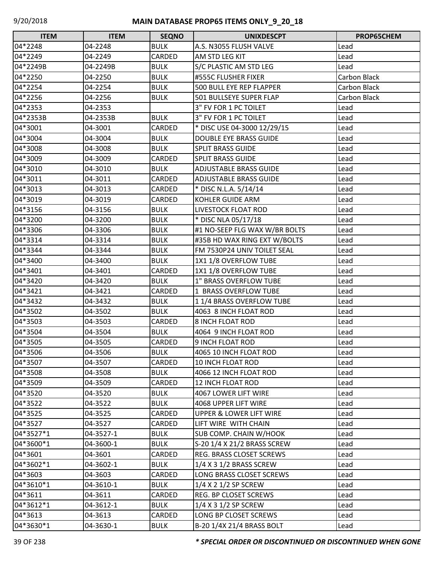| <b>ITEM</b> | <b>ITEM</b> | <b>SEQNO</b>  | <b>UNIXDESCPT</b>                  | PROP65CHEM   |
|-------------|-------------|---------------|------------------------------------|--------------|
| 04*2248     | 04-2248     | <b>BULK</b>   | A.S. N3055 FLUSH VALVE             | Lead         |
| 04*2249     | 04-2249     | <b>CARDED</b> | AM STD LEG KIT                     | Lead         |
| 04*2249B    | 04-2249B    | <b>BULK</b>   | S/C PLASTIC AM STD LEG             | Lead         |
| 04*2250     | 04-2250     | <b>BULK</b>   | #555C FLUSHER FIXER                | Carbon Black |
| 04*2254     | 04-2254     | <b>BULK</b>   | 500 BULL EYE REP FLAPPER           | Carbon Black |
| 04*2256     | 04-2256     | <b>BULK</b>   | 501 BULLSEYE SUPER FLAP            | Carbon Black |
| 04*2353     | 04-2353     |               | 3" FV FOR 1 PC TOILET              | Lead         |
| 04*2353B    | 04-2353B    | <b>BULK</b>   | 3" FV FOR 1 PC TOILET              | Lead         |
| 04*3001     | 04-3001     | CARDED        | * DISC USE 04-3000 12/29/15        | Lead         |
| 04*3004     | 04-3004     | <b>BULK</b>   | <b>DOUBLE EYE BRASS GUIDE</b>      | Lead         |
| 04*3008     | 04-3008     | <b>BULK</b>   | <b>SPLIT BRASS GUIDE</b>           | Lead         |
| 04*3009     | 04-3009     | CARDED        | <b>SPLIT BRASS GUIDE</b>           | Lead         |
| 04*3010     | 04-3010     | <b>BULK</b>   | <b>ADJUSTABLE BRASS GUIDE</b>      | Lead         |
| 04*3011     | 04-3011     | CARDED        | <b>ADJUSTABLE BRASS GUIDE</b>      | Lead         |
| 04*3013     | 04-3013     | CARDED        | * DISC N.L.A. 5/14/14              | Lead         |
| 04*3019     | 04-3019     | <b>CARDED</b> | KOHLER GUIDE ARM                   | Lead         |
| 04*3156     | 04-3156     | <b>BULK</b>   | LIVESTOCK FLOAT ROD                | Lead         |
| 04*3200     | 04-3200     | <b>BULK</b>   | * DISC NLA 05/17/18                | Lead         |
| 04*3306     | 04-3306     | <b>BULK</b>   | #1 NO-SEEP FLG WAX W/BR BOLTS      | Lead         |
| 04*3314     | 04-3314     | <b>BULK</b>   | #35B HD WAX RING EXT W/BOLTS       | Lead         |
| 04*3344     | 04-3344     | <b>BULK</b>   | FM 7530P24 UNIV TOILET SEAL        | Lead         |
| 04*3400     | 04-3400     | <b>BULK</b>   | 1X1 1/8 OVERFLOW TUBE              | Lead         |
| 04*3401     | 04-3401     | CARDED        | 1X1 1/8 OVERFLOW TUBE              | Lead         |
| 04*3420     | 04-3420     | <b>BULK</b>   | <b>1" BRASS OVERFLOW TUBE</b>      | Lead         |
| 04*3421     | 04-3421     | CARDED        | 1 BRASS OVERFLOW TUBE              | Lead         |
| 04*3432     | 04-3432     | <b>BULK</b>   | 11/4 BRASS OVERFLOW TUBE           | Lead         |
| 04*3502     | 04-3502     | <b>BULK</b>   | 4063 8 INCH FLOAT ROD              | Lead         |
| 04*3503     | 04-3503     | CARDED        | <b>8 INCH FLOAT ROD</b>            | Lead         |
| 04*3504     | 04-3504     | <b>BULK</b>   | 4064 9 INCH FLOAT ROD              | Lead         |
| 04*3505     | 04-3505     | CARDED        | 9 INCH FLOAT ROD                   | Lead         |
| 04*3506     | 04-3506     | <b>BULK</b>   | 4065 10 INCH FLOAT ROD             | Lead         |
| 04*3507     | 04-3507     | CARDED        | 10 INCH FLOAT ROD                  | Lead         |
| 04*3508     | 04-3508     | <b>BULK</b>   | 4066 12 INCH FLOAT ROD             | Lead         |
| 04*3509     | 04-3509     | CARDED        | <b>12 INCH FLOAT ROD</b>           | Lead         |
| 04*3520     | 04-3520     | <b>BULK</b>   | 4067 LOWER LIFT WIRE               | Lead         |
| 04*3522     | 04-3522     | <b>BULK</b>   | 4068 UPPER LIFT WIRE               | Lead         |
| 04*3525     | 04-3525     | CARDED        | <b>UPPER &amp; LOWER LIFT WIRE</b> | Lead         |
| 04*3527     | 04-3527     | <b>CARDED</b> | LIFT WIRE WITH CHAIN               | Lead         |
| 04*3527*1   | 04-3527-1   | <b>BULK</b>   | <b>SUB COMP. CHAIN W/HOOK</b>      | Lead         |
| 04*3600*1   | 04-3600-1   | <b>BULK</b>   | S-20 1/4 X 21/2 BRASS SCREW        | Lead         |
| 04*3601     | 04-3601     | CARDED        | REG. BRASS CLOSET SCREWS           | Lead         |
| 04*3602*1   | 04-3602-1   | <b>BULK</b>   | $1/4$ X 3 $1/2$ BRASS SCREW        | Lead         |
| 04*3603     | 04-3603     | <b>CARDED</b> | LONG BRASS CLOSET SCREWS           | Lead         |
| 04*3610*1   | 04-3610-1   | <b>BULK</b>   | $1/4$ X 2 $1/2$ SP SCREW           | Lead         |
| 04*3611     | 04-3611     | CARDED        | REG. BP CLOSET SCREWS              | Lead         |
| 04*3612*1   | 04-3612-1   | <b>BULK</b>   | 1/4 X 3 1/2 SP SCREW               | Lead         |
| 04*3613     | 04-3613     | CARDED        | LONG BP CLOSET SCREWS              | Lead         |
| 04*3630*1   | 04-3630-1   | <b>BULK</b>   | B-20 1/4X 21/4 BRASS BOLT          | Lead         |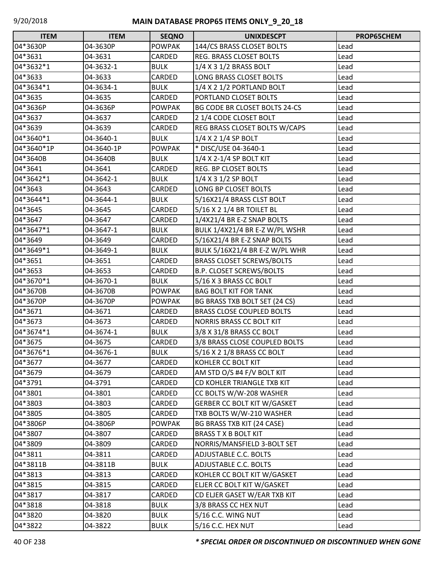| <b>ITEM</b> | <b>ITEM</b> | <b>SEQNO</b>  | <b>UNIXDESCPT</b>                  | PROP65CHEM |
|-------------|-------------|---------------|------------------------------------|------------|
| 04*3630P    | 04-3630P    | <b>POWPAK</b> | 144/CS BRASS CLOSET BOLTS          | Lead       |
| 04*3631     | 04-3631     | CARDED        | <b>REG. BRASS CLOSET BOLTS</b>     | Lead       |
| 04*3632*1   | 04-3632-1   | <b>BULK</b>   | $1/4$ X 3 $1/2$ BRASS BOLT         | Lead       |
| 04*3633     | 04-3633     | CARDED        | LONG BRASS CLOSET BOLTS            | Lead       |
| 04*3634*1   | 04-3634-1   | <b>BULK</b>   | 1/4 X 2 1/2 PORTLAND BOLT          | Lead       |
| 04*3635     | 04-3635     | CARDED        | PORTLAND CLOSET BOLTS              | Lead       |
| 04*3636P    | 04-3636P    | <b>POWPAK</b> | BG CODE BR CLOSET BOLTS 24-CS      | Lead       |
| 04*3637     | 04-3637     | CARDED        | 2 1/4 CODE CLOSET BOLT             | Lead       |
| 04*3639     | 04-3639     | CARDED        | REG BRASS CLOSET BOLTS W/CAPS      | Lead       |
| 04*3640*1   | 04-3640-1   | <b>BULK</b>   | 1/4 X 2 1/4 SP BOLT                | Lead       |
| 04*3640*1P  | 04-3640-1P  | <b>POWPAK</b> | * DISC/USE 04-3640-1               | Lead       |
| 04*3640B    | 04-3640B    | <b>BULK</b>   | $1/4$ X 2-1/4 SP BOLT KIT          | Lead       |
| 04*3641     | 04-3641     | CARDED        | REG. BP CLOSET BOLTS               | Lead       |
| 04*3642*1   | 04-3642-1   | <b>BULK</b>   | 1/4 X 3 1/2 SP BOLT                | Lead       |
| 04*3643     | 04-3643     | CARDED        | LONG BP CLOSET BOLTS               | Lead       |
| 04*3644*1   | 04-3644-1   | <b>BULK</b>   | 5/16X21/4 BRASS CLST BOLT          | Lead       |
| 04*3645     | 04-3645     | CARDED        | 5/16 X 2 1/4 BR TOILET BL          | Lead       |
| 04*3647     | 04-3647     | CARDED        | 1/4X21/4 BR E-Z SNAP BOLTS         | Lead       |
| 04*3647*1   | 04-3647-1   | <b>BULK</b>   | BULK 1/4X21/4 BR E-Z W/PL WSHR     | Lead       |
| 04*3649     | 04-3649     | CARDED        | 5/16X21/4 BR E-Z SNAP BOLTS        | Lead       |
| 04*3649*1   | 04-3649-1   | <b>BULK</b>   | BULK 5/16X21/4 BR E-Z W/PL WHR     | Lead       |
| 04*3651     | 04-3651     | CARDED        | <b>BRASS CLOSET SCREWS/BOLTS</b>   | Lead       |
| 04*3653     | 04-3653     | CARDED        | <b>B.P. CLOSET SCREWS/BOLTS</b>    | Lead       |
| 04*3670*1   | 04-3670-1   | <b>BULK</b>   | 5/16 X 3 BRASS CC BOLT             | Lead       |
| 04*3670B    | 04-3670B    | <b>POWPAK</b> | <b>BAG BOLT KIT FOR TANK</b>       | Lead       |
| 04*3670P    | 04-3670P    | <b>POWPAK</b> | BG BRASS TXB BOLT SET (24 CS)      | Lead       |
| 04*3671     | 04-3671     | CARDED        | <b>BRASS CLOSE COUPLED BOLTS</b>   | Lead       |
| 04*3673     | 04-3673     | CARDED        | <b>NORRIS BRASS CC BOLT KIT</b>    | Lead       |
| 04*3674*1   | 04-3674-1   | <b>BULK</b>   | 3/8 X 31/8 BRASS CC BOLT           | Lead       |
| 04*3675     | 04-3675     | CARDED        | 3/8 BRASS CLOSE COUPLED BOLTS      | Lead       |
| 04*3676*1   | 04-3676-1   | <b>BULK</b>   | 5/16 X 2 1/8 BRASS CC BOLT         | Lead       |
| 04*3677     | 04-3677     | CARDED        | KOHLER CC BOLT KIT                 | Lead       |
| 04*3679     | 04-3679     | CARDED        | AM STD O/S #4 F/V BOLT KIT         | Lead       |
| 04*3791     | 04-3791     | CARDED        | CD KOHLER TRIANGLE TXB KIT         | Lead       |
| 04*3801     | 04-3801     | <b>CARDED</b> | CC BOLTS W/W-208 WASHER            | Lead       |
| 04*3803     | 04-3803     | CARDED        | <b>GERBER CC BOLT KIT W/GASKET</b> | Lead       |
| 04*3805     | 04-3805     | CARDED        | TXB BOLTS W/W-210 WASHER           | Lead       |
| 04*3806P    | 04-3806P    | <b>POWPAK</b> | BG BRASS TXB KIT (24 CASE)         | Lead       |
| 04*3807     | 04-3807     | CARDED        | <b>BRASS T X B BOLT KIT</b>        | Lead       |
| 04*3809     | 04-3809     | CARDED        | NORRIS/MANSFIELD 3-BOLT SET        | Lead       |
| 04*3811     | 04-3811     | CARDED        | ADJUSTABLE C.C. BOLTS              | Lead       |
| 04*3811B    | 04-3811B    | <b>BULK</b>   | <b>ADJUSTABLE C.C. BOLTS</b>       | Lead       |
| 04*3813     | 04-3813     | CARDED        | KOHLER CC BOLT KIT W/GASKET        | Lead       |
| 04*3815     | 04-3815     | CARDED        | ELJER CC BOLT KIT W/GASKET         | Lead       |
| 04*3817     | 04-3817     | CARDED        | CD ELJER GASET W/EAR TXB KIT       | Lead       |
| 04*3818     | 04-3818     | <b>BULK</b>   | 3/8 BRASS CC HEX NUT               | Lead       |
| 04*3820     | 04-3820     | <b>BULK</b>   | 5/16 C.C. WING NUT                 | Lead       |
| 04*3822     | 04-3822     | <b>BULK</b>   | 5/16 C.C. HEX NUT                  | Lead       |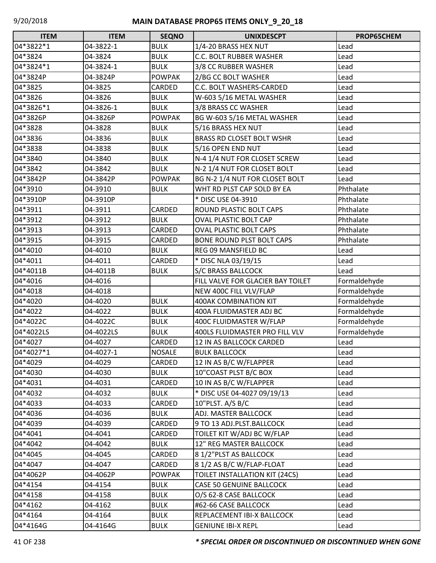| <b>ITEM</b> | <b>ITEM</b> | <b>SEQNO</b>  | <b>UNIXDESCPT</b>                     | PROP65CHEM   |
|-------------|-------------|---------------|---------------------------------------|--------------|
| 04*3822*1   | 04-3822-1   | <b>BULK</b>   | 1/4-20 BRASS HEX NUT                  | Lead         |
| 04*3824     | 04-3824     | <b>BULK</b>   | C.C. BOLT RUBBER WASHER               | Lead         |
| 04*3824*1   | 04-3824-1   | <b>BULK</b>   | 3/8 CC RUBBER WASHER                  | Lead         |
| 04*3824P    | 04-3824P    | <b>POWPAK</b> | 2/BG CC BOLT WASHER                   | Lead         |
| 04*3825     | 04-3825     | CARDED        | C.C. BOLT WASHERS-CARDED              | Lead         |
| 04*3826     | 04-3826     | <b>BULK</b>   | W-603 5/16 METAL WASHER               | Lead         |
| 04*3826*1   | 04-3826-1   | <b>BULK</b>   | 3/8 BRASS CC WASHER                   | Lead         |
| 04*3826P    | 04-3826P    | <b>POWPAK</b> | BG W-603 5/16 METAL WASHER            | Lead         |
| 04*3828     | 04-3828     | <b>BULK</b>   | 5/16 BRASS HEX NUT                    | Lead         |
| 04*3836     | 04-3836     | <b>BULK</b>   | <b>BRASS RD CLOSET BOLT WSHR</b>      | Lead         |
| 04*3838     | 04-3838     | <b>BULK</b>   | 5/16 OPEN END NUT                     | Lead         |
| 04*3840     | 04-3840     | <b>BULK</b>   | N-4 1/4 NUT FOR CLOSET SCREW          | Lead         |
| 04*3842     | 04-3842     | <b>BULK</b>   | N-2 1/4 NUT FOR CLOSET BOLT           | Lead         |
| 04*3842P    | 04-3842P    | <b>POWPAK</b> | BG N-2 1/4 NUT FOR CLOSET BOLT        | Lead         |
| 04*3910     | 04-3910     | <b>BULK</b>   | WHT RD PLST CAP SOLD BY EA            | Phthalate    |
| 04*3910P    | 04-3910P    |               | * DISC USE 04-3910                    | Phthalate    |
| 04*3911     | 04-3911     | CARDED        | ROUND PLASTIC BOLT CAPS               | Phthalate    |
| 04*3912     | 04-3912     | <b>BULK</b>   | <b>OVAL PLASTIC BOLT CAP</b>          | Phthalate    |
| 04*3913     | 04-3913     | CARDED        | <b>OVAL PLASTIC BOLT CAPS</b>         | Phthalate    |
| 04*3915     | 04-3915     | CARDED        | <b>BONE ROUND PLST BOLT CAPS</b>      | Phthalate    |
| 04*4010     | 04-4010     | <b>BULK</b>   | REG 09 MANSFIELD BC                   | Lead         |
| 04*4011     | 04-4011     | CARDED        | * DISC NLA 03/19/15                   | Lead         |
| 04*4011B    | 04-4011B    | <b>BULK</b>   | <b>S/C BRASS BALLCOCK</b>             | Lead         |
| 04*4016     | 04-4016     |               | FILL VALVE FOR GLACIER BAY TOILET     | Formaldehyde |
| 04*4018     | 04-4018     |               | NEW 400C FILL VLV/FLAP                | Formaldehyde |
| 04*4020     | 04-4020     | <b>BULK</b>   | <b>400AK COMBINATION KIT</b>          | Formaldehyde |
| 04*4022     | 04-4022     | <b>BULK</b>   | 400A FLUIDMASTER ADJ BC               | Formaldehyde |
| 04*4022C    | 04-4022C    | <b>BULK</b>   | 400C FLUIDMASTER W/FLAP               | Formaldehyde |
| 04*4022LS   | 04-4022LS   | <b>BULK</b>   | <b>400LS FLUIDMASTER PRO FILL VLV</b> | Formaldehyde |
| 04*4027     | 04-4027     | CARDED        | 12 IN AS BALLCOCK CARDED              | Lead         |
| 04*4027*1   | 04-4027-1   | <b>NOSALE</b> | <b>BULK BALLCOCK</b>                  | Lead         |
| 04*4029     | 04-4029     | CARDED        | 12 IN AS B/C W/FLAPPER                | Lead         |
| 04*4030     | 04-4030     | <b>BULK</b>   | 10"COAST PLST B/C BOX                 | Lead         |
| 04*4031     | 04-4031     | CARDED        | 10 IN AS B/C W/FLAPPER                | Lead         |
| 04*4032     | 04-4032     | <b>BULK</b>   | * DISC USE 04-4027 09/19/13           | Lead         |
| 04*4033     | 04-4033     | CARDED        | 10"PLST. A/S B/C                      | Lead         |
| 04*4036     | 04-4036     | <b>BULK</b>   | ADJ. MASTER BALLCOCK                  | Lead         |
| 04*4039     | 04-4039     | CARDED        | 9 TO 13 ADJ.PLST.BALLCOCK             | Lead         |
| 04*4041     | 04-4041     | CARDED        | TOILET KIT W/ADJ BC W/FLAP            | Lead         |
| 04*4042     | 04-4042     | <b>BULK</b>   | 12" REG MASTER BALLCOCK               | Lead         |
| 04*4045     | 04-4045     | CARDED        | 81/2"PLST AS BALLCOCK                 | Lead         |
| 04*4047     | 04-4047     | CARDED        | 8 1/2 AS B/C W/FLAP-FLOAT             | Lead         |
| 04*4062P    | 04-4062P    | <b>POWPAK</b> | TOILET INSTALLATION KIT (24CS)        | Lead         |
| 04*4154     | 04-4154     | <b>BULK</b>   | <b>CASE 50 GENUINE BALLCOCK</b>       | Lead         |
| 04*4158     | 04-4158     | <b>BULK</b>   | O/S 62-8 CASE BALLCOCK                | Lead         |
| 04*4162     | 04-4162     | <b>BULK</b>   | #62-66 CASE BALLCOCK                  | Lead         |
| 04*4164     | 04-4164     | <b>BULK</b>   | REPLACEMENT IBI-X BALLCOCK            | Lead         |
| 04*4164G    | 04-4164G    | <b>BULK</b>   | <b>GENIUNE IBI-X REPL</b>             | Lead         |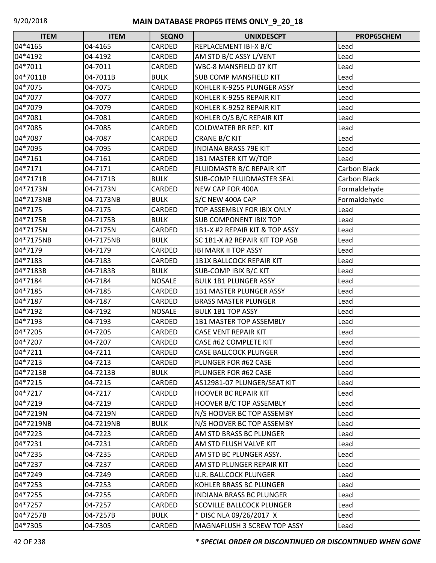| <b>ITEM</b> | <b>ITEM</b> | <b>SEQNO</b>  | <b>UNIXDESCPT</b>                | PROP65CHEM          |
|-------------|-------------|---------------|----------------------------------|---------------------|
| 04*4165     | 04-4165     | CARDED        | REPLACEMENT IBI-X B/C            | Lead                |
| 04*4192     | 04-4192     | CARDED        | AM STD B/C ASSY L/VENT           | Lead                |
| 04*7011     | 04-7011     | CARDED        | WBC-8 MANSFIELD 07 KIT           | Lead                |
| 04*7011B    | 04-7011B    | <b>BULK</b>   | <b>SUB COMP MANSFIELD KIT</b>    | Lead                |
| 04*7075     | 04-7075     | CARDED        | KOHLER K-9255 PLUNGER ASSY       | Lead                |
| 04*7077     | 04-7077     | CARDED        | KOHLER K-9255 REPAIR KIT         | Lead                |
| 04*7079     | 04-7079     | CARDED        | KOHLER K-9252 REPAIR KIT         | Lead                |
| 04*7081     | 04-7081     | CARDED        | KOHLER O/S B/C REPAIR KIT        | Lead                |
| 04*7085     | 04-7085     | CARDED        | <b>COLDWATER BR REP. KIT</b>     | Lead                |
| 04*7087     | 04-7087     | CARDED        | CRANE B/C KIT                    | Lead                |
| 04*7095     | 04-7095     | CARDED        | <b>INDIANA BRASS 79E KIT</b>     | Lead                |
| 04*7161     | 04-7161     | CARDED        | 1B1 MASTER KIT W/TOP             | Lead                |
| 04*7171     | 04-7171     | CARDED        | FLUIDMASTR B/C REPAIR KIT        | <b>Carbon Black</b> |
| 04*7171B    | 04-7171B    | <b>BULK</b>   | <b>SUB-COMP FLUIDMASTER SEAL</b> | Carbon Black        |
| 04*7173N    | 04-7173N    | CARDED        | <b>NEW CAP FOR 400A</b>          | Formaldehyde        |
| 04*7173NB   | 04-7173NB   | <b>BULK</b>   | S/C NEW 400A CAP                 | Formaldehyde        |
| 04*7175     | 04-7175     | <b>CARDED</b> | TOP ASSEMBLY FOR IBIX ONLY       | Lead                |
| 04*7175B    | 04-7175B    | <b>BULK</b>   | <b>SUB COMPONENT IBIX TOP</b>    | Lead                |
| 04*7175N    | 04-7175N    | CARDED        | 1B1-X #2 REPAIR KIT & TOP ASSY   | Lead                |
| 04*7175NB   | 04-7175NB   | <b>BULK</b>   | SC 1B1-X #2 REPAIR KIT TOP ASB   | Lead                |
| 04*7179     | 04-7179     | CARDED        | <b>IBI MARK II TOP ASSY</b>      | Lead                |
| 04*7183     | 04-7183     | CARDED        | <b>1B1X BALLCOCK REPAIR KIT</b>  | Lead                |
| 04*7183B    | 04-7183B    | <b>BULK</b>   | <b>SUB-COMP IBIX B/C KIT</b>     | Lead                |
| 04*7184     | 04-7184     | <b>NOSALE</b> | <b>BULK 1B1 PLUNGER ASSY</b>     | Lead                |
| 04*7185     | 04-7185     | CARDED        | 1B1 MASTER PLUNGER ASSY          | Lead                |
| 04*7187     | 04-7187     | CARDED        | <b>BRASS MASTER PLUNGER</b>      | Lead                |
| 04*7192     | 04-7192     | <b>NOSALE</b> | <b>BULK 1B1 TOP ASSY</b>         | Lead                |
| 04*7193     | 04-7193     | CARDED        | 1B1 MASTER TOP ASSEMBLY          | Lead                |
| 04*7205     | 04-7205     | CARDED        | <b>CASE VENT REPAIR KIT</b>      | Lead                |
| 04*7207     | 04-7207     | CARDED        | CASE #62 COMPLETE KIT            | Lead                |
| 04*7211     | 04-7211     | CARDED        | <b>CASE BALLCOCK PLUNGER</b>     | Lead                |
| 04*7213     | 04-7213     | CARDED        | PLUNGER FOR #62 CASE             | Lead                |
| 04*7213B    | 04-7213B    | <b>BULK</b>   | PLUNGER FOR #62 CASE             | Lead                |
| 04*7215     | 04-7215     | CARDED        | AS12981-07 PLUNGER/SEAT KIT      | Lead                |
| 04*7217     | 04-7217     | CARDED        | <b>HOOVER BC REPAIR KIT</b>      | Lead                |
| 04*7219     | 04-7219     | CARDED        | HOOVER B/C TOP ASSEMBLY          | Lead                |
| 04*7219N    | 04-7219N    | CARDED        | N/S HOOVER BC TOP ASSEMBY        | Lead                |
| 04*7219NB   | 04-7219NB   | <b>BULK</b>   | N/S HOOVER BC TOP ASSEMBY        | Lead                |
| 04*7223     | 04-7223     | CARDED        | AM STD BRASS BC PLUNGER          | Lead                |
| 04*7231     | 04-7231     | CARDED        | AM STD FLUSH VALVE KIT           | Lead                |
| 04*7235     | 04-7235     | CARDED        | AM STD BC PLUNGER ASSY.          | Lead                |
| 04*7237     | 04-7237     | CARDED        | AM STD PLUNGER REPAIR KIT        | Lead                |
| 04*7249     | 04-7249     | CARDED        | <b>U.R. BALLCOCK PLUNGER</b>     | Lead                |
| 04*7253     | 04-7253     | CARDED        | KOHLER BRASS BC PLUNGER          | Lead                |
| 04*7255     | 04-7255     | CARDED        | INDIANA BRASS BC PLUNGER         | Lead                |
| 04*7257     | 04-7257     | CARDED        | <b>SCOVILLE BALLCOCK PLUNGER</b> | Lead                |
| 04*7257B    | 04-7257B    | <b>BULK</b>   | * DISC NLA 09/26/2017 X          | Lead                |
| 04*7305     | 04-7305     | CARDED        | MAGNAFLUSH 3 SCREW TOP ASSY      | Lead                |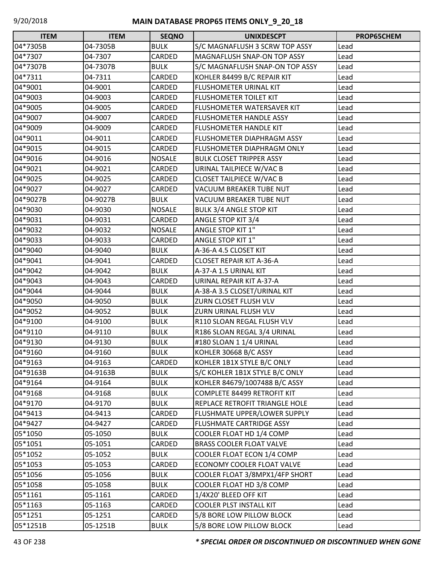| <b>ITEM</b> | <b>ITEM</b> | <b>SEQNO</b>  | <b>UNIXDESCPT</b>                  | PROP65CHEM |
|-------------|-------------|---------------|------------------------------------|------------|
| 04*7305B    | 04-7305B    | <b>BULK</b>   | S/C MAGNAFLUSH 3 SCRW TOP ASSY     | Lead       |
| 04*7307     | 04-7307     | CARDED        | <b>MAGNAFLUSH SNAP-ON TOP ASSY</b> | Lead       |
| 04*7307B    | 04-7307B    | <b>BULK</b>   | S/C MAGNAFLUSH SNAP-ON TOP ASSY    | Lead       |
| 04*7311     | 04-7311     | CARDED        | KOHLER 84499 B/C REPAIR KIT        | Lead       |
| 04*9001     | 04-9001     | CARDED        | FLUSHOMETER URINAL KIT             | Lead       |
| 04*9003     | 04-9003     | CARDED        | <b>FLUSHOMETER TOILET KIT</b>      | Lead       |
| 04*9005     | 04-9005     | <b>CARDED</b> | FLUSHOMETER WATERSAVER KIT         | Lead       |
| 04*9007     | 04-9007     | CARDED        | <b>FLUSHOMETER HANDLE ASSY</b>     | Lead       |
| 04*9009     | 04-9009     | CARDED        | FLUSHOMETER HANDLE KIT             | Lead       |
| 04*9011     | 04-9011     | CARDED        | <b>FLUSHOMETER DIAPHRAGM ASSY</b>  | Lead       |
| 04*9015     | 04-9015     | CARDED        | <b>FLUSHOMETER DIAPHRAGM ONLY</b>  | Lead       |
| 04*9016     | 04-9016     | <b>NOSALE</b> | <b>BULK CLOSET TRIPPER ASSY</b>    | Lead       |
| 04*9021     | 04-9021     | CARDED        | URINAL TAILPIECE W/VAC B           | Lead       |
| 04*9025     | 04-9025     | CARDED        | <b>CLOSET TAILPIECE W/VAC B</b>    | Lead       |
| 04*9027     | 04-9027     | <b>CARDED</b> | VACUUM BREAKER TUBE NUT            | Lead       |
| 04*9027B    | 04-9027B    | <b>BULK</b>   | <b>VACUUM BREAKER TUBE NUT</b>     | Lead       |
| 04*9030     | 04-9030     | <b>NOSALE</b> | BULK 3/4 ANGLE STOP KIT            | Lead       |
| 04*9031     | 04-9031     | CARDED        | <b>ANGLE STOP KIT 3/4</b>          | Lead       |
| 04*9032     | 04-9032     | <b>NOSALE</b> | <b>ANGLE STOP KIT 1"</b>           | Lead       |
| 04*9033     | 04-9033     | <b>CARDED</b> | <b>ANGLE STOP KIT 1"</b>           | Lead       |
| 04*9040     | 04-9040     | <b>BULK</b>   | A-36-A 4.5 CLOSET KIT              | Lead       |
| 04*9041     | 04-9041     | CARDED        | <b>CLOSET REPAIR KIT A-36-A</b>    | Lead       |
| 04*9042     | 04-9042     | <b>BULK</b>   | A-37-A 1.5 URINAL KIT              | Lead       |
| 04*9043     | 04-9043     | CARDED        | URINAL REPAIR KIT A-37-A           | Lead       |
| 04*9044     | 04-9044     | <b>BULK</b>   | A-38-A 3.5 CLOSET/URINAL KIT       | Lead       |
| 04*9050     | 04-9050     | <b>BULK</b>   | ZURN CLOSET FLUSH VLV              | Lead       |
| 04*9052     | 04-9052     | <b>BULK</b>   | ZURN URINAL FLUSH VLV              | Lead       |
| 04*9100     | 04-9100     | <b>BULK</b>   | R110 SLOAN REGAL FLUSH VLV         | Lead       |
| 04*9110     | 04-9110     | <b>BULK</b>   | R186 SLOAN REGAL 3/4 URINAL        | Lead       |
| 04*9130     | 04-9130     | <b>BULK</b>   | #180 SLOAN 1 1/4 URINAL            | Lead       |
| 04*9160     | 04-9160     | <b>BULK</b>   | KOHLER 30668 B/C ASSY              | Lead       |
| 04*9163     | 04-9163     | CARDED        | KOHLER 1B1X STYLE B/C ONLY         | Lead       |
| 04*9163B    | 04-9163B    | <b>BULK</b>   | S/C KOHLER 1B1X STYLE B/C ONLY     | Lead       |
| 04*9164     | 04-9164     | <b>BULK</b>   | KOHLER 84679/1007488 B/C ASSY      | Lead       |
| 04*9168     | 04-9168     | <b>BULK</b>   | <b>COMPLETE 84499 RETROFIT KIT</b> | Lead       |
| 04*9170     | 04-9170     | <b>BULK</b>   | REPLACE RETROFIT TRIANGLE HOLE     | Lead       |
| 04*9413     | 04-9413     | CARDED        | FLUSHMATE UPPER/LOWER SUPPLY       | Lead       |
| 04*9427     | 04-9427     | CARDED        | <b>FLUSHMATE CARTRIDGE ASSY</b>    | Lead       |
| 05*1050     | 05-1050     | <b>BULK</b>   | COOLER FLOAT HD 1/4 COMP           | Lead       |
| 05*1051     | 05-1051     | CARDED        | <b>BRASS COOLER FLOAT VALVE</b>    | Lead       |
| 05*1052     | 05-1052     | <b>BULK</b>   | COOLER FLOAT ECON 1/4 COMP         | Lead       |
| 05*1053     | 05-1053     | CARDED        | ECONOMY COOLER FLOAT VALVE         | Lead       |
| 05*1056     | 05-1056     | <b>BULK</b>   | COOLER FLOAT 3/8MPX1/4FP SHORT     | Lead       |
| 05*1058     | 05-1058     | <b>BULK</b>   | COOLER FLOAT HD 3/8 COMP           | Lead       |
| 05*1161     | 05-1161     | CARDED        | 1/4X20' BLEED OFF KIT              | Lead       |
| 05*1163     | 05-1163     | CARDED        | <b>COOLER PLST INSTALL KIT</b>     | Lead       |
| 05*1251     | 05-1251     | CARDED        | 5/8 BORE LOW PILLOW BLOCK          | Lead       |
| 05*1251B    | 05-1251B    | <b>BULK</b>   | 5/8 BORE LOW PILLOW BLOCK          | Lead       |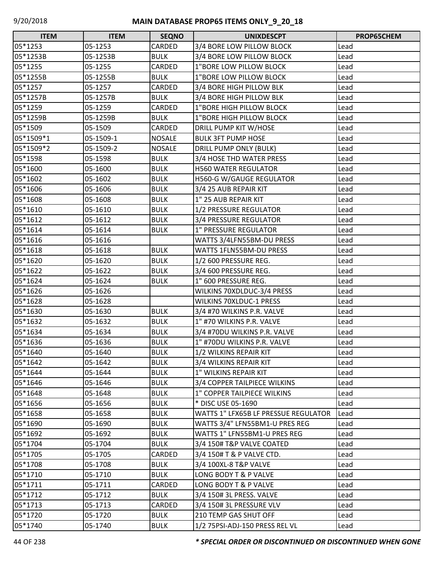| <b>ITEM</b> | <b>ITEM</b> | <b>SEQNO</b>  | <b>UNIXDESCPT</b>                    | PROP65CHEM |
|-------------|-------------|---------------|--------------------------------------|------------|
| 05*1253     | 05-1253     | CARDED        | 3/4 BORE LOW PILLOW BLOCK            | Lead       |
| 05*1253B    | 05-1253B    | <b>BULK</b>   | 3/4 BORE LOW PILLOW BLOCK            | Lead       |
| 05*1255     | 05-1255     | CARDED        | 1"BORE LOW PILLOW BLOCK              | Lead       |
| 05*1255B    | 05-1255B    | <b>BULK</b>   | 1"BORE LOW PILLOW BLOCK              | Lead       |
| 05*1257     | 05-1257     | CARDED        | 3/4 BORE HIGH PILLOW BLK             | Lead       |
| 05*1257B    | 05-1257B    | <b>BULK</b>   | 3/4 BORE HIGH PILLOW BLK             | Lead       |
| 05*1259     | 05-1259     | CARDED        | 1"BORE HIGH PILLOW BLOCK             | Lead       |
| 05*1259B    | 05-1259B    | <b>BULK</b>   | 1"BORE HIGH PILLOW BLOCK             | Lead       |
| 05*1509     | 05-1509     | CARDED        | DRILL PUMP KIT W/HOSE                | Lead       |
| 05*1509*1   | 05-1509-1   | <b>NOSALE</b> | <b>BULK 3FT PUMP HOSE</b>            | Lead       |
| 05*1509*2   | 05-1509-2   | <b>NOSALE</b> | <b>DRILL PUMP ONLY (BULK)</b>        | Lead       |
| 05*1598     | 05-1598     | <b>BULK</b>   | 3/4 HOSE THD WATER PRESS             | Lead       |
| 05*1600     | 05-1600     | <b>BULK</b>   | <b>H560 WATER REGULATOR</b>          | Lead       |
| 05*1602     | 05-1602     | <b>BULK</b>   | <b>H560-G W/GAUGE REGULATOR</b>      | Lead       |
| 05*1606     | 05-1606     | <b>BULK</b>   | 3/4 25 AUB REPAIR KIT                | Lead       |
| 05*1608     | 05-1608     | <b>BULK</b>   | 1" 25 AUB REPAIR KIT                 | Lead       |
| 05*1610     | 05-1610     | <b>BULK</b>   | 1/2 PRESSURE REGULATOR               | Lead       |
| 05*1612     | 05-1612     | <b>BULK</b>   | 3/4 PRESSURE REGULATOR               | Lead       |
| 05*1614     | 05-1614     | <b>BULK</b>   | <b>1" PRESSURE REGULATOR</b>         | Lead       |
| 05*1616     | 05-1616     |               | WATTS 3/4LFN55BM-DU PRESS            | Lead       |
| 05*1618     | 05-1618     | <b>BULK</b>   | WATTS 1FLN55BM-DU PRESS              | Lead       |
| 05*1620     | 05-1620     | <b>BULK</b>   | 1/2 600 PRESSURE REG.                | Lead       |
| 05*1622     | 05-1622     | <b>BULK</b>   | 3/4 600 PRESSURE REG.                | Lead       |
| 05*1624     | 05-1624     | <b>BULK</b>   | 1" 600 PRESSURE REG.                 | Lead       |
| 05*1626     | 05-1626     |               | WILKINS 70XDLDUC-3/4 PRESS           | Lead       |
| 05*1628     | 05-1628     |               | <b>WILKINS 70XLDUC-1 PRESS</b>       | Lead       |
| 05*1630     | 05-1630     | <b>BULK</b>   | 3/4 #70 WILKINS P.R. VALVE           | Lead       |
| 05*1632     | 05-1632     | <b>BULK</b>   | 1" #70 WILKINS P.R. VALVE            | Lead       |
| 05*1634     | 05-1634     | <b>BULK</b>   | 3/4 #70DU WILKINS P.R. VALVE         | Lead       |
| 05*1636     | 05-1636     | <b>BULK</b>   | 1" #70DU WILKINS P.R. VALVE          | Lead       |
| 05*1640     | 05-1640     | <b>BULK</b>   | 1/2 WILKINS REPAIR KIT               | Lead       |
| 05*1642     | 05-1642     | <b>BULK</b>   | 3/4 WILKINS REPAIR KIT               | Lead       |
| 05*1644     | 05-1644     | <b>BULK</b>   | 1" WILKINS REPAIR KIT                | Lead       |
| 05*1646     | 05-1646     | <b>BULK</b>   | 3/4 COPPER TAILPIECE WILKINS         | Lead       |
| 05*1648     | 05-1648     | <b>BULK</b>   | 1" COPPER TAILPIECE WILKINS          | Lead       |
| 05*1656     | 05-1656     | <b>BULK</b>   | * DISC USE 05-1690                   | Lead       |
| 05*1658     | 05-1658     | <b>BULK</b>   | WATTS 1" LFX65B LF PRESSUE REGULATOR | Lead       |
| 05*1690     | 05-1690     | <b>BULK</b>   | WATTS 3/4" LFN55BM1-U PRES REG       | Lead       |
| 05*1692     | 05-1692     | <b>BULK</b>   | WATTS 1" LFN55BM1-U PRES REG         | Lead       |
| 05*1704     | 05-1704     | <b>BULK</b>   | 3/4 150# T&P VALVE COATED            | Lead       |
| 05*1705     | 05-1705     | CARDED        | 3/4 150# T & P VALVE CTD.            | Lead       |
| 05*1708     | 05-1708     | <b>BULK</b>   | 3/4 100XL-8 T&P VALVE                | Lead       |
| 05*1710     | 05-1710     | <b>BULK</b>   | LONG BODY T & P VALVE                | Lead       |
| 05*1711     | 05-1711     | CARDED        | LONG BODY T & P VALVE                | Lead       |
| 05*1712     | 05-1712     | <b>BULK</b>   | 3/4 150# 3L PRESS. VALVE             | Lead       |
| 05*1713     | 05-1713     | <b>CARDED</b> | 3/4 150# 3L PRESSURE VLV             | Lead       |
| 05*1720     | 05-1720     | <b>BULK</b>   | <b>210 TEMP GAS SHUT OFF</b>         | Lead       |
| 05*1740     | 05-1740     | <b>BULK</b>   | 1/2 75PSI-ADJ-150 PRESS REL VL       | Lead       |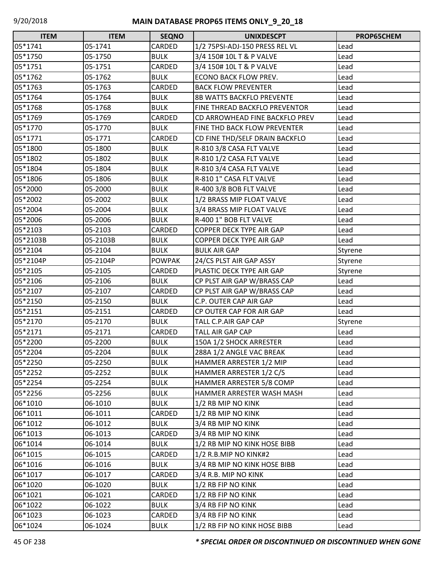| <b>ITEM</b> | <b>ITEM</b> | <b>SEQNO</b>  | <b>UNIXDESCPT</b>                | PROP65CHEM |
|-------------|-------------|---------------|----------------------------------|------------|
| 05*1741     | 05-1741     | CARDED        | 1/2 75PSI-ADJ-150 PRESS REL VL   | Lead       |
| 05*1750     | 05-1750     | <b>BULK</b>   | 3/4 150# 10L T & P VALVE         | Lead       |
| 05*1751     | 05-1751     | CARDED        | 3/4 150# 10L T & P VALVE         | Lead       |
| 05*1762     | 05-1762     | <b>BULK</b>   | <b>ECONO BACK FLOW PREV.</b>     | Lead       |
| 05*1763     | 05-1763     | CARDED        | <b>BACK FLOW PREVENTER</b>       | Lead       |
| 05*1764     | 05-1764     | <b>BULK</b>   | <b>8B WATTS BACKFLO PREVENTE</b> | Lead       |
| 05*1768     | 05-1768     | <b>BULK</b>   | FINE THREAD BACKFLO PREVENTOR    | Lead       |
| 05*1769     | 05-1769     | CARDED        | CD ARROWHEAD FINE BACKFLO PREV   | Lead       |
| 05*1770     | 05-1770     | <b>BULK</b>   | FINE THD BACK FLOW PREVENTER     | Lead       |
| 05*1771     | 05-1771     | CARDED        | CD FINE THD/SELF DRAIN BACKFLO   | Lead       |
| 05*1800     | 05-1800     | <b>BULK</b>   | R-810 3/8 CASA FLT VALVE         | Lead       |
| 05*1802     | 05-1802     | <b>BULK</b>   | R-810 1/2 CASA FLT VALVE         | Lead       |
| 05*1804     | 05-1804     | <b>BULK</b>   | R-810 3/4 CASA FLT VALVE         | Lead       |
| 05*1806     | 05-1806     | <b>BULK</b>   | R-810 1" CASA FLT VALVE          | Lead       |
| 05*2000     | 05-2000     | <b>BULK</b>   | R-400 3/8 BOB FLT VALVE          | Lead       |
| 05*2002     | 05-2002     | <b>BULK</b>   | 1/2 BRASS MIP FLOAT VALVE        | Lead       |
| 05*2004     | 05-2004     | <b>BULK</b>   | 3/4 BRASS MIP FLOAT VALVE        | Lead       |
| 05*2006     | 05-2006     | <b>BULK</b>   | R-400 1" BOB FLT VALVE           | Lead       |
| 05*2103     | 05-2103     | CARDED        | COPPER DECK TYPE AIR GAP         | Lead       |
| 05*2103B    | 05-2103B    | <b>BULK</b>   | COPPER DECK TYPE AIR GAP         | Lead       |
| 05*2104     | 05-2104     | <b>BULK</b>   | <b>BULK AIR GAP</b>              | Styrene    |
| 05*2104P    | 05-2104P    | <b>POWPAK</b> | 24/CS PLST AIR GAP ASSY          | Styrene    |
| 05*2105     | 05-2105     | CARDED        | PLASTIC DECK TYPE AIR GAP        | Styrene    |
| 05*2106     | 05-2106     | <b>BULK</b>   | CP PLST AIR GAP W/BRASS CAP      | Lead       |
| 05*2107     | 05-2107     | CARDED        | CP PLST AIR GAP W/BRASS CAP      | Lead       |
| 05*2150     | 05-2150     | <b>BULK</b>   | C.P. OUTER CAP AIR GAP           | Lead       |
| 05*2151     | 05-2151     | CARDED        | CP OUTER CAP FOR AIR GAP         | Lead       |
| 05*2170     | 05-2170     | <b>BULK</b>   | TALL C.P.AIR GAP CAP             | Styrene    |
| 05*2171     | 05-2171     | CARDED        | <b>TALL AIR GAP CAP</b>          | Lead       |
| 05*2200     | 05-2200     | <b>BULK</b>   | 150A 1/2 SHOCK ARRESTER          | Lead       |
| 05*2204     | 05-2204     | <b>BULK</b>   | 288A 1/2 ANGLE VAC BREAK         | Lead       |
| 05*2250     | 05-2250     | <b>BULK</b>   | HAMMER ARRESTER 1/2 MIP          | Lead       |
| 05*2252     | 05-2252     | <b>BULK</b>   | HAMMER ARRESTER 1/2 C/S          | Lead       |
| 05*2254     | 05-2254     | <b>BULK</b>   | HAMMER ARRESTER 5/8 COMP         | Lead       |
| 05*2256     | 05-2256     | <b>BULK</b>   | HAMMER ARRESTER WASH MASH        | Lead       |
| 06*1010     | 06-1010     | <b>BULK</b>   | 1/2 RB MIP NO KINK               | Lead       |
| 06*1011     | 06-1011     | CARDED        | 1/2 RB MIP NO KINK               | Lead       |
| 06*1012     | 06-1012     | <b>BULK</b>   | 3/4 RB MIP NO KINK               | Lead       |
| 06*1013     | 06-1013     | CARDED        | 3/4 RB MIP NO KINK               | Lead       |
| 06*1014     | 06-1014     | <b>BULK</b>   | 1/2 RB MIP NO KINK HOSE BIBB     | Lead       |
| 06*1015     | 06-1015     | CARDED        | 1/2 R.B.MIP NO KINK#2            | Lead       |
| 06*1016     | 06-1016     | <b>BULK</b>   | 3/4 RB MIP NO KINK HOSE BIBB     | Lead       |
| 06*1017     | 06-1017     | CARDED        | 3/4 R.B. MIP NO KINK             | Lead       |
| 06*1020     | 06-1020     | <b>BULK</b>   | 1/2 RB FIP NO KINK               | Lead       |
| 06*1021     | 06-1021     | CARDED        | 1/2 RB FIP NO KINK               | Lead       |
| 06*1022     | 06-1022     | <b>BULK</b>   | 3/4 RB FIP NO KINK               | Lead       |
| 06*1023     | 06-1023     | CARDED        | 3/4 RB FIP NO KINK               | Lead       |
| 06*1024     | 06-1024     | <b>BULK</b>   | 1/2 RB FIP NO KINK HOSE BIBB     | Lead       |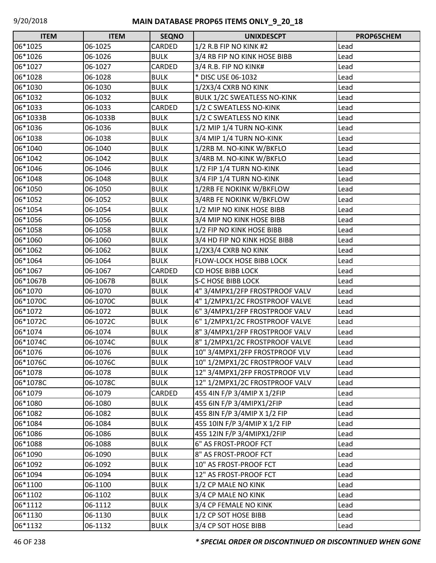| <b>ITEM</b> | <b>ITEM</b> | <b>SEQNO</b> | <b>UNIXDESCPT</b>                  | PROP65CHEM |
|-------------|-------------|--------------|------------------------------------|------------|
| 06*1025     | 06-1025     | CARDED       | 1/2 R.B FIP NO KINK #2             | Lead       |
| 06*1026     | 06-1026     | <b>BULK</b>  | 3/4 RB FIP NO KINK HOSE BIBB       | Lead       |
| 06*1027     | 06-1027     | CARDED       | 3/4 R.B. FIP NO KINK#              | Lead       |
| 06*1028     | 06-1028     | <b>BULK</b>  | * DISC USE 06-1032                 | Lead       |
| 06*1030     | 06-1030     | <b>BULK</b>  | 1/2X3/4 CXRB NO KINK               | Lead       |
| 06*1032     | 06-1032     | <b>BULK</b>  | <b>BULK 1/2C SWEATLESS NO-KINK</b> | Lead       |
| 06*1033     | 06-1033     | CARDED       | 1/2 C SWEATLESS NO-KINK            | Lead       |
| 06*1033B    | 06-1033B    | <b>BULK</b>  | 1/2 C SWEATLESS NO KINK            | Lead       |
| 06*1036     | 06-1036     | <b>BULK</b>  | 1/2 MIP 1/4 TURN NO-KINK           | Lead       |
| 06*1038     | 06-1038     | <b>BULK</b>  | 3/4 MIP 1/4 TURN NO-KINK           | Lead       |
| 06*1040     | 06-1040     | <b>BULK</b>  | 1/2RB M. NO-KINK W/BKFLO           | Lead       |
| 06*1042     | 06-1042     | <b>BULK</b>  | 3/4RB M. NO-KINK W/BKFLO           | Lead       |
| 06*1046     | 06-1046     | <b>BULK</b>  | 1/2 FIP 1/4 TURN NO-KINK           | Lead       |
| 06*1048     | 06-1048     | <b>BULK</b>  | 3/4 FIP 1/4 TURN NO-KINK           | Lead       |
| 06*1050     | 06-1050     | <b>BULK</b>  | 1/2RB FE NOKINK W/BKFLOW           | Lead       |
| 06*1052     | 06-1052     | <b>BULK</b>  | 3/4RB FE NOKINK W/BKFLOW           | Lead       |
| 06*1054     | 06-1054     | <b>BULK</b>  | 1/2 MIP NO KINK HOSE BIBB          | Lead       |
| 06*1056     | 06-1056     | <b>BULK</b>  | 3/4 MIP NO KINK HOSE BIBB          | Lead       |
| 06*1058     | 06-1058     | <b>BULK</b>  | 1/2 FIP NO KINK HOSE BIBB          | Lead       |
| 06*1060     | 06-1060     | <b>BULK</b>  | 3/4 HD FIP NO KINK HOSE BIBB       | Lead       |
| 06*1062     | 06-1062     | <b>BULK</b>  | 1/2X3/4 CXRB NO KINK               | Lead       |
| 06*1064     | 06-1064     | <b>BULK</b>  | <b>FLOW-LOCK HOSE BIBB LOCK</b>    | Lead       |
| 06*1067     | 06-1067     | CARDED       | <b>CD HOSE BIBB LOCK</b>           | Lead       |
| 06*1067B    | 06-1067B    | <b>BULK</b>  | <b>S-C HOSE BIBB LOCK</b>          | Lead       |
| 06*1070     | 06-1070     | <b>BULK</b>  | 4" 3/4MPX1/2FP FROSTPROOF VALV     | Lead       |
| 06*1070C    | 06-1070C    | <b>BULK</b>  | 4" 1/2MPX1/2C FROSTPROOF VALVE     | Lead       |
| 06*1072     | 06-1072     | <b>BULK</b>  | 6" 3/4MPX1/2FP FROSTPROOF VALV     | Lead       |
| 06*1072C    | 06-1072C    | <b>BULK</b>  | 6" 1/2MPX1/2C FROSTPROOF VALVE     | Lead       |
| 06*1074     | 06-1074     | <b>BULK</b>  | 8" 3/4MPX1/2FP FROSTPROOF VALV     | Lead       |
| 06*1074C    | 06-1074C    | <b>BULK</b>  | 8" 1/2MPX1/2C FROSTPROOF VALVE     | Lead       |
| 06*1076     | 06-1076     | <b>BULK</b>  | 10" 3/4MPX1/2FP FROSTPROOF VLV     | Lead       |
| 06*1076C    | 06-1076C    | <b>BULK</b>  | 10" 1/2MPX1/2C FROSTPROOF VALV     | Lead       |
| 06*1078     | 06-1078     | <b>BULK</b>  | 12" 3/4MPX1/2FP FROSTPROOF VLV     | Lead       |
| 06*1078C    | 06-1078C    | <b>BULK</b>  | 12" 1/2MPX1/2C FROSTPROOF VALV     | Lead       |
| 06*1079     | 06-1079     | CARDED       | 455 4IN F/P 3/4MIP X 1/2FIP        | Lead       |
| 06*1080     | 06-1080     | <b>BULK</b>  | 455 6IN F/P 3/4MIPX1/2FIP          | Lead       |
| 06*1082     | 06-1082     | <b>BULK</b>  | 455 8IN F/P 3/4MIP X 1/2 FIP       | Lead       |
| 06*1084     | 06-1084     | <b>BULK</b>  | 455 10IN F/P 3/4MIP X 1/2 FIP      | Lead       |
| 06*1086     | 06-1086     | <b>BULK</b>  | 455 12IN F/P 3/4MIPX1/2FIP         | Lead       |
| 06*1088     | 06-1088     | <b>BULK</b>  | 6" AS FROST-PROOF FCT              | Lead       |
| 06*1090     | 06-1090     | <b>BULK</b>  | 8" AS FROST-PROOF FCT              | Lead       |
| 06*1092     | 06-1092     | <b>BULK</b>  | 10" AS FROST-PROOF FCT             | Lead       |
| 06*1094     | 06-1094     | <b>BULK</b>  | 12" AS FROST-PROOF FCT             | Lead       |
| 06*1100     | 06-1100     | <b>BULK</b>  | 1/2 CP MALE NO KINK                | Lead       |
| 06*1102     | 06-1102     | <b>BULK</b>  | 3/4 CP MALE NO KINK                | Lead       |
| 06*1112     | 06-1112     | <b>BULK</b>  | 3/4 CP FEMALE NO KINK              | Lead       |
| 06*1130     | 06-1130     | <b>BULK</b>  | 1/2 CP SOT HOSE BIBB               | Lead       |
| 06*1132     | 06-1132     | <b>BULK</b>  | 3/4 CP SOT HOSE BIBB               | Lead       |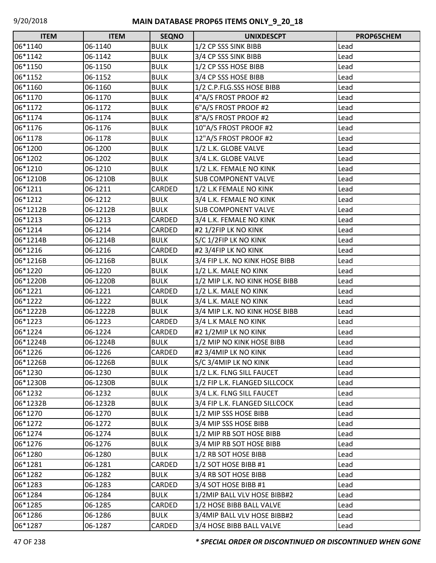| <b>ITEM</b> | <b>ITEM</b> | <b>SEQNO</b> | <b>UNIXDESCPT</b>              | PROP65CHEM |
|-------------|-------------|--------------|--------------------------------|------------|
| 06*1140     | 06-1140     | <b>BULK</b>  | 1/2 CP SSS SINK BIBB           | Lead       |
| 06*1142     | 06-1142     | <b>BULK</b>  | 3/4 CP SSS SINK BIBB           | Lead       |
| 06*1150     | 06-1150     | <b>BULK</b>  | 1/2 CP SSS HOSE BIBB           | Lead       |
| 06*1152     | 06-1152     | <b>BULK</b>  | 3/4 CP SSS HOSE BIBB           | Lead       |
| 06*1160     | 06-1160     | <b>BULK</b>  | 1/2 C.P.FLG.SSS HOSE BIBB      | Lead       |
| 06*1170     | 06-1170     | <b>BULK</b>  | 4"A/S FROST PROOF #2           | Lead       |
| 06*1172     | 06-1172     | <b>BULK</b>  | 6"A/S FROST PROOF #2           | Lead       |
| 06*1174     | 06-1174     | <b>BULK</b>  | 8"A/S FROST PROOF #2           | Lead       |
| 06*1176     | 06-1176     | <b>BULK</b>  | 10"A/S FROST PROOF #2          | Lead       |
| 06*1178     | 06-1178     | <b>BULK</b>  | 12"A/S FROST PROOF #2          | Lead       |
| 06*1200     | 06-1200     | <b>BULK</b>  | 1/2 L.K. GLOBE VALVE           | Lead       |
| 06*1202     | 06-1202     | <b>BULK</b>  | 3/4 L.K. GLOBE VALVE           | Lead       |
| 06*1210     | 06-1210     | <b>BULK</b>  | 1/2 L.K. FEMALE NO KINK        | Lead       |
| 06*1210B    | 06-1210B    | <b>BULK</b>  | <b>SUB COMPONENT VALVE</b>     | Lead       |
| 06*1211     | 06-1211     | CARDED       | 1/2 L.K FEMALE NO KINK         | Lead       |
| 06*1212     | 06-1212     | <b>BULK</b>  | 3/4 L.K. FEMALE NO KINK        | Lead       |
| 06*1212B    | 06-1212B    | <b>BULK</b>  | <b>SUB COMPONENT VALVE</b>     | Lead       |
| 06*1213     | 06-1213     | CARDED       | 3/4 L.K. FEMALE NO KINK        | Lead       |
| 06*1214     | 06-1214     | CARDED       | #2 1/2FIP LK NO KINK           | Lead       |
| 06*1214B    | 06-1214B    | <b>BULK</b>  | S/C 1/2FIP LK NO KINK          | Lead       |
| 06*1216     | 06-1216     | CARDED       | #2 3/4FIP LK NO KINK           | Lead       |
| 06*1216B    | 06-1216B    | <b>BULK</b>  | 3/4 FIP L.K. NO KINK HOSE BIBB | Lead       |
| 06*1220     | 06-1220     | <b>BULK</b>  | 1/2 L.K. MALE NO KINK          | Lead       |
| 06*1220B    | 06-1220B    | <b>BULK</b>  | 1/2 MIP L.K. NO KINK HOSE BIBB | Lead       |
| 06*1221     | 06-1221     | CARDED       | 1/2 L.K. MALE NO KINK          | Lead       |
| 06*1222     | 06-1222     | <b>BULK</b>  | 3/4 L.K. MALE NO KINK          | Lead       |
| 06*1222B    | 06-1222B    | <b>BULK</b>  | 3/4 MIP L.K. NO KINK HOSE BIBB | Lead       |
| 06*1223     | 06-1223     | CARDED       | 3/4 L.K MALE NO KINK           | Lead       |
| 06*1224     | 06-1224     | CARDED       | #2 1/2MIP LK NO KINK           | Lead       |
| 06*1224B    | 06-1224B    | <b>BULK</b>  | 1/2 MIP NO KINK HOSE BIBB      | Lead       |
| 06*1226     | 06-1226     | CARDED       | #2 3/4MIP LK NO KINK           | Lead       |
| 06*1226B    | 06-1226B    | <b>BULK</b>  | S/C 3/4MIP LK NO KINK          | Lead       |
| 06*1230     | 06-1230     | <b>BULK</b>  | 1/2 L.K. FLNG SILL FAUCET      | Lead       |
| 06*1230B    | 06-1230B    | <b>BULK</b>  | 1/2 FIP L.K. FLANGED SILLCOCK  | Lead       |
| 06*1232     | 06-1232     | <b>BULK</b>  | 3/4 L.K. FLNG SILL FAUCET      | Lead       |
| 06*1232B    | 06-1232B    | <b>BULK</b>  | 3/4 FIP L.K. FLANGED SILLCOCK  | Lead       |
| 06*1270     | 06-1270     | <b>BULK</b>  | 1/2 MIP SSS HOSE BIBB          | Lead       |
| 06*1272     | 06-1272     | <b>BULK</b>  | 3/4 MIP SSS HOSE BIBB          | Lead       |
| 06*1274     | 06-1274     | <b>BULK</b>  | 1/2 MIP RB SOT HOSE BIBB       | Lead       |
| 06*1276     | 06-1276     | <b>BULK</b>  | 3/4 MIP RB SOT HOSE BIBB       | Lead       |
| 06*1280     | 06-1280     | <b>BULK</b>  | 1/2 RB SOT HOSE BIBB           | Lead       |
| 06*1281     | 06-1281     | CARDED       | 1/2 SOT HOSE BIBB #1           | Lead       |
| 06*1282     | 06-1282     | <b>BULK</b>  | 3/4 RB SOT HOSE BIBB           | Lead       |
| 06*1283     | 06-1283     | CARDED       | 3/4 SOT HOSE BIBB #1           | Lead       |
| 06*1284     | 06-1284     | <b>BULK</b>  | 1/2MIP BALL VLV HOSE BIBB#2    | Lead       |
| 06*1285     | 06-1285     | CARDED       | 1/2 HOSE BIBB BALL VALVE       | Lead       |
| 06*1286     | 06-1286     | <b>BULK</b>  | 3/4MIP BALL VLV HOSE BIBB#2    | Lead       |
| 06*1287     | 06-1287     | CARDED       | 3/4 HOSE BIBB BALL VALVE       | Lead       |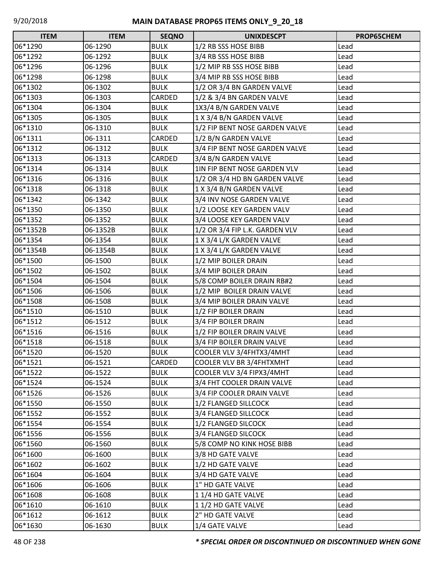| <b>ITEM</b> | <b>ITEM</b> | <b>SEQNO</b> | <b>UNIXDESCPT</b>              | PROP65CHEM |
|-------------|-------------|--------------|--------------------------------|------------|
| 06*1290     | 06-1290     | <b>BULK</b>  | 1/2 RB SSS HOSE BIBB           | Lead       |
| 06*1292     | 06-1292     | <b>BULK</b>  | 3/4 RB SSS HOSE BIBB           | Lead       |
| 06*1296     | 06-1296     | <b>BULK</b>  | 1/2 MIP RB SSS HOSE BIBB       | Lead       |
| 06*1298     | 06-1298     | <b>BULK</b>  | 3/4 MIP RB SSS HOSE BIBB       | Lead       |
| 06*1302     | 06-1302     | <b>BULK</b>  | 1/2 OR 3/4 BN GARDEN VALVE     | Lead       |
| 06*1303     | 06-1303     | CARDED       | 1/2 & 3/4 BN GARDEN VALVE      | Lead       |
| 06*1304     | 06-1304     | <b>BULK</b>  | 1X3/4 B/N GARDEN VALVE         | Lead       |
| 06*1305     | 06-1305     | <b>BULK</b>  | 1 X 3/4 B/N GARDEN VALVE       | Lead       |
| 06*1310     | 06-1310     | <b>BULK</b>  | 1/2 FIP BENT NOSE GARDEN VALVE | Lead       |
| 06*1311     | 06-1311     | CARDED       | 1/2 B/N GARDEN VALVE           | Lead       |
| 06*1312     | 06-1312     | <b>BULK</b>  | 3/4 FIP BENT NOSE GARDEN VALVE | Lead       |
| 06*1313     | 06-1313     | CARDED       | 3/4 B/N GARDEN VALVE           | Lead       |
| 06*1314     | 06-1314     | <b>BULK</b>  | 1IN FIP BENT NOSE GARDEN VLV   | Lead       |
| 06*1316     | 06-1316     | <b>BULK</b>  | 1/2 OR 3/4 HD BN GARDEN VALVE  | Lead       |
| 06*1318     | 06-1318     | <b>BULK</b>  | 1 X 3/4 B/N GARDEN VALVE       | Lead       |
| 06*1342     | 06-1342     | <b>BULK</b>  | 3/4 INV NOSE GARDEN VALVE      | Lead       |
| 06*1350     | 06-1350     | <b>BULK</b>  | 1/2 LOOSE KEY GARDEN VALV      | Lead       |
| 06*1352     | 06-1352     | <b>BULK</b>  | 3/4 LOOSE KEY GARDEN VALV      | Lead       |
| 06*1352B    | 06-1352B    | <b>BULK</b>  | 1/2 OR 3/4 FIP L.K. GARDEN VLV | Lead       |
| 06*1354     | 06-1354     | <b>BULK</b>  | 1 X 3/4 L/K GARDEN VALVE       | Lead       |
| 06*1354B    | 06-1354B    | <b>BULK</b>  | 1 X 3/4 L/K GARDEN VALVE       | Lead       |
| 06*1500     | 06-1500     | <b>BULK</b>  | 1/2 MIP BOILER DRAIN           | Lead       |
| 06*1502     | 06-1502     | <b>BULK</b>  | 3/4 MIP BOILER DRAIN           | Lead       |
| 06*1504     | 06-1504     | <b>BULK</b>  | 5/8 COMP BOILER DRAIN RB#2     | Lead       |
| 06*1506     | 06-1506     | <b>BULK</b>  | 1/2 MIP BOILER DRAIN VALVE     | Lead       |
| 06*1508     | 06-1508     | <b>BULK</b>  | 3/4 MIP BOILER DRAIN VALVE     | Lead       |
| 06*1510     | 06-1510     | <b>BULK</b>  | 1/2 FIP BOILER DRAIN           | Lead       |
| 06*1512     | 06-1512     | <b>BULK</b>  | 3/4 FIP BOILER DRAIN           | Lead       |
| 06*1516     | 06-1516     | <b>BULK</b>  | 1/2 FIP BOILER DRAIN VALVE     | Lead       |
| 06*1518     | 06-1518     | <b>BULK</b>  | 3/4 FIP BOILER DRAIN VALVE     | Lead       |
| 06*1520     | 06-1520     | <b>BULK</b>  | COOLER VLV 3/4FHTX3/4MHT       | Lead       |
| 06*1521     | 06-1521     | CARDED       | COOLER VLV BR 3/4FHTXMHT       | Lead       |
| 06*1522     | 06-1522     | <b>BULK</b>  | COOLER VLV 3/4 FIPX3/4MHT      | Lead       |
| 06*1524     | 06-1524     | <b>BULK</b>  | 3/4 FHT COOLER DRAIN VALVE     | Lead       |
| 06*1526     | 06-1526     | <b>BULK</b>  | 3/4 FIP COOLER DRAIN VALVE     | Lead       |
| 06*1550     | 06-1550     | <b>BULK</b>  | 1/2 FLANGED SILLCOCK           | Lead       |
| 06*1552     | 06-1552     | <b>BULK</b>  | 3/4 FLANGED SILLCOCK           | Lead       |
| 06*1554     | 06-1554     | <b>BULK</b>  | 1/2 FLANGED SILCOCK            | Lead       |
| 06*1556     | 06-1556     | <b>BULK</b>  | 3/4 FLANGED SILCOCK            | Lead       |
| 06*1560     | 06-1560     | <b>BULK</b>  | 5/8 COMP NO KINK HOSE BIBB     | Lead       |
| 06*1600     | 06-1600     | <b>BULK</b>  | 3/8 HD GATE VALVE              | Lead       |
| 06*1602     | 06-1602     | <b>BULK</b>  | 1/2 HD GATE VALVE              | Lead       |
| 06*1604     | 06-1604     | <b>BULK</b>  | 3/4 HD GATE VALVE              | Lead       |
| 06*1606     | 06-1606     | <b>BULK</b>  | 1" HD GATE VALVE               | Lead       |
| 06*1608     | 06-1608     | <b>BULK</b>  | 1 1/4 HD GATE VALVE            | Lead       |
| 06*1610     | 06-1610     | <b>BULK</b>  | 1 1/2 HD GATE VALVE            | Lead       |
| 06*1612     | 06-1612     | <b>BULK</b>  | 2" HD GATE VALVE               | Lead       |
| 06*1630     | 06-1630     | <b>BULK</b>  | 1/4 GATE VALVE                 | Lead       |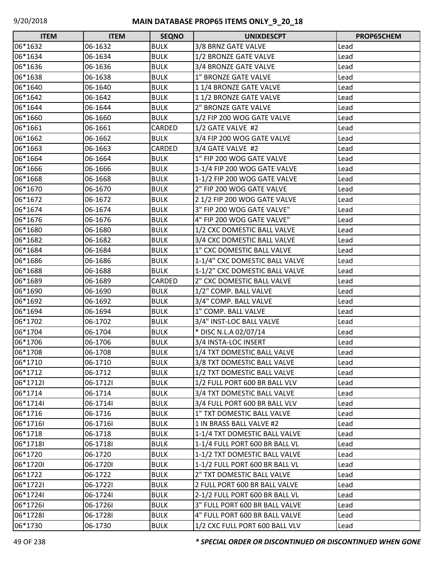| <b>ITEM</b> | <b>ITEM</b> | <b>SEQNO</b> | <b>UNIXDESCPT</b>              | PROP65CHEM |
|-------------|-------------|--------------|--------------------------------|------------|
| 06*1632     | 06-1632     | <b>BULK</b>  | 3/8 BRNZ GATE VALVE            | Lead       |
| 06*1634     | 06-1634     | <b>BULK</b>  | 1/2 BRONZE GATE VALVE          | Lead       |
| 06*1636     | 06-1636     | <b>BULK</b>  | 3/4 BRONZE GATE VALVE          | Lead       |
| 06*1638     | 06-1638     | <b>BULK</b>  | 1" BRONZE GATE VALVE           | Lead       |
| 06*1640     | 06-1640     | <b>BULK</b>  | 11/4 BRONZE GATE VALVE         | Lead       |
| 06*1642     | 06-1642     | <b>BULK</b>  | 11/2 BRONZE GATE VALVE         | Lead       |
| 06*1644     | 06-1644     | <b>BULK</b>  | 2" BRONZE GATE VALVE           | Lead       |
| 06*1660     | 06-1660     | <b>BULK</b>  | 1/2 FIP 200 WOG GATE VALVE     | Lead       |
| 06*1661     | 06-1661     | CARDED       | 1/2 GATE VALVE #2              | Lead       |
| 06*1662     | 06-1662     | <b>BULK</b>  | 3/4 FIP 200 WOG GATE VALVE     | Lead       |
| 06*1663     | 06-1663     | CARDED       | 3/4 GATE VALVE #2              | Lead       |
| 06*1664     | 06-1664     | <b>BULK</b>  | 1" FIP 200 WOG GATE VALVE      | Lead       |
| 06*1666     | 06-1666     | <b>BULK</b>  | 1-1/4 FIP 200 WOG GATE VALVE   | Lead       |
| 06*1668     | 06-1668     | <b>BULK</b>  | 1-1/2 FIP 200 WOG GATE VALVE   | Lead       |
| 06*1670     | 06-1670     | <b>BULK</b>  | 2" FIP 200 WOG GATE VALVE      | Lead       |
| 06*1672     | 06-1672     | <b>BULK</b>  | 2 1/2 FIP 200 WOG GATE VALVE   | Lead       |
| 06*1674     | 06-1674     | <b>BULK</b>  | 3" FIP 200 WOG GATE VALVE"     | Lead       |
| 06*1676     | 06-1676     | <b>BULK</b>  | 4" FIP 200 WOG GATE VALVE"     | Lead       |
| 06*1680     | 06-1680     | <b>BULK</b>  | 1/2 CXC DOMESTIC BALL VALVE    | Lead       |
| 06*1682     | 06-1682     | <b>BULK</b>  | 3/4 CXC DOMESTIC BALL VALVE    | Lead       |
| 06*1684     | 06-1684     | <b>BULK</b>  | 1" CXC DOMESTIC BALL VALVE     | Lead       |
| 06*1686     | 06-1686     | <b>BULK</b>  | 1-1/4" CXC DOMESTIC BALL VALVE | Lead       |
| 06*1688     | 06-1688     | <b>BULK</b>  | 1-1/2" CXC DOMESTIC BALL VALVE | Lead       |
| 06*1689     | 06-1689     | CARDED       | 2" CXC DOMESTIC BALL VALVE     | Lead       |
| 06*1690     | 06-1690     | <b>BULK</b>  | 1/2" COMP. BALL VALVE          | Lead       |
| 06*1692     | 06-1692     | <b>BULK</b>  | 3/4" COMP. BALL VALVE          | Lead       |
| 06*1694     | 06-1694     | <b>BULK</b>  | 1" COMP. BALL VALVE            | Lead       |
| 06*1702     | 06-1702     | <b>BULK</b>  | 3/4" INST-LOC BALL VALVE       | Lead       |
| 06*1704     | 06-1704     | <b>BULK</b>  | * DISC N.L.A 02/07/14          | Lead       |
| 06*1706     | 06-1706     | <b>BULK</b>  | 3/4 INSTA-LOC INSERT           | Lead       |
| 06*1708     | 06-1708     | <b>BULK</b>  | 1/4 TXT DOMESTIC BALL VALVE    | Lead       |
| 06*1710     | 06-1710     | <b>BULK</b>  | 3/8 TXT DOMESTIC BALL VALVE    | Lead       |
| 06*1712     | 06-1712     | <b>BULK</b>  | 1/2 TXT DOMESTIC BALL VALVE    | Lead       |
| 06*17121    | 06-17121    | <b>BULK</b>  | 1/2 FULL PORT 600 BR BALL VLV  | Lead       |
| 06*1714     | 06-1714     | <b>BULK</b>  | 3/4 TXT DOMESTIC BALL VALVE    | Lead       |
| 06*17141    | 06-17141    | <b>BULK</b>  | 3/4 FULL PORT 600 BR BALL VLV  | Lead       |
| 06*1716     | 06-1716     | <b>BULK</b>  | 1" TXT DOMESTIC BALL VALVE     | Lead       |
| 06*1716I    | 06-1716     | <b>BULK</b>  | 1 IN BRASS BALL VALVE #2       | Lead       |
| 06*1718     | 06-1718     | <b>BULK</b>  | 1-1/4 TXT DOMESTIC BALL VALVE  | Lead       |
| 06*1718I    | 06-17181    | <b>BULK</b>  | 1-1/4 FULL PORT 600 BR BALL VL | Lead       |
| 06*1720     | 06-1720     | <b>BULK</b>  | 1-1/2 TXT DOMESTIC BALL VALVE  | Lead       |
| 06*1720I    | 06-17201    | <b>BULK</b>  | 1-1/2 FULL PORT 600 BR BALL VL | Lead       |
| 06*1722     | 06-1722     | <b>BULK</b>  | 2" TXT DOMESTIC BALL VALVE     | Lead       |
| 06*17221    | 06-17221    | <b>BULK</b>  | 2 FULL PORT 600 BR BALL VALVE  | Lead       |
| 06*17241    | 06-17241    | <b>BULK</b>  | 2-1/2 FULL PORT 600 BR BALL VL | Lead       |
| 06*17261    | 06-17261    | <b>BULK</b>  | 3" FULL PORT 600 BR BALL VALVE | Lead       |
| 06*1728I    | 06-17281    | <b>BULK</b>  | 4" FULL PORT 600 BR BALL VALVE | Lead       |
| 06*1730     | 06-1730     | <b>BULK</b>  | 1/2 CXC FULL PORT 600 BALL VLV | Lead       |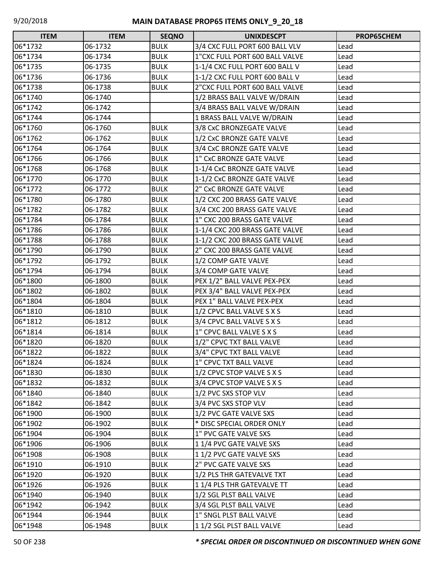| <b>ITEM</b> | <b>ITEM</b> | <b>SEQNO</b> | <b>UNIXDESCPT</b>              | PROP65CHEM |
|-------------|-------------|--------------|--------------------------------|------------|
| 06*1732     | 06-1732     | <b>BULK</b>  | 3/4 CXC FULL PORT 600 BALL VLV | Lead       |
| 06*1734     | 06-1734     | <b>BULK</b>  | 1"CXC FULL PORT 600 BALL VALVE | Lead       |
| 06*1735     | 06-1735     | <b>BULK</b>  | 1-1/4 CXC FULL PORT 600 BALL V | Lead       |
| 06*1736     | 06-1736     | <b>BULK</b>  | 1-1/2 CXC FULL PORT 600 BALL V | Lead       |
| 06*1738     | 06-1738     | <b>BULK</b>  | 2"CXC FULL PORT 600 BALL VALVE | Lead       |
| 06*1740     | 06-1740     |              | 1/2 BRASS BALL VALVE W/DRAIN   | Lead       |
| 06*1742     | 06-1742     |              | 3/4 BRASS BALL VALVE W/DRAIN   | Lead       |
| 06*1744     | 06-1744     |              | 1 BRASS BALL VALVE W/DRAIN     | Lead       |
| 06*1760     | 06-1760     | <b>BULK</b>  | 3/8 CxC BRONZEGATE VALVE       | Lead       |
| 06*1762     | 06-1762     | <b>BULK</b>  | 1/2 CxC BRONZE GATE VALVE      | Lead       |
| 06*1764     | 06-1764     | <b>BULK</b>  | 3/4 CxC BRONZE GATE VALVE      | Lead       |
| 06*1766     | 06-1766     | <b>BULK</b>  | 1" CxC BRONZE GATE VALVE       | Lead       |
| 06*1768     | 06-1768     | <b>BULK</b>  | 1-1/4 CxC BRONZE GATE VALVE    | Lead       |
| 06*1770     | 06-1770     | <b>BULK</b>  | 1-1/2 CxC BRONZE GATE VALVE    | Lead       |
| 06*1772     | 06-1772     | <b>BULK</b>  | 2" CxC BRONZE GATE VALVE       | Lead       |
| 06*1780     | 06-1780     | <b>BULK</b>  | 1/2 CXC 200 BRASS GATE VALVE   | Lead       |
| 06*1782     | 06-1782     | <b>BULK</b>  | 3/4 CXC 200 BRASS GATE VALVE   | Lead       |
| 06*1784     | 06-1784     | <b>BULK</b>  | 1" CXC 200 BRASS GATE VALVE    | Lead       |
| 06*1786     | 06-1786     | <b>BULK</b>  | 1-1/4 CXC 200 BRASS GATE VALVE | Lead       |
| 06*1788     | 06-1788     | <b>BULK</b>  | 1-1/2 CXC 200 BRASS GATE VALVE | Lead       |
| 06*1790     | 06-1790     | <b>BULK</b>  | 2" CXC 200 BRASS GATE VALVE    | Lead       |
| 06*1792     | 06-1792     | <b>BULK</b>  | 1/2 COMP GATE VALVE            | Lead       |
| 06*1794     | 06-1794     | <b>BULK</b>  | 3/4 COMP GATE VALVE            | Lead       |
| 06*1800     | 06-1800     | <b>BULK</b>  | PEX 1/2" BALL VALVE PEX-PEX    | Lead       |
| 06*1802     | 06-1802     | <b>BULK</b>  | PEX 3/4" BALL VALVE PEX-PEX    | Lead       |
| 06*1804     | 06-1804     | <b>BULK</b>  | PEX 1" BALL VALVE PEX-PEX      | Lead       |
| 06*1810     | 06-1810     | <b>BULK</b>  | 1/2 CPVC BALL VALVE S X S      | Lead       |
| 06*1812     | 06-1812     | <b>BULK</b>  | 3/4 CPVC BALL VALVE S X S      | Lead       |
| 06*1814     | 06-1814     | <b>BULK</b>  | 1" CPVC BALL VALVE S X S       | Lead       |
| 06*1820     | 06-1820     | <b>BULK</b>  | 1/2" CPVC TXT BALL VALVE       | Lead       |
| 06*1822     | 06-1822     | <b>BULK</b>  | 3/4" CPVC TXT BALL VALVE       | Lead       |
| 06*1824     | 06-1824     | <b>BULK</b>  | 1" CPVC TXT BALL VALVE         | Lead       |
| 06*1830     | 06-1830     | <b>BULK</b>  | 1/2 CPVC STOP VALVE S X S      | Lead       |
| 06*1832     | 06-1832     | <b>BULK</b>  | 3/4 CPVC STOP VALVE S X S      | Lead       |
| 06*1840     | 06-1840     | <b>BULK</b>  | 1/2 PVC SXS STOP VLV           | Lead       |
| 06*1842     | 06-1842     | <b>BULK</b>  | 3/4 PVC SXS STOP VLV           | Lead       |
| 06*1900     | 06-1900     | <b>BULK</b>  | 1/2 PVC GATE VALVE SXS         | Lead       |
| 06*1902     | 06-1902     | <b>BULK</b>  | * DISC SPECIAL ORDER ONLY      | Lead       |
| 06*1904     | 06-1904     | <b>BULK</b>  | 1" PVC GATE VALVE SXS          | Lead       |
| 06*1906     | 06-1906     | <b>BULK</b>  | 1 1/4 PVC GATE VALVE SXS       | Lead       |
| 06*1908     | 06-1908     | <b>BULK</b>  | 11/2 PVC GATE VALVE SXS        | Lead       |
| 06*1910     | 06-1910     | <b>BULK</b>  | 2" PVC GATE VALVE SXS          | Lead       |
| 06*1920     | 06-1920     | <b>BULK</b>  | 1/2 PLS THR GATEVALVE TXT      | Lead       |
| 06*1926     | 06-1926     | <b>BULK</b>  | 11/4 PLS THR GATEVALVE TT      | Lead       |
| 06*1940     | 06-1940     | <b>BULK</b>  | 1/2 SGL PLST BALL VALVE        | Lead       |
| 06*1942     | 06-1942     | <b>BULK</b>  | 3/4 SGL PLST BALL VALVE        | Lead       |
| 06*1944     | 06-1944     | <b>BULK</b>  | 1" SNGL PLST BALL VALVE        | Lead       |
| 06*1948     | 06-1948     | <b>BULK</b>  | 11/2 SGL PLST BALL VALVE       | Lead       |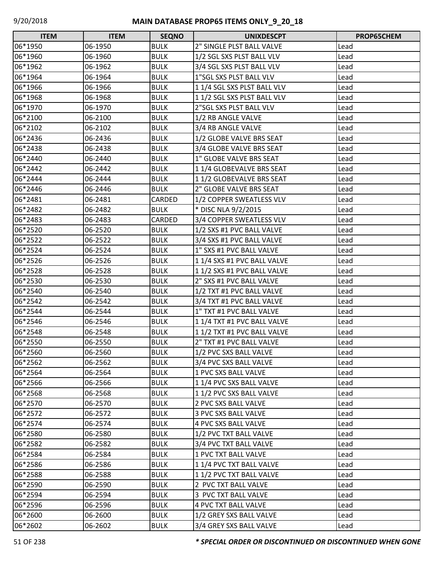| <b>ITEM</b> | <b>ITEM</b> | <b>SEQNO</b> | <b>UNIXDESCPT</b>           | <b>PROP65CHEM</b> |
|-------------|-------------|--------------|-----------------------------|-------------------|
| 06*1950     | 06-1950     | <b>BULK</b>  | 2" SINGLE PLST BALL VALVE   | Lead              |
| 06*1960     | 06-1960     | <b>BULK</b>  | 1/2 SGL SXS PLST BALL VLV   | Lead              |
| 06*1962     | 06-1962     | <b>BULK</b>  | 3/4 SGL SXS PLST BALL VLV   | Lead              |
| 06*1964     | 06-1964     | <b>BULK</b>  | 1"SGL SXS PLST BALL VLV     | Lead              |
| 06*1966     | 06-1966     | <b>BULK</b>  | 11/4 SGL SXS PLST BALL VLV  | Lead              |
| 06*1968     | 06-1968     | <b>BULK</b>  | 11/2 SGL SXS PLST BALL VLV  | Lead              |
| 06*1970     | 06-1970     | <b>BULK</b>  | 2"SGL SXS PLST BALL VLV     | Lead              |
| 06*2100     | 06-2100     | <b>BULK</b>  | 1/2 RB ANGLE VALVE          | Lead              |
| 06*2102     | 06-2102     | <b>BULK</b>  | 3/4 RB ANGLE VALVE          | Lead              |
| 06*2436     | 06-2436     | <b>BULK</b>  | 1/2 GLOBE VALVE BRS SEAT    | Lead              |
| 06*2438     | 06-2438     | <b>BULK</b>  | 3/4 GLOBE VALVE BRS SEAT    | Lead              |
| 06*2440     | 06-2440     | <b>BULK</b>  | 1" GLOBE VALVE BRS SEAT     | Lead              |
| 06*2442     | 06-2442     | <b>BULK</b>  | 11/4 GLOBEVALVE BRS SEAT    | Lead              |
| 06*2444     | 06-2444     | <b>BULK</b>  | 11/2 GLOBEVALVE BRS SEAT    | Lead              |
| 06*2446     | 06-2446     | <b>BULK</b>  | 2" GLOBE VALVE BRS SEAT     | Lead              |
| 06*2481     | 06-2481     | CARDED       | 1/2 COPPER SWEATLESS VLV    | Lead              |
| 06*2482     | 06-2482     | <b>BULK</b>  | * DISC NLA 9/2/2015         | Lead              |
| 06*2483     | 06-2483     | CARDED       | 3/4 COPPER SWEATLESS VLV    | Lead              |
| 06*2520     | 06-2520     | <b>BULK</b>  | 1/2 SXS #1 PVC BALL VALVE   | Lead              |
| 06*2522     | 06-2522     | <b>BULK</b>  | 3/4 SXS #1 PVC BALL VALVE   | Lead              |
| 06*2524     | 06-2524     | <b>BULK</b>  | 1" SXS #1 PVC BALL VALVE    | Lead              |
| 06*2526     | 06-2526     | <b>BULK</b>  | 1 1/4 SXS #1 PVC BALL VALVE | Lead              |
| 06*2528     | 06-2528     | <b>BULK</b>  | 1 1/2 SXS #1 PVC BALL VALVE | Lead              |
| 06*2530     | 06-2530     | <b>BULK</b>  | 2" SXS #1 PVC BALL VALVE    | Lead              |
| 06*2540     | 06-2540     | <b>BULK</b>  | 1/2 TXT #1 PVC BALL VALVE   | Lead              |
| 06*2542     | 06-2542     | <b>BULK</b>  | 3/4 TXT #1 PVC BALL VALVE   | Lead              |
| 06*2544     | 06-2544     | <b>BULK</b>  | 1" TXT #1 PVC BALL VALVE    | Lead              |
| 06*2546     | 06-2546     | <b>BULK</b>  | 1 1/4 TXT #1 PVC BALL VALVE | Lead              |
| 06*2548     | 06-2548     | <b>BULK</b>  | 1 1/2 TXT #1 PVC BALL VALVE | Lead              |
| 06*2550     | 06-2550     | <b>BULK</b>  | 2" TXT #1 PVC BALL VALVE    | Lead              |
| 06*2560     | 06-2560     | <b>BULK</b>  | 1/2 PVC SXS BALL VALVE      | Lead              |
| 06*2562     | 06-2562     | <b>BULK</b>  | 3/4 PVC SXS BALL VALVE      | Lead              |
| 06*2564     | 06-2564     | <b>BULK</b>  | 1 PVC SXS BALL VALVE        | Lead              |
| 06*2566     | 06-2566     | <b>BULK</b>  | 11/4 PVC SXS BALL VALVE     | Lead              |
| 06*2568     | 06-2568     | <b>BULK</b>  | 11/2 PVC SXS BALL VALVE     | Lead              |
| 06*2570     | 06-2570     | <b>BULK</b>  | 2 PVC SXS BALL VALVE        | Lead              |
| 06*2572     | 06-2572     | <b>BULK</b>  | 3 PVC SXS BALL VALVE        | Lead              |
| 06*2574     | 06-2574     | <b>BULK</b>  | 4 PVC SXS BALL VALVE        | Lead              |
| 06*2580     | 06-2580     | <b>BULK</b>  | 1/2 PVC TXT BALL VALVE      | Lead              |
| 06*2582     | 06-2582     | <b>BULK</b>  | 3/4 PVC TXT BALL VALVE      | Lead              |
| 06*2584     | 06-2584     | <b>BULK</b>  | 1 PVC TXT BALL VALVE        | Lead              |
| 06*2586     | 06-2586     | <b>BULK</b>  | 11/4 PVC TXT BALL VALVE     | Lead              |
| 06*2588     | 06-2588     | <b>BULK</b>  | 11/2 PVC TXT BALL VALVE     | Lead              |
| 06*2590     | 06-2590     | <b>BULK</b>  | 2 PVC TXT BALL VALVE        | Lead              |
| 06*2594     | 06-2594     | <b>BULK</b>  | 3 PVC TXT BALL VALVE        | Lead              |
| 06*2596     | 06-2596     | <b>BULK</b>  | <b>4 PVC TXT BALL VALVE</b> | Lead              |
| 06*2600     | 06-2600     | <b>BULK</b>  | 1/2 GREY SXS BALL VALVE     | Lead              |
| 06*2602     | 06-2602     | <b>BULK</b>  | 3/4 GREY SXS BALL VALVE     | Lead              |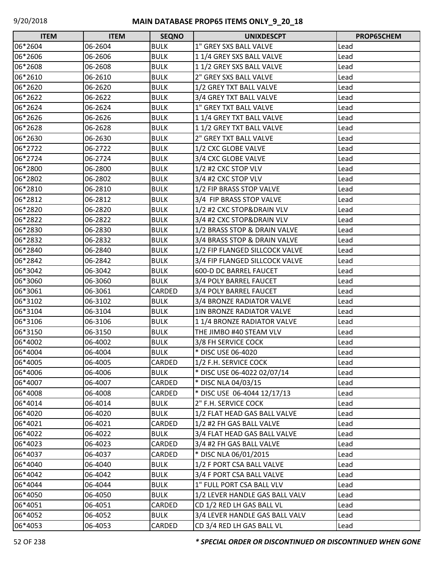| <b>ITEM</b> | <b>ITEM</b> | <b>SEQNO</b> | <b>UNIXDESCPT</b>                | PROP65CHEM |
|-------------|-------------|--------------|----------------------------------|------------|
| 06*2604     | 06-2604     | <b>BULK</b>  | 1" GREY SXS BALL VALVE           | Lead       |
| 06*2606     | 06-2606     | <b>BULK</b>  | 11/4 GREY SXS BALL VALVE         | Lead       |
| 06*2608     | 06-2608     | <b>BULK</b>  | 1 1/2 GREY SXS BALL VALVE        | Lead       |
| 06*2610     | 06-2610     | <b>BULK</b>  | 2" GREY SXS BALL VALVE           | Lead       |
| 06*2620     | 06-2620     | <b>BULK</b>  | 1/2 GREY TXT BALL VALVE          | Lead       |
| 06*2622     | 06-2622     | <b>BULK</b>  | 3/4 GREY TXT BALL VALVE          | Lead       |
| 06*2624     | 06-2624     | <b>BULK</b>  | 1" GREY TXT BALL VALVE           | Lead       |
| 06*2626     | 06-2626     | <b>BULK</b>  | 11/4 GREY TXT BALL VALVE         | Lead       |
| 06*2628     | 06-2628     | <b>BULK</b>  | 11/2 GREY TXT BALL VALVE         | Lead       |
| 06*2630     | 06-2630     | <b>BULK</b>  | 2" GREY TXT BALL VALVE           | Lead       |
| 06*2722     | 06-2722     | <b>BULK</b>  | 1/2 CXC GLOBE VALVE              | Lead       |
| 06*2724     | 06-2724     | <b>BULK</b>  | 3/4 CXC GLOBE VALVE              | Lead       |
| 06*2800     | 06-2800     | <b>BULK</b>  | 1/2 #2 CXC STOP VLV              | Lead       |
| 06*2802     | 06-2802     | <b>BULK</b>  | 3/4 #2 CXC STOP VLV              | Lead       |
| 06*2810     | 06-2810     | <b>BULK</b>  | 1/2 FIP BRASS STOP VALVE         | Lead       |
| 06*2812     | 06-2812     | <b>BULK</b>  | 3/4 FIP BRASS STOP VALVE         | Lead       |
| 06*2820     | 06-2820     | <b>BULK</b>  | 1/2 #2 CXC STOP&DRAIN VLV        | Lead       |
| 06*2822     | 06-2822     | <b>BULK</b>  | 3/4 #2 CXC STOP&DRAIN VLV        | Lead       |
| 06*2830     | 06-2830     | <b>BULK</b>  | 1/2 BRASS STOP & DRAIN VALVE     | Lead       |
| 06*2832     | 06-2832     | <b>BULK</b>  | 3/4 BRASS STOP & DRAIN VALVE     | Lead       |
| 06*2840     | 06-2840     | <b>BULK</b>  | 1/2 FIP FLANGED SILLCOCK VALVE   | Lead       |
| 06*2842     | 06-2842     | <b>BULK</b>  | 3/4 FIP FLANGED SILLCOCK VALVE   | Lead       |
| 06*3042     | 06-3042     | <b>BULK</b>  | 600-D DC BARREL FAUCET           | Lead       |
| 06*3060     | 06-3060     | <b>BULK</b>  | 3/4 POLY BARREL FAUCET           | Lead       |
| 06*3061     | 06-3061     | CARDED       | 3/4 POLY BARREL FAUCET           | Lead       |
| 06*3102     | 06-3102     | <b>BULK</b>  | 3/4 BRONZE RADIATOR VALVE        | Lead       |
| 06*3104     | 06-3104     | <b>BULK</b>  | <b>1IN BRONZE RADIATOR VALVE</b> | Lead       |
| 06*3106     | 06-3106     | <b>BULK</b>  | 11/4 BRONZE RADIATOR VALVE       | Lead       |
| 06*3150     | 06-3150     | <b>BULK</b>  | THE JIMBO #40 STEAM VLV          | Lead       |
| 06*4002     | 06-4002     | <b>BULK</b>  | 3/8 FH SERVICE COCK              | Lead       |
| 06*4004     | 06-4004     | <b>BULK</b>  | * DISC USE 06-4020               | Lead       |
| 06*4005     | 06-4005     | CARDED       | 1/2 F.H. SERVICE COCK            | Lead       |
| 06*4006     | 06-4006     | <b>BULK</b>  | * DISC USE 06-4022 02/07/14      | Lead       |
| 06*4007     | 06-4007     | CARDED       | * DISC NLA 04/03/15              | Lead       |
| 06*4008     | 06-4008     | CARDED       | * DISC USE 06-4044 12/17/13      | Lead       |
| 06*4014     | 06-4014     | <b>BULK</b>  | 2" F.H. SERVICE COCK             | Lead       |
| 06*4020     | 06-4020     | <b>BULK</b>  | 1/2 FLAT HEAD GAS BALL VALVE     | Lead       |
| 06*4021     | 06-4021     | CARDED       | 1/2 #2 FH GAS BALL VALVE         | Lead       |
| 06*4022     | 06-4022     | <b>BULK</b>  | 3/4 FLAT HEAD GAS BALL VALVE     | Lead       |
| 06*4023     | 06-4023     | CARDED       | 3/4 #2 FH GAS BALL VALVE         | Lead       |
| 06*4037     | 06-4037     | CARDED       | * DISC NLA 06/01/2015            | Lead       |
| 06*4040     | 06-4040     | <b>BULK</b>  | 1/2 F PORT CSA BALL VALVE        | Lead       |
| 06*4042     | 06-4042     | <b>BULK</b>  | 3/4 F PORT CSA BALL VALVE        | Lead       |
| 06*4044     | 06-4044     | <b>BULK</b>  | 1" FULL PORT CSA BALL VLV        | Lead       |
| 06*4050     | 06-4050     | <b>BULK</b>  | 1/2 LEVER HANDLE GAS BALL VALV   | Lead       |
| 06*4051     | 06-4051     | CARDED       | CD 1/2 RED LH GAS BALL VL        | Lead       |
| 06*4052     | 06-4052     | <b>BULK</b>  | 3/4 LEVER HANDLE GAS BALL VALV   | Lead       |
| 06*4053     | 06-4053     | CARDED       | CD 3/4 RED LH GAS BALL VL        | Lead       |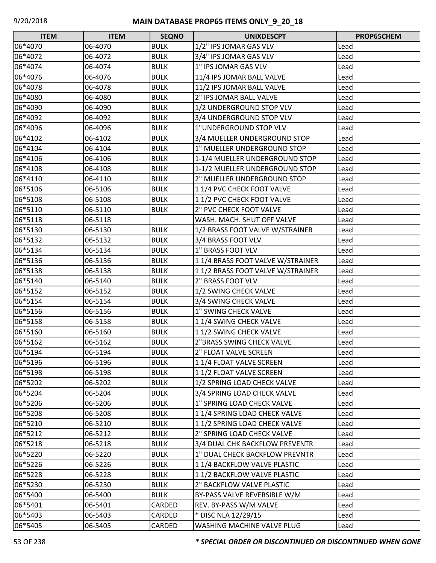| <b>ITEM</b> | <b>ITEM</b> | <b>SEQNO</b> | <b>UNIXDESCPT</b>                | PROP65CHEM |
|-------------|-------------|--------------|----------------------------------|------------|
| 06*4070     | 06-4070     | <b>BULK</b>  | 1/2" IPS JOMAR GAS VLV           | Lead       |
| 06*4072     | 06-4072     | <b>BULK</b>  | 3/4" IPS JOMAR GAS VLV           | Lead       |
| 06*4074     | 06-4074     | <b>BULK</b>  | 1" IPS JOMAR GAS VLV             | Lead       |
| 06*4076     | 06-4076     | <b>BULK</b>  | 11/4 IPS JOMAR BALL VALVE        | Lead       |
| 06*4078     | 06-4078     | <b>BULK</b>  | 11/2 IPS JOMAR BALL VALVE        | Lead       |
| 06*4080     | 06-4080     | <b>BULK</b>  | 2" IPS JOMAR BALL VALVE          | Lead       |
| 06*4090     | 06-4090     | <b>BULK</b>  | 1/2 UNDERGROUND STOP VLV         | Lead       |
| 06*4092     | 06-4092     | <b>BULK</b>  | 3/4 UNDERGROUND STOP VLV         | Lead       |
| 06*4096     | 06-4096     | <b>BULK</b>  | 1"UNDERGROUND STOP VLV           | Lead       |
| 06*4102     | 06-4102     | <b>BULK</b>  | 3/4 MUELLER UNDERGROUND STOP     | Lead       |
| 06*4104     | 06-4104     | <b>BULK</b>  | 1" MUELLER UNDERGROUND STOP      | Lead       |
| 06*4106     | 06-4106     | <b>BULK</b>  | 1-1/4 MUELLER UNDERGROUND STOP   | Lead       |
| 06*4108     | 06-4108     | <b>BULK</b>  | 1-1/2 MUELLER UNDERGROUND STOP   | Lead       |
| 06*4110     | 06-4110     | <b>BULK</b>  | 2" MUELLER UNDERGROUND STOP      | Lead       |
| 06*5106     | 06-5106     | <b>BULK</b>  | 11/4 PVC CHECK FOOT VALVE        | Lead       |
| 06*5108     | 06-5108     | <b>BULK</b>  | 11/2 PVC CHECK FOOT VALVE        | Lead       |
| 06*5110     | 06-5110     | <b>BULK</b>  | 2" PVC CHECK FOOT VALVE          | Lead       |
| 06*5118     | 06-5118     |              | WASH. MACH. SHUT OFF VALVE       | Lead       |
| 06*5130     | 06-5130     | <b>BULK</b>  | 1/2 BRASS FOOT VALVE W/STRAINER  | Lead       |
| 06*5132     | 06-5132     | <b>BULK</b>  | 3/4 BRASS FOOT VLV               | Lead       |
| 06*5134     | 06-5134     | <b>BULK</b>  | 1" BRASS FOOT VLV                | Lead       |
| 06*5136     | 06-5136     | <b>BULK</b>  | 11/4 BRASS FOOT VALVE W/STRAINER | Lead       |
| 06*5138     | 06-5138     | <b>BULK</b>  | 11/2 BRASS FOOT VALVE W/STRAINER | Lead       |
| 06*5140     | 06-5140     | <b>BULK</b>  | 2" BRASS FOOT VLV                | Lead       |
| 06*5152     | 06-5152     | <b>BULK</b>  | 1/2 SWING CHECK VALVE            | Lead       |
| 06*5154     | 06-5154     | <b>BULK</b>  | 3/4 SWING CHECK VALVE            | Lead       |
| 06*5156     | 06-5156     | <b>BULK</b>  | 1" SWING CHECK VALVE             | Lead       |
| 06*5158     | 06-5158     | <b>BULK</b>  | 11/4 SWING CHECK VALVE           | Lead       |
| 06*5160     | 06-5160     | <b>BULK</b>  | 11/2 SWING CHECK VALVE           | Lead       |
| 06*5162     | 06-5162     | <b>BULK</b>  | 2"BRASS SWING CHECK VALVE        | Lead       |
| 06*5194     | 06-5194     | <b>BULK</b>  | 2" FLOAT VALVE SCREEN            | Lead       |
| 06*5196     | 06-5196     | <b>BULK</b>  | 11/4 FLOAT VALVE SCREEN          | Lead       |
| 06*5198     | 06-5198     | <b>BULK</b>  | 11/2 FLOAT VALVE SCREEN          | Lead       |
| 06*5202     | 06-5202     | <b>BULK</b>  | 1/2 SPRING LOAD CHECK VALVE      | Lead       |
| 06*5204     | 06-5204     | <b>BULK</b>  | 3/4 SPRING LOAD CHECK VALVE      | Lead       |
| 06*5206     | 06-5206     | <b>BULK</b>  | 1" SPRING LOAD CHECK VALVE       | Lead       |
| 06*5208     | 06-5208     | <b>BULK</b>  | 11/4 SPRING LOAD CHECK VALVE     | Lead       |
| 06*5210     | 06-5210     | <b>BULK</b>  | 11/2 SPRING LOAD CHECK VALVE     | Lead       |
| 06*5212     | 06-5212     | <b>BULK</b>  | 2" SPRING LOAD CHECK VALVE       | Lead       |
| 06*5218     | 06-5218     | <b>BULK</b>  | 3/4 DUAL CHK BACKFLOW PREVENTR   | Lead       |
| 06*5220     | 06-5220     | <b>BULK</b>  | 1" DUAL CHECK BACKFLOW PREVNTR   | Lead       |
| 06*5226     | 06-5226     | <b>BULK</b>  | 11/4 BACKFLOW VALVE PLASTIC      | Lead       |
| 06*5228     | 06-5228     | <b>BULK</b>  | 11/2 BACKFLOW VALVE PLASTIC      | Lead       |
| 06*5230     | 06-5230     | <b>BULK</b>  | 2" BACKFLOW VALVE PLASTIC        | Lead       |
| 06*5400     | 06-5400     | <b>BULK</b>  | BY-PASS VALVE REVERSIBLE W/M     | Lead       |
| 06*5401     | 06-5401     | CARDED       | REV. BY-PASS W/M VALVE           | Lead       |
| 06*5403     | 06-5403     | CARDED       | * DISC NLA 12/29/15              | Lead       |
| 06*5405     | 06-5405     | CARDED       | WASHING MACHINE VALVE PLUG       | Lead       |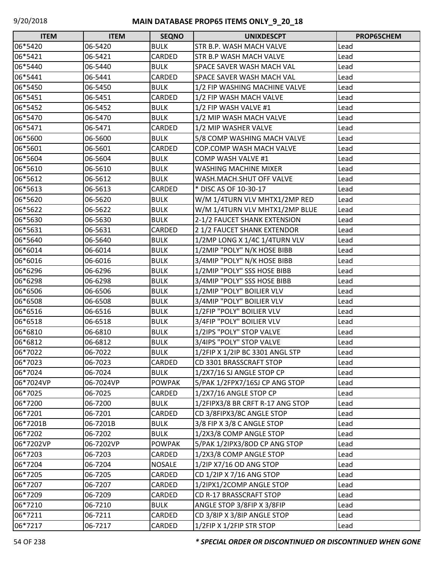| <b>ITEM</b> | <b>ITEM</b> | <b>SEQNO</b>  | <b>UNIXDESCPT</b>                | <b>PROP65CHEM</b> |
|-------------|-------------|---------------|----------------------------------|-------------------|
| 06*5420     | 06-5420     | <b>BULK</b>   | STR B.P. WASH MACH VALVE         | Lead              |
| 06*5421     | 06-5421     | CARDED        | STR B.P WASH MACH VALVE          | Lead              |
| 06*5440     | 06-5440     | <b>BULK</b>   | SPACE SAVER WASH MACH VAL        | Lead              |
| 06*5441     | 06-5441     | <b>CARDED</b> | SPACE SAVER WASH MACH VAL        | Lead              |
| 06*5450     | 06-5450     | <b>BULK</b>   | 1/2 FIP WASHING MACHINE VALVE    | Lead              |
| 06*5451     | 06-5451     | CARDED        | 1/2 FIP WASH MACH VALVE          | Lead              |
| 06*5452     | 06-5452     | <b>BULK</b>   | 1/2 FIP WASH VALVE #1            | Lead              |
| 06*5470     | 06-5470     | <b>BULK</b>   | 1/2 MIP WASH MACH VALVE          | Lead              |
| 06*5471     | 06-5471     | <b>CARDED</b> | 1/2 MIP WASHER VALVE             | Lead              |
| 06*5600     | 06-5600     | <b>BULK</b>   | 5/8 COMP WASHING MACH VALVE      | Lead              |
| 06*5601     | 06-5601     | CARDED        | COP.COMP WASH MACH VALVE         | Lead              |
| 06*5604     | 06-5604     | <b>BULK</b>   | <b>COMP WASH VALVE #1</b>        | Lead              |
| 06*5610     | 06-5610     | <b>BULK</b>   | <b>WASHING MACHINE MIXER</b>     | Lead              |
| 06*5612     | 06-5612     | <b>BULK</b>   | WASH.MACH.SHUT OFF VALVE         | Lead              |
| 06*5613     | 06-5613     | CARDED        | * DISC AS OF 10-30-17            | Lead              |
| 06*5620     | 06-5620     | <b>BULK</b>   | W/M 1/4TURN VLV MHTX1/2MP RED    | Lead              |
| 06*5622     | 06-5622     | <b>BULK</b>   | W/M 1/4TURN VLV MHTX1/2MP BLUE   | Lead              |
| 06*5630     | 06-5630     | <b>BULK</b>   | 2-1/2 FAUCET SHANK EXTENSION     | Lead              |
| 06*5631     | 06-5631     | CARDED        | 2 1/2 FAUCET SHANK EXTENDOR      | Lead              |
| 06*5640     | 06-5640     | <b>BULK</b>   | 1/2MP LONG X 1/4C 1/4TURN VLV    | Lead              |
| 06*6014     | 06-6014     | <b>BULK</b>   | 1/2MIP "POLY" N/K HOSE BIBB      | Lead              |
| 06*6016     | 06-6016     | <b>BULK</b>   | 3/4MIP "POLY" N/K HOSE BIBB      | Lead              |
| 06*6296     | 06-6296     | <b>BULK</b>   | 1/2MIP "POLY" SSS HOSE BIBB      | Lead              |
| 06*6298     | 06-6298     | <b>BULK</b>   | 3/4MIP "POLY" SSS HOSE BIBB      | Lead              |
| 06*6506     | 06-6506     | <b>BULK</b>   | 1/2MIP "POLY" BOILIER VLV        | Lead              |
| 06*6508     | 06-6508     | <b>BULK</b>   | 3/4MIP "POLY" BOILIER VLV        | Lead              |
| 06*6516     | 06-6516     | <b>BULK</b>   | 1/2FIP "POLY" BOILIER VLV        | Lead              |
| 06*6518     | 06-6518     | <b>BULK</b>   | 3/4FIP "POLY" BOILIER VLV        | Lead              |
| 06*6810     | 06-6810     | <b>BULK</b>   | 1/2IPS "POLY" STOP VALVE         | Lead              |
| 06*6812     | 06-6812     | <b>BULK</b>   | 3/4IPS "POLY" STOP VALVE         | Lead              |
| 06*7022     | 06-7022     | <b>BULK</b>   | 1/2FIP X 1/2IP BC 3301 ANGL STP  | Lead              |
| 06*7023     | 06-7023     | CARDED        | CD 3301 BRASSCRAFT STOP          | Lead              |
| 06*7024     | 06-7024     | <b>BULK</b>   | 1/2X7/16 SJ ANGLE STOP CP        | Lead              |
| 06*7024VP   | 06-7024VP   | <b>POWPAK</b> | 5/PAK 1/2FPX7/16SJ CP ANG STOP   | Lead              |
| 06*7025     | 06-7025     | CARDED        | 1/2X7/16 ANGLE STOP CP           | Lead              |
| 06*7200     | 06-7200     | <b>BULK</b>   | 1/2FIPX3/8 BR CRFT R-17 ANG STOP | Lead              |
| 06*7201     | 06-7201     | CARDED        | CD 3/8FIPX3/8C ANGLE STOP        | Lead              |
| 06*7201B    | 06-7201B    | <b>BULK</b>   | 3/8 FIP X 3/8 C ANGLE STOP       | Lead              |
| 06*7202     | 06-7202     | <b>BULK</b>   | 1/2X3/8 COMP ANGLE STOP          | Lead              |
| 06*7202VP   | 06-7202VP   | <b>POWPAK</b> | 5/PAK 1/2IPX3/8OD CP ANG STOP    | Lead              |
| 06*7203     | 06-7203     | CARDED        | 1/2X3/8 COMP ANGLE STOP          | Lead              |
| 06*7204     | 06-7204     | <b>NOSALE</b> | 1/2IP X7/16 OD ANG STOP          | Lead              |
| 06*7205     | 06-7205     | CARDED        | CD 1/2IP X 7/16 ANG STOP         | Lead              |
| 06*7207     | 06-7207     | CARDED        | 1/2IPX1/2COMP ANGLE STOP         | Lead              |
| 06*7209     | 06-7209     | CARDED        | CD R-17 BRASSCRAFT STOP          | Lead              |
| 06*7210     | 06-7210     | <b>BULK</b>   | ANGLE STOP 3/8FIP X 3/8FIP       | Lead              |
| 06*7211     | 06-7211     | CARDED        | CD 3/8IP X 3/8IP ANGLE STOP      | Lead              |
| 06*7217     | 06-7217     | CARDED        | 1/2FIP X 1/2FIP STR STOP         | Lead              |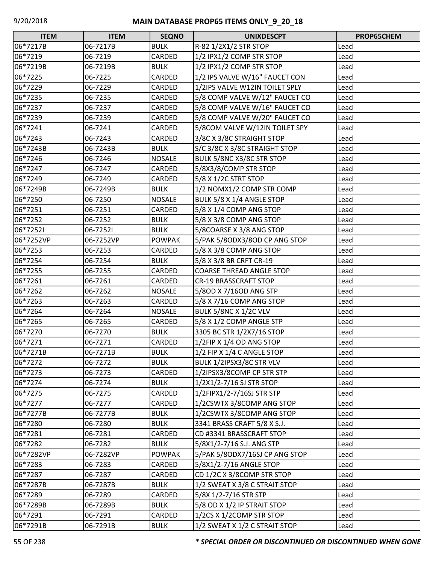| <b>ITEM</b> | <b>ITEM</b> | <b>SEQNO</b>  | <b>UNIXDESCPT</b>               | PROP65CHEM |
|-------------|-------------|---------------|---------------------------------|------------|
| 06*7217B    | 06-7217B    | <b>BULK</b>   | R-82 1/2X1/2 STR STOP           | Lead       |
| 06*7219     | 06-7219     | CARDED        | 1/2 IPX1/2 COMP STR STOP        | Lead       |
| 06*7219B    | 06-7219B    | <b>BULK</b>   | 1/2 IPX1/2 COMP STR STOP        | Lead       |
| 06*7225     | 06-7225     | CARDED        | 1/2 IPS VALVE W/16" FAUCET CON  | Lead       |
| 06*7229     | 06-7229     | CARDED        | 1/2IPS VALVE W12IN TOILET SPLY  | Lead       |
| 06*7235     | 06-7235     | CARDED        | 5/8 COMP VALVE W/12" FAUCET CO  | Lead       |
| 06*7237     | 06-7237     | CARDED        | 5/8 COMP VALVE W/16" FAUCET CO  | Lead       |
| 06*7239     | 06-7239     | CARDED        | 5/8 COMP VALVE W/20" FAUCET CO  | Lead       |
| 06*7241     | 06-7241     | CARDED        | 5/8COM VALVE W/12IN TOILET SPY  | Lead       |
| 06*7243     | 06-7243     | CARDED        | 3/8C X 3/8C STRAIGHT STOP       | Lead       |
| 06*7243B    | 06-7243B    | <b>BULK</b>   | S/C 3/8C X 3/8C STRAIGHT STOP   | Lead       |
| 06*7246     | 06-7246     | <b>NOSALE</b> | BULK 5/8NC X3/8C STR STOP       | Lead       |
| 06*7247     | 06-7247     | CARDED        | 5/8X3/8/COMP STR STOP           | Lead       |
| 06*7249     | 06-7249     | CARDED        | 5/8 X 1/2C STRT STOP            | Lead       |
| 06*7249B    | 06-7249B    | <b>BULK</b>   | 1/2 NOMX1/2 COMP STR COMP       | Lead       |
| 06*7250     | 06-7250     | <b>NOSALE</b> | BULK 5/8 X 1/4 ANGLE STOP       | Lead       |
| 06*7251     | 06-7251     | CARDED        | 5/8 X 1/4 COMP ANG STOP         | Lead       |
| 06*7252     | 06-7252     | <b>BULK</b>   | 5/8 X 3/8 COMP ANG STOP         | Lead       |
| 06*72521    | 06-72521    | <b>BULK</b>   | 5/8COARSE X 3/8 ANG STOP        | Lead       |
| 06*7252VP   | 06-7252VP   | <b>POWPAK</b> | 5/PAK 5/80DX3/80D CP ANG STOP   | Lead       |
| 06*7253     | 06-7253     | CARDED        | 5/8 X 3/8 COMP ANG STOP         | Lead       |
| 06*7254     | 06-7254     | <b>BULK</b>   | 5/8 X 3/8 BR CRFT CR-19         | Lead       |
| 06*7255     | 06-7255     | CARDED        | <b>COARSE THREAD ANGLE STOP</b> | Lead       |
| 06*7261     | 06-7261     | CARDED        | <b>CR-19 BRASSCRAFT STOP</b>    | Lead       |
| 06*7262     | 06-7262     | <b>NOSALE</b> | 5/80D X 7/160D ANG STP          | Lead       |
| 06*7263     | 06-7263     | CARDED        | 5/8 X 7/16 COMP ANG STOP        | Lead       |
| 06*7264     | 06-7264     | <b>NOSALE</b> | <b>BULK 5/8NC X 1/2C VLV</b>    | Lead       |
| 06*7265     | 06-7265     | CARDED        | 5/8 X 1/2 COMP ANGLE STP        | Lead       |
| 06*7270     | 06-7270     | <b>BULK</b>   | 3305 BC STR 1/2X7/16 STOP       | Lead       |
| 06*7271     | 06-7271     | CARDED        | 1/2FIP X 1/4 OD ANG STOP        | Lead       |
| 06*7271B    | 06-7271B    | <b>BULK</b>   | 1/2 FIP X 1/4 C ANGLE STOP      | Lead       |
| 06*7272     | 06-7272     | <b>BULK</b>   | BULK 1/2IPSX3/8C STR VLV        | Lead       |
| 06*7273     | 06-7273     | CARDED        | 1/2IPSX3/8COMP CP STR STP       | Lead       |
| 06*7274     | 06-7274     | <b>BULK</b>   | 1/2X1/2-7/16 SJ STR STOP        | Lead       |
| 06*7275     | 06-7275     | CARDED        | 1/2FIPX1/2-7/16SJ STR STP       | Lead       |
| 06*7277     | 06-7277     | CARDED        | 1/2CSWTX 3/8COMP ANG STOP       | Lead       |
| 06*7277B    | 06-7277B    | <b>BULK</b>   | 1/2CSWTX 3/8COMP ANG STOP       | Lead       |
| 06*7280     | 06-7280     | <b>BULK</b>   | 3341 BRASS CRAFT 5/8 X S.J.     | Lead       |
| 06*7281     | 06-7281     | CARDED        | CD #3341 BRASSCRAFT STOP        | Lead       |
| 06*7282     | 06-7282     | <b>BULK</b>   | 5/8X1/2-7/16 S.J. ANG STP       | Lead       |
| 06*7282VP   | 06-7282VP   | <b>POWPAK</b> | 5/PAK 5/80DX7/16SJ CP ANG STOP  | Lead       |
| 06*7283     | 06-7283     | CARDED        | 5/8X1/2-7/16 ANGLE STOP         | Lead       |
| 06*7287     | 06-7287     | CARDED        | CD 1/2C X 3/8COMP STR STOP      | Lead       |
| 06*7287B    | 06-7287B    | <b>BULK</b>   | 1/2 SWEAT X 3/8 C STRAIT STOP   | Lead       |
| 06*7289     | 06-7289     | CARDED        | 5/8X 1/2-7/16 STR STP           | Lead       |
| 06*7289B    | 06-7289B    | <b>BULK</b>   | 5/8 OD X 1/2 IP STRAIT STOP     | Lead       |
| 06*7291     | 06-7291     | CARDED        | 1/2CS X 1/2COMP STR STOP        | Lead       |
| 06*7291B    | 06-7291B    | <b>BULK</b>   | 1/2 SWEAT X 1/2 C STRAIT STOP   | Lead       |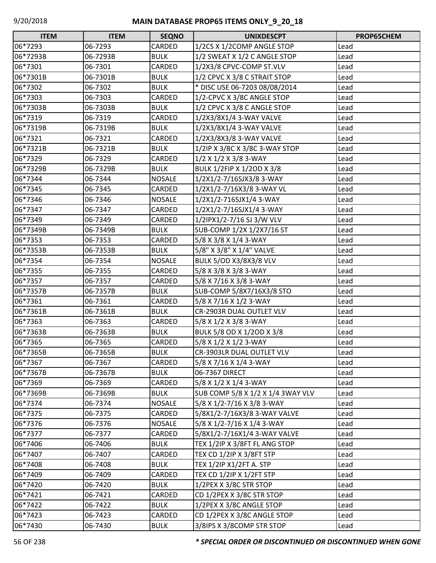| <b>ITEM</b> | <b>ITEM</b> | <b>SEQNO</b>  | <b>UNIXDESCPT</b>                 | PROP65CHEM |
|-------------|-------------|---------------|-----------------------------------|------------|
| 06*7293     | 06-7293     | CARDED        | 1/2CS X 1/2COMP ANGLE STOP        | Lead       |
| 06*7293B    | 06-7293B    | <b>BULK</b>   | 1/2 SWEAT X 1/2 C ANGLE STOP      | Lead       |
| 06*7301     | 06-7301     | CARDED        | 1/2X3/8 CPVC-COMP ST.VLV          | Lead       |
| 06*7301B    | 06-7301B    | <b>BULK</b>   | 1/2 CPVC X 3/8 C STRAIT STOP      | Lead       |
| 06*7302     | 06-7302     | <b>BULK</b>   | * DISC USE 06-7203 08/08/2014     | Lead       |
| 06*7303     | 06-7303     | CARDED        | 1/2-CPVC X 3/8C ANGLE STOP        | Lead       |
| 06*7303B    | 06-7303B    | <b>BULK</b>   | 1/2 CPVC X 3/8 C ANGLE STOP       | Lead       |
| 06*7319     | 06-7319     | CARDED        | 1/2X3/8X1/4 3-WAY VALVE           | Lead       |
| 06*7319B    | 06-7319B    | <b>BULK</b>   | 1/2X3/8X1/4 3-WAY VALVE           | Lead       |
| 06*7321     | 06-7321     | CARDED        | 1/2X3/8X3/8 3-WAY VALVE           | Lead       |
| 06*7321B    | 06-7321B    | <b>BULK</b>   | 1/2IP X 3/8C X 3/8C 3-WAY STOP    | Lead       |
| 06*7329     | 06-7329     | CARDED        | 1/2 X 1/2 X 3/8 3-WAY             | Lead       |
| 06*7329B    | 06-7329B    | <b>BULK</b>   | BULK 1/2FIP X 1/2OD X 3/8         | Lead       |
| 06*7344     | 06-7344     | <b>NOSALE</b> | 1/2X1/2-7/16SJX3/8 3-WAY          | Lead       |
| 06*7345     | 06-7345     | CARDED        | 1/2X1/2-7/16X3/8 3-WAY VL         | Lead       |
| 06*7346     | 06-7346     | <b>NOSALE</b> | 1/2X1/2-716SJX1/4 3-WAY           | Lead       |
| 06*7347     | 06-7347     | CARDED        | 1/2X1/2-7/16SJX1/4 3-WAY          | Lead       |
| 06*7349     | 06-7349     | CARDED        | 1/2IPX1/2-7/16 SJ 3/W VLV         | Lead       |
| 06*7349B    | 06-7349B    | <b>BULK</b>   | SUB-COMP 1/2X 1/2X7/16 ST         | Lead       |
| 06*7353     | 06-7353     | CARDED        | 5/8 X 3/8 X 1/4 3-WAY             | Lead       |
| 06*7353B    | 06-7353B    | <b>BULK</b>   | 5/8" X 3/8" X 1/4" VALVE          | Lead       |
| 06*7354     | 06-7354     | <b>NOSALE</b> | <b>BULK 5/OD X3/8X3/8 VLV</b>     | Lead       |
| 06*7355     | 06-7355     | CARDED        | 5/8 X 3/8 X 3/8 3-WAY             | Lead       |
| 06*7357     | 06-7357     | CARDED        | 5/8 X 7/16 X 3/8 3-WAY            | Lead       |
| 06*7357B    | 06-7357B    | <b>BULK</b>   | SUB-COMP 5/8X7/16X3/8 STO         | Lead       |
| 06*7361     | 06-7361     | CARDED        | 5/8 X 7/16 X 1/2 3-WAY            | Lead       |
| 06*7361B    | 06-7361B    | <b>BULK</b>   | CR-2903R DUAL OUTLET VLV          | Lead       |
| 06*7363     | 06-7363     | CARDED        | 5/8 X 1/2 X 3/8 3-WAY             | Lead       |
| 06*7363B    | 06-7363B    | <b>BULK</b>   | BULK 5/8 OD X 1/2OD X 3/8         | Lead       |
| 06*7365     | 06-7365     | CARDED        | 5/8 X 1/2 X 1/2 3-WAY             | Lead       |
| 06*7365B    | 06-7365B    | <b>BULK</b>   | CR-3903LR DUAL OUTLET VLV         | Lead       |
| 06*7367     | 06-7367     | CARDED        | $5/8$ X 7/16 X 1/4 3-WAY          | Lead       |
| 06*7367B    | 06-7367B    | <b>BULK</b>   | 06-7367 DIRECT                    | Lead       |
| 06*7369     | 06-7369     | CARDED        | 5/8 X 1/2 X 1/4 3-WAY             | Lead       |
| 06*7369B    | 06-7369B    | <b>BULK</b>   | SUB COMP 5/8 X 1/2 X 1/4 3WAY VLV | Lead       |
| 06*7374     | 06-7374     | <b>NOSALE</b> | 5/8 X 1/2-7/16 X 3/8 3-WAY        | Lead       |
| 06*7375     | 06-7375     | CARDED        | 5/8X1/2-7/16X3/8 3-WAY VALVE      | Lead       |
| 06*7376     | 06-7376     | <b>NOSALE</b> | 5/8 X 1/2-7/16 X 1/4 3-WAY        | Lead       |
| 06*7377     | 06-7377     | CARDED        | 5/8X1/2-7/16X1/4 3-WAY VALVE      | Lead       |
| 06*7406     | 06-7406     | <b>BULK</b>   | TEX 1/2IP X 3/8FT FL ANG STOP     | Lead       |
| 06*7407     | 06-7407     | CARDED        | TEX CD 1/2IP X 3/8FT STP          | Lead       |
| 06*7408     | 06-7408     | <b>BULK</b>   | TEX 1/2IP X1/2FT A. STP           | Lead       |
| 06*7409     | 06-7409     | CARDED        | TEX CD 1/2IP X 1/2FT STP          | Lead       |
| 06*7420     | 06-7420     | <b>BULK</b>   | 1/2PEX X 3/8C STR STOP            | Lead       |
| 06*7421     | 06-7421     | CARDED        | CD 1/2PEX X 3/8C STR STOP         | Lead       |
| 06*7422     | 06-7422     | <b>BULK</b>   | 1/2PEX X 3/8C ANGLE STOP          | Lead       |
| 06*7423     | 06-7423     | CARDED        | CD 1/2PEX X 3/8C ANGLE STOP       | Lead       |
| 06*7430     | 06-7430     | <b>BULK</b>   | 3/8IPS X 3/8COMP STR STOP         | Lead       |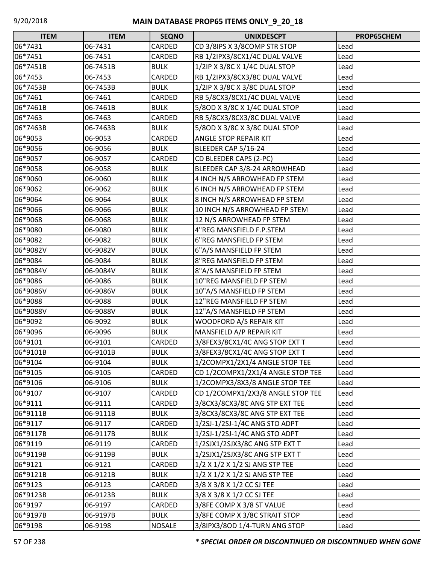| <b>ITEM</b> | <b>ITEM</b> | <b>SEQNO</b>  | <b>UNIXDESCPT</b>                 | PROP65CHEM |
|-------------|-------------|---------------|-----------------------------------|------------|
| 06*7431     | 06-7431     | CARDED        | CD 3/8IPS X 3/8COMP STR STOP      | Lead       |
| 06*7451     | 06-7451     | CARDED        | RB 1/2IPX3/8CX1/4C DUAL VALVE     | Lead       |
| 06*7451B    | 06-7451B    | <b>BULK</b>   | 1/2IP X 3/8C X 1/4C DUAL STOP     | Lead       |
| 06*7453     | 06-7453     | CARDED        | RB 1/2IPX3/8CX3/8C DUAL VALVE     | Lead       |
| 06*7453B    | 06-7453B    | <b>BULK</b>   | 1/2IP X 3/8C X 3/8C DUAL STOP     | Lead       |
| 06*7461     | 06-7461     | CARDED        | RB 5/8CX3/8CX1/4C DUAL VALVE      | Lead       |
| 06*7461B    | 06-7461B    | <b>BULK</b>   | 5/80D X 3/8C X 1/4C DUAL STOP     | Lead       |
| 06*7463     | 06-7463     | CARDED        | RB 5/8CX3/8CX3/8C DUAL VALVE      | Lead       |
| 06*7463B    | 06-7463B    | <b>BULK</b>   | 5/8OD X 3/8C X 3/8C DUAL STOP     | Lead       |
| 06*9053     | 06-9053     | CARDED        | <b>ANGLE STOP REPAIR KIT</b>      | Lead       |
| 06*9056     | 06-9056     | <b>BULK</b>   | BLEEDER CAP 5/16-24               | Lead       |
| 06*9057     | 06-9057     | CARDED        | CD BLEEDER CAPS (2-PC)            | Lead       |
| 06*9058     | 06-9058     | <b>BULK</b>   | BLEEDER CAP 3/8-24 ARROWHEAD      | Lead       |
| 06*9060     | 06-9060     | <b>BULK</b>   | 4 INCH N/S ARROWHEAD FP STEM      | Lead       |
| 06*9062     | 06-9062     | <b>BULK</b>   | 6 INCH N/S ARROWHEAD FP STEM      | Lead       |
| 06*9064     | 06-9064     | <b>BULK</b>   | 8 INCH N/S ARROWHEAD FP STEM      | Lead       |
| 06*9066     | 06-9066     | <b>BULK</b>   | 10 INCH N/S ARROWHEAD FP STEM     | Lead       |
| 06*9068     | 06-9068     | <b>BULK</b>   | 12 N/S ARROWHEAD FP STEM          | Lead       |
| 06*9080     | 06-9080     | <b>BULK</b>   | 4"REG MANSFIELD F.P.STEM          | Lead       |
| 06*9082     | 06-9082     | <b>BULK</b>   | 6"REG MANSFIELD FP STEM           | Lead       |
| 06*9082V    | 06-9082V    | <b>BULK</b>   | 6"A/S MANSFIELD FP STEM           | Lead       |
| 06*9084     | 06-9084     | <b>BULK</b>   | 8"REG MANSFIELD FP STEM           | Lead       |
| 06*9084V    | 06-9084V    | <b>BULK</b>   | 8"A/S MANSFIELD FP STEM           | Lead       |
| 06*9086     | 06-9086     | <b>BULK</b>   | 10"REG MANSFIELD FP STEM          | Lead       |
| 06*9086V    | 06-9086V    | <b>BULK</b>   | 10"A/S MANSFIELD FP STEM          | Lead       |
| 06*9088     | 06-9088     | <b>BULK</b>   | 12"REG MANSFIELD FP STEM          | Lead       |
| 06*9088V    | 06-9088V    | <b>BULK</b>   | 12"A/S MANSFIELD FP STEM          | Lead       |
| 06*9092     | 06-9092     | <b>BULK</b>   | WOODFORD A/S REPAIR KIT           | Lead       |
| 06*9096     | 06-9096     | <b>BULK</b>   | MANSFIELD A/P REPAIR KIT          | Lead       |
| 06*9101     | 06-9101     | CARDED        | 3/8FEX3/8CX1/4C ANG STOP EXT T    | Lead       |
| 06*9101B    | 06-9101B    | <b>BULK</b>   | 3/8FEX3/8CX1/4C ANG STOP EXT T    | Lead       |
| 06*9104     | 06-9104     | <b>BULK</b>   | 1/2COMPX1/2X1/4 ANGLE STOP TEE    | Lead       |
| 06*9105     | 06-9105     | CARDED        | CD 1/2COMPX1/2X1/4 ANGLE STOP TEE | Lead       |
| 06*9106     | 06-9106     | <b>BULK</b>   | 1/2COMPX3/8X3/8 ANGLE STOP TEE    | Lead       |
| 06*9107     | 06-9107     | CARDED        | CD 1/2COMPX1/2X3/8 ANGLE STOP TEE | Lead       |
| 06*9111     | 06-9111     | CARDED        | 3/8CX3/8CX3/8C ANG STP EXT TEE    | Lead       |
| 06*9111B    | 06-9111B    | <b>BULK</b>   | 3/8CX3/8CX3/8C ANG STP EXT TEE    | Lead       |
| 06*9117     | 06-9117     | CARDED        | 1/2SJ-1/2SJ-1/4C ANG STO ADPT     | Lead       |
| 06*9117B    | 06-9117B    | <b>BULK</b>   | 1/2SJ-1/2SJ-1/4C ANG STO ADPT     | Lead       |
| 06*9119     | 06-9119     | CARDED        | 1/2SJX1/2SJX3/8C ANG STP EXT T    | Lead       |
| 06*9119B    | 06-9119B    | <b>BULK</b>   | 1/2SJX1/2SJX3/8C ANG STP EXT T    | Lead       |
| 06*9121     | 06-9121     | CARDED        | 1/2 X 1/2 X 1/2 SJ ANG STP TEE    | Lead       |
| 06*9121B    | 06-9121B    | <b>BULK</b>   | 1/2 X 1/2 X 1/2 SJ ANG STP TEE    | Lead       |
| 06*9123     | 06-9123     | CARDED        | 3/8 X 3/8 X 1/2 CC SJ TEE         | Lead       |
| 06*9123B    | 06-9123B    | <b>BULK</b>   | 3/8 X 3/8 X 1/2 CC SJ TEE         | Lead       |
| 06*9197     | 06-9197     | CARDED        | 3/8FE COMP X 3/8 ST VALUE         | Lead       |
| 06*9197B    | 06-9197B    | <b>BULK</b>   | 3/8FE COMP X 3/8C STRAIT STOP     | Lead       |
| 06*9198     | 06-9198     | <b>NOSALE</b> | 3/8IPX3/8OD 1/4-TURN ANG STOP     | Lead       |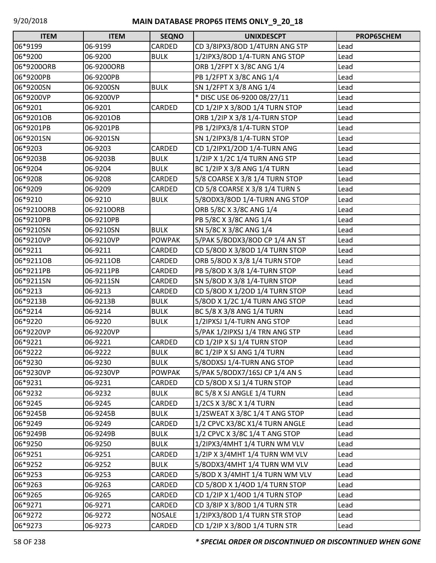| <b>ITEM</b> | <b>ITEM</b> | <b>SEQNO</b>  | <b>UNIXDESCPT</b>              | PROP65CHEM |
|-------------|-------------|---------------|--------------------------------|------------|
| 06*9199     | 06-9199     | CARDED        | CD 3/8IPX3/8OD 1/4TURN ANG STP | Lead       |
| 06*9200     | 06-9200     | <b>BULK</b>   | 1/2IPX3/8OD 1/4-TURN ANG STOP  | Lead       |
| 06*9200ORB  | 06-9200ORB  |               | ORB 1/2FPT X 3/8C ANG 1/4      | Lead       |
| 06*9200PB   | 06-9200PB   |               | PB 1/2FPT X 3/8C ANG 1/4       | Lead       |
| 06*9200SN   | 06-9200SN   | <b>BULK</b>   | SN 1/2FPT X 3/8 ANG 1/4        | Lead       |
| 06*9200VP   | 06-9200VP   |               | * DISC USE 06-9200 08/27/11    | Lead       |
| 06*9201     | 06-9201     | CARDED        | CD 1/2IP X 3/8OD 1/4 TURN STOP | Lead       |
| 06*9201OB   | 06-9201OB   |               | ORB 1/2IP X 3/8 1/4-TURN STOP  | Lead       |
| 06*9201PB   | 06-9201PB   |               | PB 1/2IPX3/8 1/4-TURN STOP     | Lead       |
| 06*9201SN   | 06-9201SN   |               | SN 1/2IPX3/8 1/4-TURN STOP     | Lead       |
| 06*9203     | 06-9203     | CARDED        | CD 1/2IPX1/2OD 1/4-TURN ANG    | Lead       |
| 06*9203B    | 06-9203B    | <b>BULK</b>   | 1/2IP X 1/2C 1/4 TURN ANG STP  | Lead       |
| 06*9204     | 06-9204     | <b>BULK</b>   | BC 1/2IP X 3/8 ANG 1/4 TURN    | Lead       |
| 06*9208     | 06-9208     | CARDED        | 5/8 COARSE X 3/8 1/4 TURN STOP | Lead       |
| 06*9209     | 06-9209     | CARDED        | CD 5/8 COARSE X 3/8 1/4 TURN S | Lead       |
| 06*9210     | 06-9210     | <b>BULK</b>   | 5/80DX3/80D 1/4-TURN ANG STOP  | Lead       |
| 06*9210ORB  | 06-9210ORB  |               | ORB 5/8C X 3/8C ANG 1/4        | Lead       |
| 06*9210PB   | 06-9210PB   |               | PB 5/8C X 3/8C ANG 1/4         | Lead       |
| 06*9210SN   | 06-9210SN   | <b>BULK</b>   | SN 5/8C X 3/8C ANG 1/4         | Lead       |
| 06*9210VP   | 06-9210VP   | <b>POWPAK</b> | 5/PAK 5/80DX3/80D CP 1/4 AN ST | Lead       |
| 06*9211     | 06-9211     | CARDED        | CD 5/8OD X 3/8OD 1/4 TURN STOP | Lead       |
| 06*9211OB   | 06-9211OB   | CARDED        | ORB 5/8OD X 3/8 1/4 TURN STOP  | Lead       |
| 06*9211PB   | 06-9211PB   | CARDED        | PB 5/8OD X 3/8 1/4-TURN STOP   | Lead       |
| 06*9211SN   | 06-9211SN   | CARDED        | SN 5/8OD X 3/8 1/4-TURN STOP   | Lead       |
| 06*9213     | 06-9213     | CARDED        | CD 5/8OD X 1/2OD 1/4 TURN STOP | Lead       |
| 06*9213B    | 06-9213B    | <b>BULK</b>   | 5/80D X 1/2C 1/4 TURN ANG STOP | Lead       |
| 06*9214     | 06-9214     | <b>BULK</b>   | BC 5/8 X 3/8 ANG 1/4 TURN      | Lead       |
| 06*9220     | 06-9220     | <b>BULK</b>   | 1/2IPXSJ 1/4-TURN ANG STOP     | Lead       |
| 06*9220VP   | 06-9220VP   |               | 5/PAK 1/2IPXSJ 1/4 TRN ANG STP | Lead       |
| 06*9221     | 06-9221     | CARDED        | CD 1/2IP X SJ 1/4 TURN STOP    | Lead       |
| 06*9222     | 06-9222     | <b>BULK</b>   | BC 1/2IP X SJ ANG 1/4 TURN     | Lead       |
| 06*9230     | 06-9230     | <b>BULK</b>   | 5/80DXSJ 1/4-TURN ANG STOP     | Lead       |
| 06*9230VP   | 06-9230VP   | <b>POWPAK</b> | 5/PAK 5/80DX7/16SJ CP 1/4 AN S | Lead       |
| 06*9231     | 06-9231     | CARDED        | CD 5/8OD X SJ 1/4 TURN STOP    | Lead       |
| 06*9232     | 06-9232     | <b>BULK</b>   | BC 5/8 X SJ ANGLE 1/4 TURN     | Lead       |
| 06*9245     | 06-9245     | CARDED        | 1/2CS X 3/8C X 1/4 TURN        | Lead       |
| 06*9245B    | 06-9245B    | <b>BULK</b>   | 1/2SWEAT X 3/8C 1/4 T ANG STOP | Lead       |
| 06*9249     | 06-9249     | CARDED        | 1/2 CPVC X3/8C X1/4 TURN ANGLE | Lead       |
| 06*9249B    | 06-9249B    | <b>BULK</b>   | 1/2 CPVC X 3/8C 1/4 T ANG STOP | Lead       |
| 06*9250     | 06-9250     | <b>BULK</b>   | 1/2IPX3/4MHT 1/4 TURN WM VLV   | Lead       |
| 06*9251     | 06-9251     | CARDED        | 1/2IP X 3/4MHT 1/4 TURN WM VLV | Lead       |
| 06*9252     | 06-9252     | <b>BULK</b>   | 5/80DX3/4MHT 1/4 TURN WM VLV   | Lead       |
| 06*9253     | 06-9253     | CARDED        | 5/8OD X 3/4MHT 1/4 TURN WM VLV | Lead       |
| 06*9263     | 06-9263     | CARDED        | CD 5/8OD X 1/4OD 1/4 TURN STOP | Lead       |
| 06*9265     | 06-9265     | CARDED        | CD 1/2IP X 1/4OD 1/4 TURN STOP | Lead       |
| 06*9271     | 06-9271     | CARDED        | CD 3/8IP X 3/8OD 1/4 TURN STR  | Lead       |
| 06*9272     | 06-9272     | <b>NOSALE</b> | 1/2IPX3/8OD 1/4 TURN STR STOP  | Lead       |
| 06*9273     | 06-9273     | CARDED        | CD 1/2IP X 3/8OD 1/4 TURN STR  | Lead       |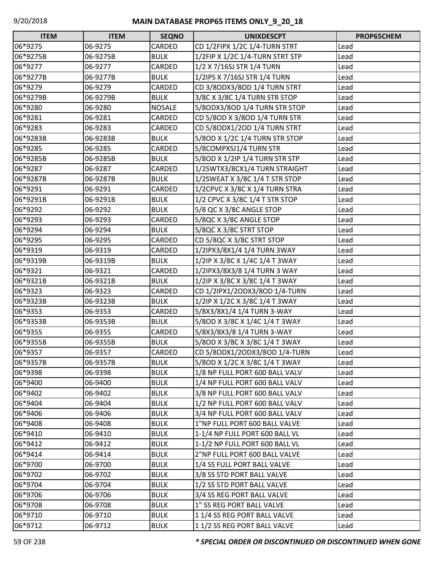| <b>ITEM</b> | <b>ITEM</b> | <b>SEQNO</b>  | <b>UNIXDESCPT</b>               | PROP65CHEM |
|-------------|-------------|---------------|---------------------------------|------------|
| 06*9275     | 06-9275     | CARDED        | CD 1/2FIPX 1/2C 1/4-TURN STRT   | Lead       |
| 06*9275B    | 06-9275B    | <b>BULK</b>   | 1/2FIP X 1/2C 1/4-TURN STRT STP | Lead       |
| 06*9277     | 06-9277     | CARDED        | 1/2 X 7/16SJ STR 1/4 TURN       | Lead       |
| 06*9277B    | 06-9277B    | <b>BULK</b>   | 1/2IPS X 7/16SJ STR 1/4 TURN    | Lead       |
| 06*9279     | 06-9279     | CARDED        | CD 3/8ODX3/8OD 1/4 TURN STRT    | Lead       |
| 06*9279B    | 06-9279B    | <b>BULK</b>   | 3/8C X 3/8C 1/4 TURN STR STOP   | Lead       |
| 06*9280     | 06-9280     | <b>NOSALE</b> | 5/80DX3/80D 1/4 TURN STR STOP   | Lead       |
| 06*9281     | 06-9281     | CARDED        | CD 5/8OD X 3/8OD 1/4 TURN STR   | Lead       |
| 06*9283     | 06-9283     | CARDED        | CD 5/80DX1/20D 1/4 TURN STRT    | Lead       |
| 06*9283B    | 06-9283B    | <b>BULK</b>   | 5/80D X 1/2C 1/4 TURN STR STOP  | Lead       |
| 06*9285     | 06-9285     | CARDED        | 5/8COMPXSJ1/4 TURN STR          | Lead       |
| 06*9285B    | 06-9285B    | <b>BULK</b>   | 5/80D X 1/2IP 1/4 TURN STR STP  | Lead       |
| 06*9287     | 06-9287     | CARDED        | 1/2SWTX3/8CX1/4 TURN STRAIGHT   | Lead       |
| 06*9287B    | 06-9287B    | <b>BULK</b>   | 1/2SWEAT X 3/8C 1/4 T STR STOP  | Lead       |
| 06*9291     | 06-9291     | CARDED        | 1/2CPVC X 3/8C X 1/4 TURN STRA  | Lead       |
| 06*9291B    | 06-9291B    | <b>BULK</b>   | 1/2 CPVC X 3/8C 1/4 T STR STOP  | Lead       |
| 06*9292     | 06-9292     | <b>BULK</b>   | 5/8 QC X 3/8C ANGLE STOP        | Lead       |
| 06*9293     | 06-9293     | CARDED        | 5/8QC X 3/8C ANGLE STOP         | Lead       |
| 06*9294     | 06-9294     | <b>BULK</b>   | 5/8QC X 3/8C STRT STOP          | Lead       |
| 06*9295     | 06-9295     | CARDED        | CD 5/8QC X 3/8C STRT STOP       | Lead       |
| 06*9319     | 06-9319     | CARDED        | 1/2IPX3/8X1/4 1/4 TURN 3WAY     | Lead       |
| 06*9319B    | 06-9319B    | <b>BULK</b>   | 1/2IP X 3/8C X 1/4C 1/4 T 3WAY  | Lead       |
| 06*9321     | 06-9321     | CARDED        | 1/2IPX3/8X3/8 1/4 TURN 3 WAY    | Lead       |
| 06*9321B    | 06-9321B    | <b>BULK</b>   | 1/2IP X 3/8C X 3/8C 1/4 T 3WAY  | Lead       |
| 06*9323     | 06-9323     | CARDED        | CD 1/2IPX1/2ODX3/8OD 1/4-TURN   | Lead       |
| 06*9323B    | 06-9323B    | <b>BULK</b>   | 1/2IP X 1/2C X 3/8C 1/4 T 3WAY  | Lead       |
| 06*9353     | 06-9353     | CARDED        | 5/8X3/8X1/4 1/4 TURN 3-WAY      | Lead       |
| 06*9353B    | 06-9353B    | <b>BULK</b>   | 5/8OD X 3/8C X 1/4C 1/4 T 3WAY  | Lead       |
| 06*9355     | 06-9355     | CARDED        | 5/8X3/8X3/8 1/4 TURN 3-WAY      | Lead       |
| 06*9355B    | 06-9355B    | <b>BULK</b>   | 5/80D X 3/8C X 3/8C 1/4 T 3WAY  | Lead       |
| 06*9357     | 06-9357     | <b>CARDED</b> | CD 5/80DX1/20DX3/80D 1/4-TURN   | Lead       |
| 06*9357B    | 06-9357B    | <b>BULK</b>   | 5/80D X 1/2C X 3/8C 1/4 T 3WAY  | Lead       |
| 06*9398     | 06-9398     | <b>BULK</b>   | 1/8 NP FULL PORT 600 BALL VALV  | Lead       |
| 06*9400     | 06-9400     | <b>BULK</b>   | 1/4 NP FULL PORT 600 BALL VALV  | Lead       |
| 06*9402     | 06-9402     | <b>BULK</b>   | 3/8 NP FULL PORT 600 BALL VALV  | Lead       |
| 06*9404     | 06-9404     | <b>BULK</b>   | 1/2 NP FULL PORT 600 BALL VALV  | Lead       |
| 06*9406     | 06-9406     | <b>BULK</b>   | 3/4 NP FULL PORT 600 BALL VALV  | Lead       |
| 06*9408     | 06-9408     | <b>BULK</b>   | 1"NP FULL PORT 600 BALL VALVE   | Lead       |
| 06*9410     | 06-9410     | <b>BULK</b>   | 1-1/4 NP FULL PORT 600 BALL VL  | Lead       |
| 06*9412     | 06-9412     | <b>BULK</b>   | 1-1/2 NP FULL PORT 600 BALL VL  | Lead       |
| 06*9414     | 06-9414     | <b>BULK</b>   | 2"NP FULL PORT 600 BALL VALVE   | Lead       |
| 06*9700     | 06-9700     | <b>BULK</b>   | 1/4 SS FULL PORT BALL VALVE     | Lead       |
| 06*9702     | 06-9702     | <b>BULK</b>   | 3/8 SS STD PORT BALL VALVE      | Lead       |
| 06*9704     | 06-9704     | <b>BULK</b>   | 1/2 SS STD PORT BALL VALVE      | Lead       |
| 06*9706     | 06-9706     | <b>BULK</b>   | 3/4 SS REG PORT BALL VALVE      | Lead       |
| 06*9708     | 06-9708     | <b>BULK</b>   | 1" SS REG PORT BALL VALVE       | Lead       |
| 06*9710     | 06-9710     | <b>BULK</b>   | 11/4 SS REG PORT BALL VALVE     | Lead       |
| 06*9712     | 06-9712     | <b>BULK</b>   | 11/2 SS REG PORT BALL VALVE     | Lead       |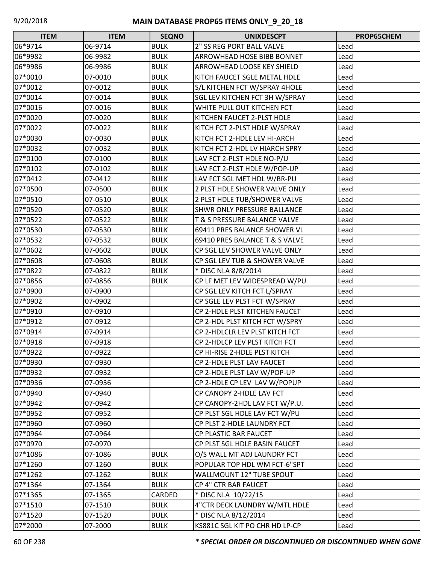| <b>ITEM</b> | <b>ITEM</b> | <b>SEQNO</b> | <b>UNIXDESCPT</b>                     | PROP65CHEM |
|-------------|-------------|--------------|---------------------------------------|------------|
| 06*9714     | 06-9714     | <b>BULK</b>  | 2" SS REG PORT BALL VALVE             | Lead       |
| 06*9982     | 06-9982     | <b>BULK</b>  | ARROWHEAD HOSE BIBB BONNET            | Lead       |
| 06*9986     | 06-9986     | <b>BULK</b>  | ARROWHEAD LOOSE KEY SHIELD            | Lead       |
| 07*0010     | 07-0010     | <b>BULK</b>  | KITCH FAUCET SGLE METAL HDLE          | Lead       |
| 07*0012     | 07-0012     | <b>BULK</b>  | S/L KITCHEN FCT W/SPRAY 4HOLE         | Lead       |
| 07*0014     | 07-0014     | <b>BULK</b>  | <b>SGL LEV KITCHEN FCT 3H W/SPRAY</b> | Lead       |
| 07*0016     | 07-0016     | <b>BULK</b>  | WHITE PULL OUT KITCHEN FCT            | Lead       |
| 07*0020     | 07-0020     | <b>BULK</b>  | KITCHEN FAUCET 2-PLST HDLE            | Lead       |
| 07*0022     | 07-0022     | <b>BULK</b>  | KITCH FCT 2-PLST HDLE W/SPRAY         | Lead       |
| 07*0030     | 07-0030     | <b>BULK</b>  | KITCH FCT 2-HDLE LEV HI-ARCH          | Lead       |
| 07*0032     | 07-0032     | <b>BULK</b>  | KITCH FCT 2-HDL LV HIARCH SPRY        | Lead       |
| 07*0100     | 07-0100     | <b>BULK</b>  | LAV FCT 2-PLST HDLE NO-P/U            | Lead       |
| 07*0102     | 07-0102     | <b>BULK</b>  | LAV FCT 2-PLST HDLE W/POP-UP          | Lead       |
| 07*0412     | 07-0412     | <b>BULK</b>  | LAV FCT SGL MET HDL W/BR-PU           | Lead       |
| 07*0500     | 07-0500     | <b>BULK</b>  | 2 PLST HDLE SHOWER VALVE ONLY         | Lead       |
| 07*0510     | 07-0510     | <b>BULK</b>  | 2 PLST HDLE TUB/SHOWER VALVE          | Lead       |
| 07*0520     | 07-0520     | <b>BULK</b>  | <b>SHWR ONLY PRESSURE BALLANCE</b>    | Lead       |
| 07*0522     | 07-0522     | <b>BULK</b>  | T & S PRESSURE BALANCE VALVE          | Lead       |
| 07*0530     | 07-0530     | <b>BULK</b>  | 69411 PRES BALANCE SHOWER VL          | Lead       |
| 07*0532     | 07-0532     | <b>BULK</b>  | 69410 PRES BALANCE T & S VALVE        | Lead       |
| 07*0602     | 07-0602     | <b>BULK</b>  | CP SGL LEV SHOWER VALVE ONLY          | Lead       |
| 07*0608     | 07-0608     | <b>BULK</b>  | CP SGL LEV TUB & SHOWER VALVE         | Lead       |
| 07*0822     | 07-0822     | <b>BULK</b>  | * DISC NLA 8/8/2014                   | Lead       |
| 07*0856     | 07-0856     | <b>BULK</b>  | CP LF MET LEV WIDESPREAD W/PU         | Lead       |
| 07*0900     | 07-0900     |              | CP SGL LEV KITCH FCT L/SPRAY          | Lead       |
| 07*0902     | 07-0902     |              | CP SGLE LEV PLST FCT W/SPRAY          | Lead       |
| 07*0910     | 07-0910     |              | CP 2-HDLE PLST KITCHEN FAUCET         | Lead       |
| 07*0912     | 07-0912     |              | CP 2-HDL PLST KITCH FCT W/SPRY        | Lead       |
| 07*0914     | 07-0914     |              | CP 2-HDLCLR LEV PLST KITCH FCT        | Lead       |
| 07*0918     | 07-0918     |              | CP 2-HDLCP LEV PLST KITCH FCT         | Lead       |
| 07*0922     | 07-0922     |              | CP HI-RISE 2-HDLE PLST KITCH          | Lead       |
| 07*0930     | 07-0930     |              | CP 2-HDLE PLST LAV FAUCET             | Lead       |
| 07*0932     | 07-0932     |              | CP 2-HDLE PLST LAV W/POP-UP           | Lead       |
| 07*0936     | 07-0936     |              | CP 2-HDLE CP LEV LAV W/POPUP          | Lead       |
| 07*0940     | 07-0940     |              | CP CANOPY 2-HDLE LAV FCT              | Lead       |
| 07*0942     | 07-0942     |              | CP CANOPY-2HDL LAV FCT W/P.U.         | Lead       |
| 07*0952     | 07-0952     |              | CP PLST SGL HDLE LAV FCT W/PU         | Lead       |
| 07*0960     | 07-0960     |              | CP PLST 2-HDLE LAUNDRY FCT            | Lead       |
| 07*0964     | 07-0964     |              | CP PLASTIC BAR FAUCET                 | Lead       |
| 07*0970     | 07-0970     |              | CP PLST SGL HDLE BASIN FAUCET         | Lead       |
| 07*1086     | 07-1086     | <b>BULK</b>  | O/S WALL MT ADJ LAUNDRY FCT           | Lead       |
| 07*1260     | 07-1260     | <b>BULK</b>  | POPULAR TOP HDL WM FCT-6"SPT          | Lead       |
| 07*1262     | 07-1262     | <b>BULK</b>  | <b>WALLMOUNT 12" TUBE SPOUT</b>       | Lead       |
| 07*1364     | 07-1364     | <b>BULK</b>  | CP 4" CTR BAR FAUCET                  | Lead       |
| 07*1365     | 07-1365     | CARDED       | * DISC NLA 10/22/15                   | Lead       |
| 07*1510     | 07-1510     | <b>BULK</b>  | 4"CTR DECK LAUNDRY W/MTL HDLE         | Lead       |
| 07*1520     | 07-1520     | <b>BULK</b>  | * DISC NLA 8/12/2014                  | Lead       |
| 07*2000     | 07-2000     | <b>BULK</b>  | KS881C SGL KIT PO CHR HD LP-CP        | Lead       |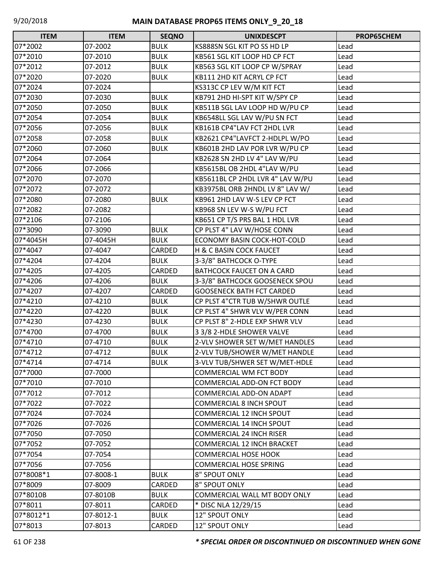| <b>ITEM</b> | <b>ITEM</b> | <b>SEQNO</b> | <b>UNIXDESCPT</b>                 | PROP65CHEM |
|-------------|-------------|--------------|-----------------------------------|------------|
| 07*2002     | 07-2002     | <b>BULK</b>  | KS888SN SGL KIT PO SS HD LP       | Lead       |
| 07*2010     | 07-2010     | <b>BULK</b>  | KB561 SGL KIT LOOP HD CP FCT      | Lead       |
| 07*2012     | 07-2012     | <b>BULK</b>  | KB563 SGL KIT LOOP CP W/SPRAY     | Lead       |
| 07*2020     | 07-2020     | <b>BULK</b>  | KB111 2HD KIT ACRYL CP FCT        | Lead       |
| 07*2024     | 07-2024     |              | KS313C CP LEV W/M KIT FCT         | Lead       |
| 07*2030     | 07-2030     | <b>BULK</b>  | KB791 2HD HI-SPT KIT W/SPY CP     | Lead       |
| 07*2050     | 07-2050     | <b>BULK</b>  | KB511B SGL LAV LOOP HD W/PU CP    | Lead       |
| 07*2054     | 07-2054     | <b>BULK</b>  | KB6548LL SGL LAV W/PU SN FCT      | Lead       |
| 07*2056     | 07-2056     | <b>BULK</b>  | KB161B CP4"LAV FCT 2HDL LVR       | Lead       |
| 07*2058     | 07-2058     | <b>BULK</b>  | KB2621 CP4"LAVFCT 2-HDLPL W/PO    | Lead       |
| 07*2060     | 07-2060     | <b>BULK</b>  | KB601B 2HD LAV POR LVR W/PU CP    | Lead       |
| 07*2064     | 07-2064     |              | KB2628 SN 2HD LV 4" LAV W/PU      | Lead       |
| 07*2066     | 07-2066     |              | KB5615BL OB 2HDL 4"LAV W/PU       | Lead       |
| 07*2070     | 07-2070     |              | KB5611BL CP 2HDL LVR 4" LAV W/PU  | Lead       |
| 07*2072     | 07-2072     |              | KB3975BL ORB 2HNDL LV 8" LAV W/   | Lead       |
| 07*2080     | 07-2080     | <b>BULK</b>  | KB961 2HD LAV W-S LEV CP FCT      | Lead       |
| 07*2082     | 07-2082     |              | KB968 SN LEV W-S W/PU FCT         | Lead       |
| 07*2106     | 07-2106     |              | KB651 CP T/S PRS BAL 1 HDL LVR    | Lead       |
| 07*3090     | 07-3090     | <b>BULK</b>  | CP PLST 4" LAV W/HOSE CONN        | Lead       |
| 07*4045H    | 07-4045H    | <b>BULK</b>  | ECONOMY BASIN COCK-HOT-COLD       | Lead       |
| 07*4047     | 07-4047     | CARDED       | H & C BASIN COCK FAUCET           | Lead       |
| 07*4204     | 07-4204     | <b>BULK</b>  | 3-3/8" BATHCOCK O-TYPE            | Lead       |
| 07*4205     | 07-4205     | CARDED       | <b>BATHCOCK FAUCET ON A CARD</b>  | Lead       |
| 07*4206     | 07-4206     | <b>BULK</b>  | 3-3/8" BATHCOCK GOOSENECK SPOU    | Lead       |
| 07*4207     | 07-4207     | CARDED       | <b>GOOSENECK BATH FCT CARDED</b>  | Lead       |
| 07*4210     | 07-4210     | <b>BULK</b>  | CP PLST 4"CTR TUB W/SHWR OUTLE    | Lead       |
| 07*4220     | 07-4220     | <b>BULK</b>  | CP PLST 4" SHWR VLV W/PER CONN    | Lead       |
| 07*4230     | 07-4230     | <b>BULK</b>  | CP PLST 8" 2-HDLE EXP SHWR VLV    | Lead       |
| 07*4700     | 07-4700     | <b>BULK</b>  | 3 3/8 2-HDLE SHOWER VALVE         | Lead       |
| 07*4710     | 07-4710     | <b>BULK</b>  | 2-VLV SHOWER SET W/MET HANDLES    | Lead       |
| 07*4712     | 07-4712     | <b>BULK</b>  | 2-VLV TUB/SHOWER W/MET HANDLE     | Lead       |
| 07*4714     | 07-4714     | <b>BULK</b>  | 3-VLV TUB/SHWER SET W/MET-HDLE    | Lead       |
| 07*7000     | 07-7000     |              | <b>COMMERCIAL WM FCT BODY</b>     | Lead       |
| 07*7010     | 07-7010     |              | <b>COMMERCIAL ADD-ON FCT BODY</b> | Lead       |
| 07*7012     | 07-7012     |              | COMMERCIAL ADD-ON ADAPT           | Lead       |
| 07*7022     | 07-7022     |              | <b>COMMERCIAL 8 INCH SPOUT</b>    | Lead       |
| 07*7024     | 07-7024     |              | <b>COMMERCIAL 12 INCH SPOUT</b>   | Lead       |
| 07*7026     | 07-7026     |              | <b>COMMERCIAL 14 INCH SPOUT</b>   | Lead       |
| 07*7050     | 07-7050     |              | <b>COMMERCIAL 24 INCH RISER</b>   | Lead       |
| 07*7052     | 07-7052     |              | <b>COMMERCIAL 12 INCH BRACKET</b> | Lead       |
| 07*7054     | 07-7054     |              | <b>COMMERCIAL HOSE HOOK</b>       | Lead       |
| 07*7056     | 07-7056     |              | <b>COMMERCIAL HOSE SPRING</b>     | Lead       |
| 07*8008*1   | 07-8008-1   | <b>BULK</b>  | 8" SPOUT ONLY                     | Lead       |
| 07*8009     | 07-8009     | CARDED       | 8" SPOUT ONLY                     | Lead       |
| 07*8010B    | 07-8010B    | <b>BULK</b>  | COMMERCIAL WALL MT BODY ONLY      | Lead       |
| 07*8011     | 07-8011     | CARDED       | * DISC NLA 12/29/15               | Lead       |
| 07*8012*1   | 07-8012-1   | <b>BULK</b>  | 12" SPOUT ONLY                    | Lead       |
| 07*8013     | 07-8013     | CARDED       | 12" SPOUT ONLY                    | Lead       |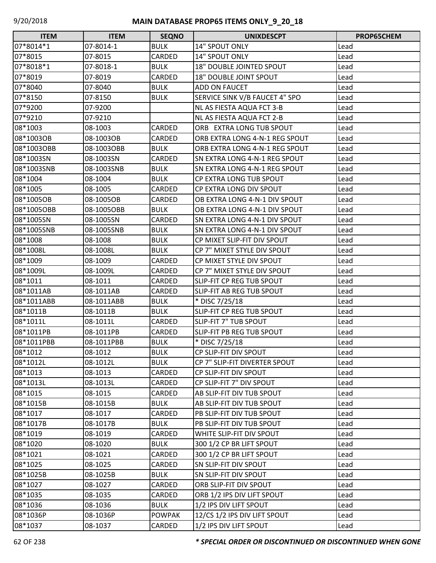| <b>ITEM</b> | <b>ITEM</b> | <b>SEQNO</b>  | <b>UNIXDESCPT</b>                  | PROP65CHEM |
|-------------|-------------|---------------|------------------------------------|------------|
| 07*8014*1   | 07-8014-1   | <b>BULK</b>   | 14" SPOUT ONLY                     | Lead       |
| 07*8015     | 07-8015     | CARDED        | 14" SPOUT ONLY                     | Lead       |
| 07*8018*1   | 07-8018-1   | <b>BULK</b>   | <b>18" DOUBLE JOINTED SPOUT</b>    | Lead       |
| 07*8019     | 07-8019     | <b>CARDED</b> | <b>18" DOUBLE JOINT SPOUT</b>      | Lead       |
| 07*8040     | 07-8040     | <b>BULK</b>   | ADD ON FAUCET                      | Lead       |
| 07*8150     | 07-8150     | <b>BULK</b>   | SERVICE SINK V/B FAUCET 4" SPO     | Lead       |
| 07*9200     | 07-9200     |               | NL AS FIESTA AQUA FCT 3-B          | Lead       |
| 07*9210     | 07-9210     |               | NL AS FIESTA AQUA FCT 2-B          | Lead       |
| 08*1003     | 08-1003     | CARDED        | ORB EXTRA LONG TUB SPOUT           | Lead       |
| 08*1003OB   | 08-1003OB   | CARDED        | ORB EXTRA LONG 4-N-1 REG SPOUT     | Lead       |
| 08*1003OBB  | 08-1003OBB  | <b>BULK</b>   | ORB EXTRA LONG 4-N-1 REG SPOUT     | Lead       |
| 08*1003SN   | 08-1003SN   | <b>CARDED</b> | SN EXTRA LONG 4-N-1 REG SPOUT      | Lead       |
| 08*1003SNB  | 08-1003SNB  | <b>BULK</b>   | SN EXTRA LONG 4-N-1 REG SPOUT      | Lead       |
| 08*1004     | 08-1004     | <b>BULK</b>   | <b>CP EXTRA LONG TUB SPOUT</b>     | Lead       |
| 08*1005     | 08-1005     | CARDED        | CP EXTRA LONG DIV SPOUT            | Lead       |
| 08*1005OB   | 08-1005OB   | <b>CARDED</b> | OB EXTRA LONG 4-N-1 DIV SPOUT      | Lead       |
| 08*1005OBB  | 08-1005OBB  | <b>BULK</b>   | OB EXTRA LONG 4-N-1 DIV SPOUT      | Lead       |
| 08*1005SN   | 08-1005SN   | CARDED        | SN EXTRA LONG 4-N-1 DIV SPOUT      | Lead       |
| 08*1005SNB  | 08-1005SNB  | <b>BULK</b>   | SN EXTRA LONG 4-N-1 DIV SPOUT      | Lead       |
| 08*1008     | 08-1008     | <b>BULK</b>   | CP MIXET SLIP-FIT DIV SPOUT        | Lead       |
| 08*1008L    | 08-1008L    | <b>BULK</b>   | <b>CP 7" MIXET STYLE DIV SPOUT</b> | Lead       |
| 08*1009     | 08-1009     | CARDED        | CP MIXET STYLE DIV SPOUT           | Lead       |
| 08*1009L    | 08-1009L    | CARDED        | CP 7" MIXET STYLE DIV SPOUT        | Lead       |
| 08*1011     | 08-1011     | CARDED        | SLIP-FIT CP REG TUB SPOUT          | Lead       |
| 08*1011AB   | 08-1011AB   | CARDED        | SLIP-FIT AB REG TUB SPOUT          | Lead       |
| 08*1011ABB  | 08-1011ABB  | <b>BULK</b>   | * DISC 7/25/18                     | Lead       |
| 08*1011B    | 08-1011B    | <b>BULK</b>   | SLIP-FIT CP REG TUB SPOUT          | Lead       |
| 08*1011L    | 08-1011L    | CARDED        | SLIP-FIT 7" TUB SPOUT              | Lead       |
| 08*1011PB   | 08-1011PB   | CARDED        | SLIP-FIT PB REG TUB SPOUT          | Lead       |
| 08*1011PBB  | 08-1011PBB  | <b>BULK</b>   | * DISC 7/25/18                     | Lead       |
| 08*1012     | 08-1012     | <b>BULK</b>   | CP SLIP-FIT DIV SPOUT              | Lead       |
| 08*1012L    | 08-1012L    | <b>BULK</b>   | CP 7" SLIP-FIT DIVERTER SPOUT      | Lead       |
| 08*1013     | 08-1013     | CARDED        | CP SLIP-FIT DIV SPOUT              | Lead       |
| 08*1013L    | 08-1013L    | CARDED        | CP SLIP-FIT 7" DIV SPOUT           | Lead       |
| 08*1015     | 08-1015     | CARDED        | AB SLIP-FIT DIV TUB SPOUT          | Lead       |
| 08*1015B    | 08-1015B    | <b>BULK</b>   | AB SLIP-FIT DIV TUB SPOUT          | Lead       |
| 08*1017     | 08-1017     | CARDED        | PB SLIP-FIT DIV TUB SPOUT          | Lead       |
| 08*1017B    | 08-1017B    | <b>BULK</b>   | PB SLIP-FIT DIV TUB SPOUT          | Lead       |
| 08*1019     | 08-1019     | CARDED        | WHITE SLIP-FIT DIV SPOUT           | Lead       |
| 08*1020     | 08-1020     | <b>BULK</b>   | 300 1/2 CP BR LIFT SPOUT           | Lead       |
| 08*1021     | 08-1021     | CARDED        | 300 1/2 CP BR LIFT SPOUT           | Lead       |
| 08*1025     | 08-1025     | CARDED        | SN SLIP-FIT DIV SPOUT              | Lead       |
| 08*1025B    | 08-1025B    | <b>BULK</b>   | SN SLIP-FIT DIV SPOUT              | Lead       |
| 08*1027     | 08-1027     | CARDED        | ORB SLIP-FIT DIV SPOUT             | Lead       |
| 08*1035     | 08-1035     | CARDED        | ORB 1/2 IPS DIV LIFT SPOUT         | Lead       |
| 08*1036     | 08-1036     | <b>BULK</b>   | 1/2 IPS DIV LIFT SPOUT             | Lead       |
| 08*1036P    | 08-1036P    | <b>POWPAK</b> | 12/CS 1/2 IPS DIV LIFT SPOUT       | Lead       |
| 08*1037     | 08-1037     | CARDED        | 1/2 IPS DIV LIFT SPOUT             | Lead       |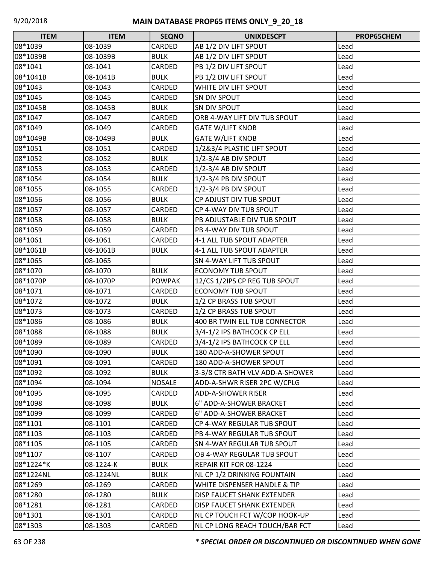| <b>ITEM</b> | <b>ITEM</b> | <b>SEQNO</b>  | <b>UNIXDESCPT</b>               | PROP65CHEM |
|-------------|-------------|---------------|---------------------------------|------------|
| 08*1039     | 08-1039     | CARDED        | AB 1/2 DIV LIFT SPOUT           | Lead       |
| 08*1039B    | 08-1039B    | <b>BULK</b>   | AB 1/2 DIV LIFT SPOUT           | Lead       |
| 08*1041     | 08-1041     | CARDED        | PB 1/2 DIV LIFT SPOUT           | Lead       |
| 08*1041B    | 08-1041B    | <b>BULK</b>   | PB 1/2 DIV LIFT SPOUT           | Lead       |
| 08*1043     | 08-1043     | CARDED        | WHITE DIV LIFT SPOUT            | Lead       |
| 08*1045     | 08-1045     | CARDED        | SN DIV SPOUT                    | Lead       |
| 08*1045B    | 08-1045B    | <b>BULK</b>   | SN DIV SPOUT                    | Lead       |
| 08*1047     | 08-1047     | CARDED        | ORB 4-WAY LIFT DIV TUB SPOUT    | Lead       |
| 08*1049     | 08-1049     | <b>CARDED</b> | <b>GATE W/LIFT KNOB</b>         | Lead       |
| 08*1049B    | 08-1049B    | <b>BULK</b>   | <b>GATE W/LIFT KNOB</b>         | Lead       |
| 08*1051     | 08-1051     | CARDED        | 1/2&3/4 PLASTIC LIFT SPOUT      | Lead       |
| 08*1052     | 08-1052     | <b>BULK</b>   | 1/2-3/4 AB DIV SPOUT            | Lead       |
| 08*1053     | 08-1053     | CARDED        | 1/2-3/4 AB DIV SPOUT            | Lead       |
| 08*1054     | 08-1054     | <b>BULK</b>   | 1/2-3/4 PB DIV SPOUT            | Lead       |
| 08*1055     | 08-1055     | CARDED        | $1/2 - 3/4$ PB DIV SPOUT        | Lead       |
| 08*1056     | 08-1056     | <b>BULK</b>   | CP ADJUST DIV TUB SPOUT         | Lead       |
| 08*1057     | 08-1057     | CARDED        | CP 4-WAY DIV TUB SPOUT          | Lead       |
| 08*1058     | 08-1058     | <b>BULK</b>   | PB ADJUSTABLE DIV TUB SPOUT     | Lead       |
| 08*1059     | 08-1059     | CARDED        | PB 4-WAY DIV TUB SPOUT          | Lead       |
| 08*1061     | 08-1061     | CARDED        | 4-1 ALL TUB SPOUT ADAPTER       | Lead       |
| 08*1061B    | 08-1061B    | <b>BULK</b>   | 4-1 ALL TUB SPOUT ADAPTER       | Lead       |
| 08*1065     | 08-1065     |               | <b>SN 4-WAY LIFT TUB SPOUT</b>  | Lead       |
| 08*1070     | 08-1070     | <b>BULK</b>   | ECONOMY TUB SPOUT               | Lead       |
| 08*1070P    | 08-1070P    | <b>POWPAK</b> | 12/CS 1/2IPS CP REG TUB SPOUT   | Lead       |
| 08*1071     | 08-1071     | CARDED        | <b>ECONOMY TUB SPOUT</b>        | Lead       |
| 08*1072     | 08-1072     | <b>BULK</b>   | 1/2 CP BRASS TUB SPOUT          | Lead       |
| 08*1073     | 08-1073     | CARDED        | 1/2 CP BRASS TUB SPOUT          | Lead       |
| 08*1086     | 08-1086     | <b>BULK</b>   | 400 BR TWIN ELL TUB CONNECTOR   | Lead       |
| 08*1088     | 08-1088     | <b>BULK</b>   | 3/4-1/2 IPS BATHCOCK CP ELL     | Lead       |
| 08*1089     | 08-1089     | CARDED        | 3/4-1/2 IPS BATHCOCK CP ELL     | Lead       |
| 08*1090     | 08-1090     | <b>BULK</b>   | 180 ADD-A-SHOWER SPOUT          | Lead       |
| 08*1091     | 08-1091     | CARDED        | 180 ADD-A-SHOWER SPOUT          | Lead       |
| 08*1092     | 08-1092     | <b>BULK</b>   | 3-3/8 CTR BATH VLV ADD-A-SHOWER | Lead       |
| 08*1094     | 08-1094     | <b>NOSALE</b> | ADD-A-SHWR RISER 2PC W/CPLG     | Lead       |
| 08*1095     | 08-1095     | CARDED        | <b>ADD-A-SHOWER RISER</b>       | Lead       |
| 08*1098     | 08-1098     | <b>BULK</b>   | 6" ADD-A-SHOWER BRACKET         | Lead       |
| 08*1099     | 08-1099     | CARDED        | 6" ADD-A-SHOWER BRACKET         | Lead       |
| 08*1101     | 08-1101     | CARDED        | CP 4-WAY REGULAR TUB SPOUT      | Lead       |
| 08*1103     | 08-1103     | CARDED        | PB 4-WAY REGULAR TUB SPOUT      | Lead       |
| 08*1105     | 08-1105     | CARDED        | SN 4-WAY REGULAR TUB SPOUT      | Lead       |
| 08*1107     | 08-1107     | CARDED        | OB 4-WAY REGULAR TUB SPOUT      | Lead       |
| 08*1224*K   | 08-1224-K   | <b>BULK</b>   | REPAIR KIT FOR 08-1224          | Lead       |
| 08*1224NL   | 08-1224NL   | <b>BULK</b>   | NL CP 1/2 DRINKING FOUNTAIN     | Lead       |
| 08*1269     | 08-1269     | CARDED        | WHITE DISPENSER HANDLE & TIP    | Lead       |
| 08*1280     | 08-1280     | <b>BULK</b>   | DISP FAUCET SHANK EXTENDER      | Lead       |
| 08*1281     | 08-1281     | CARDED        | DISP FAUCET SHANK EXTENDER      | Lead       |
| 08*1301     | 08-1301     | CARDED        | NL CP TOUCH FCT W/COP HOOK-UP   | Lead       |
| 08*1303     | 08-1303     | CARDED        | NL CP LONG REACH TOUCH/BAR FCT  | Lead       |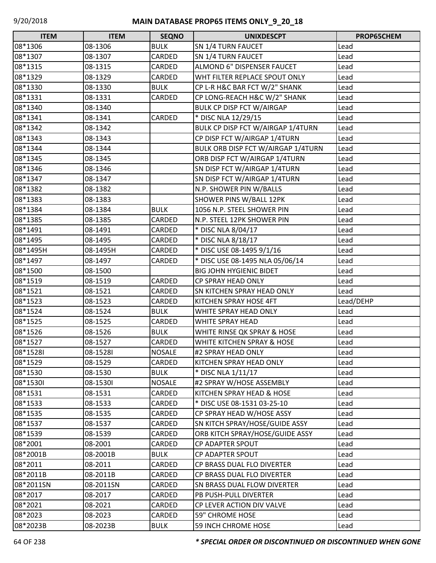| <b>ITEM</b> | <b>ITEM</b> | <b>SEQNO</b>  | <b>UNIXDESCPT</b>                  | PROP65CHEM |
|-------------|-------------|---------------|------------------------------------|------------|
| 08*1306     | 08-1306     | <b>BULK</b>   | SN 1/4 TURN FAUCET                 | Lead       |
| 08*1307     | 08-1307     | CARDED        | SN 1/4 TURN FAUCET                 | Lead       |
| 08*1315     | 08-1315     | CARDED        | ALMOND 6" DISPENSER FAUCET         | Lead       |
| 08*1329     | 08-1329     | CARDED        | WHT FILTER REPLACE SPOUT ONLY      | Lead       |
| 08*1330     | 08-1330     | <b>BULK</b>   | CP L-R H&C BAR FCT W/2" SHANK      | Lead       |
| 08*1331     | 08-1331     | CARDED        | CP LONG-REACH H&C W/2" SHANK       | Lead       |
| 08*1340     | 08-1340     |               | <b>BULK CP DISP FCT W/AIRGAP</b>   | Lead       |
| 08*1341     | 08-1341     | CARDED        | * DISC NLA 12/29/15                | Lead       |
| 08*1342     | 08-1342     |               | BULK CP DISP FCT W/AIRGAP 1/4TURN  | Lead       |
| 08*1343     | 08-1343     |               | CP DISP FCT W/AIRGAP 1/4TURN       | Lead       |
| 08*1344     | 08-1344     |               | BULK ORB DISP FCT W/AIRGAP 1/4TURN | Lead       |
| 08*1345     | 08-1345     |               | ORB DISP FCT W/AIRGAP 1/4TURN      | Lead       |
| 08*1346     | 08-1346     |               | SN DISP FCT W/AIRGAP 1/4TURN       | Lead       |
| 08*1347     | 08-1347     |               | SN DISP FCT W/AIRGAP 1/4TURN       | Lead       |
| 08*1382     | 08-1382     |               | N.P. SHOWER PIN W/BALLS            | Lead       |
| 08*1383     | 08-1383     |               | SHOWER PINS W/BALL 12PK            | Lead       |
| 08*1384     | 08-1384     | <b>BULK</b>   | 1056 N.P. STEEL SHOWER PIN         | Lead       |
| 08*1385     | 08-1385     | CARDED        | N.P. STEEL 12PK SHOWER PIN         | Lead       |
| 08*1491     | 08-1491     | CARDED        | * DISC NLA 8/04/17                 | Lead       |
| 08*1495     | 08-1495     | CARDED        | * DISC NLA 8/18/17                 | Lead       |
| 08*1495H    | 08-1495H    | CARDED        | * DISC USE 08-1495 9/1/16          | Lead       |
| 08*1497     | 08-1497     | CARDED        | * DISC USE 08-1495 NLA 05/06/14    | Lead       |
| 08*1500     | 08-1500     |               | <b>BIG JOHN HYGIENIC BIDET</b>     | Lead       |
| 08*1519     | 08-1519     | CARDED        | <b>CP SPRAY HEAD ONLY</b>          | Lead       |
| 08*1521     | 08-1521     | CARDED        | <b>SN KITCHEN SPRAY HEAD ONLY</b>  | Lead       |
| 08*1523     | 08-1523     | CARDED        | KITCHEN SPRAY HOSE 4FT             | Lead/DEHP  |
| 08*1524     | 08-1524     | <b>BULK</b>   | WHITE SPRAY HEAD ONLY              | Lead       |
| 08*1525     | 08-1525     | CARDED        | WHITE SPRAY HEAD                   | Lead       |
| 08*1526     | 08-1526     | <b>BULK</b>   | WHITE RINSE QK SPRAY & HOSE        | Lead       |
| 08*1527     | 08-1527     | CARDED        | WHITE KITCHEN SPRAY & HOSE         | Lead       |
| 08*15281    | 08-15281    | <b>NOSALE</b> | #2 SPRAY HEAD ONLY                 | Lead       |
| 08*1529     | 08-1529     | CARDED        | KITCHEN SPRAY HEAD ONLY            | Lead       |
| 08*1530     | 08-1530     | <b>BULK</b>   | * DISC NLA 1/11/17                 | Lead       |
| 08*1530l    | 08-15301    | <b>NOSALE</b> | #2 SPRAY W/HOSE ASSEMBLY           | Lead       |
| 08*1531     | 08-1531     | CARDED        | KITCHEN SPRAY HEAD & HOSE          | Lead       |
| 08*1533     | 08-1533     | CARDED        | * DISC USE 08-1531 03-25-10        | Lead       |
| 08*1535     | 08-1535     | CARDED        | CP SPRAY HEAD W/HOSE ASSY          | Lead       |
| 08*1537     | 08-1537     | CARDED        | SN KITCH SPRAY/HOSE/GUIDE ASSY     | Lead       |
| 08*1539     | 08-1539     | CARDED        | ORB KITCH SPRAY/HOSE/GUIDE ASSY    | Lead       |
| 08*2001     | 08-2001     | CARDED        | CP ADAPTER SPOUT                   | Lead       |
| 08*2001B    | 08-2001B    | <b>BULK</b>   | CP ADAPTER SPOUT                   | Lead       |
| 08*2011     | 08-2011     | CARDED        | CP BRASS DUAL FLO DIVERTER         | Lead       |
| 08*2011B    | 08-2011B    | CARDED        | CP BRASS DUAL FLO DIVERTER         | Lead       |
| 08*2011SN   | 08-2011SN   | CARDED        | <b>SN BRASS DUAL FLOW DIVERTER</b> | Lead       |
| 08*2017     | 08-2017     | CARDED        | PB PUSH-PULL DIVERTER              | Lead       |
| 08*2021     | 08-2021     | CARDED        | CP LEVER ACTION DIV VALVE          | Lead       |
| 08*2023     | 08-2023     | CARDED        | <b>59" CHROME HOSE</b>             | Lead       |
| 08*2023B    | 08-2023B    | <b>BULK</b>   | 59 INCH CHROME HOSE                | Lead       |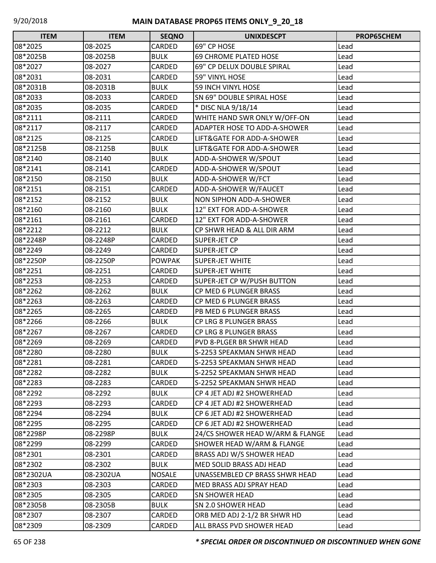| <b>ITEM</b> | <b>ITEM</b> | <b>SEQNO</b>  | <b>UNIXDESCPT</b>                   | <b>PROP65CHEM</b> |
|-------------|-------------|---------------|-------------------------------------|-------------------|
| 08*2025     | 08-2025     | CARDED        | 69" CP HOSE                         | Lead              |
| 08*2025B    | 08-2025B    | <b>BULK</b>   | 69 CHROME PLATED HOSE               | Lead              |
| 08*2027     | 08-2027     | <b>CARDED</b> | 69" CP DELUX DOUBLE SPIRAL          | Lead              |
| 08*2031     | 08-2031     | CARDED        | 59" VINYL HOSE                      | Lead              |
| 08*2031B    | 08-2031B    | <b>BULK</b>   | <b>59 INCH VINYL HOSE</b>           | Lead              |
| 08*2033     | 08-2033     | CARDED        | SN 69" DOUBLE SPIRAL HOSE           | Lead              |
| 08*2035     | 08-2035     | CARDED        | * DISC NLA 9/18/14                  | Lead              |
| 08*2111     | 08-2111     | CARDED        | WHITE HAND SWR ONLY W/OFF-ON        | Lead              |
| 08*2117     | 08-2117     | CARDED        | <b>ADAPTER HOSE TO ADD-A-SHOWER</b> | Lead              |
| 08*2125     | 08-2125     | CARDED        | LIFT&GATE FOR ADD-A-SHOWER          | Lead              |
| 08*2125B    | 08-2125B    | <b>BULK</b>   | LIFT&GATE FOR ADD-A-SHOWER          | Lead              |
| 08*2140     | 08-2140     | <b>BULK</b>   | ADD-A-SHOWER W/SPOUT                | Lead              |
| 08*2141     | 08-2141     | CARDED        | ADD-A-SHOWER W/SPOUT                | Lead              |
| 08*2150     | 08-2150     | <b>BULK</b>   | ADD-A-SHOWER W/FCT                  | Lead              |
| 08*2151     | 08-2151     | CARDED        | ADD-A-SHOWER W/FAUCET               | Lead              |
| 08*2152     | 08-2152     | <b>BULK</b>   | NON SIPHON ADD-A-SHOWER             | Lead              |
| 08*2160     | 08-2160     | <b>BULK</b>   | 12" EXT FOR ADD-A-SHOWER            | Lead              |
| 08*2161     | 08-2161     | CARDED        | 12" EXT FOR ADD-A-SHOWER            | Lead              |
| 08*2212     | 08-2212     | <b>BULK</b>   | CP SHWR HEAD & ALL DIR ARM          | Lead              |
| 08*2248P    | 08-2248P    | CARDED        | SUPER-JET CP                        | Lead              |
| 08*2249     | 08-2249     | CARDED        | <b>SUPER-JET CP</b>                 | Lead              |
| 08*2250P    | 08-2250P    | <b>POWPAK</b> | <b>SUPER-JET WHITE</b>              | Lead              |
| 08*2251     | 08-2251     | CARDED        | <b>SUPER-JET WHITE</b>              | Lead              |
| 08*2253     | 08-2253     | CARDED        | SUPER-JET CP W/PUSH BUTTON          | Lead              |
| 08*2262     | 08-2262     | <b>BULK</b>   | CP MED 6 PLUNGER BRASS              | Lead              |
| 08*2263     | 08-2263     | CARDED        | CP MED 6 PLUNGER BRASS              | Lead              |
| 08*2265     | 08-2265     | CARDED        | PB MED 6 PLUNGER BRASS              | Lead              |
| 08*2266     | 08-2266     | <b>BULK</b>   | CP LRG 8 PLUNGER BRASS              | Lead              |
| 08*2267     | 08-2267     | CARDED        | <b>CP LRG 8 PLUNGER BRASS</b>       | Lead              |
| 08*2269     | 08-2269     | <b>CARDED</b> | PVD 8-PLGER BR SHWR HEAD            | Lead              |
| 08*2280     | 08-2280     | <b>BULK</b>   | S-2253 SPEAKMAN SHWR HEAD           | Lead              |
| 08*2281     | 08-2281     | CARDED        | S-2253 SPEAKMAN SHWR HEAD           | Lead              |
| 08*2282     | 08-2282     | <b>BULK</b>   | S-2252 SPEAKMAN SHWR HEAD           | Lead              |
| 08*2283     | 08-2283     | CARDED        | S-2252 SPEAKMAN SHWR HEAD           | Lead              |
| 08*2292     | 08-2292     | <b>BULK</b>   | CP 4 JET ADJ #2 SHOWERHEAD          | Lead              |
| 08*2293     | 08-2293     | CARDED        | CP 4 JET ADJ #2 SHOWERHEAD          | Lead              |
| 08*2294     | 08-2294     | <b>BULK</b>   | CP 6 JET ADJ #2 SHOWERHEAD          | Lead              |
| 08*2295     | 08-2295     | CARDED        | CP 6 JET ADJ #2 SHOWERHEAD          | Lead              |
| 08*2298P    | 08-2298P    | <b>BULK</b>   | 24/CS SHOWER HEAD W/ARM & FLANGE    | Lead              |
| 08*2299     | 08-2299     | CARDED        | SHOWER HEAD W/ARM & FLANGE          | Lead              |
| 08*2301     | 08-2301     | CARDED        | BRASS ADJ W/S SHOWER HEAD           | Lead              |
| 08*2302     | 08-2302     | <b>BULK</b>   | MED SOLID BRASS ADJ HEAD            | Lead              |
| 08*2302UA   | 08-2302UA   | <b>NOSALE</b> | UNASSEMBLED CP BRASS SHWR HEAD      | Lead              |
| 08*2303     | 08-2303     | CARDED        | MED BRASS ADJ SPRAY HEAD            | Lead              |
| 08*2305     | 08-2305     | CARDED        | <b>SN SHOWER HEAD</b>               | Lead              |
| 08*2305B    | 08-2305B    | <b>BULK</b>   | SN 2.0 SHOWER HEAD                  | Lead              |
| 08*2307     | 08-2307     | CARDED        | ORB MED ADJ 2-1/2 BR SHWR HD        | Lead              |
| 08*2309     | 08-2309     | CARDED        | ALL BRASS PVD SHOWER HEAD           | Lead              |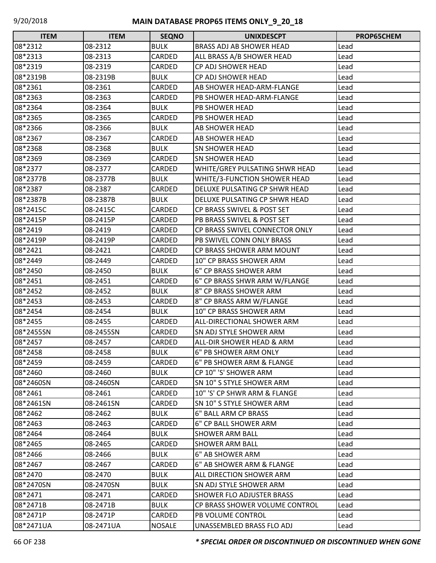| <b>ITEM</b> | <b>ITEM</b> | <b>SEQNO</b>  | <b>UNIXDESCPT</b>                 | PROP65CHEM |
|-------------|-------------|---------------|-----------------------------------|------------|
| 08*2312     | 08-2312     | <b>BULK</b>   | BRASS ADJ AB SHOWER HEAD          | Lead       |
| 08*2313     | 08-2313     | CARDED        | ALL BRASS A/B SHOWER HEAD         | Lead       |
| 08*2319     | 08-2319     | <b>CARDED</b> | CP ADJ SHOWER HEAD                | Lead       |
| 08*2319B    | 08-2319B    | <b>BULK</b>   | CP ADJ SHOWER HEAD                | Lead       |
| 08*2361     | 08-2361     | CARDED        | AB SHOWER HEAD-ARM-FLANGE         | Lead       |
| 08*2363     | 08-2363     | CARDED        | PB SHOWER HEAD-ARM-FLANGE         | Lead       |
| 08*2364     | 08-2364     | <b>BULK</b>   | <b>PB SHOWER HEAD</b>             | Lead       |
| 08*2365     | 08-2365     | CARDED        | <b>PB SHOWER HEAD</b>             | Lead       |
| 08*2366     | 08-2366     | <b>BULK</b>   | AB SHOWER HEAD                    | Lead       |
| 08*2367     | 08-2367     | CARDED        | <b>AB SHOWER HEAD</b>             | Lead       |
| 08*2368     | 08-2368     | <b>BULK</b>   | <b>SN SHOWER HEAD</b>             | Lead       |
| 08*2369     | 08-2369     | CARDED        | <b>SN SHOWER HEAD</b>             | Lead       |
| 08*2377     | 08-2377     | CARDED        | WHITE/GREY PULSATING SHWR HEAD    | Lead       |
| 08*2377B    | 08-2377B    | <b>BULK</b>   | WHITE/3-FUNCTION SHOWER HEAD      | Lead       |
| 08*2387     | 08-2387     | <b>CARDED</b> | DELUXE PULSATING CP SHWR HEAD     | Lead       |
| 08*2387B    | 08-2387B    | <b>BULK</b>   | DELUXE PULSATING CP SHWR HEAD     | Lead       |
| 08*2415C    | 08-2415C    | CARDED        | CP BRASS SWIVEL & POST SET        | Lead       |
| 08*2415P    | 08-2415P    | CARDED        | PB BRASS SWIVEL & POST SET        | Lead       |
| 08*2419     | 08-2419     | CARDED        | CP BRASS SWIVEL CONNECTOR ONLY    | Lead       |
| 08*2419P    | 08-2419P    | CARDED        | PB SWIVEL CONN ONLY BRASS         | Lead       |
| 08*2421     | 08-2421     | CARDED        | CP BRASS SHOWER ARM MOUNT         | Lead       |
| 08*2449     | 08-2449     | CARDED        | 10" CP BRASS SHOWER ARM           | Lead       |
| 08*2450     | 08-2450     | <b>BULK</b>   | 6" CP BRASS SHOWER ARM            | Lead       |
| 08*2451     | 08-2451     | CARDED        | 6" CP BRASS SHWR ARM W/FLANGE     | Lead       |
| 08*2452     | 08-2452     | <b>BULK</b>   | 8" CP BRASS SHOWER ARM            | Lead       |
| 08*2453     | 08-2453     | CARDED        | 8" CP BRASS ARM W/FLANGE          | Lead       |
| 08*2454     | 08-2454     | <b>BULK</b>   | 10" CP BRASS SHOWER ARM           | Lead       |
| 08*2455     | 08-2455     | CARDED        | <b>ALL-DIRECTIONAL SHOWER ARM</b> | Lead       |
| 08*2455SN   | 08-2455SN   | CARDED        | <b>SN ADJ STYLE SHOWER ARM</b>    | Lead       |
| 08*2457     | 08-2457     | CARDED        | ALL-DIR SHOWER HEAD & ARM         | Lead       |
| 08*2458     | 08-2458     | <b>BULK</b>   | 6" PB SHOWER ARM ONLY             | Lead       |
| 08*2459     | 08-2459     | CARDED        | 6" PB SHOWER ARM & FLANGE         | Lead       |
| 08*2460     | 08-2460     | <b>BULK</b>   | CP 10" 'S' SHOWER ARM             | Lead       |
| 08*2460SN   | 08-2460SN   | CARDED        | SN 10" S STYLE SHOWER ARM         | Lead       |
| 08*2461     | 08-2461     | CARDED        | 10" 'S' CP SHWR ARM & FLANGE      | Lead       |
| 08*2461SN   | 08-2461SN   | CARDED        | SN 10" S STYLE SHOWER ARM         | Lead       |
| 08*2462     | 08-2462     | <b>BULK</b>   | 6" BALL ARM CP BRASS              | Lead       |
| 08*2463     | 08-2463     | CARDED        | 6" CP BALL SHOWER ARM             | Lead       |
| 08*2464     | 08-2464     | <b>BULK</b>   | <b>SHOWER ARM BALL</b>            | Lead       |
| 08*2465     | 08-2465     | <b>CARDED</b> | <b>SHOWER ARM BALL</b>            | Lead       |
| 08*2466     | 08-2466     | <b>BULK</b>   | 6" AB SHOWER ARM                  | Lead       |
| 08*2467     | 08-2467     | CARDED        | 6" AB SHOWER ARM & FLANGE         | Lead       |
| 08*2470     | 08-2470     | <b>BULK</b>   | ALL DIRECTION SHOWER ARM          | Lead       |
| 08*2470SN   | 08-2470SN   | <b>BULK</b>   | SN ADJ STYLE SHOWER ARM           | Lead       |
| 08*2471     | 08-2471     | <b>CARDED</b> | <b>SHOWER FLO ADJUSTER BRASS</b>  | Lead       |
| 08*2471B    | 08-2471B    | <b>BULK</b>   | CP BRASS SHOWER VOLUME CONTROL    | Lead       |
| 08*2471P    | 08-2471P    | CARDED        | PB VOLUME CONTROL                 | Lead       |
| 08*2471UA   | 08-2471UA   | <b>NOSALE</b> | UNASSEMBLED BRASS FLO ADJ         | Lead       |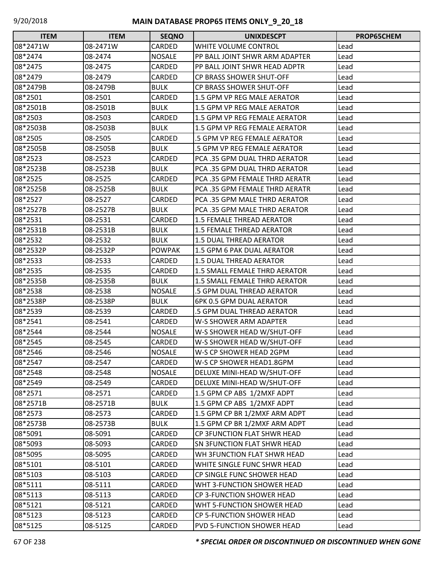| <b>ITEM</b> | <b>ITEM</b> | <b>SEQNO</b>  | <b>UNIXDESCPT</b>                  | PROP65CHEM |
|-------------|-------------|---------------|------------------------------------|------------|
| 08*2471W    | 08-2471W    | CARDED        | WHITE VOLUME CONTROL               | Lead       |
| 08*2474     | 08-2474     | <b>NOSALE</b> | PP BALL JOINT SHWR ARM ADAPTER     | Lead       |
| 08*2475     | 08-2475     | CARDED        | PP BALL JOINT SHWR HEAD ADPTR      | Lead       |
| 08*2479     | 08-2479     | CARDED        | <b>CP BRASS SHOWER SHUT-OFF</b>    | Lead       |
| 08*2479B    | 08-2479B    | <b>BULK</b>   | <b>CP BRASS SHOWER SHUT-OFF</b>    | Lead       |
| 08*2501     | 08-2501     | CARDED        | 1.5 GPM VP REG MALE AERATOR        | Lead       |
| 08*2501B    | 08-2501B    | <b>BULK</b>   | 1.5 GPM VP REG MALE AERATOR        | Lead       |
| 08*2503     | 08-2503     | CARDED        | 1.5 GPM VP REG FEMALE AERATOR      | Lead       |
| 08*2503B    | 08-2503B    | <b>BULK</b>   | 1.5 GPM VP REG FEMALE AERATOR      | Lead       |
| 08*2505     | 08-2505     | CARDED        | .5 GPM VP REG FEMALE AERATOR       | Lead       |
| 08*2505B    | 08-2505B    | <b>BULK</b>   | .5 GPM VP REG FEMALE AERATOR       | Lead       |
| 08*2523     | 08-2523     | <b>CARDED</b> | PCA .35 GPM DUAL THRD AERATOR      | Lead       |
| 08*2523B    | 08-2523B    | <b>BULK</b>   | PCA .35 GPM DUAL THRD AERATOR      | Lead       |
| 08*2525     | 08-2525     | CARDED        | PCA .35 GPM FEMALE THRD AERATR     | Lead       |
| 08*2525B    | 08-2525B    | <b>BULK</b>   | PCA .35 GPM FEMALE THRD AERATR     | Lead       |
| 08*2527     | 08-2527     | <b>CARDED</b> | PCA .35 GPM MALE THRD AERATOR      | Lead       |
| 08*2527B    | 08-2527B    | <b>BULK</b>   | PCA .35 GPM MALE THRD AERATOR      | Lead       |
| 08*2531     | 08-2531     | CARDED        | 1.5 FEMALE THREAD AERATOR          | Lead       |
| 08*2531B    | 08-2531B    | <b>BULK</b>   | <b>1.5 FEMALE THREAD AERATOR</b>   | Lead       |
| 08*2532     | 08-2532     | <b>BULK</b>   | 1.5 DUAL THREAD AERATOR            | Lead       |
| 08*2532P    | 08-2532P    | <b>POWPAK</b> | 1.5 GPM 6 PAK DUAL AERATOR         | Lead       |
| 08*2533     | 08-2533     | CARDED        | 1.5 DUAL THREAD AERATOR            | Lead       |
| 08*2535     | 08-2535     | CARDED        | 1.5 SMALL FEMALE THRD AERATOR      | Lead       |
| 08*2535B    | 08-2535B    | <b>BULK</b>   | 1.5 SMALL FEMALE THRD AERATOR      | Lead       |
| 08*2538     | 08-2538     | <b>NOSALE</b> | .5 GPM DUAL THREAD AERATOR         | Lead       |
| 08*2538P    | 08-2538P    | <b>BULK</b>   | 6PK 0.5 GPM DUAL AERATOR           | Lead       |
| 08*2539     | 08-2539     | CARDED        | .5 GPM DUAL THREAD AERATOR         | Lead       |
| 08*2541     | 08-2541     | CARDED        | W-S SHOWER ARM ADAPTER             | Lead       |
| 08*2544     | 08-2544     | <b>NOSALE</b> | W-S SHOWER HEAD W/SHUT-OFF         | Lead       |
| 08*2545     | 08-2545     | CARDED        | W-S SHOWER HEAD W/SHUT-OFF         | Lead       |
| 08*2546     | 08-2546     | <b>NOSALE</b> | W-S CP SHOWER HEAD 2GPM            | Lead       |
| 08*2547     | 08-2547     | CARDED        | W-S CP SHOWER HEAD1.8GPM           | Lead       |
| 08*2548     | 08-2548     | <b>NOSALE</b> | DELUXE MINI-HEAD W/SHUT-OFF        | Lead       |
| 08*2549     | 08-2549     | CARDED        | DELUXE MINI-HEAD W/SHUT-OFF        | Lead       |
| 08*2571     | 08-2571     | CARDED        | 1.5 GPM CP ABS 1/2MXF ADPT         | Lead       |
| 08*2571B    | 08-2571B    | <b>BULK</b>   | 1.5 GPM CP ABS 1/2MXF ADPT         | Lead       |
| 08*2573     | 08-2573     | CARDED        | 1.5 GPM CP BR 1/2MXF ARM ADPT      | Lead       |
| 08*2573B    | 08-2573B    | <b>BULK</b>   | 1.5 GPM CP BR 1/2MXF ARM ADPT      | Lead       |
| 08*5091     | 08-5091     | CARDED        | <b>CP 3FUNCTION FLAT SHWR HEAD</b> | Lead       |
| 08*5093     | 08-5093     | CARDED        | <b>SN 3FUNCTION FLAT SHWR HEAD</b> | Lead       |
| 08*5095     | 08-5095     | CARDED        | WH 3FUNCTION FLAT SHWR HEAD        | Lead       |
| 08*5101     | 08-5101     | CARDED        | WHITE SINGLE FUNC SHWR HEAD        | Lead       |
| 08*5103     | 08-5103     | CARDED        | CP SINGLE FUNC SHOWER HEAD         | Lead       |
| 08*5111     | 08-5111     | CARDED        | WHT 3-FUNCTION SHOWER HEAD         | Lead       |
| 08*5113     | 08-5113     | CARDED        | CP 3-FUNCTION SHOWER HEAD          | Lead       |
| 08*5121     | 08-5121     | CARDED        | WHT 5-FUNCTION SHOWER HEAD         | Lead       |
| 08*5123     | 08-5123     | CARDED        | CP 5-FUNCTION SHOWER HEAD          | Lead       |
| 08*5125     | 08-5125     | CARDED        | PVD 5-FUNCTION SHOWER HEAD         | Lead       |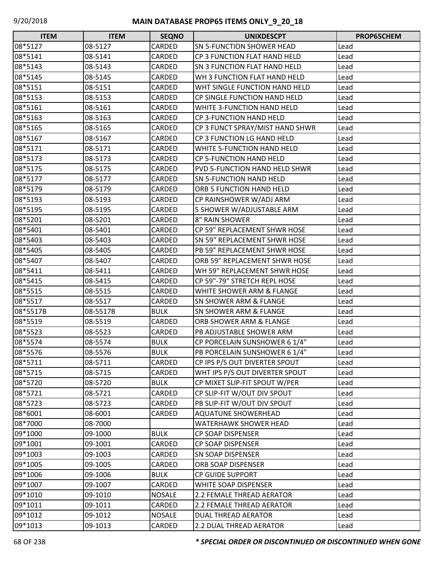| <b>ITEM</b> | <b>ITEM</b> | <b>SEQNO</b>  | <b>UNIXDESCPT</b>                   | <b>PROP65CHEM</b> |
|-------------|-------------|---------------|-------------------------------------|-------------------|
| 08*5127     | 08-5127     | CARDED        | <b>SN 5-FUNCTION SHOWER HEAD</b>    | Lead              |
| 08*5141     | 08-5141     | CARDED        | CP 3 FUNCTION FLAT HAND HELD        | Lead              |
| 08*5143     | 08-5143     | CARDED        | <b>SN 3 FUNCTION FLAT HAND HELD</b> | Lead              |
| 08*5145     | 08-5145     | CARDED        | WH 3 FUNCTION FLAT HAND HELD        | Lead              |
| 08*5151     | 08-5151     | CARDED        | WHT SINGLE FUNCTION HAND HELD       | Lead              |
| 08*5153     | 08-5153     | CARDED        | <b>CP SINGLE FUNCTION HAND HELD</b> | Lead              |
| 08*5161     | 08-5161     | CARDED        | WHITE 3-FUNCTION HAND HELD          | Lead              |
| 08*5163     | 08-5163     | CARDED        | CP 3-FUNCTION HAND HELD             | Lead              |
| 08*5165     | 08-5165     | CARDED        | CP 3 FUNCT SPRAY/MIST HAND SHWR     | Lead              |
| 08*5167     | 08-5167     | CARDED        | CP 3 FUNCTION LG HAND HELD          | Lead              |
| 08*5171     | 08-5171     | CARDED        | WHITE 5-FUNCTION HAND HELD          | Lead              |
| 08*5173     | 08-5173     | CARDED        | CP 5-FUNCTION HAND HELD             | Lead              |
| 08*5175     | 08-5175     | CARDED        | PVD 5-FUNCTION HAND HELD SHWR       | Lead              |
| 08*5177     | 08-5177     | CARDED        | <b>SN 5-FUNCTION HAND HELD</b>      | Lead              |
| 08*5179     | 08-5179     | <b>CARDED</b> | ORB 5 FUNCTION HAND HELD            | Lead              |
| 08*5193     | 08-5193     | CARDED        | CP RAINSHOWER W/ADJ ARM             | Lead              |
| 08*5195     | 08-5195     | CARDED        | 5 SHOWER W/ADJUSTABLE ARM           | Lead              |
| 08*5201     | 08-5201     | CARDED        | 8" RAIN SHOWER                      | Lead              |
| 08*5401     | 08-5401     | CARDED        | CP 59" REPLACEMENT SHWR HOSE        | Lead              |
| 08*5403     | 08-5403     | <b>CARDED</b> | SN 59" REPLACEMENT SHWR HOSE        | Lead              |
| 08*5405     | 08-5405     | CARDED        | PB 59" REPLACEMENT SHWR HOSE        | Lead              |
| 08*5407     | 08-5407     | CARDED        | ORB 59" REPLACEMENT SHWR HOSE       | Lead              |
| 08*5411     | 08-5411     | CARDED        | WH 59" REPLACEMENT SHWR HOSE        | Lead              |
| 08*5415     | 08-5415     | CARDED        | CP 59"-79" STRETCH REPL HOSE        | Lead              |
| 08*5515     | 08-5515     | CARDED        | WHITE SHOWER ARM & FLANGE           | Lead              |
| 08*5517     | 08-5517     | CARDED        | <b>SN SHOWER ARM &amp; FLANGE</b>   | Lead              |
| 08*5517B    | 08-5517B    | <b>BULK</b>   | SN SHOWER ARM & FLANGE              | Lead              |
| 08*5519     | 08-5519     | CARDED        | ORB SHOWER ARM & FLANGE             | Lead              |
| 08*5523     | 08-5523     | CARDED        | PB ADJUSTABLE SHOWER ARM            | Lead              |
| 08*5574     | 08-5574     | <b>BULK</b>   | CP PORCELAIN SUNSHOWER 6 1/4"       | Lead              |
| 08*5576     | 08-5576     | <b>BULK</b>   | PB PORCELAIN SUNSHOWER 6 1/4"       | Lead              |
| 08*5711     | 08-5711     | CARDED        | CP IPS P/S OUT DIVERTER SPOUT       | Lead              |
| 08*5715     | 08-5715     | CARDED        | WHT IPS P/S OUT DIVERTER SPOUT      | Lead              |
| 08*5720     | 08-5720     | <b>BULK</b>   | CP MIXET SLIP-FIT SPOUT W/PER       | Lead              |
| 08*5721     | 08-5721     | CARDED        | CP SLIP-FIT W/OUT DIV SPOUT         | Lead              |
| 08*5723     | 08-5723     | CARDED        | PB SLIP-FIT W/OUT DIV SPOUT         | Lead              |
| 08*6001     | 08-6001     | CARDED        | <b>AQUATUNE SHOWERHEAD</b>          | Lead              |
| 08*7000     | 08-7000     |               | WATERHAWK SHOWER HEAD               | Lead              |
| 09*1000     | 09-1000     | <b>BULK</b>   | <b>CP SOAP DISPENSER</b>            | Lead              |
| 09*1001     | 09-1001     | CARDED        | CP SOAP DISPENSER                   | Lead              |
| 09*1003     | 09-1003     | CARDED        | <b>SN SOAP DISPENSER</b>            | Lead              |
| 09*1005     | 09-1005     | CARDED        | ORB SOAP DISPENSER                  | Lead              |
| 09*1006     | 09-1006     | <b>BULK</b>   | <b>CP GUIDE SUPPORT</b>             | Lead              |
| 09*1007     | 09-1007     | CARDED        | WHITE SOAP DISPENSER                | Lead              |
| 09*1010     | 09-1010     | NOSALE        | 2.2 FEMALE THREAD AERATOR           | Lead              |
| 09*1011     | 09-1011     | CARDED        | 2.2 FEMALE THREAD AERATOR           | Lead              |
| 09*1012     | 09-1012     | <b>NOSALE</b> | DUAL THREAD AERATOR                 | Lead              |
| 09*1013     | 09-1013     | CARDED        | 2.2 DUAL THREAD AERATOR             | Lead              |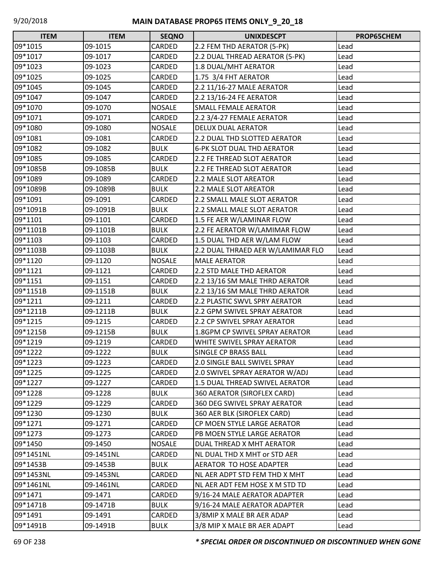| <b>ITEM</b> | <b>ITEM</b> | <b>SEQNO</b>  | <b>UNIXDESCPT</b>                 | PROP65CHEM |
|-------------|-------------|---------------|-----------------------------------|------------|
| 09*1015     | 09-1015     | CARDED        | 2.2 FEM THD AERATOR (5-PK)        | Lead       |
| 09*1017     | 09-1017     | CARDED        | 2.2 DUAL THREAD AERATOR (5-PK)    | Lead       |
| 09*1023     | 09-1023     | CARDED        | 1.8 DUAL/MHT AERATOR              | Lead       |
| 09*1025     | 09-1025     | CARDED        | 1.75 3/4 FHT AERATOR              | Lead       |
| 09*1045     | 09-1045     | CARDED        | 2.2 11/16-27 MALE AERATOR         | Lead       |
| 09*1047     | 09-1047     | CARDED        | 2.2 13/16-24 FE AERATOR           | Lead       |
| 09*1070     | 09-1070     | <b>NOSALE</b> | <b>SMALL FEMALE AERATOR</b>       | Lead       |
| 09*1071     | 09-1071     | CARDED        | 2.2 3/4-27 FEMALE AERATOR         | Lead       |
| 09*1080     | 09-1080     | <b>NOSALE</b> | <b>DELUX DUAL AERATOR</b>         | Lead       |
| 09*1081     | 09-1081     | CARDED        | 2.2 DUAL THD SLOTTED AERATOR      | Lead       |
| 09*1082     | 09-1082     | <b>BULK</b>   | <b>6-PK SLOT DUAL THD AERATOR</b> | Lead       |
| 09*1085     | 09-1085     | CARDED        | 2.2 FE THREAD SLOT AERATOR        | Lead       |
| 09*1085B    | 09-1085B    | <b>BULK</b>   | 2.2 FE THREAD SLOT AERATOR        | Lead       |
| 09*1089     | 09-1089     | CARDED        | 2.2 MALE SLOT AREATOR             | Lead       |
| 09*1089B    | 09-1089B    | <b>BULK</b>   | 2.2 MALE SLOT AREATOR             | Lead       |
| 09*1091     | 09-1091     | <b>CARDED</b> | 2.2 SMALL MALE SLOT AERATOR       | Lead       |
| 09*1091B    | 09-1091B    | <b>BULK</b>   | 2.2 SMALL MALE SLOT AERATOR       | Lead       |
| 09*1101     | 09-1101     | CARDED        | 1.5 FE AER W/LAMINAR FLOW         | Lead       |
| 09*1101B    | 09-1101B    | <b>BULK</b>   | 2.2 FE AERATOR W/LAMIMAR FLOW     | Lead       |
| 09*1103     | 09-1103     | CARDED        | 1.5 DUAL THD AER W/LAM FLOW       | Lead       |
| 09*1103B    | 09-1103B    | <b>BULK</b>   | 2.2 DUAL THRAED AER W/LAMIMAR FLO | Lead       |
| 09*1120     | 09-1120     | <b>NOSALE</b> | <b>MALE AERATOR</b>               | Lead       |
| 09*1121     | 09-1121     | CARDED        | 2.2 STD MALE THD AERATOR          | Lead       |
| 09*1151     | 09-1151     | CARDED        | 2.2 13/16 SM MALE THRD AERATOR    | Lead       |
| 09*1151B    | 09-1151B    | <b>BULK</b>   | 2.2 13/16 SM MALE THRD AERATOR    | Lead       |
| 09*1211     | 09-1211     | CARDED        | 2.2 PLASTIC SWVL SPRY AERATOR     | Lead       |
| 09*1211B    | 09-1211B    | <b>BULK</b>   | 2.2 GPM SWIVEL SPRAY AERATOR      | Lead       |
| 09*1215     | 09-1215     | CARDED        | 2.2 CP SWIVEL SPRAY AERATOR       | Lead       |
| 09*1215B    | 09-1215B    | <b>BULK</b>   | 1.8GPM CP SWIVEL SPRAY AERATOR    | Lead       |
| 09*1219     | 09-1219     | CARDED        | WHITE SWIVEL SPRAY AERATOR        | Lead       |
| 09*1222     | 09-1222     | <b>BULK</b>   | SINGLE CP BRASS BALL              | Lead       |
| 09*1223     | 09-1223     | CARDED        | 2.0 SINGLE BALL SWIVEL SPRAY      | Lead       |
| 09*1225     | 09-1225     | CARDED        | 2.0 SWIVEL SPRAY AERATOR W/ADJ    | Lead       |
| 09*1227     | 09-1227     | CARDED        | 1.5 DUAL THREAD SWIVEL AERATOR    | Lead       |
| 09*1228     | 09-1228     | <b>BULK</b>   | 360 AERATOR (SIROFLEX CARD)       | Lead       |
| 09*1229     | 09-1229     | CARDED        | 360 DEG SWIVEL SPRAY AERATOR      | Lead       |
| 09*1230     | 09-1230     | <b>BULK</b>   | 360 AER BLK (SIROFLEX CARD)       | Lead       |
| 09*1271     | 09-1271     | CARDED        | CP MOEN STYLE LARGE AERATOR       | Lead       |
| 09*1273     | 09-1273     | CARDED        | PB MOEN STYLE LARGE AERATOR       | Lead       |
| 09*1450     | 09-1450     | <b>NOSALE</b> | DUAL THREAD X MHT AERATOR         | Lead       |
| 09*1451NL   | 09-1451NL   | CARDED        | NL DUAL THD X MHT or STD AER      | Lead       |
| 09*1453B    | 09-1453B    | <b>BULK</b>   | AERATOR TO HOSE ADAPTER           | Lead       |
| 09*1453NL   | 09-1453NL   | CARDED        | NL AER ADPT STD FEM THD X MHT     | Lead       |
| 09*1461NL   | 09-1461NL   | CARDED        | NL AER ADT FEM HOSE X M STD TD    | Lead       |
| 09*1471     | 09-1471     | CARDED        | 9/16-24 MALE AERATOR ADAPTER      | Lead       |
| 09*1471B    | 09-1471B    | <b>BULK</b>   | 9/16-24 MALE AERATOR ADAPTER      | Lead       |
| 09*1491     | 09-1491     | CARDED        | 3/8MIP X MALE BR AER ADAP         | Lead       |
| 09*1491B    | 09-1491B    | <b>BULK</b>   | 3/8 MIP X MALE BR AER ADAPT       | Lead       |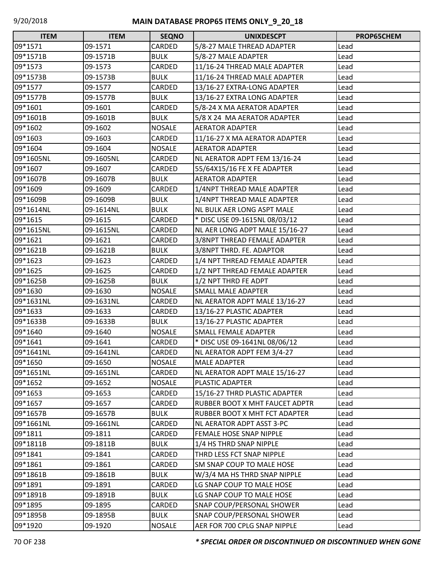| <b>ITEM</b> | <b>ITEM</b> | <b>SEQNO</b>  | <b>UNIXDESCPT</b>                 | PROP65CHEM |
|-------------|-------------|---------------|-----------------------------------|------------|
| 09*1571     | 09-1571     | CARDED        | 5/8-27 MALE THREAD ADAPTER        | Lead       |
| 09*1571B    | 09-1571B    | <b>BULK</b>   | 5/8-27 MALE ADAPTER               | Lead       |
| 09*1573     | 09-1573     | CARDED        | 11/16-24 THREAD MALE ADAPTER      | Lead       |
| 09*1573B    | 09-1573B    | <b>BULK</b>   | 11/16-24 THREAD MALE ADAPTER      | Lead       |
| 09*1577     | 09-1577     | CARDED        | 13/16-27 EXTRA-LONG ADAPTER       | Lead       |
| 09*1577B    | 09-1577B    | <b>BULK</b>   | 13/16-27 EXTRA LONG ADAPTER       | Lead       |
| 09*1601     | 09-1601     | CARDED        | 5/8-24 X MA AERATOR ADAPTER       | Lead       |
| 09*1601B    | 09-1601B    | <b>BULK</b>   | 5/8 X 24 MA AERATOR ADAPTER       | Lead       |
| 09*1602     | 09-1602     | <b>NOSALE</b> | <b>AERATOR ADAPTER</b>            | Lead       |
| 09*1603     | 09-1603     | CARDED        | 11/16-27 X MA AERATOR ADAPTER     | Lead       |
| 09*1604     | 09-1604     | <b>NOSALE</b> | <b>AERATOR ADAPTER</b>            | Lead       |
| 09*1605NL   | 09-1605NL   | CARDED        | NL AERATOR ADPT FEM 13/16-24      | Lead       |
| 09*1607     | 09-1607     | CARDED        | 55/64X15/16 FE X FE ADAPTER       | Lead       |
| 09*1607B    | 09-1607B    | <b>BULK</b>   | <b>AERATOR ADAPTER</b>            | Lead       |
| 09*1609     | 09-1609     | CARDED        | 1/4NPT THREAD MALE ADAPTER        | Lead       |
| 09*1609B    | 09-1609B    | <b>BULK</b>   | 1/4NPT THREAD MALE ADAPTER        | Lead       |
| 09*1614NL   | 09-1614NL   | <b>BULK</b>   | <b>NL BULK AER LONG ASPT MALE</b> | Lead       |
| 09*1615     | 09-1615     | CARDED        | * DISC USE 09-1615NL 08/03/12     | Lead       |
| 09*1615NL   | 09-1615NL   | CARDED        | NL AER LONG ADPT MALE 15/16-27    | Lead       |
| 09*1621     | 09-1621     | CARDED        | 3/8NPT THREAD FEMALE ADAPTER      | Lead       |
| 09*1621B    | 09-1621B    | <b>BULK</b>   | 3/8NPT THRD. FE. ADAPTOR          | Lead       |
| 09*1623     | 09-1623     | CARDED        | 1/4 NPT THREAD FEMALE ADAPTER     | Lead       |
| 09*1625     | 09-1625     | CARDED        | 1/2 NPT THREAD FEMALE ADAPTER     | Lead       |
| 09*1625B    | 09-1625B    | <b>BULK</b>   | 1/2 NPT THRD FE ADPT              | Lead       |
| 09*1630     | 09-1630     | <b>NOSALE</b> | <b>SMALL MALE ADAPTER</b>         | Lead       |
| 09*1631NL   | 09-1631NL   | CARDED        | NL AERATOR ADPT MALE 13/16-27     | Lead       |
| 09*1633     | 09-1633     | CARDED        | 13/16-27 PLASTIC ADAPTER          | Lead       |
| 09*1633B    | 09-1633B    | <b>BULK</b>   | 13/16-27 PLASTIC ADAPTER          | Lead       |
| 09*1640     | 09-1640     | <b>NOSALE</b> | <b>SMALL FEMALE ADAPTER</b>       | Lead       |
| 09*1641     | 09-1641     | CARDED        | * DISC USE 09-1641NL 08/06/12     | Lead       |
| 09*1641NL   | 09-1641NL   | CARDED        | NL AERATOR ADPT FEM 3/4-27        | Lead       |
| 09*1650     | 09-1650     | <b>NOSALE</b> | <b>MALE ADAPTER</b>               | Lead       |
| 09*1651NL   | 09-1651NL   | CARDED        | NL AERATOR ADPT MALE 15/16-27     | Lead       |
| 09*1652     | 09-1652     | <b>NOSALE</b> | PLASTIC ADAPTER                   | Lead       |
| 09*1653     | 09-1653     | CARDED        | 15/16-27 THRD PLASTIC ADAPTER     | Lead       |
| 09*1657     | 09-1657     | CARDED        | RUBBER BOOT X MHT FAUCET ADPTR    | Lead       |
| 09*1657B    | 09-1657B    | <b>BULK</b>   | RUBBER BOOT X MHT FCT ADAPTER     | Lead       |
| 09*1661NL   | 09-1661NL   | CARDED        | <b>NL AERATOR ADPT ASST 3-PC</b>  | Lead       |
| 09*1811     | 09-1811     | CARDED        | FEMALE HOSE SNAP NIPPLE           | Lead       |
| 09*1811B    | 09-1811B    | <b>BULK</b>   | 1/4 HS THRD SNAP NIPPLE           | Lead       |
| 09*1841     | 09-1841     | CARDED        | THRD LESS FCT SNAP NIPPLE         | Lead       |
| 09*1861     | 09-1861     | CARDED        | SM SNAP COUP TO MALE HOSE         | Lead       |
| 09*1861B    | 09-1861B    | <b>BULK</b>   | W/3/4 MA HS THRD SNAP NIPPLE      | Lead       |
| 09*1891     | 09-1891     | CARDED        | LG SNAP COUP TO MALE HOSE         | Lead       |
| 09*1891B    | 09-1891B    | <b>BULK</b>   | LG SNAP COUP TO MALE HOSE         | Lead       |
| 09*1895     | 09-1895     | CARDED        | SNAP COUP/PERSONAL SHOWER         | Lead       |
| 09*1895B    | 09-1895B    | <b>BULK</b>   | SNAP COUP/PERSONAL SHOWER         | Lead       |
| 09*1920     | 09-1920     | <b>NOSALE</b> | AER FOR 700 CPLG SNAP NIPPLE      | Lead       |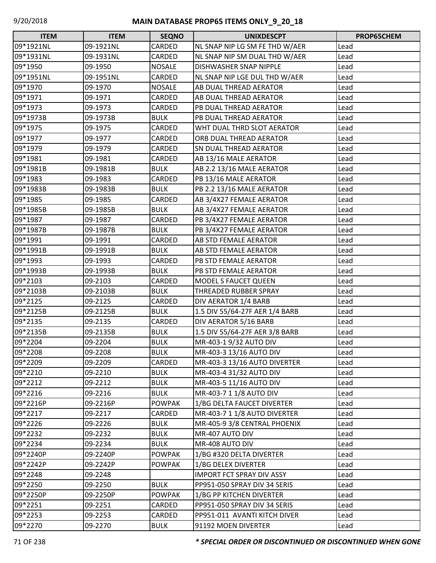| <b>ITEM</b> | <b>ITEM</b> | <b>SEQNO</b>  | <b>UNIXDESCPT</b>                | PROP65CHEM |
|-------------|-------------|---------------|----------------------------------|------------|
| 09*1921NL   | 09-1921NL   | CARDED        | NL SNAP NIP LG SM FE THD W/AER   | Lead       |
| 09*1931NL   | 09-1931NL   | CARDED        | NL SNAP NIP SM DUAL THD W/AER    | Lead       |
| 09*1950     | 09-1950     | <b>NOSALE</b> | <b>DISHWASHER SNAP NIPPLE</b>    | Lead       |
| 09*1951NL   | 09-1951NL   | CARDED        | NL SNAP NIP LGE DUL THD W/AER    | Lead       |
| 09*1970     | 09-1970     | <b>NOSALE</b> | AB DUAL THREAD AERATOR           | Lead       |
| 09*1971     | 09-1971     | CARDED        | AB DUAL THREAD AERATOR           | Lead       |
| 09*1973     | 09-1973     | CARDED        | PB DUAL THREAD AERATOR           | Lead       |
| 09*1973B    | 09-1973B    | <b>BULK</b>   | PB DUAL THREAD AERATOR           | Lead       |
| 09*1975     | 09-1975     | CARDED        | WHT DUAL THRD SLOT AERATOR       | Lead       |
| 09*1977     | 09-1977     | CARDED        | ORB DUAL THREAD AERATOR          | Lead       |
| 09*1979     | 09-1979     | CARDED        | <b>SN DUAL THREAD AERATOR</b>    | Lead       |
| 09*1981     | 09-1981     | CARDED        | AB 13/16 MALE AERATOR            | Lead       |
| 09*1981B    | 09-1981B    | <b>BULK</b>   | AB 2.2 13/16 MALE AERATOR        | Lead       |
| 09*1983     | 09-1983     | CARDED        | PB 13/16 MALE AERATOR            | Lead       |
| 09*1983B    | 09-1983B    | <b>BULK</b>   | PB 2.2 13/16 MALE AERATOR        | Lead       |
| 09*1985     | 09-1985     | CARDED        | AB 3/4X27 FEMALE AERATOR         | Lead       |
| 09*1985B    | 09-1985B    | <b>BULK</b>   | AB 3/4X27 FEMALE AERATOR         | Lead       |
| 09*1987     | 09-1987     | CARDED        | PB 3/4X27 FEMALE AERATOR         | Lead       |
| 09*1987B    | 09-1987B    | <b>BULK</b>   | PB 3/4X27 FEMALE AERATOR         | Lead       |
| 09*1991     | 09-1991     | CARDED        | <b>AB STD FEMALE AERATOR</b>     | Lead       |
| 09*1991B    | 09-1991B    | <b>BULK</b>   | <b>AB STD FEMALE AERATOR</b>     | Lead       |
| 09*1993     | 09-1993     | CARDED        | PB STD FEMALE AERATOR            | Lead       |
| 09*1993B    | 09-1993B    | <b>BULK</b>   | PB STD FEMALE AERATOR            | Lead       |
| 09*2103     | 09-2103     | CARDED        | <b>MODEL S FAUCET QUEEN</b>      | Lead       |
| 09*2103B    | 09-2103B    | <b>BULK</b>   | <b>THREADED RUBBER SPRAY</b>     | Lead       |
| 09*2125     | 09-2125     | CARDED        | DIV AERATOR 1/4 BARB             | Lead       |
| 09*2125B    | 09-2125B    | <b>BULK</b>   | 1.5 DIV 55/64-27F AER 1/4 BARB   | Lead       |
| 09*2135     | 09-2135     | CARDED        | DIV AERATOR 5/16 BARB            | Lead       |
| 09*2135B    | 09-2135B    | <b>BULK</b>   | 1.5 DIV 55/64-27F AER 3/8 BARB   | Lead       |
| 09*2204     | 09-2204     | <b>BULK</b>   | MR-403-1 9/32 AUTO DIV           | Lead       |
| 09*2208     | 09-2208     | <b>BULK</b>   | MR-403-3 13/16 AUTO DIV          | Lead       |
| 09*2209     | 09-2209     | CARDED        | MR-403-3 13/16 AUTO DIVERTER     | Lead       |
| 09*2210     | 09-2210     | <b>BULK</b>   | MR-403-4 31/32 AUTO DIV          | Lead       |
| 09*2212     | 09-2212     | <b>BULK</b>   | MR-403-5 11/16 AUTO DIV          | Lead       |
| 09*2216     | 09-2216     | <b>BULK</b>   | MR-403-7 1 1/8 AUTO DIV          | Lead       |
| 09*2216P    | 09-2216P    | <b>POWPAK</b> | 1/BG DELTA FAUCET DIVERTER       | Lead       |
| 09*2217     | 09-2217     | CARDED        | MR-403-7 1 1/8 AUTO DIVERTER     | Lead       |
| 09*2226     | 09-2226     | <b>BULK</b>   | MR-405-9 3/8 CENTRAL PHOENIX     | Lead       |
| 09*2232     | 09-2232     | <b>BULK</b>   | MR-407 AUTO DIV                  | Lead       |
| 09*2234     | 09-2234     | <b>BULK</b>   | MR-408 AUTO DIV                  | Lead       |
| 09*2240P    | 09-2240P    | <b>POWPAK</b> | 1/BG #320 DELTA DIVERTER         | Lead       |
| 09*2242P    | 09-2242P    | <b>POWPAK</b> | 1/BG DELEX DIVERTER              | Lead       |
| 09*2248     | 09-2248     |               | <b>IMPORT FCT SPRAY DIV ASSY</b> | Lead       |
| 09*2250     | 09-2250     | <b>BULK</b>   | PP951-050 SPRAY DIV 34 SERIS     | Lead       |
| 09*2250P    | 09-2250P    | <b>POWPAK</b> | 1/BG PP KITCHEN DIVERTER         | Lead       |
| 09*2251     | 09-2251     | CARDED        | PP951-050 SPRAY DIV 34 SERIS     | Lead       |
| 09*2253     | 09-2253     | CARDED        | PP951-011 AVANTI KITCH DIVER     | Lead       |
| 09*2270     | 09-2270     | <b>BULK</b>   | 91192 MOEN DIVERTER              | Lead       |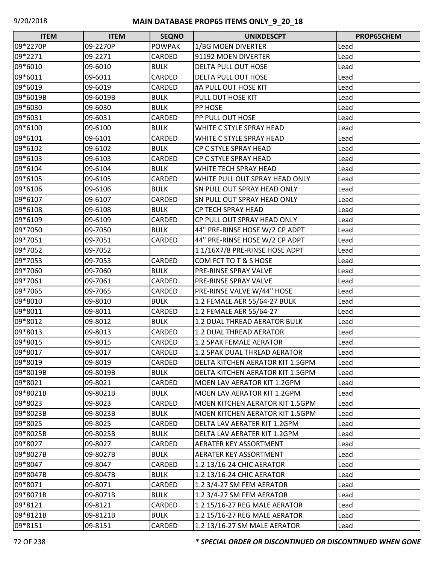| <b>ITEM</b> | <b>ITEM</b> | <b>SEQNO</b>  | <b>UNIXDESCPT</b>                      | PROP65CHEM |
|-------------|-------------|---------------|----------------------------------------|------------|
| 09*2270P    | 09-2270P    | <b>POWPAK</b> | 1/BG MOEN DIVERTER                     | Lead       |
| 09*2271     | 09-2271     | CARDED        | 91192 MOEN DIVERTER                    | Lead       |
| 09*6010     | 09-6010     | <b>BULK</b>   | DELTA PULL OUT HOSE                    | Lead       |
| 09*6011     | 09-6011     | CARDED        | DELTA PULL OUT HOSE                    | Lead       |
| 09*6019     | 09-6019     | CARDED        | #A PULL OUT HOSE KIT                   | Lead       |
| 09*6019B    | 09-6019B    | <b>BULK</b>   | PULL OUT HOSE KIT                      | Lead       |
| 09*6030     | 09-6030     | <b>BULK</b>   | <b>PP HOSE</b>                         | Lead       |
| 09*6031     | 09-6031     | CARDED        | PP PULL OUT HOSE                       | Lead       |
| 09*6100     | 09-6100     | <b>BULK</b>   | WHITE C STYLE SPRAY HEAD               | Lead       |
| 09*6101     | 09-6101     | CARDED        | WHITE C STYLE SPRAY HEAD               | Lead       |
| 09*6102     | 09-6102     | <b>BULK</b>   | CP C STYLE SPRAY HEAD                  | Lead       |
| 09*6103     | 09-6103     | CARDED        | CP C STYLE SPRAY HEAD                  | Lead       |
| 09*6104     | 09-6104     | <b>BULK</b>   | WHITE TECH SPRAY HEAD                  | Lead       |
| 09*6105     | 09-6105     | CARDED        | WHITE PULL OUT SPRAY HEAD ONLY         | Lead       |
| 09*6106     | 09-6106     | <b>BULK</b>   | SN PULL OUT SPRAY HEAD ONLY            | Lead       |
| 09*6107     | 09-6107     | CARDED        | SN PULL OUT SPRAY HEAD ONLY            | Lead       |
| 09*6108     | 09-6108     | <b>BULK</b>   | CP TECH SPRAY HEAD                     | Lead       |
| 09*6109     | 09-6109     | CARDED        | CP PULL OUT SPRAY HEAD ONLY            | Lead       |
| 09*7050     | 09-7050     | <b>BULK</b>   | 44" PRE-RINSE HOSE W/2 CP ADPT         | Lead       |
| 09*7051     | 09-7051     | CARDED        | 44" PRE-RINSE HOSE W/2 CP ADPT         | Lead       |
| 09*7052     | 09-7052     |               | 11/16X7/8 PRE-RINSE HOSE ADPT          | Lead       |
| 09*7053     | 09-7053     | CARDED        | COM FCT TO T & S HOSE                  | Lead       |
| 09*7060     | 09-7060     | <b>BULK</b>   | PRE-RINSE SPRAY VALVE                  | Lead       |
| 09*7061     | 09-7061     | CARDED        | PRE-RINSE SPRAY VALVE                  | Lead       |
| 09*7065     | 09-7065     | CARDED        | PRE-RINSE VALVE W/44" HOSE             | Lead       |
| 09*8010     | 09-8010     | <b>BULK</b>   | 1.2 FEMALE AER 55/64-27 BULK           | Lead       |
| 09*8011     | 09-8011     | CARDED        | 1.2 FEMALE AER 55/64-27                | Lead       |
| 09*8012     | 09-8012     | <b>BULK</b>   | 1.2 DUAL THREAD AERATOR BULK           | Lead       |
| 09*8013     | 09-8013     | CARDED        | 1.2 DUAL THREAD AERATOR                | Lead       |
| 09*8015     | 09-8015     | CARDED        | <b>1.2 5PAK FEMALE AERATOR</b>         | Lead       |
| 09*8017     | 09-8017     | <b>CARDED</b> | 1.2 5PAK DUAL THREAD AERATOR           | Lead       |
| 09*8019     | 09-8019     | CARDED        | DELTA KITCHEN AERATOR KIT 1.5GPM       | Lead       |
| 09*8019B    | 09-8019B    | <b>BULK</b>   | DELTA KITCHEN AERATOR KIT 1.5GPM       | Lead       |
| 09*8021     | 09-8021     | CARDED        | MOEN LAV AERATOR KIT 1.2GPM            | Lead       |
| 09*8021B    | 09-8021B    | <b>BULK</b>   | MOEN LAV AERATOR KIT 1.2GPM            | Lead       |
| 09*8023     | 09-8023     | <b>CARDED</b> | MOEN KITCHEN AERATOR KIT 1.5GPM        | Lead       |
| 09*8023B    | 09-8023B    | <b>BULK</b>   | <b>MOEN KITCHEN AERATOR KIT 1.5GPM</b> | Lead       |
| 09*8025     | 09-8025     | CARDED        | DELTA LAV AERATER KIT 1.2GPM           | Lead       |
| 09*8025B    | 09-8025B    | <b>BULK</b>   | DELTA LAV AERATER KIT 1.2GPM           | Lead       |
| 09*8027     | 09-8027     | CARDED        | AERATER KEY ASSORTMENT                 | Lead       |
| 09*8027B    | 09-8027B    | <b>BULK</b>   | AERATER KEY ASSORTMENT                 | Lead       |
| 09*8047     | 09-8047     | CARDED        | 1.2 13/16-24 CHIC AERATOR              | Lead       |
| 09*8047B    | 09-8047B    | <b>BULK</b>   | 1.2 13/16-24 CHIC AERATOR              | Lead       |
| 09*8071     | 09-8071     | CARDED        | 1.2 3/4-27 SM FEM AERATOR              | Lead       |
| 09*8071B    | 09-8071B    | <b>BULK</b>   | 1.2 3/4-27 SM FEM AERATOR              | Lead       |
| 09*8121     | 09-8121     | CARDED        | 1.2 15/16-27 REG MALE AERATOR          | Lead       |
| 09*8121B    | 09-8121B    | <b>BULK</b>   | 1.2 15/16-27 REG MALE AERATOR          | Lead       |
| 09*8151     | 09-8151     | CARDED        | 1.2 13/16-27 SM MALE AERATOR           | Lead       |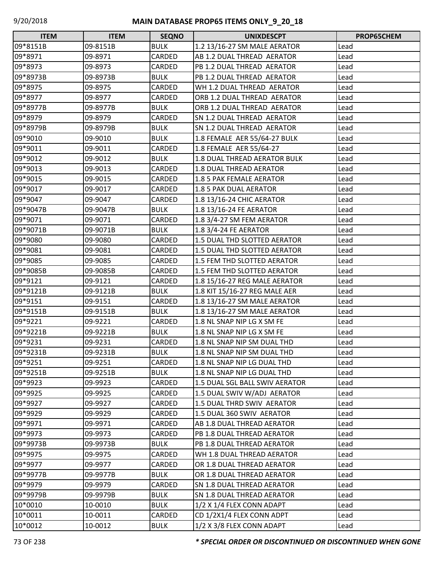| <b>ITEM</b> | <b>ITEM</b> | <b>SEQNO</b>  | <b>UNIXDESCPT</b>                 | PROP65CHEM |
|-------------|-------------|---------------|-----------------------------------|------------|
| 09*8151B    | 09-8151B    | <b>BULK</b>   | 1.2 13/16-27 SM MALE AERATOR      | Lead       |
| 09*8971     | 09-8971     | <b>CARDED</b> | AB 1.2 DUAL THREAD AERATOR        | Lead       |
| 09*8973     | 09-8973     | <b>CARDED</b> | PB 1.2 DUAL THREAD AERATOR        | Lead       |
| 09*8973B    | 09-8973B    | <b>BULK</b>   | PB 1.2 DUAL THREAD AERATOR        | Lead       |
| 09*8975     | 09-8975     | <b>CARDED</b> | WH 1.2 DUAL THREAD AERATOR        | Lead       |
| 09*8977     | 09-8977     | CARDED        | ORB 1.2 DUAL THREAD AERATOR       | Lead       |
| 09*8977B    | 09-8977B    | <b>BULK</b>   | ORB 1.2 DUAL THREAD AERATOR       | Lead       |
| 09*8979     | 09-8979     | CARDED        | SN 1.2 DUAL THREAD AERATOR        | Lead       |
| 09*8979B    | 09-8979B    | <b>BULK</b>   | SN 1.2 DUAL THREAD AERATOR        | Lead       |
| 09*9010     | 09-9010     | <b>BULK</b>   | 1.8 FEMALE AER 55/64-27 BULK      | Lead       |
| 09*9011     | 09-9011     | CARDED        | 1.8 FEMALE AER 55/64-27           | Lead       |
| 09*9012     | 09-9012     | <b>BULK</b>   | 1.8 DUAL THREAD AERATOR BULK      | Lead       |
| 09*9013     | 09-9013     | CARDED        | 1.8 DUAL THREAD AERATOR           | Lead       |
| 09*9015     | 09-9015     | CARDED        | 1.8 5 PAK FEMALE AERATOR          | Lead       |
| 09*9017     | 09-9017     | CARDED        | 1.8 5 PAK DUAL AERATOR            | Lead       |
| 09*9047     | 09-9047     | CARDED        | 1.8 13/16-24 CHIC AERATOR         | Lead       |
| 09*9047B    | 09-9047B    | <b>BULK</b>   | 1.8 13/16-24 FE AERATOR           | Lead       |
| 09*9071     | 09-9071     | CARDED        | 1.8 3/4-27 SM FEM AERATOR         | Lead       |
| 09*9071B    | 09-9071B    | <b>BULK</b>   | 1.8 3/4-24 FE AERATOR             | Lead       |
| 09*9080     | 09-9080     | CARDED        | 1.5 DUAL THD SLOTTED AERATOR      | Lead       |
| 09*9081     | 09-9081     | CARDED        | 1.5 DUAL THD SLOTTED AERATOR      | Lead       |
| 09*9085     | 09-9085     | CARDED        | 1.5 FEM THD SLOTTED AERATOR       | Lead       |
| 09*9085B    | 09-9085B    | CARDED        | 1.5 FEM THD SLOTTED AERATOR       | Lead       |
| 09*9121     | 09-9121     | CARDED        | 1.8 15/16-27 REG MALE AERATOR     | Lead       |
| 09*9121B    | 09-9121B    | <b>BULK</b>   | 1.8 KIT 15/16-27 REG MALE AER     | Lead       |
| 09*9151     | 09-9151     | CARDED        | 1.8 13/16-27 SM MALE AERATOR      | Lead       |
| 09*9151B    | 09-9151B    | <b>BULK</b>   | 1.8 13/16-27 SM MALE AERATOR      | Lead       |
| 09*9221     | 09-9221     | CARDED        | 1.8 NL SNAP NIP LG X SM FE        | Lead       |
| 09*9221B    | 09-9221B    | <b>BULK</b>   | 1.8 NL SNAP NIP LG X SM FE        | Lead       |
| 09*9231     | 09-9231     | CARDED        | 1.8 NL SNAP NIP SM DUAL THD       | Lead       |
| 09*9231B    | 09-9231B    | <b>BULK</b>   | 1.8 NL SNAP NIP SM DUAL THD       | Lead       |
| 09*9251     | 09-9251     | CARDED        | 1.8 NL SNAP NIP LG DUAL THD       | Lead       |
| 09*9251B    | 09-9251B    | <b>BULK</b>   | 1.8 NL SNAP NIP LG DUAL THD       | Lead       |
| 09*9923     | 09-9923     | CARDED        | 1.5 DUAL SGL BALL SWIV AERATOR    | Lead       |
| 09*9925     | 09-9925     | CARDED        | 1.5 DUAL SWIV W/ADJ AERATOR       | Lead       |
| 09*9927     | 09-9927     | CARDED        | 1.5 DUAL THRD SWIV AERATOR        | Lead       |
| 09*9929     | 09-9929     | <b>CARDED</b> | 1.5 DUAL 360 SWIV AERATOR         | Lead       |
| 09*9971     | 09-9971     | CARDED        | AB 1.8 DUAL THREAD AERATOR        | Lead       |
| 09*9973     | 09-9973     | CARDED        | PB 1.8 DUAL THREAD AERATOR        | Lead       |
| 09*9973B    | 09-9973B    | <b>BULK</b>   | PB 1.8 DUAL THREAD AERATOR        | Lead       |
| 09*9975     | 09-9975     | CARDED        | WH 1.8 DUAL THREAD AERATOR        | Lead       |
| 09*9977     | 09-9977     | CARDED        | OR 1.8 DUAL THREAD AERATOR        | Lead       |
| 09*9977B    | 09-9977B    | <b>BULK</b>   | OR 1.8 DUAL THREAD AERATOR        | Lead       |
| 09*9979     | 09-9979     | CARDED        | SN 1.8 DUAL THREAD AERATOR        | Lead       |
| 09*9979B    | 09-9979B    | <b>BULK</b>   | <b>SN 1.8 DUAL THREAD AERATOR</b> | Lead       |
| 10*0010     | 10-0010     | <b>BULK</b>   | 1/2 X 1/4 FLEX CONN ADAPT         | Lead       |
| 10*0011     | 10-0011     | CARDED        | CD 1/2X1/4 FLEX CONN ADPT         | Lead       |
| 10*0012     | 10-0012     | <b>BULK</b>   | $1/2$ X 3/8 FLEX CONN ADAPT       | Lead       |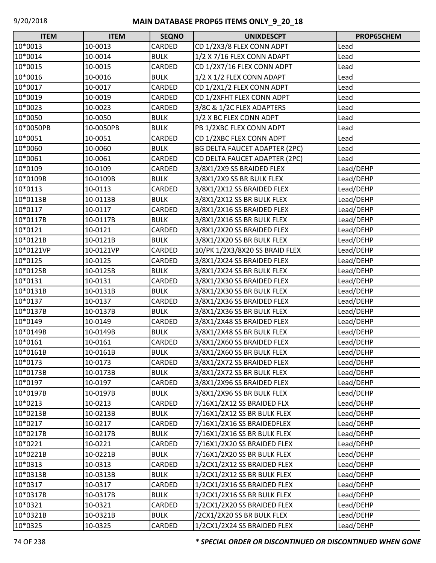| <b>ITEM</b> | <b>ITEM</b> | <b>SEQNO</b> | <b>UNIXDESCPT</b>              | PROP65CHEM |
|-------------|-------------|--------------|--------------------------------|------------|
| 10*0013     | 10-0013     | CARDED       | CD 1/2X3/8 FLEX CONN ADPT      | Lead       |
| 10*0014     | 10-0014     | <b>BULK</b>  | 1/2 X 7/16 FLEX CONN ADAPT     | Lead       |
| 10*0015     | 10-0015     | CARDED       | CD 1/2X7/16 FLEX CONN ADPT     | Lead       |
| 10*0016     | 10-0016     | <b>BULK</b>  | 1/2 X 1/2 FLEX CONN ADAPT      | Lead       |
| 10*0017     | 10-0017     | CARDED       | CD 1/2X1/2 FLEX CONN ADPT      | Lead       |
| 10*0019     | 10-0019     | CARDED       | CD 1/2XFHT FLEX CONN ADPT      | Lead       |
| 10*0023     | 10-0023     | CARDED       | 3/8C & 1/2C FLEX ADAPTERS      | Lead       |
| 10*0050     | 10-0050     | <b>BULK</b>  | 1/2 X BC FLEX CONN ADPT        | Lead       |
| 10*0050PB   | 10-0050PB   | <b>BULK</b>  | PB 1/2XBC FLEX CONN ADPT       | Lead       |
| 10*0051     | 10-0051     | CARDED       | CD 1/2XBC FLEX CONN ADPT       | Lead       |
| 10*0060     | 10-0060     | <b>BULK</b>  | BG DELTA FAUCET ADAPTER (2PC)  | Lead       |
| 10*0061     | 10-0061     | CARDED       | CD DELTA FAUCET ADAPTER (2PC)  | Lead       |
| 10*0109     | 10-0109     | CARDED       | 3/8X1/2X9 SS BRAIDED FLEX      | Lead/DEHP  |
| 10*0109B    | 10-0109B    | <b>BULK</b>  | 3/8X1/2X9 SS BR BULK FLEX      | Lead/DEHP  |
| 10*0113     | 10-0113     | CARDED       | 3/8X1/2X12 SS BRAIDED FLEX     | Lead/DEHP  |
| 10*0113B    | 10-0113B    | <b>BULK</b>  | 3/8X1/2X12 SS BR BULK FLEX     | Lead/DEHP  |
| 10*0117     | 10-0117     | CARDED       | 3/8X1/2X16 SS BRAIDED FLEX     | Lead/DEHP  |
| 10*0117B    | 10-0117B    | <b>BULK</b>  | 3/8X1/2X16 SS BR BULK FLEX     | Lead/DEHP  |
| 10*0121     | 10-0121     | CARDED       | 3/8X1/2X20 SS BRAIDED FLEX     | Lead/DEHP  |
| 10*0121B    | 10-0121B    | <b>BULK</b>  | 3/8X1/2X20 SS BR BULK FLEX     | Lead/DEHP  |
| 10*0121VP   | 10-0121VP   | CARDED       | 10/PK 1/2X3/8X20 SS BRAID FLEX | Lead/DEHP  |
| 10*0125     | 10-0125     | CARDED       | 3/8X1/2X24 SS BRAIDED FLEX     | Lead/DEHP  |
| 10*0125B    | 10-0125B    | <b>BULK</b>  | 3/8X1/2X24 SS BR BULK FLEX     | Lead/DEHP  |
| 10*0131     | 10-0131     | CARDED       | 3/8X1/2X30 SS BRAIDED FLEX     | Lead/DEHP  |
| 10*0131B    | 10-0131B    | <b>BULK</b>  | 3/8X1/2X30 SS BR BULK FLEX     | Lead/DEHP  |
| 10*0137     | 10-0137     | CARDED       | 3/8X1/2X36 SS BRAIDED FLEX     | Lead/DEHP  |
| 10*0137B    | 10-0137B    | <b>BULK</b>  | 3/8X1/2X36 SS BR BULK FLEX     | Lead/DEHP  |
| 10*0149     | 10-0149     | CARDED       | 3/8X1/2X48 SS BRAIDED FLEX     | Lead/DEHP  |
| 10*0149B    | 10-0149B    | <b>BULK</b>  | 3/8X1/2X48 SS BR BULK FLEX     | Lead/DEHP  |
| 10*0161     | 10-0161     | CARDED       | 3/8X1/2X60 SS BRAIDED FLEX     | Lead/DEHP  |
| 10*0161B    | 10-0161B    | <b>BULK</b>  | 3/8X1/2X60 SS BR BULK FLEX     | Lead/DEHP  |
| 10*0173     | 10-0173     | CARDED       | 3/8X1/2X72 SS BRAIDED FLEX     | Lead/DEHP  |
| 10*0173B    | 10-0173B    | <b>BULK</b>  | 3/8X1/2X72 SS BR BULK FLEX     | Lead/DEHP  |
| 10*0197     | 10-0197     | CARDED       | 3/8X1/2X96 SS BRAIDED FLEX     | Lead/DEHP  |
| 10*0197B    | 10-0197B    | <b>BULK</b>  | 3/8X1/2X96 SS BR BULK FLEX     | Lead/DEHP  |
| 10*0213     | 10-0213     | CARDED       | 7/16X1/2X12 SS BRAIDED FLX     | Lead/DEHP  |
| 10*0213B    | 10-0213B    | <b>BULK</b>  | 7/16X1/2X12 SS BR BULK FLEX    | Lead/DEHP  |
| 10*0217     | 10-0217     | CARDED       | 7/16X1/2X16 SS BRAIDEDFLEX     | Lead/DEHP  |
| 10*0217B    | 10-0217B    | <b>BULK</b>  | 7/16X1/2X16 SS BR BULK FLEX    | Lead/DEHP  |
| 10*0221     | 10-0221     | CARDED       | 7/16X1/2X20 SS BRAIDED FLEX    | Lead/DEHP  |
| 10*0221B    | 10-0221B    | <b>BULK</b>  | 7/16X1/2X20 SS BR BULK FLEX    | Lead/DEHP  |
| 10*0313     | 10-0313     | CARDED       | 1/2CX1/2X12 SS BRAIDED FLEX    | Lead/DEHP  |
| 10*0313B    | 10-0313B    | <b>BULK</b>  | 1/2CX1/2X12 SS BR BULK FLEX    | Lead/DEHP  |
| 10*0317     | 10-0317     | CARDED       | 1/2CX1/2X16 SS BRAIDED FLEX    | Lead/DEHP  |
| 10*0317B    | 10-0317B    | <b>BULK</b>  | 1/2CX1/2X16 SS BR BULK FLEX    | Lead/DEHP  |
| 10*0321     | 10-0321     | CARDED       | 1/2CX1/2X20 SS BRAIDED FLEX    | Lead/DEHP  |
| 10*0321B    | 10-0321B    | <b>BULK</b>  | /2CX1/2X20 SS BR BULK FLEX     | Lead/DEHP  |
| 10*0325     | 10-0325     | CARDED       | 1/2CX1/2X24 SS BRAIDED FLEX    | Lead/DEHP  |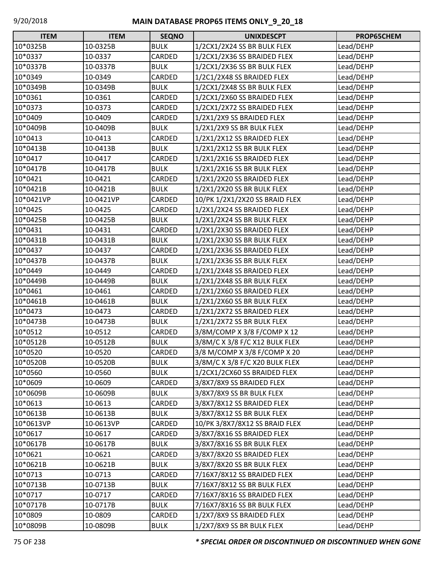| $\Box$<br><b>ITEM</b> | <b>ITEM</b> | <b>SEQNO</b>  | <b>UNIXDESCPT</b>              | PROP65CHEM |
|-----------------------|-------------|---------------|--------------------------------|------------|
| 10*0325B              | 10-0325B    | <b>BULK</b>   | 1/2CX1/2X24 SS BR BULK FLEX    | Lead/DEHP  |
| 10*0337               | 10-0337     | <b>CARDED</b> | 1/2CX1/2X36 SS BRAIDED FLEX    | Lead/DEHP  |
| 10*0337B              | 10-0337B    | <b>BULK</b>   | 1/2CX1/2X36 SS BR BULK FLEX    | Lead/DEHP  |
| 10*0349               | 10-0349     | CARDED        | 1/2C1/2X48 SS BRAIDED FLEX     | Lead/DEHP  |
| 10*0349B              | 10-0349B    | <b>BULK</b>   | 1/2CX1/2X48 SS BR BULK FLEX    | Lead/DEHP  |
| 10*0361               | 10-0361     | CARDED        | 1/2CX1/2X60 SS BRAIDED FLEX    | Lead/DEHP  |
| 10*0373               | 10-0373     | CARDED        | 1/2CX1/2X72 SS BRAIDED FLEX    | Lead/DEHP  |
| 10*0409               | 10-0409     | CARDED        | 1/2X1/2X9 SS BRAIDED FLEX      | Lead/DEHP  |
| 10*0409B              | 10-0409B    | <b>BULK</b>   | 1/2X1/2X9 SS BR BULK FLEX      | Lead/DEHP  |
| 10*0413               | 10-0413     | CARDED        | 1/2X1/2X12 SS BRAIDED FLEX     | Lead/DEHP  |
| 10*0413B              | 10-0413B    | <b>BULK</b>   | 1/2X1/2X12 SS BR BULK FLEX     | Lead/DEHP  |
| 10*0417               | 10-0417     | CARDED        | 1/2X1/2X16 SS BRAIDED FLEX     | Lead/DEHP  |
| 10*0417B              | 10-0417B    | <b>BULK</b>   | 1/2X1/2X16 SS BR BULK FLEX     | Lead/DEHP  |
| 10*0421               | 10-0421     | CARDED        | 1/2X1/2X20 SS BRAIDED FLEX     | Lead/DEHP  |
| 10*0421B              | 10-0421B    | <b>BULK</b>   | 1/2X1/2X20 SS BR BULK FLEX     | Lead/DEHP  |
| 10*0421VP             | 10-0421VP   | CARDED        | 10/PK 1/2X1/2X20 SS BRAID FLEX | Lead/DEHP  |
| 10*0425               | 10-0425     | CARDED        | 1/2X1/2X24 SS BRAIDED FLEX     | Lead/DEHP  |
| 10*0425B              | 10-0425B    | <b>BULK</b>   | 1/2X1/2X24 SS BR BULK FLEX     | Lead/DEHP  |
| 10*0431               | 10-0431     | <b>CARDED</b> | 1/2X1/2X30 SS BRAIDED FLEX     | Lead/DEHP  |
| 10*0431B              | 10-0431B    | <b>BULK</b>   | 1/2X1/2X30 SS BR BULK FLEX     | Lead/DEHP  |
| 10*0437               | 10-0437     | CARDED        | 1/2X1/2X36 SS BRAIDED FLEX     | Lead/DEHP  |
| 10*0437B              | 10-0437B    | <b>BULK</b>   | 1/2X1/2X36 SS BR BULK FLEX     | Lead/DEHP  |
| 10*0449               | 10-0449     | CARDED        | 1/2X1/2X48 SS BRAIDED FLEX     | Lead/DEHP  |
| 10*0449B              | 10-0449B    | <b>BULK</b>   | 1/2X1/2X48 SS BR BULK FLEX     | Lead/DEHP  |
| 10*0461               | 10-0461     | CARDED        | 1/2X1/2X60 SS BRAIDED FLEX     | Lead/DEHP  |
| 10*0461B              | 10-0461B    | <b>BULK</b>   | 1/2X1/2X60 SS BR BULK FLEX     | Lead/DEHP  |
| 10*0473               | 10-0473     | CARDED        | 1/2X1/2X72 SS BRAIDED FLEX     | Lead/DEHP  |
| 10*0473B              | 10-0473B    | <b>BULK</b>   | 1/2X1/2X72 SS BR BULK FLEX     | Lead/DEHP  |
| 10*0512               | 10-0512     | CARDED        | 3/8M/COMP X 3/8 F/COMP X 12    | Lead/DEHP  |
| 10*0512B              | 10-0512B    | <b>BULK</b>   | 3/8M/C X 3/8 F/C X12 BULK FLEX | Lead/DEHP  |
| 10*0520               | 10-0520     | CARDED        | 3/8 M/COMP X 3/8 F/COMP X 20   | Lead/DEHP  |
| 10*0520B              | 10-0520B    | <b>BULK</b>   | 3/8M/C X 3/8 F/C X20 BULK FLEX | Lead/DEHP  |
| 10*0560               | 10-0560     | <b>BULK</b>   | 1/2CX1/2CX60 SS BRAIDED FLEX   | Lead/DEHP  |
| 10*0609               | 10-0609     | CARDED        | 3/8X7/8X9 SS BRAIDED FLEX      | Lead/DEHP  |
| 10*0609B              | 10-0609B    | <b>BULK</b>   | 3/8X7/8X9 SS BR BULK FLEX      | Lead/DEHP  |
| 10*0613               | 10-0613     | CARDED        | 3/8X7/8X12 SS BRAIDED FLEX     | Lead/DEHP  |
| 10*0613B              | 10-0613B    | <b>BULK</b>   | 3/8X7/8X12 SS BR BULK FLEX     | Lead/DEHP  |
| 10*0613VP             | 10-0613VP   | CARDED        | 10/PK 3/8X7/8X12 SS BRAID FLEX | Lead/DEHP  |
| 10*0617               | 10-0617     | CARDED        | 3/8X7/8X16 SS BRAIDED FLEX     | Lead/DEHP  |
| 10*0617B              | 10-0617B    | <b>BULK</b>   | 3/8X7/8X16 SS BR BULK FLEX     | Lead/DEHP  |
| 10*0621               | 10-0621     | CARDED        | 3/8X7/8X20 SS BRAIDED FLEX     | Lead/DEHP  |
| 10*0621B              | 10-0621B    | <b>BULK</b>   | 3/8X7/8X20 SS BR BULK FLEX     | Lead/DEHP  |
| 10*0713               | 10-0713     | CARDED        | 7/16X7/8X12 SS BRAIDED FLEX    | Lead/DEHP  |
| 10*0713B              | 10-0713B    | <b>BULK</b>   | 7/16X7/8X12 SS BR BULK FLEX    | Lead/DEHP  |
| 10*0717               | 10-0717     | CARDED        | 7/16X7/8X16 SS BRAIDED FLEX    | Lead/DEHP  |
| 10*0717B              | 10-0717B    | <b>BULK</b>   | 7/16X7/8X16 SS BR BULK FLEX    | Lead/DEHP  |
| 10*0809               | 10-0809     | CARDED        | 1/2X7/8X9 SS BRAIDED FLEX      | Lead/DEHP  |
| 10*0809B              | 10-0809B    | <b>BULK</b>   | 1/2X7/8X9 SS BR BULK FLEX      | Lead/DEHP  |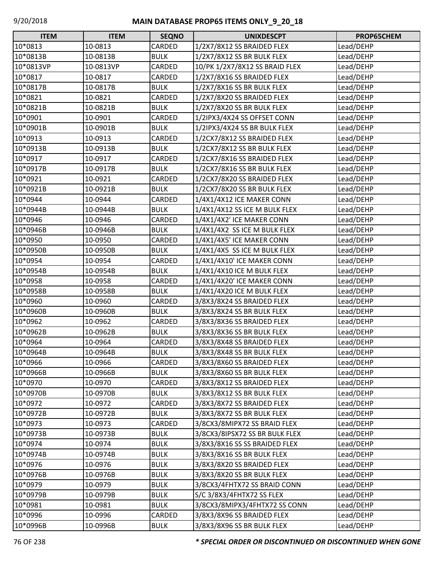| <b>ITEM</b> | <b>ITEM</b> | <b>SEQNO</b> | <b>UNIXDESCPT</b>              | PROP65CHEM |
|-------------|-------------|--------------|--------------------------------|------------|
| 10*0813     | 10-0813     | CARDED       | 1/2X7/8X12 SS BRAIDED FLEX     | Lead/DEHP  |
| 10*0813B    | 10-0813B    | <b>BULK</b>  | 1/2X7/8X12 SS BR BULK FLEX     | Lead/DEHP  |
| 10*0813VP   | 10-0813VP   | CARDED       | 10/PK 1/2X7/8X12 SS BRAID FLEX | Lead/DEHP  |
| 10*0817     | 10-0817     | CARDED       | 1/2X7/8X16 SS BRAIDED FLEX     | Lead/DEHP  |
| 10*0817B    | 10-0817B    | <b>BULK</b>  | 1/2X7/8X16 SS BR BULK FLEX     | Lead/DEHP  |
| 10*0821     | 10-0821     | CARDED       | 1/2X7/8X20 SS BRAIDED FLEX     | Lead/DEHP  |
| 10*0821B    | 10-0821B    | <b>BULK</b>  | 1/2X7/8X20 SS BR BULK FLEX     | Lead/DEHP  |
| 10*0901     | 10-0901     | CARDED       | 1/2IPX3/4X24 SS OFFSET CONN    | Lead/DEHP  |
| 10*0901B    | 10-0901B    | <b>BULK</b>  | 1/2IPX3/4X24 SS BR BULK FLEX   | Lead/DEHP  |
| 10*0913     | 10-0913     | CARDED       | 1/2CX7/8X12 SS BRAIDED FLEX    | Lead/DEHP  |
| 10*0913B    | 10-0913B    | <b>BULK</b>  | 1/2CX7/8X12 SS BR BULK FLEX    | Lead/DEHP  |
| 10*0917     | 10-0917     | CARDED       | 1/2CX7/8X16 SS BRAIDED FLEX    | Lead/DEHP  |
| 10*0917B    | 10-0917B    | <b>BULK</b>  | 1/2CX7/8X16 SS BR BULK FLEX    | Lead/DEHP  |
| 10*0921     | 10-0921     | CARDED       | 1/2CX7/8X20 SS BRAIDED FLEX    | Lead/DEHP  |
| 10*0921B    | 10-0921B    | <b>BULK</b>  | 1/2CX7/8X20 SS BR BULK FLEX    | Lead/DEHP  |
| 10*0944     | 10-0944     | CARDED       | 1/4X1/4X12 ICE MAKER CONN      | Lead/DEHP  |
| 10*0944B    | 10-0944B    | <b>BULK</b>  | 1/4X1/4X12 SS ICE M BULK FLEX  | Lead/DEHP  |
| 10*0946     | 10-0946     | CARDED       | 1/4X1/4X2' ICE MAKER CONN      | Lead/DEHP  |
| 10*0946B    | 10-0946B    | <b>BULK</b>  | 1/4X1/4X2 SS ICE M BULK FLEX   | Lead/DEHP  |
| 10*0950     | 10-0950     | CARDED       | 1/4X1/4X5' ICE MAKER CONN      | Lead/DEHP  |
| 10*0950B    | 10-0950B    | <b>BULK</b>  | 1/4X1/4X5 SS ICE M BULK FLEX   | Lead/DEHP  |
| 10*0954     | 10-0954     | CARDED       | 1/4X1/4X10' ICE MAKER CONN     | Lead/DEHP  |
| 10*0954B    | 10-0954B    | <b>BULK</b>  | 1/4X1/4X10 ICE M BULK FLEX     | Lead/DEHP  |
| 10*0958     | 10-0958     | CARDED       | 1/4X1/4X20' ICE MAKER CONN     | Lead/DEHP  |
| 10*0958B    | 10-0958B    | <b>BULK</b>  | 1/4X1/4X20 ICE M BULK FLEX     | Lead/DEHP  |
| 10*0960     | 10-0960     | CARDED       | 3/8X3/8X24 SS BRAIDED FLEX     | Lead/DEHP  |
| 10*0960B    | 10-0960B    | <b>BULK</b>  | 3/8X3/8X24 SS BR BULK FLEX     | Lead/DEHP  |
| 10*0962     | 10-0962     | CARDED       | 3/8X3/8X36 SS BRAIDED FLEX     | Lead/DEHP  |
| 10*0962B    | 10-0962B    | <b>BULK</b>  | 3/8X3/8X36 SS BR BULK FLEX     | Lead/DEHP  |
| 10*0964     | 10-0964     | CARDED       | 3/8X3/8X48 SS BRAIDED FLEX     | Lead/DEHP  |
| 10*0964B    | 10-0964B    | <b>BULK</b>  | 3/8X3/8X48 SS BR BULK FLEX     | Lead/DEHP  |
| 10*0966     | 10-0966     | CARDED       | 3/8X3/8X60 SS BRAIDED FLEX     | Lead/DEHP  |
| 10*0966B    | 10-0966B    | <b>BULK</b>  | 3/8X3/8X60 SS BR BULK FLEX     | Lead/DEHP  |
| 10*0970     | 10-0970     | CARDED       | 3/8X3/8X12 SS BRAIDED FLEX     | Lead/DEHP  |
| 10*0970B    | 10-0970B    | <b>BULK</b>  | 3/8X3/8X12 SS BR BULK FLEX     | Lead/DEHP  |
| 10*0972     | 10-0972     | CARDED       | 3/8X3/8X72 SS BRAIDED FLEX     | Lead/DEHP  |
| 10*0972B    | 10-0972B    | <b>BULK</b>  | 3/8X3/8X72 SS BR BULK FLEX     | Lead/DEHP  |
| 10*0973     | 10-0973     | CARDED       | 3/8CX3/8MIPX72 SS BRAID FLEX   | Lead/DEHP  |
| 10*0973B    | 10-0973B    | <b>BULK</b>  | 3/8CX3/8IPSX72 SS BR BULK FLEX | Lead/DEHP  |
| 10*0974     | 10-0974     | <b>BULK</b>  | 3/8X3/8X16 SS SS BRAIDED FLEX  | Lead/DEHP  |
| 10*0974B    | 10-0974B    | <b>BULK</b>  | 3/8X3/8X16 SS BR BULK FLEX     | Lead/DEHP  |
| 10*0976     | 10-0976     | <b>BULK</b>  | 3/8X3/8X20 SS BRAIDED FLEX     | Lead/DEHP  |
| 10*0976B    | 10-0976B    | <b>BULK</b>  | 3/8X3/8X20 SS BR BULK FLEX     | Lead/DEHP  |
| 10*0979     | 10-0979     | <b>BULK</b>  | 3/8CX3/4FHTX72 SS BRAID CONN   | Lead/DEHP  |
| 10*0979B    | 10-0979B    | <b>BULK</b>  | S/C 3/8X3/4FHTX72 SS FLEX      | Lead/DEHP  |
| 10*0981     | 10-0981     | <b>BULK</b>  | 3/8CX3/8MIPX3/4FHTX72 SS CONN  | Lead/DEHP  |
| 10*0996     | 10-0996     | CARDED       | 3/8X3/8X96 SS BRAIDED FLEX     | Lead/DEHP  |
| 10*0996B    | 10-0996B    | <b>BULK</b>  | 3/8X3/8X96 SS BR BULK FLEX     | Lead/DEHP  |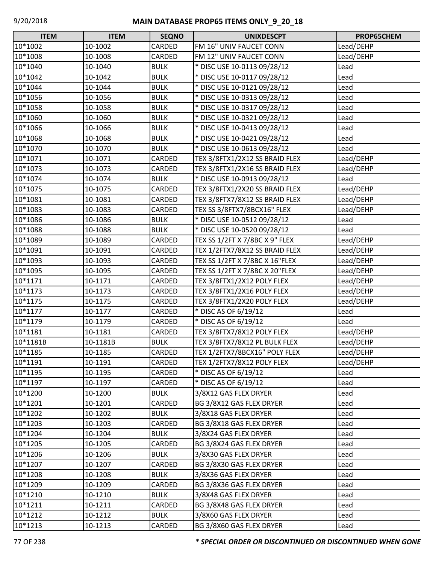| <b>ITEM</b> | <b>ITEM</b> | <b>SEQNO</b> | <b>UNIXDESCPT</b>              | PROP65CHEM |
|-------------|-------------|--------------|--------------------------------|------------|
| 10*1002     | 10-1002     | CARDED       | FM 16" UNIV FAUCET CONN        | Lead/DEHP  |
| 10*1008     | 10-1008     | CARDED       | FM 12" UNIV FAUCET CONN        | Lead/DEHP  |
| 10*1040     | 10-1040     | <b>BULK</b>  | * DISC USE 10-0113 09/28/12    | Lead       |
| 10*1042     | 10-1042     | <b>BULK</b>  | * DISC USE 10-0117 09/28/12    | Lead       |
| 10*1044     | 10-1044     | <b>BULK</b>  | * DISC USE 10-0121 09/28/12    | Lead       |
| 10*1056     | 10-1056     | <b>BULK</b>  | * DISC USE 10-0313 09/28/12    | Lead       |
| 10*1058     | 10-1058     | <b>BULK</b>  | * DISC USE 10-0317 09/28/12    | Lead       |
| 10*1060     | 10-1060     | <b>BULK</b>  | * DISC USE 10-0321 09/28/12    | Lead       |
| 10*1066     | 10-1066     | <b>BULK</b>  | * DISC USE 10-0413 09/28/12    | Lead       |
| 10*1068     | 10-1068     | <b>BULK</b>  | * DISC USE 10-0421 09/28/12    | Lead       |
| 10*1070     | 10-1070     | <b>BULK</b>  | * DISC USE 10-0613 09/28/12    | Lead       |
| 10*1071     | 10-1071     | CARDED       | TEX 3/8FTX1/2X12 SS BRAID FLEX | Lead/DEHP  |
| 10*1073     | 10-1073     | CARDED       | TEX 3/8FTX1/2X16 SS BRAID FLEX | Lead/DEHP  |
| 10*1074     | 10-1074     | <b>BULK</b>  | * DISC USE 10-0913 09/28/12    | Lead       |
| 10*1075     | 10-1075     | CARDED       | TEX 3/8FTX1/2X20 SS BRAID FLEX | Lead/DEHP  |
| 10*1081     | 10-1081     | CARDED       | TEX 3/8FTX7/8X12 SS BRAID FLEX | Lead/DEHP  |
| 10*1083     | 10-1083     | CARDED       | TEX SS 3/8FTX7/8BCX16" FLEX    | Lead/DEHP  |
| 10*1086     | 10-1086     | <b>BULK</b>  | * DISC USE 10-0512 09/28/12    | Lead       |
| 10*1088     | 10-1088     | <b>BULK</b>  | * DISC USE 10-0520 09/28/12    | Lead       |
| 10*1089     | 10-1089     | CARDED       | TEX SS 1/2FT X 7/8BC X 9" FLEX | Lead/DEHP  |
| 10*1091     | 10-1091     | CARDED       | TEX 1/2FTX7/8X12 SS BRAID FLEX | Lead/DEHP  |
| 10*1093     | 10-1093     | CARDED       | TEX SS 1/2FT X 7/8BC X 16"FLEX | Lead/DEHP  |
| 10*1095     | 10-1095     | CARDED       | TEX SS 1/2FT X 7/8BC X 20"FLEX | Lead/DEHP  |
| 10*1171     | 10-1171     | CARDED       | TEX 3/8FTX1/2X12 POLY FLEX     | Lead/DEHP  |
| 10*1173     | 10-1173     | CARDED       | TEX 3/8FTX1/2X16 POLY FLEX     | Lead/DEHP  |
| 10*1175     | 10-1175     | CARDED       | TEX 3/8FTX1/2X20 POLY FLEX     | Lead/DEHP  |
| 10*1177     | 10-1177     | CARDED       | * DISC AS OF 6/19/12           | Lead       |
| 10*1179     | 10-1179     | CARDED       | * DISC AS OF 6/19/12           | Lead       |
| 10*1181     | 10-1181     | CARDED       | TEX 3/8FTX7/8X12 POLY FLEX     | Lead/DEHP  |
| 10*1181B    | 10-1181B    | <b>BULK</b>  | TEX 3/8FTX7/8X12 PL BULK FLEX  | Lead/DEHP  |
| 10*1185     | 10-1185     | CARDED       | TEX 1/2FTX7/8BCX16" POLY FLEX  | Lead/DEHP  |
| 10*1191     | 10-1191     | CARDED       | TEX 1/2FTX7/8X12 POLY FLEX     | Lead/DEHP  |
| 10*1195     | 10-1195     | CARDED       | * DISC AS OF 6/19/12           | Lead       |
| 10*1197     | 10-1197     | CARDED       | * DISC AS OF 6/19/12           | Lead       |
| 10*1200     | 10-1200     | <b>BULK</b>  | 3/8X12 GAS FLEX DRYER          | Lead       |
| 10*1201     | 10-1201     | CARDED       | BG 3/8X12 GAS FLEX DRYER       | Lead       |
| 10*1202     | 10-1202     | <b>BULK</b>  | 3/8X18 GAS FLEX DRYER          | Lead       |
| 10*1203     | 10-1203     | CARDED       | BG 3/8X18 GAS FLEX DRYER       | Lead       |
| 10*1204     | 10-1204     | <b>BULK</b>  | 3/8X24 GAS FLEX DRYER          | Lead       |
| 10*1205     | 10-1205     | CARDED       | BG 3/8X24 GAS FLEX DRYER       | Lead       |
| 10*1206     | 10-1206     | <b>BULK</b>  | 3/8X30 GAS FLEX DRYER          | Lead       |
| 10*1207     | 10-1207     | CARDED       | BG 3/8X30 GAS FLEX DRYER       | Lead       |
| 10*1208     | 10-1208     | <b>BULK</b>  | 3/8X36 GAS FLEX DRYER          | Lead       |
| 10*1209     | 10-1209     | CARDED       | BG 3/8X36 GAS FLEX DRYER       | Lead       |
| 10*1210     | 10-1210     | <b>BULK</b>  | 3/8X48 GAS FLEX DRYER          | Lead       |
| 10*1211     | 10-1211     | CARDED       | BG 3/8X48 GAS FLEX DRYER       | Lead       |
| 10*1212     | 10-1212     | <b>BULK</b>  | 3/8X60 GAS FLEX DRYER          | Lead       |
| 10*1213     | 10-1213     | CARDED       | BG 3/8X60 GAS FLEX DRYER       | Lead       |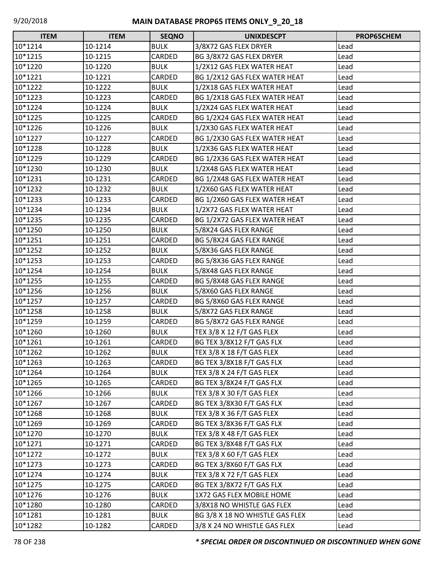| <b>ITEM</b> | <b>ITEM</b> | <b>SEQNO</b>  | <b>UNIXDESCPT</b>               | PROP65CHEM |
|-------------|-------------|---------------|---------------------------------|------------|
| 10*1214     | 10-1214     | <b>BULK</b>   | 3/8X72 GAS FLEX DRYER           | Lead       |
| 10*1215     | 10-1215     | CARDED        | BG 3/8X72 GAS FLEX DRYER        | Lead       |
| 10*1220     | 10-1220     | <b>BULK</b>   | 1/2X12 GAS FLEX WATER HEAT      | Lead       |
| 10*1221     | 10-1221     | CARDED        | BG 1/2X12 GAS FLEX WATER HEAT   | Lead       |
| 10*1222     | 10-1222     | <b>BULK</b>   | 1/2X18 GAS FLEX WATER HEAT      | Lead       |
| 10*1223     | 10-1223     | CARDED        | BG 1/2X18 GAS FLEX WATER HEAT   | Lead       |
| 10*1224     | 10-1224     | <b>BULK</b>   | 1/2X24 GAS FLEX WATER HEAT      | Lead       |
| 10*1225     | 10-1225     | CARDED        | BG 1/2X24 GAS FLEX WATER HEAT   | Lead       |
| 10*1226     | 10-1226     | <b>BULK</b>   | 1/2X30 GAS FLEX WATER HEAT      | Lead       |
| 10*1227     | 10-1227     | CARDED        | BG 1/2X30 GAS FLEX WATER HEAT   | Lead       |
| 10*1228     | 10-1228     | <b>BULK</b>   | 1/2X36 GAS FLEX WATER HEAT      | Lead       |
| 10*1229     | 10-1229     | CARDED        | BG 1/2X36 GAS FLEX WATER HEAT   | Lead       |
| 10*1230     | 10-1230     | <b>BULK</b>   | 1/2X48 GAS FLEX WATER HEAT      | Lead       |
| 10*1231     | 10-1231     | CARDED        | BG 1/2X48 GAS FLEX WATER HEAT   | Lead       |
| 10*1232     | 10-1232     | <b>BULK</b>   | 1/2X60 GAS FLEX WATER HEAT      | Lead       |
| 10*1233     | 10-1233     | CARDED        | BG 1/2X60 GAS FLEX WATER HEAT   | Lead       |
| 10*1234     | 10-1234     | <b>BULK</b>   | 1/2X72 GAS FLEX WATER HEAT      | Lead       |
| 10*1235     | 10-1235     | CARDED        | BG 1/2X72 GAS FLEX WATER HEAT   | Lead       |
| 10*1250     | 10-1250     | <b>BULK</b>   | 5/8X24 GAS FLEX RANGE           | Lead       |
| 10*1251     | 10-1251     | CARDED        | BG 5/8X24 GAS FLEX RANGE        | Lead       |
| 10*1252     | 10-1252     | <b>BULK</b>   | 5/8X36 GAS FLEX RANGE           | Lead       |
| 10*1253     | 10-1253     | <b>CARDED</b> | BG 5/8X36 GAS FLEX RANGE        | Lead       |
| 10*1254     | 10-1254     | <b>BULK</b>   | 5/8X48 GAS FLEX RANGE           | Lead       |
| 10*1255     | 10-1255     | CARDED        | BG 5/8X48 GAS FLEX RANGE        | Lead       |
| 10*1256     | 10-1256     | <b>BULK</b>   | 5/8X60 GAS FLEX RANGE           | Lead       |
| 10*1257     | 10-1257     | CARDED        | BG 5/8X60 GAS FLEX RANGE        | Lead       |
| 10*1258     | 10-1258     | <b>BULK</b>   | 5/8X72 GAS FLEX RANGE           | Lead       |
| 10*1259     | 10-1259     | CARDED        | BG 5/8X72 GAS FLEX RANGE        | Lead       |
| 10*1260     | 10-1260     | <b>BULK</b>   | TEX 3/8 X 12 F/T GAS FLEX       | Lead       |
| 10*1261     | 10-1261     | CARDED        | BG TEX 3/8X12 F/T GAS FLX       | Lead       |
| 10*1262     | 10-1262     | <b>BULK</b>   | TEX 3/8 X 18 F/T GAS FLEX       | Lead       |
| 10*1263     | 10-1263     | CARDED        | BG TEX 3/8X18 F/T GAS FLX       | Lead       |
| 10*1264     | 10-1264     | <b>BULK</b>   | TEX 3/8 X 24 F/T GAS FLEX       | Lead       |
| 10*1265     | 10-1265     | CARDED        | BG TEX 3/8X24 F/T GAS FLX       | Lead       |
| 10*1266     | 10-1266     | <b>BULK</b>   | TEX 3/8 X 30 F/T GAS FLEX       | Lead       |
| 10*1267     | 10-1267     | CARDED        | BG TEX 3/8X30 F/T GAS FLX       | Lead       |
| 10*1268     | 10-1268     | <b>BULK</b>   | TEX 3/8 X 36 F/T GAS FLEX       | Lead       |
| 10*1269     | 10-1269     | CARDED        | BG TEX 3/8X36 F/T GAS FLX       | Lead       |
| 10*1270     | 10-1270     | <b>BULK</b>   | TEX 3/8 X 48 F/T GAS FLEX       | Lead       |
| 10*1271     | 10-1271     | CARDED        | BG TEX 3/8X48 F/T GAS FLX       | Lead       |
| 10*1272     | 10-1272     | <b>BULK</b>   | TEX 3/8 X 60 F/T GAS FLEX       | Lead       |
| 10*1273     | 10-1273     | CARDED        | BG TEX 3/8X60 F/T GAS FLX       | Lead       |
| 10*1274     | 10-1274     | <b>BULK</b>   | TEX 3/8 X 72 F/T GAS FLEX       | Lead       |
| 10*1275     | 10-1275     | CARDED        | BG TEX 3/8X72 F/T GAS FLX       | Lead       |
| 10*1276     | 10-1276     | <b>BULK</b>   | 1X72 GAS FLEX MOBILE HOME       | Lead       |
| 10*1280     | 10-1280     | CARDED        | 3/8X18 NO WHISTLE GAS FLEX      | Lead       |
| 10*1281     | 10-1281     | <b>BULK</b>   | BG 3/8 X 18 NO WHISTLE GAS FLEX | Lead       |
| 10*1282     | 10-1282     | CARDED        | 3/8 X 24 NO WHISTLE GAS FLEX    | Lead       |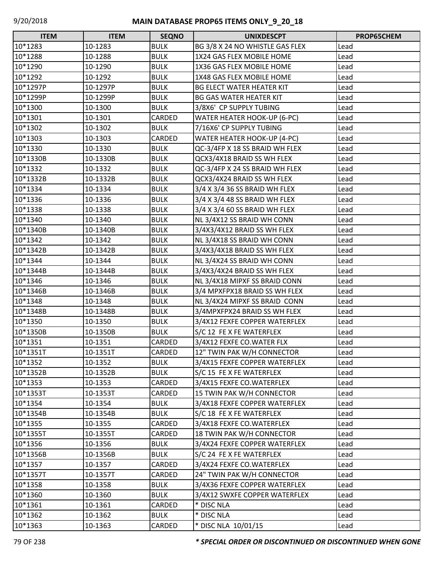| <b>ITEM</b> | <b>ITEM</b> | <b>SEQNO</b>  | <b>UNIXDESCPT</b>                  | <b>PROP65CHEM</b> |
|-------------|-------------|---------------|------------------------------------|-------------------|
| 10*1283     | 10-1283     | <b>BULK</b>   | BG 3/8 X 24 NO WHISTLE GAS FLEX    | Lead              |
| 10*1288     | 10-1288     | <b>BULK</b>   | 1X24 GAS FLEX MOBILE HOME          | Lead              |
| 10*1290     | 10-1290     | <b>BULK</b>   | 1X36 GAS FLEX MOBILE HOME          | Lead              |
| 10*1292     | 10-1292     | <b>BULK</b>   | 1X48 GAS FLEX MOBILE HOME          | Lead              |
| 10*1297P    | 10-1297P    | <b>BULK</b>   | <b>BG ELECT WATER HEATER KIT</b>   | Lead              |
| 10*1299P    | 10-1299P    | <b>BULK</b>   | <b>BG GAS WATER HEATER KIT</b>     | Lead              |
| 10*1300     | 10-1300     | <b>BULK</b>   | 3/8X6' CP SUPPLY TUBING            | Lead              |
| 10*1301     | 10-1301     | CARDED        | <b>WATER HEATER HOOK-UP (6-PC)</b> | Lead              |
| 10*1302     | 10-1302     | <b>BULK</b>   | 7/16X6' CP SUPPLY TUBING           | Lead              |
| 10*1303     | 10-1303     | <b>CARDED</b> | WATER HEATER HOOK-UP (4-PC)        | Lead              |
| 10*1330     | 10-1330     | <b>BULK</b>   | QC-3/4FP X 18 SS BRAID WH FLEX     | Lead              |
| 10*1330B    | 10-1330B    | <b>BULK</b>   | QCX3/4X18 BRAID SS WH FLEX         | Lead              |
| 10*1332     | 10-1332     | <b>BULK</b>   | QC-3/4FP X 24 SS BRAID WH FLEX     | Lead              |
| 10*1332B    | 10-1332B    | <b>BULK</b>   | QCX3/4X24 BRAID SS WH FLEX         | Lead              |
| 10*1334     | 10-1334     | <b>BULK</b>   | 3/4 X 3/4 36 SS BRAID WH FLEX      | Lead              |
| 10*1336     | 10-1336     | <b>BULK</b>   | 3/4 X 3/4 48 SS BRAID WH FLEX      | Lead              |
| 10*1338     | 10-1338     | <b>BULK</b>   | 3/4 X 3/4 60 SS BRAID WH FLEX      | Lead              |
| 10*1340     | 10-1340     | <b>BULK</b>   | NL 3/4X12 SS BRAID WH CONN         | Lead              |
| 10*1340B    | 10-1340B    | <b>BULK</b>   | 3/4X3/4X12 BRAID SS WH FLEX        | Lead              |
| 10*1342     | 10-1342     | <b>BULK</b>   | NL 3/4X18 SS BRAID WH CONN         | Lead              |
| 10*1342B    | 10-1342B    | <b>BULK</b>   | 3/4X3/4X18 BRAID SS WH FLEX        | Lead              |
| 10*1344     | 10-1344     | <b>BULK</b>   | NL 3/4X24 SS BRAID WH CONN         | Lead              |
| 10*1344B    | 10-1344B    | <b>BULK</b>   | 3/4X3/4X24 BRAID SS WH FLEX        | Lead              |
| 10*1346     | 10-1346     | <b>BULK</b>   | NL 3/4X18 MIPXF SS BRAID CONN      | Lead              |
| 10*1346B    | 10-1346B    | <b>BULK</b>   | 3/4 MPXFPX18 BRAID SS WH FLEX      | Lead              |
| 10*1348     | 10-1348     | <b>BULK</b>   | NL 3/4X24 MIPXF SS BRAID CONN      | Lead              |
| 10*1348B    | 10-1348B    | <b>BULK</b>   | 3/4MPXFPX24 BRAID SS WH FLEX       | Lead              |
| 10*1350     | 10-1350     | <b>BULK</b>   | 3/4X12 FEXFE COPPER WATERFLEX      | Lead              |
| 10*1350B    | 10-1350B    | <b>BULK</b>   | S/C 12 FE X FE WATERFLEX           | Lead              |
| 10*1351     | 10-1351     | <b>CARDED</b> | 3/4X12 FEXFE CO.WATER FLX          | Lead              |
| 10*1351T    | 10-1351T    | <b>CARDED</b> | 12" TWIN PAK W/H CONNECTOR         | Lead              |
| 10*1352     | 10-1352     | <b>BULK</b>   | 3/4X15 FEXFE COPPER WATERFLEX      | Lead              |
| 10*1352B    | 10-1352B    | <b>BULK</b>   | S/C 15 FE X FE WATERFLEX           | Lead              |
| 10*1353     | 10-1353     | CARDED        | 3/4X15 FEXFE CO.WATERFLEX          | Lead              |
| 10*1353T    | 10-1353T    | CARDED        | 15 TWIN PAK W/H CONNECTOR          | Lead              |
| 10*1354     | 10-1354     | <b>BULK</b>   | 3/4X18 FEXFE COPPER WATERFLEX      | Lead              |
| 10*1354B    | 10-1354B    | <b>BULK</b>   | S/C 18 FE X FE WATERFLEX           | Lead              |
| 10*1355     | 10-1355     | CARDED        | 3/4X18 FEXFE CO.WATERFLEX          | Lead              |
| 10*1355T    | 10-1355T    | CARDED        | 18 TWIN PAK W/H CONNECTOR          | Lead              |
| 10*1356     | 10-1356     | <b>BULK</b>   | 3/4X24 FEXFE COPPER WATERFLEX      | Lead              |
| 10*1356B    | 10-1356B    | <b>BULK</b>   | S/C 24 FE X FE WATERFLEX           | Lead              |
| 10*1357     | 10-1357     | CARDED        | 3/4X24 FEXFE CO.WATERFLEX          | Lead              |
| 10*1357T    | 10-1357T    | CARDED        | 24" TWIN PAK W/H CONNECTOR         | Lead              |
| 10*1358     | 10-1358     | <b>BULK</b>   | 3/4X36 FEXFE COPPER WATERFLEX      | Lead              |
| 10*1360     | 10-1360     | <b>BULK</b>   | 3/4X12 SWXFE COPPER WATERFLEX      | Lead              |
| 10*1361     | 10-1361     | CARDED        | * DISC NLA                         | Lead              |
| 10*1362     | 10-1362     | <b>BULK</b>   | * DISC NLA                         | Lead              |
| 10*1363     | 10-1363     | CARDED        | * DISC NLA 10/01/15                | Lead              |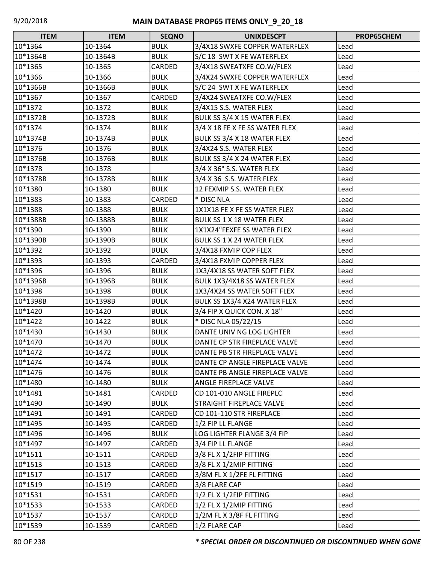| <b>ITEM</b> | <b>ITEM</b> | <b>SEQNO</b> | <b>UNIXDESCPT</b>                | PROP65CHEM |
|-------------|-------------|--------------|----------------------------------|------------|
| 10*1364     | 10-1364     | <b>BULK</b>  | 3/4X18 SWXFE COPPER WATERFLEX    | Lead       |
| 10*1364B    | 10-1364B    | <b>BULK</b>  | S/C 18 SWT X FE WATERFLEX        | Lead       |
| 10*1365     | 10-1365     | CARDED       | 3/4X18 SWEATXFE CO.W/FLEX        | Lead       |
| 10*1366     | 10-1366     | <b>BULK</b>  | 3/4X24 SWXFE COPPER WATERFLEX    | Lead       |
| 10*1366B    | 10-1366B    | <b>BULK</b>  | S/C 24 SWT X FE WATERFLEX        | Lead       |
| 10*1367     | 10-1367     | CARDED       | 3/4X24 SWEATXFE CO.W/FLEX        | Lead       |
| 10*1372     | 10-1372     | <b>BULK</b>  | 3/4X15 S.S. WATER FLEX           | Lead       |
| 10*1372B    | 10-1372B    | <b>BULK</b>  | BULK SS 3/4 X 15 WATER FLEX      | Lead       |
| 10*1374     | 10-1374     | <b>BULK</b>  | 3/4 X 18 FE X FE SS WATER FLEX   | Lead       |
| 10*1374B    | 10-1374B    | <b>BULK</b>  | BULK SS 3/4 X 18 WATER FLEX      | Lead       |
| 10*1376     | 10-1376     | <b>BULK</b>  | 3/4X24 S.S. WATER FLEX           | Lead       |
| 10*1376B    | 10-1376B    | <b>BULK</b>  | BULK SS 3/4 X 24 WATER FLEX      | Lead       |
| 10*1378     | 10-1378     |              | 3/4 X 36" S.S. WATER FLEX        | Lead       |
| 10*1378B    | 10-1378B    | <b>BULK</b>  | 3/4 X 36 S.S. WATER FLEX         | Lead       |
| 10*1380     | 10-1380     | <b>BULK</b>  | 12 FEXMIP S.S. WATER FLEX        | Lead       |
| 10*1383     | 10-1383     | CARDED       | * DISC NLA                       | Lead       |
| 10*1388     | 10-1388     | <b>BULK</b>  | 1X1X18 FE X FE SS WATER FLEX     | Lead       |
| 10*1388B    | 10-1388B    | <b>BULK</b>  | <b>BULK SS 1 X 18 WATER FLEX</b> | Lead       |
| 10*1390     | 10-1390     | <b>BULK</b>  | 1X1X24"FEXFE SS WATER FLEX       | Lead       |
| 10*1390B    | 10-1390B    | <b>BULK</b>  | <b>BULK SS 1 X 24 WATER FLEX</b> | Lead       |
| 10*1392     | 10-1392     | <b>BULK</b>  | 3/4X18 FXMIP COP FLEX            | Lead       |
| 10*1393     | 10-1393     | CARDED       | 3/4X18 FXMIP COPPER FLEX         | Lead       |
| 10*1396     | 10-1396     | <b>BULK</b>  | 1X3/4X18 SS WATER SOFT FLEX      | Lead       |
| 10*1396B    | 10-1396B    | <b>BULK</b>  | BULK 1X3/4X18 SS WATER FLEX      | Lead       |
| 10*1398     | 10-1398     | <b>BULK</b>  | 1X3/4X24 SS WATER SOFT FLEX      | Lead       |
| 10*1398B    | 10-1398B    | <b>BULK</b>  | BULK SS 1X3/4 X24 WATER FLEX     | Lead       |
| 10*1420     | 10-1420     | <b>BULK</b>  | 3/4 FIP X QUICK CON. X 18"       | Lead       |
| 10*1422     | 10-1422     | <b>BULK</b>  | * DISC NLA 05/22/15              | Lead       |
| 10*1430     | 10-1430     | <b>BULK</b>  | DANTE UNIV NG LOG LIGHTER        | Lead       |
| 10*1470     | 10-1470     | <b>BULK</b>  | DANTE CP STR FIREPLACE VALVE     | Lead       |
| 10*1472     | 10-1472     | <b>BULK</b>  | DANTE PB STR FIREPLACE VALVE     | Lead       |
| 10*1474     | 10-1474     | <b>BULK</b>  | DANTE CP ANGLE FIREPLACE VALVE   | Lead       |
| 10*1476     | 10-1476     | <b>BULK</b>  | DANTE PB ANGLE FIREPLACE VALVE   | Lead       |
| 10*1480     | 10-1480     | <b>BULK</b>  | ANGLE FIREPLACE VALVE            | Lead       |
| 10*1481     | 10-1481     | CARDED       | CD 101-010 ANGLE FIREPLC         | Lead       |
| 10*1490     | 10-1490     | <b>BULK</b>  | STRAIGHT FIREPLACE VALVE         | Lead       |
| 10*1491     | 10-1491     | CARDED       | CD 101-110 STR FIREPLACE         | Lead       |
| 10*1495     | 10-1495     | CARDED       | 1/2 FIP LL FLANGE                | Lead       |
| 10*1496     | 10-1496     | <b>BULK</b>  | LOG LIGHTER FLANGE 3/4 FIP       | Lead       |
| 10*1497     | 10-1497     | CARDED       | 3/4 FIP LL FLANGE                | Lead       |
| 10*1511     | 10-1511     | CARDED       | 3/8 FL X 1/2FIP FITTING          | Lead       |
| 10*1513     | 10-1513     | CARDED       | 3/8 FL X 1/2MIP FITTING          | Lead       |
| 10*1517     | 10-1517     | CARDED       | 3/8M FL X 1/2FE FL FITTING       | Lead       |
| 10*1519     | 10-1519     | CARDED       | 3/8 FLARE CAP                    | Lead       |
| 10*1531     | 10-1531     | CARDED       | 1/2 FL X 1/2FIP FITTING          | Lead       |
| 10*1533     | 10-1533     | CARDED       | 1/2 FL X 1/2MIP FITTING          | Lead       |
| 10*1537     | 10-1537     | CARDED       | 1/2M FL X 3/8F FL FITTING        | Lead       |
| 10*1539     | 10-1539     | CARDED       | 1/2 FLARE CAP                    | Lead       |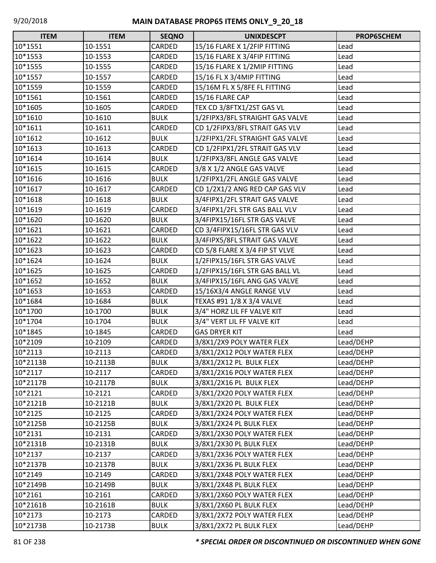| <b>ITEM</b> | <b>ITEM</b> | <b>SEQNO</b> | <b>UNIXDESCPT</b>               | PROP65CHEM |
|-------------|-------------|--------------|---------------------------------|------------|
| 10*1551     | 10-1551     | CARDED       | 15/16 FLARE X 1/2FIP FITTING    | Lead       |
| 10*1553     | 10-1553     | CARDED       | 15/16 FLARE X 3/4FIP FITTING    | Lead       |
| 10*1555     | 10-1555     | CARDED       | 15/16 FLARE X 1/2MIP FITTING    | Lead       |
| 10*1557     | 10-1557     | CARDED       | 15/16 FL X 3/4MIP FITTING       | Lead       |
| 10*1559     | 10-1559     | CARDED       | 15/16M FL X 5/8FE FL FITTING    | Lead       |
| 10*1561     | 10-1561     | CARDED       | 15/16 FLARE CAP                 | Lead       |
| 10*1605     | 10-1605     | CARDED       | TEX CD 3/8FTX1/2ST GAS VL       | Lead       |
| 10*1610     | 10-1610     | <b>BULK</b>  | 1/2FIPX3/8FL STRAIGHT GAS VALVE | Lead       |
| 10*1611     | 10-1611     | CARDED       | CD 1/2FIPX3/8FL STRAIT GAS VLV  | Lead       |
| 10*1612     | 10-1612     | <b>BULK</b>  | 1/2FIPX1/2FL STRAIGHT GAS VALVE | Lead       |
| 10*1613     | 10-1613     | CARDED       | CD 1/2FIPX1/2FL STRAIT GAS VLV  | Lead       |
| 10*1614     | 10-1614     | <b>BULK</b>  | 1/2FIPX3/8FL ANGLE GAS VALVE    | Lead       |
| 10*1615     | 10-1615     | CARDED       | 3/8 X 1/2 ANGLE GAS VALVE       | Lead       |
| 10*1616     | 10-1616     | <b>BULK</b>  | 1/2FIPX1/2FL ANGLE GAS VALVE    | Lead       |
| 10*1617     | 10-1617     | CARDED       | CD 1/2X1/2 ANG RED CAP GAS VLV  | Lead       |
| 10*1618     | 10-1618     | <b>BULK</b>  | 3/4FIPX1/2FL STRAIT GAS VALVE   | Lead       |
| 10*1619     | 10-1619     | CARDED       | 3/4FIPX1/2FL STR GAS BALL VLV   | Lead       |
| 10*1620     | 10-1620     | <b>BULK</b>  | 3/4FIPX15/16FL STR GAS VALVE    | Lead       |
| 10*1621     | 10-1621     | CARDED       | CD 3/4FIPX15/16FL STR GAS VLV   | Lead       |
| 10*1622     | 10-1622     | <b>BULK</b>  | 3/4FIPX5/8FL STRAIT GAS VALVE   | Lead       |
| 10*1623     | 10-1623     | CARDED       | CD 5/8 FLARE X 3/4 FIP ST VLVE  | Lead       |
| 10*1624     | 10-1624     | <b>BULK</b>  | 1/2FIPX15/16FL STR GAS VALVE    | Lead       |
| 10*1625     | 10-1625     | CARDED       | 1/2FIPX15/16FL STR GAS BALL VL  | Lead       |
| 10*1652     | 10-1652     | <b>BULK</b>  | 3/4FIPX15/16FL ANG GAS VALVE    | Lead       |
| 10*1653     | 10-1653     | CARDED       | 15/16X3/4 ANGLE RANGE VLV       | Lead       |
| 10*1684     | 10-1684     | <b>BULK</b>  | TEXAS #91 1/8 X 3/4 VALVE       | Lead       |
| 10*1700     | 10-1700     | <b>BULK</b>  | 3/4" HORZ LIL FF VALVE KIT      | Lead       |
| 10*1704     | 10-1704     | <b>BULK</b>  | 3/4" VERT LIL FF VALVE KIT      | Lead       |
| 10*1845     | 10-1845     | CARDED       | <b>GAS DRYER KIT</b>            | Lead       |
| 10*2109     | 10-2109     | CARDED       | 3/8X1/2X9 POLY WATER FLEX       | Lead/DEHP  |
| 10*2113     | 10-2113     | CARDED       | 3/8X1/2X12 POLY WATER FLEX      | Lead/DEHP  |
| 10*2113B    | 10-2113B    | <b>BULK</b>  | 3/8X1/2X12 PL BULK FLEX         | Lead/DEHP  |
| 10*2117     | 10-2117     | CARDED       | 3/8X1/2X16 POLY WATER FLEX      | Lead/DEHP  |
| 10*2117B    | 10-2117B    | <b>BULK</b>  | 3/8X1/2X16 PL BULK FLEX         | Lead/DEHP  |
| 10*2121     | 10-2121     | CARDED       | 3/8X1/2X20 POLY WATER FLEX      | Lead/DEHP  |
| 10*2121B    | 10-2121B    | <b>BULK</b>  | 3/8X1/2X20 PL BULK FLEX         | Lead/DEHP  |
| 10*2125     | 10-2125     | CARDED       | 3/8X1/2X24 POLY WATER FLEX      | Lead/DEHP  |
| 10*2125B    | 10-2125B    | <b>BULK</b>  | 3/8X1/2X24 PL BULK FLEX         | Lead/DEHP  |
| 10*2131     | 10-2131     | CARDED       | 3/8X1/2X30 POLY WATER FLEX      | Lead/DEHP  |
| 10*2131B    | 10-2131B    | <b>BULK</b>  | 3/8X1/2X30 PL BULK FLEX         | Lead/DEHP  |
| 10*2137     | 10-2137     | CARDED       | 3/8X1/2X36 POLY WATER FLEX      | Lead/DEHP  |
| 10*2137B    | 10-2137B    | <b>BULK</b>  | 3/8X1/2X36 PL BULK FLEX         | Lead/DEHP  |
| 10*2149     | 10-2149     | CARDED       | 3/8X1/2X48 POLY WATER FLEX      | Lead/DEHP  |
| 10*2149B    | 10-2149B    | <b>BULK</b>  | 3/8X1/2X48 PL BULK FLEX         | Lead/DEHP  |
| 10*2161     | 10-2161     | CARDED       | 3/8X1/2X60 POLY WATER FLEX      | Lead/DEHP  |
| 10*2161B    | 10-2161B    | <b>BULK</b>  | 3/8X1/2X60 PL BULK FLEX         | Lead/DEHP  |
| 10*2173     | 10-2173     | CARDED       | 3/8X1/2X72 POLY WATER FLEX      | Lead/DEHP  |
| 10*2173B    | 10-2173B    | <b>BULK</b>  | 3/8X1/2X72 PL BULK FLEX         | Lead/DEHP  |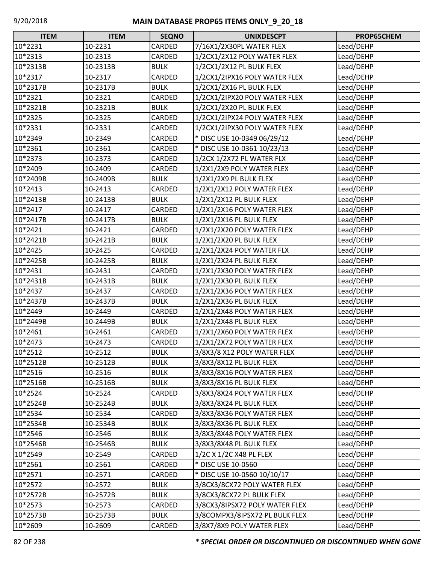| <b>ITEM</b> | <b>ITEM</b> | <b>SEQNO</b> | <b>UNIXDESCPT</b>              | PROP65CHEM |
|-------------|-------------|--------------|--------------------------------|------------|
| 10*2231     | 10-2231     | CARDED       | 7/16X1/2X30PL WATER FLEX       | Lead/DEHP  |
| 10*2313     | 10-2313     | CARDED       | 1/2CX1/2X12 POLY WATER FLEX    | Lead/DEHP  |
| 10*2313B    | 10-2313B    | <b>BULK</b>  | 1/2CX1/2X12 PL BULK FLEX       | Lead/DEHP  |
| 10*2317     | 10-2317     | CARDED       | 1/2CX1/2IPX16 POLY WATER FLEX  | Lead/DEHP  |
| 10*2317B    | 10-2317B    | <b>BULK</b>  | 1/2CX1/2X16 PL BULK FLEX       | Lead/DEHP  |
| 10*2321     | 10-2321     | CARDED       | 1/2CX1/2IPX20 POLY WATER FLEX  | Lead/DEHP  |
| 10*2321B    | 10-2321B    | <b>BULK</b>  | 1/2CX1/2X20 PL BULK FLEX       | Lead/DEHP  |
| 10*2325     | 10-2325     | CARDED       | 1/2CX1/2IPX24 POLY WATER FLEX  | Lead/DEHP  |
| 10*2331     | 10-2331     | CARDED       | 1/2CX1/2IPX30 POLY WATER FLEX  | Lead/DEHP  |
| 10*2349     | 10-2349     | CARDED       | * DISC USE 10-0349 06/29/12    | Lead/DEHP  |
| 10*2361     | 10-2361     | CARDED       | * DISC USE 10-0361 10/23/13    | Lead/DEHP  |
| 10*2373     | 10-2373     | CARDED       | 1/2CX 1/2X72 PL WATER FLX      | Lead/DEHP  |
| 10*2409     | 10-2409     | CARDED       | 1/2X1/2X9 POLY WATER FLEX      | Lead/DEHP  |
| 10*2409B    | 10-2409B    | <b>BULK</b>  | 1/2X1/2X9 PL BULK FLEX         | Lead/DEHP  |
| 10*2413     | 10-2413     | CARDED       | 1/2X1/2X12 POLY WATER FLEX     | Lead/DEHP  |
| 10*2413B    | 10-2413B    | <b>BULK</b>  | 1/2X1/2X12 PL BULK FLEX        | Lead/DEHP  |
| 10*2417     | 10-2417     | CARDED       | 1/2X1/2X16 POLY WATER FLEX     | Lead/DEHP  |
| 10*2417B    | 10-2417B    | <b>BULK</b>  | 1/2X1/2X16 PL BULK FLEX        | Lead/DEHP  |
| 10*2421     | 10-2421     | CARDED       | 1/2X1/2X20 POLY WATER FLEX     | Lead/DEHP  |
| 10*2421B    | 10-2421B    | <b>BULK</b>  | 1/2X1/2X20 PL BULK FLEX        | Lead/DEHP  |
| 10*2425     | 10-2425     | CARDED       | 1/2X1/2X24 POLY WATER FLX      | Lead/DEHP  |
| 10*2425B    | 10-2425B    | <b>BULK</b>  | 1/2X1/2X24 PL BULK FLEX        | Lead/DEHP  |
| 10*2431     | 10-2431     | CARDED       | 1/2X1/2X30 POLY WATER FLEX     | Lead/DEHP  |
| 10*2431B    | 10-2431B    | <b>BULK</b>  | 1/2X1/2X30 PL BULK FLEX        | Lead/DEHP  |
| 10*2437     | 10-2437     | CARDED       | 1/2X1/2X36 POLY WATER FLEX     | Lead/DEHP  |
| 10*2437B    | 10-2437B    | <b>BULK</b>  | 1/2X1/2X36 PL BULK FLEX        | Lead/DEHP  |
| 10*2449     | 10-2449     | CARDED       | 1/2X1/2X48 POLY WATER FLEX     | Lead/DEHP  |
| 10*2449B    | 10-2449B    | <b>BULK</b>  | 1/2X1/2X48 PL BULK FLEX        | Lead/DEHP  |
| 10*2461     | 10-2461     | CARDED       | 1/2X1/2X60 POLY WATER FLEX     | Lead/DEHP  |
| 10*2473     | 10-2473     | CARDED       | 1/2X1/2X72 POLY WATER FLEX     | Lead/DEHP  |
| 10*2512     | 10-2512     | <b>BULK</b>  | 3/8X3/8 X12 POLY WATER FLEX    | Lead/DEHP  |
| 10*2512B    | 10-2512B    | <b>BULK</b>  | 3/8X3/8X12 PL BULK FLEX        | Lead/DEHP  |
| 10*2516     | 10-2516     | <b>BULK</b>  | 3/8X3/8X16 POLY WATER FLEX     | Lead/DEHP  |
| 10*2516B    | 10-2516B    | <b>BULK</b>  | 3/8X3/8X16 PL BULK FLEX        | Lead/DEHP  |
| 10*2524     | 10-2524     | CARDED       | 3/8X3/8X24 POLY WATER FLEX     | Lead/DEHP  |
| 10*2524B    | 10-2524B    | <b>BULK</b>  | 3/8X3/8X24 PL BULK FLEX        | Lead/DEHP  |
| 10*2534     | 10-2534     | CARDED       | 3/8X3/8X36 POLY WATER FLEX     | Lead/DEHP  |
| 10*2534B    | 10-2534B    | <b>BULK</b>  | 3/8X3/8X36 PL BULK FLEX        | Lead/DEHP  |
| 10*2546     | 10-2546     | <b>BULK</b>  | 3/8X3/8X48 POLY WATER FLEX     | Lead/DEHP  |
| 10*2546B    | 10-2546B    | <b>BULK</b>  | 3/8X3/8X48 PL BULK FLEX        | Lead/DEHP  |
| 10*2549     | 10-2549     | CARDED       | 1/2C X 1/2C X48 PL FLEX        | Lead/DEHP  |
| 10*2561     | 10-2561     | CARDED       | * DISC USE 10-0560             | Lead/DEHP  |
| 10*2571     | 10-2571     | CARDED       | * DISC USE 10-0560 10/10/17    | Lead/DEHP  |
| 10*2572     | 10-2572     | <b>BULK</b>  | 3/8CX3/8CX72 POLY WATER FLEX   | Lead/DEHP  |
| 10*2572B    | 10-2572B    | <b>BULK</b>  | 3/8CX3/8CX72 PL BULK FLEX      | Lead/DEHP  |
| 10*2573     | 10-2573     | CARDED       | 3/8CX3/8IPSX72 POLY WATER FLEX | Lead/DEHP  |
| 10*2573B    | 10-2573B    | <b>BULK</b>  | 3/8COMPX3/8IPSX72 PL BULK FLEX | Lead/DEHP  |
| 10*2609     | 10-2609     | CARDED       | 3/8X7/8X9 POLY WATER FLEX      | Lead/DEHP  |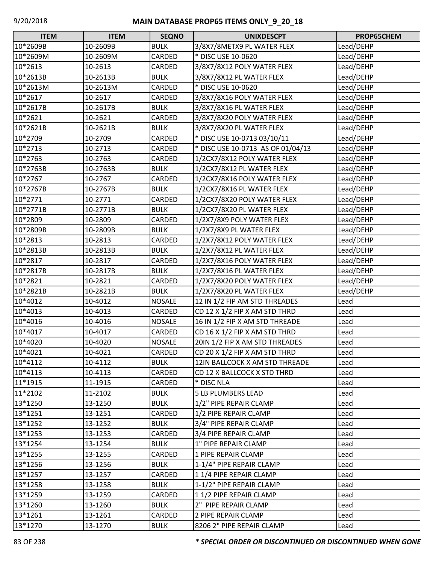| <b>ITEM</b> | <b>ITEM</b> | <b>SEQNO</b>  | <b>UNIXDESCPT</b>                 | PROP65CHEM |
|-------------|-------------|---------------|-----------------------------------|------------|
| 10*2609B    | 10-2609B    | <b>BULK</b>   | 3/8X7/8METX9 PL WATER FLEX        | Lead/DEHP  |
| 10*2609M    | 10-2609M    | CARDED        | * DISC USE 10-0620                | Lead/DEHP  |
| 10*2613     | 10-2613     | CARDED        | 3/8X7/8X12 POLY WATER FLEX        | Lead/DEHP  |
| 10*2613B    | 10-2613B    | <b>BULK</b>   | 3/8X7/8X12 PL WATER FLEX          | Lead/DEHP  |
| 10*2613M    | 10-2613M    | CARDED        | * DISC USE 10-0620                | Lead/DEHP  |
| 10*2617     | 10-2617     | CARDED        | 3/8X7/8X16 POLY WATER FLEX        | Lead/DEHP  |
| 10*2617B    | 10-2617B    | <b>BULK</b>   | 3/8X7/8X16 PL WATER FLEX          | Lead/DEHP  |
| 10*2621     | 10-2621     | CARDED        | 3/8X7/8X20 POLY WATER FLEX        | Lead/DEHP  |
| 10*2621B    | 10-2621B    | <b>BULK</b>   | 3/8X7/8X20 PL WATER FLEX          | Lead/DEHP  |
| 10*2709     | 10-2709     | CARDED        | * DISC USE 10-0713 03/10/11       | Lead/DEHP  |
| 10*2713     | 10-2713     | CARDED        | * DISC USE 10-0713 AS OF 01/04/13 | Lead/DEHP  |
| 10*2763     | 10-2763     | CARDED        | 1/2CX7/8X12 POLY WATER FLEX       | Lead/DEHP  |
| 10*2763B    | 10-2763B    | <b>BULK</b>   | 1/2CX7/8X12 PL WATER FLEX         | Lead/DEHP  |
| 10*2767     | 10-2767     | CARDED        | 1/2CX7/8X16 POLY WATER FLEX       | Lead/DEHP  |
| 10*2767B    | 10-2767B    | <b>BULK</b>   | 1/2CX7/8X16 PL WATER FLEX         | Lead/DEHP  |
| 10*2771     | 10-2771     | CARDED        | 1/2CX7/8X20 POLY WATER FLEX       | Lead/DEHP  |
| 10*2771B    | 10-2771B    | <b>BULK</b>   | 1/2CX7/8X20 PL WATER FLEX         | Lead/DEHP  |
| 10*2809     | 10-2809     | CARDED        | 1/2X7/8X9 POLY WATER FLEX         | Lead/DEHP  |
| 10*2809B    | 10-2809B    | <b>BULK</b>   | 1/2X7/8X9 PL WATER FLEX           | Lead/DEHP  |
| 10*2813     | 10-2813     | CARDED        | 1/2X7/8X12 POLY WATER FLEX        | Lead/DEHP  |
| 10*2813B    | 10-2813B    | <b>BULK</b>   | 1/2X7/8X12 PL WATER FLEX          | Lead/DEHP  |
| 10*2817     | 10-2817     | CARDED        | 1/2X7/8X16 POLY WATER FLEX        | Lead/DEHP  |
| 10*2817B    | 10-2817B    | <b>BULK</b>   | 1/2X7/8X16 PL WATER FLEX          | Lead/DEHP  |
| 10*2821     | 10-2821     | CARDED        | 1/2X7/8X20 POLY WATER FLEX        | Lead/DEHP  |
| 10*2821B    | 10-2821B    | <b>BULK</b>   | 1/2X7/8X20 PL WATER FLEX          | Lead/DEHP  |
| 10*4012     | 10-4012     | <b>NOSALE</b> | 12 IN 1/2 FIP AM STD THREADES     | Lead       |
| 10*4013     | 10-4013     | CARDED        | CD 12 X 1/2 FIP X AM STD THRD     | Lead       |
| 10*4016     | 10-4016     | <b>NOSALE</b> | 16 IN 1/2 FIP X AM STD THREADE    | Lead       |
| 10*4017     | 10-4017     | CARDED        | CD 16 X 1/2 FIP X AM STD THRD     | Lead       |
| 10*4020     | 10-4020     | <b>NOSALE</b> | 20IN 1/2 FIP X AM STD THREADES    | Lead       |
| 10*4021     | 10-4021     | <b>CARDED</b> | CD 20 X 1/2 FIP X AM STD THRD     | Lead       |
| 10*4112     | 10-4112     | <b>BULK</b>   | 12IN BALLCOCK X AM STD THREADE    | Lead       |
| 10*4113     | 10-4113     | CARDED        | CD 12 X BALLCOCK X STD THRD       | Lead       |
| 11*1915     | 11-1915     | CARDED        | * DISC NLA                        | Lead       |
| 11*2102     | 11-2102     | <b>BULK</b>   | 5 LB PLUMBERS LEAD                | Lead       |
| 13*1250     | 13-1250     | <b>BULK</b>   | 1/2" PIPE REPAIR CLAMP            | Lead       |
| 13*1251     | 13-1251     | CARDED        | 1/2 PIPE REPAIR CLAMP             | Lead       |
| 13*1252     | 13-1252     | <b>BULK</b>   | 3/4" PIPE REPAIR CLAMP            | Lead       |
| 13*1253     | 13-1253     | CARDED        | 3/4 PIPE REPAIR CLAMP             | Lead       |
| 13*1254     | 13-1254     | <b>BULK</b>   | 1" PIPE REPAIR CLAMP              | Lead       |
| 13*1255     | 13-1255     | CARDED        | 1 PIPE REPAIR CLAMP               | Lead       |
| 13*1256     | 13-1256     | <b>BULK</b>   | 1-1/4" PIPE REPAIR CLAMP          | Lead       |
| 13*1257     | 13-1257     | CARDED        | 11/4 PIPE REPAIR CLAMP            | Lead       |
| 13*1258     | 13-1258     | <b>BULK</b>   | 1-1/2" PIPE REPAIR CLAMP          | Lead       |
| 13*1259     | 13-1259     | CARDED        | 11/2 PIPE REPAIR CLAMP            | Lead       |
| 13*1260     | 13-1260     | <b>BULK</b>   | 2" PIPE REPAIR CLAMP              | Lead       |
| 13*1261     | 13-1261     | CARDED        | 2 PIPE REPAIR CLAMP               | Lead       |
| 13*1270     | 13-1270     | <b>BULK</b>   | 8206 2" PIPE REPAIR CLAMP         | Lead       |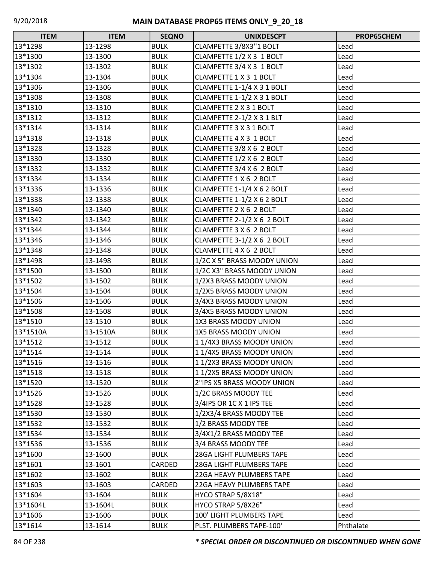| <b>ITEM</b> | <b>ITEM</b> | <b>SEQNO</b> | <b>UNIXDESCPT</b>             | PROP65CHEM |
|-------------|-------------|--------------|-------------------------------|------------|
| 13*1298     | 13-1298     | <b>BULK</b>  | CLAMPETTE 3/8X3"1 BOLT        | Lead       |
| 13*1300     | 13-1300     | <b>BULK</b>  | CLAMPETTE 1/2 X 3 1 BOLT      | Lead       |
| 13*1302     | 13-1302     | <b>BULK</b>  | CLAMPETTE 3/4 X 3 1 BOLT      | Lead       |
| 13*1304     | 13-1304     | <b>BULK</b>  | <b>CLAMPETTE 1 X 3 1 BOLT</b> | Lead       |
| 13*1306     | 13-1306     | <b>BULK</b>  | CLAMPETTE 1-1/4 X 3 1 BOLT    | Lead       |
| 13*1308     | 13-1308     | <b>BULK</b>  | CLAMPETTE 1-1/2 X 3 1 BOLT    | Lead       |
| 13*1310     | 13-1310     | <b>BULK</b>  | CLAMPETTE 2 X 3 1 BOLT        | Lead       |
| 13*1312     | 13-1312     | <b>BULK</b>  | CLAMPETTE 2-1/2 X 3 1 BLT     | Lead       |
| 13*1314     | 13-1314     | <b>BULK</b>  | CLAMPETTE 3 X 3 1 BOLT        | Lead       |
| 13*1318     | 13-1318     | <b>BULK</b>  | CLAMPETTE 4 X 3 1 BOLT        | Lead       |
| 13*1328     | 13-1328     | <b>BULK</b>  | CLAMPETTE 3/8 X 6 2 BOLT      | Lead       |
| 13*1330     | 13-1330     | <b>BULK</b>  | CLAMPETTE 1/2 X 6 2 BOLT      | Lead       |
| 13*1332     | 13-1332     | <b>BULK</b>  | CLAMPETTE 3/4 X 6 2 BOLT      | Lead       |
| 13*1334     | 13-1334     | <b>BULK</b>  | CLAMPETTE 1 X 6 2 BOLT        | Lead       |
| 13*1336     | 13-1336     | <b>BULK</b>  | CLAMPETTE 1-1/4 X 6 2 BOLT    | Lead       |
| 13*1338     | 13-1338     | <b>BULK</b>  | CLAMPETTE 1-1/2 X 6 2 BOLT    | Lead       |
| 13*1340     | 13-1340     | <b>BULK</b>  | CLAMPETTE 2 X 6 2 BOLT        | Lead       |
| 13*1342     | 13-1342     | <b>BULK</b>  | CLAMPETTE 2-1/2 X 6 2 BOLT    | Lead       |
| 13*1344     | 13-1344     | <b>BULK</b>  | CLAMPETTE 3 X 6 2 BOLT        | Lead       |
| 13*1346     | 13-1346     | <b>BULK</b>  | CLAMPETTE 3-1/2 X 6 2 BOLT    | Lead       |
| 13*1348     | 13-1348     | <b>BULK</b>  | CLAMPETTE 4 X 6 2 BOLT        | Lead       |
| 13*1498     | 13-1498     | <b>BULK</b>  | 1/2C X 5" BRASS MOODY UNION   | Lead       |
| 13*1500     | 13-1500     | <b>BULK</b>  | 1/2C X3" BRASS MOODY UNION    | Lead       |
| 13*1502     | 13-1502     | <b>BULK</b>  | 1/2X3 BRASS MOODY UNION       | Lead       |
| 13*1504     | 13-1504     | <b>BULK</b>  | 1/2X5 BRASS MOODY UNION       | Lead       |
| 13*1506     | 13-1506     | <b>BULK</b>  | 3/4X3 BRASS MOODY UNION       | Lead       |
| 13*1508     | 13-1508     | <b>BULK</b>  | 3/4X5 BRASS MOODY UNION       | Lead       |
| 13*1510     | 13-1510     | <b>BULK</b>  | 1X3 BRASS MOODY UNION         | Lead       |
| 13*1510A    | 13-1510A    | <b>BULK</b>  | <b>1X5 BRASS MOODY UNION</b>  | Lead       |
| 13*1512     | 13-1512     | <b>BULK</b>  | 11/4X3 BRASS MOODY UNION      | Lead       |
| 13*1514     | 13-1514     | <b>BULK</b>  | 11/4X5 BRASS MOODY UNION      | Lead       |
| 13*1516     | 13-1516     | <b>BULK</b>  | 11/2X3 BRASS MOODY UNION      | Lead       |
| 13*1518     | 13-1518     | <b>BULK</b>  | 11/2X5 BRASS MOODY UNION      | Lead       |
| 13*1520     | 13-1520     | <b>BULK</b>  | 2"IPS X5 BRASS MOODY UNION    | Lead       |
| 13*1526     | 13-1526     | <b>BULK</b>  | 1/2C BRASS MOODY TEE          | Lead       |
| 13*1528     | 13-1528     | <b>BULK</b>  | 3/4IPS OR 1C X 1 IPS TEE      | Lead       |
| 13*1530     | 13-1530     | <b>BULK</b>  | 1/2X3/4 BRASS MOODY TEE       | Lead       |
| 13*1532     | 13-1532     | <b>BULK</b>  | 1/2 BRASS MOODY TEE           | Lead       |
| 13*1534     | 13-1534     | <b>BULK</b>  | 3/4X1/2 BRASS MOODY TEE       | Lead       |
| 13*1536     | 13-1536     | <b>BULK</b>  | 3/4 BRASS MOODY TEE           | Lead       |
| 13*1600     | 13-1600     | <b>BULK</b>  | 28GA LIGHT PLUMBERS TAPE      | Lead       |
| 13*1601     | 13-1601     | CARDED       | 28GA LIGHT PLUMBERS TAPE      | Lead       |
| 13*1602     | 13-1602     | <b>BULK</b>  | 22GA HEAVY PLUMBERS TAPE      | Lead       |
| 13*1603     | 13-1603     | CARDED       | 22GA HEAVY PLUMBERS TAPE      | Lead       |
| 13*1604     | 13-1604     | <b>BULK</b>  | HYCO STRAP 5/8X18"            | Lead       |
| 13*1604L    | 13-1604L    | <b>BULK</b>  | HYCO STRAP 5/8X26"            | Lead       |
| 13*1606     | 13-1606     | <b>BULK</b>  | 100' LIGHT PLUMBERS TAPE      | Lead       |
| 13*1614     | 13-1614     | <b>BULK</b>  | PLST. PLUMBERS TAPE-100'      | Phthalate  |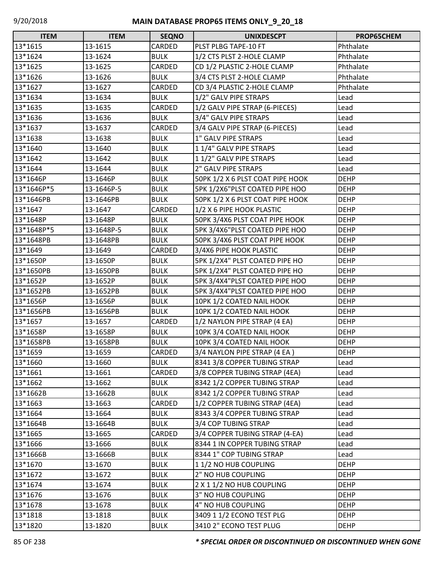| <b>ITEM</b> | <b>ITEM</b> | <b>SEQNO</b> | <b>UNIXDESCPT</b>                | PROP65CHEM  |
|-------------|-------------|--------------|----------------------------------|-------------|
| 13*1615     | 13-1615     | CARDED       | PLST PLBG TAPE-10 FT             | Phthalate   |
| 13*1624     | 13-1624     | <b>BULK</b>  | 1/2 CTS PLST 2-HOLE CLAMP        | Phthalate   |
| 13*1625     | 13-1625     | CARDED       | CD 1/2 PLASTIC 2-HOLE CLAMP      | Phthalate   |
| 13*1626     | 13-1626     | <b>BULK</b>  | 3/4 CTS PLST 2-HOLE CLAMP        | Phthalate   |
| 13*1627     | 13-1627     | CARDED       | CD 3/4 PLASTIC 2-HOLE CLAMP      | Phthalate   |
| 13*1634     | 13-1634     | <b>BULK</b>  | 1/2" GALV PIPE STRAPS            | Lead        |
| 13*1635     | 13-1635     | CARDED       | 1/2 GALV PIPE STRAP (6-PIECES)   | Lead        |
| 13*1636     | 13-1636     | <b>BULK</b>  | 3/4" GALV PIPE STRAPS            | Lead        |
| 13*1637     | 13-1637     | CARDED       | 3/4 GALV PIPE STRAP (6-PIECES)   | Lead        |
| 13*1638     | 13-1638     | <b>BULK</b>  | 1" GALV PIPE STRAPS              | Lead        |
| 13*1640     | 13-1640     | <b>BULK</b>  | 11/4" GALV PIPE STRAPS           | Lead        |
| 13*1642     | 13-1642     | <b>BULK</b>  | 11/2" GALV PIPE STRAPS           | Lead        |
| 13*1644     | 13-1644     | <b>BULK</b>  | 2" GALV PIPE STRAPS              | Lead        |
| 13*1646P    | 13-1646P    | <b>BULK</b>  | 50PK 1/2 X 6 PLST COAT PIPE HOOK | <b>DEHP</b> |
| 13*1646P*5  | 13-1646P-5  | <b>BULK</b>  | 5PK 1/2X6"PLST COATED PIPE HOO   | <b>DEHP</b> |
| 13*1646PB   | 13-1646PB   | <b>BULK</b>  | 50PK 1/2 X 6 PLST COAT PIPE HOOK | <b>DEHP</b> |
| 13*1647     | 13-1647     | CARDED       | 1/2 X 6 PIPE HOOK PLASTIC        | <b>DEHP</b> |
| 13*1648P    | 13-1648P    | <b>BULK</b>  | 50PK 3/4X6 PLST COAT PIPE HOOK   | <b>DEHP</b> |
| 13*1648P*5  | 13-1648P-5  | <b>BULK</b>  | 5PK 3/4X6"PLST COATED PIPE HOO   | <b>DEHP</b> |
| 13*1648PB   | 13-1648PB   | <b>BULK</b>  | 50PK 3/4X6 PLST COAT PIPE HOOK   | <b>DEHP</b> |
| 13*1649     | 13-1649     | CARDED       | 3/4X6 PIPE HOOK PLASTIC          | <b>DEHP</b> |
| 13*1650P    | 13-1650P    | <b>BULK</b>  | 5PK 1/2X4" PLST COATED PIPE HO   | <b>DEHP</b> |
| 13*1650PB   | 13-1650PB   | <b>BULK</b>  | 5PK 1/2X4" PLST COATED PIPE HO   | <b>DEHP</b> |
| 13*1652P    | 13-1652P    | <b>BULK</b>  | 5PK 3/4X4"PLST COATED PIPE HOO   | <b>DEHP</b> |
| 13*1652PB   | 13-1652PB   | <b>BULK</b>  | 5PK 3/4X4"PLST COATED PIPE HOO   | <b>DEHP</b> |
| 13*1656P    | 13-1656P    | <b>BULK</b>  | 10PK 1/2 COATED NAIL HOOK        | <b>DEHP</b> |
| 13*1656PB   | 13-1656PB   | <b>BULK</b>  | 10PK 1/2 COATED NAIL HOOK        | <b>DEHP</b> |
| 13*1657     | 13-1657     | CARDED       | 1/2 NAYLON PIPE STRAP (4 EA)     | <b>DEHP</b> |
| 13*1658P    | 13-1658P    | <b>BULK</b>  | 10PK 3/4 COATED NAIL HOOK        | <b>DEHP</b> |
| 13*1658PB   | 13-1658PB   | <b>BULK</b>  | 10PK 3/4 COATED NAIL HOOK        | <b>DEHP</b> |
| 13*1659     | 13-1659     | CARDED       | 3/4 NAYLON PIPE STRAP (4 EA)     | <b>DEHP</b> |
| 13*1660     | 13-1660     | <b>BULK</b>  | 8341 3/8 COPPER TUBING STRAP     | Lead        |
| 13*1661     | 13-1661     | CARDED       | 3/8 COPPER TUBING STRAP (4EA)    | Lead        |
| 13*1662     | 13-1662     | <b>BULK</b>  | 8342 1/2 COPPER TUBING STRAP     | Lead        |
| 13*1662B    | 13-1662B    | <b>BULK</b>  | 8342 1/2 COPPER TUBING STRAP     | Lead        |
| 13*1663     | 13-1663     | CARDED       | 1/2 COPPER TUBING STRAP (4EA)    | Lead        |
| 13*1664     | 13-1664     | <b>BULK</b>  | 8343 3/4 COPPER TUBING STRAP     | Lead        |
| 13*1664B    | 13-1664B    | <b>BULK</b>  | 3/4 COP TUBING STRAP             | Lead        |
| 13*1665     | 13-1665     | CARDED       | 3/4 COPPER TUBING STRAP (4-EA)   | Lead        |
| 13*1666     | 13-1666     | <b>BULK</b>  | 8344 1 IN COPPER TUBING STRAP    | Lead        |
| 13*1666B    | 13-1666B    | <b>BULK</b>  | 8344 1" COP TUBING STRAP         | Lead        |
| 13*1670     | 13-1670     | <b>BULK</b>  | 11/2 NO HUB COUPLING             | <b>DEHP</b> |
| 13*1672     | 13-1672     | <b>BULK</b>  | 2" NO HUB COUPLING               | <b>DEHP</b> |
| 13*1674     | 13-1674     | <b>BULK</b>  | 2 X 1 1/2 NO HUB COUPLING        | <b>DEHP</b> |
| 13*1676     | 13-1676     | <b>BULK</b>  | 3" NO HUB COUPLING               | <b>DEHP</b> |
| 13*1678     | 13-1678     | <b>BULK</b>  | 4" NO HUB COUPLING               | <b>DEHP</b> |
| 13*1818     | 13-1818     | <b>BULK</b>  | 3409 1 1/2 ECONO TEST PLG        | <b>DEHP</b> |
| 13*1820     | 13-1820     | <b>BULK</b>  | 3410 2" ECONO TEST PLUG          | <b>DEHP</b> |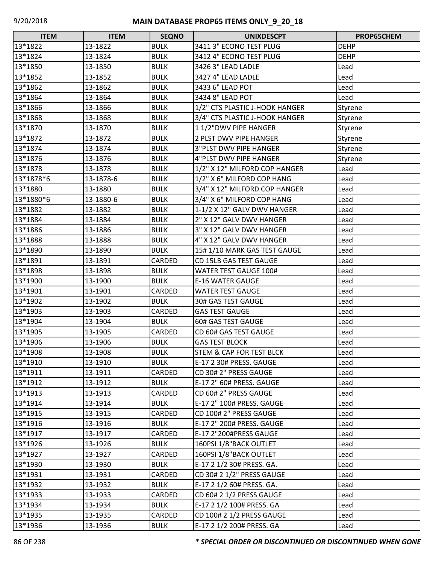| <b>ITEM</b> | <b>ITEM</b> | <b>SEQNO</b> | <b>UNIXDESCPT</b>                   | PROP65CHEM  |
|-------------|-------------|--------------|-------------------------------------|-------------|
| 13*1822     | 13-1822     | <b>BULK</b>  | 3411 3" ECONO TEST PLUG             | <b>DEHP</b> |
| 13*1824     | 13-1824     | <b>BULK</b>  | 3412 4" ECONO TEST PLUG             | <b>DEHP</b> |
| 13*1850     | 13-1850     | <b>BULK</b>  | 3426 3" LEAD LADLE                  | Lead        |
| 13*1852     | 13-1852     | <b>BULK</b>  | 3427 4" LEAD LADLE                  | Lead        |
| 13*1862     | 13-1862     | <b>BULK</b>  | 3433 6" LEAD POT                    | Lead        |
| 13*1864     | 13-1864     | <b>BULK</b>  | 3434 8" LEAD POT                    | Lead        |
| 13*1866     | 13-1866     | <b>BULK</b>  | 1/2" CTS PLASTIC J-HOOK HANGER      | Styrene     |
| 13*1868     | 13-1868     | <b>BULK</b>  | 3/4" CTS PLASTIC J-HOOK HANGER      | Styrene     |
| 13*1870     | 13-1870     | <b>BULK</b>  | 11/2"DWV PIPE HANGER                | Styrene     |
| 13*1872     | 13-1872     | <b>BULK</b>  | 2 PLST DWV PIPE HANGER              | Styrene     |
| 13*1874     | 13-1874     | <b>BULK</b>  | <b>3"PLST DWV PIPE HANGER</b>       | Styrene     |
| 13*1876     | 13-1876     | <b>BULK</b>  | 4"PLST DWV PIPE HANGER              | Styrene     |
| 13*1878     | 13-1878     | <b>BULK</b>  | 1/2" X 12" MILFORD COP HANGER       | Lead        |
| 13*1878*6   | 13-1878-6   | <b>BULK</b>  | 1/2" X 6" MILFORD COP HANG          | Lead        |
| 13*1880     | 13-1880     | <b>BULK</b>  | 3/4" X 12" MILFORD COP HANGER       | Lead        |
| 13*1880*6   | 13-1880-6   | <b>BULK</b>  | 3/4" X 6" MILFORD COP HANG          | Lead        |
| 13*1882     | 13-1882     | <b>BULK</b>  | 1-1/2 X 12" GALV DWV HANGER         | Lead        |
| 13*1884     | 13-1884     | <b>BULK</b>  | 2" X 12" GALV DWV HANGER            | Lead        |
| 13*1886     | 13-1886     | <b>BULK</b>  | 3" X 12" GALV DWV HANGER            | Lead        |
| 13*1888     | 13-1888     | <b>BULK</b>  | 4" X 12" GALV DWV HANGER            | Lead        |
| 13*1890     | 13-1890     | <b>BULK</b>  | 15#1/10 MARK GAS TEST GAUGE         | Lead        |
| 13*1891     | 13-1891     | CARDED       | CD 15LB GAS TEST GAUGE              | Lead        |
| 13*1898     | 13-1898     | <b>BULK</b>  | <b>WATER TEST GAUGE 100#</b>        | Lead        |
| 13*1900     | 13-1900     | <b>BULK</b>  | <b>E-16 WATER GAUGE</b>             | Lead        |
| 13*1901     | 13-1901     | CARDED       | <b>WATER TEST GAUGE</b>             | Lead        |
| 13*1902     | 13-1902     | <b>BULK</b>  | 30# GAS TEST GAUGE                  | Lead        |
| 13*1903     | 13-1903     | CARDED       | <b>GAS TEST GAUGE</b>               | Lead        |
| 13*1904     | 13-1904     | <b>BULK</b>  | <b>60# GAS TEST GAUGE</b>           | Lead        |
| 13*1905     | 13-1905     | CARDED       | CD 60# GAS TEST GAUGE               | Lead        |
| 13*1906     | 13-1906     | <b>BULK</b>  | <b>GAS TEST BLOCK</b>               | Lead        |
| 13*1908     | 13-1908     | <b>BULK</b>  | <b>STEM &amp; CAP FOR TEST BLCK</b> | Lead        |
| 13*1910     | 13-1910     | <b>BULK</b>  | E-17 2 30# PRESS. GAUGE             | Lead        |
| 13*1911     | 13-1911     | CARDED       | CD 30# 2" PRESS GAUGE               | Lead        |
| 13*1912     | 13-1912     | <b>BULK</b>  | E-17 2" 60# PRESS. GAUGE            | Lead        |
| 13*1913     | 13-1913     | CARDED       | CD 60# 2" PRESS GAUGE               | Lead        |
| 13*1914     | 13-1914     | <b>BULK</b>  | E-17 2" 100# PRESS. GAUGE           | Lead        |
| 13*1915     | 13-1915     | CARDED       | CD 100# 2" PRESS GAUGE              | Lead        |
| 13*1916     | 13-1916     | <b>BULK</b>  | E-17 2" 200# PRESS. GAUGE           | Lead        |
| 13*1917     | 13-1917     | CARDED       | E-17 2"200#PRESS GAUGE              | Lead        |
| 13*1926     | 13-1926     | <b>BULK</b>  | 160PSI 1/8"BACK OUTLET              | Lead        |
| 13*1927     | 13-1927     | CARDED       | 160PSI 1/8"BACK OUTLET              | Lead        |
| 13*1930     | 13-1930     | <b>BULK</b>  | E-17 2 1/2 30# PRESS. GA.           | Lead        |
| 13*1931     | 13-1931     | CARDED       | CD 30# 2 1/2" PRESS GAUGE           | Lead        |
| 13*1932     | 13-1932     | <b>BULK</b>  | E-17 2 1/2 60# PRESS. GA.           | Lead        |
| 13*1933     | 13-1933     | CARDED       | CD 60# 2 1/2 PRESS GAUGE            | Lead        |
| 13*1934     | 13-1934     | <b>BULK</b>  | E-17 2 1/2 100# PRESS. GA           | Lead        |
| 13*1935     | 13-1935     | CARDED       | CD 100# 2 1/2 PRESS GAUGE           | Lead        |
| 13*1936     | 13-1936     | <b>BULK</b>  | E-17 2 1/2 200# PRESS. GA           | Lead        |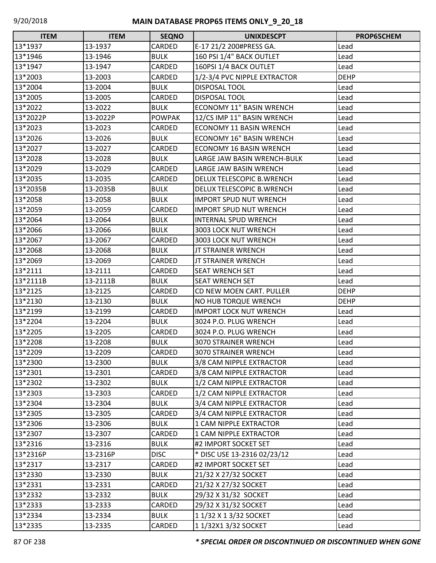| $\Box$<br><b>ITEM</b> | <b>ITEM</b> | <b>SEQNO</b>  | <b>UNIXDESCPT</b>               | PROP65CHEM  |
|-----------------------|-------------|---------------|---------------------------------|-------------|
| 13*1937               | 13-1937     | CARDED        | E-17 21/2 200#PRESS GA.         | Lead        |
| 13*1946               | 13-1946     | <b>BULK</b>   | 160 PSI 1/4" BACK OUTLET        | Lead        |
| 13*1947               | 13-1947     | CARDED        | 160PSI 1/4 BACK OUTLET          | Lead        |
| 13*2003               | 13-2003     | CARDED        | 1/2-3/4 PVC NIPPLE EXTRACTOR    | <b>DEHP</b> |
| 13*2004               | 13-2004     | <b>BULK</b>   | DISPOSAL TOOL                   | Lead        |
| 13*2005               | 13-2005     | CARDED        | DISPOSAL TOOL                   | Lead        |
| 13*2022               | 13-2022     | <b>BULK</b>   | <b>ECONOMY 11" BASIN WRENCH</b> | Lead        |
| 13*2022P              | 13-2022P    | <b>POWPAK</b> | 12/CS IMP 11" BASIN WRENCH      | Lead        |
| 13*2023               | 13-2023     | CARDED        | <b>ECONOMY 11 BASIN WRENCH</b>  | Lead        |
| 13*2026               | 13-2026     | <b>BULK</b>   | <b>ECONOMY 16" BASIN WRENCH</b> | Lead        |
| 13*2027               | 13-2027     | CARDED        | <b>ECONOMY 16 BASIN WRENCH</b>  | Lead        |
| 13*2028               | 13-2028     | <b>BULK</b>   | LARGE JAW BASIN WRENCH-BULK     | Lead        |
| 13*2029               | 13-2029     | CARDED        | LARGE JAW BASIN WRENCH          | Lead        |
| 13*2035               | 13-2035     | CARDED        | DELUX TELESCOPIC B.WRENCH       | Lead        |
| 13*2035B              | 13-2035B    | <b>BULK</b>   | DELUX TELESCOPIC B.WRENCH       | Lead        |
| 13*2058               | 13-2058     | <b>BULK</b>   | <b>IMPORT SPUD NUT WRENCH</b>   | Lead        |
| 13*2059               | 13-2059     | CARDED        | <b>IMPORT SPUD NUT WRENCH</b>   | Lead        |
| 13*2064               | 13-2064     | <b>BULK</b>   | INTERNAL SPUD WRENCH            | Lead        |
| 13*2066               | 13-2066     | <b>BULK</b>   | 3003 LOCK NUT WRENCH            | Lead        |
| 13*2067               | 13-2067     | CARDED        | 3003 LOCK NUT WRENCH            | Lead        |
| 13*2068               | 13-2068     | <b>BULK</b>   | <b>JT STRAINER WRENCH</b>       | Lead        |
| 13*2069               | 13-2069     | <b>CARDED</b> | <b>JT STRAINER WRENCH</b>       | Lead        |
| 13*2111               | 13-2111     | CARDED        | <b>SEAT WRENCH SET</b>          | Lead        |
| 13*2111B              | 13-2111B    | <b>BULK</b>   | <b>SEAT WRENCH SET</b>          | Lead        |
| 13*2125               | 13-2125     | CARDED        | CD NEW MOEN CART. PULLER        | <b>DEHP</b> |
| 13*2130               | 13-2130     | <b>BULK</b>   | NO HUB TORQUE WRENCH            | <b>DEHP</b> |
| 13*2199               | 13-2199     | CARDED        | <b>IMPORT LOCK NUT WRENCH</b>   | Lead        |
| 13*2204               | 13-2204     | <b>BULK</b>   | 3024 P.O. PLUG WRENCH           | Lead        |
| 13*2205               | 13-2205     | CARDED        | 3024 P.O. PLUG WRENCH           | Lead        |
| 13*2208               | 13-2208     | <b>BULK</b>   | 3070 STRAINER WRENCH            | Lead        |
| 13*2209               | 13-2209     | CARDED        | 3070 STRAINER WRENCH            | Lead        |
| 13*2300               | 13-2300     | <b>BULK</b>   | 3/8 CAM NIPPLE EXTRACTOR        | Lead        |
| 13*2301               | 13-2301     | CARDED        | 3/8 CAM NIPPLE EXTRACTOR        | Lead        |
| 13*2302               | 13-2302     | <b>BULK</b>   | 1/2 CAM NIPPLE EXTRACTOR        | Lead        |
| 13*2303               | 13-2303     | CARDED        | 1/2 CAM NIPPLE EXTRACTOR        | Lead        |
| 13*2304               | 13-2304     | <b>BULK</b>   | 3/4 CAM NIPPLE EXTRACTOR        | Lead        |
| 13*2305               | 13-2305     | CARDED        | 3/4 CAM NIPPLE EXTRACTOR        | Lead        |
| 13*2306               | 13-2306     | <b>BULK</b>   | 1 CAM NIPPLE EXTRACTOR          | Lead        |
| 13*2307               | 13-2307     | CARDED        | 1 CAM NIPPLE EXTRACTOR          | Lead        |
| 13*2316               | 13-2316     | <b>BULK</b>   | #2 IMPORT SOCKET SET            | Lead        |
| 13*2316P              | 13-2316P    | <b>DISC</b>   | * DISC USE 13-2316 02/23/12     | Lead        |
| 13*2317               | 13-2317     | CARDED        | #2 IMPORT SOCKET SET            | Lead        |
| 13*2330               | 13-2330     | <b>BULK</b>   | 21/32 X 27/32 SOCKET            | Lead        |
| 13*2331               | 13-2331     | CARDED        | 21/32 X 27/32 SOCKET            | Lead        |
| 13*2332               | 13-2332     | <b>BULK</b>   | 29/32 X 31/32 SOCKET            | Lead        |
| 13*2333               | 13-2333     | CARDED        | 29/32 X 31/32 SOCKET            | Lead        |
| 13*2334               | 13-2334     | <b>BULK</b>   | 1 1/32 X 1 3/32 SOCKET          | Lead        |
| 13*2335               | 13-2335     | CARDED        | 1 1/32X1 3/32 SOCKET            | Lead        |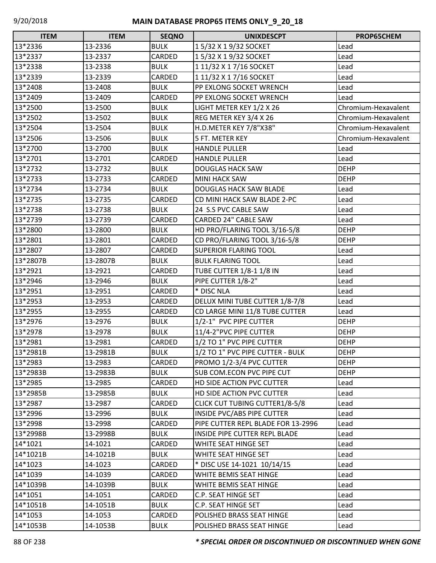| <b>ITEM</b> | <b>ITEM</b> | <b>SEQNO</b> | <b>UNIXDESCPT</b>                  | PROP65CHEM          |
|-------------|-------------|--------------|------------------------------------|---------------------|
| 13*2336     | 13-2336     | <b>BULK</b>  | 15/32 X 19/32 SOCKET               | Lead                |
| 13*2337     | 13-2337     | CARDED       | 15/32 X 19/32 SOCKET               | Lead                |
| 13*2338     | 13-2338     | <b>BULK</b>  | 1 11/32 X 1 7/16 SOCKET            | Lead                |
| 13*2339     | 13-2339     | CARDED       | 1 11/32 X 1 7/16 SOCKET            | Lead                |
| 13*2408     | 13-2408     | <b>BULK</b>  | PP EXLONG SOCKET WRENCH            | Lead                |
| 13*2409     | 13-2409     | CARDED       | PP EXLONG SOCKET WRENCH            | Lead                |
| 13*2500     | 13-2500     | <b>BULK</b>  | LIGHT METER KEY 1/2 X 26           | Chromium-Hexavalent |
| 13*2502     | 13-2502     | <b>BULK</b>  | REG METER KEY 3/4 X 26             | Chromium-Hexavalent |
| 13*2504     | 13-2504     | <b>BULK</b>  | H.D.METER KEY 7/8"X38"             | Chromium-Hexavalent |
| 13*2506     | 13-2506     | <b>BULK</b>  | 5 FT. METER KEY                    | Chromium-Hexavalent |
| 13*2700     | 13-2700     | <b>BULK</b>  | <b>HANDLE PULLER</b>               | Lead                |
| 13*2701     | 13-2701     | CARDED       | <b>HANDLE PULLER</b>               | Lead                |
| 13*2732     | 13-2732     | <b>BULK</b>  | <b>DOUGLAS HACK SAW</b>            | <b>DEHP</b>         |
| 13*2733     | 13-2733     | CARDED       | <b>MINI HACK SAW</b>               | <b>DEHP</b>         |
| 13*2734     | 13-2734     | <b>BULK</b>  | <b>DOUGLAS HACK SAW BLADE</b>      | Lead                |
| 13*2735     | 13-2735     | CARDED       | CD MINI HACK SAW BLADE 2-PC        | Lead                |
| 13*2738     | 13-2738     | <b>BULK</b>  | 24 S.S PVC CABLE SAW               | Lead                |
| 13*2739     | 13-2739     | CARDED       | CARDED 24" CABLE SAW               | Lead                |
| 13*2800     | 13-2800     | <b>BULK</b>  | HD PRO/FLARING TOOL 3/16-5/8       | <b>DEHP</b>         |
| 13*2801     | 13-2801     | CARDED       | CD PRO/FLARING TOOL 3/16-5/8       | <b>DEHP</b>         |
| 13*2807     | 13-2807     | CARDED       | <b>SUPERIOR FLARING TOOL</b>       | Lead                |
| 13*2807B    | 13-2807B    | <b>BULK</b>  | <b>BULK FLARING TOOL</b>           | Lead                |
| 13*2921     | 13-2921     | CARDED       | TUBE CUTTER 1/8-1 1/8 IN           | Lead                |
| 13*2946     | 13-2946     | <b>BULK</b>  | PIPE CUTTER 1/8-2"                 | Lead                |
| 13*2951     | 13-2951     | CARDED       | * DISC NLA                         | Lead                |
| 13*2953     | 13-2953     | CARDED       | DELUX MINI TUBE CUTTER 1/8-7/8     | Lead                |
| 13*2955     | 13-2955     | CARDED       | CD LARGE MINI 11/8 TUBE CUTTER     | Lead                |
| 13*2976     | 13-2976     | <b>BULK</b>  | 1/2-1" PVC PIPE CUTTER             | <b>DEHP</b>         |
| 13*2978     | 13-2978     | <b>BULK</b>  | 11/4-2"PVC PIPE CUTTER             | <b>DEHP</b>         |
| 13*2981     | 13-2981     | CARDED       | 1/2 TO 1" PVC PIPE CUTTER          | <b>DEHP</b>         |
| 13*2981B    | 13-2981B    | <b>BULK</b>  | 1/2 TO 1" PVC PIPE CUTTER - BULK   | <b>DEHP</b>         |
| 13*2983     | 13-2983     | CARDED       | PROMO 1/2-3/4 PVC CUTTER           | <b>DEHP</b>         |
| 13*2983B    | 13-2983B    | <b>BULK</b>  | SUB COM.ECON PVC PIPE CUT          | <b>DEHP</b>         |
| 13*2985     | 13-2985     | CARDED       | HD SIDE ACTION PVC CUTTER          | Lead                |
| 13*2985B    | 13-2985B    | <b>BULK</b>  | HD SIDE ACTION PVC CUTTER          | Lead                |
| 13*2987     | 13-2987     | CARDED       | CLICK CUT TUBING CUTTER1/8-5/8     | Lead                |
| 13*2996     | 13-2996     | <b>BULK</b>  | <b>INSIDE PVC/ABS PIPE CUTTER</b>  | Lead                |
| 13*2998     | 13-2998     | CARDED       | PIPE CUTTER REPL BLADE FOR 13-2996 | Lead                |
| 13*2998B    | 13-2998B    | <b>BULK</b>  | INSIDE PIPE CUTTER REPL BLADE      | Lead                |
| 14*1021     | 14-1021     | CARDED       | WHITE SEAT HINGE SET               | Lead                |
| 14*1021B    | 14-1021B    | <b>BULK</b>  | WHITE SEAT HINGE SET               | Lead                |
| 14*1023     | 14-1023     | CARDED       | * DISC USE 14-1021 10/14/15        | Lead                |
| 14*1039     | 14-1039     | CARDED       | WHITE BEMIS SEAT HINGE             | Lead                |
| 14*1039B    | 14-1039B    | <b>BULK</b>  | WHITE BEMIS SEAT HINGE             | Lead                |
| 14*1051     | 14-1051     | CARDED       | C.P. SEAT HINGE SET                | Lead                |
| 14*1051B    | 14-1051B    | <b>BULK</b>  | C.P. SEAT HINGE SET                | Lead                |
| 14*1053     | 14-1053     | CARDED       | POLISHED BRASS SEAT HINGE          | Lead                |
| 14*1053B    | 14-1053B    | <b>BULK</b>  | POLISHED BRASS SEAT HINGE          | Lead                |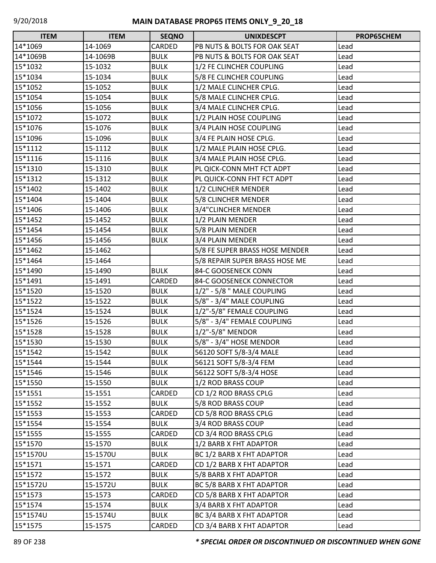| <b>ITEM</b> | <b>ITEM</b> | <b>SEQNO</b>  | <b>UNIXDESCPT</b>              | PROP65CHEM |
|-------------|-------------|---------------|--------------------------------|------------|
| 14*1069     | 14-1069     | <b>CARDED</b> | PB NUTS & BOLTS FOR OAK SEAT   | Lead       |
| 14*1069B    | 14-1069B    | <b>BULK</b>   | PB NUTS & BOLTS FOR OAK SEAT   | Lead       |
| 15*1032     | 15-1032     | <b>BULK</b>   | 1/2 FE CLINCHER COUPLING       | Lead       |
| 15*1034     | 15-1034     | <b>BULK</b>   | 5/8 FE CLINCHER COUPLING       | Lead       |
| 15*1052     | 15-1052     | <b>BULK</b>   | 1/2 MALE CLINCHER CPLG.        | Lead       |
| 15*1054     | 15-1054     | <b>BULK</b>   | 5/8 MALE CLINCHER CPLG.        | Lead       |
| 15*1056     | 15-1056     | <b>BULK</b>   | 3/4 MALE CLINCHER CPLG.        | Lead       |
| 15*1072     | 15-1072     | <b>BULK</b>   | 1/2 PLAIN HOSE COUPLING        | Lead       |
| 15*1076     | 15-1076     | <b>BULK</b>   | 3/4 PLAIN HOSE COUPLING        | Lead       |
| 15*1096     | 15-1096     | <b>BULK</b>   | 3/4 FE PLAIN HOSE CPLG.        | Lead       |
| 15*1112     | 15-1112     | <b>BULK</b>   | 1/2 MALE PLAIN HOSE CPLG.      | Lead       |
| 15*1116     | 15-1116     | <b>BULK</b>   | 3/4 MALE PLAIN HOSE CPLG.      | Lead       |
| 15*1310     | 15-1310     | <b>BULK</b>   | PL QICK-CONN MHT FCT ADPT      | Lead       |
| 15*1312     | 15-1312     | <b>BULK</b>   | PL QUICK-CONN FHT FCT ADPT     | Lead       |
| 15*1402     | 15-1402     | <b>BULK</b>   | 1/2 CLINCHER MENDER            | Lead       |
| 15*1404     | 15-1404     | <b>BULK</b>   | 5/8 CLINCHER MENDER            | Lead       |
| 15*1406     | 15-1406     | <b>BULK</b>   | 3/4"CLINCHER MENDER            | Lead       |
| 15*1452     | 15-1452     | <b>BULK</b>   | 1/2 PLAIN MENDER               | Lead       |
| 15*1454     | 15-1454     | <b>BULK</b>   | 5/8 PLAIN MENDER               | Lead       |
| 15*1456     | 15-1456     | <b>BULK</b>   | 3/4 PLAIN MENDER               | Lead       |
| 15*1462     | 15-1462     |               | 5/8 FE SUPER BRASS HOSE MENDER | Lead       |
| 15*1464     | 15-1464     |               | 5/8 REPAIR SUPER BRASS HOSE ME | Lead       |
| 15*1490     | 15-1490     | <b>BULK</b>   | 84-C GOOSENECK CONN            | Lead       |
| 15*1491     | 15-1491     | CARDED        | 84-C GOOSENECK CONNECTOR       | Lead       |
| 15*1520     | 15-1520     | <b>BULK</b>   | 1/2" - 5/8 " MALE COUPLING     | Lead       |
| 15*1522     | 15-1522     | <b>BULK</b>   | 5/8" - 3/4" MALE COUPLING      | Lead       |
| 15*1524     | 15-1524     | <b>BULK</b>   | 1/2"-5/8" FEMALE COUPLING      | Lead       |
| 15*1526     | 15-1526     | <b>BULK</b>   | 5/8" - 3/4" FEMALE COUPLING    | Lead       |
| 15*1528     | 15-1528     | <b>BULK</b>   | 1/2"-5/8" MENDOR               | Lead       |
| 15*1530     | 15-1530     | <b>BULK</b>   | 5/8" - 3/4" HOSE MENDOR        | Lead       |
| 15*1542     | 15-1542     | <b>BULK</b>   | 56120 SOFT 5/8-3/4 MALE        | Lead       |
| 15*1544     | 15-1544     | <b>BULK</b>   | 56121 SOFT 5/8-3/4 FEM         | Lead       |
| 15*1546     | 15-1546     | <b>BULK</b>   | 56122 SOFT 5/8-3/4 HOSE        | Lead       |
| 15*1550     | 15-1550     | <b>BULK</b>   | 1/2 ROD BRASS COUP             | Lead       |
| 15*1551     | 15-1551     | CARDED        | CD 1/2 ROD BRASS CPLG          | Lead       |
| 15*1552     | 15-1552     | <b>BULK</b>   | 5/8 ROD BRASS COUP             | Lead       |
| 15*1553     | 15-1553     | CARDED        | CD 5/8 ROD BRASS CPLG          | Lead       |
| 15*1554     | 15-1554     | <b>BULK</b>   | 3/4 ROD BRASS COUP             | Lead       |
| 15*1555     | 15-1555     | CARDED        | CD 3/4 ROD BRASS CPLG          | Lead       |
| 15*1570     | 15-1570     | <b>BULK</b>   | 1/2 BARB X FHT ADAPTOR         | Lead       |
| 15*1570U    | 15-1570U    | <b>BULK</b>   | BC 1/2 BARB X FHT ADAPTOR      | Lead       |
| 15*1571     | 15-1571     | CARDED        | CD 1/2 BARB X FHT ADAPTOR      | Lead       |
| 15*1572     | 15-1572     | <b>BULK</b>   | 5/8 BARB X FHT ADAPTOR         | Lead       |
| 15*1572U    | 15-1572U    | <b>BULK</b>   | BC 5/8 BARB X FHT ADAPTOR      | Lead       |
| 15*1573     | 15-1573     | CARDED        | CD 5/8 BARB X FHT ADAPTOR      | Lead       |
| 15*1574     | 15-1574     | <b>BULK</b>   | 3/4 BARB X FHT ADAPTOR         | Lead       |
| 15*1574U    | 15-1574U    | <b>BULK</b>   | BC 3/4 BARB X FHT ADAPTOR      | Lead       |
| 15*1575     | 15-1575     | <b>CARDED</b> | CD 3/4 BARB X FHT ADAPTOR      | Lead       |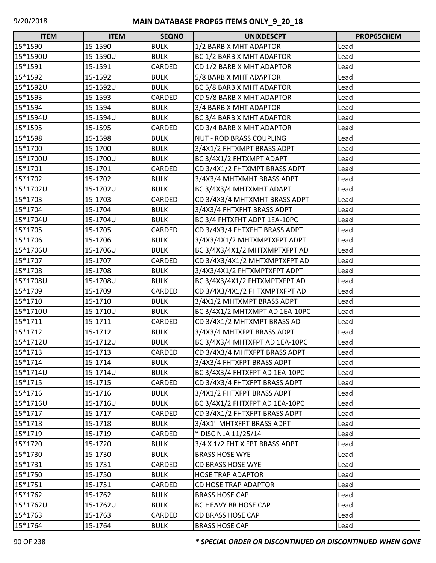| <b>ITEM</b> | <b>ITEM</b> | <b>SEQNO</b>  | <b>UNIXDESCPT</b>               | PROP65CHEM |
|-------------|-------------|---------------|---------------------------------|------------|
| 15*1590     | 15-1590     | <b>BULK</b>   | 1/2 BARB X MHT ADAPTOR          | Lead       |
| 15*1590U    | 15-1590U    | <b>BULK</b>   | BC 1/2 BARB X MHT ADAPTOR       | Lead       |
| 15*1591     | 15-1591     | CARDED        | CD 1/2 BARB X MHT ADAPTOR       | Lead       |
| 15*1592     | 15-1592     | <b>BULK</b>   | 5/8 BARB X MHT ADAPTOR          | Lead       |
| 15*1592U    | 15-1592U    | <b>BULK</b>   | BC 5/8 BARB X MHT ADAPTOR       | Lead       |
| 15*1593     | 15-1593     | CARDED        | CD 5/8 BARB X MHT ADAPTOR       | Lead       |
| 15*1594     | 15-1594     | <b>BULK</b>   | 3/4 BARB X MHT ADAPTOR          | Lead       |
| 15*1594U    | 15-1594U    | <b>BULK</b>   | BC 3/4 BARB X MHT ADAPTOR       | Lead       |
| 15*1595     | 15-1595     | CARDED        | CD 3/4 BARB X MHT ADAPTOR       | Lead       |
| 15*1598     | 15-1598     | <b>BULK</b>   | <b>NUT - ROD BRASS COUPLING</b> | Lead       |
| 15*1700     | 15-1700     | <b>BULK</b>   | 3/4X1/2 FHTXMPT BRASS ADPT      | Lead       |
| 15*1700U    | 15-1700U    | <b>BULK</b>   | BC 3/4X1/2 FHTXMPT ADAPT        | Lead       |
| 15*1701     | 15-1701     | CARDED        | CD 3/4X1/2 FHTXMPT BRASS ADPT   | Lead       |
| 15*1702     | 15-1702     | <b>BULK</b>   | 3/4X3/4 MHTXMHT BRASS ADPT      | Lead       |
| 15*1702U    | 15-1702U    | <b>BULK</b>   | BC 3/4X3/4 MHTXMHT ADAPT        | Lead       |
| 15*1703     | 15-1703     | CARDED        | CD 3/4X3/4 MHTXMHT BRASS ADPT   | Lead       |
| 15*1704     | 15-1704     | <b>BULK</b>   | 3/4X3/4 FHTXFHT BRASS ADPT      | Lead       |
| 15*1704U    | 15-1704U    | <b>BULK</b>   | BC 3/4 FHTXFHT ADPT 1EA-10PC    | Lead       |
| 15*1705     | 15-1705     | CARDED        | CD 3/4X3/4 FHTXFHT BRASS ADPT   | Lead       |
| 15*1706     | 15-1706     | <b>BULK</b>   | 3/4X3/4X1/2 MHTXMPTXFPT ADPT    | Lead       |
| 15*1706U    | 15-1706U    | <b>BULK</b>   | BC 3/4X3/4X1/2 MHTXMPTXFPT AD   | Lead       |
| 15*1707     | 15-1707     | CARDED        | CD 3/4X3/4X1/2 MHTXMPTXFPT AD   | Lead       |
| 15*1708     | 15-1708     | <b>BULK</b>   | 3/4X3/4X1/2 FHTXMPTXFPT ADPT    | Lead       |
| 15*1708U    | 15-1708U    | <b>BULK</b>   | BC 3/4X3/4X1/2 FHTXMPTXFPT AD   | Lead       |
| 15*1709     | 15-1709     | CARDED        | CD 3/4X3/4X1/2 FHTXMPTXFPT AD   | Lead       |
| 15*1710     | 15-1710     | <b>BULK</b>   | 3/4X1/2 MHTXMPT BRASS ADPT      | Lead       |
| 15*1710U    | 15-1710U    | <b>BULK</b>   | BC 3/4X1/2 MHTXMPT AD 1EA-10PC  | Lead       |
| 15*1711     | 15-1711     | CARDED        | CD 3/4X1/2 MHTXMPT BRASS AD     | Lead       |
| 15*1712     | 15-1712     | <b>BULK</b>   | 3/4X3/4 MHTXFPT BRASS ADPT      | Lead       |
| 15*1712U    | 15-1712U    | <b>BULK</b>   | BC 3/4X3/4 MHTXFPT AD 1EA-10PC  | Lead       |
| 15*1713     | 15-1713     | <b>CARDED</b> | CD 3/4X3/4 MHTXFPT BRASS ADPT   | Lead       |
| 15*1714     | 15-1714     | <b>BULK</b>   | 3/4X3/4 FHTXFPT BRASS ADPT      | Lead       |
| 15*1714U    | 15-1714U    | <b>BULK</b>   | BC 3/4X3/4 FHTXFPT AD 1EA-10PC  | Lead       |
| 15*1715     | 15-1715     | CARDED        | CD 3/4X3/4 FHTXFPT BRASS ADPT   | Lead       |
| 15*1716     | 15-1716     | <b>BULK</b>   | 3/4X1/2 FHTXFPT BRASS ADPT      | Lead       |
| 15*1716U    | 15-1716U    | <b>BULK</b>   | BC 3/4X1/2 FHTXFPT AD 1EA-10PC  | Lead       |
| 15*1717     | 15-1717     | CARDED        | CD 3/4X1/2 FHTXFPT BRASS ADPT   | Lead       |
| 15*1718     | 15-1718     | <b>BULK</b>   | 3/4X1" MHTXFPT BRASS ADPT       | Lead       |
| 15*1719     | 15-1719     | CARDED        | * DISC NLA 11/25/14             | Lead       |
| 15*1720     | 15-1720     | <b>BULK</b>   | 3/4 X 1/2 FHT X FPT BRASS ADPT  | Lead       |
| 15*1730     | 15-1730     | <b>BULK</b>   | <b>BRASS HOSE WYE</b>           | Lead       |
| 15*1731     | 15-1731     | CARDED        | <b>CD BRASS HOSE WYE</b>        | Lead       |
| 15*1750     | 15-1750     | <b>BULK</b>   | <b>HOSE TRAP ADAPTOR</b>        | Lead       |
| 15*1751     | 15-1751     | CARDED        | <b>CD HOSE TRAP ADAPTOR</b>     | Lead       |
| 15*1762     | 15-1762     | <b>BULK</b>   | <b>BRASS HOSE CAP</b>           | Lead       |
| 15*1762U    | 15-1762U    | <b>BULK</b>   | BC HEAVY BR HOSE CAP            | Lead       |
| 15*1763     | 15-1763     | CARDED        | CD BRASS HOSE CAP               | Lead       |
| 15*1764     | 15-1764     | <b>BULK</b>   | <b>BRASS HOSE CAP</b>           | Lead       |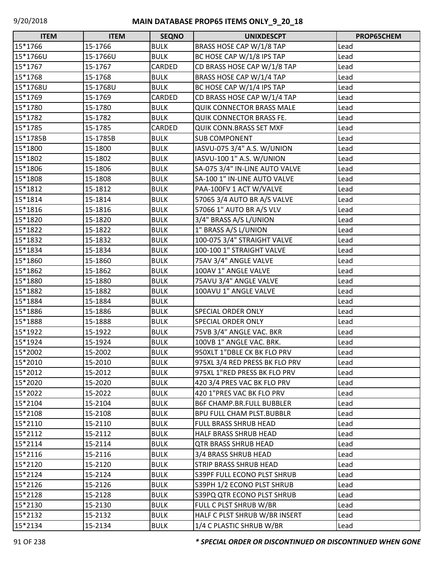| <b>ITEM</b> | <b>ITEM</b> | <b>SEQNO</b> | <b>UNIXDESCPT</b>                | PROP65CHEM |
|-------------|-------------|--------------|----------------------------------|------------|
| 15*1766     | 15-1766     | <b>BULK</b>  | BRASS HOSE CAP W/1/8 TAP         | Lead       |
| 15*1766U    | 15-1766U    | <b>BULK</b>  | BC HOSE CAP W/1/8 IPS TAP        | Lead       |
| 15*1767     | 15-1767     | CARDED       | CD BRASS HOSE CAP W/1/8 TAP      | Lead       |
| 15*1768     | 15-1768     | <b>BULK</b>  | BRASS HOSE CAP W/1/4 TAP         | Lead       |
| 15*1768U    | 15-1768U    | <b>BULK</b>  | BC HOSE CAP W/1/4 IPS TAP        | Lead       |
| 15*1769     | 15-1769     | CARDED       | CD BRASS HOSE CAP W/1/4 TAP      | Lead       |
| 15*1780     | 15-1780     | <b>BULK</b>  | <b>QUIK CONNECTOR BRASS MALE</b> | Lead       |
| 15*1782     | 15-1782     | <b>BULK</b>  | <b>QUIK CONNECTOR BRASS FE.</b>  | Lead       |
| 15*1785     | 15-1785     | CARDED       | <b>QUIK CONN.BRASS SET MXF</b>   | Lead       |
| 15*1785B    | 15-1785B    | <b>BULK</b>  | <b>SUB COMPONENT</b>             | Lead       |
| 15*1800     | 15-1800     | <b>BULK</b>  | IASVU-075 3/4" A.S. W/UNION      | Lead       |
| 15*1802     | 15-1802     | <b>BULK</b>  | IASVU-100 1" A.S. W/UNION        | Lead       |
| 15*1806     | 15-1806     | <b>BULK</b>  | SA-075 3/4" IN-LINE AUTO VALVE   | Lead       |
| 15*1808     | 15-1808     | <b>BULK</b>  | SA-100 1" IN-LINE AUTO VALVE     | Lead       |
| 15*1812     | 15-1812     | <b>BULK</b>  | PAA-100FV 1 ACT W/VALVE          | Lead       |
| 15*1814     | 15-1814     | <b>BULK</b>  | 57065 3/4 AUTO BR A/S VALVE      | Lead       |
| 15*1816     | 15-1816     | <b>BULK</b>  | 57066 1" AUTO BR A/S VLV         | Lead       |
| 15*1820     | 15-1820     | <b>BULK</b>  | 3/4" BRASS A/S L/UNION           | Lead       |
| 15*1822     | 15-1822     | <b>BULK</b>  | 1" BRASS A/S L/UNION             | Lead       |
| 15*1832     | 15-1832     | <b>BULK</b>  | 100-075 3/4" STRAIGHT VALVE      | Lead       |
| 15*1834     | 15-1834     | <b>BULK</b>  | 100-100 1" STRAIGHT VALVE        | Lead       |
| 15*1860     | 15-1860     | <b>BULK</b>  | 75AV 3/4" ANGLE VALVE            | Lead       |
| 15*1862     | 15-1862     | <b>BULK</b>  | 100AV 1" ANGLE VALVE             | Lead       |
| 15*1880     | 15-1880     | <b>BULK</b>  | 75AVU 3/4" ANGLE VALVE           | Lead       |
| 15*1882     | 15-1882     | <b>BULK</b>  | 100AVU 1" ANGLE VALVE            | Lead       |
| 15*1884     | 15-1884     | <b>BULK</b>  |                                  | Lead       |
| 15*1886     | 15-1886     | <b>BULK</b>  | SPECIAL ORDER ONLY               | Lead       |
| 15*1888     | 15-1888     | <b>BULK</b>  | SPECIAL ORDER ONLY               | Lead       |
| 15*1922     | 15-1922     | <b>BULK</b>  | 75VB 3/4" ANGLE VAC. BKR         | Lead       |
| 15*1924     | 15-1924     | <b>BULK</b>  | 100VB 1" ANGLE VAC. BRK.         | Lead       |
| 15*2002     | 15-2002     | <b>BULK</b>  | 950XLT 1"DBLE CK BK FLO PRV      | Lead       |
| 15*2010     | 15-2010     | <b>BULK</b>  | 975XL 3/4 RED PRESS BK FLO PRV   | Lead       |
| 15*2012     | 15-2012     | <b>BULK</b>  | 975XL 1"RED PRESS BK FLO PRV     | Lead       |
| 15*2020     | 15-2020     | <b>BULK</b>  | 420 3/4 PRES VAC BK FLO PRV      | Lead       |
| 15*2022     | 15-2022     | <b>BULK</b>  | 420 1"PRES VAC BK FLO PRV        | Lead       |
| 15*2104     | 15-2104     | <b>BULK</b>  | <b>B6F CHAMP.BR.FULL BUBBLER</b> | Lead       |
| 15*2108     | 15-2108     | <b>BULK</b>  | <b>BPU FULL CHAM PLST.BUBBLR</b> | Lead       |
| 15*2110     | 15-2110     | <b>BULK</b>  | FULL BRASS SHRUB HEAD            | Lead       |
| 15*2112     | 15-2112     | <b>BULK</b>  | HALF BRASS SHRUB HEAD            | Lead       |
| 15*2114     | 15-2114     | <b>BULK</b>  | <b>QTR BRASS SHRUB HEAD</b>      | Lead       |
| 15*2116     | 15-2116     | <b>BULK</b>  | 3/4 BRASS SHRUB HEAD             | Lead       |
| 15*2120     | 15-2120     | <b>BULK</b>  | <b>STRIP BRASS SHRUB HEAD</b>    | Lead       |
| 15*2124     | 15-2124     | <b>BULK</b>  | S39PF FULL ECONO PLST SHRUB      | Lead       |
| 15*2126     | 15-2126     | <b>BULK</b>  | S39PH 1/2 ECONO PLST SHRUB       | Lead       |
| 15*2128     | 15-2128     | <b>BULK</b>  | S39PQ QTR ECONO PLST SHRUB       | Lead       |
| 15*2130     | 15-2130     | <b>BULK</b>  | FULL C PLST SHRUB W/BR           | Lead       |
| 15*2132     | 15-2132     | <b>BULK</b>  | HALF C PLST SHRUB W/BR INSERT    | Lead       |
| 15*2134     | 15-2134     | <b>BULK</b>  | 1/4 C PLASTIC SHRUB W/BR         | Lead       |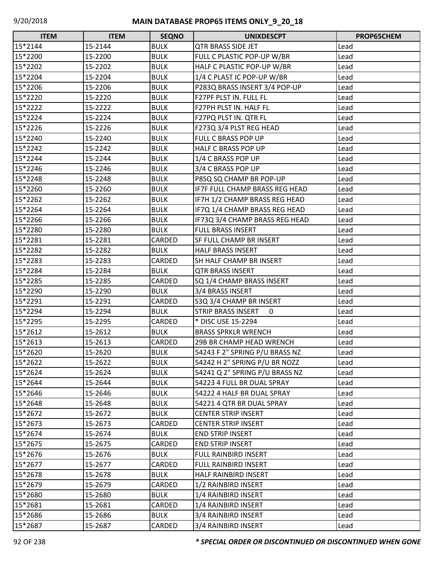| $\Box$<br><b>ITEM</b> | <b>ITEM</b> | <b>SEQNO</b> | <b>UNIXDESCPT</b>                        | <b>PROP65CHEM</b> |
|-----------------------|-------------|--------------|------------------------------------------|-------------------|
| 15*2144               | 15-2144     | <b>BULK</b>  | <b>QTR BRASS SIDE JET</b>                | Lead              |
| 15*2200               | 15-2200     | <b>BULK</b>  | FULL C PLASTIC POP-UP W/BR               | Lead              |
| 15*2202               | 15-2202     | <b>BULK</b>  | HALF C PLASTIC POP-UP W/BR               | Lead              |
| 15*2204               | 15-2204     | <b>BULK</b>  | 1/4 C PLAST IC POP-UP W/BR               | Lead              |
| 15*2206               | 15-2206     | <b>BULK</b>  | P283Q BRASS INSERT 3/4 POP-UP            | Lead              |
| 15*2220               | 15-2220     | <b>BULK</b>  | F27PF PLST IN. FULL FL                   | Lead              |
| 15*2222               | 15-2222     | <b>BULK</b>  | F27PH PLST IN. HALF FL                   | Lead              |
| 15*2224               | 15-2224     | <b>BULK</b>  | F27PQ PLST IN. QTR FL                    | Lead              |
| 15*2226               | 15-2226     | <b>BULK</b>  | F273Q 3/4 PLST REG HEAD                  | Lead              |
| 15*2240               | 15-2240     | <b>BULK</b>  | FULL C BRASS POP UP                      | Lead              |
| 15*2242               | 15-2242     | <b>BULK</b>  | HALF C BRASS POP UP                      | Lead              |
| 15*2244               | 15-2244     | <b>BULK</b>  | 1/4 C BRASS POP UP                       | Lead              |
| 15*2246               | 15-2246     | <b>BULK</b>  | 3/4 C BRASS POP UP                       | Lead              |
| 15*2248               | 15-2248     | <b>BULK</b>  | P8SQ SQ CHAMP BR POP-UP                  | Lead              |
| 15*2260               | 15-2260     | <b>BULK</b>  | IF7F FULL CHAMP BRASS REG HEAD           | Lead              |
| 15*2262               | 15-2262     | <b>BULK</b>  | IF7H 1/2 CHAMP BRASS REG HEAD            | Lead              |
| 15*2264               | 15-2264     | <b>BULK</b>  | IF7Q 1/4 CHAMP BRASS REG HEAD            | Lead              |
| 15*2266               | 15-2266     | <b>BULK</b>  | IF73Q 3/4 CHAMP BRASS REG HEAD           | Lead              |
| 15*2280               | 15-2280     | <b>BULK</b>  | <b>FULL BRASS INSERT</b>                 | Lead              |
| 15*2281               | 15-2281     | CARDED       | SF FULL CHAMP BR INSERT                  | Lead              |
| 15*2282               | 15-2282     | <b>BULK</b>  | <b>HALF BRASS INSERT</b>                 | Lead              |
| 15*2283               | 15-2283     | CARDED       | SH HALF CHAMP BR INSERT                  | Lead              |
| 15*2284               | 15-2284     | <b>BULK</b>  | <b>QTR BRASS INSERT</b>                  | Lead              |
| 15*2285               | 15-2285     | CARDED       | SQ 1/4 CHAMP BRASS INSERT                | Lead              |
| 15*2290               | 15-2290     | <b>BULK</b>  | 3/4 BRASS INSERT                         | Lead              |
| 15*2291               | 15-2291     | CARDED       | S3Q 3/4 CHAMP BR INSERT                  | Lead              |
| 15*2294               | 15-2294     | <b>BULK</b>  | <b>STRIP BRASS INSERT</b><br>$\mathbf 0$ | Lead              |
| 15*2295               | 15-2295     | CARDED       | * DISC USE 15-2294                       | Lead              |
| 15*2612               | 15-2612     | <b>BULK</b>  | <b>BRASS SPRKLR WRENCH</b>               | Lead              |
| 15*2613               | 15-2613     | CARDED       | 29B BR CHAMP HEAD WRENCH                 | Lead              |
| 15*2620               | 15-2620     | <b>BULK</b>  | 54243 F 2" SPRING P/U BRASS NZ           | Lead              |
| 15*2622               | 15-2622     | <b>BULK</b>  | 54242 H 2" SPRING P/U BR NOZZ            | Lead              |
| 15*2624               | 15-2624     | <b>BULK</b>  | 54241 Q 2" SPRING P/U BRASS NZ           | Lead              |
| 15*2644               | 15-2644     | <b>BULK</b>  | 54223 4 FULL BR DUAL SPRAY               | Lead              |
| 15*2646               | 15-2646     | <b>BULK</b>  | 54222 4 HALF BR DUAL SPRAY               | Lead              |
| 15*2648               | 15-2648     | <b>BULK</b>  | 54221 4 QTR BR DUAL SPRAY                | Lead              |
| 15*2672               | 15-2672     | <b>BULK</b>  | <b>CENTER STRIP INSERT</b>               | Lead              |
| 15*2673               | 15-2673     | CARDED       | <b>CENTER STRIP INSERT</b>               | Lead              |
| 15*2674               | 15-2674     | <b>BULK</b>  | END STRIP INSERT                         | Lead              |
| 15*2675               | 15-2675     | CARDED       | <b>END STRIP INSERT</b>                  | Lead              |
| 15*2676               | 15-2676     | <b>BULK</b>  | FULL RAINBIRD INSERT                     | Lead              |
| 15*2677               | 15-2677     | CARDED       | FULL RAINBIRD INSERT                     | Lead              |
| 15*2678               | 15-2678     | <b>BULK</b>  | HALF RAINBIRD INSERT                     | Lead              |
| 15*2679               | 15-2679     | CARDED       | 1/2 RAINBIRD INSERT                      | Lead              |
| 15*2680               | 15-2680     | <b>BULK</b>  | 1/4 RAINBIRD INSERT                      | Lead              |
| 15*2681               | 15-2681     | CARDED       | 1/4 RAINBIRD INSERT                      | Lead              |
| 15*2686               | 15-2686     | <b>BULK</b>  | 3/4 RAINBIRD INSERT                      | Lead              |
| 15*2687               | 15-2687     | CARDED       | 3/4 RAINBIRD INSERT                      | Lead              |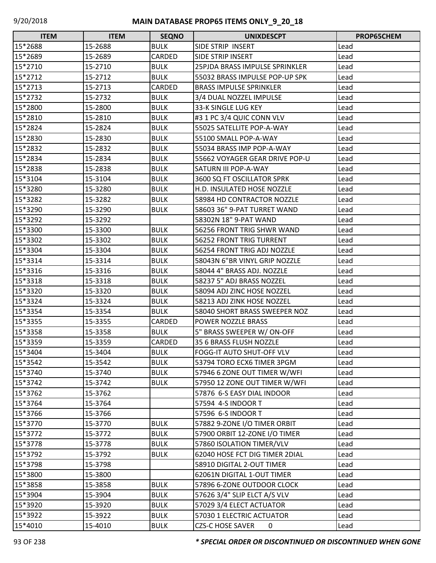| $\Box$<br><b>ITEM</b> | <b>ITEM</b> | <b>SEQNO</b>  | <b>UNIXDESCPT</b>              | <b>PROP65CHEM</b> |
|-----------------------|-------------|---------------|--------------------------------|-------------------|
| 15*2688               | 15-2688     | <b>BULK</b>   | SIDE STRIP INSERT              | Lead              |
| 15*2689               | 15-2689     | CARDED        | SIDE STRIP INSERT              | Lead              |
| 15*2710               | 15-2710     | <b>BULK</b>   | 25PJDA BRASS IMPULSE SPRINKLER | Lead              |
| 15*2712               | 15-2712     | <b>BULK</b>   | 55032 BRASS IMPULSE POP-UP SPK | Lead              |
| 15*2713               | 15-2713     | <b>CARDED</b> | <b>BRASS IMPULSE SPRINKLER</b> | Lead              |
| 15*2732               | 15-2732     | <b>BULK</b>   | 3/4 DUAL NOZZEL IMPULSE        | Lead              |
| 15*2800               | 15-2800     | <b>BULK</b>   | 33-K SINGLE LUG KEY            | Lead              |
| 15*2810               | 15-2810     | <b>BULK</b>   | #3 1 PC 3/4 QUIC CONN VLV      | Lead              |
| 15*2824               | 15-2824     | <b>BULK</b>   | 55025 SATELLITE POP-A-WAY      | Lead              |
| 15*2830               | 15-2830     | <b>BULK</b>   | 55100 SMALL POP-A-WAY          | Lead              |
| 15*2832               | 15-2832     | <b>BULK</b>   | 55034 BRASS IMP POP-A-WAY      | Lead              |
| 15*2834               | 15-2834     | <b>BULK</b>   | 55662 VOYAGER GEAR DRIVE POP-U | Lead              |
| 15*2838               | 15-2838     | <b>BULK</b>   | <b>SATURN III POP-A-WAY</b>    | Lead              |
| 15*3104               | 15-3104     | <b>BULK</b>   | 3600 SQ FT OSCILLATOR SPRK     | Lead              |
| 15*3280               | 15-3280     | <b>BULK</b>   | H.D. INSULATED HOSE NOZZLE     | Lead              |
| 15*3282               | 15-3282     | <b>BULK</b>   | 58984 HD CONTRACTOR NOZZLE     | Lead              |
| 15*3290               | 15-3290     | <b>BULK</b>   | 58603 36" 9-PAT TURRET WAND    | Lead              |
| 15*3292               | 15-3292     |               | 58302N 18" 9-PAT WAND          | Lead              |
| 15*3300               | 15-3300     | <b>BULK</b>   | 56256 FRONT TRIG SHWR WAND     | Lead              |
| 15*3302               | 15-3302     | <b>BULK</b>   | 56252 FRONT TRIG TURRENT       | Lead              |
| 15*3304               | 15-3304     | <b>BULK</b>   | 56254 FRONT TRIG ADJ NOZZLE    | Lead              |
| 15*3314               | 15-3314     | <b>BULK</b>   | 58043N 6"BR VINYL GRIP NOZZLE  | Lead              |
| 15*3316               | 15-3316     | <b>BULK</b>   | 58044 4" BRASS ADJ. NOZZLE     | Lead              |
| 15*3318               | 15-3318     | <b>BULK</b>   | 58237 5" ADJ BRASS NOZZEL      | Lead              |
| 15*3320               | 15-3320     | <b>BULK</b>   | 58094 ADJ ZINC HOSE NOZZEL     | Lead              |
| 15*3324               | 15-3324     | <b>BULK</b>   | 58213 ADJ ZINK HOSE NOZZEL     | Lead              |
| 15*3354               | 15-3354     | <b>BULK</b>   | 58040 SHORT BRASS SWEEPER NOZ  | Lead              |
| 15*3355               | 15-3355     | CARDED        | POWER NOZZLE BRASS             | Lead              |
| 15*3358               | 15-3358     | <b>BULK</b>   | 5" BRASS SWEEPER W/ON-OFF      | Lead              |
| 15*3359               | 15-3359     | CARDED        | 35 6 BRASS FLUSH NOZZLE        | Lead              |
| 15*3404               | 15-3404     | <b>BULK</b>   | FOGG-IT AUTO SHUT-OFF VLV      | Lead              |
| 15*3542               | 15-3542     | <b>BULK</b>   | 53794 TORO ECX6 TIMER 3PGM     | Lead              |
| 15*3740               | 15-3740     | <b>BULK</b>   | 57946 6 ZONE OUT TIMER W/WFI   | Lead              |
| 15*3742               | 15-3742     | <b>BULK</b>   | 57950 12 ZONE OUT TIMER W/WFI  | Lead              |
| 15*3762               | 15-3762     |               | 57876 6-S EASY DIAL INDOOR     | Lead              |
| 15*3764               | 15-3764     |               | 57594 4-S INDOOR T             | Lead              |
| 15*3766               | 15-3766     |               | 57596 6-S INDOOR T             | Lead              |
| 15*3770               | 15-3770     | <b>BULK</b>   | 57882 9-ZONE I/O TIMER ORBIT   | Lead              |
| 15*3772               | 15-3772     | <b>BULK</b>   | 57900 ORBIT 12-ZONE I/O TIMER  | Lead              |
| 15*3778               | 15-3778     | <b>BULK</b>   | 57860 ISOLATION TIMER/VLV      | Lead              |
| 15*3792               | 15-3792     | <b>BULK</b>   | 62040 HOSE FCT DIG TIMER 2DIAL | Lead              |
| 15*3798               | 15-3798     |               | 58910 DIGITAL 2-OUT TIMER      | Lead              |
| 15*3800               | 15-3800     |               | 62061N DIGITAL 1-OUT TIMER     | Lead              |
| 15*3858               | 15-3858     | <b>BULK</b>   | 57896 6-ZONE OUTDOOR CLOCK     | Lead              |
| 15*3904               | 15-3904     | <b>BULK</b>   | 57626 3/4" SLIP ELCT A/S VLV   | Lead              |
| 15*3920               | 15-3920     | <b>BULK</b>   | 57029 3/4 ELECT ACTUATOR       | Lead              |
| 15*3922               | 15-3922     | <b>BULK</b>   | 57030 1 ELECTRIC ACTUATOR      | Lead              |
| 15*4010               | 15-4010     | <b>BULK</b>   | <b>CZS-C HOSE SAVER</b><br>0   | Lead              |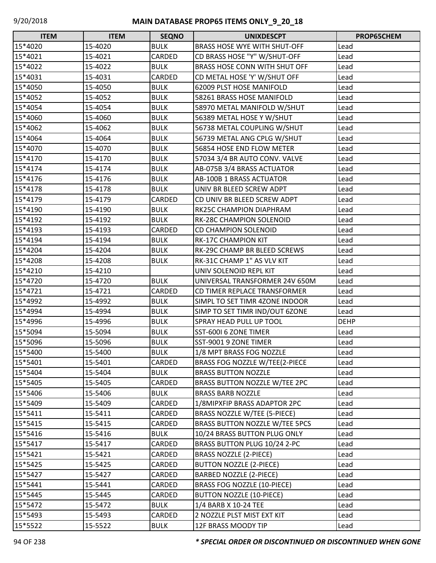| <b>ITEM</b> | <b>ITEM</b> | <b>SEQNO</b> | <b>UNIXDESCPT</b>                    | PROP65CHEM  |
|-------------|-------------|--------------|--------------------------------------|-------------|
| 15*4020     | 15-4020     | <b>BULK</b>  | <b>BRASS HOSE WYE WITH SHUT-OFF</b>  | Lead        |
| 15*4021     | 15-4021     | CARDED       | CD BRASS HOSE "Y" W/SHUT-OFF         | Lead        |
| 15*4022     | 15-4022     | <b>BULK</b>  | <b>BRASS HOSE CONN WITH SHUT OFF</b> | Lead        |
| 15*4031     | 15-4031     | CARDED       | CD METAL HOSE 'Y' W/SHUT OFF         | Lead        |
| 15*4050     | 15-4050     | <b>BULK</b>  | 62009 PLST HOSE MANIFOLD             | Lead        |
| 15*4052     | 15-4052     | <b>BULK</b>  | 58261 BRASS HOSE MANIFOLD            | Lead        |
| 15*4054     | 15-4054     | <b>BULK</b>  | 58970 METAL MANIFOLD W/SHUT          | Lead        |
| 15*4060     | 15-4060     | <b>BULK</b>  | 56389 METAL HOSE Y W/SHUT            | Lead        |
| 15*4062     | 15-4062     | <b>BULK</b>  | 56738 METAL COUPLING W/SHUT          | Lead        |
| 15*4064     | 15-4064     | <b>BULK</b>  | 56739 METAL ANG CPLG W/SHUT          | Lead        |
| 15*4070     | 15-4070     | <b>BULK</b>  | 56854 HOSE END FLOW METER            | Lead        |
| 15*4170     | 15-4170     | <b>BULK</b>  | 57034 3/4 BR AUTO CONV. VALVE        | Lead        |
| 15*4174     | 15-4174     | <b>BULK</b>  | AB-075B 3/4 BRASS ACTUATOR           | Lead        |
| 15*4176     | 15-4176     | <b>BULK</b>  | <b>AB-100B 1 BRASS ACTUATOR</b>      | Lead        |
| 15*4178     | 15-4178     | <b>BULK</b>  | UNIV BR BLEED SCREW ADPT             | Lead        |
| 15*4179     | 15-4179     | CARDED       | CD UNIV BR BLEED SCREW ADPT          | Lead        |
| 15*4190     | 15-4190     | <b>BULK</b>  | RK25C CHAMPION DIAPHRAM              | Lead        |
| 15*4192     | 15-4192     | <b>BULK</b>  | RK-28C CHAMPION SOLENOID             | Lead        |
| 15*4193     | 15-4193     | CARDED       | <b>CD CHAMPION SOLENOID</b>          | Lead        |
| 15*4194     | 15-4194     | <b>BULK</b>  | <b>RK-17C CHAMPION KIT</b>           | Lead        |
| 15*4204     | 15-4204     | <b>BULK</b>  | <b>RK-29C CHAMP BR BLEED SCREWS</b>  | Lead        |
| 15*4208     | 15-4208     | <b>BULK</b>  | RK-31C CHAMP 1" AS VLV KIT           | Lead        |
| 15*4210     | 15-4210     |              | UNIV SOLENOID REPL KIT               | Lead        |
| 15*4720     | 15-4720     | <b>BULK</b>  | UNIVERSAL TRANSFORMER 24V 650M       | Lead        |
| 15*4721     | 15-4721     | CARDED       | CD TIMER REPLACE TRANSFORMER         | Lead        |
| 15*4992     | 15-4992     | <b>BULK</b>  | SIMPL TO SET TIMR 4ZONE INDOOR       | Lead        |
| 15*4994     | 15-4994     | <b>BULK</b>  | SIMP TO SET TIMR IND/OUT 6ZONE       | Lead        |
| 15*4996     | 15-4996     | <b>BULK</b>  | <b>SPRAY HEAD PULL UP TOOL</b>       | <b>DEHP</b> |
| 15*5094     | 15-5094     | <b>BULK</b>  | SST-6001 6 ZONE TIMER                | Lead        |
| 15*5096     | 15-5096     | <b>BULK</b>  | SST-9001 9 ZONE TIMER                | Lead        |
| 15*5400     | 15-5400     | <b>BULK</b>  | 1/8 MPT BRASS FOG NOZZLE             | Lead        |
| 15*5401     | 15-5401     | CARDED       | BRASS FOG NOZZLE W/TEE(2-PIECE       | Lead        |
| 15*5404     | 15-5404     | <b>BULK</b>  | <b>BRASS BUTTON NOZZLE</b>           | Lead        |
| 15*5405     | 15-5405     | CARDED       | BRASS BUTTON NOZZLE W/TEE 2PC        | Lead        |
| 15*5406     | 15-5406     | <b>BULK</b>  | <b>BRASS BARB NOZZLE</b>             | Lead        |
| 15*5409     | 15-5409     | CARDED       | 1/8MIPXFIP BRASS ADAPTOR 2PC         | Lead        |
| 15*5411     | 15-5411     | CARDED       | BRASS NOZZLE W/TEE (5-PIECE)         | Lead        |
| 15*5415     | 15-5415     | CARDED       | BRASS BUTTON NOZZLE W/TEE 5PCS       | Lead        |
| 15*5416     | 15-5416     | <b>BULK</b>  | 10/24 BRASS BUTTON PLUG ONLY         | Lead        |
| 15*5417     | 15-5417     | CARDED       | BRASS BUTTON PLUG 10/24 2-PC         | Lead        |
| 15*5421     | 15-5421     | CARDED       | <b>BRASS NOZZLE (2-PIECE)</b>        | Lead        |
| 15*5425     | 15-5425     | CARDED       | <b>BUTTON NOZZLE (2-PIECE)</b>       | Lead        |
| 15*5427     | 15-5427     | CARDED       | BARBED NOZZLE (2-PIECE)              | Lead        |
| 15*5441     | 15-5441     | CARDED       | BRASS FOG NOZZLE (10-PIECE)          | Lead        |
| 15*5445     | 15-5445     | CARDED       | <b>BUTTON NOZZLE (10-PIECE)</b>      | Lead        |
| 15*5472     | 15-5472     | <b>BULK</b>  | 1/4 BARB X 10-24 TEE                 | Lead        |
| 15*5493     | 15-5493     | CARDED       | 2 NOZZLE PLST MIST EXT KIT           | Lead        |
| 15*5522     | 15-5522     | <b>BULK</b>  | 12F BRASS MOODY TIP                  | Lead        |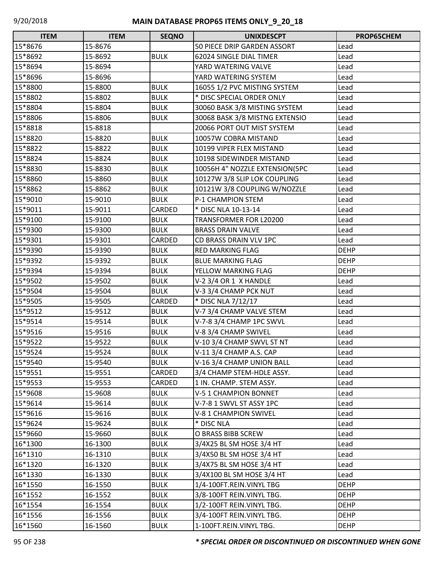| <b>ITEM</b> | <b>ITEM</b> | <b>SEQNO</b> | <b>UNIXDESCPT</b>              | PROP65CHEM  |
|-------------|-------------|--------------|--------------------------------|-------------|
| 15*8676     | 15-8676     |              | 50 PIECE DRIP GARDEN ASSORT    | Lead        |
| 15*8692     | 15-8692     | <b>BULK</b>  | 62024 SINGLE DIAL TIMER        | Lead        |
| 15*8694     | 15-8694     |              | YARD WATERING VALVE            | Lead        |
| 15*8696     | 15-8696     |              | YARD WATERING SYSTEM           | Lead        |
| 15*8800     | 15-8800     | <b>BULK</b>  | 16055 1/2 PVC MISTING SYSTEM   | Lead        |
| 15*8802     | 15-8802     | <b>BULK</b>  | * DISC SPECIAL ORDER ONLY      | Lead        |
| 15*8804     | 15-8804     | <b>BULK</b>  | 30060 BASK 3/8 MISTING SYSTEM  | Lead        |
| 15*8806     | 15-8806     | <b>BULK</b>  | 30068 BASK 3/8 MISTNG EXTENSIO | Lead        |
| 15*8818     | 15-8818     |              | 20066 PORT OUT MIST SYSTEM     | Lead        |
| 15*8820     | 15-8820     | <b>BULK</b>  | 10057W COBRA MISTAND           | Lead        |
| 15*8822     | 15-8822     | <b>BULK</b>  | 10199 VIPER FLEX MISTAND       | Lead        |
| 15*8824     | 15-8824     | <b>BULK</b>  | 10198 SIDEWINDER MISTAND       | Lead        |
| 15*8830     | 15-8830     | <b>BULK</b>  | 10056H 4" NOZZLE EXTENSION(5PC | Lead        |
| 15*8860     | 15-8860     | <b>BULK</b>  | 10127W 3/8 SLIP LOK COUPLING   | Lead        |
| 15*8862     | 15-8862     | <b>BULK</b>  | 10121W 3/8 COUPLING W/NOZZLE   | Lead        |
| 15*9010     | 15-9010     | <b>BULK</b>  | P-1 CHAMPION STEM              | Lead        |
| 15*9011     | 15-9011     | CARDED       | * DISC NLA 10-13-14            | Lead        |
| 15*9100     | 15-9100     | <b>BULK</b>  | <b>TRANSFORMER FOR L20200</b>  | Lead        |
| 15*9300     | 15-9300     | <b>BULK</b>  | <b>BRASS DRAIN VALVE</b>       | Lead        |
| 15*9301     | 15-9301     | CARDED       | CD BRASS DRAIN VLV 1PC         | Lead        |
| 15*9390     | 15-9390     | <b>BULK</b>  | <b>RED MARKING FLAG</b>        | <b>DEHP</b> |
| 15*9392     | 15-9392     | <b>BULK</b>  | <b>BLUE MARKING FLAG</b>       | <b>DEHP</b> |
| 15*9394     | 15-9394     | <b>BULK</b>  | YELLOW MARKING FLAG            | <b>DEHP</b> |
| 15*9502     | 15-9502     | <b>BULK</b>  | V-2 3/4 OR 1 X HANDLE          | Lead        |
| 15*9504     | 15-9504     | <b>BULK</b>  | V-3 3/4 CHAMP PCK NUT          | Lead        |
| 15*9505     | 15-9505     | CARDED       | * DISC NLA 7/12/17             | Lead        |
| 15*9512     | 15-9512     | <b>BULK</b>  | V-7 3/4 CHAMP VALVE STEM       | Lead        |
| 15*9514     | 15-9514     | <b>BULK</b>  | V-7-8 3/4 CHAMP 1PC SWVL       | Lead        |
| 15*9516     | 15-9516     | <b>BULK</b>  | V-8 3/4 CHAMP SWIVEL           | Lead        |
| 15*9522     | 15-9522     | <b>BULK</b>  | V-10 3/4 CHAMP SWVL ST NT      | Lead        |
| 15*9524     | 15-9524     | <b>BULK</b>  | V-11 3/4 CHAMP A.S. CAP        | Lead        |
| 15*9540     | 15-9540     | <b>BULK</b>  | V-16 3/4 CHAMP UNION BALL      | Lead        |
| 15*9551     | 15-9551     | CARDED       | 3/4 CHAMP STEM-HDLE ASSY.      | Lead        |
| 15*9553     | 15-9553     | CARDED       | 1 IN. CHAMP. STEM ASSY.        | Lead        |
| 15*9608     | 15-9608     | <b>BULK</b>  | V-5 1 CHAMPION BONNET          | Lead        |
| 15*9614     | 15-9614     | <b>BULK</b>  | V-7-8 1 SWVL ST ASSY 1PC       | Lead        |
| 15*9616     | 15-9616     | <b>BULK</b>  | V-8 1 CHAMPION SWIVEL          | Lead        |
| 15*9624     | 15-9624     | <b>BULK</b>  | * DISC NLA                     | Lead        |
| 15*9660     | 15-9660     | <b>BULK</b>  | O BRASS BIBB SCREW             | Lead        |
| 16*1300     | 16-1300     | <b>BULK</b>  | 3/4X25 BL SM HOSE 3/4 HT       | Lead        |
| 16*1310     | 16-1310     | <b>BULK</b>  | 3/4X50 BL SM HOSE 3/4 HT       | Lead        |
| 16*1320     | 16-1320     | <b>BULK</b>  | 3/4X75 BL SM HOSE 3/4 HT       | Lead        |
| 16*1330     | 16-1330     | <b>BULK</b>  | 3/4X100 BL SM HOSE 3/4 HT      | Lead        |
| 16*1550     | 16-1550     | <b>BULK</b>  | 1/4-100FT.REIN.VINYL TBG       | <b>DEHP</b> |
| 16*1552     | 16-1552     | <b>BULK</b>  | 3/8-100FT REIN. VINYL TBG.     | <b>DEHP</b> |
| 16*1554     | 16-1554     | <b>BULK</b>  | 1/2-100FT REIN. VINYL TBG.     | <b>DEHP</b> |
| 16*1556     | 16-1556     | <b>BULK</b>  | 3/4-100FT REIN.VINYL TBG.      | <b>DEHP</b> |
| 16*1560     | 16-1560     | <b>BULK</b>  | 1-100FT.REIN.VINYL TBG.        | <b>DEHP</b> |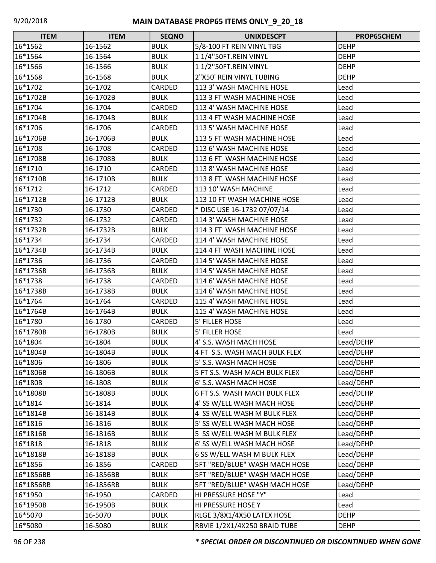| <b>ITEM</b> | <b>ITEM</b> | <b>SEQNO</b>  | <b>UNIXDESCPT</b>             | PROP65CHEM  |
|-------------|-------------|---------------|-------------------------------|-------------|
| 16*1562     | 16-1562     | <b>BULK</b>   | 5/8-100 FT REIN VINYL TBG     | <b>DEHP</b> |
| 16*1564     | 16-1564     | <b>BULK</b>   | 11/4"50FT.REIN VINYL          | <b>DEHP</b> |
| 16*1566     | 16-1566     | <b>BULK</b>   | 11/2"50FT.REIN VINYL          | <b>DEHP</b> |
| 16*1568     | 16-1568     | <b>BULK</b>   | 2"X50' REIN VINYL TUBING      | DEHP        |
| 16*1702     | 16-1702     | CARDED        | 113 3' WASH MACHINE HOSE      | Lead        |
| 16*1702B    | 16-1702B    | <b>BULK</b>   | 113 3 FT WASH MACHINE HOSE    | Lead        |
| 16*1704     | 16-1704     | <b>CARDED</b> | 113 4' WASH MACHINE HOSE      | Lead        |
| 16*1704B    | 16-1704B    | <b>BULK</b>   | 113 4 FT WASH MACHINE HOSE    | Lead        |
| 16*1706     | 16-1706     | CARDED        | 113 5' WASH MACHINE HOSE      | Lead        |
| 16*1706B    | 16-1706B    | <b>BULK</b>   | 113 5 FT WASH MACHINE HOSE    | Lead        |
| 16*1708     | 16-1708     | <b>CARDED</b> | 113 6' WASH MACHINE HOSE      | Lead        |
| 16*1708B    | 16-1708B    | <b>BULK</b>   | 113 6 FT WASH MACHINE HOSE    | Lead        |
| 16*1710     | 16-1710     | CARDED        | 1138' WASH MACHINE HOSE       | Lead        |
| 16*1710B    | 16-1710B    | <b>BULK</b>   | 113 8 FT WASH MACHINE HOSE    | Lead        |
| 16*1712     | 16-1712     | <b>CARDED</b> | 113 10' WASH MACHINE          | Lead        |
| 16*1712B    | 16-1712B    | <b>BULK</b>   | 113 10 FT WASH MACHINE HOSE   | Lead        |
| 16*1730     | 16-1730     | <b>CARDED</b> | * DISC USE 16-1732 07/07/14   | Lead        |
| 16*1732     | 16-1732     | <b>CARDED</b> | 114 3' WASH MACHINE HOSE      | Lead        |
| 16*1732B    | 16-1732B    | <b>BULK</b>   | 114 3 FT WASH MACHINE HOSE    | Lead        |
| 16*1734     | 16-1734     | <b>CARDED</b> | 114 4' WASH MACHINE HOSE      | Lead        |
| 16*1734B    | 16-1734B    | <b>BULK</b>   | 114 4 FT WASH MACHINE HOSE    | Lead        |
| 16*1736     | 16-1736     | <b>CARDED</b> | 114 5' WASH MACHINE HOSE      | Lead        |
| 16*1736B    | 16-1736B    | <b>BULK</b>   | 114 5' WASH MACHINE HOSE      | Lead        |
| 16*1738     | 16-1738     | <b>CARDED</b> | 114 6' WASH MACHINE HOSE      | Lead        |
| 16*1738B    | 16-1738B    | <b>BULK</b>   | 114 6' WASH MACHINE HOSE      | Lead        |
| 16*1764     | 16-1764     | CARDED        | 115 4' WASH MACHINE HOSE      | Lead        |
| 16*1764B    | 16-1764B    | <b>BULK</b>   | 115 4' WASH MACHINE HOSE      | Lead        |
| 16*1780     | 16-1780     | CARDED        | <b>5' FILLER HOSE</b>         | Lead        |
| 16*1780B    | 16-1780B    | <b>BULK</b>   | 5' FILLER HOSE                | Lead        |
| 16*1804     | 16-1804     | <b>BULK</b>   | 4' S.S. WASH MACH HOSE        | Lead/DEHP   |
| 16*1804B    | 16-1804B    | <b>BULK</b>   | 4 FT S.S. WASH MACH BULK FLEX | Lead/DEHP   |
| 16*1806     | 16-1806     | <b>BULK</b>   | 5' S.S. WASH MACH HOSE        | Lead/DEHP   |
| 16*1806B    | 16-1806B    | <b>BULK</b>   | 5 FT S.S. WASH MACH BULK FLEX | Lead/DEHP   |
| 16*1808     | 16-1808     | <b>BULK</b>   | 6' S.S. WASH MACH HOSE        | Lead/DEHP   |
| 16*1808B    | 16-1808B    | <b>BULK</b>   | 6 FT S.S. WASH MACH BULK FLEX | Lead/DEHP   |
| 16*1814     | 16-1814     | <b>BULK</b>   | 4' SS W/ELL WASH MACH HOSE    | Lead/DEHP   |
| 16*1814B    | 16-1814B    | <b>BULK</b>   | 4 SS W/ELL WASH M BULK FLEX   | Lead/DEHP   |
| 16*1816     | 16-1816     | <b>BULK</b>   | 5' SS W/ELL WASH MACH HOSE    | Lead/DEHP   |
| 16*1816B    | 16-1816B    | <b>BULK</b>   | 5 SS W/ELL WASH M BULK FLEX   | Lead/DEHP   |
| 16*1818     | 16-1818     | <b>BULK</b>   | 6' SS W/ELL WASH MACH HOSE    | Lead/DEHP   |
| 16*1818B    | 16-1818B    | <b>BULK</b>   | 6 SS W/ELL WASH M BULK FLEX   | Lead/DEHP   |
| 16*1856     | 16-1856     | CARDED        | 5FT "RED/BLUE" WASH MACH HOSE | Lead/DEHP   |
| 16*1856BB   | 16-1856BB   | <b>BULK</b>   | 5FT "RED/BLUE" WASH MACH HOSE | Lead/DEHP   |
| 16*1856RB   | 16-1856RB   | <b>BULK</b>   | 5FT "RED/BLUE" WASH MACH HOSE | Lead/DEHP   |
| 16*1950     | 16-1950     | CARDED        | HI PRESSURE HOSE "Y"          | Lead        |
| 16*1950B    | 16-1950B    | <b>BULK</b>   | HI PRESSURE HOSE Y            | Lead        |
| 16*5070     | 16-5070     | <b>BULK</b>   | RLGE 3/8X1/4X50 LATEX HOSE    | <b>DEHP</b> |
| 16*5080     | 16-5080     | <b>BULK</b>   | RBVIE 1/2X1/4X250 BRAID TUBE  | <b>DEHP</b> |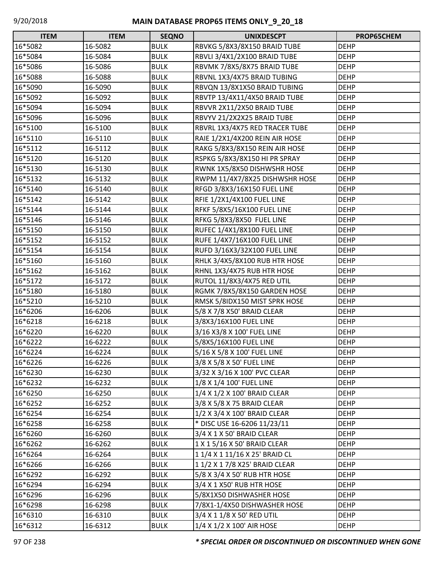| <b>ITEM</b> | <b>ITEM</b> | <b>SEQNO</b> | <b>UNIXDESCPT</b>                  | PROP65CHEM  |
|-------------|-------------|--------------|------------------------------------|-------------|
| 16*5082     | 16-5082     | <b>BULK</b>  | RBVKG 5/8X3/8X150 BRAID TUBE       | <b>DEHP</b> |
| 16*5084     | 16-5084     | <b>BULK</b>  | RBVLI 3/4X1/2X100 BRAID TUBE       | <b>DEHP</b> |
| 16*5086     | 16-5086     | <b>BULK</b>  | RBVMK 7/8X5/8X75 BRAID TUBE        | <b>DEHP</b> |
| 16*5088     | 16-5088     | <b>BULK</b>  | RBVNL 1X3/4X75 BRAID TUBING        | <b>DEHP</b> |
| 16*5090     | 16-5090     | <b>BULK</b>  | RBVQN 13/8X1X50 BRAID TUBING       | <b>DEHP</b> |
| 16*5092     | 16-5092     | <b>BULK</b>  | RBVTP 13/4X11/4X50 BRAID TUBE      | <b>DEHP</b> |
| 16*5094     | 16-5094     | <b>BULK</b>  | RBVVR 2X11/2X50 BRAID TUBE         | <b>DEHP</b> |
| 16*5096     | 16-5096     | <b>BULK</b>  | RBVYV 21/2X2X25 BRAID TUBE         | <b>DEHP</b> |
| 16*5100     | 16-5100     | <b>BULK</b>  | RBVRL 1X3/4X75 RED TRACER TUBE     | <b>DEHP</b> |
| 16*5110     | 16-5110     | <b>BULK</b>  | RAIE 1/2X1/4X200 REIN AIR HOSE     | <b>DEHP</b> |
| 16*5112     | 16-5112     | <b>BULK</b>  | RAKG 5/8X3/8X150 REIN AIR HOSE     | <b>DEHP</b> |
| 16*5120     | 16-5120     | <b>BULK</b>  | RSPKG 5/8X3/8X150 HI PR SPRAY      | <b>DEHP</b> |
| 16*5130     | 16-5130     | <b>BULK</b>  | RWNK 1X5/8X50 DISHWSHR HOSE        | <b>DEHP</b> |
| 16*5132     | 16-5132     | <b>BULK</b>  | RWPM 11/4X7/8X25 DISHWSHR HOSE     | <b>DEHP</b> |
| 16*5140     | 16-5140     | <b>BULK</b>  | RFGD 3/8X3/16X150 FUEL LINE        | <b>DEHP</b> |
| 16*5142     | 16-5142     | <b>BULK</b>  | RFIE 1/2X1/4X100 FUEL LINE         | <b>DEHP</b> |
| 16*5144     | 16-5144     | <b>BULK</b>  | RFKF 5/8X5/16X100 FUEL LINE        | <b>DEHP</b> |
| 16*5146     | 16-5146     | <b>BULK</b>  | RFKG 5/8X3/8X50 FUEL LINE          | <b>DEHP</b> |
| 16*5150     | 16-5150     | <b>BULK</b>  | RUFEC 1/4X1/8X100 FUEL LINE        | <b>DEHP</b> |
| 16*5152     | 16-5152     | <b>BULK</b>  | <b>RUFE 1/4X7/16X100 FUEL LINE</b> | <b>DEHP</b> |
| 16*5154     | 16-5154     | <b>BULK</b>  | RUFD 3/16X3/32X100 FUEL LINE       | <b>DEHP</b> |
| 16*5160     | 16-5160     | <b>BULK</b>  | RHLK 3/4X5/8X100 RUB HTR HOSE      | <b>DEHP</b> |
| 16*5162     | 16-5162     | <b>BULK</b>  | RHNL 1X3/4X75 RUB HTR HOSE         | <b>DEHP</b> |
| 16*5172     | 16-5172     | <b>BULK</b>  | RUTOL 11/8X3/4X75 RED UTIL         | <b>DEHP</b> |
| 16*5180     | 16-5180     | <b>BULK</b>  | RGMK 7/8X5/8X150 GARDEN HOSE       | <b>DEHP</b> |
| 16*5210     | 16-5210     | <b>BULK</b>  | RMSK 5/8IDX150 MIST SPRK HOSE      | <b>DEHP</b> |
| 16*6206     | 16-6206     | <b>BULK</b>  | 5/8 X 7/8 X50' BRAID CLEAR         | <b>DEHP</b> |
| 16*6218     | 16-6218     | <b>BULK</b>  | 3/8X3/16X100 FUEL LINE             | <b>DEHP</b> |
| 16*6220     | 16-6220     | <b>BULK</b>  | 3/16 X3/8 X 100' FUEL LINE         | <b>DEHP</b> |
| 16*6222     | 16-6222     | <b>BULK</b>  | 5/8X5/16X100 FUEL LINE             | <b>DEHP</b> |
| 16*6224     | 16-6224     | <b>BULK</b>  | 5/16 X 5/8 X 100' FUEL LINE        | <b>DEHP</b> |
| 16*6226     | 16-6226     | <b>BULK</b>  | 3/8 X 5/8 X 50' FUEL LINE          | <b>DEHP</b> |
| 16*6230     | 16-6230     | <b>BULK</b>  | 3/32 X 3/16 X 100' PVC CLEAR       | <b>DEHP</b> |
| 16*6232     | 16-6232     | <b>BULK</b>  | 1/8 X 1/4 100' FUEL LINE           | <b>DEHP</b> |
| 16*6250     | 16-6250     | <b>BULK</b>  | 1/4 X 1/2 X 100' BRAID CLEAR       | <b>DEHP</b> |
| 16*6252     | 16-6252     | <b>BULK</b>  | 3/8 X 5/8 X 75 BRAID CLEAR         | <b>DEHP</b> |
| 16*6254     | 16-6254     | <b>BULK</b>  | 1/2 X 3/4 X 100' BRAID CLEAR       | <b>DEHP</b> |
| 16*6258     | 16-6258     | <b>BULK</b>  | * DISC USE 16-6206 11/23/11        | <b>DEHP</b> |
| 16*6260     | 16-6260     | <b>BULK</b>  | 3/4 X 1 X 50' BRAID CLEAR          | <b>DEHP</b> |
| 16*6262     | 16-6262     | <b>BULK</b>  | 1 X 1 5/16 X 50' BRAID CLEAR       | <b>DEHP</b> |
| 16*6264     | 16-6264     | <b>BULK</b>  | 1 1/4 X 1 11/16 X 25' BRAID CL     | <b>DEHP</b> |
| 16*6266     | 16-6266     | <b>BULK</b>  | 1 1/2 X 1 7/8 X25' BRAID CLEAR     | <b>DEHP</b> |
| 16*6292     | 16-6292     | <b>BULK</b>  | 5/8 X 3/4 X 50' RUB HTR HOSE       | <b>DEHP</b> |
| 16*6294     | 16-6294     | <b>BULK</b>  | 3/4 X 1 X50' RUB HTR HOSE          | <b>DEHP</b> |
| 16*6296     | 16-6296     | <b>BULK</b>  | 5/8X1X50 DISHWASHER HOSE           | <b>DEHP</b> |
| 16*6298     | 16-6298     | <b>BULK</b>  | 7/8X1-1/4X50 DISHWASHER HOSE       | <b>DEHP</b> |
| 16*6310     | 16-6310     | <b>BULK</b>  | 3/4 X 1 1/8 X 50' RED UTIL         | <b>DEHP</b> |
| 16*6312     | 16-6312     | <b>BULK</b>  | 1/4 X 1/2 X 100' AIR HOSE          | <b>DEHP</b> |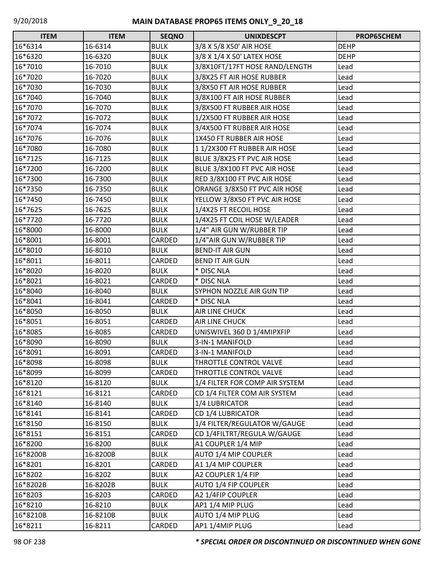| <b>ITEM</b> | <b>ITEM</b> | <b>SEQNO</b>  | <b>UNIXDESCPT</b>              | PROP65CHEM  |
|-------------|-------------|---------------|--------------------------------|-------------|
| 16*6314     | 16-6314     | <b>BULK</b>   | 3/8 X 5/8 X 50' AIR HOSE       | <b>DEHP</b> |
| 16*6320     | 16-6320     | <b>BULK</b>   | 3/8 X 1/4 X 50' LATEX HOSE     | <b>DEHP</b> |
| 16*7010     | 16-7010     | <b>BULK</b>   | 3/8X10FT/17FT HOSE RAND/LENGTH | Lead        |
| 16*7020     | 16-7020     | <b>BULK</b>   | 3/8X25 FT AIR HOSE RUBBER      | Lead        |
| 16*7030     | 16-7030     | <b>BULK</b>   | 3/8X50 FT AIR HOSE RUBBER      | Lead        |
| 16*7040     | 16-7040     | <b>BULK</b>   | 3/8X100 FT AIR HOSE RUBBER     | Lead        |
| 16*7070     | 16-7070     | <b>BULK</b>   | 3/8X500 FT RUBBER AIR HOSE     | Lead        |
| 16*7072     | 16-7072     | <b>BULK</b>   | 1/2X500 FT RUBBER AIR HOSE     | Lead        |
| 16*7074     | 16-7074     | <b>BULK</b>   | 3/4X500 FT RUBBER AIR HOSE     | Lead        |
| 16*7076     | 16-7076     | <b>BULK</b>   | 1X450 FT RUBBER AIR HOSE       | Lead        |
| 16*7080     | 16-7080     | <b>BULK</b>   | 1 1/2X300 FT RUBBER AIR HOSE   | Lead        |
| 16*7125     | 16-7125     | <b>BULK</b>   | BLUE 3/8X25 FT PVC AIR HOSE    | Lead        |
| 16*7200     | 16-7200     | <b>BULK</b>   | BLUE 3/8X100 FT PVC AIR HOSE   | Lead        |
| 16*7300     | 16-7300     | <b>BULK</b>   | RED 3/8X100 FT PVC AIR HOSE    | Lead        |
| 16*7350     | 16-7350     | <b>BULK</b>   | ORANGE 3/8X50 FT PVC AIR HOSE  | Lead        |
| 16*7450     | 16-7450     | <b>BULK</b>   | YELLOW 3/8X50 FT PVC AIR HOSE  | Lead        |
| 16*7625     | 16-7625     | <b>BULK</b>   | 1/4X25 FT RECOIL HOSE          | Lead        |
| 16*7720     | 16-7720     | <b>BULK</b>   | 1/4X25 FT COIL HOSE W/LEADER   | Lead        |
| 16*8000     | 16-8000     | <b>BULK</b>   | 1/4" AIR GUN W/RUBBER TIP      | Lead        |
| 16*8001     | 16-8001     | CARDED        | 1/4"AIR GUN W/RUBBER TIP       | Lead        |
| 16*8010     | 16-8010     | <b>BULK</b>   | <b>BEND-IT AIR GUN</b>         | Lead        |
| 16*8011     | 16-8011     | CARDED        | <b>BEND IT AIR GUN</b>         | Lead        |
| 16*8020     | 16-8020     | <b>BULK</b>   | * DISC NLA                     | Lead        |
| 16*8021     | 16-8021     | CARDED        | * DISC NLA                     | Lead        |
| 16*8040     | 16-8040     | <b>BULK</b>   | SYPHON NOZZLE AIR GUN TIP      | Lead        |
| 16*8041     | 16-8041     | CARDED        | * DISC NLA                     | Lead        |
| 16*8050     | 16-8050     | <b>BULK</b>   | <b>AIR LINE CHUCK</b>          | Lead        |
| 16*8051     | 16-8051     | <b>CARDED</b> | <b>AIR LINE CHUCK</b>          | Lead        |
| 16*8085     | 16-8085     | CARDED        | UNISWIVEL 360 D 1/4MIPXFIP     | Lead        |
| 16*8090     | 16-8090     | <b>BULK</b>   | 3-IN-1 MANIFOLD                | Lead        |
| 16*8091     | 16-8091     | CARDED        | 3-IN-1 MANIFOLD                | Lead        |
| 16*8098     | 16-8098     | <b>BULK</b>   | THROTTLE CONTROL VALVE         | Lead        |
| 16*8099     | 16-8099     | CARDED        | THROTTLE CONTROL VALVE         | Lead        |
| 16*8120     | 16-8120     | <b>BULK</b>   | 1/4 FILTER FOR COMP AIR SYSTEM | Lead        |
| 16*8121     | 16-8121     | CARDED        | CD 1/4 FILTER COM AIR SYSTEM   | Lead        |
| 16*8140     | 16-8140     | <b>BULK</b>   | 1/4 LUBRICATOR                 | Lead        |
| 16*8141     | 16-8141     | CARDED        | <b>CD 1/4 LUBRICATOR</b>       | Lead        |
| 16*8150     | 16-8150     | <b>BULK</b>   | 1/4 FILTER/REGULATOR W/GAUGE   | Lead        |
| 16*8151     | 16-8151     | CARDED        | CD 1/4FILTRT/REGULA W/GAUGE    | Lead        |
| 16*8200     | 16-8200     | <b>BULK</b>   | A1 COUPLER 1/4 MIP             | Lead        |
| 16*8200B    | 16-8200B    | <b>BULK</b>   | AUTO 1/4 MIP COUPLER           | Lead        |
| 16*8201     | 16-8201     | CARDED        | A1 1/4 MIP COUPLER             | Lead        |
| 16*8202     | 16-8202     | <b>BULK</b>   | A2 COUPLER 1/4 FIP             | Lead        |
| 16*8202B    | 16-8202B    | <b>BULK</b>   | <b>AUTO 1/4 FIP COUPLER</b>    | Lead        |
| 16*8203     | 16-8203     | CARDED        | A2 1/4FIP COUPLER              | Lead        |
| 16*8210     | 16-8210     | <b>BULK</b>   | AP1 1/4 MIP PLUG               | Lead        |
| 16*8210B    | 16-8210B    | <b>BULK</b>   | AUTO 1/4 MIP PLUG              | Lead        |
| 16*8211     | 16-8211     | CARDED        | AP1 1/4MIP PLUG                | Lead        |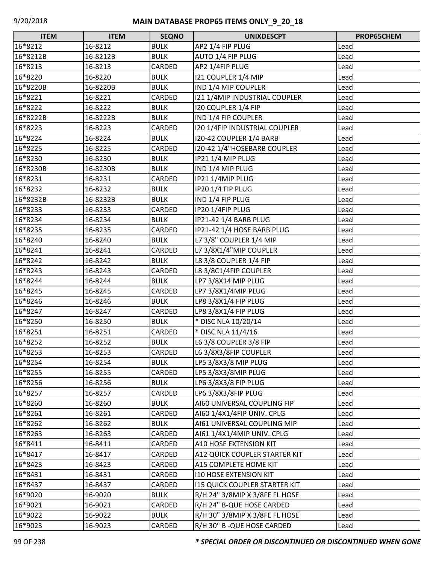| <b>ITEM</b> | <b>ITEM</b> | <b>SEQNO</b>  | <b>UNIXDESCPT</b>                    | PROP65CHEM |
|-------------|-------------|---------------|--------------------------------------|------------|
| 16*8212     | 16-8212     | <b>BULK</b>   | AP2 1/4 FIP PLUG                     | Lead       |
| 16*8212B    | 16-8212B    | <b>BULK</b>   | AUTO 1/4 FIP PLUG                    | Lead       |
| 16*8213     | 16-8213     | CARDED        | AP2 1/4FIP PLUG                      | Lead       |
| 16*8220     | 16-8220     | <b>BULK</b>   | 121 COUPLER 1/4 MIP                  | Lead       |
| 16*8220B    | 16-8220B    | <b>BULK</b>   | IND 1/4 MIP COUPLER                  | Lead       |
| 16*8221     | 16-8221     | CARDED        | 121 1/4MIP INDUSTRIAL COUPLER        | Lead       |
| 16*8222     | 16-8222     | <b>BULK</b>   | 120 COUPLER 1/4 FIP                  | Lead       |
| 16*8222B    | 16-8222B    | <b>BULK</b>   | IND 1/4 FIP COUPLER                  | Lead       |
| 16*8223     | 16-8223     | CARDED        | 120 1/4FIP INDUSTRIAL COUPLER        | Lead       |
| 16*8224     | 16-8224     | <b>BULK</b>   | 120-42 COUPLER 1/4 BARB              | Lead       |
| 16*8225     | 16-8225     | CARDED        | 120-42 1/4"HOSEBARB COUPLER          | Lead       |
| 16*8230     | 16-8230     | <b>BULK</b>   | IP21 1/4 MIP PLUG                    | Lead       |
| 16*8230B    | 16-8230B    | <b>BULK</b>   | IND 1/4 MIP PLUG                     | Lead       |
| 16*8231     | 16-8231     | CARDED        | IP21 1/4MIP PLUG                     | Lead       |
| 16*8232     | 16-8232     | <b>BULK</b>   | IP20 1/4 FIP PLUG                    | Lead       |
| 16*8232B    | 16-8232B    | <b>BULK</b>   | IND 1/4 FIP PLUG                     | Lead       |
| 16*8233     | 16-8233     | CARDED        | IP20 1/4FIP PLUG                     | Lead       |
| 16*8234     | 16-8234     | <b>BULK</b>   | IP21-42 1/4 BARB PLUG                | Lead       |
| 16*8235     | 16-8235     | CARDED        | IP21-42 1/4 HOSE BARB PLUG           | Lead       |
| 16*8240     | 16-8240     | <b>BULK</b>   | L7 3/8" COUPLER 1/4 MIP              | Lead       |
| 16*8241     | 16-8241     | CARDED        | L7 3/8X1/4"MIP COUPLER               | Lead       |
| 16*8242     | 16-8242     | <b>BULK</b>   | L8 3/8 COUPLER 1/4 FIP               | Lead       |
| 16*8243     | 16-8243     | CARDED        | L8 3/8C1/4FIP COUPLER                | Lead       |
| 16*8244     | 16-8244     | <b>BULK</b>   | LP7 3/8X14 MIP PLUG                  | Lead       |
| 16*8245     | 16-8245     | CARDED        | LP7 3/8X1/4MIP PLUG                  | Lead       |
| 16*8246     | 16-8246     | <b>BULK</b>   | LP8 3/8X1/4 FIP PLUG                 | Lead       |
| 16*8247     | 16-8247     | CARDED        | LP8 3/8X1/4 FIP PLUG                 | Lead       |
| 16*8250     | 16-8250     | <b>BULK</b>   | * DISC NLA 10/20/14                  | Lead       |
| 16*8251     | 16-8251     | CARDED        | * DISC NLA 11/4/16                   | Lead       |
| 16*8252     | 16-8252     | <b>BULK</b>   | L6 3/8 COUPLER 3/8 FIP               | Lead       |
| 16*8253     | 16-8253     | <b>CARDED</b> | L6 3/8X3/8FIP COUPLER                | Lead       |
| 16*8254     | 16-8254     | <b>BULK</b>   | LP5 3/8X3/8 MIP PLUG                 | Lead       |
| 16*8255     | 16-8255     | CARDED        | LP5 3/8X3/8MIP PLUG                  | Lead       |
| 16*8256     | 16-8256     | <b>BULK</b>   | LP6 3/8X3/8 FIP PLUG                 | Lead       |
| 16*8257     | 16-8257     | CARDED        | LP6 3/8X3/8FIP PLUG                  | Lead       |
| 16*8260     | 16-8260     | <b>BULK</b>   | AI60 UNIVERSAL COUPLING FIP          | Lead       |
| 16*8261     | 16-8261     | CARDED        | AI60 1/4X1/4FIP UNIV. CPLG           | Lead       |
| 16*8262     | 16-8262     | <b>BULK</b>   | AI61 UNIVERSAL COUPLING MIP          | Lead       |
| 16*8263     | 16-8263     | CARDED        | AI61 1/4X1/4MIP UNIV. CPLG           | Lead       |
| 16*8411     | 16-8411     | CARDED        | A10 HOSE EXTENSION KIT               | Lead       |
| 16*8417     | 16-8417     | CARDED        | A12 QUICK COUPLER STARTER KIT        | Lead       |
| 16*8423     | 16-8423     | CARDED        | A15 COMPLETE HOME KIT                | Lead       |
| 16*8431     | 16-8431     | CARDED        | <b>I10 HOSE EXTENSION KIT</b>        | Lead       |
| 16*8437     | 16-8437     | CARDED        | <b>115 QUICK COUPLER STARTER KIT</b> | Lead       |
| 16*9020     | 16-9020     | <b>BULK</b>   | R/H 24" 3/8MIP X 3/8FE FL HOSE       | Lead       |
| 16*9021     | 16-9021     | CARDED        | R/H 24" B-QUE HOSE CARDED            | Lead       |
| 16*9022     | 16-9022     | <b>BULK</b>   | R/H 30" 3/8MIP X 3/8FE FL HOSE       | Lead       |
| 16*9023     | 16-9023     | <b>CARDED</b> | R/H 30" B - QUE HOSE CARDED          | Lead       |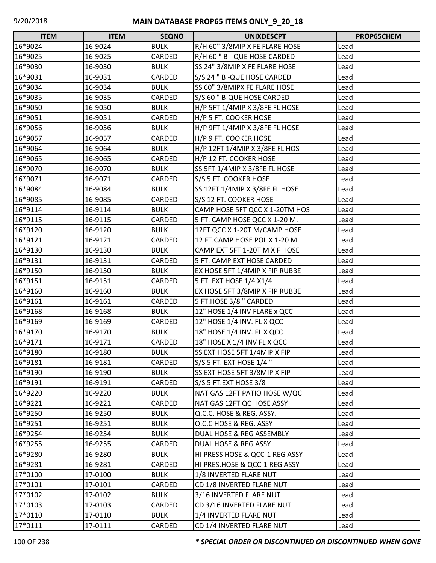| <b>ITEM</b> | <b>ITEM</b> | <b>SEQNO</b> | <b>UNIXDESCPT</b>              | PROP65CHEM |
|-------------|-------------|--------------|--------------------------------|------------|
| 16*9024     | 16-9024     | <b>BULK</b>  | R/H 60" 3/8MIP X FE FLARE HOSE | Lead       |
| 16*9025     | 16-9025     | CARDED       | R/H 60 " B - QUE HOSE CARDED   | Lead       |
| 16*9030     | 16-9030     | <b>BULK</b>  | SS 24" 3/8MIP X FE FLARE HOSE  | Lead       |
| 16*9031     | 16-9031     | CARDED       | S/S 24 " B - QUE HOSE CARDED   | Lead       |
| 16*9034     | 16-9034     | <b>BULK</b>  | SS 60" 3/8MIPX FE FLARE HOSE   | Lead       |
| 16*9035     | 16-9035     | CARDED       | S/S 60 " B-QUE HOSE CARDED     | Lead       |
| 16*9050     | 16-9050     | <b>BULK</b>  | H/P 5FT 1/4MIP X 3/8FE FL HOSE | Lead       |
| 16*9051     | 16-9051     | CARDED       | H/P 5 FT. COOKER HOSE          | Lead       |
| 16*9056     | 16-9056     | <b>BULK</b>  | H/P 9FT 1/4MIP X 3/8FE FL HOSE | Lead       |
| 16*9057     | 16-9057     | CARDED       | H/P 9 FT. COOKER HOSE          | Lead       |
| 16*9064     | 16-9064     | <b>BULK</b>  | H/P 12FT 1/4MIP X 3/8FE FL HOS | Lead       |
| 16*9065     | 16-9065     | CARDED       | H/P 12 FT. COOKER HOSE         | Lead       |
| 16*9070     | 16-9070     | <b>BULK</b>  | SS 5FT 1/4MIP X 3/8FE FL HOSE  | Lead       |
| 16*9071     | 16-9071     | CARDED       | S/S 5 FT. COOKER HOSE          | Lead       |
| 16*9084     | 16-9084     | <b>BULK</b>  | SS 12FT 1/4MIP X 3/8FE FL HOSE | Lead       |
| 16*9085     | 16-9085     | CARDED       | S/S 12 FT. COOKER HOSE         | Lead       |
| 16*9114     | 16-9114     | <b>BULK</b>  | CAMP HOSE 5FT QCC X 1-20TM HOS | Lead       |
| 16*9115     | 16-9115     | CARDED       | 5 FT. CAMP HOSE QCC X 1-20 M.  | Lead       |
| 16*9120     | 16-9120     | <b>BULK</b>  | 12FT QCC X 1-20T M/CAMP HOSE   | Lead       |
| 16*9121     | 16-9121     | CARDED       | 12 FT.CAMP HOSE POL X 1-20 M.  | Lead       |
| 16*9130     | 16-9130     | <b>BULK</b>  | CAMP EXT 5FT 1-20T M X F HOSE  | Lead       |
| 16*9131     | 16-9131     | CARDED       | 5 FT. CAMP EXT HOSE CARDED     | Lead       |
| 16*9150     | 16-9150     | <b>BULK</b>  | EX HOSE 5FT 1/4MIP X FIP RUBBE | Lead       |
| 16*9151     | 16-9151     | CARDED       | 5 FT. EXT HOSE 1/4 X1/4        | Lead       |
| 16*9160     | 16-9160     | <b>BULK</b>  | EX HOSE 5FT 3/8MIP X FIP RUBBE | Lead       |
| 16*9161     | 16-9161     | CARDED       | 5 FT.HOSE 3/8 " CARDED         | Lead       |
| 16*9168     | 16-9168     | <b>BULK</b>  | 12" HOSE 1/4 INV FLARE x QCC   | Lead       |
| 16*9169     | 16-9169     | CARDED       | 12" HOSE 1/4 INV. FL X QCC     | Lead       |
| 16*9170     | 16-9170     | <b>BULK</b>  | 18" HOSE 1/4 INV. FL X QCC     | Lead       |
| 16*9171     | 16-9171     | CARDED       | 18" HOSE X 1/4 INV FL X QCC    | Lead       |
| 16*9180     | 16-9180     | <b>BULK</b>  | SS EXT HOSE 5FT 1/4MIP X FIP   | Lead       |
| 16*9181     | 16-9181     | CARDED       | S/S 5 FT. EXT HOSE 1/4 "       | Lead       |
| 16*9190     | 16-9190     | <b>BULK</b>  | SS EXT HOSE 5FT 3/8MIP X FIP   | Lead       |
| 16*9191     | 16-9191     | CARDED       | S/S 5 FT.EXT HOSE 3/8          | Lead       |
| 16*9220     | 16-9220     | <b>BULK</b>  | NAT GAS 12FT PATIO HOSE W/QC   | Lead       |
| 16*9221     | 16-9221     | CARDED       | NAT GAS 12FT QC HOSE ASSY      | Lead       |
| 16*9250     | 16-9250     | <b>BULK</b>  | Q.C.C. HOSE & REG. ASSY.       | Lead       |
| 16*9251     | 16-9251     | <b>BULK</b>  | Q.C.C HOSE & REG. ASSY         | Lead       |
| 16*9254     | 16-9254     | <b>BULK</b>  | DUAL HOSE & REG ASSEMBLY       | Lead       |
| 16*9255     | 16-9255     | CARDED       | DUAL HOSE & REG ASSY           | Lead       |
| 16*9280     | 16-9280     | <b>BULK</b>  | HI PRESS HOSE & QCC-1 REG ASSY | Lead       |
| 16*9281     | 16-9281     | CARDED       | HI PRES.HOSE & QCC-1 REG ASSY  | Lead       |
| 17*0100     | 17-0100     | <b>BULK</b>  | 1/8 INVERTED FLARE NUT         | Lead       |
| 17*0101     | 17-0101     | CARDED       | CD 1/8 INVERTED FLARE NUT      | Lead       |
| 17*0102     | 17-0102     | <b>BULK</b>  | 3/16 INVERTED FLARE NUT        | Lead       |
| 17*0103     | 17-0103     | CARDED       | CD 3/16 INVERTED FLARE NUT     | Lead       |
| 17*0110     | 17-0110     | <b>BULK</b>  | 1/4 INVERTED FLARE NUT         | Lead       |
| 17*0111     | 17-0111     | CARDED       | CD 1/4 INVERTED FLARE NUT      | Lead       |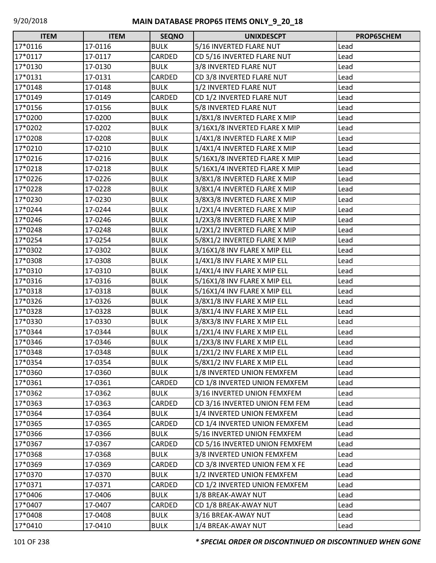| <b>ITEM</b> | <b>ITEM</b> | <b>SEQNO</b> | <b>UNIXDESCPT</b>              | PROP65CHEM |
|-------------|-------------|--------------|--------------------------------|------------|
| 17*0116     | 17-0116     | <b>BULK</b>  | 5/16 INVERTED FLARE NUT        | Lead       |
| 17*0117     | 17-0117     | CARDED       | CD 5/16 INVERTED FLARE NUT     | Lead       |
| 17*0130     | 17-0130     | <b>BULK</b>  | 3/8 INVERTED FLARE NUT         | Lead       |
| 17*0131     | 17-0131     | CARDED       | CD 3/8 INVERTED FLARE NUT      | Lead       |
| 17*0148     | 17-0148     | <b>BULK</b>  | 1/2 INVERTED FLARE NUT         | Lead       |
| 17*0149     | 17-0149     | CARDED       | CD 1/2 INVERTED FLARE NUT      | Lead       |
| 17*0156     | 17-0156     | <b>BULK</b>  | 5/8 INVERTED FLARE NUT         | Lead       |
| 17*0200     | 17-0200     | <b>BULK</b>  | 1/8X1/8 INVERTED FLARE X MIP   | Lead       |
| 17*0202     | 17-0202     | <b>BULK</b>  | 3/16X1/8 INVERTED FLARE X MIP  | Lead       |
| 17*0208     | 17-0208     | <b>BULK</b>  | 1/4X1/8 INVERTED FLARE X MIP   | Lead       |
| 17*0210     | 17-0210     | <b>BULK</b>  | 1/4X1/4 INVERTED FLARE X MIP   | Lead       |
| 17*0216     | 17-0216     | <b>BULK</b>  | 5/16X1/8 INVERTED FLARE X MIP  | Lead       |
| 17*0218     | 17-0218     | <b>BULK</b>  | 5/16X1/4 INVERTED FLARE X MIP  | Lead       |
| 17*0226     | 17-0226     | <b>BULK</b>  | 3/8X1/8 INVERTED FLARE X MIP   | Lead       |
| 17*0228     | 17-0228     | <b>BULK</b>  | 3/8X1/4 INVERTED FLARE X MIP   | Lead       |
| 17*0230     | 17-0230     | <b>BULK</b>  | 3/8X3/8 INVERTED FLARE X MIP   | Lead       |
| 17*0244     | 17-0244     | <b>BULK</b>  | 1/2X1/4 INVERTED FLARE X MIP   | Lead       |
| 17*0246     | 17-0246     | <b>BULK</b>  | 1/2X3/8 INVERTED FLARE X MIP   | Lead       |
| 17*0248     | 17-0248     | <b>BULK</b>  | 1/2X1/2 INVERTED FLARE X MIP   | Lead       |
| 17*0254     | 17-0254     | <b>BULK</b>  | 5/8X1/2 INVERTED FLARE X MIP   | Lead       |
| 17*0302     | 17-0302     | <b>BULK</b>  | 3/16X1/8 INV FLARE X MIP ELL   | Lead       |
| 17*0308     | 17-0308     | <b>BULK</b>  | 1/4X1/8 INV FLARE X MIP ELL    | Lead       |
| 17*0310     | 17-0310     | <b>BULK</b>  | 1/4X1/4 INV FLARE X MIP ELL    | Lead       |
| 17*0316     | 17-0316     | <b>BULK</b>  | 5/16X1/8 INV FLARE X MIP ELL   | Lead       |
| 17*0318     | 17-0318     | <b>BULK</b>  | 5/16X1/4 INV FLARE X MIP ELL   | Lead       |
| 17*0326     | 17-0326     | <b>BULK</b>  | 3/8X1/8 INV FLARE X MIP ELL    | Lead       |
| 17*0328     | 17-0328     | <b>BULK</b>  | 3/8X1/4 INV FLARE X MIP ELL    | Lead       |
| 17*0330     | 17-0330     | <b>BULK</b>  | 3/8X3/8 INV FLARE X MIP ELL    | Lead       |
| 17*0344     | 17-0344     | <b>BULK</b>  | 1/2X1/4 INV FLARE X MIP ELL    | Lead       |
| 17*0346     | 17-0346     | <b>BULK</b>  | 1/2X3/8 INV FLARE X MIP ELL    | Lead       |
| 17*0348     | 17-0348     | <b>BULK</b>  | 1/2X1/2 INV FLARE X MIP ELL    | Lead       |
| 17*0354     | 17-0354     | <b>BULK</b>  | 5/8X1/2 INV FLARE X MIP ELL    | Lead       |
| 17*0360     | 17-0360     | <b>BULK</b>  | 1/8 INVERTED UNION FEMXFEM     | Lead       |
| 17*0361     | 17-0361     | CARDED       | CD 1/8 INVERTED UNION FEMXFEM  | Lead       |
| 17*0362     | 17-0362     | <b>BULK</b>  | 3/16 INVERTED UNION FEMXFEM    | Lead       |
| 17*0363     | 17-0363     | CARDED       | CD 3/16 INVERTED UNION FEM FEM | Lead       |
| 17*0364     | 17-0364     | <b>BULK</b>  | 1/4 INVERTED UNION FEMXFEM     | Lead       |
| 17*0365     | 17-0365     | CARDED       | CD 1/4 INVERTED UNION FEMXFEM  | Lead       |
| 17*0366     | 17-0366     | <b>BULK</b>  | 5/16 INVERTED UNION FEMXFEM    | Lead       |
| 17*0367     | 17-0367     | CARDED       | CD 5/16 INVERTED UNION FEMXFEM | Lead       |
| 17*0368     | 17-0368     | <b>BULK</b>  | 3/8 INVERTED UNION FEMXFEM     | Lead       |
| 17*0369     | 17-0369     | CARDED       | CD 3/8 INVERTED UNION FEM X FE | Lead       |
| 17*0370     | 17-0370     | <b>BULK</b>  | 1/2 INVERTED UNION FEMXFEM     | Lead       |
| 17*0371     | 17-0371     | CARDED       | CD 1/2 INVERTED UNION FEMXFEM  | Lead       |
| 17*0406     | 17-0406     | <b>BULK</b>  | 1/8 BREAK-AWAY NUT             | Lead       |
| 17*0407     | 17-0407     | CARDED       | CD 1/8 BREAK-AWAY NUT          | Lead       |
| 17*0408     | 17-0408     | <b>BULK</b>  | 3/16 BREAK-AWAY NUT            | Lead       |
| 17*0410     | 17-0410     | <b>BULK</b>  | 1/4 BREAK-AWAY NUT             | Lead       |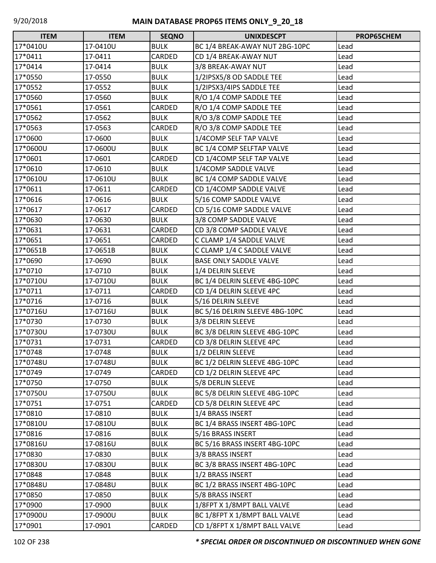| <b>ITEM</b> | <b>ITEM</b> | <b>SEQNO</b> | <b>UNIXDESCPT</b>              | PROP65CHEM |
|-------------|-------------|--------------|--------------------------------|------------|
| 17*0410U    | 17-0410U    | <b>BULK</b>  | BC 1/4 BREAK-AWAY NUT 2BG-10PC | Lead       |
| 17*0411     | 17-0411     | CARDED       | CD 1/4 BREAK-AWAY NUT          | Lead       |
| 17*0414     | 17-0414     | <b>BULK</b>  | 3/8 BREAK-AWAY NUT             | Lead       |
| 17*0550     | 17-0550     | <b>BULK</b>  | 1/2IPSX5/8 OD SADDLE TEE       | Lead       |
| 17*0552     | 17-0552     | <b>BULK</b>  | 1/2IPSX3/4IPS SADDLE TEE       | Lead       |
| 17*0560     | 17-0560     | <b>BULK</b>  | R/O 1/4 COMP SADDLE TEE        | Lead       |
| 17*0561     | 17-0561     | CARDED       | R/O 1/4 COMP SADDLE TEE        | Lead       |
| 17*0562     | 17-0562     | <b>BULK</b>  | R/O 3/8 COMP SADDLE TEE        | Lead       |
| 17*0563     | 17-0563     | CARDED       | R/O 3/8 COMP SADDLE TEE        | Lead       |
| 17*0600     | 17-0600     | <b>BULK</b>  | 1/4COMP SELF TAP VALVE         | Lead       |
| 17*0600U    | 17-0600U    | <b>BULK</b>  | BC 1/4 COMP SELFTAP VALVE      | Lead       |
| 17*0601     | 17-0601     | CARDED       | CD 1/4COMP SELF TAP VALVE      | Lead       |
| 17*0610     | 17-0610     | <b>BULK</b>  | 1/4COMP SADDLE VALVE           | Lead       |
| 17*0610U    | 17-0610U    | <b>BULK</b>  | BC 1/4 COMP SADDLE VALVE       | Lead       |
| 17*0611     | 17-0611     | CARDED       | CD 1/4COMP SADDLE VALVE        | Lead       |
| 17*0616     | 17-0616     | <b>BULK</b>  | 5/16 COMP SADDLE VALVE         | Lead       |
| 17*0617     | 17-0617     | CARDED       | CD 5/16 COMP SADDLE VALVE      | Lead       |
| 17*0630     | 17-0630     | <b>BULK</b>  | 3/8 COMP SADDLE VALVE          | Lead       |
| 17*0631     | 17-0631     | CARDED       | CD 3/8 COMP SADDLE VALVE       | Lead       |
| 17*0651     | 17-0651     | CARDED       | C CLAMP 1/4 SADDLE VALVE       | Lead       |
| 17*0651B    | 17-0651B    | <b>BULK</b>  | C CLAMP 1/4 C SADDLE VALVE     | Lead       |
| 17*0690     | 17-0690     | <b>BULK</b>  | <b>BASE ONLY SADDLE VALVE</b>  | Lead       |
| 17*0710     | 17-0710     | <b>BULK</b>  | 1/4 DELRIN SLEEVE              | Lead       |
| 17*0710U    | 17-0710U    | <b>BULK</b>  | BC 1/4 DELRIN SLEEVE 4BG-10PC  | Lead       |
| 17*0711     | 17-0711     | CARDED       | CD 1/4 DELRIN SLEEVE 4PC       | Lead       |
| 17*0716     | 17-0716     | <b>BULK</b>  | 5/16 DELRIN SLEEVE             | Lead       |
| 17*0716U    | 17-0716U    | <b>BULK</b>  | BC 5/16 DELRIN SLEEVE 4BG-10PC | Lead       |
| 17*0730     | 17-0730     | <b>BULK</b>  | 3/8 DELRIN SLEEVE              | Lead       |
| 17*0730U    | 17-0730U    | <b>BULK</b>  | BC 3/8 DELRIN SLEEVE 4BG-10PC  | Lead       |
| 17*0731     | 17-0731     | CARDED       | CD 3/8 DELRIN SLEEVE 4PC       | Lead       |
| 17*0748     | 17-0748     | <b>BULK</b>  | 1/2 DELRIN SLEEVE              | Lead       |
| 17*0748U    | 17-0748U    | <b>BULK</b>  | BC 1/2 DELRIN SLEEVE 4BG-10PC  | Lead       |
| 17*0749     | 17-0749     | CARDED       | CD 1/2 DELRIN SLEEVE 4PC       | Lead       |
| 17*0750     | 17-0750     | <b>BULK</b>  | 5/8 DERLIN SLEEVE              | Lead       |
| 17*0750U    | 17-0750U    | <b>BULK</b>  | BC 5/8 DELRIN SLEEVE 4BG-10PC  | Lead       |
| 17*0751     | 17-0751     | CARDED       | CD 5/8 DELRIN SLEEVE 4PC       | Lead       |
| 17*0810     | 17-0810     | <b>BULK</b>  | 1/4 BRASS INSERT               | Lead       |
| 17*0810U    | 17-0810U    | <b>BULK</b>  | BC 1/4 BRASS INSERT 4BG-10PC   | Lead       |
| 17*0816     | 17-0816     | <b>BULK</b>  | 5/16 BRASS INSERT              | Lead       |
| 17*0816U    | 17-0816U    | <b>BULK</b>  | BC 5/16 BRASS INSERT 4BG-10PC  | Lead       |
| 17*0830     | 17-0830     | <b>BULK</b>  | 3/8 BRASS INSERT               | Lead       |
| 17*0830U    | 17-0830U    | <b>BULK</b>  | BC 3/8 BRASS INSERT 4BG-10PC   | Lead       |
| 17*0848     | 17-0848     | <b>BULK</b>  | 1/2 BRASS INSERT               | Lead       |
| 17*0848U    | 17-0848U    | <b>BULK</b>  | BC 1/2 BRASS INSERT 4BG-10PC   | Lead       |
| 17*0850     | 17-0850     | <b>BULK</b>  | 5/8 BRASS INSERT               | Lead       |
| 17*0900     | 17-0900     | <b>BULK</b>  | 1/8FPT X 1/8MPT BALL VALVE     | Lead       |
| 17*0900U    | 17-0900U    | <b>BULK</b>  | BC 1/8FPT X 1/8MPT BALL VALVE  | Lead       |
| 17*0901     | 17-0901     | CARDED       | CD 1/8FPT X 1/8MPT BALL VALVE  | Lead       |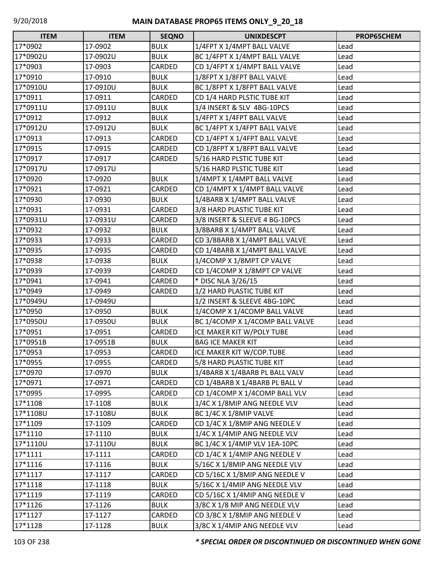| $\Box$<br><b>ITEM</b> | <b>ITEM</b> | <b>SEQNO</b> | <b>UNIXDESCPT</b>               | PROP65CHEM |
|-----------------------|-------------|--------------|---------------------------------|------------|
| 17*0902               | 17-0902     | <b>BULK</b>  | 1/4FPT X 1/4MPT BALL VALVE      | Lead       |
| 17*0902U              | 17-0902U    | <b>BULK</b>  | BC 1/4FPT X 1/4MPT BALL VALVE   | Lead       |
| 17*0903               | 17-0903     | CARDED       | CD 1/4FPT X 1/4MPT BALL VALVE   | Lead       |
| 17*0910               | 17-0910     | <b>BULK</b>  | 1/8FPT X 1/8FPT BALL VALVE      | Lead       |
| 17*0910U              | 17-0910U    | <b>BULK</b>  | BC 1/8FPT X 1/8FPT BALL VALVE   | Lead       |
| 17*0911               | 17-0911     | CARDED       | CD 1/4 HARD PLSTIC TUBE KIT     | Lead       |
| 17*0911U              | 17-0911U    | <b>BULK</b>  | 1/4 INSERT & SLV 4BG-10PCS      | Lead       |
| 17*0912               | 17-0912     | <b>BULK</b>  | 1/4FPT X 1/4FPT BALL VALVE      | Lead       |
| 17*0912U              | 17-0912U    | <b>BULK</b>  | BC 1/4FPT X 1/4FPT BALL VALVE   | Lead       |
| 17*0913               | 17-0913     | CARDED       | CD 1/4FPT X 1/4FPT BALL VALVE   | Lead       |
| 17*0915               | 17-0915     | CARDED       | CD 1/8FPT X 1/8FPT BALL VALVE   | Lead       |
| 17*0917               | 17-0917     | CARDED       | 5/16 HARD PLSTIC TUBE KIT       | Lead       |
| 17*0917U              | 17-0917U    |              | 5/16 HARD PLSTIC TUBE KIT       | Lead       |
| 17*0920               | 17-0920     | <b>BULK</b>  | 1/4MPT X 1/4MPT BALL VALVE      | Lead       |
| 17*0921               | 17-0921     | CARDED       | CD 1/4MPT X 1/4MPT BALL VALVE   | Lead       |
| 17*0930               | 17-0930     | <b>BULK</b>  | 1/4BARB X 1/4MPT BALL VALVE     | Lead       |
| 17*0931               | 17-0931     | CARDED       | 3/8 HARD PLASTIC TUBE KIT       | Lead       |
| 17*0931U              | 17-0931U    | CARDED       | 3/8 INSERT & SLEEVE 4 BG-10PCS  | Lead       |
| 17*0932               | 17-0932     | <b>BULK</b>  | 3/8BARB X 1/4MPT BALL VALVE     | Lead       |
| 17*0933               | 17-0933     | CARDED       | CD 3/8BARB X 1/4MPT BALL VALVE  | Lead       |
| 17*0935               | 17-0935     | CARDED       | CD 1/4BARB X 1/4MPT BALL VALVE  | Lead       |
| 17*0938               | 17-0938     | <b>BULK</b>  | 1/4COMP X 1/8MPT CP VALVE       | Lead       |
| 17*0939               | 17-0939     | CARDED       | CD 1/4COMP X 1/8MPT CP VALVE    | Lead       |
| 17*0941               | 17-0941     | CARDED       | * DISC NLA 3/26/15              | Lead       |
| 17*0949               | 17-0949     | CARDED       | 1/2 HARD PLASTIC TUBE KIT       | Lead       |
| 17*0949U              | 17-0949U    |              | 1/2 INSERT & SLEEVE 4BG-10PC    | Lead       |
| 17*0950               | 17-0950     | <b>BULK</b>  | 1/4COMP X 1/4COMP BALL VALVE    | Lead       |
| 17*0950U              | 17-0950U    | <b>BULK</b>  | BC 1/4COMP X 1/4COMP BALL VALVE | Lead       |
| 17*0951               | 17-0951     | CARDED       | ICE MAKER KIT W/POLY TUBE       | Lead       |
| 17*0951B              | 17-0951B    | <b>BULK</b>  | <b>BAG ICE MAKER KIT</b>        | Lead       |
| 17*0953               | 17-0953     | CARDED       | ICE MAKER KIT W/COP.TUBE        | Lead       |
| 17*0955               | 17-0955     | CARDED       | 5/8 HARD PLASTIC TUBE KIT       | Lead       |
| 17*0970               | 17-0970     | <b>BULK</b>  | 1/4BARB X 1/4BARB PL BALL VALV  | Lead       |
| 17*0971               | 17-0971     | CARDED       | CD 1/4BARB X 1/4BARB PL BALL V  | Lead       |
| 17*0995               | 17-0995     | CARDED       | CD 1/4COMP X 1/4COMP BALL VLV   | Lead       |
| 17*1108               | 17-1108     | <b>BULK</b>  | 1/4C X 1/8MIP ANG NEEDLE VLV    | Lead       |
| 17*1108U              | 17-1108U    | <b>BULK</b>  | BC 1/4C X 1/8MIP VALVE          | Lead       |
| 17*1109               | 17-1109     | CARDED       | CD 1/4C X 1/8MIP ANG NEEDLE V   | Lead       |
| 17*1110               | 17-1110     | <b>BULK</b>  | 1/4C X 1/4MIP ANG NEEDLE VLV    | Lead       |
| 17*1110U              | 17-1110U    | <b>BULK</b>  | BC 1/4C X 1/4MIP VLV 1EA-10PC   | Lead       |
| 17*1111               | 17-1111     | CARDED       | CD 1/4C X 1/4MIP ANG NEEDLE V   | Lead       |
| 17*1116               | 17-1116     | <b>BULK</b>  | 5/16C X 1/8MIP ANG NEEDLE VLV   | Lead       |
| 17*1117               | 17-1117     | CARDED       | CD 5/16C X 1/8MIP ANG NEEDLE V  | Lead       |
| 17*1118               | 17-1118     | <b>BULK</b>  | 5/16C X 1/4MIP ANG NEEDLE VLV   | Lead       |
| 17*1119               | 17-1119     | CARDED       | CD 5/16C X 1/4MIP ANG NEEDLE V  | Lead       |
| 17*1126               | 17-1126     | <b>BULK</b>  | 3/8C X 1/8 MIP ANG NEEDLE VLV   | Lead       |
| 17*1127               | 17-1127     | CARDED       | CD 3/8C X 1/8MIP ANG NEEDLE V   | Lead       |
| 17*1128               | 17-1128     | <b>BULK</b>  | 3/8C X 1/4MIP ANG NEEDLE VLV    | Lead       |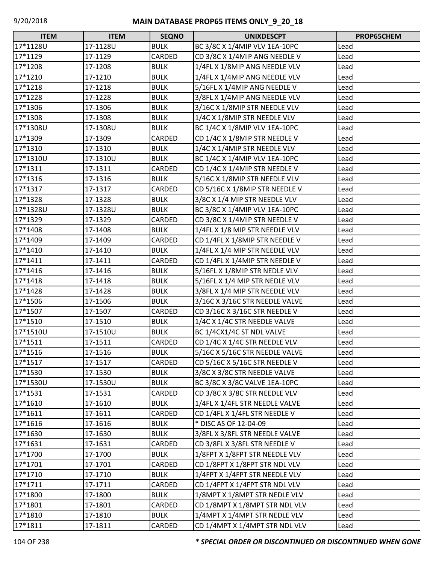| <b>ITEM</b> | <b>ITEM</b> | <b>SEQNO</b> | <b>UNIXDESCPT</b>              | PROP65CHEM |
|-------------|-------------|--------------|--------------------------------|------------|
| 17*1128U    | 17-1128U    | <b>BULK</b>  | BC 3/8C X 1/4MIP VLV 1EA-10PC  | Lead       |
| 17*1129     | 17-1129     | CARDED       | CD 3/8C X 1/4MIP ANG NEEDLE V  | Lead       |
| 17*1208     | 17-1208     | <b>BULK</b>  | 1/4FL X 1/8MIP ANG NEEDLE VLV  | Lead       |
| 17*1210     | 17-1210     | <b>BULK</b>  | 1/4FL X 1/4MIP ANG NEEDLE VLV  | Lead       |
| 17*1218     | 17-1218     | <b>BULK</b>  | 5/16FL X 1/4MIP ANG NEEDLE V   | Lead       |
| 17*1228     | 17-1228     | <b>BULK</b>  | 3/8FL X 1/4MIP ANG NEEDLE VLV  | Lead       |
| 17*1306     | 17-1306     | <b>BULK</b>  | 3/16C X 1/8MIP STR NEEDLE VLV  | Lead       |
| 17*1308     | 17-1308     | <b>BULK</b>  | 1/4C X 1/8MIP STR NEEDLE VLV   | Lead       |
| 17*1308U    | 17-1308U    | <b>BULK</b>  | BC 1/4C X 1/8MIP VLV 1EA-10PC  | Lead       |
| 17*1309     | 17-1309     | CARDED       | CD 1/4C X 1/8MIP STR NEEDLE V  | Lead       |
| 17*1310     | 17-1310     | <b>BULK</b>  | 1/4C X 1/4MIP STR NEEDLE VLV   | Lead       |
| 17*1310U    | 17-1310U    | <b>BULK</b>  | BC 1/4C X 1/4MIP VLV 1EA-10PC  | Lead       |
| 17*1311     | 17-1311     | CARDED       | CD 1/4C X 1/4MIP STR NEEDLE V  | Lead       |
| 17*1316     | 17-1316     | <b>BULK</b>  | 5/16C X 1/8MIP STR NEEDLE VLV  | Lead       |
| 17*1317     | 17-1317     | CARDED       | CD 5/16C X 1/8MIP STR NEEDLE V | Lead       |
| 17*1328     | 17-1328     | <b>BULK</b>  | 3/8C X 1/4 MIP STR NEEDLE VLV  | Lead       |
| 17*1328U    | 17-1328U    | <b>BULK</b>  | BC 3/8C X 1/4MIP VLV 1EA-10PC  | Lead       |
| 17*1329     | 17-1329     | CARDED       | CD 3/8C X 1/4MIP STR NEEDLE V  | Lead       |
| 17*1408     | 17-1408     | <b>BULK</b>  | 1/4FL X 1/8 MIP STR NEEDLE VLV | Lead       |
| 17*1409     | 17-1409     | CARDED       | CD 1/4FL X 1/8MIP STR NEEDLE V | Lead       |
| 17*1410     | 17-1410     | <b>BULK</b>  | 1/4FL X 1/4 MIP STR NEEDLE VLV | Lead       |
| 17*1411     | 17-1411     | CARDED       | CD 1/4FL X 1/4MIP STR NEEDLE V | Lead       |
| 17*1416     | 17-1416     | <b>BULK</b>  | 5/16FL X 1/8MIP STR NEDLE VLV  | Lead       |
| 17*1418     | 17-1418     | <b>BULK</b>  | 5/16FL X 1/4 MIP STR NEDLE VLV | Lead       |
| 17*1428     | 17-1428     | <b>BULK</b>  | 3/8FL X 1/4 MIP STR NEEDLE VLV | Lead       |
| 17*1506     | 17-1506     | <b>BULK</b>  | 3/16C X 3/16C STR NEEDLE VALVE | Lead       |
| 17*1507     | 17-1507     | CARDED       | CD 3/16C X 3/16C STR NEEDLE V  | Lead       |
| 17*1510     | 17-1510     | <b>BULK</b>  | 1/4C X 1/4C STR NEEDLE VALVE   | Lead       |
| 17*1510U    | 17-1510U    | <b>BULK</b>  | BC 1/4CX1/4C ST NDL VALVE      | Lead       |
| 17*1511     | 17-1511     | CARDED       | CD 1/4C X 1/4C STR NEEDLE VLV  | Lead       |
| 17*1516     | 17-1516     | <b>BULK</b>  | 5/16C X 5/16C STR NEEDLE VALVE | Lead       |
| 17*1517     | 17-1517     | CARDED       | CD 5/16C X 5/16C STR NEEDLE V  | Lead       |
| 17*1530     | 17-1530     | <b>BULK</b>  | 3/8C X 3/8C STR NEEDLE VALVE   | Lead       |
| 17*1530U    | 17-1530U    | <b>BULK</b>  | BC 3/8C X 3/8C VALVE 1EA-10PC  | Lead       |
| 17*1531     | 17-1531     | CARDED       | CD 3/8C X 3/8C STR NEEDLE VLV  | Lead       |
| 17*1610     | 17-1610     | <b>BULK</b>  | 1/4FL X 1/4FL STR NEEDLE VALVE | Lead       |
| 17*1611     | 17-1611     | CARDED       | CD 1/4FL X 1/4FL STR NEEDLE V  | Lead       |
| 17*1616     | 17-1616     | <b>BULK</b>  | * DISC AS OF 12-04-09          | Lead       |
| 17*1630     | 17-1630     | <b>BULK</b>  | 3/8FL X 3/8FL STR NEEDLE VALVE | Lead       |
| 17*1631     | 17-1631     | CARDED       | CD 3/8FL X 3/8FL STR NEEDLE V  | Lead       |
| 17*1700     | 17-1700     | <b>BULK</b>  | 1/8FPT X 1/8FPT STR NEEDLE VLV | Lead       |
| 17*1701     | 17-1701     | CARDED       | CD 1/8FPT X 1/8FPT STR NDL VLV | Lead       |
| 17*1710     | 17-1710     | <b>BULK</b>  | 1/4FPT X 1/4FPT STR NEEDLE VLV | Lead       |
| 17*1711     | 17-1711     | CARDED       | CD 1/4FPT X 1/4FPT STR NDL VLV | Lead       |
| 17*1800     | 17-1800     | <b>BULK</b>  | 1/8MPT X 1/8MPT STR NEDLE VLV  | Lead       |
| 17*1801     | 17-1801     | CARDED       | CD 1/8MPT X 1/8MPT STR NDL VLV | Lead       |
| 17*1810     | 17-1810     | <b>BULK</b>  | 1/4MPT X 1/4MPT STR NEDLE VLV  | Lead       |
| 17*1811     | 17-1811     | CARDED       | CD 1/4MPT X 1/4MPT STR NDL VLV | Lead       |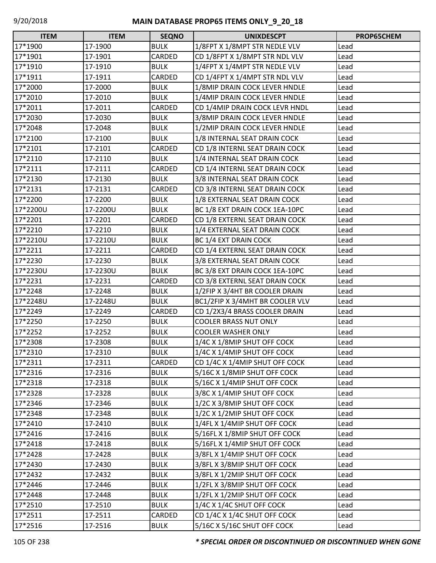| $\Box$<br><b>ITEM</b> | <b>ITEM</b> | <b>SEQNO</b> | <b>UNIXDESCPT</b>               | PROP65CHEM |
|-----------------------|-------------|--------------|---------------------------------|------------|
| 17*1900               | 17-1900     | <b>BULK</b>  | 1/8FPT X 1/8MPT STR NEDLE VLV   | Lead       |
| 17*1901               | 17-1901     | CARDED       | CD 1/8FPT X 1/8MPT STR NDL VLV  | Lead       |
| 17*1910               | 17-1910     | <b>BULK</b>  | 1/4FPT X 1/4MPT STR NEDLE VLV   | Lead       |
| 17*1911               | 17-1911     | CARDED       | CD 1/4FPT X 1/4MPT STR NDL VLV  | Lead       |
| 17*2000               | 17-2000     | <b>BULK</b>  | 1/8MIP DRAIN COCK LEVER HNDLE   | Lead       |
| 17*2010               | 17-2010     | <b>BULK</b>  | 1/4MIP DRAIN COCK LEVER HNDLE   | Lead       |
| 17*2011               | 17-2011     | CARDED       | CD 1/4MIP DRAIN COCK LEVR HNDL  | Lead       |
| 17*2030               | 17-2030     | <b>BULK</b>  | 3/8MIP DRAIN COCK LEVER HNDLE   | Lead       |
| 17*2048               | 17-2048     | <b>BULK</b>  | 1/2MIP DRAIN COCK LEVER HNDLE   | Lead       |
| 17*2100               | 17-2100     | <b>BULK</b>  | 1/8 INTERNAL SEAT DRAIN COCK    | Lead       |
| 17*2101               | 17-2101     | CARDED       | CD 1/8 INTERNL SEAT DRAIN COCK  | Lead       |
| 17*2110               | 17-2110     | <b>BULK</b>  | 1/4 INTERNAL SEAT DRAIN COCK    | Lead       |
| 17*2111               | 17-2111     | CARDED       | CD 1/4 INTERNL SEAT DRAIN COCK  | Lead       |
| 17*2130               | 17-2130     | <b>BULK</b>  | 3/8 INTERNAL SEAT DRAIN COCK    | Lead       |
| 17*2131               | 17-2131     | CARDED       | CD 3/8 INTERNL SEAT DRAIN COCK  | Lead       |
| 17*2200               | 17-2200     | <b>BULK</b>  | 1/8 EXTERNAL SEAT DRAIN COCK    | Lead       |
| 17*2200U              | 17-2200U    | <b>BULK</b>  | BC 1/8 EXT DRAIN COCK 1EA-10PC  | Lead       |
| 17*2201               | 17-2201     | CARDED       | CD 1/8 EXTERNL SEAT DRAIN COCK  | Lead       |
| 17*2210               | 17-2210     | <b>BULK</b>  | 1/4 EXTERNAL SEAT DRAIN COCK    | Lead       |
| 17*2210U              | 17-2210U    | <b>BULK</b>  | BC 1/4 EXT DRAIN COCK           | Lead       |
| 17*2211               | 17-2211     | CARDED       | CD 1/4 EXTERNL SEAT DRAIN COCK  | Lead       |
| 17*2230               | 17-2230     | <b>BULK</b>  | 3/8 EXTERNAL SEAT DRAIN COCK    | Lead       |
| 17*2230U              | 17-2230U    | <b>BULK</b>  | BC 3/8 EXT DRAIN COCK 1EA-10PC  | Lead       |
| 17*2231               | 17-2231     | CARDED       | CD 3/8 EXTERNL SEAT DRAIN COCK  | Lead       |
| 17*2248               | 17-2248     | <b>BULK</b>  | 1/2FIP X 3/4HT BR COOLER DRAIN  | Lead       |
| 17*2248U              | 17-2248U    | <b>BULK</b>  | BC1/2FIP X 3/4MHT BR COOLER VLV | Lead       |
| 17*2249               | 17-2249     | CARDED       | CD 1/2X3/4 BRASS COOLER DRAIN   | Lead       |
| 17*2250               | 17-2250     | <b>BULK</b>  | <b>COOLER BRASS NUT ONLY</b>    | Lead       |
| 17*2252               | 17-2252     | <b>BULK</b>  | <b>COOLER WASHER ONLY</b>       | Lead       |
| 17*2308               | 17-2308     | <b>BULK</b>  | 1/4C X 1/8MIP SHUT OFF COCK     | Lead       |
| 17*2310               | 17-2310     | <b>BULK</b>  | 1/4C X 1/4MIP SHUT OFF COCK     | Lead       |
| 17*2311               | 17-2311     | CARDED       | CD 1/4C X 1/4MIP SHUT OFF COCK  | Lead       |
| 17*2316               | 17-2316     | <b>BULK</b>  | 5/16C X 1/8MIP SHUT OFF COCK    | Lead       |
| 17*2318               | 17-2318     | <b>BULK</b>  | 5/16C X 1/4MIP SHUT OFF COCK    | Lead       |
| 17*2328               | 17-2328     | <b>BULK</b>  | 3/8C X 1/4MIP SHUT OFF COCK     | Lead       |
| 17*2346               | 17-2346     | <b>BULK</b>  | 1/2C X 3/8MIP SHUT OFF COCK     | Lead       |
| 17*2348               | 17-2348     | <b>BULK</b>  | 1/2C X 1/2MIP SHUT OFF COCK     | Lead       |
| 17*2410               | 17-2410     | <b>BULK</b>  | 1/4FL X 1/4MIP SHUT OFF COCK    | Lead       |
| 17*2416               | 17-2416     | <b>BULK</b>  | 5/16FL X 1/8MIP SHUT OFF COCK   | Lead       |
| 17*2418               | 17-2418     | <b>BULK</b>  | 5/16FL X 1/4MIP SHUT OFF COCK   | Lead       |
| 17*2428               | 17-2428     | <b>BULK</b>  | 3/8FL X 1/4MIP SHUT OFF COCK    | Lead       |
| 17*2430               | 17-2430     | <b>BULK</b>  | 3/8FL X 3/8MIP SHUT OFF COCK    | Lead       |
| 17*2432               | 17-2432     | <b>BULK</b>  | 3/8FL X 1/2MIP SHUT OFF COCK    | Lead       |
| 17*2446               | 17-2446     | <b>BULK</b>  | 1/2FL X 3/8MIP SHUT OFF COCK    | Lead       |
| 17*2448               | 17-2448     | <b>BULK</b>  | 1/2FL X 1/2MIP SHUT OFF COCK    | Lead       |
| 17*2510               | 17-2510     | <b>BULK</b>  | 1/4C X 1/4C SHUT OFF COCK       | Lead       |
| 17*2511               | 17-2511     | CARDED       | CD 1/4C X 1/4C SHUT OFF COCK    | Lead       |
| 17*2516               | 17-2516     | <b>BULK</b>  | 5/16C X 5/16C SHUT OFF COCK     | Lead       |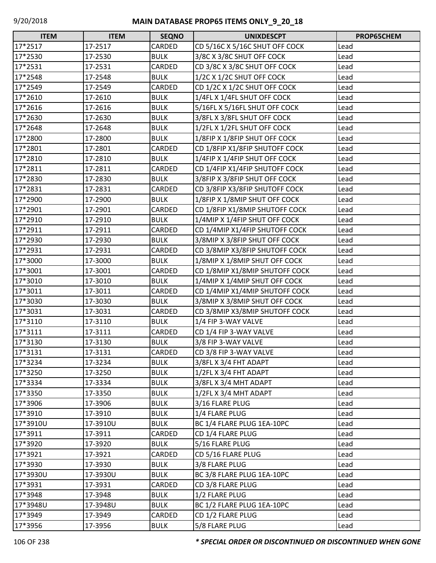| $\Box$<br><b>ITEM</b> | <b>ITEM</b> | <b>SEQNO</b> | <b>UNIXDESCPT</b>              | PROP65CHEM |
|-----------------------|-------------|--------------|--------------------------------|------------|
| 17*2517               | 17-2517     | CARDED       | CD 5/16C X 5/16C SHUT OFF COCK | Lead       |
| 17*2530               | 17-2530     | <b>BULK</b>  | 3/8C X 3/8C SHUT OFF COCK      | Lead       |
| 17*2531               | 17-2531     | CARDED       | CD 3/8C X 3/8C SHUT OFF COCK   | Lead       |
| 17*2548               | 17-2548     | <b>BULK</b>  | 1/2C X 1/2C SHUT OFF COCK      | Lead       |
| 17*2549               | 17-2549     | CARDED       | CD 1/2C X 1/2C SHUT OFF COCK   | Lead       |
| 17*2610               | 17-2610     | <b>BULK</b>  | 1/4FL X 1/4FL SHUT OFF COCK    | Lead       |
| 17*2616               | 17-2616     | <b>BULK</b>  | 5/16FL X 5/16FL SHUT OFF COCK  | Lead       |
| 17*2630               | 17-2630     | <b>BULK</b>  | 3/8FL X 3/8FL SHUT OFF COCK    | Lead       |
| 17*2648               | 17-2648     | <b>BULK</b>  | 1/2FL X 1/2FL SHUT OFF COCK    | Lead       |
| 17*2800               | 17-2800     | <b>BULK</b>  | 1/8FIP X 1/8FIP SHUT OFF COCK  | Lead       |
| 17*2801               | 17-2801     | CARDED       | CD 1/8FIP X1/8FIP SHUTOFF COCK | Lead       |
| 17*2810               | 17-2810     | <b>BULK</b>  | 1/4FIP X 1/4FIP SHUT OFF COCK  | Lead       |
| 17*2811               | 17-2811     | CARDED       | CD 1/4FIP X1/4FIP SHUTOFF COCK | Lead       |
| 17*2830               | 17-2830     | <b>BULK</b>  | 3/8FIP X 3/8FIP SHUT OFF COCK  | Lead       |
| 17*2831               | 17-2831     | CARDED       | CD 3/8FIP X3/8FIP SHUTOFF COCK | Lead       |
| 17*2900               | 17-2900     | <b>BULK</b>  | 1/8FIP X 1/8MIP SHUT OFF COCK  | Lead       |
| 17*2901               | 17-2901     | CARDED       | CD 1/8FIP X1/8MIP SHUTOFF COCK | Lead       |
| 17*2910               | 17-2910     | <b>BULK</b>  | 1/4MIP X 1/4FIP SHUT OFF COCK  | Lead       |
| 17*2911               | 17-2911     | CARDED       | CD 1/4MIP X1/4FIP SHUTOFF COCK | Lead       |
| 17*2930               | 17-2930     | <b>BULK</b>  | 3/8MIP X 3/8FIP SHUT OFF COCK  | Lead       |
| 17*2931               | 17-2931     | CARDED       | CD 3/8MIP X3/8FIP SHUTOFF COCK | Lead       |
| 17*3000               | 17-3000     | <b>BULK</b>  | 1/8MIP X 1/8MIP SHUT OFF COCK  | Lead       |
| 17*3001               | 17-3001     | CARDED       | CD 1/8MIP X1/8MIP SHUTOFF COCK | Lead       |
| 17*3010               | 17-3010     | <b>BULK</b>  | 1/4MIP X 1/4MIP SHUT OFF COCK  | Lead       |
| 17*3011               | 17-3011     | CARDED       | CD 1/4MIP X1/4MIP SHUTOFF COCK | Lead       |
| 17*3030               | 17-3030     | <b>BULK</b>  | 3/8MIP X 3/8MIP SHUT OFF COCK  | Lead       |
| 17*3031               | 17-3031     | CARDED       | CD 3/8MIP X3/8MIP SHUTOFF COCK | Lead       |
| 17*3110               | 17-3110     | <b>BULK</b>  | 1/4 FIP 3-WAY VALVE            | Lead       |
| 17*3111               | 17-3111     | CARDED       | CD 1/4 FIP 3-WAY VALVE         | Lead       |
| 17*3130               | 17-3130     | <b>BULK</b>  | 3/8 FIP 3-WAY VALVE            | Lead       |
| 17*3131               | 17-3131     | CARDED       | CD 3/8 FIP 3-WAY VALVE         | Lead       |
| 17*3234               | 17-3234     | <b>BULK</b>  | 3/8FL X 3/4 FHT ADAPT          | Lead       |
| 17*3250               | 17-3250     | <b>BULK</b>  | 1/2FL X 3/4 FHT ADAPT          | Lead       |
| 17*3334               | 17-3334     | <b>BULK</b>  | 3/8FL X 3/4 MHT ADAPT          | Lead       |
| 17*3350               | 17-3350     | <b>BULK</b>  | 1/2FL X 3/4 MHT ADAPT          | Lead       |
| 17*3906               | 17-3906     | <b>BULK</b>  | 3/16 FLARE PLUG                | Lead       |
| 17*3910               | 17-3910     | <b>BULK</b>  | 1/4 FLARE PLUG                 | Lead       |
| 17*3910U              | 17-3910U    | <b>BULK</b>  | BC 1/4 FLARE PLUG 1EA-10PC     | Lead       |
| 17*3911               | 17-3911     | CARDED       | CD 1/4 FLARE PLUG              | Lead       |
| 17*3920               | 17-3920     | <b>BULK</b>  | 5/16 FLARE PLUG                | Lead       |
| 17*3921               | 17-3921     | CARDED       | CD 5/16 FLARE PLUG             | Lead       |
| 17*3930               | 17-3930     | <b>BULK</b>  | 3/8 FLARE PLUG                 | Lead       |
| 17*3930U              | 17-3930U    | <b>BULK</b>  | BC 3/8 FLARE PLUG 1EA-10PC     | Lead       |
| 17*3931               | 17-3931     | CARDED       | CD 3/8 FLARE PLUG              | Lead       |
| 17*3948               | 17-3948     | <b>BULK</b>  | 1/2 FLARE PLUG                 | Lead       |
| 17*3948U              | 17-3948U    | <b>BULK</b>  | BC 1/2 FLARE PLUG 1EA-10PC     | Lead       |
| 17*3949               | 17-3949     | CARDED       | CD 1/2 FLARE PLUG              | Lead       |
| 17*3956               | 17-3956     | <b>BULK</b>  | 5/8 FLARE PLUG                 | Lead       |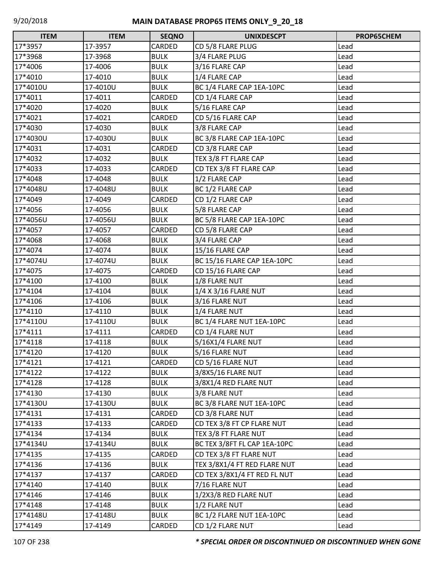| $\Box$<br><b>ITEM</b> | <b>ITEM</b> | <b>SEQNO</b> | <b>UNIXDESCPT</b>            | PROP65CHEM |
|-----------------------|-------------|--------------|------------------------------|------------|
| 17*3957               | 17-3957     | CARDED       | CD 5/8 FLARE PLUG            | Lead       |
| 17*3968               | 17-3968     | <b>BULK</b>  | 3/4 FLARE PLUG               | Lead       |
| 17*4006               | 17-4006     | <b>BULK</b>  | 3/16 FLARE CAP               | Lead       |
| 17*4010               | 17-4010     | <b>BULK</b>  | 1/4 FLARE CAP                | Lead       |
| 17*4010U              | 17-4010U    | <b>BULK</b>  | BC 1/4 FLARE CAP 1EA-10PC    | Lead       |
| 17*4011               | 17-4011     | CARDED       | CD 1/4 FLARE CAP             | Lead       |
| 17*4020               | 17-4020     | <b>BULK</b>  | 5/16 FLARE CAP               | Lead       |
| 17*4021               | 17-4021     | CARDED       | CD 5/16 FLARE CAP            | Lead       |
| 17*4030               | 17-4030     | <b>BULK</b>  | 3/8 FLARE CAP                | Lead       |
| 17*4030U              | 17-4030U    | <b>BULK</b>  | BC 3/8 FLARE CAP 1EA-10PC    | Lead       |
| 17*4031               | 17-4031     | CARDED       | CD 3/8 FLARE CAP             | Lead       |
| 17*4032               | 17-4032     | <b>BULK</b>  | TEX 3/8 FT FLARE CAP         | Lead       |
| 17*4033               | 17-4033     | CARDED       | CD TEX 3/8 FT FLARE CAP      | Lead       |
| 17*4048               | 17-4048     | <b>BULK</b>  | 1/2 FLARE CAP                | Lead       |
| 17*4048U              | 17-4048U    | <b>BULK</b>  | BC 1/2 FLARE CAP             | Lead       |
| 17*4049               | 17-4049     | CARDED       | CD 1/2 FLARE CAP             | Lead       |
| 17*4056               | 17-4056     | <b>BULK</b>  | 5/8 FLARE CAP                | Lead       |
| 17*4056U              | 17-4056U    | <b>BULK</b>  | BC 5/8 FLARE CAP 1EA-10PC    | Lead       |
| 17*4057               | 17-4057     | CARDED       | CD 5/8 FLARE CAP             | Lead       |
| 17*4068               | 17-4068     | <b>BULK</b>  | 3/4 FLARE CAP                | Lead       |
| 17*4074               | 17-4074     | <b>BULK</b>  | 15/16 FLARE CAP              | Lead       |
| 17*4074U              | 17-4074U    | <b>BULK</b>  | BC 15/16 FLARE CAP 1EA-10PC  | Lead       |
| 17*4075               | 17-4075     | CARDED       | CD 15/16 FLARE CAP           | Lead       |
| 17*4100               | 17-4100     | <b>BULK</b>  | 1/8 FLARE NUT                | Lead       |
| 17*4104               | 17-4104     | <b>BULK</b>  | 1/4 X 3/16 FLARE NUT         | Lead       |
| 17*4106               | 17-4106     | <b>BULK</b>  | 3/16 FLARE NUT               | Lead       |
| 17*4110               | 17-4110     | <b>BULK</b>  | 1/4 FLARE NUT                | Lead       |
| 17*4110U              | 17-4110U    | <b>BULK</b>  | BC 1/4 FLARE NUT 1EA-10PC    | Lead       |
| 17*4111               | 17-4111     | CARDED       | CD 1/4 FLARE NUT             | Lead       |
| 17*4118               | 17-4118     | <b>BULK</b>  | 5/16X1/4 FLARE NUT           | Lead       |
| 17*4120               | 17-4120     | <b>BULK</b>  | 5/16 FLARE NUT               | Lead       |
| 17*4121               | 17-4121     | CARDED       | CD 5/16 FLARE NUT            | Lead       |
| 17*4122               | 17-4122     | <b>BULK</b>  | 3/8X5/16 FLARE NUT           | Lead       |
| 17*4128               | 17-4128     | <b>BULK</b>  | 3/8X1/4 RED FLARE NUT        | Lead       |
| 17*4130               | 17-4130     | <b>BULK</b>  | 3/8 FLARE NUT                | Lead       |
| 17*4130U              | 17-4130U    | <b>BULK</b>  | BC 3/8 FLARE NUT 1EA-10PC    | Lead       |
| 17*4131               | 17-4131     | CARDED       | CD 3/8 FLARE NUT             | Lead       |
| 17*4133               | 17-4133     | CARDED       | CD TEX 3/8 FT CP FLARE NUT   | Lead       |
| 17*4134               | 17-4134     | <b>BULK</b>  | TEX 3/8 FT FLARE NUT         | Lead       |
| 17*4134U              | 17-4134U    | <b>BULK</b>  | BC TEX 3/8FT FL CAP 1EA-10PC | Lead       |
| 17*4135               | 17-4135     | CARDED       | CD TEX 3/8 FT FLARE NUT      | Lead       |
| 17*4136               | 17-4136     | <b>BULK</b>  | TEX 3/8X1/4 FT RED FLARE NUT | Lead       |
| 17*4137               | 17-4137     | CARDED       | CD TEX 3/8X1/4 FT RED FL NUT | Lead       |
| 17*4140               | 17-4140     | <b>BULK</b>  | 7/16 FLARE NUT               | Lead       |
| 17*4146               | 17-4146     | <b>BULK</b>  | 1/2X3/8 RED FLARE NUT        | Lead       |
| 17*4148               | 17-4148     | <b>BULK</b>  | 1/2 FLARE NUT                | Lead       |
| 17*4148U              | 17-4148U    | <b>BULK</b>  | BC 1/2 FLARE NUT 1EA-10PC    | Lead       |
| 17*4149               | 17-4149     | CARDED       | CD 1/2 FLARE NUT             | Lead       |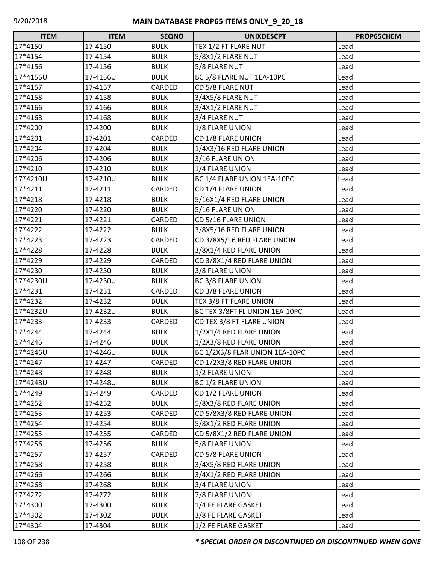| <b>ITEM</b> | <b>ITEM</b> | <b>SEQNO</b> | <b>UNIXDESCPT</b>              | PROP65CHEM |
|-------------|-------------|--------------|--------------------------------|------------|
| 17*4150     | 17-4150     | <b>BULK</b>  | TEX 1/2 FT FLARE NUT           | Lead       |
| 17*4154     | 17-4154     | <b>BULK</b>  | 5/8X1/2 FLARE NUT              | Lead       |
| 17*4156     | 17-4156     | <b>BULK</b>  | 5/8 FLARE NUT                  | Lead       |
| 17*4156U    | 17-4156U    | <b>BULK</b>  | BC 5/8 FLARE NUT 1EA-10PC      | Lead       |
| 17*4157     | 17-4157     | CARDED       | CD 5/8 FLARE NUT               | Lead       |
| 17*4158     | 17-4158     | <b>BULK</b>  | 3/4X5/8 FLARE NUT              | Lead       |
| 17*4166     | 17-4166     | <b>BULK</b>  | 3/4X1/2 FLARE NUT              | Lead       |
| 17*4168     | 17-4168     | <b>BULK</b>  | 3/4 FLARE NUT                  | Lead       |
| 17*4200     | 17-4200     | <b>BULK</b>  | 1/8 FLARE UNION                | Lead       |
| 17*4201     | 17-4201     | CARDED       | CD 1/8 FLARE UNION             | Lead       |
| 17*4204     | 17-4204     | <b>BULK</b>  | 1/4X3/16 RED FLARE UNION       | Lead       |
| 17*4206     | 17-4206     | <b>BULK</b>  | 3/16 FLARE UNION               | Lead       |
| 17*4210     | 17-4210     | <b>BULK</b>  | 1/4 FLARE UNION                | Lead       |
| 17*4210U    | 17-4210U    | <b>BULK</b>  | BC 1/4 FLARE UNION 1EA-10PC    | Lead       |
| 17*4211     | 17-4211     | CARDED       | CD 1/4 FLARE UNION             | Lead       |
| 17*4218     | 17-4218     | <b>BULK</b>  | 5/16X1/4 RED FLARE UNION       | Lead       |
| 17*4220     | 17-4220     | <b>BULK</b>  | 5/16 FLARE UNION               | Lead       |
| 17*4221     | 17-4221     | CARDED       | CD 5/16 FLARE UNION            | Lead       |
| 17*4222     | 17-4222     | <b>BULK</b>  | 3/8X5/16 RED FLARE UNION       | Lead       |
| 17*4223     | 17-4223     | CARDED       | CD 3/8X5/16 RED FLARE UNION    | Lead       |
| 17*4228     | 17-4228     | <b>BULK</b>  | 3/8X1/4 RED FLARE UNION        | Lead       |
| 17*4229     | 17-4229     | CARDED       | CD 3/8X1/4 RED FLARE UNION     | Lead       |
| 17*4230     | 17-4230     | <b>BULK</b>  | 3/8 FLARE UNION                | Lead       |
| 17*4230U    | 17-4230U    | <b>BULK</b>  | <b>BC 3/8 FLARE UNION</b>      | Lead       |
| 17*4231     | 17-4231     | CARDED       | CD 3/8 FLARE UNION             | Lead       |
| 17*4232     | 17-4232     | <b>BULK</b>  | TEX 3/8 FT FLARE UNION         | Lead       |
| 17*4232U    | 17-4232U    | <b>BULK</b>  | BC TEX 3/8FT FL UNION 1EA-10PC | Lead       |
| 17*4233     | 17-4233     | CARDED       | CD TEX 3/8 FT FLARE UNION      | Lead       |
| 17*4244     | 17-4244     | <b>BULK</b>  | 1/2X1/4 RED FLARE UNION        | Lead       |
| 17*4246     | 17-4246     | <b>BULK</b>  | 1/2X3/8 RED FLARE UNION        | Lead       |
| 17*4246U    | 17-4246U    | <b>BULK</b>  | BC 1/2X3/8 FLAR UNION 1EA-10PC | Lead       |
| 17*4247     | 17-4247     | CARDED       | CD 1/2X3/8 RED FLARE UNION     | Lead       |
| 17*4248     | 17-4248     | <b>BULK</b>  | 1/2 FLARE UNION                | Lead       |
| 17*4248U    | 17-4248U    | <b>BULK</b>  | BC 1/2 FLARE UNION             | Lead       |
| 17*4249     | 17-4249     | CARDED       | CD 1/2 FLARE UNION             | Lead       |
| 17*4252     | 17-4252     | <b>BULK</b>  | 5/8X3/8 RED FLARE UNION        | Lead       |
| 17*4253     | 17-4253     | CARDED       | CD 5/8X3/8 RED FLARE UNION     | Lead       |
| 17*4254     | 17-4254     | <b>BULK</b>  | 5/8X1/2 RED FLARE UNION        | Lead       |
| 17*4255     | 17-4255     | CARDED       | CD 5/8X1/2 RED FLARE UNION     | Lead       |
| 17*4256     | 17-4256     | <b>BULK</b>  | 5/8 FLARE UNION                | Lead       |
| 17*4257     | 17-4257     | CARDED       | CD 5/8 FLARE UNION             | Lead       |
| 17*4258     | 17-4258     | <b>BULK</b>  | 3/4X5/8 RED FLARE UNION        | Lead       |
| 17*4266     | 17-4266     | <b>BULK</b>  | 3/4X1/2 RED FLARE UNION        | Lead       |
| 17*4268     | 17-4268     | <b>BULK</b>  | 3/4 FLARE UNION                | Lead       |
| 17*4272     | 17-4272     | <b>BULK</b>  | 7/8 FLARE UNION                | Lead       |
| 17*4300     | 17-4300     | <b>BULK</b>  | 1/4 FE FLARE GASKET            | Lead       |
| 17*4302     | 17-4302     | <b>BULK</b>  | 3/8 FE FLARE GASKET            | Lead       |
| 17*4304     | 17-4304     | <b>BULK</b>  | 1/2 FE FLARE GASKET            | Lead       |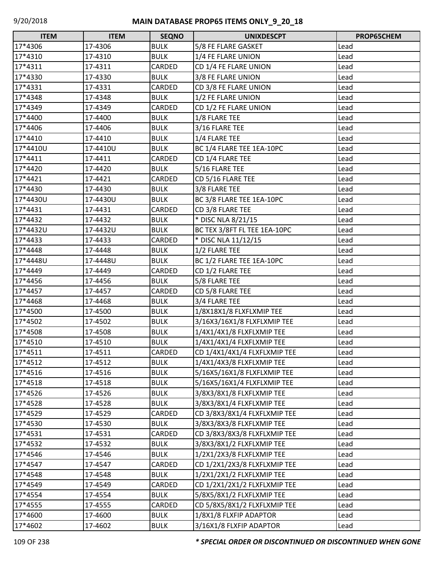| <b>ITEM</b> | <b>ITEM</b> | <b>SEQNO</b> | <b>UNIXDESCPT</b>            | PROP65CHEM |
|-------------|-------------|--------------|------------------------------|------------|
| 17*4306     | 17-4306     | <b>BULK</b>  | 5/8 FE FLARE GASKET          | Lead       |
| 17*4310     | 17-4310     | <b>BULK</b>  | 1/4 FE FLARE UNION           | Lead       |
| 17*4311     | 17-4311     | CARDED       | CD 1/4 FE FLARE UNION        | Lead       |
| 17*4330     | 17-4330     | <b>BULK</b>  | 3/8 FE FLARE UNION           | Lead       |
| 17*4331     | 17-4331     | CARDED       | CD 3/8 FE FLARE UNION        | Lead       |
| 17*4348     | 17-4348     | <b>BULK</b>  | 1/2 FE FLARE UNION           | Lead       |
| 17*4349     | 17-4349     | CARDED       | CD 1/2 FE FLARE UNION        | Lead       |
| 17*4400     | 17-4400     | <b>BULK</b>  | 1/8 FLARE TEE                | Lead       |
| 17*4406     | 17-4406     | <b>BULK</b>  | 3/16 FLARE TEE               | Lead       |
| 17*4410     | 17-4410     | <b>BULK</b>  | 1/4 FLARE TEE                | Lead       |
| 17*4410U    | 17-4410U    | <b>BULK</b>  | BC 1/4 FLARE TEE 1EA-10PC    | Lead       |
| 17*4411     | 17-4411     | CARDED       | CD 1/4 FLARE TEE             | Lead       |
| 17*4420     | 17-4420     | <b>BULK</b>  | 5/16 FLARE TEE               | Lead       |
| 17*4421     | 17-4421     | CARDED       | CD 5/16 FLARE TEE            | Lead       |
| 17*4430     | 17-4430     | <b>BULK</b>  | 3/8 FLARE TEE                | Lead       |
| 17*4430U    | 17-4430U    | <b>BULK</b>  | BC 3/8 FLARE TEE 1EA-10PC    | Lead       |
| 17*4431     | 17-4431     | CARDED       | CD 3/8 FLARE TEE             | Lead       |
| 17*4432     | 17-4432     | <b>BULK</b>  | * DISC NLA 8/21/15           | Lead       |
| 17*4432U    | 17-4432U    | <b>BULK</b>  | BC TEX 3/8FT FL TEE 1EA-10PC | Lead       |
| 17*4433     | 17-4433     | CARDED       | * DISC NLA 11/12/15          | Lead       |
| 17*4448     | 17-4448     | <b>BULK</b>  | 1/2 FLARE TEE                | Lead       |
| 17*4448U    | 17-4448U    | <b>BULK</b>  | BC 1/2 FLARE TEE 1EA-10PC    | Lead       |
| 17*4449     | 17-4449     | CARDED       | CD 1/2 FLARE TEE             | Lead       |
| 17*4456     | 17-4456     | <b>BULK</b>  | 5/8 FLARE TEE                | Lead       |
| 17*4457     | 17-4457     | CARDED       | CD 5/8 FLARE TEE             | Lead       |
| 17*4468     | 17-4468     | <b>BULK</b>  | 3/4 FLARE TEE                | Lead       |
| 17*4500     | 17-4500     | <b>BULK</b>  | 1/8X18X1/8 FLXFLXMIP TEE     | Lead       |
| 17*4502     | 17-4502     | <b>BULK</b>  | 3/16X3/16X1/8 FLXFLXMIP TEE  | Lead       |
| 17*4508     | 17-4508     | <b>BULK</b>  | 1/4X1/4X1/8 FLXFLXMIP TEE    | Lead       |
| 17*4510     | 17-4510     | <b>BULK</b>  | 1/4X1/4X1/4 FLXFLXMIP TEE    | Lead       |
| 17*4511     | 17-4511     | CARDED       | CD 1/4X1/4X1/4 FLXFLXMIP TEE | Lead       |
| 17*4512     | 17-4512     | <b>BULK</b>  | 1/4X1/4X3/8 FLXFLXMIP TEE    | Lead       |
| 17*4516     | 17-4516     | <b>BULK</b>  | 5/16X5/16X1/8 FLXFLXMIP TEE  | Lead       |
| 17*4518     | 17-4518     | <b>BULK</b>  | 5/16X5/16X1/4 FLXFLXMIP TEE  | Lead       |
| 17*4526     | 17-4526     | <b>BULK</b>  | 3/8X3/8X1/8 FLXFLXMIP TEE    | Lead       |
| 17*4528     | 17-4528     | <b>BULK</b>  | 3/8X3/8X1/4 FLXFLXMIP TEE    | Lead       |
| 17*4529     | 17-4529     | CARDED       | CD 3/8X3/8X1/4 FLXFLXMIP TEE | Lead       |
| 17*4530     | 17-4530     | <b>BULK</b>  | 3/8X3/8X3/8 FLXFLXMIP TEE    | Lead       |
| 17*4531     | 17-4531     | CARDED       | CD 3/8X3/8X3/8 FLXFLXMIP TEE | Lead       |
| 17*4532     | 17-4532     | <b>BULK</b>  | 3/8X3/8X1/2 FLXFLXMIP TEE    | Lead       |
| 17*4546     | 17-4546     | <b>BULK</b>  | 1/2X1/2X3/8 FLXFLXMIP TEE    | Lead       |
| 17*4547     | 17-4547     | CARDED       | CD 1/2X1/2X3/8 FLXFLXMIP TEE | Lead       |
| 17*4548     | 17-4548     | <b>BULK</b>  | 1/2X1/2X1/2 FLXFLXMIP TEE    | Lead       |
| 17*4549     | 17-4549     | CARDED       | CD 1/2X1/2X1/2 FLXFLXMIP TEE | Lead       |
| 17*4554     | 17-4554     | <b>BULK</b>  | 5/8X5/8X1/2 FLXFLXMIP TEE    | Lead       |
| 17*4555     | 17-4555     | CARDED       | CD 5/8X5/8X1/2 FLXFLXMIP TEE | Lead       |
| 17*4600     | 17-4600     | <b>BULK</b>  | 1/8X1/8 FLXFIP ADAPTOR       | Lead       |
| 17*4602     | 17-4602     | <b>BULK</b>  | 3/16X1/8 FLXFIP ADAPTOR      | Lead       |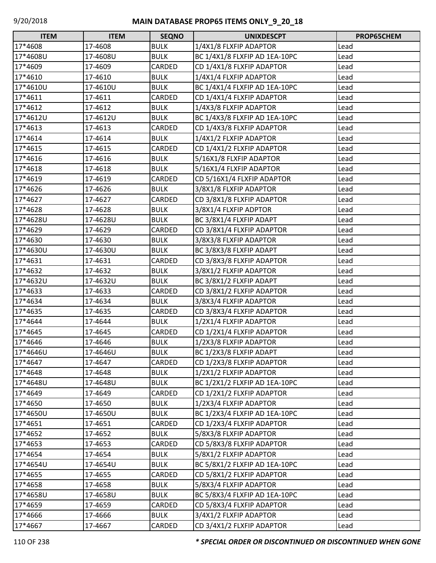| $\Box$<br><b>ITEM</b> | <b>ITEM</b> | <b>SEQNO</b> | <b>UNIXDESCPT</b>             | PROP65CHEM |
|-----------------------|-------------|--------------|-------------------------------|------------|
| 17*4608               | 17-4608     | <b>BULK</b>  | 1/4X1/8 FLXFIP ADAPTOR        | Lead       |
| 17*4608U              | 17-4608U    | <b>BULK</b>  | BC 1/4X1/8 FLXFIP AD 1EA-10PC | Lead       |
| 17*4609               | 17-4609     | CARDED       | CD 1/4X1/8 FLXFIP ADAPTOR     | Lead       |
| 17*4610               | 17-4610     | <b>BULK</b>  | 1/4X1/4 FLXFIP ADAPTOR        | Lead       |
| 17*4610U              | 17-4610U    | <b>BULK</b>  | BC 1/4X1/4 FLXFIP AD 1EA-10PC | Lead       |
| 17*4611               | 17-4611     | CARDED       | CD 1/4X1/4 FLXFIP ADAPTOR     | Lead       |
| 17*4612               | 17-4612     | <b>BULK</b>  | 1/4X3/8 FLXFIP ADAPTOR        | Lead       |
| 17*4612U              | 17-4612U    | <b>BULK</b>  | BC 1/4X3/8 FLXFIP AD 1EA-10PC | Lead       |
| 17*4613               | 17-4613     | CARDED       | CD 1/4X3/8 FLXFIP ADAPTOR     | Lead       |
| 17*4614               | 17-4614     | <b>BULK</b>  | 1/4X1/2 FLXFIP ADAPTOR        | Lead       |
| 17*4615               | 17-4615     | CARDED       | CD 1/4X1/2 FLXFIP ADAPTOR     | Lead       |
| 17*4616               | 17-4616     | <b>BULK</b>  | 5/16X1/8 FLXFIP ADAPTOR       | Lead       |
| 17*4618               | 17-4618     | <b>BULK</b>  | 5/16X1/4 FLXFIP ADAPTOR       | Lead       |
| 17*4619               | 17-4619     | CARDED       | CD 5/16X1/4 FLXFIP ADAPTOR    | Lead       |
| 17*4626               | 17-4626     | <b>BULK</b>  | 3/8X1/8 FLXFIP ADAPTOR        | Lead       |
| 17*4627               | 17-4627     | CARDED       | CD 3/8X1/8 FLXFIP ADAPTOR     | Lead       |
| 17*4628               | 17-4628     | <b>BULK</b>  | 3/8X1/4 FLXFIP ADPTOR         | Lead       |
| 17*4628U              | 17-4628U    | <b>BULK</b>  | BC 3/8X1/4 FLXFIP ADAPT       | Lead       |
| 17*4629               | 17-4629     | CARDED       | CD 3/8X1/4 FLXFIP ADAPTOR     | Lead       |
| 17*4630               | 17-4630     | <b>BULK</b>  | 3/8X3/8 FLXFIP ADAPTOR        | Lead       |
| 17*4630U              | 17-4630U    | <b>BULK</b>  | BC 3/8X3/8 FLXFIP ADAPT       | Lead       |
| 17*4631               | 17-4631     | CARDED       | CD 3/8X3/8 FLXFIP ADAPTOR     | Lead       |
| 17*4632               | 17-4632     | <b>BULK</b>  | 3/8X1/2 FLXFIP ADAPTOR        | Lead       |
| 17*4632U              | 17-4632U    | <b>BULK</b>  | BC 3/8X1/2 FLXFIP ADAPT       | Lead       |
| 17*4633               | 17-4633     | CARDED       | CD 3/8X1/2 FLXFIP ADAPTOR     | Lead       |
| 17*4634               | 17-4634     | <b>BULK</b>  | 3/8X3/4 FLXFIP ADAPTOR        | Lead       |
| 17*4635               | 17-4635     | CARDED       | CD 3/8X3/4 FLXFIP ADAPTOR     | Lead       |
| 17*4644               | 17-4644     | <b>BULK</b>  | 1/2X1/4 FLXFIP ADAPTOR        | Lead       |
| 17*4645               | 17-4645     | CARDED       | CD 1/2X1/4 FLXFIP ADAPTOR     | Lead       |
| 17*4646               | 17-4646     | <b>BULK</b>  | 1/2X3/8 FLXFIP ADAPTOR        | Lead       |
| 17*4646U              | 17-4646U    | <b>BULK</b>  | BC 1/2X3/8 FLXFIP ADAPT       | Lead       |
| 17*4647               | 17-4647     | CARDED       | CD 1/2X3/8 FLXFIP ADAPTOR     | Lead       |
| 17*4648               | 17-4648     | <b>BULK</b>  | 1/2X1/2 FLXFIP ADAPTOR        | Lead       |
| 17*4648U              | 17-4648U    | <b>BULK</b>  | BC 1/2X1/2 FLXFIP AD 1EA-10PC | Lead       |
| 17*4649               | 17-4649     | CARDED       | CD 1/2X1/2 FLXFIP ADAPTOR     | Lead       |
| 17*4650               | 17-4650     | <b>BULK</b>  | 1/2X3/4 FLXFIP ADAPTOR        | Lead       |
| 17*4650U              | 17-4650U    | <b>BULK</b>  | BC 1/2X3/4 FLXFIP AD 1EA-10PC | Lead       |
| 17*4651               | 17-4651     | CARDED       | CD 1/2X3/4 FLXFIP ADAPTOR     | Lead       |
| 17*4652               | 17-4652     | <b>BULK</b>  | 5/8X3/8 FLXFIP ADAPTOR        | Lead       |
| 17*4653               | 17-4653     | CARDED       | CD 5/8X3/8 FLXFIP ADAPTOR     | Lead       |
| 17*4654               | 17-4654     | <b>BULK</b>  | 5/8X1/2 FLXFIP ADAPTOR        | Lead       |
| 17*4654U              | 17-4654U    | <b>BULK</b>  | BC 5/8X1/2 FLXFIP AD 1EA-10PC | Lead       |
| 17*4655               | 17-4655     | CARDED       | CD 5/8X1/2 FLXFIP ADAPTOR     | Lead       |
| 17*4658               | 17-4658     | <b>BULK</b>  | 5/8X3/4 FLXFIP ADAPTOR        | Lead       |
| 17*4658U              | 17-4658U    | <b>BULK</b>  | BC 5/8X3/4 FLXFIP AD 1EA-10PC | Lead       |
| 17*4659               | 17-4659     | CARDED       | CD 5/8X3/4 FLXFIP ADAPTOR     | Lead       |
| 17*4666               | 17-4666     | <b>BULK</b>  | 3/4X1/2 FLXFIP ADAPTOR        | Lead       |
| 17*4667               | 17-4667     | CARDED       | CD 3/4X1/2 FLXFIP ADAPTOR     | Lead       |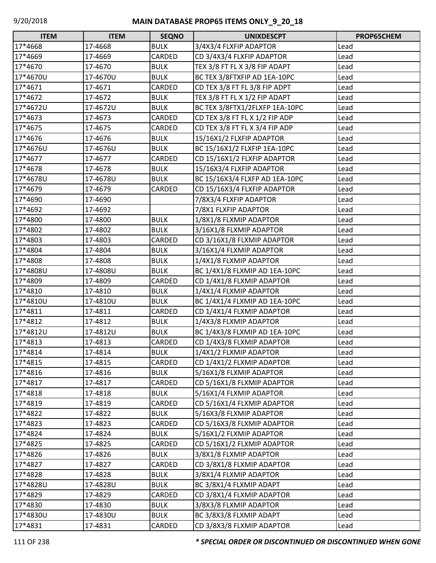| $\Box$<br><b>ITEM</b> | <b>ITEM</b> | <b>SEQNO</b> | <b>UNIXDESCPT</b>              | PROP65CHEM |
|-----------------------|-------------|--------------|--------------------------------|------------|
| 17*4668               | 17-4668     | <b>BULK</b>  | 3/4X3/4 FLXFIP ADAPTOR         | Lead       |
| 17*4669               | 17-4669     | CARDED       | CD 3/4X3/4 FLXFIP ADAPTOR      | Lead       |
| 17*4670               | 17-4670     | <b>BULK</b>  | TEX 3/8 FT FL X 3/8 FIP ADAPT  | Lead       |
| 17*4670U              | 17-4670U    | <b>BULK</b>  | BC TEX 3/8FTXFIP AD 1EA-10PC   | Lead       |
| 17*4671               | 17-4671     | CARDED       | CD TEX 3/8 FT FL 3/8 FIP ADPT  | Lead       |
| 17*4672               | 17-4672     | <b>BULK</b>  | TEX 3/8 FT FL X 1/2 FIP ADAPT  | Lead       |
| 17*4672U              | 17-4672U    | <b>BULK</b>  | BC TEX 3/8FTX1/2FLXFP 1EA-10PC | Lead       |
| 17*4673               | 17-4673     | CARDED       | CD TEX 3/8 FT FL X 1/2 FIP ADP | Lead       |
| 17*4675               | 17-4675     | CARDED       | CD TEX 3/8 FT FL X 3/4 FIP ADP | Lead       |
| 17*4676               | 17-4676     | <b>BULK</b>  | 15/16X1/2 FLXFIP ADAPTOR       | Lead       |
| 17*4676U              | 17-4676U    | <b>BULK</b>  | BC 15/16X1/2 FLXFIP 1EA-10PC   | Lead       |
| 17*4677               | 17-4677     | CARDED       | CD 15/16X1/2 FLXFIP ADAPTOR    | Lead       |
| 17*4678               | 17-4678     | <b>BULK</b>  | 15/16X3/4 FLXFIP ADAPTOR       | Lead       |
| 17*4678U              | 17-4678U    | <b>BULK</b>  | BC 15/16X3/4 FLXFP AD 1EA-10PC | Lead       |
| 17*4679               | 17-4679     | CARDED       | CD 15/16X3/4 FLXFIP ADAPTOR    | Lead       |
| 17*4690               | 17-4690     |              | 7/8X3/4 FLXFIP ADAPTOR         | Lead       |
| 17*4692               | 17-4692     |              | 7/8X1 FLXFIP ADAPTOR           | Lead       |
| 17*4800               | 17-4800     | <b>BULK</b>  | 1/8X1/8 FLXMIP ADAPTOR         | Lead       |
| 17*4802               | 17-4802     | <b>BULK</b>  | 3/16X1/8 FLXMIP ADAPTOR        | Lead       |
| 17*4803               | 17-4803     | CARDED       | CD 3/16X1/8 FLXMIP ADAPTOR     | Lead       |
| 17*4804               | 17-4804     | <b>BULK</b>  | 3/16X1/4 FLXMIP ADAPTOR        | Lead       |
| 17*4808               | 17-4808     | <b>BULK</b>  | 1/4X1/8 FLXMIP ADAPTOR         | Lead       |
| 17*4808U              | 17-4808U    | <b>BULK</b>  | BC 1/4X1/8 FLXMIP AD 1EA-10PC  | Lead       |
| 17*4809               | 17-4809     | CARDED       | CD 1/4X1/8 FLXMIP ADAPTOR      | Lead       |
| 17*4810               | 17-4810     | <b>BULK</b>  | 1/4X1/4 FLXMIP ADAPTOR         | Lead       |
| 17*4810U              | 17-4810U    | <b>BULK</b>  | BC 1/4X1/4 FLXMIP AD 1EA-10PC  | Lead       |
| 17*4811               | 17-4811     | CARDED       | CD 1/4X1/4 FLXMIP ADAPTOR      | Lead       |
| 17*4812               | 17-4812     | <b>BULK</b>  | 1/4X3/8 FLXMIP ADAPTOR         | Lead       |
| 17*4812U              | 17-4812U    | <b>BULK</b>  | BC 1/4X3/8 FLXMIP AD 1EA-10PC  | Lead       |
| 17*4813               | 17-4813     | CARDED       | CD 1/4X3/8 FLXMIP ADAPTOR      | Lead       |
| 17*4814               | 17-4814     | <b>BULK</b>  | 1/4X1/2 FLXMIP ADAPTOR         | Lead       |
| 17*4815               | 17-4815     | CARDED       | CD 1/4X1/2 FLXMIP ADAPTOR      | Lead       |
| 17*4816               | 17-4816     | <b>BULK</b>  | 5/16X1/8 FLXMIP ADAPTOR        | Lead       |
| 17*4817               | 17-4817     | CARDED       | CD 5/16X1/8 FLXMIP ADAPTOR     | Lead       |
| 17*4818               | 17-4818     | <b>BULK</b>  | 5/16X1/4 FLXMIP ADAPTOR        | Lead       |
| 17*4819               | 17-4819     | CARDED       | CD 5/16X1/4 FLXMIP ADAPTOR     | Lead       |
| 17*4822               | 17-4822     | <b>BULK</b>  | 5/16X3/8 FLXMIP ADAPTOR        | Lead       |
| 17*4823               | 17-4823     | CARDED       | CD 5/16X3/8 FLXMIP ADAPTOR     | Lead       |
| 17*4824               | 17-4824     | <b>BULK</b>  | 5/16X1/2 FLXMIP ADAPTOR        | Lead       |
| 17*4825               | 17-4825     | CARDED       | CD 5/16X1/2 FLXMIP ADAPTOR     | Lead       |
| 17*4826               | 17-4826     | <b>BULK</b>  | 3/8X1/8 FLXMIP ADAPTOR         | Lead       |
| 17*4827               | 17-4827     | CARDED       | CD 3/8X1/8 FLXMIP ADAPTOR      | Lead       |
| 17*4828               | 17-4828     | <b>BULK</b>  | 3/8X1/4 FLXMIP ADAPTOR         | Lead       |
| 17*4828U              | 17-4828U    | <b>BULK</b>  | BC 3/8X1/4 FLXMIP ADAPT        | Lead       |
| 17*4829               | 17-4829     | CARDED       | CD 3/8X1/4 FLXMIP ADAPTOR      | Lead       |
| 17*4830               | 17-4830     | <b>BULK</b>  | 3/8X3/8 FLXMIP ADAPTOR         | Lead       |
| 17*4830U              | 17-4830U    | <b>BULK</b>  | BC 3/8X3/8 FLXMIP ADAPT        | Lead       |
| 17*4831               | 17-4831     | CARDED       | CD 3/8X3/8 FLXMIP ADAPTOR      | Lead       |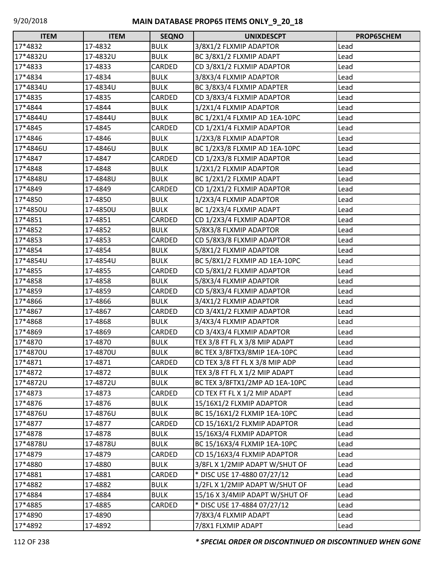| $\Box$<br><b>ITEM</b> | <b>ITEM</b> | <b>SEQNO</b> | <b>UNIXDESCPT</b>              | PROP65CHEM |
|-----------------------|-------------|--------------|--------------------------------|------------|
| 17*4832               | 17-4832     | <b>BULK</b>  | 3/8X1/2 FLXMIP ADAPTOR         | Lead       |
| 17*4832U              | 17-4832U    | <b>BULK</b>  | BC 3/8X1/2 FLXMIP ADAPT        | Lead       |
| 17*4833               | 17-4833     | CARDED       | CD 3/8X1/2 FLXMIP ADAPTOR      | Lead       |
| 17*4834               | 17-4834     | <b>BULK</b>  | 3/8X3/4 FLXMIP ADAPTOR         | Lead       |
| 17*4834U              | 17-4834U    | <b>BULK</b>  | BC 3/8X3/4 FLXMIP ADAPTER      | Lead       |
| 17*4835               | 17-4835     | CARDED       | CD 3/8X3/4 FLXMIP ADAPTOR      | Lead       |
| 17*4844               | 17-4844     | <b>BULK</b>  | 1/2X1/4 FLXMIP ADAPTOR         | Lead       |
| 17*4844U              | 17-4844U    | <b>BULK</b>  | BC 1/2X1/4 FLXMIP AD 1EA-10PC  | Lead       |
| 17*4845               | 17-4845     | CARDED       | CD 1/2X1/4 FLXMIP ADAPTOR      | Lead       |
| 17*4846               | 17-4846     | <b>BULK</b>  | 1/2X3/8 FLXMIP ADAPTOR         | Lead       |
| 17*4846U              | 17-4846U    | <b>BULK</b>  | BC 1/2X3/8 FLXMIP AD 1EA-10PC  | Lead       |
| 17*4847               | 17-4847     | CARDED       | CD 1/2X3/8 FLXMIP ADAPTOR      | Lead       |
| 17*4848               | 17-4848     | <b>BULK</b>  | 1/2X1/2 FLXMIP ADAPTOR         | Lead       |
| 17*4848U              | 17-4848U    | <b>BULK</b>  | BC 1/2X1/2 FLXMIP ADAPT        | Lead       |
| 17*4849               | 17-4849     | CARDED       | CD 1/2X1/2 FLXMIP ADAPTOR      | Lead       |
| 17*4850               | 17-4850     | <b>BULK</b>  | 1/2X3/4 FLXMIP ADAPTOR         | Lead       |
| 17*4850U              | 17-4850U    | <b>BULK</b>  | BC 1/2X3/4 FLXMIP ADAPT        | Lead       |
| 17*4851               | 17-4851     | CARDED       | CD 1/2X3/4 FLXMIP ADAPTOR      | Lead       |
| 17*4852               | 17-4852     | <b>BULK</b>  | 5/8X3/8 FLXMIP ADAPTOR         | Lead       |
| 17*4853               | 17-4853     | CARDED       | CD 5/8X3/8 FLXMIP ADAPTOR      | Lead       |
| 17*4854               | 17-4854     | <b>BULK</b>  | 5/8X1/2 FLXMIP ADAPTOR         | Lead       |
| 17*4854U              | 17-4854U    | <b>BULK</b>  | BC 5/8X1/2 FLXMIP AD 1EA-10PC  | Lead       |
| 17*4855               | 17-4855     | CARDED       | CD 5/8X1/2 FLXMIP ADAPTOR      | Lead       |
| 17*4858               | 17-4858     | <b>BULK</b>  | 5/8X3/4 FLXMIP ADAPTOR         | Lead       |
| 17*4859               | 17-4859     | CARDED       | CD 5/8X3/4 FLXMIP ADAPTOR      | Lead       |
| 17*4866               | 17-4866     | <b>BULK</b>  | 3/4X1/2 FLXMIP ADAPTOR         | Lead       |
| 17*4867               | 17-4867     | CARDED       | CD 3/4X1/2 FLXMIP ADAPTOR      | Lead       |
| 17*4868               | 17-4868     | <b>BULK</b>  | 3/4X3/4 FLXMIP ADAPTOR         | Lead       |
| 17*4869               | 17-4869     | CARDED       | CD 3/4X3/4 FLXMIP ADAPTOR      | Lead       |
| 17*4870               | 17-4870     | <b>BULK</b>  | TEX 3/8 FT FL X 3/8 MIP ADAPT  | Lead       |
| 17*4870U              | 17-4870U    | <b>BULK</b>  | BC TEX 3/8FTX3/8MIP 1EA-10PC   | Lead       |
| 17*4871               | 17-4871     | CARDED       | CD TEX 3/8 FT FL X 3/8 MIP ADP | Lead       |
| 17*4872               | 17-4872     | <b>BULK</b>  | TEX 3/8 FT FL X 1/2 MIP ADAPT  | Lead       |
| 17*4872U              | 17-4872U    | <b>BULK</b>  | BC TEX 3/8FTX1/2MP AD 1EA-10PC | Lead       |
| 17*4873               | 17-4873     | CARDED       | CD TEX FT FL X 1/2 MIP ADAPT   | Lead       |
| 17*4876               | 17-4876     | <b>BULK</b>  | 15/16X1/2 FLXMIP ADAPTOR       | Lead       |
| 17*4876U              | 17-4876U    | <b>BULK</b>  | BC 15/16X1/2 FLXMIP 1EA-10PC   | Lead       |
| 17*4877               | 17-4877     | CARDED       | CD 15/16X1/2 FLXMIP ADAPTOR    | Lead       |
| 17*4878               | 17-4878     | <b>BULK</b>  | 15/16X3/4 FLXMIP ADAPTOR       | Lead       |
| 17*4878U              | 17-4878U    | <b>BULK</b>  | BC 15/16X3/4 FLXMIP 1EA-10PC   | Lead       |
| 17*4879               | 17-4879     | CARDED       | CD 15/16X3/4 FLXMIP ADAPTOR    | Lead       |
| 17*4880               | 17-4880     | <b>BULK</b>  | 3/8FL X 1/2MIP ADAPT W/SHUT OF | Lead       |
| 17*4881               | 17-4881     | CARDED       | * DISC USE 17-4880 07/27/12    | Lead       |
| 17*4882               | 17-4882     | <b>BULK</b>  | 1/2FL X 1/2MIP ADAPT W/SHUT OF | Lead       |
| 17*4884               | 17-4884     | <b>BULK</b>  | 15/16 X 3/4MIP ADAPT W/SHUT OF | Lead       |
| 17*4885               | 17-4885     | CARDED       | * DISC USE 17-4884 07/27/12    | Lead       |
| 17*4890               | 17-4890     |              | 7/8X3/4 FLXMIP ADAPT           | Lead       |
| 17*4892               | 17-4892     |              | 7/8X1 FLXMIP ADAPT             | Lead       |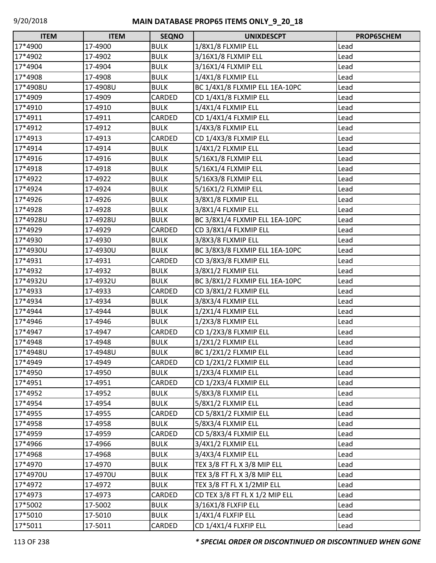| Г<br><b>ITEM</b> | <b>ITEM</b> | <b>SEQNO</b> | <b>UNIXDESCPT</b>              | PROP65CHEM |
|------------------|-------------|--------------|--------------------------------|------------|
| 17*4900          | 17-4900     | <b>BULK</b>  | 1/8X1/8 FLXMIP ELL             | Lead       |
| 17*4902          | 17-4902     | <b>BULK</b>  | 3/16X1/8 FLXMIP ELL            | Lead       |
| 17*4904          | 17-4904     | <b>BULK</b>  | 3/16X1/4 FLXMIP ELL            | Lead       |
| 17*4908          | 17-4908     | <b>BULK</b>  | 1/4X1/8 FLXMIP ELL             | Lead       |
| 17*4908U         | 17-4908U    | <b>BULK</b>  | BC 1/4X1/8 FLXMIP ELL 1EA-10PC | Lead       |
| 17*4909          | 17-4909     | CARDED       | CD 1/4X1/8 FLXMIP ELL          | Lead       |
| 17*4910          | 17-4910     | <b>BULK</b>  | 1/4X1/4 FLXMIP ELL             | Lead       |
| 17*4911          | 17-4911     | CARDED       | CD 1/4X1/4 FLXMIP ELL          | Lead       |
| 17*4912          | 17-4912     | <b>BULK</b>  | 1/4X3/8 FLXMIP ELL             | Lead       |
| 17*4913          | 17-4913     | CARDED       | CD 1/4X3/8 FLXMIP ELL          | Lead       |
| 17*4914          | 17-4914     | <b>BULK</b>  | 1/4X1/2 FLXMIP ELL             | Lead       |
| 17*4916          | 17-4916     | <b>BULK</b>  | 5/16X1/8 FLXMIP ELL            | Lead       |
| 17*4918          | 17-4918     | <b>BULK</b>  | 5/16X1/4 FLXMIP ELL            | Lead       |
| 17*4922          | 17-4922     | <b>BULK</b>  | 5/16X3/8 FLXMIP ELL            | Lead       |
| 17*4924          | 17-4924     | <b>BULK</b>  | 5/16X1/2 FLXMIP ELL            | Lead       |
| 17*4926          | 17-4926     | <b>BULK</b>  | 3/8X1/8 FLXMIP ELL             | Lead       |
| 17*4928          | 17-4928     | <b>BULK</b>  | 3/8X1/4 FLXMIP ELL             | Lead       |
| 17*4928U         | 17-4928U    | <b>BULK</b>  | BC 3/8X1/4 FLXMIP ELL 1EA-10PC | Lead       |
| 17*4929          | 17-4929     | CARDED       | CD 3/8X1/4 FLXMIP ELL          | Lead       |
| 17*4930          | 17-4930     | <b>BULK</b>  | 3/8X3/8 FLXMIP ELL             | Lead       |
| 17*4930U         | 17-4930U    | <b>BULK</b>  | BC 3/8X3/8 FLXMIP ELL 1EA-10PC | Lead       |
| 17*4931          | 17-4931     | CARDED       | CD 3/8X3/8 FLXMIP ELL          | Lead       |
| 17*4932          | 17-4932     | <b>BULK</b>  | 3/8X1/2 FLXMIP ELL             | Lead       |
| 17*4932U         | 17-4932U    | <b>BULK</b>  | BC 3/8X1/2 FLXMIP ELL 1EA-10PC | Lead       |
| 17*4933          | 17-4933     | CARDED       | CD 3/8X1/2 FLXMIP ELL          | Lead       |
| 17*4934          | 17-4934     | <b>BULK</b>  | 3/8X3/4 FLXMIP ELL             | Lead       |
| 17*4944          | 17-4944     | <b>BULK</b>  | 1/2X1/4 FLXMIP ELL             | Lead       |
| 17*4946          | 17-4946     | <b>BULK</b>  | 1/2X3/8 FLXMIP ELL             | Lead       |
| 17*4947          | 17-4947     | CARDED       | CD 1/2X3/8 FLXMIP ELL          | Lead       |
| 17*4948          | 17-4948     | <b>BULK</b>  | 1/2X1/2 FLXMIP ELL             | Lead       |
| 17*4948U         | 17-4948U    | <b>BULK</b>  | BC 1/2X1/2 FLXMIP ELL          | Lead       |
| 17*4949          | 17-4949     | CARDED       | CD 1/2X1/2 FLXMIP ELL          | Lead       |
| 17*4950          | 17-4950     | <b>BULK</b>  | 1/2X3/4 FLXMIP ELL             | Lead       |
| 17*4951          | 17-4951     | CARDED       | CD 1/2X3/4 FLXMIP ELL          | Lead       |
| 17*4952          | 17-4952     | <b>BULK</b>  | 5/8X3/8 FLXMIP ELL             | Lead       |
| 17*4954          | 17-4954     | <b>BULK</b>  | 5/8X1/2 FLXMIP ELL             | Lead       |
| 17*4955          | 17-4955     | CARDED       | CD 5/8X1/2 FLXMIP ELL          | Lead       |
| 17*4958          | 17-4958     | <b>BULK</b>  | 5/8X3/4 FLXMIP ELL             | Lead       |
| 17*4959          | 17-4959     | CARDED       | CD 5/8X3/4 FLXMIP ELL          | Lead       |
| 17*4966          | 17-4966     | <b>BULK</b>  | 3/4X1/2 FLXMIP ELL             | Lead       |
| 17*4968          | 17-4968     | <b>BULK</b>  | 3/4X3/4 FLXMIP ELL             | Lead       |
| 17*4970          | 17-4970     | <b>BULK</b>  | TEX 3/8 FT FL X 3/8 MIP ELL    | Lead       |
| 17*4970U         | 17-4970U    | <b>BULK</b>  | TEX 3/8 FT FL X 3/8 MIP ELL    | Lead       |
| 17*4972          | 17-4972     | <b>BULK</b>  | TEX 3/8 FT FL X 1/2MIP ELL     | Lead       |
| 17*4973          | 17-4973     | CARDED       | CD TEX 3/8 FT FL X 1/2 MIP ELL | Lead       |
| 17*5002          | 17-5002     | <b>BULK</b>  | 3/16X1/8 FLXFIP ELL            | Lead       |
| 17*5010          | 17-5010     | <b>BULK</b>  | 1/4X1/4 FLXFIP ELL             | Lead       |
| 17*5011          | 17-5011     | CARDED       | CD 1/4X1/4 FLXFIP ELL          | Lead       |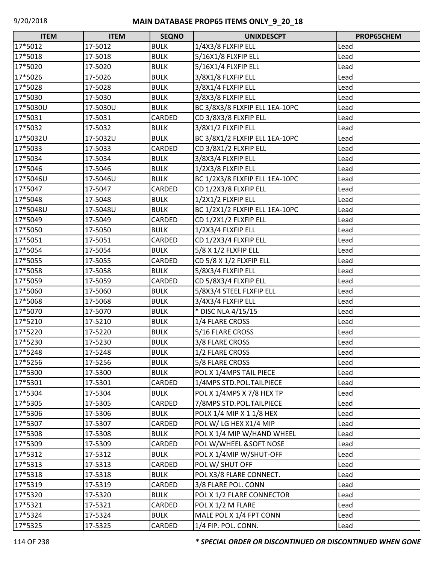| $\Box$<br><b>ITEM</b> | <b>ITEM</b> | <b>SEQNO</b> | <b>UNIXDESCPT</b>              | PROP65CHEM |
|-----------------------|-------------|--------------|--------------------------------|------------|
| 17*5012               | 17-5012     | <b>BULK</b>  | 1/4X3/8 FLXFIP ELL             | Lead       |
| 17*5018               | 17-5018     | <b>BULK</b>  | 5/16X1/8 FLXFIP ELL            | Lead       |
| 17*5020               | 17-5020     | <b>BULK</b>  | 5/16X1/4 FLXFIP ELL            | Lead       |
| 17*5026               | 17-5026     | <b>BULK</b>  | 3/8X1/8 FLXFIP ELL             | Lead       |
| 17*5028               | 17-5028     | <b>BULK</b>  | 3/8X1/4 FLXFIP ELL             | Lead       |
| 17*5030               | 17-5030     | <b>BULK</b>  | 3/8X3/8 FLXFIP ELL             | Lead       |
| 17*5030U              | 17-5030U    | <b>BULK</b>  | BC 3/8X3/8 FLXFIP ELL 1EA-10PC | Lead       |
| 17*5031               | 17-5031     | CARDED       | CD 3/8X3/8 FLXFIP ELL          | Lead       |
| 17*5032               | 17-5032     | <b>BULK</b>  | 3/8X1/2 FLXFIP ELL             | Lead       |
| 17*5032U              | 17-5032U    | <b>BULK</b>  | BC 3/8X1/2 FLXFIP ELL 1EA-10PC | Lead       |
| 17*5033               | 17-5033     | CARDED       | CD 3/8X1/2 FLXFIP ELL          | Lead       |
| 17*5034               | 17-5034     | <b>BULK</b>  | 3/8X3/4 FLXFIP ELL             | Lead       |
| 17*5046               | 17-5046     | <b>BULK</b>  | 1/2X3/8 FLXFIP ELL             | Lead       |
| 17*5046U              | 17-5046U    | <b>BULK</b>  | BC 1/2X3/8 FLXFIP ELL 1EA-10PC | Lead       |
| 17*5047               | 17-5047     | CARDED       | CD 1/2X3/8 FLXFIP ELL          | Lead       |
| 17*5048               | 17-5048     | <b>BULK</b>  | 1/2X1/2 FLXFIP ELL             | Lead       |
| 17*5048U              | 17-5048U    | <b>BULK</b>  | BC 1/2X1/2 FLXFIP ELL 1EA-10PC | Lead       |
| 17*5049               | 17-5049     | CARDED       | CD 1/2X1/2 FLXFIP ELL          | Lead       |
| 17*5050               | 17-5050     | <b>BULK</b>  | 1/2X3/4 FLXFIP ELL             | Lead       |
| 17*5051               | 17-5051     | CARDED       | CD 1/2X3/4 FLXFIP ELL          | Lead       |
| 17*5054               | 17-5054     | <b>BULK</b>  | 5/8 X 1/2 FLXFIP ELL           | Lead       |
| 17*5055               | 17-5055     | CARDED       | CD 5/8 X 1/2 FLXFIP ELL        | Lead       |
| 17*5058               | 17-5058     | <b>BULK</b>  | 5/8X3/4 FLXFIP ELL             | Lead       |
| 17*5059               | 17-5059     | CARDED       | CD 5/8X3/4 FLXFIP ELL          | Lead       |
| 17*5060               | 17-5060     | <b>BULK</b>  | 5/8X3/4 STEEL FLXFIP ELL       | Lead       |
| 17*5068               | 17-5068     | <b>BULK</b>  | 3/4X3/4 FLXFIP ELL             | Lead       |
| 17*5070               | 17-5070     | <b>BULK</b>  | * DISC NLA 4/15/15             | Lead       |
| 17*5210               | 17-5210     | <b>BULK</b>  | 1/4 FLARE CROSS                | Lead       |
| 17*5220               | 17-5220     | <b>BULK</b>  | 5/16 FLARE CROSS               | Lead       |
| 17*5230               | 17-5230     | <b>BULK</b>  | 3/8 FLARE CROSS                | Lead       |
| 17*5248               | 17-5248     | <b>BULK</b>  | 1/2 FLARE CROSS                | Lead       |
| 17*5256               | 17-5256     | <b>BULK</b>  | 5/8 FLARE CROSS                | Lead       |
| 17*5300               | 17-5300     | <b>BULK</b>  | POL X 1/4MPS TAIL PIECE        | Lead       |
| 17*5301               | 17-5301     | CARDED       | 1/4MPS STD.POL.TAILPIECE       | Lead       |
| 17*5304               | 17-5304     | <b>BULK</b>  | POL X 1/4MPS X 7/8 HEX TP      | Lead       |
| 17*5305               | 17-5305     | CARDED       | 7/8MPS STD.POL.TAILPIECE       | Lead       |
| 17*5306               | 17-5306     | <b>BULK</b>  | POLX 1/4 MIP X 1 1/8 HEX       | Lead       |
| 17*5307               | 17-5307     | CARDED       | POL W/ LG HEX X1/4 MIP         | Lead       |
| 17*5308               | 17-5308     | <b>BULK</b>  | POL X 1/4 MIP W/HAND WHEEL     | Lead       |
| 17*5309               | 17-5309     | CARDED       | POL W/WHEEL &SOFT NOSE         | Lead       |
| 17*5312               | 17-5312     | <b>BULK</b>  | POL X 1/4MIP W/SHUT-OFF        | Lead       |
| 17*5313               | 17-5313     | CARDED       | POL W/ SHUT OFF                | Lead       |
| 17*5318               | 17-5318     | <b>BULK</b>  | POL X3/8 FLARE CONNECT.        | Lead       |
| 17*5319               | 17-5319     | CARDED       | 3/8 FLARE POL. CONN            | Lead       |
| 17*5320               | 17-5320     | <b>BULK</b>  | POL X 1/2 FLARE CONNECTOR      | Lead       |
| 17*5321               | 17-5321     | CARDED       | POL X 1/2 M FLARE              | Lead       |
| 17*5324               | 17-5324     | <b>BULK</b>  | MALE POL X 1/4 FPT CONN        | Lead       |
| 17*5325               | 17-5325     | CARDED       | 1/4 FIP. POL. CONN.            | Lead       |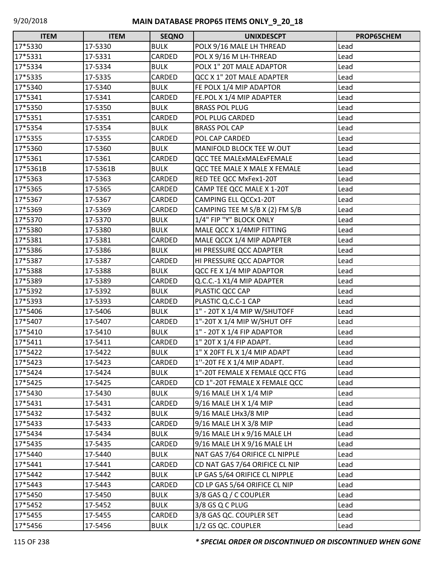| <b>ITEM</b> | <b>ITEM</b> | <b>SEQNO</b> | <b>UNIXDESCPT</b>              | PROP65CHEM |
|-------------|-------------|--------------|--------------------------------|------------|
| 17*5330     | 17-5330     | <b>BULK</b>  | POLX 9/16 MALE LH THREAD       | Lead       |
| 17*5331     | 17-5331     | CARDED       | POL X 9/16 M LH-THREAD         | Lead       |
| 17*5334     | 17-5334     | <b>BULK</b>  | POLX 1" 20T MALE ADAPTOR       | Lead       |
| 17*5335     | 17-5335     | CARDED       | QCC X 1" 20T MALE ADAPTER      | Lead       |
| 17*5340     | 17-5340     | <b>BULK</b>  | FE POLX 1/4 MIP ADAPTOR        | Lead       |
| 17*5341     | 17-5341     | CARDED       | FE.POL X 1/4 MIP ADAPTER       | Lead       |
| 17*5350     | 17-5350     | <b>BULK</b>  | <b>BRASS POL PLUG</b>          | Lead       |
| 17*5351     | 17-5351     | CARDED       | <b>POL PLUG CARDED</b>         | Lead       |
| 17*5354     | 17-5354     | <b>BULK</b>  | <b>BRASS POL CAP</b>           | Lead       |
| 17*5355     | 17-5355     | CARDED       | POL CAP CARDED                 | Lead       |
| 17*5360     | 17-5360     | <b>BULK</b>  | MANIFOLD BLOCK TEE W.OUT       | Lead       |
| 17*5361     | 17-5361     | CARDED       | QCC TEE MALExMALExFEMALE       | Lead       |
| 17*5361B    | 17-5361B    | <b>BULK</b>  | QCC TEE MALE X MALE X FEMALE   | Lead       |
| 17*5363     | 17-5363     | CARDED       | RED TEE QCC MxFex1-20T         | Lead       |
| 17*5365     | 17-5365     | CARDED       | CAMP TEE QCC MALE X 1-20T      | Lead       |
| 17*5367     | 17-5367     | CARDED       | CAMPING ELL QCCx1-20T          | Lead       |
| 17*5369     | 17-5369     | CARDED       | CAMPING TEE M S/B X (2) FM S/B | Lead       |
| 17*5370     | 17-5370     | <b>BULK</b>  | 1/4" FIP "Y" BLOCK ONLY        | Lead       |
| 17*5380     | 17-5380     | <b>BULK</b>  | MALE QCC X 1/4MIP FITTING      | Lead       |
| 17*5381     | 17-5381     | CARDED       | MALE QCCX 1/4 MIP ADAPTER      | Lead       |
| 17*5386     | 17-5386     | <b>BULK</b>  | HI PRESSURE QCC ADAPTER        | Lead       |
| 17*5387     | 17-5387     | CARDED       | HI PRESSURE QCC ADAPTOR        | Lead       |
| 17*5388     | 17-5388     | <b>BULK</b>  | QCC FE X 1/4 MIP ADAPTOR       | Lead       |
| 17*5389     | 17-5389     | CARDED       | Q.C.C.-1 X1/4 MIP ADAPTER      | Lead       |
| 17*5392     | 17-5392     | <b>BULK</b>  | PLASTIC QCC CAP                | Lead       |
| 17*5393     | 17-5393     | CARDED       | PLASTIC Q.C.C-1 CAP            | Lead       |
| 17*5406     | 17-5406     | <b>BULK</b>  | 1" - 20T X 1/4 MIP W/SHUTOFF   | Lead       |
| 17*5407     | 17-5407     | CARDED       | 1"-20T X 1/4 MIP W/SHUT OFF    | Lead       |
| 17*5410     | 17-5410     | <b>BULK</b>  | 1" - 20T X 1/4 FIP ADAPTOR     | Lead       |
| 17*5411     | 17-5411     | CARDED       | 1" 20T X 1/4 FIP ADAPT.        | Lead       |
| 17*5422     | 17-5422     | <b>BULK</b>  | 1" X 20FT FL X 1/4 MIP ADAPT   | Lead       |
| 17*5423     | 17-5423     | CARDED       | 1"-20T FE X 1/4 MIP ADAPT.     | Lead       |
| 17*5424     | 17-5424     | <b>BULK</b>  | 1"-20T FEMALE X FEMALE QCC FTG | Lead       |
| 17*5425     | 17-5425     | CARDED       | CD 1"-20T FEMALE X FEMALE QCC  | Lead       |
| 17*5430     | 17-5430     | <b>BULK</b>  | 9/16 MALE LH X 1/4 MIP         | Lead       |
| 17*5431     | 17-5431     | CARDED       | 9/16 MALE LH X 1/4 MIP         | Lead       |
| 17*5432     | 17-5432     | <b>BULK</b>  | 9/16 MALE LHx3/8 MIP           | Lead       |
| 17*5433     | 17-5433     | CARDED       | 9/16 MALE LH X 3/8 MIP         | Lead       |
| 17*5434     | 17-5434     | <b>BULK</b>  | 9/16 MALE LH x 9/16 MALE LH    | Lead       |
| 17*5435     | 17-5435     | CARDED       | 9/16 MALE LH X 9/16 MALE LH    | Lead       |
| 17*5440     | 17-5440     | <b>BULK</b>  | NAT GAS 7/64 ORIFICE CL NIPPLE | Lead       |
| 17*5441     | 17-5441     | CARDED       | CD NAT GAS 7/64 ORIFICE CL NIP | Lead       |
| 17*5442     | 17-5442     | <b>BULK</b>  | LP GAS 5/64 ORIFICE CL NIPPLE  | Lead       |
| 17*5443     | 17-5443     | CARDED       | CD LP GAS 5/64 ORIFICE CL NIP  | Lead       |
| 17*5450     | 17-5450     | <b>BULK</b>  | 3/8 GAS Q / C COUPLER          | Lead       |
| 17*5452     | 17-5452     | <b>BULK</b>  | 3/8 GS Q C PLUG                | Lead       |
| 17*5455     | 17-5455     | CARDED       | 3/8 GAS QC. COUPLER SET        | Lead       |
| 17*5456     | 17-5456     | <b>BULK</b>  | 1/2 GS QC. COUPLER             | Lead       |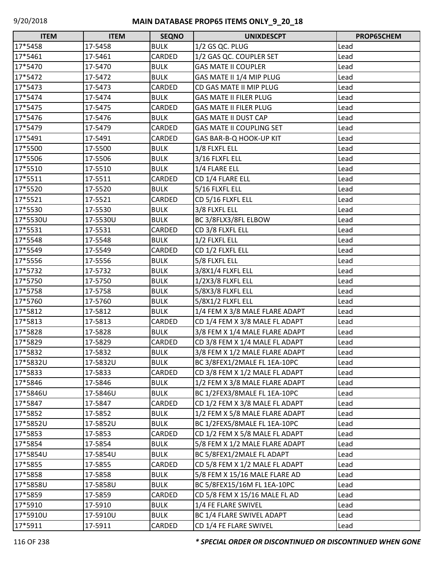| <b>ITEM</b> | <b>ITEM</b> | <b>SEQNO</b> | <b>UNIXDESCPT</b>               | PROP65CHEM |
|-------------|-------------|--------------|---------------------------------|------------|
| 17*5458     | 17-5458     | <b>BULK</b>  | 1/2 GS QC. PLUG                 | Lead       |
| 17*5461     | 17-5461     | CARDED       | 1/2 GAS QC. COUPLER SET         | Lead       |
| 17*5470     | 17-5470     | <b>BULK</b>  | <b>GAS MATE II COUPLER</b>      | Lead       |
| 17*5472     | 17-5472     | <b>BULK</b>  | GAS MATE II 1/4 MIP PLUG        | Lead       |
| 17*5473     | 17-5473     | CARDED       | CD GAS MATE II MIP PLUG         | Lead       |
| 17*5474     | 17-5474     | <b>BULK</b>  | <b>GAS MATE II FILER PLUG</b>   | Lead       |
| 17*5475     | 17-5475     | CARDED       | <b>GAS MATE II FILER PLUG</b>   | Lead       |
| 17*5476     | 17-5476     | <b>BULK</b>  | <b>GAS MATE II DUST CAP</b>     | Lead       |
| 17*5479     | 17-5479     | CARDED       | <b>GAS MATE II COUPLING SET</b> | Lead       |
| 17*5491     | 17-5491     | CARDED       | GAS BAR-B-Q HOOK-UP KIT         | Lead       |
| 17*5500     | 17-5500     | <b>BULK</b>  | 1/8 FLXFL ELL                   | Lead       |
| 17*5506     | 17-5506     | <b>BULK</b>  | 3/16 FLXFL ELL                  | Lead       |
| 17*5510     | 17-5510     | <b>BULK</b>  | 1/4 FLARE ELL                   | Lead       |
| 17*5511     | 17-5511     | CARDED       | CD 1/4 FLARE ELL                | Lead       |
| 17*5520     | 17-5520     | <b>BULK</b>  | 5/16 FLXFL ELL                  | Lead       |
| 17*5521     | 17-5521     | CARDED       | CD 5/16 FLXFL ELL               | Lead       |
| 17*5530     | 17-5530     | <b>BULK</b>  | 3/8 FLXFL ELL                   | Lead       |
| 17*5530U    | 17-5530U    | <b>BULK</b>  | BC 3/8FLX3/8FL ELBOW            | Lead       |
| 17*5531     | 17-5531     | CARDED       | CD 3/8 FLXFL ELL                | Lead       |
| 17*5548     | 17-5548     | <b>BULK</b>  | 1/2 FLXFL ELL                   | Lead       |
| 17*5549     | 17-5549     | CARDED       | CD 1/2 FLXFL ELL                | Lead       |
| 17*5556     | 17-5556     | <b>BULK</b>  | 5/8 FLXFL ELL                   | Lead       |
| 17*5732     | 17-5732     | <b>BULK</b>  | 3/8X1/4 FLXFL ELL               | Lead       |
| 17*5750     | 17-5750     | <b>BULK</b>  | 1/2X3/8 FLXFL ELL               | Lead       |
| 17*5758     | 17-5758     | <b>BULK</b>  | 5/8X3/8 FLXFL ELL               | Lead       |
| 17*5760     | 17-5760     | <b>BULK</b>  | 5/8X1/2 FLXFL ELL               | Lead       |
| 17*5812     | 17-5812     | <b>BULK</b>  | 1/4 FEM X 3/8 MALE FLARE ADAPT  | Lead       |
| 17*5813     | 17-5813     | CARDED       | CD 1/4 FEM X 3/8 MALE FL ADAPT  | Lead       |
| 17*5828     | 17-5828     | <b>BULK</b>  | 3/8 FEM X 1/4 MALE FLARE ADAPT  | Lead       |
| 17*5829     | 17-5829     | CARDED       | CD 3/8 FEM X 1/4 MALE FL ADAPT  | Lead       |
| 17*5832     | 17-5832     | <b>BULK</b>  | 3/8 FEM X 1/2 MALE FLARE ADAPT  | Lead       |
| 17*5832U    | 17-5832U    | <b>BULK</b>  | BC 3/8FEX1/2MALE FL 1EA-10PC    | Lead       |
| 17*5833     | 17-5833     | CARDED       | CD 3/8 FEM X 1/2 MALE FL ADAPT  | Lead       |
| 17*5846     | 17-5846     | <b>BULK</b>  | 1/2 FEM X 3/8 MALE FLARE ADAPT  | Lead       |
| 17*5846U    | 17-5846U    | <b>BULK</b>  | BC 1/2FEX3/8MALE FL 1EA-10PC    | Lead       |
| 17*5847     | 17-5847     | CARDED       | CD 1/2 FEM X 3/8 MALE FL ADAPT  | Lead       |
| 17*5852     | 17-5852     | <b>BULK</b>  | 1/2 FEM X 5/8 MALE FLARE ADAPT  | Lead       |
| 17*5852U    | 17-5852U    | <b>BULK</b>  | BC 1/2FEX5/8MALE FL 1EA-10PC    | Lead       |
| 17*5853     | 17-5853     | CARDED       | CD 1/2 FEM X 5/8 MALE FL ADAPT  | Lead       |
| 17*5854     | 17-5854     | <b>BULK</b>  | 5/8 FEM X 1/2 MALE FLARE ADAPT  | Lead       |
| 17*5854U    | 17-5854U    | <b>BULK</b>  | BC 5/8FEX1/2MALE FL ADAPT       | Lead       |
| 17*5855     | 17-5855     | CARDED       | CD 5/8 FEM X 1/2 MALE FL ADAPT  | Lead       |
| 17*5858     | 17-5858     | <b>BULK</b>  | 5/8 FEM X 15/16 MALE FLARE AD   | Lead       |
| 17*5858U    | 17-5858U    | <b>BULK</b>  | BC 5/8FEX15/16M FL 1EA-10PC     | Lead       |
| 17*5859     | 17-5859     | CARDED       | CD 5/8 FEM X 15/16 MALE FL AD   | Lead       |
| 17*5910     | 17-5910     | <b>BULK</b>  | 1/4 FE FLARE SWIVEL             | Lead       |
| 17*5910U    | 17-5910U    | <b>BULK</b>  | BC 1/4 FLARE SWIVEL ADAPT       | Lead       |
| 17*5911     | 17-5911     | CARDED       | CD 1/4 FE FLARE SWIVEL          | Lead       |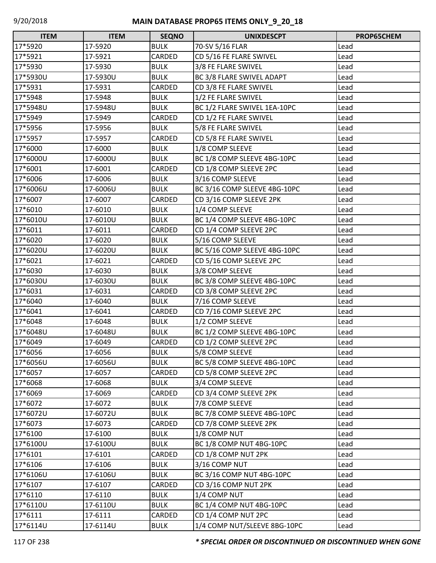| <b>ITEM</b> | <b>ITEM</b> | <b>SEQNO</b> | <b>UNIXDESCPT</b>            | PROP65CHEM |
|-------------|-------------|--------------|------------------------------|------------|
| 17*5920     | 17-5920     | <b>BULK</b>  | 70-SV 5/16 FLAR              | Lead       |
| 17*5921     | 17-5921     | CARDED       | CD 5/16 FE FLARE SWIVEL      | Lead       |
| 17*5930     | 17-5930     | <b>BULK</b>  | 3/8 FE FLARE SWIVEL          | Lead       |
| 17*5930U    | 17-5930U    | <b>BULK</b>  | BC 3/8 FLARE SWIVEL ADAPT    | Lead       |
| 17*5931     | 17-5931     | CARDED       | CD 3/8 FE FLARE SWIVEL       | Lead       |
| 17*5948     | 17-5948     | <b>BULK</b>  | 1/2 FE FLARE SWIVEL          | Lead       |
| 17*5948U    | 17-5948U    | <b>BULK</b>  | BC 1/2 FLARE SWIVEL 1EA-10PC | Lead       |
| 17*5949     | 17-5949     | CARDED       | CD 1/2 FE FLARE SWIVEL       | Lead       |
| 17*5956     | 17-5956     | <b>BULK</b>  | 5/8 FE FLARE SWIVEL          | Lead       |
| 17*5957     | 17-5957     | CARDED       | CD 5/8 FE FLARE SWIVEL       | Lead       |
| 17*6000     | 17-6000     | <b>BULK</b>  | 1/8 COMP SLEEVE              | Lead       |
| 17*6000U    | 17-6000U    | <b>BULK</b>  | BC 1/8 COMP SLEEVE 4BG-10PC  | Lead       |
| 17*6001     | 17-6001     | CARDED       | CD 1/8 COMP SLEEVE 2PC       | Lead       |
| 17*6006     | 17-6006     | <b>BULK</b>  | 3/16 COMP SLEEVE             | Lead       |
| 17*6006U    | 17-6006U    | <b>BULK</b>  | BC 3/16 COMP SLEEVE 4BG-10PC | Lead       |
| 17*6007     | 17-6007     | CARDED       | CD 3/16 COMP SLEEVE 2PK      | Lead       |
| 17*6010     | 17-6010     | <b>BULK</b>  | 1/4 COMP SLEEVE              | Lead       |
| 17*6010U    | 17-6010U    | <b>BULK</b>  | BC 1/4 COMP SLEEVE 4BG-10PC  | Lead       |
| 17*6011     | 17-6011     | CARDED       | CD 1/4 COMP SLEEVE 2PC       | Lead       |
| 17*6020     | 17-6020     | <b>BULK</b>  | 5/16 COMP SLEEVE             | Lead       |
| 17*6020U    | 17-6020U    | <b>BULK</b>  | BC 5/16 COMP SLEEVE 4BG-10PC | Lead       |
| 17*6021     | 17-6021     | CARDED       | CD 5/16 COMP SLEEVE 2PC      | Lead       |
| 17*6030     | 17-6030     | <b>BULK</b>  | 3/8 COMP SLEEVE              | Lead       |
| 17*6030U    | 17-6030U    | <b>BULK</b>  | BC 3/8 COMP SLEEVE 4BG-10PC  | Lead       |
| 17*6031     | 17-6031     | CARDED       | CD 3/8 COMP SLEEVE 2PC       | Lead       |
| 17*6040     | 17-6040     | <b>BULK</b>  | 7/16 COMP SLEEVE             | Lead       |
| 17*6041     | 17-6041     | CARDED       | CD 7/16 COMP SLEEVE 2PC      | Lead       |
| 17*6048     | 17-6048     | <b>BULK</b>  | 1/2 COMP SLEEVE              | Lead       |
| 17*6048U    | 17-6048U    | <b>BULK</b>  | BC 1/2 COMP SLEEVE 4BG-10PC  | Lead       |
| 17*6049     | 17-6049     | CARDED       | CD 1/2 COMP SLEEVE 2PC       | Lead       |
| 17*6056     | 17-6056     | <b>BULK</b>  | 5/8 COMP SLEEVE              | Lead       |
| 17*6056U    | 17-6056U    | <b>BULK</b>  | BC 5/8 COMP SLEEVE 4BG-10PC  | Lead       |
| 17*6057     | 17-6057     | CARDED       | CD 5/8 COMP SLEEVE 2PC       | Lead       |
| 17*6068     | 17-6068     | <b>BULK</b>  | 3/4 COMP SLEEVE              | Lead       |
| 17*6069     | 17-6069     | CARDED       | CD 3/4 COMP SLEEVE 2PK       | Lead       |
| 17*6072     | 17-6072     | <b>BULK</b>  | 7/8 COMP SLEEVE              | Lead       |
| 17*6072U    | 17-6072U    | <b>BULK</b>  | BC 7/8 COMP SLEEVE 4BG-10PC  | Lead       |
| 17*6073     | 17-6073     | CARDED       | CD 7/8 COMP SLEEVE 2PK       | Lead       |
| 17*6100     | 17-6100     | <b>BULK</b>  | 1/8 COMP NUT                 | Lead       |
| 17*6100U    | 17-6100U    | <b>BULK</b>  | BC 1/8 COMP NUT 4BG-10PC     | Lead       |
| 17*6101     | 17-6101     | CARDED       | CD 1/8 COMP NUT 2PK          | Lead       |
| 17*6106     | 17-6106     | <b>BULK</b>  | 3/16 COMP NUT                | Lead       |
| 17*6106U    | 17-6106U    | <b>BULK</b>  | BC 3/16 COMP NUT 4BG-10PC    | Lead       |
| 17*6107     | 17-6107     | CARDED       | CD 3/16 COMP NUT 2PK         | Lead       |
| 17*6110     | 17-6110     | <b>BULK</b>  | 1/4 COMP NUT                 | Lead       |
| 17*6110U    | 17-6110U    | <b>BULK</b>  | BC 1/4 COMP NUT 4BG-10PC     | Lead       |
| 17*6111     | 17-6111     | CARDED       | CD 1/4 COMP NUT 2PC          | Lead       |
| 17*6114U    | 17-6114U    | <b>BULK</b>  | 1/4 COMP NUT/SLEEVE 8BG-10PC | Lead       |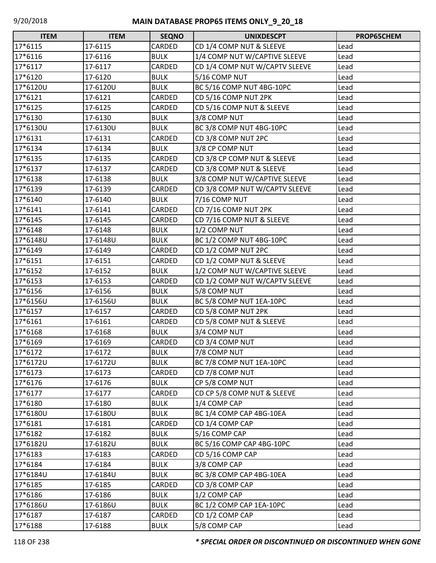| <b>ITEM</b> | <b>ITEM</b> | <b>SEQNO</b> | <b>UNIXDESCPT</b>              | PROP65CHEM |
|-------------|-------------|--------------|--------------------------------|------------|
| 17*6115     | 17-6115     | CARDED       | CD 1/4 COMP NUT & SLEEVE       | Lead       |
| 17*6116     | 17-6116     | <b>BULK</b>  | 1/4 COMP NUT W/CAPTIVE SLEEVE  | Lead       |
| 17*6117     | 17-6117     | CARDED       | CD 1/4 COMP NUT W/CAPTV SLEEVE | Lead       |
| 17*6120     | 17-6120     | <b>BULK</b>  | 5/16 COMP NUT                  | Lead       |
| 17*6120U    | 17-6120U    | <b>BULK</b>  | BC 5/16 COMP NUT 4BG-10PC      | Lead       |
| 17*6121     | 17-6121     | CARDED       | CD 5/16 COMP NUT 2PK           | Lead       |
| 17*6125     | 17-6125     | CARDED       | CD 5/16 COMP NUT & SLEEVE      | Lead       |
| 17*6130     | 17-6130     | <b>BULK</b>  | 3/8 COMP NUT                   | Lead       |
| 17*6130U    | 17-6130U    | <b>BULK</b>  | BC 3/8 COMP NUT 4BG-10PC       | Lead       |
| 17*6131     | 17-6131     | CARDED       | CD 3/8 COMP NUT 2PC            | Lead       |
| 17*6134     | 17-6134     | <b>BULK</b>  | 3/8 CP COMP NUT                | Lead       |
| 17*6135     | 17-6135     | CARDED       | CD 3/8 CP COMP NUT & SLEEVE    | Lead       |
| 17*6137     | 17-6137     | CARDED       | CD 3/8 COMP NUT & SLEEVE       | Lead       |
| 17*6138     | 17-6138     | <b>BULK</b>  | 3/8 COMP NUT W/CAPTIVE SLEEVE  | Lead       |
| 17*6139     | 17-6139     | CARDED       | CD 3/8 COMP NUT W/CAPTV SLEEVE | Lead       |
| 17*6140     | 17-6140     | <b>BULK</b>  | 7/16 COMP NUT                  | Lead       |
| 17*6141     | 17-6141     | CARDED       | CD 7/16 COMP NUT 2PK           | Lead       |
| 17*6145     | 17-6145     | CARDED       | CD 7/16 COMP NUT & SLEEVE      | Lead       |
| 17*6148     | 17-6148     | <b>BULK</b>  | 1/2 COMP NUT                   | Lead       |
| 17*6148U    | 17-6148U    | <b>BULK</b>  | BC 1/2 COMP NUT 4BG-10PC       | Lead       |
| 17*6149     | 17-6149     | CARDED       | CD 1/2 COMP NUT 2PC            | Lead       |
| 17*6151     | 17-6151     | CARDED       | CD 1/2 COMP NUT & SLEEVE       | Lead       |
| 17*6152     | 17-6152     | <b>BULK</b>  | 1/2 COMP NUT W/CAPTIVE SLEEVE  | Lead       |
| 17*6153     | 17-6153     | CARDED       | CD 1/2 COMP NUT W/CAPTV SLEEVE | Lead       |
| 17*6156     | 17-6156     | <b>BULK</b>  | 5/8 COMP NUT                   | Lead       |
| 17*6156U    | 17-6156U    | <b>BULK</b>  | BC 5/8 COMP NUT 1EA-10PC       | Lead       |
| 17*6157     | 17-6157     | CARDED       | CD 5/8 COMP NUT 2PK            | Lead       |
| 17*6161     | 17-6161     | CARDED       | CD 5/8 COMP NUT & SLEEVE       | Lead       |
| 17*6168     | 17-6168     | <b>BULK</b>  | 3/4 COMP NUT                   | Lead       |
| 17*6169     | 17-6169     | CARDED       | CD 3/4 COMP NUT                | Lead       |
| 17*6172     | 17-6172     | <b>BULK</b>  | 7/8 COMP NUT                   | Lead       |
| 17*6172U    | 17-6172U    | <b>BULK</b>  | BC 7/8 COMP NUT 1EA-10PC       | Lead       |
| 17*6173     | 17-6173     | CARDED       | CD 7/8 COMP NUT                | Lead       |
| 17*6176     | 17-6176     | <b>BULK</b>  | CP 5/8 COMP NUT                | Lead       |
| 17*6177     | 17-6177     | CARDED       | CD CP 5/8 COMP NUT & SLEEVE    | Lead       |
| 17*6180     | 17-6180     | <b>BULK</b>  | 1/4 COMP CAP                   | Lead       |
| 17*6180U    | 17-6180U    | <b>BULK</b>  | BC 1/4 COMP CAP 4BG-10EA       | Lead       |
| 17*6181     | 17-6181     | CARDED       | CD 1/4 COMP CAP                | Lead       |
| 17*6182     | 17-6182     | <b>BULK</b>  | 5/16 COMP CAP                  | Lead       |
| 17*6182U    | 17-6182U    | <b>BULK</b>  | BC 5/16 COMP CAP 4BG-10PC      | Lead       |
| 17*6183     | 17-6183     | CARDED       | CD 5/16 COMP CAP               | Lead       |
| 17*6184     | 17-6184     | <b>BULK</b>  | 3/8 COMP CAP                   | Lead       |
| 17*6184U    | 17-6184U    | <b>BULK</b>  | BC 3/8 COMP CAP 4BG-10EA       | Lead       |
| 17*6185     | 17-6185     | CARDED       | CD 3/8 COMP CAP                | Lead       |
| 17*6186     | 17-6186     | <b>BULK</b>  | 1/2 COMP CAP                   | Lead       |
| 17*6186U    | 17-6186U    | <b>BULK</b>  | BC 1/2 COMP CAP 1EA-10PC       | Lead       |
| 17*6187     | 17-6187     | CARDED       | CD 1/2 COMP CAP                | Lead       |
| 17*6188     | 17-6188     | <b>BULK</b>  | 5/8 COMP CAP                   | Lead       |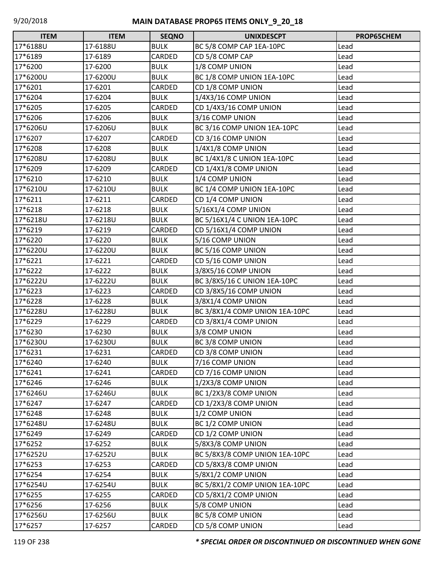| <b>ITEM</b> | <b>ITEM</b> | <b>SEQNO</b> | <b>UNIXDESCPT</b>                  | PROP65CHEM |
|-------------|-------------|--------------|------------------------------------|------------|
| 17*6188U    | 17-6188U    | <b>BULK</b>  | BC 5/8 COMP CAP 1EA-10PC           | Lead       |
| 17*6189     | 17-6189     | CARDED       | CD 5/8 COMP CAP                    | Lead       |
| 17*6200     | 17-6200     | <b>BULK</b>  | 1/8 COMP UNION                     | Lead       |
| 17*6200U    | 17-6200U    | <b>BULK</b>  | BC 1/8 COMP UNION 1EA-10PC         | Lead       |
| 17*6201     | 17-6201     | CARDED       | CD 1/8 COMP UNION                  | Lead       |
| 17*6204     | 17-6204     | <b>BULK</b>  | 1/4X3/16 COMP UNION                | Lead       |
| 17*6205     | 17-6205     | CARDED       | CD 1/4X3/16 COMP UNION             | Lead       |
| 17*6206     | 17-6206     | <b>BULK</b>  | 3/16 COMP UNION                    | Lead       |
| 17*6206U    | 17-6206U    | <b>BULK</b>  | BC 3/16 COMP UNION 1EA-10PC        | Lead       |
| 17*6207     | 17-6207     | CARDED       | CD 3/16 COMP UNION                 | Lead       |
| 17*6208     | 17-6208     | <b>BULK</b>  | 1/4X1/8 COMP UNION                 | Lead       |
| 17*6208U    | 17-6208U    | <b>BULK</b>  | <b>BC 1/4X1/8 C UNION 1EA-10PC</b> | Lead       |
| 17*6209     | 17-6209     | CARDED       | CD 1/4X1/8 COMP UNION              | Lead       |
| 17*6210     | 17-6210     | <b>BULK</b>  | 1/4 COMP UNION                     | Lead       |
| 17*6210U    | 17-6210U    | <b>BULK</b>  | BC 1/4 COMP UNION 1EA-10PC         | Lead       |
| 17*6211     | 17-6211     | CARDED       | CD 1/4 COMP UNION                  | Lead       |
| 17*6218     | 17-6218     | <b>BULK</b>  | 5/16X1/4 COMP UNION                | Lead       |
| 17*6218U    | 17-6218U    | <b>BULK</b>  | BC 5/16X1/4 C UNION 1EA-10PC       | Lead       |
| 17*6219     | 17-6219     | CARDED       | CD 5/16X1/4 COMP UNION             | Lead       |
| 17*6220     | 17-6220     | <b>BULK</b>  | 5/16 COMP UNION                    | Lead       |
| 17*6220U    | 17-6220U    | <b>BULK</b>  | BC 5/16 COMP UNION                 | Lead       |
| 17*6221     | 17-6221     | CARDED       | CD 5/16 COMP UNION                 | Lead       |
| 17*6222     | 17-6222     | <b>BULK</b>  | 3/8X5/16 COMP UNION                | Lead       |
| 17*6222U    | 17-6222U    | <b>BULK</b>  | BC 3/8X5/16 C UNION 1EA-10PC       | Lead       |
| 17*6223     | 17-6223     | CARDED       | CD 3/8X5/16 COMP UNION             | Lead       |
| 17*6228     | 17-6228     | <b>BULK</b>  | 3/8X1/4 COMP UNION                 | Lead       |
| 17*6228U    | 17-6228U    | <b>BULK</b>  | BC 3/8X1/4 COMP UNION 1EA-10PC     | Lead       |
| 17*6229     | 17-6229     | CARDED       | CD 3/8X1/4 COMP UNION              | Lead       |
| 17*6230     | 17-6230     | <b>BULK</b>  | 3/8 COMP UNION                     | Lead       |
| 17*6230U    | 17-6230U    | <b>BULK</b>  | BC 3/8 COMP UNION                  | Lead       |
| 17*6231     | 17-6231     | CARDED       | CD 3/8 COMP UNION                  | Lead       |
| 17*6240     | 17-6240     | <b>BULK</b>  | 7/16 COMP UNION                    | Lead       |
| 17*6241     | 17-6241     | CARDED       | CD 7/16 COMP UNION                 | Lead       |
| 17*6246     | 17-6246     | <b>BULK</b>  | 1/2X3/8 COMP UNION                 | Lead       |
| 17*6246U    | 17-6246U    | <b>BULK</b>  | BC 1/2X3/8 COMP UNION              | Lead       |
| 17*6247     | 17-6247     | CARDED       | CD 1/2X3/8 COMP UNION              | Lead       |
| 17*6248     | 17-6248     | <b>BULK</b>  | 1/2 COMP UNION                     | Lead       |
| 17*6248U    | 17-6248U    | <b>BULK</b>  | BC 1/2 COMP UNION                  | Lead       |
| 17*6249     | 17-6249     | CARDED       | CD 1/2 COMP UNION                  | Lead       |
| 17*6252     | 17-6252     | <b>BULK</b>  | 5/8X3/8 COMP UNION                 | Lead       |
| 17*6252U    | 17-6252U    | <b>BULK</b>  | BC 5/8X3/8 COMP UNION 1EA-10PC     | Lead       |
| 17*6253     | 17-6253     | CARDED       | CD 5/8X3/8 COMP UNION              | Lead       |
| 17*6254     | 17-6254     | <b>BULK</b>  | 5/8X1/2 COMP UNION                 | Lead       |
| 17*6254U    | 17-6254U    | <b>BULK</b>  | BC 5/8X1/2 COMP UNION 1EA-10PC     | Lead       |
| 17*6255     | 17-6255     | CARDED       | CD 5/8X1/2 COMP UNION              | Lead       |
| 17*6256     | 17-6256     | <b>BULK</b>  | 5/8 COMP UNION                     | Lead       |
| 17*6256U    | 17-6256U    | <b>BULK</b>  | BC 5/8 COMP UNION                  | Lead       |
| 17*6257     | 17-6257     | CARDED       | CD 5/8 COMP UNION                  | Lead       |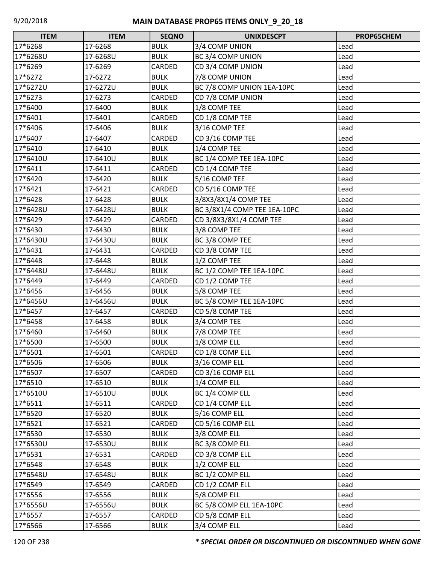| $\Box$<br><b>ITEM</b> | <b>ITEM</b> | <b>SEQNO</b> | <b>UNIXDESCPT</b>            | PROP65CHEM |
|-----------------------|-------------|--------------|------------------------------|------------|
| 17*6268               | 17-6268     | <b>BULK</b>  | 3/4 COMP UNION               | Lead       |
| 17*6268U              | 17-6268U    | <b>BULK</b>  | BC 3/4 COMP UNION            | Lead       |
| 17*6269               | 17-6269     | CARDED       | CD 3/4 COMP UNION            | Lead       |
| 17*6272               | 17-6272     | <b>BULK</b>  | 7/8 COMP UNION               | Lead       |
| 17*6272U              | 17-6272U    | <b>BULK</b>  | BC 7/8 COMP UNION 1EA-10PC   | Lead       |
| 17*6273               | 17-6273     | CARDED       | CD 7/8 COMP UNION            | Lead       |
| 17*6400               | 17-6400     | <b>BULK</b>  | 1/8 COMP TEE                 | Lead       |
| 17*6401               | 17-6401     | CARDED       | CD 1/8 COMP TEE              | Lead       |
| 17*6406               | 17-6406     | <b>BULK</b>  | 3/16 COMP TEE                | Lead       |
| 17*6407               | 17-6407     | CARDED       | CD 3/16 COMP TEE             | Lead       |
| 17*6410               | 17-6410     | <b>BULK</b>  | 1/4 COMP TEE                 | Lead       |
| 17*6410U              | 17-6410U    | <b>BULK</b>  | BC 1/4 COMP TEE 1EA-10PC     | Lead       |
| 17*6411               | 17-6411     | CARDED       | CD 1/4 COMP TEE              | Lead       |
| 17*6420               | 17-6420     | <b>BULK</b>  | 5/16 COMP TEE                | Lead       |
| 17*6421               | 17-6421     | CARDED       | CD 5/16 COMP TEE             | Lead       |
| 17*6428               | 17-6428     | <b>BULK</b>  | 3/8X3/8X1/4 COMP TEE         | Lead       |
| 17*6428U              | 17-6428U    | <b>BULK</b>  | BC 3/8X1/4 COMP TEE 1EA-10PC | Lead       |
| 17*6429               | 17-6429     | CARDED       | CD 3/8X3/8X1/4 COMP TEE      | Lead       |
| 17*6430               | 17-6430     | <b>BULK</b>  | 3/8 COMP TEE                 | Lead       |
| 17*6430U              | 17-6430U    | <b>BULK</b>  | BC 3/8 COMP TEE              | Lead       |
| 17*6431               | 17-6431     | CARDED       | CD 3/8 COMP TEE              | Lead       |
| 17*6448               | 17-6448     | <b>BULK</b>  | 1/2 COMP TEE                 | Lead       |
| 17*6448U              | 17-6448U    | <b>BULK</b>  | BC 1/2 COMP TEE 1EA-10PC     | Lead       |
| 17*6449               | 17-6449     | CARDED       | CD 1/2 COMP TEE              | Lead       |
| 17*6456               | 17-6456     | <b>BULK</b>  | 5/8 COMP TEE                 | Lead       |
| 17*6456U              | 17-6456U    | <b>BULK</b>  | BC 5/8 COMP TEE 1EA-10PC     | Lead       |
| 17*6457               | 17-6457     | CARDED       | CD 5/8 COMP TEE              | Lead       |
| 17*6458               | 17-6458     | <b>BULK</b>  | 3/4 COMP TEE                 | Lead       |
| 17*6460               | 17-6460     | <b>BULK</b>  | 7/8 COMP TEE                 | Lead       |
| 17*6500               | 17-6500     | <b>BULK</b>  | 1/8 COMP ELL                 | Lead       |
| 17*6501               | 17-6501     | CARDED       | CD 1/8 COMP ELL              | Lead       |
| 17*6506               | 17-6506     | <b>BULK</b>  | 3/16 COMP ELL                | Lead       |
| 17*6507               | 17-6507     | CARDED       | CD 3/16 COMP ELL             | Lead       |
| 17*6510               | 17-6510     | <b>BULK</b>  | 1/4 COMP ELL                 | Lead       |
| 17*6510U              | 17-6510U    | <b>BULK</b>  | BC 1/4 COMP ELL              | Lead       |
| 17*6511               | 17-6511     | CARDED       | CD 1/4 COMP ELL              | Lead       |
| 17*6520               | 17-6520     | <b>BULK</b>  | 5/16 COMP ELL                | Lead       |
| 17*6521               | 17-6521     | CARDED       | CD 5/16 COMP ELL             | Lead       |
| 17*6530               | 17-6530     | <b>BULK</b>  | 3/8 COMP ELL                 | Lead       |
| 17*6530U              | 17-6530U    | <b>BULK</b>  | BC 3/8 COMP ELL              | Lead       |
| 17*6531               | 17-6531     | CARDED       | CD 3/8 COMP ELL              | Lead       |
| 17*6548               | 17-6548     | <b>BULK</b>  | 1/2 COMP ELL                 | Lead       |
| 17*6548U              | 17-6548U    | <b>BULK</b>  | BC 1/2 COMP ELL              | Lead       |
| 17*6549               | 17-6549     | CARDED       | CD 1/2 COMP ELL              | Lead       |
| 17*6556               | 17-6556     | <b>BULK</b>  | 5/8 COMP ELL                 | Lead       |
| 17*6556U              | 17-6556U    | <b>BULK</b>  | BC 5/8 COMP ELL 1EA-10PC     | Lead       |
| 17*6557               | 17-6557     | CARDED       | CD 5/8 COMP ELL              | Lead       |
| 17*6566               | 17-6566     | <b>BULK</b>  | 3/4 COMP ELL                 | Lead       |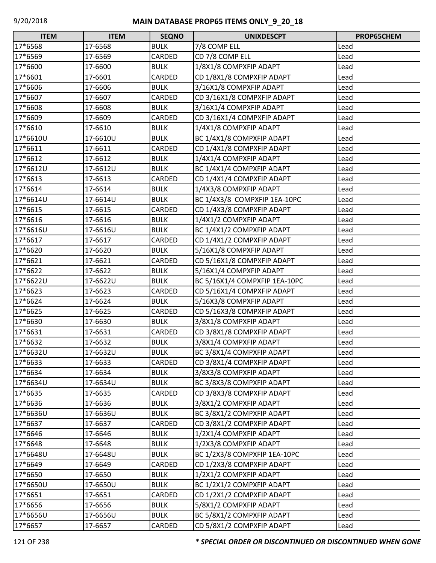| <b>ITEM</b> | <b>ITEM</b> | <b>SEQNO</b> | <b>UNIXDESCPT</b>             | PROP65CHEM |
|-------------|-------------|--------------|-------------------------------|------------|
| 17*6568     | 17-6568     | <b>BULK</b>  | 7/8 COMP ELL                  | Lead       |
| 17*6569     | 17-6569     | CARDED       | CD 7/8 COMP ELL               | Lead       |
| 17*6600     | 17-6600     | <b>BULK</b>  | 1/8X1/8 COMPXFIP ADAPT        | Lead       |
| 17*6601     | 17-6601     | CARDED       | CD 1/8X1/8 COMPXFIP ADAPT     | Lead       |
| 17*6606     | 17-6606     | <b>BULK</b>  | 3/16X1/8 COMPXFIP ADAPT       | Lead       |
| 17*6607     | 17-6607     | CARDED       | CD 3/16X1/8 COMPXFIP ADAPT    | Lead       |
| 17*6608     | 17-6608     | <b>BULK</b>  | 3/16X1/4 COMPXFIP ADAPT       | Lead       |
| 17*6609     | 17-6609     | CARDED       | CD 3/16X1/4 COMPXFIP ADAPT    | Lead       |
| 17*6610     | 17-6610     | <b>BULK</b>  | 1/4X1/8 COMPXFIP ADAPT        | Lead       |
| 17*6610U    | 17-6610U    | <b>BULK</b>  | BC 1/4X1/8 COMPXFIP ADAPT     | Lead       |
| 17*6611     | 17-6611     | CARDED       | CD 1/4X1/8 COMPXFIP ADAPT     | Lead       |
| 17*6612     | 17-6612     | <b>BULK</b>  | 1/4X1/4 COMPXFIP ADAPT        | Lead       |
| 17*6612U    | 17-6612U    | <b>BULK</b>  | BC 1/4X1/4 COMPXFIP ADAPT     | Lead       |
| 17*6613     | 17-6613     | CARDED       | CD 1/4X1/4 COMPXFIP ADAPT     | Lead       |
| 17*6614     | 17-6614     | <b>BULK</b>  | 1/4X3/8 COMPXFIP ADAPT        | Lead       |
| 17*6614U    | 17-6614U    | <b>BULK</b>  | BC 1/4X3/8 COMPXFIP 1EA-10PC  | Lead       |
| 17*6615     | 17-6615     | CARDED       | CD 1/4X3/8 COMPXFIP ADAPT     | Lead       |
| 17*6616     | 17-6616     | <b>BULK</b>  | 1/4X1/2 COMPXFIP ADAPT        | Lead       |
| 17*6616U    | 17-6616U    | <b>BULK</b>  | BC 1/4X1/2 COMPXFIP ADAPT     | Lead       |
| 17*6617     | 17-6617     | CARDED       | CD 1/4X1/2 COMPXFIP ADAPT     | Lead       |
| 17*6620     | 17-6620     | <b>BULK</b>  | 5/16X1/8 COMPXFIP ADAPT       | Lead       |
| 17*6621     | 17-6621     | CARDED       | CD 5/16X1/8 COMPXFIP ADAPT    | Lead       |
| 17*6622     | 17-6622     | <b>BULK</b>  | 5/16X1/4 COMPXFIP ADAPT       | Lead       |
| 17*6622U    | 17-6622U    | <b>BULK</b>  | BC 5/16X1/4 COMPXFIP 1EA-10PC | Lead       |
| 17*6623     | 17-6623     | CARDED       | CD 5/16X1/4 COMPXFIP ADAPT    | Lead       |
| 17*6624     | 17-6624     | <b>BULK</b>  | 5/16X3/8 COMPXFIP ADAPT       | Lead       |
| 17*6625     | 17-6625     | CARDED       | CD 5/16X3/8 COMPXFIP ADAPT    | Lead       |
| 17*6630     | 17-6630     | <b>BULK</b>  | 3/8X1/8 COMPXFIP ADAPT        | Lead       |
| 17*6631     | 17-6631     | CARDED       | CD 3/8X1/8 COMPXFIP ADAPT     | Lead       |
| 17*6632     | 17-6632     | <b>BULK</b>  | 3/8X1/4 COMPXFIP ADAPT        | Lead       |
| 17*6632U    | 17-6632U    | <b>BULK</b>  | BC 3/8X1/4 COMPXFIP ADAPT     | Lead       |
| 17*6633     | 17-6633     | CARDED       | CD 3/8X1/4 COMPXFIP ADAPT     | Lead       |
| 17*6634     | 17-6634     | <b>BULK</b>  | 3/8X3/8 COMPXFIP ADAPT        | Lead       |
| 17*6634U    | 17-6634U    | <b>BULK</b>  | BC 3/8X3/8 COMPXFIP ADAPT     | Lead       |
| 17*6635     | 17-6635     | CARDED       | CD 3/8X3/8 COMPXFIP ADAPT     | Lead       |
| 17*6636     | 17-6636     | <b>BULK</b>  | 3/8X1/2 COMPXFIP ADAPT        | Lead       |
| 17*6636U    | 17-6636U    | <b>BULK</b>  | BC 3/8X1/2 COMPXFIP ADAPT     | Lead       |
| 17*6637     | 17-6637     | CARDED       | CD 3/8X1/2 COMPXFIP ADAPT     | Lead       |
| 17*6646     | 17-6646     | <b>BULK</b>  | 1/2X1/4 COMPXFIP ADAPT        | Lead       |
| 17*6648     | 17-6648     | <b>BULK</b>  | 1/2X3/8 COMPXFIP ADAPT        | Lead       |
| 17*6648U    | 17-6648U    | <b>BULK</b>  | BC 1/2X3/8 COMPXFIP 1EA-10PC  | Lead       |
| 17*6649     | 17-6649     | CARDED       | CD 1/2X3/8 COMPXFIP ADAPT     | Lead       |
| 17*6650     | 17-6650     | <b>BULK</b>  | 1/2X1/2 COMPXFIP ADAPT        | Lead       |
| 17*6650U    | 17-6650U    | <b>BULK</b>  | BC 1/2X1/2 COMPXFIP ADAPT     | Lead       |
| 17*6651     | 17-6651     | CARDED       | CD 1/2X1/2 COMPXFIP ADAPT     | Lead       |
| 17*6656     | 17-6656     | <b>BULK</b>  | 5/8X1/2 COMPXFIP ADAPT        | Lead       |
| 17*6656U    | 17-6656U    | <b>BULK</b>  | BC 5/8X1/2 COMPXFIP ADAPT     | Lead       |
| 17*6657     | 17-6657     | CARDED       | CD 5/8X1/2 COMPXFIP ADAPT     | Lead       |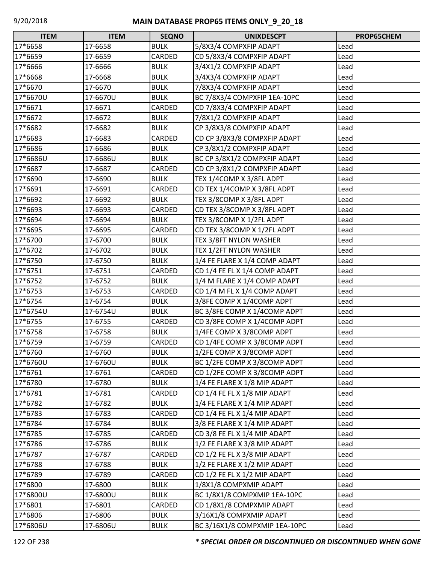| <b>ITEM</b> | <b>ITEM</b> | <b>SEQNO</b> | <b>UNIXDESCPT</b>             | PROP65CHEM |
|-------------|-------------|--------------|-------------------------------|------------|
| 17*6658     | 17-6658     | <b>BULK</b>  | 5/8X3/4 COMPXFIP ADAPT        | Lead       |
| 17*6659     | 17-6659     | CARDED       | CD 5/8X3/4 COMPXFIP ADAPT     | Lead       |
| 17*6666     | 17-6666     | <b>BULK</b>  | 3/4X1/2 COMPXFIP ADAPT        | Lead       |
| 17*6668     | 17-6668     | <b>BULK</b>  | 3/4X3/4 COMPXFIP ADAPT        | Lead       |
| 17*6670     | 17-6670     | <b>BULK</b>  | 7/8X3/4 COMPXFIP ADAPT        | Lead       |
| 17*6670U    | 17-6670U    | <b>BULK</b>  | BC 7/8X3/4 COMPXFIP 1EA-10PC  | Lead       |
| 17*6671     | 17-6671     | CARDED       | CD 7/8X3/4 COMPXFIP ADAPT     | Lead       |
| 17*6672     | 17-6672     | <b>BULK</b>  | 7/8X1/2 COMPXFIP ADAPT        | Lead       |
| 17*6682     | 17-6682     | <b>BULK</b>  | CP 3/8X3/8 COMPXFIP ADAPT     | Lead       |
| 17*6683     | 17-6683     | CARDED       | CD CP 3/8X3/8 COMPXFIP ADAPT  | Lead       |
| 17*6686     | 17-6686     | <b>BULK</b>  | CP 3/8X1/2 COMPXFIP ADAPT     | Lead       |
| 17*6686U    | 17-6686U    | <b>BULK</b>  | BC CP 3/8X1/2 COMPXFIP ADAPT  | Lead       |
| 17*6687     | 17-6687     | CARDED       | CD CP 3/8X1/2 COMPXFIP ADAPT  | Lead       |
| 17*6690     | 17-6690     | <b>BULK</b>  | TEX 1/4COMP X 3/8FL ADPT      | Lead       |
| 17*6691     | 17-6691     | CARDED       | CD TEX 1/4COMP X 3/8FL ADPT   | Lead       |
| 17*6692     | 17-6692     | <b>BULK</b>  | TEX 3/8COMP X 3/8FL ADPT      | Lead       |
| 17*6693     | 17-6693     | CARDED       | CD TEX 3/8COMP X 3/8FL ADPT   | Lead       |
| 17*6694     | 17-6694     | <b>BULK</b>  | TEX 3/8COMP X 1/2FL ADPT      | Lead       |
| 17*6695     | 17-6695     | CARDED       | CD TEX 3/8COMP X 1/2FL ADPT   | Lead       |
| 17*6700     | 17-6700     | <b>BULK</b>  | TEX 3/8FT NYLON WASHER        | Lead       |
| 17*6702     | 17-6702     | <b>BULK</b>  | <b>TEX 1/2FT NYLON WASHER</b> | Lead       |
| 17*6750     | 17-6750     | <b>BULK</b>  | 1/4 FE FLARE X 1/4 COMP ADAPT | Lead       |
| 17*6751     | 17-6751     | CARDED       | CD 1/4 FE FL X 1/4 COMP ADAPT | Lead       |
| 17*6752     | 17-6752     | <b>BULK</b>  | 1/4 M FLARE X 1/4 COMP ADAPT  | Lead       |
| 17*6753     | 17-6753     | CARDED       | CD 1/4 M FL X 1/4 COMP ADAPT  | Lead       |
| 17*6754     | 17-6754     | <b>BULK</b>  | 3/8FE COMP X 1/4COMP ADPT     | Lead       |
| 17*6754U    | 17-6754U    | <b>BULK</b>  | BC 3/8FE COMP X 1/4COMP ADPT  | Lead       |
| 17*6755     | 17-6755     | CARDED       | CD 3/8FE COMP X 1/4COMP ADPT  | Lead       |
| 17*6758     | 17-6758     | <b>BULK</b>  | 1/4FE COMP X 3/8COMP ADPT     | Lead       |
| 17*6759     | 17-6759     | CARDED       | CD 1/4FE COMP X 3/8COMP ADPT  | Lead       |
| 17*6760     | 17-6760     | <b>BULK</b>  | 1/2FE COMP X 3/8COMP ADPT     | Lead       |
| 17*6760U    | 17-6760U    | <b>BULK</b>  | BC 1/2FE COMP X 3/8COMP ADPT  | Lead       |
| 17*6761     | 17-6761     | CARDED       | CD 1/2FE COMP X 3/8COMP ADPT  | Lead       |
| 17*6780     | 17-6780     | <b>BULK</b>  | 1/4 FE FLARE X 1/8 MIP ADAPT  | Lead       |
| 17*6781     | 17-6781     | CARDED       | CD 1/4 FE FL X 1/8 MIP ADAPT  | Lead       |
| 17*6782     | 17-6782     | <b>BULK</b>  | 1/4 FE FLARE X 1/4 MIP ADAPT  | Lead       |
| 17*6783     | 17-6783     | CARDED       | CD 1/4 FE FL X 1/4 MIP ADAPT  | Lead       |
| 17*6784     | 17-6784     | <b>BULK</b>  | 3/8 FE FLARE X 1/4 MIP ADAPT  | Lead       |
| 17*6785     | 17-6785     | CARDED       | CD 3/8 FE FL X 1/4 MIP ADAPT  | Lead       |
| 17*6786     | 17-6786     | <b>BULK</b>  | 1/2 FE FLARE X 3/8 MIP ADAPT  | Lead       |
| 17*6787     | 17-6787     | CARDED       | CD 1/2 FE FL X 3/8 MIP ADAPT  | Lead       |
| 17*6788     | 17-6788     | <b>BULK</b>  | 1/2 FE FLARE X 1/2 MIP ADAPT  | Lead       |
| 17*6789     | 17-6789     | CARDED       | CD 1/2 FE FL X 1/2 MIP ADAPT  | Lead       |
| 17*6800     | 17-6800     | <b>BULK</b>  | 1/8X1/8 COMPXMIP ADAPT        | Lead       |
| 17*6800U    | 17-6800U    | <b>BULK</b>  | BC 1/8X1/8 COMPXMIP 1EA-10PC  | Lead       |
| 17*6801     | 17-6801     | CARDED       | CD 1/8X1/8 COMPXMIP ADAPT     | Lead       |
| 17*6806     | 17-6806     | <b>BULK</b>  | 3/16X1/8 COMPXMIP ADAPT       | Lead       |
| 17*6806U    | 17-6806U    | <b>BULK</b>  | BC 3/16X1/8 COMPXMIP 1EA-10PC | Lead       |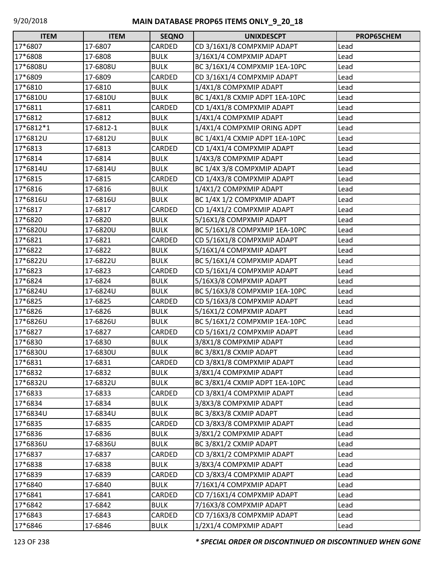| <b>ITEM</b> | <b>ITEM</b> | <b>SEQNO</b> | <b>UNIXDESCPT</b>              | PROP65CHEM |
|-------------|-------------|--------------|--------------------------------|------------|
| 17*6807     | 17-6807     | CARDED       | CD 3/16X1/8 COMPXMIP ADAPT     | Lead       |
| 17*6808     | 17-6808     | <b>BULK</b>  | 3/16X1/4 COMPXMIP ADAPT        | Lead       |
| 17*6808U    | 17-6808U    | <b>BULK</b>  | BC 3/16X1/4 COMPXMIP 1EA-10PC  | Lead       |
| 17*6809     | 17-6809     | CARDED       | CD 3/16X1/4 COMPXMIP ADAPT     | Lead       |
| 17*6810     | 17-6810     | <b>BULK</b>  | 1/4X1/8 COMPXMIP ADAPT         | Lead       |
| 17*6810U    | 17-6810U    | <b>BULK</b>  | BC 1/4X1/8 CXMIP ADPT 1EA-10PC | Lead       |
| 17*6811     | 17-6811     | CARDED       | CD 1/4X1/8 COMPXMIP ADAPT      | Lead       |
| 17*6812     | 17-6812     | <b>BULK</b>  | 1/4X1/4 COMPXMIP ADAPT         | Lead       |
| 17*6812*1   | 17-6812-1   | <b>BULK</b>  | 1/4X1/4 COMPXMIP ORING ADPT    | Lead       |
| 17*6812U    | 17-6812U    | <b>BULK</b>  | BC 1/4X1/4 CXMIP ADPT 1EA-10PC | Lead       |
| 17*6813     | 17-6813     | CARDED       | CD 1/4X1/4 COMPXMIP ADAPT      | Lead       |
| 17*6814     | 17-6814     | <b>BULK</b>  | 1/4X3/8 COMPXMIP ADAPT         | Lead       |
| 17*6814U    | 17-6814U    | <b>BULK</b>  | BC 1/4X 3/8 COMPXMIP ADAPT     | Lead       |
| 17*6815     | 17-6815     | CARDED       | CD 1/4X3/8 COMPXMIP ADAPT      | Lead       |
| 17*6816     | 17-6816     | <b>BULK</b>  | 1/4X1/2 COMPXMIP ADAPT         | Lead       |
| 17*6816U    | 17-6816U    | <b>BULK</b>  | BC 1/4X 1/2 COMPXMIP ADAPT     | Lead       |
| 17*6817     | 17-6817     | CARDED       | CD 1/4X1/2 COMPXMIP ADAPT      | Lead       |
| 17*6820     | 17-6820     | <b>BULK</b>  | 5/16X1/8 COMPXMIP ADAPT        | Lead       |
| 17*6820U    | 17-6820U    | <b>BULK</b>  | BC 5/16X1/8 COMPXMIP 1EA-10PC  | Lead       |
| 17*6821     | 17-6821     | CARDED       | CD 5/16X1/8 COMPXMIP ADAPT     | Lead       |
| 17*6822     | 17-6822     | <b>BULK</b>  | 5/16X1/4 COMPXMIP ADAPT        | Lead       |
| 17*6822U    | 17-6822U    | <b>BULK</b>  | BC 5/16X1/4 COMPXMIP ADAPT     | Lead       |
| 17*6823     | 17-6823     | CARDED       | CD 5/16X1/4 COMPXMIP ADAPT     | Lead       |
| 17*6824     | 17-6824     | <b>BULK</b>  | 5/16X3/8 COMPXMIP ADAPT        | Lead       |
| 17*6824U    | 17-6824U    | <b>BULK</b>  | BC 5/16X3/8 COMPXMIP 1EA-10PC  | Lead       |
| 17*6825     | 17-6825     | CARDED       | CD 5/16X3/8 COMPXMIP ADAPT     | Lead       |
| 17*6826     | 17-6826     | <b>BULK</b>  | 5/16X1/2 COMPXMIP ADAPT        | Lead       |
| 17*6826U    | 17-6826U    | <b>BULK</b>  | BC 5/16X1/2 COMPXMIP 1EA-10PC  | Lead       |
| 17*6827     | 17-6827     | CARDED       | CD 5/16X1/2 COMPXMIP ADAPT     | Lead       |
| 17*6830     | 17-6830     | <b>BULK</b>  | 3/8X1/8 COMPXMIP ADAPT         | Lead       |
| 17*6830U    | 17-6830U    | <b>BULK</b>  | BC 3/8X1/8 CXMIP ADAPT         | Lead       |
| 17*6831     | 17-6831     | CARDED       | CD 3/8X1/8 COMPXMIP ADAPT      | Lead       |
| 17*6832     | 17-6832     | <b>BULK</b>  | 3/8X1/4 COMPXMIP ADAPT         | Lead       |
| 17*6832U    | 17-6832U    | <b>BULK</b>  | BC 3/8X1/4 CXMIP ADPT 1EA-10PC | Lead       |
| 17*6833     | 17-6833     | CARDED       | CD 3/8X1/4 COMPXMIP ADAPT      | Lead       |
| 17*6834     | 17-6834     | <b>BULK</b>  | 3/8X3/8 COMPXMIP ADAPT         | Lead       |
| 17*6834U    | 17-6834U    | <b>BULK</b>  | BC 3/8X3/8 CXMIP ADAPT         | Lead       |
| 17*6835     | 17-6835     | CARDED       | CD 3/8X3/8 COMPXMIP ADAPT      | Lead       |
| 17*6836     | 17-6836     | <b>BULK</b>  | 3/8X1/2 COMPXMIP ADAPT         | Lead       |
| 17*6836U    | 17-6836U    | <b>BULK</b>  | BC 3/8X1/2 CXMIP ADAPT         | Lead       |
| 17*6837     | 17-6837     | CARDED       | CD 3/8X1/2 COMPXMIP ADAPT      | Lead       |
| 17*6838     | 17-6838     | <b>BULK</b>  | 3/8X3/4 COMPXMIP ADAPT         | Lead       |
| 17*6839     | 17-6839     | CARDED       | CD 3/8X3/4 COMPXMIP ADAPT      | Lead       |
| 17*6840     | 17-6840     | <b>BULK</b>  | 7/16X1/4 COMPXMIP ADAPT        | Lead       |
| 17*6841     | 17-6841     | CARDED       | CD 7/16X1/4 COMPXMIP ADAPT     | Lead       |
| 17*6842     | 17-6842     | <b>BULK</b>  | 7/16X3/8 COMPXMIP ADAPT        | Lead       |
| 17*6843     | 17-6843     | CARDED       | CD 7/16X3/8 COMPXMIP ADAPT     | Lead       |
| 17*6846     | 17-6846     | <b>BULK</b>  | 1/2X1/4 COMPXMIP ADAPT         | Lead       |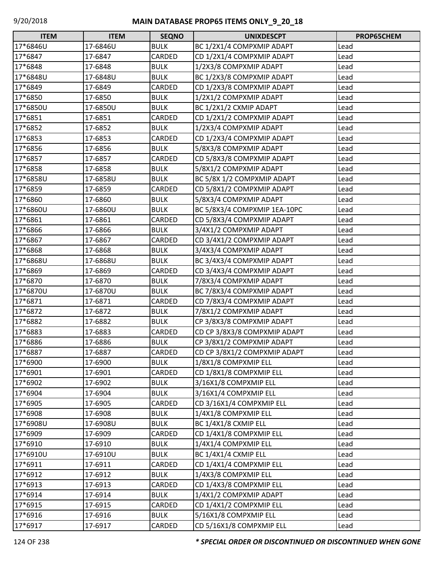| <b>ITEM</b> | <b>ITEM</b> | <b>SEQNO</b> | <b>UNIXDESCPT</b>            | PROP65CHEM |
|-------------|-------------|--------------|------------------------------|------------|
| 17*6846U    | 17-6846U    | <b>BULK</b>  | BC 1/2X1/4 COMPXMIP ADAPT    | Lead       |
| 17*6847     | 17-6847     | CARDED       | CD 1/2X1/4 COMPXMIP ADAPT    | Lead       |
| 17*6848     | 17-6848     | <b>BULK</b>  | 1/2X3/8 COMPXMIP ADAPT       | Lead       |
| 17*6848U    | 17-6848U    | <b>BULK</b>  | BC 1/2X3/8 COMPXMIP ADAPT    | Lead       |
| 17*6849     | 17-6849     | CARDED       | CD 1/2X3/8 COMPXMIP ADAPT    | Lead       |
| 17*6850     | 17-6850     | <b>BULK</b>  | 1/2X1/2 COMPXMIP ADAPT       | Lead       |
| 17*6850U    | 17-6850U    | <b>BULK</b>  | BC 1/2X1/2 CXMIP ADAPT       | Lead       |
| 17*6851     | 17-6851     | CARDED       | CD 1/2X1/2 COMPXMIP ADAPT    | Lead       |
| 17*6852     | 17-6852     | <b>BULK</b>  | 1/2X3/4 COMPXMIP ADAPT       | Lead       |
| 17*6853     | 17-6853     | CARDED       | CD 1/2X3/4 COMPXMIP ADAPT    | Lead       |
| 17*6856     | 17-6856     | <b>BULK</b>  | 5/8X3/8 COMPXMIP ADAPT       | Lead       |
| 17*6857     | 17-6857     | CARDED       | CD 5/8X3/8 COMPXMIP ADAPT    | Lead       |
| 17*6858     | 17-6858     | <b>BULK</b>  | 5/8X1/2 COMPXMIP ADAPT       | Lead       |
| 17*6858U    | 17-6858U    | <b>BULK</b>  | BC 5/8X 1/2 COMPXMIP ADAPT   | Lead       |
| 17*6859     | 17-6859     | CARDED       | CD 5/8X1/2 COMPXMIP ADAPT    | Lead       |
| 17*6860     | 17-6860     | <b>BULK</b>  | 5/8X3/4 COMPXMIP ADAPT       | Lead       |
| 17*6860U    | 17-6860U    | <b>BULK</b>  | BC 5/8X3/4 COMPXMIP 1EA-10PC | Lead       |
| 17*6861     | 17-6861     | CARDED       | CD 5/8X3/4 COMPXMIP ADAPT    | Lead       |
| 17*6866     | 17-6866     | <b>BULK</b>  | 3/4X1/2 COMPXMIP ADAPT       | Lead       |
| 17*6867     | 17-6867     | CARDED       | CD 3/4X1/2 COMPXMIP ADAPT    | Lead       |
| 17*6868     | 17-6868     | <b>BULK</b>  | 3/4X3/4 COMPXMIP ADAPT       | Lead       |
| 17*6868U    | 17-6868U    | <b>BULK</b>  | BC 3/4X3/4 COMPXMIP ADAPT    | Lead       |
| 17*6869     | 17-6869     | CARDED       | CD 3/4X3/4 COMPXMIP ADAPT    | Lead       |
| 17*6870     | 17-6870     | <b>BULK</b>  | 7/8X3/4 COMPXMIP ADAPT       | Lead       |
| 17*6870U    | 17-6870U    | <b>BULK</b>  | BC 7/8X3/4 COMPXMIP ADAPT    | Lead       |
| 17*6871     | 17-6871     | CARDED       | CD 7/8X3/4 COMPXMIP ADAPT    | Lead       |
| 17*6872     | 17-6872     | <b>BULK</b>  | 7/8X1/2 COMPXMIP ADAPT       | Lead       |
| 17*6882     | 17-6882     | <b>BULK</b>  | CP 3/8X3/8 COMPXMIP ADAPT    | Lead       |
| 17*6883     | 17-6883     | CARDED       | CD CP 3/8X3/8 COMPXMIP ADAPT | Lead       |
| 17*6886     | 17-6886     | <b>BULK</b>  | CP 3/8X1/2 COMPXMIP ADAPT    | Lead       |
| 17*6887     | 17-6887     | CARDED       | CD CP 3/8X1/2 COMPXMIP ADAPT | Lead       |
| 17*6900     | 17-6900     | <b>BULK</b>  | 1/8X1/8 COMPXMIP ELL         | Lead       |
| 17*6901     | 17-6901     | CARDED       | CD 1/8X1/8 COMPXMIP ELL      | Lead       |
| 17*6902     | 17-6902     | <b>BULK</b>  | 3/16X1/8 COMPXMIP ELL        | Lead       |
| 17*6904     | 17-6904     | <b>BULK</b>  | 3/16X1/4 COMPXMIP ELL        | Lead       |
| 17*6905     | 17-6905     | CARDED       | CD 3/16X1/4 COMPXMIP ELL     | Lead       |
| 17*6908     | 17-6908     | <b>BULK</b>  | 1/4X1/8 COMPXMIP ELL         | Lead       |
| 17*6908U    | 17-6908U    | <b>BULK</b>  | BC 1/4X1/8 CXMIP ELL         | Lead       |
| 17*6909     | 17-6909     | CARDED       | CD 1/4X1/8 COMPXMIP ELL      | Lead       |
| 17*6910     | 17-6910     | <b>BULK</b>  | 1/4X1/4 COMPXMIP ELL         | Lead       |
| 17*6910U    | 17-6910U    | <b>BULK</b>  | BC 1/4X1/4 CXMIP ELL         | Lead       |
| 17*6911     | 17-6911     | CARDED       | CD 1/4X1/4 COMPXMIP ELL      | Lead       |
| 17*6912     | 17-6912     | <b>BULK</b>  | 1/4X3/8 COMPXMIP ELL         | Lead       |
| 17*6913     | 17-6913     | CARDED       | CD 1/4X3/8 COMPXMIP ELL      | Lead       |
| 17*6914     | 17-6914     | <b>BULK</b>  | 1/4X1/2 COMPXMIP ADAPT       | Lead       |
| 17*6915     | 17-6915     | CARDED       | CD 1/4X1/2 COMPXMIP ELL      | Lead       |
| 17*6916     | 17-6916     | <b>BULK</b>  | 5/16X1/8 COMPXMIP ELL        | Lead       |
| 17*6917     | 17-6917     | CARDED       | CD 5/16X1/8 COMPXMIP ELL     | Lead       |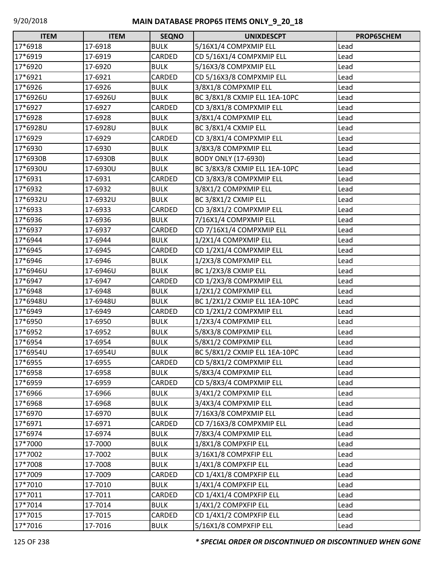| $\Box$<br><b>ITEM</b> | <b>ITEM</b> | <b>SEQNO</b> | <b>UNIXDESCPT</b>             | PROP65CHEM |
|-----------------------|-------------|--------------|-------------------------------|------------|
| 17*6918               | 17-6918     | <b>BULK</b>  | 5/16X1/4 COMPXMIP ELL         | Lead       |
| 17*6919               | 17-6919     | CARDED       | CD 5/16X1/4 COMPXMIP ELL      | Lead       |
| 17*6920               | 17-6920     | <b>BULK</b>  | 5/16X3/8 COMPXMIP ELL         | Lead       |
| 17*6921               | 17-6921     | CARDED       | CD 5/16X3/8 COMPXMIP ELL      | Lead       |
| 17*6926               | 17-6926     | <b>BULK</b>  | 3/8X1/8 COMPXMIP ELL          | Lead       |
| 17*6926U              | 17-6926U    | <b>BULK</b>  | BC 3/8X1/8 CXMIP ELL 1EA-10PC | Lead       |
| 17*6927               | 17-6927     | CARDED       | CD 3/8X1/8 COMPXMIP ELL       | Lead       |
| 17*6928               | 17-6928     | <b>BULK</b>  | 3/8X1/4 COMPXMIP ELL          | Lead       |
| 17*6928U              | 17-6928U    | <b>BULK</b>  | BC 3/8X1/4 CXMIP ELL          | Lead       |
| 17*6929               | 17-6929     | CARDED       | CD 3/8X1/4 COMPXMIP ELL       | Lead       |
| 17*6930               | 17-6930     | <b>BULK</b>  | 3/8X3/8 COMPXMIP ELL          | Lead       |
| 17*6930B              | 17-6930B    | <b>BULK</b>  | <b>BODY ONLY (17-6930)</b>    | Lead       |
| 17*6930U              | 17-6930U    | <b>BULK</b>  | BC 3/8X3/8 CXMIP ELL 1EA-10PC | Lead       |
| 17*6931               | 17-6931     | CARDED       | CD 3/8X3/8 COMPXMIP ELL       | Lead       |
| 17*6932               | 17-6932     | <b>BULK</b>  | 3/8X1/2 COMPXMIP ELL          | Lead       |
| 17*6932U              | 17-6932U    | <b>BULK</b>  | BC 3/8X1/2 CXMIP ELL          | Lead       |
| 17*6933               | 17-6933     | CARDED       | CD 3/8X1/2 COMPXMIP ELL       | Lead       |
| 17*6936               | 17-6936     | <b>BULK</b>  | 7/16X1/4 COMPXMIP ELL         | Lead       |
| 17*6937               | 17-6937     | CARDED       | CD 7/16X1/4 COMPXMIP ELL      | Lead       |
| 17*6944               | 17-6944     | <b>BULK</b>  | 1/2X1/4 COMPXMIP ELL          | Lead       |
| 17*6945               | 17-6945     | CARDED       | CD 1/2X1/4 COMPXMIP ELL       | Lead       |
| 17*6946               | 17-6946     | <b>BULK</b>  | 1/2X3/8 COMPXMIP ELL          | Lead       |
| 17*6946U              | 17-6946U    | <b>BULK</b>  | BC 1/2X3/8 CXMIP ELL          | Lead       |
| 17*6947               | 17-6947     | CARDED       | CD 1/2X3/8 COMPXMIP ELL       | Lead       |
| 17*6948               | 17-6948     | <b>BULK</b>  | 1/2X1/2 COMPXMIP ELL          | Lead       |
| 17*6948U              | 17-6948U    | <b>BULK</b>  | BC 1/2X1/2 CXMIP ELL 1EA-10PC | Lead       |
| 17*6949               | 17-6949     | CARDED       | CD 1/2X1/2 COMPXMIP ELL       | Lead       |
| 17*6950               | 17-6950     | <b>BULK</b>  | 1/2X3/4 COMPXMIP ELL          | Lead       |
| 17*6952               | 17-6952     | <b>BULK</b>  | 5/8X3/8 COMPXMIP ELL          | Lead       |
| 17*6954               | 17-6954     | <b>BULK</b>  | 5/8X1/2 COMPXMIP ELL          | Lead       |
| 17*6954U              | 17-6954U    | <b>BULK</b>  | BC 5/8X1/2 CXMIP ELL 1EA-10PC | Lead       |
| 17*6955               | 17-6955     | CARDED       | CD 5/8X1/2 COMPXMIP ELL       | Lead       |
| 17*6958               | 17-6958     | <b>BULK</b>  | 5/8X3/4 COMPXMIP ELL          | Lead       |
| 17*6959               | 17-6959     | CARDED       | CD 5/8X3/4 COMPXMIP ELL       | Lead       |
| 17*6966               | 17-6966     | <b>BULK</b>  | 3/4X1/2 COMPXMIP ELL          | Lead       |
| 17*6968               | 17-6968     | <b>BULK</b>  | 3/4X3/4 COMPXMIP ELL          | Lead       |
| 17*6970               | 17-6970     | <b>BULK</b>  | 7/16X3/8 COMPXMIP ELL         | Lead       |
| 17*6971               | 17-6971     | CARDED       | CD 7/16X3/8 COMPXMIP ELL      | Lead       |
| 17*6974               | 17-6974     | <b>BULK</b>  | 7/8X3/4 COMPXMIP ELL          | Lead       |
| 17*7000               | 17-7000     | <b>BULK</b>  | 1/8X1/8 COMPXFIP ELL          | Lead       |
| 17*7002               | 17-7002     | <b>BULK</b>  | 3/16X1/8 COMPXFIP ELL         | Lead       |
| 17*7008               | 17-7008     | <b>BULK</b>  | 1/4X1/8 COMPXFIP ELL          | Lead       |
| 17*7009               | 17-7009     | CARDED       | CD 1/4X1/8 COMPXFIP ELL       | Lead       |
| 17*7010               | 17-7010     | <b>BULK</b>  | 1/4X1/4 COMPXFIP ELL          | Lead       |
| 17*7011               | 17-7011     | CARDED       | CD 1/4X1/4 COMPXFIP ELL       | Lead       |
| 17*7014               | 17-7014     | <b>BULK</b>  | 1/4X1/2 COMPXFIP ELL          | Lead       |
| 17*7015               | 17-7015     | CARDED       | CD 1/4X1/2 COMPXFIP ELL       | Lead       |
| 17*7016               | 17-7016     | <b>BULK</b>  | 5/16X1/8 COMPXFIP ELL         | Lead       |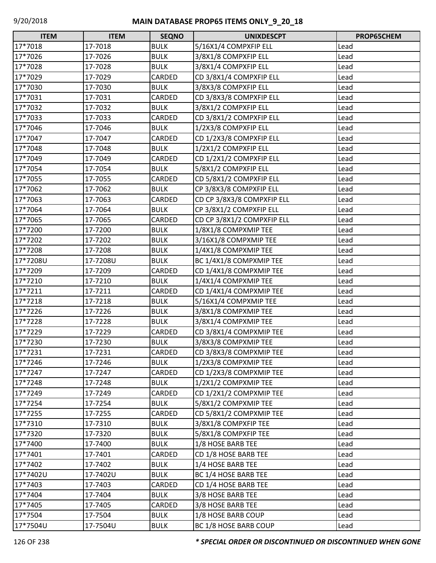| <b>ITEM</b> | <b>ITEM</b> | <b>SEQNO</b>  | <b>UNIXDESCPT</b>          | PROP65CHEM |
|-------------|-------------|---------------|----------------------------|------------|
| 17*7018     | 17-7018     | <b>BULK</b>   | 5/16X1/4 COMPXFIP ELL      | Lead       |
| 17*7026     | 17-7026     | <b>BULK</b>   | 3/8X1/8 COMPXFIP ELL       | Lead       |
| 17*7028     | 17-7028     | <b>BULK</b>   | 3/8X1/4 COMPXFIP ELL       | Lead       |
| 17*7029     | 17-7029     | CARDED        | CD 3/8X1/4 COMPXFIP ELL    | Lead       |
| 17*7030     | 17-7030     | <b>BULK</b>   | 3/8X3/8 COMPXFIP ELL       | Lead       |
| 17*7031     | 17-7031     | CARDED        | CD 3/8X3/8 COMPXFIP ELL    | Lead       |
| 17*7032     | 17-7032     | <b>BULK</b>   | 3/8X1/2 COMPXFIP ELL       | Lead       |
| 17*7033     | 17-7033     | CARDED        | CD 3/8X1/2 COMPXFIP ELL    | Lead       |
| 17*7046     | 17-7046     | <b>BULK</b>   | 1/2X3/8 COMPXFIP ELL       | Lead       |
| 17*7047     | 17-7047     | CARDED        | CD 1/2X3/8 COMPXFIP ELL    | Lead       |
| 17*7048     | 17-7048     | <b>BULK</b>   | 1/2X1/2 COMPXFIP ELL       | Lead       |
| 17*7049     | 17-7049     | CARDED        | CD 1/2X1/2 COMPXFIP ELL    | Lead       |
| 17*7054     | 17-7054     | <b>BULK</b>   | 5/8X1/2 COMPXFIP ELL       | Lead       |
| 17*7055     | 17-7055     | CARDED        | CD 5/8X1/2 COMPXFIP ELL    | Lead       |
| 17*7062     | 17-7062     | <b>BULK</b>   | CP 3/8X3/8 COMPXFIP ELL    | Lead       |
| 17*7063     | 17-7063     | CARDED        | CD CP 3/8X3/8 COMPXFIP ELL | Lead       |
| 17*7064     | 17-7064     | <b>BULK</b>   | CP 3/8X1/2 COMPXFIP ELL    | Lead       |
| 17*7065     | 17-7065     | CARDED        | CD CP 3/8X1/2 COMPXFIP ELL | Lead       |
| 17*7200     | 17-7200     | <b>BULK</b>   | 1/8X1/8 COMPXMIP TEE       | Lead       |
| 17*7202     | 17-7202     | <b>BULK</b>   | 3/16X1/8 COMPXMIP TEE      | Lead       |
| 17*7208     | 17-7208     | <b>BULK</b>   | 1/4X1/8 COMPXMIP TEE       | Lead       |
| 17*7208U    | 17-7208U    | <b>BULK</b>   | BC 1/4X1/8 COMPXMIP TEE    | Lead       |
| 17*7209     | 17-7209     | CARDED        | CD 1/4X1/8 COMPXMIP TEE    | Lead       |
| 17*7210     | 17-7210     | <b>BULK</b>   | 1/4X1/4 COMPXMIP TEE       | Lead       |
| 17*7211     | 17-7211     | CARDED        | CD 1/4X1/4 COMPXMIP TEE    | Lead       |
| 17*7218     | 17-7218     | <b>BULK</b>   | 5/16X1/4 COMPXMIP TEE      | Lead       |
| 17*7226     | 17-7226     | <b>BULK</b>   | 3/8X1/8 COMPXMIP TEE       | Lead       |
| 17*7228     | 17-7228     | <b>BULK</b>   | 3/8X1/4 COMPXMIP TEE       | Lead       |
| 17*7229     | 17-7229     | CARDED        | CD 3/8X1/4 COMPXMIP TEE    | Lead       |
| 17*7230     | 17-7230     | <b>BULK</b>   | 3/8X3/8 COMPXMIP TEE       | Lead       |
| 17*7231     | 17-7231     | <b>CARDED</b> | CD 3/8X3/8 COMPXMIP TEE    | Lead       |
| 17*7246     | 17-7246     | <b>BULK</b>   | 1/2X3/8 COMPXMIP TEE       | Lead       |
| 17*7247     | 17-7247     | CARDED        | CD 1/2X3/8 COMPXMIP TEE    | Lead       |
| 17*7248     | 17-7248     | <b>BULK</b>   | 1/2X1/2 COMPXMIP TEE       | Lead       |
| 17*7249     | 17-7249     | CARDED        | CD 1/2X1/2 COMPXMIP TEE    | Lead       |
| 17*7254     | 17-7254     | <b>BULK</b>   | 5/8X1/2 COMPXMIP TEE       | Lead       |
| 17*7255     | 17-7255     | CARDED        | CD 5/8X1/2 COMPXMIP TEE    | Lead       |
| 17*7310     | 17-7310     | <b>BULK</b>   | 3/8X1/8 COMPXFIP TEE       | Lead       |
| 17*7320     | 17-7320     | <b>BULK</b>   | 5/8X1/8 COMPXFIP TEE       | Lead       |
| 17*7400     | 17-7400     | <b>BULK</b>   | 1/8 HOSE BARB TEE          | Lead       |
| 17*7401     | 17-7401     | CARDED        | CD 1/8 HOSE BARB TEE       | Lead       |
| 17*7402     | 17-7402     | <b>BULK</b>   | 1/4 HOSE BARB TEE          | Lead       |
| 17*7402U    | 17-7402U    | <b>BULK</b>   | BC 1/4 HOSE BARB TEE       | Lead       |
| 17*7403     | 17-7403     | CARDED        | CD 1/4 HOSE BARB TEE       | Lead       |
| 17*7404     | 17-7404     | <b>BULK</b>   | 3/8 HOSE BARB TEE          | Lead       |
| 17*7405     | 17-7405     | CARDED        | 3/8 HOSE BARB TEE          | Lead       |
| 17*7504     | 17-7504     | <b>BULK</b>   | 1/8 HOSE BARB COUP         | Lead       |
| 17*7504U    | 17-7504U    | <b>BULK</b>   | BC 1/8 HOSE BARB COUP      | Lead       |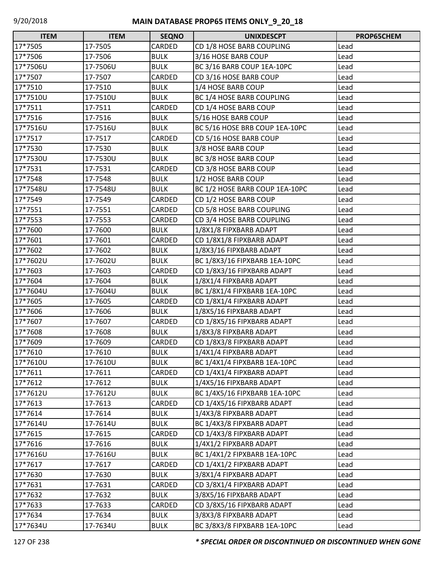| <b>ITEM</b> | <b>ITEM</b> | <b>SEQNO</b> | <b>UNIXDESCPT</b>              | PROP65CHEM |
|-------------|-------------|--------------|--------------------------------|------------|
| 17*7505     | 17-7505     | CARDED       | CD 1/8 HOSE BARB COUPLING      | Lead       |
| 17*7506     | 17-7506     | <b>BULK</b>  | 3/16 HOSE BARB COUP            | Lead       |
| 17*7506U    | 17-7506U    | <b>BULK</b>  | BC 3/16 BARB COUP 1EA-10PC     | Lead       |
| 17*7507     | 17-7507     | CARDED       | CD 3/16 HOSE BARB COUP         | Lead       |
| 17*7510     | 17-7510     | <b>BULK</b>  | 1/4 HOSE BARB COUP             | Lead       |
| 17*7510U    | 17-7510U    | <b>BULK</b>  | BC 1/4 HOSE BARB COUPLING      | Lead       |
| 17*7511     | 17-7511     | CARDED       | CD 1/4 HOSE BARB COUP          | Lead       |
| 17*7516     | 17-7516     | <b>BULK</b>  | 5/16 HOSE BARB COUP            | Lead       |
| 17*7516U    | 17-7516U    | <b>BULK</b>  | BC 5/16 HOSE BRB COUP 1EA-10PC | Lead       |
| 17*7517     | 17-7517     | CARDED       | CD 5/16 HOSE BARB COUP         | Lead       |
| 17*7530     | 17-7530     | <b>BULK</b>  | 3/8 HOSE BARB COUP             | Lead       |
| 17*7530U    | 17-7530U    | <b>BULK</b>  | BC 3/8 HOSE BARB COUP          | Lead       |
| 17*7531     | 17-7531     | CARDED       | CD 3/8 HOSE BARB COUP          | Lead       |
| 17*7548     | 17-7548     | <b>BULK</b>  | 1/2 HOSE BARB COUP             | Lead       |
| 17*7548U    | 17-7548U    | <b>BULK</b>  | BC 1/2 HOSE BARB COUP 1EA-10PC | Lead       |
| 17*7549     | 17-7549     | CARDED       | CD 1/2 HOSE BARB COUP          | Lead       |
| 17*7551     | 17-7551     | CARDED       | CD 5/8 HOSE BARB COUPLING      | Lead       |
| 17*7553     | 17-7553     | CARDED       | CD 3/4 HOSE BARB COUPLING      | Lead       |
| 17*7600     | 17-7600     | <b>BULK</b>  | 1/8X1/8 FIPXBARB ADAPT         | Lead       |
| 17*7601     | 17-7601     | CARDED       | CD 1/8X1/8 FIPXBARB ADAPT      | Lead       |
| 17*7602     | 17-7602     | <b>BULK</b>  | 1/8X3/16 FIPXBARB ADAPT        | Lead       |
| 17*7602U    | 17-7602U    | <b>BULK</b>  | BC 1/8X3/16 FIPXBARB 1EA-10PC  | Lead       |
| 17*7603     | 17-7603     | CARDED       | CD 1/8X3/16 FIPXBARB ADAPT     | Lead       |
| 17*7604     | 17-7604     | <b>BULK</b>  | 1/8X1/4 FIPXBARB ADAPT         | Lead       |
| 17*7604U    | 17-7604U    | <b>BULK</b>  | BC 1/8X1/4 FIPXBARB 1EA-10PC   | Lead       |
| 17*7605     | 17-7605     | CARDED       | CD 1/8X1/4 FIPXBARB ADAPT      | Lead       |
| 17*7606     | 17-7606     | <b>BULK</b>  | 1/8X5/16 FIPXBARB ADAPT        | Lead       |
| 17*7607     | 17-7607     | CARDED       | CD 1/8X5/16 FIPXBARB ADAPT     | Lead       |
| 17*7608     | 17-7608     | <b>BULK</b>  | 1/8X3/8 FIPXBARB ADAPT         | Lead       |
| 17*7609     | 17-7609     | CARDED       | CD 1/8X3/8 FIPXBARB ADAPT      | Lead       |
| 17*7610     | 17-7610     | <b>BULK</b>  | 1/4X1/4 FIPXBARB ADAPT         | Lead       |
| 17*7610U    | 17-7610U    | <b>BULK</b>  | BC 1/4X1/4 FIPXBARB 1EA-10PC   | Lead       |
| 17*7611     | 17-7611     | CARDED       | CD 1/4X1/4 FIPXBARB ADAPT      | Lead       |
| 17*7612     | 17-7612     | <b>BULK</b>  | 1/4X5/16 FIPXBARB ADAPT        | Lead       |
| 17*7612U    | 17-7612U    | <b>BULK</b>  | BC 1/4X5/16 FIPXBARB 1EA-10PC  | Lead       |
| 17*7613     | 17-7613     | CARDED       | CD 1/4X5/16 FIPXBARB ADAPT     | Lead       |
| 17*7614     | 17-7614     | <b>BULK</b>  | 1/4X3/8 FIPXBARB ADAPT         | Lead       |
| 17*7614U    | 17-7614U    | <b>BULK</b>  | BC 1/4X3/8 FIPXBARB ADAPT      | Lead       |
| 17*7615     | 17-7615     | CARDED       | CD 1/4X3/8 FIPXBARB ADAPT      | Lead       |
| 17*7616     | 17-7616     | <b>BULK</b>  | 1/4X1/2 FIPXBARB ADAPT         | Lead       |
| 17*7616U    | 17-7616U    | <b>BULK</b>  | BC 1/4X1/2 FIPXBARB 1EA-10PC   | Lead       |
| 17*7617     | 17-7617     | CARDED       | CD 1/4X1/2 FIPXBARB ADAPT      | Lead       |
| 17*7630     | 17-7630     | <b>BULK</b>  | 3/8X1/4 FIPXBARB ADAPT         | Lead       |
| 17*7631     | 17-7631     | CARDED       | CD 3/8X1/4 FIPXBARB ADAPT      | Lead       |
| 17*7632     | 17-7632     | <b>BULK</b>  | 3/8X5/16 FIPXBARB ADAPT        | Lead       |
| 17*7633     | 17-7633     | CARDED       | CD 3/8X5/16 FIPXBARB ADAPT     | Lead       |
| 17*7634     | 17-7634     | <b>BULK</b>  | 3/8X3/8 FIPXBARB ADAPT         | Lead       |
| 17*7634U    | 17-7634U    | <b>BULK</b>  | BC 3/8X3/8 FIPXBARB 1EA-10PC   | Lead       |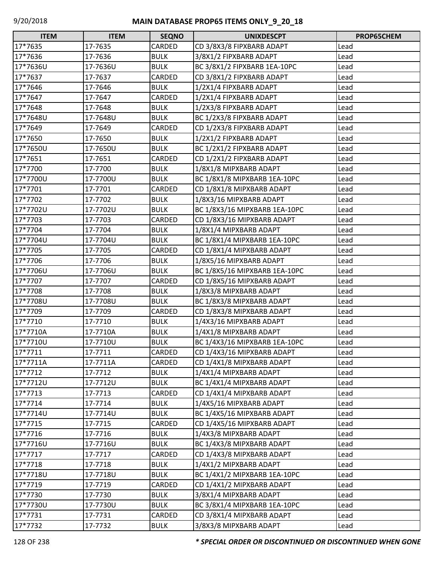| <b>ITEM</b> | <b>ITEM</b> | <b>SEQNO</b> | <b>UNIXDESCPT</b>             | PROP65CHEM |
|-------------|-------------|--------------|-------------------------------|------------|
| 17*7635     | 17-7635     | CARDED       | CD 3/8X3/8 FIPXBARB ADAPT     | Lead       |
| 17*7636     | 17-7636     | <b>BULK</b>  | 3/8X1/2 FIPXBARB ADAPT        | Lead       |
| 17*7636U    | 17-7636U    | <b>BULK</b>  | BC 3/8X1/2 FIPXBARB 1EA-10PC  | Lead       |
| 17*7637     | 17-7637     | CARDED       | CD 3/8X1/2 FIPXBARB ADAPT     | Lead       |
| 17*7646     | 17-7646     | <b>BULK</b>  | 1/2X1/4 FIPXBARB ADAPT        | Lead       |
| 17*7647     | 17-7647     | CARDED       | 1/2X1/4 FIPXBARB ADAPT        | Lead       |
| 17*7648     | 17-7648     | <b>BULK</b>  | 1/2X3/8 FIPXBARB ADAPT        | Lead       |
| 17*7648U    | 17-7648U    | <b>BULK</b>  | BC 1/2X3/8 FIPXBARB ADAPT     | Lead       |
| 17*7649     | 17-7649     | CARDED       | CD 1/2X3/8 FIPXBARB ADAPT     | Lead       |
| 17*7650     | 17-7650     | <b>BULK</b>  | 1/2X1/2 FIPXBARB ADAPT        | Lead       |
| 17*7650U    | 17-7650U    | <b>BULK</b>  | BC 1/2X1/2 FIPXBARB ADAPT     | Lead       |
| 17*7651     | 17-7651     | CARDED       | CD 1/2X1/2 FIPXBARB ADAPT     | Lead       |
| 17*7700     | 17-7700     | <b>BULK</b>  | 1/8X1/8 MIPXBARB ADAPT        | Lead       |
| 17*7700U    | 17-7700U    | <b>BULK</b>  | BC 1/8X1/8 MIPXBARB 1EA-10PC  | Lead       |
| 17*7701     | 17-7701     | CARDED       | CD 1/8X1/8 MIPXBARB ADAPT     | Lead       |
| 17*7702     | 17-7702     | <b>BULK</b>  | 1/8X3/16 MIPXBARB ADAPT       | Lead       |
| 17*7702U    | 17-7702U    | <b>BULK</b>  | BC 1/8X3/16 MIPXBARB 1EA-10PC | Lead       |
| 17*7703     | 17-7703     | CARDED       | CD 1/8X3/16 MIPXBARB ADAPT    | Lead       |
| 17*7704     | 17-7704     | <b>BULK</b>  | 1/8X1/4 MIPXBARB ADAPT        | Lead       |
| 17*7704U    | 17-7704U    | <b>BULK</b>  | BC 1/8X1/4 MIPXBARB 1EA-10PC  | Lead       |
| 17*7705     | 17-7705     | CARDED       | CD 1/8X1/4 MIPXBARB ADAPT     | Lead       |
| 17*7706     | 17-7706     | <b>BULK</b>  | 1/8X5/16 MIPXBARB ADAPT       | Lead       |
| 17*7706U    | 17-7706U    | <b>BULK</b>  | BC 1/8X5/16 MIPXBARB 1EA-10PC | Lead       |
| 17*7707     | 17-7707     | CARDED       | CD 1/8X5/16 MIPXBARB ADAPT    | Lead       |
| 17*7708     | 17-7708     | <b>BULK</b>  | 1/8X3/8 MIPXBARB ADAPT        | Lead       |
| 17*7708U    | 17-7708U    | <b>BULK</b>  | BC 1/8X3/8 MIPXBARB ADAPT     | Lead       |
| 17*7709     | 17-7709     | CARDED       | CD 1/8X3/8 MIPXBARB ADAPT     | Lead       |
| 17*7710     | 17-7710     | <b>BULK</b>  | 1/4X3/16 MIPXBARB ADAPT       | Lead       |
| 17*7710A    | 17-7710A    | <b>BULK</b>  | 1/4X1/8 MIPXBARB ADAPT        | Lead       |
| 17*7710U    | 17-7710U    | <b>BULK</b>  | BC 1/4X3/16 MIPXBARB 1EA-10PC | Lead       |
| 17*7711     | 17-7711     | CARDED       | CD 1/4X3/16 MIPXBARB ADAPT    | Lead       |
| 17*7711A    | 17-7711A    | CARDED       | CD 1/4X1/8 MIPXBARB ADAPT     | Lead       |
| 17*7712     | 17-7712     | <b>BULK</b>  | 1/4X1/4 MIPXBARB ADAPT        | Lead       |
| 17*7712U    | 17-7712U    | <b>BULK</b>  | BC 1/4X1/4 MIPXBARB ADAPT     | Lead       |
| 17*7713     | 17-7713     | CARDED       | CD 1/4X1/4 MIPXBARB ADAPT     | Lead       |
| 17*7714     | 17-7714     | <b>BULK</b>  | 1/4X5/16 MIPXBARB ADAPT       | Lead       |
| 17*7714U    | 17-7714U    | <b>BULK</b>  | BC 1/4X5/16 MIPXBARB ADAPT    | Lead       |
| 17*7715     | 17-7715     | CARDED       | CD 1/4X5/16 MIPXBARB ADAPT    | Lead       |
| 17*7716     | 17-7716     | <b>BULK</b>  | 1/4X3/8 MIPXBARB ADAPT        | Lead       |
| 17*7716U    | 17-7716U    | <b>BULK</b>  | BC 1/4X3/8 MIPXBARB ADAPT     | Lead       |
| 17*7717     | 17-7717     | CARDED       | CD 1/4X3/8 MIPXBARB ADAPT     | Lead       |
| 17*7718     | 17-7718     | <b>BULK</b>  | 1/4X1/2 MIPXBARB ADAPT        | Lead       |
| 17*7718U    | 17-7718U    | <b>BULK</b>  | BC 1/4X1/2 MIPXBARB 1EA-10PC  | Lead       |
| 17*7719     | 17-7719     | CARDED       | CD 1/4X1/2 MIPXBARB ADAPT     | Lead       |
| 17*7730     | 17-7730     | <b>BULK</b>  | 3/8X1/4 MIPXBARB ADAPT        | Lead       |
| 17*7730U    | 17-7730U    | <b>BULK</b>  | BC 3/8X1/4 MIPXBARB 1EA-10PC  | Lead       |
| 17*7731     | 17-7731     | CARDED       | CD 3/8X1/4 MIPXBARB ADAPT     | Lead       |
| 17*7732     | 17-7732     | <b>BULK</b>  | 3/8X3/8 MIPXBARB ADAPT        | Lead       |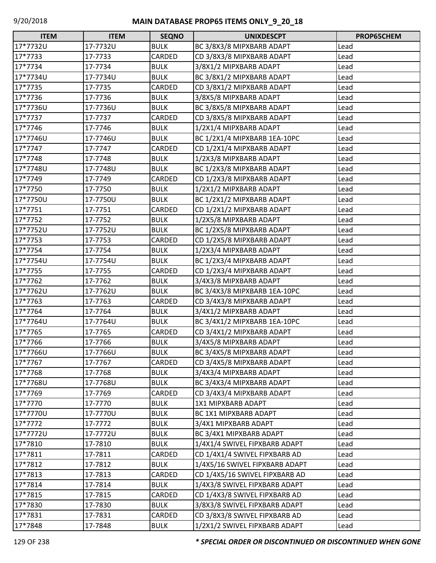| <b>ITEM</b> | <b>ITEM</b> | <b>SEQNO</b> | <b>UNIXDESCPT</b>              | PROP65CHEM |
|-------------|-------------|--------------|--------------------------------|------------|
| 17*7732U    | 17-7732U    | <b>BULK</b>  | BC 3/8X3/8 MIPXBARB ADAPT      | Lead       |
| 17*7733     | 17-7733     | CARDED       | CD 3/8X3/8 MIPXBARB ADAPT      | Lead       |
| 17*7734     | 17-7734     | <b>BULK</b>  | 3/8X1/2 MIPXBARB ADAPT         | Lead       |
| 17*7734U    | 17-7734U    | <b>BULK</b>  | BC 3/8X1/2 MIPXBARB ADAPT      | Lead       |
| 17*7735     | 17-7735     | CARDED       | CD 3/8X1/2 MIPXBARB ADAPT      | Lead       |
| 17*7736     | 17-7736     | <b>BULK</b>  | 3/8X5/8 MIPXBARB ADAPT         | Lead       |
| 17*7736U    | 17-7736U    | <b>BULK</b>  | BC 3/8X5/8 MIPXBARB ADAPT      | Lead       |
| 17*7737     | 17-7737     | CARDED       | CD 3/8X5/8 MIPXBARB ADAPT      | Lead       |
| 17*7746     | 17-7746     | <b>BULK</b>  | 1/2X1/4 MIPXBARB ADAPT         | Lead       |
| 17*7746U    | 17-7746U    | <b>BULK</b>  | BC 1/2X1/4 MIPXBARB 1EA-10PC   | Lead       |
| 17*7747     | 17-7747     | CARDED       | CD 1/2X1/4 MIPXBARB ADAPT      | Lead       |
| 17*7748     | 17-7748     | <b>BULK</b>  | 1/2X3/8 MIPXBARB ADAPT         | Lead       |
| 17*7748U    | 17-7748U    | <b>BULK</b>  | BC 1/2X3/8 MIPXBARB ADAPT      | Lead       |
| 17*7749     | 17-7749     | CARDED       | CD 1/2X3/8 MIPXBARB ADAPT      | Lead       |
| 17*7750     | 17-7750     | <b>BULK</b>  | 1/2X1/2 MIPXBARB ADAPT         | Lead       |
| 17*7750U    | 17-7750U    | <b>BULK</b>  | BC 1/2X1/2 MIPXBARB ADAPT      | Lead       |
| 17*7751     | 17-7751     | CARDED       | CD 1/2X1/2 MIPXBARB ADAPT      | Lead       |
| 17*7752     | 17-7752     | <b>BULK</b>  | 1/2X5/8 MIPXBARB ADAPT         | Lead       |
| 17*7752U    | 17-7752U    | <b>BULK</b>  | BC 1/2X5/8 MIPXBARB ADAPT      | Lead       |
| 17*7753     | 17-7753     | CARDED       | CD 1/2X5/8 MIPXBARB ADAPT      | Lead       |
| 17*7754     | 17-7754     | <b>BULK</b>  | 1/2X3/4 MIPXBARB ADAPT         | Lead       |
| 17*7754U    | 17-7754U    | <b>BULK</b>  | BC 1/2X3/4 MIPXBARB ADAPT      | Lead       |
| 17*7755     | 17-7755     | CARDED       | CD 1/2X3/4 MIPXBARB ADAPT      | Lead       |
| 17*7762     | 17-7762     | <b>BULK</b>  | 3/4X3/8 MIPXBARB ADAPT         | Lead       |
| 17*7762U    | 17-7762U    | <b>BULK</b>  | BC 3/4X3/8 MIPXBARB 1EA-10PC   | Lead       |
| 17*7763     | 17-7763     | CARDED       | CD 3/4X3/8 MIPXBARB ADAPT      | Lead       |
| 17*7764     | 17-7764     | <b>BULK</b>  | 3/4X1/2 MIPXBARB ADAPT         | Lead       |
| 17*7764U    | 17-7764U    | <b>BULK</b>  | BC 3/4X1/2 MIPXBARB 1EA-10PC   | Lead       |
| 17*7765     | 17-7765     | CARDED       | CD 3/4X1/2 MIPXBARB ADAPT      | Lead       |
| 17*7766     | 17-7766     | <b>BULK</b>  | 3/4X5/8 MIPXBARB ADAPT         | Lead       |
| 17*7766U    | 17-7766U    | <b>BULK</b>  | BC 3/4X5/8 MIPXBARB ADAPT      | Lead       |
| 17*7767     | 17-7767     | CARDED       | CD 3/4X5/8 MIPXBARB ADAPT      | Lead       |
| 17*7768     | 17-7768     | <b>BULK</b>  | 3/4X3/4 MIPXBARB ADAPT         | Lead       |
| 17*7768U    | 17-7768U    | <b>BULK</b>  | BC 3/4X3/4 MIPXBARB ADAPT      | Lead       |
| 17*7769     | 17-7769     | CARDED       | CD 3/4X3/4 MIPXBARB ADAPT      | Lead       |
| 17*7770     | 17-7770     | <b>BULK</b>  | 1X1 MIPXBARB ADAPT             | Lead       |
| 17*7770U    | 17-7770U    | <b>BULK</b>  | BC 1X1 MIPXBARB ADAPT          | Lead       |
| 17*7772     | 17-7772     | <b>BULK</b>  | 3/4X1 MIPXBARB ADAPT           | Lead       |
| 17*7772U    | 17-7772U    | <b>BULK</b>  | BC 3/4X1 MIPXBARB ADAPT        | Lead       |
| 17*7810     | 17-7810     | <b>BULK</b>  | 1/4X1/4 SWIVEL FIPXBARB ADAPT  | Lead       |
| 17*7811     | 17-7811     | CARDED       | CD 1/4X1/4 SWIVEL FIPXBARB AD  | Lead       |
| 17*7812     | 17-7812     | <b>BULK</b>  | 1/4X5/16 SWIVEL FIPXBARB ADAPT | Lead       |
| 17*7813     | 17-7813     | CARDED       | CD 1/4X5/16 SWIVEL FIPXBARB AD | Lead       |
| 17*7814     | 17-7814     | <b>BULK</b>  | 1/4X3/8 SWIVEL FIPXBARB ADAPT  | Lead       |
| 17*7815     | 17-7815     | CARDED       | CD 1/4X3/8 SWIVEL FIPXBARB AD  | Lead       |
| 17*7830     | 17-7830     | <b>BULK</b>  | 3/8X3/8 SWIVEL FIPXBARB ADAPT  | Lead       |
| 17*7831     | 17-7831     | CARDED       | CD 3/8X3/8 SWIVEL FIPXBARB AD  | Lead       |
| 17*7848     | 17-7848     | <b>BULK</b>  | 1/2X1/2 SWIVEL FIPXBARB ADAPT  | Lead       |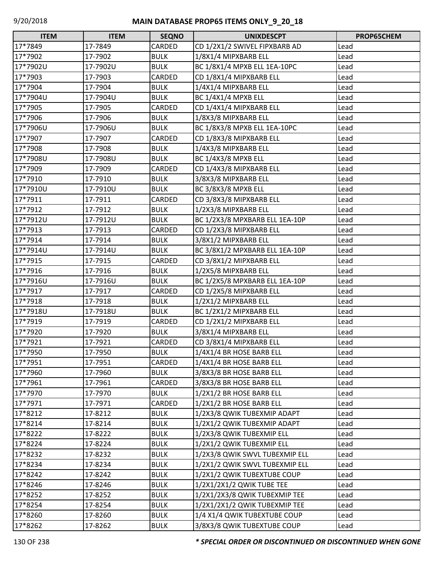| <b>ITEM</b> | <b>ITEM</b> | <b>SEQNO</b> | <b>UNIXDESCPT</b>              | PROP65CHEM |
|-------------|-------------|--------------|--------------------------------|------------|
| 17*7849     | 17-7849     | CARDED       | CD 1/2X1/2 SWIVEL FIPXBARB AD  | Lead       |
| 17*7902     | 17-7902     | <b>BULK</b>  | 1/8X1/4 MIPXBARB ELL           | Lead       |
| 17*7902U    | 17-7902U    | <b>BULK</b>  | BC 1/8X1/4 MPXB ELL 1EA-10PC   | Lead       |
| 17*7903     | 17-7903     | CARDED       | CD 1/8X1/4 MIPXBARB ELL        | Lead       |
| 17*7904     | 17-7904     | <b>BULK</b>  | 1/4X1/4 MIPXBARB ELL           | Lead       |
| 17*7904U    | 17-7904U    | <b>BULK</b>  | BC 1/4X1/4 MPXB ELL            | Lead       |
| 17*7905     | 17-7905     | CARDED       | CD 1/4X1/4 MIPXBARB ELL        | Lead       |
| 17*7906     | 17-7906     | <b>BULK</b>  | 1/8X3/8 MIPXBARB ELL           | Lead       |
| 17*7906U    | 17-7906U    | <b>BULK</b>  | BC 1/8X3/8 MPXB ELL 1EA-10PC   | Lead       |
| 17*7907     | 17-7907     | CARDED       | CD 1/8X3/8 MIPXBARB ELL        | Lead       |
| 17*7908     | 17-7908     | <b>BULK</b>  | 1/4X3/8 MIPXBARB ELL           | Lead       |
| 17*7908U    | 17-7908U    | <b>BULK</b>  | <b>BC 1/4X3/8 MPXB ELL</b>     | Lead       |
| 17*7909     | 17-7909     | CARDED       | CD 1/4X3/8 MIPXBARB ELL        | Lead       |
| 17*7910     | 17-7910     | <b>BULK</b>  | 3/8X3/8 MIPXBARB ELL           | Lead       |
| 17*7910U    | 17-7910U    | <b>BULK</b>  | BC 3/8X3/8 MPXB ELL            | Lead       |
| 17*7911     | 17-7911     | CARDED       | CD 3/8X3/8 MIPXBARB ELL        | Lead       |
| 17*7912     | 17-7912     | <b>BULK</b>  | 1/2X3/8 MIPXBARB ELL           | Lead       |
| 17*7912U    | 17-7912U    | <b>BULK</b>  | BC 1/2X3/8 MPXBARB ELL 1EA-10P | Lead       |
| 17*7913     | 17-7913     | CARDED       | CD 1/2X3/8 MIPXBARB ELL        | Lead       |
| 17*7914     | 17-7914     | <b>BULK</b>  | 3/8X1/2 MIPXBARB ELL           | Lead       |
| 17*7914U    | 17-7914U    | <b>BULK</b>  | BC 3/8X1/2 MPXBARB ELL 1EA-10P | Lead       |
| 17*7915     | 17-7915     | CARDED       | CD 3/8X1/2 MIPXBARB ELL        | Lead       |
| 17*7916     | 17-7916     | <b>BULK</b>  | 1/2X5/8 MIPXBARB ELL           | Lead       |
| 17*7916U    | 17-7916U    | <b>BULK</b>  | BC 1/2X5/8 MPXBARB ELL 1EA-10P | Lead       |
| 17*7917     | 17-7917     | CARDED       | CD 1/2X5/8 MIPXBARB ELL        | Lead       |
| 17*7918     | 17-7918     | <b>BULK</b>  | 1/2X1/2 MIPXBARB ELL           | Lead       |
| 17*7918U    | 17-7918U    | <b>BULK</b>  | BC 1/2X1/2 MIPXBARB ELL        | Lead       |
| 17*7919     | 17-7919     | CARDED       | CD 1/2X1/2 MIPXBARB ELL        | Lead       |
| 17*7920     | 17-7920     | <b>BULK</b>  | 3/8X1/4 MIPXBARB ELL           | Lead       |
| 17*7921     | 17-7921     | CARDED       | CD 3/8X1/4 MIPXBARB ELL        | Lead       |
| 17*7950     | 17-7950     | <b>BULK</b>  | 1/4X1/4 BR HOSE BARB ELL       | Lead       |
| 17*7951     | 17-7951     | CARDED       | 1/4X1/4 BR HOSE BARB ELL       | Lead       |
| 17*7960     | 17-7960     | <b>BULK</b>  | 3/8X3/8 BR HOSE BARB ELL       | Lead       |
| 17*7961     | 17-7961     | CARDED       | 3/8X3/8 BR HOSE BARB ELL       | Lead       |
| 17*7970     | 17-7970     | <b>BULK</b>  | 1/2X1/2 BR HOSE BARB ELL       | Lead       |
| 17*7971     | 17-7971     | CARDED       | 1/2X1/2 BR HOSE BARB ELL       | Lead       |
| 17*8212     | 17-8212     | <b>BULK</b>  | 1/2X3/8 QWIK TUBEXMIP ADAPT    | Lead       |
| 17*8214     | 17-8214     | <b>BULK</b>  | 1/2X1/2 QWIK TUBEXMIP ADAPT    | Lead       |
| 17*8222     | 17-8222     | <b>BULK</b>  | 1/2X3/8 QWIK TUBEXMIP ELL      | Lead       |
| 17*8224     | 17-8224     | <b>BULK</b>  | 1/2X1/2 QWIK TUBEXMIP ELL      | Lead       |
| 17*8232     | 17-8232     | <b>BULK</b>  | 1/2X3/8 QWIK SWVL TUBEXMIP ELL | Lead       |
| 17*8234     | 17-8234     | <b>BULK</b>  | 1/2X1/2 QWIK SWVL TUBEXMIP ELL | Lead       |
| 17*8242     | 17-8242     | <b>BULK</b>  | 1/2X1/2 QWIK TUBEXTUBE COUP    | Lead       |
| 17*8246     | 17-8246     | <b>BULK</b>  | 1/2X1/2X1/2 QWIK TUBE TEE      | Lead       |
| 17*8252     | 17-8252     | <b>BULK</b>  | 1/2X1/2X3/8 QWIK TUBEXMIP TEE  | Lead       |
| 17*8254     | 17-8254     | <b>BULK</b>  | 1/2X1/2X1/2 QWIK TUBEXMIP TEE  | Lead       |
| 17*8260     | 17-8260     | <b>BULK</b>  | 1/4 X1/4 QWIK TUBEXTUBE COUP   | Lead       |
| 17*8262     | 17-8262     | <b>BULK</b>  | 3/8X3/8 QWIK TUBEXTUBE COUP    | Lead       |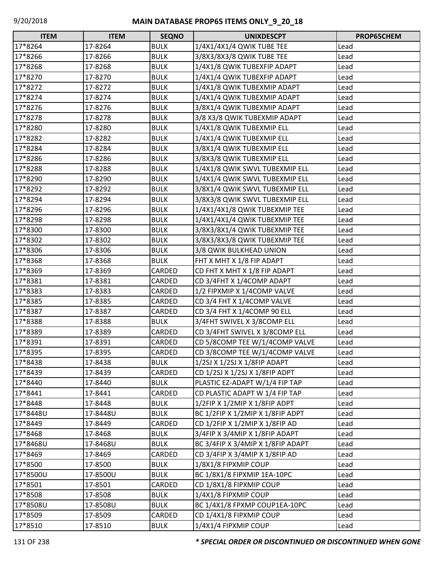| <b>ITEM</b> | <b>ITEM</b> | <b>SEQNO</b> | <b>UNIXDESCPT</b>                 | PROP65CHEM |
|-------------|-------------|--------------|-----------------------------------|------------|
| 17*8264     | 17-8264     | <b>BULK</b>  | 1/4X1/4X1/4 QWIK TUBE TEE         | Lead       |
| 17*8266     | 17-8266     | <b>BULK</b>  | 3/8X3/8X3/8 QWIK TUBE TEE         | Lead       |
| 17*8268     | 17-8268     | <b>BULK</b>  | 1/4X1/8 QWIK TUBEXFIP ADAPT       | Lead       |
| 17*8270     | 17-8270     | <b>BULK</b>  | 1/4X1/4 QWIK TUBEXFIP ADAPT       | Lead       |
| 17*8272     | 17-8272     | <b>BULK</b>  | 1/4X1/8 QWIK TUBEXMIP ADAPT       | Lead       |
| 17*8274     | 17-8274     | <b>BULK</b>  | 1/4X1/4 QWIK TUBEXMIP ADAPT       | Lead       |
| 17*8276     | 17-8276     | <b>BULK</b>  | 3/8X1/4 QWIK TUBEXMIP ADAPT       | Lead       |
| 17*8278     | 17-8278     | <b>BULK</b>  | 3/8 X3/8 QWIK TUBEXMIP ADAPT      | Lead       |
| 17*8280     | 17-8280     | <b>BULK</b>  | 1/4X1/8 QWIK TUBEXMIP ELL         | Lead       |
| 17*8282     | 17-8282     | <b>BULK</b>  | 1/4X1/4 QWIK TUBEXMIP ELL         | Lead       |
| 17*8284     | 17-8284     | <b>BULK</b>  | 3/8X1/4 QWIK TUBEXMIP ELL         | Lead       |
| 17*8286     | 17-8286     | <b>BULK</b>  | 3/8X3/8 QWIK TUBEXMIP ELL         | Lead       |
| 17*8288     | 17-8288     | <b>BULK</b>  | 1/4X1/8 QWIK SWVL TUBEXMIP ELL    | Lead       |
| 17*8290     | 17-8290     | <b>BULK</b>  | 1/4X1/4 QWIK SWVL TUBEXMIP ELL    | Lead       |
| 17*8292     | 17-8292     | <b>BULK</b>  | 3/8X1/4 QWIK SWVL TUBEXMIP ELL    | Lead       |
| 17*8294     | 17-8294     | <b>BULK</b>  | 3/8X3/8 QWIK SWVL TUBEXMIP ELL    | Lead       |
| 17*8296     | 17-8296     | <b>BULK</b>  | 1/4X1/4X1/8 QWIK TUBEXMIP TEE     | Lead       |
| 17*8298     | 17-8298     | <b>BULK</b>  | 1/4X1/4X1/4 QWIK TUBEXMIP TEE     | Lead       |
| 17*8300     | 17-8300     | <b>BULK</b>  | 3/8X3/8X1/4 QWIK TUBEXMIP TEE     | Lead       |
| 17*8302     | 17-8302     | <b>BULK</b>  | 3/8X3/8X3/8 QWIK TUBEXMIP TEE     | Lead       |
| 17*8306     | 17-8306     | <b>BULK</b>  | 3/8 QWIK BULKHEAD UNION           | Lead       |
| 17*8368     | 17-8368     | <b>BULK</b>  | FHT X MHT X 1/8 FIP ADAPT         | Lead       |
| 17*8369     | 17-8369     | CARDED       | CD FHT X MHT X 1/8 FIP ADAPT      | Lead       |
| 17*8381     | 17-8381     | CARDED       | CD 3/4FHT X 1/4COMP ADAPT         | Lead       |
| 17*8383     | 17-8383     | CARDED       | 1/2 FIPXMIP X 1/4COMP VALVE       | Lead       |
| 17*8385     | 17-8385     | CARDED       | CD 3/4 FHT X 1/4COMP VALVE        | Lead       |
| 17*8387     | 17-8387     | CARDED       | CD 3/4 FHT X 1/4COMP 90 ELL       | Lead       |
| 17*8388     | 17-8388     | <b>BULK</b>  | 3/4FHT SWIVEL X 3/8COMP ELL       | Lead       |
| 17*8389     | 17-8389     | CARDED       | CD 3/4FHT SWIVEL X 3/8COMP ELL    | Lead       |
| 17*8391     | 17-8391     | CARDED       | CD 5/8COMP TEE W/1/4COMP VALVE    | Lead       |
| 17*8395     | 17-8395     | CARDED       | CD 3/8COMP TEE W/1/4COMP VALVE    | Lead       |
| 17*8438     | 17-8438     | <b>BULK</b>  | 1/2SJ X 1/2SJ X 1/8FIP ADAPT      | Lead       |
| 17*8439     | 17-8439     | CARDED       | CD 1/2SJ X 1/2SJ X 1/8FIP ADPT    | Lead       |
| 17*8440     | 17-8440     | <b>BULK</b>  | PLASTIC EZ-ADAPT W/1/4 FIP TAP    | Lead       |
| 17*8441     | 17-8441     | CARDED       | CD PLASTIC ADAPT W 1/4 FIP TAP    | Lead       |
| 17*8448     | 17-8448     | <b>BULK</b>  | 1/2FIP X 1/2MIP X 1/8FIP ADPT     | Lead       |
| 17*8448U    | 17-8448U    | <b>BULK</b>  | BC 1/2FIP X 1/2MIP X 1/8FIP ADPT  | Lead       |
| 17*8449     | 17-8449     | CARDED       | CD 1/2FIP X 1/2MIP X 1/8FIP AD    | Lead       |
| 17*8468     | 17-8468     | <b>BULK</b>  | 3/4FIP X 3/4MIP X 1/8FIP ADAPT    | Lead       |
| 17*8468U    | 17-8468U    | <b>BULK</b>  | BC 3/4FIP X 3/4MIP X 1/8FIP ADAPT | Lead       |
| 17*8469     | 17-8469     | CARDED       | CD 3/4FIP X 3/4MIP X 1/8FIP AD    | Lead       |
| 17*8500     | 17-8500     | <b>BULK</b>  | 1/8X1/8 FIPXMIP COUP              | Lead       |
| 17*8500U    | 17-8500U    | <b>BULK</b>  | BC 1/8X1/8 FIPXMIP 1EA-10PC       | Lead       |
| 17*8501     | 17-8501     | CARDED       | CD 1/8X1/8 FIPXMIP COUP           | Lead       |
| 17*8508     | 17-8508     | <b>BULK</b>  | 1/4X1/8 FIPXMIP COUP              | Lead       |
| 17*8508U    | 17-8508U    | <b>BULK</b>  | BC 1/4X1/8 FPXMP COUP1EA-10PC     | Lead       |
| 17*8509     | 17-8509     | CARDED       | CD 1/4X1/8 FIPXMIP COUP           | Lead       |
| 17*8510     | 17-8510     | <b>BULK</b>  | 1/4X1/4 FIPXMIP COUP              | Lead       |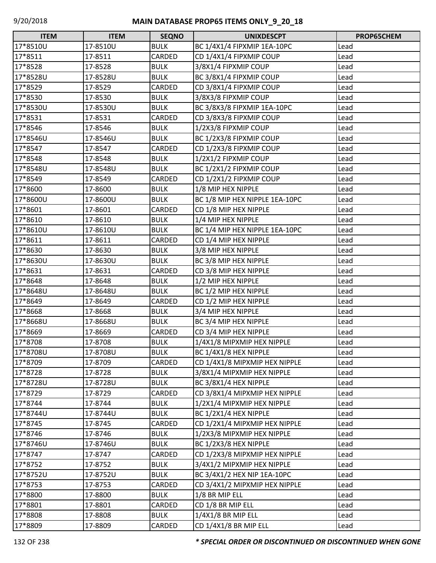| <b>ITEM</b> | <b>ITEM</b> | <b>SEQNO</b> | <b>UNIXDESCPT</b>              | PROP65CHEM |
|-------------|-------------|--------------|--------------------------------|------------|
| 17*8510U    | 17-8510U    | <b>BULK</b>  | BC 1/4X1/4 FIPXMIP 1EA-10PC    | Lead       |
| 17*8511     | 17-8511     | CARDED       | CD 1/4X1/4 FIPXMIP COUP        | Lead       |
| 17*8528     | 17-8528     | <b>BULK</b>  | 3/8X1/4 FIPXMIP COUP           | Lead       |
| 17*8528U    | 17-8528U    | <b>BULK</b>  | BC 3/8X1/4 FIPXMIP COUP        | Lead       |
| 17*8529     | 17-8529     | CARDED       | CD 3/8X1/4 FIPXMIP COUP        | Lead       |
| 17*8530     | 17-8530     | <b>BULK</b>  | 3/8X3/8 FIPXMIP COUP           | Lead       |
| 17*8530U    | 17-8530U    | <b>BULK</b>  | BC 3/8X3/8 FIPXMIP 1EA-10PC    | Lead       |
| 17*8531     | 17-8531     | CARDED       | CD 3/8X3/8 FIPXMIP COUP        | Lead       |
| 17*8546     | 17-8546     | <b>BULK</b>  | 1/2X3/8 FIPXMIP COUP           | Lead       |
| 17*8546U    | 17-8546U    | <b>BULK</b>  | BC 1/2X3/8 FIPXMIP COUP        | Lead       |
| 17*8547     | 17-8547     | CARDED       | CD 1/2X3/8 FIPXMIP COUP        | Lead       |
| 17*8548     | 17-8548     | <b>BULK</b>  | 1/2X1/2 FIPXMIP COUP           | Lead       |
| 17*8548U    | 17-8548U    | <b>BULK</b>  | BC 1/2X1/2 FIPXMIP COUP        | Lead       |
| 17*8549     | 17-8549     | CARDED       | CD 1/2X1/2 FIPXMIP COUP        | Lead       |
| 17*8600     | 17-8600     | <b>BULK</b>  | 1/8 MIP HEX NIPPLE             | Lead       |
| 17*8600U    | 17-8600U    | <b>BULK</b>  | BC 1/8 MIP HEX NIPPLE 1EA-10PC | Lead       |
| 17*8601     | 17-8601     | CARDED       | CD 1/8 MIP HEX NIPPLE          | Lead       |
| 17*8610     | 17-8610     | <b>BULK</b>  | 1/4 MIP HEX NIPPLE             | Lead       |
| 17*8610U    | 17-8610U    | <b>BULK</b>  | BC 1/4 MIP HEX NIPPLE 1EA-10PC | Lead       |
| 17*8611     | 17-8611     | CARDED       | CD 1/4 MIP HEX NIPPLE          | Lead       |
| 17*8630     | 17-8630     | <b>BULK</b>  | 3/8 MIP HEX NIPPLE             | Lead       |
| 17*8630U    | 17-8630U    | <b>BULK</b>  | BC 3/8 MIP HEX NIPPLE          | Lead       |
| 17*8631     | 17-8631     | CARDED       | CD 3/8 MIP HEX NIPPLE          | Lead       |
| 17*8648     | 17-8648     | <b>BULK</b>  | 1/2 MIP HEX NIPPLE             | Lead       |
| 17*8648U    | 17-8648U    | <b>BULK</b>  | BC 1/2 MIP HEX NIPPLE          | Lead       |
| 17*8649     | 17-8649     | CARDED       | CD 1/2 MIP HEX NIPPLE          | Lead       |
| 17*8668     | 17-8668     | <b>BULK</b>  | 3/4 MIP HEX NIPPLE             | Lead       |
| 17*8668U    | 17-8668U    | <b>BULK</b>  | BC 3/4 MIP HEX NIPPLE          | Lead       |
| 17*8669     | 17-8669     | CARDED       | CD 3/4 MIP HEX NIPPLE          | Lead       |
| 17*8708     | 17-8708     | <b>BULK</b>  | 1/4X1/8 MIPXMIP HEX NIPPLE     | Lead       |
| 17*8708U    | 17-8708U    | <b>BULK</b>  | BC 1/4X1/8 HEX NIPPLE          | Lead       |
| 17*8709     | 17-8709     | CARDED       | CD 1/4X1/8 MIPXMIP HEX NIPPLE  | Lead       |
| 17*8728     | 17-8728     | <b>BULK</b>  | 3/8X1/4 MIPXMIP HEX NIPPLE     | Lead       |
| 17*8728U    | 17-8728U    | <b>BULK</b>  | BC 3/8X1/4 HEX NIPPLE          | Lead       |
| 17*8729     | 17-8729     | CARDED       | CD 3/8X1/4 MIPXMIP HEX NIPPLE  | Lead       |
| 17*8744     | 17-8744     | <b>BULK</b>  | 1/2X1/4 MIPXMIP HEX NIPPLE     | Lead       |
| 17*8744U    | 17-8744U    | <b>BULK</b>  | BC 1/2X1/4 HEX NIPPLE          | Lead       |
| 17*8745     | 17-8745     | CARDED       | CD 1/2X1/4 MIPXMIP HEX NIPPLE  | Lead       |
| 17*8746     | 17-8746     | <b>BULK</b>  | 1/2X3/8 MIPXMIP HEX NIPPLE     | Lead       |
| 17*8746U    | 17-8746U    | <b>BULK</b>  | BC 1/2X3/8 HEX NIPPLE          | Lead       |
| 17*8747     | 17-8747     | CARDED       | CD 1/2X3/8 MIPXMIP HEX NIPPLE  | Lead       |
| 17*8752     | 17-8752     | <b>BULK</b>  | 3/4X1/2 MIPXMIP HEX NIPPLE     | Lead       |
| 17*8752U    | 17-8752U    | <b>BULK</b>  | BC 3/4X1/2 HEX NIP 1EA-10PC    | Lead       |
| 17*8753     | 17-8753     | CARDED       | CD 3/4X1/2 MIPXMIP HEX NIPPLE  | Lead       |
| 17*8800     | 17-8800     | <b>BULK</b>  | 1/8 BR MIP ELL                 | Lead       |
| 17*8801     | 17-8801     | CARDED       | CD 1/8 BR MIP ELL              | Lead       |
| 17*8808     | 17-8808     | <b>BULK</b>  | 1/4X1/8 BR MIP ELL             | Lead       |
| 17*8809     | 17-8809     | CARDED       | CD 1/4X1/8 BR MIP ELL          | Lead       |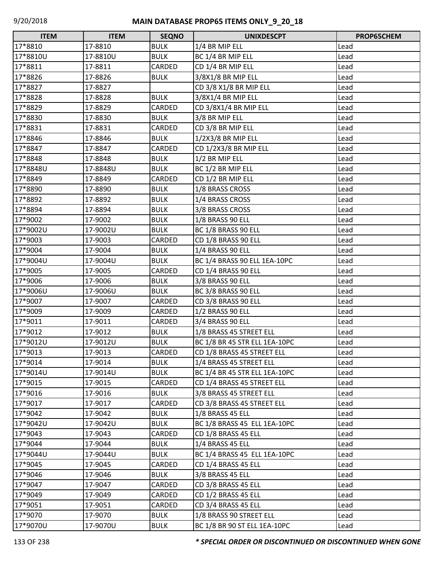| $\Box$<br><b>ITEM</b> | <b>ITEM</b> | <b>SEQNO</b> | <b>UNIXDESCPT</b>             | PROP65CHEM |
|-----------------------|-------------|--------------|-------------------------------|------------|
| 17*8810               | 17-8810     | <b>BULK</b>  | 1/4 BR MIP ELL                | Lead       |
| 17*8810U              | 17-8810U    | <b>BULK</b>  | BC 1/4 BR MIP ELL             | Lead       |
| 17*8811               | 17-8811     | CARDED       | CD 1/4 BR MIP ELL             | Lead       |
| 17*8826               | 17-8826     | <b>BULK</b>  | 3/8X1/8 BR MIP ELL            | Lead       |
| 17*8827               | 17-8827     |              | CD 3/8 X1/8 BR MIP ELL        | Lead       |
| 17*8828               | 17-8828     | <b>BULK</b>  | 3/8X1/4 BR MIP ELL            | Lead       |
| 17*8829               | 17-8829     | CARDED       | CD 3/8X1/4 BR MIP ELL         | Lead       |
| 17*8830               | 17-8830     | <b>BULK</b>  | 3/8 BR MIP ELL                | Lead       |
| 17*8831               | 17-8831     | CARDED       | CD 3/8 BR MIP ELL             | Lead       |
| 17*8846               | 17-8846     | <b>BULK</b>  | 1/2X3/8 BR MIP ELL            | Lead       |
| 17*8847               | 17-8847     | CARDED       | CD 1/2X3/8 BR MIP ELL         | Lead       |
| 17*8848               | 17-8848     | <b>BULK</b>  | 1/2 BR MIP ELL                | Lead       |
| 17*8848U              | 17-8848U    | <b>BULK</b>  | BC 1/2 BR MIP ELL             | Lead       |
| 17*8849               | 17-8849     | CARDED       | CD 1/2 BR MIP ELL             | Lead       |
| 17*8890               | 17-8890     | <b>BULK</b>  | 1/8 BRASS CROSS               | Lead       |
| 17*8892               | 17-8892     | <b>BULK</b>  | 1/4 BRASS CROSS               | Lead       |
| 17*8894               | 17-8894     | <b>BULK</b>  | 3/8 BRASS CROSS               | Lead       |
| 17*9002               | 17-9002     | <b>BULK</b>  | 1/8 BRASS 90 ELL              | Lead       |
| 17*9002U              | 17-9002U    | <b>BULK</b>  | BC 1/8 BRASS 90 ELL           | Lead       |
| 17*9003               | 17-9003     | CARDED       | CD 1/8 BRASS 90 ELL           | Lead       |
| 17*9004               | 17-9004     | <b>BULK</b>  | 1/4 BRASS 90 ELL              | Lead       |
| 17*9004U              | 17-9004U    | <b>BULK</b>  | BC 1/4 BRASS 90 ELL 1EA-10PC  | Lead       |
| 17*9005               | 17-9005     | CARDED       | CD 1/4 BRASS 90 ELL           | Lead       |
| 17*9006               | 17-9006     | <b>BULK</b>  | 3/8 BRASS 90 ELL              | Lead       |
| 17*9006U              | 17-9006U    | <b>BULK</b>  | BC 3/8 BRASS 90 ELL           | Lead       |
| 17*9007               | 17-9007     | CARDED       | CD 3/8 BRASS 90 ELL           | Lead       |
| 17*9009               | 17-9009     | CARDED       | 1/2 BRASS 90 ELL              | Lead       |
| 17*9011               | 17-9011     | CARDED       | 3/4 BRASS 90 ELL              | Lead       |
| 17*9012               | 17-9012     | <b>BULK</b>  | 1/8 BRASS 45 STREET ELL       | Lead       |
| 17*9012U              | 17-9012U    | <b>BULK</b>  | BC 1/8 BR 45 STR ELL 1EA-10PC | Lead       |
| 17*9013               | 17-9013     | CARDED       | CD 1/8 BRASS 45 STREET ELL    | Lead       |
| 17*9014               | 17-9014     | <b>BULK</b>  | 1/4 BRASS 45 STREET ELL       | Lead       |
| 17*9014U              | 17-9014U    | <b>BULK</b>  | BC 1/4 BR 45 STR ELL 1EA-10PC | Lead       |
| 17*9015               | 17-9015     | CARDED       | CD 1/4 BRASS 45 STREET ELL    | Lead       |
| 17*9016               | 17-9016     | <b>BULK</b>  | 3/8 BRASS 45 STREET ELL       | Lead       |
| 17*9017               | 17-9017     | CARDED       | CD 3/8 BRASS 45 STREET ELL    | Lead       |
| 17*9042               | 17-9042     | <b>BULK</b>  | 1/8 BRASS 45 ELL              | Lead       |
| 17*9042U              | 17-9042U    | <b>BULK</b>  | BC 1/8 BRASS 45 ELL 1EA-10PC  | Lead       |
| 17*9043               | 17-9043     | CARDED       | ICD 1/8 BRASS 45 ELL          | Lead       |
| 17*9044               | 17-9044     | <b>BULK</b>  | 1/4 BRASS 45 ELL              | Lead       |
| 17*9044U              | 17-9044U    | <b>BULK</b>  | BC 1/4 BRASS 45 ELL 1EA-10PC  | Lead       |
| 17*9045               | 17-9045     | CARDED       | CD 1/4 BRASS 45 ELL           | Lead       |
| 17*9046               | 17-9046     | <b>BULK</b>  | 3/8 BRASS 45 ELL              | Lead       |
| 17*9047               | 17-9047     | CARDED       | CD 3/8 BRASS 45 ELL           | Lead       |
| 17*9049               | 17-9049     | CARDED       | CD 1/2 BRASS 45 ELL           | Lead       |
| 17*9051               | 17-9051     | CARDED       | CD 3/4 BRASS 45 ELL           | Lead       |
| 17*9070               | 17-9070     | <b>BULK</b>  | 1/8 BRASS 90 STREET ELL       | Lead       |
| 17*9070U              | 17-9070U    | <b>BULK</b>  | BC 1/8 BR 90 ST ELL 1EA-10PC  | Lead       |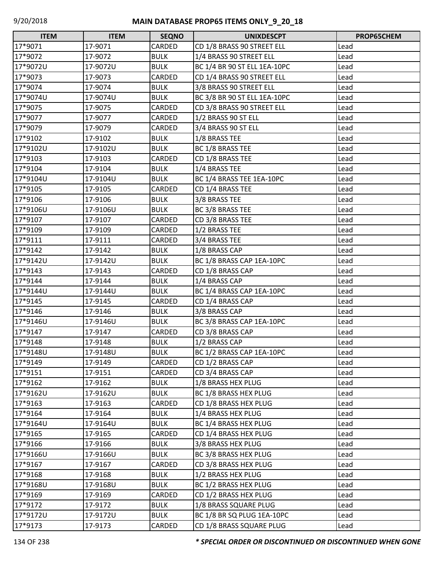| <b>ITEM</b> | <b>ITEM</b> | <b>SEQNO</b> | <b>UNIXDESCPT</b>            | PROP65CHEM |
|-------------|-------------|--------------|------------------------------|------------|
| 17*9071     | 17-9071     | CARDED       | CD 1/8 BRASS 90 STREET ELL   | Lead       |
| 17*9072     | 17-9072     | <b>BULK</b>  | 1/4 BRASS 90 STREET ELL      | Lead       |
| 17*9072U    | 17-9072U    | <b>BULK</b>  | BC 1/4 BR 90 ST ELL 1EA-10PC | Lead       |
| 17*9073     | 17-9073     | CARDED       | CD 1/4 BRASS 90 STREET ELL   | Lead       |
| 17*9074     | 17-9074     | <b>BULK</b>  | 3/8 BRASS 90 STREET ELL      | Lead       |
| 17*9074U    | 17-9074U    | <b>BULK</b>  | BC 3/8 BR 90 ST ELL 1EA-10PC | Lead       |
| 17*9075     | 17-9075     | CARDED       | CD 3/8 BRASS 90 STREET ELL   | Lead       |
| 17*9077     | 17-9077     | CARDED       | 1/2 BRASS 90 ST ELL          | Lead       |
| 17*9079     | 17-9079     | CARDED       | 3/4 BRASS 90 ST ELL          | Lead       |
| 17*9102     | 17-9102     | <b>BULK</b>  | 1/8 BRASS TEE                | Lead       |
| 17*9102U    | 17-9102U    | <b>BULK</b>  | BC 1/8 BRASS TEE             | Lead       |
| 17*9103     | 17-9103     | CARDED       | CD 1/8 BRASS TEE             | Lead       |
| 17*9104     | 17-9104     | <b>BULK</b>  | 1/4 BRASS TEE                | Lead       |
| 17*9104U    | 17-9104U    | <b>BULK</b>  | BC 1/4 BRASS TEE 1EA-10PC    | Lead       |
| 17*9105     | 17-9105     | CARDED       | CD 1/4 BRASS TEE             | Lead       |
| 17*9106     | 17-9106     | <b>BULK</b>  | 3/8 BRASS TEE                | Lead       |
| 17*9106U    | 17-9106U    | <b>BULK</b>  | BC 3/8 BRASS TEE             | Lead       |
| 17*9107     | 17-9107     | CARDED       | CD 3/8 BRASS TEE             | Lead       |
| 17*9109     | 17-9109     | CARDED       | 1/2 BRASS TEE                | Lead       |
| 17*9111     | 17-9111     | CARDED       | 3/4 BRASS TEE                | Lead       |
| 17*9142     | 17-9142     | <b>BULK</b>  | 1/8 BRASS CAP                | Lead       |
| 17*9142U    | 17-9142U    | <b>BULK</b>  | BC 1/8 BRASS CAP 1EA-10PC    | Lead       |
| 17*9143     | 17-9143     | CARDED       | CD 1/8 BRASS CAP             | Lead       |
| 17*9144     | 17-9144     | <b>BULK</b>  | 1/4 BRASS CAP                | Lead       |
| 17*9144U    | 17-9144U    | <b>BULK</b>  | BC 1/4 BRASS CAP 1EA-10PC    | Lead       |
| 17*9145     | 17-9145     | CARDED       | CD 1/4 BRASS CAP             | Lead       |
| 17*9146     | 17-9146     | <b>BULK</b>  | 3/8 BRASS CAP                | Lead       |
| 17*9146U    | 17-9146U    | <b>BULK</b>  | BC 3/8 BRASS CAP 1EA-10PC    | Lead       |
| 17*9147     | 17-9147     | CARDED       | CD 3/8 BRASS CAP             | Lead       |
| 17*9148     | 17-9148     | <b>BULK</b>  | 1/2 BRASS CAP                | Lead       |
| 17*9148U    | 17-9148U    | <b>BULK</b>  | BC 1/2 BRASS CAP 1EA-10PC    | Lead       |
| 17*9149     | 17-9149     | CARDED       | CD 1/2 BRASS CAP             | Lead       |
| 17*9151     | 17-9151     | CARDED       | CD 3/4 BRASS CAP             | Lead       |
| 17*9162     | 17-9162     | <b>BULK</b>  | 1/8 BRASS HEX PLUG           | Lead       |
| 17*9162U    | 17-9162U    | <b>BULK</b>  | BC 1/8 BRASS HEX PLUG        | Lead       |
| 17*9163     | 17-9163     | CARDED       | CD 1/8 BRASS HEX PLUG        | Lead       |
| 17*9164     | 17-9164     | <b>BULK</b>  | 1/4 BRASS HEX PLUG           | Lead       |
| 17*9164U    | 17-9164U    | <b>BULK</b>  | BC 1/4 BRASS HEX PLUG        | Lead       |
| 17*9165     | 17-9165     | CARDED       | CD 1/4 BRASS HEX PLUG        | Lead       |
| 17*9166     | 17-9166     | <b>BULK</b>  | 3/8 BRASS HEX PLUG           | Lead       |
| 17*9166U    | 17-9166U    | <b>BULK</b>  | BC 3/8 BRASS HEX PLUG        | Lead       |
| 17*9167     | 17-9167     | CARDED       | CD 3/8 BRASS HEX PLUG        | Lead       |
| 17*9168     | 17-9168     | <b>BULK</b>  | 1/2 BRASS HEX PLUG           | Lead       |
| 17*9168U    | 17-9168U    | <b>BULK</b>  | BC 1/2 BRASS HEX PLUG        | Lead       |
| 17*9169     | 17-9169     | CARDED       | CD 1/2 BRASS HEX PLUG        | Lead       |
| 17*9172     | 17-9172     | <b>BULK</b>  | 1/8 BRASS SQUARE PLUG        | Lead       |
| 17*9172U    | 17-9172U    | <b>BULK</b>  | BC 1/8 BR SQ PLUG 1EA-10PC   | Lead       |
| 17*9173     | 17-9173     | CARDED       | CD 1/8 BRASS SQUARE PLUG     | Lead       |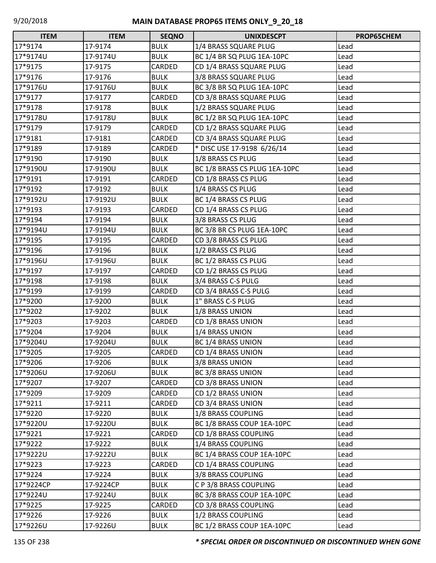| <b>ITEM</b> | <b>ITEM</b> | <b>SEQNO</b> | <b>UNIXDESCPT</b>             | PROP65CHEM |
|-------------|-------------|--------------|-------------------------------|------------|
| 17*9174     | 17-9174     | <b>BULK</b>  | 1/4 BRASS SQUARE PLUG         | Lead       |
| 17*9174U    | 17-9174U    | <b>BULK</b>  | BC 1/4 BR SQ PLUG 1EA-10PC    | Lead       |
| 17*9175     | 17-9175     | CARDED       | CD 1/4 BRASS SQUARE PLUG      | Lead       |
| 17*9176     | 17-9176     | <b>BULK</b>  | 3/8 BRASS SQUARE PLUG         | Lead       |
| 17*9176U    | 17-9176U    | <b>BULK</b>  | BC 3/8 BR SQ PLUG 1EA-10PC    | Lead       |
| 17*9177     | 17-9177     | CARDED       | CD 3/8 BRASS SQUARE PLUG      | Lead       |
| 17*9178     | 17-9178     | <b>BULK</b>  | 1/2 BRASS SQUARE PLUG         | Lead       |
| 17*9178U    | 17-9178U    | <b>BULK</b>  | BC 1/2 BR SQ PLUG 1EA-10PC    | Lead       |
| 17*9179     | 17-9179     | CARDED       | CD 1/2 BRASS SQUARE PLUG      | Lead       |
| 17*9181     | 17-9181     | CARDED       | CD 3/4 BRASS SQUARE PLUG      | Lead       |
| 17*9189     | 17-9189     | CARDED       | * DISC USE 17-9198 6/26/14    | Lead       |
| 17*9190     | 17-9190     | <b>BULK</b>  | 1/8 BRASS CS PLUG             | Lead       |
| 17*9190U    | 17-9190U    | <b>BULK</b>  | BC 1/8 BRASS CS PLUG 1EA-10PC | Lead       |
| 17*9191     | 17-9191     | CARDED       | CD 1/8 BRASS CS PLUG          | Lead       |
| 17*9192     | 17-9192     | <b>BULK</b>  | 1/4 BRASS CS PLUG             | Lead       |
| 17*9192U    | 17-9192U    | <b>BULK</b>  | BC 1/4 BRASS CS PLUG          | Lead       |
| 17*9193     | 17-9193     | CARDED       | CD 1/4 BRASS CS PLUG          | Lead       |
| 17*9194     | 17-9194     | <b>BULK</b>  | 3/8 BRASS CS PLUG             | Lead       |
| 17*9194U    | 17-9194U    | <b>BULK</b>  | BC 3/8 BR CS PLUG 1EA-10PC    | Lead       |
| 17*9195     | 17-9195     | CARDED       | CD 3/8 BRASS CS PLUG          | Lead       |
| 17*9196     | 17-9196     | <b>BULK</b>  | 1/2 BRASS CS PLUG             | Lead       |
| 17*9196U    | 17-9196U    | <b>BULK</b>  | BC 1/2 BRASS CS PLUG          | Lead       |
| 17*9197     | 17-9197     | CARDED       | CD 1/2 BRASS CS PLUG          | Lead       |
| 17*9198     | 17-9198     | <b>BULK</b>  | 3/4 BRASS C-S PULG            | Lead       |
| 17*9199     | 17-9199     | CARDED       | CD 3/4 BRASS C-S PULG         | Lead       |
| 17*9200     | 17-9200     | <b>BULK</b>  | 1" BRASS C-S PLUG             | Lead       |
| 17*9202     | 17-9202     | <b>BULK</b>  | 1/8 BRASS UNION               | Lead       |
| 17*9203     | 17-9203     | CARDED       | CD 1/8 BRASS UNION            | Lead       |
| 17*9204     | 17-9204     | <b>BULK</b>  | 1/4 BRASS UNION               | Lead       |
| 17*9204U    | 17-9204U    | <b>BULK</b>  | <b>BC 1/4 BRASS UNION</b>     | Lead       |
| 17*9205     | 17-9205     | CARDED       | CD 1/4 BRASS UNION            | Lead       |
| 17*9206     | 17-9206     | <b>BULK</b>  | 3/8 BRASS UNION               | Lead       |
| 17*9206U    | 17-9206U    | <b>BULK</b>  | <b>BC 3/8 BRASS UNION</b>     | Lead       |
| 17*9207     | 17-9207     | CARDED       | CD 3/8 BRASS UNION            | Lead       |
| 17*9209     | 17-9209     | CARDED       | CD 1/2 BRASS UNION            | Lead       |
| 17*9211     | 17-9211     | CARDED       | CD 3/4 BRASS UNION            | Lead       |
| 17*9220     | 17-9220     | <b>BULK</b>  | 1/8 BRASS COUPLING            | Lead       |
| 17*9220U    | 17-9220U    | <b>BULK</b>  | BC 1/8 BRASS COUP 1EA-10PC    | Lead       |
| 17*9221     | 17-9221     | CARDED       | CD 1/8 BRASS COUPLING         | Lead       |
| 17*9222     | 17-9222     | <b>BULK</b>  | 1/4 BRASS COUPLING            | Lead       |
| 17*9222U    | 17-9222U    | <b>BULK</b>  | BC 1/4 BRASS COUP 1EA-10PC    | Lead       |
| 17*9223     | 17-9223     | CARDED       | CD 1/4 BRASS COUPLING         | Lead       |
| 17*9224     | 17-9224     | <b>BULK</b>  | 3/8 BRASS COUPLING            | Lead       |
| 17*9224CP   | 17-9224CP   | <b>BULK</b>  | C P 3/8 BRASS COUPLING        | Lead       |
| 17*9224U    | 17-9224U    | <b>BULK</b>  | BC 3/8 BRASS COUP 1EA-10PC    | Lead       |
| 17*9225     | 17-9225     | CARDED       | CD 3/8 BRASS COUPLING         | Lead       |
| 17*9226     | 17-9226     | <b>BULK</b>  | 1/2 BRASS COUPLING            | Lead       |
| 17*9226U    | 17-9226U    | <b>BULK</b>  | BC 1/2 BRASS COUP 1EA-10PC    | Lead       |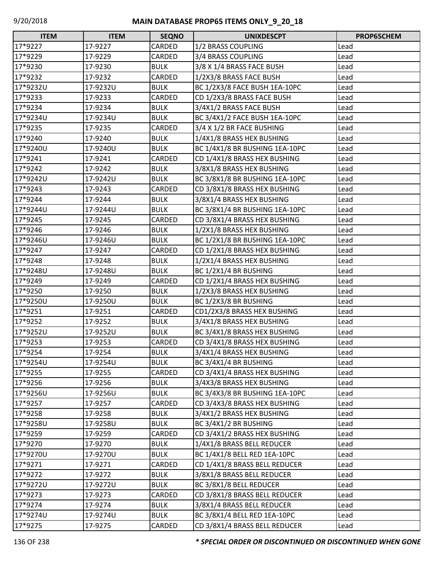| <b>ITEM</b> | <b>ITEM</b> | <b>SEQNO</b> | <b>UNIXDESCPT</b>              | PROP65CHEM |
|-------------|-------------|--------------|--------------------------------|------------|
| 17*9227     | 17-9227     | CARDED       | 1/2 BRASS COUPLING             | Lead       |
| 17*9229     | 17-9229     | CARDED       | 3/4 BRASS COUPLING             | Lead       |
| 17*9230     | 17-9230     | <b>BULK</b>  | 3/8 X 1/4 BRASS FACE BUSH      | Lead       |
| 17*9232     | 17-9232     | CARDED       | 1/2X3/8 BRASS FACE BUSH        | Lead       |
| 17*9232U    | 17-9232U    | <b>BULK</b>  | BC 1/2X3/8 FACE BUSH 1EA-10PC  | Lead       |
| 17*9233     | 17-9233     | CARDED       | CD 1/2X3/8 BRASS FACE BUSH     | Lead       |
| 17*9234     | 17-9234     | <b>BULK</b>  | 3/4X1/2 BRASS FACE BUSH        | Lead       |
| 17*9234U    | 17-9234U    | <b>BULK</b>  | BC 3/4X1/2 FACE BUSH 1EA-10PC  | Lead       |
| 17*9235     | 17-9235     | CARDED       | 3/4 X 1/2 BR FACE BUSHING      | Lead       |
| 17*9240     | 17-9240     | <b>BULK</b>  | 1/4X1/8 BRASS HEX BUSHING      | Lead       |
| 17*9240U    | 17-9240U    | <b>BULK</b>  | BC 1/4X1/8 BR BUSHING 1EA-10PC | Lead       |
| 17*9241     | 17-9241     | CARDED       | CD 1/4X1/8 BRASS HEX BUSHING   | Lead       |
| 17*9242     | 17-9242     | <b>BULK</b>  | 3/8X1/8 BRASS HEX BUSHING      | Lead       |
| 17*9242U    | 17-9242U    | <b>BULK</b>  | BC 3/8X1/8 BR BUSHING 1EA-10PC | Lead       |
| 17*9243     | 17-9243     | CARDED       | CD 3/8X1/8 BRASS HEX BUSHING   | Lead       |
| 17*9244     | 17-9244     | <b>BULK</b>  | 3/8X1/4 BRASS HEX BUSHING      | Lead       |
| 17*9244U    | 17-9244U    | <b>BULK</b>  | BC 3/8X1/4 BR BUSHING 1EA-10PC | Lead       |
| 17*9245     | 17-9245     | CARDED       | CD 3/8X1/4 BRASS HEX BUSHING   | Lead       |
| 17*9246     | 17-9246     | <b>BULK</b>  | 1/2X1/8 BRASS HEX BUSHING      | Lead       |
| 17*9246U    | 17-9246U    | <b>BULK</b>  | BC 1/2X1/8 BR BUSHING 1EA-10PC | Lead       |
| 17*9247     | 17-9247     | CARDED       | CD 1/2X1/8 BRASS HEX BUSHING   | Lead       |
| 17*9248     | 17-9248     | <b>BULK</b>  | 1/2X1/4 BRASS HEX BUSHING      | Lead       |
| 17*9248U    | 17-9248U    | <b>BULK</b>  | BC 1/2X1/4 BR BUSHING          | Lead       |
| 17*9249     | 17-9249     | CARDED       | CD 1/2X1/4 BRASS HEX BUSHING   | Lead       |
| 17*9250     | 17-9250     | <b>BULK</b>  | 1/2X3/8 BRASS HEX BUSHING      | Lead       |
| 17*9250U    | 17-9250U    | <b>BULK</b>  | BC 1/2X3/8 BR BUSHING          | Lead       |
| 17*9251     | 17-9251     | CARDED       | CD1/2X3/8 BRASS HEX BUSHING    | Lead       |
| 17*9252     | 17-9252     | <b>BULK</b>  | 3/4X1/8 BRASS HEX BUSHING      | Lead       |
| 17*9252U    | 17-9252U    | <b>BULK</b>  | BC 3/4X1/8 BRASS HEX BUSHING   | Lead       |
| 17*9253     | 17-9253     | CARDED       | CD 3/4X1/8 BRASS HEX BUSHING   | Lead       |
| 17*9254     | 17-9254     | <b>BULK</b>  | 3/4X1/4 BRASS HEX BUSHING      | Lead       |
| 17*9254U    | 17-9254U    | <b>BULK</b>  | BC 3/4X1/4 BR BUSHING          | Lead       |
| 17*9255     | 17-9255     | CARDED       | CD 3/4X1/4 BRASS HEX BUSHING   | Lead       |
| 17*9256     | 17-9256     | <b>BULK</b>  | 3/4X3/8 BRASS HEX BUSHING      | Lead       |
| 17*9256U    | 17-9256U    | <b>BULK</b>  | BC 3/4X3/8 BR BUSHING 1EA-10PC | Lead       |
| 17*9257     | 17-9257     | CARDED       | CD 3/4X3/8 BRASS HEX BUSHING   | Lead       |
| 17*9258     | 17-9258     | <b>BULK</b>  | 3/4X1/2 BRASS HEX BUSHING      | Lead       |
| 17*9258U    | 17-9258U    | <b>BULK</b>  | BC 3/4X1/2 BR BUSHING          | Lead       |
| 17*9259     | 17-9259     | CARDED       | CD 3/4X1/2 BRASS HEX BUSHING   | Lead       |
| 17*9270     | 17-9270     | <b>BULK</b>  | 1/4X1/8 BRASS BELL REDUCER     | Lead       |
| 17*9270U    | 17-9270U    | <b>BULK</b>  | BC 1/4X1/8 BELL RED 1EA-10PC   | Lead       |
| 17*9271     | 17-9271     | CARDED       | CD 1/4X1/8 BRASS BELL REDUCER  | Lead       |
| 17*9272     | 17-9272     | <b>BULK</b>  | 3/8X1/8 BRASS BELL REDUCER     | Lead       |
| 17*9272U    | 17-9272U    | <b>BULK</b>  | BC 3/8X1/8 BELL REDUCER        | Lead       |
| 17*9273     | 17-9273     | CARDED       | CD 3/8X1/8 BRASS BELL REDUCER  | Lead       |
| 17*9274     | 17-9274     | <b>BULK</b>  | 3/8X1/4 BRASS BELL REDUCER     | Lead       |
| 17*9274U    | 17-9274U    | <b>BULK</b>  | BC 3/8X1/4 BELL RED 1EA-10PC   | Lead       |
| 17*9275     | 17-9275     | CARDED       | CD 3/8X1/4 BRASS BELL REDUCER  | Lead       |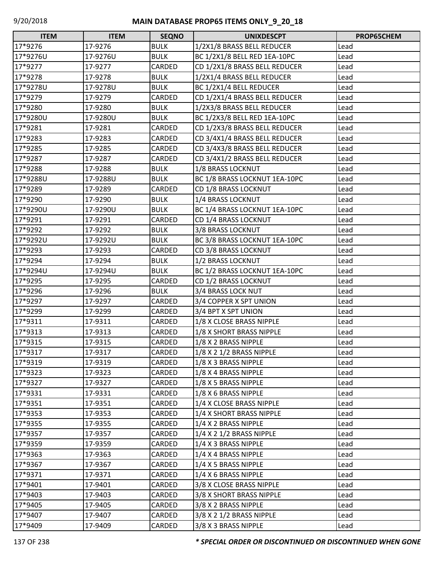| <b>ITEM</b> | <b>ITEM</b> | <b>SEQNO</b> | <b>UNIXDESCPT</b>             | PROP65CHEM |
|-------------|-------------|--------------|-------------------------------|------------|
| 17*9276     | 17-9276     | <b>BULK</b>  | 1/2X1/8 BRASS BELL REDUCER    | Lead       |
| 17*9276U    | 17-9276U    | <b>BULK</b>  | BC 1/2X1/8 BELL RED 1EA-10PC  | Lead       |
| 17*9277     | 17-9277     | CARDED       | CD 1/2X1/8 BRASS BELL REDUCER | Lead       |
| 17*9278     | 17-9278     | <b>BULK</b>  | 1/2X1/4 BRASS BELL REDUCER    | Lead       |
| 17*9278U    | 17-9278U    | <b>BULK</b>  | BC 1/2X1/4 BELL REDUCER       | Lead       |
| 17*9279     | 17-9279     | CARDED       | CD 1/2X1/4 BRASS BELL REDUCER | Lead       |
| 17*9280     | 17-9280     | <b>BULK</b>  | 1/2X3/8 BRASS BELL REDUCER    | Lead       |
| 17*9280U    | 17-9280U    | <b>BULK</b>  | BC 1/2X3/8 BELL RED 1EA-10PC  | Lead       |
| 17*9281     | 17-9281     | CARDED       | CD 1/2X3/8 BRASS BELL REDUCER | Lead       |
| 17*9283     | 17-9283     | CARDED       | CD 3/4X1/4 BRASS BELL REDUCER | Lead       |
| 17*9285     | 17-9285     | CARDED       | CD 3/4X3/8 BRASS BELL REDUCER | Lead       |
| 17*9287     | 17-9287     | CARDED       | CD 3/4X1/2 BRASS BELL REDUCER | Lead       |
| 17*9288     | 17-9288     | <b>BULK</b>  | 1/8 BRASS LOCKNUT             | Lead       |
| 17*9288U    | 17-9288U    | <b>BULK</b>  | BC 1/8 BRASS LOCKNUT 1EA-10PC | Lead       |
| 17*9289     | 17-9289     | CARDED       | CD 1/8 BRASS LOCKNUT          | Lead       |
| 17*9290     | 17-9290     | <b>BULK</b>  | 1/4 BRASS LOCKNUT             | Lead       |
| 17*9290U    | 17-9290U    | <b>BULK</b>  | BC 1/4 BRASS LOCKNUT 1EA-10PC | Lead       |
| 17*9291     | 17-9291     | CARDED       | CD 1/4 BRASS LOCKNUT          | Lead       |
| 17*9292     | 17-9292     | <b>BULK</b>  | 3/8 BRASS LOCKNUT             | Lead       |
| 17*9292U    | 17-9292U    | <b>BULK</b>  | BC 3/8 BRASS LOCKNUT 1EA-10PC | Lead       |
| 17*9293     | 17-9293     | CARDED       | CD 3/8 BRASS LOCKNUT          | Lead       |
| 17*9294     | 17-9294     | <b>BULK</b>  | 1/2 BRASS LOCKNUT             | Lead       |
| 17*9294U    | 17-9294U    | <b>BULK</b>  | BC 1/2 BRASS LOCKNUT 1EA-10PC | Lead       |
| 17*9295     | 17-9295     | CARDED       | CD 1/2 BRASS LOCKNUT          | Lead       |
| 17*9296     | 17-9296     | <b>BULK</b>  | 3/4 BRASS LOCK NUT            | Lead       |
| 17*9297     | 17-9297     | CARDED       | 3/4 COPPER X SPT UNION        | Lead       |
| 17*9299     | 17-9299     | CARDED       | 3/4 BPT X SPT UNION           | Lead       |
| 17*9311     | 17-9311     | CARDED       | 1/8 X CLOSE BRASS NIPPLE      | Lead       |
| 17*9313     | 17-9313     | CARDED       | 1/8 X SHORT BRASS NIPPLE      | Lead       |
| 17*9315     | 17-9315     | CARDED       | 1/8 X 2 BRASS NIPPLE          | Lead       |
| 17*9317     | 17-9317     | CARDED       | 1/8 X 2 1/2 BRASS NIPPLE      | Lead       |
| 17*9319     | 17-9319     | CARDED       | 1/8 X 3 BRASS NIPPLE          | Lead       |
| 17*9323     | 17-9323     | CARDED       | 1/8 X 4 BRASS NIPPLE          | Lead       |
| 17*9327     | 17-9327     | CARDED       | 1/8 X 5 BRASS NIPPLE          | Lead       |
| 17*9331     | 17-9331     | CARDED       | 1/8 X 6 BRASS NIPPLE          | Lead       |
| 17*9351     | 17-9351     | CARDED       | 1/4 X CLOSE BRASS NIPPLE      | Lead       |
| 17*9353     | 17-9353     | CARDED       | 1/4 X SHORT BRASS NIPPLE      | Lead       |
| 17*9355     | 17-9355     | CARDED       | 1/4 X 2 BRASS NIPPLE          | Lead       |
| 17*9357     | 17-9357     | CARDED       | $1/4$ X 2 $1/2$ BRASS NIPPLE  | Lead       |
| 17*9359     | 17-9359     | CARDED       | 1/4 X 3 BRASS NIPPLE          | Lead       |
| 17*9363     | 17-9363     | CARDED       | 1/4 X 4 BRASS NIPPLE          | Lead       |
| 17*9367     | 17-9367     | CARDED       | 1/4 X 5 BRASS NIPPLE          | Lead       |
| 17*9371     | 17-9371     | CARDED       | 1/4 X 6 BRASS NIPPLE          | Lead       |
| 17*9401     | 17-9401     | CARDED       | 3/8 X CLOSE BRASS NIPPLE      | Lead       |
| 17*9403     | 17-9403     | CARDED       | 3/8 X SHORT BRASS NIPPLE      | Lead       |
| 17*9405     | 17-9405     | CARDED       | 3/8 X 2 BRASS NIPPLE          | Lead       |
| 17*9407     | 17-9407     | CARDED       | 3/8 X 2 1/2 BRASS NIPPLE      | Lead       |
| 17*9409     | 17-9409     | CARDED       | 3/8 X 3 BRASS NIPPLE          | Lead       |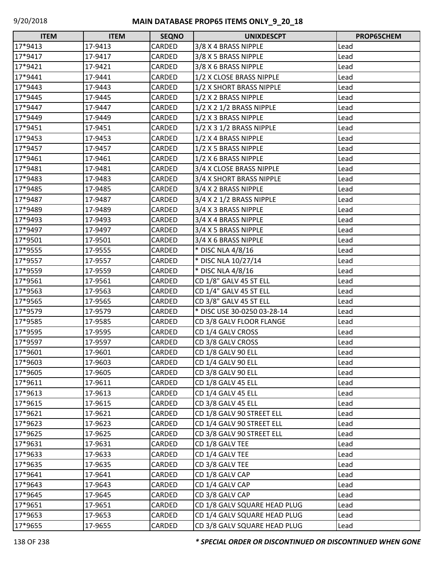| <b>ITEM</b> | <b>ITEM</b> | <b>SEQNO</b>  | <b>UNIXDESCPT</b>            | <b>PROP65CHEM</b> |
|-------------|-------------|---------------|------------------------------|-------------------|
| 17*9413     | 17-9413     | CARDED        | 3/8 X 4 BRASS NIPPLE         | Lead              |
| 17*9417     | 17-9417     | CARDED        | 3/8 X 5 BRASS NIPPLE         | Lead              |
| 17*9421     | 17-9421     | CARDED        | 3/8 X 6 BRASS NIPPLE         | Lead              |
| 17*9441     | 17-9441     | CARDED        | 1/2 X CLOSE BRASS NIPPLE     | Lead              |
| 17*9443     | 17-9443     | CARDED        | 1/2 X SHORT BRASS NIPPLE     | Lead              |
| 17*9445     | 17-9445     | CARDED        | 1/2 X 2 BRASS NIPPLE         | Lead              |
| 17*9447     | 17-9447     | CARDED        | 1/2 X 2 1/2 BRASS NIPPLE     | Lead              |
| 17*9449     | 17-9449     | CARDED        | 1/2 X 3 BRASS NIPPLE         | Lead              |
| 17*9451     | 17-9451     | CARDED        | 1/2 X 3 1/2 BRASS NIPPLE     | Lead              |
| 17*9453     | 17-9453     | CARDED        | 1/2 X 4 BRASS NIPPLE         | Lead              |
| 17*9457     | 17-9457     | CARDED        | 1/2 X 5 BRASS NIPPLE         | Lead              |
| 17*9461     | 17-9461     | CARDED        | 1/2 X 6 BRASS NIPPLE         | Lead              |
| 17*9481     | 17-9481     | CARDED        | 3/4 X CLOSE BRASS NIPPLE     | Lead              |
| 17*9483     | 17-9483     | CARDED        | 3/4 X SHORT BRASS NIPPLE     | Lead              |
| 17*9485     | 17-9485     | CARDED        | 3/4 X 2 BRASS NIPPLE         | Lead              |
| 17*9487     | 17-9487     | CARDED        | 3/4 X 2 1/2 BRASS NIPPLE     | Lead              |
| 17*9489     | 17-9489     | CARDED        | 3/4 X 3 BRASS NIPPLE         | Lead              |
| 17*9493     | 17-9493     | CARDED        | 3/4 X 4 BRASS NIPPLE         | Lead              |
| 17*9497     | 17-9497     | CARDED        | 3/4 X 5 BRASS NIPPLE         | Lead              |
| 17*9501     | 17-9501     | <b>CARDED</b> | 3/4 X 6 BRASS NIPPLE         | Lead              |
| 17*9555     | 17-9555     | CARDED        | * DISC NLA 4/8/16            | Lead              |
| 17*9557     | 17-9557     | CARDED        | * DISC NLA 10/27/14          | Lead              |
| 17*9559     | 17-9559     | CARDED        | * DISC NLA 4/8/16            | Lead              |
| 17*9561     | 17-9561     | CARDED        | CD 1/8" GALV 45 ST ELL       | Lead              |
| 17*9563     | 17-9563     | CARDED        | CD 1/4" GALV 45 ST ELL       | Lead              |
| 17*9565     | 17-9565     | CARDED        | CD 3/8" GALV 45 ST ELL       | Lead              |
| 17*9579     | 17-9579     | CARDED        | * DISC USE 30-0250 03-28-14  | Lead              |
| 17*9585     | 17-9585     | CARDED        | CD 3/8 GALV FLOOR FLANGE     | Lead              |
| 17*9595     | 17-9595     | CARDED        | CD 1/4 GALV CROSS            | Lead              |
| 17*9597     | 17-9597     | CARDED        | CD 3/8 GALV CROSS            | Lead              |
| 17*9601     | 17-9601     | <b>CARDED</b> | CD 1/8 GALV 90 ELL           | Lead              |
| 17*9603     | 17-9603     | CARDED        | CD 1/4 GALV 90 ELL           | Lead              |
| 17*9605     | 17-9605     | CARDED        | CD 3/8 GALV 90 ELL           | Lead              |
| 17*9611     | 17-9611     | CARDED        | CD 1/8 GALV 45 ELL           | Lead              |
| 17*9613     | 17-9613     | CARDED        | CD 1/4 GALV 45 ELL           | Lead              |
| 17*9615     | 17-9615     | CARDED        | CD 3/8 GALV 45 ELL           | Lead              |
| 17*9621     | 17-9621     | CARDED        | CD 1/8 GALV 90 STREET ELL    | Lead              |
| 17*9623     | 17-9623     | CARDED        | CD 1/4 GALV 90 STREET ELL    | Lead              |
| 17*9625     | 17-9625     | CARDED        | CD 3/8 GALV 90 STREET ELL    | Lead              |
| 17*9631     | 17-9631     | CARDED        | CD 1/8 GALV TEE              | Lead              |
| 17*9633     | 17-9633     | CARDED        | CD 1/4 GALV TEE              | Lead              |
| 17*9635     | 17-9635     | CARDED        | CD 3/8 GALV TEE              | Lead              |
| 17*9641     | 17-9641     | CARDED        | CD 1/8 GALV CAP              | Lead              |
| 17*9643     | 17-9643     | CARDED        | CD 1/4 GALV CAP              | Lead              |
| 17*9645     | 17-9645     | CARDED        | CD 3/8 GALV CAP              | Lead              |
| 17*9651     | 17-9651     | CARDED        | CD 1/8 GALV SQUARE HEAD PLUG | Lead              |
| 17*9653     | 17-9653     | CARDED        | CD 1/4 GALV SQUARE HEAD PLUG | Lead              |
| 17*9655     | 17-9655     | CARDED        | CD 3/8 GALV SQUARE HEAD PLUG | Lead              |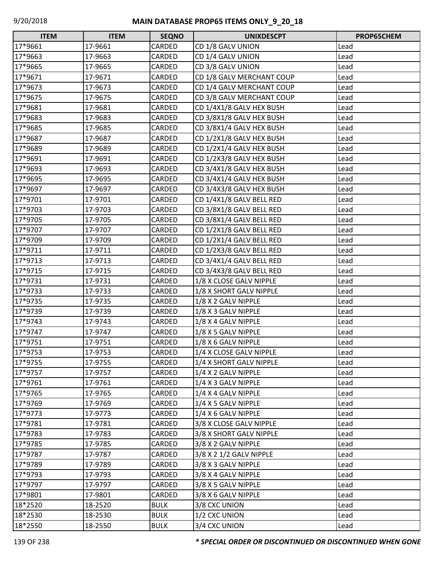| <b>ITEM</b> | <b>ITEM</b> | <b>SEQNO</b> | <b>UNIXDESCPT</b>         | PROP65CHEM |
|-------------|-------------|--------------|---------------------------|------------|
| 17*9661     | 17-9661     | CARDED       | CD 1/8 GALV UNION         | Lead       |
| 17*9663     | 17-9663     | CARDED       | CD 1/4 GALV UNION         | Lead       |
| 17*9665     | 17-9665     | CARDED       | CD 3/8 GALV UNION         | Lead       |
| 17*9671     | 17-9671     | CARDED       | CD 1/8 GALV MERCHANT COUP | Lead       |
| 17*9673     | 17-9673     | CARDED       | CD 1/4 GALV MERCHANT COUP | Lead       |
| 17*9675     | 17-9675     | CARDED       | CD 3/8 GALV MERCHANT COUP | Lead       |
| 17*9681     | 17-9681     | CARDED       | CD 1/4X1/8 GALV HEX BUSH  | Lead       |
| 17*9683     | 17-9683     | CARDED       | CD 3/8X1/8 GALV HEX BUSH  | Lead       |
| 17*9685     | 17-9685     | CARDED       | CD 3/8X1/4 GALV HEX BUSH  | Lead       |
| 17*9687     | 17-9687     | CARDED       | CD 1/2X1/8 GALV HEX BUSH  | Lead       |
| 17*9689     | 17-9689     | CARDED       | CD 1/2X1/4 GALV HEX BUSH  | Lead       |
| 17*9691     | 17-9691     | CARDED       | CD 1/2X3/8 GALV HEX BUSH  | Lead       |
| 17*9693     | 17-9693     | CARDED       | CD 3/4X1/8 GALV HEX BUSH  | Lead       |
| 17*9695     | 17-9695     | CARDED       | CD 3/4X1/4 GALV HEX BUSH  | Lead       |
| 17*9697     | 17-9697     | CARDED       | CD 3/4X3/8 GALV HEX BUSH  | Lead       |
| 17*9701     | 17-9701     | CARDED       | CD 1/4X1/8 GALV BELL RED  | Lead       |
| 17*9703     | 17-9703     | CARDED       | CD 3/8X1/8 GALV BELL RED  | Lead       |
| 17*9705     | 17-9705     | CARDED       | CD 3/8X1/4 GALV BELL RED  | Lead       |
| 17*9707     | 17-9707     | CARDED       | CD 1/2X1/8 GALV BELL RED  | Lead       |
| 17*9709     | 17-9709     | CARDED       | CD 1/2X1/4 GALV BELL RED  | Lead       |
| 17*9711     | 17-9711     | CARDED       | CD 1/2X3/8 GALV BELL RED  | Lead       |
| 17*9713     | 17-9713     | CARDED       | CD 3/4X1/4 GALV BELL RED  | Lead       |
| 17*9715     | 17-9715     | CARDED       | CD 3/4X3/8 GALV BELL RED  | Lead       |
| 17*9731     | 17-9731     | CARDED       | 1/8 X CLOSE GALV NIPPLE   | Lead       |
| 17*9733     | 17-9733     | CARDED       | 1/8 X SHORT GALV NIPPLE   | Lead       |
| 17*9735     | 17-9735     | CARDED       | 1/8 X 2 GALV NIPPLE       | Lead       |
| 17*9739     | 17-9739     | CARDED       | 1/8 X 3 GALV NIPPLE       | Lead       |
| 17*9743     | 17-9743     | CARDED       | 1/8 X 4 GALV NIPPLE       | Lead       |
| 17*9747     | 17-9747     | CARDED       | 1/8 X 5 GALV NIPPLE       | Lead       |
| 17*9751     | 17-9751     | CARDED       | 1/8 X 6 GALV NIPPLE       | Lead       |
| 17*9753     | 17-9753     | CARDED       | 1/4 X CLOSE GALV NIPPLE   | Lead       |
| 17*9755     | 17-9755     | CARDED       | 1/4 X SHORT GALV NIPPLE   | Lead       |
| 17*9757     | 17-9757     | CARDED       | 1/4 X 2 GALV NIPPLE       | Lead       |
| 17*9761     | 17-9761     | CARDED       | 1/4 X 3 GALV NIPPLE       | Lead       |
| 17*9765     | 17-9765     | CARDED       | 1/4 X 4 GALV NIPPLE       | Lead       |
| 17*9769     | 17-9769     | CARDED       | 1/4 X 5 GALV NIPPLE       | Lead       |
| 17*9773     | 17-9773     | CARDED       | 1/4 X 6 GALV NIPPLE       | Lead       |
| 17*9781     | 17-9781     | CARDED       | 3/8 X CLOSE GALV NIPPLE   | Lead       |
| 17*9783     | 17-9783     | CARDED       | 3/8 X SHORT GALV NIPPLE   | Lead       |
| 17*9785     | 17-9785     | CARDED       | 3/8 X 2 GALV NIPPLE       | Lead       |
| 17*9787     | 17-9787     | CARDED       | 3/8 X 2 1/2 GALV NIPPLE   | Lead       |
| 17*9789     | 17-9789     | CARDED       | 3/8 X 3 GALV NIPPLE       | Lead       |
| 17*9793     | 17-9793     | CARDED       | 3/8 X 4 GALV NIPPLE       | Lead       |
| 17*9797     | 17-9797     | CARDED       | 3/8 X 5 GALV NIPPLE       | Lead       |
| 17*9801     | 17-9801     | CARDED       | 3/8 X 6 GALV NIPPLE       | Lead       |
| 18*2520     | 18-2520     | <b>BULK</b>  | 3/8 CXC UNION             | Lead       |
| 18*2530     | 18-2530     | <b>BULK</b>  | 1/2 CXC UNION             | Lead       |
| 18*2550     | 18-2550     | <b>BULK</b>  | 3/4 CXC UNION             | Lead       |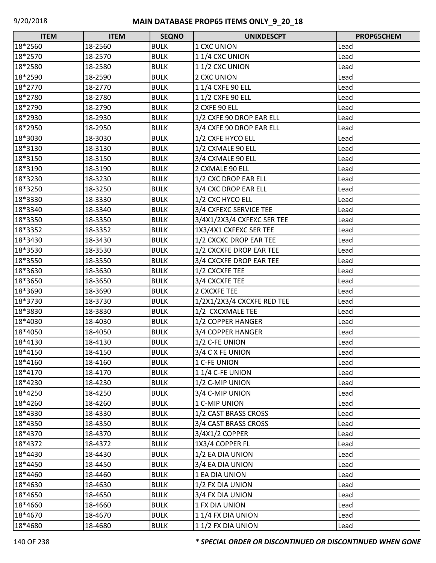| <b>ITEM</b> | <b>ITEM</b> | <b>SEQNO</b> | <b>UNIXDESCPT</b>          | <b>PROP65CHEM</b> |
|-------------|-------------|--------------|----------------------------|-------------------|
| 18*2560     | 18-2560     | <b>BULK</b>  | 1 CXC UNION                | Lead              |
| 18*2570     | 18-2570     | <b>BULK</b>  | 11/4 CXC UNION             | Lead              |
| 18*2580     | 18-2580     | <b>BULK</b>  | 11/2 CXC UNION             | Lead              |
| 18*2590     | 18-2590     | <b>BULK</b>  | 2 CXC UNION                | Lead              |
| 18*2770     | 18-2770     | <b>BULK</b>  | 1 1/4 CXFE 90 ELL          | Lead              |
| 18*2780     | 18-2780     | <b>BULK</b>  | 11/2 CXFE 90 ELL           | Lead              |
| 18*2790     | 18-2790     | <b>BULK</b>  | 2 CXFE 90 ELL              | Lead              |
| 18*2930     | 18-2930     | <b>BULK</b>  | 1/2 CXFE 90 DROP EAR ELL   | Lead              |
| 18*2950     | 18-2950     | <b>BULK</b>  | 3/4 CXFE 90 DROP EAR ELL   | Lead              |
| 18*3030     | 18-3030     | <b>BULK</b>  | 1/2 CXFE HYCO ELL          | Lead              |
| 18*3130     | 18-3130     | <b>BULK</b>  | 1/2 CXMALE 90 ELL          | Lead              |
| 18*3150     | 18-3150     | <b>BULK</b>  | 3/4 CXMALE 90 ELL          | Lead              |
| 18*3190     | 18-3190     | <b>BULK</b>  | 2 CXMALE 90 ELL            | Lead              |
| 18*3230     | 18-3230     | <b>BULK</b>  | 1/2 CXC DROP EAR ELL       | Lead              |
| 18*3250     | 18-3250     | <b>BULK</b>  | 3/4 CXC DROP EAR ELL       | Lead              |
| 18*3330     | 18-3330     | <b>BULK</b>  | 1/2 CXC HYCO ELL           | Lead              |
| 18*3340     | 18-3340     | <b>BULK</b>  | 3/4 CXFEXC SERVICE TEE     | Lead              |
| 18*3350     | 18-3350     | <b>BULK</b>  | 3/4X1/2X3/4 CXFEXC SER TEE | Lead              |
| 18*3352     | 18-3352     | <b>BULK</b>  | 1X3/4X1 CXFEXC SER TEE     | Lead              |
| 18*3430     | 18-3430     | <b>BULK</b>  | 1/2 CXCXC DROP EAR TEE     | Lead              |
| 18*3530     | 18-3530     | <b>BULK</b>  | 1/2 CXCXFE DROP EAR TEE    | Lead              |
| 18*3550     | 18-3550     | <b>BULK</b>  | 3/4 CXCXFE DROP EAR TEE    | Lead              |
| 18*3630     | 18-3630     | <b>BULK</b>  | 1/2 CXCXFE TEE             | Lead              |
| 18*3650     | 18-3650     | <b>BULK</b>  | 3/4 CXCXFE TEE             | Lead              |
| 18*3690     | 18-3690     | <b>BULK</b>  | 2 CXCXFE TEE               | Lead              |
| 18*3730     | 18-3730     | <b>BULK</b>  | 1/2X1/2X3/4 CXCXFE RED TEE | Lead              |
| 18*3830     | 18-3830     | <b>BULK</b>  | 1/2 CXCXMALE TEE           | Lead              |
| 18*4030     | 18-4030     | <b>BULK</b>  | 1/2 COPPER HANGER          | Lead              |
| 18*4050     | 18-4050     | <b>BULK</b>  | 3/4 COPPER HANGER          | Lead              |
| 18*4130     | 18-4130     | <b>BULK</b>  | 1/2 C-FE UNION             | Lead              |
| 18*4150     | 18-4150     | <b>BULK</b>  | 3/4 C X FE UNION           | Lead              |
| 18*4160     | 18-4160     | <b>BULK</b>  | 1 C-FE UNION               | Lead              |
| 18*4170     | 18-4170     | <b>BULK</b>  | 11/4 C-FE UNION            | Lead              |
| 18*4230     | 18-4230     | <b>BULK</b>  | 1/2 C-MIP UNION            | Lead              |
| 18*4250     | 18-4250     | <b>BULK</b>  | 3/4 C-MIP UNION            | Lead              |
| 18*4260     | 18-4260     | <b>BULK</b>  | 1 C-MIP UNION              | Lead              |
| 18*4330     | 18-4330     | <b>BULK</b>  | 1/2 CAST BRASS CROSS       | Lead              |
| 18*4350     | 18-4350     | <b>BULK</b>  | 3/4 CAST BRASS CROSS       | Lead              |
| 18*4370     | 18-4370     | <b>BULK</b>  | 3/4X1/2 COPPER             | Lead              |
| 18*4372     | 18-4372     | <b>BULK</b>  | 1X3/4 COPPER FL            | Lead              |
| 18*4430     | 18-4430     | <b>BULK</b>  | 1/2 EA DIA UNION           | Lead              |
| 18*4450     | 18-4450     | <b>BULK</b>  | 3/4 EA DIA UNION           | Lead              |
| 18*4460     | 18-4460     | <b>BULK</b>  | 1 EA DIA UNION             | Lead              |
| 18*4630     | 18-4630     | <b>BULK</b>  | 1/2 FX DIA UNION           | Lead              |
| 18*4650     | 18-4650     | <b>BULK</b>  | 3/4 FX DIA UNION           | Lead              |
| 18*4660     | 18-4660     | <b>BULK</b>  | 1 FX DIA UNION             | Lead              |
| 18*4670     | 18-4670     | <b>BULK</b>  | 11/4 FX DIA UNION          | Lead              |
| 18*4680     | 18-4680     | <b>BULK</b>  | 11/2 FX DIA UNION          | Lead              |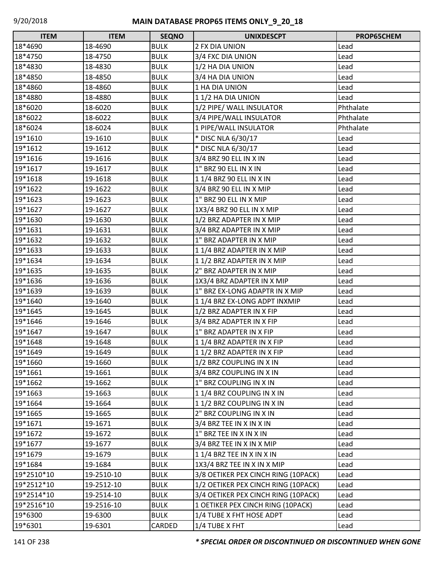| <b>ITEM</b> | <b>ITEM</b> | <b>SEQNO</b>  | <b>UNIXDESCPT</b>                   | PROP65CHEM |
|-------------|-------------|---------------|-------------------------------------|------------|
| 18*4690     | 18-4690     | <b>BULK</b>   | 2 FX DIA UNION                      | Lead       |
| 18*4750     | 18-4750     | <b>BULK</b>   | 3/4 FXC DIA UNION                   | Lead       |
| 18*4830     | 18-4830     | <b>BULK</b>   | 1/2 HA DIA UNION                    | Lead       |
| 18*4850     | 18-4850     | <b>BULK</b>   | 3/4 HA DIA UNION                    | Lead       |
| 18*4860     | 18-4860     | <b>BULK</b>   | 1 HA DIA UNION                      | Lead       |
| 18*4880     | 18-4880     | <b>BULK</b>   | 11/2 HA DIA UNION                   | Lead       |
| 18*6020     | 18-6020     | <b>BULK</b>   | 1/2 PIPE/ WALL INSULATOR            | Phthalate  |
| 18*6022     | 18-6022     | <b>BULK</b>   | 3/4 PIPE/WALL INSULATOR             | Phthalate  |
| 18*6024     | 18-6024     | <b>BULK</b>   | 1 PIPE/WALL INSULATOR               | Phthalate  |
| 19*1610     | 19-1610     | <b>BULK</b>   | * DISC NLA 6/30/17                  | Lead       |
| 19*1612     | 19-1612     | <b>BULK</b>   | * DISC NLA 6/30/17                  | Lead       |
| 19*1616     | 19-1616     | <b>BULK</b>   | 3/4 BRZ 90 ELL IN X IN              | Lead       |
| 19*1617     | 19-1617     | <b>BULK</b>   | 1" BRZ 90 ELL IN X IN               | Lead       |
| 19*1618     | 19-1618     | <b>BULK</b>   | 1 1/4 BRZ 90 ELL IN X IN            | Lead       |
| 19*1622     | 19-1622     | <b>BULK</b>   | 3/4 BRZ 90 ELL IN X MIP             | Lead       |
| 19*1623     | 19-1623     | <b>BULK</b>   | 1" BRZ 90 ELL IN X MIP              | Lead       |
| 19*1627     | 19-1627     | <b>BULK</b>   | 1X3/4 BRZ 90 ELL IN X MIP           | Lead       |
| 19*1630     | 19-1630     | <b>BULK</b>   | 1/2 BRZ ADAPTER IN X MIP            | Lead       |
| 19*1631     | 19-1631     | <b>BULK</b>   | 3/4 BRZ ADAPTER IN X MIP            | Lead       |
| 19*1632     | 19-1632     | <b>BULK</b>   | 1" BRZ ADAPTER IN X MIP             | Lead       |
| 19*1633     | 19-1633     | <b>BULK</b>   | 11/4 BRZ ADAPTER IN X MIP           | Lead       |
| 19*1634     | 19-1634     | <b>BULK</b>   | 11/2 BRZ ADAPTER IN X MIP           | Lead       |
| 19*1635     | 19-1635     | <b>BULK</b>   | 2" BRZ ADAPTER IN X MIP             | Lead       |
| 19*1636     | 19-1636     | <b>BULK</b>   | 1X3/4 BRZ ADAPTER IN X MIP          | Lead       |
| 19*1639     | 19-1639     | <b>BULK</b>   | 1" BRZ EX-LONG ADAPTR IN X MIP      | Lead       |
| 19*1640     | 19-1640     | <b>BULK</b>   | 11/4 BRZ EX-LONG ADPT INXMIP        | Lead       |
| 19*1645     | 19-1645     | <b>BULK</b>   | 1/2 BRZ ADAPTER IN X FIP            | Lead       |
| 19*1646     | 19-1646     | <b>BULK</b>   | 3/4 BRZ ADAPTER IN X FIP            | Lead       |
| 19*1647     | 19-1647     | <b>BULK</b>   | 1" BRZ ADAPTER IN X FIP             | Lead       |
| 19*1648     | 19-1648     | <b>BULK</b>   | 11/4 BRZ ADAPTER IN X FIP           | Lead       |
| 19*1649     | 19-1649     | <b>BULK</b>   | 11/2 BRZ ADAPTER IN X FIP           | Lead       |
| 19*1660     | 19-1660     | <b>BULK</b>   | 1/2 BRZ COUPLING IN X IN            | Lead       |
| 19*1661     | 19-1661     | <b>BULK</b>   | 3/4 BRZ COUPLING IN X IN            | Lead       |
| 19*1662     | 19-1662     | <b>BULK</b>   | 1" BRZ COUPLING IN X IN             | Lead       |
| 19*1663     | 19-1663     | <b>BULK</b>   | 11/4 BRZ COUPLING IN X IN           | Lead       |
| 19*1664     | 19-1664     | <b>BULK</b>   | 11/2 BRZ COUPLING IN X IN           | Lead       |
| 19*1665     | 19-1665     | <b>BULK</b>   | 2" BRZ COUPLING IN X IN             | Lead       |
| 19*1671     | 19-1671     | <b>BULK</b>   | 3/4 BRZ TEE IN X IN X IN            | Lead       |
| 19*1672     | 19-1672     | <b>BULK</b>   | 1" BRZ TEE IN X IN X IN             | Lead       |
| 19*1677     | 19-1677     | <b>BULK</b>   | 3/4 BRZ TEE IN X IN X MIP           | Lead       |
| 19*1679     | 19-1679     | <b>BULK</b>   | 1 1/4 BRZ TEE IN X IN X IN          | Lead       |
| 19*1684     | 19-1684     | <b>BULK</b>   | 1X3/4 BRZ TEE IN X IN X MIP         | Lead       |
| 19*2510*10  | 19-2510-10  | <b>BULK</b>   | 3/8 OETIKER PEX CINCH RING (10PACK) | Lead       |
| 19*2512*10  | 19-2512-10  | <b>BULK</b>   | 1/2 OETIKER PEX CINCH RING (10PACK) | Lead       |
| 19*2514*10  | 19-2514-10  | <b>BULK</b>   | 3/4 OETIKER PEX CINCH RING (10PACK) | Lead       |
| 19*2516*10  | 19-2516-10  | <b>BULK</b>   | 1 OETIKER PEX CINCH RING (10PACK)   | Lead       |
| 19*6300     | 19-6300     | <b>BULK</b>   | 1/4 TUBE X FHT HOSE ADPT            | Lead       |
| 19*6301     | 19-6301     | <b>CARDED</b> | 1/4 TUBE X FHT                      | Lead       |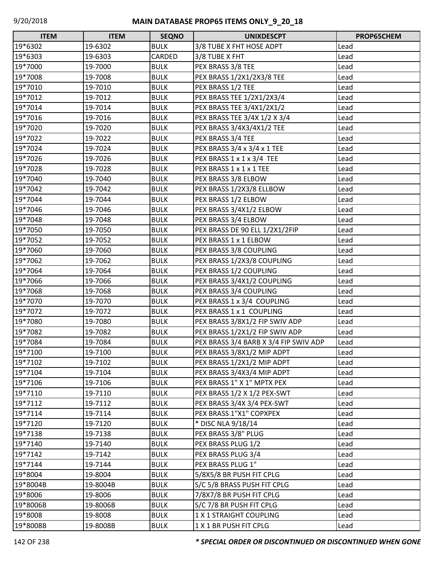| <b>ITEM</b> | <b>ITEM</b> | <b>SEQNO</b> | <b>UNIXDESCPT</b>                     | PROP65CHEM |
|-------------|-------------|--------------|---------------------------------------|------------|
| 19*6302     | 19-6302     | <b>BULK</b>  | 3/8 TUBE X FHT HOSE ADPT              | Lead       |
| 19*6303     | 19-6303     | CARDED       | 3/8 TUBE X FHT                        | Lead       |
| 19*7000     | 19-7000     | <b>BULK</b>  | PEX BRASS 3/8 TEE                     | Lead       |
| 19*7008     | 19-7008     | <b>BULK</b>  | PEX BRASS 1/2X1/2X3/8 TEE             | Lead       |
| 19*7010     | 19-7010     | <b>BULK</b>  | PEX BRASS 1/2 TEE                     | Lead       |
| 19*7012     | 19-7012     | <b>BULK</b>  | PEX BRASS TEE 1/2X1/2X3/4             | Lead       |
| 19*7014     | 19-7014     | <b>BULK</b>  | PEX BRASS TEE 3/4X1/2X1/2             | Lead       |
| 19*7016     | 19-7016     | <b>BULK</b>  | PEX BRASS TEE 3/4X 1/2 X 3/4          | Lead       |
| 19*7020     | 19-7020     | <b>BULK</b>  | PEX BRASS 3/4X3/4X1/2 TEE             | Lead       |
| 19*7022     | 19-7022     | <b>BULK</b>  | PEX BRASS 3/4 TEE                     | Lead       |
| 19*7024     | 19-7024     | <b>BULK</b>  | PEX BRASS 3/4 x 3/4 x 1 TEE           | Lead       |
| 19*7026     | 19-7026     | <b>BULK</b>  | PEX BRASS 1 x 1 x 3/4 TEE             | Lead       |
| 19*7028     | 19-7028     | <b>BULK</b>  | PEX BRASS 1 x 1 x 1 TEE               | Lead       |
| 19*7040     | 19-7040     | <b>BULK</b>  | PEX BRASS 3/8 ELBOW                   | Lead       |
| 19*7042     | 19-7042     | <b>BULK</b>  | PEX BRASS 1/2X3/8 ELLBOW              | Lead       |
| 19*7044     | 19-7044     | <b>BULK</b>  | PEX BRASS 1/2 ELBOW                   | Lead       |
| 19*7046     | 19-7046     | <b>BULK</b>  | PEX BRASS 3/4X1/2 ELBOW               | Lead       |
| 19*7048     | 19-7048     | <b>BULK</b>  | PEX BRASS 3/4 ELBOW                   | Lead       |
| 19*7050     | 19-7050     | <b>BULK</b>  | PEX BRASS DE 90 ELL 1/2X1/2FIP        | Lead       |
| 19*7052     | 19-7052     | <b>BULK</b>  | PEX BRASS 1 x 1 ELBOW                 | Lead       |
| 19*7060     | 19-7060     | <b>BULK</b>  | PEX BRASS 3/8 COUPLING                | Lead       |
| 19*7062     | 19-7062     | <b>BULK</b>  | PEX BRASS 1/2X3/8 COUPLING            | Lead       |
| 19*7064     | 19-7064     | <b>BULK</b>  | PEX BRASS 1/2 COUPLING                | Lead       |
| 19*7066     | 19-7066     | <b>BULK</b>  | PEX BRASS 3/4X1/2 COUPLING            | Lead       |
| 19*7068     | 19-7068     | <b>BULK</b>  | PEX BRASS 3/4 COUPLING                | Lead       |
| 19*7070     | 19-7070     | <b>BULK</b>  | PEX BRASS 1 x 3/4 COUPLING            | Lead       |
| 19*7072     | 19-7072     | <b>BULK</b>  | PEX BRASS 1 x 1 COUPLING              | Lead       |
| 19*7080     | 19-7080     | <b>BULK</b>  | PEX BRASS 3/8X1/2 FIP SWIV ADP        | Lead       |
| 19*7082     | 19-7082     | <b>BULK</b>  | PEX BRASS 1/2X1/2 FIP SWIV ADP        | Lead       |
| 19*7084     | 19-7084     | <b>BULK</b>  | PEX BRASS 3/4 BARB X 3/4 FIP SWIV ADP | Lead       |
| 19*7100     | 19-7100     | <b>BULK</b>  | PEX BRASS 3/8X1/2 MIP ADPT            | Lead       |
| 19*7102     | 19-7102     | <b>BULK</b>  | PEX BRASS 1/2X1/2 MIP ADPT            | Lead       |
| 19*7104     | 19-7104     | <b>BULK</b>  | PEX BRASS 3/4X3/4 MIP ADPT            | Lead       |
| 19*7106     | 19-7106     | <b>BULK</b>  | PEX BRASS 1" X 1" MPTX PEX            | Lead       |
| 19*7110     | 19-7110     | <b>BULK</b>  | PEX BRASS 1/2 X 1/2 PEX-SWT           | Lead       |
| 19*7112     | 19-7112     | <b>BULK</b>  | PEX BRASS 3/4X 3/4 PEX-SWT            | Lead       |
| 19*7114     | 19-7114     | <b>BULK</b>  | PEX BRASS 1"X1" COPXPEX               | Lead       |
| 19*7120     | 19-7120     | <b>BULK</b>  | * DISC NLA 9/18/14                    | Lead       |
| 19*7138     | 19-7138     | <b>BULK</b>  | PEX BRASS 3/8" PLUG                   | Lead       |
| 19*7140     | 19-7140     | <b>BULK</b>  | PEX BRASS PLUG 1/2                    | Lead       |
| 19*7142     | 19-7142     | <b>BULK</b>  | PEX BRASS PLUG 3/4                    | Lead       |
| 19*7144     | 19-7144     | <b>BULK</b>  | PEX BRASS PLUG 1"                     | Lead       |
| 19*8004     | 19-8004     | <b>BULK</b>  | 5/8X5/8 BR PUSH FIT CPLG              | Lead       |
| 19*8004B    | 19-8004B    | <b>BULK</b>  | S/C 5/8 BRASS PUSH FIT CPLG           | Lead       |
| 19*8006     | 19-8006     | <b>BULK</b>  | 7/8X7/8 BR PUSH FIT CPLG              | Lead       |
| 19*8006B    | 19-8006B    | <b>BULK</b>  | S/C 7/8 BR PUSH FIT CPLG              | Lead       |
| 19*8008     | 19-8008     | <b>BULK</b>  | 1 X 1 STRAIGHT COUPLING               | Lead       |
| 19*8008B    | 19-8008B    | <b>BULK</b>  | 1 X 1 BR PUSH FIT CPLG                | Lead       |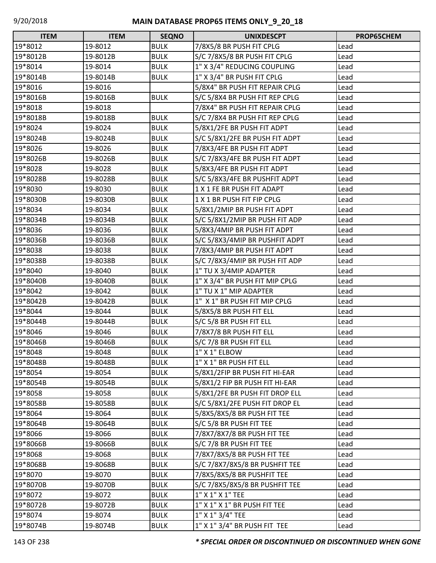| <b>ITEM</b> | <b>ITEM</b> | <b>SEQNO</b> | <b>UNIXDESCPT</b>              | PROP65CHEM |
|-------------|-------------|--------------|--------------------------------|------------|
| 19*8012     | 19-8012     | <b>BULK</b>  | 7/8X5/8 BR PUSH FIT CPLG       | Lead       |
| 19*8012B    | 19-8012B    | <b>BULK</b>  | S/C 7/8X5/8 BR PUSH FIT CPLG   | Lead       |
| 19*8014     | 19-8014     | <b>BULK</b>  | 1" X 3/4" REDUCING COUPLING    | Lead       |
| 19*8014B    | 19-8014B    | <b>BULK</b>  | 1" X 3/4" BR PUSH FIT CPLG     | Lead       |
| 19*8016     | 19-8016     |              | 5/8X4" BR PUSH FIT REPAIR CPLG | Lead       |
| 19*8016B    | 19-8016B    | <b>BULK</b>  | S/C 5/8X4 BR PUSH FIT REP CPLG | Lead       |
| 19*8018     | 19-8018     |              | 7/8X4" BR PUSH FIT REPAIR CPLG | Lead       |
| 19*8018B    | 19-8018B    | <b>BULK</b>  | S/C 7/8X4 BR PUSH FIT REP CPLG | Lead       |
| 19*8024     | 19-8024     | <b>BULK</b>  | 5/8X1/2FE BR PUSH FIT ADPT     | Lead       |
| 19*8024B    | 19-8024B    | <b>BULK</b>  | S/C 5/8X1/2FE BR PUSH FIT ADPT | Lead       |
| 19*8026     | 19-8026     | <b>BULK</b>  | 7/8X3/4FE BR PUSH FIT ADPT     | Lead       |
| 19*8026B    | 19-8026B    | <b>BULK</b>  | S/C 7/8X3/4FE BR PUSH FIT ADPT | Lead       |
| 19*8028     | 19-8028     | <b>BULK</b>  | 5/8X3/4FE BR PUSH FIT ADPT     | Lead       |
| 19*8028B    | 19-8028B    | <b>BULK</b>  | S/C 5/8X3/4FE BR PUSHFIT ADPT  | Lead       |
| 19*8030     | 19-8030     | <b>BULK</b>  | 1 X 1 FE BR PUSH FIT ADAPT     | Lead       |
| 19*8030B    | 19-8030B    | <b>BULK</b>  | 1 X 1 BR PUSH FIT FIP CPLG     | Lead       |
| 19*8034     | 19-8034     | <b>BULK</b>  | 5/8X1/2MIP BR PUSH FIT ADPT    | Lead       |
| 19*8034B    | 19-8034B    | <b>BULK</b>  | S/C 5/8X1/2MIP BR PUSH FIT ADP | Lead       |
| 19*8036     | 19-8036     | <b>BULK</b>  | 5/8X3/4MIP BR PUSH FIT ADPT    | Lead       |
| 19*8036B    | 19-8036B    | <b>BULK</b>  | S/C 5/8X3/4MIP BR PUSHFIT ADPT | Lead       |
| 19*8038     | 19-8038     | <b>BULK</b>  | 7/8X3/4MIP BR PUSH FIT ADPT    | Lead       |
| 19*8038B    | 19-8038B    | <b>BULK</b>  | S/C 7/8X3/4MIP BR PUSH FIT ADP | Lead       |
| 19*8040     | 19-8040     | <b>BULK</b>  | 1" TU X 3/4MIP ADAPTER         | Lead       |
| 19*8040B    | 19-8040B    | <b>BULK</b>  | 1" X 3/4" BR PUSH FIT MIP CPLG | Lead       |
| 19*8042     | 19-8042     | <b>BULK</b>  | 1" TU X 1" MIP ADAPTER         | Lead       |
| 19*8042B    | 19-8042B    | <b>BULK</b>  | 1" X 1" BR PUSH FIT MIP CPLG   | Lead       |
| 19*8044     | 19-8044     | <b>BULK</b>  | 5/8X5/8 BR PUSH FIT ELL        | Lead       |
| 19*8044B    | 19-8044B    | <b>BULK</b>  | S/C 5/8 BR PUSH FIT ELL        | Lead       |
| 19*8046     | 19-8046     | <b>BULK</b>  | 7/8X7/8 BR PUSH FIT ELL        | Lead       |
| 19*8046B    | 19-8046B    | <b>BULK</b>  | S/C 7/8 BR PUSH FIT ELL        | Lead       |
| 19*8048     | 19-8048     | <b>BULK</b>  | 1" X 1" ELBOW                  | Lead       |
| 19*8048B    | 19-8048B    | <b>BULK</b>  | 1" X 1" BR PUSH FIT ELL        | Lead       |
| 19*8054     | 19-8054     | <b>BULK</b>  | 5/8X1/2FIP BR PUSH FIT HI-EAR  | Lead       |
| 19*8054B    | 19-8054B    | <b>BULK</b>  | 5/8X1/2 FIP BR PUSH FIT HI-EAR | Lead       |
| 19*8058     | 19-8058     | <b>BULK</b>  | 5/8X1/2FE BR PUSH FIT DROP ELL | Lead       |
| 19*8058B    | 19-8058B    | <b>BULK</b>  | S/C 5/8X1/2FE PUSH FIT DROP EL | Lead       |
| 19*8064     | 19-8064     | <b>BULK</b>  | 5/8X5/8X5/8 BR PUSH FIT TEE    | Lead       |
| 19*8064B    | 19-8064B    | <b>BULK</b>  | S/C 5/8 BR PUSH FIT TEE        | Lead       |
| 19*8066     | 19-8066     | <b>BULK</b>  | 7/8X7/8X7/8 BR PUSH FIT TEE    | Lead       |
| 19*8066B    | 19-8066B    | <b>BULK</b>  | S/C 7/8 BR PUSH FIT TEE        | Lead       |
| 19*8068     | 19-8068     | <b>BULK</b>  | 7/8X7/8X5/8 BR PUSH FIT TEE    | Lead       |
| 19*8068B    | 19-8068B    | <b>BULK</b>  | S/C 7/8X7/8X5/8 BR PUSHFIT TEE | Lead       |
| 19*8070     | 19-8070     | <b>BULK</b>  | 7/8X5/8X5/8 BR PUSHFIT TEE     | Lead       |
| 19*8070B    | 19-8070B    | <b>BULK</b>  | S/C 7/8X5/8X5/8 BR PUSHFIT TEE | Lead       |
| 19*8072     | 19-8072     | <b>BULK</b>  | 1" X 1" X 1" TEE               | Lead       |
| 19*8072B    | 19-8072B    | <b>BULK</b>  | 1" X 1" X 1" BR PUSH FIT TEE   | Lead       |
| 19*8074     | 19-8074     | <b>BULK</b>  | 1" X 1" 3/4" TEE               | Lead       |
| 19*8074B    | 19-8074B    | <b>BULK</b>  | 1" X 1" 3/4" BR PUSH FIT TEE   | Lead       |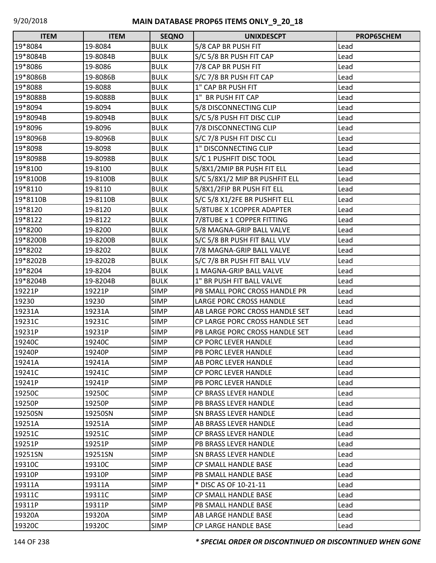| <b>ITEM</b> | <b>ITEM</b> | <b>SEQNO</b> | <b>UNIXDESCPT</b>              | PROP65CHEM |
|-------------|-------------|--------------|--------------------------------|------------|
| 19*8084     | 19-8084     | <b>BULK</b>  | 5/8 CAP BR PUSH FIT            | Lead       |
| 19*8084B    | 19-8084B    | <b>BULK</b>  | S/C 5/8 BR PUSH FIT CAP        | Lead       |
| 19*8086     | 19-8086     | <b>BULK</b>  | 7/8 CAP BR PUSH FIT            | Lead       |
| 19*8086B    | 19-8086B    | <b>BULK</b>  | S/C 7/8 BR PUSH FIT CAP        | Lead       |
| 19*8088     | 19-8088     | <b>BULK</b>  | 1" CAP BR PUSH FIT             | Lead       |
| 19*8088B    | 19-8088B    | <b>BULK</b>  | 1" BR PUSH FIT CAP             | Lead       |
| 19*8094     | 19-8094     | <b>BULK</b>  | 5/8 DISCONNECTING CLIP         | Lead       |
| 19*8094B    | 19-8094B    | <b>BULK</b>  | S/C 5/8 PUSH FIT DISC CLIP     | Lead       |
| 19*8096     | 19-8096     | <b>BULK</b>  | 7/8 DISCONNECTING CLIP         | Lead       |
| 19*8096B    | 19-8096B    | <b>BULK</b>  | S/C 7/8 PUSH FIT DISC CLI      | Lead       |
| 19*8098     | 19-8098     | <b>BULK</b>  | 1" DISCONNECTING CLIP          | Lead       |
| 19*8098B    | 19-8098B    | <b>BULK</b>  | S/C 1 PUSHFIT DISC TOOL        | Lead       |
| 19*8100     | 19-8100     | <b>BULK</b>  | 5/8X1/2MIP BR PUSH FIT ELL     | Lead       |
| 19*8100B    | 19-8100B    | <b>BULK</b>  | S/C 5/8X1/2 MIP BR PUSHFIT ELL | Lead       |
| 19*8110     | 19-8110     | <b>BULK</b>  | 5/8X1/2FIP BR PUSH FIT ELL     | Lead       |
| 19*8110B    | 19-8110B    | <b>BULK</b>  | S/C 5/8 X1/2FE BR PUSHFIT ELL  | Lead       |
| 19*8120     | 19-8120     | <b>BULK</b>  | 5/8TUBE X 1COPPER ADAPTER      | Lead       |
| 19*8122     | 19-8122     | <b>BULK</b>  | 7/8TUBE x 1 COPPER FITTING     | Lead       |
| 19*8200     | 19-8200     | <b>BULK</b>  | 5/8 MAGNA-GRIP BALL VALVE      | Lead       |
| 19*8200B    | 19-8200B    | <b>BULK</b>  | S/C 5/8 BR PUSH FIT BALL VLV   | Lead       |
| 19*8202     | 19-8202     | <b>BULK</b>  | 7/8 MAGNA-GRIP BALL VALVE      | Lead       |
| 19*8202B    | 19-8202B    | <b>BULK</b>  | S/C 7/8 BR PUSH FIT BALL VLV   | Lead       |
| 19*8204     | 19-8204     | <b>BULK</b>  | 1 MAGNA-GRIP BALL VALVE        | Lead       |
| 19*8204B    | 19-8204B    | <b>BULK</b>  | 1" BR PUSH FIT BALL VALVE      | Lead       |
| 19221P      | 19221P      | <b>SIMP</b>  | PB SMALL PORC CROSS HANDLE PR  | Lead       |
| 19230       | 19230       | <b>SIMP</b>  | LARGE PORC CROSS HANDLE        | Lead       |
| 19231A      | 19231A      | <b>SIMP</b>  | AB LARGE PORC CROSS HANDLE SET | Lead       |
| 19231C      | 19231C      | <b>SIMP</b>  | CP LARGE PORC CROSS HANDLE SET | Lead       |
| 19231P      | 19231P      | <b>SIMP</b>  | PB LARGE PORC CROSS HANDLE SET | Lead       |
| 19240C      | 19240C      | <b>SIMP</b>  | <b>CP PORC LEVER HANDLE</b>    | Lead       |
| 19240P      | 19240P      | <b>SIMP</b>  | PB PORC LEVER HANDLE           | Lead       |
| 19241A      | 19241A      | <b>SIMP</b>  | AB PORC LEVER HANDLE           | Lead       |
| 19241C      | 19241C      | <b>SIMP</b>  | <b>CP PORC LEVER HANDLE</b>    | Lead       |
| 19241P      | 19241P      | <b>SIMP</b>  | PB PORC LEVER HANDLE           | Lead       |
| 19250C      | 19250C      | <b>SIMP</b>  | CP BRASS LEVER HANDLE          | Lead       |
| 19250P      | 19250P      | <b>SIMP</b>  | PB BRASS LEVER HANDLE          | Lead       |
| 19250SN     | 19250SN     | <b>SIMP</b>  | <b>SN BRASS LEVER HANDLE</b>   | Lead       |
| 19251A      | 19251A      | <b>SIMP</b>  | AB BRASS LEVER HANDLE          | Lead       |
| 19251C      | 19251C      | <b>SIMP</b>  | <b>CP BRASS LEVER HANDLE</b>   | Lead       |
| 19251P      | 19251P      | <b>SIMP</b>  | PB BRASS LEVER HANDLE          | Lead       |
| 19251SN     | 19251SN     | <b>SIMP</b>  | SN BRASS LEVER HANDLE          | Lead       |
| 19310C      | 19310C      | <b>SIMP</b>  | CP SMALL HANDLE BASE           | Lead       |
| 19310P      | 19310P      | <b>SIMP</b>  | PB SMALL HANDLE BASE           | Lead       |
| 19311A      | 19311A      | <b>SIMP</b>  | * DISC AS OF 10-21-11          | Lead       |
| 19311C      | 19311C      | <b>SIMP</b>  | <b>CP SMALL HANDLE BASE</b>    | Lead       |
| 19311P      | 19311P      | <b>SIMP</b>  | PB SMALL HANDLE BASE           | Lead       |
| 19320A      | 19320A      | <b>SIMP</b>  | AB LARGE HANDLE BASE           | Lead       |
| 19320C      | 19320C      | <b>SIMP</b>  | <b>CP LARGE HANDLE BASE</b>    | Lead       |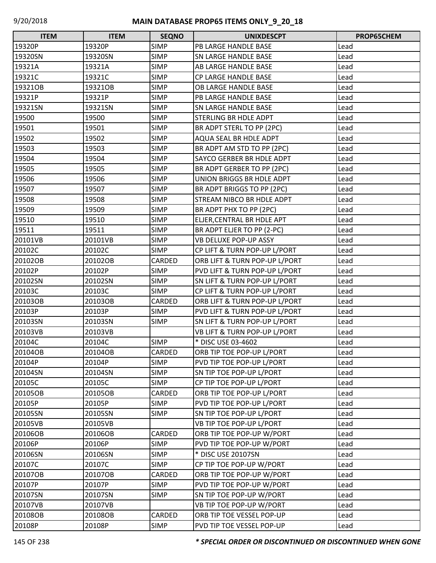| <b>ITEM</b> | <b>ITEM</b> | <b>SEQNO</b> | <b>UNIXDESCPT</b>                | PROP65CHEM |
|-------------|-------------|--------------|----------------------------------|------------|
| 19320P      | 19320P      | <b>SIMP</b>  | PB LARGE HANDLE BASE             | Lead       |
| 19320SN     | 19320SN     | <b>SIMP</b>  | SN LARGE HANDLE BASE             | Lead       |
| 19321A      | 19321A      | <b>SIMP</b>  | AB LARGE HANDLE BASE             | Lead       |
| 19321C      | 19321C      | <b>SIMP</b>  | CP LARGE HANDLE BASE             | Lead       |
| 19321OB     | 19321OB     | <b>SIMP</b>  | OB LARGE HANDLE BASE             | Lead       |
| 19321P      | 19321P      | <b>SIMP</b>  | PB LARGE HANDLE BASE             | Lead       |
| 19321SN     | 19321SN     | <b>SIMP</b>  | SN LARGE HANDLE BASE             | Lead       |
| 19500       | 19500       | <b>SIMP</b>  | STERLING BR HDLE ADPT            | Lead       |
| 19501       | 19501       | <b>SIMP</b>  | BR ADPT STERL TO PP (2PC)        | Lead       |
| 19502       | 19502       | <b>SIMP</b>  | AQUA SEAL BR HDLE ADPT           | Lead       |
| 19503       | 19503       | <b>SIMP</b>  | BR ADPT AM STD TO PP (2PC)       | Lead       |
| 19504       | 19504       | <b>SIMP</b>  | SAYCO GERBER BR HDLE ADPT        | Lead       |
| 19505       | 19505       | <b>SIMP</b>  | BR ADPT GERBER TO PP (2PC)       | Lead       |
| 19506       | 19506       | <b>SIMP</b>  | UNION BRIGGS BR HDLE ADPT        | Lead       |
| 19507       | 19507       | <b>SIMP</b>  | BR ADPT BRIGGS TO PP (2PC)       | Lead       |
| 19508       | 19508       | <b>SIMP</b>  | <b>STREAM NIBCO BR HDLE ADPT</b> | Lead       |
| 19509       | 19509       | <b>SIMP</b>  | BR ADPT PHX TO PP (2PC)          | Lead       |
| 19510       | 19510       | <b>SIMP</b>  | ELJER, CENTRAL BR HDLE APT       | Lead       |
| 19511       | 19511       | <b>SIMP</b>  | BR ADPT ELJER TO PP (2-PC)       | Lead       |
| 20101VB     | 20101VB     | <b>SIMP</b>  | VB DELUXE POP-UP ASSY            | Lead       |
| 20102C      | 20102C      | <b>SIMP</b>  | CP LIFT & TURN POP-UP L/PORT     | Lead       |
| 20102OB     | 20102OB     | CARDED       | ORB LIFT & TURN POP-UP L/PORT    | Lead       |
| 20102P      | 20102P      | <b>SIMP</b>  | PVD LIFT & TURN POP-UP L/PORT    | Lead       |
| 20102SN     | 20102SN     | <b>SIMP</b>  | SN LIFT & TURN POP-UP L/PORT     | Lead       |
| 20103C      | 20103C      | <b>SIMP</b>  | CP LIFT & TURN POP-UP L/PORT     | Lead       |
| 20103OB     | 20103OB     | CARDED       | ORB LIFT & TURN POP-UP L/PORT    | Lead       |
| 20103P      | 20103P      | <b>SIMP</b>  | PVD LIFT & TURN POP-UP L/PORT    | Lead       |
| 20103SN     | 20103SN     | <b>SIMP</b>  | SN LIFT & TURN POP-UP L/PORT     | Lead       |
| 20103VB     | 20103VB     |              | VB LIFT & TURN POP-UP L/PORT     | Lead       |
| 20104C      | 20104C      | <b>SIMP</b>  | * DISC USE 03-4602               | Lead       |
| 20104OB     | 20104OB     | CARDED       | ORB TIP TOE POP-UP L/PORT        | Lead       |
| 20104P      | 20104P      | <b>SIMP</b>  | PVD TIP TOE POP-UP L/PORT        | Lead       |
| 20104SN     | 20104SN     | <b>SIMP</b>  | SN TIP TOE POP-UP L/PORT         | Lead       |
| 20105C      | 20105C      | <b>SIMP</b>  | CP TIP TOE POP-UP L/PORT         | Lead       |
| 20105OB     | 20105OB     | CARDED       | ORB TIP TOE POP-UP L/PORT        | Lead       |
| 20105P      | 20105P      | <b>SIMP</b>  | PVD TIP TOE POP-UP L/PORT        | Lead       |
| 20105SN     | 20105SN     | <b>SIMP</b>  | SN TIP TOE POP-UP L/PORT         | Lead       |
| 20105VB     | 20105VB     |              | VB TIP TOE POP-UP L/PORT         | Lead       |
| 20106OB     | 20106OB     | CARDED       | ORB TIP TOE POP-UP W/PORT        | Lead       |
| 20106P      | 20106P      | <b>SIMP</b>  | PVD TIP TOE POP-UP W/PORT        | Lead       |
| 20106SN     | 20106SN     | <b>SIMP</b>  | * DISC USE 20107SN               | Lead       |
| 20107C      | 20107C      | <b>SIMP</b>  | CP TIP TOE POP-UP W/PORT         | Lead       |
| 20107OB     | 20107OB     | CARDED       | ORB TIP TOE POP-UP W/PORT        | Lead       |
| 20107P      | 20107P      | <b>SIMP</b>  | PVD TIP TOE POP-UP W/PORT        | Lead       |
| 20107SN     | 20107SN     | SIMP         | SN TIP TOE POP-UP W/PORT         | Lead       |
| 20107VB     | 20107VB     |              | VB TIP TOE POP-UP W/PORT         | Lead       |
| 20108OB     | 20108OB     | CARDED       | ORB TIP TOE VESSEL POP-UP        | Lead       |
| 20108P      | 20108P      | <b>SIMP</b>  | PVD TIP TOE VESSEL POP-UP        | Lead       |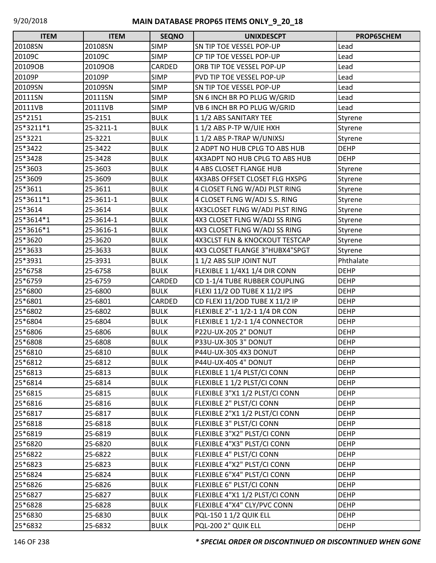| <b>ITEM</b> | <b>ITEM</b> | <b>SEQNO</b> | <b>UNIXDESCPT</b>              | PROP65CHEM  |
|-------------|-------------|--------------|--------------------------------|-------------|
| 20108SN     | 20108SN     | <b>SIMP</b>  | SN TIP TOE VESSEL POP-UP       | Lead        |
| 20109C      | 20109C      | <b>SIMP</b>  | CP TIP TOE VESSEL POP-UP       | Lead        |
| 20109OB     | 20109OB     | CARDED       | ORB TIP TOE VESSEL POP-UP      | Lead        |
| 20109P      | 20109P      | <b>SIMP</b>  | PVD TIP TOE VESSEL POP-UP      | Lead        |
| 20109SN     | 20109SN     | <b>SIMP</b>  | SN TIP TOE VESSEL POP-UP       | Lead        |
| 20111SN     | 20111SN     | <b>SIMP</b>  | SN 6 INCH BR PO PLUG W/GRID    | Lead        |
| 20111VB     | 20111VB     | <b>SIMP</b>  | VB 6 INCH BR PO PLUG W/GRID    | Lead        |
| 25*2151     | 25-2151     | <b>BULK</b>  | 11/2 ABS SANITARY TEE          | Styrene     |
| 25*3211*1   | 25-3211-1   | <b>BULK</b>  | 11/2 ABS P-TP W/UIE HXH        | Styrene     |
| 25*3221     | 25-3221     | <b>BULK</b>  | 11/2 ABS P-TRAP W/UNIXSJ       | Styrene     |
| 25*3422     | 25-3422     | <b>BULK</b>  | 2 ADPT NO HUB CPLG TO ABS HUB  | <b>DEHP</b> |
| 25*3428     | 25-3428     | <b>BULK</b>  | 4X3ADPT NO HUB CPLG TO ABS HUB | <b>DEHP</b> |
| 25*3603     | 25-3603     | <b>BULK</b>  | 4 ABS CLOSET FLANGE HUB        | Styrene     |
| 25*3609     | 25-3609     | <b>BULK</b>  | 4X3ABS OFFSET CLOSET FLG HXSPG | Styrene     |
| 25*3611     | 25-3611     | <b>BULK</b>  | 4 CLOSET FLNG W/ADJ PLST RING  | Styrene     |
| 25*3611*1   | 25-3611-1   | <b>BULK</b>  | 4 CLOSET FLNG W/ADJ S.S. RING  | Styrene     |
| 25*3614     | 25-3614     | <b>BULK</b>  | 4X3CLOSET FLNG W/ADJ PLST RING | Styrene     |
| 25*3614*1   | 25-3614-1   | <b>BULK</b>  | 4X3 CLOSET FLNG W/ADJ SS RING  | Styrene     |
| 25*3616*1   | 25-3616-1   | <b>BULK</b>  | 4X3 CLOSET FLNG W/ADJ SS RING  | Styrene     |
| 25*3620     | 25-3620     | <b>BULK</b>  | 4X3CLST FLN & KNOCKOUT TESTCAP | Styrene     |
| 25*3633     | 25-3633     | <b>BULK</b>  | 4X3 CLOSET FLANGE 3"HUBX4"SPGT | Styrene     |
| 25*3931     | 25-3931     | <b>BULK</b>  | 11/2 ABS SLIP JOINT NUT        | Phthalate   |
| 25*6758     | 25-6758     | <b>BULK</b>  | FLEXIBLE 1 1/4X1 1/4 DIR CONN  | <b>DEHP</b> |
| 25*6759     | 25-6759     | CARDED       | CD 1-1/4 TUBE RUBBER COUPLING  | <b>DEHP</b> |
| 25*6800     | 25-6800     | <b>BULK</b>  | FLEXI 11/2 OD TUBE X 11/2 IPS  | <b>DEHP</b> |
| 25*6801     | 25-6801     | CARDED       | CD FLEXI 11/20D TUBE X 11/2 IP | <b>DEHP</b> |
| 25*6802     | 25-6802     | <b>BULK</b>  | FLEXIBLE 2"-1 1/2-1 1/4 DR CON | <b>DEHP</b> |
| 25*6804     | 25-6804     | <b>BULK</b>  | FLEXIBLE 1 1/2-1 1/4 CONNECTOR | <b>DEHP</b> |
| 25*6806     | 25-6806     | <b>BULK</b>  | <b>P22U-UX-205 2" DONUT</b>    | <b>DEHP</b> |
| 25*6808     | 25-6808     | <b>BULK</b>  | P33U-UX-305 3" DONUT           | <b>DEHP</b> |
| 25*6810     | 25-6810     | <b>BULK</b>  | P44U-UX-305 4X3 DONUT          | <b>DEHP</b> |
| 25*6812     | 25-6812     | <b>BULK</b>  | P44U-UX-405 4" DONUT           | <b>DEHP</b> |
| 25*6813     | 25-6813     | <b>BULK</b>  | FLEXIBLE 1 1/4 PLST/CI CONN    | <b>DEHP</b> |
| 25*6814     | 25-6814     | <b>BULK</b>  | FLEXIBLE 1 1/2 PLST/CI CONN    | <b>DEHP</b> |
| 25*6815     | 25-6815     | <b>BULK</b>  | FLEXIBLE 3"X1 1/2 PLST/CI CONN | <b>DEHP</b> |
| 25*6816     | 25-6816     | <b>BULK</b>  | FLEXIBLE 2" PLST/CI CONN       | <b>DEHP</b> |
| 25*6817     | 25-6817     | <b>BULK</b>  | FLEXIBLE 2"X1 1/2 PLST/CI CONN | <b>DEHP</b> |
| 25*6818     | 25-6818     | <b>BULK</b>  | FLEXIBLE 3" PLST/CI CONN       | <b>DEHP</b> |
| 25*6819     | 25-6819     | <b>BULK</b>  | FLEXIBLE 3"X2" PLST/CI CONN    | <b>DEHP</b> |
| 25*6820     | 25-6820     | <b>BULK</b>  | FLEXIBLE 4"X3" PLST/CI CONN    | <b>DEHP</b> |
| 25*6822     | 25-6822     | <b>BULK</b>  | FLEXIBLE 4" PLST/CI CONN       | <b>DEHP</b> |
| 25*6823     | 25-6823     | <b>BULK</b>  | FLEXIBLE 4"X2" PLST/CI CONN    | <b>DEHP</b> |
| 25*6824     | 25-6824     | <b>BULK</b>  | FLEXIBLE 6"X4" PLST/CI CONN    | <b>DEHP</b> |
| 25*6826     | 25-6826     | <b>BULK</b>  | FLEXIBLE 6" PLST/CI CONN       | <b>DEHP</b> |
| 25*6827     | 25-6827     | <b>BULK</b>  | FLEXIBLE 4"X1 1/2 PLST/CI CONN | <b>DEHP</b> |
| 25*6828     | 25-6828     | <b>BULK</b>  | FLEXIBLE 4"X4" CLY/PVC CONN    | <b>DEHP</b> |
| 25*6830     | 25-6830     | <b>BULK</b>  | PQL-150 1 1/2 QUIK ELL         | <b>DEHP</b> |
| 25*6832     | 25-6832     | <b>BULK</b>  | PQL-200 2" QUIK ELL            | <b>DEHP</b> |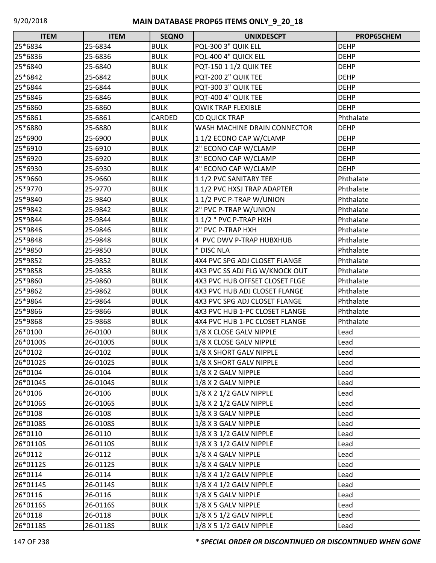| <b>ITEM</b> | <b>ITEM</b> | <b>SEQNO</b> | <b>UNIXDESCPT</b>              | PROP65CHEM  |
|-------------|-------------|--------------|--------------------------------|-------------|
| 25*6834     | 25-6834     | <b>BULK</b>  | PQL-300 3" QUIK ELL            | <b>DEHP</b> |
| 25*6836     | 25-6836     | <b>BULK</b>  | PQL-400 4" QUICK ELL           | <b>DEHP</b> |
| 25*6840     | 25-6840     | <b>BULK</b>  | PQT-150 1 1/2 QUIK TEE         | <b>DEHP</b> |
| 25*6842     | 25-6842     | <b>BULK</b>  | PQT-200 2" QUIK TEE            | <b>DEHP</b> |
| 25*6844     | 25-6844     | <b>BULK</b>  | PQT-300 3" QUIK TEE            | <b>DEHP</b> |
| 25*6846     | 25-6846     | <b>BULK</b>  | PQT-400 4" QUIK TEE            | <b>DEHP</b> |
| 25*6860     | 25-6860     | <b>BULK</b>  | <b>QWIK TRAP FLEXIBLE</b>      | <b>DEHP</b> |
| 25*6861     | 25-6861     | CARDED       | <b>CD QUICK TRAP</b>           | Phthalate   |
| 25*6880     | 25-6880     | <b>BULK</b>  | WASH MACHINE DRAIN CONNECTOR   | <b>DEHP</b> |
| 25*6900     | 25-6900     | <b>BULK</b>  | 11/2 ECONO CAP W/CLAMP         | <b>DEHP</b> |
| 25*6910     | 25-6910     | <b>BULK</b>  | 2" ECONO CAP W/CLAMP           | <b>DEHP</b> |
| 25*6920     | 25-6920     | <b>BULK</b>  | 3" ECONO CAP W/CLAMP           | <b>DEHP</b> |
| 25*6930     | 25-6930     | <b>BULK</b>  | 4" ECONO CAP W/CLAMP           | <b>DEHP</b> |
| 25*9660     | 25-9660     | <b>BULK</b>  | 11/2 PVC SANITARY TEE          | Phthalate   |
| 25*9770     | 25-9770     | <b>BULK</b>  | 11/2 PVC HXSJ TRAP ADAPTER     | Phthalate   |
| 25*9840     | 25-9840     | <b>BULK</b>  | 1 1/2 PVC P-TRAP W/UNION       | Phthalate   |
| 25*9842     | 25-9842     | <b>BULK</b>  | 2" PVC P-TRAP W/UNION          | Phthalate   |
| 25*9844     | 25-9844     | <b>BULK</b>  | 11/2 " PVC P-TRAP HXH          | Phthalate   |
| 25*9846     | 25-9846     | <b>BULK</b>  | 2" PVC P-TRAP HXH              | Phthalate   |
| 25*9848     | 25-9848     | <b>BULK</b>  | 4 PVC DWV P-TRAP HUBXHUB       | Phthalate   |
| 25*9850     | 25-9850     | <b>BULK</b>  | * DISC NLA                     | Phthalate   |
| 25*9852     | 25-9852     | <b>BULK</b>  | 4X4 PVC SPG ADJ CLOSET FLANGE  | Phthalate   |
| 25*9858     | 25-9858     | <b>BULK</b>  | 4X3 PVC SS ADJ FLG W/KNOCK OUT | Phthalate   |
| 25*9860     | 25-9860     | <b>BULK</b>  | 4X3 PVC HUB OFFSET CLOSET FLGE | Phthalate   |
| 25*9862     | 25-9862     | <b>BULK</b>  | 4X3 PVC HUB ADJ CLOSET FLANGE  | Phthalate   |
| 25*9864     | 25-9864     | <b>BULK</b>  | 4X3 PVC SPG ADJ CLOSET FLANGE  | Phthalate   |
| 25*9866     | 25-9866     | <b>BULK</b>  | 4X3 PVC HUB 1-PC CLOSET FLANGE | Phthalate   |
| 25*9868     | 25-9868     | <b>BULK</b>  | 4X4 PVC HUB 1-PC CLOSET FLANGE | Phthalate   |
| 26*0100     | 26-0100     | <b>BULK</b>  | 1/8 X CLOSE GALV NIPPLE        | Lead        |
| 26*0100S    | 26-0100S    | <b>BULK</b>  | 1/8 X CLOSE GALV NIPPLE        | Lead        |
| 26*0102     | 26-0102     | <b>BULK</b>  | 1/8 X SHORT GALV NIPPLE        | Lead        |
| 26*0102S    | 26-0102S    | <b>BULK</b>  | 1/8 X SHORT GALV NIPPLE        | Lead        |
| 26*0104     | 26-0104     | <b>BULK</b>  | 1/8 X 2 GALV NIPPLE            | Lead        |
| 26*0104S    | 26-0104S    | <b>BULK</b>  | 1/8 X 2 GALV NIPPLE            | Lead        |
| 26*0106     | 26-0106     | <b>BULK</b>  | 1/8 X 2 1/2 GALV NIPPLE        | Lead        |
| 26*0106S    | 26-0106S    | <b>BULK</b>  | 1/8 X 2 1/2 GALV NIPPLE        | Lead        |
| 26*0108     | 26-0108     | <b>BULK</b>  | 1/8 X 3 GALV NIPPLE            | Lead        |
| 26*0108S    | 26-0108S    | <b>BULK</b>  | 1/8 X 3 GALV NIPPLE            | Lead        |
| 26*0110     | 26-0110     | <b>BULK</b>  | 1/8 X 3 1/2 GALV NIPPLE        | Lead        |
| 26*0110S    | 26-0110S    | <b>BULK</b>  | 1/8 X 3 1/2 GALV NIPPLE        | Lead        |
| 26*0112     | 26-0112     | <b>BULK</b>  | 1/8 X 4 GALV NIPPLE            | Lead        |
| 26*0112S    | 26-0112S    | <b>BULK</b>  | 1/8 X 4 GALV NIPPLE            | Lead        |
| 26*0114     | 26-0114     | <b>BULK</b>  | 1/8 X 4 1/2 GALV NIPPLE        | Lead        |
| 26*0114S    | 26-0114S    | <b>BULK</b>  | 1/8 X 4 1/2 GALV NIPPLE        | Lead        |
| 26*0116     | 26-0116     | <b>BULK</b>  | 1/8 X 5 GALV NIPPLE            | Lead        |
| 26*0116S    | 26-0116S    | <b>BULK</b>  | 1/8 X 5 GALV NIPPLE            | Lead        |
| 26*0118     | 26-0118     | <b>BULK</b>  | 1/8 X 5 1/2 GALV NIPPLE        | Lead        |
| 26*0118S    | 26-0118S    | <b>BULK</b>  | 1/8 X 5 1/2 GALV NIPPLE        | Lead        |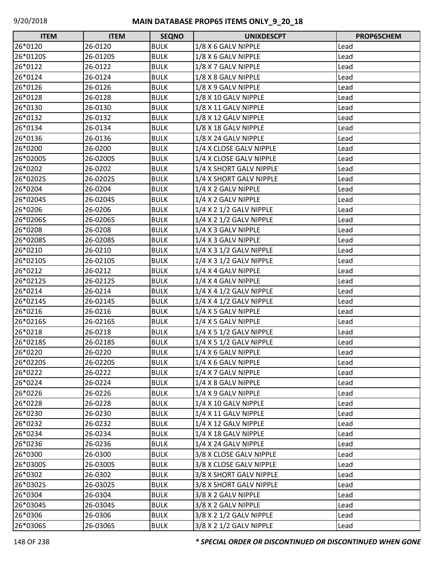| <b>ITEM</b> | <b>ITEM</b> | <b>SEQNO</b> | <b>UNIXDESCPT</b>           | PROP65CHEM |
|-------------|-------------|--------------|-----------------------------|------------|
| 26*0120     | 26-0120     | <b>BULK</b>  | 1/8 X 6 GALV NIPPLE         | Lead       |
| 26*0120S    | 26-0120S    | <b>BULK</b>  | 1/8 X 6 GALV NIPPLE         | Lead       |
| 26*0122     | 26-0122     | <b>BULK</b>  | 1/8 X 7 GALV NIPPLE         | Lead       |
| 26*0124     | 26-0124     | <b>BULK</b>  | 1/8 X 8 GALV NIPPLE         | Lead       |
| 26*0126     | 26-0126     | <b>BULK</b>  | 1/8 X 9 GALV NIPPLE         | Lead       |
| 26*0128     | 26-0128     | <b>BULK</b>  | 1/8 X 10 GALV NIPPLE        | Lead       |
| 26*0130     | 26-0130     | <b>BULK</b>  | 1/8 X 11 GALV NIPPLE        | Lead       |
| 26*0132     | 26-0132     | <b>BULK</b>  | 1/8 X 12 GALV NIPPLE        | Lead       |
| 26*0134     | 26-0134     | <b>BULK</b>  | 1/8 X 18 GALV NIPPLE        | Lead       |
| 26*0136     | 26-0136     | <b>BULK</b>  | 1/8 X 24 GALV NIPPLE        | Lead       |
| 26*0200     | 26-0200     | <b>BULK</b>  | 1/4 X CLOSE GALV NIPPLE     | Lead       |
| 26*0200S    | 26-0200S    | <b>BULK</b>  | 1/4 X CLOSE GALV NIPPLE     | Lead       |
| 26*0202     | 26-0202     | <b>BULK</b>  | 1/4 X SHORT GALV NIPPLE     | Lead       |
| 26*0202S    | 26-0202S    | <b>BULK</b>  | 1/4 X SHORT GALV NIPPLE     | Lead       |
| 26*0204     | 26-0204     | <b>BULK</b>  | 1/4 X 2 GALV NIPPLE         | Lead       |
| 26*0204S    | 26-0204S    | <b>BULK</b>  | 1/4 X 2 GALV NIPPLE         | Lead       |
| 26*0206     | 26-0206     | <b>BULK</b>  | 1/4 X 2 1/2 GALV NIPPLE     | Lead       |
| 26*0206S    | 26-0206S    | <b>BULK</b>  | 1/4 X 2 1/2 GALV NIPPLE     | Lead       |
| 26*0208     | 26-0208     | <b>BULK</b>  | 1/4 X 3 GALV NIPPLE         | Lead       |
| 26*0208S    | 26-0208S    | <b>BULK</b>  | 1/4 X 3 GALV NIPPLE         | Lead       |
| 26*0210     | 26-0210     | <b>BULK</b>  | 1/4 X 3 1/2 GALV NIPPLE     | Lead       |
| 26*0210S    | 26-0210S    | <b>BULK</b>  | 1/4 X 3 1/2 GALV NIPPLE     | Lead       |
| 26*0212     | 26-0212     | <b>BULK</b>  | 1/4 X 4 GALV NIPPLE         | Lead       |
| 26*0212S    | 26-0212S    | <b>BULK</b>  | 1/4 X 4 GALV NIPPLE         | Lead       |
| 26*0214     | 26-0214     | <b>BULK</b>  | $1/4$ X 4 $1/2$ GALV NIPPLE | Lead       |
| 26*0214S    | 26-0214S    | <b>BULK</b>  | $1/4$ X 4 $1/2$ GALV NIPPLE | Lead       |
| 26*0216     | 26-0216     | <b>BULK</b>  | 1/4 X 5 GALV NIPPLE         | Lead       |
| 26*0216S    | 26-0216S    | <b>BULK</b>  | 1/4 X 5 GALV NIPPLE         | Lead       |
| 26*0218     | 26-0218     | <b>BULK</b>  | 1/4 X 5 1/2 GALV NIPPLE     | Lead       |
| 26*0218S    | 26-0218S    | <b>BULK</b>  | 1/4 X 5 1/2 GALV NIPPLE     | Lead       |
| 26*0220     | 26-0220     | <b>BULK</b>  | 1/4 X 6 GALV NIPPLE         | Lead       |
| 26*0220S    | 26-0220S    | <b>BULK</b>  | 1/4 X 6 GALV NIPPLE         | Lead       |
| 26*0222     | 26-0222     | <b>BULK</b>  | 1/4 X 7 GALV NIPPLE         | Lead       |
| 26*0224     | 26-0224     | <b>BULK</b>  | 1/4 X 8 GALV NIPPLE         | Lead       |
| 26*0226     | 26-0226     | <b>BULK</b>  | 1/4 X 9 GALV NIPPLE         | Lead       |
| 26*0228     | 26-0228     | <b>BULK</b>  | 1/4 X 10 GALV NIPPLE        | Lead       |
| 26*0230     | 26-0230     | <b>BULK</b>  | 1/4 X 11 GALV NIPPLE        | Lead       |
| 26*0232     | 26-0232     | <b>BULK</b>  | 1/4 X 12 GALV NIPPLE        | Lead       |
| 26*0234     | 26-0234     | <b>BULK</b>  | 1/4 X 18 GALV NIPPLE        | Lead       |
| 26*0236     | 26-0236     | <b>BULK</b>  | 1/4 X 24 GALV NIPPLE        | Lead       |
| 26*0300     | 26-0300     | <b>BULK</b>  | 3/8 X CLOSE GALV NIPPLE     | Lead       |
| 26*0300S    | 26-0300S    | <b>BULK</b>  | 3/8 X CLOSE GALV NIPPLE     | Lead       |
| 26*0302     | 26-0302     | <b>BULK</b>  | 3/8 X SHORT GALV NIPPLE     | Lead       |
| 26*0302S    | 26-0302S    | <b>BULK</b>  | 3/8 X SHORT GALV NIPPLE     | Lead       |
| 26*0304     | 26-0304     | <b>BULK</b>  | 3/8 X 2 GALV NIPPLE         | Lead       |
| 26*0304S    | 26-0304S    | <b>BULK</b>  | 3/8 X 2 GALV NIPPLE         | Lead       |
| 26*0306     | 26-0306     | <b>BULK</b>  | 3/8 X 2 1/2 GALV NIPPLE     | Lead       |
| 26*0306S    | 26-0306S    | <b>BULK</b>  | 3/8 X 2 1/2 GALV NIPPLE     | Lead       |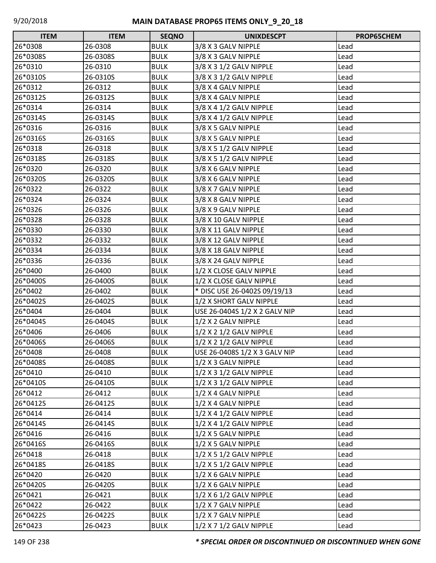| <b>ITEM</b> | <b>ITEM</b> | <b>SEQNO</b> | <b>UNIXDESCPT</b>             | PROP65CHEM |
|-------------|-------------|--------------|-------------------------------|------------|
| 26*0308     | 26-0308     | <b>BULK</b>  | 3/8 X 3 GALV NIPPLE           | Lead       |
| 26*0308S    | 26-0308S    | <b>BULK</b>  | 3/8 X 3 GALV NIPPLE           | Lead       |
| 26*0310     | 26-0310     | <b>BULK</b>  | 3/8 X 3 1/2 GALV NIPPLE       | Lead       |
| 26*0310S    | 26-0310S    | <b>BULK</b>  | 3/8 X 3 1/2 GALV NIPPLE       | Lead       |
| 26*0312     | 26-0312     | <b>BULK</b>  | 3/8 X 4 GALV NIPPLE           | Lead       |
| 26*0312S    | 26-0312S    | <b>BULK</b>  | 3/8 X 4 GALV NIPPLE           | Lead       |
| 26*0314     | 26-0314     | <b>BULK</b>  | 3/8 X 4 1/2 GALV NIPPLE       | Lead       |
| 26*0314S    | 26-0314S    | <b>BULK</b>  | 3/8 X 4 1/2 GALV NIPPLE       | Lead       |
| 26*0316     | 26-0316     | <b>BULK</b>  | 3/8 X 5 GALV NIPPLE           | Lead       |
| 26*0316S    | 26-0316S    | <b>BULK</b>  | 3/8 X 5 GALV NIPPLE           | Lead       |
| 26*0318     | 26-0318     | <b>BULK</b>  | 3/8 X 5 1/2 GALV NIPPLE       | Lead       |
| 26*0318S    | 26-0318S    | <b>BULK</b>  | 3/8 X 5 1/2 GALV NIPPLE       | Lead       |
| 26*0320     | 26-0320     | <b>BULK</b>  | 3/8 X 6 GALV NIPPLE           | Lead       |
| 26*0320S    | 26-0320S    | <b>BULK</b>  | 3/8 X 6 GALV NIPPLE           | Lead       |
| 26*0322     | 26-0322     | <b>BULK</b>  | 3/8 X 7 GALV NIPPLE           | Lead       |
| 26*0324     | 26-0324     | <b>BULK</b>  | 3/8 X 8 GALV NIPPLE           | Lead       |
| 26*0326     | 26-0326     | <b>BULK</b>  | 3/8 X 9 GALV NIPPLE           | Lead       |
| 26*0328     | 26-0328     | <b>BULK</b>  | 3/8 X 10 GALV NIPPLE          | Lead       |
| 26*0330     | 26-0330     | <b>BULK</b>  | 3/8 X 11 GALV NIPPLE          | Lead       |
| 26*0332     | 26-0332     | <b>BULK</b>  | 3/8 X 12 GALV NIPPLE          | Lead       |
| 26*0334     | 26-0334     | <b>BULK</b>  | 3/8 X 18 GALV NIPPLE          | Lead       |
| 26*0336     | 26-0336     | <b>BULK</b>  | 3/8 X 24 GALV NIPPLE          | Lead       |
| 26*0400     | 26-0400     | <b>BULK</b>  | 1/2 X CLOSE GALV NIPPLE       | Lead       |
| 26*0400S    | 26-0400S    | <b>BULK</b>  | 1/2 X CLOSE GALV NIPPLE       | Lead       |
| 26*0402     | 26-0402     | <b>BULK</b>  | * DISC USE 26-0402S 09/19/13  | Lead       |
| 26*0402S    | 26-0402S    | <b>BULK</b>  | 1/2 X SHORT GALV NIPPLE       | Lead       |
| 26*0404     | 26-0404     | <b>BULK</b>  | USE 26-0404S 1/2 X 2 GALV NIP | Lead       |
| 26*0404S    | 26-0404S    | <b>BULK</b>  | 1/2 X 2 GALV NIPPLE           | Lead       |
| 26*0406     | 26-0406     | <b>BULK</b>  | 1/2 X 2 1/2 GALV NIPPLE       | Lead       |
| 26*0406S    | 26-0406S    | <b>BULK</b>  | 1/2 X 2 1/2 GALV NIPPLE       | Lead       |
| 26*0408     | 26-0408     | <b>BULK</b>  | USE 26-0408S 1/2 X 3 GALV NIP | Lead       |
| 26*0408S    | 26-0408S    | <b>BULK</b>  | 1/2 X 3 GALV NIPPLE           | Lead       |
| 26*0410     | 26-0410     | <b>BULK</b>  | 1/2 X 3 1/2 GALV NIPPLE       | Lead       |
| 26*0410S    | 26-0410S    | <b>BULK</b>  | 1/2 X 3 1/2 GALV NIPPLE       | Lead       |
| 26*0412     | 26-0412     | <b>BULK</b>  | 1/2 X 4 GALV NIPPLE           | Lead       |
| 26*0412S    | 26-0412S    | <b>BULK</b>  | 1/2 X 4 GALV NIPPLE           | Lead       |
| 26*0414     | 26-0414     | <b>BULK</b>  | 1/2 X 4 1/2 GALV NIPPLE       | Lead       |
| 26*0414S    | 26-0414S    | <b>BULK</b>  | 1/2 X 4 1/2 GALV NIPPLE       | Lead       |
| 26*0416     | 26-0416     | <b>BULK</b>  | 1/2 X 5 GALV NIPPLE           | Lead       |
| 26*0416S    | 26-0416S    | <b>BULK</b>  | 1/2 X 5 GALV NIPPLE           | Lead       |
| 26*0418     | 26-0418     | <b>BULK</b>  | 1/2 X 5 1/2 GALV NIPPLE       | Lead       |
| 26*0418S    | 26-0418S    | <b>BULK</b>  | 1/2 X 5 1/2 GALV NIPPLE       | Lead       |
| 26*0420     | 26-0420     | <b>BULK</b>  | 1/2 X 6 GALV NIPPLE           | Lead       |
| 26*0420S    | 26-0420S    | <b>BULK</b>  | 1/2 X 6 GALV NIPPLE           | Lead       |
| 26*0421     | 26-0421     | <b>BULK</b>  | $1/2$ X 6 $1/2$ GALV NIPPLE   | Lead       |
| 26*0422     | 26-0422     | <b>BULK</b>  | 1/2 X 7 GALV NIPPLE           | Lead       |
| 26*0422S    | 26-0422S    | <b>BULK</b>  | 1/2 X 7 GALV NIPPLE           | Lead       |
| 26*0423     | 26-0423     | <b>BULK</b>  | 1/2 X 7 1/2 GALV NIPPLE       | Lead       |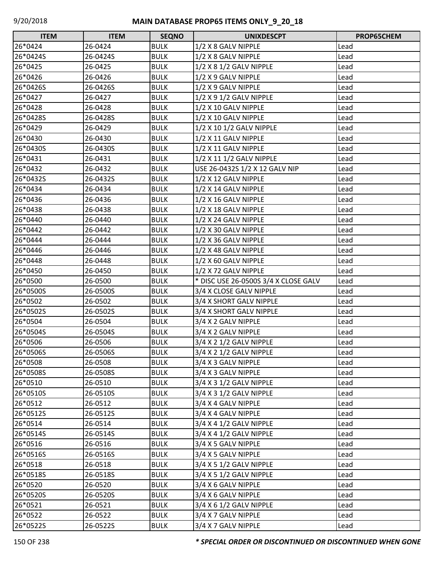| <b>ITEM</b> | <b>ITEM</b> | <b>SEQNO</b> | <b>UNIXDESCPT</b>                    | PROP65CHEM |
|-------------|-------------|--------------|--------------------------------------|------------|
| 26*0424     | 26-0424     | <b>BULK</b>  | 1/2 X 8 GALV NIPPLE                  | Lead       |
| 26*0424S    | 26-0424S    | <b>BULK</b>  | 1/2 X 8 GALV NIPPLE                  | Lead       |
| 26*0425     | 26-0425     | <b>BULK</b>  | 1/2 X 8 1/2 GALV NIPPLE              | Lead       |
| 26*0426     | 26-0426     | <b>BULK</b>  | 1/2 X 9 GALV NIPPLE                  | Lead       |
| 26*0426S    | 26-0426S    | <b>BULK</b>  | 1/2 X 9 GALV NIPPLE                  | Lead       |
| 26*0427     | 26-0427     | <b>BULK</b>  | 1/2 X 9 1/2 GALV NIPPLE              | Lead       |
| 26*0428     | 26-0428     | <b>BULK</b>  | 1/2 X 10 GALV NIPPLE                 | Lead       |
| 26*0428S    | 26-0428S    | <b>BULK</b>  | 1/2 X 10 GALV NIPPLE                 | Lead       |
| 26*0429     | 26-0429     | <b>BULK</b>  | 1/2 X 10 1/2 GALV NIPPLE             | Lead       |
| 26*0430     | 26-0430     | <b>BULK</b>  | 1/2 X 11 GALV NIPPLE                 | Lead       |
| 26*0430S    | 26-0430S    | <b>BULK</b>  | 1/2 X 11 GALV NIPPLE                 | Lead       |
| 26*0431     | 26-0431     | <b>BULK</b>  | 1/2 X 11 1/2 GALV NIPPLE             | Lead       |
| 26*0432     | 26-0432     | <b>BULK</b>  | USE 26-0432S 1/2 X 12 GALV NIP       | Lead       |
| 26*0432S    | 26-0432S    | <b>BULK</b>  | 1/2 X 12 GALV NIPPLE                 | Lead       |
| 26*0434     | 26-0434     | <b>BULK</b>  | 1/2 X 14 GALV NIPPLE                 | Lead       |
| 26*0436     | 26-0436     | <b>BULK</b>  | 1/2 X 16 GALV NIPPLE                 | Lead       |
| 26*0438     | 26-0438     | <b>BULK</b>  | 1/2 X 18 GALV NIPPLE                 | Lead       |
| 26*0440     | 26-0440     | <b>BULK</b>  | 1/2 X 24 GALV NIPPLE                 | Lead       |
| 26*0442     | 26-0442     | <b>BULK</b>  | 1/2 X 30 GALV NIPPLE                 | Lead       |
| 26*0444     | 26-0444     | <b>BULK</b>  | 1/2 X 36 GALV NIPPLE                 | Lead       |
| 26*0446     | 26-0446     | <b>BULK</b>  | 1/2 X 48 GALV NIPPLE                 | Lead       |
| 26*0448     | 26-0448     | <b>BULK</b>  | 1/2 X 60 GALV NIPPLE                 | Lead       |
| 26*0450     | 26-0450     | <b>BULK</b>  | 1/2 X 72 GALV NIPPLE                 | Lead       |
| 26*0500     | 26-0500     | <b>BULK</b>  | * DISC USE 26-0500S 3/4 X CLOSE GALV | Lead       |
| 26*0500S    | 26-0500S    | <b>BULK</b>  | 3/4 X CLOSE GALV NIPPLE              | Lead       |
| 26*0502     | 26-0502     | <b>BULK</b>  | 3/4 X SHORT GALV NIPPLE              | Lead       |
| 26*0502S    | 26-0502S    | <b>BULK</b>  | 3/4 X SHORT GALV NIPPLE              | Lead       |
| 26*0504     | 26-0504     | <b>BULK</b>  | 3/4 X 2 GALV NIPPLE                  | Lead       |
| 26*0504S    | 26-0504S    | <b>BULK</b>  | 3/4 X 2 GALV NIPPLE                  | Lead       |
| 26*0506     | 26-0506     | <b>BULK</b>  | 3/4 X 2 1/2 GALV NIPPLE              | Lead       |
| 26*0506S    | 26-0506S    | <b>BULK</b>  | 3/4 X 2 1/2 GALV NIPPLE              | Lead       |
| 26*0508     | 26-0508     | <b>BULK</b>  | 3/4 X 3 GALV NIPPLE                  | Lead       |
| 26*0508S    | 26-0508S    | <b>BULK</b>  | 3/4 X 3 GALV NIPPLE                  | Lead       |
| 26*0510     | 26-0510     | <b>BULK</b>  | 3/4 X 3 1/2 GALV NIPPLE              | Lead       |
| 26*0510S    | 26-0510S    | <b>BULK</b>  | 3/4 X 3 1/2 GALV NIPPLE              | Lead       |
| 26*0512     | 26-0512     | <b>BULK</b>  | 3/4 X 4 GALV NIPPLE                  | Lead       |
| 26*0512S    | 26-0512S    | <b>BULK</b>  | 3/4 X 4 GALV NIPPLE                  | Lead       |
| 26*0514     | 26-0514     | <b>BULK</b>  | 3/4 X 4 1/2 GALV NIPPLE              | Lead       |
| 26*0514S    | 26-0514S    | <b>BULK</b>  | 3/4 X 4 1/2 GALV NIPPLE              | Lead       |
| 26*0516     | 26-0516     | <b>BULK</b>  | 3/4 X 5 GALV NIPPLE                  | Lead       |
| 26*0516S    | 26-0516S    | <b>BULK</b>  | 3/4 X 5 GALV NIPPLE                  | Lead       |
| 26*0518     | 26-0518     | <b>BULK</b>  | 3/4 X 5 1/2 GALV NIPPLE              | Lead       |
| 26*0518S    | 26-0518S    | <b>BULK</b>  | 3/4 X 5 1/2 GALV NIPPLE              | Lead       |
| 26*0520     | 26-0520     | <b>BULK</b>  | 3/4 X 6 GALV NIPPLE                  | Lead       |
| 26*0520S    | 26-0520S    | <b>BULK</b>  | 3/4 X 6 GALV NIPPLE                  | Lead       |
| 26*0521     | 26-0521     | <b>BULK</b>  | 3/4 X 6 1/2 GALV NIPPLE              | Lead       |
| 26*0522     | 26-0522     | <b>BULK</b>  | 3/4 X 7 GALV NIPPLE                  | Lead       |
| 26*0522S    | 26-0522S    | <b>BULK</b>  | 3/4 X 7 GALV NIPPLE                  | Lead       |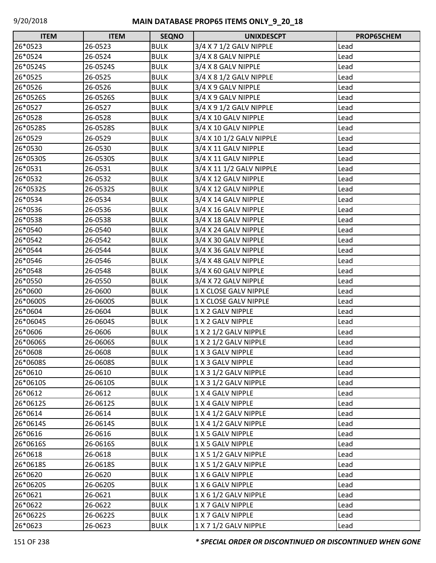| $\Box$<br><b>ITEM</b> | <b>ITEM</b> | <b>SEQNO</b> | <b>UNIXDESCPT</b>        | PROP65CHEM |
|-----------------------|-------------|--------------|--------------------------|------------|
| 26*0523               | 26-0523     | <b>BULK</b>  | 3/4 X 7 1/2 GALV NIPPLE  | Lead       |
| 26*0524               | 26-0524     | <b>BULK</b>  | 3/4 X 8 GALV NIPPLE      | Lead       |
| 26*0524S              | 26-0524S    | <b>BULK</b>  | 3/4 X 8 GALV NIPPLE      | Lead       |
| 26*0525               | 26-0525     | <b>BULK</b>  | 3/4 X 8 1/2 GALV NIPPLE  | Lead       |
| 26*0526               | 26-0526     | <b>BULK</b>  | 3/4 X 9 GALV NIPPLE      | Lead       |
| 26*0526S              | 26-0526S    | <b>BULK</b>  | 3/4 X 9 GALV NIPPLE      | Lead       |
| 26*0527               | 26-0527     | <b>BULK</b>  | 3/4 X 9 1/2 GALV NIPPLE  | Lead       |
| 26*0528               | 26-0528     | <b>BULK</b>  | 3/4 X 10 GALV NIPPLE     | Lead       |
| 26*0528S              | 26-0528S    | <b>BULK</b>  | 3/4 X 10 GALV NIPPLE     | Lead       |
| 26*0529               | 26-0529     | <b>BULK</b>  | 3/4 X 10 1/2 GALV NIPPLE | Lead       |
| 26*0530               | 26-0530     | <b>BULK</b>  | 3/4 X 11 GALV NIPPLE     | Lead       |
| 26*0530S              | 26-0530S    | <b>BULK</b>  | 3/4 X 11 GALV NIPPLE     | Lead       |
| 26*0531               | 26-0531     | <b>BULK</b>  | 3/4 X 11 1/2 GALV NIPPLE | Lead       |
| 26*0532               | 26-0532     | <b>BULK</b>  | 3/4 X 12 GALV NIPPLE     | Lead       |
| 26*0532S              | 26-0532S    | <b>BULK</b>  | 3/4 X 12 GALV NIPPLE     | Lead       |
| 26*0534               | 26-0534     | <b>BULK</b>  | 3/4 X 14 GALV NIPPLE     | Lead       |
| 26*0536               | 26-0536     | <b>BULK</b>  | 3/4 X 16 GALV NIPPLE     | Lead       |
| 26*0538               | 26-0538     | <b>BULK</b>  | 3/4 X 18 GALV NIPPLE     | Lead       |
| 26*0540               | 26-0540     | <b>BULK</b>  | 3/4 X 24 GALV NIPPLE     | Lead       |
| 26*0542               | 26-0542     | <b>BULK</b>  | 3/4 X 30 GALV NIPPLE     | Lead       |
| 26*0544               | 26-0544     | <b>BULK</b>  | 3/4 X 36 GALV NIPPLE     | Lead       |
| 26*0546               | 26-0546     | <b>BULK</b>  | 3/4 X 48 GALV NIPPLE     | Lead       |
| 26*0548               | 26-0548     | <b>BULK</b>  | 3/4 X 60 GALV NIPPLE     | Lead       |
| 26*0550               | 26-0550     | <b>BULK</b>  | 3/4 X 72 GALV NIPPLE     | Lead       |
| 26*0600               | 26-0600     | <b>BULK</b>  | 1 X CLOSE GALV NIPPLE    | Lead       |
| 26*0600S              | 26-0600S    | <b>BULK</b>  | 1 X CLOSE GALV NIPPLE    | Lead       |
| 26*0604               | 26-0604     | <b>BULK</b>  | 1 X 2 GALV NIPPLE        | Lead       |
| 26*0604S              | 26-0604S    | <b>BULK</b>  | 1 X 2 GALV NIPPLE        | Lead       |
| 26*0606               | 26-0606     | <b>BULK</b>  | 1 X 2 1/2 GALV NIPPLE    | Lead       |
| 26*0606S              | 26-0606S    | <b>BULK</b>  | 1 X 2 1/2 GALV NIPPLE    | Lead       |
| 26*0608               | 26-0608     | <b>BULK</b>  | 1 X 3 GALV NIPPLE        | Lead       |
| 26*0608S              | 26-0608S    | <b>BULK</b>  | 1 X 3 GALV NIPPLE        | Lead       |
| 26*0610               | 26-0610     | <b>BULK</b>  | 1 X 3 1/2 GALV NIPPLE    | Lead       |
| 26*0610S              | 26-0610S    | <b>BULK</b>  | 1 X 3 1/2 GALV NIPPLE    | Lead       |
| 26*0612               | 26-0612     | <b>BULK</b>  | 1 X 4 GALV NIPPLE        | Lead       |
| 26*0612S              | 26-0612S    | <b>BULK</b>  | 1 X 4 GALV NIPPLE        | Lead       |
| 26*0614               | 26-0614     | <b>BULK</b>  | 1 X 4 1/2 GALV NIPPLE    | Lead       |
| 26*0614S              | 26-0614S    | <b>BULK</b>  | 1 X 4 1/2 GALV NIPPLE    | Lead       |
| 26*0616               | 26-0616     | <b>BULK</b>  | 1 X 5 GALV NIPPLE        | Lead       |
| 26*0616S              | 26-0616S    | <b>BULK</b>  | 1 X 5 GALV NIPPLE        | Lead       |
| 26*0618               | 26-0618     | <b>BULK</b>  | 1 X 5 1/2 GALV NIPPLE    | Lead       |
| 26*0618S              | 26-0618S    | <b>BULK</b>  | 1 X 5 1/2 GALV NIPPLE    | Lead       |
| 26*0620               | 26-0620     | <b>BULK</b>  | 1 X 6 GALV NIPPLE        | Lead       |
| 26*0620S              | 26-0620S    | <b>BULK</b>  | 1 X 6 GALV NIPPLE        | Lead       |
| 26*0621               | 26-0621     | <b>BULK</b>  | 1 X 6 1/2 GALV NIPPLE    | Lead       |
| 26*0622               | 26-0622     | <b>BULK</b>  | 1 X 7 GALV NIPPLE        | Lead       |
| 26*0622S              | 26-0622S    | <b>BULK</b>  | 1 X 7 GALV NIPPLE        | Lead       |
| 26*0623               | 26-0623     | <b>BULK</b>  | 1 X 7 1/2 GALV NIPPLE    | Lead       |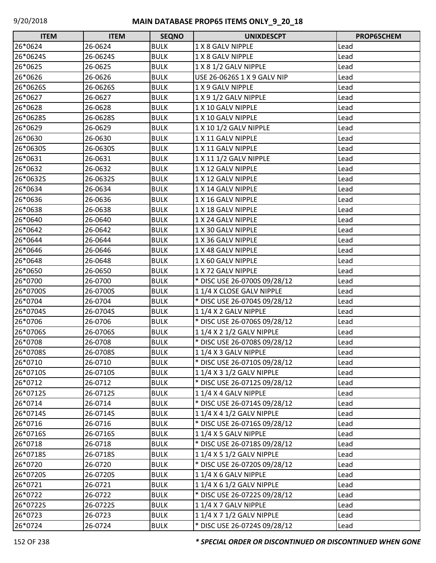| <b>ITEM</b> | <b>ITEM</b> | <b>SEQNO</b> | <b>UNIXDESCPT</b>            | PROP65CHEM |
|-------------|-------------|--------------|------------------------------|------------|
| 26*0624     | 26-0624     | <b>BULK</b>  | 1 X 8 GALV NIPPLE            | Lead       |
| 26*0624S    | 26-0624S    | <b>BULK</b>  | 1 X 8 GALV NIPPLE            | Lead       |
| 26*0625     | 26-0625     | <b>BULK</b>  | 1 X 8 1/2 GALV NIPPLE        | Lead       |
| 26*0626     | 26-0626     | <b>BULK</b>  | USE 26-0626S 1 X 9 GALV NIP  | Lead       |
| 26*0626S    | 26-0626S    | <b>BULK</b>  | 1 X 9 GALV NIPPLE            | Lead       |
| 26*0627     | 26-0627     | <b>BULK</b>  | 1 X 9 1/2 GALV NIPPLE        | Lead       |
| 26*0628     | 26-0628     | <b>BULK</b>  | 1 X 10 GALV NIPPLE           | Lead       |
| 26*0628S    | 26-0628S    | <b>BULK</b>  | 1 X 10 GALV NIPPLE           | Lead       |
| 26*0629     | 26-0629     | <b>BULK</b>  | 1 X 10 1/2 GALV NIPPLE       | Lead       |
| 26*0630     | 26-0630     | <b>BULK</b>  | 1 X 11 GALV NIPPLE           | Lead       |
| 26*0630S    | 26-0630S    | <b>BULK</b>  | 1 X 11 GALV NIPPLE           | Lead       |
| 26*0631     | 26-0631     | <b>BULK</b>  | 1 X 11 1/2 GALV NIPPLE       | Lead       |
| 26*0632     | 26-0632     | <b>BULK</b>  | 1 X 12 GALV NIPPLE           | Lead       |
| 26*0632S    | 26-0632S    | <b>BULK</b>  | 1 X 12 GALV NIPPLE           | Lead       |
| 26*0634     | 26-0634     | <b>BULK</b>  | 1 X 14 GALV NIPPLE           | Lead       |
| 26*0636     | 26-0636     | <b>BULK</b>  | 1 X 16 GALV NIPPLE           | Lead       |
| 26*0638     | 26-0638     | <b>BULK</b>  | 1 X 18 GALV NIPPLE           | Lead       |
| 26*0640     | 26-0640     | <b>BULK</b>  | 1 X 24 GALV NIPPLE           | Lead       |
| 26*0642     | 26-0642     | <b>BULK</b>  | 1 X 30 GALV NIPPLE           | Lead       |
| 26*0644     | 26-0644     | <b>BULK</b>  | 1 X 36 GALV NIPPLE           | Lead       |
| 26*0646     | 26-0646     | <b>BULK</b>  | 1 X 48 GALV NIPPLE           | Lead       |
| 26*0648     | 26-0648     | <b>BULK</b>  | 1 X 60 GALV NIPPLE           | Lead       |
| 26*0650     | 26-0650     | <b>BULK</b>  | 1 X 72 GALV NIPPLE           | Lead       |
| 26*0700     | 26-0700     | <b>BULK</b>  | * DISC USE 26-0700S 09/28/12 | Lead       |
| 26*0700S    | 26-0700S    | <b>BULK</b>  | 11/4 X CLOSE GALV NIPPLE     | Lead       |
| 26*0704     | 26-0704     | <b>BULK</b>  | * DISC USE 26-0704S 09/28/12 | Lead       |
| 26*0704S    | 26-0704S    | <b>BULK</b>  | 11/4 X 2 GALV NIPPLE         | Lead       |
| 26*0706     | 26-0706     | <b>BULK</b>  | * DISC USE 26-0706S 09/28/12 | Lead       |
| 26*0706S    | 26-0706S    | <b>BULK</b>  | 1 1/4 X 2 1/2 GALV NIPPLE    | Lead       |
| 26*0708     | 26-0708     | <b>BULK</b>  | * DISC USE 26-0708S 09/28/12 | Lead       |
| 26*0708S    | 26-0708S    | <b>BULK</b>  | 11/4 X 3 GALV NIPPLE         | Lead       |
| 26*0710     | 26-0710     | <b>BULK</b>  | * DISC USE 26-0710S 09/28/12 | Lead       |
| 26*0710S    | 26-0710S    | <b>BULK</b>  | 1 1/4 X 3 1/2 GALV NIPPLE    | Lead       |
| 26*0712     | 26-0712     | <b>BULK</b>  | * DISC USE 26-0712S 09/28/12 | Lead       |
| 26*0712S    | 26-0712S    | <b>BULK</b>  | 11/4 X 4 GALV NIPPLE         | Lead       |
| 26*0714     | 26-0714     | <b>BULK</b>  | * DISC USE 26-0714S 09/28/12 | Lead       |
| 26*0714S    | 26-0714S    | <b>BULK</b>  | 1 1/4 X 4 1/2 GALV NIPPLE    | Lead       |
| 26*0716     | 26-0716     | <b>BULK</b>  | * DISC USE 26-0716S 09/28/12 | Lead       |
| 26*0716S    | 26-0716S    | <b>BULK</b>  | 11/4 X 5 GALV NIPPLE         | Lead       |
| 26*0718     | 26-0718     | <b>BULK</b>  | * DISC USE 26-0718S 09/28/12 | Lead       |
| 26*0718S    | 26-0718S    | <b>BULK</b>  | 1 1/4 X 5 1/2 GALV NIPPLE    | Lead       |
| 26*0720     | 26-0720     | <b>BULK</b>  | * DISC USE 26-0720S 09/28/12 | Lead       |
| 26*0720S    | 26-0720S    | <b>BULK</b>  | 11/4 X 6 GALV NIPPLE         | Lead       |
| 26*0721     | 26-0721     | <b>BULK</b>  | 1 1/4 X 6 1/2 GALV NIPPLE    | Lead       |
| 26*0722     | 26-0722     | <b>BULK</b>  | * DISC USE 26-0722S 09/28/12 | Lead       |
| 26*0722S    | 26-0722S    | <b>BULK</b>  | 11/4 X 7 GALV NIPPLE         | Lead       |
| 26*0723     | 26-0723     | <b>BULK</b>  | 1 1/4 X 7 1/2 GALV NIPPLE    | Lead       |
| 26*0724     | 26-0724     | <b>BULK</b>  | * DISC USE 26-0724S 09/28/12 | Lead       |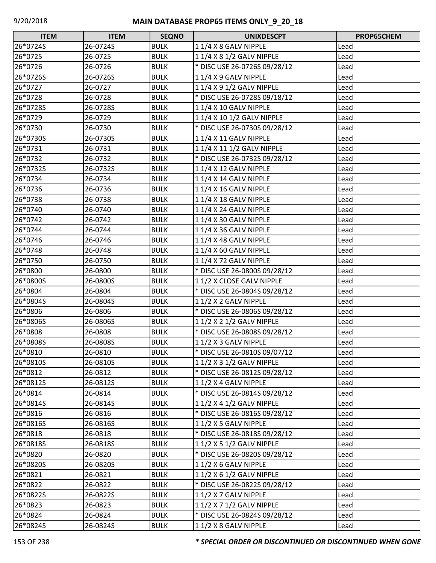| <b>ITEM</b> | <b>ITEM</b> | <b>SEQNO</b> | <b>UNIXDESCPT</b>            | PROP65CHEM |
|-------------|-------------|--------------|------------------------------|------------|
| 26*0724S    | 26-0724S    | <b>BULK</b>  | 11/4 X 8 GALV NIPPLE         | Lead       |
| 26*0725     | 26-0725     | <b>BULK</b>  | 1 1/4 X 8 1/2 GALV NIPPLE    | Lead       |
| 26*0726     | 26-0726     | <b>BULK</b>  | * DISC USE 26-0726S 09/28/12 | Lead       |
| 26*0726S    | 26-0726S    | <b>BULK</b>  | 11/4 X 9 GALV NIPPLE         | Lead       |
| 26*0727     | 26-0727     | <b>BULK</b>  | 1 1/4 X 9 1/2 GALV NIPPLE    | Lead       |
| 26*0728     | 26-0728     | <b>BULK</b>  | * DISC USE 26-0728S 09/18/12 | Lead       |
| 26*0728S    | 26-0728S    | <b>BULK</b>  | 1 1/4 X 10 GALV NIPPLE       | Lead       |
| 26*0729     | 26-0729     | <b>BULK</b>  | 1 1/4 X 10 1/2 GALV NIPPLE   | Lead       |
| 26*0730     | 26-0730     | <b>BULK</b>  | * DISC USE 26-0730S 09/28/12 | Lead       |
| 26*0730S    | 26-0730S    | <b>BULK</b>  | 11/4 X 11 GALV NIPPLE        | Lead       |
| 26*0731     | 26-0731     | <b>BULK</b>  | 1 1/4 X 11 1/2 GALV NIPPLE   | Lead       |
| 26*0732     | 26-0732     | <b>BULK</b>  | * DISC USE 26-0732S 09/28/12 | Lead       |
| 26*0732S    | 26-0732S    | <b>BULK</b>  | 11/4 X 12 GALV NIPPLE        | Lead       |
| 26*0734     | 26-0734     | <b>BULK</b>  | 1 1/4 X 14 GALV NIPPLE       | Lead       |
| 26*0736     | 26-0736     | <b>BULK</b>  | 1 1/4 X 16 GALV NIPPLE       | Lead       |
| 26*0738     | 26-0738     | <b>BULK</b>  | 1 1/4 X 18 GALV NIPPLE       | Lead       |
| 26*0740     | 26-0740     | <b>BULK</b>  | 11/4 X 24 GALV NIPPLE        | Lead       |
| 26*0742     | 26-0742     | <b>BULK</b>  | 1 1/4 X 30 GALV NIPPLE       | Lead       |
| 26*0744     | 26-0744     | <b>BULK</b>  | 1 1/4 X 36 GALV NIPPLE       | Lead       |
| 26*0746     | 26-0746     | <b>BULK</b>  | 1 1/4 X 48 GALV NIPPLE       | Lead       |
| 26*0748     | 26-0748     | <b>BULK</b>  | 1 1/4 X 60 GALV NIPPLE       | Lead       |
| 26*0750     | 26-0750     | <b>BULK</b>  | 1 1/4 X 72 GALV NIPPLE       | Lead       |
| 26*0800     | 26-0800     | <b>BULK</b>  | * DISC USE 26-0800S 09/28/12 | Lead       |
| 26*0800S    | 26-0800S    | <b>BULK</b>  | 11/2 X CLOSE GALV NIPPLE     | Lead       |
| 26*0804     | 26-0804     | <b>BULK</b>  | * DISC USE 26-0804S 09/28/12 | Lead       |
| 26*0804S    | 26-0804S    | <b>BULK</b>  | 11/2 X 2 GALV NIPPLE         | Lead       |
| 26*0806     | 26-0806     | <b>BULK</b>  | * DISC USE 26-0806S 09/28/12 | Lead       |
| 26*0806S    | 26-0806S    | <b>BULK</b>  | 1 1/2 X 2 1/2 GALV NIPPLE    | Lead       |
| 26*0808     | 26-0808     | <b>BULK</b>  | * DISC USE 26-0808S 09/28/12 | Lead       |
| 26*0808S    | 26-0808S    | <b>BULK</b>  | 1 1/2 X 3 GALV NIPPLE        | Lead       |
| 26*0810     | 26-0810     | <b>BULK</b>  | * DISC USE 26-0810S 09/07/12 | Lead       |
| 26*0810S    | 26-0810S    | <b>BULK</b>  | 1 1/2 X 3 1/2 GALV NIPPLE    | Lead       |
| 26*0812     | 26-0812     | <b>BULK</b>  | * DISC USE 26-0812S 09/28/12 | Lead       |
| 26*0812S    | 26-0812S    | <b>BULK</b>  | 1 1/2 X 4 GALV NIPPLE        | Lead       |
| 26*0814     | 26-0814     | <b>BULK</b>  | * DISC USE 26-0814S 09/28/12 | Lead       |
| 26*0814S    | 26-0814S    | <b>BULK</b>  | 1 1/2 X 4 1/2 GALV NIPPLE    | Lead       |
| 26*0816     | 26-0816     | <b>BULK</b>  | * DISC USE 26-0816S 09/28/12 | Lead       |
| 26*0816S    | 26-0816S    | <b>BULK</b>  | 11/2 X 5 GALV NIPPLE         | Lead       |
| 26*0818     | 26-0818     | <b>BULK</b>  | * DISC USE 26-0818S 09/28/12 | Lead       |
| 26*0818S    | 26-0818S    | <b>BULK</b>  | 1 1/2 X 5 1/2 GALV NIPPLE    | Lead       |
| 26*0820     | 26-0820     | <b>BULK</b>  | * DISC USE 26-0820S 09/28/12 | Lead       |
| 26*0820S    | 26-0820S    | <b>BULK</b>  | 1 1/2 X 6 GALV NIPPLE        | Lead       |
| 26*0821     | 26-0821     | <b>BULK</b>  | 1 1/2 X 6 1/2 GALV NIPPLE    | Lead       |
| 26*0822     | 26-0822     | <b>BULK</b>  | * DISC USE 26-0822S 09/28/12 | Lead       |
| 26*0822S    | 26-0822S    | <b>BULK</b>  | 1 1/2 X 7 GALV NIPPLE        | Lead       |
| 26*0823     | 26-0823     | <b>BULK</b>  | 1 1/2 X 7 1/2 GALV NIPPLE    | Lead       |
| 26*0824     | 26-0824     | <b>BULK</b>  | * DISC USE 26-0824S 09/28/12 | Lead       |
| 26*0824S    | 26-0824S    | <b>BULK</b>  | 1 1/2 X 8 GALV NIPPLE        | Lead       |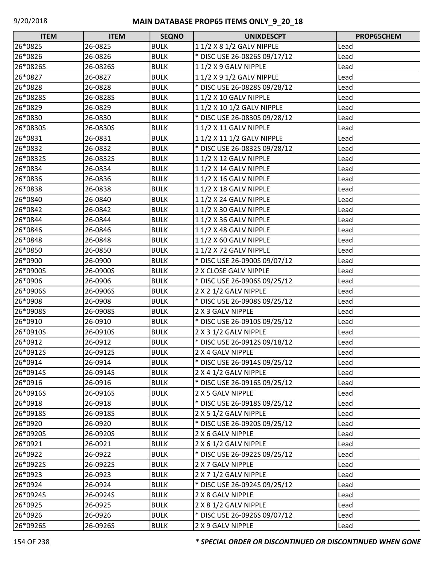| <b>ITEM</b> | <b>ITEM</b> | <b>SEQNO</b> | <b>UNIXDESCPT</b>            | PROP65CHEM |
|-------------|-------------|--------------|------------------------------|------------|
| 26*0825     | 26-0825     | <b>BULK</b>  | 1 1/2 X 8 1/2 GALV NIPPLE    | Lead       |
| 26*0826     | 26-0826     | <b>BULK</b>  | * DISC USE 26-0826S 09/17/12 | Lead       |
| 26*0826S    | 26-0826S    | <b>BULK</b>  | 11/2 X 9 GALV NIPPLE         | Lead       |
| 26*0827     | 26-0827     | <b>BULK</b>  | 1 1/2 X 9 1/2 GALV NIPPLE    | Lead       |
| 26*0828     | 26-0828     | <b>BULK</b>  | * DISC USE 26-0828S 09/28/12 | Lead       |
| 26*0828S    | 26-0828S    | <b>BULK</b>  | 1 1/2 X 10 GALV NIPPLE       | Lead       |
| 26*0829     | 26-0829     | <b>BULK</b>  | 1 1/2 X 10 1/2 GALV NIPPLE   | Lead       |
| 26*0830     | 26-0830     | <b>BULK</b>  | * DISC USE 26-0830S 09/28/12 | Lead       |
| 26*0830S    | 26-0830S    | <b>BULK</b>  | 1 1/2 X 11 GALV NIPPLE       | Lead       |
| 26*0831     | 26-0831     | <b>BULK</b>  | 1 1/2 X 11 1/2 GALV NIPPLE   | Lead       |
| 26*0832     | 26-0832     | <b>BULK</b>  | * DISC USE 26-0832S 09/28/12 | Lead       |
| 26*0832S    | 26-0832S    | <b>BULK</b>  | 1 1/2 X 12 GALV NIPPLE       | Lead       |
| 26*0834     | 26-0834     | <b>BULK</b>  | 1 1/2 X 14 GALV NIPPLE       | Lead       |
| 26*0836     | 26-0836     | <b>BULK</b>  | 1 1/2 X 16 GALV NIPPLE       | Lead       |
| 26*0838     | 26-0838     | <b>BULK</b>  | 1 1/2 X 18 GALV NIPPLE       | Lead       |
| 26*0840     | 26-0840     | <b>BULK</b>  | 1 1/2 X 24 GALV NIPPLE       | Lead       |
| 26*0842     | 26-0842     | <b>BULK</b>  | 1 1/2 X 30 GALV NIPPLE       | Lead       |
| 26*0844     | 26-0844     | <b>BULK</b>  | 11/2 X 36 GALV NIPPLE        | Lead       |
| 26*0846     | 26-0846     | <b>BULK</b>  | 1 1/2 X 48 GALV NIPPLE       | Lead       |
| 26*0848     | 26-0848     | <b>BULK</b>  | 1 1/2 X 60 GALV NIPPLE       | Lead       |
| 26*0850     | 26-0850     | <b>BULK</b>  | 1 1/2 X 72 GALV NIPPLE       | Lead       |
| 26*0900     | 26-0900     | <b>BULK</b>  | * DISC USE 26-0900S 09/07/12 | Lead       |
| 26*0900S    | 26-0900S    | <b>BULK</b>  | 2 X CLOSE GALV NIPPLE        | Lead       |
| 26*0906     | 26-0906     | <b>BULK</b>  | * DISC USE 26-0906S 09/25/12 | Lead       |
| 26*0906S    | 26-0906S    | <b>BULK</b>  | 2 X 2 1/2 GALV NIPPLE        | Lead       |
| 26*0908     | 26-0908     | <b>BULK</b>  | * DISC USE 26-0908S 09/25/12 | Lead       |
| 26*0908S    | 26-0908S    | <b>BULK</b>  | 2 X 3 GALV NIPPLE            | Lead       |
| 26*0910     | 26-0910     | <b>BULK</b>  | * DISC USE 26-0910S 09/25/12 | Lead       |
| 26*0910S    | 26-0910S    | <b>BULK</b>  | 2 X 3 1/2 GALV NIPPLE        | Lead       |
| 26*0912     | 26-0912     | <b>BULK</b>  | * DISC USE 26-0912S 09/18/12 | Lead       |
| 26*0912S    | 26-0912S    | <b>BULK</b>  | 2 X 4 GALV NIPPLE            | Lead       |
| 26*0914     | 26-0914     | <b>BULK</b>  | * DISC USE 26-0914S 09/25/12 | Lead       |
| 26*0914S    | 26-0914S    | <b>BULK</b>  | 2 X 4 1/2 GALV NIPPLE        | Lead       |
| 26*0916     | 26-0916     | <b>BULK</b>  | * DISC USE 26-0916S 09/25/12 | Lead       |
| 26*0916S    | 26-0916S    | <b>BULK</b>  | 2 X 5 GALV NIPPLE            | Lead       |
| 26*0918     | 26-0918     | <b>BULK</b>  | * DISC USE 26-0918S 09/25/12 | Lead       |
| 26*0918S    | 26-0918S    | <b>BULK</b>  | 2 X 5 1/2 GALV NIPPLE        | Lead       |
| 26*0920     | 26-0920     | <b>BULK</b>  | * DISC USE 26-0920S 09/25/12 | Lead       |
| 26*0920S    | 26-0920S    | <b>BULK</b>  | 2 X 6 GALV NIPPLE            | Lead       |
| 26*0921     | 26-0921     | <b>BULK</b>  | 2 X 6 1/2 GALV NIPPLE        | Lead       |
| 26*0922     | 26-0922     | <b>BULK</b>  | * DISC USE 26-0922S 09/25/12 | Lead       |
| 26*0922S    | 26-0922S    | <b>BULK</b>  | 2 X 7 GALV NIPPLE            | Lead       |
| 26*0923     | 26-0923     | <b>BULK</b>  | 2 X 7 1/2 GALV NIPPLE        | Lead       |
| 26*0924     | 26-0924     | <b>BULK</b>  | * DISC USE 26-0924S 09/25/12 | Lead       |
| 26*0924S    | 26-0924S    | <b>BULK</b>  | 2 X 8 GALV NIPPLE            | Lead       |
| 26*0925     | 26-0925     | <b>BULK</b>  | 2 X 8 1/2 GALV NIPPLE        | Lead       |
| 26*0926     | 26-0926     | <b>BULK</b>  | * DISC USE 26-0926S 09/07/12 | Lead       |
| 26*0926S    | 26-0926S    | <b>BULK</b>  | 2 X 9 GALV NIPPLE            | Lead       |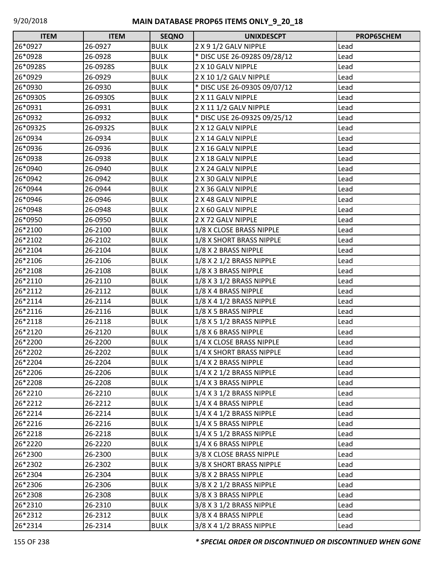| <b>ITEM</b> | <b>ITEM</b> | <b>SEQNO</b> | <b>UNIXDESCPT</b>            | PROP65CHEM |
|-------------|-------------|--------------|------------------------------|------------|
| 26*0927     | 26-0927     | <b>BULK</b>  | 2 X 9 1/2 GALV NIPPLE        | Lead       |
| 26*0928     | 26-0928     | <b>BULK</b>  | * DISC USE 26-0928S 09/28/12 | Lead       |
| 26*0928S    | 26-0928S    | <b>BULK</b>  | 2 X 10 GALV NIPPLE           | Lead       |
| 26*0929     | 26-0929     | <b>BULK</b>  | 2 X 10 1/2 GALV NIPPLE       | Lead       |
| 26*0930     | 26-0930     | <b>BULK</b>  | * DISC USE 26-0930S 09/07/12 | Lead       |
| 26*0930S    | 26-0930S    | <b>BULK</b>  | 2 X 11 GALV NIPPLE           | Lead       |
| 26*0931     | 26-0931     | <b>BULK</b>  | 2 X 11 1/2 GALV NIPPLE       | Lead       |
| 26*0932     | 26-0932     | <b>BULK</b>  | * DISC USE 26-0932S 09/25/12 | Lead       |
| 26*0932S    | 26-0932S    | <b>BULK</b>  | 2 X 12 GALV NIPPLE           | Lead       |
| 26*0934     | 26-0934     | <b>BULK</b>  | 2 X 14 GALV NIPPLE           | Lead       |
| 26*0936     | 26-0936     | <b>BULK</b>  | 2 X 16 GALV NIPPLE           | Lead       |
| 26*0938     | 26-0938     | <b>BULK</b>  | 2 X 18 GALV NIPPLE           | Lead       |
| 26*0940     | 26-0940     | <b>BULK</b>  | 2 X 24 GALV NIPPLE           | Lead       |
| 26*0942     | 26-0942     | <b>BULK</b>  | 2 X 30 GALV NIPPLE           | Lead       |
| 26*0944     | 26-0944     | <b>BULK</b>  | 2 X 36 GALV NIPPLE           | Lead       |
| 26*0946     | 26-0946     | <b>BULK</b>  | 2 X 48 GALV NIPPLE           | Lead       |
| 26*0948     | 26-0948     | <b>BULK</b>  | 2 X 60 GALV NIPPLE           | Lead       |
| 26*0950     | 26-0950     | <b>BULK</b>  | 2 X 72 GALV NIPPLE           | Lead       |
| 26*2100     | 26-2100     | <b>BULK</b>  | 1/8 X CLOSE BRASS NIPPLE     | Lead       |
| 26*2102     | 26-2102     | <b>BULK</b>  | 1/8 X SHORT BRASS NIPPLE     | Lead       |
| 26*2104     | 26-2104     | <b>BULK</b>  | 1/8 X 2 BRASS NIPPLE         | Lead       |
| 26*2106     | 26-2106     | <b>BULK</b>  | 1/8 X 2 1/2 BRASS NIPPLE     | Lead       |
| 26*2108     | 26-2108     | <b>BULK</b>  | 1/8 X 3 BRASS NIPPLE         | Lead       |
| 26*2110     | 26-2110     | <b>BULK</b>  | 1/8 X 3 1/2 BRASS NIPPLE     | Lead       |
| 26*2112     | 26-2112     | <b>BULK</b>  | 1/8 X 4 BRASS NIPPLE         | Lead       |
| 26*2114     | 26-2114     | <b>BULK</b>  | 1/8 X 4 1/2 BRASS NIPPLE     | Lead       |
| 26*2116     | 26-2116     | <b>BULK</b>  | 1/8 X 5 BRASS NIPPLE         | Lead       |
| 26*2118     | 26-2118     | <b>BULK</b>  | 1/8 X 5 1/2 BRASS NIPPLE     | Lead       |
| 26*2120     | 26-2120     | <b>BULK</b>  | 1/8 X 6 BRASS NIPPLE         | Lead       |
| 26*2200     | 26-2200     | <b>BULK</b>  | 1/4 X CLOSE BRASS NIPPLE     | Lead       |
| 26*2202     | 26-2202     | <b>BULK</b>  | 1/4 X SHORT BRASS NIPPLE     | Lead       |
| 26*2204     | 26-2204     | <b>BULK</b>  | 1/4 X 2 BRASS NIPPLE         | Lead       |
| 26*2206     | 26-2206     | <b>BULK</b>  | 1/4 X 2 1/2 BRASS NIPPLE     | Lead       |
| 26*2208     | 26-2208     | <b>BULK</b>  | 1/4 X 3 BRASS NIPPLE         | Lead       |
| 26*2210     | 26-2210     | <b>BULK</b>  | $1/4$ X 3 $1/2$ BRASS NIPPLE | Lead       |
| 26*2212     | 26-2212     | <b>BULK</b>  | 1/4 X 4 BRASS NIPPLE         | Lead       |
| 26*2214     | 26-2214     | <b>BULK</b>  | $1/4$ X 4 $1/2$ BRASS NIPPLE | Lead       |
| 26*2216     | 26-2216     | <b>BULK</b>  | 1/4 X 5 BRASS NIPPLE         | Lead       |
| 26*2218     | 26-2218     | <b>BULK</b>  | $1/4$ X 5 $1/2$ BRASS NIPPLE | Lead       |
| 26*2220     | 26-2220     | <b>BULK</b>  | 1/4 X 6 BRASS NIPPLE         | Lead       |
| 26*2300     | 26-2300     | <b>BULK</b>  | 3/8 X CLOSE BRASS NIPPLE     | Lead       |
| 26*2302     | 26-2302     | <b>BULK</b>  | 3/8 X SHORT BRASS NIPPLE     | Lead       |
| 26*2304     | 26-2304     | <b>BULK</b>  | 3/8 X 2 BRASS NIPPLE         | Lead       |
| 26*2306     | 26-2306     | <b>BULK</b>  | 3/8 X 2 1/2 BRASS NIPPLE     | Lead       |
| 26*2308     | 26-2308     | <b>BULK</b>  | 3/8 X 3 BRASS NIPPLE         | Lead       |
| 26*2310     | 26-2310     | <b>BULK</b>  | 3/8 X 3 1/2 BRASS NIPPLE     | Lead       |
| 26*2312     | 26-2312     | <b>BULK</b>  | 3/8 X 4 BRASS NIPPLE         | Lead       |
| 26*2314     | 26-2314     | <b>BULK</b>  | 3/8 X 4 1/2 BRASS NIPPLE     | Lead       |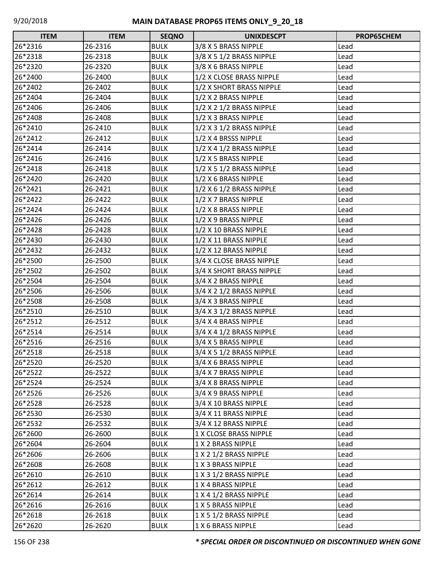| <b>ITEM</b> | <b>ITEM</b> | <b>SEQNO</b> | <b>UNIXDESCPT</b>            | PROP65CHEM |
|-------------|-------------|--------------|------------------------------|------------|
| 26*2316     | 26-2316     | <b>BULK</b>  | 3/8 X 5 BRASS NIPPLE         | Lead       |
| 26*2318     | 26-2318     | <b>BULK</b>  | 3/8 X 5 1/2 BRASS NIPPLE     | Lead       |
| 26*2320     | 26-2320     | <b>BULK</b>  | 3/8 X 6 BRASS NIPPLE         | Lead       |
| 26*2400     | 26-2400     | <b>BULK</b>  | 1/2 X CLOSE BRASS NIPPLE     | Lead       |
| 26*2402     | 26-2402     | <b>BULK</b>  | 1/2 X SHORT BRASS NIPPLE     | Lead       |
| 26*2404     | 26-2404     | <b>BULK</b>  | 1/2 X 2 BRASS NIPPLE         | Lead       |
| 26*2406     | 26-2406     | <b>BULK</b>  | 1/2 X 2 1/2 BRASS NIPPLE     | Lead       |
| 26*2408     | 26-2408     | <b>BULK</b>  | 1/2 X 3 BRASS NIPPLE         | Lead       |
| 26*2410     | 26-2410     | <b>BULK</b>  | 1/2 X 3 1/2 BRASS NIPPLE     | Lead       |
| 26*2412     | 26-2412     | <b>BULK</b>  | 1/2 X 4 BRSSS NIPPLE         | Lead       |
| 26*2414     | 26-2414     | <b>BULK</b>  | $1/2$ X 4 $1/2$ BRASS NIPPLE | Lead       |
| 26*2416     | 26-2416     | <b>BULK</b>  | 1/2 X 5 BRASS NIPPLE         | Lead       |
| 26*2418     | 26-2418     | <b>BULK</b>  | 1/2 X 5 1/2 BRASS NIPPLE     | Lead       |
| 26*2420     | 26-2420     | <b>BULK</b>  | 1/2 X 6 BRASS NIPPLE         | Lead       |
| 26*2421     | 26-2421     | <b>BULK</b>  | 1/2 X 6 1/2 BRASS NIPPLE     | Lead       |
| 26*2422     | 26-2422     | <b>BULK</b>  | 1/2 X 7 BRASS NIPPLE         | Lead       |
| 26*2424     | 26-2424     | <b>BULK</b>  | 1/2 X 8 BRASS NIPPLE         | Lead       |
| 26*2426     | 26-2426     | <b>BULK</b>  | 1/2 X 9 BRASS NIPPLE         | Lead       |
| 26*2428     | 26-2428     | <b>BULK</b>  | 1/2 X 10 BRASS NIPPLE        | Lead       |
| 26*2430     | 26-2430     | <b>BULK</b>  | 1/2 X 11 BRASS NIPPLE        | Lead       |
| 26*2432     | 26-2432     | <b>BULK</b>  | 1/2 X 12 BRASS NIPPLE        | Lead       |
| 26*2500     | 26-2500     | <b>BULK</b>  | 3/4 X CLOSE BRASS NIPPLE     | Lead       |
| 26*2502     | 26-2502     | <b>BULK</b>  | 3/4 X SHORT BRASS NIPPLE     | Lead       |
| 26*2504     | 26-2504     | <b>BULK</b>  | 3/4 X 2 BRASS NIPPLE         | Lead       |
| 26*2506     | 26-2506     | <b>BULK</b>  | $3/4$ X 2 $1/2$ BRASS NIPPLE | Lead       |
| 26*2508     | 26-2508     | <b>BULK</b>  | 3/4 X 3 BRASS NIPPLE         | Lead       |
| 26*2510     | 26-2510     | <b>BULK</b>  | 3/4 X 3 1/2 BRASS NIPPLE     | Lead       |
| 26*2512     | 26-2512     | <b>BULK</b>  | 3/4 X 4 BRASS NIPPLE         | Lead       |
| 26*2514     | 26-2514     | <b>BULK</b>  | 3/4 X 4 1/2 BRASS NIPPLE     | Lead       |
| 26*2516     | 26-2516     | <b>BULK</b>  | 3/4 X 5 BRASS NIPPLE         | Lead       |
| 26*2518     | 26-2518     | <b>BULK</b>  | 3/4 X 5 1/2 BRASS NIPPLE     | Lead       |
| 26*2520     | 26-2520     | <b>BULK</b>  | 3/4 X 6 BRASS NIPPLE         | Lead       |
| 26*2522     | 26-2522     | <b>BULK</b>  | 3/4 X 7 BRASS NIPPLE         | Lead       |
| 26*2524     | 26-2524     | <b>BULK</b>  | 3/4 X 8 BRASS NIPPLE         | Lead       |
| 26*2526     | 26-2526     | <b>BULK</b>  | 3/4 X 9 BRASS NIPPLE         | Lead       |
| 26*2528     | 26-2528     | <b>BULK</b>  | 3/4 X 10 BRASS NIPPLE        | Lead       |
| 26*2530     | 26-2530     | <b>BULK</b>  | 3/4 X 11 BRASS NIPPLE        | Lead       |
| 26*2532     | 26-2532     | <b>BULK</b>  | 3/4 X 12 BRASS NIPPLE        | Lead       |
| 26*2600     | 26-2600     | <b>BULK</b>  | 1 X CLOSE BRASS NIPPLE       | Lead       |
| 26*2604     | 26-2604     | <b>BULK</b>  | 1 X 2 BRASS NIPPLE           | Lead       |
| 26*2606     | 26-2606     | <b>BULK</b>  | 1 X 2 1/2 BRASS NIPPLE       | Lead       |
| 26*2608     | 26-2608     | <b>BULK</b>  | 1 X 3 BRASS NIPPLE           | Lead       |
| 26*2610     | 26-2610     | <b>BULK</b>  | 1 X 3 1/2 BRASS NIPPLE       | Lead       |
| 26*2612     | 26-2612     | <b>BULK</b>  | 1 X 4 BRASS NIPPLE           | Lead       |
| 26*2614     | 26-2614     | <b>BULK</b>  | 1 X 4 1/2 BRASS NIPPLE       | Lead       |
| 26*2616     | 26-2616     | <b>BULK</b>  | 1 X 5 BRASS NIPPLE           | Lead       |
| 26*2618     | 26-2618     | <b>BULK</b>  | 1 X 5 1/2 BRASS NIPPLE       | Lead       |
| 26*2620     | 26-2620     | <b>BULK</b>  | 1 X 6 BRASS NIPPLE           | Lead       |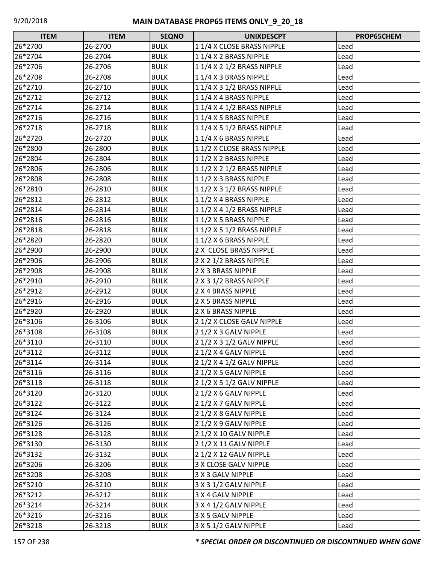| <b>ITEM</b> | <b>ITEM</b> | <b>SEQNO</b> | <b>UNIXDESCPT</b>          | PROP65CHEM |
|-------------|-------------|--------------|----------------------------|------------|
| 26*2700     | 26-2700     | <b>BULK</b>  | 11/4 X CLOSE BRASS NIPPLE  | Lead       |
| 26*2704     | 26-2704     | <b>BULK</b>  | 11/4 X 2 BRASS NIPPLE      | Lead       |
| 26*2706     | 26-2706     | <b>BULK</b>  | 1 1/4 X 2 1/2 BRASS NIPPLE | Lead       |
| 26*2708     | 26-2708     | <b>BULK</b>  | 11/4 X 3 BRASS NIPPLE      | Lead       |
| 26*2710     | 26-2710     | <b>BULK</b>  | 1 1/4 X 3 1/2 BRASS NIPPLE | Lead       |
| 26*2712     | 26-2712     | <b>BULK</b>  | 11/4 X 4 BRASS NIPPLE      | Lead       |
| 26*2714     | 26-2714     | <b>BULK</b>  | 1 1/4 X 4 1/2 BRASS NIPPLE | Lead       |
| 26*2716     | 26-2716     | <b>BULK</b>  | 1 1/4 X 5 BRASS NIPPLE     | Lead       |
| 26*2718     | 26-2718     | <b>BULK</b>  | 1 1/4 X 5 1/2 BRASS NIPPLE | Lead       |
| 26*2720     | 26-2720     | <b>BULK</b>  | 11/4 X 6 BRASS NIPPLE      | Lead       |
| 26*2800     | 26-2800     | <b>BULK</b>  | 11/2 X CLOSE BRASS NIPPLE  | Lead       |
| 26*2804     | 26-2804     | <b>BULK</b>  | 1 1/2 X 2 BRASS NIPPLE     | Lead       |
| 26*2806     | 26-2806     | <b>BULK</b>  | 1 1/2 X 2 1/2 BRASS NIPPLE | Lead       |
| 26*2808     | 26-2808     | <b>BULK</b>  | 11/2 X 3 BRASS NIPPLE      | Lead       |
| 26*2810     | 26-2810     | <b>BULK</b>  | 1 1/2 X 3 1/2 BRASS NIPPLE | Lead       |
| 26*2812     | 26-2812     | <b>BULK</b>  | 1 1/2 X 4 BRASS NIPPLE     | Lead       |
| 26*2814     | 26-2814     | <b>BULK</b>  | 1 1/2 X 4 1/2 BRASS NIPPLE | Lead       |
| 26*2816     | 26-2816     | <b>BULK</b>  | 1 1/2 X 5 BRASS NIPPLE     | Lead       |
| 26*2818     | 26-2818     | <b>BULK</b>  | 1 1/2 X 5 1/2 BRASS NIPPLE | Lead       |
| 26*2820     | 26-2820     | <b>BULK</b>  | 11/2 X 6 BRASS NIPPLE      | Lead       |
| 26*2900     | 26-2900     | <b>BULK</b>  | 2 X CLOSE BRASS NIPPLE     | Lead       |
| 26*2906     | 26-2906     | <b>BULK</b>  | 2 X 2 1/2 BRASS NIPPLE     | Lead       |
| 26*2908     | 26-2908     | <b>BULK</b>  | 2 X 3 BRASS NIPPLE         | Lead       |
| 26*2910     | 26-2910     | <b>BULK</b>  | 2 X 3 1/2 BRASS NIPPLE     | Lead       |
| 26*2912     | 26-2912     | <b>BULK</b>  | 2 X 4 BRASS NIPPLE         | Lead       |
| 26*2916     | 26-2916     | <b>BULK</b>  | 2 X 5 BRASS NIPPLE         | Lead       |
| 26*2920     | 26-2920     | <b>BULK</b>  | 2 X 6 BRASS NIPPLE         | Lead       |
| 26*3106     | 26-3106     | <b>BULK</b>  | 2 1/2 X CLOSE GALV NIPPLE  | Lead       |
| 26*3108     | 26-3108     | <b>BULK</b>  | 2 1/2 X 3 GALV NIPPLE      | Lead       |
| 26*3110     | 26-3110     | <b>BULK</b>  | 2 1/2 X 3 1/2 GALV NIPPLE  | Lead       |
| 26*3112     | 26-3112     | <b>BULK</b>  | 2 1/2 X 4 GALV NIPPLE      | Lead       |
| 26*3114     | 26-3114     | <b>BULK</b>  | 2 1/2 X 4 1/2 GALV NIPPLE  | Lead       |
| 26*3116     | 26-3116     | <b>BULK</b>  | 2 1/2 X 5 GALV NIPPLE      | Lead       |
| 26*3118     | 26-3118     | <b>BULK</b>  | 2 1/2 X 5 1/2 GALV NIPPLE  | Lead       |
| 26*3120     | 26-3120     | <b>BULK</b>  | 2 1/2 X 6 GALV NIPPLE      | Lead       |
| 26*3122     | 26-3122     | <b>BULK</b>  | 2 1/2 X 7 GALV NIPPLE      | Lead       |
| 26*3124     | 26-3124     | <b>BULK</b>  | 21/2 X 8 GALV NIPPLE       | Lead       |
| 26*3126     | 26-3126     | <b>BULK</b>  | 21/2X9 GALV NIPPLE         | Lead       |
| 26*3128     | 26-3128     | <b>BULK</b>  | 2 1/2 X 10 GALV NIPPLE     | Lead       |
| 26*3130     | 26-3130     | <b>BULK</b>  | 2 1/2 X 11 GALV NIPPLE     | Lead       |
| 26*3132     | 26-3132     | <b>BULK</b>  | 2 1/2 X 12 GALV NIPPLE     | Lead       |
| 26*3206     | 26-3206     | <b>BULK</b>  | 3 X CLOSE GALV NIPPLE      | Lead       |
| 26*3208     | 26-3208     | <b>BULK</b>  | 3 X 3 GALV NIPPLE          | Lead       |
| 26*3210     | 26-3210     | <b>BULK</b>  | 3 X 3 1/2 GALV NIPPLE      | Lead       |
| 26*3212     | 26-3212     | <b>BULK</b>  | 3 X 4 GALV NIPPLE          | Lead       |
| 26*3214     | 26-3214     | <b>BULK</b>  | 3 X 4 1/2 GALV NIPPLE      | Lead       |
| 26*3216     | 26-3216     | <b>BULK</b>  | 3 X 5 GALV NIPPLE          | Lead       |
| 26*3218     | 26-3218     | <b>BULK</b>  | 3 X 5 1/2 GALV NIPPLE      | Lead       |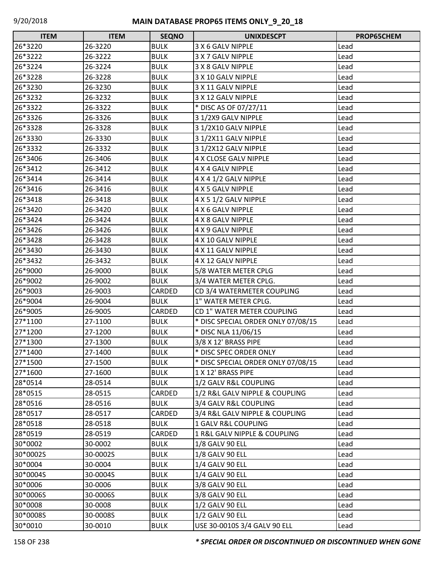| <b>ITEM</b> | <b>ITEM</b> | <b>SEQNO</b> | <b>UNIXDESCPT</b>                  | PROP65CHEM |
|-------------|-------------|--------------|------------------------------------|------------|
| 26*3220     | 26-3220     | <b>BULK</b>  | 3 X 6 GALV NIPPLE                  | Lead       |
| 26*3222     | 26-3222     | <b>BULK</b>  | 3 X 7 GALV NIPPLE                  | Lead       |
| 26*3224     | 26-3224     | <b>BULK</b>  | 3 X 8 GALV NIPPLE                  | Lead       |
| 26*3228     | 26-3228     | <b>BULK</b>  | 3 X 10 GALV NIPPLE                 | Lead       |
| 26*3230     | 26-3230     | <b>BULK</b>  | 3 X 11 GALV NIPPLE                 | Lead       |
| 26*3232     | 26-3232     | <b>BULK</b>  | 3 X 12 GALV NIPPLE                 | Lead       |
| 26*3322     | 26-3322     | <b>BULK</b>  | * DISC AS OF 07/27/11              | Lead       |
| 26*3326     | 26-3326     | <b>BULK</b>  | 3 1/2X9 GALV NIPPLE                | Lead       |
| 26*3328     | 26-3328     | <b>BULK</b>  | 3 1/2X10 GALV NIPPLE               | Lead       |
| 26*3330     | 26-3330     | <b>BULK</b>  | 3 1/2X11 GALV NIPPLE               | Lead       |
| 26*3332     | 26-3332     | <b>BULK</b>  | 3 1/2X12 GALV NIPPLE               | Lead       |
| 26*3406     | 26-3406     | <b>BULK</b>  | 4 X CLOSE GALV NIPPLE              | Lead       |
| 26*3412     | 26-3412     | <b>BULK</b>  | 4 X 4 GALV NIPPLE                  | Lead       |
| 26*3414     | 26-3414     | <b>BULK</b>  | 4 X 4 1/2 GALV NIPPLE              | Lead       |
| 26*3416     | 26-3416     | <b>BULK</b>  | 4 X 5 GALV NIPPLE                  | Lead       |
| 26*3418     | 26-3418     | <b>BULK</b>  | 4 X 5 1/2 GALV NIPPLE              | Lead       |
| 26*3420     | 26-3420     | <b>BULK</b>  | 4 X 6 GALV NIPPLE                  | Lead       |
| 26*3424     | 26-3424     | <b>BULK</b>  | 4 X 8 GALV NIPPLE                  | Lead       |
| 26*3426     | 26-3426     | <b>BULK</b>  | 4 X 9 GALV NIPPLE                  | Lead       |
| 26*3428     | 26-3428     | <b>BULK</b>  | 4 X 10 GALV NIPPLE                 | Lead       |
| 26*3430     | 26-3430     | <b>BULK</b>  | 4 X 11 GALV NIPPLE                 | Lead       |
| 26*3432     | 26-3432     | <b>BULK</b>  | 4 X 12 GALV NIPPLE                 | Lead       |
| 26*9000     | 26-9000     | <b>BULK</b>  | 5/8 WATER METER CPLG               | Lead       |
| 26*9002     | 26-9002     | <b>BULK</b>  | 3/4 WATER METER CPLG.              | Lead       |
| 26*9003     | 26-9003     | CARDED       | CD 3/4 WATERMETER COUPLING         | Lead       |
| 26*9004     | 26-9004     | <b>BULK</b>  | 1" WATER METER CPLG.               | Lead       |
| 26*9005     | 26-9005     | CARDED       | CD 1" WATER METER COUPLING         | Lead       |
| 27*1100     | 27-1100     | <b>BULK</b>  | * DISC SPECIAL ORDER ONLY 07/08/15 | Lead       |
| 27*1200     | 27-1200     | <b>BULK</b>  | * DISC NLA 11/06/15                | Lead       |
| 27*1300     | 27-1300     | <b>BULK</b>  | 3/8 X 12' BRASS PIPE               | Lead       |
| 27*1400     | 27-1400     | <b>BULK</b>  | * DISC SPEC ORDER ONLY             | Lead       |
| 27*1500     | 27-1500     | <b>BULK</b>  | * DISC SPECIAL ORDER ONLY 07/08/15 | Lead       |
| 27*1600     | 27-1600     | <b>BULK</b>  | 1 X 12' BRASS PIPE                 | Lead       |
| 28*0514     | 28-0514     | <b>BULK</b>  | 1/2 GALV R&L COUPLING              | Lead       |
| 28*0515     | 28-0515     | CARDED       | 1/2 R&L GALV NIPPLE & COUPLING     | Lead       |
| 28*0516     | 28-0516     | <b>BULK</b>  | 3/4 GALV R&L COUPLING              | Lead       |
| 28*0517     | 28-0517     | CARDED       | 3/4 R&L GALV NIPPLE & COUPLING     | Lead       |
| 28*0518     | 28-0518     | <b>BULK</b>  | 1 GALV R&L COUPLING                | Lead       |
| 28*0519     | 28-0519     | CARDED       | 1 R&L GALV NIPPLE & COUPLING       | Lead       |
| 30*0002     | 30-0002     | <b>BULK</b>  | 1/8 GALV 90 ELL                    | Lead       |
| 30*0002S    | 30-0002S    | <b>BULK</b>  | 1/8 GALV 90 ELL                    | Lead       |
| 30*0004     | 30-0004     | <b>BULK</b>  | 1/4 GALV 90 ELL                    | Lead       |
| 30*0004S    | 30-0004S    | <b>BULK</b>  | 1/4 GALV 90 ELL                    | Lead       |
| 30*0006     | 30-0006     | <b>BULK</b>  | 3/8 GALV 90 ELL                    | Lead       |
| 30*0006S    | 30-0006S    | <b>BULK</b>  | 3/8 GALV 90 ELL                    | Lead       |
| 30*0008     | 30-0008     | <b>BULK</b>  | 1/2 GALV 90 ELL                    | Lead       |
| 30*0008S    | 30-0008S    | <b>BULK</b>  | 1/2 GALV 90 ELL                    | Lead       |
| 30*0010     | 30-0010     | <b>BULK</b>  | USE 30-0010S 3/4 GALV 90 ELL       | Lead       |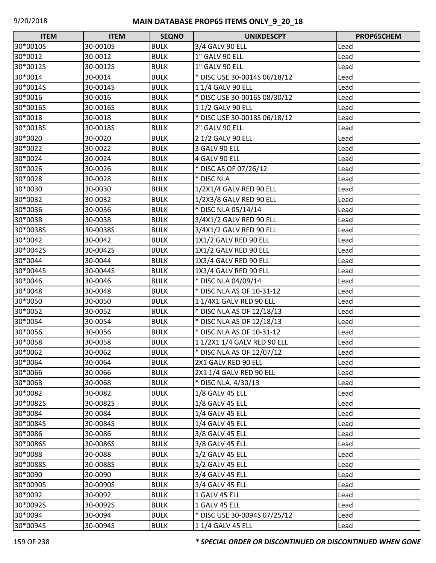| <b>ITEM</b> | <b>ITEM</b> | <b>SEQNO</b> | <b>UNIXDESCPT</b>            | PROP65CHEM |
|-------------|-------------|--------------|------------------------------|------------|
| 30*0010S    | 30-0010S    | <b>BULK</b>  | 3/4 GALV 90 ELL              | Lead       |
| 30*0012     | 30-0012     | <b>BULK</b>  | 1" GALV 90 ELL               | Lead       |
| 30*0012S    | 30-0012S    | <b>BULK</b>  | 1" GALV 90 ELL               | Lead       |
| 30*0014     | 30-0014     | <b>BULK</b>  | * DISC USE 30-0014S 06/18/12 | Lead       |
| 30*0014S    | 30-0014S    | <b>BULK</b>  | 11/4 GALV 90 ELL             | Lead       |
| 30*0016     | 30-0016     | <b>BULK</b>  | * DISC USE 30-0016S 08/30/12 | Lead       |
| 30*0016S    | 30-0016S    | <b>BULK</b>  | 11/2 GALV 90 ELL             | Lead       |
| 30*0018     | 30-0018     | <b>BULK</b>  | * DISC USE 30-0018S 06/18/12 | Lead       |
| 30*0018S    | 30-0018S    | <b>BULK</b>  | 2" GALV 90 ELL               | Lead       |
| 30*0020     | 30-0020     | <b>BULK</b>  | 2 1/2 GALV 90 ELL            | Lead       |
| 30*0022     | 30-0022     | <b>BULK</b>  | 3 GALV 90 ELL                | Lead       |
| 30*0024     | 30-0024     | <b>BULK</b>  | 4 GALV 90 ELL                | Lead       |
| 30*0026     | 30-0026     | <b>BULK</b>  | * DISC AS OF 07/26/12        | Lead       |
| 30*0028     | 30-0028     | <b>BULK</b>  | * DISC NLA                   | Lead       |
| 30*0030     | 30-0030     | <b>BULK</b>  | 1/2X1/4 GALV RED 90 ELL      | Lead       |
| 30*0032     | 30-0032     | <b>BULK</b>  | 1/2X3/8 GALV RED 90 ELL      | Lead       |
| 30*0036     | 30-0036     | <b>BULK</b>  | * DISC NLA 05/14/14          | Lead       |
| 30*0038     | 30-0038     | <b>BULK</b>  | 3/4X1/2 GALV RED 90 ELL      | Lead       |
| 30*0038S    | 30-0038S    | <b>BULK</b>  | 3/4X1/2 GALV RED 90 ELL      | Lead       |
| 30*0042     | 30-0042     | <b>BULK</b>  | 1X1/2 GALV RED 90 ELL        | Lead       |
| 30*0042S    | 30-0042S    | <b>BULK</b>  | 1X1/2 GALV RED 90 ELL        | Lead       |
| 30*0044     | 30-0044     | <b>BULK</b>  | 1X3/4 GALV RED 90 ELL        | Lead       |
| 30*0044S    | 30-0044S    | <b>BULK</b>  | 1X3/4 GALV RED 90 ELL        | Lead       |
| 30*0046     | 30-0046     | <b>BULK</b>  | * DISC NLA 04/09/14          | Lead       |
| 30*0048     | 30-0048     | <b>BULK</b>  | * DISC NLA AS OF 10-31-12    | Lead       |
| 30*0050     | 30-0050     | <b>BULK</b>  | 11/4X1 GALV RED 90 ELL       | Lead       |
| 30*0052     | 30-0052     | <b>BULK</b>  | * DISC NLA AS OF 12/18/13    | Lead       |
| 30*0054     | 30-0054     | <b>BULK</b>  | * DISC NLA AS OF 12/18/13    | Lead       |
| 30*0056     | 30-0056     | <b>BULK</b>  | * DISC NLA AS OF 10-31-12    | Lead       |
| 30*0058     | 30-0058     | <b>BULK</b>  | 1 1/2X1 1/4 GALV RED 90 ELL  | Lead       |
| 30*0062     | 30-0062     | <b>BULK</b>  | * DISC NLA AS OF 12/07/12    | Lead       |
| 30*0064     | 30-0064     | <b>BULK</b>  | 2X1 GALV RED 90 ELL          | Lead       |
| 30*0066     | 30-0066     | <b>BULK</b>  | 2X1 1/4 GALV RED 90 ELL      | Lead       |
| 30*0068     | 30-0068     | <b>BULK</b>  | * DISC NLA. 4/30/13          | Lead       |
| 30*0082     | 30-0082     | <b>BULK</b>  | 1/8 GALV 45 ELL              | Lead       |
| 30*0082S    | 30-0082S    | <b>BULK</b>  | 1/8 GALV 45 ELL              | Lead       |
| 30*0084     | 30-0084     | <b>BULK</b>  | 1/4 GALV 45 ELL              | Lead       |
| 30*0084S    | 30-0084S    | <b>BULK</b>  | 1/4 GALV 45 ELL              | Lead       |
| 30*0086     | 30-0086     | <b>BULK</b>  | 3/8 GALV 45 ELL              | Lead       |
| 30*0086S    | 30-0086S    | <b>BULK</b>  | 3/8 GALV 45 ELL              | Lead       |
| 30*0088     | 30-0088     | <b>BULK</b>  | 1/2 GALV 45 ELL              | Lead       |
| 30*0088S    | 30-0088S    | <b>BULK</b>  | 1/2 GALV 45 ELL              | Lead       |
| 30*0090     | 30-0090     | <b>BULK</b>  | 3/4 GALV 45 ELL              | Lead       |
| 30*0090S    | 30-0090S    | <b>BULK</b>  | 3/4 GALV 45 ELL              | Lead       |
| 30*0092     | 30-0092     | <b>BULK</b>  | 1 GALV 45 ELL                | Lead       |
| 30*0092S    | 30-0092S    | <b>BULK</b>  | 1 GALV 45 ELL                | Lead       |
| 30*0094     | 30-0094     | <b>BULK</b>  | * DISC USE 30-0094S 07/25/12 | Lead       |
| 30*0094S    | 30-0094S    | <b>BULK</b>  | 1 1/4 GALV 45 ELL            | Lead       |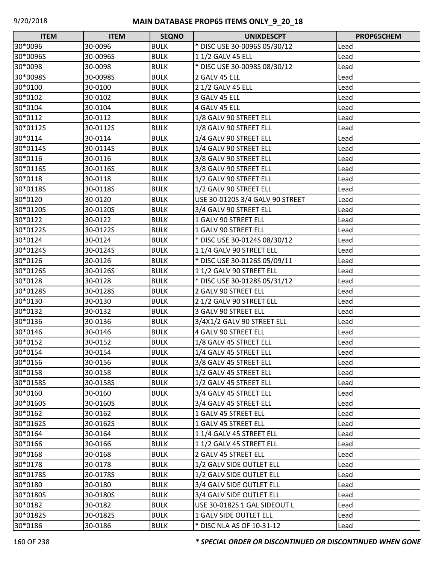| <b>ITEM</b> | <b>ITEM</b> | <b>SEQNO</b> | <b>UNIXDESCPT</b>               | <b>PROP65CHEM</b> |
|-------------|-------------|--------------|---------------------------------|-------------------|
| 30*0096     | 30-0096     | <b>BULK</b>  | * DISC USE 30-0096S 05/30/12    | Lead              |
| 30*0096S    | 30-0096S    | <b>BULK</b>  | 11/2 GALV 45 ELL                | Lead              |
| 30*0098     | 30-0098     | <b>BULK</b>  | * DISC USE 30-0098S 08/30/12    | Lead              |
| 30*0098S    | 30-0098S    | <b>BULK</b>  | 2 GALV 45 ELL                   | Lead              |
| 30*0100     | 30-0100     | <b>BULK</b>  | 2 1/2 GALV 45 ELL               | Lead              |
| 30*0102     | 30-0102     | <b>BULK</b>  | 3 GALV 45 ELL                   | Lead              |
| 30*0104     | 30-0104     | <b>BULK</b>  | 4 GALV 45 ELL                   | Lead              |
| 30*0112     | 30-0112     | <b>BULK</b>  | 1/8 GALV 90 STREET ELL          | Lead              |
| 30*0112S    | 30-0112S    | <b>BULK</b>  | 1/8 GALV 90 STREET ELL          | Lead              |
| 30*0114     | 30-0114     | <b>BULK</b>  | 1/4 GALV 90 STREET ELL          | Lead              |
| 30*0114S    | 30-0114S    | <b>BULK</b>  | 1/4 GALV 90 STREET ELL          | Lead              |
| 30*0116     | 30-0116     | <b>BULK</b>  | 3/8 GALV 90 STREET ELL          | Lead              |
| 30*0116S    | 30-0116S    | <b>BULK</b>  | 3/8 GALV 90 STREET ELL          | Lead              |
| 30*0118     | 30-0118     | <b>BULK</b>  | 1/2 GALV 90 STREET ELL          | Lead              |
| 30*0118S    | 30-0118S    | <b>BULK</b>  | 1/2 GALV 90 STREET ELL          | Lead              |
| 30*0120     | 30-0120     | <b>BULK</b>  | USE 30-0120S 3/4 GALV 90 STREET | Lead              |
| 30*0120S    | 30-0120S    | <b>BULK</b>  | 3/4 GALV 90 STREET ELL          | Lead              |
| 30*0122     | 30-0122     | <b>BULK</b>  | 1 GALV 90 STREET ELL            | Lead              |
| 30*0122S    | 30-0122S    | <b>BULK</b>  | 1 GALV 90 STREET ELL            | Lead              |
| 30*0124     | 30-0124     | <b>BULK</b>  | * DISC USE 30-0124S 08/30/12    | Lead              |
| 30*0124S    | 30-0124S    | <b>BULK</b>  | 1 1/4 GALV 90 STREET ELL        | Lead              |
| 30*0126     | 30-0126     | <b>BULK</b>  | * DISC USE 30-0126S 05/09/11    | Lead              |
| 30*0126S    | 30-0126S    | <b>BULK</b>  | 1 1/2 GALV 90 STREET ELL        | Lead              |
| 30*0128     | 30-0128     | <b>BULK</b>  | * DISC USE 30-0128S 05/31/12    | Lead              |
| 30*0128S    | 30-0128S    | <b>BULK</b>  | 2 GALV 90 STREET ELL            | Lead              |
| 30*0130     | 30-0130     | <b>BULK</b>  | 2 1/2 GALV 90 STREET ELL        | Lead              |
| 30*0132     | 30-0132     | <b>BULK</b>  | 3 GALV 90 STREET ELL            | Lead              |
| 30*0136     | 30-0136     | <b>BULK</b>  | 3/4X1/2 GALV 90 STREET ELL      | Lead              |
| 30*0146     | 30-0146     | <b>BULK</b>  | 4 GALV 90 STREET ELL            | Lead              |
| 30*0152     | 30-0152     | <b>BULK</b>  | 1/8 GALV 45 STREET ELL          | Lead              |
| 30*0154     | 30-0154     | <b>BULK</b>  | 1/4 GALV 45 STREET ELL          | Lead              |
| 30*0156     | 30-0156     | <b>BULK</b>  | 3/8 GALV 45 STREET ELL          | Lead              |
| 30*0158     | 30-0158     | <b>BULK</b>  | 1/2 GALV 45 STREET ELL          | Lead              |
| 30*0158S    | 30-0158S    | <b>BULK</b>  | 1/2 GALV 45 STREET ELL          | Lead              |
| 30*0160     | 30-0160     | <b>BULK</b>  | 3/4 GALV 45 STREET ELL          | Lead              |
| 30*0160S    | 30-0160S    | <b>BULK</b>  | 3/4 GALV 45 STREET ELL          | Lead              |
| 30*0162     | 30-0162     | <b>BULK</b>  | 1 GALV 45 STREET ELL            | Lead              |
| 30*0162S    | 30-0162S    | <b>BULK</b>  | 1 GALV 45 STREET ELL            | Lead              |
| 30*0164     | 30-0164     | <b>BULK</b>  | 1 1/4 GALV 45 STREET ELL        | Lead              |
| 30*0166     | 30-0166     | <b>BULK</b>  | 11/2 GALV 45 STREET ELL         | Lead              |
| 30*0168     | 30-0168     | <b>BULK</b>  | 2 GALV 45 STREET ELL            | Lead              |
| 30*0178     | 30-0178     | <b>BULK</b>  | 1/2 GALV SIDE OUTLET ELL        | Lead              |
| 30*0178S    | 30-0178S    | <b>BULK</b>  | 1/2 GALV SIDE OUTLET ELL        | Lead              |
| 30*0180     | 30-0180     | <b>BULK</b>  | 3/4 GALV SIDE OUTLET ELL        | Lead              |
| 30*0180S    | 30-0180S    | <b>BULK</b>  | 3/4 GALV SIDE OUTLET ELL        | Lead              |
| 30*0182     | 30-0182     | <b>BULK</b>  | USE 30-0182S 1 GAL SIDEOUT L    | Lead              |
| 30*0182S    | 30-0182S    | <b>BULK</b>  | 1 GALV SIDE OUTLET ELL          | Lead              |
| 30*0186     | 30-0186     | <b>BULK</b>  | * DISC NLA AS OF 10-31-12       | Lead              |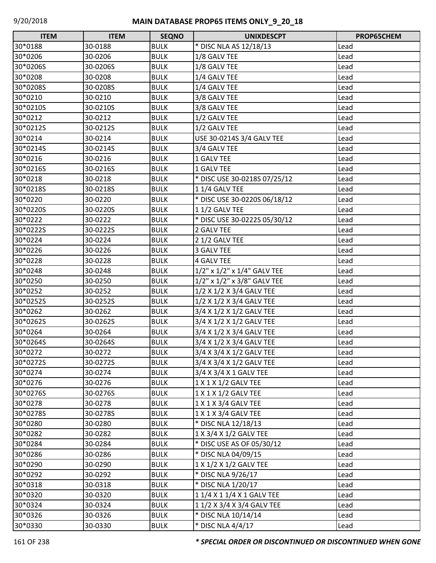| <b>ITEM</b> | <b>ITEM</b> | <b>SEQNO</b> | <b>UNIXDESCPT</b>                    | PROP65CHEM |
|-------------|-------------|--------------|--------------------------------------|------------|
| 30*0188     | 30-0188     | <b>BULK</b>  | * DISC NLA AS 12/18/13               | Lead       |
| 30*0206     | 30-0206     | <b>BULK</b>  | 1/8 GALV TEE                         | Lead       |
| 30*0206S    | 30-0206S    | <b>BULK</b>  | 1/8 GALV TEE                         | Lead       |
| 30*0208     | 30-0208     | <b>BULK</b>  | 1/4 GALV TEE                         | Lead       |
| 30*0208S    | 30-0208S    | <b>BULK</b>  | 1/4 GALV TEE                         | Lead       |
| 30*0210     | 30-0210     | <b>BULK</b>  | 3/8 GALV TEE                         | Lead       |
| 30*0210S    | 30-0210S    | <b>BULK</b>  | 3/8 GALV TEE                         | Lead       |
| 30*0212     | 30-0212     | <b>BULK</b>  | 1/2 GALV TEE                         | Lead       |
| 30*0212S    | 30-0212S    | <b>BULK</b>  | 1/2 GALV TEE                         | Lead       |
| 30*0214     | 30-0214     | <b>BULK</b>  | USE 30-0214S 3/4 GALV TEE            | Lead       |
| 30*0214S    | 30-0214S    | <b>BULK</b>  | 3/4 GALV TEE                         | Lead       |
| 30*0216     | 30-0216     | <b>BULK</b>  | 1 GALV TEE                           | Lead       |
| 30*0216S    | 30-0216S    | <b>BULK</b>  | 1 GALV TEE                           | Lead       |
| 30*0218     | 30-0218     | <b>BULK</b>  | * DISC USE 30-0218S 07/25/12         | Lead       |
| 30*0218S    | 30-0218S    | <b>BULK</b>  | 11/4 GALV TEE                        | Lead       |
| 30*0220     | 30-0220     | <b>BULK</b>  | * DISC USE 30-0220S 06/18/12         | Lead       |
| 30*0220S    | 30-0220S    | <b>BULK</b>  | 11/2 GALV TEE                        | Lead       |
| 30*0222     | 30-0222     | <b>BULK</b>  | * DISC USE 30-0222S 05/30/12         | Lead       |
| 30*0222S    | 30-0222S    | <b>BULK</b>  | 2 GALV TEE                           | Lead       |
| 30*0224     | 30-0224     | <b>BULK</b>  | 2 1/2 GALV TEE                       | Lead       |
| 30*0226     | 30-0226     | <b>BULK</b>  | 3 GALV TEE                           | Lead       |
| 30*0228     | 30-0228     | <b>BULK</b>  | <b>4 GALV TEE</b>                    | Lead       |
| 30*0248     | 30-0248     | <b>BULK</b>  | $1/2$ " x $1/2$ " x $1/4$ " GALV TEE | Lead       |
| 30*0250     | 30-0250     | <b>BULK</b>  | 1/2" x 1/2" x 3/8" GALV TEE          | Lead       |
| 30*0252     | 30-0252     | <b>BULK</b>  | 1/2 X 1/2 X 3/4 GALV TEE             | Lead       |
| 30*0252S    | 30-0252S    | <b>BULK</b>  | 1/2 X 1/2 X 3/4 GALV TEE             | Lead       |
| 30*0262     | 30-0262     | <b>BULK</b>  | 3/4 X 1/2 X 1/2 GALV TEE             | Lead       |
| 30*0262S    | 30-0262S    | <b>BULK</b>  | 3/4 X 1/2 X 1/2 GALV TEE             | Lead       |
| 30*0264     | 30-0264     | <b>BULK</b>  | 3/4 X 1/2 X 3/4 GALV TEE             | Lead       |
| 30*0264S    | 30-0264S    | <b>BULK</b>  | 3/4 X 1/2 X 3/4 GALV TEE             | Lead       |
| 30*0272     | 30-0272     | <b>BULK</b>  | 3/4 X 3/4 X 1/2 GALV TEE             | Lead       |
| 30*0272S    | 30-0272S    | <b>BULK</b>  | 3/4 X 3/4 X 1/2 GALV TEE             | Lead       |
| 30*0274     | 30-0274     | <b>BULK</b>  | 3/4 X 3/4 X 1 GALV TEE               | Lead       |
| 30*0276     | 30-0276     | <b>BULK</b>  | 1 X 1 X 1/2 GALV TEE                 | Lead       |
| 30*0276S    | 30-0276S    | <b>BULK</b>  | 1 X 1 X 1/2 GALV TEE                 | Lead       |
| 30*0278     | 30-0278     | <b>BULK</b>  | 1 X 1 X 3/4 GALV TEE                 | Lead       |
| 30*0278S    | 30-0278S    | <b>BULK</b>  | 1 X 1 X 3/4 GALV TEE                 | Lead       |
| 30*0280     | 30-0280     | <b>BULK</b>  | * DISC NLA 12/18/13                  | Lead       |
| 30*0282     | 30-0282     | <b>BULK</b>  | 1 X 3/4 X 1/2 GALV TEE               | Lead       |
| 30*0284     | 30-0284     | <b>BULK</b>  | * DISC USE AS OF 05/30/12            | Lead       |
| 30*0286     | 30-0286     | <b>BULK</b>  | * DISC NLA 04/09/15                  | Lead       |
| 30*0290     | 30-0290     | <b>BULK</b>  | 1 X 1/2 X 1/2 GALV TEE               | Lead       |
| 30*0292     | 30-0292     | <b>BULK</b>  | * DISC NLA 9/26/17                   | Lead       |
| 30*0318     | 30-0318     | <b>BULK</b>  | * DISC NLA 1/20/17                   | Lead       |
| 30*0320     | 30-0320     | <b>BULK</b>  | 1 1/4 X 1 1/4 X 1 GALV TEE           | Lead       |
| 30*0324     | 30-0324     | <b>BULK</b>  | 1 1/2 X 3/4 X 3/4 GALV TEE           | Lead       |
| 30*0326     | 30-0326     | <b>BULK</b>  | * DISC NLA 10/14/14                  | Lead       |
| 30*0330     | 30-0330     | <b>BULK</b>  | * DISC NLA 4/4/17                    | Lead       |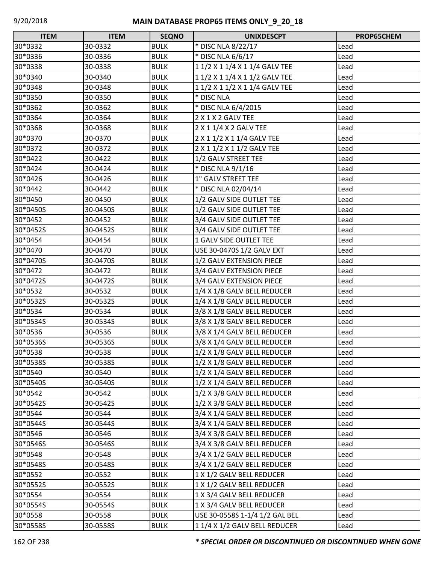| <b>ITEM</b> | <b>ITEM</b> | <b>SEQNO</b> | <b>UNIXDESCPT</b>              | PROP65CHEM |
|-------------|-------------|--------------|--------------------------------|------------|
| 30*0332     | 30-0332     | <b>BULK</b>  | * DISC NLA 8/22/17             | Lead       |
| 30*0336     | 30-0336     | <b>BULK</b>  | * DISC NLA 6/6/17              | Lead       |
| 30*0338     | 30-0338     | <b>BULK</b>  | 1 1/2 X 1 1/4 X 1 1/4 GALV TEE | Lead       |
| 30*0340     | 30-0340     | <b>BULK</b>  | 1 1/2 X 1 1/4 X 1 1/2 GALV TEE | Lead       |
| 30*0348     | 30-0348     | <b>BULK</b>  | 1 1/2 X 1 1/2 X 1 1/4 GALV TEE | Lead       |
| 30*0350     | 30-0350     | <b>BULK</b>  | * DISC NLA                     | Lead       |
| 30*0362     | 30-0362     | <b>BULK</b>  | * DISC NLA 6/4/2015            | Lead       |
| 30*0364     | 30-0364     | <b>BULK</b>  | 2 X 1 X 2 GALV TEE             | Lead       |
| 30*0368     | 30-0368     | <b>BULK</b>  | 2 X 1 1/4 X 2 GALV TEE         | Lead       |
| 30*0370     | 30-0370     | <b>BULK</b>  | 2 X 1 1/2 X 1 1/4 GALV TEE     | Lead       |
| 30*0372     | 30-0372     | <b>BULK</b>  | 2 X 1 1/2 X 1 1/2 GALV TEE     | Lead       |
| 30*0422     | 30-0422     | <b>BULK</b>  | 1/2 GALV STREET TEE            | Lead       |
| 30*0424     | 30-0424     | <b>BULK</b>  | * DISC NLA 9/1/16              | Lead       |
| 30*0426     | 30-0426     | <b>BULK</b>  | 1" GALV STREET TEE             | Lead       |
| 30*0442     | 30-0442     | <b>BULK</b>  | * DISC NLA 02/04/14            | Lead       |
| 30*0450     | 30-0450     | <b>BULK</b>  | 1/2 GALV SIDE OUTLET TEE       | Lead       |
| 30*0450S    | 30-0450S    | <b>BULK</b>  | 1/2 GALV SIDE OUTLET TEE       | Lead       |
| 30*0452     | 30-0452     | <b>BULK</b>  | 3/4 GALV SIDE OUTLET TEE       | Lead       |
| 30*0452S    | 30-0452S    | <b>BULK</b>  | 3/4 GALV SIDE OUTLET TEE       | Lead       |
| 30*0454     | 30-0454     | <b>BULK</b>  | 1 GALV SIDE OUTLET TEE         | Lead       |
| 30*0470     | 30-0470     | <b>BULK</b>  | USE 30-0470S 1/2 GALV EXT      | Lead       |
| 30*0470S    | 30-0470S    | <b>BULK</b>  | 1/2 GALV EXTENSION PIECE       | Lead       |
| 30*0472     | 30-0472     | <b>BULK</b>  | 3/4 GALV EXTENSION PIECE       | Lead       |
| 30*0472S    | 30-0472S    | <b>BULK</b>  | 3/4 GALV EXTENSION PIECE       | Lead       |
| 30*0532     | 30-0532     | <b>BULK</b>  | 1/4 X 1/8 GALV BELL REDUCER    | Lead       |
| 30*0532S    | 30-0532S    | <b>BULK</b>  | 1/4 X 1/8 GALV BELL REDUCER    | Lead       |
| 30*0534     | 30-0534     | <b>BULK</b>  | 3/8 X 1/8 GALV BELL REDUCER    | Lead       |
| 30*0534S    | 30-0534S    | <b>BULK</b>  | 3/8 X 1/8 GALV BELL REDUCER    | Lead       |
| 30*0536     | 30-0536     | <b>BULK</b>  | 3/8 X 1/4 GALV BELL REDUCER    | Lead       |
| 30*0536S    | 30-0536S    | <b>BULK</b>  | 3/8 X 1/4 GALV BELL REDUCER    | Lead       |
| 30*0538     | 30-0538     | <b>BULK</b>  | 1/2 X 1/8 GALV BELL REDUCER    | Lead       |
| 30*0538S    | 30-0538S    | <b>BULK</b>  | 1/2 X 1/8 GALV BELL REDUCER    | Lead       |
| 30*0540     | 30-0540     | <b>BULK</b>  | 1/2 X 1/4 GALV BELL REDUCER    | Lead       |
| 30*0540S    | 30-0540S    | <b>BULK</b>  | 1/2 X 1/4 GALV BELL REDUCER    | Lead       |
| 30*0542     | 30-0542     | <b>BULK</b>  | 1/2 X 3/8 GALV BELL REDUCER    | Lead       |
| 30*0542S    | 30-0542S    | <b>BULK</b>  | 1/2 X 3/8 GALV BELL REDUCER    | Lead       |
| 30*0544     | 30-0544     | <b>BULK</b>  | 3/4 X 1/4 GALV BELL REDUCER    | Lead       |
| 30*0544S    | 30-0544S    | <b>BULK</b>  | 3/4 X 1/4 GALV BELL REDUCER    | Lead       |
| 30*0546     | 30-0546     | <b>BULK</b>  | 3/4 X 3/8 GALV BELL REDUCER    | Lead       |
| 30*0546S    | 30-0546S    | <b>BULK</b>  | 3/4 X 3/8 GALV BELL REDUCER    | Lead       |
| 30*0548     | 30-0548     | <b>BULK</b>  | 3/4 X 1/2 GALV BELL REDUCER    | Lead       |
| 30*0548S    | 30-0548S    | <b>BULK</b>  | 3/4 X 1/2 GALV BELL REDUCER    | Lead       |
| 30*0552     | 30-0552     | <b>BULK</b>  | 1 X 1/2 GALV BELL REDUCER      | Lead       |
| 30*0552S    | 30-0552S    | <b>BULK</b>  | 1 X 1/2 GALV BELL REDUCER      | Lead       |
| 30*0554     | 30-0554     | <b>BULK</b>  | 1 X 3/4 GALV BELL REDUCER      | Lead       |
| 30*0554S    | 30-0554S    | <b>BULK</b>  | 1 X 3/4 GALV BELL REDUCER      | Lead       |
| 30*0558     | 30-0558     | <b>BULK</b>  | USE 30-0558S 1-1/4 1/2 GAL BEL | Lead       |
| 30*0558S    | 30-0558S    | <b>BULK</b>  | 1 1/4 X 1/2 GALV BELL REDUCER  | Lead       |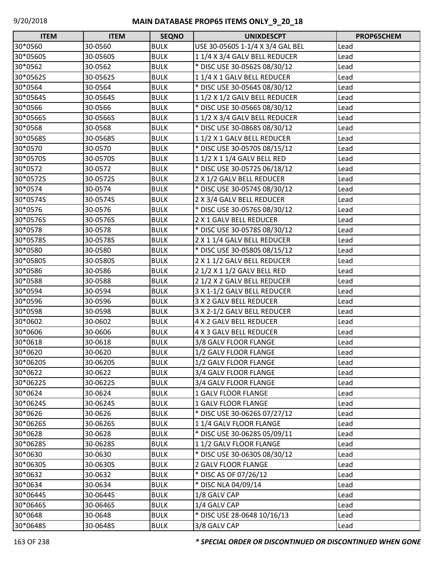| <b>ITEM</b> | <b>ITEM</b> | <b>SEQNO</b> | <b>UNIXDESCPT</b>                | PROP65CHEM |
|-------------|-------------|--------------|----------------------------------|------------|
| 30*0560     | 30-0560     | <b>BULK</b>  | USE 30-0560S 1-1/4 X 3/4 GAL BEL | Lead       |
| 30*0560S    | 30-0560S    | <b>BULK</b>  | 1 1/4 X 3/4 GALV BELL REDUCER    | Lead       |
| 30*0562     | 30-0562     | <b>BULK</b>  | * DISC USE 30-0562S 08/30/12     | Lead       |
| 30*0562S    | 30-0562S    | <b>BULK</b>  | 11/4 X 1 GALV BELL REDUCER       | Lead       |
| 30*0564     | 30-0564     | <b>BULK</b>  | * DISC USE 30-0564S 08/30/12     | Lead       |
| 30*0564S    | 30-0564S    | <b>BULK</b>  | 1 1/2 X 1/2 GALV BELL REDUCER    | Lead       |
| 30*0566     | 30-0566     | <b>BULK</b>  | * DISC USE 30-0566S 08/30/12     | Lead       |
| 30*0566S    | 30-0566S    | <b>BULK</b>  | 11/2 X 3/4 GALV BELL REDUCER     | Lead       |
| 30*0568     | 30-0568     | <b>BULK</b>  | * DISC USE 30-0868S 08/30/12     | Lead       |
| 30*0568S    | 30-0568S    | <b>BULK</b>  | 11/2 X 1 GALV BELL REDUCER       | Lead       |
| 30*0570     | 30-0570     | <b>BULK</b>  | * DISC USE 30-0570S 08/15/12     | Lead       |
| 30*0570S    | 30-0570S    | <b>BULK</b>  | 1 1/2 X 1 1/4 GALV BELL RED      | Lead       |
| 30*0572     | 30-0572     | <b>BULK</b>  | * DISC USE 30-0572S 06/18/12     | Lead       |
| 30*0572S    | 30-0572S    | <b>BULK</b>  | 2 X 1/2 GALV BELL REDUCER        | Lead       |
| 30*0574     | 30-0574     | <b>BULK</b>  | * DISC USE 30-0574S 08/30/12     | Lead       |
| 30*0574S    | 30-0574S    | <b>BULK</b>  | 2 X 3/4 GALV BELL REDUCER        | Lead       |
| 30*0576     | 30-0576     | <b>BULK</b>  | * DISC USE 30-0576S 08/30/12     | Lead       |
| 30*0576S    | 30-0576S    | <b>BULK</b>  | 2 X 1 GALV BELL REDUCER          | Lead       |
| 30*0578     | 30-0578     | <b>BULK</b>  | * DISC USE 30-0578S 08/30/12     | Lead       |
| 30*0578S    | 30-0578S    | <b>BULK</b>  | 2 X 1 1/4 GALV BELL REDUCER      | Lead       |
| 30*0580     | 30-0580     | <b>BULK</b>  | * DISC USE 30-0580S 08/15/12     | Lead       |
| 30*0580S    | 30-0580S    | <b>BULK</b>  | 2 X 1 1/2 GALV BELL REDUCER      | Lead       |
| 30*0586     | 30-0586     | <b>BULK</b>  | 2 1/2 X 1 1/2 GALV BELL RED      | Lead       |
| 30*0588     | 30-0588     | <b>BULK</b>  | 2 1/2 X 2 GALV BELL REDUCER      | Lead       |
| 30*0594     | 30-0594     | <b>BULK</b>  | 3 X 1-1/2 GALV BELL REDUCER      | Lead       |
| 30*0596     | 30-0596     | <b>BULK</b>  | 3 X 2 GALV BELL REDUCER          | Lead       |
| 30*0598     | 30-0598     | <b>BULK</b>  | 3 X 2-1/2 GALV BELL REDUCER      | Lead       |
| 30*0602     | 30-0602     | <b>BULK</b>  | <b>4 X 2 GALV BELL REDUCER</b>   | Lead       |
| 30*0606     | 30-0606     | <b>BULK</b>  | <b>4 X 3 GALV BELL REDUCER</b>   | Lead       |
| 30*0618     | 30-0618     | <b>BULK</b>  | 3/8 GALV FLOOR FLANGE            | Lead       |
| 30*0620     | 30-0620     | <b>BULK</b>  | 1/2 GALV FLOOR FLANGE            | Lead       |
| 30*0620S    | 30-0620S    | <b>BULK</b>  | 1/2 GALV FLOOR FLANGE            | Lead       |
| 30*0622     | 30-0622     | <b>BULK</b>  | 3/4 GALV FLOOR FLANGE            | Lead       |
| 30*0622S    | 30-0622S    | <b>BULK</b>  | 3/4 GALV FLOOR FLANGE            | Lead       |
| 30*0624     | 30-0624     | <b>BULK</b>  | 1 GALV FLOOR FLANGE              | Lead       |
| 30*0624S    | 30-0624S    | <b>BULK</b>  | 1 GALV FLOOR FLANGE              | Lead       |
| 30*0626     | 30-0626     | <b>BULK</b>  | * DISC USE 30-0626S 07/27/12     | Lead       |
| 30*0626S    | 30-0626S    | <b>BULK</b>  | 11/4 GALV FLOOR FLANGE           | Lead       |
| 30*0628     | 30-0628     | <b>BULK</b>  | * DISC USE 30-0628S 05/09/11     | Lead       |
| 30*0628S    | 30-0628S    | <b>BULK</b>  | 11/2 GALV FLOOR FLANGE           | Lead       |
| 30*0630     | 30-0630     | <b>BULK</b>  | * DISC USE 30-0630S 08/30/12     | Lead       |
| 30*0630S    | 30-0630S    | <b>BULK</b>  | 2 GALV FLOOR FLANGE              | Lead       |
| 30*0632     | 30-0632     | <b>BULK</b>  | * DISC AS OF 07/26/12            | Lead       |
| 30*0634     | 30-0634     | <b>BULK</b>  | * DISC NLA 04/09/14              | Lead       |
| 30*0644S    | 30-0644S    | <b>BULK</b>  | 1/8 GALV CAP                     | Lead       |
| 30*0646S    | 30-0646S    | <b>BULK</b>  | 1/4 GALV CAP                     | Lead       |
| 30*0648     | 30-0648     | <b>BULK</b>  | * DISC USE 28-0648 10/16/13      | Lead       |
| 30*0648S    | 30-0648S    | <b>BULK</b>  | 3/8 GALV CAP                     | Lead       |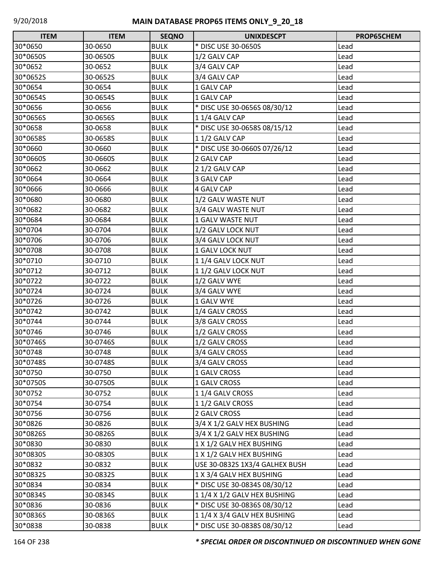| <b>ITEM</b> | <b>ITEM</b> | <b>SEQNO</b> | <b>UNIXDESCPT</b>              | PROP65CHEM |
|-------------|-------------|--------------|--------------------------------|------------|
| 30*0650     | 30-0650     | <b>BULK</b>  | * DISC USE 30-0650S            | Lead       |
| 30*0650S    | 30-0650S    | <b>BULK</b>  | 1/2 GALV CAP                   | Lead       |
| 30*0652     | 30-0652     | <b>BULK</b>  | 3/4 GALV CAP                   | Lead       |
| 30*0652S    | 30-0652S    | <b>BULK</b>  | 3/4 GALV CAP                   | Lead       |
| 30*0654     | 30-0654     | <b>BULK</b>  | 1 GALV CAP                     | Lead       |
| 30*0654S    | 30-0654S    | <b>BULK</b>  | 1 GALV CAP                     | Lead       |
| 30*0656     | 30-0656     | <b>BULK</b>  | * DISC USE 30-0656S 08/30/12   | Lead       |
| 30*0656S    | 30-0656S    | <b>BULK</b>  | 11/4 GALV CAP                  | Lead       |
| 30*0658     | 30-0658     | <b>BULK</b>  | * DISC USE 30-0658S 08/15/12   | Lead       |
| 30*0658S    | 30-0658S    | <b>BULK</b>  | 11/2 GALV CAP                  | Lead       |
| 30*0660     | 30-0660     | <b>BULK</b>  | * DISC USE 30-0660S 07/26/12   | Lead       |
| 30*0660S    | 30-0660S    | <b>BULK</b>  | 2 GALV CAP                     | Lead       |
| 30*0662     | 30-0662     | <b>BULK</b>  | 2 1/2 GALV CAP                 | Lead       |
| 30*0664     | 30-0664     | <b>BULK</b>  | 3 GALV CAP                     | Lead       |
| 30*0666     | 30-0666     | <b>BULK</b>  | <b>4 GALV CAP</b>              | Lead       |
| 30*0680     | 30-0680     | <b>BULK</b>  | 1/2 GALV WASTE NUT             | Lead       |
| 30*0682     | 30-0682     | <b>BULK</b>  | 3/4 GALV WASTE NUT             | Lead       |
| 30*0684     | 30-0684     | <b>BULK</b>  | 1 GALV WASTE NUT               | Lead       |
| 30*0704     | 30-0704     | <b>BULK</b>  | 1/2 GALV LOCK NUT              | Lead       |
| 30*0706     | 30-0706     | <b>BULK</b>  | 3/4 GALV LOCK NUT              | Lead       |
| 30*0708     | 30-0708     | <b>BULK</b>  | 1 GALV LOCK NUT                | Lead       |
| 30*0710     | 30-0710     | <b>BULK</b>  | 11/4 GALV LOCK NUT             | Lead       |
| 30*0712     | 30-0712     | <b>BULK</b>  | 11/2 GALV LOCK NUT             | Lead       |
| 30*0722     | 30-0722     | <b>BULK</b>  | 1/2 GALV WYE                   | Lead       |
| 30*0724     | 30-0724     | <b>BULK</b>  | 3/4 GALV WYE                   | Lead       |
| 30*0726     | 30-0726     | <b>BULK</b>  | 1 GALV WYE                     | Lead       |
| 30*0742     | 30-0742     | <b>BULK</b>  | 1/4 GALV CROSS                 | Lead       |
| 30*0744     | 30-0744     | <b>BULK</b>  | 3/8 GALV CROSS                 | Lead       |
| 30*0746     | 30-0746     | <b>BULK</b>  | 1/2 GALV CROSS                 | Lead       |
| 30*0746S    | 30-0746S    | <b>BULK</b>  | 1/2 GALV CROSS                 | Lead       |
| 30*0748     | 30-0748     | <b>BULK</b>  | 3/4 GALV CROSS                 | Lead       |
| 30*0748S    | 30-0748S    | <b>BULK</b>  | 3/4 GALV CROSS                 | Lead       |
| 30*0750     | 30-0750     | <b>BULK</b>  | 1 GALV CROSS                   | Lead       |
| 30*0750S    | 30-0750S    | <b>BULK</b>  | 1 GALV CROSS                   | Lead       |
| 30*0752     | 30-0752     | <b>BULK</b>  | 1 1/4 GALV CROSS               | Lead       |
| 30*0754     | 30-0754     | <b>BULK</b>  | 11/2 GALV CROSS                | Lead       |
| 30*0756     | 30-0756     | <b>BULK</b>  | 2 GALV CROSS                   | Lead       |
| 30*0826     | 30-0826     | <b>BULK</b>  | 3/4 X 1/2 GALV HEX BUSHING     | Lead       |
| 30*0826S    | 30-0826S    | <b>BULK</b>  | 3/4 X 1/2 GALV HEX BUSHING     | Lead       |
| 30*0830     | 30-0830     | <b>BULK</b>  | 1 X 1/2 GALV HEX BUSHING       | Lead       |
| 30*0830S    | 30-0830S    | <b>BULK</b>  | 1 X 1/2 GALV HEX BUSHING       | Lead       |
| 30*0832     | 30-0832     | <b>BULK</b>  | USE 30-0832S 1X3/4 GALHEX BUSH | Lead       |
| 30*0832S    | 30-0832S    | <b>BULK</b>  | 1 X 3/4 GALV HEX BUSHING       | Lead       |
| 30*0834     | 30-0834     | <b>BULK</b>  | * DISC USE 30-0834S 08/30/12   | Lead       |
| 30*0834S    | 30-0834S    | <b>BULK</b>  | 11/4 X 1/2 GALV HEX BUSHING    | Lead       |
| 30*0836     | 30-0836     | <b>BULK</b>  | * DISC USE 30-0836S 08/30/12   | Lead       |
| 30*0836S    | 30-0836S    | <b>BULK</b>  | 11/4 X 3/4 GALV HEX BUSHING    | Lead       |
| 30*0838     | 30-0838     | <b>BULK</b>  | * DISC USE 30-0838S 08/30/12   | Lead       |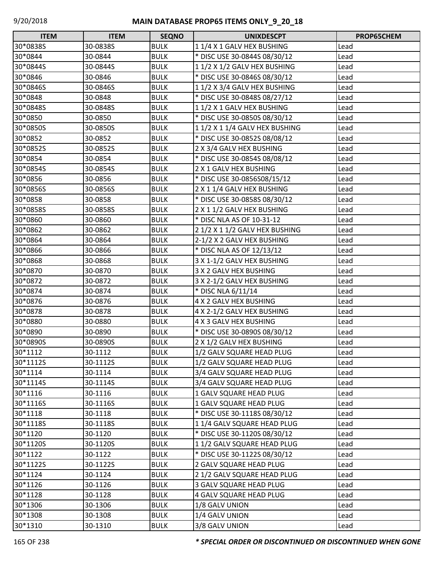| <b>ITEM</b> | <b>ITEM</b> | <b>SEQNO</b> | <b>UNIXDESCPT</b>              | PROP65CHEM |
|-------------|-------------|--------------|--------------------------------|------------|
| 30*0838S    | 30-0838S    | <b>BULK</b>  | 11/4 X 1 GALV HEX BUSHING      | Lead       |
| 30*0844     | 30-0844     | <b>BULK</b>  | * DISC USE 30-0844S 08/30/12   | Lead       |
| 30*0844S    | 30-0844S    | <b>BULK</b>  | 11/2 X 1/2 GALV HEX BUSHING    | Lead       |
| 30*0846     | 30-0846     | <b>BULK</b>  | * DISC USE 30-0846S 08/30/12   | Lead       |
| 30*0846S    | 30-0846S    | <b>BULK</b>  | 11/2 X 3/4 GALV HEX BUSHING    | Lead       |
| 30*0848     | 30-0848     | <b>BULK</b>  | * DISC USE 30-0848S 08/27/12   | Lead       |
| 30*0848S    | 30-0848S    | <b>BULK</b>  | 11/2 X 1 GALV HEX BUSHING      | Lead       |
| 30*0850     | 30-0850     | <b>BULK</b>  | * DISC USE 30-0850S 08/30/12   | Lead       |
| 30*0850S    | 30-0850S    | <b>BULK</b>  | 11/2 X 11/4 GALV HEX BUSHING   | Lead       |
| 30*0852     | 30-0852     | <b>BULK</b>  | * DISC USE 30-0852S 08/08/12   | Lead       |
| 30*0852S    | 30-0852S    | <b>BULK</b>  | 2 X 3/4 GALV HEX BUSHING       | Lead       |
| 30*0854     | 30-0854     | <b>BULK</b>  | * DISC USE 30-0854S 08/08/12   | Lead       |
| 30*0854S    | 30-0854S    | <b>BULK</b>  | 2 X 1 GALV HEX BUSHING         | Lead       |
| 30*0856     | 30-0856     | <b>BULK</b>  | * DISC USE 30-0856S08/15/12    | Lead       |
| 30*0856S    | 30-0856S    | <b>BULK</b>  | 2 X 1 1/4 GALV HEX BUSHING     | Lead       |
| 30*0858     | 30-0858     | <b>BULK</b>  | * DISC USE 30-0858S 08/30/12   | Lead       |
| 30*0858S    | 30-0858S    | <b>BULK</b>  | 2 X 1 1/2 GALV HEX BUSHING     | Lead       |
| 30*0860     | 30-0860     | <b>BULK</b>  | * DISC NLA AS OF 10-31-12      | Lead       |
| 30*0862     | 30-0862     | <b>BULK</b>  | 2 1/2 X 1 1/2 GALV HEX BUSHING | Lead       |
| 30*0864     | 30-0864     | <b>BULK</b>  | 2-1/2 X 2 GALV HEX BUSHING     | Lead       |
| 30*0866     | 30-0866     | <b>BULK</b>  | * DISC NLA AS OF 12/13/12      | Lead       |
| 30*0868     | 30-0868     | <b>BULK</b>  | 3 X 1-1/2 GALV HEX BUSHING     | Lead       |
| 30*0870     | 30-0870     | <b>BULK</b>  | 3 X 2 GALV HEX BUSHING         | Lead       |
| 30*0872     | 30-0872     | <b>BULK</b>  | 3 X 2-1/2 GALV HEX BUSHING     | Lead       |
| 30*0874     | 30-0874     | <b>BULK</b>  | * DISC NLA 6/11/14             | Lead       |
| 30*0876     | 30-0876     | <b>BULK</b>  | 4 X 2 GALV HEX BUSHING         | Lead       |
| 30*0878     | 30-0878     | <b>BULK</b>  | 4 X 2-1/2 GALV HEX BUSHING     | Lead       |
| 30*0880     | 30-0880     | <b>BULK</b>  | 4 X 3 GALV HEX BUSHING         | Lead       |
| 30*0890     | 30-0890     | <b>BULK</b>  | * DISC USE 30-0890S 08/30/12   | Lead       |
| 30*0890S    | 30-0890S    | <b>BULK</b>  | 2 X 1/2 GALV HEX BUSHING       | Lead       |
| 30*1112     | 30-1112     | <b>BULK</b>  | 1/2 GALV SQUARE HEAD PLUG      | Lead       |
| 30*1112S    | 30-1112S    | <b>BULK</b>  | 1/2 GALV SQUARE HEAD PLUG      | Lead       |
| 30*1114     | 30-1114     | <b>BULK</b>  | 3/4 GALV SQUARE HEAD PLUG      | Lead       |
| 30*1114S    | 30-1114S    | <b>BULK</b>  | 3/4 GALV SQUARE HEAD PLUG      | Lead       |
| 30*1116     | 30-1116     | <b>BULK</b>  | 1 GALV SQUARE HEAD PLUG        | Lead       |
| 30*1116S    | 30-1116S    | <b>BULK</b>  | 1 GALV SQUARE HEAD PLUG        | Lead       |
| 30*1118     | 30-1118     | <b>BULK</b>  | * DISC USE 30-1118S 08/30/12   | Lead       |
| 30*1118S    | 30-1118S    | <b>BULK</b>  | 11/4 GALV SQUARE HEAD PLUG     | Lead       |
| 30*1120     | 30-1120     | <b>BULK</b>  | * DISC USE 30-1120S 08/30/12   | Lead       |
| 30*1120S    | 30-1120S    | <b>BULK</b>  | 11/2 GALV SQUARE HEAD PLUG     | Lead       |
| 30*1122     | 30-1122     | <b>BULK</b>  | * DISC USE 30-1122S 08/30/12   | Lead       |
| 30*1122S    | 30-1122S    | <b>BULK</b>  | 2 GALV SQUARE HEAD PLUG        | Lead       |
| 30*1124     | 30-1124     | <b>BULK</b>  | 2 1/2 GALV SQUARE HEAD PLUG    | Lead       |
| 30*1126     | 30-1126     | <b>BULK</b>  | 3 GALV SQUARE HEAD PLUG        | Lead       |
| 30*1128     | 30-1128     | <b>BULK</b>  | <b>4 GALV SQUARE HEAD PLUG</b> | Lead       |
| 30*1306     | 30-1306     | <b>BULK</b>  | 1/8 GALV UNION                 | Lead       |
| 30*1308     | 30-1308     | <b>BULK</b>  | 1/4 GALV UNION                 | Lead       |
| 30*1310     | 30-1310     | <b>BULK</b>  | 3/8 GALV UNION                 | Lead       |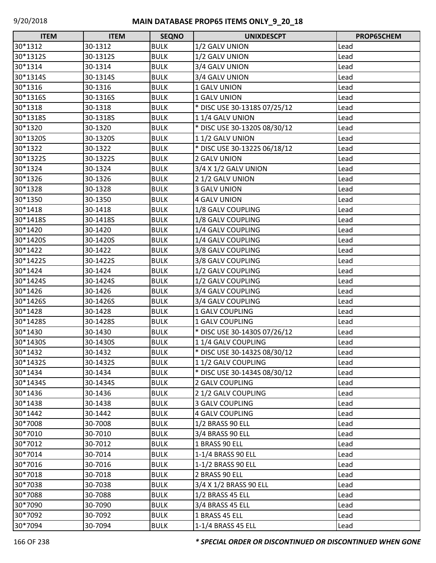| <b>ITEM</b> | <b>ITEM</b> | <b>SEQNO</b> | <b>UNIXDESCPT</b>            | <b>PROP65CHEM</b> |
|-------------|-------------|--------------|------------------------------|-------------------|
| 30*1312     | 30-1312     | <b>BULK</b>  | 1/2 GALV UNION               | Lead              |
| 30*1312S    | 30-1312S    | <b>BULK</b>  | 1/2 GALV UNION               | Lead              |
| 30*1314     | 30-1314     | <b>BULK</b>  | 3/4 GALV UNION               | Lead              |
| 30*1314S    | 30-1314S    | <b>BULK</b>  | 3/4 GALV UNION               | Lead              |
| 30*1316     | 30-1316     | <b>BULK</b>  | 1 GALV UNION                 | Lead              |
| 30*1316S    | 30-1316S    | <b>BULK</b>  | 1 GALV UNION                 | Lead              |
| 30*1318     | 30-1318     | <b>BULK</b>  | * DISC USE 30-1318S 07/25/12 | Lead              |
| 30*1318S    | 30-1318S    | <b>BULK</b>  | 11/4 GALV UNION              | Lead              |
| 30*1320     | 30-1320     | <b>BULK</b>  | * DISC USE 30-1320S 08/30/12 | Lead              |
| 30*1320S    | 30-1320S    | <b>BULK</b>  | 11/2 GALV UNION              | Lead              |
| 30*1322     | 30-1322     | <b>BULK</b>  | * DISC USE 30-1322S 06/18/12 | Lead              |
| 30*1322S    | 30-1322S    | <b>BULK</b>  | 2 GALV UNION                 | Lead              |
| 30*1324     | 30-1324     | <b>BULK</b>  | 3/4 X 1/2 GALV UNION         | Lead              |
| 30*1326     | 30-1326     | <b>BULK</b>  | 2 1/2 GALV UNION             | Lead              |
| 30*1328     | 30-1328     | <b>BULK</b>  | 3 GALV UNION                 | Lead              |
| 30*1350     | 30-1350     | <b>BULK</b>  | <b>4 GALV UNION</b>          | Lead              |
| 30*1418     | 30-1418     | <b>BULK</b>  | 1/8 GALV COUPLING            | Lead              |
| 30*1418S    | 30-1418S    | <b>BULK</b>  | 1/8 GALV COUPLING            | Lead              |
| 30*1420     | 30-1420     | <b>BULK</b>  | 1/4 GALV COUPLING            | Lead              |
| 30*1420S    | 30-1420S    | <b>BULK</b>  | 1/4 GALV COUPLING            | Lead              |
| 30*1422     | 30-1422     | <b>BULK</b>  | 3/8 GALV COUPLING            | Lead              |
| 30*1422S    | 30-1422S    | <b>BULK</b>  | 3/8 GALV COUPLING            | Lead              |
| 30*1424     | 30-1424     | <b>BULK</b>  | 1/2 GALV COUPLING            | Lead              |
| 30*1424S    | 30-1424S    | <b>BULK</b>  | 1/2 GALV COUPLING            | Lead              |
| 30*1426     | 30-1426     | <b>BULK</b>  | 3/4 GALV COUPLING            | Lead              |
| 30*1426S    | 30-1426S    | <b>BULK</b>  | 3/4 GALV COUPLING            | Lead              |
| 30*1428     | 30-1428     | <b>BULK</b>  | <b>1 GALV COUPLING</b>       | Lead              |
| 30*1428S    | 30-1428S    | <b>BULK</b>  | 1 GALV COUPLING              | Lead              |
| 30*1430     | 30-1430     | <b>BULK</b>  | * DISC USE 30-1430S 07/26/12 | Lead              |
| 30*1430S    | 30-1430S    | <b>BULK</b>  | 11/4 GALV COUPLING           | Lead              |
| 30*1432     | 30-1432     | <b>BULK</b>  | * DISC USE 30-1432S 08/30/12 | Lead              |
| 30*1432S    | 30-1432S    | <b>BULK</b>  | 11/2 GALV COUPLING           | Lead              |
| 30*1434     | 30-1434     | <b>BULK</b>  | * DISC USE 30-1434S 08/30/12 | Lead              |
| 30*1434S    | 30-1434S    | <b>BULK</b>  | 2 GALV COUPLING              | Lead              |
| 30*1436     | 30-1436     | <b>BULK</b>  | 2 1/2 GALV COUPLING          | Lead              |
| 30*1438     | 30-1438     | <b>BULK</b>  | <b>3 GALV COUPLING</b>       | Lead              |
| 30*1442     | 30-1442     | <b>BULK</b>  | <b>4 GALV COUPLING</b>       | Lead              |
| 30*7008     | 30-7008     | <b>BULK</b>  | 1/2 BRASS 90 ELL             | Lead              |
| 30*7010     | 30-7010     | <b>BULK</b>  | 3/4 BRASS 90 ELL             | Lead              |
| 30*7012     | 30-7012     | <b>BULK</b>  | 1 BRASS 90 ELL               | Lead              |
| 30*7014     | 30-7014     | <b>BULK</b>  | 1-1/4 BRASS 90 ELL           | Lead              |
| 30*7016     | 30-7016     | <b>BULK</b>  | 1-1/2 BRASS 90 ELL           | Lead              |
| 30*7018     | 30-7018     | <b>BULK</b>  | 2 BRASS 90 ELL               | Lead              |
| 30*7038     | 30-7038     | <b>BULK</b>  | 3/4 X 1/2 BRASS 90 ELL       | Lead              |
| 30*7088     | 30-7088     | <b>BULK</b>  | 1/2 BRASS 45 ELL             | Lead              |
| 30*7090     | 30-7090     | <b>BULK</b>  | 3/4 BRASS 45 ELL             | Lead              |
| 30*7092     | 30-7092     | <b>BULK</b>  | 1 BRASS 45 ELL               | Lead              |
| 30*7094     | 30-7094     | <b>BULK</b>  | 1-1/4 BRASS 45 ELL           | Lead              |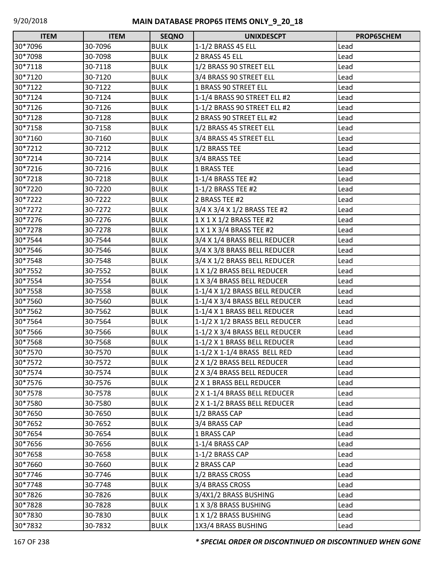| <b>ITEM</b> | <b>ITEM</b> | <b>SEQNO</b> | <b>UNIXDESCPT</b>              | PROP65CHEM |
|-------------|-------------|--------------|--------------------------------|------------|
| 30*7096     | 30-7096     | <b>BULK</b>  | 1-1/2 BRASS 45 ELL             | Lead       |
| 30*7098     | 30-7098     | <b>BULK</b>  | 2 BRASS 45 ELL                 | Lead       |
| 30*7118     | 30-7118     | <b>BULK</b>  | 1/2 BRASS 90 STREET ELL        | Lead       |
| 30*7120     | 30-7120     | <b>BULK</b>  | 3/4 BRASS 90 STREET ELL        | Lead       |
| 30*7122     | 30-7122     | <b>BULK</b>  | 1 BRASS 90 STREET ELL          | Lead       |
| 30*7124     | 30-7124     | <b>BULK</b>  | 1-1/4 BRASS 90 STREET ELL #2   | Lead       |
| 30*7126     | 30-7126     | <b>BULK</b>  | 1-1/2 BRASS 90 STREET ELL #2   | Lead       |
| 30*7128     | 30-7128     | <b>BULK</b>  | 2 BRASS 90 STREET ELL #2       | Lead       |
| 30*7158     | 30-7158     | <b>BULK</b>  | 1/2 BRASS 45 STREET ELL        | Lead       |
| 30*7160     | 30-7160     | <b>BULK</b>  | 3/4 BRASS 45 STREET ELL        | Lead       |
| 30*7212     | 30-7212     | <b>BULK</b>  | 1/2 BRASS TEE                  | Lead       |
| 30*7214     | 30-7214     | <b>BULK</b>  | 3/4 BRASS TEE                  | Lead       |
| 30*7216     | 30-7216     | <b>BULK</b>  | <b>1 BRASS TEE</b>             | Lead       |
| 30*7218     | 30-7218     | <b>BULK</b>  | 1-1/4 BRASS TEE #2             | Lead       |
| 30*7220     | 30-7220     | <b>BULK</b>  | 1-1/2 BRASS TEE #2             | Lead       |
| 30*7222     | 30-7222     | <b>BULK</b>  | 2 BRASS TEE #2                 | Lead       |
| 30*7272     | 30-7272     | <b>BULK</b>  | 3/4 X 3/4 X 1/2 BRASS TEE #2   | Lead       |
| 30*7276     | 30-7276     | <b>BULK</b>  | 1 X 1 X 1/2 BRASS TEE #2       | Lead       |
| 30*7278     | 30-7278     | <b>BULK</b>  | 1 X 1 X 3/4 BRASS TEE #2       | Lead       |
| 30*7544     | 30-7544     | <b>BULK</b>  | 3/4 X 1/4 BRASS BELL REDUCER   | Lead       |
| 30*7546     | 30-7546     | <b>BULK</b>  | 3/4 X 3/8 BRASS BELL REDUCER   | Lead       |
| 30*7548     | 30-7548     | <b>BULK</b>  | 3/4 X 1/2 BRASS BELL REDUCER   | Lead       |
| 30*7552     | 30-7552     | <b>BULK</b>  | 1 X 1/2 BRASS BELL REDUCER     | Lead       |
| 30*7554     | 30-7554     | <b>BULK</b>  | 1 X 3/4 BRASS BELL REDUCER     | Lead       |
| 30*7558     | 30-7558     | <b>BULK</b>  | 1-1/4 X 1/2 BRASS BELL REDUCER | Lead       |
| 30*7560     | 30-7560     | <b>BULK</b>  | 1-1/4 X 3/4 BRASS BELL REDUCER | Lead       |
| 30*7562     | 30-7562     | <b>BULK</b>  | 1-1/4 X 1 BRASS BELL REDUCER   | Lead       |
| 30*7564     | 30-7564     | <b>BULK</b>  | 1-1/2 X 1/2 BRASS BELL REDUCER | Lead       |
| 30*7566     | 30-7566     | <b>BULK</b>  | 1-1/2 X 3/4 BRASS BELL REDUCER | Lead       |
| 30*7568     | 30-7568     | <b>BULK</b>  | 1-1/2 X 1 BRASS BELL REDUCER   | Lead       |
| 30*7570     | 30-7570     | <b>BULK</b>  | 1-1/2 X 1-1/4 BRASS BELL RED   | Lead       |
| 30*7572     | 30-7572     | <b>BULK</b>  | 2 X 1/2 BRASS BELL REDUCER     | Lead       |
| 30*7574     | 30-7574     | <b>BULK</b>  | 2 X 3/4 BRASS BELL REDUCER     | Lead       |
| 30*7576     | 30-7576     | <b>BULK</b>  | 2 X 1 BRASS BELL REDUCER       | Lead       |
| 30*7578     | 30-7578     | <b>BULK</b>  | 2 X 1-1/4 BRASS BELL REDUCER   | Lead       |
| 30*7580     | 30-7580     | <b>BULK</b>  | 2 X 1-1/2 BRASS BELL REDUCER   | Lead       |
| 30*7650     | 30-7650     | <b>BULK</b>  | 1/2 BRASS CAP                  | Lead       |
| 30*7652     | 30-7652     | <b>BULK</b>  | 3/4 BRASS CAP                  | Lead       |
| 30*7654     | 30-7654     | <b>BULK</b>  | 1 BRASS CAP                    | Lead       |
| 30*7656     | 30-7656     | <b>BULK</b>  | 1-1/4 BRASS CAP                | Lead       |
| 30*7658     | 30-7658     | <b>BULK</b>  | 1-1/2 BRASS CAP                | Lead       |
| 30*7660     | 30-7660     | <b>BULK</b>  | 2 BRASS CAP                    | Lead       |
| 30*7746     | 30-7746     | <b>BULK</b>  | 1/2 BRASS CROSS                | Lead       |
| 30*7748     | 30-7748     | <b>BULK</b>  | 3/4 BRASS CROSS                | Lead       |
| 30*7826     | 30-7826     | <b>BULK</b>  | 3/4X1/2 BRASS BUSHING          | Lead       |
| 30*7828     | 30-7828     | <b>BULK</b>  | 1 X 3/8 BRASS BUSHING          | Lead       |
| 30*7830     | 30-7830     | <b>BULK</b>  | 1 X 1/2 BRASS BUSHING          | Lead       |
| 30*7832     | 30-7832     | <b>BULK</b>  | 1X3/4 BRASS BUSHING            | Lead       |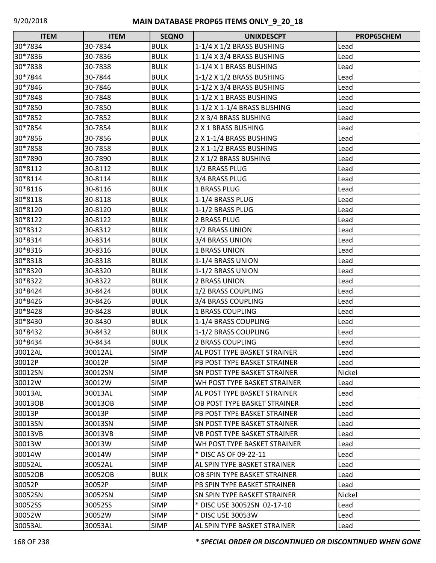| <b>ITEM</b> | <b>ITEM</b> | <b>SEQNO</b> | <b>UNIXDESCPT</b>                   | <b>PROP65CHEM</b> |
|-------------|-------------|--------------|-------------------------------------|-------------------|
| 30*7834     | 30-7834     | <b>BULK</b>  | 1-1/4 X 1/2 BRASS BUSHING           | Lead              |
| 30*7836     | 30-7836     | <b>BULK</b>  | 1-1/4 X 3/4 BRASS BUSHING           | Lead              |
| 30*7838     | 30-7838     | <b>BULK</b>  | 1-1/4 X 1 BRASS BUSHING             | Lead              |
| 30*7844     | 30-7844     | <b>BULK</b>  | 1-1/2 X 1/2 BRASS BUSHING           | Lead              |
| 30*7846     | 30-7846     | <b>BULK</b>  | 1-1/2 X 3/4 BRASS BUSHING           | Lead              |
| 30*7848     | 30-7848     | <b>BULK</b>  | 1-1/2 X 1 BRASS BUSHING             | Lead              |
| 30*7850     | 30-7850     | <b>BULK</b>  | 1-1/2 X 1-1/4 BRASS BUSHING         | Lead              |
| 30*7852     | 30-7852     | <b>BULK</b>  | 2 X 3/4 BRASS BUSHING               | Lead              |
| 30*7854     | 30-7854     | <b>BULK</b>  | 2 X 1 BRASS BUSHING                 | Lead              |
| 30*7856     | 30-7856     | <b>BULK</b>  | 2 X 1-1/4 BRASS BUSHING             | Lead              |
| 30*7858     | 30-7858     | <b>BULK</b>  | 2 X 1-1/2 BRASS BUSHING             | Lead              |
| 30*7890     | 30-7890     | <b>BULK</b>  | 2 X 1/2 BRASS BUSHING               | Lead              |
| 30*8112     | 30-8112     | <b>BULK</b>  | 1/2 BRASS PLUG                      | Lead              |
| 30*8114     | 30-8114     | <b>BULK</b>  | 3/4 BRASS PLUG                      | Lead              |
| 30*8116     | 30-8116     | <b>BULK</b>  | 1 BRASS PLUG                        | Lead              |
| 30*8118     | 30-8118     | <b>BULK</b>  | 1-1/4 BRASS PLUG                    | Lead              |
| 30*8120     | 30-8120     | <b>BULK</b>  | 1-1/2 BRASS PLUG                    | Lead              |
| 30*8122     | 30-8122     | <b>BULK</b>  | 2 BRASS PLUG                        | Lead              |
| 30*8312     | 30-8312     | <b>BULK</b>  | 1/2 BRASS UNION                     | Lead              |
| 30*8314     | 30-8314     | <b>BULK</b>  | 3/4 BRASS UNION                     | Lead              |
| 30*8316     | 30-8316     | <b>BULK</b>  | <b>1 BRASS UNION</b>                | Lead              |
| 30*8318     | 30-8318     | <b>BULK</b>  | 1-1/4 BRASS UNION                   | Lead              |
| 30*8320     | 30-8320     | <b>BULK</b>  | 1-1/2 BRASS UNION                   | Lead              |
| 30*8322     | 30-8322     | <b>BULK</b>  | <b>2 BRASS UNION</b>                | Lead              |
| 30*8424     | 30-8424     | <b>BULK</b>  | 1/2 BRASS COUPLING                  | Lead              |
| 30*8426     | 30-8426     | <b>BULK</b>  | 3/4 BRASS COUPLING                  | Lead              |
| 30*8428     | 30-8428     | <b>BULK</b>  | 1 BRASS COUPLING                    | Lead              |
| 30*8430     | 30-8430     | <b>BULK</b>  | 1-1/4 BRASS COUPLING                | Lead              |
| 30*8432     | 30-8432     | <b>BULK</b>  | 1-1/2 BRASS COUPLING                | Lead              |
| 30*8434     | 30-8434     | <b>BULK</b>  | 2 BRASS COUPLING                    | Lead              |
| 30012AL     | 30012AL     | <b>SIMP</b>  | AL POST TYPE BASKET STRAINER        | Lead              |
| 30012P      | 30012P      | <b>SIMP</b>  | PB POST TYPE BASKET STRAINER        | Lead              |
| 30012SN     | 30012SN     | <b>SIMP</b>  | <b>SN POST TYPE BASKET STRAINER</b> | Nickel            |
| 30012W      | 30012W      | <b>SIMP</b>  | WH POST TYPE BASKET STRAINER        | Lead              |
| 30013AL     | 30013AL     | <b>SIMP</b>  | AL POST TYPE BASKET STRAINER        | Lead              |
| 30013OB     | 30013OB     | <b>SIMP</b>  | OB POST TYPE BASKET STRAINER        | Lead              |
| 30013P      | 30013P      | <b>SIMP</b>  | PB POST TYPE BASKET STRAINER        | Lead              |
| 30013SN     | 30013SN     | <b>SIMP</b>  | <b>SN POST TYPE BASKET STRAINER</b> | Lead              |
| 30013VB     | 30013VB     | <b>SIMP</b>  | VB POST TYPE BASKET STRAINER        | Lead              |
| 30013W      | 30013W      | <b>SIMP</b>  | WH POST TYPE BASKET STRAINER        | Lead              |
| 30014W      | 30014W      | <b>SIMP</b>  | * DISC AS OF 09-22-11               | Lead              |
| 30052AL     | 30052AL     | <b>SIMP</b>  | AL SPIN TYPE BASKET STRAINER        | Lead              |
| 30052OB     | 30052OB     | <b>BULK</b>  | OB SPIN TYPE BASKET STRAINER        | Lead              |
| 30052P      | 30052P      | <b>SIMP</b>  | PB SPIN TYPE BASKET STRAINER        | Lead              |
| 30052SN     | 30052SN     | <b>SIMP</b>  | SN SPIN TYPE BASKET STRAINER        | Nickel            |
| 30052SS     | 30052SS     | <b>SIMP</b>  | * DISC USE 30052SN 02-17-10         | Lead              |
| 30052W      | 30052W      | <b>SIMP</b>  | * DISC USE 30053W                   | Lead              |
| 30053AL     | 30053AL     | <b>SIMP</b>  | AL SPIN TYPE BASKET STRAINER        | Lead              |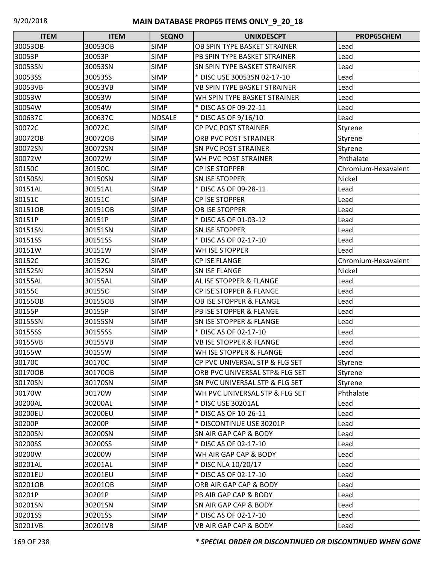| <b>ITEM</b> | <b>ITEM</b> | <b>SEQNO</b>  | <b>UNIXDESCPT</b>                  | PROP65CHEM          |
|-------------|-------------|---------------|------------------------------------|---------------------|
| 30053OB     | 30053OB     | <b>SIMP</b>   | OB SPIN TYPE BASKET STRAINER       | Lead                |
| 30053P      | 30053P      | <b>SIMP</b>   | PB SPIN TYPE BASKET STRAINER       | Lead                |
| 30053SN     | 30053SN     | <b>SIMP</b>   | SN SPIN TYPE BASKET STRAINER       | Lead                |
| 30053SS     | 30053SS     | <b>SIMP</b>   | * DISC USE 30053SN 02-17-10        | Lead                |
| 30053VB     | 30053VB     | <b>SIMP</b>   | VB SPIN TYPE BASKET STRAINER       | Lead                |
| 30053W      | 30053W      | <b>SIMP</b>   | WH SPIN TYPE BASKET STRAINER       | Lead                |
| 30054W      | 30054W      | <b>SIMP</b>   | * DISC AS OF 09-22-11              | Lead                |
| 300637C     | 300637C     | <b>NOSALE</b> | * DISC AS OF 9/16/10               | Lead                |
| 30072C      | 30072C      | <b>SIMP</b>   | CP PVC POST STRAINER               | Styrene             |
| 30072OB     | 30072OB     | <b>SIMP</b>   | ORB PVC POST STRAINER              | Styrene             |
| 30072SN     | 30072SN     | <b>SIMP</b>   | SN PVC POST STRAINER               | Styrene             |
| 30072W      | 30072W      | <b>SIMP</b>   | WH PVC POST STRAINER               | Phthalate           |
| 30150C      | 30150C      | <b>SIMP</b>   | CP ISE STOPPER                     | Chromium-Hexavalent |
| 30150SN     | 30150SN     | <b>SIMP</b>   | <b>SN ISE STOPPER</b>              | Nickel              |
| 30151AL     | 30151AL     | <b>SIMP</b>   | * DISC AS OF 09-28-11              | Lead                |
| 30151C      | 30151C      | <b>SIMP</b>   | CP ISE STOPPER                     | Lead                |
| 30151OB     | 30151OB     | <b>SIMP</b>   | OB ISE STOPPER                     | Lead                |
| 30151P      | 30151P      | <b>SIMP</b>   | * DISC AS OF 01-03-12              | Lead                |
| 30151SN     | 30151SN     | <b>SIMP</b>   | <b>SN ISE STOPPER</b>              | Lead                |
| 30151SS     | 30151SS     | <b>SIMP</b>   | * DISC AS OF 02-17-10              | Lead                |
| 30151W      | 30151W      | <b>SIMP</b>   | WH ISE STOPPER                     | Lead                |
| 30152C      | 30152C      | <b>SIMP</b>   | <b>CP ISE FLANGE</b>               | Chromium-Hexavalent |
| 30152SN     | 30152SN     | <b>SIMP</b>   | SN ISE FLANGE                      | Nickel              |
| 30155AL     | 30155AL     | <b>SIMP</b>   | AL ISE STOPPER & FLANGE            | Lead                |
| 30155C      | 30155C      | <b>SIMP</b>   | CP ISE STOPPER & FLANGE            | Lead                |
| 30155OB     | 30155OB     | <b>SIMP</b>   | OB ISE STOPPER & FLANGE            | Lead                |
| 30155P      | 30155P      | <b>SIMP</b>   | PB ISE STOPPER & FLANGE            | Lead                |
| 30155SN     | 30155SN     | <b>SIMP</b>   | <b>SN ISE STOPPER &amp; FLANGE</b> | Lead                |
| 30155SS     | 30155SS     | <b>SIMP</b>   | * DISC AS OF 02-17-10              | Lead                |
| 30155VB     | 30155VB     | <b>SIMP</b>   | <b>VB ISE STOPPER &amp; FLANGE</b> | Lead                |
| 30155W      | 30155W      | <b>SIMP</b>   | WH ISE STOPPER & FLANGE            | Lead                |
| 30170C      | 30170C      | <b>SIMP</b>   | CP PVC UNIVERSAL STP & FLG SET     | Styrene             |
| 30170OB     | 30170OB     | <b>SIMP</b>   | ORB PVC UNIVERSAL STP& FLG SET     | Styrene             |
| 30170SN     | 30170SN     | <b>SIMP</b>   | SN PVC UNIVERSAL STP & FLG SET     | Styrene             |
| 30170W      | 30170W      | <b>SIMP</b>   | WH PVC UNIVERSAL STP & FLG SET     | Phthalate           |
| 30200AL     | 30200AL     | <b>SIMP</b>   | * DISC USE 30201AL                 | Lead                |
| 30200EU     | 30200EU     | <b>SIMP</b>   | * DISC AS OF 10-26-11              | Lead                |
| 30200P      | 30200P      | <b>SIMP</b>   | * DISCONTINUE USE 30201P           | Lead                |
| 30200SN     | 30200SN     | <b>SIMP</b>   | SN AIR GAP CAP & BODY              | Lead                |
| 30200SS     | 30200SS     | <b>SIMP</b>   | * DISC AS OF 02-17-10              | Lead                |
| 30200W      | 30200W      | <b>SIMP</b>   | WH AIR GAP CAP & BODY              | Lead                |
| 30201AL     | 30201AL     | <b>SIMP</b>   | * DISC NLA 10/20/17                | Lead                |
| 30201EU     | 30201EU     | <b>SIMP</b>   | * DISC AS OF 02-17-10              | Lead                |
| 30201OB     | 30201OB     | <b>SIMP</b>   | ORB AIR GAP CAP & BODY             | Lead                |
| 30201P      | 30201P      | <b>SIMP</b>   | PB AIR GAP CAP & BODY              | Lead                |
| 30201SN     | 30201SN     | <b>SIMP</b>   | SN AIR GAP CAP & BODY              | Lead                |
| 30201SS     | 30201SS     | <b>SIMP</b>   | * DISC AS OF 02-17-10              | Lead                |
| 30201VB     | 30201VB     | <b>SIMP</b>   | VB AIR GAP CAP & BODY              | Lead                |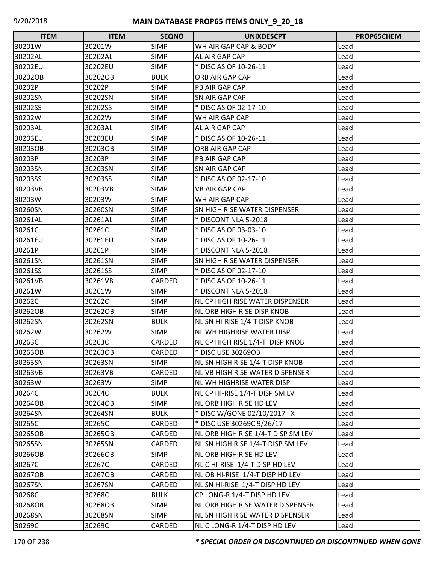| <b>ITEM</b> | <b>ITEM</b> | <b>SEQNO</b> | <b>UNIXDESCPT</b>                   | PROP65CHEM |
|-------------|-------------|--------------|-------------------------------------|------------|
| 30201W      | 30201W      | <b>SIMP</b>  | WH AIR GAP CAP & BODY               | Lead       |
| 30202AL     | 30202AL     | <b>SIMP</b>  | AL AIR GAP CAP                      | Lead       |
| 30202EU     | 30202EU     | <b>SIMP</b>  | * DISC AS OF 10-26-11               | Lead       |
| 30202OB     | 30202OB     | <b>BULK</b>  | ORB AIR GAP CAP                     | Lead       |
| 30202P      | 30202P      | <b>SIMP</b>  | PB AIR GAP CAP                      | Lead       |
| 30202SN     | 30202SN     | <b>SIMP</b>  | SN AIR GAP CAP                      | Lead       |
| 30202SS     | 30202SS     | <b>SIMP</b>  | * DISC AS OF 02-17-10               | Lead       |
| 30202W      | 30202W      | <b>SIMP</b>  | WH AIR GAP CAP                      | Lead       |
| 30203AL     | 30203AL     | <b>SIMP</b>  | AL AIR GAP CAP                      | Lead       |
| 30203EU     | 30203EU     | <b>SIMP</b>  | * DISC AS OF 10-26-11               | Lead       |
| 30203OB     | 30203OB     | <b>SIMP</b>  | ORB AIR GAP CAP                     | Lead       |
| 30203P      | 30203P      | <b>SIMP</b>  | PB AIR GAP CAP                      | Lead       |
| 30203SN     | 30203SN     | <b>SIMP</b>  | SN AIR GAP CAP                      | Lead       |
| 30203SS     | 30203SS     | <b>SIMP</b>  | * DISC AS OF 02-17-10               | Lead       |
| 30203VB     | 30203VB     | <b>SIMP</b>  | <b>VB AIR GAP CAP</b>               | Lead       |
| 30203W      | 30203W      | <b>SIMP</b>  | WH AIR GAP CAP                      | Lead       |
| 30260SN     | 30260SN     | <b>SIMP</b>  | <b>SN HIGH RISE WATER DISPENSER</b> | Lead       |
| 30261AL     | 30261AL     | <b>SIMP</b>  | * DISCONT NLA 5-2018                | Lead       |
| 30261C      | 30261C      | <b>SIMP</b>  | * DISC AS OF 03-03-10               | Lead       |
| 30261EU     | 30261EU     | <b>SIMP</b>  | * DISC AS OF 10-26-11               | Lead       |
| 30261P      | 30261P      | <b>SIMP</b>  | * DISCONT NLA 5-2018                | Lead       |
| 30261SN     | 30261SN     | <b>SIMP</b>  | SN HIGH RISE WATER DISPENSER        | Lead       |
| 30261SS     | 30261SS     | <b>SIMP</b>  | * DISC AS OF 02-17-10               | Lead       |
| 30261VB     | 30261VB     | CARDED       | * DISC AS OF 10-26-11               | Lead       |
| 30261W      | 30261W      | <b>SIMP</b>  | * DISCONT NLA 5-2018                | Lead       |
| 30262C      | 30262C      | <b>SIMP</b>  | NL CP HIGH RISE WATER DISPENSER     | Lead       |
| 30262OB     | 30262OB     | <b>SIMP</b>  | <b>NL ORB HIGH RISE DISP KNOB</b>   | Lead       |
| 30262SN     | 30262SN     | <b>BULK</b>  | NL SN HI-RISE 1/4-T DISP KNOB       | Lead       |
| 30262W      | 30262W      | <b>SIMP</b>  | <b>NL WH HIGHRISE WATER DISP</b>    | Lead       |
| 30263C      | 30263C      | CARDED       | NL CP HIGH RISE 1/4-T DISP KNOB     | Lead       |
| 30263OB     | 30263OB     | CARDED       | * DISC USE 30269OB                  | Lead       |
| 30263SN     | 30263SN     | <b>SIMP</b>  | NL SN HIGH RISE 1/4-T DISP KNOB     | Lead       |
| 30263VB     | 30263VB     | CARDED       | NL VB HIGH RISE WATER DISPENSER     | Lead       |
| 30263W      | 30263W      | <b>SIMP</b>  | NL WH HIGHRISE WATER DISP           | Lead       |
| 30264C      | 30264C      | <b>BULK</b>  | NL CP HI-RISE 1/4-T DISP SM LV      | Lead       |
| 30264OB     | 30264OB     | <b>SIMP</b>  | NL ORB HIGH RISE HD LEV             | Lead       |
| 30264SN     | 30264SN     | <b>BULK</b>  | * DISC W/GONE 02/10/2017 X          | Lead       |
| 30265C      | 30265C      | CARDED       | * DISC USE 30269C 9/26/17           | Lead       |
| 30265OB     | 30265OB     | CARDED       | NL ORB HIGH RISE 1/4-T DISP SM LEV  | Lead       |
| 30265SN     | 30265SN     | CARDED       | NL SN HIGH RISE 1/4-T DISP SM LEV   | Lead       |
| 30266OB     | 30266OB     | <b>SIMP</b>  | NL ORB HIGH RISE HD LEV             | Lead       |
| 30267C      | 30267C      | CARDED       | NL C HI-RISE 1/4-T DISP HD LEV      | Lead       |
| 30267OB     | 30267OB     | CARDED       | NL OB HI-RISE 1/4-T DISP HD LEV     | Lead       |
| 30267SN     | 30267SN     | CARDED       | NL SN HI-RISE 1/4-T DISP HD LEV     | Lead       |
| 30268C      | 30268C      | <b>BULK</b>  | CP LONG-R 1/4-T DISP HD LEV         | Lead       |
| 30268OB     | 30268OB     | <b>SIMP</b>  | NL ORB HIGH RISE WATER DISPENSER    | Lead       |
| 30268SN     | 30268SN     | <b>SIMP</b>  | NL SN HIGH RISE WATER DISPENSER     | Lead       |
| 30269C      | 30269C      | CARDED       | NL C LONG-R 1/4-T DISP HD LEV       | Lead       |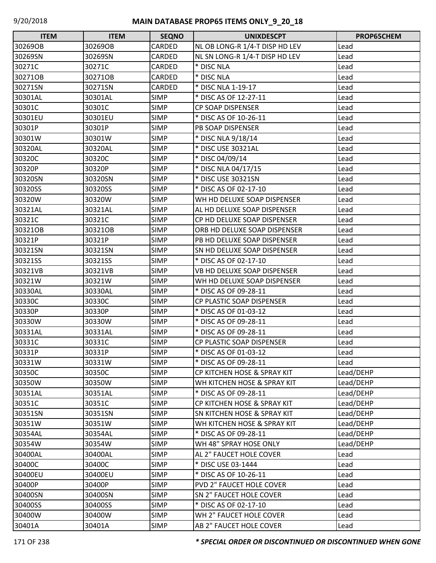| <b>ITEM</b> | <b>ITEM</b> | <b>SEQNO</b> | <b>UNIXDESCPT</b>              | PROP65CHEM |
|-------------|-------------|--------------|--------------------------------|------------|
| 30269OB     | 30269OB     | CARDED       | NL OB LONG-R 1/4-T DISP HD LEV | Lead       |
| 30269SN     | 30269SN     | CARDED       | NL SN LONG-R 1/4-T DISP HD LEV | Lead       |
| 30271C      | 30271C      | CARDED       | * DISC NLA                     | Lead       |
| 30271OB     | 30271OB     | CARDED       | * DISC NLA                     | Lead       |
| 30271SN     | 30271SN     | CARDED       | * DISC NLA 1-19-17             | Lead       |
| 30301AL     | 30301AL     | <b>SIMP</b>  | * DISC AS OF 12-27-11          | Lead       |
| 30301C      | 30301C      | <b>SIMP</b>  | CP SOAP DISPENSER              | Lead       |
| 30301EU     | 30301EU     | <b>SIMP</b>  | * DISC AS OF 10-26-11          | Lead       |
| 30301P      | 30301P      | <b>SIMP</b>  | PB SOAP DISPENSER              | Lead       |
| 30301W      | 30301W      | <b>SIMP</b>  | * DISC NLA 9/18/14             | Lead       |
| 30320AL     | 30320AL     | <b>SIMP</b>  | * DISC USE 30321AL             | Lead       |
| 30320C      | 30320C      | <b>SIMP</b>  | * DISC 04/09/14                | Lead       |
| 30320P      | 30320P      | <b>SIMP</b>  | * DISC NLA 04/17/15            | Lead       |
| 30320SN     | 30320SN     | <b>SIMP</b>  | * DISC USE 30321SN             | Lead       |
| 30320SS     | 30320SS     | <b>SIMP</b>  | * DISC AS OF 02-17-10          | Lead       |
| 30320W      | 30320W      | <b>SIMP</b>  | WH HD DELUXE SOAP DISPENSER    | Lead       |
| 30321AL     | 30321AL     | <b>SIMP</b>  | AL HD DELUXE SOAP DISPENSER    | Lead       |
| 30321C      | 30321C      | <b>SIMP</b>  | CP HD DELUXE SOAP DISPENSER    | Lead       |
| 30321OB     | 30321OB     | <b>SIMP</b>  | ORB HD DELUXE SOAP DISPENSER   | Lead       |
| 30321P      | 30321P      | <b>SIMP</b>  | PB HD DELUXE SOAP DISPENSER    | Lead       |
| 30321SN     | 30321SN     | <b>SIMP</b>  | SN HD DELUXE SOAP DISPENSER    | Lead       |
| 30321SS     | 30321SS     | <b>SIMP</b>  | * DISC AS OF 02-17-10          | Lead       |
| 30321VB     | 30321VB     | <b>SIMP</b>  | VB HD DELUXE SOAP DISPENSER    | Lead       |
| 30321W      | 30321W      | <b>SIMP</b>  | WH HD DELUXE SOAP DISPENSER    | Lead       |
| 30330AL     | 30330AL     | <b>SIMP</b>  | * DISC AS OF 09-28-11          | Lead       |
| 30330C      | 30330C      | <b>SIMP</b>  | CP PLASTIC SOAP DISPENSER      | Lead       |
| 30330P      | 30330P      | <b>SIMP</b>  | * DISC AS OF 01-03-12          | Lead       |
| 30330W      | 30330W      | <b>SIMP</b>  | * DISC AS OF 09-28-11          | Lead       |
| 30331AL     | 30331AL     | <b>SIMP</b>  | * DISC AS OF 09-28-11          | Lead       |
| 30331C      | 30331C      | <b>SIMP</b>  | CP PLASTIC SOAP DISPENSER      | Lead       |
| 30331P      | 30331P      | <b>SIMP</b>  | * DISC AS OF 01-03-12          | Lead       |
| 30331W      | 30331W      | <b>SIMP</b>  | * DISC AS OF 09-28-11          | Lead       |
| 30350C      | 30350C      | <b>SIMP</b>  | CP KITCHEN HOSE & SPRAY KIT    | Lead/DEHP  |
| 30350W      | 30350W      | <b>SIMP</b>  | WH KITCHEN HOSE & SPRAY KIT    | Lead/DEHP  |
| 30351AL     | 30351AL     | <b>SIMP</b>  | * DISC AS OF 09-28-11          | Lead/DEHP  |
| 30351C      | 30351C      | <b>SIMP</b>  | CP KITCHEN HOSE & SPRAY KIT    | Lead/DEHP  |
| 30351SN     | 30351SN     | <b>SIMP</b>  | SN KITCHEN HOSE & SPRAY KIT    | Lead/DEHP  |
| 30351W      | 30351W      | <b>SIMP</b>  | WH KITCHEN HOSE & SPRAY KIT    | Lead/DEHP  |
| 30354AL     | 30354AL     | <b>SIMP</b>  | * DISC AS OF 09-28-11          | Lead/DEHP  |
| 30354W      | 30354W      | <b>SIMP</b>  | WH 48" SPRAY HOSE ONLY         | Lead/DEHP  |
| 30400AL     | 30400AL     | <b>SIMP</b>  | AL 2" FAUCET HOLE COVER        | Lead       |
| 30400C      | 30400C      | <b>SIMP</b>  | * DISC USE 03-1444             | Lead       |
| 30400EU     | 30400EU     | <b>SIMP</b>  | * DISC AS OF 10-26-11          | Lead       |
| 30400P      | 30400P      | <b>SIMP</b>  | PVD 2" FAUCET HOLE COVER       | Lead       |
| 30400SN     | 30400SN     | <b>SIMP</b>  | SN 2" FAUCET HOLE COVER        | Lead       |
| 30400SS     | 30400SS     | <b>SIMP</b>  | * DISC AS OF 02-17-10          | Lead       |
| 30400W      | 30400W      | <b>SIMP</b>  | WH 2" FAUCET HOLE COVER        | Lead       |
| 30401A      | 30401A      | <b>SIMP</b>  | AB 2" FAUCET HOLE COVER        | Lead       |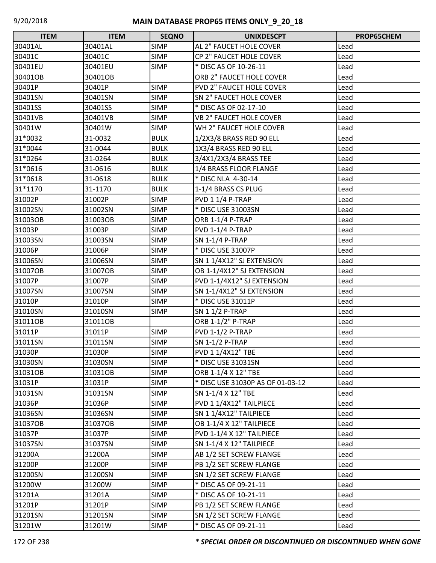| <b>ITEM</b> | <b>ITEM</b> | <b>SEQNO</b> | <b>UNIXDESCPT</b>                | PROP65CHEM |
|-------------|-------------|--------------|----------------------------------|------------|
| 30401AL     | 30401AL     | <b>SIMP</b>  | AL 2" FAUCET HOLE COVER          | Lead       |
| 30401C      | 30401C      | <b>SIMP</b>  | CP 2" FAUCET HOLE COVER          | Lead       |
| 30401EU     | 30401EU     | <b>SIMP</b>  | * DISC AS OF 10-26-11            | Lead       |
| 30401OB     | 30401OB     |              | ORB 2" FAUCET HOLE COVER         | Lead       |
| 30401P      | 30401P      | <b>SIMP</b>  | PVD 2" FAUCET HOLE COVER         | Lead       |
| 30401SN     | 30401SN     | <b>SIMP</b>  | SN 2" FAUCET HOLE COVER          | Lead       |
| 30401SS     | 30401SS     | <b>SIMP</b>  | * DISC AS OF 02-17-10            | Lead       |
| 30401VB     | 30401VB     | <b>SIMP</b>  | <b>VB 2" FAUCET HOLE COVER</b>   | Lead       |
| 30401W      | 30401W      | <b>SIMP</b>  | WH 2" FAUCET HOLE COVER          | Lead       |
| 31*0032     | 31-0032     | <b>BULK</b>  | 1/2X3/8 BRASS RED 90 ELL         | Lead       |
| 31*0044     | 31-0044     | <b>BULK</b>  | 1X3/4 BRASS RED 90 ELL           | Lead       |
| 31*0264     | 31-0264     | <b>BULK</b>  | 3/4X1/2X3/4 BRASS TEE            | Lead       |
| 31*0616     | 31-0616     | <b>BULK</b>  | 1/4 BRASS FLOOR FLANGE           | Lead       |
| 31*0618     | 31-0618     | <b>BULK</b>  | * DISC NLA 4-30-14               | Lead       |
| 31*1170     | 31-1170     | <b>BULK</b>  | 1-1/4 BRASS CS PLUG              | Lead       |
| 31002P      | 31002P      | <b>SIMP</b>  | PVD 1 1/4 P-TRAP                 | Lead       |
| 31002SN     | 31002SN     | <b>SIMP</b>  | * DISC USE 31003SN               | Lead       |
| 31003OB     | 31003OB     | <b>SIMP</b>  | <b>ORB 1-1/4 P-TRAP</b>          | Lead       |
| 31003P      | 31003P      | <b>SIMP</b>  | <b>PVD 1-1/4 P-TRAP</b>          | Lead       |
| 31003SN     | 31003SN     | <b>SIMP</b>  | SN 1-1/4 P-TRAP                  | Lead       |
| 31006P      | 31006P      | <b>SIMP</b>  | * DISC USE 31007P                | Lead       |
| 31006SN     | 31006SN     | <b>SIMP</b>  | SN 1 1/4X12" SJ EXTENSION        | Lead       |
| 31007OB     | 31007OB     | <b>SIMP</b>  | OB 1-1/4X12" SJ EXTENSION        | Lead       |
| 31007P      | 31007P      | <b>SIMP</b>  | PVD 1-1/4X12" SJ EXTENSION       | Lead       |
| 31007SN     | 31007SN     | <b>SIMP</b>  | SN 1-1/4X12" SJ EXTENSION        | Lead       |
| 31010P      | 31010P      | <b>SIMP</b>  | * DISC USE 31011P                | Lead       |
| 31010SN     | 31010SN     | <b>SIMP</b>  | SN 1 1/2 P-TRAP                  | Lead       |
| 31011OB     | 31011OB     |              | ORB 1-1/2" P-TRAP                | Lead       |
| 31011P      | 31011P      | <b>SIMP</b>  | <b>PVD 1-1/2 P-TRAP</b>          | Lead       |
| 31011SN     | 31011SN     | <b>SIMP</b>  | SN 1-1/2 P-TRAP                  | Lead       |
| 31030P      | 31030P      | <b>SIMP</b>  | PVD 1 1/4X12" TBE                | Lead       |
| 31030SN     | 31030SN     | <b>SIMP</b>  | * DISC USE 31031SN               | Lead       |
| 31031OB     | 31031OB     | <b>SIMP</b>  | ORB 1-1/4 X 12" TBE              | Lead       |
| 31031P      | 31031P      | <b>SIMP</b>  | * DISC USE 31030P AS OF 01-03-12 | Lead       |
| 31031SN     | 31031SN     | <b>SIMP</b>  | SN 1-1/4 X 12" TBE               | Lead       |
| 31036P      | 31036P      | <b>SIMP</b>  | PVD 1 1/4X12" TAILPIECE          | Lead       |
| 31036SN     | 31036SN     | <b>SIMP</b>  | SN 1 1/4X12" TAILPIECE           | Lead       |
| 31037OB     | 31037OB     | <b>SIMP</b>  | OB 1-1/4 X 12" TAILPIECE         | Lead       |
| 31037P      | 31037P      | <b>SIMP</b>  | PVD 1-1/4 X 12" TAILPIECE        | Lead       |
| 31037SN     | 31037SN     | <b>SIMP</b>  | SN 1-1/4 X 12" TAILPIECE         | Lead       |
| 31200A      | 31200A      | <b>SIMP</b>  | AB 1/2 SET SCREW FLANGE          | Lead       |
| 31200P      | 31200P      | <b>SIMP</b>  | PB 1/2 SET SCREW FLANGE          | Lead       |
| 31200SN     | 31200SN     | <b>SIMP</b>  | SN 1/2 SET SCREW FLANGE          | Lead       |
| 31200W      | 31200W      | <b>SIMP</b>  | * DISC AS OF 09-21-11            | Lead       |
| 31201A      | 31201A      | <b>SIMP</b>  | * DISC AS OF 10-21-11            | Lead       |
| 31201P      | 31201P      | <b>SIMP</b>  | PB 1/2 SET SCREW FLANGE          | Lead       |
| 31201SN     | 31201SN     | <b>SIMP</b>  | SN 1/2 SET SCREW FLANGE          | Lead       |
| 31201W      | 31201W      | <b>SIMP</b>  | * DISC AS OF 09-21-11            | Lead       |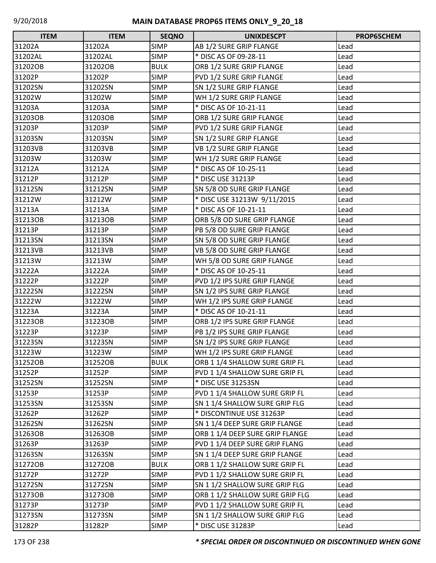| <b>ITEM</b> | <b>ITEM</b> | <b>SEQNO</b> | <b>UNIXDESCPT</b>               | PROP65CHEM |
|-------------|-------------|--------------|---------------------------------|------------|
| 31202A      | 31202A      | <b>SIMP</b>  | AB 1/2 SURE GRIP FLANGE         | Lead       |
| 31202AL     | 31202AL     | <b>SIMP</b>  | * DISC AS OF 09-28-11           | Lead       |
| 31202OB     | 31202OB     | <b>BULK</b>  | ORB 1/2 SURE GRIP FLANGE        | Lead       |
| 31202P      | 31202P      | <b>SIMP</b>  | PVD 1/2 SURE GRIP FLANGE        | Lead       |
| 31202SN     | 31202SN     | <b>SIMP</b>  | SN 1/2 SURE GRIP FLANGE         | Lead       |
| 31202W      | 31202W      | <b>SIMP</b>  | WH 1/2 SURE GRIP FLANGE         | Lead       |
| 31203A      | 31203A      | <b>SIMP</b>  | * DISC AS OF 10-21-11           | Lead       |
| 31203OB     | 31203OB     | <b>SIMP</b>  | ORB 1/2 SURE GRIP FLANGE        | Lead       |
| 31203P      | 31203P      | <b>SIMP</b>  | PVD 1/2 SURE GRIP FLANGE        | Lead       |
| 31203SN     | 31203SN     | <b>SIMP</b>  | SN 1/2 SURE GRIP FLANGE         | Lead       |
| 31203VB     | 31203VB     | <b>SIMP</b>  | VB 1/2 SURE GRIP FLANGE         | Lead       |
| 31203W      | 31203W      | <b>SIMP</b>  | WH 1/2 SURE GRIP FLANGE         | Lead       |
| 31212A      | 31212A      | <b>SIMP</b>  | * DISC AS OF 10-25-11           | Lead       |
| 31212P      | 31212P      | <b>SIMP</b>  | * DISC USE 31213P               | Lead       |
| 31212SN     | 31212SN     | <b>SIMP</b>  | SN 5/8 OD SURE GRIP FLANGE      | Lead       |
| 31212W      | 31212W      | <b>SIMP</b>  | * DISC USE 31213W 9/11/2015     | Lead       |
| 31213A      | 31213A      | <b>SIMP</b>  | * DISC AS OF 10-21-11           | Lead       |
| 31213OB     | 31213OB     | <b>SIMP</b>  | ORB 5/8 OD SURE GRIP FLANGE     | Lead       |
| 31213P      | 31213P      | <b>SIMP</b>  | PB 5/8 OD SURE GRIP FLANGE      | Lead       |
| 31213SN     | 31213SN     | <b>SIMP</b>  | SN 5/8 OD SURE GRIP FLANGE      | Lead       |
| 31213VB     | 31213VB     | <b>SIMP</b>  | VB 5/8 OD SURE GRIP FLANGE      | Lead       |
| 31213W      | 31213W      | <b>SIMP</b>  | WH 5/8 OD SURE GRIP FLANGE      | Lead       |
| 31222A      | 31222A      | <b>SIMP</b>  | * DISC AS OF 10-25-11           | Lead       |
| 31222P      | 31222P      | <b>SIMP</b>  | PVD 1/2 IPS SURE GRIP FLANGE    | Lead       |
| 31222SN     | 31222SN     | <b>SIMP</b>  | SN 1/2 IPS SURE GRIP FLANGE     | Lead       |
| 31222W      | 31222W      | <b>SIMP</b>  | WH 1/2 IPS SURE GRIP FLANGE     | Lead       |
| 31223A      | 31223A      | <b>SIMP</b>  | * DISC AS OF 10-21-11           | Lead       |
| 31223OB     | 31223OB     | <b>SIMP</b>  | ORB 1/2 IPS SURE GRIP FLANGE    | Lead       |
| 31223P      | 31223P      | <b>SIMP</b>  | PB 1/2 IPS SURE GRIP FLANGE     | Lead       |
| 31223SN     | 31223SN     | <b>SIMP</b>  | SN 1/2 IPS SURE GRIP FLANGE     | Lead       |
| 31223W      | 31223W      | <b>SIMP</b>  | WH 1/2 IPS SURE GRIP FLANGE     | Lead       |
| 31252OB     | 31252OB     | <b>BULK</b>  | ORB 1 1/4 SHALLOW SURE GRIP FL  | Lead       |
| 31252P      | 31252P      | <b>SIMP</b>  | PVD 1 1/4 SHALLOW SURE GRIP FL  | Lead       |
| 31252SN     | 31252SN     | <b>SIMP</b>  | * DISC USE 31253SN              | Lead       |
| 31253P      | 31253P      | <b>SIMP</b>  | PVD 1 1/4 SHALLOW SURE GRIP FL  | Lead       |
| 31253SN     | 31253SN     | <b>SIMP</b>  | SN 1 1/4 SHALLOW SURE GRIP FLG  | Lead       |
| 31262P      | 31262P      | <b>SIMP</b>  | * DISCONTINUE USE 31263P        | Lead       |
| 31262SN     | 31262SN     | <b>SIMP</b>  | SN 1 1/4 DEEP SURE GRIP FLANGE  | Lead       |
| 31263OB     | 31263OB     | <b>SIMP</b>  | ORB 1 1/4 DEEP SURE GRIP FLANGE | Lead       |
| 31263P      | 31263P      | <b>SIMP</b>  | PVD 1 1/4 DEEP SURE GRIP FLANG  | Lead       |
| 31263SN     | 31263SN     | <b>SIMP</b>  | SN 1 1/4 DEEP SURE GRIP FLANGE  | Lead       |
| 31272OB     | 31272OB     | <b>BULK</b>  | ORB 1 1/2 SHALLOW SURE GRIP FL  | Lead       |
| 31272P      | 31272P      | <b>SIMP</b>  | PVD 1 1/2 SHALLOW SURE GRIP FL  | Lead       |
| 31272SN     | 31272SN     | <b>SIMP</b>  | SN 1 1/2 SHALLOW SURE GRIP FLG  | Lead       |
| 312730B     | 31273OB     | <b>SIMP</b>  | ORB 1 1/2 SHALLOW SURE GRIP FLG | Lead       |
| 31273P      | 31273P      | <b>SIMP</b>  | PVD 1 1/2 SHALLOW SURE GRIP FL  | Lead       |
| 31273SN     | 31273SN     | <b>SIMP</b>  | SN 1 1/2 SHALLOW SURE GRIP FLG  | Lead       |
| 31282P      | 31282P      | <b>SIMP</b>  | * DISC USE 31283P               | Lead       |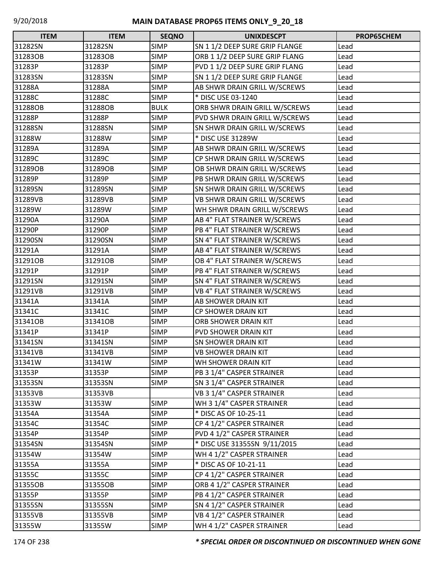| <b>ITEM</b> | <b>ITEM</b> | <b>SEQNO</b> | <b>UNIXDESCPT</b>              | PROP65CHEM |
|-------------|-------------|--------------|--------------------------------|------------|
| 31282SN     | 31282SN     | <b>SIMP</b>  | SN 1 1/2 DEEP SURE GRIP FLANGE | Lead       |
| 31283OB     | 31283OB     | <b>SIMP</b>  | ORB 1 1/2 DEEP SURE GRIP FLANG | Lead       |
| 31283P      | 31283P      | <b>SIMP</b>  | PVD 1 1/2 DEEP SURE GRIP FLANG | Lead       |
| 31283SN     | 31283SN     | <b>SIMP</b>  | SN 1 1/2 DEEP SURE GRIP FLANGE | Lead       |
| 31288A      | 31288A      | <b>SIMP</b>  | AB SHWR DRAIN GRILL W/SCREWS   | Lead       |
| 31288C      | 31288C      | <b>SIMP</b>  | * DISC USE 03-1240             | Lead       |
| 31288OB     | 31288OB     | <b>BULK</b>  | ORB SHWR DRAIN GRILL W/SCREWS  | Lead       |
| 31288P      | 31288P      | <b>SIMP</b>  | PVD SHWR DRAIN GRILL W/SCREWS  | Lead       |
| 31288SN     | 31288SN     | <b>SIMP</b>  | SN SHWR DRAIN GRILL W/SCREWS   | Lead       |
| 31288W      | 31288W      | <b>SIMP</b>  | * DISC USE 31289W              | Lead       |
| 31289A      | 31289A      | <b>SIMP</b>  | AB SHWR DRAIN GRILL W/SCREWS   | Lead       |
| 31289C      | 31289C      | <b>SIMP</b>  | CP SHWR DRAIN GRILL W/SCREWS   | Lead       |
| 31289OB     | 31289OB     | <b>SIMP</b>  | OB SHWR DRAIN GRILL W/SCREWS   | Lead       |
| 31289P      | 31289P      | <b>SIMP</b>  | PB SHWR DRAIN GRILL W/SCREWS   | Lead       |
| 31289SN     | 31289SN     | <b>SIMP</b>  | SN SHWR DRAIN GRILL W/SCREWS   | Lead       |
| 31289VB     | 31289VB     | <b>SIMP</b>  | VB SHWR DRAIN GRILL W/SCREWS   | Lead       |
| 31289W      | 31289W      | <b>SIMP</b>  | WH SHWR DRAIN GRILL W/SCREWS   | Lead       |
| 31290A      | 31290A      | <b>SIMP</b>  | AB 4" FLAT STRAINER W/SCREWS   | Lead       |
| 31290P      | 31290P      | <b>SIMP</b>  | PB 4" FLAT STRAINER W/SCREWS   | Lead       |
| 31290SN     | 31290SN     | <b>SIMP</b>  | SN 4" FLAT STRAINER W/SCREWS   | Lead       |
| 31291A      | 31291A      | <b>SIMP</b>  | AB 4" FLAT STRAINER W/SCREWS   | Lead       |
| 31291OB     | 31291OB     | <b>SIMP</b>  | OB 4" FLAT STRAINER W/SCREWS   | Lead       |
| 31291P      | 31291P      | <b>SIMP</b>  | PB 4" FLAT STRAINER W/SCREWS   | Lead       |
| 31291SN     | 31291SN     | <b>SIMP</b>  | SN 4" FLAT STRAINER W/SCREWS   | Lead       |
| 31291VB     | 31291VB     | <b>SIMP</b>  | VB 4" FLAT STRAINER W/SCREWS   | Lead       |
| 31341A      | 31341A      | <b>SIMP</b>  | AB SHOWER DRAIN KIT            | Lead       |
| 31341C      | 31341C      | <b>SIMP</b>  | <b>CP SHOWER DRAIN KIT</b>     | Lead       |
| 31341OB     | 31341OB     | <b>SIMP</b>  | ORB SHOWER DRAIN KIT           | Lead       |
| 31341P      | 31341P      | <b>SIMP</b>  | <b>PVD SHOWER DRAIN KIT</b>    | Lead       |
| 31341SN     | 31341SN     | <b>SIMP</b>  | SN SHOWER DRAIN KIT            | Lead       |
| 31341VB     | 31341VB     | <b>SIMP</b>  | <b>VB SHOWER DRAIN KIT</b>     | Lead       |
| 31341W      | 31341W      | <b>SIMP</b>  | WH SHOWER DRAIN KIT            | Lead       |
| 31353P      | 31353P      | <b>SIMP</b>  | PB 3 1/4" CASPER STRAINER      | Lead       |
| 31353SN     | 31353SN     | <b>SIMP</b>  | SN 3 1/4" CASPER STRAINER      | Lead       |
| 31353VB     | 31353VB     |              | VB 3 1/4" CASPER STRAINER      | Lead       |
| 31353W      | 31353W      | <b>SIMP</b>  | WH 3 1/4" CASPER STRAINER      | Lead       |
| 31354A      | 31354A      | <b>SIMP</b>  | * DISC AS OF 10-25-11          | Lead       |
| 31354C      | 31354C      | <b>SIMP</b>  | CP 4 1/2" CASPER STRAINER      | Lead       |
| 31354P      | 31354P      | <b>SIMP</b>  | PVD 4 1/2" CASPER STRAINER     | Lead       |
| 31354SN     | 31354SN     | <b>SIMP</b>  | * DISC USE 31355SN 9/11/2015   | Lead       |
| 31354W      | 31354W      | <b>SIMP</b>  | WH 4 1/2" CASPER STRAINER      | Lead       |
| 31355A      | 31355A      | <b>SIMP</b>  | * DISC AS OF 10-21-11          | Lead       |
| 31355C      | 31355C      | <b>SIMP</b>  | CP 4 1/2" CASPER STRAINER      | Lead       |
| 31355OB     | 31355OB     | <b>SIMP</b>  | ORB 4 1/2" CASPER STRAINER     | Lead       |
| 31355P      | 31355P      | <b>SIMP</b>  | PB 4 1/2" CASPER STRAINER      | Lead       |
| 31355SN     | 31355SN     | <b>SIMP</b>  | SN 4 1/2" CASPER STRAINER      | Lead       |
| 31355VB     | 31355VB     | <b>SIMP</b>  | VB 4 1/2" CASPER STRAINER      | Lead       |
| 31355W      | 31355W      | <b>SIMP</b>  | WH 4 1/2" CASPER STRAINER      | Lead       |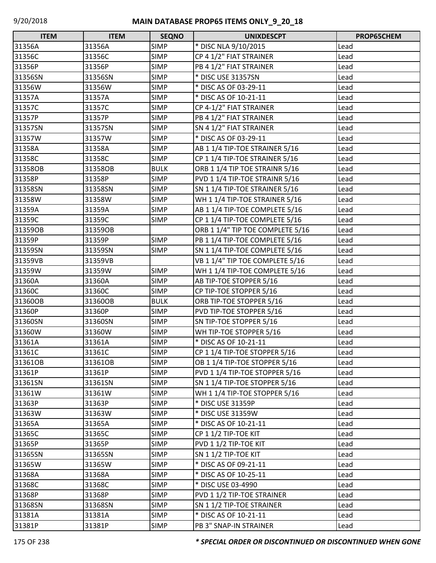| <b>ITEM</b> | <b>ITEM</b> | <b>SEQNO</b> | <b>UNIXDESCPT</b>                | PROP65CHEM |
|-------------|-------------|--------------|----------------------------------|------------|
| 31356A      | 31356A      | <b>SIMP</b>  | * DISC NLA 9/10/2015             | Lead       |
| 31356C      | 31356C      | <b>SIMP</b>  | CP 4 1/2" FIAT STRAINER          | Lead       |
| 31356P      | 31356P      | <b>SIMP</b>  | PB 4 1/2" FIAT STRAINER          | Lead       |
| 31356SN     | 31356SN     | <b>SIMP</b>  | * DISC USE 31357SN               | Lead       |
| 31356W      | 31356W      | <b>SIMP</b>  | * DISC AS OF 03-29-11            | Lead       |
| 31357A      | 31357A      | <b>SIMP</b>  | * DISC AS OF 10-21-11            | Lead       |
| 31357C      | 31357C      | <b>SIMP</b>  | CP 4-1/2" FIAT STRAINER          | Lead       |
| 31357P      | 31357P      | <b>SIMP</b>  | PB 4 1/2" FIAT STRAINER          | Lead       |
| 31357SN     | 31357SN     | <b>SIMP</b>  | SN 4 1/2" FIAT STRAINER          | Lead       |
| 31357W      | 31357W      | <b>SIMP</b>  | * DISC AS OF 03-29-11            | Lead       |
| 31358A      | 31358A      | <b>SIMP</b>  | AB 1 1/4 TIP-TOE STRAINER 5/16   | Lead       |
| 31358C      | 31358C      | <b>SIMP</b>  | CP 1 1/4 TIP-TOE STRAINER 5/16   | Lead       |
| 31358OB     | 31358OB     | <b>BULK</b>  | ORB 1 1/4 TIP TOE STRAINR 5/16   | Lead       |
| 31358P      | 31358P      | <b>SIMP</b>  | PVD 1 1/4 TIP-TOE STRAINR 5/16   | Lead       |
| 31358SN     | 31358SN     | <b>SIMP</b>  | SN 1 1/4 TIP-TOE STRAINER 5/16   | Lead       |
| 31358W      | 31358W      | <b>SIMP</b>  | WH 1 1/4 TIP-TOE STRAINER 5/16   | Lead       |
| 31359A      | 31359A      | <b>SIMP</b>  | AB 1 1/4 TIP-TOE COMPLETE 5/16   | Lead       |
| 31359C      | 31359C      | <b>SIMP</b>  | CP 1 1/4 TIP-TOE COMPLETE 5/16   | Lead       |
| 31359OB     | 31359OB     |              | ORB 1 1/4" TIP TOE COMPLETE 5/16 | Lead       |
| 31359P      | 31359P      | <b>SIMP</b>  | PB 1 1/4 TIP-TOE COMPLETE 5/16   | Lead       |
| 31359SN     | 31359SN     | <b>SIMP</b>  | SN 1 1/4 TIP-TOE COMPLETE 5/16   | Lead       |
| 31359VB     | 31359VB     |              | VB 1 1/4" TIP TOE COMPLETE 5/16  | Lead       |
| 31359W      | 31359W      | <b>SIMP</b>  | WH 1 1/4 TIP-TOE COMPLETE 5/16   | Lead       |
| 31360A      | 31360A      | <b>SIMP</b>  | AB TIP-TOE STOPPER 5/16          | Lead       |
| 31360C      | 31360C      | <b>SIMP</b>  | CP TIP-TOE STOPPER 5/16          | Lead       |
| 31360OB     | 31360OB     | <b>BULK</b>  | ORB TIP-TOE STOPPER 5/16         | Lead       |
| 31360P      | 31360P      | <b>SIMP</b>  | PVD TIP-TOE STOPPER 5/16         | Lead       |
| 31360SN     | 31360SN     | <b>SIMP</b>  | SN TIP-TOE STOPPER 5/16          | Lead       |
| 31360W      | 31360W      | <b>SIMP</b>  | WH TIP-TOE STOPPER 5/16          | Lead       |
| 31361A      | 31361A      | <b>SIMP</b>  | * DISC AS OF 10-21-11            | Lead       |
| 31361C      | 31361C      | <b>SIMP</b>  | CP 1 1/4 TIP-TOE STOPPER 5/16    | Lead       |
| 31361OB     | 31361OB     | <b>SIMP</b>  | OB 1 1/4 TIP-TOE STOPPER 5/16    | Lead       |
| 31361P      | 31361P      | <b>SIMP</b>  | PVD 1 1/4 TIP-TOE STOPPER 5/16   | Lead       |
| 31361SN     | 31361SN     | <b>SIMP</b>  | SN 1 1/4 TIP-TOE STOPPER 5/16    | Lead       |
| 31361W      | 31361W      | <b>SIMP</b>  | WH 1 1/4 TIP-TOE STOPPER 5/16    | Lead       |
| 31363P      | 31363P      | <b>SIMP</b>  | * DISC USE 31359P                | Lead       |
| 31363W      | 31363W      | <b>SIMP</b>  | * DISC USE 31359W                | Lead       |
| 31365A      | 31365A      | <b>SIMP</b>  | * DISC AS OF 10-21-11            | Lead       |
| 31365C      | 31365C      | <b>SIMP</b>  | CP 1 1/2 TIP-TOE KIT             | Lead       |
| 31365P      | 31365P      | <b>SIMP</b>  | PVD 1 1/2 TIP-TOE KIT            | Lead       |
| 31365SN     | 31365SN     | <b>SIMP</b>  | SN 1 1/2 TIP-TOE KIT             | Lead       |
| 31365W      | 31365W      | <b>SIMP</b>  | * DISC AS OF 09-21-11            | Lead       |
| 31368A      | 31368A      | <b>SIMP</b>  | * DISC AS OF 10-25-11            | Lead       |
| 31368C      | 31368C      | <b>SIMP</b>  | * DISC USE 03-4990               | Lead       |
| 31368P      | 31368P      | <b>SIMP</b>  | PVD 1 1/2 TIP-TOE STRAINER       | Lead       |
| 31368SN     | 31368SN     | <b>SIMP</b>  | SN 1 1/2 TIP-TOE STRAINER        | Lead       |
| 31381A      | 31381A      | <b>SIMP</b>  | * DISC AS OF 10-21-11            | Lead       |
| 31381P      | 31381P      | <b>SIMP</b>  | PB 3" SNAP-IN STRAINER           | Lead       |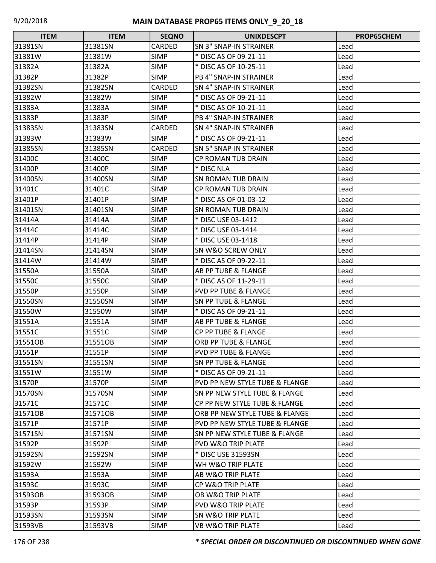| <b>ITEM</b> | <b>ITEM</b> | <b>SEQNO</b>  | <b>UNIXDESCPT</b>                        | <b>PROP65CHEM</b> |
|-------------|-------------|---------------|------------------------------------------|-------------------|
| 31381SN     | 31381SN     | <b>CARDED</b> | <b>SN 3" SNAP-IN STRAINER</b>            | Lead              |
| 31381W      | 31381W      | <b>SIMP</b>   | * DISC AS OF 09-21-11                    | Lead              |
| 31382A      | 31382A      | <b>SIMP</b>   | * DISC AS OF 10-25-11                    | Lead              |
| 31382P      | 31382P      | <b>SIMP</b>   | <b>PB 4" SNAP-IN STRAINER</b>            | Lead              |
| 31382SN     | 31382SN     | <b>CARDED</b> | <b>SN 4" SNAP-IN STRAINER</b>            | Lead              |
| 31382W      | 31382W      | <b>SIMP</b>   | * DISC AS OF 09-21-11                    | Lead              |
| 31383A      | 31383A      | <b>SIMP</b>   | * DISC AS OF 10-21-11                    | Lead              |
| 31383P      | 31383P      | <b>SIMP</b>   | PB 4" SNAP-IN STRAINER                   | Lead              |
| 31383SN     | 31383SN     | <b>CARDED</b> | <b>SN 4" SNAP-IN STRAINER</b>            | Lead              |
| 31383W      | 31383W      | <b>SIMP</b>   | * DISC AS OF 09-21-11                    | Lead              |
| 31385SN     | 31385SN     | <b>CARDED</b> | <b>SN 5" SNAP-IN STRAINER</b>            | Lead              |
| 31400C      | 31400C      | <b>SIMP</b>   | <b>CP ROMAN TUB DRAIN</b>                | Lead              |
| 31400P      | 31400P      | <b>SIMP</b>   | * DISC NLA                               | Lead              |
| 31400SN     | 31400SN     | <b>SIMP</b>   | SN ROMAN TUB DRAIN                       | Lead              |
| 31401C      | 31401C      | <b>SIMP</b>   | <b>CP ROMAN TUB DRAIN</b>                | Lead              |
| 31401P      | 31401P      | <b>SIMP</b>   | * DISC AS OF 01-03-12                    | Lead              |
| 31401SN     | 31401SN     | <b>SIMP</b>   | <b>SN ROMAN TUB DRAIN</b>                | Lead              |
| 31414A      | 31414A      | <b>SIMP</b>   | * DISC USE 03-1412                       | Lead              |
| 31414C      | 31414C      | <b>SIMP</b>   | * DISC USE 03-1414                       | Lead              |
| 31414P      | 31414P      | <b>SIMP</b>   | * DISC USE 03-1418                       | Lead              |
| 31414SN     | 31414SN     | <b>SIMP</b>   | SN W&O SCREW ONLY                        | Lead              |
| 31414W      | 31414W      | <b>SIMP</b>   | * DISC AS OF 09-22-11                    | Lead              |
| 31550A      | 31550A      | <b>SIMP</b>   | <b>AB PP TUBE &amp; FLANGE</b>           | Lead              |
| 31550C      | 31550C      | <b>SIMP</b>   | * DISC AS OF 11-29-11                    | Lead              |
| 31550P      | 31550P      | <b>SIMP</b>   | <b>PVD PP TUBE &amp; FLANGE</b>          | Lead              |
| 31550SN     | 31550SN     | <b>SIMP</b>   | <b>SN PP TUBE &amp; FLANGE</b>           | Lead              |
| 31550W      | 31550W      | <b>SIMP</b>   | * DISC AS OF 09-21-11                    | Lead              |
| 31551A      | 31551A      | <b>SIMP</b>   | AB PP TUBE & FLANGE                      | Lead              |
| 31551C      | 31551C      | <b>SIMP</b>   | <b>CP PP TUBE &amp; FLANGE</b>           | Lead              |
| 31551OB     | 31551OB     | <b>SIMP</b>   | ORB PP TUBE & FLANGE                     | Lead              |
| 31551P      | 31551P      | <b>SIMP</b>   | <b>PVD PP TUBE &amp; FLANGE</b>          | Lead              |
| 31551SN     | 31551SN     | <b>SIMP</b>   | <b>SN PP TUBE &amp; FLANGE</b>           | Lead              |
| 31551W      | 31551W      | <b>SIMP</b>   | * DISC AS OF 09-21-11                    | Lead              |
| 31570P      | 31570P      | <b>SIMP</b>   | PVD PP NEW STYLE TUBE & FLANGE           | Lead              |
| 31570SN     | 31570SN     | <b>SIMP</b>   | <b>SN PP NEW STYLE TUBE &amp; FLANGE</b> | Lead              |
| 31571C      | 31571C      | <b>SIMP</b>   | CP PP NEW STYLE TUBE & FLANGE            | Lead              |
| 31571OB     | 31571OB     | <b>SIMP</b>   | ORB PP NEW STYLE TUBE & FLANGE           | Lead              |
| 31571P      | 31571P      | <b>SIMP</b>   | PVD PP NEW STYLE TUBE & FLANGE           | Lead              |
| 31571SN     | 31571SN     | <b>SIMP</b>   | <b>SN PP NEW STYLE TUBE &amp; FLANGE</b> | Lead              |
| 31592P      | 31592P      | <b>SIMP</b>   | <b>PVD W&amp;O TRIP PLATE</b>            | Lead              |
| 31592SN     | 31592SN     | <b>SIMP</b>   | * DISC USE 31593SN                       | Lead              |
| 31592W      | 31592W      | <b>SIMP</b>   | WH W&O TRIP PLATE                        | Lead              |
| 31593A      | 31593A      | <b>SIMP</b>   | AB W&O TRIP PLATE                        | Lead              |
| 31593C      | 31593C      | <b>SIMP</b>   | CP W&O TRIP PLATE                        | Lead              |
| 31593OB     | 31593OB     | <b>SIMP</b>   | <b>OB W&amp;O TRIP PLATE</b>             | Lead              |
| 31593P      | 31593P      | <b>SIMP</b>   | <b>PVD W&amp;O TRIP PLATE</b>            | Lead              |
| 31593SN     | 31593SN     | <b>SIMP</b>   | <b>SN W&amp;O TRIP PLATE</b>             | Lead              |
| 31593VB     | 31593VB     | <b>SIMP</b>   | <b>VB W&amp;O TRIP PLATE</b>             | Lead              |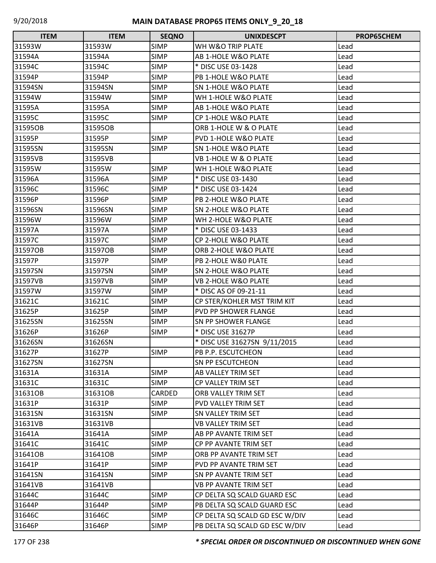| <b>ITEM</b> | <b>ITEM</b> | <b>SEQNO</b> | <b>UNIXDESCPT</b>              | PROP65CHEM |
|-------------|-------------|--------------|--------------------------------|------------|
| 31593W      | 31593W      | <b>SIMP</b>  | WH W&O TRIP PLATE              | Lead       |
| 31594A      | 31594A      | <b>SIMP</b>  | AB 1-HOLE W&O PLATE            | Lead       |
| 31594C      | 31594C      | <b>SIMP</b>  | * DISC USE 03-1428             | Lead       |
| 31594P      | 31594P      | <b>SIMP</b>  | PB 1-HOLE W&O PLATE            | Lead       |
| 31594SN     | 31594SN     | <b>SIMP</b>  | <b>SN 1-HOLE W&amp;O PLATE</b> | Lead       |
| 31594W      | 31594W      | <b>SIMP</b>  | WH 1-HOLE W&O PLATE            | Lead       |
| 31595A      | 31595A      | <b>SIMP</b>  | AB 1-HOLE W&O PLATE            | Lead       |
| 31595C      | 31595C      | <b>SIMP</b>  | CP 1-HOLE W&O PLATE            | Lead       |
| 31595OB     | 31595OB     |              | ORB 1-HOLE W & O PLATE         | Lead       |
| 31595P      | 31595P      | <b>SIMP</b>  | PVD 1-HOLE W&O PLATE           | Lead       |
| 31595SN     | 31595SN     | <b>SIMP</b>  | <b>SN 1-HOLE W&amp;O PLATE</b> | Lead       |
| 31595VB     | 31595VB     |              | VB 1-HOLE W & O PLATE          | Lead       |
| 31595W      | 31595W      | <b>SIMP</b>  | WH 1-HOLE W&O PLATE            | Lead       |
| 31596A      | 31596A      | <b>SIMP</b>  | * DISC USE 03-1430             | Lead       |
| 31596C      | 31596C      | <b>SIMP</b>  | * DISC USE 03-1424             | Lead       |
| 31596P      | 31596P      | <b>SIMP</b>  | PB 2-HOLE W&O PLATE            | Lead       |
| 31596SN     | 31596SN     | <b>SIMP</b>  | <b>SN 2-HOLE W&amp;O PLATE</b> | Lead       |
| 31596W      | 31596W      | <b>SIMP</b>  | WH 2-HOLE W&O PLATE            | Lead       |
| 31597A      | 31597A      | <b>SIMP</b>  | * DISC USE 03-1433             | Lead       |
| 31597C      | 31597C      | <b>SIMP</b>  | <b>CP 2-HOLE W&amp;O PLATE</b> | Lead       |
| 31597OB     | 31597OB     | <b>SIMP</b>  | ORB 2-HOLE W&O PLATE           | Lead       |
| 31597P      | 31597P      | <b>SIMP</b>  | PB 2-HOLE W&O PLATE            | Lead       |
| 31597SN     | 31597SN     | <b>SIMP</b>  | <b>SN 2-HOLE W&amp;O PLATE</b> | Lead       |
| 31597VB     | 31597VB     | <b>SIMP</b>  | <b>VB 2-HOLE W&amp;O PLATE</b> | Lead       |
| 31597W      | 31597W      | <b>SIMP</b>  | * DISC AS OF 09-21-11          | Lead       |
| 31621C      | 31621C      | <b>SIMP</b>  | CP STER/KOHLER MST TRIM KIT    | Lead       |
| 31625P      | 31625P      | <b>SIMP</b>  | <b>PVD PP SHOWER FLANGE</b>    | Lead       |
| 31625SN     | 31625SN     | <b>SIMP</b>  | <b>SN PP SHOWER FLANGE</b>     | Lead       |
| 31626P      | 31626P      | <b>SIMP</b>  | * DISC USE 31627P              | Lead       |
| 31626SN     | 31626SN     |              | * DISC USE 31627SN 9/11/2015   | Lead       |
| 31627P      | 31627P      | <b>SIMP</b>  | PB P.P. ESCUTCHEON             | Lead       |
| 31627SN     | 31627SN     |              | <b>SN PP ESCUTCHEON</b>        | Lead       |
| 31631A      | 31631A      | <b>SIMP</b>  | AB VALLEY TRIM SET             | Lead       |
| 31631C      | 31631C      | <b>SIMP</b>  | CP VALLEY TRIM SET             | Lead       |
| 31631OB     | 31631OB     | CARDED       | ORB VALLEY TRIM SET            | Lead       |
| 31631P      | 31631P      | <b>SIMP</b>  | PVD VALLEY TRIM SET            | Lead       |
| 31631SN     | 31631SN     | <b>SIMP</b>  | <b>SN VALLEY TRIM SET</b>      | Lead       |
| 31631VB     | 31631VB     |              | <b>VB VALLEY TRIM SET</b>      | Lead       |
| 31641A      | 31641A      | <b>SIMP</b>  | AB PP AVANTE TRIM SET          | Lead       |
| 31641C      | 31641C      | <b>SIMP</b>  | CP PP AVANTE TRIM SET          | Lead       |
| 31641OB     | 31641OB     | <b>SIMP</b>  | ORB PP AVANTE TRIM SET         | Lead       |
| 31641P      | 31641P      | <b>SIMP</b>  | PVD PP AVANTE TRIM SET         | Lead       |
| 31641SN     | 31641SN     | <b>SIMP</b>  | SN PP AVANTE TRIM SET          | Lead       |
| 31641VB     | 31641VB     |              | VB PP AVANTE TRIM SET          | Lead       |
| 31644C      | 31644C      | <b>SIMP</b>  | CP DELTA SQ SCALD GUARD ESC    | Lead       |
| 31644P      | 31644P      | <b>SIMP</b>  | PB DELTA SQ SCALD GUARD ESC    | Lead       |
| 31646C      | 31646C      | <b>SIMP</b>  | CP DELTA SQ SCALD GD ESC W/DIV | Lead       |
| 31646P      | 31646P      | <b>SIMP</b>  | PB DELTA SQ SCALD GD ESC W/DIV | Lead       |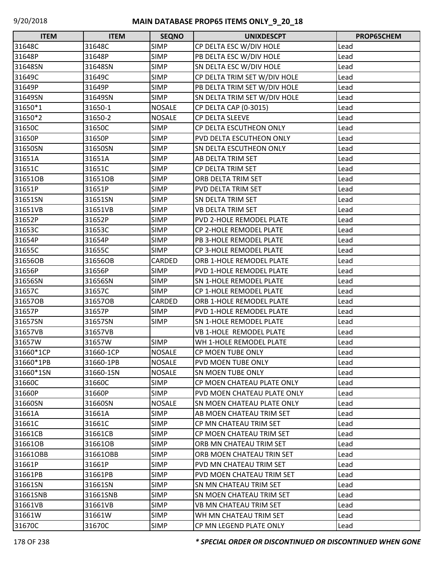| <b>ITEM</b> | <b>ITEM</b> | <b>SEQNO</b>  | <b>UNIXDESCPT</b>              | <b>PROP65CHEM</b> |
|-------------|-------------|---------------|--------------------------------|-------------------|
| 31648C      | 31648C      | <b>SIMP</b>   | CP DELTA ESC W/DIV HOLE        | Lead              |
| 31648P      | 31648P      | <b>SIMP</b>   | PB DELTA ESC W/DIV HOLE        | Lead              |
| 31648SN     | 31648SN     | <b>SIMP</b>   | SN DELTA ESC W/DIV HOLE        | Lead              |
| 31649C      | 31649C      | <b>SIMP</b>   | CP DELTA TRIM SET W/DIV HOLE   | Lead              |
| 31649P      | 31649P      | <b>SIMP</b>   | PB DELTA TRIM SET W/DIV HOLE   | Lead              |
| 31649SN     | 31649SN     | <b>SIMP</b>   | SN DELTA TRIM SET W/DIV HOLE   | Lead              |
| 31650*1     | 31650-1     | <b>NOSALE</b> | CP DELTA CAP (0-3015)          | Lead              |
| 31650*2     | 31650-2     | <b>NOSALE</b> | CP DELTA SLEEVE                | Lead              |
| 31650C      | 31650C      | <b>SIMP</b>   | CP DELTA ESCUTHEON ONLY        | Lead              |
| 31650P      | 31650P      | <b>SIMP</b>   | PVD DELTA ESCUTHEON ONLY       | Lead              |
| 31650SN     | 31650SN     | <b>SIMP</b>   | SN DELTA ESCUTHEON ONLY        | Lead              |
| 31651A      | 31651A      | <b>SIMP</b>   | AB DELTA TRIM SET              | Lead              |
| 31651C      | 31651C      | <b>SIMP</b>   | CP DELTA TRIM SET              | Lead              |
| 31651OB     | 31651OB     | <b>SIMP</b>   | ORB DELTA TRIM SET             | Lead              |
| 31651P      | 31651P      | <b>SIMP</b>   | PVD DELTA TRIM SET             | Lead              |
| 31651SN     | 31651SN     | <b>SIMP</b>   | SN DELTA TRIM SET              | Lead              |
| 31651VB     | 31651VB     | <b>SIMP</b>   | <b>VB DELTA TRIM SET</b>       | Lead              |
| 31652P      | 31652P      | <b>SIMP</b>   | PVD 2-HOLE REMODEL PLATE       | Lead              |
| 31653C      | 31653C      | <b>SIMP</b>   | CP 2-HOLE REMODEL PLATE        | Lead              |
| 31654P      | 31654P      | <b>SIMP</b>   | PB 3-HOLE REMODEL PLATE        | Lead              |
| 31655C      | 31655C      | <b>SIMP</b>   | CP 3-HOLE REMODEL PLATE        | Lead              |
| 31656OB     | 31656OB     | CARDED        | ORB 1-HOLE REMODEL PLATE       | Lead              |
| 31656P      | 31656P      | <b>SIMP</b>   | PVD 1-HOLE REMODEL PLATE       | Lead              |
| 31656SN     | 31656SN     | <b>SIMP</b>   | <b>SN 1-HOLE REMODEL PLATE</b> | Lead              |
| 31657C      | 31657C      | <b>SIMP</b>   | CP 1-HOLE REMODEL PLATE        | Lead              |
| 31657OB     | 31657OB     | CARDED        | ORB 1-HOLE REMODEL PLATE       | Lead              |
| 31657P      | 31657P      | <b>SIMP</b>   | PVD 1-HOLE REMODEL PLATE       | Lead              |
| 31657SN     | 31657SN     | <b>SIMP</b>   | <b>SN 1-HOLE REMODEL PLATE</b> | Lead              |
| 31657VB     | 31657VB     |               | <b>VB 1-HOLE REMODEL PLATE</b> | Lead              |
| 31657W      | 31657W      | <b>SIMP</b>   | WH 1-HOLE REMODEL PLATE        | Lead              |
| 31660*1CP   | 31660-1CP   | <b>NOSALE</b> | <b>CP MOEN TUBE ONLY</b>       | Lead              |
| 31660*1PB   | 31660-1PB   | <b>NOSALE</b> | <b>PVD MOEN TUBE ONLY</b>      | Lead              |
| 31660*1SN   | 31660-1SN   | <b>NOSALE</b> | <b>SN MOEN TUBE ONLY</b>       | Lead              |
| 31660C      | 31660C      | <b>SIMP</b>   | CP MOEN CHATEAU PLATE ONLY     | Lead              |
| 31660P      | 31660P      | <b>SIMP</b>   | PVD MOEN CHATEAU PLATE ONLY    | Lead              |
| 31660SN     | 31660SN     | <b>NOSALE</b> | SN MOEN CHATEAU PLATE ONLY     | Lead              |
| 31661A      | 31661A      | <b>SIMP</b>   | AB MOEN CHATEAU TRIM SET       | Lead              |
| 31661C      | 31661C      | <b>SIMP</b>   | CP MN CHATEAU TRIM SET         | Lead              |
| 31661CB     | 31661CB     | <b>SIMP</b>   | CP MOEN CHATEAU TRIM SET       | Lead              |
| 31661OB     | 31661OB     | <b>SIMP</b>   | ORB MN CHATEAU TRIM SET        | Lead              |
| 31661OBB    | 31661OBB    | <b>SIMP</b>   | ORB MOEN CHATEAU TRIN SET      | Lead              |
| 31661P      | 31661P      | <b>SIMP</b>   | <b>PVD MN CHATEAU TRIM SET</b> | Lead              |
| 31661PB     | 31661PB     | <b>SIMP</b>   | PVD MOEN CHATEAU TRIM SET      | Lead              |
| 31661SN     | 31661SN     | <b>SIMP</b>   | SN MN CHATEAU TRIM SET         | Lead              |
| 31661SNB    | 31661SNB    | <b>SIMP</b>   | SN MOEN CHATEAU TRIM SET       | Lead              |
| 31661VB     | 31661VB     | <b>SIMP</b>   | VB MN CHATEAU TRIM SET         | Lead              |
| 31661W      | 31661W      | <b>SIMP</b>   | WH MN CHATEAU TRIM SET         | Lead              |
| 31670C      | 31670C      | <b>SIMP</b>   | CP MN LEGEND PLATE ONLY        | Lead              |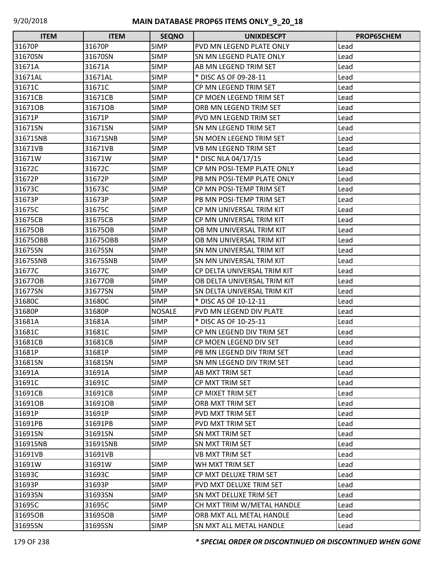| <b>ITEM</b> | <b>ITEM</b> | <b>SEQNO</b>  | <b>UNIXDESCPT</b>               | <b>PROP65CHEM</b> |
|-------------|-------------|---------------|---------------------------------|-------------------|
| 31670P      | 31670P      | <b>SIMP</b>   | PVD MN LEGEND PLATE ONLY        | Lead              |
| 31670SN     | 31670SN     | <b>SIMP</b>   | SN MN LEGEND PLATE ONLY         | Lead              |
| 31671A      | 31671A      | <b>SIMP</b>   | AB MN LEGEND TRIM SET           | Lead              |
| 31671AL     | 31671AL     | <b>SIMP</b>   | * DISC AS OF 09-28-11           | Lead              |
| 31671C      | 31671C      | <b>SIMP</b>   | CP MN LEGEND TRIM SET           | Lead              |
| 31671CB     | 31671CB     | <b>SIMP</b>   | CP MOEN LEGEND TRIM SET         | Lead              |
| 31671OB     | 31671OB     | <b>SIMP</b>   | ORB MN LEGEND TRIM SET          | Lead              |
| 31671P      | 31671P      | <b>SIMP</b>   | PVD MN LEGEND TRIM SET          | Lead              |
| 31671SN     | 31671SN     | <b>SIMP</b>   | SN MN LEGEND TRIM SET           | Lead              |
| 31671SNB    | 31671SNB    | <b>SIMP</b>   | SN MOEN LEGEND TRIM SET         | Lead              |
| 31671VB     | 31671VB     | <b>SIMP</b>   | VB MN LEGEND TRIM SET           | Lead              |
| 31671W      | 31671W      | <b>SIMP</b>   | * DISC NLA 04/17/15             | Lead              |
| 31672C      | 31672C      | <b>SIMP</b>   | CP MN POSI-TEMP PLATE ONLY      | Lead              |
| 31672P      | 31672P      | <b>SIMP</b>   | PB MN POSI-TEMP PLATE ONLY      | Lead              |
| 31673C      | 31673C      | <b>SIMP</b>   | CP MN POSI-TEMP TRIM SET        | Lead              |
| 31673P      | 31673P      | <b>SIMP</b>   | PB MN POSI-TEMP TRIM SET        | Lead              |
| 31675C      | 31675C      | <b>SIMP</b>   | CP MN UNIVERSAL TRIM KIT        | Lead              |
| 31675CB     | 31675CB     | <b>SIMP</b>   | CP MN UNIVERSAL TRIM KIT        | Lead              |
| 31675OB     | 31675OB     | <b>SIMP</b>   | OB MN UNIVERSAL TRIM KIT        | Lead              |
| 31675OBB    | 31675OBB    | <b>SIMP</b>   | OB MN UNIVERSAL TRIM KIT        | Lead              |
| 31675SN     | 31675SN     | <b>SIMP</b>   | SN MN UNIVERSAL TRIM KIT        | Lead              |
| 31675SNB    | 31675SNB    | <b>SIMP</b>   | <b>SN MN UNIVERSAL TRIM KIT</b> | Lead              |
| 31677C      | 31677C      | <b>SIMP</b>   | CP DELTA UNIVERSAL TRIM KIT     | Lead              |
| 316770B     | 316770B     | <b>SIMP</b>   | OB DELTA UNIVERSAL TRIM KIT     | Lead              |
| 31677SN     | 31677SN     | <b>SIMP</b>   | SN DELTA UNIVERSAL TRIM KIT     | Lead              |
| 31680C      | 31680C      | <b>SIMP</b>   | * DISC AS OF 10-12-11           | Lead              |
| 31680P      | 31680P      | <b>NOSALE</b> | PVD MN LEGEND DIV PLATE         | Lead              |
| 31681A      | 31681A      | <b>SIMP</b>   | * DISC AS OF 10-25-11           | Lead              |
| 31681C      | 31681C      | <b>SIMP</b>   | CP MN LEGEND DIV TRIM SET       | Lead              |
| 31681CB     | 31681CB     | <b>SIMP</b>   | CP MOEN LEGEND DIV SET          | Lead              |
| 31681P      | 31681P      | <b>SIMP</b>   | PB MN LEGEND DIV TRIM SET       | Lead              |
| 31681SN     | 31681SN     | <b>SIMP</b>   | SN MN LEGEND DIV TRIM SET       | Lead              |
| 31691A      | 31691A      | <b>SIMP</b>   | AB MXT TRIM SET                 | Lead              |
| 31691C      | 31691C      | <b>SIMP</b>   | CP MXT TRIM SET                 | Lead              |
| 31691CB     | 31691CB     | <b>SIMP</b>   | CP MIXET TRIM SET               | Lead              |
| 31691OB     | 31691OB     | <b>SIMP</b>   | ORB MXT TRIM SET                | Lead              |
| 31691P      | 31691P      | <b>SIMP</b>   | PVD MXT TRIM SET                | Lead              |
| 31691PB     | 31691PB     | <b>SIMP</b>   | PVD MXT TRIM SET                | Lead              |
| 31691SN     | 31691SN     | <b>SIMP</b>   | SN MXT TRIM SET                 | Lead              |
| 31691SNB    | 31691SNB    | <b>SIMP</b>   | SN MXT TRIM SET                 | Lead              |
| 31691VB     | 31691VB     |               | VB MXT TRIM SET                 | Lead              |
| 31691W      | 31691W      | <b>SIMP</b>   | WH MXT TRIM SET                 | Lead              |
| 31693C      | 31693C      | <b>SIMP</b>   | CP MXT DELUXE TRIM SET          | Lead              |
| 31693P      | 31693P      | <b>SIMP</b>   | PVD MXT DELUXE TRIM SET         | Lead              |
| 31693SN     | 31693SN     | <b>SIMP</b>   | SN MXT DELUXE TRIM SET          | Lead              |
| 31695C      | 31695C      | <b>SIMP</b>   | CH MXT TRIM W/METAL HANDLE      | Lead              |
| 31695OB     | 31695OB     | <b>SIMP</b>   | ORB MXT ALL METAL HANDLE        | Lead              |
| 31695SN     | 31695SN     | <b>SIMP</b>   | SN MXT ALL METAL HANDLE         | Lead              |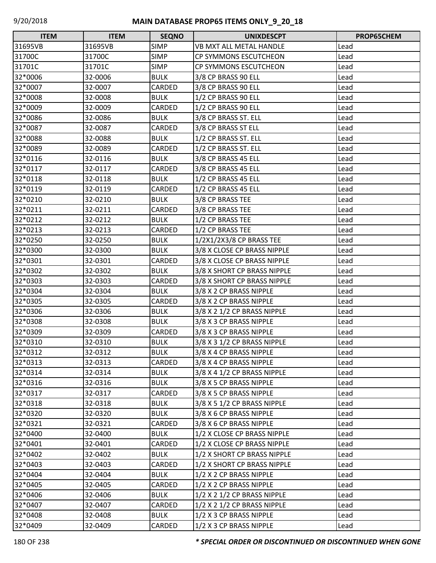| <b>ITEM</b> | <b>ITEM</b> | <b>SEQNO</b> | <b>UNIXDESCPT</b>               | <b>PROP65CHEM</b> |
|-------------|-------------|--------------|---------------------------------|-------------------|
| 31695VB     | 31695VB     | <b>SIMP</b>  | <b>VB MXT ALL METAL HANDLE</b>  | Lead              |
| 31700C      | 31700C      | <b>SIMP</b>  | CP SYMMONS ESCUTCHEON           | Lead              |
| 31701C      | 31701C      | <b>SIMP</b>  | CP SYMMONS ESCUTCHEON           | Lead              |
| 32*0006     | 32-0006     | <b>BULK</b>  | 3/8 CP BRASS 90 ELL             | Lead              |
| 32*0007     | 32-0007     | CARDED       | 3/8 CP BRASS 90 ELL             | Lead              |
| 32*0008     | 32-0008     | <b>BULK</b>  | 1/2 CP BRASS 90 ELL             | Lead              |
| 32*0009     | 32-0009     | CARDED       | 1/2 CP BRASS 90 ELL             | Lead              |
| 32*0086     | 32-0086     | <b>BULK</b>  | 3/8 CP BRASS ST. ELL            | Lead              |
| 32*0087     | 32-0087     | CARDED       | 3/8 CP BRASS ST ELL             | Lead              |
| 32*0088     | 32-0088     | <b>BULK</b>  | 1/2 CP BRASS ST. ELL            | Lead              |
| 32*0089     | 32-0089     | CARDED       | 1/2 CP BRASS ST. ELL            | Lead              |
| 32*0116     | 32-0116     | <b>BULK</b>  | 3/8 CP BRASS 45 ELL             | Lead              |
| 32*0117     | 32-0117     | CARDED       | 3/8 CP BRASS 45 ELL             | Lead              |
| 32*0118     | 32-0118     | <b>BULK</b>  | 1/2 CP BRASS 45 ELL             | Lead              |
| 32*0119     | 32-0119     | CARDED       | 1/2 CP BRASS 45 ELL             | Lead              |
| 32*0210     | 32-0210     | <b>BULK</b>  | 3/8 CP BRASS TEE                | Lead              |
| 32*0211     | 32-0211     | CARDED       | 3/8 CP BRASS TEE                | Lead              |
| 32*0212     | 32-0212     | <b>BULK</b>  | 1/2 CP BRASS TEE                | Lead              |
| 32*0213     | 32-0213     | CARDED       | 1/2 CP BRASS TEE                | Lead              |
| 32*0250     | 32-0250     | <b>BULK</b>  | 1/2X1/2X3/8 CP BRASS TEE        | Lead              |
| 32*0300     | 32-0300     | <b>BULK</b>  | 3/8 X CLOSE CP BRASS NIPPLE     | Lead              |
| 32*0301     | 32-0301     | CARDED       | 3/8 X CLOSE CP BRASS NIPPLE     | Lead              |
| 32*0302     | 32-0302     | <b>BULK</b>  | 3/8 X SHORT CP BRASS NIPPLE     | Lead              |
| 32*0303     | 32-0303     | CARDED       | 3/8 X SHORT CP BRASS NIPPLE     | Lead              |
| 32*0304     | 32-0304     | <b>BULK</b>  | 3/8 X 2 CP BRASS NIPPLE         | Lead              |
| 32*0305     | 32-0305     | CARDED       | 3/8 X 2 CP BRASS NIPPLE         | Lead              |
| 32*0306     | 32-0306     | <b>BULK</b>  | 3/8 X 2 1/2 CP BRASS NIPPLE     | Lead              |
| 32*0308     | 32-0308     | <b>BULK</b>  | 3/8 X 3 CP BRASS NIPPLE         | Lead              |
| 32*0309     | 32-0309     | CARDED       | 3/8 X 3 CP BRASS NIPPLE         | Lead              |
| 32*0310     | 32-0310     | <b>BULK</b>  | 3/8 X 3 1/2 CP BRASS NIPPLE     | Lead              |
| 32*0312     | 32-0312     | <b>BULK</b>  | 3/8 X 4 CP BRASS NIPPLE         | Lead              |
| 32*0313     | 32-0313     | CARDED       | 3/8 X 4 CP BRASS NIPPLE         | Lead              |
| 32*0314     | 32-0314     | <b>BULK</b>  | 3/8 X 4 1/2 CP BRASS NIPPLE     | Lead              |
| 32*0316     | 32-0316     | <b>BULK</b>  | 3/8 X 5 CP BRASS NIPPLE         | Lead              |
| 32*0317     | 32-0317     | CARDED       | 3/8 X 5 CP BRASS NIPPLE         | Lead              |
| 32*0318     | 32-0318     | <b>BULK</b>  | 3/8 X 5 1/2 CP BRASS NIPPLE     | Lead              |
| 32*0320     | 32-0320     | <b>BULK</b>  | 3/8 X 6 CP BRASS NIPPLE         | Lead              |
| 32*0321     | 32-0321     | CARDED       | 3/8 X 6 CP BRASS NIPPLE         | Lead              |
| 32*0400     | 32-0400     | <b>BULK</b>  | 1/2 X CLOSE CP BRASS NIPPLE     | Lead              |
| 32*0401     | 32-0401     | CARDED       | 1/2 X CLOSE CP BRASS NIPPLE     | Lead              |
| 32*0402     | 32-0402     | <b>BULK</b>  | 1/2 X SHORT CP BRASS NIPPLE     | Lead              |
| 32*0403     | 32-0403     | CARDED       | 1/2 X SHORT CP BRASS NIPPLE     | Lead              |
| 32*0404     | 32-0404     | <b>BULK</b>  | 1/2 X 2 CP BRASS NIPPLE         | Lead              |
| 32*0405     | 32-0405     | CARDED       | 1/2 X 2 CP BRASS NIPPLE         | Lead              |
| 32*0406     | 32-0406     | <b>BULK</b>  | 1/2 X 2 1/2 CP BRASS NIPPLE     | Lead              |
| 32*0407     | 32-0407     | CARDED       | $1/2$ X 2 $1/2$ CP BRASS NIPPLE | Lead              |
| 32*0408     | 32-0408     | <b>BULK</b>  | 1/2 X 3 CP BRASS NIPPLE         | Lead              |
| 32*0409     | 32-0409     | CARDED       | 1/2 X 3 CP BRASS NIPPLE         | Lead              |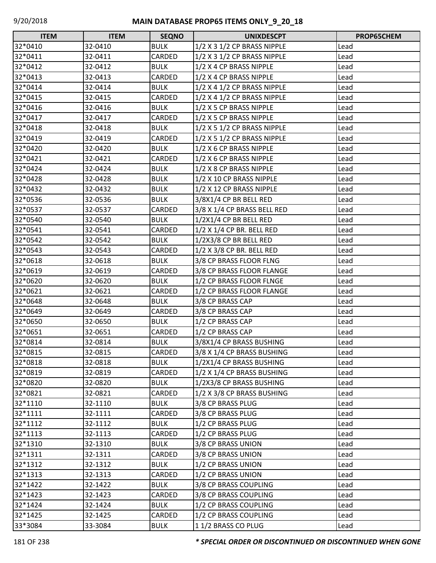| <b>ITEM</b> | <b>ITEM</b> | <b>SEQNO</b>  | <b>UNIXDESCPT</b>           | <b>PROP65CHEM</b> |
|-------------|-------------|---------------|-----------------------------|-------------------|
| 32*0410     | 32-0410     | <b>BULK</b>   | 1/2 X 3 1/2 CP BRASS NIPPLE | Lead              |
| 32*0411     | 32-0411     | CARDED        | 1/2 X 3 1/2 CP BRASS NIPPLE | Lead              |
| 32*0412     | 32-0412     | <b>BULK</b>   | 1/2 X 4 CP BRASS NIPPLE     | Lead              |
| 32*0413     | 32-0413     | CARDED        | 1/2 X 4 CP BRASS NIPPLE     | Lead              |
| 32*0414     | 32-0414     | <b>BULK</b>   | 1/2 X 4 1/2 CP BRASS NIPPLE | Lead              |
| 32*0415     | 32-0415     | CARDED        | 1/2 X 4 1/2 CP BRASS NIPPLE | Lead              |
| 32*0416     | 32-0416     | <b>BULK</b>   | 1/2 X 5 CP BRASS NIPPLE     | Lead              |
| 32*0417     | 32-0417     | CARDED        | 1/2 X 5 CP BRASS NIPPLE     | Lead              |
| 32*0418     | 32-0418     | <b>BULK</b>   | 1/2 X 5 1/2 CP BRASS NIPPLE | Lead              |
| 32*0419     | 32-0419     | CARDED        | 1/2 X 5 1/2 CP BRASS NIPPLE | Lead              |
| 32*0420     | 32-0420     | <b>BULK</b>   | 1/2 X 6 CP BRASS NIPPLE     | Lead              |
| 32*0421     | 32-0421     | <b>CARDED</b> | 1/2 X 6 CP BRASS NIPPLE     | Lead              |
| 32*0424     | 32-0424     | <b>BULK</b>   | 1/2 X 8 CP BRASS NIPPLE     | Lead              |
| 32*0428     | 32-0428     | <b>BULK</b>   | 1/2 X 10 CP BRASS NIPPLE    | Lead              |
| 32*0432     | 32-0432     | <b>BULK</b>   | 1/2 X 12 CP BRASS NIPPLE    | Lead              |
| 32*0536     | 32-0536     | <b>BULK</b>   | 3/8X1/4 CP BR BELL RED      | Lead              |
| 32*0537     | 32-0537     | <b>CARDED</b> | 3/8 X 1/4 CP BRASS BELL RED | Lead              |
| 32*0540     | 32-0540     | <b>BULK</b>   | 1/2X1/4 CP BR BELL RED      | Lead              |
| 32*0541     | 32-0541     | CARDED        | 1/2 X 1/4 CP BR. BELL RED   | Lead              |
| 32*0542     | 32-0542     | <b>BULK</b>   | 1/2X3/8 CP BR BELL RED      | Lead              |
| 32*0543     | 32-0543     | CARDED        | 1/2 X 3/8 CP BR. BELL RED   | Lead              |
| 32*0618     | 32-0618     | <b>BULK</b>   | 3/8 CP BRASS FLOOR FLNG     | Lead              |
| 32*0619     | 32-0619     | CARDED        | 3/8 CP BRASS FLOOR FLANGE   | Lead              |
| 32*0620     | 32-0620     | <b>BULK</b>   | 1/2 CP BRASS FLOOR FLNGE    | Lead              |
| 32*0621     | 32-0621     | CARDED        | 1/2 CP BRASS FLOOR FLANGE   | Lead              |
| 32*0648     | 32-0648     | <b>BULK</b>   | 3/8 CP BRASS CAP            | Lead              |
| 32*0649     | 32-0649     | CARDED        | 3/8 CP BRASS CAP            | Lead              |
| 32*0650     | 32-0650     | <b>BULK</b>   | 1/2 CP BRASS CAP            | Lead              |
| 32*0651     | 32-0651     | CARDED        | 1/2 CP BRASS CAP            | Lead              |
| 32*0814     | 32-0814     | <b>BULK</b>   | 3/8X1/4 CP BRASS BUSHING    | Lead              |
| 32*0815     | 32-0815     | <b>CARDED</b> | 3/8 X 1/4 CP BRASS BUSHING  | Lead              |
| 32*0818     | 32-0818     | <b>BULK</b>   | 1/2X1/4 CP BRASS BUSHING    | Lead              |
| 32*0819     | 32-0819     | CARDED        | 1/2 X 1/4 CP BRASS BUSHING  | Lead              |
| 32*0820     | 32-0820     | <b>BULK</b>   | 1/2X3/8 CP BRASS BUSHING    | Lead              |
| 32*0821     | 32-0821     | CARDED        | 1/2 X 3/8 CP BRASS BUSHING  | Lead              |
| 32*1110     | 32-1110     | <b>BULK</b>   | 3/8 CP BRASS PLUG           | Lead              |
| 32*1111     | 32-1111     | CARDED        | 3/8 CP BRASS PLUG           | Lead              |
| 32*1112     | 32-1112     | <b>BULK</b>   | 1/2 CP BRASS PLUG           | Lead              |
| 32*1113     | 32-1113     | CARDED        | 1/2 CP BRASS PLUG           | Lead              |
| 32*1310     | 32-1310     | <b>BULK</b>   | 3/8 CP BRASS UNION          | Lead              |
| 32*1311     | 32-1311     | CARDED        | 3/8 CP BRASS UNION          | Lead              |
| 32*1312     | 32-1312     | <b>BULK</b>   | 1/2 CP BRASS UNION          | Lead              |
| 32*1313     | 32-1313     | CARDED        | 1/2 CP BRASS UNION          | Lead              |
| 32*1422     | 32-1422     | <b>BULK</b>   | 3/8 CP BRASS COUPLING       | Lead              |
| 32*1423     | 32-1423     | CARDED        | 3/8 CP BRASS COUPLING       | Lead              |
| 32*1424     | 32-1424     | <b>BULK</b>   | 1/2 CP BRASS COUPLING       | Lead              |
| 32*1425     | 32-1425     | CARDED        | 1/2 CP BRASS COUPLING       | Lead              |
| 33*3084     | 33-3084     | <b>BULK</b>   | 11/2 BRASS CO PLUG          | Lead              |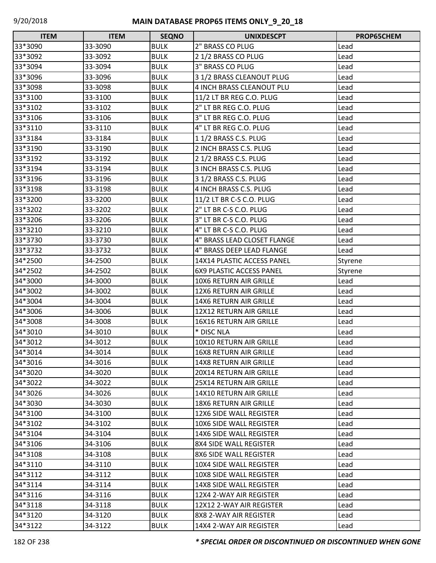| <b>ITEM</b> | <b>ITEM</b> | <b>SEQNO</b> | <b>UNIXDESCPT</b>               | PROP65CHEM |
|-------------|-------------|--------------|---------------------------------|------------|
| 33*3090     | 33-3090     | <b>BULK</b>  | 2" BRASS CO PLUG                | Lead       |
| 33*3092     | 33-3092     | <b>BULK</b>  | 21/2 BRASS CO PLUG              | Lead       |
| 33*3094     | 33-3094     | <b>BULK</b>  | l3" BRASS CO PLUG               | Lead       |
| 33*3096     | 33-3096     | <b>BULK</b>  | 3 1/2 BRASS CLEANOUT PLUG       | Lead       |
| 33*3098     | 33-3098     | <b>BULK</b>  | 4 INCH BRASS CLEANOUT PLU       | Lead       |
| 33*3100     | 33-3100     | <b>BULK</b>  | 11/2 LT BR REG C.O. PLUG        | Lead       |
| 33*3102     | 33-3102     | <b>BULK</b>  | 2" LT BR REG C.O. PLUG          | Lead       |
| 33*3106     | 33-3106     | <b>BULK</b>  | 3" LT BR REG C.O. PLUG          | Lead       |
| 33*3110     | 33-3110     | <b>BULK</b>  | 4" LT BR REG C.O. PLUG          | Lead       |
| 33*3184     | 33-3184     | <b>BULK</b>  | 11/2 BRASS C.S. PLUG            | Lead       |
| 33*3190     | 33-3190     | <b>BULK</b>  | 2 INCH BRASS C.S. PLUG          | Lead       |
| 33*3192     | 33-3192     | <b>BULK</b>  | 2 1/2 BRASS C.S. PLUG           | Lead       |
| 33*3194     | 33-3194     | <b>BULK</b>  | 3 INCH BRASS C.S. PLUG          | Lead       |
| 33*3196     | 33-3196     | <b>BULK</b>  | 3 1/2 BRASS C.S. PLUG           | Lead       |
| 33*3198     | 33-3198     | <b>BULK</b>  | 4 INCH BRASS C.S. PLUG          | Lead       |
| 33*3200     | 33-3200     | <b>BULK</b>  | 11/2 LT BR C-S C.O. PLUG        | Lead       |
| 33*3202     | 33-3202     | <b>BULK</b>  | 2" LT BR C-S C.O. PLUG          | Lead       |
| 33*3206     | 33-3206     | <b>BULK</b>  | 3" LT BR C-S C.O. PLUG          | Lead       |
| 33*3210     | 33-3210     | <b>BULK</b>  | 4" LT BR C-S C.O. PLUG          | Lead       |
| 33*3730     | 33-3730     | <b>BULK</b>  | 4" BRASS LEAD CLOSET FLANGE     | Lead       |
| 33*3732     | 33-3732     | <b>BULK</b>  | 4" BRASS DEEP LEAD FLANGE       | Lead       |
| 34*2500     | 34-2500     | <b>BULK</b>  | 14X14 PLASTIC ACCESS PANEL      | Styrene    |
| 34*2502     | 34-2502     | <b>BULK</b>  | <b>6X9 PLASTIC ACCESS PANEL</b> | Styrene    |
| 34*3000     | 34-3000     | <b>BULK</b>  | 10X6 RETURN AIR GRILLE          | Lead       |
| 34*3002     | 34-3002     | <b>BULK</b>  | 12X6 RETURN AIR GRILLE          | Lead       |
| 34*3004     | 34-3004     | <b>BULK</b>  | <b>14X6 RETURN AIR GRILLE</b>   | Lead       |
| 34*3006     | 34-3006     | <b>BULK</b>  | 12X12 RETURN AIR GRILLE         | Lead       |
| 34*3008     | 34-3008     | <b>BULK</b>  | 16X16 RETURN AIR GRILLE         | Lead       |
| 34*3010     | 34-3010     | <b>BULK</b>  | * DISC NLA                      | Lead       |
| 34*3012     | 34-3012     | <b>BULK</b>  | 10X10 RETURN AIR GRILLE         | Lead       |
| 34*3014     | 34-3014     | <b>BULK</b>  | 16X8 RETURN AIR GRILLE          | Lead       |
| 34*3016     | 34-3016     | <b>BULK</b>  | 14X8 RETURN AIR GRILLE          | Lead       |
| 34*3020     | 34-3020     | <b>BULK</b>  | <b>20X14 RETURN AIR GRILLE</b>  | Lead       |
| 34*3022     | 34-3022     | <b>BULK</b>  | 25X14 RETURN AIR GRILLE         | Lead       |
| 34*3026     | 34-3026     | <b>BULK</b>  | 14X10 RETURN AIR GRILLE         | Lead       |
| 34*3030     | 34-3030     | <b>BULK</b>  | <b>18X6 RETURN AIR GRILLE</b>   | Lead       |
| 34*3100     | 34-3100     | <b>BULK</b>  | 12X6 SIDE WALL REGISTER         | Lead       |
| 34*3102     | 34-3102     | <b>BULK</b>  | 10X6 SIDE WALL REGISTER         | Lead       |
| 34*3104     | 34-3104     | <b>BULK</b>  | 14X6 SIDE WALL REGISTER         | Lead       |
| 34*3106     | 34-3106     | <b>BULK</b>  | 8X4 SIDE WALL REGISTER          | Lead       |
| 34*3108     | 34-3108     | <b>BULK</b>  | 8X6 SIDE WALL REGISTER          | Lead       |
| 34*3110     | 34-3110     | <b>BULK</b>  | 10X4 SIDE WALL REGISTER         | Lead       |
| 34*3112     | 34-3112     | <b>BULK</b>  | 10X8 SIDE WALL REGISTER         | Lead       |
| 34*3114     | 34-3114     | <b>BULK</b>  | 14X8 SIDE WALL REGISTER         | Lead       |
| 34*3116     | 34-3116     | <b>BULK</b>  | 12X4 2-WAY AIR REGISTER         | Lead       |
| 34*3118     | 34-3118     | <b>BULK</b>  | 12X12 2-WAY AIR REGISTER        | Lead       |
| 34*3120     | 34-3120     | <b>BULK</b>  | 8X8 2-WAY AIR REGISTER          | Lead       |
| 34*3122     | 34-3122     | <b>BULK</b>  | 14X4 2-WAY AIR REGISTER         | Lead       |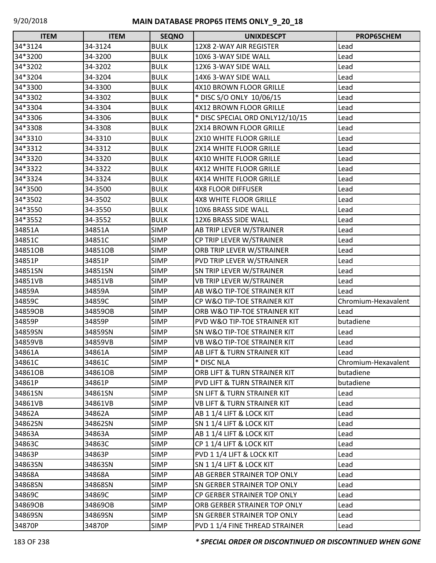| <b>ITEM</b> | <b>ITEM</b> | <b>SEQNO</b> | <b>UNIXDESCPT</b>                      | PROP65CHEM          |
|-------------|-------------|--------------|----------------------------------------|---------------------|
| 34*3124     | 34-3124     | <b>BULK</b>  | 12X8 2-WAY AIR REGISTER                | Lead                |
| 34*3200     | 34-3200     | <b>BULK</b>  | 10X6 3-WAY SIDE WALL                   | Lead                |
| 34*3202     | 34-3202     | <b>BULK</b>  | 12X6 3-WAY SIDE WALL                   | Lead                |
| 34*3204     | 34-3204     | <b>BULK</b>  | 14X6 3-WAY SIDE WALL                   | Lead                |
| 34*3300     | 34-3300     | <b>BULK</b>  | 4X10 BROWN FLOOR GRILLE                | Lead                |
| 34*3302     | 34-3302     | <b>BULK</b>  | * DISC S/O ONLY 10/06/15               | Lead                |
| 34*3304     | 34-3304     | <b>BULK</b>  | 4X12 BROWN FLOOR GRILLE                | Lead                |
| 34*3306     | 34-3306     | <b>BULK</b>  | * DISC SPECIAL ORD ONLY12/10/15        | Lead                |
| 34*3308     | 34-3308     | <b>BULK</b>  | 2X14 BROWN FLOOR GRILLE                | Lead                |
| 34*3310     | 34-3310     | <b>BULK</b>  | 2X10 WHITE FLOOR GRILLE                | Lead                |
| 34*3312     | 34-3312     | <b>BULK</b>  | 2X14 WHITE FLOOR GRILLE                | Lead                |
| 34*3320     | 34-3320     | <b>BULK</b>  | 4X10 WHITE FLOOR GRILLE                | Lead                |
| 34*3322     | 34-3322     | <b>BULK</b>  | 4X12 WHITE FLOOR GRILLE                | Lead                |
| 34*3324     | 34-3324     | <b>BULK</b>  | 4X14 WHITE FLOOR GRILLE                | Lead                |
| 34*3500     | 34-3500     | <b>BULK</b>  | <b>4X8 FLOOR DIFFUSER</b>              | Lead                |
| 34*3502     | 34-3502     | <b>BULK</b>  | <b>4X8 WHITE FLOOR GRILLE</b>          | Lead                |
| 34*3550     | 34-3550     | <b>BULK</b>  | 10X6 BRASS SIDE WALL                   | Lead                |
| 34*3552     | 34-3552     | <b>BULK</b>  | 12X6 BRASS SIDE WALL                   | Lead                |
| 34851A      | 34851A      | <b>SIMP</b>  | AB TRIP LEVER W/STRAINER               | Lead                |
| 34851C      | 34851C      | <b>SIMP</b>  | CP TRIP LEVER W/STRAINER               | Lead                |
| 34851OB     | 34851OB     | <b>SIMP</b>  | ORB TRIP LEVER W/STRAINER              | Lead                |
| 34851P      | 34851P      | <b>SIMP</b>  | PVD TRIP LEVER W/STRAINER              | Lead                |
| 34851SN     | 34851SN     | <b>SIMP</b>  | SN TRIP LEVER W/STRAINER               | Lead                |
| 34851VB     | 34851VB     | <b>SIMP</b>  | <b>VB TRIP LEVER W/STRAINER</b>        | Lead                |
| 34859A      | 34859A      | <b>SIMP</b>  | AB W&O TIP-TOE STRAINER KIT            | Lead                |
| 34859C      | 34859C      | <b>SIMP</b>  | CP W&O TIP-TOE STRAINER KIT            | Chromium-Hexavalent |
| 34859OB     | 34859OB     | <b>SIMP</b>  | ORB W&O TIP-TOE STRAINER KIT           | Lead                |
| 34859P      | 34859P      | <b>SIMP</b>  | PVD W&O TIP-TOE STRAINER KIT           | butadiene           |
| 34859SN     | 34859SN     | <b>SIMP</b>  | SN W&O TIP-TOE STRAINER KIT            | Lead                |
| 34859VB     | 34859VB     | <b>SIMP</b>  | <b>VB W&amp;O TIP-TOE STRAINER KIT</b> | Lead                |
| 34861A      | 34861A      | <b>SIMP</b>  | <b>AB LIFT &amp; TURN STRAINER KIT</b> | Lead                |
| 34861C      | 34861C      | <b>SIMP</b>  | * DISC NLA                             | Chromium-Hexavalent |
| 34861OB     | 34861OB     | <b>SIMP</b>  | ORB LIFT & TURN STRAINER KIT           | butadiene           |
| 34861P      | 34861P      | <b>SIMP</b>  | PVD LIFT & TURN STRAINER KIT           | butadiene           |
| 34861SN     | 34861SN     | <b>SIMP</b>  | <b>SN LIFT &amp; TURN STRAINER KIT</b> | Lead                |
| 34861VB     | 34861VB     | <b>SIMP</b>  | <b>VB LIFT &amp; TURN STRAINER KIT</b> | Lead                |
| 34862A      | 34862A      | <b>SIMP</b>  | AB 1 1/4 LIFT & LOCK KIT               | Lead                |
| 34862SN     | 34862SN     | <b>SIMP</b>  | SN 1 1/4 LIFT & LOCK KIT               | Lead                |
| 34863A      | 34863A      | <b>SIMP</b>  | AB 1 1/4 LIFT & LOCK KIT               | Lead                |
| 34863C      | 34863C      | <b>SIMP</b>  | CP 1 1/4 LIFT & LOCK KIT               | Lead                |
| 34863P      | 34863P      | <b>SIMP</b>  | PVD 1 1/4 LIFT & LOCK KIT              | Lead                |
| 34863SN     | 34863SN     | <b>SIMP</b>  | <b>SN 1 1/4 LIFT &amp; LOCK KIT</b>    | Lead                |
| 34868A      | 34868A      | <b>SIMP</b>  | AB GERBER STRAINER TOP ONLY            | Lead                |
| 34868SN     | 34868SN     | <b>SIMP</b>  | <b>SN GERBER STRAINER TOP ONLY</b>     | Lead                |
| 34869C      | 34869C      | <b>SIMP</b>  | CP GERBER STRAINER TOP ONLY            | Lead                |
| 34869OB     | 34869OB     | <b>SIMP</b>  | ORB GERBER STRAINER TOP ONLY           | Lead                |
| 34869SN     | 34869SN     | <b>SIMP</b>  | <b>SN GERBER STRAINER TOP ONLY</b>     | Lead                |
| 34870P      | 34870P      | <b>SIMP</b>  | PVD 1 1/4 FINE THREAD STRAINER         | Lead                |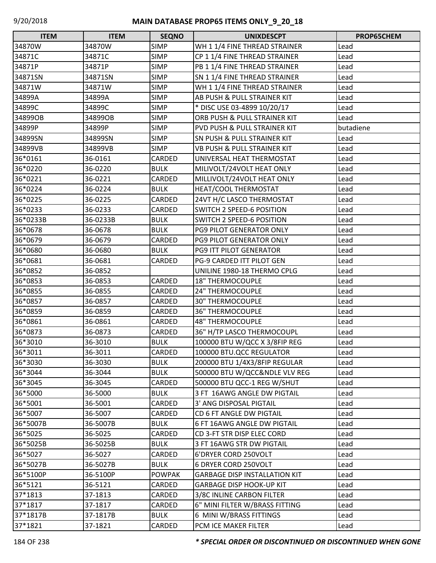| <b>ITEM</b> | <b>ITEM</b> | <b>SEQNO</b>  | <b>UNIXDESCPT</b>                      | PROP65CHEM |
|-------------|-------------|---------------|----------------------------------------|------------|
| 34870W      | 34870W      | <b>SIMP</b>   | WH 1 1/4 FINE THREAD STRAINER          | Lead       |
| 34871C      | 34871C      | <b>SIMP</b>   | CP 1 1/4 FINE THREAD STRAINER          | Lead       |
| 34871P      | 34871P      | <b>SIMP</b>   | PB 1 1/4 FINE THREAD STRAINER          | Lead       |
| 34871SN     | 34871SN     | <b>SIMP</b>   | SN 1 1/4 FINE THREAD STRAINER          | Lead       |
| 34871W      | 34871W      | <b>SIMP</b>   | WH 1 1/4 FINE THREAD STRAINER          | Lead       |
| 34899A      | 34899A      | <b>SIMP</b>   | AB PUSH & PULL STRAINER KIT            | Lead       |
| 34899C      | 34899C      | <b>SIMP</b>   | * DISC USE 03-4899 10/20/17            | Lead       |
| 34899OB     | 34899OB     | <b>SIMP</b>   | ORB PUSH & PULL STRAINER KIT           | Lead       |
| 34899P      | 34899P      | <b>SIMP</b>   | PVD PUSH & PULL STRAINER KIT           | butadiene  |
| 34899SN     | 34899SN     | <b>SIMP</b>   | <b>SN PUSH &amp; PULL STRAINER KIT</b> | Lead       |
| 34899VB     | 34899VB     | <b>SIMP</b>   | <b>VB PUSH &amp; PULL STRAINER KIT</b> | Lead       |
| 36*0161     | 36-0161     | CARDED        | UNIVERSAL HEAT THERMOSTAT              | Lead       |
| 36*0220     | 36-0220     | <b>BULK</b>   | MILIVOLT/24VOLT HEAT ONLY              | Lead       |
| 36*0221     | 36-0221     | CARDED        | MILLIVOLT/24VOLT HEAT ONLY             | Lead       |
| 36*0224     | 36-0224     | <b>BULK</b>   | HEAT/COOL THERMOSTAT                   | Lead       |
| 36*0225     | 36-0225     | CARDED        | 24VT H/C LASCO THERMOSTAT              | Lead       |
| 36*0233     | 36-0233     | CARDED        | <b>SWITCH 2 SPEED-6 POSITION</b>       | Lead       |
| 36*0233B    | 36-0233B    | <b>BULK</b>   | <b>SWITCH 2 SPEED-6 POSITION</b>       | Lead       |
| 36*0678     | 36-0678     | <b>BULK</b>   | PG9 PILOT GENERATOR ONLY               | Lead       |
| 36*0679     | 36-0679     | CARDED        | PG9 PILOT GENERATOR ONLY               | Lead       |
| 36*0680     | 36-0680     | <b>BULK</b>   | PG9 ITT PILOT GENERATOR                | Lead       |
| 36*0681     | 36-0681     | CARDED        | PG-9 CARDED ITT PILOT GEN              | Lead       |
| 36*0852     | 36-0852     |               | UNILINE 1980-18 THERMO CPLG            | Lead       |
| 36*0853     | 36-0853     | CARDED        | <b>18" THERMOCOUPLE</b>                | Lead       |
| 36*0855     | 36-0855     | CARDED        | <b>24" THERMOCOUPLE</b>                | Lead       |
| 36*0857     | 36-0857     | CARDED        | 30" THERMOCOUPLE                       | Lead       |
| 36*0859     | 36-0859     | CARDED        | <b>36" THERMOCOUPLE</b>                | Lead       |
| 36*0861     | 36-0861     | CARDED        | <b>48" THERMOCOUPLE</b>                | Lead       |
| 36*0873     | 36-0873     | CARDED        | 36" H/TP LASCO THERMOCOUPL             | Lead       |
| 36*3010     | 36-3010     | <b>BULK</b>   | 100000 BTU W/QCC X 3/8FIP REG          | Lead       |
| 36*3011     | 36-3011     | CARDED        | 100000 BTU.QCC REGULATOR               | Lead       |
| 36*3030     | 36-3030     | <b>BULK</b>   | 200000 BTU 1/4X3/8FIP REGULAR          | Lead       |
| 36*3044     | 36-3044     | <b>BULK</b>   | 500000 BTU W/QCC&NDLE VLV REG          | Lead       |
| 36*3045     | 36-3045     | CARDED        | 500000 BTU QCC-1 REG W/SHUT            | Lead       |
| 36*5000     | 36-5000     | <b>BULK</b>   | 3 FT 16AWG ANGLE DW PIGTAIL            | Lead       |
| 36*5001     | 36-5001     | CARDED        | 3' ANG DISPOSAL PIGTAIL                | Lead       |
| 36*5007     | 36-5007     | CARDED        | CD 6 FT ANGLE DW PIGTAIL               | Lead       |
| 36*5007B    | 36-5007B    | <b>BULK</b>   | 6 FT 16AWG ANGLE DW PIGTAIL            | Lead       |
| 36*5025     | 36-5025     | CARDED        | CD 3-FT STR DISP ELEC CORD             | Lead       |
| 36*5025B    | 36-5025B    | <b>BULK</b>   | 3 FT 16AWG STR DW PIGTAIL              | Lead       |
| 36*5027     | 36-5027     | CARDED        | 6'DRYER CORD 250VOLT                   | Lead       |
| 36*5027B    | 36-5027B    | <b>BULK</b>   | 6 DRYER CORD 250VOLT                   | Lead       |
| 36*5100P    | 36-5100P    | <b>POWPAK</b> | <b>GARBAGE DISP INSTALLATION KIT</b>   | Lead       |
| 36*5121     | 36-5121     | CARDED        | <b>GARBAGE DISP HOOK-UP KIT</b>        | Lead       |
| 37*1813     | 37-1813     | CARDED        | 3/8C INLINE CARBON FILTER              | Lead       |
| 37*1817     | 37-1817     | CARDED        | 6" MINI FILTER W/BRASS FITTING         | Lead       |
| 37*1817B    | 37-1817B    | <b>BULK</b>   | 6 MINI W/BRASS FITTINGS                | Lead       |
| 37*1821     | 37-1821     | CARDED        | PCM ICE MAKER FILTER                   | Lead       |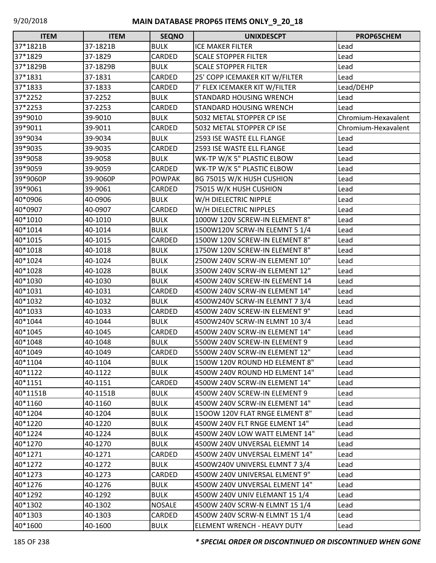| <b>ITEM</b> | <b>ITEM</b> | <b>SEQNO</b>  | <b>UNIXDESCPT</b>              | PROP65CHEM          |
|-------------|-------------|---------------|--------------------------------|---------------------|
| 37*1821B    | 37-1821B    | <b>BULK</b>   | <b>ICE MAKER FILTER</b>        | Lead                |
| 37*1829     | 37-1829     | CARDED        | <b>SCALE STOPPER FILTER</b>    | Lead                |
| 37*1829B    | 37-1829B    | <b>BULK</b>   | <b>SCALE STOPPER FILTER</b>    | Lead                |
| 37*1831     | 37-1831     | CARDED        | 25' COPP ICEMAKER KIT W/FILTER | Lead                |
| 37*1833     | 37-1833     | CARDED        | 7' FLEX ICEMAKER KIT W/FILTER  | Lead/DEHP           |
| 37*2252     | 37-2252     | <b>BULK</b>   | STANDARD HOUSING WRENCH        | Lead                |
| 37*2253     | 37-2253     | CARDED        | STANDARD HOUSING WRENCH        | Lead                |
| 39*9010     | 39-9010     | <b>BULK</b>   | 5032 METAL STOPPER CP ISE      | Chromium-Hexavalent |
| 39*9011     | 39-9011     | CARDED        | 5032 METAL STOPPER CP ISE      | Chromium-Hexavalent |
| 39*9034     | 39-9034     | <b>BULK</b>   | 2593 ISE WASTE ELL FLANGE      | Lead                |
| 39*9035     | 39-9035     | CARDED        | 2593 ISE WASTE ELL FLANGE      | Lead                |
| 39*9058     | 39-9058     | <b>BULK</b>   | WK-TP W/K 5" PLASTIC ELBOW     | Lead                |
| 39*9059     | 39-9059     | CARDED        | WK-TP W/K 5" PLASTIC ELBOW     | Lead                |
| 39*9060P    | 39-9060P    | <b>POWPAK</b> | BG 75015 W/K HUSH CUSHION      | Lead                |
| 39*9061     | 39-9061     | CARDED        | 75015 W/K HUSH CUSHION         | Lead                |
| 40*0906     | 40-0906     | <b>BULK</b>   | W/H DIELECTRIC NIPPLE          | Lead                |
| 40*0907     | 40-0907     | CARDED        | W/H DIELECTRIC NIPPLES         | Lead                |
| 40*1010     | 40-1010     | <b>BULK</b>   | 1000W 120V SCREW-IN ELEMENT 8" | Lead                |
| 40*1014     | 40-1014     | <b>BULK</b>   | 1500W120V SCRW-IN ELEMNT 5 1/4 | Lead                |
| 40*1015     | 40-1015     | CARDED        | 1500W 120V SCREW-IN ELEMENT 8" | Lead                |
| 40*1018     | 40-1018     | <b>BULK</b>   | 1750W 120V SCREW-IN ELEMENT 8" | Lead                |
| 40*1024     | 40-1024     | <b>BULK</b>   | 2500W 240V SCRW-IN ELEMENT 10" | Lead                |
| 40*1028     | 40-1028     | <b>BULK</b>   | 3500W 240V SCRW-IN ELEMENT 12" | Lead                |
| 40*1030     | 40-1030     | <b>BULK</b>   | 4500W 240V SCREW-IN ELEMENT 14 | Lead                |
| 40*1031     | 40-1031     | CARDED        | 4500W 240V SCRW-IN ELEMENT 14" | Lead                |
| 40*1032     | 40-1032     | <b>BULK</b>   | 4500W240V SCRW-IN ELEMNT 7 3/4 | Lead                |
| 40*1033     | 40-1033     | CARDED        | 4500W 240V SCREW-IN ELEMENT 9" | Lead                |
| 40*1044     | 40-1044     | <b>BULK</b>   | 4500W240V SCRW-IN ELMNT 10 3/4 | Lead                |
| 40*1045     | 40-1045     | CARDED        | 4500W 240V SCRW-IN ELEMENT 14" | Lead                |
| 40*1048     | 40-1048     | <b>BULK</b>   | 5500W 240V SCREW-IN ELEMENT 9  | Lead                |
| 40*1049     | 40-1049     | <b>CARDED</b> | 5500W 240V SCRW-IN ELEMENT 12" | Lead                |
| 40*1104     | 40-1104     | <b>BULK</b>   | 1500W 120V ROUND HD ELEMENT 8" | Lead                |
| 40*1122     | 40-1122     | <b>BULK</b>   | 4500W 240V ROUND HD ELMENT 14" | Lead                |
| 40*1151     | 40-1151     | CARDED        | 4500W 240V SCRW-IN ELEMENT 14" | Lead                |
| 40*1151B    | 40-1151B    | <b>BULK</b>   | 4500W 240V SCREW-IN ELEMENT 9  | Lead                |
| 40*1160     | 40-1160     | <b>BULK</b>   | 4500W 240V SCRW-IN ELEMENT 14" | Lead                |
| 40*1204     | 40-1204     | <b>BULK</b>   | 1500W 120V FLAT RNGE ELMENT 8" | Lead                |
| 40*1220     | 40-1220     | <b>BULK</b>   | 4500W 240V FLT RNGE ELMENT 14" | Lead                |
| 40*1224     | 40-1224     | <b>BULK</b>   | 4500W 240V LOW WATT ELMENT 14" | Lead                |
| 40*1270     | 40-1270     | <b>BULK</b>   | 4500W 240V UNVERSAL ELEMNT 14  | Lead                |
| 40*1271     | 40-1271     | CARDED        | 4500W 240V UNVERSAL ELMENT 14" | Lead                |
| 40*1272     | 40-1272     | <b>BULK</b>   | 4500W240V UNIVERSL ELMNT 7 3/4 | Lead                |
| 40*1273     | 40-1273     | CARDED        | 4500W 240V UNIVERSAL ELMENT 9" | Lead                |
| 40*1276     | 40-1276     | <b>BULK</b>   | 4500W 240V UNVERSAL ELMENT 14" | Lead                |
| 40*1292     | 40-1292     | <b>BULK</b>   | 4500W 240V UNIV ELEMANT 15 1/4 | Lead                |
| 40*1302     | 40-1302     | <b>NOSALE</b> | 4500W 240V SCRW-N ELMNT 15 1/4 | Lead                |
| 40*1303     | 40-1303     | CARDED        | 4500W 240V SCRW-N ELMNT 15 1/4 | Lead                |
| 40*1600     | 40-1600     | <b>BULK</b>   | ELEMENT WRENCH - HEAVY DUTY    | Lead                |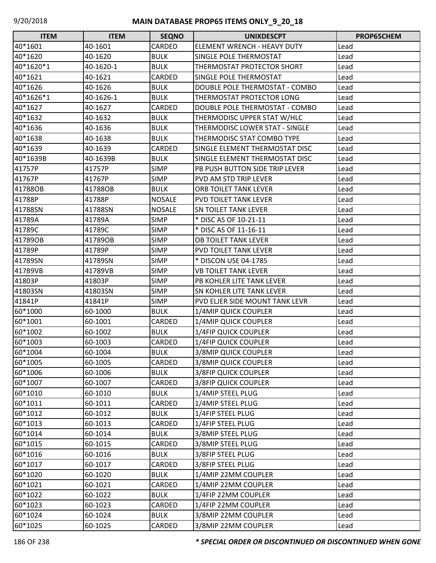| <b>ITEM</b> | <b>ITEM</b> | <b>SEQNO</b>  | <b>UNIXDESCPT</b>                  | PROP65CHEM |
|-------------|-------------|---------------|------------------------------------|------------|
| 40*1601     | 40-1601     | CARDED        | <b>ELEMENT WRENCH - HEAVY DUTY</b> | Lead       |
| 40*1620     | 40-1620     | <b>BULK</b>   | <b>SINGLE POLE THERMOSTAT</b>      | Lead       |
| 40*1620*1   | 40-1620-1   | <b>BULK</b>   | THERMOSTAT PROTECTOR SHORT         | Lead       |
| 40*1621     | 40-1621     | CARDED        | <b>SINGLE POLE THERMOSTAT</b>      | Lead       |
| 40*1626     | 40-1626     | <b>BULK</b>   | DOUBLE POLE THERMOSTAT - COMBO     | Lead       |
| 40*1626*1   | 40-1626-1   | <b>BULK</b>   | THERMOSTAT PROTECTOR LONG          | Lead       |
| 40*1627     | 40-1627     | CARDED        | DOUBLE POLE THERMOSTAT - COMBO     | Lead       |
| 40*1632     | 40-1632     | <b>BULK</b>   | THERMODISC UPPER STAT W/HLC        | Lead       |
| 40*1636     | 40-1636     | <b>BULK</b>   | THERMODISC LOWER STAT - SINGLE     | Lead       |
| 40*1638     | 40-1638     | <b>BULK</b>   | THERMODISC STAT COMBO TYPE         | Lead       |
| 40*1639     | 40-1639     | <b>CARDED</b> | SINGLE ELEMENT THERMOSTAT DISC     | Lead       |
| 40*1639B    | 40-1639B    | <b>BULK</b>   | SINGLE ELEMENT THERMOSTAT DISC     | Lead       |
| 41757P      | 41757P      | <b>SIMP</b>   | PB PUSH BUTTON SIDE TRIP LEVER     | Lead       |
| 41767P      | 41767P      | <b>SIMP</b>   | PVD AM STD TRIP LEVER              | Lead       |
| 41788OB     | 41788OB     | <b>BULK</b>   | <b>ORB TOILET TANK LEVER</b>       | Lead       |
| 41788P      | 41788P      | <b>NOSALE</b> | PVD TOILET TANK LEVER              | Lead       |
| 41788SN     | 41788SN     | <b>NOSALE</b> | <b>SN TOILET TANK LEVER</b>        | Lead       |
| 41789A      | 41789A      | <b>SIMP</b>   | * DISC AS OF 10-21-11              | Lead       |
| 41789C      | 41789C      | <b>SIMP</b>   | * DISC AS OF 11-16-11              | Lead       |
| 41789OB     | 41789OB     | <b>SIMP</b>   | OB TOILET TANK LEVER               | Lead       |
| 41789P      | 41789P      | <b>SIMP</b>   | <b>PVD TOILET TANK LEVER</b>       | Lead       |
| 41789SN     | 41789SN     | <b>SIMP</b>   | * DISCON USE 04-1785               | Lead       |
| 41789VB     | 41789VB     | <b>SIMP</b>   | <b>VB TOILET TANK LEVER</b>        | Lead       |
| 41803P      | 41803P      | <b>SIMP</b>   | PB KOHLER LITE TANK LEVER          | Lead       |
| 41803SN     | 41803SN     | <b>SIMP</b>   | SN KOHLER LITE TANK LEVER          | Lead       |
| 41841P      | 41841P      | <b>SIMP</b>   | PVD ELJER SIDE MOUNT TANK LEVR     | Lead       |
| 60*1000     | 60-1000     | <b>BULK</b>   | 1/4MIP QUICK COUPLER               | Lead       |
| 60*1001     | 60-1001     | CARDED        | 1/4MIP QUICK COUPLER               | Lead       |
| 60*1002     | 60-1002     | <b>BULK</b>   | 1/4FIP QUICK COUPLER               | Lead       |
| 60*1003     | 60-1003     | CARDED        | 1/4FIP QUICK COUPLER               | Lead       |
| 60*1004     | 60-1004     | <b>BULK</b>   | 3/8MIP QUICK COUPLER               | Lead       |
| 60*1005     | 60-1005     | CARDED        | 3/8MIP QUICK COUPLER               | Lead       |
| 60*1006     | 60-1006     | <b>BULK</b>   | <b>3/8FIP QUICK COUPLER</b>        | Lead       |
| 60*1007     | 60-1007     | CARDED        | 3/8FIP QUICK COUPLER               | Lead       |
| 60*1010     | 60-1010     | <b>BULK</b>   | 1/4MIP STEEL PLUG                  | Lead       |
| 60*1011     | 60-1011     | <b>CARDED</b> | 1/4MIP STEEL PLUG                  | Lead       |
| 60*1012     | 60-1012     | <b>BULK</b>   | 1/4FIP STEEL PLUG                  | Lead       |
| 60*1013     | 60-1013     | CARDED        | 1/4FIP STEEL PLUG                  | Lead       |
| 60*1014     | 60-1014     | <b>BULK</b>   | 3/8MIP STEEL PLUG                  | Lead       |
| 60*1015     | 60-1015     | CARDED        | 3/8MIP STEEL PLUG                  | Lead       |
| 60*1016     | 60-1016     | <b>BULK</b>   | 3/8FIP STEEL PLUG                  | Lead       |
| 60*1017     | 60-1017     | CARDED        | 3/8FIP STEEL PLUG                  | Lead       |
| 60*1020     | 60-1020     | <b>BULK</b>   | 1/4MIP 22MM COUPLER                | Lead       |
| 60*1021     | 60-1021     | CARDED        | 1/4MIP 22MM COUPLER                | Lead       |
| 60*1022     | 60-1022     | <b>BULK</b>   | 1/4FIP 22MM COUPLER                | Lead       |
| 60*1023     | 60-1023     | CARDED        | 1/4FIP 22MM COUPLER                | Lead       |
| 60*1024     | 60-1024     | <b>BULK</b>   | 3/8MIP 22MM COUPLER                | Lead       |
| 60*1025     | 60-1025     | CARDED        | 3/8MIP 22MM COUPLER                | Lead       |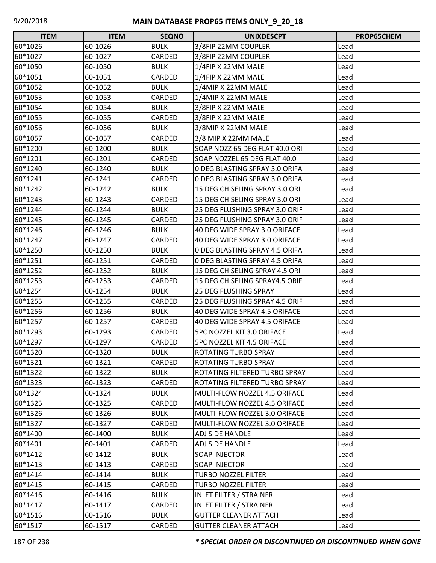| <b>ITEM</b> | <b>ITEM</b> | <b>SEQNO</b>  | <b>UNIXDESCPT</b>              | <b>PROP65CHEM</b> |
|-------------|-------------|---------------|--------------------------------|-------------------|
| 60*1026     | 60-1026     | <b>BULK</b>   | 3/8FIP 22MM COUPLER            | Lead              |
| 60*1027     | 60-1027     | <b>CARDED</b> | 3/8FIP 22MM COUPLER            | Lead              |
| 60*1050     | 60-1050     | <b>BULK</b>   | 1/4FIP X 22MM MALE             | Lead              |
| 60*1051     | 60-1051     | CARDED        | 1/4FIP X 22MM MALE             | Lead              |
| 60*1052     | 60-1052     | <b>BULK</b>   | 1/4MIP X 22MM MALE             | Lead              |
| 60*1053     | 60-1053     | <b>CARDED</b> | 1/4MIP X 22MM MALE             | Lead              |
| 60*1054     | 60-1054     | <b>BULK</b>   | 3/8FIP X 22MM MALE             | Lead              |
| 60*1055     | 60-1055     | CARDED        | 3/8FIP X 22MM MALE             | Lead              |
| 60*1056     | 60-1056     | <b>BULK</b>   | 3/8MIP X 22MM MALE             | Lead              |
| 60*1057     | 60-1057     | CARDED        | 3/8 MIP X 22MM MALE            | Lead              |
| 60*1200     | 60-1200     | <b>BULK</b>   | SOAP NOZZ 65 DEG FLAT 40.0 ORI | Lead              |
| 60*1201     | 60-1201     | CARDED        | SOAP NOZZEL 65 DEG FLAT 40.0   | Lead              |
| 60*1240     | 60-1240     | <b>BULK</b>   | 0 DEG BLASTING SPRAY 3.0 ORIFA | Lead              |
| 60*1241     | 60-1241     | CARDED        | 0 DEG BLASTING SPRAY 3.0 ORIFA | Lead              |
| 60*1242     | 60-1242     | <b>BULK</b>   | 15 DEG CHISELING SPRAY 3.0 ORI | Lead              |
| 60*1243     | 60-1243     | <b>CARDED</b> | 15 DEG CHISELING SPRAY 3.0 ORI | Lead              |
| 60*1244     | 60-1244     | <b>BULK</b>   | 25 DEG FLUSHING SPRAY 3.0 ORIF | Lead              |
| 60*1245     | 60-1245     | CARDED        | 25 DEG FLUSHING SPRAY 3.0 ORIF | Lead              |
| 60*1246     | 60-1246     | <b>BULK</b>   | 40 DEG WIDE SPRAY 3.0 ORIFACE  | Lead              |
| 60*1247     | 60-1247     | <b>CARDED</b> | 40 DEG WIDE SPRAY 3.0 ORIFACE  | Lead              |
| 60*1250     | 60-1250     | <b>BULK</b>   | 0 DEG BLASTING SPRAY 4.5 ORIFA | Lead              |
| 60*1251     | 60-1251     | CARDED        | 0 DEG BLASTING SPRAY 4.5 ORIFA | Lead              |
| 60*1252     | 60-1252     | <b>BULK</b>   | 15 DEG CHISELING SPRAY 4.5 ORI | Lead              |
| 60*1253     | 60-1253     | CARDED        | 15 DEG CHISELING SPRAY4.5 ORIF | Lead              |
| 60*1254     | 60-1254     | <b>BULK</b>   | <b>25 DEG FLUSHING SPRAY</b>   | Lead              |
| 60*1255     | 60-1255     | CARDED        | 25 DEG FLUSHING SPRAY 4.5 ORIF | Lead              |
| 60*1256     | 60-1256     | <b>BULK</b>   | 40 DEG WIDE SPRAY 4.5 ORIFACE  | Lead              |
| 60*1257     | 60-1257     | CARDED        | 40 DEG WIDE SPRAY 4.5 ORIFACE  | Lead              |
| 60*1293     | 60-1293     | CARDED        | 5PC NOZZEL KIT 3.0 ORIFACE     | Lead              |
| 60*1297     | 60-1297     | <b>CARDED</b> | 5PC NOZZEL KIT 4.5 ORIFACE     | Lead              |
| 60*1320     | 60-1320     | <b>BULK</b>   | <b>ROTATING TURBO SPRAY</b>    | Lead              |
| 60*1321     | 60-1321     | CARDED        | <b>ROTATING TURBO SPRAY</b>    | Lead              |
| 60*1322     | 60-1322     | <b>BULK</b>   | ROTATING FILTERED TURBO SPRAY  | Lead              |
| 60*1323     | 60-1323     | CARDED        | ROTATING FILTERED TURBO SPRAY  | Lead              |
| 60*1324     | 60-1324     | <b>BULK</b>   | MULTI-FLOW NOZZEL 4.5 ORIFACE  | Lead              |
| 60*1325     | 60-1325     | CARDED        | MULTI-FLOW NOZZEL 4.5 ORIFACE  | Lead              |
| 60*1326     | 60-1326     | <b>BULK</b>   | MULTI-FLOW NOZZEL 3.0 ORIFACE  | Lead              |
| 60*1327     | 60-1327     | CARDED        | MULTI-FLOW NOZZEL 3.0 ORIFACE  | Lead              |
| 60*1400     | 60-1400     | <b>BULK</b>   | <b>ADJ SIDE HANDLE</b>         | Lead              |
| 60*1401     | 60-1401     | CARDED        | ADJ SIDE HANDLE                | Lead              |
| 60*1412     | 60-1412     | <b>BULK</b>   | <b>SOAP INJECTOR</b>           | Lead              |
| 60*1413     | 60-1413     | CARDED        | <b>SOAP INJECTOR</b>           | Lead              |
| 60*1414     | 60-1414     | <b>BULK</b>   | <b>TURBO NOZZEL FILTER</b>     | Lead              |
| 60*1415     | 60-1415     | CARDED        | <b>TURBO NOZZEL FILTER</b>     | Lead              |
| 60*1416     | 60-1416     | <b>BULK</b>   | <b>INLET FILTER / STRAINER</b> | Lead              |
| 60*1417     | 60-1417     | CARDED        | <b>INLET FILTER / STRAINER</b> | Lead              |
| 60*1516     | 60-1516     | <b>BULK</b>   | <b>GUTTER CLEANER ATTACH</b>   | Lead              |
| 60*1517     | 60-1517     | CARDED        | <b>GUTTER CLEANER ATTACH</b>   | Lead              |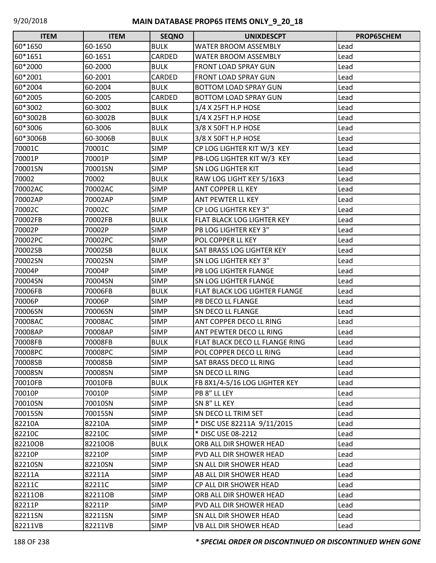| <b>ITEM</b> | <b>ITEM</b> | <b>SEQNO</b>  | <b>UNIXDESCPT</b>                | <b>PROP65CHEM</b> |
|-------------|-------------|---------------|----------------------------------|-------------------|
| 60*1650     | 60-1650     | <b>BULK</b>   | <b>WATER BROOM ASSEMBLY</b>      | Lead              |
| 60*1651     | 60-1651     | <b>CARDED</b> | <b>WATER BROOM ASSEMBLY</b>      | Lead              |
| 60*2000     | 60-2000     | <b>BULK</b>   | <b>FRONT LOAD SPRAY GUN</b>      | Lead              |
| 60*2001     | 60-2001     | <b>CARDED</b> | <b>FRONT LOAD SPRAY GUN</b>      | Lead              |
| 60*2004     | 60-2004     | <b>BULK</b>   | <b>BOTTOM LOAD SPRAY GUN</b>     | Lead              |
| 60*2005     | 60-2005     | CARDED        | <b>BOTTOM LOAD SPRAY GUN</b>     | Lead              |
| 60*3002     | 60-3002     | <b>BULK</b>   | $1/4$ X 25FT H.P HOSE            | Lead              |
| 60*3002B    | 60-3002B    | <b>BULK</b>   | 1/4 X 25FT H.P HOSE              | Lead              |
| 60*3006     | 60-3006     | <b>BULK</b>   | 3/8 X 50FT H.P HOSE              | Lead              |
| 60*3006B    | 60-3006B    | <b>BULK</b>   | 3/8 X 50FT H.P HOSE              | Lead              |
| 70001C      | 70001C      | <b>SIMP</b>   | CP LOG LIGHTER KIT W/3 KEY       | Lead              |
| 70001P      | 70001P      | <b>SIMP</b>   | PB-LOG LIGHTER KIT W/3 KEY       | Lead              |
| 70001SN     | 70001SN     | <b>SIMP</b>   | <b>SN LOG LIGHTER KIT</b>        | Lead              |
| 70002       | 70002       | <b>BULK</b>   | RAW LOG LIGHT KEY 5/16X3         | Lead              |
| 70002AC     | 70002AC     | <b>SIMP</b>   | ANT COPPER LL KEY                | Lead              |
| 70002AP     | 70002AP     | <b>SIMP</b>   | ANT PEWTER LL KEY                | Lead              |
| 70002C      | 70002C      | <b>SIMP</b>   | CP LOG LIGHTER KEY 3"            | Lead              |
| 70002FB     | 70002FB     | <b>BULK</b>   | FLAT BLACK LOG LIGHTER KEY       | Lead              |
| 70002P      | 70002P      | <b>SIMP</b>   | PB LOG LIGHTER KEY 3"            | Lead              |
| 70002PC     | 70002PC     | <b>SIMP</b>   | POL COPPER LL KEY                | Lead              |
| 70002SB     | 70002SB     | <b>BULK</b>   | <b>SAT BRASS LOG LIGHTER KEY</b> | Lead              |
| 70002SN     | 70002SN     | <b>SIMP</b>   | SN LOG LIGHTER KEY 3"            | Lead              |
| 70004P      | 70004P      | <b>SIMP</b>   | PB LOG LIGHTER FLANGE            | Lead              |
| 70004SN     | 70004SN     | <b>SIMP</b>   | SN LOG LIGHTER FLANGE            | Lead              |
| 70006FB     | 70006FB     | <b>BULK</b>   | FLAT BLACK LOG LIGHTER FLANGE    | Lead              |
| 70006P      | 70006P      | <b>SIMP</b>   | PB DECO LL FLANGE                | Lead              |
| 70006SN     | 70006SN     | <b>SIMP</b>   | SN DECO LL FLANGE                | Lead              |
| 70008AC     | 70008AC     | <b>SIMP</b>   | ANT COPPER DECO LL RING          | Lead              |
| 70008AP     | 70008AP     | <b>SIMP</b>   | ANT PEWTER DECO LL RING          | Lead              |
| 70008FB     | 70008FB     | <b>BULK</b>   | FLAT BLACK DECO LL FLANGE RING   | Lead              |
| 70008PC     | 70008PC     | <b>SIMP</b>   | POL COPPER DECO LL RING          | Lead              |
| 70008SB     | 70008SB     | <b>SIMP</b>   | <b>SAT BRASS DECO LL RING</b>    | Lead              |
| 70008SN     | 70008SN     | <b>SIMP</b>   | <b>SN DECO LL RING</b>           | Lead              |
| 70010FB     | 70010FB     | <b>BULK</b>   | FB 8X1/4-5/16 LOG LIGHTER KEY    | Lead              |
| 70010P      | 70010P      | <b>SIMP</b>   | PB 8" LL LEY                     | Lead              |
| 70010SN     | 70010SN     | <b>SIMP</b>   | SN 8" LL KEY                     | Lead              |
| 70015SN     | 70015SN     | <b>SIMP</b>   | SN DECO LL TRIM SET              | Lead              |
| 82210A      | 82210A      | <b>SIMP</b>   | * DISC USE 82211A 9/11/2015      | Lead              |
| 82210C      | 82210C      | <b>SIMP</b>   | * DISC USE 08-2212               | Lead              |
| 82210OB     | 82210OB     | <b>BULK</b>   | ORB ALL DIR SHOWER HEAD          | Lead              |
| 82210P      | 82210P      | <b>SIMP</b>   | PVD ALL DIR SHOWER HEAD          | Lead              |
| 82210SN     | 82210SN     | <b>SIMP</b>   | SN ALL DIR SHOWER HEAD           | Lead              |
| 82211A      | 82211A      | <b>SIMP</b>   | AB ALL DIR SHOWER HEAD           | Lead              |
| 82211C      | 82211C      | <b>SIMP</b>   | CP ALL DIR SHOWER HEAD           | Lead              |
| 822110B     | 82211OB     | <b>SIMP</b>   | ORB ALL DIR SHOWER HEAD          | Lead              |
| 82211P      | 82211P      | <b>SIMP</b>   | PVD ALL DIR SHOWER HEAD          | Lead              |
| 82211SN     | 82211SN     | <b>SIMP</b>   | SN ALL DIR SHOWER HEAD           | Lead              |
| 82211VB     | 82211VB     | <b>SIMP</b>   | VB ALL DIR SHOWER HEAD           | Lead              |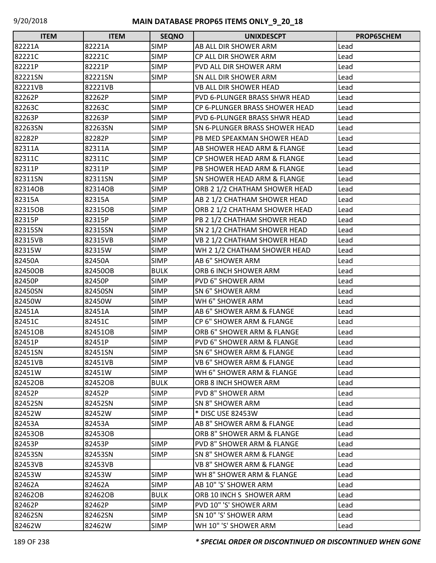| <b>ITEM</b> | <b>ITEM</b> | <b>SEQNO</b> | <b>UNIXDESCPT</b>                      | <b>PROP65CHEM</b> |
|-------------|-------------|--------------|----------------------------------------|-------------------|
| 82221A      | 82221A      | <b>SIMP</b>  | AB ALL DIR SHOWER ARM                  | Lead              |
| 82221C      | 82221C      | <b>SIMP</b>  | CP ALL DIR SHOWER ARM                  | Lead              |
| 82221P      | 82221P      | <b>SIMP</b>  | <b>PVD ALL DIR SHOWER ARM</b>          | Lead              |
| 82221SN     | 82221SN     | <b>SIMP</b>  | SN ALL DIR SHOWER ARM                  | Lead              |
| 82221VB     | 82221VB     |              | VB ALL DIR SHOWER HEAD                 | Lead              |
| 82262P      | 82262P      | <b>SIMP</b>  | PVD 6-PLUNGER BRASS SHWR HEAD          | Lead              |
| 82263C      | 82263C      | <b>SIMP</b>  | CP 6-PLUNGER BRASS SHOWER HEAD         | Lead              |
| 82263P      | 82263P      | <b>SIMP</b>  | PVD 6-PLUNGER BRASS SHWR HEAD          | Lead              |
| 82263SN     | 82263SN     | <b>SIMP</b>  | <b>SN 6-PLUNGER BRASS SHOWER HEAD</b>  | Lead              |
| 82282P      | 82282P      | <b>SIMP</b>  | PB MED SPEAKMAN SHOWER HEAD            | Lead              |
| 82311A      | 82311A      | <b>SIMP</b>  | AB SHOWER HEAD ARM & FLANGE            | Lead              |
| 82311C      | 82311C      | <b>SIMP</b>  | CP SHOWER HEAD ARM & FLANGE            | Lead              |
| 82311P      | 82311P      | <b>SIMP</b>  | PB SHOWER HEAD ARM & FLANGE            | Lead              |
| 82311SN     | 82311SN     | <b>SIMP</b>  | <b>SN SHOWER HEAD ARM &amp; FLANGE</b> | Lead              |
| 82314OB     | 82314OB     | <b>SIMP</b>  | ORB 2 1/2 CHATHAM SHOWER HEAD          | Lead              |
| 82315A      | 82315A      | <b>SIMP</b>  | AB 2 1/2 CHATHAM SHOWER HEAD           | Lead              |
| 82315OB     | 82315OB     | <b>SIMP</b>  | ORB 2 1/2 CHATHAM SHOWER HEAD          | Lead              |
| 82315P      | 82315P      | <b>SIMP</b>  | PB 2 1/2 CHATHAM SHOWER HEAD           | Lead              |
| 82315SN     | 82315SN     | <b>SIMP</b>  | SN 2 1/2 CHATHAM SHOWER HEAD           | Lead              |
| 82315VB     | 82315VB     | <b>SIMP</b>  | VB 2 1/2 CHATHAM SHOWER HEAD           | Lead              |
| 82315W      | 82315W      | <b>SIMP</b>  | WH 2 1/2 CHATHAM SHOWER HEAD           | Lead              |
| 82450A      | 82450A      | <b>SIMP</b>  | AB 6" SHOWER ARM                       | Lead              |
| 82450OB     | 82450OB     | <b>BULK</b>  | ORB 6 INCH SHOWER ARM                  | Lead              |
| 82450P      | 82450P      | <b>SIMP</b>  | <b>PVD 6" SHOWER ARM</b>               | Lead              |
| 82450SN     | 82450SN     | <b>SIMP</b>  | SN 6" SHOWER ARM                       | Lead              |
| 82450W      | 82450W      | <b>SIMP</b>  | WH 6" SHOWER ARM                       | Lead              |
| 82451A      | 82451A      | <b>SIMP</b>  | AB 6" SHOWER ARM & FLANGE              | Lead              |
| 82451C      | 82451C      | <b>SIMP</b>  | CP 6" SHOWER ARM & FLANGE              | Lead              |
| 82451OB     | 82451OB     | <b>SIMP</b>  | ORB 6" SHOWER ARM & FLANGE             | Lead              |
| 82451P      | 82451P      | <b>SIMP</b>  | PVD 6" SHOWER ARM & FLANGE             | Lead              |
| 82451SN     | 82451SN     | <b>SIMP</b>  | <b>SN 6" SHOWER ARM &amp; FLANGE</b>   | Lead              |
| 82451VB     | 82451VB     | <b>SIMP</b>  | VB 6" SHOWER ARM & FLANGE              | Lead              |
| 82451W      | 82451W      | <b>SIMP</b>  | WH 6" SHOWER ARM & FLANGE              | Lead              |
| 82452OB     | 82452OB     | <b>BULK</b>  | ORB 8 INCH SHOWER ARM                  | Lead              |
| 82452P      | 82452P      | <b>SIMP</b>  | <b>PVD 8" SHOWER ARM</b>               | Lead              |
| 82452SN     | 82452SN     | <b>SIMP</b>  | SN 8" SHOWER ARM                       | Lead              |
| 82452W      | 82452W      | <b>SIMP</b>  | * DISC USE 82453W                      | Lead              |
| 82453A      | 82453A      | <b>SIMP</b>  | AB 8" SHOWER ARM & FLANGE              | Lead              |
| 82453OB     | 82453OB     |              | ORB 8" SHOWER ARM & FLANGE             | Lead              |
| 82453P      | 82453P      | <b>SIMP</b>  | PVD 8" SHOWER ARM & FLANGE             | Lead              |
| 82453SN     | 82453SN     | <b>SIMP</b>  | SN 8" SHOWER ARM & FLANGE              | Lead              |
| 82453VB     | 82453VB     |              | <b>VB 8" SHOWER ARM &amp; FLANGE</b>   | Lead              |
| 82453W      | 82453W      | <b>SIMP</b>  | WH 8" SHOWER ARM & FLANGE              | Lead              |
| 82462A      | 82462A      | <b>SIMP</b>  | AB 10" 'S' SHOWER ARM                  | Lead              |
| 82462OB     | 82462OB     | <b>BULK</b>  | ORB 10 INCH S SHOWER ARM               | Lead              |
| 82462P      | 82462P      | <b>SIMP</b>  | PVD 10" 'S' SHOWER ARM                 | Lead              |
| 82462SN     | 82462SN     | <b>SIMP</b>  | SN 10" 'S' SHOWER ARM                  | Lead              |
| 82462W      | 82462W      | <b>SIMP</b>  | WH 10" 'S' SHOWER ARM                  | Lead              |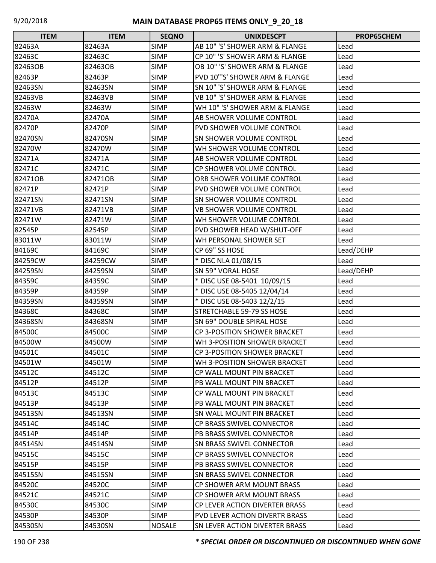| <b>ITEM</b> | <b>ITEM</b> | <b>SEQNO</b>  | <b>UNIXDESCPT</b>                     | PROP65CHEM |
|-------------|-------------|---------------|---------------------------------------|------------|
| 82463A      | 82463A      | <b>SIMP</b>   | AB 10" 'S' SHOWER ARM & FLANGE        | Lead       |
| 82463C      | 82463C      | <b>SIMP</b>   | CP 10" 'S' SHOWER ARM & FLANGE        | Lead       |
| 82463OB     | 82463OB     | <b>SIMP</b>   | OB 10" 'S' SHOWER ARM & FLANGE        | Lead       |
| 82463P      | 82463P      | <b>SIMP</b>   | PVD 10"'S' SHOWER ARM & FLANGE        | Lead       |
| 82463SN     | 82463SN     | <b>SIMP</b>   | SN 10" 'S' SHOWER ARM & FLANGE        | Lead       |
| 82463VB     | 82463VB     | <b>SIMP</b>   | VB 10" 'S' SHOWER ARM & FLANGE        | Lead       |
| 82463W      | 82463W      | SIMP          | WH 10" 'S' SHOWER ARM & FLANGE        | Lead       |
| 82470A      | 82470A      | <b>SIMP</b>   | AB SHOWER VOLUME CONTROL              | Lead       |
| 82470P      | 82470P      | <b>SIMP</b>   | <b>PVD SHOWER VOLUME CONTROL</b>      | Lead       |
| 82470SN     | 82470SN     | <b>SIMP</b>   | <b>SN SHOWER VOLUME CONTROL</b>       | Lead       |
| 82470W      | 82470W      | <b>SIMP</b>   | WH SHOWER VOLUME CONTROL              | Lead       |
| 82471A      | 82471A      | <b>SIMP</b>   | AB SHOWER VOLUME CONTROL              | Lead       |
| 82471C      | 82471C      | <b>SIMP</b>   | CP SHOWER VOLUME CONTROL              | Lead       |
| 82471OB     | 82471OB     | <b>SIMP</b>   | ORB SHOWER VOLUME CONTROL             | Lead       |
| 82471P      | 82471P      | <b>SIMP</b>   | <b>PVD SHOWER VOLUME CONTROL</b>      | Lead       |
| 82471SN     | 82471SN     | <b>SIMP</b>   | SN SHOWER VOLUME CONTROL              | Lead       |
| 82471VB     | 82471VB     | <b>SIMP</b>   | VB SHOWER VOLUME CONTROL              | Lead       |
| 82471W      | 82471W      | <b>SIMP</b>   | WH SHOWER VOLUME CONTROL              | Lead       |
| 82545P      | 82545P      | <b>SIMP</b>   | PVD SHOWER HEAD W/SHUT-OFF            | Lead       |
| 83011W      | 83011W      | <b>SIMP</b>   | WH PERSONAL SHOWER SET                | Lead       |
| 84169C      | 84169C      | <b>SIMP</b>   | CP 69" SS HOSE                        | Lead/DEHP  |
| 84259CW     | 84259CW     | <b>SIMP</b>   | * DISC NLA 01/08/15                   | Lead       |
| 84259SN     | 84259SN     | <b>SIMP</b>   | <b>SN 59" VORAL HOSE</b>              | Lead/DEHP  |
| 84359C      | 84359C      | <b>SIMP</b>   | * DISC USE 08-5401 10/09/15           | Lead       |
| 84359P      | 84359P      | SIMP          | * DISC USE 08-5405 12/04/14           | Lead       |
| 84359SN     | 84359SN     | <b>SIMP</b>   | * DISC USE 08-5403 12/2/15            | Lead       |
| 84368C      | 84368C      | <b>SIMP</b>   | STRETCHABLE 59-79 SS HOSE             | Lead       |
| 84368SN     | 84368SN     | <b>SIMP</b>   | SN 69" DOUBLE SPIRAL HOSE             | Lead       |
| 84500C      | 84500C      | <b>SIMP</b>   | <b>CP 3-POSITION SHOWER BRACKET</b>   | Lead       |
| 84500W      | 84500W      | <b>SIMP</b>   | WH 3-POSITION SHOWER BRACKET          | Lead       |
| 84501C      | 84501C      | <b>SIMP</b>   | CP 3-POSITION SHOWER BRACKET          | Lead       |
| 84501W      | 84501W      | <b>SIMP</b>   | WH 3-POSITION SHOWER BRACKET          | Lead       |
| 84512C      | 84512C      | <b>SIMP</b>   | CP WALL MOUNT PIN BRACKET             | Lead       |
| 84512P      | 84512P      | <b>SIMP</b>   | PB WALL MOUNT PIN BRACKET             | Lead       |
| 84513C      | 84513C      | <b>SIMP</b>   | CP WALL MOUNT PIN BRACKET             | Lead       |
| 84513P      | 84513P      | <b>SIMP</b>   | PB WALL MOUNT PIN BRACKET             | Lead       |
| 84513SN     | 84513SN     | <b>SIMP</b>   | <b>SN WALL MOUNT PIN BRACKET</b>      | Lead       |
| 84514C      | 84514C      | <b>SIMP</b>   | CP BRASS SWIVEL CONNECTOR             | Lead       |
| 84514P      | 84514P      | <b>SIMP</b>   | PB BRASS SWIVEL CONNECTOR             | Lead       |
| 84514SN     | 84514SN     | <b>SIMP</b>   | <b>SN BRASS SWIVEL CONNECTOR</b>      | Lead       |
| 84515C      | 84515C      | <b>SIMP</b>   | <b>CP BRASS SWIVEL CONNECTOR</b>      | Lead       |
| 84515P      | 84515P      | <b>SIMP</b>   | PB BRASS SWIVEL CONNECTOR             | Lead       |
| 84515SN     | 84515SN     | <b>SIMP</b>   | <b>SN BRASS SWIVEL CONNECTOR</b>      | Lead       |
| 84520C      | 84520C      | <b>SIMP</b>   | CP SHOWER ARM MOUNT BRASS             | Lead       |
| 84521C      | 84521C      | <b>SIMP</b>   | <b>CP SHOWER ARM MOUNT BRASS</b>      | Lead       |
| 84530C      | 84530C      | <b>SIMP</b>   | <b>CP LEVER ACTION DIVERTER BRASS</b> | Lead       |
| 84530P      | 84530P      | <b>SIMP</b>   | PVD LEVER ACTION DIVERTR BRASS        | Lead       |
| 84530SN     | 84530SN     | <b>NOSALE</b> | <b>SN LEVER ACTION DIVERTER BRASS</b> | Lead       |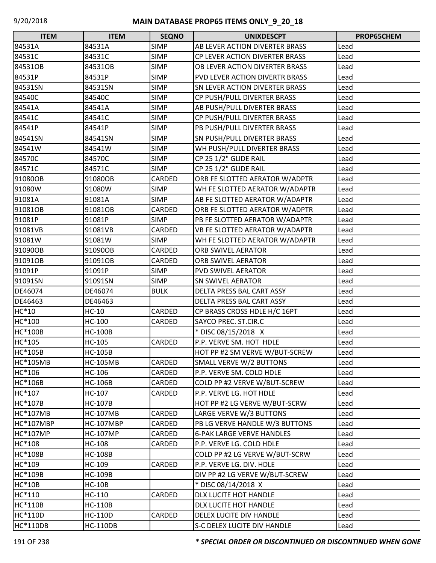| <b>ITEM</b>      | <b>ITEM</b>      | <b>SEQNO</b>  | <b>UNIXDESCPT</b>                | PROP65CHEM |
|------------------|------------------|---------------|----------------------------------|------------|
| 84531A           | 84531A           | <b>SIMP</b>   | AB LEVER ACTION DIVERTER BRASS   | Lead       |
| 84531C           | 84531C           | <b>SIMP</b>   | CP LEVER ACTION DIVERTER BRASS   | Lead       |
| 84531OB          | 84531OB          | <b>SIMP</b>   | OB LEVER ACTION DIVERTER BRASS   | Lead       |
| 84531P           | 84531P           | <b>SIMP</b>   | PVD LEVER ACTION DIVERTR BRASS   | Lead       |
| 84531SN          | 84531SN          | <b>SIMP</b>   | SN LEVER ACTION DIVERTER BRASS   | Lead       |
| 84540C           | 84540C           | <b>SIMP</b>   | CP PUSH/PULL DIVERTER BRASS      | Lead       |
| 84541A           | 84541A           | <b>SIMP</b>   | AB PUSH/PULL DIVERTER BRASS      | Lead       |
| 84541C           | 84541C           | <b>SIMP</b>   | CP PUSH/PULL DIVERTER BRASS      | Lead       |
| 84541P           | 84541P           | <b>SIMP</b>   | PB PUSH/PULL DIVERTER BRASS      | Lead       |
| 84541SN          | 84541SN          | <b>SIMP</b>   | SN PUSH/PULL DIVERTER BRASS      | Lead       |
| 84541W           | 84541W           | <b>SIMP</b>   | WH PUSH/PULL DIVERTER BRASS      | Lead       |
| 84570C           | 84570C           | <b>SIMP</b>   | CP 25 1/2" GLIDE RAIL            | Lead       |
| 84571C           | 84571C           | <b>SIMP</b>   | CP 25 1/2" GLIDE RAIL            | Lead       |
| 91080OB          | 91080OB          | CARDED        | ORB FE SLOTTED AERATOR W/ADPTR   | Lead       |
| 91080W           | 91080W           | <b>SIMP</b>   | WH FE SLOTTED AERATOR W/ADAPTR   | Lead       |
| 91081A           | 91081A           | <b>SIMP</b>   | AB FE SLOTTED AERATOR W/ADAPTR   | Lead       |
| 91081OB          | 91081OB          | CARDED        | ORB FE SLOTTED AERATOR W/ADPTR   | Lead       |
| 91081P           | 91081P           | <b>SIMP</b>   | PB FE SLOTTED AERATOR W/ADAPTR   | Lead       |
| 91081VB          | 91081VB          | <b>CARDED</b> | VB FE SLOTTED AERATOR W/ADAPTR   | Lead       |
| 91081W           | 91081W           | <b>SIMP</b>   | WH FE SLOTTED AERATOR W/ADAPTR   | Lead       |
| 91090OB          | 91090OB          | CARDED        | ORB SWIVEL AERATOR               | Lead       |
| 91091OB          | 91091OB          | CARDED        | ORB SWIVEL AERATOR               | Lead       |
| 91091P           | 91091P           | <b>SIMP</b>   | <b>PVD SWIVEL AERATOR</b>        | Lead       |
| 91091SN          | 91091SN          | <b>SIMP</b>   | <b>SN SWIVEL AERATOR</b>         | Lead       |
| DE46074          | DE46074          | <b>BULK</b>   | DELTA PRESS BAL CART ASSY        | Lead       |
| DE46463          | DE46463          |               | DELTA PRESS BAL CART ASSY        | Lead       |
| HC*10            | $HC-10$          | CARDED        | CP BRASS CROSS HDLE H/C 16PT     | Lead       |
| HC*100           | HC-100           | CARDED        | SAYCO PREC. ST.CIR.C             | Lead       |
| <b>HC*100B</b>   | <b>HC-100B</b>   |               | * DISC 08/15/2018 X              | Lead       |
| HC*105           | HC-105           | CARDED        | P.P. VERVE SM. HOT HDLE          | Lead       |
| HC*105B          | <b>HC-105B</b>   |               | HOT PP #2 SM VERVE W/BUT-SCREW   | Lead       |
| <b>HC*105MB</b>  | <b>HC-105MB</b>  | CARDED        | SMALL VERVE W/2 BUTTONS          | Lead       |
| HC*106           | HC-106           | CARDED        | P.P. VERVE SM. COLD HDLE         | Lead       |
| <b>HC*106B</b>   | <b>HC-106B</b>   | CARDED        | COLD PP #2 VERVE W/BUT-SCREW     | Lead       |
| HC*107           | HC-107           | CARDED        | P.P. VERVE LG. HOT HDLE          | Lead       |
| HC*107B          | <b>HC-107B</b>   |               | HOT PP #2 LG VERVE W/BUT-SCRW    | Lead       |
| <b>HC*107MB</b>  | <b>HC-107MB</b>  | CARDED        | LARGE VERVE W/3 BUTTONS          | Lead       |
| <b>HC*107MBP</b> | <b>HC-107MBP</b> | CARDED        | PB LG VERVE HANDLE W/3 BUTTONS   | Lead       |
| <b>HC*107MP</b>  | <b>HC-107MP</b>  | CARDED        | <b>6-PAK LARGE VERVE HANDLES</b> | Lead       |
| HC*108           | <b>HC-108</b>    | CARDED        | P.P. VERVE LG. COLD HDLE         | Lead       |
| <b>HC*108B</b>   | <b>HC-108B</b>   |               | COLD PP #2 LG VERVE W/BUT-SCRW   | Lead       |
| HC*109           | HC-109           | CARDED        | P.P. VERVE LG. DIV. HDLE         | Lead       |
| HC*109B          | <b>HC-109B</b>   |               | DIV PP #2 LG VERVE W/BUT-SCREW   | Lead       |
| <b>HC*10B</b>    | $HC-10B$         |               | * DISC 08/14/2018 X              | Lead       |
| HC*110           | HC-110           | CARDED        | DLX LUCITE HOT HANDLE            | Lead       |
| <b>HC*110B</b>   | <b>HC-110B</b>   |               | DLX LUCITE HOT HANDLE            | Lead       |
| <b>HC*110D</b>   | <b>HC-110D</b>   | CARDED        | DELEX LUCITE DIV HANDLE          | Lead       |
| <b>HC*110DB</b>  | <b>HC-110DB</b>  |               | S-C DELEX LUCITE DIV HANDLE      | Lead       |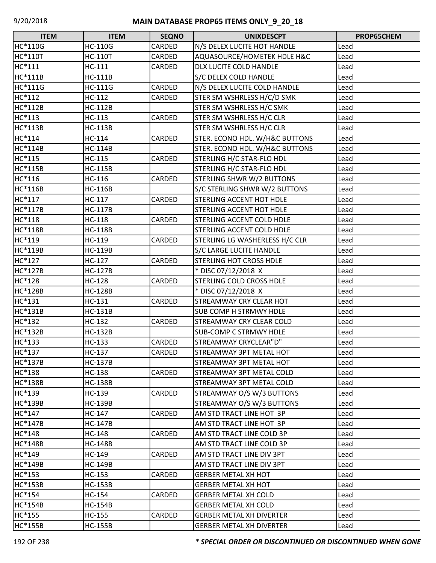| <b>ITEM</b>    | <b>ITEM</b>    | <b>SEQNO</b>  | <b>UNIXDESCPT</b>                | PROP65CHEM |
|----------------|----------------|---------------|----------------------------------|------------|
| HC*110G        | <b>HC-110G</b> | CARDED        | N/S DELEX LUCITE HOT HANDLE      | Lead       |
| <b>HC*110T</b> | <b>HC-110T</b> | CARDED        | AQUASOURCE/HOMETEK HDLE H&C      | Lead       |
| HC*111         | $HC-111$       | CARDED        | DLX LUCITE COLD HANDLE           | Lead       |
| HC*111B        | <b>HC-111B</b> |               | S/C DELEX COLD HANDLE            | Lead       |
| HC*111G        | <b>HC-111G</b> | CARDED        | N/S DELEX LUCITE COLD HANDLE     | Lead       |
| HC*112         | HC-112         | CARDED        | STER SM WSHRLESS H/C/D SMK       | Lead       |
| <b>HC*112B</b> | <b>HC-112B</b> |               | STER SM WSHRLESS H/C SMK         | Lead       |
| HC*113         | HC-113         | CARDED        | STER SM WSHRLESS H/C CLR         | Lead       |
| HC*113B        | <b>HC-113B</b> |               | STER SM WSHRLESS H/C CLR         | Lead       |
| HC*114         | HC-114         | CARDED        | STER. ECONO HDL. W/H&C BUTTONS   | Lead       |
| HC*114B        | <b>HC-114B</b> |               | STER. ECONO HDL. W/H&C BUTTONS   | Lead       |
| HC*115         | HC-115         | CARDED        | STERLING H/C STAR-FLO HDL        | Lead       |
| HC*115B        | <b>HC-115B</b> |               | STERLING H/C STAR-FLO HDL        | Lead       |
| HC*116         | HC-116         | CARDED        | <b>STERLING SHWR W/2 BUTTONS</b> | Lead       |
| HC*116B        | <b>HC-116B</b> |               | S/C STERLING SHWR W/2 BUTTONS    | Lead       |
| HC*117         | HC-117         | CARDED        | <b>STERLING ACCENT HOT HDLE</b>  | Lead       |
| <b>HC*117B</b> | <b>HC-117B</b> |               | <b>STERLING ACCENT HOT HDLE</b>  | Lead       |
| HC*118         | <b>HC-118</b>  | CARDED        | <b>STERLING ACCENT COLD HDLE</b> | Lead       |
| <b>HC*118B</b> | <b>HC-118B</b> |               | <b>STERLING ACCENT COLD HDLE</b> | Lead       |
| HC*119         | HC-119         | CARDED        | STERLING LG WASHERLESS H/C CLR   | Lead       |
| HC*119B        | <b>HC-119B</b> |               | S/C LARGE LUCITE HANDLE          | Lead       |
| HC*127         | HC-127         | CARDED        | <b>STERLING HOT CROSS HDLE</b>   | Lead       |
| <b>HC*127B</b> | <b>HC-127B</b> |               | * DISC 07/12/2018 X              | Lead       |
| HC*128         | <b>HC-128</b>  | CARDED        | <b>STERLING COLD CROSS HDLE</b>  | Lead       |
| <b>HC*128B</b> | <b>HC-128B</b> |               | * DISC 07/12/2018 X              | Lead       |
| HC*131         | HC-131         | CARDED        | <b>STREAMWAY CRY CLEAR HOT</b>   | Lead       |
| <b>HC*131B</b> | <b>HC-131B</b> |               | <b>SUB COMP H STRMWY HDLE</b>    | Lead       |
| HC*132         | HC-132         | CARDED        | <b>STREAMWAY CRY CLEAR COLD</b>  | Lead       |
| HC*132B        | <b>HC-132B</b> |               | <b>SUB-COMP C STRMWY HDLE</b>    | Lead       |
| HC*133         | HC-133         | CARDED        | STREAMWAY CRYCLEAR"D"            | Lead       |
| HC*137         | HC-137         | <b>CARDED</b> | <b>STREAMWAY 3PT METAL HOT</b>   | Lead       |
| <b>HC*137B</b> | <b>HC-137B</b> |               | STREAMWAY 3PT METAL HOT          | Lead       |
| HC*138         | HC-138         | CARDED        | <b>STREAMWAY 3PT METAL COLD</b>  | Lead       |
| HC*138B        | <b>HC-138B</b> |               | <b>STREAMWAY 3PT METAL COLD</b>  | Lead       |
| HC*139         | HC-139         | CARDED        | STREAMWAY O/S W/3 BUTTONS        | Lead       |
| HC*139B        | <b>HC-139B</b> |               | STREAMWAY O/S W/3 BUTTONS        | Lead       |
| HC*147         | HC-147         | CARDED        | AM STD TRACT LINE HOT 3P         | Lead       |
| <b>HC*147B</b> | HC-147B        |               | AM STD TRACT LINE HOT 3P         | Lead       |
| HC*148         | <b>HC-148</b>  | CARDED        | AM STD TRACT LINE COLD 3P        | Lead       |
| <b>HC*148B</b> | <b>HC-148B</b> |               | AM STD TRACT LINE COLD 3P        | Lead       |
| HC*149         | HC-149         | CARDED        | AM STD TRACT LINE DIV 3PT        | Lead       |
| <b>HC*149B</b> | HC-149B        |               | AM STD TRACT LINE DIV 3PT        | Lead       |
| HC*153         | HC-153         | CARDED        | <b>GERBER METAL XH HOT</b>       | Lead       |
| <b>HC*153B</b> | <b>HC-153B</b> |               | <b>GERBER METAL XH HOT</b>       | Lead       |
| HC*154         | HC-154         | CARDED        | <b>GERBER METAL XH COLD</b>      | Lead       |
| <b>HC*154B</b> | <b>HC-154B</b> |               | <b>GERBER METAL XH COLD</b>      | Lead       |
| HC*155         | HC-155         | CARDED        | <b>GERBER METAL XH DIVERTER</b>  | Lead       |
| <b>HC*155B</b> | <b>HC-155B</b> |               | <b>GERBER METAL XH DIVERTER</b>  | Lead       |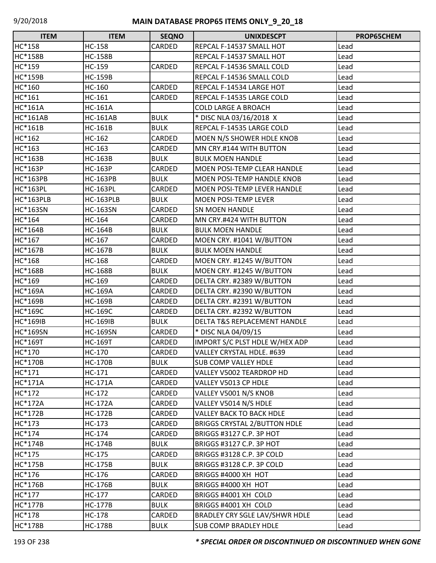| <b>ITEM</b>      | <b>ITEM</b>      | <b>SEQNO</b> | <b>UNIXDESCPT</b>                   | PROP65CHEM |
|------------------|------------------|--------------|-------------------------------------|------------|
| HC*158           | <b>HC-158</b>    | CARDED       | REPCAL F-14537 SMALL HOT            | Lead       |
| <b>HC*158B</b>   | <b>HC-158B</b>   |              | REPCAL F-14537 SMALL HOT            | Lead       |
| HC*159           | HC-159           | CARDED       | REPCAL F-14536 SMALL COLD           | Lead       |
| <b>HC*159B</b>   | <b>HC-159B</b>   |              | REPCAL F-14536 SMALL COLD           | Lead       |
| HC*160           | HC-160           | CARDED       | REPCAL F-14534 LARGE HOT            | Lead       |
| HC*161           | HC-161           | CARDED       | REPCAL F-14535 LARGE COLD           | Lead       |
| HC*161A          | <b>HC-161A</b>   |              | <b>COLD LARGE A BROACH</b>          | Lead       |
| <b>HC*161AB</b>  | <b>HC-161AB</b>  | <b>BULK</b>  | * DISC NLA 03/16/2018 X             | Lead       |
| HC*161B          | <b>HC-161B</b>   | <b>BULK</b>  | REPCAL F-14535 LARGE COLD           | Lead       |
| HC*162           | HC-162           | CARDED       | MOEN N/S SHOWER HDLE KNOB           | Lead       |
| HC*163           | HC-163           | CARDED       | MN CRY.#144 WITH BUTTON             | Lead       |
| HC*163B          | <b>HC-163B</b>   | <b>BULK</b>  | <b>BULK MOEN HANDLE</b>             | Lead       |
| <b>HC*163P</b>   | <b>HC-163P</b>   | CARDED       | <b>MOEN POSI-TEMP CLEAR HANDLE</b>  | Lead       |
| <b>HC*163PB</b>  | <b>HC-163PB</b>  | <b>BULK</b>  | MOEN POSI-TEMP HANDLE KNOB          | Lead       |
| <b>HC*163PL</b>  | <b>HC-163PL</b>  | CARDED       | MOEN POSI-TEMP LEVER HANDLE         | Lead       |
| <b>HC*163PLB</b> | <b>HC-163PLB</b> | <b>BULK</b>  | MOEN POSI-TEMP LEVER                | Lead       |
| <b>HC*163SN</b>  | <b>HC-163SN</b>  | CARDED       | SN MOEN HANDLE                      | Lead       |
| HC*164           | HC-164           | CARDED       | MN CRY.#424 WITH BUTTON             | Lead       |
| HC*164B          | <b>HC-164B</b>   | <b>BULK</b>  | <b>BULK MOEN HANDLE</b>             | Lead       |
| HC*167           | HC-167           | CARDED       | MOEN CRY. #1041 W/BUTTON            | Lead       |
| HC*167B          | <b>HC-167B</b>   | <b>BULK</b>  | <b>BULK MOEN HANDLE</b>             | Lead       |
| HC*168           | <b>HC-168</b>    | CARDED       | MOEN CRY. #1245 W/BUTTON            | Lead       |
| <b>HC*168B</b>   | <b>HC-168B</b>   | <b>BULK</b>  | MOEN CRY. #1245 W/BUTTON            | Lead       |
| HC*169           | HC-169           | CARDED       | DELTA CRY. #2389 W/BUTTON           | Lead       |
| HC*169A          | <b>HC-169A</b>   | CARDED       | DELTA CRY. #2390 W/BUTTON           | Lead       |
| HC*169B          | <b>HC-169B</b>   | CARDED       | DELTA CRY. #2391 W/BUTTON           | Lead       |
| <b>HC*169C</b>   | <b>HC-169C</b>   | CARDED       | DELTA CRY. #2392 W/BUTTON           | Lead       |
| <b>HC*169IB</b>  | <b>HC-169IB</b>  | <b>BULK</b>  | DELTA T&S REPLACEMENT HANDLE        | Lead       |
| <b>HC*169SN</b>  | <b>HC-169SN</b>  | CARDED       | * DISC NLA 04/09/15                 | Lead       |
| <b>HC*169T</b>   | <b>HC-169T</b>   | CARDED       | IMPORT S/C PLST HDLE W/HEX ADP      | Lead       |
| HC*170           | HC-170           | CARDED       | VALLEY CRYSTAL HDLE. #639           | Lead       |
| <b>HC*170B</b>   | <b>HC-170B</b>   | <b>BULK</b>  | <b>SUB COMP VALLEY HDLE</b>         | Lead       |
| HC*171           | $HC-171$         | CARDED       | VALLEY V5002 TEARDROP HD            | Lead       |
| <b>HC*171A</b>   | <b>HC-171A</b>   | CARDED       | VALLEY V5013 CP HDLE                | Lead       |
| HC*172           | HC-172           | CARDED       | VALLEY V5001 N/S KNOB               | Lead       |
| <b>HC*172A</b>   | <b>HC-172A</b>   | CARDED       | VALLEY V5014 N/S HDLE               | Lead       |
| HC*172B          | <b>HC-172B</b>   | CARDED       | <b>VALLEY BACK TO BACK HDLE</b>     | Lead       |
| HC*173           | HC-173           | CARDED       | <b>BRIGGS CRYSTAL 2/BUTTON HDLE</b> | Lead       |
| HC*174           | HC-174           | CARDED       | BRIGGS #3127 C.P. 3P HOT            | Lead       |
| HC*174B          | <b>HC-174B</b>   | <b>BULK</b>  | BRIGGS #3127 C.P. 3P HOT            | Lead       |
| HC*175           | HC-175           | CARDED       | BRIGGS #3128 C.P. 3P COLD           | Lead       |
| <b>HC*175B</b>   | <b>HC-175B</b>   | <b>BULK</b>  | BRIGGS #3128 C.P. 3P COLD           | Lead       |
| HC*176           | HC-176           | CARDED       | BRIGGS #4000 XH HOT                 | Lead       |
| HC*176B          | <b>HC-176B</b>   | <b>BULK</b>  | BRIGGS #4000 XH HOT                 | Lead       |
| HC*177           | HC-177           | CARDED       | BRIGGS #4001 XH COLD                | Lead       |
| HC*177B          | <b>HC-177B</b>   | <b>BULK</b>  | BRIGGS #4001 XH COLD                | Lead       |
| HC*178           | HC-178           | CARDED       | BRADLEY CRY SGLE LAV/SHWR HDLE      | Lead       |
| HC*178B          | <b>HC-178B</b>   | <b>BULK</b>  | SUB COMP BRADLEY HDLE               | Lead       |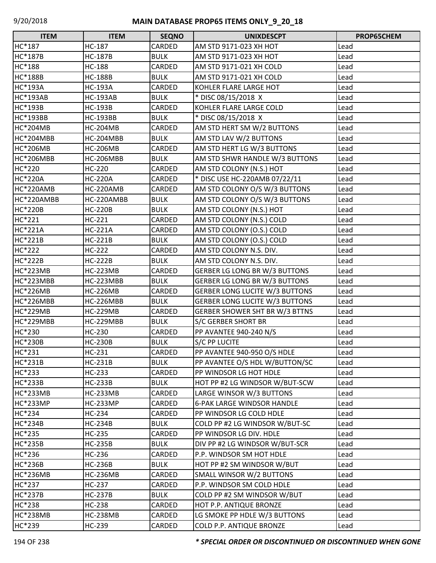| <b>ITEM</b>     | <b>ITEM</b>      | <b>SEQNO</b>  | <b>UNIXDESCPT</b>                     | PROP65CHEM |
|-----------------|------------------|---------------|---------------------------------------|------------|
| HC*187          | <b>HC-187</b>    | CARDED        | AM STD 9171-023 XH HOT                | Lead       |
| <b>HC*187B</b>  | <b>HC-187B</b>   | <b>BULK</b>   | AM STD 9171-023 XH HOT                | Lead       |
| HC*188          | <b>HC-188</b>    | CARDED        | AM STD 9171-021 XH COLD               | Lead       |
| <b>HC*188B</b>  | <b>HC-188B</b>   | <b>BULK</b>   | AM STD 9171-021 XH COLD               | Lead       |
| <b>HC*193A</b>  | <b>HC-193A</b>   | <b>CARDED</b> | KOHLER FLARE LARGE HOT                | Lead       |
| <b>HC*193AB</b> | <b>HC-193AB</b>  | <b>BULK</b>   | * DISC 08/15/2018 X                   | Lead       |
| <b>HC*193B</b>  | <b>HC-193B</b>   | CARDED        | KOHLER FLARE LARGE COLD               | Lead       |
| <b>HC*193BB</b> | <b>HC-193BB</b>  | <b>BULK</b>   | * DISC 08/15/2018 X                   | Lead       |
| HC*204MB        | <b>HC-204MB</b>  | CARDED        | AM STD HERT SM W/2 BUTTONS            | Lead       |
| HC*204MBB       | HC-204MBB        | <b>BULK</b>   | AM STD LAV W/2 BUTTONS                | Lead       |
| <b>HC*206MB</b> | <b>HC-206MB</b>  | CARDED        | AM STD HERT LG W/3 BUTTONS            | Lead       |
| HC*206MBB       | <b>HC-206MBB</b> | <b>BULK</b>   | AM STD SHWR HANDLE W/3 BUTTONS        | Lead       |
| HC*220          | HC-220           | CARDED        | AM STD COLONY (N.S.) HOT              | Lead       |
| <b>HC*220A</b>  | <b>HC-220A</b>   | CARDED        | * DISC USE HC-220AMB 07/22/11         | Lead       |
| HC*220AMB       | HC-220AMB        | CARDED        | AM STD COLONY O/S W/3 BUTTONS         | Lead       |
| HC*220AMBB      | HC-220AMBB       | <b>BULK</b>   | AM STD COLONY O/S W/3 BUTTONS         | Lead       |
| <b>HC*220B</b>  | <b>HC-220B</b>   | <b>BULK</b>   | AM STD COLONY (N.S.) HOT              | Lead       |
| HC*221          | HC-221           | CARDED        | AM STD COLONY (N.S.) COLD             | Lead       |
| <b>HC*221A</b>  | <b>HC-221A</b>   | CARDED        | AM STD COLONY (O.S.) COLD             | Lead       |
| <b>HC*221B</b>  | <b>HC-221B</b>   | <b>BULK</b>   | AM STD COLONY (O.S.) COLD             | Lead       |
| HC*222          | <b>HC-222</b>    | CARDED        | AM STD COLONY N.S. DIV.               | Lead       |
| <b>HC*222B</b>  | <b>HC-222B</b>   | <b>BULK</b>   | AM STD COLONY N.S. DIV.               | Lead       |
| HC*223MB        | <b>HC-223MB</b>  | CARDED        | <b>GERBER LG LONG BR W/3 BUTTONS</b>  | Lead       |
| HC*223MBB       | HC-223MBB        | <b>BULK</b>   | <b>GERBER LG LONG BR W/3 BUTTONS</b>  | Lead       |
| HC*226MB        | <b>HC-226MB</b>  | CARDED        | <b>GERBER LONG LUCITE W/3 BUTTONS</b> | Lead       |
| HC*226MBB       | HC-226MBB        | <b>BULK</b>   | <b>GERBER LONG LUCITE W/3 BUTTONS</b> | Lead       |
| HC*229MB        | <b>HC-229MB</b>  | CARDED        | <b>GERBER SHOWER SHT BR W/3 BTTNS</b> | Lead       |
| HC*229MBB       | HC-229MBB        | <b>BULK</b>   | <b>S/C GERBER SHORT BR</b>            | Lead       |
| HC*230          | HC-230           | CARDED        | <b>PP AVANTEE 940-240 N/S</b>         | Lead       |
| <b>HC*230B</b>  | <b>HC-230B</b>   | <b>BULK</b>   | <b>S/C PP LUCITE</b>                  | Lead       |
| HC*231          | HC-231           | CARDED        | PP AVANTEE 940-950 O/S HDLE           | Lead       |
| <b>HC*231B</b>  | <b>HC-231B</b>   | <b>BULK</b>   | PP AVANTEE O/S HDL W/BUTTON/SC        | Lead       |
| HC*233          | HC-233           | CARDED        | PP WINDSOR LG HOT HDLE                | Lead       |
| <b>HC*233B</b>  | <b>HC-233B</b>   | <b>BULK</b>   | HOT PP #2 LG WINDSOR W/BUT-SCW        | Lead       |
| <b>HC*233MB</b> | <b>HC-233MB</b>  | CARDED        | LARGE WINSOR W/3 BUTTONS              | Lead       |
| <b>HC*233MP</b> | <b>HC-233MP</b>  | CARDED        | <b>6-PAK LARGE WINDSOR HANDLE</b>     | Lead       |
| HC*234          | HC-234           | CARDED        | PP WINDSOR LG COLD HDLE               | Lead       |
| <b>HC*234B</b>  | <b>HC-234B</b>   | <b>BULK</b>   | COLD PP #2 LG WINDSOR W/BUT-SC        | Lead       |
| HC*235          | HC-235           | CARDED        | PP WINDSOR LG DIV. HDLE               | Lead       |
| <b>HC*235B</b>  | <b>HC-235B</b>   | <b>BULK</b>   | DIV PP #2 LG WINDSOR W/BUT-SCR        | Lead       |
| HC*236          | HC-236           | CARDED        | P.P. WINDSOR SM HOT HDLE              | Lead       |
| <b>HC*236B</b>  | <b>HC-236B</b>   | <b>BULK</b>   | HOT PP #2 SM WINDSOR W/BUT            | Lead       |
| <b>HC*236MB</b> | <b>HC-236MB</b>  | CARDED        | SMALL WINSOR W/2 BUTTONS              | Lead       |
| HC*237          | HC-237           | CARDED        | P.P. WINDSOR SM COLD HDLE             | Lead       |
| <b>HC*237B</b>  | <b>HC-237B</b>   | <b>BULK</b>   | COLD PP #2 SM WINDSOR W/BUT           | Lead       |
| <b>HC*238</b>   | <b>HC-238</b>    | CARDED        | HOT P.P. ANTIQUE BRONZE               | Lead       |
| <b>HC*238MB</b> | <b>HC-238MB</b>  | CARDED        | LG SMOKE PP HDLE W/3 BUTTONS          | Lead       |
| HC*239          | HC-239           | CARDED        | COLD P.P. ANTIQUE BRONZE              | Lead       |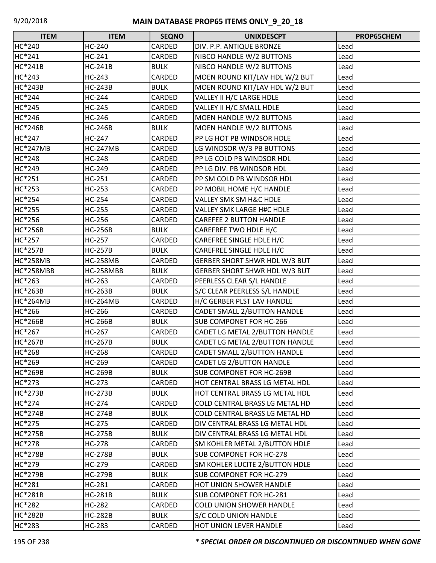| <b>ITEM</b>     | <b>ITEM</b>     | <b>SEQNO</b> | <b>UNIXDESCPT</b>                    | PROP65CHEM |
|-----------------|-----------------|--------------|--------------------------------------|------------|
| HC*240          | HC-240          | CARDED       | DIV. P.P. ANTIQUE BRONZE             | Lead       |
| HC*241          | $HC-241$        | CARDED       | NIBCO HANDLE W/2 BUTTONS             | Lead       |
| <b>HC*241B</b>  | <b>HC-241B</b>  | <b>BULK</b>  | NIBCO HANDLE W/2 BUTTONS             | Lead       |
| HC*243          | HC-243          | CARDED       | MOEN ROUND KIT/LAV HDL W/2 BUT       | Lead       |
| <b>HC*243B</b>  | <b>HC-243B</b>  | <b>BULK</b>  | MOEN ROUND KIT/LAV HDL W/2 BUT       | Lead       |
| HC*244          | HC-244          | CARDED       | VALLEY II H/C LARGE HDLE             | Lead       |
| HC*245          | <b>HC-245</b>   | CARDED       | VALLEY II H/C SMALL HDLE             | Lead       |
| HC*246          | HC-246          | CARDED       | MOEN HANDLE W/2 BUTTONS              | Lead       |
| <b>HC*246B</b>  | <b>HC-246B</b>  | <b>BULK</b>  | MOEN HANDLE W/2 BUTTONS              | Lead       |
| HC*247          | HC-247          | CARDED       | PP LG HOT PB WINDSOR HDLE            | Lead       |
| HC*247MB        | <b>HC-247MB</b> | CARDED       | LG WINDSOR W/3 PB BUTTONS            | Lead       |
| HC*248          | <b>HC-248</b>   | CARDED       | PP LG COLD PB WINDSOR HDL            | Lead       |
| HC*249          | HC-249          | CARDED       | PP LG DIV. PB WINDSOR HDL            | Lead       |
| HC*251          | HC-251          | CARDED       | PP SM COLD PB WINDSOR HDL            | Lead       |
| HC*253          | HC-253          | CARDED       | PP MOBIL HOME H/C HANDLE             | Lead       |
| HC*254          | HC-254          | CARDED       | <b>VALLEY SMK SM H&amp;C HDLE</b>    | Lead       |
| HC*255          | <b>HC-255</b>   | CARDED       | <b>VALLEY SMK LARGE H#C HDLE</b>     | Lead       |
| HC*256          | HC-256          | CARDED       | <b>CAREFEE 2 BUTTON HANDLE</b>       | Lead       |
| <b>HC*256B</b>  | <b>HC-256B</b>  | <b>BULK</b>  | CAREFREE TWO HDLE H/C                | Lead       |
| HC*257          | <b>HC-257</b>   | CARDED       | CAREFREE SINGLE HDLE H/C             | Lead       |
| <b>HC*257B</b>  | <b>HC-257B</b>  | <b>BULK</b>  | CAREFREE SINGLE HDLE H/C             | Lead       |
| HC*258MB        | <b>HC-258MB</b> | CARDED       | GERBER SHORT SHWR HDL W/3 BUT        | Lead       |
| HC*258MBB       | HC-258MBB       | <b>BULK</b>  | <b>GERBER SHORT SHWR HDL W/3 BUT</b> | Lead       |
| HC*263          | HC-263          | CARDED       | PEERLESS CLEAR S/L HANDLE            | Lead       |
| <b>HC*263B</b>  | <b>HC-263B</b>  | <b>BULK</b>  | S/C CLEAR PEERLESS S/L HANDLE        | Lead       |
| <b>HC*264MB</b> | <b>HC-264MB</b> | CARDED       | H/C GERBER PLST LAV HANDLE           | Lead       |
| HC*266          | HC-266          | CARDED       | <b>CADET SMALL 2/BUTTON HANDLE</b>   | Lead       |
| <b>HC*266B</b>  | <b>HC-266B</b>  | <b>BULK</b>  | <b>SUB COMPONET FOR HC-266</b>       | Lead       |
| HC*267          | HC-267          | CARDED       | CADET LG METAL 2/BUTTON HANDLE       | Lead       |
| <b>HC*267B</b>  | <b>HC-267B</b>  | <b>BULK</b>  | CADET LG METAL 2/BUTTON HANDLE       | Lead       |
| HC*268          | <b>HC-268</b>   | CARDED       | <b>CADET SMALL 2/BUTTON HANDLE</b>   | Lead       |
| HC*269          | HC-269          | CARDED       | <b>CADET LG 2/BUTTON HANDLE</b>      | Lead       |
| <b>HC*269B</b>  | <b>HC-269B</b>  | <b>BULK</b>  | <b>SUB COMPONET FOR HC-269B</b>      | Lead       |
| HC*273          | HC-273          | CARDED       | HOT CENTRAL BRASS LG METAL HDL       | Lead       |
| <b>HC*273B</b>  | <b>HC-273B</b>  | <b>BULK</b>  | HOT CENTRAL BRASS LG METAL HDL       | Lead       |
| HC*274          | <b>HC-274</b>   | CARDED       | COLD CENTRAL BRASS LG METAL HD       | Lead       |
| <b>HC*274B</b>  | <b>HC-274B</b>  | <b>BULK</b>  | COLD CENTRAL BRASS LG METAL HD       | Lead       |
| HC*275          | HC-275          | CARDED       | DIV CENTRAL BRASS LG METAL HDL       | Lead       |
| <b>HC*275B</b>  | <b>HC-275B</b>  | <b>BULK</b>  | DIV CENTRAL BRASS LG METAL HDL       | Lead       |
| HC*278          | HC-278          | CARDED       | SM KOHLER METAL 2/BUTTON HDLE        | Lead       |
| <b>HC*278B</b>  | <b>HC-278B</b>  | <b>BULK</b>  | <b>SUB COMPONET FOR HC-278</b>       | Lead       |
| HC*279          | HC-279          | CARDED       | SM KOHLER LUCITE 2/BUTTON HDLE       | Lead       |
| <b>HC*279B</b>  | <b>HC-279B</b>  | <b>BULK</b>  | <b>SUB COMPONET FOR HC-279</b>       | Lead       |
| HC*281          | HC-281          | CARDED       | HOT UNION SHOWER HANDLE              | Lead       |
| <b>HC*281B</b>  | <b>HC-281B</b>  | <b>BULK</b>  | <b>SUB COMPONET FOR HC-281</b>       | Lead       |
| HC*282          | <b>HC-282</b>   | CARDED       | <b>COLD UNION SHOWER HANDLE</b>      | Lead       |
| <b>HC*282B</b>  | <b>HC-282B</b>  | <b>BULK</b>  | S/C COLD UNION HANDLE                | Lead       |
| HC*283          | HC-283          | CARDED       | HOT UNION LEVER HANDLE               | Lead       |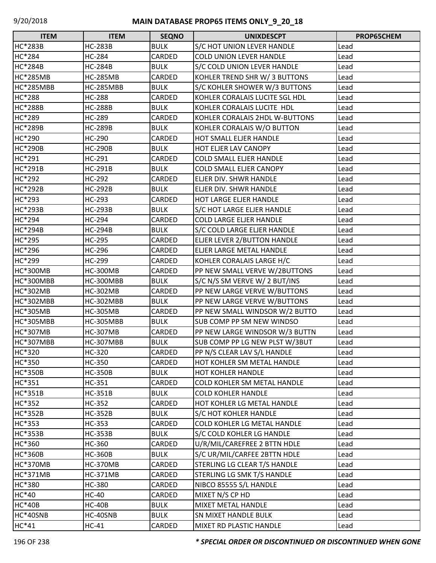| <b>ITEM</b>     | <b>ITEM</b>      | <b>SEQNO</b> | <b>UNIXDESCPT</b>                | PROP65CHEM |
|-----------------|------------------|--------------|----------------------------------|------------|
| <b>HC*283B</b>  | <b>HC-283B</b>   | <b>BULK</b>  | S/C HOT UNION LEVER HANDLE       | Lead       |
| HC*284          | <b>HC-284</b>    | CARDED       | <b>COLD UNION LEVER HANDLE</b>   | Lead       |
| <b>HC*284B</b>  | <b>HC-284B</b>   | <b>BULK</b>  | S/C COLD UNION LEVER HANDLE      | Lead       |
| <b>HC*285MB</b> | <b>HC-285MB</b>  | CARDED       | KOHLER TREND SHR W/ 3 BUTTONS    | Lead       |
| HC*285MBB       | <b>HC-285MBB</b> | <b>BULK</b>  | S/C KOHLER SHOWER W/3 BUTTONS    | Lead       |
| <b>HC*288</b>   | <b>HC-288</b>    | CARDED       | KOHLER CORALAIS LUCITE SGL HDL   | Lead       |
| <b>HC*288B</b>  | <b>HC-288B</b>   | <b>BULK</b>  | KOHLER CORALAIS LUCITE HDL       | Lead       |
| HC*289          | HC-289           | CARDED       | KOHLER CORALAIS 2HDL W-BUTTONS   | Lead       |
| <b>HC*289B</b>  | <b>HC-289B</b>   | <b>BULK</b>  | KOHLER CORALAIS W/O BUTTON       | Lead       |
| HC*290          | <b>HC-290</b>    | CARDED       | HOT SMALL ELJER HANDLE           | Lead       |
| <b>HC*290B</b>  | <b>HC-290B</b>   | <b>BULK</b>  | HOT ELJER LAV CANOPY             | Lead       |
| HC*291          | HC-291           | CARDED       | <b>COLD SMALL ELJER HANDLE</b>   | Lead       |
| <b>HC*291B</b>  | <b>HC-291B</b>   | <b>BULK</b>  | <b>COLD SMALL ELJER CANOPY</b>   | Lead       |
| HC*292          | HC-292           | CARDED       | ELJER DIV. SHWR HANDLE           | Lead       |
| <b>HC*292B</b>  | <b>HC-292B</b>   | <b>BULK</b>  | ELJER DIV. SHWR HANDLE           | Lead       |
| HC*293          | HC-293           | CARDED       | HOT LARGE ELJER HANDLE           | Lead       |
| <b>HC*293B</b>  | <b>HC-293B</b>   | <b>BULK</b>  | S/C HOT LARGE ELJER HANDLE       | Lead       |
| HC*294          | HC-294           | CARDED       | <b>COLD LARGE ELJER HANDLE</b>   | Lead       |
| <b>HC*294B</b>  | <b>HC-294B</b>   | <b>BULK</b>  | S/C COLD LARGE ELJER HANDLE      | Lead       |
| HC*295          | HC-295           | CARDED       | ELJER LEVER 2/BUTTON HANDLE      | Lead       |
| HC*296          | HC-296           | CARDED       | ELJER LARGE METAL HANDLE         | Lead       |
| HC*299          | HC-299           | CARDED       | KOHLER CORALAIS LARGE H/C        | Lead       |
| <b>HC*300MB</b> | <b>HC-300MB</b>  | CARDED       | PP NEW SMALL VERVE W/2BUTTONS    | Lead       |
| HC*300MBB       | HC-300MBB        | <b>BULK</b>  | S/C N/S SM VERVE W/ 2 BUT/INS    | Lead       |
| <b>HC*302MB</b> | <b>HC-302MB</b>  | CARDED       | PP NEW LARGE VERVE W/BUTTONS     | Lead       |
| HC*302MBB       | HC-302MBB        | <b>BULK</b>  | PP NEW LARGE VERVE W/BUTTONS     | Lead       |
| <b>HC*305MB</b> | <b>HC-305MB</b>  | CARDED       | PP NEW SMALL WINDSOR W/2 BUTTO   | Lead       |
| HC*305MBB       | <b>HC-305MBB</b> | <b>BULK</b>  | <b>SUB COMP PP SM NEW WINDSO</b> | Lead       |
| <b>HC*307MB</b> | <b>HC-307MB</b>  | CARDED       | PP NEW LARGE WINDSOR W/3 BUTTN   | Lead       |
| HC*307MBB       | HC-307MBB        | <b>BULK</b>  | SUB COMP PP LG NEW PLST W/3BUT   | Lead       |
| HC*320          | <b>HC-320</b>    | CARDED       | PP N/S CLEAR LAV S/L HANDLE      | Lead       |
| HC*350          | <b>HC-350</b>    | CARDED       | HOT KOHLER SM METAL HANDLE       | Lead       |
| <b>HC*350B</b>  | <b>HC-350B</b>   | <b>BULK</b>  | <b>HOT KOHLER HANDLE</b>         | Lead       |
| HC*351          | HC-351           | CARDED       | COLD KOHLER SM METAL HANDLE      | Lead       |
| <b>HC*351B</b>  | <b>HC-351B</b>   | <b>BULK</b>  | <b>COLD KOHLER HANDLE</b>        | Lead       |
| HC*352          | HC-352           | CARDED       | HOT KOHLER LG METAL HANDLE       | Lead       |
| <b>HC*352B</b>  | <b>HC-352B</b>   | <b>BULK</b>  | S/C HOT KOHLER HANDLE            | Lead       |
| HC*353          | HC-353           | CARDED       | COLD KOHLER LG METAL HANDLE      | Lead       |
| <b>HC*353B</b>  | <b>HC-353B</b>   | <b>BULK</b>  | S/C COLD KOHLER LG HANDLE        | Lead       |
| HC*360          | HC-360           | CARDED       | U/R/MIL/CAREFREE 2 BTTN HDLE     | Lead       |
| <b>HC*360B</b>  | <b>HC-360B</b>   | <b>BULK</b>  | S/C UR/MIL/CARFEE 2BTTN HDLE     | Lead       |
| HC*370MB        | <b>HC-370MB</b>  | CARDED       | STERLING LG CLEAR T/S HANDLE     | Lead       |
| <b>HC*371MB</b> | <b>HC-371MB</b>  | CARDED       | STERLING LG SMK T/S HANDLE       | Lead       |
| HC*380          | HC-380           | CARDED       | NIBCO 85555 S/L HANDLE           | Lead       |
| HC*40           | <b>HC-40</b>     | CARDED       | MIXET N/S CP HD                  | Lead       |
| <b>HC*40B</b>   | $HC-40B$         | <b>BULK</b>  | <b>MIXET METAL HANDLE</b>        | Lead       |
| HC*40SNB        | HC-40SNB         | <b>BULK</b>  | <b>SN MIXET HANDLE BULK</b>      | Lead       |
| $HC*41$         | $HC-41$          | CARDED       | MIXET RD PLASTIC HANDLE          | Lead       |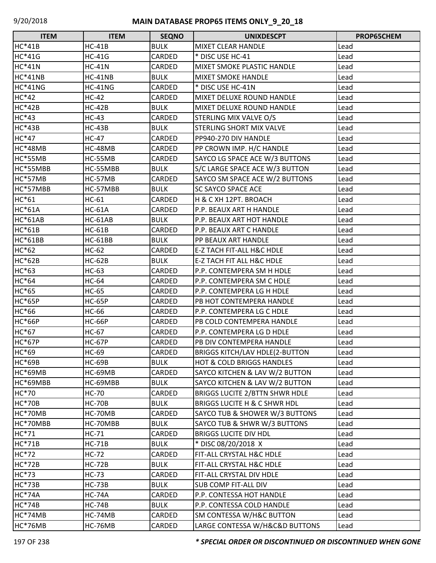| <b>ITEM</b>    | <b>ITEM</b>    | <b>SEQNO</b>  | <b>UNIXDESCPT</b>                       | PROP65CHEM |
|----------------|----------------|---------------|-----------------------------------------|------------|
| <b>HC*41B</b>  | $HC-41B$       | <b>BULK</b>   | <b>MIXET CLEAR HANDLE</b>               | Lead       |
| <b>HC*41G</b>  | $HC-41G$       | <b>CARDED</b> | * DISC USE HC-41                        | Lead       |
| <b>HC*41N</b>  | $HC-41N$       | <b>CARDED</b> | <b>MIXET SMOKE PLASTIC HANDLE</b>       | Lead       |
| HC*41NB        | HC-41NB        | <b>BULK</b>   | <b>MIXET SMOKE HANDLE</b>               | Lead       |
| <b>HC*41NG</b> | <b>HC-41NG</b> | CARDED        | * DISC USE HC-41N                       | Lead       |
| HC*42          | $HC-42$        | CARDED        | MIXET DELUXE ROUND HANDLE               | Lead       |
| <b>HC*42B</b>  | $HC-42B$       | <b>BULK</b>   | MIXET DELUXE ROUND HANDLE               | Lead       |
| $HC*43$        | $HC-43$        | <b>CARDED</b> | STERLING MIX VALVE O/S                  | Lead       |
| <b>HC*43B</b>  | <b>HC-43B</b>  | <b>BULK</b>   | STERLING SHORT MIX VALVE                | Lead       |
| $HC*47$        | $HC-47$        | CARDED        | PP940-270 DIV HANDLE                    | Lead       |
| HC*48MB        | HC-48MB        | CARDED        | PP CROWN IMP. H/C HANDLE                | Lead       |
| HC*55MB        | HC-55MB        | CARDED        | SAYCO LG SPACE ACE W/3 BUTTONS          | Lead       |
| HC*55MBB       | HC-55MBB       | <b>BULK</b>   | S/C LARGE SPACE ACE W/3 BUTTON          | Lead       |
| HC*57MB        | HC-57MB        | CARDED        | SAYCO SM SPACE ACE W/2 BUTTONS          | Lead       |
| HC*57MBB       | HC-57MBB       | <b>BULK</b>   | <b>SC SAYCO SPACE ACE</b>               | Lead       |
| $HC*61$        | $HC-61$        | CARDED        | H & C XH 12PT. BROACH                   | Lead       |
| <b>HC*61A</b>  | <b>HC-61A</b>  | CARDED        | P.P. BEAUX ART H HANDLE                 | Lead       |
| <b>HC*61AB</b> | $HC-61AB$      | <b>BULK</b>   | P.P. BEAUX ART HOT HANDLE               | Lead       |
| <b>HC*61B</b>  | $HC-61B$       | CARDED        | P.P. BEAUX ART C HANDLE                 | Lead       |
| <b>HC*61BB</b> | HC-61BB        | <b>BULK</b>   | PP BEAUX ART HANDLE                     | Lead       |
| $HC*62$        | $HC-62$        | CARDED        | E-Z TACH FIT-ALL H&C HDLE               | Lead       |
| <b>HC*62B</b>  | $HC-62B$       | <b>BULK</b>   | E-Z TACH FIT ALL H&C HDLE               | Lead       |
| HC*63          | HC-63          | CARDED        | P.P. CONTEMPERA SM H HDLE               | Lead       |
| HC*64          | <b>HC-64</b>   | CARDED        | P.P. CONTEMPERA SM C HDLE               | Lead       |
| HC*65          | <b>HC-65</b>   | CARDED        | P.P. CONTEMPERA LG H HDLE               | Lead       |
| <b>HC*65P</b>  | <b>HC-65P</b>  | CARDED        | PB HOT CONTEMPERA HANDLE                | Lead       |
| HC*66          | <b>HC-66</b>   | CARDED        | P.P. CONTEMPERA LG C HDLE               | Lead       |
| <b>HC*66P</b>  | <b>HC-66P</b>  | CARDED        | PB COLD CONTEMPERA HANDLE               | Lead       |
| HC*67          | <b>HC-67</b>   | CARDED        | P.P. CONTEMPERA LG D HDLE               | Lead       |
| <b>HC*67P</b>  | <b>HC-67P</b>  | <b>CARDED</b> | PB DIV CONTEMPERA HANDLE                | Lead       |
| HC*69          | <b>HC-69</b>   | <b>CARDED</b> | <b>BRIGGS KITCH/LAV HDLE(2-BUTTON</b>   | Lead       |
| <b>HC*69B</b>  | <b>HC-69B</b>  | <b>BULK</b>   | <b>HOT &amp; COLD BRIGGS HANDLES</b>    | Lead       |
| HC*69MB        | HC-69MB        | CARDED        | SAYCO KITCHEN & LAV W/2 BUTTON          | Lead       |
| HC*69MBB       | HC-69MBB       | <b>BULK</b>   | SAYCO KITCHEN & LAV W/2 BUTTON          | Lead       |
| HC*70          | <b>HC-70</b>   | CARDED        | <b>BRIGGS LUCITE 2/BTTN SHWR HDLE</b>   | Lead       |
| <b>HC*70B</b>  | <b>HC-70B</b>  | <b>BULK</b>   | <b>BRIGGS LUCITE H &amp; C SHWR HDL</b> | Lead       |
| HC*70MB        | HC-70MB        | CARDED        | SAYCO TUB & SHOWER W/3 BUTTONS          | Lead       |
| HC*70MBB       | HC-70MBB       | <b>BULK</b>   | SAYCO TUB & SHWR W/3 BUTTONS            | Lead       |
| HC*71          | $HC-71$        | CARDED        | <b>BRIGGS LUCITE DIV HDL</b>            | Lead       |
| <b>HC*71B</b>  | <b>HC-71B</b>  | <b>BULK</b>   | * DISC 08/20/2018 X                     | Lead       |
| HC*72          | $HC-72$        | CARDED        | FIT-ALL CRYSTAL H&C HDLE                | Lead       |
| <b>HC*72B</b>  | <b>HC-72B</b>  | <b>BULK</b>   | FIT-ALL CRYSTAL H&C HDLE                | Lead       |
| HC*73          | $HC-73$        | CARDED        | FIT-ALL CRYSTAL DIV HDLE                | Lead       |
| <b>HC*73B</b>  | <b>HC-73B</b>  | <b>BULK</b>   | SUB COMP FIT-ALL DIV                    | Lead       |
| <b>HC*74A</b>  | <b>HC-74A</b>  | CARDED        | P.P. CONTESSA HOT HANDLE                | Lead       |
| <b>HC*74B</b>  | <b>HC-74B</b>  | <b>BULK</b>   | P.P. CONTESSA COLD HANDLE               | Lead       |
| HC*74MB        | HC-74MB        | CARDED        | SM CONTESSA W/H&C BUTTON                | Lead       |
| HC*76MB        | HC-76MB        | CARDED        | LARGE CONTESSA W/H&C&D BUTTONS          | Lead       |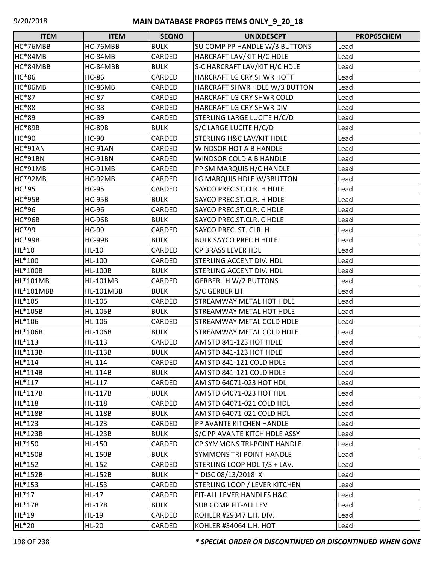| <b>ITEM</b>      | <b>ITEM</b>      | <b>SEQNO</b> | <b>UNIXDESCPT</b>                    | PROP65CHEM |
|------------------|------------------|--------------|--------------------------------------|------------|
| HC*76MBB         | HC-76MBB         | <b>BULK</b>  | SU COMP PP HANDLE W/3 BUTTONS        | Lead       |
| <b>HC*84MB</b>   | HC-84MB          | CARDED       | HARCRAFT LAV/KIT H/C HDLE            | Lead       |
| HC*84MBB         | HC-84MBB         | <b>BULK</b>  | S-C HARCRAFT LAV/KIT H/C HDLE        | Lead       |
| <b>HC*86</b>     | <b>HC-86</b>     | CARDED       | HARCRAFT LG CRY SHWR HOTT            | Lead       |
| <b>HC*86MB</b>   | HC-86MB          | CARDED       | HARCRAFT SHWR HDLE W/3 BUTTON        | Lead       |
| <b>HC*87</b>     | <b>HC-87</b>     | CARDED       | HARCRAFT LG CRY SHWR COLD            | Lead       |
| <b>HC*88</b>     | <b>HC-88</b>     | CARDED       | HARCRAFT LG CRY SHWR DIV             | Lead       |
| HC*89            | <b>HC-89</b>     | CARDED       | STERLING LARGE LUCITE H/C/D          | Lead       |
| <b>HC*89B</b>    | <b>HC-89B</b>    | <b>BULK</b>  | S/C LARGE LUCITE H/C/D               | Lead       |
| HC*90            | <b>HC-90</b>     | CARDED       | STERLING H&C LAV/KIT HDLE            | Lead       |
| HC*91AN          | HC-91AN          | CARDED       | <b>WINDSOR HOT A B HANDLE</b>        | Lead       |
| HC*91BN          | HC-91BN          | CARDED       | <b>WINDSOR COLD A B HANDLE</b>       | Lead       |
| HC*91MB          | HC-91MB          | CARDED       | PP SM MARQUIS H/C HANDLE             | Lead       |
| <b>HC*92MB</b>   | HC-92MB          | CARDED       | LG MARQUIS HDLE W/3BUTTON            | Lead       |
| HC*95            | <b>HC-95</b>     | CARDED       | SAYCO PREC.ST.CLR. H HDLE            | Lead       |
| <b>HC*95B</b>    | <b>HC-95B</b>    | <b>BULK</b>  | SAYCO PREC.ST.CLR. H HDLE            | Lead       |
| HC*96            | <b>HC-96</b>     | CARDED       | SAYCO PREC.ST.CLR. C HDLE            | Lead       |
| <b>HC*96B</b>    | <b>HC-96B</b>    | <b>BULK</b>  | SAYCO PREC.ST.CLR. C HDLE            | Lead       |
| HC*99            | <b>HC-99</b>     | CARDED       | SAYCO PREC. ST. CLR. H               | Lead       |
| <b>HC*99B</b>    | <b>HC-99B</b>    | <b>BULK</b>  | <b>BULK SAYCO PREC H HDLE</b>        | Lead       |
| HL*10            | $HL-10$          | CARDED       | <b>CP BRASS LEVER HDL</b>            | Lead       |
| HL*100           | HL-100           | CARDED       | STERLING ACCENT DIV. HDL             | Lead       |
| HL*100B          | <b>HL-100B</b>   | <b>BULK</b>  | STERLING ACCENT DIV. HDL             | Lead       |
| <b>HL*101MB</b>  | <b>HL-101MB</b>  | CARDED       | <b>GERBER LH W/2 BUTTONS</b>         | Lead       |
| <b>HL*101MBB</b> | <b>HL-101MBB</b> | <b>BULK</b>  | S/C GERBER LH                        | Lead       |
| HL*105           | HL-105           | CARDED       | <b>STREAMWAY METAL HOT HDLE</b>      | Lead       |
| HL*105B          | <b>HL-105B</b>   | <b>BULK</b>  | STREAMWAY METAL HOT HDLE             | Lead       |
| HL*106           | HL-106           | CARDED       | <b>STREAMWAY METAL COLD HDLE</b>     | Lead       |
| HL*106B          | <b>HL-106B</b>   | <b>BULK</b>  | <b>STREAMWAY METAL COLD HDLE</b>     | Lead       |
| HL*113           | HL-113           | CARDED       | AM STD 841-123 HOT HDLE              | Lead       |
| HL*113B          | <b>HL-113B</b>   | <b>BULK</b>  | AM STD 841-123 HOT HDLE              | Lead       |
| HL*114           | HL-114           | CARDED       | AM STD 841-121 COLD HDLE             | Lead       |
| HL*114B          | HL-114B          | <b>BULK</b>  | AM STD 841-121 COLD HDLE             | Lead       |
| HL*117           | HL-117           | CARDED       | AM STD 64071-023 HOT HDL             | Lead       |
| HL*117B          | HL-117B          | <b>BULK</b>  | AM STD 64071-023 HOT HDL             | Lead       |
| HL*118           | HL-118           | CARDED       | AM STD 64071-021 COLD HDL            | Lead       |
| HL*118B          | HL-118B          | <b>BULK</b>  | AM STD 64071-021 COLD HDL            | Lead       |
| HL*123           | HL-123           | CARDED       | PP AVANTE KITCHEN HANDLE             | Lead       |
| HL*123B          | <b>HL-123B</b>   | <b>BULK</b>  | S/C PP AVANTE KITCH HDLE ASSY        | Lead       |
| HL*150           | HL-150           | CARDED       | CP SYMMONS TRI-POINT HANDLE          | Lead       |
| <b>HL*150B</b>   | <b>HL-150B</b>   | <b>BULK</b>  | <b>SYMMONS TRI-POINT HANDLE</b>      | Lead       |
| HL*152           | HL-152           | CARDED       | STERLING LOOP HDL T/S + LAV.         | Lead       |
| HL*152B          | <b>HL-152B</b>   | <b>BULK</b>  | * DISC 08/13/2018 X                  | Lead       |
| HL*153           | HL-153           | CARDED       | <b>STERLING LOOP / LEVER KITCHEN</b> | Lead       |
| $HL^*17$         | HL-17            | CARDED       | FIT-ALL LEVER HANDLES H&C            | Lead       |
| <b>HL*17B</b>    | <b>HL-17B</b>    | <b>BULK</b>  | <b>SUB COMP FIT-ALL LEV</b>          | Lead       |
| HL*19            | HL-19            | CARDED       | KOHLER #29347 L.H. DIV.              | Lead       |
| HL*20            | $HL-20$          | CARDED       | KOHLER #34064 L.H. HOT               | Lead       |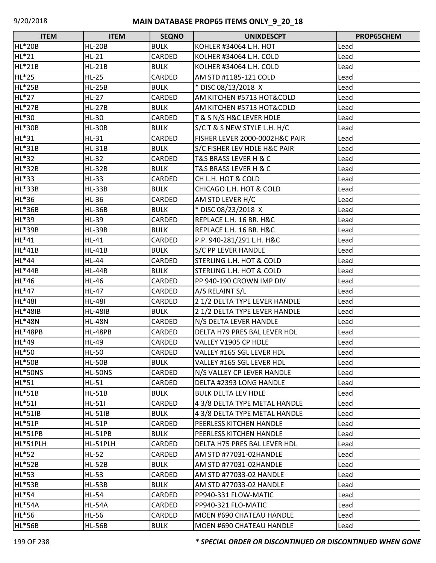| <b>ITEM</b>    | <b>ITEM</b>    | <b>SEQNO</b>  | <b>UNIXDESCPT</b>                   | PROP65CHEM |
|----------------|----------------|---------------|-------------------------------------|------------|
| <b>HL*20B</b>  | <b>HL-20B</b>  | <b>BULK</b>   | KOHLER #34064 L.H. HOT              | Lead       |
| HL*21          | $HL-21$        | CARDED        | KOLHER #34064 L.H. COLD             | Lead       |
| <b>HL*21B</b>  | $HL-21B$       | <b>BULK</b>   | KOLHER #34064 L.H. COLD             | Lead       |
| HL*25          | $HL-25$        | CARDED        | AM STD #1185-121 COLD               | Lead       |
| <b>HL*25B</b>  | $HL-25B$       | <b>BULK</b>   | * DISC 08/13/2018 X                 | Lead       |
| HL*27          | $HL-27$        | CARDED        | AM KITCHEN #5713 HOT&COLD           | Lead       |
| <b>HL*27B</b>  | <b>HL-27B</b>  | <b>BULK</b>   | AM KITCHEN #5713 HOT&COLD           | Lead       |
| HL*30          | $HL-30$        | CARDED        | T & S N/S H&C LEVER HDLE            | Lead       |
| <b>HL*30B</b>  | <b>HL-30B</b>  | <b>BULK</b>   | S/C T & S NEW STYLE L.H. H/C        | Lead       |
| HL*31          | $HL-31$        | CARDED        | FISHER LEVER 2000-0002H&C PAIR      | Lead       |
| HL*31B         | $HL-31B$       | <b>BULK</b>   | S/C FISHER LEV HDLE H&C PAIR        | Lead       |
| HL*32          | $HL-32$        | CARDED        | T&S BRASS LEVER H & C               | Lead       |
| <b>HL*32B</b>  | $HL-32B$       | <b>BULK</b>   | T&S BRASS LEVER H & C               | Lead       |
| HL*33          | $HL-33$        | CARDED        | CH L.H. HOT & COLD                  | Lead       |
| <b>HL*33B</b>  | $HL-33B$       | <b>BULK</b>   | CHICAGO L.H. HOT & COLD             | Lead       |
| HL*36          | $HL-36$        | CARDED        | AM STD LEVER H/C                    | Lead       |
| <b>HL*36B</b>  | <b>HL-36B</b>  | <b>BULK</b>   | * DISC 08/23/2018 X                 | Lead       |
| HL*39          | HL-39          | CARDED        | REPLACE L.H. 16 BR. H&C             | Lead       |
| <b>HL*39B</b>  | <b>HL-39B</b>  | <b>BULK</b>   | REPLACE L.H. 16 BR. H&C             | Lead       |
| HL*41          | $HL-41$        | CARDED        | P.P. 940-281/291 L.H. H&C           | Lead       |
| HL*41B         | <b>HL-41B</b>  | <b>BULK</b>   | S/C PP LEVER HANDLE                 | Lead       |
| HL*44          | HL-44          | CARDED        | STERLING L.H. HOT & COLD            | Lead       |
| HL*44B         | <b>HL-44B</b>  | <b>BULK</b>   | STERLING L.H. HOT & COLD            | Lead       |
| HL*46          | <b>HL-46</b>   | CARDED        | PP 940-190 CROWN IMP DIV            | Lead       |
| HL*47          | <b>HL-47</b>   | CARDED        | A/S RELAINT S/L                     | Lead       |
| HL*48I         | <b>HL-48I</b>  | CARDED        | 2 1/2 DELTA TYPE LEVER HANDLE       | Lead       |
| <b>HL*48IB</b> | <b>HL-48IB</b> | <b>BULK</b>   | 2 1/2 DELTA TYPE LEVER HANDLE       | Lead       |
| <b>HL*48N</b>  | <b>HL-48N</b>  | CARDED        | N/S DELTA LEVER HANDLE              | Lead       |
| <b>HL*48PB</b> | <b>HL-48PB</b> | CARDED        | <b>DELTA H79 PRES BAL LEVER HDL</b> | Lead       |
| HL*49          | HL-49          | CARDED        | VALLEY V1905 CP HDLE                | Lead       |
| HL*50          | $HL-50$        | <b>CARDED</b> | VALLEY #165 SGL LEVER HDL           | Lead       |
| <b>HL*50B</b>  | <b>HL-50B</b>  | <b>BULK</b>   | VALLEY #165 SGL LEVER HDL           | Lead       |
| HL*50NS        | HL-50NS        | CARDED        | N/S VALLEY CP LEVER HANDLE          | Lead       |
| HL*51          | $HL-51$        | CARDED        | DELTA #2393 LONG HANDLE             | Lead       |
| <b>HL*51B</b>  | $HL-51B$       | <b>BULK</b>   | <b>BULK DELTA LEV HDLE</b>          | Lead       |
| HL*51I         | $HL-511$       | CARDED        | 4 3/8 DELTA TYPE METAL HANDLE       | Lead       |
| HL*51IB        | <b>HL-51IB</b> | <b>BULK</b>   | 4 3/8 DELTA TYPE METAL HANDLE       | Lead       |
| <b>HL*51P</b>  | $HL-51P$       | <b>CARDED</b> | PEERLESS KITCHEN HANDLE             | Lead       |
| HL*51PB        | HL-51PB        | <b>BULK</b>   | PEERLESS KITCHEN HANDLE             | Lead       |
| HL*51PLH       | HL-51PLH       | CARDED        | DELTA H75 PRES BAL LEVER HDL        | Lead       |
| HL*52          | $HL-52$        | CARDED        | AM STD #77031-02HANDLE              | Lead       |
| <b>HL*52B</b>  | $HL-52B$       | <b>BULK</b>   | AM STD #77031-02HANDLE              | Lead       |
| HL*53          | $HL-53$        | CARDED        | AM STD #77033-02 HANDLE             | Lead       |
| <b>HL*53B</b>  | $HL-53B$       | <b>BULK</b>   | AM STD #77033-02 HANDLE             | Lead       |
| HL*54          | HL-54          | <b>CARDED</b> | PP940-331 FLOW-MATIC                | Lead       |
| <b>HL*54A</b>  | <b>HL-54A</b>  | CARDED        | PP940-321 FLO-MATIC                 | Lead       |
| HL*56          | <b>HL-56</b>   | CARDED        | MOEN #690 CHATEAU HANDLE            | Lead       |
| <b>HL*56B</b>  | <b>HL-56B</b>  | <b>BULK</b>   | MOEN #690 CHATEAU HANDLE            | Lead       |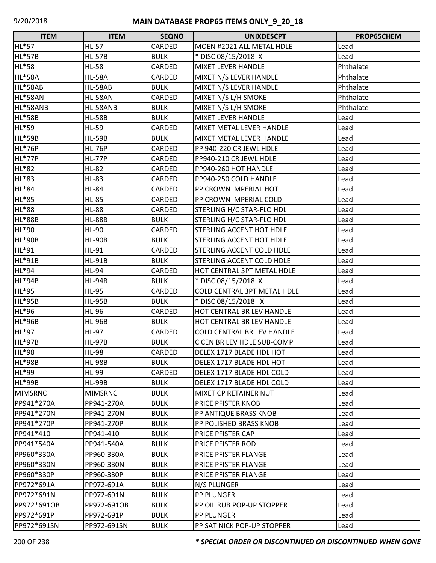| <b>ITEM</b>    | <b>ITEM</b>    | <b>SEQNO</b> | <b>UNIXDESCPT</b>                  | PROP65CHEM |
|----------------|----------------|--------------|------------------------------------|------------|
| HL*57          | <b>HL-57</b>   | CARDED       | MOEN #2021 ALL METAL HDLE          | Lead       |
| <b>HL*57B</b>  | <b>HL-57B</b>  | <b>BULK</b>  | * DISC 08/15/2018 X                | Lead       |
| HL*58          | <b>HL-58</b>   | CARDED       | <b>MIXET LEVER HANDLE</b>          | Phthalate  |
| <b>HL*58A</b>  | <b>HL-58A</b>  | CARDED       | MIXET N/S LEVER HANDLE             | Phthalate  |
| HL*58AB        | <b>HL-58AB</b> | <b>BULK</b>  | MIXET N/S LEVER HANDLE             | Phthalate  |
| <b>HL*58AN</b> | <b>HL-58AN</b> | CARDED       | MIXET N/S L/H SMOKE                | Phthalate  |
| HL*58ANB       | HL-58ANB       | <b>BULK</b>  | MIXET N/S L/H SMOKE                | Phthalate  |
| <b>HL*58B</b>  | <b>HL-58B</b>  | <b>BULK</b>  | <b>MIXET LEVER HANDLE</b>          | Lead       |
| HL*59          | <b>HL-59</b>   | CARDED       | MIXET METAL LEVER HANDLE           | Lead       |
| <b>HL*59B</b>  | <b>HL-59B</b>  | <b>BULK</b>  | MIXET METAL LEVER HANDLE           | Lead       |
| <b>HL*76P</b>  | <b>HL-76P</b>  | CARDED       | PP 940-220 CR JEWL HDLE            | Lead       |
| <b>HL*77P</b>  | <b>HL-77P</b>  | CARDED       | PP940-210 CR JEWL HDLE             | Lead       |
| HL*82          | <b>HL-82</b>   | CARDED       | PP940-260 HOT HANDLE               | Lead       |
| HL*83          | <b>HL-83</b>   | CARDED       | PP940-250 COLD HANDLE              | Lead       |
| HL*84          | <b>HL-84</b>   | CARDED       | PP CROWN IMPERIAL HOT              | Lead       |
| HL*85          | <b>HL-85</b>   | CARDED       | PP CROWN IMPERIAL COLD             | Lead       |
| HL*88          | <b>HL-88</b>   | CARDED       | STERLING H/C STAR-FLO HDL          | Lead       |
| <b>HL*88B</b>  | <b>HL-88B</b>  | <b>BULK</b>  | STERLING H/C STAR-FLO HDL          | Lead       |
| HL*90          | HL-90          | CARDED       | <b>STERLING ACCENT HOT HDLE</b>    | Lead       |
| <b>HL*90B</b>  | <b>HL-90B</b>  | <b>BULK</b>  | <b>STERLING ACCENT HOT HDLE</b>    | Lead       |
| HL*91          | HL-91          | CARDED       | <b>STERLING ACCENT COLD HDLE</b>   | Lead       |
| <b>HL*91B</b>  | <b>HL-91B</b>  | <b>BULK</b>  | STERLING ACCENT COLD HDLE          | Lead       |
| HL*94          | <b>HL-94</b>   | CARDED       | HOT CENTRAL 3PT METAL HDLE         | Lead       |
| <b>HL*94B</b>  | <b>HL-94B</b>  | <b>BULK</b>  | * DISC 08/15/2018 X                | Lead       |
| HL*95          | <b>HL-95</b>   | CARDED       | <b>COLD CENTRAL 3PT METAL HDLE</b> | Lead       |
| <b>HL*95B</b>  | <b>HL-95B</b>  | <b>BULK</b>  | * DISC 08/15/2018 X                | Lead       |
| HL*96          | <b>HL-96</b>   | CARDED       | HOT CENTRAL BR LEV HANDLE          | Lead       |
| <b>HL*96B</b>  | <b>HL-96B</b>  | <b>BULK</b>  | HOT CENTRAL BR LEV HANDLE          | Lead       |
| HL*97          | HL-97          | CARDED       | <b>COLD CENTRAL BR LEV HANDLE</b>  | Lead       |
| <b>HL*97B</b>  | <b>HL-97B</b>  | <b>BULK</b>  | C CEN BR LEV HDLE SUB-COMP         | Lead       |
| HL*98          | <b>HL-98</b>   | CARDED       | DELEX 1717 BLADE HDL HOT           | Lead       |
| <b>HL*98B</b>  | <b>HL-98B</b>  | <b>BULK</b>  | DELEX 1717 BLADE HDL HOT           | Lead       |
| HL*99          | HL-99          | CARDED       | DELEX 1717 BLADE HDL COLD          | Lead       |
| <b>HL*99B</b>  | <b>HL-99B</b>  | <b>BULK</b>  | DELEX 1717 BLADE HDL COLD          | Lead       |
| <b>MIMSRNC</b> | <b>MIMSRNC</b> | <b>BULK</b>  | MIXET CP RETAINER NUT              | Lead       |
| PP941*270A     | PP941-270A     | <b>BULK</b>  | PRICE PFISTER KNOB                 | Lead       |
| PP941*270N     | PP941-270N     | <b>BULK</b>  | PP ANTIQUE BRASS KNOB              | Lead       |
| PP941*270P     | PP941-270P     | <b>BULK</b>  | PP POLISHED BRASS KNOB             | Lead       |
| PP941*410      | PP941-410      | <b>BULK</b>  | PRICE PFISTER CAP                  | Lead       |
| PP941*540A     | PP941-540A     | <b>BULK</b>  | PRICE PFISTER ROD                  | Lead       |
| PP960*330A     | PP960-330A     | <b>BULK</b>  | <b>PRICE PFISTER FLANGE</b>        | Lead       |
| PP960*330N     | PP960-330N     | <b>BULK</b>  | <b>PRICE PFISTER FLANGE</b>        | Lead       |
| PP960*330P     | PP960-330P     | <b>BULK</b>  | <b>PRICE PFISTER FLANGE</b>        | Lead       |
| PP972*691A     | PP972-691A     | <b>BULK</b>  | N/S PLUNGER                        | Lead       |
| PP972*691N     | PP972-691N     | <b>BULK</b>  | <b>PP PLUNGER</b>                  | Lead       |
| PP972*691OB    | PP972-691OB    | <b>BULK</b>  | PP OIL RUB POP-UP STOPPER          | Lead       |
| PP972*691P     | PP972-691P     | <b>BULK</b>  | <b>PP PLUNGER</b>                  | Lead       |
| PP972*691SN    | PP972-691SN    | <b>BULK</b>  | PP SAT NICK POP-UP STOPPER         | Lead       |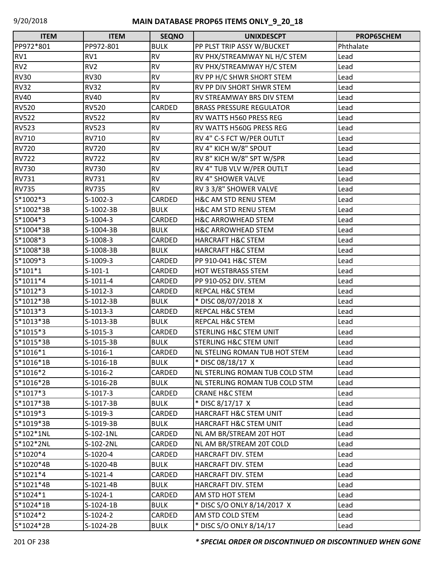| <b>ITEM</b>     | <b>ITEM</b>     | <b>SEQNO</b> | <b>UNIXDESCPT</b>                 | PROP65CHEM |
|-----------------|-----------------|--------------|-----------------------------------|------------|
| PP972*801       | PP972-801       | <b>BULK</b>  | PP PLST TRIP ASSY W/BUCKET        | Phthalate  |
| RV1             | RV1             | <b>RV</b>    | RV PHX/STREAMWAY NL H/C STEM      | Lead       |
| RV <sub>2</sub> | RV <sub>2</sub> | <b>RV</b>    | RV PHX/STREAMWAY H/C STEM         | Lead       |
| <b>RV30</b>     | <b>RV30</b>     | <b>RV</b>    | RV PP H/C SHWR SHORT STEM         | Lead       |
| <b>RV32</b>     | <b>RV32</b>     | <b>RV</b>    | RV PP DIV SHORT SHWR STEM         | Lead       |
| <b>RV40</b>     | <b>RV40</b>     | <b>RV</b>    | <b>RV STREAMWAY BRS DIV STEM</b>  | Lead       |
| <b>RV520</b>    | <b>RV520</b>    | CARDED       | <b>BRASS PRESSURE REGULATOR</b>   | Lead       |
| <b>RV522</b>    | <b>RV522</b>    | <b>RV</b>    | RV WATTS H560 PRESS REG           | Lead       |
| <b>RV523</b>    | <b>RV523</b>    | <b>RV</b>    | RV WATTS H560G PRESS REG          | Lead       |
| <b>RV710</b>    | RV710           | <b>RV</b>    | RV 4" C-S FCT W/PER OUTLT         | Lead       |
| <b>RV720</b>    | <b>RV720</b>    | <b>RV</b>    | RV 4" KICH W/8" SPOUT             | Lead       |
| <b>RV722</b>    | <b>RV722</b>    | <b>RV</b>    | RV 8" KICH W/8" SPT W/SPR         | Lead       |
| <b>RV730</b>    | <b>RV730</b>    | <b>RV</b>    | RV 4" TUB VLV W/PER OUTLT         | Lead       |
| <b>RV731</b>    | RV731           | <b>RV</b>    | <b>RV 4" SHOWER VALVE</b>         | Lead       |
| <b>RV735</b>    | <b>RV735</b>    | <b>RV</b>    | RV 3 3/8" SHOWER VALVE            | Lead       |
| S*1002*3        | $S-1002-3$      | CARDED       | <b>H&amp;C AM STD RENU STEM</b>   | Lead       |
| S*1002*3B       | S-1002-3B       | <b>BULK</b>  | <b>H&amp;C AM STD RENU STEM</b>   | Lead       |
| S*1004*3        | $S-1004-3$      | CARDED       | <b>H&amp;C ARROWHEAD STEM</b>     | Lead       |
| S*1004*3B       | S-1004-3B       | <b>BULK</b>  | <b>H&amp;C ARROWHEAD STEM</b>     | Lead       |
| S*1008*3        | S-1008-3        | CARDED       | <b>HARCRAFT H&amp;C STEM</b>      | Lead       |
| S*1008*3B       | S-1008-3B       | <b>BULK</b>  | <b>HARCRAFT H&amp;C STEM</b>      | Lead       |
| S*1009*3        | S-1009-3        | CARDED       | PP 910-041 H&C STEM               | Lead       |
| $S*101*1$       | $S-101-1$       | CARDED       | <b>HOT WESTBRASS STEM</b>         | Lead       |
| $S*1011*4$      | $S-1011-4$      | CARDED       | PP 910-052 DIV. STEM              | Lead       |
| $S*1012*3$      | $S-1012-3$      | CARDED       | <b>REPCAL H&amp;C STEM</b>        | Lead       |
| S*1012*3B       | S-1012-3B       | <b>BULK</b>  | * DISC 08/07/2018 X               | Lead       |
| S*1013*3        | $S-1013-3$      | CARDED       | <b>REPCAL H&amp;C STEM</b>        | Lead       |
| S*1013*3B       | S-1013-3B       | <b>BULK</b>  | <b>REPCAL H&amp;C STEM</b>        | Lead       |
| $S*1015*3$      | $S-1015-3$      | CARDED       | <b>STERLING H&amp;C STEM UNIT</b> | Lead       |
| S*1015*3B       | S-1015-3B       | <b>BULK</b>  | <b>STERLING H&amp;C STEM UNIT</b> | Lead       |
| S*1016*1        | $S-1016-1$      | CARDED       | NL STELING ROMAN TUB HOT STEM     | Lead       |
| S*1016*1B       | S-1016-1B       | <b>BULK</b>  | * DISC 08/18/17 X                 | Lead       |
| S*1016*2        | $S-1016-2$      | CARDED       | NL STERLING ROMAN TUB COLD STM    | Lead       |
| S*1016*2B       | S-1016-2B       | <b>BULK</b>  | NL STERLING ROMAN TUB COLD STM    | Lead       |
| $S*1017*3$      | S-1017-3        | CARDED       | <b>CRANE H&amp;C STEM</b>         | Lead       |
| S*1017*3B       | S-1017-3B       | <b>BULK</b>  | * DISC 8/17/17 X                  | Lead       |
| $S*1019*3$      | S-1019-3        | CARDED       | <b>HARCRAFT H&amp;C STEM UNIT</b> | Lead       |
| S*1019*3B       | S-1019-3B       | <b>BULK</b>  | HARCRAFT H&C STEM UNIT            | Lead       |
| S*102*1NL       | S-102-1NL       | CARDED       | NL AM BR/STREAM 20T HOT           | Lead       |
| S*102*2NL       | S-102-2NL       | CARDED       | NL AM BR/STREAM 20T COLD          | Lead       |
| S*1020*4        | S-1020-4        | CARDED       | <b>HARCRAFT DIV. STEM</b>         | Lead       |
| S*1020*4B       | S-1020-4B       | <b>BULK</b>  | <b>HARCRAFT DIV. STEM</b>         | Lead       |
| $S*1021*4$      | $S-1021-4$      | CARDED       | HARCRAFT DIV. STEM                | Lead       |
| S*1021*4B       | S-1021-4B       | <b>BULK</b>  | HARCRAFT DIV. STEM                | Lead       |
| $S*1024*1$      | S-1024-1        | CARDED       | AM STD HOT STEM                   | Lead       |
| S*1024*1B       | S-1024-1B       | <b>BULK</b>  | * DISC S/O ONLY 8/14/2017 X       | Lead       |
| S*1024*2        | S-1024-2        | CARDED       | AM STD COLD STEM                  | Lead       |
| S*1024*2B       | S-1024-2B       | <b>BULK</b>  | * DISC S/O ONLY 8/14/17           | Lead       |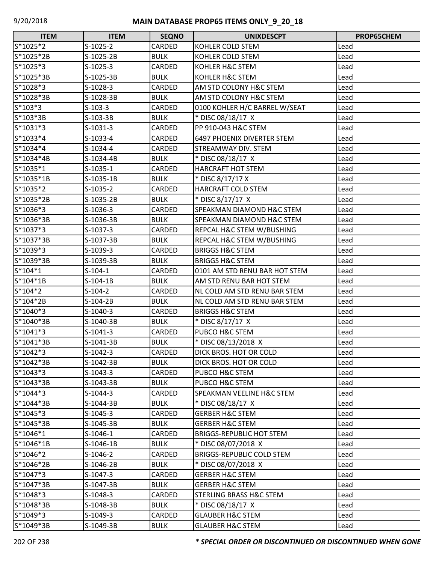| <b>ITEM</b> | <b>ITEM</b> | <b>SEQNO</b> | <b>UNIXDESCPT</b>                  | <b>PROP65CHEM</b> |
|-------------|-------------|--------------|------------------------------------|-------------------|
| S*1025*2    | $S-1025-2$  | CARDED       | KOHLER COLD STEM                   | Lead              |
| S*1025*2B   | $S-1025-2B$ | <b>BULK</b>  | KOHLER COLD STEM                   | Lead              |
| S*1025*3    | $S-1025-3$  | CARDED       | KOHLER H&C STEM                    | Lead              |
| S*1025*3B   | S-1025-3B   | <b>BULK</b>  | KOHLER H&C STEM                    | Lead              |
| S*1028*3    | S-1028-3    | CARDED       | AM STD COLONY H&C STEM             | Lead              |
| S*1028*3B   | S-1028-3B   | <b>BULK</b>  | AM STD COLONY H&C STEM             | Lead              |
| $S*103*3$   | $S-103-3$   | CARDED       | 0100 KOHLER H/C BARREL W/SEAT      | Lead              |
| S*103*3B    | $S-103-3B$  | <b>BULK</b>  | * DISC 08/18/17 X                  | Lead              |
| $S*1031*3$  | $S-1031-3$  | CARDED       | PP 910-043 H&C STEM                | Lead              |
| S*1033*4    | $S-1033-4$  | CARDED       | <b>6497 PHOENIX DIVERTER STEM</b>  | Lead              |
| S*1034*4    | $S-1034-4$  | CARDED       | STREAMWAY DIV. STEM                | Lead              |
| S*1034*4B   | S-1034-4B   | <b>BULK</b>  | * DISC 08/18/17 X                  | Lead              |
| S*1035*1    | $S-1035-1$  | CARDED       | <b>HARCRAFT HOT STEM</b>           | Lead              |
| S*1035*1B   | S-1035-1B   | <b>BULK</b>  | * DISC 8/17/17 X                   | Lead              |
| S*1035*2    | $S-1035-2$  | CARDED       | HARCRAFT COLD STEM                 | Lead              |
| S*1035*2B   | S-1035-2B   | <b>BULK</b>  | * DISC 8/17/17 X                   | Lead              |
| S*1036*3    | $S-1036-3$  | CARDED       | SPEAKMAN DIAMOND H&C STEM          | Lead              |
| S*1036*3B   | S-1036-3B   | <b>BULK</b>  | SPEAKMAN DIAMOND H&C STEM          | Lead              |
| S*1037*3    | $S-1037-3$  | CARDED       | REPCAL H&C STEM W/BUSHING          | Lead              |
| S*1037*3B   | S-1037-3B   | <b>BULK</b>  | REPCAL H&C STEM W/BUSHING          | Lead              |
| S*1039*3    | S-1039-3    | CARDED       | <b>BRIGGS H&amp;C STEM</b>         | Lead              |
| S*1039*3B   | S-1039-3B   | <b>BULK</b>  | <b>BRIGGS H&amp;C STEM</b>         | Lead              |
| $S*104*1$   | $S-104-1$   | CARDED       | 0101 AM STD RENU BAR HOT STEM      | Lead              |
| S*104*1B    | $S-104-1B$  | <b>BULK</b>  | AM STD RENU BAR HOT STEM           | Lead              |
| $S*104*2$   | $S-104-2$   | CARDED       | NL COLD AM STD RENU BAR STEM       | Lead              |
| S*104*2B    | $S-104-2B$  | <b>BULK</b>  | NL COLD AM STD RENU BAR STEM       | Lead              |
| S*1040*3    | $S-1040-3$  | CARDED       | <b>BRIGGS H&amp;C STEM</b>         | Lead              |
| S*1040*3B   | S-1040-3B   | <b>BULK</b>  | * DISC 8/17/17 X                   | Lead              |
| $S*1041*3$  | $S-1041-3$  | CARDED       | PUBCO H&C STEM                     | Lead              |
| S*1041*3B   | S-1041-3B   | <b>BULK</b>  | * DISC 08/13/2018 X                | Lead              |
| S*1042*3    | $S-1042-3$  | CARDED       | DICK BROS. HOT OR COLD             | Lead              |
| S*1042*3B   | S-1042-3B   | <b>BULK</b>  | DICK BROS. HOT OR COLD             | Lead              |
| $S*1043*3$  | $S-1043-3$  | CARDED       | PUBCO H&C STEM                     | Lead              |
| S*1043*3B   | S-1043-3B   | <b>BULK</b>  | PUBCO H&C STEM                     | Lead              |
| $S*1044*3$  | $S-1044-3$  | CARDED       | SPEAKMAN VEELINE H&C STEM          | Lead              |
| S*1044*3B   | S-1044-3B   | <b>BULK</b>  | * DISC 08/18/17 X                  | Lead              |
| $S*1045*3$  | S-1045-3    | CARDED       | <b>GERBER H&amp;C STEM</b>         | Lead              |
| S*1045*3B   | S-1045-3B   | <b>BULK</b>  | <b>GERBER H&amp;C STEM</b>         | Lead              |
| S*1046*1    | $S-1046-1$  | CARDED       | <b>BRIGGS-REPUBLIC HOT STEM</b>    | Lead              |
| S*1046*1B   | S-1046-1B   | <b>BULK</b>  | * DISC 08/07/2018 X                | Lead              |
| S*1046*2    | $S-1046-2$  | CARDED       | <b>BRIGGS-REPUBLIC COLD STEM</b>   | Lead              |
| S*1046*2B   | S-1046-2B   | <b>BULK</b>  | * DISC 08/07/2018 X                | Lead              |
| S*1047*3    | $S-1047-3$  | CARDED       | <b>GERBER H&amp;C STEM</b>         | Lead              |
| S*1047*3B   | S-1047-3B   | <b>BULK</b>  | <b>GERBER H&amp;C STEM</b>         | Lead              |
| S*1048*3    | $S-1048-3$  | CARDED       | <b>STERLING BRASS H&amp;C STEM</b> | Lead              |
| S*1048*3B   | S-1048-3B   | <b>BULK</b>  | * DISC 08/18/17 X                  | Lead              |
| S*1049*3    | $S-1049-3$  | CARDED       | <b>GLAUBER H&amp;C STEM</b>        | Lead              |
| S*1049*3B   | S-1049-3B   | <b>BULK</b>  | <b>GLAUBER H&amp;C STEM</b>        | Lead              |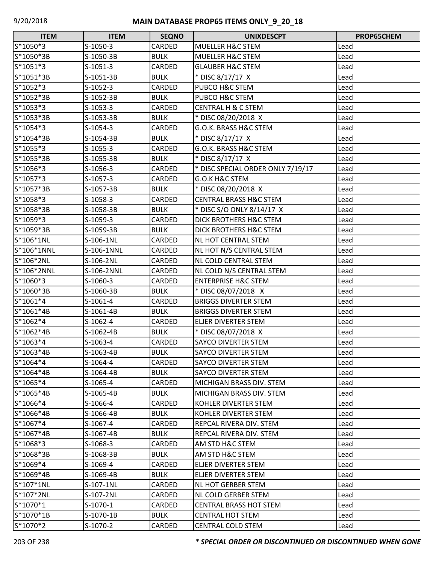| <b>ITEM</b> | <b>ITEM</b> | <b>SEQNO</b> | <b>UNIXDESCPT</b>                 | PROP65CHEM |
|-------------|-------------|--------------|-----------------------------------|------------|
| S*1050*3    | S-1050-3    | CARDED       | <b>MUELLER H&amp;C STEM</b>       | Lead       |
| S*1050*3B   | S-1050-3B   | <b>BULK</b>  | <b>MUELLER H&amp;C STEM</b>       | Lead       |
| $S*1051*3$  | $S-1051-3$  | CARDED       | <b>GLAUBER H&amp;C STEM</b>       | Lead       |
| S*1051*3B   | S-1051-3B   | <b>BULK</b>  | * DISC 8/17/17 X                  | Lead       |
| S*1052*3    | $S-1052-3$  | CARDED       | PUBCO H&C STEM                    | Lead       |
| S*1052*3B   | S-1052-3B   | <b>BULK</b>  | PUBCO H&C STEM                    | Lead       |
| S*1053*3    | $S-1053-3$  | CARDED       | <b>CENTRAL H &amp; C STEM</b>     | Lead       |
| S*1053*3B   | S-1053-3B   | <b>BULK</b>  | * DISC 08/20/2018 X               | Lead       |
| S*1054*3    | $S-1054-3$  | CARDED       | G.O.K. BRASS H&C STEM             | Lead       |
| S*1054*3B   | S-1054-3B   | <b>BULK</b>  | * DISC 8/17/17 X                  | Lead       |
| S*1055*3    | $S-1055-3$  | CARDED       | G.O.K. BRASS H&C STEM             | Lead       |
| S*1055*3B   | S-1055-3B   | <b>BULK</b>  | * DISC 8/17/17 X                  | Lead       |
| S*1056*3    | $S-1056-3$  | CARDED       | * DISC SPECIAL ORDER ONLY 7/19/17 | Lead       |
| S*1057*3    | S-1057-3    | CARDED       | G.O.K H&C STEM                    | Lead       |
| S*1057*3B   | S-1057-3B   | <b>BULK</b>  | * DISC 08/20/2018 X               | Lead       |
| S*1058*3    | $S-1058-3$  | CARDED       | <b>CENTRAL BRASS H&amp;C STEM</b> | Lead       |
| S*1058*3B   | S-1058-3B   | <b>BULK</b>  | * DISC S/O ONLY 8/14/17 X         | Lead       |
| S*1059*3    | S-1059-3    | CARDED       | DICK BROTHERS H&C STEM            | Lead       |
| S*1059*3B   | S-1059-3B   | <b>BULK</b>  | DICK BROTHERS H&C STEM            | Lead       |
| S*106*1NL   | S-106-1NL   | CARDED       | NL HOT CENTRAL STEM               | Lead       |
| S*106*1NNL  | S-106-1NNL  | CARDED       | NL HOT N/S CENTRAL STEM           | Lead       |
| S*106*2NL   | S-106-2NL   | CARDED       | NL COLD CENTRAL STEM              | Lead       |
| S*106*2NNL  | S-106-2NNL  | CARDED       | NL COLD N/S CENTRAL STEM          | Lead       |
| S*1060*3    | $S-1060-3$  | CARDED       | <b>ENTERPRISE H&amp;C STEM</b>    | Lead       |
| S*1060*3B   | S-1060-3B   | <b>BULK</b>  | * DISC 08/07/2018 X               | Lead       |
| S*1061*4    | $S-1061-4$  | CARDED       | <b>BRIGGS DIVERTER STEM</b>       | Lead       |
| S*1061*4B   | S-1061-4B   | <b>BULK</b>  | <b>BRIGGS DIVERTER STEM</b>       | Lead       |
| S*1062*4    | $S-1062-4$  | CARDED       | <b>ELJER DIVERTER STEM</b>        | Lead       |
| S*1062*4B   | S-1062-4B   | <b>BULK</b>  | * DISC 08/07/2018 X               | Lead       |
| S*1063*4    | $S-1063-4$  | CARDED       | <b>SAYCO DIVERTER STEM</b>        | Lead       |
| S*1063*4B   | S-1063-4B   | <b>BULK</b>  | <b>SAYCO DIVERTER STEM</b>        | Lead       |
| S*1064*4    | S-1064-4    | CARDED       | SAYCO DIVERTER STEM               | Lead       |
| S*1064*4B   | S-1064-4B   | <b>BULK</b>  | SAYCO DIVERTER STEM               | Lead       |
| S*1065*4    | $S-1065-4$  | CARDED       | MICHIGAN BRASS DIV. STEM          | Lead       |
| $S*1065*4B$ | S-1065-4B   | <b>BULK</b>  | MICHIGAN BRASS DIV. STEM          | Lead       |
| S*1066*4    | S-1066-4    | CARDED       | KOHLER DIVERTER STEM              | Lead       |
| S*1066*4B   | S-1066-4B   | <b>BULK</b>  | KOHLER DIVERTER STEM              | Lead       |
| S*1067*4    | $S-1067-4$  | CARDED       | <b>REPCAL RIVERA DIV. STEM</b>    | Lead       |
| S*1067*4B   | S-1067-4B   | <b>BULK</b>  | REPCAL RIVERA DIV. STEM           | Lead       |
| S*1068*3    | S-1068-3    | CARDED       | AM STD H&C STEM                   | Lead       |
| S*1068*3B   | S-1068-3B   | <b>BULK</b>  | AM STD H&C STEM                   | Lead       |
| S*1069*4    | S-1069-4    | CARDED       | ELJER DIVERTER STEM               | Lead       |
| S*1069*4B   | S-1069-4B   | <b>BULK</b>  | ELJER DIVERTER STEM               | Lead       |
| S*107*1NL   | S-107-1NL   | CARDED       | <b>NL HOT GERBER STEM</b>         | Lead       |
| S*107*2NL   | S-107-2NL   | CARDED       | NL COLD GERBER STEM               | Lead       |
| S*1070*1    | $S-1070-1$  | CARDED       | <b>CENTRAL BRASS HOT STEM</b>     | Lead       |
| S*1070*1B   | S-1070-1B   | <b>BULK</b>  | <b>CENTRAL HOT STEM</b>           | Lead       |
| S*1070*2    | S-1070-2    | CARDED       | CENTRAL COLD STEM                 | Lead       |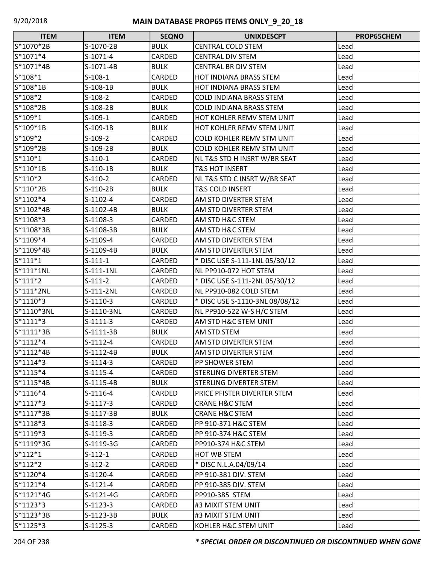| <b>ITEM</b> | <b>ITEM</b> | <b>SEQNO</b>  | <b>UNIXDESCPT</b>                | PROP65CHEM |
|-------------|-------------|---------------|----------------------------------|------------|
| S*1070*2B   | S-1070-2B   | <b>BULK</b>   | <b>CENTRAL COLD STEM</b>         | Lead       |
| S*1071*4    | S-1071-4    | <b>CARDED</b> | <b>CENTRAL DIV STEM</b>          | Lead       |
| S*1071*4B   | S-1071-4B   | <b>BULK</b>   | <b>CENTRAL BR DIV STEM</b>       | Lead       |
| $S*108*1$   | $S-108-1$   | CARDED        | <b>HOT INDIANA BRASS STEM</b>    | Lead       |
| S*108*1B    | $S-108-1B$  | <b>BULK</b>   | HOT INDIANA BRASS STEM           | Lead       |
| S*108*2     | $S-108-2$   | CARDED        | <b>COLD INDIANA BRASS STEM</b>   | Lead       |
| S*108*2B    | $S-108-2B$  | <b>BULK</b>   | <b>COLD INDIANA BRASS STEM</b>   | Lead       |
| $S*109*1$   | $S-109-1$   | CARDED        | HOT KOHLER REMV STEM UNIT        | Lead       |
| S*109*1B    | $S-109-1B$  | <b>BULK</b>   | HOT KOHLER REMV STEM UNIT        | Lead       |
| S*109*2     | $S-109-2$   | CARDED        | <b>COLD KOHLER REMV STM UNIT</b> | Lead       |
| S*109*2B    | S-109-2B    | <b>BULK</b>   | <b>COLD KOHLER REMV STM UNIT</b> | Lead       |
| $S*110*1$   | $S-110-1$   | CARDED        | NL T&S STD H INSRT W/BR SEAT     | Lead       |
| $S*110*1B$  | $S-110-1B$  | <b>BULK</b>   | <b>T&amp;S HOT INSERT</b>        | Lead       |
| $S*110*2$   | $S-110-2$   | CARDED        | NL T&S STD C INSRT W/BR SEAT     | Lead       |
| S*110*2B    | $S-110-2B$  | <b>BULK</b>   | <b>T&amp;S COLD INSERT</b>       | Lead       |
| S*1102*4    | $S-1102-4$  | CARDED        | AM STD DIVERTER STEM             | Lead       |
| S*1102*4B   | S-1102-4B   | <b>BULK</b>   | AM STD DIVERTER STEM             | Lead       |
| S*1108*3    | S-1108-3    | CARDED        | AM STD H&C STEM                  | Lead       |
| S*1108*3B   | S-1108-3B   | <b>BULK</b>   | AM STD H&C STEM                  | Lead       |
| S*1109*4    | S-1109-4    | CARDED        | AM STD DIVERTER STEM             | Lead       |
| S*1109*4B   | S-1109-4B   | <b>BULK</b>   | AM STD DIVERTER STEM             | Lead       |
| $S*111*1$   | $S-111-1$   | CARDED        | * DISC USE S-111-1NL 05/30/12    | Lead       |
| S*111*1NL   | $S-111-1NL$ | CARDED        | NL PP910-072 HOT STEM            | Lead       |
| $S*111*2$   | $S-111-2$   | CARDED        | * DISC USE S-111-2NL 05/30/12    | Lead       |
| S*111*2NL   | S-111-2NL   | CARDED        | NL PP910-082 COLD STEM           | Lead       |
| $S*1110*3$  | $S-1110-3$  | CARDED        | * DISC USE S-1110-3NL 08/08/12   | Lead       |
| S*1110*3NL  | S-1110-3NL  | CARDED        | NL PP910-522 W-S H/C STEM        | Lead       |
| $S*1111*3$  | $S-1111-3$  | CARDED        | AM STD H&C STEM UNIT             | Lead       |
| S*1111*3B   | S-1111-3B   | <b>BULK</b>   | AM STD STEM                      | Lead       |
| S*1112*4    | $S-1112-4$  | CARDED        | AM STD DIVERTER STEM             | Lead       |
| $S*1112*4B$ | S-1112-4B   | <b>BULK</b>   | AM STD DIVERTER STEM             | Lead       |
| $S*1114*3$  | S-1114-3    | CARDED        | PP SHOWER STEM                   | Lead       |
| $S*1115*4$  | $S-1115-4$  | CARDED        | <b>STERLING DIVERTER STEM</b>    | Lead       |
| S*1115*4B   | S-1115-4B   | <b>BULK</b>   | STERLING DIVERTER STEM           | Lead       |
| $S*1116*4$  | S-1116-4    | CARDED        | PRICE PFISTER DIVERTER STEM      | Lead       |
| $S*1117*3$  | S-1117-3    | CARDED        | <b>CRANE H&amp;C STEM</b>        | Lead       |
| S*1117*3B   | S-1117-3B   | <b>BULK</b>   | <b>CRANE H&amp;C STEM</b>        | Lead       |
| S*1118*3    | S-1118-3    | CARDED        | PP 910-371 H&C STEM              | Lead       |
| $S*1119*3$  | $S-1119-3$  | CARDED        | PP 910-374 H&C STEM              | Lead       |
| S*1119*3G   | S-1119-3G   | CARDED        | PP910-374 H&C STEM               | Lead       |
| $S*112*1$   | $S-112-1$   | CARDED        | HOT WB STEM                      | Lead       |
| $S*112*2$   | $S-112-2$   | CARDED        | * DISC N.L.A.04/09/14            | Lead       |
| $S*1120*4$  | $S-1120-4$  | CARDED        | PP 910-381 DIV. STEM             | Lead       |
| $S*1121*4$  | $S-1121-4$  | CARDED        | PP 910-385 DIV. STEM             | Lead       |
| S*1121*4G   | S-1121-4G   | CARDED        | PP910-385 STEM                   | Lead       |
| $S*1123*3$  | $S-1123-3$  | CARDED        | #3 MIXIT STEM UNIT               | Lead       |
| S*1123*3B   | S-1123-3B   | <b>BULK</b>   | #3 MIXIT STEM UNIT               | Lead       |
| $S*1125*3$  | $S-1125-3$  | CARDED        | KOHLER H&C STEM UNIT             | Lead       |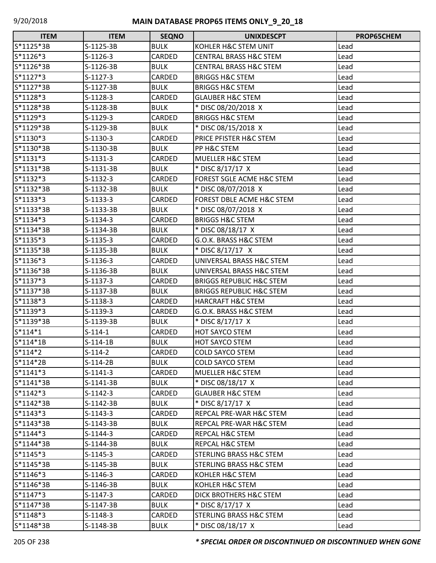| <b>ITEM</b> | <b>ITEM</b> | <b>SEQNO</b>  | <b>UNIXDESCPT</b>                    | PROP65CHEM |
|-------------|-------------|---------------|--------------------------------------|------------|
| S*1125*3B   | S-1125-3B   | <b>BULK</b>   | KOHLER H&C STEM UNIT                 | Lead       |
| $S*1126*3$  | $S-1126-3$  | CARDED        | <b>CENTRAL BRASS H&amp;C STEM</b>    | Lead       |
| S*1126*3B   | S-1126-3B   | <b>BULK</b>   | <b>CENTRAL BRASS H&amp;C STEM</b>    | Lead       |
| $S*1127*3$  | S-1127-3    | CARDED        | <b>BRIGGS H&amp;C STEM</b>           | Lead       |
| S*1127*3B   | S-1127-3B   | <b>BULK</b>   | <b>BRIGGS H&amp;C STEM</b>           | Lead       |
| S*1128*3    | S-1128-3    | CARDED        | <b>GLAUBER H&amp;C STEM</b>          | Lead       |
| S*1128*3B   | S-1128-3B   | <b>BULK</b>   | * DISC 08/20/2018 X                  | Lead       |
| S*1129*3    | S-1129-3    | CARDED        | <b>BRIGGS H&amp;C STEM</b>           | Lead       |
| S*1129*3B   | S-1129-3B   | <b>BULK</b>   | * DISC 08/15/2018 X                  | Lead       |
| $S*1130*3$  | S-1130-3    | CARDED        | PRICE PFISTER H&C STEM               | Lead       |
| S*1130*3B   | S-1130-3B   | <b>BULK</b>   | PP H&C STEM                          | Lead       |
| $S*1131*3$  | $S-1131-3$  | <b>CARDED</b> | <b>MUELLER H&amp;C STEM</b>          | Lead       |
| S*1131*3B   | S-1131-3B   | <b>BULK</b>   | * DISC 8/17/17 X                     | Lead       |
| $S*1132*3$  | S-1132-3    | CARDED        | <b>FOREST SGLE ACME H&amp;C STEM</b> | Lead       |
| S*1132*3B   | S-1132-3B   | <b>BULK</b>   | * DISC 08/07/2018 X                  | Lead       |
| $S*1133*3$  | $S-1133-3$  | CARDED        | <b>FOREST DBLE ACME H&amp;C STEM</b> | Lead       |
| S*1133*3B   | S-1133-3B   | <b>BULK</b>   | * DISC 08/07/2018 X                  | Lead       |
| $S*1134*3$  | $S-1134-3$  | CARDED        | <b>BRIGGS H&amp;C STEM</b>           | Lead       |
| S*1134*3B   | S-1134-3B   | <b>BULK</b>   | * DISC 08/18/17 X                    | Lead       |
| $S*1135*3$  | S-1135-3    | CARDED        | G.O.K. BRASS H&C STEM                | Lead       |
| S*1135*3B   | S-1135-3B   | <b>BULK</b>   | * DISC 8/17/17 X                     | Lead       |
| $S*1136*3$  | $S-1136-3$  | CARDED        | UNIVERSAL BRASS H&C STEM             | Lead       |
| S*1136*3B   | S-1136-3B   | <b>BULK</b>   | UNIVERSAL BRASS H&C STEM             | Lead       |
| $S*1137*3$  | S-1137-3    | CARDED        | <b>BRIGGS REPUBLIC H&amp;C STEM</b>  | Lead       |
| S*1137*3B   | S-1137-3B   | <b>BULK</b>   | <b>BRIGGS REPUBLIC H&amp;C STEM</b>  | Lead       |
| S*1138*3    | S-1138-3    | CARDED        | <b>HARCRAFT H&amp;C STEM</b>         | Lead       |
| S*1139*3    | S-1139-3    | <b>CARDED</b> | G.O.K. BRASS H&C STEM                | Lead       |
| S*1139*3B   | S-1139-3B   | <b>BULK</b>   | * DISC 8/17/17 X                     | Lead       |
| $S*114*1$   | $S-114-1$   | CARDED        | <b>HOT SAYCO STEM</b>                | Lead       |
| $S*114*1B$  | $S-114-1B$  | <b>BULK</b>   | HOT SAYCO STEM                       | Lead       |
| $S*114*2$   | $S-114-2$   | CARDED        | <b>COLD SAYCO STEM</b>               | Lead       |
| $S*114*2B$  | $S-114-2B$  | <b>BULK</b>   | <b>COLD SAYCO STEM</b>               | Lead       |
| $S*1141*3$  | $S-1141-3$  | CARDED        | <b>MUELLER H&amp;C STEM</b>          | Lead       |
| S*1141*3B   | S-1141-3B   | <b>BULK</b>   | * DISC 08/18/17 X                    | Lead       |
| $S*1142*3$  | S-1142-3    | CARDED        | <b>GLAUBER H&amp;C STEM</b>          | Lead       |
| S*1142*3B   | S-1142-3B   | <b>BULK</b>   | * DISC 8/17/17 X                     | Lead       |
| $S*1143*3$  | S-1143-3    | CARDED        | REPCAL PRE-WAR H&C STEM              | Lead       |
| S*1143*3B   | S-1143-3B   | <b>BULK</b>   | REPCAL PRE-WAR H&C STEM              | Lead       |
| $S*1144*3$  | $S-1144-3$  | CARDED        | REPCAL H&C STEM                      | Lead       |
| $S*1144*3B$ | S-1144-3B   | <b>BULK</b>   | REPCAL H&C STEM                      | Lead       |
| $S*1145*3$  | $S-1145-3$  | CARDED        | <b>STERLING BRASS H&amp;C STEM</b>   | Lead       |
| S*1145*3B   | S-1145-3B   | <b>BULK</b>   | <b>STERLING BRASS H&amp;C STEM</b>   | Lead       |
| $S*1146*3$  | S-1146-3    | CARDED        | KOHLER H&C STEM                      | Lead       |
| S*1146*3B   | S-1146-3B   | <b>BULK</b>   | KOHLER H&C STEM                      | Lead       |
| $S*1147*3$  | S-1147-3    | CARDED        | DICK BROTHERS H&C STEM               | Lead       |
| S*1147*3B   | S-1147-3B   | <b>BULK</b>   | * DISC 8/17/17 X                     | Lead       |
| $S*1148*3$  | S-1148-3    | CARDED        | <b>STERLING BRASS H&amp;C STEM</b>   | Lead       |
| S*1148*3B   | S-1148-3B   | <b>BULK</b>   | * DISC 08/18/17 X                    | Lead       |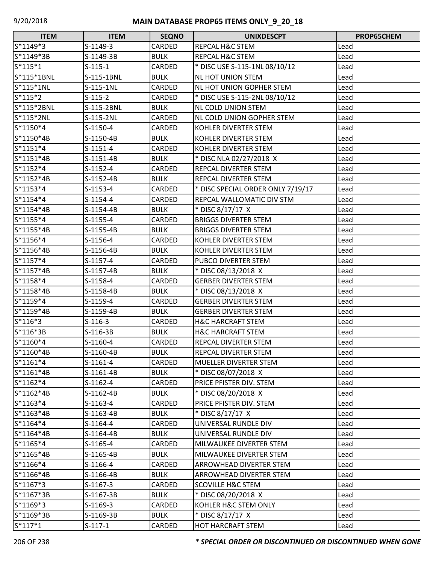| <b>ITEM</b>  | <b>ITEM</b> | <b>SEQNO</b> | <b>UNIXDESCPT</b>                 | PROP65CHEM |
|--------------|-------------|--------------|-----------------------------------|------------|
| S*1149*3     | S-1149-3    | CARDED       | <b>REPCAL H&amp;C STEM</b>        | Lead       |
| S*1149*3B    | S-1149-3B   | <b>BULK</b>  | REPCAL H&C STEM                   | Lead       |
| $S*115*1$    | $S-115-1$   | CARDED       | * DISC USE S-115-1NL 08/10/12     | Lead       |
| $S*115*1BNL$ | S-115-1BNL  | <b>BULK</b>  | <b>NL HOT UNION STEM</b>          | Lead       |
| S*115*1NL    | S-115-1NL   | CARDED       | <b>NL HOT UNION GOPHER STEM</b>   | Lead       |
| $S*115*2$    | $S-115-2$   | CARDED       | * DISC USE S-115-2NL 08/10/12     | Lead       |
| S*115*2BNL   | S-115-2BNL  | <b>BULK</b>  | <b>NL COLD UNION STEM</b>         | Lead       |
| S*115*2NL    | S-115-2NL   | CARDED       | NL COLD UNION GOPHER STEM         | Lead       |
| S*1150*4     | S-1150-4    | CARDED       | KOHLER DIVERTER STEM              | Lead       |
| S*1150*4B    | S-1150-4B   | <b>BULK</b>  | KOHLER DIVERTER STEM              | Lead       |
| $S*1151*4$   | S-1151-4    | CARDED       | KOHLER DIVERTER STEM              | Lead       |
| $S*1151*4B$  | S-1151-4B   | <b>BULK</b>  | * DISC NLA 02/27/2018 X           | Lead       |
| $S*1152*4$   | $S-1152-4$  | CARDED       | REPCAL DIVERTER STEM              | Lead       |
| $S*1152*4B$  | S-1152-4B   | <b>BULK</b>  | REPCAL DIVERTER STEM              | Lead       |
| $S*1153*4$   | $S-1153-4$  | CARDED       | * DISC SPECIAL ORDER ONLY 7/19/17 | Lead       |
| S*1154*4     | $S-1154-4$  | CARDED       | REPCAL WALLOMATIC DIV STM         | Lead       |
| S*1154*4B    | S-1154-4B   | <b>BULK</b>  | * DISC 8/17/17 X                  | Lead       |
| $S*1155*4$   | $S-1155-4$  | CARDED       | <b>BRIGGS DIVERTER STEM</b>       | Lead       |
| S*1155*4B    | S-1155-4B   | <b>BULK</b>  | <b>BRIGGS DIVERTER STEM</b>       | Lead       |
| $S*1156*4$   | S-1156-4    | CARDED       | KOHLER DIVERTER STEM              | Lead       |
| S*1156*4B    | S-1156-4B   | <b>BULK</b>  | KOHLER DIVERTER STEM              | Lead       |
| $S*1157*4$   | S-1157-4    | CARDED       | PUBCO DIVERTER STEM               | Lead       |
| S*1157*4B    | S-1157-4B   | <b>BULK</b>  | * DISC 08/13/2018 X               | Lead       |
| S*1158*4     | S-1158-4    | CARDED       | <b>GERBER DIVERTER STEM</b>       | Lead       |
| S*1158*4B    | S-1158-4B   | <b>BULK</b>  | * DISC 08/13/2018 X               | Lead       |
| $S*1159*4$   | $S-1159-4$  | CARDED       | <b>GERBER DIVERTER STEM</b>       | Lead       |
| S*1159*4B    | S-1159-4B   | <b>BULK</b>  | <b>GERBER DIVERTER STEM</b>       | Lead       |
| $S*116*3$    | $S-116-3$   | CARDED       | <b>H&amp;C HARCRAFT STEM</b>      | Lead       |
| S*116*3B     | $S-116-3B$  | <b>BULK</b>  | <b>H&amp;C HARCRAFT STEM</b>      | Lead       |
| S*1160*4     | S-1160-4    | CARDED       | <b>REPCAL DIVERTER STEM</b>       | Lead       |
| S*1160*4B    | S-1160-4B   | <b>BULK</b>  | <b>REPCAL DIVERTER STEM</b>       | Lead       |
| $S*1161*4$   | S-1161-4    | CARDED       | MUELLER DIVERTER STEM             | Lead       |
| S*1161*4B    | S-1161-4B   | <b>BULK</b>  | * DISC 08/07/2018 X               | Lead       |
| $S*1162*4$   | S-1162-4    | CARDED       | PRICE PFISTER DIV. STEM           | Lead       |
| S*1162*4B    | S-1162-4B   | <b>BULK</b>  | * DISC 08/20/2018 X               | Lead       |
| $S*1163*4$   | S-1163-4    | CARDED       | PRICE PFISTER DIV. STEM           | Lead       |
| S*1163*4B    | S-1163-4B   | <b>BULK</b>  | * DISC 8/17/17 X                  | Lead       |
| S*1164*4     | $S-1164-4$  | CARDED       | UNIVERSAL RUNDLE DIV              | Lead       |
| S*1164*4B    | S-1164-4B   | <b>BULK</b>  | UNIVERSAL RUNDLE DIV              | Lead       |
| $S*1165*4$   | S-1165-4    | CARDED       | MILWAUKEE DIVERTER STEM           | Lead       |
| S*1165*4B    | S-1165-4B   | <b>BULK</b>  | MILWAUKEE DIVERTER STEM           | Lead       |
| S*1166*4     | S-1166-4    | CARDED       | ARROWHEAD DIVERTER STEM           | Lead       |
| S*1166*4B    | S-1166-4B   | <b>BULK</b>  | ARROWHEAD DIVERTER STEM           | Lead       |
| $S*1167*3$   | S-1167-3    | CARDED       | <b>SCOVILLE H&amp;C STEM</b>      | Lead       |
| S*1167*3B    | S-1167-3B   | <b>BULK</b>  | * DISC 08/20/2018 X               | Lead       |
| S*1169*3     | S-1169-3    | CARDED       | KOHLER H&C STEM ONLY              | Lead       |
| S*1169*3B    | S-1169-3B   | <b>BULK</b>  | * DISC 8/17/17 X                  | Lead       |
| $S*117*1$    | $S-117-1$   | CARDED       | <b>HOT HARCRAFT STEM</b>          | Lead       |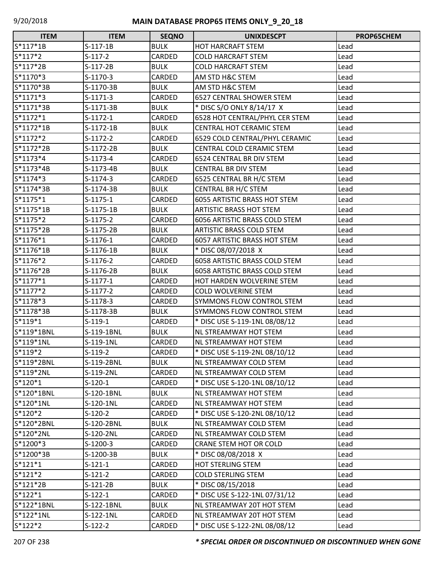| <b>ITEM</b> | <b>ITEM</b> | <b>SEQNO</b>  | <b>UNIXDESCPT</b>                   | PROP65CHEM |
|-------------|-------------|---------------|-------------------------------------|------------|
| $S*117*1B$  | $S-117-1B$  | <b>BULK</b>   | <b>HOT HARCRAFT STEM</b>            | Lead       |
| $S*117*2$   | $S-117-2$   | CARDED        | <b>COLD HARCRAFT STEM</b>           | Lead       |
| S*117*2B    | $S-117-2B$  | <b>BULK</b>   | <b>COLD HARCRAFT STEM</b>           | Lead       |
| S*1170*3    | $S-1170-3$  | CARDED        | AM STD H&C STEM                     | Lead       |
| S*1170*3B   | S-1170-3B   | <b>BULK</b>   | AM STD H&C STEM                     | Lead       |
| $S*1171*3$  | $S-1171-3$  | CARDED        | <b>6527 CENTRAL SHOWER STEM</b>     | Lead       |
| S*1171*3B   | S-1171-3B   | <b>BULK</b>   | * DISC S/O ONLY 8/14/17 X           | Lead       |
| $S*1172*1$  | $S-1172-1$  | CARDED        | 6528 HOT CENTRAL/PHYL CER STEM      | Lead       |
| S*1172*1B   | S-1172-1B   | <b>BULK</b>   | <b>CENTRAL HOT CERAMIC STEM</b>     | Lead       |
| S*1172*2    | $S-1172-2$  | CARDED        | 6529 COLD CENTRAL/PHYL CERAMIC      | Lead       |
| S*1172*2B   | S-1172-2B   | <b>BULK</b>   | <b>CENTRAL COLD CERAMIC STEM</b>    | Lead       |
| $S*1173*4$  | $S-1173-4$  | <b>CARDED</b> | 6524 CENTRAL BR DIV STEM            | Lead       |
| S*1173*4B   | S-1173-4B   | <b>BULK</b>   | CENTRAL BR DIV STEM                 | Lead       |
| $S*1174*3$  | $S-1174-3$  | CARDED        | 6525 CENTRAL BR H/C STEM            | Lead       |
| S*1174*3B   | S-1174-3B   | <b>BULK</b>   | <b>CENTRAL BR H/C STEM</b>          | Lead       |
| $S*1175*1$  | $S-1175-1$  | <b>CARDED</b> | <b>6055 ARTISTIC BRASS HOT STEM</b> | Lead       |
| S*1175*1B   | S-1175-1B   | <b>BULK</b>   | <b>ARTISTIC BRASS HOT STEM</b>      | Lead       |
| S*1175*2    | $S-1175-2$  | CARDED        | 6056 ARTISTIC BRASS COLD STEM       | Lead       |
| S*1175*2B   | S-1175-2B   | <b>BULK</b>   | <b>ARTISTIC BRASS COLD STEM</b>     | Lead       |
| $S*1176*1$  | $S-1176-1$  | CARDED        | 6057 ARTISTIC BRASS HOT STEM        | Lead       |
| $S*1176*1B$ | S-1176-1B   | <b>BULK</b>   | * DISC 08/07/2018 X                 | Lead       |
| S*1176*2    | $S-1176-2$  | <b>CARDED</b> | 6058 ARTISTIC BRASS COLD STEM       | Lead       |
| S*1176*2B   | S-1176-2B   | <b>BULK</b>   | 6058 ARTISTIC BRASS COLD STEM       | Lead       |
| $S*1177*1$  | $S-1177-1$  | CARDED        | HOT HARDEN WOLVERINE STEM           | Lead       |
| S*1177*2    | $S-1177-2$  | CARDED        | <b>COLD WOLVERINE STEM</b>          | Lead       |
| S*1178*3    | S-1178-3    | CARDED        | SYMMONS FLOW CONTROL STEM           | Lead       |
| S*1178*3B   | S-1178-3B   | <b>BULK</b>   | SYMMONS FLOW CONTROL STEM           | Lead       |
| S*119*1     | $S-119-1$   | CARDED        | * DISC USE S-119-1NL 08/08/12       | Lead       |
| S*119*1BNL  | S-119-1BNL  | <b>BULK</b>   | NL STREAMWAY HOT STEM               | Lead       |
| S*119*1NL   | S-119-1NL   | CARDED        | NL STREAMWAY HOT STEM               | Lead       |
| S*119*2     | $S-119-2$   | <b>CARDED</b> | * DISC USE S-119-2NL 08/10/12       | Lead       |
| S*119*2BNL  | S-119-2BNL  | <b>BULK</b>   | NL STREAMWAY COLD STEM              | Lead       |
| S*119*2NL   | S-119-2NL   | CARDED        | NL STREAMWAY COLD STEM              | Lead       |
| $S*120*1$   | $S-120-1$   | CARDED        | * DISC USE S-120-1NL 08/10/12       | Lead       |
| S*120*1BNL  | S-120-1BNL  | <b>BULK</b>   | NL STREAMWAY HOT STEM               | Lead       |
| S*120*1NL   | S-120-1NL   | CARDED        | NL STREAMWAY HOT STEM               | Lead       |
| S*120*2     | $S-120-2$   | CARDED        | * DISC USE S-120-2NL 08/10/12       | Lead       |
| S*120*2BNL  | S-120-2BNL  | <b>BULK</b>   | NL STREAMWAY COLD STEM              | Lead       |
| S*120*2NL   | S-120-2NL   | CARDED        | NL STREAMWAY COLD STEM              | Lead       |
| S*1200*3    | $S-1200-3$  | CARDED        | CRANE STEM HOT OR COLD              | Lead       |
| S*1200*3B   | S-1200-3B   | <b>BULK</b>   | * DISC 08/08/2018 X                 | Lead       |
| $S*121*1$   | $S-121-1$   | CARDED        | <b>HOT STERLING STEM</b>            | Lead       |
| $S*121*2$   | $S-121-2$   | CARDED        | <b>COLD STERLING STEM</b>           | Lead       |
| S*121*2B    | $S-121-2B$  | <b>BULK</b>   | * DISC 08/15/2018                   | Lead       |
| $S*122*1$   | $S-122-1$   | CARDED        | * DISC USE S-122-1NL 07/31/12       | Lead       |
| S*122*1BNL  | S-122-1BNL  | <b>BULK</b>   | NL STREAMWAY 20T HOT STEM           | Lead       |
| S*122*1NL   | S-122-1NL   | CARDED        | NL STREAMWAY 20T HOT STEM           | Lead       |
| $S*122*2$   | $S-122-2$   | <b>CARDED</b> | * DISC USE S-122-2NL 08/08/12       | Lead       |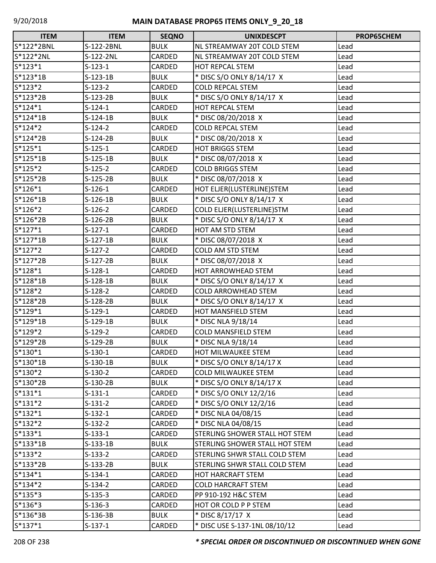| <b>ITEM</b> | <b>ITEM</b> | <b>SEQNO</b> | <b>UNIXDESCPT</b>                     | PROP65CHEM |
|-------------|-------------|--------------|---------------------------------------|------------|
| S*122*2BNL  | S-122-2BNL  | <b>BULK</b>  | NL STREAMWAY 20T COLD STEM            | Lead       |
| S*122*2NL   | S-122-2NL   | CARDED       | NL STREAMWAY 20T COLD STEM            | Lead       |
| $S*123*1$   | $S-123-1$   | CARDED       | <b>HOT REPCAL STEM</b>                | Lead       |
| $S*123*1B$  | $S-123-1B$  | <b>BULK</b>  | * DISC S/O ONLY 8/14/17 X             | Lead       |
| $S*123*2$   | $S-123-2$   | CARDED       | <b>COLD REPCAL STEM</b>               | Lead       |
| S*123*2B    | $S-123-2B$  | <b>BULK</b>  | * DISC S/O ONLY 8/14/17 X             | Lead       |
| $S*124*1$   | $S-124-1$   | CARDED       | <b>HOT REPCAL STEM</b>                | Lead       |
| S*124*1B    | $S-124-1B$  | <b>BULK</b>  | * DISC 08/20/2018 X                   | Lead       |
| S*124*2     | $S-124-2$   | CARDED       | <b>COLD REPCAL STEM</b>               | Lead       |
| S*124*2B    | $S-124-2B$  | <b>BULK</b>  | * DISC 08/20/2018 X                   | Lead       |
| $S*125*1$   | $S-125-1$   | CARDED       | <b>HOT BRIGGS STEM</b>                | Lead       |
| S*125*1B    | $S-125-1B$  | <b>BULK</b>  | * DISC 08/07/2018 X                   | Lead       |
| $S*125*2$   | $S-125-2$   | CARDED       | <b>COLD BRIGGS STEM</b>               | Lead       |
| $S*125*2B$  | $S-125-2B$  | <b>BULK</b>  | * DISC 08/07/2018 X                   | Lead       |
| $S*126*1$   | $S-126-1$   | CARDED       | HOT ELJER(LUSTERLINE)STEM             | Lead       |
| $S*126*1B$  | $S-126-1B$  | <b>BULK</b>  | * DISC S/O ONLY 8/14/17 X             | Lead       |
| S*126*2     | $S-126-2$   | CARDED       | COLD ELJER(LUSTERLINE)STM             | Lead       |
| S*126*2B    | $S-126-2B$  | <b>BULK</b>  | * DISC S/O ONLY 8/14/17 X             | Lead       |
| $S*127*1$   | $S-127-1$   | CARDED       | HOT AM STD STEM                       | Lead       |
| $S*127*1B$  | $S-127-1B$  | <b>BULK</b>  | * DISC 08/07/2018 X                   | Lead       |
| $S*127*2$   | $S-127-2$   | CARDED       | COLD AM STD STEM                      | Lead       |
| S*127*2B    | $S-127-2B$  | <b>BULK</b>  | * DISC 08/07/2018 X                   | Lead       |
| $S*128*1$   | $S-128-1$   | CARDED       | <b>HOT ARROWHEAD STEM</b>             | Lead       |
| S*128*1B    | $S-128-1B$  | <b>BULK</b>  | * DISC S/O ONLY 8/14/17 X             | Lead       |
| S*128*2     | $S-128-2$   | CARDED       | <b>COLD ARROWHEAD STEM</b>            | Lead       |
| S*128*2B    | $S-128-2B$  | <b>BULK</b>  | * DISC S/O ONLY 8/14/17 X             | Lead       |
| $S*129*1$   | $S-129-1$   | CARDED       | <b>HOT MANSFIELD STEM</b>             | Lead       |
| S*129*1B    | $S-129-1B$  | <b>BULK</b>  | * DISC NLA 9/18/14                    | Lead       |
| S*129*2     | $S-129-2$   | CARDED       | <b>COLD MANSFIELD STEM</b>            | Lead       |
| S*129*2B    | S-129-2B    | <b>BULK</b>  | * DISC NLA 9/18/14                    | Lead       |
| $S*130*1$   | $S-130-1$   | CARDED       | <b>HOT MILWAUKEE STEM</b>             | Lead       |
| $S*130*1B$  | $S-130-1B$  | <b>BULK</b>  | * DISC S/O ONLY 8/14/17 X             | Lead       |
| $S*130*2$   | $S-130-2$   | CARDED       | <b>COLD MILWAUKEE STEM</b>            | Lead       |
| S*130*2B    | $S-130-2B$  | <b>BULK</b>  | * DISC S/O ONLY 8/14/17 X             | Lead       |
| $S*131*1$   | $S-131-1$   | CARDED       | * DISC S/O ONLY 12/2/16               | Lead       |
| $S*131*2$   | $S-131-2$   | CARDED       | * DISC S/O ONLY 12/2/16               | Lead       |
| $S*132*1$   | $S-132-1$   | CARDED       | * DISC NLA 04/08/15                   | Lead       |
| $S*132*2$   | $S-132-2$   | CARDED       | * DISC NLA 04/08/15                   | Lead       |
| $S*133*1$   | $S-133-1$   | CARDED       | <b>STERLING SHOWER STALL HOT STEM</b> | Lead       |
| $S*133*1B$  | $S-133-1B$  | <b>BULK</b>  | <b>STERLING SHOWER STALL HOT STEM</b> | Lead       |
| $S*133*2$   | $S-133-2$   | CARDED       | <b>STERLING SHWR STALL COLD STEM</b>  | Lead       |
| $S*133*2B$  | $S-133-2B$  | <b>BULK</b>  | STERLING SHWR STALL COLD STEM         | Lead       |
| $S*134*1$   | S-134-1     | CARDED       | <b>HOT HARCRAFT STEM</b>              | Lead       |
| $S*134*2$   | $S-134-2$   | CARDED       | <b>COLD HARCRAFT STEM</b>             | Lead       |
| $S*135*3$   | $S-135-3$   | CARDED       | PP 910-192 H&C STEM                   | Lead       |
| $S*136*3$   | $S-136-3$   | CARDED       | HOT OR COLD P P STEM                  | Lead       |
| S*136*3B    | $S-136-3B$  | <b>BULK</b>  | * DISC 8/17/17 X                      | Lead       |
| $S*137*1$   | $S-137-1$   | CARDED       | * DISC USE S-137-1NL 08/10/12         | Lead       |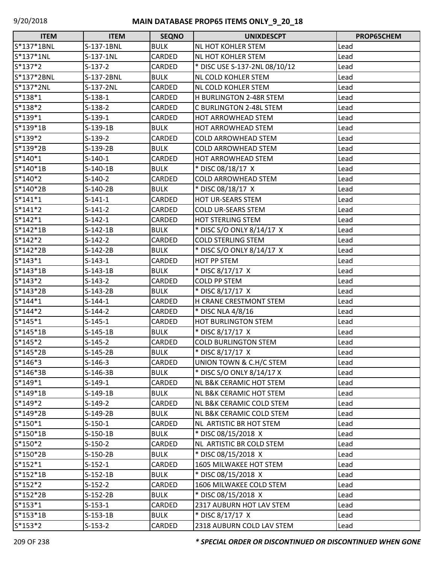| <b>ITEM</b> | <b>ITEM</b> | <b>SEQNO</b>  | <b>UNIXDESCPT</b>                   | PROP65CHEM |
|-------------|-------------|---------------|-------------------------------------|------------|
| S*137*1BNL  | S-137-1BNL  | <b>BULK</b>   | NL HOT KOHLER STEM                  | Lead       |
| S*137*1NL   | S-137-1NL   | CARDED        | <b>NL HOT KOHLER STEM</b>           | Lead       |
| $S*137*2$   | $S-137-2$   | CARDED        | * DISC USE S-137-2NL 08/10/12       | Lead       |
| S*137*2BNL  | S-137-2BNL  | <b>BULK</b>   | NL COLD KOHLER STEM                 | Lead       |
| S*137*2NL   | S-137-2NL   | CARDED        | <b>NL COLD KOHLER STEM</b>          | Lead       |
| $S*138*1$   | $S-138-1$   | CARDED        | H BURLINGTON 2-48R STEM             | Lead       |
| $S*138*2$   | $S-138-2$   | CARDED        | <b>C BURLINGTON 2-48L STEM</b>      | Lead       |
| $S*139*1$   | $S-139-1$   | CARDED        | <b>HOT ARROWHEAD STEM</b>           | Lead       |
| S*139*1B    | $S-139-1B$  | <b>BULK</b>   | <b>HOT ARROWHEAD STEM</b>           | Lead       |
| S*139*2     | $S-139-2$   | CARDED        | <b>COLD ARROWHEAD STEM</b>          | Lead       |
| S*139*2B    | S-139-2B    | <b>BULK</b>   | <b>COLD ARROWHEAD STEM</b>          | Lead       |
| $S*140*1$   | $S-140-1$   | <b>CARDED</b> | HOT ARROWHEAD STEM                  | Lead       |
| $S*140*1B$  | $S-140-1B$  | <b>BULK</b>   | * DISC 08/18/17 X                   | Lead       |
| $S*140*2$   | $S-140-2$   | CARDED        | <b>COLD ARROWHEAD STEM</b>          | Lead       |
| S*140*2B    | $S-140-2B$  | <b>BULK</b>   | * DISC 08/18/17 X                   | Lead       |
| $S*141*1$   | $S-141-1$   | CARDED        | HOT UR-SEARS STEM                   | Lead       |
| $S*141*2$   | $S-141-2$   | CARDED        | <b>COLD UR-SEARS STEM</b>           | Lead       |
| $S*142*1$   | $S-142-1$   | CARDED        | <b>HOT STERLING STEM</b>            | Lead       |
| $S*142*1B$  | $S-142-1B$  | <b>BULK</b>   | * DISC S/O ONLY 8/14/17 X           | Lead       |
| $S*142*2$   | $S-142-2$   | CARDED        | <b>COLD STERLING STEM</b>           | Lead       |
| $S*142*2B$  | $S-142-2B$  | <b>BULK</b>   | * DISC S/O ONLY 8/14/17 X           | Lead       |
| $S*143*1$   | $S-143-1$   | CARDED        | HOT PP STEM                         | Lead       |
| $S*143*1B$  | $S-143-1B$  | <b>BULK</b>   | * DISC 8/17/17 X                    | Lead       |
| $S*143*2$   | $S-143-2$   | CARDED        | <b>COLD PP STEM</b>                 | Lead       |
| S*143*2B    | $S-143-2B$  | <b>BULK</b>   | * DISC 8/17/17 X                    | Lead       |
| $S*144*1$   | $S-144-1$   | CARDED        | H CRANE CRESTMONT STEM              | Lead       |
| $S*144*2$   | S-144-2     | CARDED        | * DISC NLA 4/8/16                   | Lead       |
| $S*145*1$   | $S-145-1$   | CARDED        | HOT BURLINGTON STEM                 | Lead       |
| $S*145*1B$  | $S-145-1B$  | <b>BULK</b>   | * DISC 8/17/17 X                    | Lead       |
| $S*145*2$   | $S-145-2$   | CARDED        | <b>COLD BURLINGTON STEM</b>         | Lead       |
| S*145*2B    | $S-145-2B$  | <b>BULK</b>   | * DISC 8/17/17 X                    | Lead       |
| $S*146*3$   | $S-146-3$   | CARDED        | UNION TOWN & C.H/C STEM             | Lead       |
| S*146*3B    | $S-146-3B$  | <b>BULK</b>   | * DISC S/O ONLY 8/14/17 X           | Lead       |
| $S*149*1$   | S-149-1     | CARDED        | NL B&K CERAMIC HOT STEM             | Lead       |
| $S*149*1B$  | $S-149-1B$  | <b>BULK</b>   | NL B&K CERAMIC HOT STEM             | Lead       |
| $S*149*2$   | $S-149-2$   | CARDED        | <b>NL B&amp;K CERAMIC COLD STEM</b> | Lead       |
| S*149*2B    | $S-149-2B$  | <b>BULK</b>   | NL B&K CERAMIC COLD STEM            | Lead       |
| $S*150*1$   | $S-150-1$   | CARDED        | NL ARTISTIC BR HOT STEM             | Lead       |
| $S*150*1B$  | S-150-1B    | <b>BULK</b>   | * DISC 08/15/2018 X                 | Lead       |
| $S*150*2$   | $S-150-2$   | CARDED        | NL ARTISTIC BR COLD STEM            | Lead       |
| S*150*2B    | S-150-2B    | <b>BULK</b>   | * DISC 08/15/2018 X                 | Lead       |
| $S*152*1$   | $S-152-1$   | CARDED        | 1605 MILWAKEE HOT STEM              | Lead       |
| $S*152*1B$  | $S-152-1B$  | <b>BULK</b>   | * DISC 08/15/2018 X                 | Lead       |
| $S*152*2$   | $S-152-2$   | CARDED        | 1606 MILWAKEE COLD STEM             | Lead       |
| $S*152*2B$  | S-152-2B    | <b>BULK</b>   | * DISC 08/15/2018 X                 | Lead       |
| $S*153*1$   | $S-153-1$   | CARDED        | 2317 AUBURN HOT LAV STEM            | Lead       |
| $S*153*1B$  | $S-153-1B$  | <b>BULK</b>   | * DISC 8/17/17 X                    | Lead       |
| $S*153*2$   | $S-153-2$   | CARDED        | 2318 AUBURN COLD LAV STEM           | Lead       |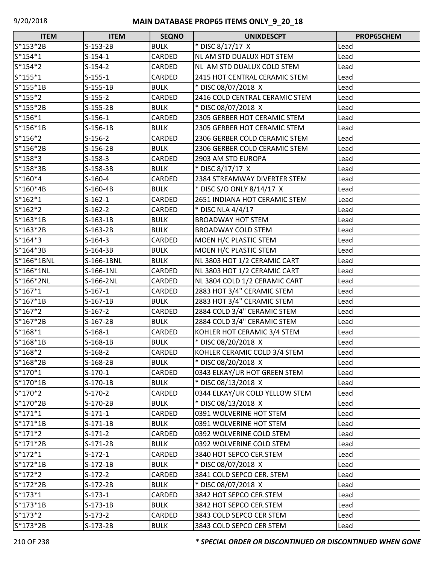| <b>ITEM</b> | <b>ITEM</b> | <b>SEQNO</b>  | <b>UNIXDESCPT</b>              | PROP65CHEM |
|-------------|-------------|---------------|--------------------------------|------------|
| S*153*2B    | $S-153-2B$  | <b>BULK</b>   | * DISC 8/17/17 X               | Lead       |
| $S*154*1$   | $S-154-1$   | CARDED        | NL AM STD DUALUX HOT STEM      | Lead       |
| $S*154*2$   | $S-154-2$   | CARDED        | NL AM STD DUALUX COLD STEM     | Lead       |
| $S*155*1$   | $S-155-1$   | CARDED        | 2415 HOT CENTRAL CERAMIC STEM  | Lead       |
| $S*155*1B$  | $S-155-1B$  | <b>BULK</b>   | * DISC 08/07/2018 X            | Lead       |
| $S*155*2$   | $S-155-2$   | CARDED        | 2416 COLD CENTRAL CERAMIC STEM | Lead       |
| S*155*2B    | $S-155-2B$  | <b>BULK</b>   | * DISC 08/07/2018 X            | Lead       |
| $S*156*1$   | $S-156-1$   | CARDED        | 2305 GERBER HOT CERAMIC STEM   | Lead       |
| $S*156*1B$  | $S-156-1B$  | <b>BULK</b>   | 2305 GERBER HOT CERAMIC STEM   | Lead       |
| $S*156*2$   | $S-156-2$   | CARDED        | 2306 GERBER COLD CERAMIC STEM  | Lead       |
| S*156*2B    | $S-156-2B$  | <b>BULK</b>   | 2306 GERBER COLD CERAMIC STEM  | Lead       |
| $S*158*3$   | $S-158-3$   | <b>CARDED</b> | 2903 AM STD EUROPA             | Lead       |
| S*158*3B    | $S-158-3B$  | <b>BULK</b>   | * DISC 8/17/17 X               | Lead       |
| $S*160*4$   | $S-160-4$   | CARDED        | 2384 STREAMWAY DIVERTER STEM   | Lead       |
| S*160*4B    | $S-160-4B$  | <b>BULK</b>   | * DISC S/O ONLY 8/14/17 X      | Lead       |
| $S*162*1$   | $S-162-1$   | CARDED        | 2651 INDIANA HOT CERAMIC STEM  | Lead       |
| $S*162*2$   | $S-162-2$   | CARDED        | * DISC NLA 4/4/17              | Lead       |
| $S*163*1B$  | $S-163-1B$  | <b>BULK</b>   | <b>BROADWAY HOT STEM</b>       | Lead       |
| $S*163*2B$  | $S-163-2B$  | <b>BULK</b>   | <b>BROADWAY COLD STEM</b>      | Lead       |
| $S*164*3$   | $S-164-3$   | CARDED        | MOEN H/C PLASTIC STEM          | Lead       |
| S*164*3B    | $S-164-3B$  | <b>BULK</b>   | MOEN H/C PLASTIC STEM          | Lead       |
| S*166*1BNL  | S-166-1BNL  | <b>BULK</b>   | NL 3803 HOT 1/2 CERAMIC CART   | Lead       |
| S*166*1NL   | S-166-1NL   | CARDED        | NL 3803 HOT 1/2 CERAMIC CART   | Lead       |
| S*166*2NL   | S-166-2NL   | CARDED        | NL 3804 COLD 1/2 CERAMIC CART  | Lead       |
| $S*167*1$   | $S-167-1$   | CARDED        | 2883 HOT 3/4" CERAMIC STEM     | Lead       |
| $S*167*1B$  | $S-167-1B$  | <b>BULK</b>   | 2883 HOT 3/4" CERAMIC STEM     | Lead       |
| $S*167*2$   | $S-167-2$   | CARDED        | 2884 COLD 3/4" CERAMIC STEM    | Lead       |
| $S*167*2B$  | $S-167-2B$  | <b>BULK</b>   | 2884 COLD 3/4" CERAMIC STEM    | Lead       |
| $S*168*1$   | $S-168-1$   | CARDED        | KOHLER HOT CERAMIC 3/4 STEM    | Lead       |
| S*168*1B    | $S-168-1B$  | <b>BULK</b>   | * DISC 08/20/2018 X            | Lead       |
| S*168*2     | $S-168-2$   | CARDED        | KOHLER CERAMIC COLD 3/4 STEM   | Lead       |
| $S*168*2B$  | $S-168-2B$  | <b>BULK</b>   | * DISC 08/20/2018 X            | Lead       |
| $S*170*1$   | $S-170-1$   | CARDED        | 0343 ELKAY/UR HOT GREEN STEM   | Lead       |
| S*170*1B    | $S-170-1B$  | <b>BULK</b>   | * DISC 08/13/2018 X            | Lead       |
| S*170*2     | $S-170-2$   | CARDED        | 0344 ELKAY/UR COLD YELLOW STEM | Lead       |
| S*170*2B    | $S-170-2B$  | <b>BULK</b>   | * DISC 08/13/2018 X            | Lead       |
| $S*171*1$   | $S-171-1$   | CARDED        | 0391 WOLVERINE HOT STEM        | Lead       |
| $S*171*1B$  | $S-171-1B$  | <b>BULK</b>   | 0391 WOLVERINE HOT STEM        | Lead       |
| $S*171*2$   | $S-171-2$   | CARDED        | 0392 WOLVERINE COLD STEM       | Lead       |
| $S*171*2B$  | $S-171-2B$  | <b>BULK</b>   | 0392 WOLVERINE COLD STEM       | Lead       |
| $S*172*1$   | $S-172-1$   | CARDED        | 3840 HOT SEPCO CER.STEM        | Lead       |
| $S*172*1B$  | $S-172-1B$  | <b>BULK</b>   | * DISC 08/07/2018 X            | Lead       |
| $S*172*2$   | $S-172-2$   | CARDED        | 3841 COLD SEPCO CER. STEM      | Lead       |
| S*172*2B    | $S-172-2B$  | <b>BULK</b>   | * DISC 08/07/2018 X            | Lead       |
| $S*173*1$   | $S-173-1$   | CARDED        | 3842 HOT SEPCO CER.STEM        | Lead       |
| $S*173*1B$  | $S-173-1B$  | <b>BULK</b>   | 3842 HOT SEPCO CER.STEM        | Lead       |
| $S*173*2$   | $S-173-2$   | CARDED        | 3843 COLD SEPCO CER STEM       | Lead       |
| S*173*2B    | $S-173-2B$  | <b>BULK</b>   | 3843 COLD SEPCO CER STEM       | Lead       |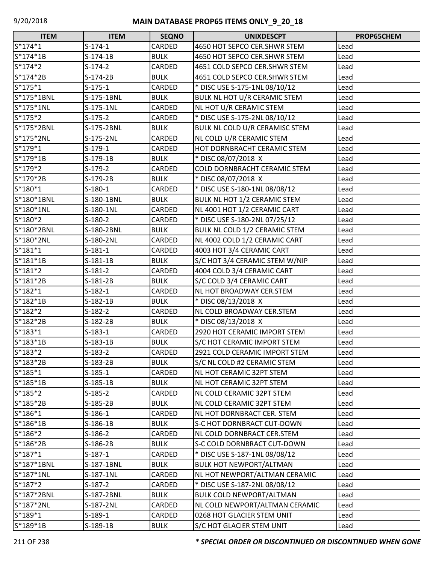| <b>ITEM</b> | <b>ITEM</b> | <b>SEQNO</b> | <b>UNIXDESCPT</b>               | PROP65CHEM |
|-------------|-------------|--------------|---------------------------------|------------|
| $S*174*1$   | $S-174-1$   | CARDED       | 4650 HOT SEPCO CER.SHWR STEM    | Lead       |
| S*174*1B    | $S-174-1B$  | <b>BULK</b>  | 4650 HOT SEPCO CER.SHWR STEM    | Lead       |
| $S*174*2$   | $S-174-2$   | CARDED       | 4651 COLD SEPCO CER.SHWR STEM   | Lead       |
| S*174*2B    | $S-174-2B$  | <b>BULK</b>  | 4651 COLD SEPCO CER.SHWR STEM   | Lead       |
| $S*175*1$   | $S-175-1$   | CARDED       | * DISC USE S-175-1NL 08/10/12   | Lead       |
| S*175*1BNL  | S-175-1BNL  | <b>BULK</b>  | BULK NL HOT U/R CERAMIC STEM    | Lead       |
| $S*175*1NL$ | S-175-1NL   | CARDED       | NL HOT U/R CERAMIC STEM         | Lead       |
| $S*175*2$   | $S-175-2$   | CARDED       | * DISC USE S-175-2NL 08/10/12   | Lead       |
| S*175*2BNL  | S-175-2BNL  | <b>BULK</b>  | BULK NL COLD U/R CERAMISC STEM  | Lead       |
| S*175*2NL   | S-175-2NL   | CARDED       | NL COLD U/R CERAMIC STEM        | Lead       |
| $S*179*1$   | $S-179-1$   | CARDED       | HOT DORNBRACHT CERAMIC STEM     | Lead       |
| S*179*1B    | $S-179-1B$  | <b>BULK</b>  | * DISC 08/07/2018 X             | Lead       |
| $S*179*2$   | $S-179-2$   | CARDED       | COLD DORNBRACHT CERAMIC STEM    | Lead       |
| S*179*2B    | $S-179-2B$  | <b>BULK</b>  | * DISC 08/07/2018 X             | Lead       |
| S*180*1     | $S-180-1$   | CARDED       | * DISC USE S-180-1NL 08/08/12   | Lead       |
| S*180*1BNL  | S-180-1BNL  | <b>BULK</b>  | BULK NL HOT 1/2 CERAMIC STEM    | Lead       |
| S*180*1NL   | S-180-1NL   | CARDED       | NL 4001 HOT 1/2 CERAMIC CART    | Lead       |
| S*180*2     | $S-180-2$   | CARDED       | * DISC USE S-180-2NL 07/25/12   | Lead       |
| S*180*2BNL  | S-180-2BNL  | <b>BULK</b>  | BULK NL COLD 1/2 CERAMIC STEM   | Lead       |
| S*180*2NL   | S-180-2NL   | CARDED       | NL 4002 COLD 1/2 CERAMIC CART   | Lead       |
| $S*181*1$   | $S-181-1$   | CARDED       | 4003 HOT 3/4 CERAMIC CART       | Lead       |
| S*181*1B    | $S-181-1B$  | <b>BULK</b>  | S/C HOT 3/4 CERAMIC STEM W/NIP  | Lead       |
| $S*181*2$   | $S-181-2$   | CARDED       | 4004 COLD 3/4 CERAMIC CART      | Lead       |
| S*181*2B    | $S-181-2B$  | <b>BULK</b>  | S/C COLD 3/4 CERAMIC CART       | Lead       |
| $S*182*1$   | $S-182-1$   | CARDED       | <b>NL HOT BROADWAY CER.STEM</b> | Lead       |
| S*182*1B    | $S-182-1B$  | <b>BULK</b>  | * DISC 08/13/2018 X             | Lead       |
| S*182*2     | $S-182-2$   | CARDED       | NL COLD BROADWAY CER.STEM       | Lead       |
| S*182*2B    | $S-182-2B$  | <b>BULK</b>  | * DISC 08/13/2018 X             | Lead       |
| $S*183*1$   | $S-183-1$   | CARDED       | 2920 HOT CERAMIC IMPORT STEM    | Lead       |
| $S*183*1B$  | $S-183-1B$  | <b>BULK</b>  | S/C HOT CERAMIC IMPORT STEM     | Lead       |
| $S*183*2$   | $S-183-2$   | CARDED       | 2921 COLD CERAMIC IMPORT STEM   | Lead       |
| S*183*2B    | S-183-2B    | <b>BULK</b>  | S/C NL COLD #2 CERAMIC STEM     | Lead       |
| $S*185*1$   | $S-185-1$   | CARDED       | NL HOT CERAMIC 32PT STEM        | Lead       |
| $S*185*1B$  | $S-185-1B$  | <b>BULK</b>  | NL HOT CERAMIC 32PT STEM        | Lead       |
| $S*185*2$   | $S-185-2$   | CARDED       | NL COLD CERAMIC 32PT STEM       | Lead       |
| $S*185*2B$  | $S-185-2B$  | <b>BULK</b>  | NL COLD CERAMIC 32PT STEM       | Lead       |
| $S*186*1$   | $S-186-1$   | CARDED       | NL HOT DORNBRACT CER. STEM      | Lead       |
| S*186*1B    | $S-186-1B$  | <b>BULK</b>  | S-C HOT DORNBRACT CUT-DOWN      | Lead       |
| $S*186*2$   | $S-186-2$   | CARDED       | NL COLD DORNBRACT CER.STEM      | Lead       |
| S*186*2B    | $S-186-2B$  | <b>BULK</b>  | S-C COLD DORNBRACT CUT-DOWN     | Lead       |
| $S*187*1$   | $S-187-1$   | CARDED       | * DISC USE S-187-1NL 08/08/12   | Lead       |
| S*187*1BNL  | S-187-1BNL  | <b>BULK</b>  | <b>BULK HOT NEWPORT/ALTMAN</b>  | Lead       |
| S*187*1NL   | S-187-1NL   | CARDED       | NL HOT NEWPORT/ALTMAN CERAMIC   | Lead       |
| $S*187*2$   | $S-187-2$   | CARDED       | * DISC USE S-187-2NL 08/08/12   | Lead       |
| S*187*2BNL  | S-187-2BNL  | <b>BULK</b>  | <b>BULK COLD NEWPORT/ALTMAN</b> | Lead       |
| S*187*2NL   | S-187-2NL   | CARDED       | NL COLD NEWPORT/ALTMAN CERAMIC  | Lead       |
| $S*189*1$   | $S-189-1$   | CARDED       | 0268 HOT GLACIER STEM UNIT      | Lead       |
| S*189*1B    | $S-189-1B$  | <b>BULK</b>  | S/C HOT GLACIER STEM UNIT       | Lead       |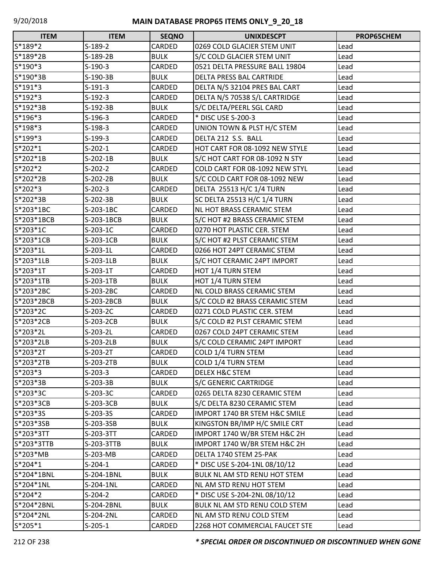| <b>ITEM</b>  | <b>ITEM</b> | <b>SEQNO</b>  | <b>UNIXDESCPT</b>              | <b>PROP65CHEM</b> |
|--------------|-------------|---------------|--------------------------------|-------------------|
| S*189*2      | $S-189-2$   | CARDED        | 0269 COLD GLACIER STEM UNIT    | Lead              |
| S*189*2B     | $S-189-2B$  | <b>BULK</b>   | S/C COLD GLACIER STEM UNIT     | Lead              |
| $S*190*3$    | $S-190-3$   | <b>CARDED</b> | 0521 DELTA PRESSURE BALL 19804 | Lead              |
| S*190*3B     | S-190-3B    | <b>BULK</b>   | DELTA PRESS BAL CARTRIDE       | Lead              |
| S*191*3      | $S-191-3$   | CARDED        | DELTA N/S 32104 PRES BAL CART  | Lead              |
| $S*192*3$    | $S-192-3$   | CARDED        | DELTA N/S 70538 S/L CARTRIDGE  | Lead              |
| $S*192*3B$   | $S-192-3B$  | <b>BULK</b>   | S/C DELTA/PEERL SGL CARD       | Lead              |
| $S*196*3$    | $S-196-3$   | CARDED        | * DISC USE S-200-3             | Lead              |
| S*198*3      | $S-198-3$   | CARDED        | UNION TOWN & PLST H/C STEM     | Lead              |
| $S*199*3$    | $S-199-3$   | CARDED        | DELTA 212 S.S. BALL            | Lead              |
| $S*202*1$    | $S-202-1$   | CARDED        | HOT CART FOR 08-1092 NEW STYLE | Lead              |
| S*202*1B     | $S-202-1B$  | <b>BULK</b>   | S/C HOT CART FOR 08-1092 N STY | Lead              |
| S*202*2      | $S-202-2$   | CARDED        | COLD CART FOR 08-1092 NEW STYL | Lead              |
| S*202*2B     | $S-202-2B$  | <b>BULK</b>   | S/C COLD CART FOR 08-1092 NEW  | Lead              |
| $S*202*3$    | $S-202-3$   | CARDED        | DELTA 25513 H/C 1/4 TURN       | Lead              |
| S*202*3B     | $S-202-3B$  | <b>BULK</b>   | SC DELTA 25513 H/C 1/4 TURN    | Lead              |
| S*203*1BC    | S-203-1BC   | <b>CARDED</b> | NL HOT BRASS CERAMIC STEM      | Lead              |
| S*203*1BCB   | S-203-1BCB  | <b>BULK</b>   | S/C HOT #2 BRASS CERAMIC STEM  | Lead              |
| S*203*1C     | $S-203-1C$  | CARDED        | 0270 HOT PLASTIC CER. STEM     | Lead              |
| S*203*1CB    | S-203-1CB   | <b>BULK</b>   | S/C HOT #2 PLST CERAMIC STEM   | Lead              |
| S*203*1L     | $S-203-1L$  | CARDED        | 0266 HOT 24PT CERAMIC STEM     | Lead              |
| S*203*1LB    | S-203-1LB   | <b>BULK</b>   | S/C HOT CERAMIC 24PT IMPORT    | Lead              |
| S*203*1T     | $S-203-1T$  | CARDED        | HOT 1/4 TURN STEM              | Lead              |
| S*203*1TB    | S-203-1TB   | <b>BULK</b>   | HOT 1/4 TURN STEM              | Lead              |
| S*203*2BC    | S-203-2BC   | CARDED        | NL COLD BRASS CERAMIC STEM     | Lead              |
| S*203*2BCB   | S-203-2BCB  | <b>BULK</b>   | S/C COLD #2 BRASS CERAMIC STEM | Lead              |
| S*203*2C     | $S-203-2C$  | <b>CARDED</b> | 0271 COLD PLASTIC CER. STEM    | Lead              |
| S*203*2CB    | S-203-2CB   | <b>BULK</b>   | S/C COLD #2 PLST CERAMIC STEM  | Lead              |
| S*203*2L     | $S-203-2L$  | CARDED        | 0267 COLD 24PT CERAMIC STEM    | Lead              |
| S*203*2LB    | S-203-2LB   | <b>BULK</b>   | S/C COLD CERAMIC 24PT IMPORT   | Lead              |
| S*203*2T     | $S-203-2T$  | CARDED        | COLD 1/4 TURN STEM             | Lead              |
| S*203*2TB    | S-203-2TB   | <b>BULK</b>   | COLD 1/4 TURN STEM             | Lead              |
| $S*203*3$    | $S-203-3$   | CARDED        | DELEX H&C STEM                 | Lead              |
| S*203*3B     | $S-203-3B$  | <b>BULK</b>   | <b>S/C GENERIC CARTRIDGE</b>   | Lead              |
| S*203*3C     | $S-203-3C$  | CARDED        | 0265 DELTA 8230 CERAMIC STEM   | Lead              |
| S*203*3CB    | S-203-3CB   | <b>BULK</b>   | S/C DELTA 8230 CERAMIC STEM    | Lead              |
| S*203*3S     | S-203-3S    | CARDED        | IMPORT 1740 BR STEM H&C SMILE  | Lead              |
| S*203*3SB    | S-203-3SB   | <b>BULK</b>   | KINGSTON BR/IMP H/C SMILE CRT  | Lead              |
| S*203*3TT    | S-203-3TT   | CARDED        | IMPORT 1740 W/BR STEM H&C 2H   | Lead              |
| $S*203*3TTB$ | S-203-3TTB  | <b>BULK</b>   | IMPORT 1740 W/BR STEM H&C 2H   | Lead              |
| S*203*MB     | S-203-MB    | CARDED        | DELTA 1740 STEM 25-PAK         | Lead              |
| $S*204*1$    | $S-204-1$   | CARDED        | * DISC USE S-204-1NL 08/10/12  | Lead              |
| S*204*1BNL   | S-204-1BNL  | <b>BULK</b>   | BULK NL AM STD RENU HOT STEM   | Lead              |
| S*204*1NL    | S-204-1NL   | CARDED        | NL AM STD RENU HOT STEM        | Lead              |
| S*204*2      | $S-204-2$   | CARDED        | * DISC USE S-204-2NL 08/10/12  | Lead              |
| S*204*2BNL   | S-204-2BNL  | <b>BULK</b>   | BULK NL AM STD RENU COLD STEM  | Lead              |
| S*204*2NL    | S-204-2NL   | CARDED        | NL AM STD RENU COLD STEM       | Lead              |
| $S*205*1$    | $S-205-1$   | CARDED        | 2268 HOT COMMERCIAL FAUCET STE | Lead              |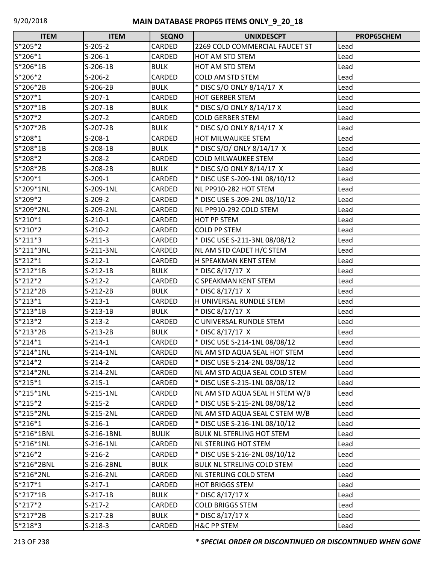| <b>ITEM</b> | <b>ITEM</b> | <b>SEQNO</b>  | <b>UNIXDESCPT</b>                 | PROP65CHEM |
|-------------|-------------|---------------|-----------------------------------|------------|
| S*205*2     | $S-205-2$   | CARDED        | 2269 COLD COMMERCIAL FAUCET ST    | Lead       |
| S*206*1     | $S-206-1$   | CARDED        | HOT AM STD STEM                   | Lead       |
| S*206*1B    | $S-206-1B$  | <b>BULK</b>   | HOT AM STD STEM                   | Lead       |
| S*206*2     | $S-206-2$   | CARDED        | COLD AM STD STEM                  | Lead       |
| S*206*2B    | $S-206-2B$  | <b>BULK</b>   | * DISC S/O ONLY 8/14/17 X         | Lead       |
| S*207*1     | $S-207-1$   | CARDED        | <b>HOT GERBER STEM</b>            | Lead       |
| S*207*1B    | $S-207-1B$  | <b>BULK</b>   | * DISC S/O ONLY 8/14/17 X         | Lead       |
| S*207*2     | $S-207-2$   | CARDED        | <b>COLD GERBER STEM</b>           | Lead       |
| S*207*2B    | $S-207-2B$  | <b>BULK</b>   | * DISC S/O ONLY 8/14/17 X         | Lead       |
| S*208*1     | $S-208-1$   | CARDED        | HOT MILWAUKEE STEM                | Lead       |
| S*208*1B    | $S-208-1B$  | <b>BULK</b>   | * DISC S/O/ ONLY 8/14/17 X        | Lead       |
| S*208*2     | $S-208-2$   | CARDED        | <b>COLD MILWAUKEE STEM</b>        | Lead       |
| S*208*2B    | $S-208-2B$  | <b>BULK</b>   | * DISC S/O ONLY 8/14/17 X         | Lead       |
| S*209*1     | $S-209-1$   | CARDED        | * DISC USE S-209-1NL 08/10/12     | Lead       |
| S*209*1NL   | S-209-1NL   | CARDED        | NL PP910-282 HOT STEM             | Lead       |
| S*209*2     | $S-209-2$   | CARDED        | * DISC USE S-209-2NL 08/10/12     | Lead       |
| S*209*2NL   | S-209-2NL   | CARDED        | NL PP910-292 COLD STEM            | Lead       |
| $S*210*1$   | $S-210-1$   | CARDED        | <b>HOT PP STEM</b>                | Lead       |
| $S*210*2$   | $S-210-2$   | CARDED        | <b>COLD PP STEM</b>               | Lead       |
| $S*211*3$   | $S-211-3$   | CARDED        | * DISC USE S-211-3NL 08/08/12     | Lead       |
| S*211*3NL   | S-211-3NL   | CARDED        | NL AM STD CADET H/C STEM          | Lead       |
| $S*212*1$   | $S-212-1$   | CARDED        | H SPEAKMAN KENT STEM              | Lead       |
| S*212*1B    | $S-212-1B$  | <b>BULK</b>   | * DISC 8/17/17 X                  | Lead       |
| $S*212*2$   | $S-212-2$   | CARDED        | C SPEAKMAN KENT STEM              | Lead       |
| S*212*2B    | $S-212-2B$  | <b>BULK</b>   | * DISC 8/17/17 X                  | Lead       |
| $S*213*1$   | $S-213-1$   | CARDED        | H UNIVERSAL RUNDLE STEM           | Lead       |
| $S*213*1B$  | $S-213-1B$  | <b>BULK</b>   | * DISC 8/17/17 X                  | Lead       |
| $S*213*2$   | $S-213-2$   | CARDED        | C UNIVERSAL RUNDLE STEM           | Lead       |
| S*213*2B    | $S-213-2B$  | <b>BULK</b>   | * DISC 8/17/17 X                  | Lead       |
| $S*214*1$   | $S-214-1$   | CARDED        | * DISC USE S-214-1NL 08/08/12     | Lead       |
| S*214*1NL   | S-214-1NL   | <b>CARDED</b> | NL AM STD AQUA SEAL HOT STEM      | Lead       |
| $S*214*2$   | $S-214-2$   | CARDED        | * DISC USE S-214-2NL 08/08/12     | Lead       |
| S*214*2NL   | S-214-2NL   | CARDED        | NL AM STD AQUA SEAL COLD STEM     | Lead       |
| $S*215*1$   | $S-215-1$   | CARDED        | * DISC USE S-215-1NL 08/08/12     | Lead       |
| S*215*1NL   | S-215-1NL   | CARDED        | NL AM STD AQUA SEAL H STEM W/B    | Lead       |
| $S*215*2$   | $S-215-2$   | CARDED        | * DISC USE S-215-2NL 08/08/12     | Lead       |
| S*215*2NL   | S-215-2NL   | CARDED        | NL AM STD AQUA SEAL C STEM W/B    | Lead       |
| $S*216*1$   | $S-216-1$   | CARDED        | * DISC USE S-216-1NL 08/10/12     | Lead       |
| S*216*1BNL  | S-216-1BNL  | <b>BULIK</b>  | <b>BULK NL STERLING HOT STEM</b>  | Lead       |
| S*216*1NL   | S-216-1NL   | CARDED        | NL STERLING HOT STEM              | Lead       |
| $S*216*2$   | $S-216-2$   | CARDED        | * DISC USE S-216-2NL 08/10/12     | Lead       |
| S*216*2BNL  | S-216-2BNL  | <b>BULK</b>   | <b>BULK NL STRELING COLD STEM</b> | Lead       |
| S*216*2NL   | S-216-2NL   | CARDED        | NL STERLING COLD STEM             | Lead       |
| $S*217*1$   | $S-217-1$   | CARDED        | <b>HOT BRIGGS STEM</b>            | Lead       |
| $S*217*1B$  | $S-217-1B$  | <b>BULK</b>   | * DISC 8/17/17 X                  | Lead       |
| $S*217*2$   | $S-217-2$   | CARDED        | <b>COLD BRIGGS STEM</b>           | Lead       |
| S*217*2B    | $S-217-2B$  | <b>BULK</b>   | * DISC 8/17/17 X                  | Lead       |
| $S*218*3$   | $S-218-3$   | CARDED        | <b>H&amp;C PP STEM</b>            | Lead       |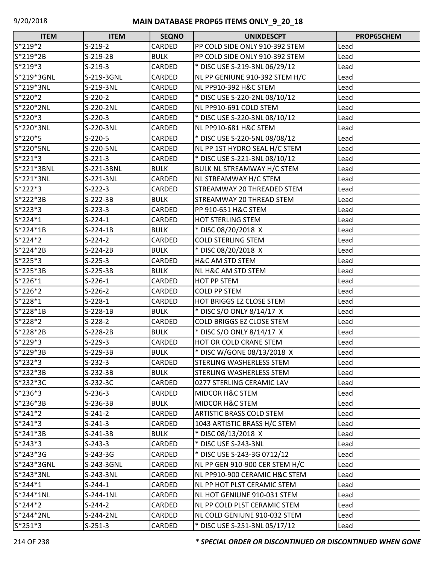| <b>ITEM</b> | <b>ITEM</b> | <b>SEQNO</b> | <b>UNIXDESCPT</b>               | <b>PROP65CHEM</b> |
|-------------|-------------|--------------|---------------------------------|-------------------|
| S*219*2     | $S-219-2$   | CARDED       | PP COLD SIDE ONLY 910-392 STEM  | Lead              |
| S*219*2B    | $S-219-2B$  | <b>BULK</b>  | PP COLD SIDE ONLY 910-392 STEM  | Lead              |
| S*219*3     | $S-219-3$   | CARDED       | * DISC USE S-219-3NL 06/29/12   | Lead              |
| S*219*3GNL  | S-219-3GNL  | CARDED       | NL PP GENIUNE 910-392 STEM H/C  | Lead              |
| S*219*3NL   | S-219-3NL   | CARDED       | NL PP910-392 H&C STEM           | Lead              |
| S*220*2     | $S-220-2$   | CARDED       | * DISC USE S-220-2NL 08/10/12   | Lead              |
| S*220*2NL   | S-220-2NL   | CARDED       | NL PP910-691 COLD STEM          | Lead              |
| S*220*3     | $S-220-3$   | CARDED       | * DISC USE S-220-3NL 08/10/12   | Lead              |
| S*220*3NL   | S-220-3NL   | CARDED       | NL PP910-681 H&C STEM           | Lead              |
| S*220*5     | $S-220-5$   | CARDED       | * DISC USE S-220-5NL 08/08/12   | Lead              |
| S*220*5NL   | S-220-5NL   | CARDED       | NL PP 1ST HYDRO SEAL H/C STEM   | Lead              |
| S*221*3     | $S-221-3$   | CARDED       | * DISC USE S-221-3NL 08/10/12   | Lead              |
| S*221*3BNL  | S-221-3BNL  | <b>BULK</b>  | BULK NL STREAMWAY H/C STEM      | Lead              |
| S*221*3NL   | S-221-3NL   | CARDED       | NL STREAMWAY H/C STEM           | Lead              |
| $S*222*3$   | $S-222-3$   | CARDED       | STREAMWAY 20 THREADED STEM      | Lead              |
| S*222*3B    | S-222-3B    | <b>BULK</b>  | STREAMWAY 20 THREAD STEM        | Lead              |
| S*223*3     | $S-223-3$   | CARDED       | PP 910-651 H&C STEM             | Lead              |
| $S*224*1$   | $S-224-1$   | CARDED       | <b>HOT STERLING STEM</b>        | Lead              |
| S*224*1B    | $S-224-1B$  | <b>BULK</b>  | * DISC 08/20/2018 X             | Lead              |
| S*224*2     | $S-224-2$   | CARDED       | <b>COLD STERLING STEM</b>       | Lead              |
| S*224*2B    | $S-224-2B$  | <b>BULK</b>  | * DISC 08/20/2018 X             | Lead              |
| S*225*3     | $S-225-3$   | CARDED       | H&C AM STD STEM                 | Lead              |
| S*225*3B    | $S-225-3B$  | <b>BULK</b>  | NL H&C AM STD STEM              | Lead              |
| S*226*1     | $S-226-1$   | CARDED       | HOT PP STEM                     | Lead              |
| S*226*2     | $S-226-2$   | CARDED       | <b>COLD PP STEM</b>             | Lead              |
| S*228*1     | $S-228-1$   | CARDED       | HOT BRIGGS EZ CLOSE STEM        | Lead              |
| S*228*1B    | $S-228-1B$  | <b>BULK</b>  | * DISC S/O ONLY 8/14/17 X       | Lead              |
| S*228*2     | $S-228-2$   | CARDED       | COLD BRIGGS EZ CLOSE STEM       | Lead              |
| S*228*2B    | S-228-2B    | <b>BULK</b>  | * DISC S/O ONLY 8/14/17 X       | Lead              |
| S*229*3     | $S-229-3$   | CARDED       | HOT OR COLD CRANE STEM          | Lead              |
| S*229*3B    | S-229-3B    | <b>BULK</b>  | * DISC W/GONE 08/13/2018 X      | Lead              |
| $S*232*3$   | $S-232-3$   | CARDED       | STERLING WASHERLESS STEM        | Lead              |
| S*232*3B    | $S-232-3B$  | <b>BULK</b>  | <b>STERLING WASHERLESS STEM</b> | Lead              |
| S*232*3C    | S-232-3C    | CARDED       | 0277 STERLING CERAMIC LAV       | Lead              |
| $S*236*3$   | $S-236-3$   | CARDED       | MIDCOR H&C STEM                 | Lead              |
| S*236*3B    | $S-236-3B$  | <b>BULK</b>  | <b>MIDCOR H&amp;C STEM</b>      | Lead              |
| $S*241*2$   | $S-241-2$   | CARDED       | <b>ARTISTIC BRASS COLD STEM</b> | Lead              |
| $S*241*3$   | $S-241-3$   | CARDED       | 1043 ARTISTIC BRASS H/C STEM    | Lead              |
| $S*241*3B$  | $S-241-3B$  | <b>BULK</b>  | * DISC 08/13/2018 X             | Lead              |
| $S*243*3$   | $S-243-3$   | CARDED       | * DISC USE S-243-3NL            | Lead              |
| S*243*3G    | $S-243-3G$  | CARDED       | * DISC USE S-243-3G 0712/12     | Lead              |
| S*243*3GNL  | S-243-3GNL  | CARDED       | NL PP GEN 910-900 CER STEM H/C  | Lead              |
| S*243*3NL   | S-243-3NL   | CARDED       | NL PP910-900 CERAMIC H&C STEM   | Lead              |
| $S*244*1$   | $S-244-1$   | CARDED       | NL PP HOT PLST CERAMIC STEM     | Lead              |
| S*244*1NL   | S-244-1NL   | CARDED       | NL HOT GENIUNE 910-031 STEM     | Lead              |
| $S*244*2$   | $S-244-2$   | CARDED       | NL PP COLD PLST CERAMIC STEM    | Lead              |
| S*244*2NL   | S-244-2NL   | CARDED       | NL COLD GENIUNE 910-032 STEM    | Lead              |
| $S*251*3$   | $S-251-3$   | CARDED       | * DISC USE S-251-3NL 05/17/12   | Lead              |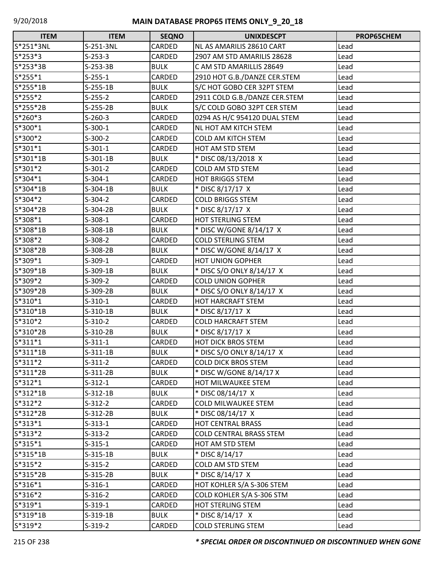| <b>ITEM</b> | <b>ITEM</b> | <b>SEQNO</b> | <b>UNIXDESCPT</b>              | <b>PROP65CHEM</b> |
|-------------|-------------|--------------|--------------------------------|-------------------|
| S*251*3NL   | S-251-3NL   | CARDED       | NL AS AMARILIS 28610 CART      | Lead              |
| $S*253*3$   | $S-253-3$   | CARDED       | 2907 AM STD AMARILIS 28628     | Lead              |
| S*253*3B    | $S-253-3B$  | <b>BULK</b>  | C AM STD AMARILLIS 28649       | Lead              |
| $S*255*1$   | $S-255-1$   | CARDED       | 2910 HOT G.B./DANZE CER.STEM   | Lead              |
| S*255*1B    | $S-255-1B$  | <b>BULK</b>  | S/C HOT GOBO CER 32PT STEM     | Lead              |
| $S*255*2$   | $S-255-2$   | CARDED       | 2911 COLD G.B./DANZE CER.STEM  | Lead              |
| $S*255*2B$  | $S-255-2B$  | <b>BULK</b>  | S/C COLD GOBO 32PT CER STEM    | Lead              |
| S*260*3     | $S-260-3$   | CARDED       | 0294 AS H/C 954120 DUAL STEM   | Lead              |
| S*300*1     | $S-300-1$   | CARDED       | NL HOT AM KITCH STEM           | Lead              |
| S*300*2     | $S-300-2$   | CARDED       | <b>COLD AM KITCH STEM</b>      | Lead              |
| $S*301*1$   | $S-301-1$   | CARDED       | HOT AM STD STEM                | Lead              |
| S*301*1B    | $S-301-1B$  | <b>BULK</b>  | * DISC 08/13/2018 X            | Lead              |
| $S*301*2$   | $S-301-2$   | CARDED       | COLD AM STD STEM               | Lead              |
| $S*304*1$   | $S-304-1$   | CARDED       | <b>HOT BRIGGS STEM</b>         | Lead              |
| S*304*1B    | $S-304-1B$  | <b>BULK</b>  | * DISC 8/17/17 X               | Lead              |
| S*304*2     | $S-304-2$   | CARDED       | <b>COLD BRIGGS STEM</b>        | Lead              |
| S*304*2B    | $S-304-2B$  | <b>BULK</b>  | * DISC 8/17/17 X               | Lead              |
| S*308*1     | $S-308-1$   | CARDED       | HOT STERLING STEM              | Lead              |
| S*308*1B    | $S-308-1B$  | <b>BULK</b>  | * DISC W/GONE 8/14/17 X        | Lead              |
| S*308*2     | $S-308-2$   | CARDED       | <b>COLD STERLING STEM</b>      | Lead              |
| S*308*2B    | S-308-2B    | <b>BULK</b>  | * DISC W/GONE 8/14/17 X        | Lead              |
| S*309*1     | $S-309-1$   | CARDED       | <b>HOT UNION GOPHER</b>        | Lead              |
| S*309*1B    | $S-309-1B$  | <b>BULK</b>  | * DISC S/O ONLY 8/14/17 X      | Lead              |
| $S*309*2$   | $S-309-2$   | CARDED       | <b>COLD UNION GOPHER</b>       | Lead              |
| S*309*2B    | S-309-2B    | <b>BULK</b>  | * DISC S/O ONLY 8/14/17 X      | Lead              |
| $S*310*1$   | $S-310-1$   | CARDED       | HOT HARCRAFT STEM              | Lead              |
| S*310*1B    | $S-310-1B$  | <b>BULK</b>  | * DISC 8/17/17 X               | Lead              |
| S*310*2     | $S-310-2$   | CARDED       | <b>COLD HARCRAFT STEM</b>      | Lead              |
| S*310*2B    | $S-310-2B$  | <b>BULK</b>  | * DISC 8/17/17 X               | Lead              |
| $S*311*1$   | $S-311-1$   | CARDED       | <b>HOT DICK BROS STEM</b>      | Lead              |
| $S*311*1B$  | $S-311-1B$  | <b>BULK</b>  | * DISC S/O ONLY 8/14/17 X      | Lead              |
| $S*311*2$   | $S-311-2$   | CARDED       | <b>COLD DICK BROS STEM</b>     | Lead              |
| $S*311*2B$  | $S-311-2B$  | <b>BULK</b>  | * DISC W/GONE 8/14/17 X        | Lead              |
| $S*312*1$   | $S-312-1$   | CARDED       | HOT MILWAUKEE STEM             | Lead              |
| $S*312*1B$  | $S-312-1B$  | <b>BULK</b>  | * DISC 08/14/17 X              | Lead              |
| $S*312*2$   | $S-312-2$   | CARDED       | <b>COLD MILWAUKEE STEM</b>     | Lead              |
| $S*312*2B$  | $S-312-2B$  | <b>BULK</b>  | * DISC 08/14/17 X              | Lead              |
| $S*313*1$   | $S-313-1$   | CARDED       | <b>HOT CENTRAL BRASS</b>       | Lead              |
| $S*313*2$   | $S-313-2$   | CARDED       | <b>COLD CENTRAL BRASS STEM</b> | Lead              |
| $S*315*1$   | $S-315-1$   | CARDED       | HOT AM STD STEM                | Lead              |
| $S*315*1B$  | $S-315-1B$  | <b>BULK</b>  | * DISC 8/14/17                 | Lead              |
| $S*315*2$   | $S-315-2$   | CARDED       | COLD AM STD STEM               | Lead              |
| $S*315*2B$  | $S-315-2B$  | <b>BULK</b>  | * DISC 8/14/17 X               | Lead              |
| $S*316*1$   | $S-316-1$   | CARDED       | HOT KOHLER S/A S-306 STEM      | Lead              |
| $S*316*2$   | $S-316-2$   | CARDED       | COLD KOHLER S/A S-306 STM      | Lead              |
| $S*319*1$   | $S-319-1$   | CARDED       | HOT STERLING STEM              | Lead              |
| S*319*1B    | $S-319-1B$  | <b>BULK</b>  | * DISC 8/14/17 X               | Lead              |
| S*319*2     | $S-319-2$   | CARDED       | <b>COLD STERLING STEM</b>      | Lead              |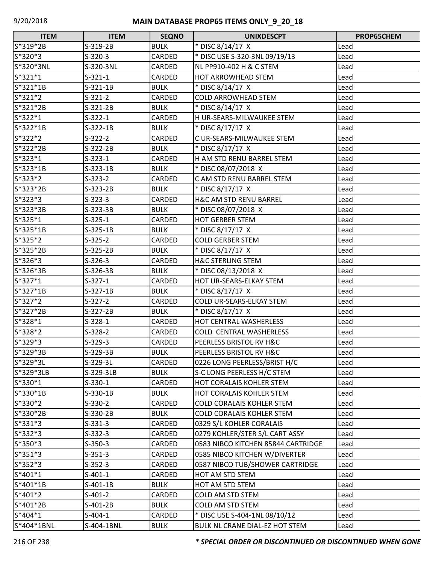| <b>ITEM</b> | <b>ITEM</b> | <b>SEQNO</b>  | <b>UNIXDESCPT</b>                  | <b>PROP65CHEM</b> |
|-------------|-------------|---------------|------------------------------------|-------------------|
| S*319*2B    | S-319-2B    | <b>BULK</b>   | * DISC 8/14/17 X                   | Lead              |
| S*320*3     | $S-320-3$   | CARDED        | * DISC USE S-320-3NL 09/19/13      | Lead              |
| S*320*3NL   | S-320-3NL   | CARDED        | NL PP910-402 H & C STEM            | Lead              |
| $S*321*1$   | $S-321-1$   | <b>CARDED</b> | <b>HOT ARROWHEAD STEM</b>          | Lead              |
| S*321*1B    | $S-321-1B$  | <b>BULK</b>   | * DISC 8/14/17 X                   | Lead              |
| $S*321*2$   | $S-321-2$   | CARDED        | <b>COLD ARROWHEAD STEM</b>         | Lead              |
| S*321*2B    | $S-321-2B$  | <b>BULK</b>   | * DISC 8/14/17 X                   | Lead              |
| $S*322*1$   | $S-322-1$   | CARDED        | H UR-SEARS-MILWAUKEE STEM          | Lead              |
| S*322*1B    | $S-322-1B$  | <b>BULK</b>   | * DISC 8/17/17 X                   | Lead              |
| $S*322*2$   | $S-322-2$   | CARDED        | C UR-SEARS-MILWAUKEE STEM          | Lead              |
| S*322*2B    | $S-322-2B$  | <b>BULK</b>   | * DISC 8/17/17 X                   | Lead              |
| S*323*1     | $S-323-1$   | <b>CARDED</b> | H AM STD RENU BARREL STEM          | Lead              |
| S*323*1B    | $S-323-1B$  | <b>BULK</b>   | * DISC 08/07/2018 X                | Lead              |
| $S*323*2$   | $S-323-2$   | <b>CARDED</b> | C AM STD RENU BARREL STEM          | Lead              |
| S*323*2B    | $S-323-2B$  | <b>BULK</b>   | * DISC 8/17/17 X                   | Lead              |
| S*323*3     | $S-323-3$   | CARDED        | <b>H&amp;C AM STD RENU BARREL</b>  | Lead              |
| S*323*3B    | S-323-3B    | <b>BULK</b>   | * DISC 08/07/2018 X                | Lead              |
| S*325*1     | $S-325-1$   | CARDED        | <b>HOT GERBER STEM</b>             | Lead              |
| S*325*1B    | $S-325-1B$  | <b>BULK</b>   | * DISC 8/17/17 X                   | Lead              |
| S*325*2     | $S-325-2$   | <b>CARDED</b> | <b>COLD GERBER STEM</b>            | Lead              |
| S*325*2B    | $S-325-2B$  | <b>BULK</b>   | * DISC 8/17/17 X                   | Lead              |
| S*326*3     | $S-326-3$   | CARDED        | <b>H&amp;C STERLING STEM</b>       | Lead              |
| S*326*3B    | S-326-3B    | <b>BULK</b>   | * DISC 08/13/2018 X                | Lead              |
| $S*327*1$   | $S-327-1$   | CARDED        | HOT UR-SEARS-ELKAY STEM            | Lead              |
| S*327*1B    | $S-327-1B$  | <b>BULK</b>   | * DISC 8/17/17 X                   | Lead              |
| $S*327*2$   | $S-327-2$   | CARDED        | COLD UR-SEARS-ELKAY STEM           | Lead              |
| S*327*2B    | $S-327-2B$  | <b>BULK</b>   | * DISC 8/17/17 X                   | Lead              |
| $S*328*1$   | $S-328-1$   | CARDED        | HOT CENTRAL WASHERLESS             | Lead              |
| S*328*2     | $S-328-2$   | CARDED        | <b>COLD CENTRAL WASHERLESS</b>     | Lead              |
| S*329*3     | $S-329-3$   | <b>CARDED</b> | PEERLESS BRISTOL RV H&C            | Lead              |
| S*329*3B    | S-329-3B    | <b>BULK</b>   | PEERLESS BRISTOL RV H&C            | Lead              |
| S*329*3L    | S-329-3L    | CARDED        | 0226 LONG PEERLESS/BRIST H/C       | Lead              |
| S*329*3LB   | S-329-3LB   | <b>BULK</b>   | S-C LONG PEERLESS H/C STEM         | Lead              |
| $S*330*1$   | $S-330-1$   | CARDED        | HOT CORALAIS KOHLER STEM           | Lead              |
| S*330*1B    | $S-330-1B$  | <b>BULK</b>   | HOT CORALAIS KOHLER STEM           | Lead              |
| S*330*2     | $S-330-2$   | CARDED        | <b>COLD CORALAIS KOHLER STEM</b>   | Lead              |
| S*330*2B    | S-330-2B    | <b>BULK</b>   | <b>COLD CORALAIS KOHLER STEM</b>   | Lead              |
| $S*331*3$   | $S-331-3$   | CARDED        | 0329 S/L KOHLER CORALAIS           | Lead              |
| $S*332*3$   | $S-332-3$   | CARDED        | 0279 KOHLER/STER S/L CART ASSY     | Lead              |
| $S*350*3$   | $S-350-3$   | CARDED        | 0583 NIBCO KITCHEN 85844 CARTRIDGE | Lead              |
| $S*351*3$   | $S-351-3$   | CARDED        | 0585 NIBCO KITCHEN W/DIVERTER      | Lead              |
| $S*352*3$   | $S-352-3$   | CARDED        | 0587 NIBCO TUB/SHOWER CARTRIDGE    | Lead              |
| $S*401*1$   | $S-401-1$   | CARDED        | HOT AM STD STEM                    | Lead              |
| $S*401*1B$  | $S-401-1B$  | <b>BULK</b>   | HOT AM STD STEM                    | Lead              |
| $S*401*2$   | $S-401-2$   | CARDED        | COLD AM STD STEM                   | Lead              |
| S*401*2B    | S-401-2B    | <b>BULK</b>   | COLD AM STD STEM                   | Lead              |
| $S*404*1$   | $S-404-1$   | CARDED        | * DISC USE S-404-1NL 08/10/12      | Lead              |
| S*404*1BNL  | S-404-1BNL  | <b>BULK</b>   | BULK NL CRANE DIAL-EZ HOT STEM     | Lead              |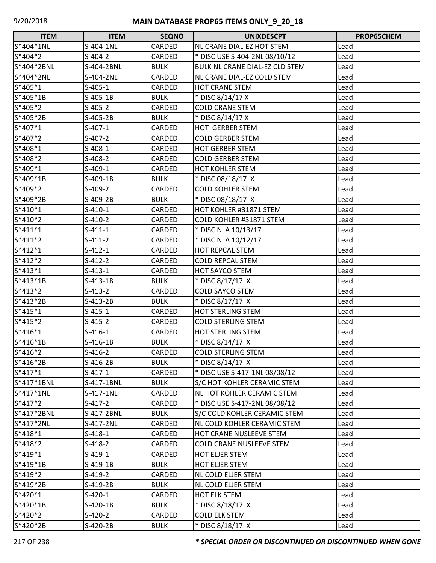| <b>ITEM</b> | <b>ITEM</b> | <b>SEQNO</b>  | <b>UNIXDESCPT</b>                  | PROP65CHEM |
|-------------|-------------|---------------|------------------------------------|------------|
| S*404*1NL   | S-404-1NL   | CARDED        | NL CRANE DIAL-EZ HOT STEM          | Lead       |
| S*404*2     | $S-404-2$   | CARDED        | * DISC USE S-404-2NL 08/10/12      | Lead       |
| S*404*2BNL  | S-404-2BNL  | <b>BULK</b>   | BULK NL CRANE DIAL-EZ CLD STEM     | Lead       |
| S*404*2NL   | S-404-2NL   | CARDED        | NL CRANE DIAL-EZ COLD STEM         | Lead       |
| S*405*1     | $S-405-1$   | CARDED        | HOT CRANE STEM                     | Lead       |
| S*405*1B    | S-405-1B    | <b>BULK</b>   | * DISC 8/14/17 X                   | Lead       |
| S*405*2     | $S-405-2$   | CARDED        | <b>COLD CRANE STEM</b>             | Lead       |
| S*405*2B    | S-405-2B    | <b>BULK</b>   | * DISC 8/14/17 X                   | Lead       |
| $S*407*1$   | $S-407-1$   | CARDED        | <b>HOT GERBER STEM</b>             | Lead       |
| S*407*2     | $S-407-2$   | CARDED        | <b>COLD GERBER STEM</b>            | Lead       |
| S*408*1     | $S-408-1$   | CARDED        | <b>HOT GERBER STEM</b>             | Lead       |
| S*408*2     | $S-408-2$   | CARDED        | <b>COLD GERBER STEM</b>            | Lead       |
| $S*409*1$   | $S-409-1$   | CARDED        | <b>HOT KOHLER STEM</b>             | Lead       |
| S*409*1B    | S-409-1B    | <b>BULK</b>   | * DISC 08/18/17 X                  | Lead       |
| S*409*2     | $S-409-2$   | CARDED        | <b>COLD KOHLER STEM</b>            | Lead       |
| S*409*2B    | S-409-2B    | <b>BULK</b>   | * DISC 08/18/17 X                  | Lead       |
| $S*410*1$   | $S-410-1$   | <b>CARDED</b> | HOT KOHLER #31871 STEM             | Lead       |
| $S*410*2$   | $S-410-2$   | CARDED        | COLD KOHLER #31871 STEM            | Lead       |
| $S*411*1$   | S-411-1     | CARDED        | * DISC NLA 10/13/17                | Lead       |
| $S*411*2$   | $S-411-2$   | CARDED        | * DISC NLA 10/12/17                | Lead       |
| $S*412*1$   | $S-412-1$   | CARDED        | <b>HOT REPCAL STEM</b>             | Lead       |
| $S*412*2$   | S-412-2     | CARDED        | <b>COLD REPCAL STEM</b>            | Lead       |
| $S*413*1$   | $S-413-1$   | CARDED        | HOT SAYCO STEM                     | Lead       |
| $S*413*1B$  | S-413-1B    | <b>BULK</b>   | * DISC 8/17/17 X                   | Lead       |
| $S*413*2$   | $S-413-2$   | CARDED        | <b>COLD SAYCO STEM</b>             | Lead       |
| S*413*2B    | S-413-2B    | <b>BULK</b>   | * DISC 8/17/17 X                   | Lead       |
| $S*415*1$   | S-415-1     | CARDED        | <b>HOT STERLING STEM</b>           | Lead       |
| $S*415*2$   | $S-415-2$   | CARDED        | <b>COLD STERLING STEM</b>          | Lead       |
| $S*416*1$   | $S-416-1$   | CARDED        | <b>HOT STERLING STEM</b>           | Lead       |
| $S*416*1B$  | $S-416-1B$  | <b>BULK</b>   | * DISC 8/14/17 X                   | Lead       |
| $S*416*2$   | $S-416-2$   | CARDED        | <b>COLD STERLING STEM</b>          | Lead       |
| $S*416*2B$  | S-416-2B    | <b>BULK</b>   | * DISC 8/14/17 X                   | Lead       |
| $S*417*1$   | $S-417-1$   | CARDED        | * DISC USE S-417-1NL 08/08/12      | Lead       |
| S*417*1BNL  | S-417-1BNL  | <b>BULK</b>   | S/C HOT KOHLER CERAMIC STEM        | Lead       |
| $S*417*1NL$ | S-417-1NL   | CARDED        | NL HOT KOHLER CERAMIC STEM         | Lead       |
| $S*417*2$   | $S-417-2$   | CARDED        | * DISC USE S-417-2NL 08/08/12      | Lead       |
| S*417*2BNL  | S-417-2BNL  | <b>BULK</b>   | S/C COLD KOHLER CERAMIC STEM       | Lead       |
| S*417*2NL   | S-417-2NL   | CARDED        | <b>NL COLD KOHLER CERAMIC STEM</b> | Lead       |
| $S*418*1$   | $S-418-1$   | CARDED        | HOT CRANE NUSLEEVE STEM            | Lead       |
| $S*418*2$   | S-418-2     | CARDED        | <b>COLD CRANE NUSLEEVE STEM</b>    | Lead       |
| $S*419*1$   | $S-419-1$   | CARDED        | HOT ELJER STEM                     | Lead       |
| $S*419*1B$  | S-419-1B    | <b>BULK</b>   | <b>HOT ELJER STEM</b>              | Lead       |
| $S*419*2$   | $S-419-2$   | CARDED        | <b>NL COLD ELJER STEM</b>          | Lead       |
| S*419*2B    | S-419-2B    | <b>BULK</b>   | <b>NL COLD ELJER STEM</b>          | Lead       |
| $S*420*1$   | S-420-1     | CARDED        | HOT ELK STEM                       | Lead       |
| S*420*1B    | $S-420-1B$  | <b>BULK</b>   | * DISC 8/18/17 X                   | Lead       |
| $S*420*2$   | $S-420-2$   | CARDED        | <b>COLD ELK STEM</b>               | Lead       |
| S*420*2B    | S-420-2B    | <b>BULK</b>   | * DISC 8/18/17 X                   | Lead       |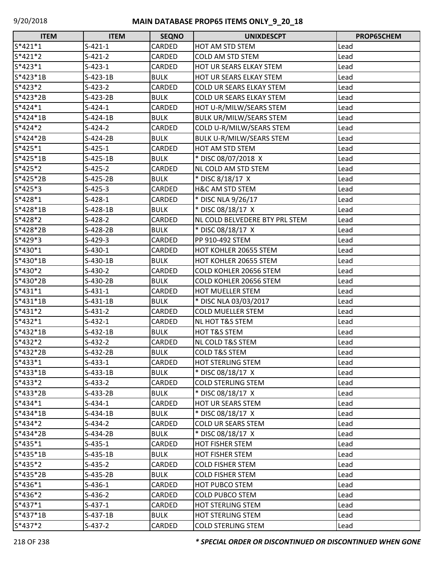| <b>ITEM</b> | <b>ITEM</b> | <b>SEQNO</b> | <b>UNIXDESCPT</b>               | PROP65CHEM |
|-------------|-------------|--------------|---------------------------------|------------|
| $S*421*1$   | $S-421-1$   | CARDED       | HOT AM STD STEM                 | Lead       |
| S*421*2     | $S-421-2$   | CARDED       | <b>COLD AM STD STEM</b>         | Lead       |
| $S*423*1$   | $S-423-1$   | CARDED       | HOT UR SEARS ELKAY STEM         | Lead       |
| S*423*1B    | $S-423-1B$  | <b>BULK</b>  | HOT UR SEARS ELKAY STEM         | Lead       |
| $S*423*2$   | $S-423-2$   | CARDED       | COLD UR SEARS ELKAY STEM        | Lead       |
| S*423*2B    | $S-423-2B$  | <b>BULK</b>  | COLD UR SEARS ELKAY STEM        | Lead       |
| $S*424*1$   | $S-424-1$   | CARDED       | HOT U-R/MILW/SEARS STEM         | Lead       |
| S*424*1B    | $S-424-1B$  | <b>BULK</b>  | <b>BULK UR/MILW/SEARS STEM</b>  | Lead       |
| $S*424*2$   | $S-424-2$   | CARDED       | COLD U-R/MILW/SEARS STEM        | Lead       |
| S*424*2B    | $S-424-2B$  | <b>BULK</b>  | <b>BULK U-R/MILW/SEARS STEM</b> | Lead       |
| $S*425*1$   | $S-425-1$   | CARDED       | <b>HOT AM STD STEM</b>          | Lead       |
| S*425*1B    | $S-425-1B$  | <b>BULK</b>  | * DISC 08/07/2018 X             | Lead       |
| S*425*2     | $S-425-2$   | CARDED       | NL COLD AM STD STEM             | Lead       |
| S*425*2B    | $S-425-2B$  | <b>BULK</b>  | * DISC 8/18/17 X                | Lead       |
| $S*425*3$   | $S-425-3$   | CARDED       | H&C AM STD STEM                 | Lead       |
| S*428*1     | $S-428-1$   | CARDED       | * DISC NLA 9/26/17              | Lead       |
| S*428*1B    | $S-428-1B$  | <b>BULK</b>  | * DISC 08/18/17 X               | Lead       |
| S*428*2     | $S-428-2$   | CARDED       | NL COLD BELVEDERE BTY PRL STEM  | Lead       |
| S*428*2B    | $S-428-2B$  | <b>BULK</b>  | * DISC 08/18/17 X               | Lead       |
| $S*429*3$   | $S-429-3$   | CARDED       | PP 910-492 STEM                 | Lead       |
| S*430*1     | $S-430-1$   | CARDED       | HOT KOHLER 20655 STEM           | Lead       |
| S*430*1B    | $S-430-1B$  | <b>BULK</b>  | HOT KOHLER 20655 STEM           | Lead       |
| S*430*2     | $S-430-2$   | CARDED       | COLD KOHLER 20656 STEM          | Lead       |
| S*430*2B    | S-430-2B    | <b>BULK</b>  | COLD KOHLER 20656 STEM          | Lead       |
| $S*431*1$   | $S-431-1$   | CARDED       | HOT MUELLER STEM                | Lead       |
| S*431*1B    | $S-431-1B$  | <b>BULK</b>  | * DISC NLA 03/03/2017           | Lead       |
| $S*431*2$   | $S-431-2$   | CARDED       | <b>COLD MUELLER STEM</b>        | Lead       |
| S*432*1     | $S-432-1$   | CARDED       | <b>NL HOT T&amp;S STEM</b>      | Lead       |
| $S*432*1B$  | $S-432-1B$  | <b>BULK</b>  | HOT T&S STEM                    | Lead       |
| S*432*2     | $S-432-2$   | CARDED       | NL COLD T&S STEM                | Lead       |
| S*432*2B    | $S-432-2B$  | <b>BULK</b>  | <b>COLD T&amp;S STEM</b>        | Lead       |
| S*433*1     | $S-433-1$   | CARDED       | <b>HOT STERLING STEM</b>        | Lead       |
| S*433*1B    | $S-433-1B$  | <b>BULK</b>  | * DISC 08/18/17 X               | Lead       |
| $S*433*2$   | $S-433-2$   | CARDED       | <b>COLD STERLING STEM</b>       | Lead       |
| S*433*2B    | $S-433-2B$  | <b>BULK</b>  | * DISC 08/18/17 X               | Lead       |
| S*434*1     | $S-434-1$   | CARDED       | <b>HOT UR SEARS STEM</b>        | Lead       |
| $S*434*1B$  | $S-434-1B$  | <b>BULK</b>  | * DISC 08/18/17 X               | Lead       |
| $S*434*2$   | $S-434-2$   | CARDED       | <b>COLD UR SEARS STEM</b>       | Lead       |
| S*434*2B    | $S-434-2B$  | <b>BULK</b>  | * DISC 08/18/17 X               | Lead       |
| $S*435*1$   | $S-435-1$   | CARDED       | <b>HOT FISHER STEM</b>          | Lead       |
| S*435*1B    | $S-435-1B$  | <b>BULK</b>  | <b>HOT FISHER STEM</b>          | Lead       |
| $S*435*2$   | $S-435-2$   | CARDED       | <b>COLD FISHER STEM</b>         | Lead       |
| S*435*2B    | $S-435-2B$  | <b>BULK</b>  | <b>COLD FISHER STEM</b>         | Lead       |
| S*436*1     | $S-436-1$   | CARDED       | <b>HOT PUBCO STEM</b>           | Lead       |
| S*436*2     | $S-436-2$   | CARDED       | <b>COLD PUBCO STEM</b>          | Lead       |
| $S*437*1$   | $S-437-1$   | CARDED       | <b>HOT STERLING STEM</b>        | Lead       |
| $S*437*1B$  | $S-437-1B$  | <b>BULK</b>  | <b>HOT STERLING STEM</b>        | Lead       |
| $S*437*2$   | $S-437-2$   | CARDED       | <b>COLD STERLING STEM</b>       | Lead       |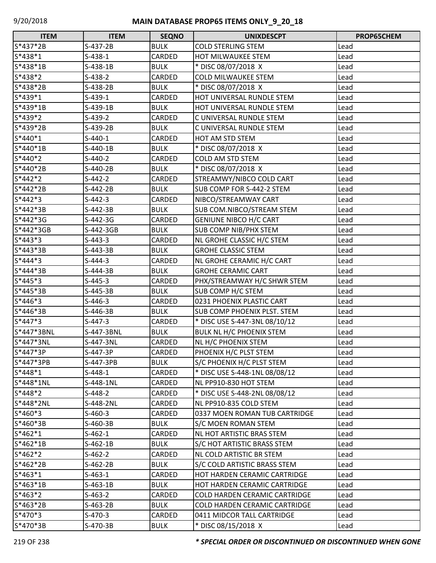| <b>ITEM</b> | <b>ITEM</b> | <b>SEQNO</b>  | <b>UNIXDESCPT</b>                    | PROP65CHEM |
|-------------|-------------|---------------|--------------------------------------|------------|
| S*437*2B    | S-437-2B    | <b>BULK</b>   | <b>COLD STERLING STEM</b>            | Lead       |
| S*438*1     | $S-438-1$   | CARDED        | HOT MILWAUKEE STEM                   | Lead       |
| $S*438*1B$  | $S-438-1B$  | <b>BULK</b>   | * DISC 08/07/2018 X                  | Lead       |
| S*438*2     | $S-438-2$   | CARDED        | <b>COLD MILWAUKEE STEM</b>           | Lead       |
| S*438*2B    | $S-438-2B$  | <b>BULK</b>   | * DISC 08/07/2018 X                  | Lead       |
| $S*439*1$   | $S-439-1$   | CARDED        | HOT UNIVERSAL RUNDLE STEM            | Lead       |
| $S*439*1B$  | $S-439-1B$  | <b>BULK</b>   | HOT UNIVERSAL RUNDLE STEM            | Lead       |
| $S*439*2$   | $S-439-2$   | CARDED        | C UNIVERSAL RUNDLE STEM              | Lead       |
| S*439*2B    | S-439-2B    | <b>BULK</b>   | C UNIVERSAL RUNDLE STEM              | Lead       |
| $S*440*1$   | $S-440-1$   | CARDED        | HOT AM STD STEM                      | Lead       |
| $S*440*1B$  | $S-440-1B$  | <b>BULK</b>   | * DISC 08/07/2018 X                  | Lead       |
| S*440*2     | $S-440-2$   | <b>CARDED</b> | <b>COLD AM STD STEM</b>              | Lead       |
| S*440*2B    | $S-440-2B$  | <b>BULK</b>   | * DISC 08/07/2018 X                  | Lead       |
| S*442*2     | $S-442-2$   | CARDED        | STREAMWY/NIBCO COLD CART             | Lead       |
| S*442*2B    | $S-442-2B$  | <b>BULK</b>   | SUB COMP FOR S-442-2 STEM            | Lead       |
| $S*442*3$   | $S-442-3$   | CARDED        | NIBCO/STREAMWAY CART                 | Lead       |
| S*442*3B    | S-442-3B    | <b>BULK</b>   | SUB COM.NIBCO/STREAM STEM            | Lead       |
| S*442*3G    | $S-442-3G$  | CARDED        | <b>GENIUNE NIBCO H/C CART</b>        | Lead       |
| S*442*3GB   | S-442-3GB   | <b>BULK</b>   | <b>SUB COMP NIB/PHX STEM</b>         | Lead       |
| $S*443*3$   | $S-443-3$   | CARDED        | NL GROHE CLASSIC H/C STEM            | Lead       |
| $S*443*3B$  | $S-443-3B$  | <b>BULK</b>   | <b>GROHE CLASSIC STEM</b>            | Lead       |
| $S*444*3$   | $S-444-3$   | <b>CARDED</b> | NL GROHE CERAMIC H/C CART            | Lead       |
| S*444*3B    | S-444-3B    | <b>BULK</b>   | <b>GROHE CERAMIC CART</b>            | Lead       |
| $S*445*3$   | $S-445-3$   | CARDED        | PHX/STREAMWAY H/C SHWR STEM          | Lead       |
| $S*445*3B$  | $S-445-3B$  | <b>BULK</b>   | SUB COMP H/C STEM                    | Lead       |
| $S*446*3$   | $S-446-3$   | CARDED        | 0231 PHOENIX PLASTIC CART            | Lead       |
| S*446*3B    | S-446-3B    | <b>BULK</b>   | SUB COMP PHOENIX PLST. STEM          | Lead       |
| S*447*3     | $S-447-3$   | CARDED        | * DISC USE S-447-3NL 08/10/12        | Lead       |
| S*447*3BNL  | S-447-3BNL  | <b>BULK</b>   | BULK NL H/C PHOENIX STEM             | Lead       |
| S*447*3NL   | S-447-3NL   | CARDED        | NL H/C PHOENIX STEM                  | Lead       |
| S*447*3P    | S-447-3P    | <b>CARDED</b> | PHOENIX H/C PLST STEM                | Lead       |
| S*447*3PB   | S-447-3PB   | <b>BULK</b>   | S/C PHOENIX H/C PLST STEM            | Lead       |
| $S*448*1$   | $S-448-1$   | CARDED        | * DISC USE S-448-1NL 08/08/12        | Lead       |
| S*448*1NL   | S-448-1NL   | CARDED        | NL PP910-830 HOT STEM                | Lead       |
| S*448*2     | $S-448-2$   | <b>CARDED</b> | * DISC USE S-448-2NL 08/08/12        | Lead       |
| S*448*2NL   | S-448-2NL   | CARDED        | NL PP910-835 COLD STEM               | Lead       |
| $S*460*3$   | $S-460-3$   | CARDED        | 0337 MOEN ROMAN TUB CARTRIDGE        | Lead       |
| S*460*3B    | S-460-3B    | <b>BULK</b>   | S/C MOEN ROMAN STEM                  | Lead       |
| $S*462*1$   | $S-462-1$   | CARDED        | NL HOT ARTISTIC BRAS STEM            | Lead       |
| $S*462*1B$  | $S-462-1B$  | <b>BULK</b>   | S/C HOT ARTISTIC BRASS STEM          | Lead       |
| $S*462*2$   | $S-462-2$   | CARDED        | NL COLD ARTISTIC BR STEM             | Lead       |
| S*462*2B    | $S-462-2B$  | <b>BULK</b>   | S/C COLD ARTISTIC BRASS STEM         | Lead       |
| $S*463*1$   | $S-463-1$   | CARDED        | HOT HARDEN CERAMIC CARTRIDGE         | Lead       |
| $S*463*1B$  | $S-463-1B$  | <b>BULK</b>   | HOT HARDEN CERAMIC CARTRIDGE         | Lead       |
| $S*463*2$   | $S-463-2$   | CARDED        | <b>COLD HARDEN CERAMIC CARTRIDGE</b> | Lead       |
| S*463*2B    | $S-463-2B$  | <b>BULK</b>   | COLD HARDEN CERAMIC CARTRIDGE        | Lead       |
| $S*470*3$   | $S-470-3$   | CARDED        | 0411 MIDCOR TALL CARTRIDGE           | Lead       |
| S*470*3B    | S-470-3B    | <b>BULK</b>   | * DISC 08/15/2018 X                  | Lead       |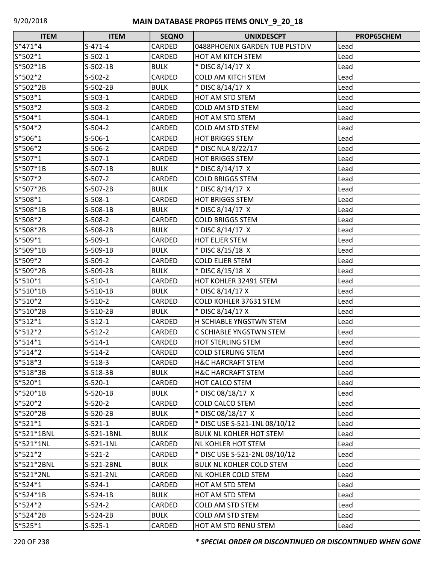| <b>ITEM</b> | <b>ITEM</b> | <b>SEQNO</b>  | <b>UNIXDESCPT</b>               | PROP65CHEM |
|-------------|-------------|---------------|---------------------------------|------------|
| $S*471*4$   | $S-471-4$   | CARDED        | 0488PHOENIX GARDEN TUB PLSTDIV  | Lead       |
| S*502*1     | $S-502-1$   | CARDED        | HOT AM KITCH STEM               | Lead       |
| S*502*1B    | $S-502-1B$  | <b>BULK</b>   | * DISC 8/14/17 X                | Lead       |
| $S*502*2$   | $S-502-2$   | CARDED        | <b>COLD AM KITCH STEM</b>       | Lead       |
| S*502*2B    | $S-502-2B$  | <b>BULK</b>   | * DISC 8/14/17 X                | Lead       |
| $S*503*1$   | $S-503-1$   | CARDED        | HOT AM STD STEM                 | Lead       |
| $S*503*2$   | $S-503-2$   | CARDED        | <b>COLD AM STD STEM</b>         | Lead       |
| $S*504*1$   | $S-504-1$   | CARDED        | HOT AM STD STEM                 | Lead       |
| $S*504*2$   | $S-504-2$   | CARDED        | <b>COLD AM STD STEM</b>         | Lead       |
| S*506*1     | $S-506-1$   | CARDED        | <b>HOT BRIGGS STEM</b>          | Lead       |
| S*506*2     | $S-506-2$   | <b>CARDED</b> | * DISC NLA 8/22/17              | Lead       |
| S*507*1     | $S-507-1$   | CARDED        | <b>HOT BRIGGS STEM</b>          | Lead       |
| S*507*1B    | $S-507-1B$  | <b>BULK</b>   | * DISC 8/14/17 X                | Lead       |
| S*507*2     | $S-507-2$   | CARDED        | <b>COLD BRIGGS STEM</b>         | Lead       |
| S*507*2B    | S-507-2B    | <b>BULK</b>   | * DISC 8/14/17 X                | Lead       |
| $S*508*1$   | $S-508-1$   | CARDED        | <b>HOT BRIGGS STEM</b>          | Lead       |
| S*508*1B    | $S-508-1B$  | <b>BULK</b>   | * DISC 8/14/17 X                | Lead       |
| S*508*2     | $S-508-2$   | CARDED        | <b>COLD BRIGGS STEM</b>         | Lead       |
| S*508*2B    | S-508-2B    | <b>BULK</b>   | * DISC 8/14/17 X                | Lead       |
| S*509*1     | $S-509-1$   | CARDED        | <b>HOT ELJER STEM</b>           | Lead       |
| S*509*1B    | S-509-1B    | <b>BULK</b>   | * DISC 8/15/18 X                | Lead       |
| S*509*2     | $S-509-2$   | <b>CARDED</b> | <b>COLD ELJER STEM</b>          | Lead       |
| S*509*2B    | S-509-2B    | <b>BULK</b>   | * DISC 8/15/18 X                | Lead       |
| $S*510*1$   | $S-510-1$   | CARDED        | HOT KOHLER 32491 STEM           | Lead       |
| S*510*1B    | $S-510-1B$  | <b>BULK</b>   | * DISC 8/14/17 X                | Lead       |
| S*510*2     | $S-510-2$   | CARDED        | COLD KOHLER 37631 STEM          | Lead       |
| S*510*2B    | $S-510-2B$  | <b>BULK</b>   | * DISC 8/14/17 X                | Lead       |
| $S*512*1$   | $S-512-1$   | CARDED        | H SCHIABLE YNGSTWN STEM         | Lead       |
| $S*512*2$   | $S-512-2$   | CARDED        | C SCHIABLE YNGSTWN STEM         | Lead       |
| $S*514*1$   | $S-514-1$   | CARDED        | <b>HOT STERLING STEM</b>        | Lead       |
| S*514*2     | $S-514-2$   | <b>CARDED</b> | <b>COLD STERLING STEM</b>       | Lead       |
| $S*518*3$   | $S-518-3$   | CARDED        | <b>H&amp;C HARCRAFT STEM</b>    | Lead       |
| S*518*3B    | $S-518-3B$  | <b>BULK</b>   | <b>H&amp;C HARCRAFT STEM</b>    | Lead       |
| $S*520*1$   | $S-520-1$   | CARDED        | HOT CALCO STEM                  | Lead       |
| S*520*1B    | $S-520-1B$  | <b>BULK</b>   | * DISC 08/18/17 X               | Lead       |
| $S*520*2$   | $S-520-2$   | CARDED        | <b>COLD CALCO STEM</b>          | Lead       |
| S*520*2B    | $S-520-2B$  | <b>BULK</b>   | * DISC 08/18/17 X               | Lead       |
| $S*521*1$   | $S-521-1$   | CARDED        | * DISC USE S-521-1NL 08/10/12   | Lead       |
| S*521*1BNL  | S-521-1BNL  | <b>BULK</b>   | <b>BULK NL KOHLER HOT STEM</b>  | Lead       |
| S*521*1NL   | S-521-1NL   | CARDED        | NL KOHLER HOT STEM              | Lead       |
| $S*521*2$   | $S-521-2$   | CARDED        | * DISC USE S-521-2NL 08/10/12   | Lead       |
| S*521*2BNL  | S-521-2BNL  | <b>BULK</b>   | <b>BULK NL KOHLER COLD STEM</b> | Lead       |
| S*521*2NL   | S-521-2NL   | CARDED        | NL KOHLER COLD STEM             | Lead       |
| $S*524*1$   | $S-524-1$   | CARDED        | HOT AM STD STEM                 | Lead       |
| S*524*1B    | $S-524-1B$  | <b>BULK</b>   | HOT AM STD STEM                 | Lead       |
| S*524*2     | $S-524-2$   | CARDED        | COLD AM STD STEM                | Lead       |
| S*524*2B    | $S-524-2B$  | <b>BULK</b>   | COLD AM STD STEM                | Lead       |
| $S*525*1$   | $S-525-1$   | <b>CARDED</b> | HOT AM STD RENU STEM            | Lead       |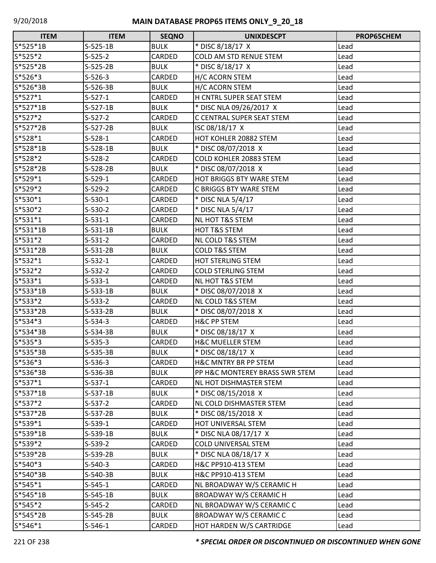| <b>ITEM</b> | <b>ITEM</b> | <b>SEQNO</b>  | <b>UNIXDESCPT</b>               | PROP65CHEM |
|-------------|-------------|---------------|---------------------------------|------------|
| S*525*1B    | $S-525-1B$  | <b>BULK</b>   | * DISC 8/18/17 X                | Lead       |
| $S*525*2$   | $S-525-2$   | CARDED        | COLD AM STD RENUE STEM          | Lead       |
| S*525*2B    | $S-525-2B$  | <b>BULK</b>   | * DISC 8/18/17 X                | Lead       |
| S*526*3     | $S-526-3$   | CARDED        | H/C ACORN STEM                  | Lead       |
| S*526*3B    | S-526-3B    | <b>BULK</b>   | H/C ACORN STEM                  | Lead       |
| $S*527*1$   | $S-527-1$   | CARDED        | H CNTRL SUPER SEAT STEM         | Lead       |
| $S*527*1B$  | S-527-1B    | <b>BULK</b>   | * DISC NLA 09/26/2017 X         | Lead       |
| $S*527*2$   | $S-527-2$   | CARDED        | C CENTRAL SUPER SEAT STEM       | Lead       |
| S*527*2B    | $S-527-2B$  | <b>BULK</b>   | ISC 08/18/17 X                  | Lead       |
| $S*528*1$   | $S-528-1$   | CARDED        | HOT KOHLER 20882 STEM           | Lead       |
| S*528*1B    | $S-528-1B$  | <b>BULK</b>   | * DISC 08/07/2018 X             | Lead       |
| S*528*2     | $S-528-2$   | CARDED        | COLD KOHLER 20883 STEM          | Lead       |
| S*528*2B    | $S-528-2B$  | <b>BULK</b>   | * DISC 08/07/2018 X             | Lead       |
| $S*529*1$   | $S-529-1$   | CARDED        | <b>HOT BRIGGS BTY WARE STEM</b> | Lead       |
| $S*529*2$   | $S-529-2$   | CARDED        | C BRIGGS BTY WARE STEM          | Lead       |
| $S*530*1$   | $S-530-1$   | CARDED        | * DISC NLA 5/4/17               | Lead       |
| S*530*2     | $S-530-2$   | CARDED        | * DISC NLA 5/4/17               | Lead       |
| $S*531*1$   | $S-531-1$   | CARDED        | NL HOT T&S STEM                 | Lead       |
| $S*531*1B$  | $S-531-1B$  | <b>BULK</b>   | <b>HOT T&amp;S STEM</b>         | Lead       |
| $S*531*2$   | $S-531-2$   | CARDED        | <b>NL COLD T&amp;S STEM</b>     | Lead       |
| S*531*2B    | $S-531-2B$  | <b>BULK</b>   | <b>COLD T&amp;S STEM</b>        | Lead       |
| $S*532*1$   | $S-532-1$   | CARDED        | <b>HOT STERLING STEM</b>        | Lead       |
| $S*532*2$   | $S-532-2$   | <b>CARDED</b> | <b>COLD STERLING STEM</b>       | Lead       |
| $S*533*1$   | $S-533-1$   | CARDED        | <b>NL HOT T&amp;S STEM</b>      | Lead       |
| S*533*1B    | $S-533-1B$  | <b>BULK</b>   | * DISC 08/07/2018 X             | Lead       |
| $S*533*2$   | $S-533-2$   | CARDED        | <b>NL COLD T&amp;S STEM</b>     | Lead       |
| S*533*2B    | $S-533-2B$  | <b>BULK</b>   | * DISC 08/07/2018 X             | Lead       |
| $S*534*3$   | $S-534-3$   | CARDED        | <b>H&amp;C PP STEM</b>          | Lead       |
| S*534*3B    | S-534-3B    | <b>BULK</b>   | * DISC 08/18/17 X               | Lead       |
| S*535*3     | $S-535-3$   | <b>CARDED</b> | <b>H&amp;C MUELLER STEM</b>     | Lead       |
| S*535*3B    | $S-535-3B$  | <b>BULK</b>   | * DISC 08/18/17 X               | Lead       |
| $S*536*3$   | $S-536-3$   | CARDED        | H&C MNTRY BR PP STEM            | Lead       |
| S*536*3B    | S-536-3B    | <b>BULK</b>   | PP H&C MONTEREY BRASS SWR STEM  | Lead       |
| $S*537*1$   | $S-537-1$   | CARDED        | NL HOT DISHMASTER STEM          | Lead       |
| S*537*1B    | S-537-1B    | <b>BULK</b>   | * DISC 08/15/2018 X             | Lead       |
| $S*537*2$   | $S-537-2$   | CARDED        | NL COLD DISHMASTER STEM         | Lead       |
| S*537*2B    | $S-537-2B$  | <b>BULK</b>   | * DISC 08/15/2018 X             | Lead       |
| $S*539*1$   | S-539-1     | CARDED        | HOT UNIVERSAL STEM              | Lead       |
| S*539*1B    | $S-539-1B$  | <b>BULK</b>   | * DISC NLA 08/17/17 X           | Lead       |
| S*539*2     | $S-539-2$   | CARDED        | <b>COLD UNIVERSAL STEM</b>      | Lead       |
| S*539*2B    | S-539-2B    | <b>BULK</b>   | * DISC NLA 08/18/17 X           | Lead       |
| $S*540*3$   | $S-540-3$   | CARDED        | H&C PP910-413 STEM              | Lead       |
| S*540*3B    | S-540-3B    | <b>BULK</b>   | H&C PP910-413 STEM              | Lead       |
| $S*545*1$   | $S-545-1$   | CARDED        | NL BROADWAY W/S CERAMIC H       | Lead       |
| S*545*1B    | S-545-1B    | <b>BULK</b>   | BROADWAY W/S CERAMIC H          | Lead       |
| $S*545*2$   | $S-545-2$   | CARDED        | NL BROADWAY W/S CERAMIC C       | Lead       |
| S*545*2B    | S-545-2B    | <b>BULK</b>   | <b>BROADWAY W/S CERAMIC C</b>   | Lead       |
| $S*546*1$   | $S-546-1$   | CARDED        | HOT HARDEN W/S CARTRIDGE        | Lead       |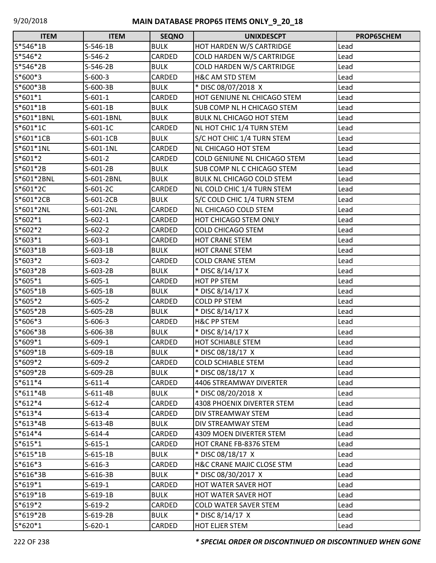| <b>ITEM</b> | <b>ITEM</b> | <b>SEQNO</b> | <b>UNIXDESCPT</b>                    | <b>PROP65CHEM</b> |
|-------------|-------------|--------------|--------------------------------------|-------------------|
| S*546*1B    | $S-546-1B$  | <b>BULK</b>  | HOT HARDEN W/S CARTRIDGE             | Lead              |
| S*546*2     | $S-546-2$   | CARDED       | <b>COLD HARDEN W/S CARTRIDGE</b>     | Lead              |
| S*546*2B    | S-546-2B    | <b>BULK</b>  | COLD HARDEN W/S CARTRIDGE            | Lead              |
| S*600*3     | $S-600-3$   | CARDED       | H&C AM STD STEM                      | Lead              |
| S*600*3B    | S-600-3B    | <b>BULK</b>  | * DISC 08/07/2018 X                  | Lead              |
| $S*601*1$   | $S-601-1$   | CARDED       | HOT GENIUNE NL CHICAGO STEM          | Lead              |
| $S*601*1B$  | $S-601-1B$  | <b>BULK</b>  | SUB COMP NL H CHICAGO STEM           | Lead              |
| S*601*1BNL  | S-601-1BNL  | <b>BULK</b>  | <b>BULK NL CHICAGO HOT STEM</b>      | Lead              |
| $S*601*1C$  | $S-601-1C$  | CARDED       | NL HOT CHIC 1/4 TURN STEM            | Lead              |
| S*601*1CB   | S-601-1CB   | <b>BULK</b>  | S/C HOT CHIC 1/4 TURN STEM           | Lead              |
| S*601*1NL   | S-601-1NL   | CARDED       | <b>NL CHICAGO HOT STEM</b>           | Lead              |
| $S*601*2$   | $S-601-2$   | CARDED       | COLD GENIUNE NL CHICAGO STEM         | Lead              |
| S*601*2B    | $S-601-2B$  | <b>BULK</b>  | SUB COMP NL C CHICAGO STEM           | Lead              |
| S*601*2BNL  | S-601-2BNL  | <b>BULK</b>  | <b>BULK NL CHICAGO COLD STEM</b>     | Lead              |
| S*601*2C    | $S-601-2C$  | CARDED       | NL COLD CHIC 1/4 TURN STEM           | Lead              |
| S*601*2CB   | S-601-2CB   | <b>BULK</b>  | S/C COLD CHIC 1/4 TURN STEM          | Lead              |
| S*601*2NL   | S-601-2NL   | CARDED       | NL CHICAGO COLD STEM                 | Lead              |
| $S*602*1$   | $S-602-1$   | CARDED       | HOT CHICAGO STEM ONLY                | Lead              |
| $S*602*2$   | $S-602-2$   | CARDED       | <b>COLD CHICAGO STEM</b>             | Lead              |
| $S*603*1$   | $S-603-1$   | CARDED       | <b>HOT CRANE STEM</b>                | Lead              |
| S*603*1B    | $S-603-1B$  | <b>BULK</b>  | HOT CRANE STEM                       | Lead              |
| $S*603*2$   | $S-603-2$   | CARDED       | <b>COLD CRANE STEM</b>               | Lead              |
| S*603*2B    | $S-603-2B$  | <b>BULK</b>  | * DISC 8/14/17 X                     | Lead              |
| $S*605*1$   | $S-605-1$   | CARDED       | HOT PP STEM                          | Lead              |
| S*605*1B    | $S-605-1B$  | <b>BULK</b>  | * DISC 8/14/17 X                     | Lead              |
| $S*605*2$   | $S-605-2$   | CARDED       | <b>COLD PP STEM</b>                  | Lead              |
| S*605*2B    | $S-605-2B$  | <b>BULK</b>  | * DISC 8/14/17 X                     | Lead              |
| $S*606*3$   | $S-606-3$   | CARDED       | <b>H&amp;C PP STEM</b>               | Lead              |
| S*606*3B    | S-606-3B    | <b>BULK</b>  | * DISC 8/14/17 X                     | Lead              |
| $S*609*1$   | $S-609-1$   | CARDED       | HOT SCHIABLE STEM                    | Lead              |
| S*609*1B    | S-609-1B    | <b>BULK</b>  | * DISC 08/18/17 X                    | Lead              |
| S*609*2     | $S-609-2$   | CARDED       | <b>COLD SCHIABLE STEM</b>            | Lead              |
| S*609*2B    | $S-609-2B$  | <b>BULK</b>  | * DISC 08/18/17 X                    | Lead              |
| $S*611*4$   | $S-611-4$   | CARDED       | 4406 STREAMWAY DIVERTER              | Lead              |
| $S*611*4B$  | $S-611-4B$  | <b>BULK</b>  | * DISC 08/20/2018 X                  | Lead              |
| $S*612*4$   | $S-612-4$   | CARDED       | 4308 PHOENIX DIVERTER STEM           | Lead              |
| $S*613*4$   | $S-613-4$   | CARDED       | DIV STREAMWAY STEM                   | Lead              |
| $S*613*4B$  | $S-613-4B$  | <b>BULK</b>  | DIV STREAMWAY STEM                   | Lead              |
| $S*614*4$   | $S-614-4$   | CARDED       | 4309 MOEN DIVERTER STEM              | Lead              |
| $S*615*1$   | $S-615-1$   | CARDED       | HOT CRANE FB-8376 STEM               | Lead              |
| $S*615*1B$  | $S-615-1B$  | <b>BULK</b>  | * DISC 08/18/17 X                    | Lead              |
| $S*616*3$   | $S-616-3$   | CARDED       | <b>H&amp;C CRANE MAJIC CLOSE STM</b> | Lead              |
| $S*616*3B$  | $S-616-3B$  | <b>BULK</b>  | * DISC 08/30/2017 X                  | Lead              |
| $S*619*1$   | $S-619-1$   | CARDED       | HOT WATER SAVER HOT                  | Lead              |
| S*619*1B    | $S-619-1B$  | <b>BULK</b>  | HOT WATER SAVER HOT                  | Lead              |
| $S*619*2$   | $S-619-2$   | CARDED       | <b>COLD WATER SAVER STEM</b>         | Lead              |
| $S*619*2B$  | $S-619-2B$  | <b>BULK</b>  | * DISC 8/14/17 X                     | Lead              |
| $S*620*1$   | $S-620-1$   | CARDED       | HOT ELJER STEM                       | Lead              |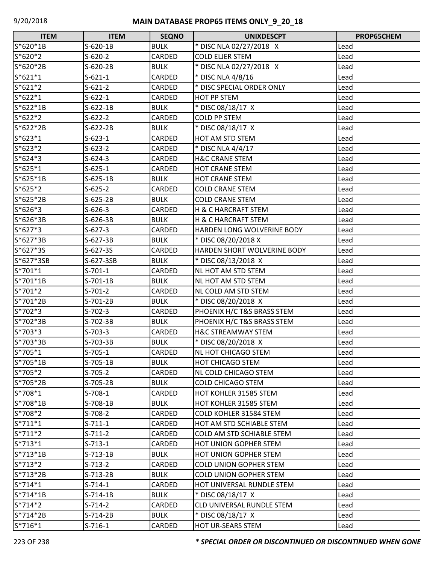| <b>ITEM</b> | <b>ITEM</b> | <b>SEQNO</b> | <b>UNIXDESCPT</b>             | PROP65CHEM |
|-------------|-------------|--------------|-------------------------------|------------|
| S*620*1B    | $S-620-1B$  | <b>BULK</b>  | * DISC NLA 02/27/2018 X       | Lead       |
| S*620*2     | $S-620-2$   | CARDED       | <b>COLD ELJER STEM</b>        | Lead       |
| S*620*2B    | $S-620-2B$  | <b>BULK</b>  | * DISC NLA 02/27/2018 X       | Lead       |
| $S*621*1$   | $S-621-1$   | CARDED       | * DISC NLA 4/8/16             | Lead       |
| $S*621*2$   | $S-621-2$   | CARDED       | * DISC SPECIAL ORDER ONLY     | Lead       |
| $S*622*1$   | $S-622-1$   | CARDED       | HOT PP STEM                   | Lead       |
| $S*622*1B$  | $S-622-1B$  | <b>BULK</b>  | * DISC 08/18/17 X             | Lead       |
| $S*622*2$   | $S-622-2$   | CARDED       | <b>COLD PP STEM</b>           | Lead       |
| S*622*2B    | $S-622-2B$  | <b>BULK</b>  | * DISC 08/18/17 X             | Lead       |
| $S*623*1$   | $S-623-1$   | CARDED       | HOT AM STD STEM               | Lead       |
| $S*623*2$   | $S-623-2$   | CARDED       | * DISC NLA 4/4/17             | Lead       |
| $S*624*3$   | $S-624-3$   | CARDED       | <b>H&amp;C CRANE STEM</b>     | Lead       |
| $S*625*1$   | $S-625-1$   | CARDED       | <b>HOT CRANE STEM</b>         | Lead       |
| S*625*1B    | $S-625-1B$  | <b>BULK</b>  | <b>HOT CRANE STEM</b>         | Lead       |
| $S*625*2$   | $S-625-2$   | CARDED       | <b>COLD CRANE STEM</b>        | Lead       |
| S*625*2B    | $S-625-2B$  | <b>BULK</b>  | <b>COLD CRANE STEM</b>        | Lead       |
| $S*626*3$   | $S-626-3$   | CARDED       | H & C HARCRAFT STEM           | Lead       |
| S*626*3B    | $S-626-3B$  | <b>BULK</b>  | H & C HARCRAFT STEM           | Lead       |
| $S*627*3$   | $S-627-3$   | CARDED       | HARDEN LONG WOLVERINE BODY    | Lead       |
| S*627*3B    | $S-627-3B$  | <b>BULK</b>  | * DISC 08/20/2018 X           | Lead       |
| S*627*3S    | $S-627-3S$  | CARDED       | HARDEN SHORT WOLVERINE BODY   | Lead       |
| S*627*3SB   | S-627-3SB   | <b>BULK</b>  | * DISC 08/13/2018 X           | Lead       |
| $S*701*1$   | $S-701-1$   | CARDED       | NL HOT AM STD STEM            | Lead       |
| S*701*1B    | $S-701-1B$  | <b>BULK</b>  | NL HOT AM STD STEM            | Lead       |
| S*701*2     | $S-701-2$   | CARDED       | NL COLD AM STD STEM           | Lead       |
| S*701*2B    | $S-701-2B$  | <b>BULK</b>  | * DISC 08/20/2018 X           | Lead       |
| S*702*3     | $S-702-3$   | CARDED       | PHOENIX H/C T&S BRASS STEM    | Lead       |
| S*702*3B    | S-702-3B    | <b>BULK</b>  | PHOENIX H/C T&S BRASS STEM    | Lead       |
| S*703*3     | $S-703-3$   | CARDED       | <b>H&amp;C STREAMWAY STEM</b> | Lead       |
| S*703*3B    | S-703-3B    | <b>BULK</b>  | * DISC 08/20/2018 X           | Lead       |
| S*705*1     | $S-705-1$   | CARDED       | <b>NL HOT CHICAGO STEM</b>    | Lead       |
| S*705*1B    | $S-705-1B$  | <b>BULK</b>  | <b>HOT CHICAGO STEM</b>       | Lead       |
| S*705*2     | $S-705-2$   | CARDED       | NL COLD CHICAGO STEM          | Lead       |
| S*705*2B    | $S-705-2B$  | <b>BULK</b>  | <b>COLD CHICAGO STEM</b>      | Lead       |
| S*708*1     | $S-708-1$   | CARDED       | HOT KOHLER 31585 STEM         | Lead       |
| S*708*1B    | $S-708-1B$  | <b>BULK</b>  | HOT KOHLER 31585 STEM         | Lead       |
| S*708*2     | $S-708-2$   | CARDED       | COLD KOHLER 31584 STEM        | Lead       |
| $S*711*1$   | $S-711-1$   | CARDED       | HOT AM STD SCHIABLE STEM      | Lead       |
| $S*711*2$   | $S-711-2$   | CARDED       | COLD AM STD SCHIABLE STEM     | Lead       |
| $S*713*1$   | $S-713-1$   | CARDED       | <b>HOT UNION GOPHER STEM</b>  | Lead       |
| $S*713*1B$  | $S-713-1B$  | <b>BULK</b>  | <b>HOT UNION GOPHER STEM</b>  | Lead       |
| $S*713*2$   | $S-713-2$   | CARDED       | <b>COLD UNION GOPHER STEM</b> | Lead       |
| S*713*2B    | $S-713-2B$  | <b>BULK</b>  | <b>COLD UNION GOPHER STEM</b> | Lead       |
| $S*714*1$   | $S-714-1$   | CARDED       | HOT UNIVERSAL RUNDLE STEM     | Lead       |
| $S*714*1B$  | $S-714-1B$  | <b>BULK</b>  | * DISC 08/18/17 X             | Lead       |
| $S*714*2$   | $S-714-2$   | CARDED       | CLD UNIVERSAL RUNDLE STEM     | Lead       |
| S*714*2B    | $S-714-2B$  | <b>BULK</b>  | * DISC 08/18/17 X             | Lead       |
| $S*716*1$   | $S-716-1$   | CARDED       | HOT UR-SEARS STEM             | Lead       |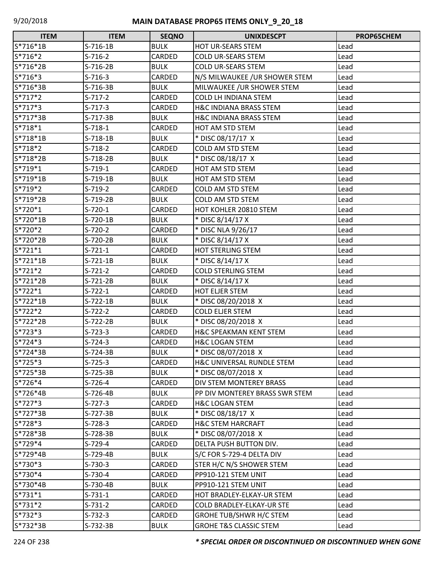| <b>ITEM</b> | <b>ITEM</b> | <b>SEQNO</b>  | <b>UNIXDESCPT</b>                 | PROP65CHEM |
|-------------|-------------|---------------|-----------------------------------|------------|
| S*716*1B    | $S-716-1B$  | <b>BULK</b>   | HOT UR-SEARS STEM                 | Lead       |
| S*716*2     | $S-716-2$   | CARDED        | <b>COLD UR-SEARS STEM</b>         | Lead       |
| S*716*2B    | $S-716-2B$  | <b>BULK</b>   | <b>COLD UR-SEARS STEM</b>         | Lead       |
| S*716*3     | $S-716-3$   | CARDED        | N/S MILWAUKEE / UR SHOWER STEM    | Lead       |
| S*716*3B    | S-716-3B    | <b>BULK</b>   | MILWAUKEE / UR SHOWER STEM        | Lead       |
| $S*717*2$   | $S-717-2$   | CARDED        | <b>COLD LH INDIANA STEM</b>       | Lead       |
| $S*717*3$   | $S-717-3$   | CARDED        | <b>H&amp;C INDIANA BRASS STEM</b> | Lead       |
| S*717*3B    | S-717-3B    | <b>BULK</b>   | <b>H&amp;C INDIANA BRASS STEM</b> | Lead       |
| $S*718*1$   | $S-718-1$   | CARDED        | HOT AM STD STEM                   | Lead       |
| S*718*1B    | $S-718-1B$  | <b>BULK</b>   | * DISC 08/17/17 X                 | Lead       |
| S*718*2     | $S-718-2$   | <b>CARDED</b> | <b>COLD AM STD STEM</b>           | Lead       |
| S*718*2B    | S-718-2B    | <b>BULK</b>   | * DISC 08/18/17 X                 | Lead       |
| S*719*1     | $S-719-1$   | CARDED        | HOT AM STD STEM                   | Lead       |
| S*719*1B    | S-719-1B    | <b>BULK</b>   | HOT AM STD STEM                   | Lead       |
| S*719*2     | $S-719-2$   | CARDED        | COLD AM STD STEM                  | Lead       |
| S*719*2B    | S-719-2B    | <b>BULK</b>   | <b>COLD AM STD STEM</b>           | Lead       |
| S*720*1     | $S-720-1$   | CARDED        | HOT KOHLER 20810 STEM             | Lead       |
| S*720*1B    | S-720-1B    | <b>BULK</b>   | * DISC 8/14/17 X                  | Lead       |
| S*720*2     | $S-720-2$   | CARDED        | * DISC NLA 9/26/17                | Lead       |
| S*720*2B    | S-720-2B    | <b>BULK</b>   | * DISC 8/14/17 X                  | Lead       |
| $S*721*1$   | $S-721-1$   | CARDED        | <b>HOT STERLING STEM</b>          | Lead       |
| $S*721*1B$  | S-721-1B    | <b>BULK</b>   | * DISC 8/14/17 X                  | Lead       |
| S*721*2     | $S-721-2$   | CARDED        | <b>COLD STERLING STEM</b>         | Lead       |
| S*721*2B    | $S-721-2B$  | <b>BULK</b>   | * DISC 8/14/17 X                  | Lead       |
| $S*722*1$   | $S-722-1$   | CARDED        | <b>HOT ELJER STEM</b>             | Lead       |
| S*722*1B    | $S-722-1B$  | <b>BULK</b>   | * DISC 08/20/2018 X               | Lead       |
| S*722*2     | $S-722-2$   | <b>CARDED</b> | <b>COLD ELJER STEM</b>            | Lead       |
| S*722*2B    | $S-722-2B$  | <b>BULK</b>   | * DISC 08/20/2018 X               | Lead       |
| S*723*3     | $S-723-3$   | CARDED        | H&C SPEAKMAN KENT STEM            | Lead       |
| S*724*3     | $S-724-3$   | CARDED        | <b>H&amp;C LOGAN STEM</b>         | Lead       |
| S*724*3B    | $S-724-3B$  | <b>BULK</b>   | * DISC 08/07/2018 X               | Lead       |
| S*725*3     | $S-725-3$   | CARDED        | H&C UNIVERSAL RUNDLE STEM         | Lead       |
| S*725*3B    | S-725-3B    | <b>BULK</b>   | * DISC 08/07/2018 X               | Lead       |
| $S*726*4$   | $S-726-4$   | CARDED        | DIV STEM MONTEREY BRASS           | Lead       |
| S*726*4B    | S-726-4B    | <b>BULK</b>   | PP DIV MONTEREY BRASS SWR STEM    | Lead       |
| $S*727*3$   | $S-727-3$   | CARDED        | <b>H&amp;C LOGAN STEM</b>         | Lead       |
| S*727*3B    | S-727-3B    | <b>BULK</b>   | * DISC 08/18/17 X                 | Lead       |
| S*728*3     | $S-728-3$   | CARDED        | <b>H&amp;C STEM HARCRAFT</b>      | Lead       |
| S*728*3B    | S-728-3B    | <b>BULK</b>   | * DISC 08/07/2018 X               | Lead       |
| S*729*4     | $S-729-4$   | CARDED        | DELTA PUSH BUTTON DIV.            | Lead       |
| S*729*4B    | S-729-4B    | <b>BULK</b>   | S/C FOR S-729-4 DELTA DIV         | Lead       |
| S*730*3     | $S-730-3$   | CARDED        | STER H/C N/S SHOWER STEM          | Lead       |
| S*730*4     | $S-730-4$   | CARDED        | PP910-121 STEM UNIT               | Lead       |
| S*730*4B    | S-730-4B    | <b>BULK</b>   | PP910-121 STEM UNIT               | Lead       |
| $S*731*1$   | $S-731-1$   | CARDED        | HOT BRADLEY-ELKAY-UR STEM         | Lead       |
| $S*731*2$   | $S-731-2$   | CARDED        | COLD BRADLEY-ELKAY-UR STE         | Lead       |
| S*732*3     | S-732-3     | CARDED        | <b>GROHE TUB/SHWR H/C STEM</b>    | Lead       |
| S*732*3B    | $S-732-3B$  | <b>BULK</b>   | <b>GROHE T&amp;S CLASSIC STEM</b> | Lead       |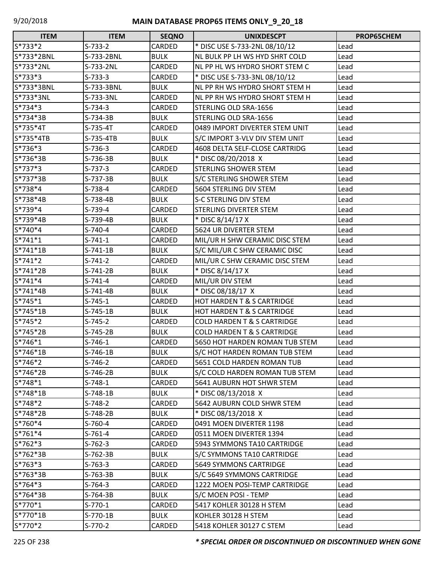| <b>ITEM</b> | <b>ITEM</b> | <b>SEQNO</b> | <b>UNIXDESCPT</b>                      | PROP65CHEM |
|-------------|-------------|--------------|----------------------------------------|------------|
| S*733*2     | $S-733-2$   | CARDED       | * DISC USE S-733-2NL 08/10/12          | Lead       |
| S*733*2BNL  | S-733-2BNL  | <b>BULK</b>  | NL BULK PP LH WS HYD SHRT COLD         | Lead       |
| S*733*2NL   | S-733-2NL   | CARDED       | NL PP HL WS HYDRO SHORT STEM C         | Lead       |
| S*733*3     | $S-733-3$   | CARDED       | * DISC USE S-733-3NL 08/10/12          | Lead       |
| S*733*3BNL  | S-733-3BNL  | <b>BULK</b>  | NL PP RH WS HYDRO SHORT STEM H         | Lead       |
| S*733*3NL   | S-733-3NL   | CARDED       | NL PP RH WS HYDRO SHORT STEM H         | Lead       |
| $S*734*3$   | $S-734-3$   | CARDED       | STERLING OLD SRA-1656                  | Lead       |
| S*734*3B    | S-734-3B    | <b>BULK</b>  | STERLING OLD SRA-1656                  | Lead       |
| S*735*4T    | $S-735-4T$  | CARDED       | 0489 IMPORT DIVERTER STEM UNIT         | Lead       |
| S*735*4TB   | S-735-4TB   | <b>BULK</b>  | S/C IMPORT 3-VLV DIV STEM UNIT         | Lead       |
| S*736*3     | $S-736-3$   | CARDED       | 4608 DELTA SELF-CLOSE CARTRIDG         | Lead       |
| S*736*3B    | S-736-3B    | <b>BULK</b>  | * DISC 08/20/2018 X                    | Lead       |
| $S*737*3$   | $S-737-3$   | CARDED       | <b>STERLING SHOWER STEM</b>            | Lead       |
| S*737*3B    | S-737-3B    | <b>BULK</b>  | S/C STERLING SHOWER STEM               | Lead       |
| S*738*4     | $S-738-4$   | CARDED       | 5604 STERLING DIV STEM                 | Lead       |
| $S*738*4B$  | S-738-4B    | <b>BULK</b>  | <b>S-C STERLING DIV STEM</b>           | Lead       |
| $S*739*4$   | $S-739-4$   | CARDED       | <b>STERLING DIVERTER STEM</b>          | Lead       |
| S*739*4B    | S-739-4B    | <b>BULK</b>  | * DISC 8/14/17 X                       | Lead       |
| S*740*4     | $S-740-4$   | CARDED       | 5624 UR DIVERTER STEM                  | Lead       |
| $S*741*1$   | $S-741-1$   | CARDED       | MIL/UR H SHW CERAMIC DISC STEM         | Lead       |
| S*741*1B    | S-741-1B    | <b>BULK</b>  | S/C MIL/UR C SHW CERAMIC DISC          | Lead       |
| $S*741*2$   | S-741-2     | CARDED       | MIL/UR C SHW CERAMIC DISC STEM         | Lead       |
| S*741*2B    | $S-741-2B$  | <b>BULK</b>  | * DISC 8/14/17 X                       | Lead       |
| $S*741*4$   | $S-741-4$   | CARDED       | MIL/UR DIV STEM                        | Lead       |
| S*741*4B    | S-741-4B    | <b>BULK</b>  | * DISC 08/18/17 X                      | Lead       |
| $S*745*1$   | $S-745-1$   | CARDED       | <b>HOT HARDEN T &amp; S CARTRIDGE</b>  | Lead       |
| S*745*1B    | $S-745-1B$  | <b>BULK</b>  | <b>HOT HARDEN T &amp; S CARTRIDGE</b>  | Lead       |
| $S*745*2$   | S-745-2     | CARDED       | <b>COLD HARDEN T &amp; S CARTRIDGE</b> | Lead       |
| S*745*2B    | S-745-2B    | <b>BULK</b>  | <b>COLD HARDEN T &amp; S CARTRIDGE</b> | Lead       |
| S*746*1     | $S-746-1$   | CARDED       | 5650 HOT HARDEN ROMAN TUB STEM         | Lead       |
| S*746*1B    | S-746-1B    | <b>BULK</b>  | S/C HOT HARDEN ROMAN TUB STEM          | Lead       |
| S*746*2     | $S-746-2$   | CARDED       | 5651 COLD HARDEN ROMAN TUB             | Lead       |
| S*746*2B    | S-746-2B    | <b>BULK</b>  | S/C COLD HARDEN ROMAN TUB STEM         | Lead       |
| $S*748*1$   | S-748-1     | CARDED       | 5641 AUBURN HOT SHWR STEM              | Lead       |
| $S*748*1B$  | $S-748-1B$  | <b>BULK</b>  | * DISC 08/13/2018 X                    | Lead       |
| S*748*2     | $S-748-2$   | CARDED       | 5642 AUBURN COLD SHWR STEM             | Lead       |
| S*748*2B    | S-748-2B    | <b>BULK</b>  | * DISC 08/13/2018 X                    | Lead       |
| S*760*4     | $S-760-4$   | CARDED       | 0491 MOEN DIVERTER 1198                | Lead       |
| $S*761*4$   | $S-761-4$   | CARDED       | 0511 MOEN DIVERTER 1394                | Lead       |
| $S*762*3$   | $S-762-3$   | CARDED       | 5943 SYMMONS TA10 CARTRIDGE            | Lead       |
| S*762*3B    | $S-762-3B$  | <b>BULK</b>  | S/C SYMMONS TA10 CARTRIDGE             | Lead       |
| $S*763*3$   | $S-763-3$   | CARDED       | 5649 SYMMONS CARTRIDGE                 | Lead       |
| S*763*3B    | S-763-3B    | <b>BULK</b>  | S/C 5649 SYMMONS CARTRIDGE             | Lead       |
| $S*764*3$   | $S-764-3$   | CARDED       | 1222 MOEN POSI-TEMP CARTRIDGE          | Lead       |
| S*764*3B    | S-764-3B    | <b>BULK</b>  | S/C MOEN POSI - TEMP                   | Lead       |
| S*770*1     | $S-770-1$   | CARDED       | 5417 KOHLER 30128 H STEM               | Lead       |
| $S*770*1B$  | S-770-1B    | <b>BULK</b>  | KOHLER 30128 H STEM                    | Lead       |
| S*770*2     | $S-770-2$   | CARDED       | 5418 KOHLER 30127 C STEM               | Lead       |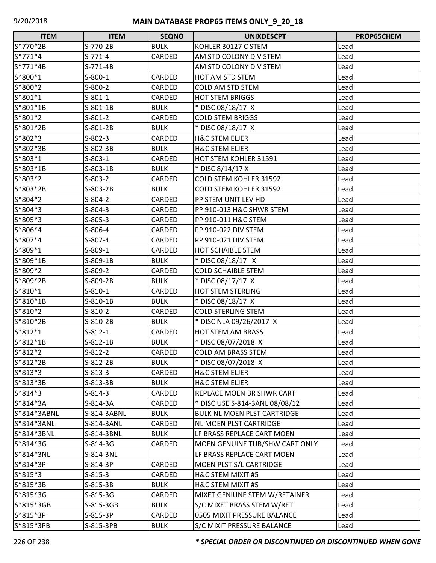| <b>ITEM</b> | <b>ITEM</b> | <b>SEQNO</b>  | <b>UNIXDESCPT</b>              | PROP65CHEM |
|-------------|-------------|---------------|--------------------------------|------------|
| S*770*2B    | S-770-2B    | <b>BULK</b>   | KOHLER 30127 C STEM            | Lead       |
| $S*771*4$   | $S-771-4$   | CARDED        | AM STD COLONY DIV STEM         | Lead       |
| S*771*4B    | $S-771-4B$  |               | AM STD COLONY DIV STEM         | Lead       |
| S*800*1     | $S-800-1$   | CARDED        | HOT AM STD STEM                | Lead       |
| S*800*2     | $S-800-2$   | CARDED        | <b>COLD AM STD STEM</b>        | Lead       |
| $S*801*1$   | $S-801-1$   | CARDED        | <b>HOT STEM BRIGGS</b>         | Lead       |
| S*801*1B    | S-801-1B    | <b>BULK</b>   | * DISC 08/18/17 X              | Lead       |
| S*801*2     | $S-801-2$   | CARDED        | <b>COLD STEM BRIGGS</b>        | Lead       |
| S*801*2B    | S-801-2B    | <b>BULK</b>   | * DISC 08/18/17 X              | Lead       |
| S*802*3     | $S-802-3$   | CARDED        | <b>H&amp;C STEM ELJER</b>      | Lead       |
| S*802*3B    | S-802-3B    | <b>BULK</b>   | <b>H&amp;C STEM ELJER</b>      | Lead       |
| S*803*1     | $S-803-1$   | CARDED        | HOT STEM KOHLER 31591          | Lead       |
| S*803*1B    | $S-803-1B$  | <b>BULK</b>   | * DISC 8/14/17 X               | Lead       |
| S*803*2     | $S-803-2$   | CARDED        | <b>COLD STEM KOHLER 31592</b>  | Lead       |
| S*803*2B    | S-803-2B    | <b>BULK</b>   | <b>COLD STEM KOHLER 31592</b>  | Lead       |
| S*804*2     | $S-804-2$   | CARDED        | PP STEM UNIT LEV HD            | Lead       |
| S*804*3     | $S-804-3$   | CARDED        | PP 910-013 H&C SHWR STEM       | Lead       |
| S*805*3     | $S-805-3$   | CARDED        | PP 910-011 H&C STEM            | Lead       |
| S*806*4     | S-806-4     | CARDED        | PP 910-022 DIV STEM            | Lead       |
| S*807*4     | S-807-4     | CARDED        | PP 910-021 DIV STEM            | Lead       |
| S*809*1     | S-809-1     | CARDED        | <b>HOT SCHAIBLE STEM</b>       | Lead       |
| S*809*1B    | S-809-1B    | <b>BULK</b>   | * DISC 08/18/17 X              | Lead       |
| S*809*2     | $S-809-2$   | <b>CARDED</b> | <b>COLD SCHAIBLE STEM</b>      | Lead       |
| S*809*2B    | S-809-2B    | <b>BULK</b>   | * DISC 08/17/17 X              | Lead       |
| $S*810*1$   | $S-810-1$   | CARDED        | HOT STEM STERLING              | Lead       |
| S*810*1B    | $S-810-1B$  | <b>BULK</b>   | * DISC 08/18/17 X              | Lead       |
| S*810*2     | $S-810-2$   | CARDED        | <b>COLD STERLING STEM</b>      | Lead       |
| S*810*2B    | S-810-2B    | <b>BULK</b>   | * DISC NLA 09/26/2017 X        | Lead       |
| $S*812*1$   | $S-812-1$   | CARDED        | HOT STEM AM BRASS              | Lead       |
| S*812*1B    | $S-812-1B$  | <b>BULK</b>   | * DISC 08/07/2018 X            | Lead       |
| $S*812*2$   | $S-812-2$   | CARDED        | <b>COLD AM BRASS STEM</b>      | Lead       |
| S*812*2B    | S-812-2B    | <b>BULK</b>   | * DISC 08/07/2018 X            | Lead       |
| $S*813*3$   | $S-813-3$   | CARDED        | <b>H&amp;C STEM ELJER</b>      | Lead       |
| S*813*3B    | $S-813-3B$  | <b>BULK</b>   | <b>H&amp;C STEM ELJER</b>      | Lead       |
| $S*814*3$   | $S-814-3$   | CARDED        | REPLACE MOEN BR SHWR CART      | Lead       |
| S*814*3A    | S-814-3A    | CARDED        | * DISC USE S-814-3ANL 08/08/12 | Lead       |
| S*814*3ABNL | S-814-3ABNL | <b>BULK</b>   | BULK NL MOEN PLST CARTRIDGE    | Lead       |
| S*814*3ANL  | S-814-3ANL  | CARDED        | <b>NL MOEN PLST CARTRIDGE</b>  | Lead       |
| S*814*3BNL  | S-814-3BNL  | <b>BULK</b>   | LF BRASS REPLACE CART MOEN     | Lead       |
| S*814*3G    | S-814-3G    | CARDED        | MOEN GENUINE TUB/SHW CART ONLY | Lead       |
| S*814*3NL   | S-814-3NL   |               | LF BRASS REPLACE CART MOEN     | Lead       |
| $S*814*3P$  | S-814-3P    | CARDED        | MOEN PLST S/L CARTRIDGE        | Lead       |
| $S*815*3$   | $S-815-3$   | CARDED        | <b>H&amp;C STEM MIXIT #5</b>   | Lead       |
| S*815*3B    | $S-815-3B$  | <b>BULK</b>   | H&C STEM MIXIT #5              | Lead       |
| S*815*3G    | S-815-3G    | CARDED        | MIXET GENIUNE STEM W/RETAINER  | Lead       |
| S*815*3GB   | S-815-3GB   | <b>BULK</b>   | S/C MIXET BRASS STEM W/RET     | Lead       |
| S*815*3P    | S-815-3P    | CARDED        | 0505 MIXIT PRESSURE BALANCE    | Lead       |
| S*815*3PB   | S-815-3PB   | <b>BULK</b>   | S/C MIXIT PRESSURE BALANCE     | Lead       |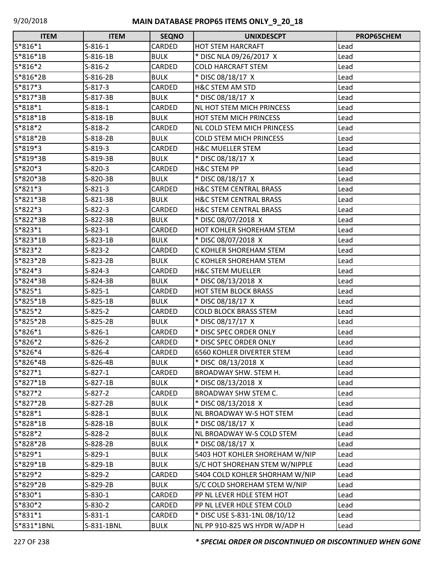| <b>ITEM</b> | <b>ITEM</b> | <b>SEQNO</b>  | <b>UNIXDESCPT</b>                 | <b>PROP65CHEM</b> |
|-------------|-------------|---------------|-----------------------------------|-------------------|
| S*816*1     | $S-816-1$   | CARDED        | <b>HOT STEM HARCRAFT</b>          | Lead              |
| S*816*1B    | $S-816-1B$  | <b>BULK</b>   | * DISC NLA 09/26/2017 X           | Lead              |
| $S*816*2$   | $S-816-2$   | CARDED        | <b>COLD HARCRAFT STEM</b>         | Lead              |
| S*816*2B    | S-816-2B    | <b>BULK</b>   | * DISC 08/18/17 X                 | Lead              |
| S*817*3     | $S-817-3$   | CARDED        | <b>H&amp;C STEM AM STD</b>        | Lead              |
| $S*817*3B$  | S-817-3B    | <b>BULK</b>   | * DISC 08/18/17 X                 | Lead              |
| S*818*1     | $S-818-1$   | <b>CARDED</b> | <b>NL HOT STEM MICH PRINCESS</b>  | Lead              |
| S*818*1B    | $S-818-1B$  | <b>BULK</b>   | <b>HOT STEM MICH PRINCESS</b>     | Lead              |
| S*818*2     | $S-818-2$   | CARDED        | NL COLD STEM MICH PRINCESS        | Lead              |
| S*818*2B    | $S-818-2B$  | <b>BULK</b>   | <b>COLD STEM MICH PRINCESS</b>    | Lead              |
| S*819*3     | $S-819-3$   | CARDED        | <b>H&amp;C MUELLER STEM</b>       | Lead              |
| S*819*3B    | S-819-3B    | <b>BULK</b>   | * DISC 08/18/17 X                 | Lead              |
| S*820*3     | $S-820-3$   | CARDED        | <b>H&amp;C STEM PP</b>            | Lead              |
| S*820*3B    | S-820-3B    | <b>BULK</b>   | * DISC 08/18/17 X                 | Lead              |
| S*821*3     | $S-821-3$   | CARDED        | <b>H&amp;C STEM CENTRAL BRASS</b> | Lead              |
| $S*821*3B$  | S-821-3B    | <b>BULK</b>   | <b>H&amp;C STEM CENTRAL BRASS</b> | Lead              |
| $S*822*3$   | $S-822-3$   | <b>CARDED</b> | <b>H&amp;C STEM CENTRAL BRASS</b> | Lead              |
| S*822*3B    | S-822-3B    | <b>BULK</b>   | * DISC 08/07/2018 X               | Lead              |
| S*823*1     | $S-823-1$   | CARDED        | HOT KOHLER SHOREHAM STEM          | Lead              |
| S*823*1B    | $S-823-1B$  | <b>BULK</b>   | * DISC 08/07/2018 X               | Lead              |
| S*823*2     | $S-823-2$   | CARDED        | C KOHLER SHOREHAM STEM            | Lead              |
| S*823*2B    | S-823-2B    | <b>BULK</b>   | C KOHLER SHOREHAM STEM            | Lead              |
| S*824*3     | $S-824-3$   | CARDED        | <b>H&amp;C STEM MUELLER</b>       | Lead              |
| S*824*3B    | S-824-3B    | <b>BULK</b>   | * DISC 08/13/2018 X               | Lead              |
| S*825*1     | $S-825-1$   | CARDED        | <b>HOT STEM BLOCK BRASS</b>       | Lead              |
| S*825*1B    | $S-825-1B$  | <b>BULK</b>   | * DISC 08/18/17 X                 | Lead              |
| S*825*2     | $S-825-2$   | CARDED        | <b>COLD BLOCK BRASS STEM</b>      | Lead              |
| S*825*2B    | $S-825-2B$  | <b>BULK</b>   | * DISC 08/17/17 X                 | Lead              |
| S*826*1     | $S-826-1$   | CARDED        | * DISC SPEC ORDER ONLY            | Lead              |
| S*826*2     | $S-826-2$   | CARDED        | * DISC SPEC ORDER ONLY            | Lead              |
| $S*826*4$   | $S-826-4$   | CARDED        | <b>6560 KOHLER DIVERTER STEM</b>  | Lead              |
| S*826*4B    | S-826-4B    | <b>BULK</b>   | * DISC 08/13/2018 X               | Lead              |
| $S*827*1$   | $S-827-1$   | CARDED        | BROADWAY SHW. STEM H.             | Lead              |
| S*827*1B    | S-827-1B    | <b>BULK</b>   | * DISC 08/13/2018 X               | Lead              |
| $S*827*2$   | $S-827-2$   | CARDED        | BROADWAY SHW STEM C.              | Lead              |
| S*827*2B    | $S-827-2B$  | <b>BULK</b>   | * DISC 08/13/2018 X               | Lead              |
| S*828*1     | $S-828-1$   | <b>BULK</b>   | NL BROADWAY W-S HOT STEM          | Lead              |
| S*828*1B    | $S-828-1B$  | <b>BULK</b>   | * DISC 08/18/17 X                 | Lead              |
| S*828*2     | S-828-2     | <b>BULK</b>   | NL BROADWAY W-S COLD STEM         | Lead              |
| S*828*2B    | S-828-2B    | <b>BULK</b>   | * DISC 08/18/17 X                 | Lead              |
| S*829*1     | $S-829-1$   | <b>BULK</b>   | 5403 HOT KOHLER SHOREHAM W/NIP    | Lead              |
| S*829*1B    | S-829-1B    | <b>BULK</b>   | S/C HOT SHOREHAN STEM W/NIPPLE    | Lead              |
| S*829*2     | S-829-2     | CARDED        | 5404 COLD KOHLER SHORHAM W/NIP    | Lead              |
| S*829*2B    | S-829-2B    | <b>BULK</b>   | S/C COLD SHOREHAM STEM W/NIP      | Lead              |
| S*830*1     | $S-830-1$   | CARDED        | PP NL LEVER HDLE STEM HOT         | Lead              |
| S*830*2     | $S-830-2$   | CARDED        | PP NL LEVER HDLE STEM COLD        | Lead              |
| $S*831*1$   | $S-831-1$   | CARDED        | * DISC USE S-831-1NL 08/10/12     | Lead              |
| S*831*1BNL  | S-831-1BNL  | <b>BULK</b>   | NL PP 910-825 WS HYDR W/ADP H     | Lead              |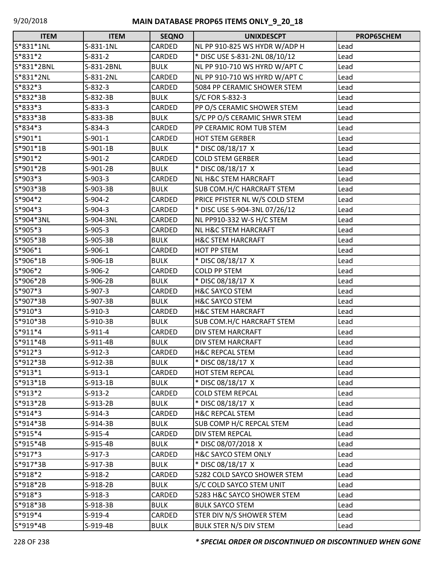| <b>ITEM</b> | <b>ITEM</b> | <b>SEQNO</b> | <b>UNIXDESCPT</b>               | PROP65CHEM |
|-------------|-------------|--------------|---------------------------------|------------|
| S*831*1NL   | S-831-1NL   | CARDED       | NL PP 910-825 WS HYDR W/ADP H   | Lead       |
| S*831*2     | $S-831-2$   | CARDED       | * DISC USE S-831-2NL 08/10/12   | Lead       |
| S*831*2BNL  | S-831-2BNL  | <b>BULK</b>  | NL PP 910-710 WS HYRD W/APT C   | Lead       |
| S*831*2NL   | S-831-2NL   | CARDED       | NL PP 910-710 WS HYRD W/APT C   | Lead       |
| $S*832*3$   | $S-832-3$   | CARDED       | 5084 PP CERAMIC SHOWER STEM     | Lead       |
| S*832*3B    | S-832-3B    | <b>BULK</b>  | S/C FOR S-832-3                 | Lead       |
| S*833*3     | $S-833-3$   | CARDED       | PP O/S CERAMIC SHOWER STEM      | Lead       |
| S*833*3B    | S-833-3B    | <b>BULK</b>  | S/C PP O/S CERAMIC SHWR STEM    | Lead       |
| S*834*3     | $S-834-3$   | CARDED       | PP CERAMIC ROM TUB STEM         | Lead       |
| $S*901*1$   | $S-901-1$   | CARDED       | <b>HOT STEM GERBER</b>          | Lead       |
| S*901*1B    | S-901-1B    | <b>BULK</b>  | * DISC 08/18/17 X               | Lead       |
| S*901*2     | $S-901-2$   | CARDED       | <b>COLD STEM GERBER</b>         | Lead       |
| S*901*2B    | S-901-2B    | <b>BULK</b>  | * DISC 08/18/17 X               | Lead       |
| S*903*3     | $S-903-3$   | CARDED       | <b>NL H&amp;C STEM HARCRAFT</b> | Lead       |
| S*903*3B    | $S-903-3B$  | <b>BULK</b>  | SUB COM.H/C HARCRAFT STEM       | Lead       |
| S*904*2     | $S-904-2$   | CARDED       | PRICE PFISTER NL W/S COLD STEM  | Lead       |
| S*904*3     | $S-904-3$   | CARDED       | * DISC USE S-904-3NL 07/26/12   | Lead       |
| S*904*3NL   | S-904-3NL   | CARDED       | NL PP910-332 W-S H/C STEM       | Lead       |
| S*905*3     | $S-905-3$   | CARDED       | <b>NL H&amp;C STEM HARCRAFT</b> | Lead       |
| S*905*3B    | $S-905-3B$  | <b>BULK</b>  | <b>H&amp;C STEM HARCRAFT</b>    | Lead       |
| S*906*1     | $S-906-1$   | CARDED       | <b>HOT PP STEM</b>              | Lead       |
| S*906*1B    | $S-906-1B$  | <b>BULK</b>  | * DISC 08/18/17 X               | Lead       |
| S*906*2     | $S-906-2$   | CARDED       | <b>COLD PP STEM</b>             | Lead       |
| S*906*2B    | S-906-2B    | <b>BULK</b>  | * DISC 08/18/17 X               | Lead       |
| S*907*3     | $S-907-3$   | CARDED       | <b>H&amp;C SAYCO STEM</b>       | Lead       |
| S*907*3B    | S-907-3B    | <b>BULK</b>  | <b>H&amp;C SAYCO STEM</b>       | Lead       |
| S*910*3     | $S-910-3$   | CARDED       | <b>H&amp;C STEM HARCRAFT</b>    | Lead       |
| S*910*3B    | S-910-3B    | <b>BULK</b>  | SUB COM.H/C HARCRAFT STEM       | Lead       |
| $S*911*4$   | $S-911-4$   | CARDED       | <b>DIV STEM HARCRAFT</b>        | Lead       |
| S*911*4B    | S-911-4B    | <b>BULK</b>  | DIV STEM HARCRAFT               | Lead       |
| S*912*3     | $S-912-3$   | CARDED       | <b>H&amp;C REPCAL STEM</b>      | Lead       |
| S*912*3B    | $S-912-3B$  | <b>BULK</b>  | * DISC 08/18/17 X               | Lead       |
| $S*913*1$   | $S-913-1$   | CARDED       | <b>HOT STEM REPCAL</b>          | Lead       |
| S*913*1B    | $S-913-1B$  | <b>BULK</b>  | * DISC 08/18/17 X               | Lead       |
| S*913*2     | $S-913-2$   | CARDED       | <b>COLD STEM REPCAL</b>         | Lead       |
| S*913*2B    | $S-913-2B$  | <b>BULK</b>  | * DISC 08/18/17 X               | Lead       |
| $S*914*3$   | $S-914-3$   | CARDED       | <b>H&amp;C REPCAL STEM</b>      | Lead       |
| S*914*3B    | $S-914-3B$  | <b>BULK</b>  | SUB COMP H/C REPCAL STEM        | Lead       |
| $S*915*4$   | $S-915-4$   | CARDED       | DIV STEM REPCAL                 | Lead       |
| S*915*4B    | S-915-4B    | <b>BULK</b>  | * DISC 08/07/2018 X             | Lead       |
| $S*917*3$   | $S-917-3$   | CARDED       | <b>H&amp;C SAYCO STEM ONLY</b>  | Lead       |
| S*917*3B    | S-917-3B    | <b>BULK</b>  | * DISC 08/18/17 X               | Lead       |
| $S*918*2$   | $S-918-2$   | CARDED       | 5282 COLD SAYCO SHOWER STEM     | Lead       |
| S*918*2B    | S-918-2B    | <b>BULK</b>  | S/C COLD SAYCO STEM UNIT        | Lead       |
| S*918*3     | $S-918-3$   | CARDED       | 5283 H&C SAYCO SHOWER STEM      | Lead       |
| S*918*3B    | S-918-3B    | <b>BULK</b>  | <b>BULK SAYCO STEM</b>          | Lead       |
| $S*919*4$   | $S-919-4$   | CARDED       | STER DIV N/S SHOWER STEM        | Lead       |
| S*919*4B    | S-919-4B    | <b>BULK</b>  | <b>BULK STER N/S DIV STEM</b>   | Lead       |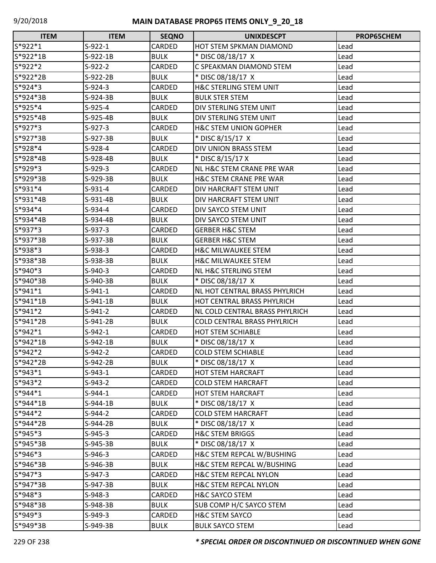| <b>ITEM</b> | <b>ITEM</b> | <b>SEQNO</b>  | <b>UNIXDESCPT</b>                  | PROP65CHEM |
|-------------|-------------|---------------|------------------------------------|------------|
| S*922*1     | $S-922-1$   | CARDED        | <b>HOT STEM SPKMAN DIAMOND</b>     | Lead       |
| $S*922*1B$  | $S-922-1B$  | <b>BULK</b>   | * DISC 08/18/17 X                  | Lead       |
| $S*922*2$   | $S-922-2$   | <b>CARDED</b> | C SPEAKMAN DIAMOND STEM            | Lead       |
| S*922*2B    | $S-922-2B$  | <b>BULK</b>   | * DISC 08/18/17 X                  | Lead       |
| S*924*3     | $S-924-3$   | CARDED        | <b>H&amp;C STERLING STEM UNIT</b>  | Lead       |
| S*924*3B    | $S-924-3B$  | <b>BULK</b>   | <b>BULK STER STEM</b>              | Lead       |
| $S*925*4$   | $S-925-4$   | <b>CARDED</b> | DIV STERLING STEM UNIT             | Lead       |
| S*925*4B    | S-925-4B    | <b>BULK</b>   | DIV STERLING STEM UNIT             | Lead       |
| S*927*3     | $S-927-3$   | CARDED        | <b>H&amp;C STEM UNION GOPHER</b>   | Lead       |
| S*927*3B    | S-927-3B    | <b>BULK</b>   | * DISC 8/15/17 X                   | Lead       |
| S*928*4     | $S-928-4$   | <b>CARDED</b> | DIV UNION BRASS STEM               | Lead       |
| S*928*4B    | $S-928-4B$  | <b>BULK</b>   | * DISC 8/15/17 X                   | Lead       |
| S*929*3     | $S-929-3$   | CARDED        | NL H&C STEM CRANE PRE WAR          | Lead       |
| S*929*3B    | S-929-3B    | <b>BULK</b>   | <b>H&amp;C STEM CRANE PRE WAR</b>  | Lead       |
| $S*931*4$   | $S-931-4$   | <b>CARDED</b> | DIV HARCRAFT STEM UNIT             | Lead       |
| S*931*4B    | $S-931-4B$  | <b>BULK</b>   | DIV HARCRAFT STEM UNIT             | Lead       |
| $S*934*4$   | $S-934-4$   | <b>CARDED</b> | DIV SAYCO STEM UNIT                | Lead       |
| S*934*4B    | S-934-4B    | <b>BULK</b>   | DIV SAYCO STEM UNIT                | Lead       |
| S*937*3     | $S-937-3$   | CARDED        | <b>GERBER H&amp;C STEM</b>         | Lead       |
| S*937*3B    | S-937-3B    | <b>BULK</b>   | <b>GERBER H&amp;C STEM</b>         | Lead       |
| S*938*3     | $S-938-3$   | CARDED        | <b>H&amp;C MILWAUKEE STEM</b>      | Lead       |
| S*938*3B    | $S-938-3B$  | <b>BULK</b>   | <b>H&amp;C MILWAUKEE STEM</b>      | Lead       |
| S*940*3     | $S-940-3$   | CARDED        | NL H&C STERLING STEM               | Lead       |
| S*940*3B    | S-940-3B    | <b>BULK</b>   | * DISC 08/18/17 X                  | Lead       |
| $S*941*1$   | $S-941-1$   | CARDED        | NL HOT CENTRAL BRASS PHYLRICH      | Lead       |
| S*941*1B    | $S-941-1B$  | <b>BULK</b>   | HOT CENTRAL BRASS PHYLRICH         | Lead       |
| S*941*2     | $S-941-2$   | <b>CARDED</b> | NL COLD CENTRAL BRASS PHYLRICH     | Lead       |
| S*941*2B    | $S-941-2B$  | <b>BULK</b>   | <b>COLD CENTRAL BRASS PHYLRICH</b> | Lead       |
| $S*942*1$   | $S-942-1$   | CARDED        | <b>HOT STEM SCHIABLE</b>           | Lead       |
| $S*942*1B$  | $S-942-1B$  | <b>BULK</b>   | * DISC 08/18/17 X                  | Lead       |
| S*942*2     | $S-942-2$   | <b>CARDED</b> | <b>COLD STEM SCHIABLE</b>          | Lead       |
| S*942*2B    | S-942-2B    | <b>BULK</b>   | * DISC 08/18/17 X                  | Lead       |
| S*943*1     | $S-943-1$   | CARDED        | <b>HOT STEM HARCRAFT</b>           | Lead       |
| $S*943*2$   | $S-943-2$   | CARDED        | <b>COLD STEM HARCRAFT</b>          | Lead       |
| S*944*1     | $S-944-1$   | CARDED        | <b>HOT STEM HARCRAFT</b>           | Lead       |
| S*944*1B    | $S-944-1B$  | <b>BULK</b>   | * DISC 08/18/17 X                  | Lead       |
| S*944*2     | $S-944-2$   | CARDED        | <b>COLD STEM HARCRAFT</b>          | Lead       |
| S*944*2B    | S-944-2B    | <b>BULK</b>   | * DISC 08/18/17 X                  | Lead       |
| $S*945*3$   | $S-945-3$   | CARDED        | <b>H&amp;C STEM BRIGGS</b>         | Lead       |
| S*945*3B    | $S-945-3B$  | <b>BULK</b>   | * DISC 08/18/17 X                  | Lead       |
| S*946*3     | $S-946-3$   | CARDED        | H&C STEM REPCAL W/BUSHING          | Lead       |
| S*946*3B    | S-946-3B    | <b>BULK</b>   | H&C STEM REPCAL W/BUSHING          | Lead       |
| $S*947*3$   | $S-947-3$   | CARDED        | <b>H&amp;C STEM REPCAL NYLON</b>   | Lead       |
| S*947*3B    | S-947-3B    | <b>BULK</b>   | <b>H&amp;C STEM REPCAL NYLON</b>   | Lead       |
| S*948*3     | $S-948-3$   | CARDED        | <b>H&amp;C SAYCO STEM</b>          | Lead       |
| S*948*3B    | S-948-3B    | <b>BULK</b>   | SUB COMP H/C SAYCO STEM            | Lead       |
| S*949*3     | $S-949-3$   | CARDED        | H&C STEM SAYCO                     | Lead       |
| S*949*3B    | S-949-3B    | <b>BULK</b>   | <b>BULK SAYCO STEM</b>             | Lead       |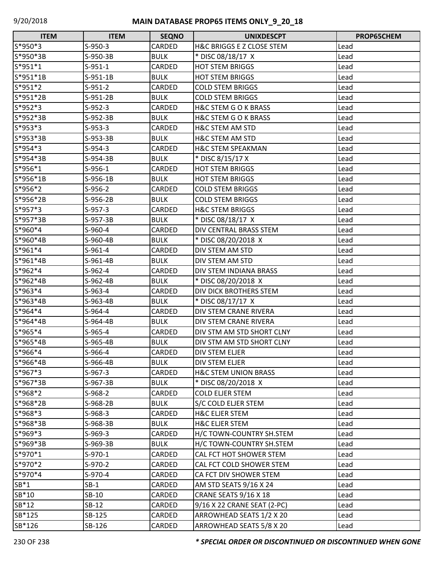| <b>ITEM</b> | <b>ITEM</b> | <b>SEQNO</b> | <b>UNIXDESCPT</b>               | <b>PROP65CHEM</b> |
|-------------|-------------|--------------|---------------------------------|-------------------|
| S*950*3     | $S-950-3$   | CARDED       | H&C BRIGGS E Z CLOSE STEM       | Lead              |
| S*950*3B    | S-950-3B    | <b>BULK</b>  | * DISC 08/18/17 X               | Lead              |
| $S*951*1$   | $S-951-1$   | CARDED       | <b>HOT STEM BRIGGS</b>          | Lead              |
| S*951*1B    | $S-951-1B$  | <b>BULK</b>  | <b>HOT STEM BRIGGS</b>          | Lead              |
| $S*951*2$   | $S-951-2$   | CARDED       | <b>COLD STEM BRIGGS</b>         | Lead              |
| S*951*2B    | $S-951-2B$  | <b>BULK</b>  | <b>COLD STEM BRIGGS</b>         | Lead              |
| S*952*3     | $S-952-3$   | CARDED       | H&C STEM G O K BRASS            | Lead              |
| S*952*3B    | S-952-3B    | <b>BULK</b>  | H&C STEM G O K BRASS            | Lead              |
| S*953*3     | $S-953-3$   | CARDED       | H&C STEM AM STD                 | Lead              |
| S*953*3B    | S-953-3B    | <b>BULK</b>  | <b>H&amp;C STEM AM STD</b>      | Lead              |
| $S*954*3$   | $S-954-3$   | CARDED       | <b>H&amp;C STEM SPEAKMAN</b>    | Lead              |
| S*954*3B    | $S-954-3B$  | <b>BULK</b>  | * DISC 8/15/17 X                | Lead              |
| S*956*1     | $S-956-1$   | CARDED       | <b>HOT STEM BRIGGS</b>          | Lead              |
| S*956*1B    | $S-956-1B$  | <b>BULK</b>  | <b>HOT STEM BRIGGS</b>          | Lead              |
| $S*956*2$   | $S-956-2$   | CARDED       | <b>COLD STEM BRIGGS</b>         | Lead              |
| S*956*2B    | S-956-2B    | <b>BULK</b>  | <b>COLD STEM BRIGGS</b>         | Lead              |
| S*957*3     | $S-957-3$   | CARDED       | <b>H&amp;C STEM BRIGGS</b>      | Lead              |
| S*957*3B    | S-957-3B    | <b>BULK</b>  | * DISC 08/18/17 X               | Lead              |
| S*960*4     | $S-960-4$   | CARDED       | DIV CENTRAL BRASS STEM          | Lead              |
| S*960*4B    | $S-960-4B$  | <b>BULK</b>  | * DISC 08/20/2018 X             | Lead              |
| $S*961*4$   | $S-961-4$   | CARDED       | DIV STEM AM STD                 | Lead              |
| S*961*4B    | $S-961-4B$  | <b>BULK</b>  | DIV STEM AM STD                 | Lead              |
| $S*962*4$   | $S-962-4$   | CARDED       | DIV STEM INDIANA BRASS          | Lead              |
| S*962*4B    | S-962-4B    | <b>BULK</b>  | * DISC 08/20/2018 X             | Lead              |
| $S*963*4$   | $S-963-4$   | CARDED       | DIV DICK BROTHERS STEM          | Lead              |
| S*963*4B    | S-963-4B    | <b>BULK</b>  | * DISC 08/17/17 X               | Lead              |
| $S*964*4$   | $S-964-4$   | CARDED       | DIV STEM CRANE RIVERA           | Lead              |
| S*964*4B    | S-964-4B    | <b>BULK</b>  | DIV STEM CRANE RIVERA           | Lead              |
| $S*965*4$   | $S-965-4$   | CARDED       | DIV STM AM STD SHORT CLNY       | Lead              |
| S*965*4B    | S-965-4B    | <b>BULK</b>  | DIV STM AM STD SHORT CLNY       | Lead              |
| S*966*4     | S-966-4     | CARDED       | <b>DIV STEM ELJER</b>           | Lead              |
| S*966*4B    | S-966-4B    | <b>BULK</b>  | DIV STEM ELJER                  | Lead              |
| S*967*3     | $S-967-3$   | CARDED       | <b>H&amp;C STEM UNION BRASS</b> | Lead              |
| S*967*3B    | S-967-3B    | <b>BULK</b>  | * DISC 08/20/2018 X             | Lead              |
| S*968*2     | $S-968-2$   | CARDED       | <b>COLD ELJER STEM</b>          | Lead              |
| S*968*2B    | S-968-2B    | <b>BULK</b>  | S/C COLD ELJER STEM             | Lead              |
| S*968*3     | $S-968-3$   | CARDED       | <b>H&amp;C ELJER STEM</b>       | Lead              |
| S*968*3B    | S-968-3B    | <b>BULK</b>  | <b>H&amp;C ELJER STEM</b>       | Lead              |
| $S*969*3$   | $S-969-3$   | CARDED       | H/C TOWN-COUNTRY SH.STEM        | Lead              |
| S*969*3B    | $S-969-3B$  | <b>BULK</b>  | H/C TOWN-COUNTRY SH.STEM        | Lead              |
| S*970*1     | $S-970-1$   | CARDED       | CAL FCT HOT SHOWER STEM         | Lead              |
| S*970*2     | $S-970-2$   | CARDED       | CAL FCT COLD SHOWER STEM        | Lead              |
| S*970*4     | $S-970-4$   | CARDED       | CA FCT DIV SHOWER STEM          | Lead              |
| $SB*1$      | $SB-1$      | CARDED       | AM STD SEATS 9/16 X 24          | Lead              |
| SB*10       | SB-10       | CARDED       | CRANE SEATS 9/16 X 18           | Lead              |
| SB*12       | $SB-12$     | CARDED       | 9/16 X 22 CRANE SEAT (2-PC)     | Lead              |
| SB*125      | SB-125      | CARDED       | ARROWHEAD SEATS 1/2 X 20        | Lead              |
| SB*126      | SB-126      | CARDED       | ARROWHEAD SEATS 5/8 X 20        | Lead              |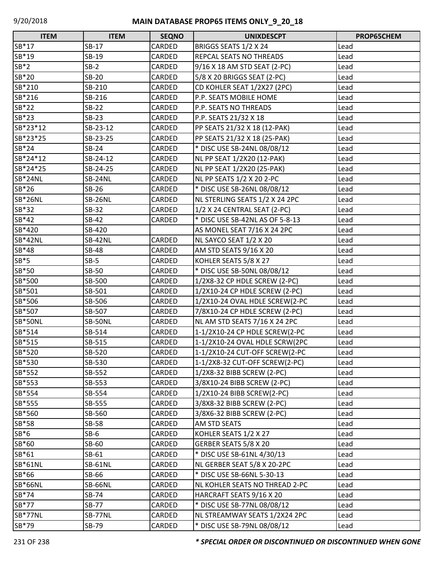| <b>ITEM</b>    | <b>ITEM</b>    | <b>SEQNO</b>  | <b>UNIXDESCPT</b>                | PROP65CHEM |
|----------------|----------------|---------------|----------------------------------|------------|
| SB*17          | SB-17          | CARDED        | BRIGGS SEATS 1/2 X 24            | Lead       |
| SB*19          | SB-19          | CARDED        | REPCAL SEATS NO THREADS          | Lead       |
| $SB*2$         | $SB-2$         | CARDED        | 9/16 X 18 AM STD SEAT (2-PC)     | Lead       |
| SB*20          | <b>SB-20</b>   | CARDED        | 5/8 X 20 BRIGGS SEAT (2-PC)      | Lead       |
| SB*210         | SB-210         | CARDED        | CD KOHLER SEAT 1/2X27 (2PC)      | Lead       |
| SB*216         | SB-216         | CARDED        | P.P. SEATS MOBILE HOME           | Lead       |
| SB*22          | $SB-22$        | CARDED        | P.P. SEATS NO THREADS            | Lead       |
| SB*23          | $SB-23$        | CARDED        | P.P. SEATS 21/32 X 18            | Lead       |
| SB*23*12       | SB-23-12       | CARDED        | PP SEATS 21/32 X 18 (12-PAK)     | Lead       |
| SB*23*25       | SB-23-25       | CARDED        | PP SEATS 21/32 X 18 (25-PAK)     | Lead       |
| SB*24          | $SB-24$        | CARDED        | * DISC USE SB-24NL 08/08/12      | Lead       |
| SB*24*12       | SB-24-12       | CARDED        | NL PP SEAT 1/2X20 (12-PAK)       | Lead       |
| SB*24*25       | SB-24-25       | CARDED        | NL PP SEAT 1/2X20 (25-PAK)       | Lead       |
| SB*24NL        | SB-24NL        | CARDED        | <b>NL PP SEATS 1/2 X 20 2-PC</b> | Lead       |
| SB*26          | $SB-26$        | CARDED        | * DISC USE SB-26NL 08/08/12      | Lead       |
| SB*26NL        | SB-26NL        | CARDED        | NL STERLING SEATS 1/2 X 24 2PC   | Lead       |
| SB*32          | SB-32          | CARDED        | 1/2 X 24 CENTRAL SEAT (2-PC)     | Lead       |
| SB*42          | SB-42          | CARDED        | * DISC USE SB-42NL AS OF 5-8-13  | Lead       |
| SB*420         | SB-420         |               | AS MONEL SEAT 7/16 X 24 2PC      | Lead       |
| <b>SB*42NL</b> | SB-42NL        | CARDED        | NL SAYCO SEAT 1/2 X 20           | Lead       |
| SB*48          | <b>SB-48</b>   | CARDED        | AM STD SEATS 9/16 X 20           | Lead       |
| $SB*5$         | $SB-5$         | CARDED        | KOHLER SEATS 5/8 X 27            | Lead       |
| SB*50          | <b>SB-50</b>   | CARDED        | * DISC USE SB-50NL 08/08/12      | Lead       |
| SB*500         | SB-500         | CARDED        | 1/2X8-32 CP HDLE SCREW (2-PC)    | Lead       |
| SB*501         | SB-501         | CARDED        | 1/2X10-24 CP HDLE SCREW (2-PC)   | Lead       |
| SB*506         | SB-506         | CARDED        | 1/2X10-24 OVAL HDLE SCREW(2-PC   | Lead       |
| SB*507         | SB-507         | CARDED        | 7/8X10-24 CP HDLE SCREW (2-PC)   | Lead       |
| SB*50NL        | SB-50NL        | CARDED        | NL AM STD SEATS 7/16 X 24 2PC    | Lead       |
| SB*514         | SB-514         | CARDED        | 1-1/2X10-24 CP HDLE SCREW(2-PC   | Lead       |
| SB*515         | SB-515         | CARDED        | 1-1/2X10-24 OVAL HDLE SCRW(2PC   | Lead       |
| SB*520         | SB-520         | <b>CARDED</b> | 1-1/2X10-24 CUT-OFF SCREW(2-PC   | Lead       |
| SB*530         | SB-530         | CARDED        | 1-1/2X8-32 CUT-OFF SCREW(2-PC)   | Lead       |
| SB*552         | SB-552         | CARDED        | 1/2X8-32 BIBB SCREW (2-PC)       | Lead       |
| SB*553         | SB-553         | CARDED        | 3/8X10-24 BIBB SCREW (2-PC)      | Lead       |
| SB*554         | SB-554         | CARDED        | 1/2X10-24 BIBB SCREW(2-PC)       | Lead       |
| SB*555         | SB-555         | CARDED        | 3/8X8-32 BIBB SCREW (2-PC)       | Lead       |
| SB*560         | SB-560         | CARDED        | 3/8X6-32 BIBB SCREW (2-PC)       | Lead       |
| SB*58          | <b>SB-58</b>   | CARDED        | AM STD SEATS                     | Lead       |
| $SB*6$         | $SB-6$         | CARDED        | KOHLER SEATS 1/2 X 27            | Lead       |
| SB*60          | SB-60          | CARDED        | GERBER SEATS 5/8 X 20            | Lead       |
| SB*61          | SB-61          | CARDED        | * DISC USE SB-61NL 4/30/13       | Lead       |
| <b>SB*61NL</b> | <b>SB-61NL</b> | CARDED        | NL GERBER SEAT 5/8 X 20-2PC      | Lead       |
| SB*66          | SB-66          | CARDED        | * DISC USE SB-66NL 5-30-13       | Lead       |
| <b>SB*66NL</b> | SB-66NL        | CARDED        | NL KOHLER SEATS NO THREAD 2-PC   | Lead       |
| SB*74          | SB-74          | CARDED        | HARCRAFT SEATS 9/16 X 20         | Lead       |
| SB*77          | <b>SB-77</b>   | CARDED        | * DISC USE SB-77NL 08/08/12      | Lead       |
| SB*77NL        | SB-77NL        | CARDED        | NL STREAMWAY SEATS 1/2X24 2PC    | Lead       |
| SB*79          | SB-79          | CARDED        | * DISC USE SB-79NL 08/08/12      | Lead       |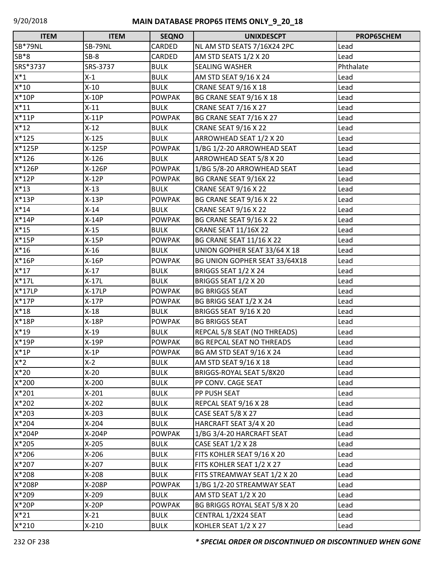| <b>ITEM</b> | <b>ITEM</b> | <b>SEQNO</b>  | <b>UNIXDESCPT</b>                | PROP65CHEM |
|-------------|-------------|---------------|----------------------------------|------------|
| SB*79NL     | SB-79NL     | CARDED        | NL AM STD SEATS 7/16X24 2PC      | Lead       |
| $SB*8$      | $SB-8$      | CARDED        | AM STD SEATS 1/2 X 20            | Lead       |
| SRS*3737    | SRS-3737    | <b>BULK</b>   | <b>SEALING WASHER</b>            | Phthalate  |
| $X^*1$      | $X-1$       | <b>BULK</b>   | AM STD SEAT 9/16 X 24            | Lead       |
| $X^*10$     | $X-10$      | <b>BULK</b>   | <b>CRANE SEAT 9/16 X 18</b>      | Lead       |
| $X*10P$     | $X-10P$     | <b>POWPAK</b> | BG CRANE SEAT 9/16 X 18          | Lead       |
| $X^*11$     | $X-11$      | <b>BULK</b>   | <b>CRANE SEAT 7/16 X 27</b>      | Lead       |
| $X^*11P$    | $X-11P$     | <b>POWPAK</b> | BG CRANE SEAT 7/16 X 27          | Lead       |
| $X^*12$     | $X-12$      | <b>BULK</b>   | <b>CRANE SEAT 9/16 X 22</b>      | Lead       |
| $X*125$     | $X-125$     | <b>BULK</b>   | ARROWHEAD SEAT 1/2 X 20          | Lead       |
| X*125P      | X-125P      | <b>POWPAK</b> | 1/BG 1/2-20 ARROWHEAD SEAT       | Lead       |
| $X*126$     | $X-126$     | <b>BULK</b>   | ARROWHEAD SEAT 5/8 X 20          | Lead       |
| X*126P      | X-126P      | <b>POWPAK</b> | 1/BG 5/8-20 ARROWHEAD SEAT       | Lead       |
| $X*12P$     | $X-12P$     | <b>POWPAK</b> | BG CRANE SEAT 9/16X 22           | Lead       |
| $X^*13$     | $X-13$      | <b>BULK</b>   | <b>CRANE SEAT 9/16 X 22</b>      | Lead       |
| $X*13P$     | $X-13P$     | <b>POWPAK</b> | BG CRANE SEAT 9/16 X 22          | Lead       |
| $X^*14$     | $X-14$      | <b>BULK</b>   | <b>CRANE SEAT 9/16 X 22</b>      | Lead       |
| $X^*14P$    | $X-14P$     | <b>POWPAK</b> | BG CRANE SEAT 9/16 X 22          | Lead       |
| $X^*15$     | $X-15$      | <b>BULK</b>   | <b>CRANE SEAT 11/16X 22</b>      | Lead       |
| $X*15P$     | $X-15P$     | <b>POWPAK</b> | <b>BG CRANE SEAT 11/16 X 22</b>  | Lead       |
| $X*16$      | $X-16$      | <b>BULK</b>   | UNION GOPHER SEAT 33/64 X 18     | Lead       |
| $X*16P$     | $X-16P$     | <b>POWPAK</b> | BG UNION GOPHER SEAT 33/64X18    | Lead       |
| $X^*17$     | $X-17$      | <b>BULK</b>   | BRIGGS SEAT 1/2 X 24             | Lead       |
| $X^*$ 17L   | $X-17L$     | <b>BULK</b>   | BRIGGS SEAT 1/2 X 20             | Lead       |
| $X*17LP$    | $X-17LP$    | <b>POWPAK</b> | <b>BG BRIGGS SEAT</b>            | Lead       |
| $X*17P$     | $X-17P$     | <b>POWPAK</b> | BG BRIGG SEAT 1/2 X 24           | Lead       |
| $X*18$      | $X-18$      | <b>BULK</b>   | BRIGGS SEAT 9/16 X 20            | Lead       |
| $X*18P$     | $X-18P$     | <b>POWPAK</b> | <b>BG BRIGGS SEAT</b>            | Lead       |
| $X*19$      | $X-19$      | <b>BULK</b>   | REPCAL 5/8 SEAT (NO THREADS)     | Lead       |
| $X*19P$     | $X-19P$     | <b>POWPAK</b> | <b>BG REPCAL SEAT NO THREADS</b> | Lead       |
| $X^*1P$     | $X-1P$      | <b>POWPAK</b> | BG AM STD SEAT 9/16 X 24         | Lead       |
| $X^*2$      | $X-2$       | <b>BULK</b>   | AM STD SEAT 9/16 X 18            | Lead       |
| $X*20$      | $X-20$      | <b>BULK</b>   | BRIGGS-ROYAL SEAT 5/8X20         | Lead       |
| X*200       | X-200       | <b>BULK</b>   | PP CONV. CAGE SEAT               | Lead       |
| $X*201$     | $X-201$     | <b>BULK</b>   | PP PUSH SEAT                     | Lead       |
| X*202       | $X-202$     | <b>BULK</b>   | REPCAL SEAT 9/16 X 28            | Lead       |
| $X*203$     | X-203       | <b>BULK</b>   | <b>CASE SEAT 5/8 X 27</b>        | Lead       |
| $X*204$     | $X-204$     | <b>BULK</b>   | HARCRAFT SEAT 3/4 X 20           | Lead       |
| X*204P      | X-204P      | <b>POWPAK</b> | 1/BG 3/4-20 HARCRAFT SEAT        | Lead       |
| $X*205$     | $X-205$     | <b>BULK</b>   | <b>CASE SEAT 1/2 X 28</b>        | Lead       |
| X*206       | X-206       | <b>BULK</b>   | FITS KOHLER SEAT 9/16 X 20       | Lead       |
| X*207       | X-207       | <b>BULK</b>   | FITS KOHLER SEAT 1/2 X 27        | Lead       |
| $X*208$     | $X-208$     | <b>BULK</b>   | FITS STREAMWAY SEAT 1/2 X 20     | Lead       |
| X*208P      | X-208P      | <b>POWPAK</b> | 1/BG 1/2-20 STREAMWAY SEAT       | Lead       |
| X*209       | $X-209$     | <b>BULK</b>   | AM STD SEAT 1/2 X 20             | Lead       |
| $X*20P$     | $X-20P$     | <b>POWPAK</b> | BG BRIGGS ROYAL SEAT 5/8 X 20    | Lead       |
| $X^*21$     | $X-21$      | <b>BULK</b>   | CENTRAL 1/2X24 SEAT              | Lead       |
| $X*210$     | $X-210$     | <b>BULK</b>   | KOHLER SEAT 1/2 X 27             | Lead       |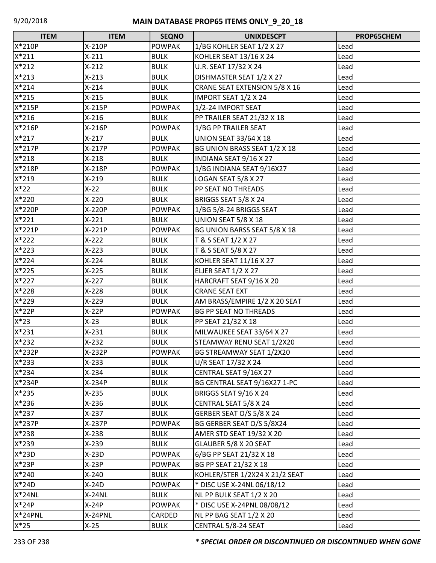| <b>ITEM</b> | <b>ITEM</b> | <b>SEQNO</b>  | <b>UNIXDESCPT</b>              | PROP65CHEM |
|-------------|-------------|---------------|--------------------------------|------------|
| X*210P      | X-210P      | <b>POWPAK</b> | 1/BG KOHLER SEAT 1/2 X 27      | Lead       |
| $X*211$     | $X-211$     | <b>BULK</b>   | KOHLER SEAT 13/16 X 24         | Lead       |
| $X*212$     | $X-212$     | <b>BULK</b>   | U.R. SEAT 17/32 X 24           | Lead       |
| $X*213$     | $X-213$     | <b>BULK</b>   | DISHMASTER SEAT 1/2 X 27       | Lead       |
| $X*214$     | $X-214$     | <b>BULK</b>   | CRANE SEAT EXTENSION 5/8 X 16  | Lead       |
| X*215       | $X-215$     | <b>BULK</b>   | IMPORT SEAT 1/2 X 24           | Lead       |
| X*215P      | X-215P      | <b>POWPAK</b> | 1/2-24 IMPORT SEAT             | Lead       |
| $X*216$     | $X-216$     | <b>BULK</b>   | PP TRAILER SEAT 21/32 X 18     | Lead       |
| X*216P      | X-216P      | <b>POWPAK</b> | 1/BG PP TRAILER SEAT           | Lead       |
| $X*217$     | $X-217$     | <b>BULK</b>   | <b>UNION SEAT 33/64 X 18</b>   | Lead       |
| X*217P      | X-217P      | <b>POWPAK</b> | BG UNION BRASS SEAT 1/2 X 18   | Lead       |
| $X*218$     | $X-218$     | <b>BULK</b>   | INDIANA SEAT 9/16 X 27         | Lead       |
| X*218P      | X-218P      | <b>POWPAK</b> | 1/BG INDIANA SEAT 9/16X27      | Lead       |
| X*219       | $X-219$     | <b>BULK</b>   | LOGAN SEAT 5/8 X 27            | Lead       |
| $X*22$      | $X-22$      | <b>BULK</b>   | PP SEAT NO THREADS             | Lead       |
| X*220       | $X-220$     | <b>BULK</b>   | BRIGGS SEAT 5/8 X 24           | Lead       |
| X*220P      | X-220P      | <b>POWPAK</b> | 1/BG 5/8-24 BRIGGS SEAT        | Lead       |
| $X*221$     | $X-221$     | <b>BULK</b>   | UNION SEAT 5/8 X 18            | Lead       |
| $X*221P$    | $X-221P$    | <b>POWPAK</b> | BG UNION BARSS SEAT 5/8 X 18   | Lead       |
| $X*222$     | $X-222$     | <b>BULK</b>   | T & S SEAT 1/2 X 27            | Lead       |
| X*223       | $X-223$     | <b>BULK</b>   | T & S SEAT 5/8 X 27            | Lead       |
| $X*224$     | $X-224$     | <b>BULK</b>   | KOHLER SEAT 11/16 X 27         | Lead       |
| X*225       | $X-225$     | <b>BULK</b>   | ELJER SEAT 1/2 X 27            | Lead       |
| X*227       | $X-227$     | <b>BULK</b>   | HARCRAFT SEAT 9/16 X 20        | Lead       |
| X*228       | $X-228$     | <b>BULK</b>   | <b>CRANE SEAT EXT</b>          | Lead       |
| X*229       | $X-229$     | <b>BULK</b>   | AM BRASS/EMPIRE 1/2 X 20 SEAT  | Lead       |
| X*22P       | $X-22P$     | <b>POWPAK</b> | <b>BG PP SEAT NO THREADS</b>   | Lead       |
| $X*23$      | $X-23$      | <b>BULK</b>   | PP SEAT 21/32 X 18             | Lead       |
| $X*231$     | $X-231$     | <b>BULK</b>   | MILWAUKEE SEAT 33/64 X 27      | Lead       |
| $X*232$     | $X-232$     | <b>BULK</b>   | STEAMWAY RENU SEAT 1/2X20      | Lead       |
| X*232P      | $X-232P$    | <b>POWPAK</b> | BG STREAMWAY SEAT 1/2X20       | Lead       |
| $X*233$     | $X-233$     | <b>BULK</b>   | U/R SEAT 17/32 X 24            | Lead       |
| $X*234$     | $X-234$     | <b>BULK</b>   | CENTRAL SEAT 9/16X 27          | Lead       |
| X*234P      | X-234P      | <b>BULK</b>   | BG CENTRAL SEAT 9/16X27 1-PC   | Lead       |
| $X*235$     | $X-235$     | <b>BULK</b>   | BRIGGS SEAT 9/16 X 24          | Lead       |
| X*236       | $X-236$     | <b>BULK</b>   | CENTRAL SEAT 5/8 X 24          | Lead       |
| $X*237$     | $X-237$     | <b>BULK</b>   | GERBER SEAT O/S 5/8 X 24       | Lead       |
| X*237P      | X-237P      | <b>POWPAK</b> | BG GERBER SEAT O/S 5/8X24      | Lead       |
| X*238       | $X-238$     | <b>BULK</b>   | AMER STD SEAT 19/32 X 20       | Lead       |
| X*239       | $X-239$     | <b>BULK</b>   | GLAUBER 5/8 X 20 SEAT          | Lead       |
| $X*23D$     | $X-23D$     | <b>POWPAK</b> | 6/BG PP SEAT 21/32 X 18        | Lead       |
| $X*23P$     | $X-23P$     | <b>POWPAK</b> | BG PP SEAT 21/32 X 18          | Lead       |
| $X*240$     | $X-240$     | <b>BULK</b>   | KOHLER/STER 1/2X24 X 21/2 SEAT | Lead       |
| $X*24D$     | $X-24D$     | <b>POWPAK</b> | * DISC USE X-24NL 06/18/12     | Lead       |
| $X*24NL$    | $X-24NL$    | <b>BULK</b>   | NL PP BULK SEAT 1/2 X 20       | Lead       |
| X*24P       | $X-24P$     | <b>POWPAK</b> | * DISC USE X-24PNL 08/08/12    | Lead       |
| X*24PNL     | X-24PNL     | CARDED        | NL PP BAG SEAT 1/2 X 20        | Lead       |
| $X*25$      | $X-25$      | <b>BULK</b>   | CENTRAL 5/8-24 SEAT            | Lead       |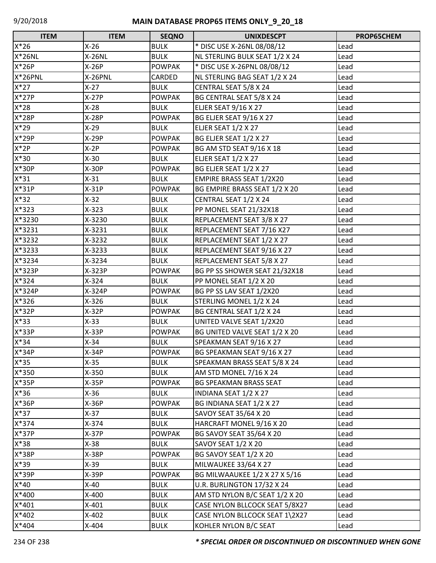| <b>ITEM</b> | <b>ITEM</b>   | <b>SEQNO</b>  | <b>UNIXDESCPT</b>              | PROP65CHEM |
|-------------|---------------|---------------|--------------------------------|------------|
| $X*26$      | $X-26$        | <b>BULK</b>   | * DISC USE X-26NL 08/08/12     | Lead       |
| $X*26NL$    | <b>X-26NL</b> | <b>BULK</b>   | NL STERLING BULK SEAT 1/2 X 24 | Lead       |
| X*26P       | $X-26P$       | <b>POWPAK</b> | * DISC USE X-26PNL 08/08/12    | Lead       |
| X*26PNL     | X-26PNL       | CARDED        | NL STERLING BAG SEAT 1/2 X 24  | Lead       |
| $X*27$      | $X-27$        | <b>BULK</b>   | CENTRAL SEAT 5/8 X 24          | Lead       |
| $X*27P$     | $X-27P$       | <b>POWPAK</b> | BG CENTRAL SEAT 5/8 X 24       | Lead       |
| $X*28$      | $X-28$        | <b>BULK</b>   | <b>ELJER SEAT 9/16 X 27</b>    | Lead       |
| X*28P       | $X-28P$       | <b>POWPAK</b> | BG ELJER SEAT 9/16 X 27        | Lead       |
| $X*29$      | $X-29$        | <b>BULK</b>   | ELJER SEAT 1/2 X 27            | Lead       |
| X*29P       | $X-29P$       | <b>POWPAK</b> | BG ELJER SEAT 1/2 X 27         | Lead       |
| $X^*2P$     | $X-2P$        | <b>POWPAK</b> | BG AM STD SEAT 9/16 X 18       | Lead       |
| $X*30$      | $X-30$        | <b>BULK</b>   | ELJER SEAT 1/2 X 27            | Lead       |
| X*30P       | $X-30P$       | <b>POWPAK</b> | BG ELJER SEAT 1/2 X 27         | Lead       |
| $X*31$      | $X-31$        | <b>BULK</b>   | EMPIRE BRASS SEAT 1/2X20       | Lead       |
| $X*31P$     | $X-31P$       | <b>POWPAK</b> | BG EMPIRE BRASS SEAT 1/2 X 20  | Lead       |
| $X*32$      | $X-32$        | <b>BULK</b>   | CENTRAL SEAT 1/2 X 24          | Lead       |
| $X*323$     | $X-323$       | <b>BULK</b>   | PP MONEL SEAT 21/32X18         | Lead       |
| X*3230      | X-3230        | <b>BULK</b>   | REPLACEMENT SEAT 3/8 X 27      | Lead       |
| X*3231      | X-3231        | <b>BULK</b>   | REPLACEMENT SEAT 7/16 X27      | Lead       |
| X*3232      | X-3232        | <b>BULK</b>   | REPLACEMENT SEAT 1/2 X 27      | Lead       |
| X*3233      | X-3233        | <b>BULK</b>   | REPLACEMENT SEAT 9/16 X 27     | Lead       |
| X*3234      | X-3234        | <b>BULK</b>   | REPLACEMENT SEAT 5/8 X 27      | Lead       |
| X*323P      | X-323P        | <b>POWPAK</b> | BG PP SS SHOWER SEAT 21/32X18  | Lead       |
| $X*324$     | $X-324$       | <b>BULK</b>   | PP MONEL SEAT 1/2 X 20         | Lead       |
| X*324P      | X-324P        | <b>POWPAK</b> | BG PP SS LAV SEAT 1/2X20       | Lead       |
| X*326       | $X-326$       | <b>BULK</b>   | STERLING MONEL 1/2 X 24        | Lead       |
| X*32P       | $X-32P$       | <b>POWPAK</b> | BG CENTRAL SEAT 1/2 X 24       | Lead       |
| $X*33$      | $X-33$        | <b>BULK</b>   | UNITED VALVE SEAT 1/2X20       | Lead       |
| X*33P       | $X-33P$       | <b>POWPAK</b> | BG UNITED VALVE SEAT 1/2 X 20  | Lead       |
| $X*34$      | $X-34$        | <b>BULK</b>   | SPEAKMAN SEAT 9/16 X 27        | Lead       |
| X*34P       | $X-34P$       | <b>POWPAK</b> | BG SPEAKMAN SEAT 9/16 X 27     | Lead       |
| $X*35$      | $X-35$        | <b>BULK</b>   | SPEAKMAN BRASS SEAT 5/8 X 24   | Lead       |
| X*350       | X-350         | <b>BULK</b>   | AM STD MONEL 7/16 X 24         | Lead       |
| X*35P       | $X-35P$       | <b>POWPAK</b> | <b>BG SPEAKMAN BRASS SEAT</b>  | Lead       |
| $X*36$      | $X-36$        | <b>BULK</b>   | INDIANA SEAT 1/2 X 27          | Lead       |
| X*36P       | X-36P         | <b>POWPAK</b> | BG INDIANA SEAT 1/2 X 27       | Lead       |
| $X*37$      | $X-37$        | <b>BULK</b>   | SAVOY SEAT 35/64 X 20          | Lead       |
| X*374       | $X-374$       | <b>BULK</b>   | HARCRAFT MONEL 9/16 X 20       | Lead       |
| $X*37P$     | $X-37P$       | <b>POWPAK</b> | BG SAVOY SEAT 35/64 X 20       | Lead       |
| $X*38$      | $X-38$        | <b>BULK</b>   | SAVOY SEAT 1/2 X 20            | Lead       |
| X*38P       | X-38P         | <b>POWPAK</b> | BG SAVOY SEAT 1/2 X 20         | Lead       |
| X*39        | $X-39$        | <b>BULK</b>   | MILWAUKEE 33/64 X 27           | Lead       |
| X*39P       | $X-39P$       | <b>POWPAK</b> | BG MILWAAUKEE 1/2 X 27 X 5/16  | Lead       |
| $X*40$      | $X-40$        | <b>BULK</b>   | U.R. BURLINGTON 17/32 X 24     | Lead       |
| X*400       | X-400         | <b>BULK</b>   | AM STD NYLON B/C SEAT 1/2 X 20 | Lead       |
| $X*401$     | $X-401$       | <b>BULK</b>   | CASE NYLON BLLCOCK SEAT 5/8X27 | Lead       |
| $X*402$     | X-402         | <b>BULK</b>   | CASE NYLON BLLCOCK SEAT 1\2X27 | Lead       |
| $X*404$     | X-404         | <b>BULK</b>   | KOHLER NYLON B/C SEAT          | Lead       |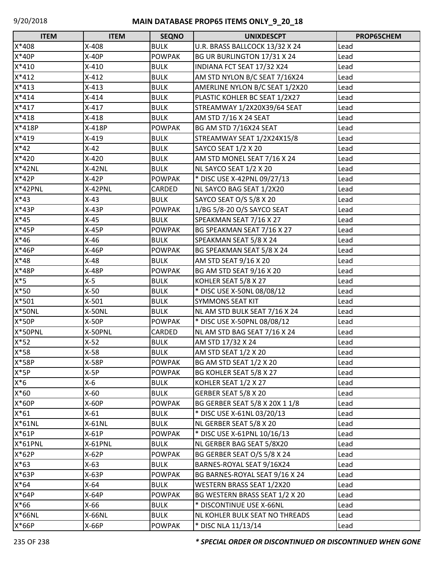| <b>ITEM</b>   | <b>ITEM</b> | <b>SEQNO</b>  | <b>UNIXDESCPT</b>              | PROP65CHEM |
|---------------|-------------|---------------|--------------------------------|------------|
| X*408         | X-408       | <b>BULK</b>   | U.R. BRASS BALLCOCK 13/32 X 24 | Lead       |
| X*40P         | $X-40P$     | <b>POWPAK</b> | BG UR BURLINGTON 17/31 X 24    | Lead       |
| $X*410$       | $X-410$     | <b>BULK</b>   | INDIANA FCT SEAT 17/32 X24     | Lead       |
| $X*412$       | $X-412$     | <b>BULK</b>   | AM STD NYLON B/C SEAT 7/16X24  | Lead       |
| $X*413$       | $X-413$     | <b>BULK</b>   | AMERLINE NYLON B/C SEAT 1/2X20 | Lead       |
| $X*414$       | $X-414$     | <b>BULK</b>   | PLASTIC KOHLER BC SEAT 1/2X27  | Lead       |
| $X*417$       | $X-417$     | <b>BULK</b>   | STREAMWAY 1/2X20X39/64 SEAT    | Lead       |
| $X*418$       | $X-418$     | <b>BULK</b>   | AM STD 7/16 X 24 SEAT          | Lead       |
| X*418P        | X-418P      | <b>POWPAK</b> | <b>BG AM STD 7/16X24 SEAT</b>  | Lead       |
| X*419         | $X-419$     | <b>BULK</b>   | STREAMWAY SEAT 1/2X24X15/8     | Lead       |
| $X*42$        | $X-42$      | <b>BULK</b>   | SAYCO SEAT 1/2 X 20            | Lead       |
| X*420         | $X-420$     | <b>BULK</b>   | AM STD MONEL SEAT 7/16 X 24    | Lead       |
| $X*42NL$      | $X-42NL$    | <b>BULK</b>   | NL SAYCO SEAT 1/2 X 20         | Lead       |
| $X*42P$       | $X-42P$     | <b>POWPAK</b> | * DISC USE X-42PNL 09/27/13    | Lead       |
| X*42PNL       | X-42PNL     | CARDED        | NL SAYCO BAG SEAT 1/2X20       | Lead       |
| $X*43$        | $X-43$      | <b>BULK</b>   | SAYCO SEAT O/S 5/8 X 20        | Lead       |
| $X*43P$       | $X-43P$     | <b>POWPAK</b> | 1/BG 5/8-20 O/S SAYCO SEAT     | Lead       |
| $X*45$        | $X-45$      | <b>BULK</b>   | SPEAKMAN SEAT 7/16 X 27        | Lead       |
| X*45P         | $X-45P$     | <b>POWPAK</b> | BG SPEAKMAN SEAT 7/16 X 27     | Lead       |
| $X*46$        | $X-46$      | <b>BULK</b>   | SPEAKMAN SEAT 5/8 X 24         | Lead       |
| X*46P         | $X-46P$     | <b>POWPAK</b> | BG SPEAKMAN SEAT 5/8 X 24      | Lead       |
| $X*48$        | $X-48$      | <b>BULK</b>   | AM STD SEAT 9/16 X 20          | Lead       |
| X*48P         | X-48P       | <b>POWPAK</b> | BG AM STD SEAT 9/16 X 20       | Lead       |
| $X*5$         | $X-5$       | <b>BULK</b>   | KOHLER SEAT 5/8 X 27           | Lead       |
| $X*50$        | $X-50$      | <b>BULK</b>   | * DISC USE X-50NL 08/08/12     | Lead       |
| X*501         | $X-501$     | <b>BULK</b>   | <b>SYMMONS SEAT KIT</b>        | Lead       |
| <b>X*50NL</b> | X-50NL      | <b>BULK</b>   | NL AM STD BULK SEAT 7/16 X 24  | Lead       |
| X*50P         | $X-50P$     | <b>POWPAK</b> | * DISC USE X-50PNL 08/08/12    | Lead       |
| X*50PNL       | X-50PNL     | CARDED        | NL AM STD BAG SEAT 7/16 X 24   | Lead       |
| $X*52$        | $X-52$      | <b>BULK</b>   | AM STD 17/32 X 24              | Lead       |
| X*58          | $X-58$      | <b>BULK</b>   | AM STD SEAT 1/2 X 20           | Lead       |
| X*58P         | X-58P       | <b>POWPAK</b> | BG AM STD SEAT 1/2 X 20        | Lead       |
| $X*5P$        | $X-5P$      | <b>POWPAK</b> | BG KOHLER SEAT 5/8 X 27        | Lead       |
| $X*6$         | $X-6$       | <b>BULK</b>   | KOHLER SEAT 1/2 X 27           | Lead       |
| $X*60$        | $X-60$      | <b>BULK</b>   | GERBER SEAT 5/8 X 20           | Lead       |
| X*60P         | X-60P       | <b>POWPAK</b> | BG GERBER SEAT 5/8 X 20X 1 1/8 | Lead       |
| $X*61$        | $X-61$      | <b>BULK</b>   | * DISC USE X-61NL 03/20/13     | Lead       |
| $X*61NL$      | X-61NL      | <b>BULK</b>   | NL GERBER SEAT 5/8 X 20        | Lead       |
| $X*61P$       | $X-61P$     | <b>POWPAK</b> | * DISC USE X-61PNL 10/16/13    | Lead       |
| X*61PNL       | X-61PNL     | <b>BULK</b>   | NL GERBER BAG SEAT 5/8X20      | Lead       |
| X*62P         | $X-62P$     | <b>POWPAK</b> | BG GERBER SEAT O/S 5/8 X 24    | Lead       |
| $X*63$        | $X-63$      | <b>BULK</b>   | BARNES-ROYAL SEAT 9/16X24      | Lead       |
| X*63P         | X-63P       | <b>POWPAK</b> | BG BARNES-ROYAL SEAT 9/16 X 24 | Lead       |
| $X*64$        | $X-64$      | <b>BULK</b>   | WESTERN BRASS SEAT 1/2X20      | Lead       |
| $X*64P$       | X-64P       | <b>POWPAK</b> | BG WESTERN BRASS SEAT 1/2 X 20 | Lead       |
| $X*66$        | X-66        | <b>BULK</b>   | * DISCONTINUE USE X-66NL       | Lead       |
| X*66NL        | X-66NL      | <b>BULK</b>   | NL KOHLER BULK SEAT NO THREADS | Lead       |
| X*66P         | X-66P       | <b>POWPAK</b> | * DISC NLA 11/13/14            | Lead       |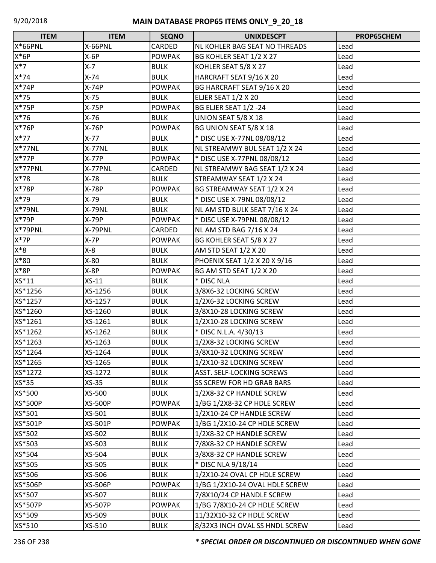| <b>ITEM</b>    | <b>ITEM</b>    | <b>SEQNO</b>  | <b>UNIXDESCPT</b>              | PROP65CHEM |
|----------------|----------------|---------------|--------------------------------|------------|
| <b>X*66PNL</b> | X-66PNL        | CARDED        | NL KOHLER BAG SEAT NO THREADS  | Lead       |
| $X*6P$         | $X-6P$         | <b>POWPAK</b> | BG KOHLER SEAT 1/2 X 27        | Lead       |
| $X^*7$         | $X - 7$        | <b>BULK</b>   | KOHLER SEAT 5/8 X 27           | Lead       |
| $X*74$         | $X-74$         | <b>BULK</b>   | HARCRAFT SEAT 9/16 X 20        | Lead       |
| X*74P          | $X-74P$        | <b>POWPAK</b> | BG HARCRAFT SEAT 9/16 X 20     | Lead       |
| $X*75$         | $X-75$         | <b>BULK</b>   | <b>ELJER SEAT 1/2 X 20</b>     | Lead       |
| X*75P          | $X-75P$        | <b>POWPAK</b> | BG ELJER SEAT 1/2 -24          | Lead       |
| $X*76$         | $X-76$         | <b>BULK</b>   | UNION SEAT 5/8 X 18            | Lead       |
| X*76P          | $X-76P$        | <b>POWPAK</b> | BG UNION SEAT 5/8 X 18         | Lead       |
| $X*77$         | $X-77$         | <b>BULK</b>   | * DISC USE X-77NL 08/08/12     | Lead       |
| $X*77NL$       | X-77NL         | <b>BULK</b>   | NL STREAMWY BUL SEAT 1/2 X 24  | Lead       |
| $X*77P$        | $X-77P$        | <b>POWPAK</b> | * DISC USE X-77PNL 08/08/12    | Lead       |
| X*77PNL        | X-77PNL        | <b>CARDED</b> | NL STREAMWY BAG SEAT 1/2 X 24  | Lead       |
| X*78           | $X-78$         | <b>BULK</b>   | STREAMWAY SEAT 1/2 X 24        | Lead       |
| X*78P          | X-78P          | <b>POWPAK</b> | BG STREAMWAY SEAT 1/2 X 24     | Lead       |
| X*79           | $X-79$         | <b>BULK</b>   | * DISC USE X-79NL 08/08/12     | Lead       |
| <b>X*79NL</b>  | <b>X-79NL</b>  | <b>BULK</b>   | NL AM STD BULK SEAT 7/16 X 24  | Lead       |
| X*79P          | X-79P          | <b>POWPAK</b> | * DISC USE X-79PNL 08/08/12    | Lead       |
| X*79PNL        | X-79PNL        | CARDED        | NL AM STD BAG 7/16 X 24        | Lead       |
| $X*7P$         | $X-7P$         | <b>POWPAK</b> | BG KOHLER SEAT 5/8 X 27        | Lead       |
| $X*8$          | $X-8$          | <b>BULK</b>   | AM STD SEAT 1/2 X 20           | Lead       |
| X*80           | $X-80$         | <b>BULK</b>   | PHOENIX SEAT 1/2 X 20 X 9/16   | Lead       |
| X*8P           | $X-8P$         | <b>POWPAK</b> | BG AM STD SEAT 1/2 X 20        | Lead       |
| XS*11          | $XS-11$        | <b>BULK</b>   | * DISC NLA                     | Lead       |
| XS*1256        | XS-1256        | <b>BULK</b>   | 3/8X6-32 LOCKING SCREW         | Lead       |
| XS*1257        | XS-1257        | <b>BULK</b>   | 1/2X6-32 LOCKING SCREW         | Lead       |
| XS*1260        | XS-1260        | <b>BULK</b>   | 3/8X10-28 LOCKING SCREW        | Lead       |
| XS*1261        | XS-1261        | <b>BULK</b>   | 1/2X10-28 LOCKING SCREW        | Lead       |
| XS*1262        | XS-1262        | <b>BULK</b>   | * DISC N.L.A. 4/30/13          | Lead       |
| XS*1263        | XS-1263        | <b>BULK</b>   | 1/2X8-32 LOCKING SCREW         | Lead       |
| XS*1264        | XS-1264        | <b>BULK</b>   | 3/8X10-32 LOCKING SCREW        | Lead       |
| XS*1265        | XS-1265        | <b>BULK</b>   | 1/2X10-32 LOCKING SCREW        | Lead       |
| XS*1272        | XS-1272        | <b>BULK</b>   | ASST. SELF-LOCKING SCREWS      | Lead       |
| XS*35          | $XS-35$        | <b>BULK</b>   | SS SCREW FOR HD GRAB BARS      | Lead       |
| XS*500         | XS-500         | <b>BULK</b>   | 1/2X8-32 CP HANDLE SCREW       | Lead       |
| <b>XS*500P</b> | <b>XS-500P</b> | <b>POWPAK</b> | 1/BG 1/2X8-32 CP HDLE SCREW    | Lead       |
| XS*501         | XS-501         | <b>BULK</b>   | 1/2X10-24 CP HANDLE SCREW      | Lead       |
| XS*501P        | XS-501P        | <b>POWPAK</b> | 1/BG 1/2X10-24 CP HDLE SCREW   | Lead       |
| XS*502         | XS-502         | <b>BULK</b>   | 1/2X8-32 CP HANDLE SCREW       | Lead       |
| XS*503         | XS-503         | <b>BULK</b>   | 7/8X8-32 CP HANDLE SCREW       | Lead       |
| XS*504         | XS-504         | <b>BULK</b>   | 3/8X8-32 CP HANDLE SCREW       | Lead       |
| XS*505         | XS-505         | <b>BULK</b>   | * DISC NLA 9/18/14             | Lead       |
| XS*506         | XS-506         | <b>BULK</b>   | 1/2X10-24 OVAL CP HDLE SCREW   | Lead       |
| XS*506P        | <b>XS-506P</b> | <b>POWPAK</b> | 1/BG 1/2X10-24 OVAL HDLE SCREW | Lead       |
| XS*507         | XS-507         | <b>BULK</b>   | 7/8X10/24 CP HANDLE SCREW      | Lead       |
| XS*507P        | <b>XS-507P</b> | <b>POWPAK</b> | 1/BG 7/8X10-24 CP HDLE SCREW   | Lead       |
| XS*509         | XS-509         | <b>BULK</b>   | 11/32X10-32 CP HDLE SCREW      | Lead       |
| XS*510         | XS-510         | <b>BULK</b>   | 8/32X3 INCH OVAL SS HNDL SCREW | Lead       |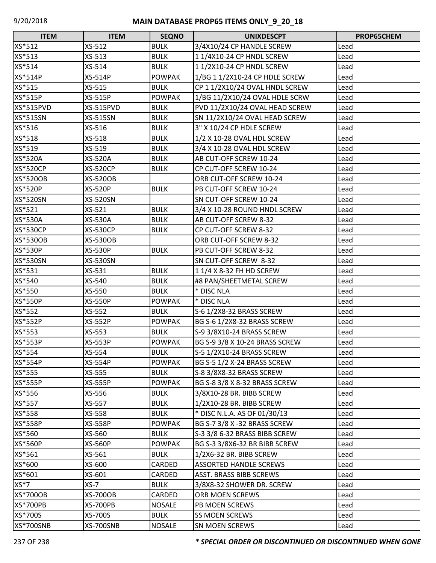| <b>ITEM</b>      | <b>ITEM</b>     | <b>SEQNO</b>  | <b>UNIXDESCPT</b>              | PROP65CHEM |
|------------------|-----------------|---------------|--------------------------------|------------|
| XS*512           | XS-512          | <b>BULK</b>   | 3/4X10/24 CP HANDLE SCREW      | Lead       |
| XS*513           | XS-513          | <b>BULK</b>   | 11/4X10-24 CP HNDL SCREW       | Lead       |
| XS*514           | XS-514          | <b>BULK</b>   | 11/2X10-24 CP HNDL SCREW       | Lead       |
| XS*514P          | XS-514P         | <b>POWPAK</b> | 1/BG 1 1/2X10-24 CP HDLE SCREW | Lead       |
| XS*515           | XS-515          | <b>BULK</b>   | CP 1 1/2X10/24 OVAL HNDL SCREW | Lead       |
| XS*515P          | <b>XS-515P</b>  | <b>POWPAK</b> | 1/BG 11/2X10/24 OVAL HDLE SCRW | Lead       |
| <b>XS*515PVD</b> | XS-515PVD       | <b>BULK</b>   | PVD 11/2X10/24 OVAL HEAD SCREW | Lead       |
| <b>XS*515SN</b>  | <b>XS-515SN</b> | <b>BULK</b>   | SN 11/2X10/24 OVAL HEAD SCREW  | Lead       |
| XS*516           | XS-516          | <b>BULK</b>   | 3" X 10/24 CP HDLE SCREW       | Lead       |
| XS*518           | XS-518          | <b>BULK</b>   | 1/2 X 10-28 OVAL HDL SCREW     | Lead       |
| XS*519           | XS-519          | <b>BULK</b>   | 3/4 X 10-28 OVAL HDL SCREW     | Lead       |
| <b>XS*520A</b>   | <b>XS-520A</b>  | <b>BULK</b>   | AB CUT-OFF SCREW 10-24         | Lead       |
| <b>XS*520CP</b>  | <b>XS-520CP</b> | <b>BULK</b>   | CP CUT-OFF SCREW 10-24         | Lead       |
| <b>XS*520OB</b>  | <b>XS-520OB</b> |               | ORB CUT-OFF SCREW 10-24        | Lead       |
| <b>XS*520P</b>   | <b>XS-520P</b>  | <b>BULK</b>   | PB CUT-OFF SCREW 10-24         | Lead       |
| XS*520SN         | <b>XS-520SN</b> |               | SN CUT-OFF SCREW 10-24         | Lead       |
| XS*521           | XS-521          | <b>BULK</b>   | 3/4 X 10-28 ROUND HNDL SCREW   | Lead       |
| <b>XS*530A</b>   | XS-530A         | <b>BULK</b>   | AB CUT-OFF SCREW 8-32          | Lead       |
| <b>XS*530CP</b>  | <b>XS-530CP</b> | <b>BULK</b>   | CP CUT-OFF SCREW 8-32          | Lead       |
| <b>XS*530OB</b>  | XS-530OB        |               | ORB CUT-OFF SCREW 8-32         | Lead       |
| <b>XS*530P</b>   | <b>XS-530P</b>  | <b>BULK</b>   | PB CUT-OFF SCREW 8-32          | Lead       |
| <b>XS*530SN</b>  | <b>XS-530SN</b> |               | SN CUT-OFF SCREW 8-32          | Lead       |
| XS*531           | XS-531          | <b>BULK</b>   | 1 1/4 X 8-32 FH HD SCREW       | Lead       |
| XS*540           | XS-540          | <b>BULK</b>   | #8 PAN/SHEETMETAL SCREW        | Lead       |
| XS*550           | XS-550          | <b>BULK</b>   | * DISC NLA                     | Lead       |
| <b>XS*550P</b>   | <b>XS-550P</b>  | <b>POWPAK</b> | * DISC NLA                     | Lead       |
| XS*552           | XS-552          | <b>BULK</b>   | S-6 1/2X8-32 BRASS SCREW       | Lead       |
| XS*552P          | <b>XS-552P</b>  | <b>POWPAK</b> | BG S-6 1/2X8-32 BRASS SCREW    | Lead       |
| XS*553           | XS-553          | <b>BULK</b>   | S-9 3/8X10-24 BRASS SCREW      | Lead       |
| <b>XS*553P</b>   | <b>XS-553P</b>  | <b>POWPAK</b> | BG S-9 3/8 X 10-24 BRASS SCREW | Lead       |
| XS*554           | XS-554          | <b>BULK</b>   | S-5 1/2X10-24 BRASS SCREW      | Lead       |
| XS*554P          | <b>XS-554P</b>  | <b>POWPAK</b> | BG S-5 1/2 X-24 BRASS SCREW    | Lead       |
| XS*555           | XS-555          | <b>BULK</b>   | S-8 3/8X8-32 BRASS SCREW       | Lead       |
| XS*555P          | <b>XS-555P</b>  | <b>POWPAK</b> | BG S-8 3/8 X 8-32 BRASS SCREW  | Lead       |
| XS*556           | XS-556          | <b>BULK</b>   | 3/8X10-28 BR. BIBB SCREW       | Lead       |
| XS*557           | XS-557          | <b>BULK</b>   | 1/2X10-28 BR. BIBB SCREW       | Lead       |
| XS*558           | XS-558          | <b>BULK</b>   | * DISC N.L.A. AS OF 01/30/13   | Lead       |
| XS*558P          | <b>XS-558P</b>  | <b>POWPAK</b> | BG S-7 3/8 X -32 BRASS SCREW   | Lead       |
| XS*560           | XS-560          | <b>BULK</b>   | S-3 3/8 6-32 BRASS BIBB SCREW  | Lead       |
| XS*560P          | <b>XS-560P</b>  | <b>POWPAK</b> | BG S-3 3/8X6-32 BR BIBB SCREW  | Lead       |
| XS*561           | XS-561          | <b>BULK</b>   | 1/2X6-32 BR. BIBB SCREW        | Lead       |
| XS*600           | XS-600          | CARDED        | <b>ASSORTED HANDLE SCREWS</b>  | Lead       |
| XS*601           | XS-601          | CARDED        | <b>ASST. BRASS BIBB SCREWS</b> | Lead       |
| $XS*7$           | $XS-7$          | <b>BULK</b>   | 3/8X8-32 SHOWER DR. SCREW      | Lead       |
| <b>XS*700OB</b>  | <b>XS-700OB</b> | CARDED        | ORB MOEN SCREWS                | Lead       |
| <b>XS*700PB</b>  | <b>XS-700PB</b> | <b>NOSALE</b> | PB MOEN SCREWS                 | Lead       |
| XS*700S          | XS-700S         | <b>BULK</b>   | <b>SS MOEN SCREWS</b>          | Lead       |
| <b>XS*700SNB</b> | XS-700SNB       | <b>NOSALE</b> | SN MOEN SCREWS                 | Lead       |